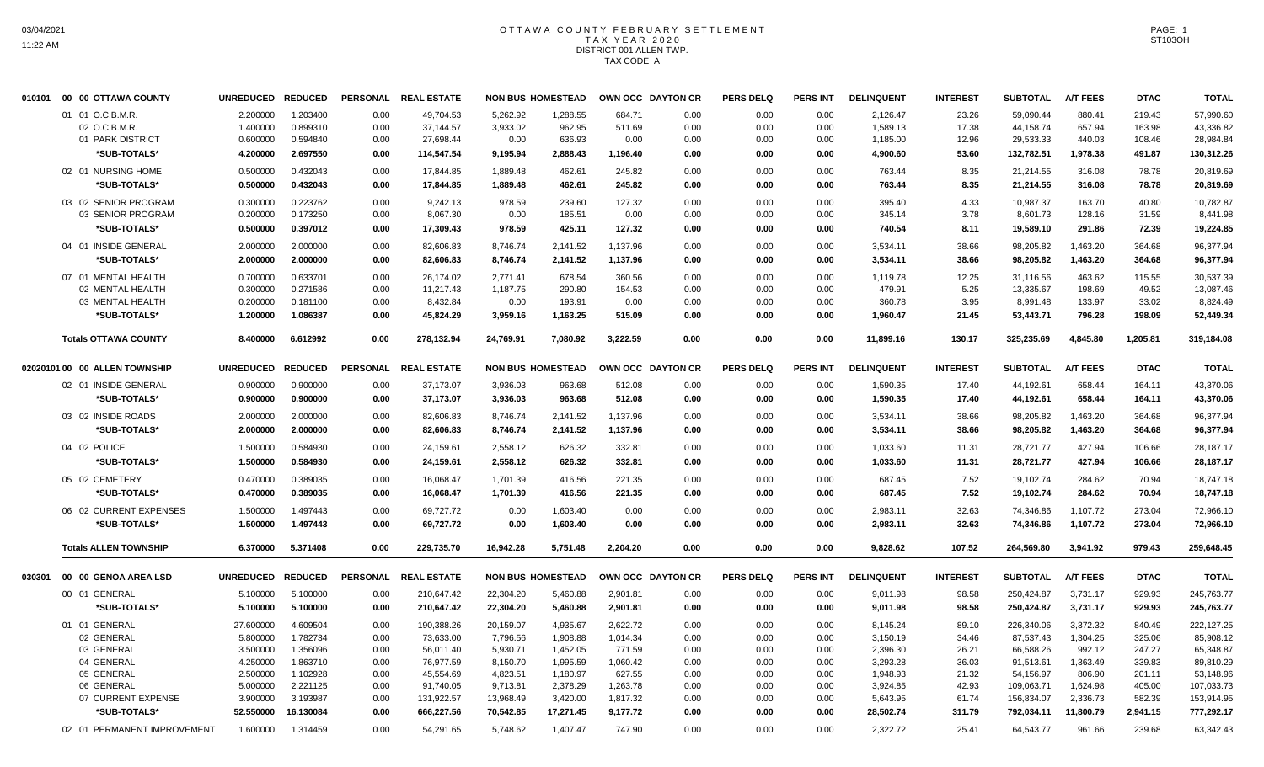## OTTAWA COUNTY FEBRUARY SETTLEMENT TAX YEAR 2020 DISTRICT 001 ALLEN TWP. TAX CODE A

| 010101 | 00 00 OTTAWA COUNTY              | <b>UNREDUCED</b> | <b>REDUCED</b> | <b>PERSONAL</b> | <b>REAL ESTATE</b>     |           | <b>NON BUS HOMESTEAD</b> |          | OWN OCC DAYTON CR | <b>PERS DELQ</b> | <b>PERS INT</b> | <b>DELINQUENT</b>    | <b>INTEREST</b> | <b>SUBTOTAL</b> | <b>A/T FEES</b> | <b>DTAC</b> | <b>TOTAL</b> |
|--------|----------------------------------|------------------|----------------|-----------------|------------------------|-----------|--------------------------|----------|-------------------|------------------|-----------------|----------------------|-----------------|-----------------|-----------------|-------------|--------------|
|        | 01 01 O.C.B.M.R                  | 2.200000         | 1.203400       | 0.00            | 49,704.53              | 5,262.92  | 1,288.55                 | 684.71   | 0.00              | 0.00             | 0.00            | 2,126.47             | 23.26           | 59,090.44       | 880.41          | 219.43      | 57,990.60    |
|        | 02 O.C.B.M.R                     | 1.400000         | 0.899310       | 0.00            | 37,144.57              | 3,933.02  | 962.95                   | 511.69   | 0.00              | 0.00             | 0.00            | 1,589.13             | 17.38           | 44,158.74       | 657.94          | 163.98      | 43,336.82    |
|        | 01 PARK DISTRICT                 | 0.600000         | 0.594840       | 0.00            | 27,698.44              | 0.00      | 636.93                   | 0.00     | 0.00              | 0.00             | 0.00            | 1,185.00             | 12.96           | 29,533.33       | 440.03          | 108.46      | 28,984.84    |
|        | *SUB-TOTALS*                     | 4.200000         | 2.697550       | 0.00            | 114,547.54             | 9,195.94  | 2,888.43                 | 1,196.40 | 0.00              | 0.00             | 0.00            | 4,900.60             | 53.60           | 132,782.51      | 1,978.38        | 491.87      | 130,312.26   |
|        | 02 01 NURSING HOME               | 0.500000         | 0.432043       | 0.00            | 17,844.85              | 1,889.48  | 462.61                   | 245.82   | 0.00              | 0.00             | 0.00            | 763.44               | 8.35            | 21,214.55       | 316.08          | 78.78       | 20,819.69    |
|        | *SUB-TOTALS*                     | 0.500000         | 0.432043       | 0.00            | 17.844.85              | 1,889.48  | 462.61                   | 245.82   | 0.00              | 0.00             | 0.00            | 763.44               | 8.35            | 21,214.55       | 316.08          | 78.78       | 20,819.69    |
|        | 03 02 SENIOR PROGRAM             | 0.300000         | 0.223762       | 0.00            | 9.242.13               | 978.59    | 239.60                   | 127.32   | 0.00              | 0.00             | 0.00            | 395.40               | 4.33            | 10.987.37       | 163.70          | 40.80       | 10.782.87    |
|        | 03 SENIOR PROGRAM                | 0.200000         | 0.173250       | 0.00            | 8,067.30               | 0.00      | 185.51                   | 0.00     | 0.00              | 0.00             | 0.00            | 345.14               | 3.78            | 8,601.73        | 128.16          | 31.59       | 8,441.98     |
|        | *SUB-TOTALS*                     | 0.500000         | 0.397012       | 0.00            | 17,309.43              | 978.59    | 425.11                   | 127.32   | 0.00              | 0.00             | 0.00            | 740.54               | 8.11            | 19,589.10       | 291.86          | 72.39       | 19,224.85    |
|        | 04 01 INSIDE GENERAL             | 2.000000         | 2.000000       | 0.00            | 82,606.83              | 8,746.74  | 2,141.52                 | 1,137.96 | 0.00              | 0.00             | 0.00            | 3,534.11             | 38.66           | 98,205.82       | 1,463.20        | 364.68      | 96,377.94    |
|        | *SUB-TOTALS*                     | 2.000000         | 2.000000       | 0.00            | 82,606.83              | 8,746.74  | 2,141.52                 | 1,137.96 | 0.00              | 0.00             | 0.00            | 3,534.11             | 38.66           | 98,205.82       | 1,463.20        | 364.68      | 96,377.94    |
|        | 07 01 MENTAL HEALTH              | 0.700000         | 0.633701       | 0.00            | 26,174.02              | 2,771.41  | 678.54                   | 360.56   | 0.00              | 0.00             | 0.00            | 1,119.78             | 12.25           | 31,116.56       | 463.62          | 115.55      | 30,537.39    |
|        | 02 MENTAL HEALTH                 | 0.300000         | 0.271586       | 0.00            | 11,217.43              | 1,187.75  | 290.80                   | 154.53   | 0.00              | 0.00             | 0.00            | 479.91               | 5.25            | 13,335.67       | 198.69          | 49.52       | 13,087.46    |
|        | 03 MENTAL HEALTH                 | 0.200000         | 0.181100       | 0.00            | 8,432.84               | 0.00      | 193.91                   | 0.00     | 0.00              | 0.00             | 0.00            | 360.78               | 3.95            | 8,991.48        | 133.97          | 33.02       | 8,824.49     |
|        | *SUB-TOTALS*                     | 1.200000         | 1.086387       | 0.00            | 45,824.29              | 3,959.16  | 1,163.25                 | 515.09   | 0.00              | 0.00             | 0.00            | 1,960.47             | 21.45           | 53,443.71       | 796.28          | 198.09      | 52,449.34    |
|        | <b>Totals OTTAWA COUNTY</b>      | 8.400000         | 6.612992       | 0.00            | 278,132.94             | 24,769.91 | 7,080.92                 | 3,222.59 | 0.00              | 0.00             | 0.00            | 11,899.16            | 130.17          | 325,235.69      | 4,845.80        | 1,205.81    | 319,184.08   |
|        |                                  |                  |                |                 |                        |           |                          |          |                   |                  |                 |                      |                 |                 |                 |             |              |
|        | 02020101 00 00 ALLEN TOWNSHIP    | <b>UNREDUCED</b> | <b>REDUCED</b> | <b>PERSONAL</b> | <b>REAL ESTATE</b>     |           | <b>NON BUS HOMESTEAD</b> |          | OWN OCC DAYTON CR | <b>PERS DELQ</b> | <b>PERS INT</b> | <b>DELINQUENT</b>    | <b>INTEREST</b> | <b>SUBTOTAL</b> | <b>A/T FEES</b> | <b>DTAC</b> | <b>TOTAL</b> |
|        | 02 01 INSIDE GENERAL             | 0.900000         | 0.900000       | 0.00            | 37,173.07              | 3,936.03  | 963.68                   | 512.08   | 0.00              | 0.00             | 0.00            | 1,590.35             | 17.40           | 44,192.61       | 658.44          | 164.11      | 43,370.06    |
|        | <b><i>*SUB-TOTALS*</i></b>       | 0.900000         | 0.900000       | 0.00            | 37,173.07              | 3,936.03  | 963.68                   | 512.08   | 0.00              | 0.00             | 0.00            | 1,590.35             | 17.40           | 44,192.61       | 658.44          | 164.11      | 43,370.06    |
|        | 03 02 INSIDE ROADS               | 2.000000         | 2.000000       | 0.00            | 82,606.83              | 8,746.74  | 2,141.52                 | 1,137.96 | 0.00              | 0.00             | 0.00            | 3,534.11             | 38.66           | 98,205.82       | 1,463.20        | 364.68      | 96,377.94    |
|        | *SUB-TOTALS*                     | 2.000000         | 2.000000       | 0.00            | 82,606.83              | 8,746.74  | 2,141.52                 | 1,137.96 | 0.00              | 0.00             | 0.00            | 3,534.11             | 38.66           | 98,205.82       | 1,463.20        | 364.68      | 96,377.94    |
|        |                                  |                  |                |                 |                        |           |                          |          |                   |                  |                 |                      |                 |                 |                 |             |              |
|        | 04 02 POLICE                     | 1.500000         | 0.584930       | 0.00            | 24,159.61              | 2,558.12  | 626.32                   | 332.81   | 0.00              | 0.00             | 0.00            | 1,033.60             | 11.31           | 28,721.77       | 427.94          | 106.66      | 28,187.17    |
|        | <b><i><b>SUB-TOTALS*</b></i></b> | 1.500000         | 0.584930       | 0.00            | 24,159.61              | 2,558.12  | 626.32                   | 332.81   | 0.00              | 0.00             | 0.00            | 1,033.60             | 11.31           | 28,721.77       | 427.94          | 106.66      | 28,187.17    |
|        | 05 02 CEMETERY                   | 0.470000         | 0.389035       | 0.00            | 16,068.47              | 1,701.39  | 416.56                   | 221.35   | 0.00              | 0.00             | 0.00            | 687.45               | 7.52            | 19,102.74       | 284.62          | 70.94       | 18,747.18    |
|        | *SUB-TOTALS*                     | 0.470000         | 0.389035       | 0.00            | 16,068.47              | 1,701.39  | 416.56                   | 221.35   | 0.00              | 0.00             | 0.00            | 687.45               | 7.52            | 19,102.74       | 284.62          | 70.94       | 18,747.18    |
|        | 06 02 CURRENT EXPENSES           | 1.500000         | 1.497443       | 0.00            | 69,727.72              | 0.00      | 1,603.40                 | 0.00     | 0.00              | 0.00             | 0.00            | 2,983.11             | 32.63           | 74,346.86       | 1,107.72        | 273.04      | 72,966.10    |
|        | *SUB-TOTALS*                     | 1.500000         | 1.497443       | 0.00            | 69,727.72              | 0.00      | 1,603.40                 | 0.00     | 0.00              | 0.00             | 0.00            | 2,983.11             | 32.63           | 74,346.86       | 1,107.72        | 273.04      | 72,966.10    |
|        | <b>Totals ALLEN TOWNSHIP</b>     | 6.370000         | 5.371408       | 0.00            | 229,735.70             | 16,942.28 | 5,751.48                 | 2,204.20 | 0.00              | 0.00             | 0.00            | 9,828.62             | 107.52          | 264,569.80      | 3,941.92        | 979.43      | 259,648.45   |
| 030301 | 00 00 GENOA AREA LSD             | <b>UNREDUCED</b> | <b>REDUCED</b> | <b>PERSONAL</b> | <b>REAL ESTATE</b>     |           | <b>NON BUS HOMESTEAD</b> |          | OWN OCC DAYTON CR | <b>PERS DELQ</b> | <b>PERS INT</b> | <b>DELINQUENT</b>    | <b>INTEREST</b> | <b>SUBTOTAL</b> | <b>A/T FEES</b> | <b>DTAC</b> | <b>TOTAL</b> |
|        | 00 01 GENERAL                    | 5.100000         | 5.100000       | 0.00            | 210,647.42             | 22,304.20 | 5,460.88                 | 2,901.81 | 0.00              | 0.00             | 0.00            | 9,011.98             | 98.58           | 250,424.87      | 3,731.17        | 929.93      | 245,763.77   |
|        | *SUB-TOTALS*                     | 5.100000         | 5.100000       | 0.00            | 210,647.42             | 22,304.20 | 5,460.88                 | 2,901.81 | 0.00              | 0.00             | 0.00            | 9,011.98             | 98.58           | 250,424.87      | 3,731.17        | 929.93      | 245,763.77   |
|        | 01 01 GENERAL                    | 27.600000        | 4.609504       | 0.00            | 190,388.26             | 20,159.07 | 4,935.67                 | 2,622.72 | 0.00              | 0.00             | 0.00            | 8,145.24             | 89.10           | 226,340.06      | 3,372.32        | 840.49      | 222,127.25   |
|        | 02 GENERAL                       | 5.800000         | 1.782734       | 0.00            | 73,633.00              | 7,796.56  | 1,908.88                 | 1,014.34 | 0.00              | 0.00             | 0.00            | 3,150.19             | 34.46           | 87,537.43       | 1,304.25        | 325.06      | 85,908.12    |
|        | 03 GENERAL                       | 3.500000         | 1.356096       | 0.00            |                        | 5,930.71  | 1,452.05                 | 771.59   | 0.00              | 0.00             | 0.00            |                      | 26.21           | 66,588.26       | 992.12          | 247.27      | 65,348.87    |
|        | 04 GENERAL                       | 4.250000         | 1.863710       | 0.00            | 56,011.40<br>76,977.59 | 8,150.70  | 1,995.59                 | 1,060.42 | 0.00              | 0.00             | 0.00            | 2,396.30<br>3,293.28 | 36.03           | 91,513.61       | 1,363.49        | 339.83      | 89,810.29    |
|        | 05 GENERAL                       | 2.500000         | 1.102928       | 0.00            | 45,554.69              | 4,823.51  | 1,180.97                 | 627.55   | 0.00              | 0.00             | 0.00            | 1,948.93             | 21.32           | 54,156.97       | 806.90          | 201.11      | 53,148.96    |
|        | 06 GENERAL                       | 5.000000         | 2.221125       | 0.00            | 91,740.05              | 9,713.81  | 2,378.29                 | 1,263.78 | 0.00              | 0.00             | 0.00            | 3,924.85             | 42.93           | 109,063.71      | 1,624.98        | 405.00      | 107,033.73   |
|        | 07 CURRENT EXPENSE               | 3.900000         | 3.193987       | 0.00            | 131,922.57             | 13,968.49 | 3,420.00                 | 1,817.32 | 0.00              | 0.00             | 0.00            | 5,643.95             | 61.74           | 156,834.07      | 2,336.73        | 582.39      | 153,914.95   |
|        | *SUB-TOTALS*                     | 52.550000        | 16.130084      | 0.00            | 666.227.56             | 70.542.85 | 17.271.45                | 9.177.72 | 0.00              | 0.00             | 0.00            | 28,502.74            | 311.79          | 792.034.11      | 11.800.79       | 2.941.15    | 777,292.17   |
|        | 02 01 PERMANENT IMPROVEMENT      | 1.600000         | 1.314459       | 0.00            | 54.291.65              | 5.748.62  | 1.407.47                 | 747.90   | 0.00              | 0.00             | 0.00            | 2.322.72             | 25.41           | 64.543.77       | 961.66          | 239.68      | 63,342.43    |
|        |                                  |                  |                |                 |                        |           |                          |          |                   |                  |                 |                      |                 |                 |                 |             |              |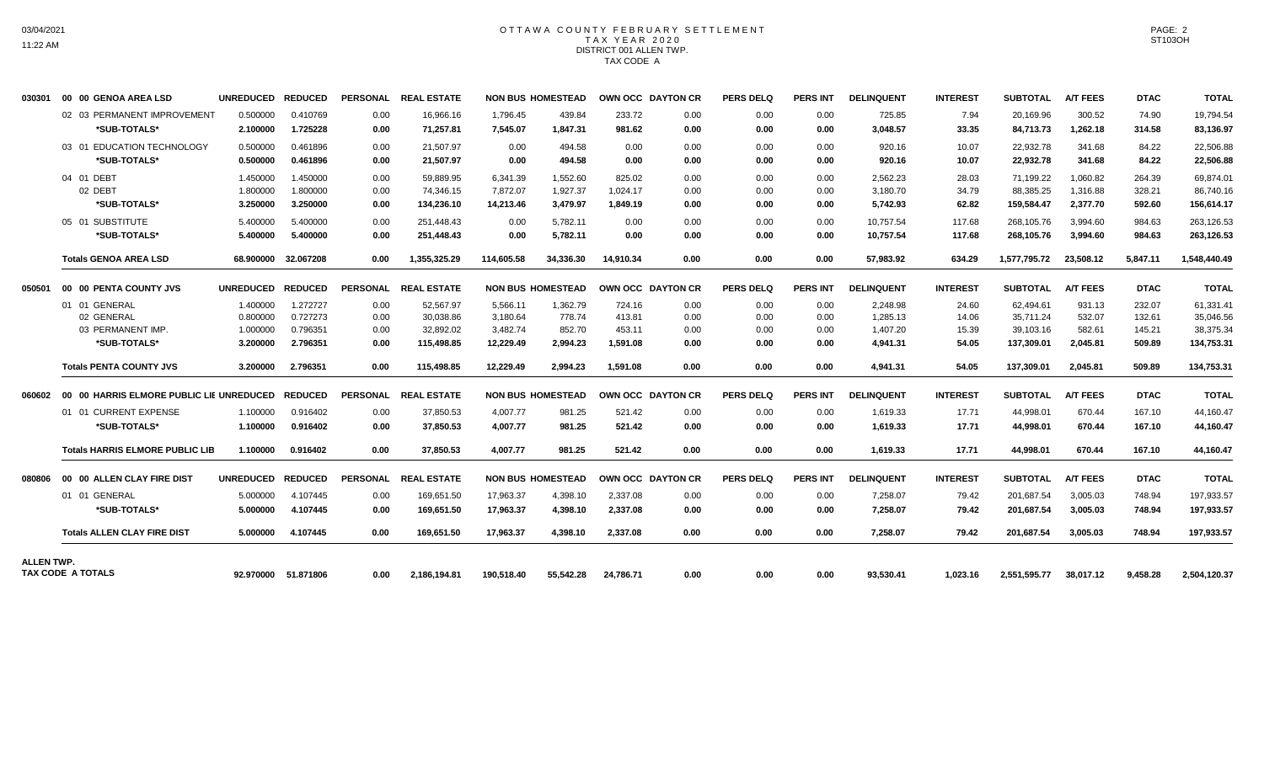## OTTAWA COUNTY FEBRUARY SETTLEMENT TAX YEAR 2020 DISTRICT 001 ALLEN TWP. TAX CODE A

| 030301            | 00 00 GENOA AREA LSD                             | UNREDUCED REDUCED |                     |                 | PERSONAL REAL ESTATE |            | <b>NON BUS HOMESTEAD</b> | OWN OCC DAYTON CR |      | <b>PERS DELQ</b> | <b>PERS INT</b> | <b>DELINQUENT</b> | <b>INTEREST</b> | <b>SUBTOTAL</b> | <b>A/T FEES</b> | <b>DTAC</b> | <b>TOTAL</b> |
|-------------------|--------------------------------------------------|-------------------|---------------------|-----------------|----------------------|------------|--------------------------|-------------------|------|------------------|-----------------|-------------------|-----------------|-----------------|-----------------|-------------|--------------|
|                   | 02 03 PERMANENT IMPROVEMENT                      | 0.500000          | 0.410769            | 0.00            | 16,966.16            | 1,796.45   | 439.84                   | 233.72            | 0.00 | 0.00             | 0.00            | 725.85            | 7.94            | 20,169.96       | 300.52          | 74.90       | 19,794.54    |
|                   | *SUB-TOTALS*                                     | 2.100000          | 1.725228            | 0.00            | 71,257.81            | 7,545.07   | 1,847.31                 | 981.62            | 0.00 | 0.00             | 0.00            | 3,048.57          | 33.35           | 84,713.73       | 1,262.18        | 314.58      | 83,136.97    |
|                   | 03 01 EDUCATION TECHNOLOGY                       | 0.500000          | 0.461896            | 0.00            | 21,507.97            | 0.00       | 494.58                   | 0.00              | 0.00 | 0.00             | 0.00            | 920.16            | 10.07           | 22,932.78       | 341.68          | 84.22       | 22,506.88    |
|                   | *SUB-TOTALS*                                     | 0.500000          | 0.461896            | 0.00            | 21,507.97            | 0.00       | 494.58                   | 0.00              | 0.00 | 0.00             | 0.00            | 920.16            | 10.07           | 22,932.78       | 341.68          | 84.22       | 22,506.88    |
|                   | 04 01 DEBT                                       | 1.450000          | 1.450000            | 0.00            | 59,889.95            | 6,341.39   | 1,552.60                 | 825.02            | 0.00 | 0.00             | 0.00            | 2,562.23          | 28.03           | 71,199.22       | 1,060.82        | 264.39      | 69,874.01    |
|                   | 02 DEBT                                          | 1.800000          | 1.800000            | 0.00            | 74,346.15            | 7,872.07   | 1,927.37                 | 1,024.17          | 0.00 | 0.00             | 0.00            | 3,180.70          | 34.79           | 88,385.25       | 1,316.88        | 328.21      | 86,740.16    |
|                   | *SUB-TOTALS*                                     | 3.250000          | 3.250000            | 0.00            | 134,236.10           | 14,213.46  | 3,479.97                 | 1,849.19          | 0.00 | 0.00             | 0.00            | 5,742.93          | 62.82           | 159,584.47      | 2,377.70        | 592.60      | 156,614.17   |
|                   | 05 01 SUBSTITUTE                                 | 5.400000          | 5.400000            | 0.00            | 251,448.43           | 0.00       | 5.782.11                 | 0.00              | 0.00 | 0.00             | 0.00            | 10,757.54         | 117.68          | 268,105.76      | 3,994.60        | 984.63      | 263,126.53   |
|                   | *SUB-TOTALS*                                     | 5.400000          | 5.400000            | 0.00            | 251,448.43           | 0.00       | 5,782.11                 | 0.00              | 0.00 | 0.00             | 0.00            | 10,757.54         | 117.68          | 268,105.76      | 3,994.60        | 984.63      | 263,126.53   |
|                   | <b>Totals GENOA AREA LSD</b>                     |                   | 68.900000 32.067208 | 0.00            | 1.355.325.29         | 114.605.58 | 34.336.30                | 14.910.34         | 0.00 | 0.00             | 0.00            | 57,983.92         | 634.29          | 1.577.795.72    | 23.508.12       | 5.847.11    | 1.548.440.49 |
| 050501            | 00 00 PENTA COUNTY JVS                           | UNREDUCED REDUCED |                     | <b>PERSONAL</b> | <b>REAL ESTATE</b>   |            | <b>NON BUS HOMESTEAD</b> | OWN OCC DAYTON CR |      | <b>PERS DELQ</b> | <b>PERS INT</b> | <b>DELINQUENT</b> | <b>INTEREST</b> | <b>SUBTOTAL</b> | <b>A/T FEES</b> | <b>DTAC</b> | <b>TOTAL</b> |
|                   | 01 01 GENERAL                                    | 1.400000          | 1.272727            | 0.00            | 52,567.97            | 5,566.11   | 1,362.79                 | 724.16            | 0.00 | 0.00             | 0.00            | 2,248.98          | 24.60           | 62,494.61       | 931.13          | 232.07      | 61,331.41    |
|                   | 02 GENERAL                                       | 0.800000          | 0.727273            | 0.00            | 30,038.86            | 3,180.64   | 778.74                   | 413.81            | 0.00 | 0.00             | 0.00            | 1,285.13          | 14.06           | 35,711.24       | 532.07          | 132.61      | 35,046.56    |
|                   | 03 PERMANENT IMP.                                | 1.000000          | 0.796351            | 0.00            | 32,892.02            | 3,482.74   | 852.70                   | 453.11            | 0.00 | 0.00             | 0.00            | 1,407.20          | 15.39           | 39,103.16       | 582.61          | 145.21      | 38,375.34    |
|                   | *SUB-TOTALS*                                     | 3.200000          | 2.796351            | 0.00            | 115,498.85           | 12,229.49  | 2,994.23                 | 1,591.08          | 0.00 | 0.00             | 0.00            | 4,941.31          | 54.05           | 137,309.01      | 2,045.81        | 509.89      | 134,753.31   |
|                   | <b>Totals PENTA COUNTY JVS</b>                   | 3.200000          | 2.796351            | 0.00            | 115.498.85           | 12.229.49  | 2.994.23                 | 1.591.08          | 0.00 | 0.00             | 0.00            | 4.941.31          | 54.05           | 137,309.01      | 2.045.81        | 509.89      | 134,753.31   |
| 060602            | 00 00 HARRIS ELMORE PUBLIC LIE UNREDUCED REDUCED |                   |                     |                 | PERSONAL REAL ESTATE |            | <b>NON BUS HOMESTEAD</b> | OWN OCC DAYTON CR |      | <b>PERS DELQ</b> | <b>PERS INT</b> | <b>DELINQUENT</b> | <b>INTEREST</b> | <b>SUBTOTAL</b> | <b>A/T FEES</b> | <b>DTAC</b> | <b>TOTAL</b> |
|                   | 01 01 CURRENT EXPENSE                            | 1.100000          | 0.916402            | 0.00            | 37,850.53            | 4,007.77   | 981.25                   | 521.42            | 0.00 | 0.00             | 0.00            | 1,619.33          | 17.71           | 44,998.01       | 670.44          | 167.10      | 44,160.47    |
|                   | *SUB-TOTALS*                                     | 1.100000          | 0.916402            | 0.00            | 37,850.53            | 4.007.77   | 981.25                   | 521.42            | 0.00 | 0.00             | 0.00            | 1,619.33          | 17.71           | 44,998.01       | 670.44          | 167.10      | 44,160.47    |
|                   | <b>Totals HARRIS ELMORE PUBLIC LIB</b>           | 1.100000          | 0.916402            | 0.00            | 37.850.53            | 4.007.77   | 981.25                   | 521.42            | 0.00 | 0.00             | 0.00            | 1.619.33          | 17.71           | 44.998.01       | 670.44          | 167.10      | 44.160.47    |
| 080806            | 00 00 ALLEN CLAY FIRE DIST                       | UNREDUCED REDUCED |                     | <b>PERSONAL</b> | <b>REAL ESTATE</b>   |            | <b>NON BUS HOMESTEAD</b> | OWN OCC DAYTON CR |      | <b>PERS DELQ</b> | <b>PERS INT</b> | <b>DELINQUENT</b> | <b>INTEREST</b> | <b>SUBTOTAL</b> | <b>A/T FEES</b> | <b>DTAC</b> | <b>TOTAL</b> |
|                   | 01 01 GENERAL                                    | 5.000000          | 4.107445            | 0.00            | 169,651.50           | 17,963.37  | 4,398.10                 | 2,337.08          | 0.00 | 0.00             | 0.00            | 7,258.07          | 79.42           | 201.687.54      | 3,005.03        | 748.94      | 197,933.57   |
|                   | *SUB-TOTALS*                                     | 5.000000          | 4.107445            | 0.00            | 169,651.50           | 17,963.37  | 4,398.10                 | 2,337.08          | 0.00 | 0.00             | 0.00            | 7,258.07          | 79.42           | 201,687.54      | 3,005.03        | 748.94      | 197,933.57   |
|                   | <b>Totals ALLEN CLAY FIRE DIST</b>               | 5.000000          | 4.107445            | 0.00            | 169.651.50           | 17.963.37  | 4.398.10                 | 2.337.08          | 0.00 | 0.00             | 0.00            | 7.258.07          | 79.42           | 201.687.54      | 3.005.03        | 748.94      | 197,933.57   |
| <b>ALLEN TWP.</b> |                                                  |                   |                     |                 |                      |            |                          |                   |      |                  |                 |                   |                 |                 |                 |             |              |
|                   | TAX CODE A TOTALS                                |                   | 92.970000 51.871806 | 0.00            | 2,186,194.81         | 190.518.40 | 55.542.28                | 24.786.71         | 0.00 | 0.00             | 0.00            | 93,530.41         | 1.023.16        | 2,551,595.77    | 38,017.12       | 9.458.28    | 2,504,120.37 |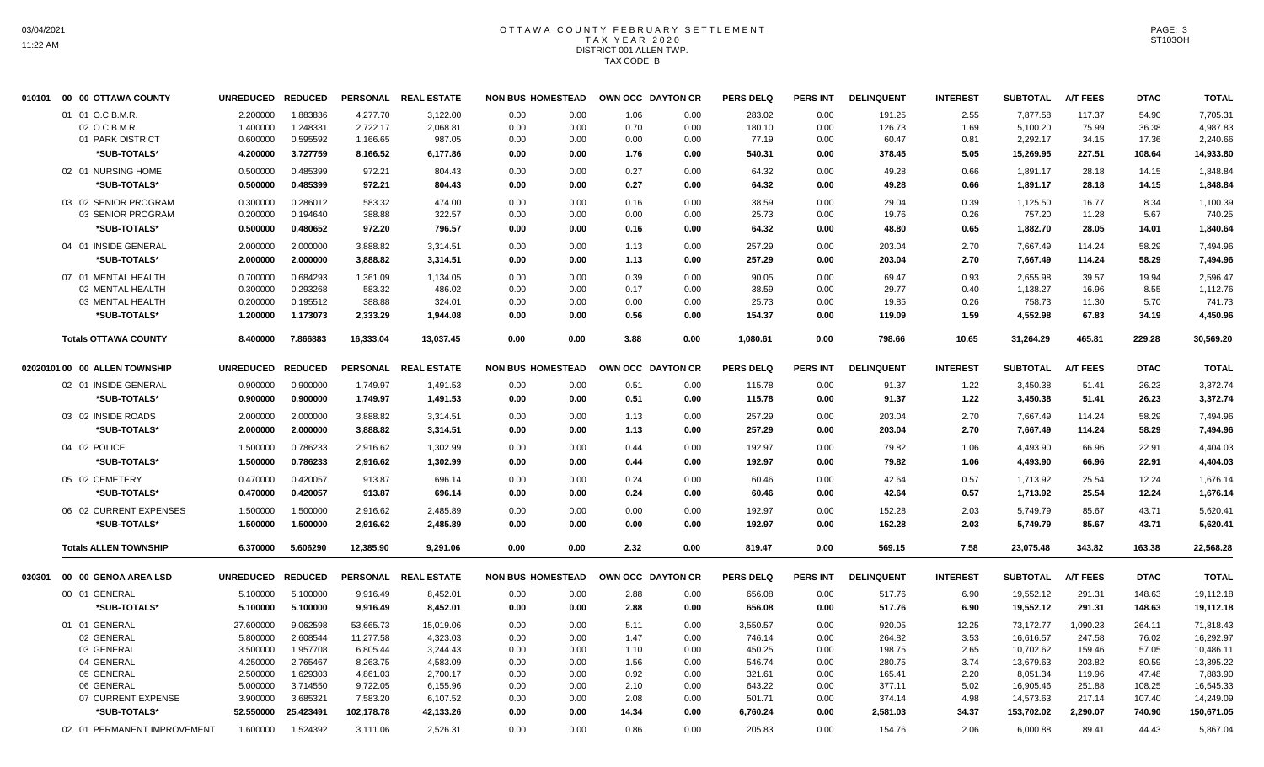## OTTAWA COUNTY FEBRUARY SETTLEMENT TAX YEAR 2020 DISTRICT 001 ALLEN TWP. TAX CODE B

|                    |                                                                                                                                                                                                                                                                                                                                                                                                                                                               | <b>REDUCED</b>                          |                                                                                                                                                                                                                        |                                                                       |                                                                                                                                              |                                              |                                                                                                                                                                                                                                                                                                                                                                                                  |                                                                                                                                                                                                                                                                                                               | <b>PERS INT</b>                                                                                                                                                                                                                                                                                                                                                             | <b>DELINQUENT</b>                                                                                                                                                                                                                                                                                                                                                                                                                                                                                      | <b>INTEREST</b>                                                             | <b>SUBTOTAL</b>                                                 | <b>A/T FEES</b>                                                                          | <b>DTAC</b>                                                              | <b>TOTAL</b>                                                       |
|--------------------|---------------------------------------------------------------------------------------------------------------------------------------------------------------------------------------------------------------------------------------------------------------------------------------------------------------------------------------------------------------------------------------------------------------------------------------------------------------|-----------------------------------------|------------------------------------------------------------------------------------------------------------------------------------------------------------------------------------------------------------------------|-----------------------------------------------------------------------|----------------------------------------------------------------------------------------------------------------------------------------------|----------------------------------------------|--------------------------------------------------------------------------------------------------------------------------------------------------------------------------------------------------------------------------------------------------------------------------------------------------------------------------------------------------------------------------------------------------|---------------------------------------------------------------------------------------------------------------------------------------------------------------------------------------------------------------------------------------------------------------------------------------------------------------|-----------------------------------------------------------------------------------------------------------------------------------------------------------------------------------------------------------------------------------------------------------------------------------------------------------------------------------------------------------------------------|--------------------------------------------------------------------------------------------------------------------------------------------------------------------------------------------------------------------------------------------------------------------------------------------------------------------------------------------------------------------------------------------------------------------------------------------------------------------------------------------------------|-----------------------------------------------------------------------------|-----------------------------------------------------------------|------------------------------------------------------------------------------------------|--------------------------------------------------------------------------|--------------------------------------------------------------------|
|                    | 2.200000                                                                                                                                                                                                                                                                                                                                                                                                                                                      | 1.883836                                | 4,277.70                                                                                                                                                                                                               | 3,122.00                                                              | 0.00                                                                                                                                         |                                              |                                                                                                                                                                                                                                                                                                                                                                                                  |                                                                                                                                                                                                                                                                                                               | 0.00                                                                                                                                                                                                                                                                                                                                                                        | 191.25                                                                                                                                                                                                                                                                                                                                                                                                                                                                                                 | 2.55                                                                        | 7,877.58                                                        | 117.37                                                                                   | 54.90                                                                    | 7,705.31                                                           |
| 02 O.C.B.M.R.      | 1.400000                                                                                                                                                                                                                                                                                                                                                                                                                                                      | 1.248331                                | 2,722.17                                                                                                                                                                                                               | 2,068.81                                                              | 0.00                                                                                                                                         |                                              |                                                                                                                                                                                                                                                                                                                                                                                                  |                                                                                                                                                                                                                                                                                                               | 0.00                                                                                                                                                                                                                                                                                                                                                                        | 126.73                                                                                                                                                                                                                                                                                                                                                                                                                                                                                                 | 1.69                                                                        | 5,100.20                                                        | 75.99                                                                                    | 36.38                                                                    | 4,987.83                                                           |
| 01 PARK DISTRICT   | 0.600000                                                                                                                                                                                                                                                                                                                                                                                                                                                      | 0.595592                                | 1,166.65                                                                                                                                                                                                               | 987.05                                                                | 0.00                                                                                                                                         |                                              |                                                                                                                                                                                                                                                                                                                                                                                                  |                                                                                                                                                                                                                                                                                                               | 0.00                                                                                                                                                                                                                                                                                                                                                                        | 60.47                                                                                                                                                                                                                                                                                                                                                                                                                                                                                                  | 0.81                                                                        | 2,292.17                                                        | 34.15                                                                                    | 17.36                                                                    | 2,240.66                                                           |
| *SUB-TOTALS*       | 4.200000                                                                                                                                                                                                                                                                                                                                                                                                                                                      | 3.727759                                | 8,166.52                                                                                                                                                                                                               | 6,177.86                                                              | 0.00                                                                                                                                         |                                              |                                                                                                                                                                                                                                                                                                                                                                                                  |                                                                                                                                                                                                                                                                                                               | 0.00                                                                                                                                                                                                                                                                                                                                                                        | 378.45                                                                                                                                                                                                                                                                                                                                                                                                                                                                                                 | 5.05                                                                        | 15,269.95                                                       | 227.51                                                                                   | 108.64                                                                   | 14,933.80                                                          |
|                    | 0.500000                                                                                                                                                                                                                                                                                                                                                                                                                                                      | 0.485399                                | 972.21                                                                                                                                                                                                                 | 804.43                                                                | 0.00                                                                                                                                         |                                              |                                                                                                                                                                                                                                                                                                                                                                                                  |                                                                                                                                                                                                                                                                                                               | 0.00                                                                                                                                                                                                                                                                                                                                                                        | 49.28                                                                                                                                                                                                                                                                                                                                                                                                                                                                                                  | 0.66                                                                        | 1,891.17                                                        | 28.18                                                                                    | 14.15                                                                    | 1,848.84                                                           |
| *SUB-TOTALS*       | 0.500000                                                                                                                                                                                                                                                                                                                                                                                                                                                      | 0.485399                                | 972.21                                                                                                                                                                                                                 | 804.43                                                                | 0.00                                                                                                                                         |                                              |                                                                                                                                                                                                                                                                                                                                                                                                  |                                                                                                                                                                                                                                                                                                               | 0.00                                                                                                                                                                                                                                                                                                                                                                        | 49.28                                                                                                                                                                                                                                                                                                                                                                                                                                                                                                  | 0.66                                                                        | 1,891.17                                                        | 28.18                                                                                    | 14.15                                                                    | 1,848.84                                                           |
|                    | 0.300000                                                                                                                                                                                                                                                                                                                                                                                                                                                      | 0.286012                                | 583.32                                                                                                                                                                                                                 | 474.00                                                                | 0.00                                                                                                                                         |                                              |                                                                                                                                                                                                                                                                                                                                                                                                  |                                                                                                                                                                                                                                                                                                               | 0.00                                                                                                                                                                                                                                                                                                                                                                        | 29.04                                                                                                                                                                                                                                                                                                                                                                                                                                                                                                  | 0.39                                                                        | 1,125.50                                                        | 16.77                                                                                    | 8.34                                                                     | 1,100.39                                                           |
| 03 SENIOR PROGRAM  | 0.200000                                                                                                                                                                                                                                                                                                                                                                                                                                                      | 0.194640                                | 388.88                                                                                                                                                                                                                 | 322.57                                                                | 0.00                                                                                                                                         |                                              |                                                                                                                                                                                                                                                                                                                                                                                                  |                                                                                                                                                                                                                                                                                                               | 0.00                                                                                                                                                                                                                                                                                                                                                                        | 19.76                                                                                                                                                                                                                                                                                                                                                                                                                                                                                                  | 0.26                                                                        | 757.20                                                          | 11.28                                                                                    | 5.67                                                                     | 740.25                                                             |
| *SUB-TOTALS*       | 0.500000                                                                                                                                                                                                                                                                                                                                                                                                                                                      | 0.480652                                | 972.20                                                                                                                                                                                                                 | 796.57                                                                | 0.00                                                                                                                                         |                                              |                                                                                                                                                                                                                                                                                                                                                                                                  |                                                                                                                                                                                                                                                                                                               | 0.00                                                                                                                                                                                                                                                                                                                                                                        | 48.80                                                                                                                                                                                                                                                                                                                                                                                                                                                                                                  | 0.65                                                                        | 1,882.70                                                        | 28.05                                                                                    | 14.01                                                                    | 1,840.64                                                           |
|                    | 2.000000                                                                                                                                                                                                                                                                                                                                                                                                                                                      | 2.000000                                | 3,888.82                                                                                                                                                                                                               | 3,314.51                                                              | 0.00                                                                                                                                         |                                              |                                                                                                                                                                                                                                                                                                                                                                                                  |                                                                                                                                                                                                                                                                                                               | 0.00                                                                                                                                                                                                                                                                                                                                                                        | 203.04                                                                                                                                                                                                                                                                                                                                                                                                                                                                                                 | 2.70                                                                        | 7.667.49                                                        | 114.24                                                                                   | 58.29                                                                    | 7,494.96                                                           |
| *SUB-TOTALS*       | 2.000000                                                                                                                                                                                                                                                                                                                                                                                                                                                      | 2.000000                                | 3,888.82                                                                                                                                                                                                               | 3,314.51                                                              | 0.00                                                                                                                                         |                                              |                                                                                                                                                                                                                                                                                                                                                                                                  |                                                                                                                                                                                                                                                                                                               | 0.00                                                                                                                                                                                                                                                                                                                                                                        | 203.04                                                                                                                                                                                                                                                                                                                                                                                                                                                                                                 | 2.70                                                                        | 7,667.49                                                        | 114.24                                                                                   | 58.29                                                                    | 7,494.96                                                           |
|                    | 0.700000                                                                                                                                                                                                                                                                                                                                                                                                                                                      | 0.684293                                | 1,361.09                                                                                                                                                                                                               | 1,134.05                                                              | 0.00                                                                                                                                         |                                              |                                                                                                                                                                                                                                                                                                                                                                                                  |                                                                                                                                                                                                                                                                                                               | 0.00                                                                                                                                                                                                                                                                                                                                                                        | 69.47                                                                                                                                                                                                                                                                                                                                                                                                                                                                                                  | 0.93                                                                        | 2,655.98                                                        | 39.57                                                                                    | 19.94                                                                    | 2.596.47                                                           |
| 02 MENTAL HEALTH   | 0.300000                                                                                                                                                                                                                                                                                                                                                                                                                                                      | 0.293268                                | 583.32                                                                                                                                                                                                                 | 486.02                                                                | 0.00                                                                                                                                         |                                              |                                                                                                                                                                                                                                                                                                                                                                                                  |                                                                                                                                                                                                                                                                                                               | 0.00                                                                                                                                                                                                                                                                                                                                                                        | 29.77                                                                                                                                                                                                                                                                                                                                                                                                                                                                                                  | 0.40                                                                        | 1,138.27                                                        | 16.96                                                                                    | 8.55                                                                     | 1,112.76                                                           |
| 03 MENTAL HEALTH   | 0.200000                                                                                                                                                                                                                                                                                                                                                                                                                                                      | 0.195512                                | 388.88                                                                                                                                                                                                                 | 324.01                                                                | 0.00                                                                                                                                         |                                              |                                                                                                                                                                                                                                                                                                                                                                                                  |                                                                                                                                                                                                                                                                                                               | 0.00                                                                                                                                                                                                                                                                                                                                                                        | 19.85                                                                                                                                                                                                                                                                                                                                                                                                                                                                                                  | 0.26                                                                        | 758.73                                                          | 11.30                                                                                    | 5.70                                                                     | 741.73                                                             |
| *SUB-TOTALS*       | 1.200000                                                                                                                                                                                                                                                                                                                                                                                                                                                      | 1.173073                                | 2,333.29                                                                                                                                                                                                               | 1,944.08                                                              | 0.00                                                                                                                                         |                                              |                                                                                                                                                                                                                                                                                                                                                                                                  |                                                                                                                                                                                                                                                                                                               | 0.00                                                                                                                                                                                                                                                                                                                                                                        | 119.09                                                                                                                                                                                                                                                                                                                                                                                                                                                                                                 | 1.59                                                                        | 4,552.98                                                        | 67.83                                                                                    | 34.19                                                                    | 4,450.96                                                           |
|                    | 8.400000                                                                                                                                                                                                                                                                                                                                                                                                                                                      | 7.866883                                | 16,333.04                                                                                                                                                                                                              | 13,037.45                                                             | 0.00                                                                                                                                         |                                              |                                                                                                                                                                                                                                                                                                                                                                                                  | 1,080.61                                                                                                                                                                                                                                                                                                      | 0.00                                                                                                                                                                                                                                                                                                                                                                        | 798.66                                                                                                                                                                                                                                                                                                                                                                                                                                                                                                 | 10.65                                                                       | 31,264.29                                                       | 465.81                                                                                   | 229.28                                                                   | 30,569.20                                                          |
|                    |                                                                                                                                                                                                                                                                                                                                                                                                                                                               |                                         |                                                                                                                                                                                                                        |                                                                       |                                                                                                                                              |                                              |                                                                                                                                                                                                                                                                                                                                                                                                  |                                                                                                                                                                                                                                                                                                               |                                                                                                                                                                                                                                                                                                                                                                             |                                                                                                                                                                                                                                                                                                                                                                                                                                                                                                        |                                                                             |                                                                 |                                                                                          |                                                                          | <b>TOTAL</b>                                                       |
|                    |                                                                                                                                                                                                                                                                                                                                                                                                                                                               |                                         |                                                                                                                                                                                                                        |                                                                       |                                                                                                                                              |                                              |                                                                                                                                                                                                                                                                                                                                                                                                  |                                                                                                                                                                                                                                                                                                               |                                                                                                                                                                                                                                                                                                                                                                             |                                                                                                                                                                                                                                                                                                                                                                                                                                                                                                        |                                                                             |                                                                 |                                                                                          |                                                                          | 3,372.74                                                           |
|                    |                                                                                                                                                                                                                                                                                                                                                                                                                                                               |                                         |                                                                                                                                                                                                                        |                                                                       |                                                                                                                                              |                                              |                                                                                                                                                                                                                                                                                                                                                                                                  |                                                                                                                                                                                                                                                                                                               |                                                                                                                                                                                                                                                                                                                                                                             |                                                                                                                                                                                                                                                                                                                                                                                                                                                                                                        |                                                                             |                                                                 |                                                                                          |                                                                          | 3,372.74                                                           |
|                    |                                                                                                                                                                                                                                                                                                                                                                                                                                                               |                                         |                                                                                                                                                                                                                        |                                                                       |                                                                                                                                              |                                              |                                                                                                                                                                                                                                                                                                                                                                                                  |                                                                                                                                                                                                                                                                                                               |                                                                                                                                                                                                                                                                                                                                                                             |                                                                                                                                                                                                                                                                                                                                                                                                                                                                                                        |                                                                             |                                                                 |                                                                                          |                                                                          |                                                                    |
|                    |                                                                                                                                                                                                                                                                                                                                                                                                                                                               |                                         |                                                                                                                                                                                                                        |                                                                       |                                                                                                                                              |                                              |                                                                                                                                                                                                                                                                                                                                                                                                  |                                                                                                                                                                                                                                                                                                               |                                                                                                                                                                                                                                                                                                                                                                             |                                                                                                                                                                                                                                                                                                                                                                                                                                                                                                        |                                                                             |                                                                 |                                                                                          |                                                                          | 7,494.96                                                           |
|                    |                                                                                                                                                                                                                                                                                                                                                                                                                                                               |                                         |                                                                                                                                                                                                                        |                                                                       |                                                                                                                                              |                                              |                                                                                                                                                                                                                                                                                                                                                                                                  |                                                                                                                                                                                                                                                                                                               |                                                                                                                                                                                                                                                                                                                                                                             |                                                                                                                                                                                                                                                                                                                                                                                                                                                                                                        |                                                                             |                                                                 |                                                                                          |                                                                          | 7,494.96                                                           |
|                    | 1.500000                                                                                                                                                                                                                                                                                                                                                                                                                                                      | 0.786233                                | 2,916.62                                                                                                                                                                                                               | 1,302.99                                                              | 0.00                                                                                                                                         |                                              |                                                                                                                                                                                                                                                                                                                                                                                                  |                                                                                                                                                                                                                                                                                                               | 0.00                                                                                                                                                                                                                                                                                                                                                                        | 79.82                                                                                                                                                                                                                                                                                                                                                                                                                                                                                                  | 1.06                                                                        | 4,493.90                                                        | 66.96                                                                                    | 22.91                                                                    | 4,404.03                                                           |
| *SUB-TOTALS*       | 1.500000                                                                                                                                                                                                                                                                                                                                                                                                                                                      | 0.786233                                | 2,916.62                                                                                                                                                                                                               | 1,302.99                                                              | 0.00                                                                                                                                         |                                              |                                                                                                                                                                                                                                                                                                                                                                                                  |                                                                                                                                                                                                                                                                                                               | 0.00                                                                                                                                                                                                                                                                                                                                                                        | 79.82                                                                                                                                                                                                                                                                                                                                                                                                                                                                                                  | 1.06                                                                        | 4,493.90                                                        | 66.96                                                                                    | 22.91                                                                    | 4,404.03                                                           |
|                    | 0.470000                                                                                                                                                                                                                                                                                                                                                                                                                                                      | 0.420057                                | 913.87                                                                                                                                                                                                                 | 696.14                                                                | 0.00                                                                                                                                         |                                              |                                                                                                                                                                                                                                                                                                                                                                                                  |                                                                                                                                                                                                                                                                                                               | 0.00                                                                                                                                                                                                                                                                                                                                                                        | 42.64                                                                                                                                                                                                                                                                                                                                                                                                                                                                                                  | 0.57                                                                        | 1,713.92                                                        | 25.54                                                                                    | 12.24                                                                    | 1,676.14                                                           |
| *SUB-TOTALS*       | 0.470000                                                                                                                                                                                                                                                                                                                                                                                                                                                      | 0.420057                                | 913.87                                                                                                                                                                                                                 | 696.14                                                                | 0.00                                                                                                                                         |                                              |                                                                                                                                                                                                                                                                                                                                                                                                  |                                                                                                                                                                                                                                                                                                               | 0.00                                                                                                                                                                                                                                                                                                                                                                        | 42.64                                                                                                                                                                                                                                                                                                                                                                                                                                                                                                  | 0.57                                                                        | 1,713.92                                                        | 25.54                                                                                    | 12.24                                                                    | 1,676.14                                                           |
|                    |                                                                                                                                                                                                                                                                                                                                                                                                                                                               |                                         |                                                                                                                                                                                                                        |                                                                       |                                                                                                                                              |                                              |                                                                                                                                                                                                                                                                                                                                                                                                  |                                                                                                                                                                                                                                                                                                               |                                                                                                                                                                                                                                                                                                                                                                             |                                                                                                                                                                                                                                                                                                                                                                                                                                                                                                        |                                                                             |                                                                 |                                                                                          |                                                                          | 5,620.41                                                           |
| *SUB-TOTALS*       | 1.500000                                                                                                                                                                                                                                                                                                                                                                                                                                                      | 1.500000                                | 2,916.62                                                                                                                                                                                                               | 2,485.89                                                              | 0.00                                                                                                                                         |                                              |                                                                                                                                                                                                                                                                                                                                                                                                  |                                                                                                                                                                                                                                                                                                               | 0.00                                                                                                                                                                                                                                                                                                                                                                        | 152.28                                                                                                                                                                                                                                                                                                                                                                                                                                                                                                 | 2.03                                                                        | 5,749.79                                                        | 85.67                                                                                    | 43.71                                                                    | 5,620.41                                                           |
|                    |                                                                                                                                                                                                                                                                                                                                                                                                                                                               |                                         |                                                                                                                                                                                                                        |                                                                       |                                                                                                                                              |                                              |                                                                                                                                                                                                                                                                                                                                                                                                  |                                                                                                                                                                                                                                                                                                               |                                                                                                                                                                                                                                                                                                                                                                             |                                                                                                                                                                                                                                                                                                                                                                                                                                                                                                        |                                                                             |                                                                 |                                                                                          |                                                                          | 22,568.28                                                          |
|                    |                                                                                                                                                                                                                                                                                                                                                                                                                                                               |                                         |                                                                                                                                                                                                                        |                                                                       |                                                                                                                                              |                                              |                                                                                                                                                                                                                                                                                                                                                                                                  |                                                                                                                                                                                                                                                                                                               |                                                                                                                                                                                                                                                                                                                                                                             |                                                                                                                                                                                                                                                                                                                                                                                                                                                                                                        |                                                                             |                                                                 |                                                                                          |                                                                          |                                                                    |
|                    |                                                                                                                                                                                                                                                                                                                                                                                                                                                               | <b>REDUCED</b>                          |                                                                                                                                                                                                                        |                                                                       |                                                                                                                                              |                                              |                                                                                                                                                                                                                                                                                                                                                                                                  |                                                                                                                                                                                                                                                                                                               | <b>PERS INT</b>                                                                                                                                                                                                                                                                                                                                                             | <b>DELINQUENT</b>                                                                                                                                                                                                                                                                                                                                                                                                                                                                                      | <b>INTEREST</b>                                                             | <b>SUBTOTAL</b>                                                 | <b>A/T FEES</b>                                                                          | <b>DTAC</b>                                                              | <b>TOTAL</b>                                                       |
|                    | 5.100000                                                                                                                                                                                                                                                                                                                                                                                                                                                      | 5.100000                                | 9,916.49                                                                                                                                                                                                               | 8,452.01                                                              | 0.00                                                                                                                                         |                                              |                                                                                                                                                                                                                                                                                                                                                                                                  |                                                                                                                                                                                                                                                                                                               | 0.00                                                                                                                                                                                                                                                                                                                                                                        | 517.76                                                                                                                                                                                                                                                                                                                                                                                                                                                                                                 | 6.90                                                                        | 19,552.12                                                       | 291.31                                                                                   | 148.63                                                                   | 19,112.18                                                          |
| *SUB-TOTALS*       | 5.100000                                                                                                                                                                                                                                                                                                                                                                                                                                                      | 5.100000                                | 9,916.49                                                                                                                                                                                                               | 8,452.01                                                              | 0.00                                                                                                                                         |                                              |                                                                                                                                                                                                                                                                                                                                                                                                  |                                                                                                                                                                                                                                                                                                               | 0.00                                                                                                                                                                                                                                                                                                                                                                        | 517.76                                                                                                                                                                                                                                                                                                                                                                                                                                                                                                 | 6.90                                                                        | 19,552.12                                                       | 291.31                                                                                   | 148.63                                                                   | 19,112.18                                                          |
|                    | 27.600000                                                                                                                                                                                                                                                                                                                                                                                                                                                     | 9.062598                                | 53,665.73                                                                                                                                                                                                              | 15,019.06                                                             | 0.00                                                                                                                                         |                                              |                                                                                                                                                                                                                                                                                                                                                                                                  |                                                                                                                                                                                                                                                                                                               | 0.00                                                                                                                                                                                                                                                                                                                                                                        | 920.05                                                                                                                                                                                                                                                                                                                                                                                                                                                                                                 | 12.25                                                                       | 73,172.77                                                       | 1,090.23                                                                                 | 264.11                                                                   | 71,818.43                                                          |
|                    | 5.800000                                                                                                                                                                                                                                                                                                                                                                                                                                                      |                                         | 11,277.58                                                                                                                                                                                                              | 4,323.03                                                              | 0.00                                                                                                                                         |                                              |                                                                                                                                                                                                                                                                                                                                                                                                  |                                                                                                                                                                                                                                                                                                               | 0.00                                                                                                                                                                                                                                                                                                                                                                        | 264.82                                                                                                                                                                                                                                                                                                                                                                                                                                                                                                 | 3.53                                                                        | 16,616.57                                                       | 247.58                                                                                   | 76.02                                                                    | 16,292.97                                                          |
| 03 GENERAL         | 3.500000                                                                                                                                                                                                                                                                                                                                                                                                                                                      | 1.957708                                | 6,805.44                                                                                                                                                                                                               | 3,244.43                                                              | 0.00                                                                                                                                         |                                              |                                                                                                                                                                                                                                                                                                                                                                                                  |                                                                                                                                                                                                                                                                                                               | 0.00                                                                                                                                                                                                                                                                                                                                                                        | 198.75                                                                                                                                                                                                                                                                                                                                                                                                                                                                                                 | 2.65                                                                        | 10,702.62                                                       | 159.46                                                                                   | 57.05                                                                    | 10,486.11                                                          |
| 04 GENERAL         | 4.250000                                                                                                                                                                                                                                                                                                                                                                                                                                                      | 2.765467                                | 8,263.75                                                                                                                                                                                                               | 4,583.09                                                              | 0.00                                                                                                                                         |                                              |                                                                                                                                                                                                                                                                                                                                                                                                  |                                                                                                                                                                                                                                                                                                               | 0.00                                                                                                                                                                                                                                                                                                                                                                        | 280.75                                                                                                                                                                                                                                                                                                                                                                                                                                                                                                 | 3.74                                                                        | 13,679.63                                                       | 203.82                                                                                   | 80.59                                                                    | 13,395.22                                                          |
| 05 GENERAL         | 2.500000                                                                                                                                                                                                                                                                                                                                                                                                                                                      | 1.629303                                | 4,861.03                                                                                                                                                                                                               | 2,700.17                                                              | 0.00                                                                                                                                         |                                              |                                                                                                                                                                                                                                                                                                                                                                                                  |                                                                                                                                                                                                                                                                                                               | 0.00                                                                                                                                                                                                                                                                                                                                                                        | 165.41                                                                                                                                                                                                                                                                                                                                                                                                                                                                                                 | 2.20                                                                        | 8,051.34                                                        | 119.96                                                                                   | 47.48                                                                    | 7,883.90                                                           |
| 06 GENERAL         | 5.000000                                                                                                                                                                                                                                                                                                                                                                                                                                                      | 3.714550                                | 9,722.05                                                                                                                                                                                                               | 6,155.96                                                              | 0.00                                                                                                                                         |                                              |                                                                                                                                                                                                                                                                                                                                                                                                  |                                                                                                                                                                                                                                                                                                               | 0.00                                                                                                                                                                                                                                                                                                                                                                        | 377.11                                                                                                                                                                                                                                                                                                                                                                                                                                                                                                 | 5.02                                                                        | 16,905.46                                                       | 251.88                                                                                   | 108.25                                                                   | 16,545.33                                                          |
| 07 CURRENT EXPENSE | 3.900000                                                                                                                                                                                                                                                                                                                                                                                                                                                      | 3.685321                                | 7,583.20                                                                                                                                                                                                               | 6,107.52                                                              | 0.00                                                                                                                                         |                                              |                                                                                                                                                                                                                                                                                                                                                                                                  |                                                                                                                                                                                                                                                                                                               | 0.00                                                                                                                                                                                                                                                                                                                                                                        | 374.14                                                                                                                                                                                                                                                                                                                                                                                                                                                                                                 | 4.98                                                                        | 14,573.63                                                       | 217.14                                                                                   | 107.40                                                                   | 14,249.09                                                          |
| *SUB-TOTALS*       |                                                                                                                                                                                                                                                                                                                                                                                                                                                               | 25.423491                               | 102,178.78                                                                                                                                                                                                             | 42,133.26                                                             | 0.00                                                                                                                                         |                                              |                                                                                                                                                                                                                                                                                                                                                                                                  |                                                                                                                                                                                                                                                                                                               | 0.00                                                                                                                                                                                                                                                                                                                                                                        | 2,581.03                                                                                                                                                                                                                                                                                                                                                                                                                                                                                               | 34.37                                                                       | 153,702.02                                                      | 2,290.07                                                                                 | 740.90                                                                   | 150,671.05                                                         |
|                    | 1.600000                                                                                                                                                                                                                                                                                                                                                                                                                                                      | 1.524392                                | 3,111.06                                                                                                                                                                                                               | 2,526.31                                                              | 0.00                                                                                                                                         |                                              |                                                                                                                                                                                                                                                                                                                                                                                                  |                                                                                                                                                                                                                                                                                                               | 0.00                                                                                                                                                                                                                                                                                                                                                                        | 154.76                                                                                                                                                                                                                                                                                                                                                                                                                                                                                                 | 2.06                                                                        | 6,000.88                                                        | 89.41                                                                                    | 44.43                                                                    | 5,867.04                                                           |
|                    | 010101 00 00 OTTAWA COUNTY<br>01 01 O.C.B.M.R.<br>02 01 NURSING HOME<br>03 02 SENIOR PROGRAM<br>04 01 INSIDE GENERAL<br>07 01 MENTAL HEALTH<br><b>Totals OTTAWA COUNTY</b><br>02020101 00 00 ALLEN TOWNSHIP<br>02 01 INSIDE GENERAL<br>*SUB-TOTALS*<br>03 02 INSIDE ROADS<br>*SUB-TOTALS*<br>04 02 POLICE<br>05 02 CEMETERY<br>06 02 CURRENT EXPENSES<br><b>Totals ALLEN TOWNSHIP</b><br>00 00 GENOA AREA LSD<br>00 01 GENERAL<br>01 01 GENERAL<br>02 GENERAL | 2.000000<br>02 01 PERMANENT IMPROVEMENT | <b>UNREDUCED</b><br>UNREDUCED REDUCED<br>0.900000<br>0.900000<br>0.900000<br>0.900000<br>2.000000<br>2.000000<br>2.000000<br>1.500000<br>1.500000<br>5.606290<br>6.370000<br><b>UNREDUCED</b><br>2.608544<br>52.550000 | 1,749.97<br>1,749.97<br>3,888.82<br>3,888.82<br>2,916.62<br>12,385.90 | PERSONAL REAL ESTATE<br>PERSONAL REAL ESTATE<br>1,491.53<br>1,491.53<br>3,314.51<br>3,314.51<br>2,485.89<br>9,291.06<br>PERSONAL REAL ESTATE | 0.00<br>0.00<br>0.00<br>0.00<br>0.00<br>0.00 | <b>NON BUS HOMESTEAD</b><br>0.00<br>0.00<br>0.00<br>0.00<br>0.00<br>0.00<br>0.00<br>0.00<br>0.00<br>0.00<br>0.00<br>0.00<br>0.00<br>0.00<br>0.00<br>0.00<br><b>NON BUS HOMESTEAD</b><br>0.00<br>0.00<br>0.00<br>0.00<br>0.00<br>0.00<br>0.00<br>0.00<br>0.00<br>0.00<br>0.00<br><b>NON BUS HOMESTEAD</b><br>0.00<br>0.00<br>0.00<br>0.00<br>0.00<br>0.00<br>0.00<br>0.00<br>0.00<br>0.00<br>0.00 | 1.06<br>0.70<br>0.00<br>1.76<br>0.27<br>0.27<br>0.16<br>0.00<br>0.16<br>1.13<br>1.13<br>0.39<br>0.17<br>0.00<br>0.56<br>3.88<br>0.51<br>0.51<br>1.13<br>1.13<br>0.44<br>0.44<br>0.24<br>0.24<br>0.00<br>0.00<br>2.32<br>2.88<br>2.88<br>5.11<br>1.47<br>1.10<br>1.56<br>0.92<br>2.10<br>2.08<br>14.34<br>0.86 | OWN OCC DAYTON CR<br>0.00<br>0.00<br>0.00<br>0.00<br>0.00<br>0.00<br>0.00<br>0.00<br>0.00<br>0.00<br>0.00<br>0.00<br>0.00<br>0.00<br>0.00<br>0.00<br>OWN OCC DAYTON CR<br>0.00<br>0.00<br>0.00<br>0.00<br>0.00<br>0.00<br>0.00<br>0.00<br>0.00<br>0.00<br>0.00<br>OWN OCC DAYTON CR<br>0.00<br>0.00<br>0.00<br>0.00<br>0.00<br>0.00<br>0.00<br>0.00<br>0.00<br>0.00<br>0.00 | <b>PERS DELQ</b><br>283.02<br>180.10<br>77.19<br>540.31<br>64.32<br>64.32<br>38.59<br>25.73<br>64.32<br>257.29<br>257.29<br>90.05<br>38.59<br>25.73<br>154.37<br><b>PERS DELQ</b><br><b>PERS INT</b><br>115.78<br>0.00<br>115.78<br>0.00<br>257.29<br>0.00<br>257.29<br>0.00<br>192.97<br>192.97<br>60.46<br>60.46<br>192.97<br>0.00<br>192.97<br>819.47<br>0.00<br><b>PERS DELQ</b><br>656.08<br>656.08<br>3,550.57<br>746.14<br>450.25<br>546.74<br>321.61<br>643.22<br>501.71<br>6,760.24<br>205.83 | <b>DELINQUENT</b><br>91.37<br>91.37<br>203.04<br>203.04<br>152.28<br>569.15 | <b>INTEREST</b><br>1.22<br>1.22<br>2.70<br>2.70<br>2.03<br>7.58 | <b>SUBTOTAL</b><br>3,450.38<br>3,450.38<br>7,667.49<br>7,667.49<br>5,749.79<br>23,075.48 | <b>A/T FEES</b><br>51.41<br>51.41<br>114.24<br>114.24<br>85.67<br>343.82 | <b>DTAC</b><br>26.23<br>26.23<br>58.29<br>58.29<br>43.71<br>163.38 |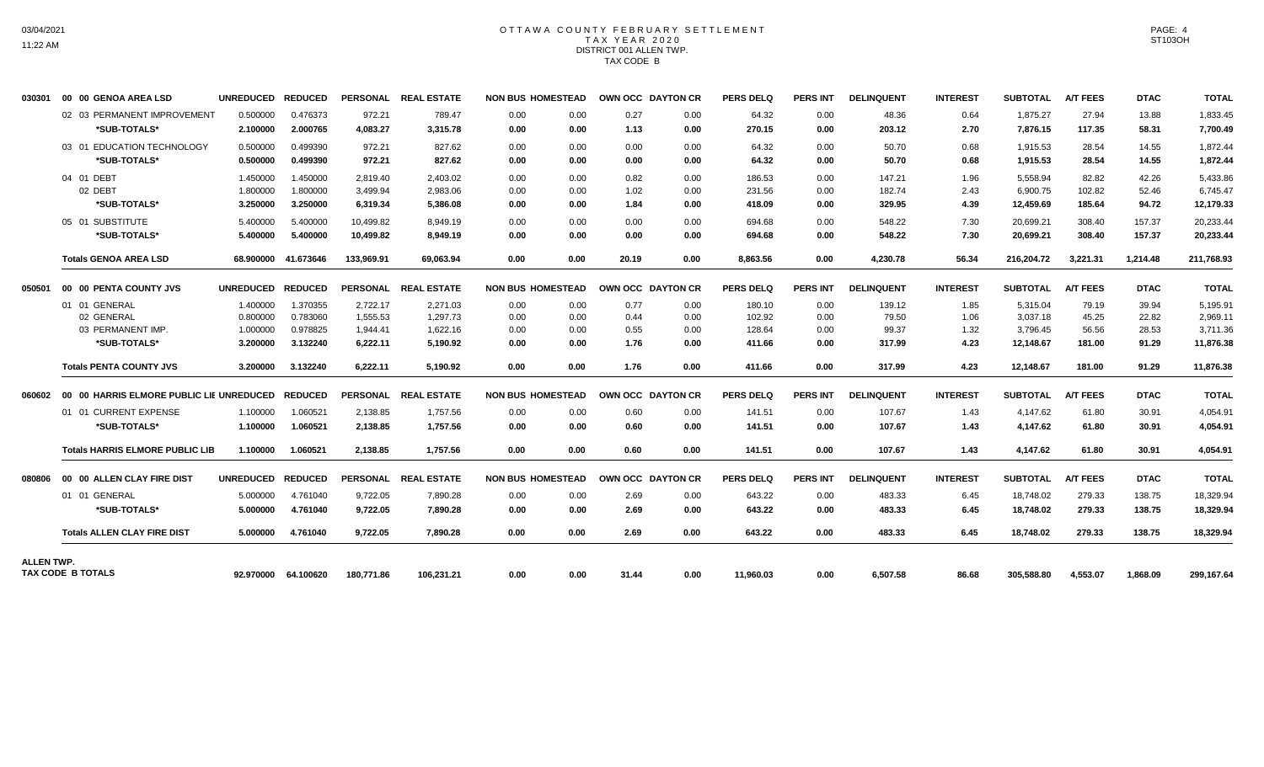## OTTAWA COUNTY FEBRUARY SETTLEMENT TAX YEAR 2020 DISTRICT 001 ALLEN TWP. TAX CODE B

| 030301            | 00 00 GENOA AREA LSD                             | UNREDUCED REDUCED |                     |            | PERSONAL REAL ESTATE | <b>NON BUS HOMESTEAD</b> |      | OWN OCC DAYTON CR |      | <b>PERS DELQ</b> | <b>PERS INT</b> | <b>DELINQUENT</b> | <b>INTEREST</b> | <b>SUBTOTAL</b> | <b>A/T FEES</b> | <b>DTAC</b> | <b>TOTAL</b> |
|-------------------|--------------------------------------------------|-------------------|---------------------|------------|----------------------|--------------------------|------|-------------------|------|------------------|-----------------|-------------------|-----------------|-----------------|-----------------|-------------|--------------|
|                   | 02 03 PERMANENT IMPROVEMENT                      | 0.500000          | 0.476373            | 972.21     | 789.47               | 0.00                     | 0.00 | 0.27              | 0.00 | 64.32            | 0.00            | 48.36             | 0.64            | 1,875.27        | 27.94           | 13.88       | 1,833.45     |
|                   | *SUB-TOTALS*                                     | 2.100000          | 2.000765            | 4,083.27   | 3,315.78             | 0.00                     | 0.00 | 1.13              | 0.00 | 270.15           | 0.00            | 203.12            | 2.70            | 7,876.15        | 117.35          | 58.31       | 7,700.49     |
|                   | 03 01 EDUCATION TECHNOLOGY                       | 0.500000          | 0.499390            | 972.21     | 827.62               | 0.00                     | 0.00 | 0.00              | 0.00 | 64.32            | 0.00            | 50.70             | 0.68            | 1,915.53        | 28.54           | 14.55       | 1,872.44     |
|                   | *SUB-TOTALS*                                     | 0.500000          | 0.499390            | 972.21     | 827.62               | 0.00                     | 0.00 | 0.00              | 0.00 | 64.32            | 0.00            | 50.70             | 0.68            | 1,915.53        | 28.54           | 14.55       | 1,872.44     |
|                   | 04 01 DEBT                                       | 1.450000          | 1.450000            | 2,819.40   | 2,403.02             | 0.00                     | 0.00 | 0.82              | 0.00 | 186.53           | 0.00            | 147.21            | 1.96            | 5,558.94        | 82.82           | 42.26       | 5,433.86     |
|                   | 02 DEBT                                          | 1.800000          | 1.800000            | 3,499.94   | 2,983.06             | 0.00                     | 0.00 | 1.02              | 0.00 | 231.56           | 0.00            | 182.74            | 2.43            | 6,900.75        | 102.82          | 52.46       | 6,745.47     |
|                   | *SUB-TOTALS*                                     | 3.250000          | 3.250000            | 6,319.34   | 5,386.08             | 0.00                     | 0.00 | 1.84              | 0.00 | 418.09           | 0.00            | 329.95            | 4.39            | 12,459.69       | 185.64          | 94.72       | 12,179.33    |
|                   | 05 01 SUBSTITUTE                                 | 5.400000          | 5.400000            | 10.499.82  | 8.949.19             | 0.00                     | 0.00 | 0.00              | 0.00 | 694.68           | 0.00            | 548.22            | 7.30            | 20.699.21       | 308.40          | 157.37      | 20,233.44    |
|                   | *SUB-TOTALS*                                     | 5.400000          | 5.400000            | 10,499.82  | 8,949.19             | 0.00                     | 0.00 | 0.00              | 0.00 | 694.68           | 0.00            | 548.22            | 7.30            | 20,699.21       | 308.40          | 157.37      | 20,233.44    |
|                   | <b>Totals GENOA AREA LSD</b>                     |                   | 68.900000 41.673646 | 133.969.91 | 69,063.94            | 0.00                     | 0.00 | 20.19             | 0.00 | 8,863.56         | 0.00            | 4,230.78          | 56.34           | 216,204.72      | 3,221.31        | 1,214.48    | 211,768.93   |
| 050501            | 00 00 PENTA COUNTY JVS                           | UNREDUCED REDUCED |                     |            | PERSONAL REAL ESTATE | <b>NON BUS HOMESTEAD</b> |      | OWN OCC DAYTON CR |      | <b>PERS DELQ</b> | <b>PERS INT</b> | <b>DELINQUENT</b> | <b>INTEREST</b> | <b>SUBTOTAL</b> | <b>A/T FEES</b> | <b>DTAC</b> | <b>TOTAL</b> |
|                   | 01 01 GENERAL                                    | 1.400000          | 1.370355            | 2,722.17   | 2,271.03             | 0.00                     | 0.00 | 0.77              | 0.00 | 180.10           | 0.00            | 139.12            | 1.85            | 5,315.04        | 79.19           | 39.94       | 5,195.91     |
|                   | 02 GENERAL                                       | 0.800000          | 0.783060            | 1,555.53   | 1.297.73             | 0.00                     | 0.00 | 0.44              | 0.00 | 102.92           | 0.00            | 79.50             | 1.06            | 3,037.18        | 45.25           | 22.82       | 2,969.11     |
|                   | 03 PERMANENT IMP.                                | 1.000000          | 0.978825            | 1,944.41   | 1,622.16             | 0.00                     | 0.00 | 0.55              | 0.00 | 128.64           | 0.00            | 99.37             | 1.32            | 3,796.45        | 56.56           | 28.53       | 3,711.36     |
|                   | *SUB-TOTALS*                                     | 3.200000          | 3.132240            | 6,222.11   | 5,190.92             | 0.00                     | 0.00 | 1.76              | 0.00 | 411.66           | 0.00            | 317.99            | 4.23            | 12,148.67       | 181.00          | 91.29       | 11,876.38    |
|                   | <b>Totals PENTA COUNTY JVS</b>                   | 3.200000          | 3.132240            | 6,222.11   | 5,190.92             | 0.00                     | 0.00 | 1.76              | 0.00 | 411.66           | 0.00            | 317.99            | 4.23            | 12,148.67       | 181.00          | 91.29       | 11,876.38    |
| 060602            | 00 00 HARRIS ELMORE PUBLIC LIE UNREDUCED REDUCED |                   |                     |            | PERSONAL REAL ESTATE | <b>NON BUS HOMESTEAD</b> |      | OWN OCC DAYTON CR |      | <b>PERS DELQ</b> | <b>PERS INT</b> | <b>DELINQUENT</b> | <b>INTEREST</b> | <b>SUBTOTAL</b> | <b>A/T FEES</b> | <b>DTAC</b> | <b>TOTAL</b> |
|                   | 01 01 CURRENT EXPENSE                            | 1.100000          | 1.060521            | 2,138.85   | 1.757.56             | 0.00                     | 0.00 | 0.60              | 0.00 | 141.51           | 0.00            | 107.67            | 1.43            | 4.147.62        | 61.80           | 30.91       | 4,054.91     |
|                   | *SUB-TOTALS*                                     | 1.100000          | 1.060521            | 2,138.85   | 1.757.56             | 0.00                     | 0.00 | 0.60              | 0.00 | 141.51           | 0.00            | 107.67            | 1.43            | 4.147.62        | 61.80           | 30.91       | 4,054.91     |
|                   | <b>Totals HARRIS ELMORE PUBLIC LIB</b>           | 1.100000          | 1.060521            | 2,138.85   | 1,757.56             | 0.00                     | 0.00 | 0.60              | 0.00 | 141.51           | 0.00            | 107.67            | 1.43            | 4,147.62        | 61.80           | 30.91       | 4,054.91     |
| 080806            | 00 00 ALLEN CLAY FIRE DIST                       | UNREDUCED REDUCED |                     |            | PERSONAL REAL ESTATE | <b>NON BUS HOMESTEAD</b> |      | OWN OCC DAYTON CR |      | <b>PERS DELQ</b> | <b>PERS INT</b> | <b>DELINQUENT</b> | <b>INTEREST</b> | <b>SUBTOTAL</b> | <b>A/T FEES</b> | <b>DTAC</b> | <b>TOTAL</b> |
|                   | 01 01 GENERAL                                    | 5.000000          | 4.761040            | 9.722.05   | 7,890.28             | 0.00                     | 0.00 | 2.69              | 0.00 | 643.22           | 0.00            | 483.33            | 6.45            | 18.748.02       | 279.33          | 138.75      | 18,329.94    |
|                   | *SUB-TOTALS*                                     | 5.000000          | 4.761040            | 9.722.05   | 7.890.28             | 0.00                     | 0.00 | 2.69              | 0.00 | 643.22           | 0.00            | 483.33            | 6.45            | 18,748.02       | 279.33          | 138.75      | 18,329.94    |
|                   | <b>Totals ALLEN CLAY FIRE DIST</b>               | 5.000000          | 4.761040            | 9,722.05   | 7,890.28             | 0.00                     | 0.00 | 2.69              | 0.00 | 643.22           | 0.00            | 483.33            | 6.45            | 18,748.02       | 279.33          | 138.75      | 18,329.94    |
| <b>ALLEN TWP.</b> |                                                  |                   |                     |            |                      |                          |      |                   |      |                  |                 |                   |                 |                 |                 |             |              |
|                   | TAX CODE B TOTALS                                |                   | 92.970000 64.100620 | 180.771.86 | 106,231.21           | 0.00                     | 0.00 | 31.44             | 0.00 | 11.960.03        | 0.00            | 6,507.58          | 86.68           | 305.588.80      | 4.553.07        | 1.868.09    | 299.167.64   |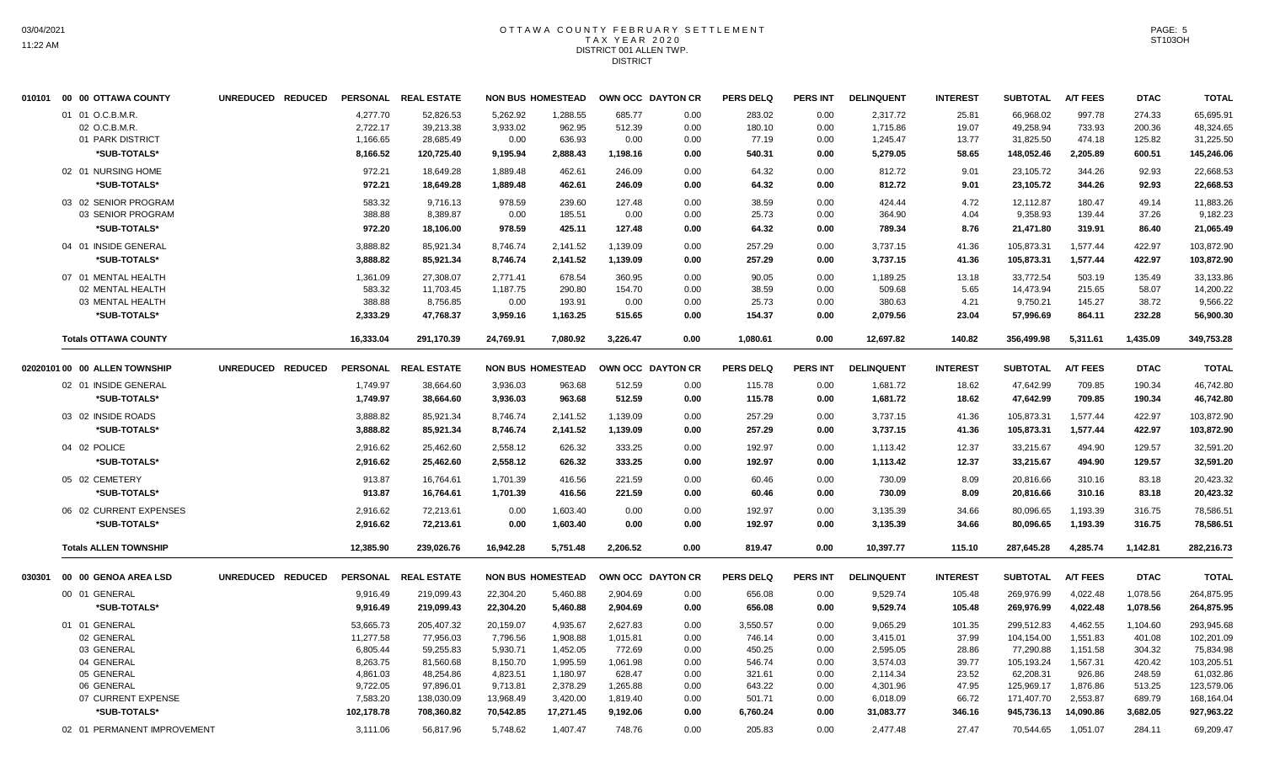#### OTTAWA COUNTY FEBRUARY SETTLEMENT TAX YEAR 2020 DISTRICT 001 ALLEN TWP. DISTRICT

|        | 010101 00 00 OTTAWA COUNTY    | UNREDUCED REDUCED |                 | PERSONAL REAL ESTATE |           | <b>NON BUS HOMESTEAD</b> |          | OWN OCC DAYTON CR | <b>PERS DELQ</b> | PERS INT        | <b>DELINQUENT</b> | <b>INTEREST</b> | <b>SUBTOTAL</b> | <b>A/T FEES</b> | <b>DTAC</b> | <b>TOTAL</b> |
|--------|-------------------------------|-------------------|-----------------|----------------------|-----------|--------------------------|----------|-------------------|------------------|-----------------|-------------------|-----------------|-----------------|-----------------|-------------|--------------|
|        | 01 01 O.C.B.M.R.              |                   | 4.277.70        | 52.826.53            | 5.262.92  | 1.288.55                 | 685.77   | 0.00              | 283.02           | 0.00            | 2,317.72          | 25.81           | 66,968.02       | 997.78          | 274.33      | 65,695.91    |
|        | 02 O.C.B.M.R.                 |                   | 2,722.17        | 39,213.38            | 3,933.02  | 962.95                   | 512.39   | 0.00              | 180.10           | 0.00            | 1,715.86          | 19.07           | 49,258.94       | 733.93          | 200.36      | 48,324.65    |
|        | 01 PARK DISTRICT              |                   | 1,166.65        | 28,685.49            | 0.00      | 636.93                   | 0.00     | 0.00              | 77.19            | 0.00            | 1,245.47          | 13.77           | 31,825.50       | 474.18          | 125.82      | 31,225.50    |
|        | *SUB-TOTALS*                  |                   | 8,166.52        | 120,725.40           | 9,195.94  | 2,888.43                 | 1,198.16 | 0.00              | 540.31           | 0.00            | 5,279.05          | 58.65           | 148,052.46      | 2,205.89        | 600.51      | 145,246.06   |
|        | 02 01 NURSING HOME            |                   | 972.21          | 18,649.28            | 1,889.48  | 462.61                   | 246.09   | 0.00              | 64.32            | 0.00            | 812.72            | 9.01            | 23,105.72       | 344.26          | 92.93       | 22,668.53    |
|        | *SUB-TOTALS*                  |                   | 972.21          | 18,649.28            | 1,889.48  | 462.61                   | 246.09   | 0.00              | 64.32            | 0.00            | 812.72            | 9.01            | 23,105.72       | 344.26          | 92.93       | 22,668.53    |
|        | 03 02 SENIOR PROGRAM          |                   | 583.32          | 9,716.13             | 978.59    | 239.60                   | 127.48   | 0.00              | 38.59            | 0.00            | 424.44            | 4.72            | 12,112.87       | 180.47          | 49.14       | 11,883.26    |
|        | 03 SENIOR PROGRAM             |                   | 388.88          | 8,389.87             | 0.00      | 185.51                   | 0.00     | 0.00              | 25.73            | 0.00            | 364.90            | 4.04            | 9,358.93        | 139.44          | 37.26       | 9,182.23     |
|        | *SUB-TOTALS*                  |                   | 972.20          | 18,106.00            | 978.59    | 425.11                   | 127.48   | 0.00              | 64.32            | 0.00            | 789.34            | 8.76            | 21,471.80       | 319.91          | 86.40       | 21,065.49    |
|        | 04 01 INSIDE GENERAL          |                   | 3,888.82        | 85,921.34            | 8,746.74  | 2,141.52                 | 1,139.09 | 0.00              | 257.29           | 0.00            | 3,737.15          | 41.36           | 105,873.31      | 1,577.44        | 422.97      | 103,872.90   |
|        | *SUB-TOTALS*                  |                   | 3.888.82        | 85.921.34            | 8.746.74  | 2.141.52                 | 1,139.09 | 0.00              | 257.29           | 0.00            | 3,737.15          | 41.36           | 105.873.31      | 1.577.44        | 422.97      | 103,872.90   |
|        | 07 01 MENTAL HEALTH           |                   | 1,361.09        | 27,308.07            | 2,771.41  | 678.54                   | 360.95   | 0.00              | 90.05            | 0.00            | 1,189.25          | 13.18           | 33,772.54       | 503.19          | 135.49      | 33,133.86    |
|        | 02 MENTAL HEALTH              |                   | 583.32          | 11,703.45            | 1,187.75  | 290.80                   | 154.70   | 0.00              | 38.59            | 0.00            | 509.68            | 5.65            | 14,473.94       | 215.65          | 58.07       | 14,200.22    |
|        | 03 MENTAL HEALTH              |                   | 388.88          | 8,756.85             | 0.00      | 193.91                   | 0.00     | 0.00              | 25.73            | 0.00            | 380.63            | 4.21            | 9,750.21        | 145.27          | 38.72       | 9,566.22     |
|        | *SUB-TOTALS*                  |                   | 2,333.29        | 47,768.37            | 3,959.16  | 1,163.25                 | 515.65   | 0.00              | 154.37           | 0.00            | 2,079.56          | 23.04           | 57.996.69       | 864.11          | 232.28      | 56.900.30    |
|        | <b>Totals OTTAWA COUNTY</b>   |                   | 16,333.04       | 291,170.39           | 24,769.91 | 7,080.92                 | 3,226.47 | 0.00              | 1,080.61         | 0.00            | 12,697.82         | 140.82          | 356,499.98      | 5,311.61        | 1,435.09    | 349,753.28   |
|        | 02020101 00 00 ALLEN TOWNSHIP | UNREDUCED REDUCED |                 | PERSONAL REAL ESTATE |           | <b>NON BUS HOMESTEAD</b> |          | OWN OCC DAYTON CR | <b>PERS DELQ</b> | <b>PERS INT</b> | <b>DELINQUENT</b> | <b>INTEREST</b> | <b>SUBTOTAL</b> | <b>A/T FEES</b> | <b>DTAC</b> | <b>TOTAL</b> |
|        | 02 01 INSIDE GENERAL          |                   | 1,749.97        | 38,664.60            | 3,936.03  | 963.68                   | 512.59   | 0.00              | 115.78           | 0.00            | 1,681.72          | 18.62           | 47,642.99       | 709.85          | 190.34      | 46,742.80    |
|        | *SUB-TOTALS*                  |                   | 1,749.97        | 38,664.60            | 3,936.03  | 963.68                   | 512.59   | 0.00              | 115.78           | 0.00            | 1,681.72          | 18.62           | 47,642.99       | 709.85          | 190.34      | 46,742.80    |
|        |                               |                   |                 |                      |           |                          |          |                   |                  |                 |                   |                 |                 |                 |             |              |
|        | 03 02 INSIDE ROADS            |                   | 3.888.82        | 85.921.34            | 8,746.74  | 2,141.52                 | 1,139.09 | 0.00              | 257.29           | 0.00            | 3,737.15          | 41.36           | 105,873.31      | 1.577.44        | 422.97      | 103,872.90   |
|        | *SUB-TOTALS*                  |                   | 3,888.82        | 85,921.34            | 8,746.74  | 2,141.52                 | 1,139.09 | 0.00              | 257.29           | 0.00            | 3,737.15          | 41.36           | 105,873.31      | 1,577.44        | 422.97      | 103,872.90   |
|        | 04 02 POLICE                  |                   | 2,916.62        | 25,462.60            | 2,558.12  | 626.32                   | 333.25   | 0.00              | 192.97           | 0.00            | 1,113.42          | 12.37           | 33,215.67       | 494.90          | 129.57      | 32,591.20    |
|        | *SUB-TOTALS*                  |                   | 2,916.62        | 25,462.60            | 2,558.12  | 626.32                   | 333.25   | 0.00              | 192.97           | 0.00            | 1,113.42          | 12.37           | 33,215.67       | 494.90          | 129.57      | 32,591.20    |
|        | 05 02 CEMETERY                |                   | 913.87          | 16,764.61            | 1.701.39  | 416.56                   | 221.59   | 0.00              | 60.46            | 0.00            | 730.09            | 8.09            | 20,816.66       | 310.16          | 83.18       | 20,423.32    |
|        | *SUB-TOTALS*                  |                   | 913.87          | 16,764.61            | 1,701.39  | 416.56                   | 221.59   | 0.00              | 60.46            | 0.00            | 730.09            | 8.09            | 20,816.66       | 310.16          | 83.18       | 20,423.32    |
|        | 06 02 CURRENT EXPENSES        |                   | 2,916.62        | 72,213.61            | 0.00      | 1,603.40                 | 0.00     | 0.00              | 192.97           | 0.00            | 3,135.39          | 34.66           | 80,096.65       | 1,193.39        | 316.75      | 78,586.51    |
|        | *SUB-TOTALS*                  |                   | 2,916.62        | 72,213.61            | 0.00      | 1,603.40                 | 0.00     | 0.00              | 192.97           | 0.00            | 3,135.39          | 34.66           | 80,096.65       | 1,193.39        | 316.75      | 78,586.51    |
|        | <b>Totals ALLEN TOWNSHIP</b>  |                   | 12,385.90       | 239,026.76           | 16,942.28 | 5,751.48                 | 2,206.52 | 0.00              | 819.47           | 0.00            | 10,397.77         | 115.10          | 287,645.28      | 4,285.74        | 1,142.81    | 282,216.73   |
|        |                               |                   |                 |                      |           |                          |          |                   |                  |                 |                   |                 |                 |                 |             |              |
| 030301 | 00 00 GENOA AREA LSD          | UNREDUCED REDUCED | <b>PERSONAL</b> | <b>REAL ESTATE</b>   |           | <b>NON BUS HOMESTEAD</b> |          | OWN OCC DAYTON CR | <b>PERS DELQ</b> | <b>PERS INT</b> | <b>DELINQUENT</b> | <b>INTEREST</b> | <b>SUBTOTAL</b> | <b>A/T FEES</b> | <b>DTAC</b> | <b>TOTAL</b> |
|        | 00 01 GENERAL                 |                   | 9,916.49        | 219,099.43           | 22,304.20 | 5,460.88                 | 2,904.69 | 0.00              | 656.08           | 0.00            | 9,529.74          | 105.48          | 269,976.99      | 4,022.48        | 1,078.56    | 264,875.95   |
|        | *SUB-TOTALS*                  |                   | 9,916.49        | 219,099.43           | 22,304.20 | 5,460.88                 | 2,904.69 | 0.00              | 656.08           | 0.00            | 9,529.74          | 105.48          | 269,976.99      | 4,022.48        | 1,078.56    | 264,875.95   |
|        | 01 01 GENERAL                 |                   | 53,665.73       | 205,407.32           | 20,159.07 | 4,935.67                 | 2,627.83 | 0.00              | 3,550.57         | 0.00            | 9,065.29          | 101.35          | 299,512.83      | 4,462.55        | 1,104.60    | 293,945.68   |
|        | 02 GENERAL                    |                   | 11,277.58       | 77.956.03            | 7.796.56  | 1.908.88                 | 1,015.81 | 0.00              | 746.14           | 0.00            | 3,415.01          | 37.99           | 104,154.00      | 1.551.83        | 401.08      | 102,201.09   |
|        | 03 GENERAL                    |                   | 6,805.44        | 59,255.83            | 5,930.71  | 1,452.05                 | 772.69   | 0.00              | 450.25           | 0.00            | 2,595.05          | 28.86           | 77,290.88       | 1,151.58        | 304.32      | 75,834.98    |
|        | 04 GENERAL                    |                   | 8,263.75        | 81,560.68            | 8,150.70  | 1,995.59                 | 1,061.98 | 0.00              | 546.74           | 0.00            | 3,574.03          | 39.77           | 105,193.24      | 1,567.31        | 420.42      | 103,205.51   |
|        | 05 GENERAL                    |                   | 4,861.03        | 48,254.86            | 4,823.51  | 1,180.97                 | 628.47   | 0.00              | 321.61           | 0.00            | 2,114.34          | 23.52           | 62,208.31       | 926.86          | 248.59      | 61,032.86    |
|        | 06 GENERAL                    |                   | 9,722.05        | 97,896.01            | 9,713.81  | 2,378.29                 | 1,265.88 | 0.00              | 643.22           | 0.00            | 4,301.96          | 47.95           | 125,969.17      | 1,876.86        | 513.25      | 123,579.06   |
|        | 07 CURRENT EXPENSE            |                   | 7,583.20        | 138,030.09           | 13,968.49 | 3,420.00                 | 1,819.40 | 0.00              | 501.71           | 0.00            | 6,018.09          | 66.72           | 171,407.70      | 2,553.87        | 689.79      | 168,164.04   |
|        | *SUB-TOTALS*                  |                   | 102,178.78      | 708,360.82           | 70,542.85 | 17,271.45                | 9,192.06 | 0.00              | 6,760.24         | 0.00            | 31,083.77         | 346.16          | 945,736.13      | 14,090.86       | 3,682.05    | 927,963.22   |
|        | 02 01 PERMANENT IMPROVEMENT   |                   | 3,111.06        | 56,817.96            | 5,748.62  | 1,407.47                 | 748.76   | 0.00              | 205.83           | 0.00            | 2,477.48          | 27.47           | 70,544.65       | 1,051.07        | 284.11      | 69,209.47    |

PAGE: 5 ST103OH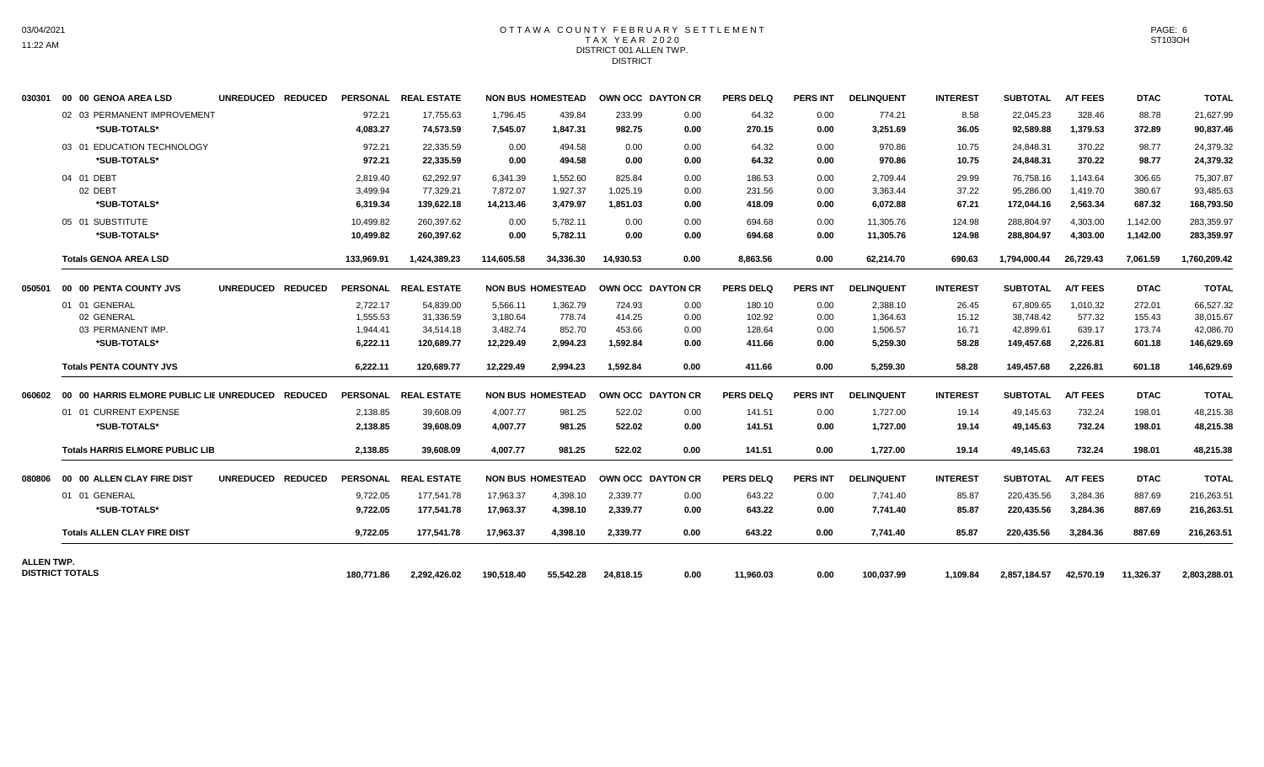### OTTAWA COUNTY FEBRUARY SETTLEMENT TAX YEAR 2020 DISTRICT 001 ALLEN TWP. DISTRICT

| 030301     | 00 00 GENOA AREA LSD                             | UNREDUCED REDUCED |            | PERSONAL REAL ESTATE |            | <b>NON BUS HOMESTEAD</b> | OWN OCC DAYTON CR |      | <b>PERS DELQ</b> | <b>PERS INT</b> | <b>DELINQUENT</b> | <b>INTEREST</b> | <b>SUBTOTAL</b> | <b>A/T FEES</b>     | <b>DTAC</b> | <b>TOTAL</b> |
|------------|--------------------------------------------------|-------------------|------------|----------------------|------------|--------------------------|-------------------|------|------------------|-----------------|-------------------|-----------------|-----------------|---------------------|-------------|--------------|
|            | 02 03 PERMANENT IMPROVEMENT                      |                   | 972.21     | 17,755.63            | 1,796.45   | 439.84                   | 233.99            | 0.00 | 64.32            | 0.00            | 774.21            | 8.58            | 22,045.23       | 328.46              | 88.78       | 21,627.99    |
|            | *SUB-TOTALS*                                     |                   | 4,083.27   | 74,573.59            | 7,545.07   | 1,847.31                 | 982.75            | 0.00 | 270.15           | 0.00            | 3,251.69          | 36.05           | 92,589.88       | 1,379.53            | 372.89      | 90,837.46    |
|            | 03 01 EDUCATION TECHNOLOGY                       |                   | 972.21     | 22,335.59            | 0.00       | 494.58                   | 0.00              | 0.00 | 64.32            | 0.00            | 970.86            | 10.75           | 24,848.31       | 370.22              | 98.77       | 24,379.32    |
|            | *SUB-TOTALS*                                     |                   | 972.21     | 22,335.59            | 0.00       | 494.58                   | 0.00              | 0.00 | 64.32            | 0.00            | 970.86            | 10.75           | 24,848.31       | 370.22              | 98.77       | 24,379.32    |
|            | 04 01 DEBT                                       |                   | 2,819.40   | 62,292.97            | 6,341.39   | 1,552.60                 | 825.84            | 0.00 | 186.53           | 0.00            | 2,709.44          | 29.99           | 76,758.16       | 1,143.64            | 306.65      | 75,307.87    |
|            | 02 DEBT                                          |                   | 3,499.94   | 77,329.21            | 7,872.07   | 1,927.37                 | 1,025.19          | 0.00 | 231.56           | 0.00            | 3,363.44          | 37.22           | 95,286.00       | 1,419.70            | 380.67      | 93,485.63    |
|            | *SUB-TOTALS*                                     |                   | 6,319.34   | 139,622.18           | 14,213.46  | 3,479.97                 | 1,851.03          | 0.00 | 418.09           | 0.00            | 6,072.88          | 67.21           | 172,044.16      | 2,563.34            | 687.32      | 168,793.50   |
|            | 05 01 SUBSTITUTE                                 |                   | 10,499.82  | 260.397.62           | 0.00       | 5.782.11                 | 0.00              | 0.00 | 694.68           | 0.00            | 11,305.76         | 124.98          | 288,804.97      | 4,303.00            | 1,142.00    | 283,359.97   |
|            | *SUB-TOTALS*                                     |                   | 10,499.82  | 260,397.62           | 0.00       | 5,782.11                 | 0.00              | 0.00 | 694.68           | 0.00            | 11,305.76         | 124.98          | 288,804.97      | 4,303.00            | 1,142.00    | 283,359.97   |
|            | <b>Totals GENOA AREA LSD</b>                     |                   | 133,969.91 | 1,424,389.23         | 114,605.58 | 34,336.30                | 14,930.53         | 0.00 | 8,863.56         | 0.00            | 62,214.70         | 690.63          | 1,794,000.44    | 26,729.43           | 7,061.59    | 1,760,209.42 |
| 050501     | 00 00 PENTA COUNTY JVS                           | UNREDUCED REDUCED |            | PERSONAL REAL ESTATE |            | <b>NON BUS HOMESTEAD</b> | OWN OCC DAYTON CR |      | <b>PERS DELQ</b> | <b>PERS INT</b> | <b>DELINQUENT</b> | <b>INTEREST</b> | <b>SUBTOTAL</b> | <b>A/T FEES</b>     | <b>DTAC</b> | <b>TOTAL</b> |
|            | 01 01 GENERAL                                    |                   | 2,722.17   | 54,839.00            | 5.566.11   | 1.362.79                 | 724.93            | 0.00 | 180.10           | 0.00            | 2.388.10          | 26.45           | 67,809.65       | 1.010.32            | 272.01      | 66,527.32    |
|            | 02 GENERAL                                       |                   | 1,555.53   | 31,336.59            | 3,180.64   | 778.74                   | 414.25            | 0.00 | 102.92           | 0.00            | 1,364.63          | 15.12           | 38,748.42       | 577.32              | 155.43      | 38,015.67    |
|            | 03 PERMANENT IMP.                                |                   | 1,944.41   | 34,514.18            | 3,482.74   | 852.70                   | 453.66            | 0.00 | 128.64           | 0.00            | 1,506.57          | 16.71           | 42,899.61       | 639.17              | 173.74      | 42,086.70    |
|            | *SUB-TOTALS*                                     |                   | 6,222.11   | 120,689.77           | 12,229.49  | 2,994.23                 | 1,592.84          | 0.00 | 411.66           | 0.00            | 5,259.30          | 58.28           | 149,457.68      | 2,226.81            | 601.18      | 146,629.69   |
|            | <b>Totals PENTA COUNTY JVS</b>                   |                   | 6,222.11   | 120,689.77           | 12,229.49  | 2,994.23                 | 1.592.84          | 0.00 | 411.66           | 0.00            | 5,259.30          | 58.28           | 149,457.68      | 2,226.81            | 601.18      | 146,629.69   |
| 060602     | 00 00 HARRIS ELMORE PUBLIC LIE UNREDUCED REDUCED |                   |            | PERSONAL REAL ESTATE |            | <b>NON BUS HOMESTEAD</b> | OWN OCC DAYTON CR |      | <b>PERS DELQ</b> | <b>PERS INT</b> | <b>DELINQUENT</b> | <b>INTEREST</b> | <b>SUBTOTAL</b> | <b>A/T FEES</b>     | <b>DTAC</b> | <b>TOTAL</b> |
|            | 01 01 CURRENT EXPENSE                            |                   | 2,138.85   | 39,608.09            | 4,007.77   | 981.25                   | 522.02            | 0.00 | 141.51           | 0.00            | 1,727.00          | 19.14           | 49,145.63       | 732.24              | 198.01      | 48,215.38    |
|            | *SUB-TOTALS*                                     |                   | 2,138.85   | 39,608.09            | 4,007.77   | 981.25                   | 522.02            | 0.00 | 141.51           | 0.00            | 1,727.00          | 19.14           | 49,145.63       | 732.24              | 198.01      | 48,215.38    |
|            | <b>Totals HARRIS ELMORE PUBLIC LIB</b>           |                   | 2,138.85   | 39.608.09            | 4.007.77   | 981.25                   | 522.02            | 0.00 | 141.51           | 0.00            | 1,727.00          | 19.14           | 49,145.63       | 732.24              | 198.01      | 48,215.38    |
| 080806     | 00 00 ALLEN CLAY FIRE DIST                       | UNREDUCED REDUCED |            | PERSONAL REAL ESTATE |            | <b>NON BUS HOMESTEAD</b> | OWN OCC DAYTON CR |      | <b>PERS DELQ</b> | <b>PERS INT</b> | <b>DELINQUENT</b> | <b>INTEREST</b> | <b>SUBTOTAL</b> | <b>A/T FEES</b>     | <b>DTAC</b> | <b>TOTAL</b> |
|            | 01 01 GENERAL                                    |                   | 9,722.05   | 177,541.78           | 17,963.37  | 4,398.10                 | 2,339.77          | 0.00 | 643.22           | 0.00            | 7,741.40          | 85.87           | 220,435.56      | 3,284.36            | 887.69      | 216,263.51   |
|            | *SUB-TOTALS*                                     |                   | 9,722.05   | 177,541.78           | 17,963.37  | 4,398.10                 | 2,339.77          | 0.00 | 643.22           | 0.00            | 7,741.40          | 85.87           | 220,435.56      | 3,284.36            | 887.69      | 216,263.51   |
|            | <b>Totals ALLEN CLAY FIRE DIST</b>               |                   | 9,722.05   | 177,541.78           | 17.963.37  | 4.398.10                 | 2,339.77          | 0.00 | 643.22           | 0.00            | 7.741.40          | 85.87           | 220,435.56      | 3.284.36            | 887.69      | 216,263.51   |
| ALLEN TWP. |                                                  |                   |            |                      |            |                          |                   |      |                  |                 |                   |                 |                 |                     |             |              |
|            | <b>DISTRICT TOTALS</b>                           |                   | 180.771.86 | 2.292.426.02         | 190.518.40 | 55,542.28                | 24.818.15         | 0.00 | 11.960.03        | 0.00            | 100.037.99        | 1.109.84        | 2.857.184.57    | 42,570.19 11,326.37 |             | 2.803.288.01 |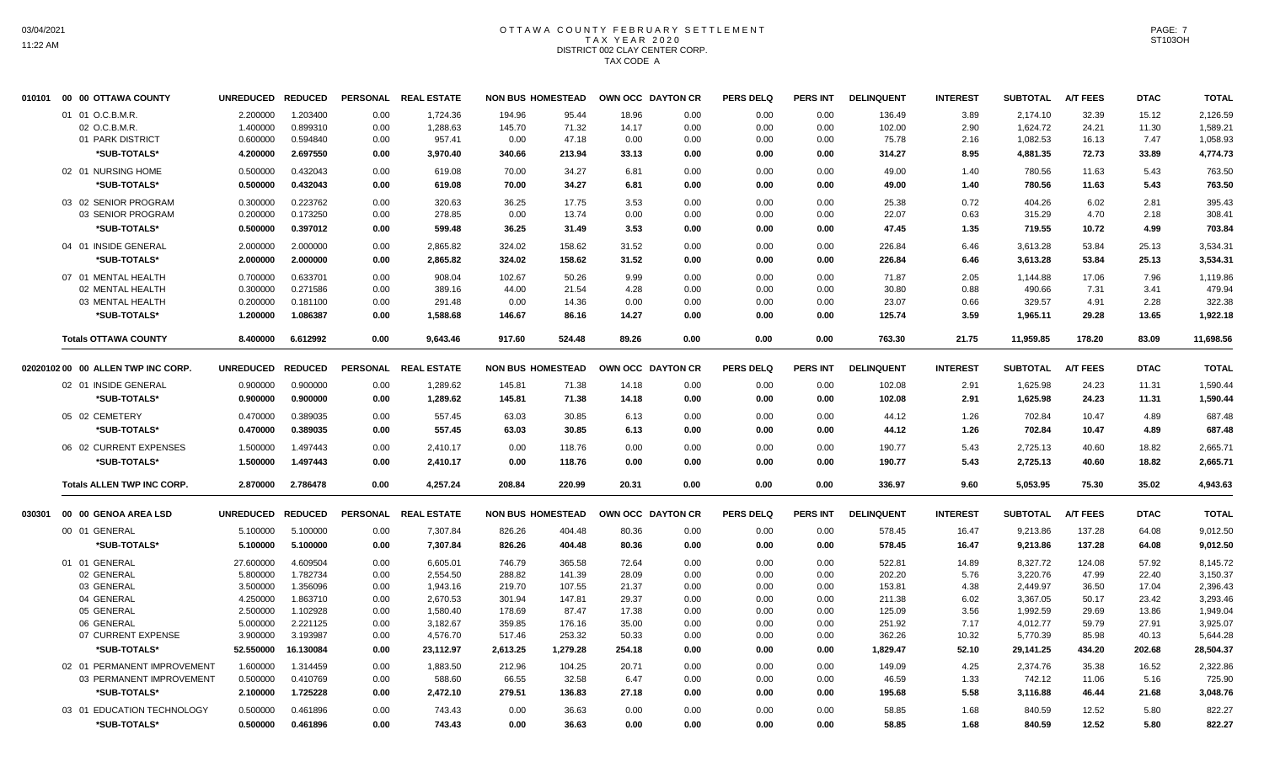#### OTTAWA COUNTY FEBRUARY SETTLEMENT T A X Y E A R 2 0 2 0 DISTRICT 002 CLAY CENTER CORP. TAX CODE A

| 010101 | 00 00 OTTAWA COUNTY                | <b>UNREDUCED</b> | <b>REDUCED</b>       |      | PERSONAL REAL ESTATE |          | <b>NON BUS HOMESTEAD</b> |        | OWN OCC DAYTON CR | <b>PERS DELQ</b> | <b>PERS INT</b> | <b>DELINQUENT</b> | <b>INTEREST</b> | <b>SUBTOTAL</b> | <b>A/T FEES</b> | <b>DTAC</b>    | <b>TOTAL</b>         |
|--------|------------------------------------|------------------|----------------------|------|----------------------|----------|--------------------------|--------|-------------------|------------------|-----------------|-------------------|-----------------|-----------------|-----------------|----------------|----------------------|
|        | 01 01 O.C.B.M.R.                   | 2.200000         | 1.203400             | 0.00 | 1,724.36             | 194.96   | 95.44                    | 18.96  | 0.00              | 0.00             | 0.00            | 136.49            | 3.89            | 2,174.10        | 32.39           | 15.12          | 2,126.59             |
|        | 02 O.C.B.M.R                       | 1.400000         | 0.899310             | 0.00 | 1,288.63             | 145.70   | 71.32                    | 14.17  | 0.00              | 0.00             | 0.00            | 102.00            | 2.90            | 1,624.72        | 24.21           | 11.30          | 1,589.21             |
|        | 01 PARK DISTRICT                   | 0.600000         | 0.594840             | 0.00 | 957.41               | 0.00     | 47.18                    | 0.00   | 0.00              | 0.00             | 0.00            | 75.78             | 2.16            | 1,082.53        | 16.13           | 7.47           | 1,058.93             |
|        | *SUB-TOTALS*                       | 4.200000         | 2.697550             | 0.00 | 3,970.40             | 340.66   | 213.94                   | 33.13  | 0.00              | 0.00             | 0.00            | 314.27            | 8.95            | 4,881.35        | 72.73           | 33.89          | 4,774.73             |
|        | 02 01 NURSING HOME                 | 0.500000         | 0.432043             | 0.00 | 619.08               | 70.00    | 34.27                    | 6.81   | 0.00              | 0.00             | 0.00            | 49.00             | 1.40            | 780.56          | 11.63           | 5.43           | 763.50               |
|        | *SUB-TOTALS*                       | 0.500000         | 0.432043             | 0.00 | 619.08               | 70.00    | 34.27                    | 6.81   | 0.00              | 0.00             | 0.00            | 49.00             | 1.40            | 780.56          | 11.63           | 5.43           | 763.50               |
|        | 03 02 SENIOR PROGRAM               | 0.300000         | 0.223762             | 0.00 | 320.63               | 36.25    | 17.75                    | 3.53   | 0.00              | 0.00             | 0.00            | 25.38             | 0.72            | 404.26          | 6.02            | 2.81           | 395.43               |
|        | 03 SENIOR PROGRAM                  | 0.200000         | 0.173250             | 0.00 | 278.85               | 0.00     | 13.74                    | 0.00   | 0.00              | 0.00             | 0.00            | 22.07             | 0.63            | 315.29          | 4.70            | 2.18           | 308.41               |
|        | *SUB-TOTALS*                       | 0.500000         | 0.397012             | 0.00 | 599.48               | 36.25    | 31.49                    | 3.53   | 0.00              | 0.00             | 0.00            | 47.45             | 1.35            | 719.55          | 10.72           | 4.99           | 703.84               |
|        | 04 01 INSIDE GENERAL               | 2.000000         | 2.000000             | 0.00 | 2,865.82             | 324.02   | 158.62                   | 31.52  | 0.00              | 0.00             | 0.00            | 226.84            | 6.46            | 3,613.28        | 53.84           | 25.13          | 3,534.31             |
|        | *SUB-TOTALS*                       | 2.000000         | 2.000000             | 0.00 | 2,865.82             | 324.02   | 158.62                   | 31.52  | 0.00              | 0.00             | 0.00            | 226.84            | 6.46            | 3,613.28        | 53.84           | 25.13          | 3,534.31             |
|        | 07 01 MENTAL HEALTH                | 0.700000         | 0.633701             | 0.00 | 908.04               | 102.67   | 50.26                    | 9.99   | 0.00              | 0.00             | 0.00            | 71.87             | 2.05            | 1,144.88        | 17.06           | 7.96           | 1,119.86             |
|        | 02 MENTAL HEALTH                   | 0.300000         | 0.271586             | 0.00 | 389.16               | 44.00    | 21.54                    | 4.28   | 0.00              | 0.00             | 0.00            | 30.80             | 0.88            | 490.66          | 7.31            | 3.41           | 479.94               |
|        | 03 MENTAL HEALTH                   | 0.200000         | 0.181100             | 0.00 | 291.48               | 0.00     | 14.36                    | 0.00   | 0.00              | 0.00             | 0.00            | 23.07             | 0.66            | 329.57          | 4.91            | 2.28           | 322.38               |
|        | *SUB-TOTALS*                       | 1.200000         | 1.086387             | 0.00 | 1,588.68             | 146.67   | 86.16                    | 14.27  | 0.00              | 0.00             | 0.00            | 125.74            | 3.59            | 1,965.11        | 29.28           | 13.65          | 1,922.18             |
|        | <b>Totals OTTAWA COUNTY</b>        | 8.400000         | 6.612992             | 0.00 | 9,643.46             | 917.60   | 524.48                   | 89.26  | 0.00              | 0.00             | 0.00            | 763.30            | 21.75           | 11,959.85       | 178.20          | 83.09          | 11,698.56            |
|        |                                    |                  |                      |      |                      |          |                          |        |                   |                  |                 |                   |                 |                 |                 |                |                      |
|        | 02020102 00 00 ALLEN TWP INC CORP. | <b>UNREDUCED</b> | <b>REDUCED</b>       |      | PERSONAL REAL ESTATE |          | <b>NON BUS HOMESTEAD</b> |        | OWN OCC DAYTON CR | <b>PERS DELQ</b> | <b>PERS INT</b> | <b>DELINQUENT</b> | <b>INTEREST</b> | <b>SUBTOTAL</b> | <b>A/T FEES</b> | <b>DTAC</b>    | <b>TOTAL</b>         |
|        | 02 01 INSIDE GENERAL               | 0.900000         | 0.900000             | 0.00 | 1,289.62             | 145.81   | 71.38                    | 14.18  | 0.00              | 0.00             | 0.00            | 102.08            | 2.91            | 1,625.98        | 24.23           | 11.31          | 1,590.44             |
|        | *SUB-TOTALS*                       | 0.900000         | 0.900000             | 0.00 | 1,289.62             | 145.81   | 71.38                    | 14.18  | 0.00              | 0.00             | 0.00            | 102.08            | 2.91            | 1,625.98        | 24.23           | 11.31          | 1,590.44             |
|        | 05 02 CEMETERY                     | 0.470000         | 0.389035             | 0.00 | 557.45               | 63.03    | 30.85                    | 6.13   | 0.00              | 0.00             | 0.00            | 44.12             | 1.26            | 702.84          | 10.47           | 4.89           | 687.48               |
|        | *SUB-TOTALS*                       | 0.470000         | 0.389035             | 0.00 | 557.45               | 63.03    | 30.85                    | 6.13   | 0.00              | 0.00             | 0.00            | 44.12             | 1.26            | 702.84          | 10.47           | 4.89           | 687.48               |
|        | 06 02 CURRENT EXPENSES             | 1.500000         | 1.497443             | 0.00 | 2,410.17             | 0.00     | 118.76                   | 0.00   | 0.00              | 0.00             | 0.00            | 190.77            | 5.43            | 2,725.13        | 40.60           | 18.82          | 2,665.71             |
|        | *SUB-TOTALS*                       | 1.500000         | 1.497443             | 0.00 | 2,410.17             | 0.00     | 118.76                   | 0.00   | 0.00              | 0.00             | 0.00            | 190.77            | 5.43            | 2,725.13        | 40.60           | 18.82          | 2,665.71             |
|        | <b>Totals ALLEN TWP INC CORP.</b>  | 2.870000         | 2.786478             | 0.00 | 4,257.24             | 208.84   | 220.99                   | 20.31  | 0.00              | 0.00             | 0.00            | 336.97            | 9.60            | 5,053.95        | 75.30           | 35.02          | 4,943.63             |
| 030301 | 00 00 GENOA AREA LSD               | <b>UNREDUCED</b> | <b>REDUCED</b>       |      | PERSONAL REAL ESTATE |          | <b>NON BUS HOMESTEAD</b> |        | OWN OCC DAYTON CR | <b>PERS DELQ</b> | <b>PERS INT</b> | <b>DELINQUENT</b> | <b>INTEREST</b> | <b>SUBTOTAL</b> | <b>A/T FEES</b> | <b>DTAC</b>    | <b>TOTAL</b>         |
|        | 00 01 GENERAL                      | 5.100000         | 5.100000             | 0.00 | 7,307.84             | 826.26   | 404.48                   | 80.36  | 0.00              | 0.00             | 0.00            | 578.45            | 16.47           | 9,213.86        | 137.28          | 64.08          | 9,012.50             |
|        |                                    |                  |                      |      |                      | 826.26   |                          | 80.36  |                   |                  |                 | 578.45            |                 |                 | 137.28          |                | 9,012.50             |
|        | *SUB-TOTALS*                       | 5.100000         | 5.100000             | 0.00 | 7,307.84             |          | 404.48                   |        | 0.00              | 0.00             | 0.00            |                   | 16.47           | 9,213.86        |                 | 64.08          |                      |
|        | 01 01 GENERAL                      | 27.600000        | 4.609504             | 0.00 | 6,605.01             | 746.79   | 365.58                   | 72.64  | 0.00              | 0.00             | 0.00            | 522.81            | 14.89           | 8,327.72        | 124.08          | 57.92          | 8,145.72             |
|        | 02 GENERAL                         | 5.800000         | 1.782734             | 0.00 | 2,554.50             | 288.82   | 141.39                   | 28.09  | 0.00              | 0.00             | 0.00            | 202.20            | 5.76            | 3,220.76        | 47.99           | 22.40          | 3,150.37             |
|        | 03 GENERAL                         | 3.500000         | 1.356096             | 0.00 | 1,943.16             | 219.70   | 107.55                   | 21.37  | 0.00              | 0.00             | 0.00            | 153.81            | 4.38            | 2,449.97        | 36.50           | 17.04          | 2,396.43             |
|        | 04 GENERAL                         | 4.250000         | 1.863710             | 0.00 | 2,670.53             | 301.94   | 147.81                   | 29.37  | 0.00              | 0.00             | 0.00            | 211.38            | 6.02            | 3,367.05        | 50.17           | 23.42          | 3,293.46             |
|        | 05 GENERAL                         | 2.500000         | 1.102928             | 0.00 | 1,580.40             | 178.69   | 87.47                    | 17.38  | 0.00              | 0.00             | 0.00            | 125.09            | 3.56            | 1,992.59        | 29.69           | 13.86          | 1,949.04             |
|        | 06 GENERAL<br>07 CURRENT EXPENSE   | 5.000000         | 2.221125<br>3.193987 | 0.00 | 3,182.67             | 359.85   | 176.16<br>253.32         | 35.00  | 0.00              | 0.00             | 0.00            | 251.92            | 7.17<br>10.32   | 4,012.77        | 59.79           | 27.91<br>40.13 | 3,925.07<br>5,644.28 |
|        |                                    | 3.900000         |                      | 0.00 | 4,576.70             | 517.46   |                          | 50.33  | 0.00              | 0.00             | 0.00            | 362.26            |                 | 5,770.39        | 85.98           |                |                      |
|        | *SUB-TOTALS*                       | 52.550000        | 16.130084            | 0.00 | 23,112.97            | 2,613.25 | 1,279.28                 | 254.18 | 0.00              | 0.00             | 0.00            | 1,829.47          | 52.10           | 29,141.25       | 434.20          | 202.68         | 28,504.37            |
|        | 02 01 PERMANENT IMPROVEMENT        | 1.600000         | 1.314459             | 0.00 | 1,883.50             | 212.96   | 104.25                   | 20.71  | 0.00              | 0.00             | 0.00            | 149.09            | 4.25            | 2,374.76        | 35.38           | 16.52          | 2,322.86             |
|        | 03 PERMANENT IMPROVEMENT           | 0.500000         | 0.410769             | 0.00 | 588.60               | 66.55    | 32.58                    | 6.47   | 0.00              | 0.00             | 0.00            | 46.59             | 1.33            | 742.12          | 11.06           | 5.16           | 725.90               |
|        | *SUB-TOTALS*                       | 2.100000         | 1.725228             | 0.00 | 2,472.10             | 279.51   | 136.83                   | 27.18  | 0.00              | 0.00             | 0.00            | 195.68            | 5.58            | 3,116.88        | 46.44           | 21.68          | 3,048.76             |
|        | 03 01 EDUCATION TECHNOLOGY         | 0.500000         | 0.461896             | 0.00 | 743.43               | 0.00     | 36.63                    | 0.00   | 0.00              | 0.00             | 0.00            | 58.85             | 1.68            | 840.59          | 12.52           | 5.80           | 822.27               |
|        | *SUB-TOTALS*                       | 0.500000         | 0.461896             | 0.00 | 743.43               | 0.00     | 36.63                    | 0.00   | 0.00              | 0.00             | 0.00            | 58.85             | 1.68            | 840.59          | 12.52           | 5.80           | 822.27               |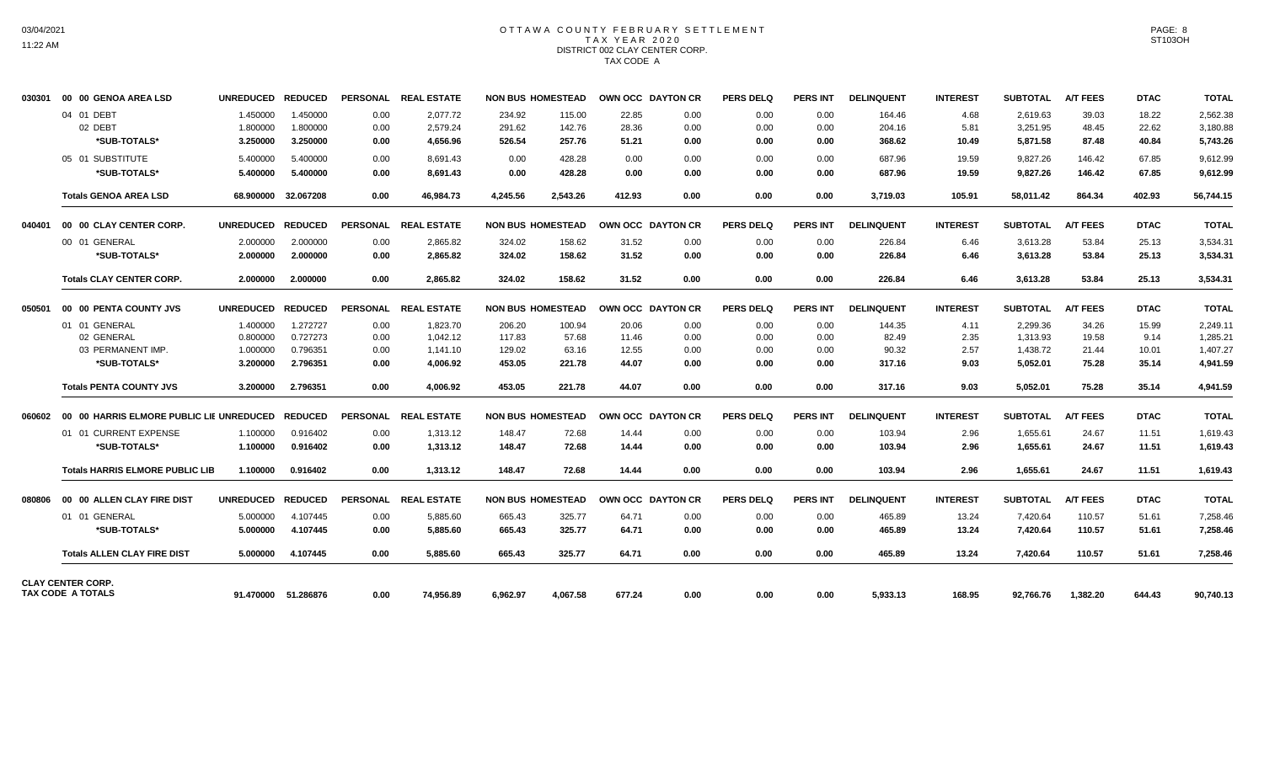#### OTTAWA COUNTY FEBRUARY SETTLEMENT T A X Y E A R 2 0 2 0 DISTRICT 002 CLAY CENTER CORP. TAX CODE A

| 030301 | 00 00 GENOA AREA LSD                                 | <b>UNREDUCED</b> | <b>REDUCED</b>      |      | PERSONAL REAL ESTATE | <b>NON BUS HOMESTEAD</b> |          |        | OWN OCC DAYTON CR | <b>PERS DELQ</b> | <b>PERS INT</b> | <b>DELINQUENT</b> | <b>INTEREST</b> | <b>SUBTOTAL</b> | <b>A/T FEES</b> | <b>DTAC</b> | <b>TOTAL</b> |
|--------|------------------------------------------------------|------------------|---------------------|------|----------------------|--------------------------|----------|--------|-------------------|------------------|-----------------|-------------------|-----------------|-----------------|-----------------|-------------|--------------|
|        | 04 01 DEBT                                           | 1.450000         | 1.450000            | 0.00 | 2,077.72             | 234.92                   | 115.00   | 22.85  | 0.00              | 0.00             | 0.00            | 164.46            | 4.68            | 2,619.63        | 39.03           | 18.22       | 2,562.38     |
|        | 02 DEBT                                              | 1.800000         | 1.800000            | 0.00 | 2,579.24             | 291.62                   | 142.76   | 28.36  | 0.00              | 0.00             | 0.00            | 204.16            | 5.81            | 3,251.95        | 48.45           | 22.62       | 3,180.88     |
|        | *SUB-TOTALS*                                         | 3.250000         | 3.250000            | 0.00 | 4,656.96             | 526.54                   | 257.76   | 51.21  | 0.00              | 0.00             | 0.00            | 368.62            | 10.49           | 5,871.58        | 87.48           | 40.84       | 5,743.26     |
|        | 05 01 SUBSTITUTE                                     | 5.400000         | 5.400000            | 0.00 | 8,691.43             | 0.00                     | 428.28   | 0.00   | 0.00              | 0.00             | 0.00            | 687.96            | 19.59           | 9,827.26        | 146.42          | 67.85       | 9,612.99     |
|        | *SUB-TOTALS*                                         | 5.400000         | 5.400000            | 0.00 | 8,691.43             | 0.00                     | 428.28   | 0.00   | 0.00              | 0.00             | 0.00            | 687.96            | 19.59           | 9,827.26        | 146.42          | 67.85       | 9,612.99     |
|        | <b>Totals GENOA AREA LSD</b>                         | 68.900000        | 32.067208           | 0.00 | 46,984.73            | 4.245.56                 | 2,543.26 | 412.93 | 0.00              | 0.00             | 0.00            | 3,719.03          | 105.91          | 58,011.42       | 864.34          | 402.93      | 56,744.15    |
| 040401 | 00 00 CLAY CENTER CORP.                              | <b>UNREDUCED</b> | <b>REDUCED</b>      |      | PERSONAL REAL ESTATE | <b>NON BUS HOMESTEAD</b> |          |        | OWN OCC DAYTON CR | PERS DELO        | <b>PERS INT</b> | <b>DELINQUENT</b> | <b>INTEREST</b> | <b>SUBTOTAL</b> | <b>A/T FEES</b> | <b>DTAC</b> | <b>TOTAL</b> |
|        | 00 01 GENERAL                                        | 2.000000         | 2.000000            | 0.00 | 2,865.82             | 324.02                   | 158.62   | 31.52  | 0.00              | 0.00             | 0.00            | 226.84            | 6.46            | 3,613.28        | 53.84           | 25.13       | 3,534.31     |
|        | *SUB-TOTALS*                                         | 2.000000         | 2.000000            | 0.00 | 2,865.82             | 324.02                   | 158.62   | 31.52  | 0.00              | 0.00             | 0.00            | 226.84            | 6.46            | 3,613.28        | 53.84           | 25.13       | 3,534.31     |
|        | <b>Totals CLAY CENTER CORP.</b>                      | 2.000000         | 2.000000            | 0.00 | 2,865.82             | 324.02                   | 158.62   | 31.52  | 0.00              | 0.00             | 0.00            | 226.84            | 6.46            | 3.613.28        | 53.84           | 25.13       | 3,534.31     |
| 050501 | 00 00 PENTA COUNTY JVS                               | <b>UNREDUCED</b> | <b>REDUCED</b>      |      | PERSONAL REAL ESTATE | <b>NON BUS HOMESTEAD</b> |          |        | OWN OCC DAYTON CR | PERS DELO        | <b>PERS INT</b> | <b>DELINQUENT</b> | <b>INTEREST</b> | <b>SUBTOTAL</b> | <b>A/T FEES</b> | <b>DTAC</b> | <b>TOTAL</b> |
|        | 01 01 GENERAL                                        | 1.400000         | 1.272727            | 0.00 | 1,823.70             | 206.20                   | 100.94   | 20.06  | 0.00              | 0.00             | 0.00            | 144.35            | 4.11            | 2,299.36        | 34.26           | 15.99       | 2,249.11     |
|        | 02 GENERAL                                           | 0.800000         | 0.727273            | 0.00 | 1.042.12             | 117.83                   | 57.68    | 11.46  | 0.00              | 0.00             | 0.00            | 82.49             | 2.35            | 1.313.93        | 19.58           | 9.14        | 1.285.21     |
|        | 03 PERMANENT IMP.                                    | 1.000000         | 0.796351            | 0.00 | 1,141.10             | 129.02                   | 63.16    | 12.55  | 0.00              | 0.00             | 0.00            | 90.32             | 2.57            | 1,438.72        | 21.44           | 10.01       | 1,407.27     |
|        | *SUB-TOTALS*                                         | 3.200000         | 2.796351            | 0.00 | 4,006.92             | 453.05                   | 221.78   | 44.07  | 0.00              | 0.00             | 0.00            | 317.16            | 9.03            | 5,052.01        | 75.28           | 35.14       | 4,941.59     |
|        | <b>Totals PENTA COUNTY JVS</b>                       | 3.200000         | 2.796351            | 0.00 | 4.006.92             | 453.05                   | 221.78   | 44.07  | 0.00              | 0.00             | 0.00            | 317.16            | 9.03            | 5,052.01        | 75.28           | 35.14       | 4.941.59     |
| 060602 | 00 00 HARRIS ELMORE PUBLIC LIE UNREDUCED             |                  | <b>REDUCED</b>      |      | PERSONAL REAL ESTATE | <b>NON BUS HOMESTEAD</b> |          |        | OWN OCC DAYTON CR | <b>PERS DELQ</b> | <b>PERS INT</b> | <b>DELINQUENT</b> | <b>INTEREST</b> | <b>SUBTOTAL</b> | <b>A/T FEES</b> | <b>DTAC</b> | <b>TOTAL</b> |
|        | 01 01 CURRENT EXPENSE                                | 1.100000         | 0.916402            | 0.00 | 1,313.12             | 148.47                   | 72.68    | 14.44  | 0.00              | 0.00             | 0.00            | 103.94            | 2.96            | 1,655.61        | 24.67           | 11.51       | 1,619.43     |
|        | *SUB-TOTALS*                                         | 1.100000         | 0.916402            | 0.00 | 1,313.12             | 148.47                   | 72.68    | 14.44  | 0.00              | 0.00             | 0.00            | 103.94            | 2.96            | 1,655.61        | 24.67           | 11.51       | 1,619.43     |
|        | <b>Totals HARRIS ELMORE PUBLIC LIB</b>               | 1.100000         | 0.916402            | 0.00 | 1,313.12             | 148.47                   | 72.68    | 14.44  | 0.00              | 0.00             | 0.00            | 103.94            | 2.96            | 1,655.61        | 24.67           | 11.51       | 1,619.43     |
| 080806 | 00 00 ALLEN CLAY FIRE DIST                           | <b>UNREDUCED</b> | <b>REDUCED</b>      |      | PERSONAL REAL ESTATE | <b>NON BUS HOMESTEAD</b> |          |        | OWN OCC DAYTON CR | <b>PERS DELQ</b> | <b>PERS INT</b> | <b>DELINQUENT</b> | <b>INTEREST</b> | <b>SUBTOTAL</b> | <b>A/T FEES</b> | <b>DTAC</b> | <b>TOTAL</b> |
|        | 01 01 GENERAL                                        | 5.000000         | 4.107445            | 0.00 | 5,885.60             | 665.43                   | 325.77   | 64.71  | 0.00              | 0.00             | 0.00            | 465.89            | 13.24           | 7,420.64        | 110.57          | 51.61       | 7,258.46     |
|        | *SUB-TOTALS*                                         | 5.000000         | 4.107445            | 0.00 | 5,885.60             | 665.43                   | 325.77   | 64.71  | 0.00              | 0.00             | 0.00            | 465.89            | 13.24           | 7,420.64        | 110.57          | 51.61       | 7,258.46     |
|        | <b>Totals ALLEN CLAY FIRE DIST</b>                   | 5.000000         | 4.107445            | 0.00 | 5,885.60             | 665.43                   | 325.77   | 64.71  | 0.00              | 0.00             | 0.00            | 465.89            | 13.24           | 7,420.64        | 110.57          | 51.61       | 7,258.46     |
|        | <b>CLAY CENTER CORP.</b><br><b>TAX CODE A TOTALS</b> |                  | 91.470000 51.286876 | 0.00 | 74.956.89            | 6.962.97                 | 4.067.58 | 677.24 | 0.00              | 0.00             | 0.00            | 5.933.13          | 168.95          | 92.766.76       | 1.382.20        | 644.43      | 90,740.13    |
|        |                                                      |                  |                     |      |                      |                          |          |        |                   |                  |                 |                   |                 |                 |                 |             |              |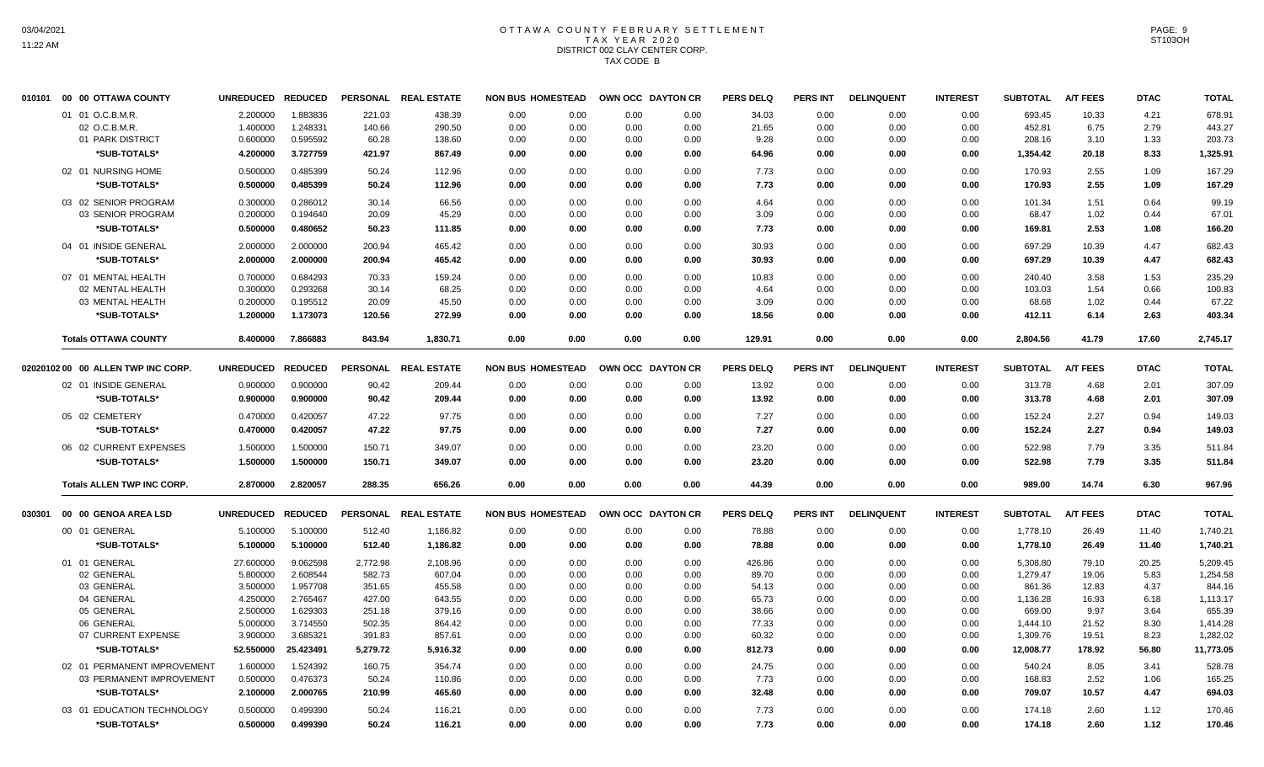#### OTTAWA COUNTY FEBRUARY SETTLEMENT T A X Y E A R 2 0 2 0 DISTRICT 002 CLAY CENTER CORP. TAX CODE B

| 010101 | 00 00 OTTAWA COUNTY                | <b>UNREDUCED</b> | <b>REDUCED</b> |                 | PERSONAL REAL ESTATE | <b>NON BUS HOMESTEAD</b> |      |      | OWN OCC DAYTON CR | <b>PERS DELQ</b> | <b>PERS INT</b> | <b>DELINQUENT</b> | <b>INTEREST</b> | <b>SUBTOTAL</b> | <b>A/T FEES</b> | <b>DTAC</b> | <b>TOTAL</b> |
|--------|------------------------------------|------------------|----------------|-----------------|----------------------|--------------------------|------|------|-------------------|------------------|-----------------|-------------------|-----------------|-----------------|-----------------|-------------|--------------|
|        | 01 01 O.C.B.M.R.                   | 2.200000         | 1.883836       | 221.03          | 438.39               | 0.00                     | 0.00 | 0.00 | 0.00              | 34.03            | 0.00            | 0.00              | 0.00            | 693.45          | 10.33           | 4.21        | 678.91       |
|        | 02 O.C.B.M.R                       | 1.400000         | 1.248331       | 140.66          | 290.50               | 0.00                     | 0.00 | 0.00 | 0.00              | 21.65            | 0.00            | 0.00              | 0.00            | 452.81          | 6.75            | 2.79        | 443.27       |
|        | 01 PARK DISTRICT                   | 0.600000         | 0.595592       | 60.28           | 138.60               | 0.00                     | 0.00 | 0.00 | 0.00              | 9.28             | 0.00            | 0.00              | 0.00            | 208.16          | 3.10            | 1.33        | 203.73       |
|        | *SUB-TOTALS*                       | 4.200000         | 3.727759       | 421.97          | 867.49               | 0.00                     | 0.00 | 0.00 | 0.00              | 64.96            | 0.00            | 0.00              | 0.00            | 1,354.42        | 20.18           | 8.33        | 1,325.91     |
|        | 02 01 NURSING HOME                 | 0.500000         | 0.485399       | 50.24           | 112.96               | 0.00                     | 0.00 | 0.00 | 0.00              | 7.73             | 0.00            | 0.00              | 0.00            | 170.93          | 2.55            | 1.09        | 167.29       |
|        | *SUB-TOTALS*                       | 0.500000         | 0.485399       | 50.24           | 112.96               | 0.00                     | 0.00 | 0.00 | 0.00              | 7.73             | 0.00            | 0.00              | 0.00            | 170.93          | 2.55            | 1.09        | 167.29       |
|        | 03 02 SENIOR PROGRAM               | 0.300000         | 0.286012       | 30.14           | 66.56                | 0.00                     | 0.00 | 0.00 | 0.00              | 4.64             | 0.00            | 0.00              | 0.00            | 101.34          | 1.51            | 0.64        | 99.19        |
|        | 03 SENIOR PROGRAM                  | 0.200000         | 0.194640       | 20.09           | 45.29                | 0.00                     | 0.00 | 0.00 | 0.00              | 3.09             | 0.00            | 0.00              | 0.00            | 68.47           | 1.02            | 0.44        | 67.01        |
|        | *SUB-TOTALS*                       | 0.500000         | 0.480652       | 50.23           | 111.85               | 0.00                     | 0.00 | 0.00 | 0.00              | 7.73             | 0.00            | 0.00              | 0.00            | 169.81          | 2.53            | 1.08        | 166.20       |
|        | 04 01 INSIDE GENERAL               | 2.000000         | 2.000000       | 200.94          | 465.42               | 0.00                     | 0.00 | 0.00 | 0.00              | 30.93            | 0.00            | 0.00              | 0.00            | 697.29          | 10.39           | 4.47        | 682.43       |
|        | *SUB-TOTALS*                       | 2.000000         | 2.000000       | 200.94          | 465.42               | 0.00                     | 0.00 | 0.00 | 0.00              | 30.93            | 0.00            | 0.00              | 0.00            | 697.29          | 10.39           | 4.47        | 682.43       |
|        | 07 01 MENTAL HEALTH                | 0.700000         | 0.684293       | 70.33           | 159.24               | 0.00                     | 0.00 | 0.00 | 0.00              | 10.83            | 0.00            | 0.00              | 0.00            | 240.40          | 3.58            | 1.53        | 235.29       |
|        | 02 MENTAL HEALTH                   | 0.300000         | 0.293268       | 30.14           | 68.25                | 0.00                     | 0.00 | 0.00 | 0.00              | 4.64             | 0.00            | 0.00              | 0.00            | 103.03          | 1.54            | 0.66        | 100.83       |
|        | 03 MENTAL HEALTH                   | 0.200000         | 0.195512       | 20.09           | 45.50                | 0.00                     | 0.00 | 0.00 | 0.00              | 3.09             | 0.00            | 0.00              | 0.00            | 68.68           | 1.02            | 0.44        | 67.22        |
|        | *SUB-TOTALS*                       | 1.200000         | 1.173073       | 120.56          | 272.99               | 0.00                     | 0.00 | 0.00 | 0.00              | 18.56            | 0.00            | 0.00              | 0.00            | 412.11          | 6.14            | 2.63        | 403.34       |
|        | <b>Totals OTTAWA COUNTY</b>        | 8.400000         | 7.866883       | 843.94          | 1,830.71             | 0.00                     | 0.00 | 0.00 | 0.00              | 129.91           | 0.00            | 0.00              | 0.00            | 2,804.56        | 41.79           | 17.60       | 2,745.17     |
|        | 02020102 00 00 ALLEN TWP INC CORP. | <b>UNREDUCED</b> | <b>REDUCED</b> | <b>PERSONAL</b> | <b>REAL ESTATE</b>   | <b>NON BUS HOMESTEAD</b> |      |      | OWN OCC DAYTON CR | <b>PERS DELQ</b> | <b>PERS INT</b> | <b>DELINQUENT</b> | <b>INTEREST</b> | <b>SUBTOTAL</b> | <b>A/T FEES</b> | <b>DTAC</b> | <b>TOTAL</b> |
|        |                                    |                  |                |                 |                      |                          |      |      |                   |                  |                 |                   |                 |                 |                 |             |              |
|        | 02 01 INSIDE GENERAL               | 0.900000         | 0.900000       | 90.42           | 209.44               | 0.00                     | 0.00 | 0.00 | 0.00              | 13.92            | 0.00            | 0.00              | 0.00            | 313.78          | 4.68            | 2.01        | 307.09       |
|        | *SUB-TOTALS*                       | 0.900000         | 0.900000       | 90.42           | 209.44               | 0.00                     | 0.00 | 0.00 | 0.00              | 13.92            | 0.00            | 0.00              | 0.00            | 313.78          | 4.68            | 2.01        | 307.09       |
|        | 05 02 CEMETERY                     | 0.470000         | 0.420057       | 47.22           | 97.75                | 0.00                     | 0.00 | 0.00 | 0.00              | 7.27             | 0.00            | 0.00              | 0.00            | 152.24          | 2.27            | 0.94        | 149.03       |
|        | *SUB-TOTALS*                       | 0.470000         | 0.420057       | 47.22           | 97.75                | 0.00                     | 0.00 | 0.00 | 0.00              | 7.27             | 0.00            | 0.00              | 0.00            | 152.24          | 2.27            | 0.94        | 149.03       |
|        | 06 02 CURRENT EXPENSES             | 1.500000         | 1.500000       | 150.71          | 349.07               | 0.00                     | 0.00 | 0.00 | 0.00              | 23.20            | 0.00            | 0.00              | 0.00            | 522.98          | 7.79            | 3.35        | 511.84       |
|        | *SUB-TOTALS*                       | 1.500000         | 1.500000       | 150.71          | 349.07               | 0.00                     | 0.00 | 0.00 | 0.00              | 23.20            | 0.00            | 0.00              | 0.00            | 522.98          | 7.79            | 3.35        | 511.84       |
|        | <b>Totals ALLEN TWP INC CORP.</b>  | 2.870000         | 2.820057       | 288.35          | 656.26               | 0.00                     | 0.00 | 0.00 | 0.00              | 44.39            | 0.00            | 0.00              | 0.00            | 989.00          | 14.74           | 6.30        | 967.96       |
| 030301 | 00 00 GENOA AREA LSD               | <b>UNREDUCED</b> | <b>REDUCED</b> |                 | PERSONAL REAL ESTATE | <b>NON BUS HOMESTEAD</b> |      |      | OWN OCC DAYTON CR | <b>PERS DELQ</b> | <b>PERS INT</b> | <b>DELINQUENT</b> | <b>INTEREST</b> | <b>SUBTOTAL</b> | <b>A/T FEES</b> | <b>DTAC</b> | <b>TOTAL</b> |
|        | 00 01 GENERAL                      | 5.100000         | 5.100000       | 512.40          | 1,186.82             | 0.00                     | 0.00 | 0.00 | 0.00              | 78.88            | 0.00            | 0.00              | 0.00            | 1,778.10        | 26.49           | 11.40       | 1,740.21     |
|        | *SUB-TOTALS*                       | 5.100000         | 5.100000       | 512.40          | 1,186.82             | 0.00                     | 0.00 | 0.00 | 0.00              | 78.88            | 0.00            | 0.00              | 0.00            | 1,778.10        | 26.49           | 11.40       | 1,740.21     |
|        |                                    |                  |                |                 |                      |                          |      |      |                   |                  |                 |                   |                 |                 |                 |             |              |
|        | 01 01 GENERAL                      | 27.600000        | 9.062598       | 2,772.98        | 2,108.96             | 0.00                     | 0.00 | 0.00 | 0.00              | 426.86           | 0.00            | 0.00              | 0.00            | 5,308.80        | 79.10           | 20.25       | 5,209.45     |
|        | 02 GENERAL                         | 5.800000         | 2.608544       | 582.73          | 607.04               | 0.00                     | 0.00 | 0.00 | 0.00              | 89.70            | 0.00            | 0.00              | 0.00            | 1,279.47        | 19.06           | 5.83        | 1,254.58     |
|        | 03 GENERAL                         | 3.500000         | 1.957708       | 351.65          | 455.58               | 0.00                     | 0.00 | 0.00 | 0.00              | 54.13            | 0.00            | 0.00              | 0.00            | 861.36          | 12.83           | 4.37        | 844.16       |
|        | 04 GENERAL                         | 4.250000         | 2.765467       | 427.00          | 643.55               | 0.00                     | 0.00 | 0.00 | 0.00              | 65.73            | 0.00            | 0.00              | 0.00            | 1,136.28        | 16.93           | 6.18        | 1,113.17     |
|        | 05 GENERAL                         | 2.500000         | 1.629303       | 251.18          | 379.16               | 0.00                     | 0.00 | 0.00 | 0.00              | 38.66            | 0.00            | 0.00              | 0.00            | 669.00          | 9.97            | 3.64        | 655.39       |
|        | 06 GENERAL                         | 5.000000         | 3.714550       | 502.35          | 864.42               | 0.00                     | 0.00 | 0.00 | 0.00              | 77.33            | 0.00            | 0.00              | 0.00            | 1,444.10        | 21.52           | 8.30        | 1,414.28     |
|        | 07 CURRENT EXPENSE                 | 3.900000         | 3.685321       | 391.83          | 857.61               | 0.00                     | 0.00 | 0.00 | 0.00              | 60.32            | 0.00            | 0.00              | 0.00            | 1,309.76        | 19.51           | 8.23        | 1,282.02     |
|        | *SUB-TOTALS*                       | 52.550000        | 25.423491      | 5,279.72        | 5,916.32             | 0.00                     | 0.00 | 0.00 | 0.00              | 812.73           | 0.00            | 0.00              | 0.00            | 12,008.77       | 178.92          | 56.80       | 11,773.05    |
|        | 02 01 PERMANENT IMPROVEMENT        | 1.600000         | 1.524392       | 160.75          | 354.74               | 0.00                     | 0.00 | 0.00 | 0.00              | 24.75            | 0.00            | 0.00              | 0.00            | 540.24          | 8.05            | 3.41        | 528.78       |
|        | 03 PERMANENT IMPROVEMENT           | 0.500000         | 0.476373       | 50.24           | 110.86               | 0.00                     | 0.00 | 0.00 | 0.00              | 7.73             | 0.00            | 0.00              | 0.00            | 168.83          | 2.52            | 1.06        | 165.25       |
|        | *SUB-TOTALS*                       | 2.100000         | 2.000765       | 210.99          | 465.60               | 0.00                     | 0.00 | 0.00 | 0.00              | 32.48            | 0.00            | 0.00              | 0.00            | 709.07          | 10.57           | 4.47        | 694.03       |
|        | 03 01 EDUCATION TECHNOLOGY         | 0.500000         | 0.499390       | 50.24           | 116.21               | 0.00                     | 0.00 | 0.00 | 0.00              | 7.73             | 0.00            | 0.00              | 0.00            | 174.18          | 2.60            | 1.12        | 170.46       |
|        | *SUB-TOTALS*                       | 0.500000         | 0.499390       | 50.24           | 116.21               | 0.00                     | 0.00 | 0.00 | 0.00              | 7.73             | 0.00            | 0.00              | 0.00            | 174.18          | 2.60            | 1.12        | 170.46       |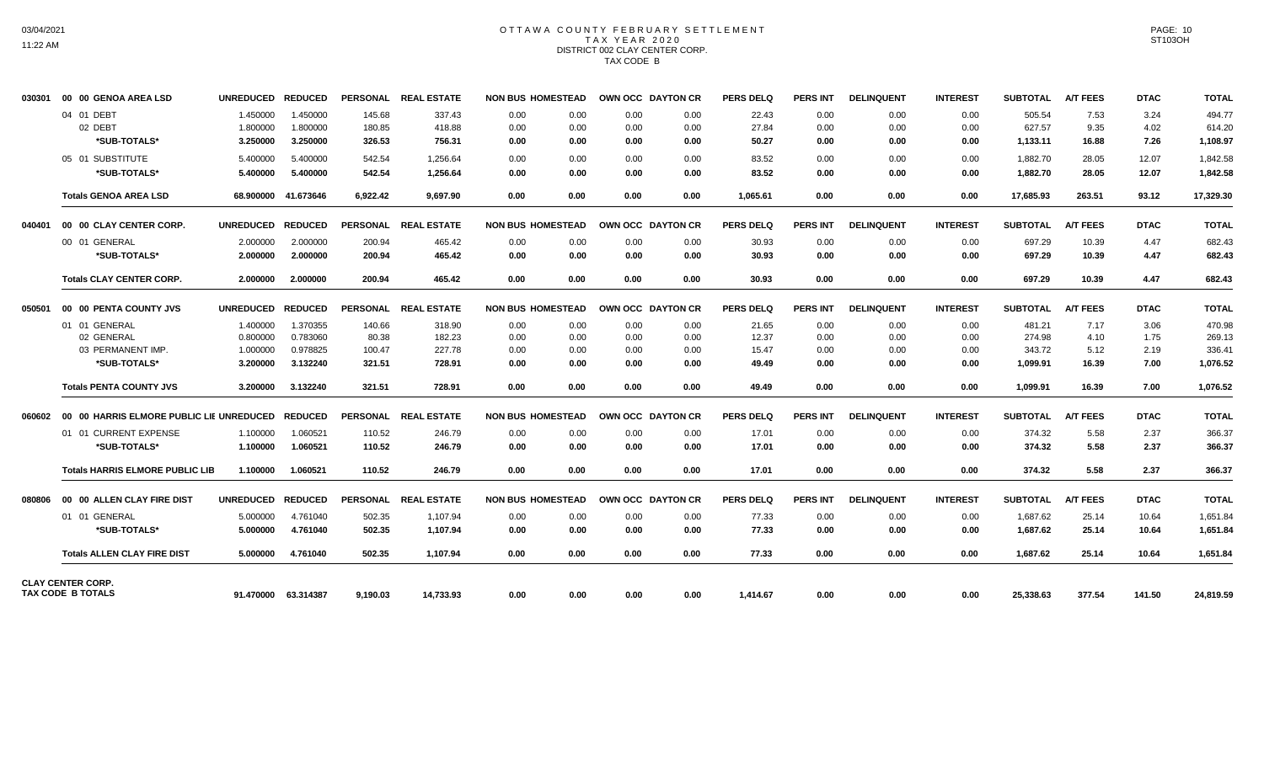#### OTTAWA COUNTY FEBRUARY SETTLEMENT T A X Y E A R 2 0 2 0 DISTRICT 002 CLAY CENTER CORP. TAX CODE B

| 030301 | 00 00 GENOA AREA LSD                     | <b>UNREDUCED</b> | <b>REDUCED</b>      |          | PERSONAL REAL ESTATE | <b>NON BUS HOMESTEAD</b> |              | OWN OCC DAYTON CR | <b>PERS DELQ</b> | <b>PERS INT</b> | <b>DELINQUENT</b> | <b>INTEREST</b> | <b>SUBTOTAL</b> | <b>A/T FEES</b> | <b>DTAC</b> | <b>TOTAL</b> |
|--------|------------------------------------------|------------------|---------------------|----------|----------------------|--------------------------|--------------|-------------------|------------------|-----------------|-------------------|-----------------|-----------------|-----------------|-------------|--------------|
|        | 04 01 DEBT                               | 1.450000         | 1.450000            | 145.68   | 337.43               | 0.00                     | 0.00<br>0.00 | 0.00              | 22.43            | 0.00            | 0.00              | 0.00            | 505.54          | 7.53            | 3.24        | 494.77       |
|        | 02 DEBT                                  | 1.800000         | 1.800000            | 180.85   | 418.88               | 0.00                     | 0.00<br>0.00 | 0.00              | 27.84            | 0.00            | 0.00              | 0.00            | 627.57          | 9.35            | 4.02        | 614.20       |
|        | *SUB-TOTALS*                             | 3.250000         | 3.250000            | 326.53   | 756.31               | 0.00                     | 0.00         | 0.00<br>0.00      | 50.27            | 0.00            | 0.00              | 0.00            | 1,133.11        | 16.88           | 7.26        | 1,108.97     |
|        | 05 01 SUBSTITUTE                         | 5.400000         | 5.400000            | 542.54   | 1,256.64             | 0.00                     | 0.00<br>0.00 | 0.00              | 83.52            | 0.00            | 0.00              | 0.00            | 1,882.70        | 28.05           | 12.07       | 1,842.58     |
|        | *SUB-TOTALS*                             | 5.400000         | 5.400000            | 542.54   | 1,256.64             | 0.00                     | 0.00<br>0.00 | 0.00              | 83.52            | 0.00            | 0.00              | 0.00            | 1,882.70        | 28.05           | 12.07       | 1,842.58     |
|        | <b>Totals GENOA AREA LSD</b>             | 68.900000        | 41.673646           | 6,922.42 | 9,697.90             | 0.00                     | 0.00<br>0.00 | 0.00              | 1,065.61         | 0.00            | 0.00              | 0.00            | 17,685.93       | 263.51          | 93.12       | 17,329.30    |
| 040401 | 00 00 CLAY CENTER CORP.                  | <b>UNREDUCED</b> | <b>REDUCED</b>      |          | PERSONAL REAL ESTATE | <b>NON BUS HOMESTEAD</b> |              | OWN OCC DAYTON CR | <b>PERS DELQ</b> | <b>PERS INT</b> | <b>DELINQUENT</b> | <b>INTEREST</b> | <b>SUBTOTAL</b> | <b>A/T FEES</b> | <b>DTAC</b> | <b>TOTAL</b> |
|        | 00 01 GENERAL                            | 2.000000         | 2.000000            | 200.94   | 465.42               | 0.00                     | 0.00<br>0.00 | 0.00              | 30.93            | 0.00            | 0.00              | 0.00            | 697.29          | 10.39           | 4.47        | 682.43       |
|        | *SUB-TOTALS*                             | 2.000000         | 2.000000            | 200.94   | 465.42               | 0.00                     | 0.00<br>0.00 | 0.00              | 30.93            | 0.00            | 0.00              | 0.00            | 697.29          | 10.39           | 4.47        | 682.43       |
|        | <b>Totals CLAY CENTER CORP.</b>          | 2.000000         | 2.000000            | 200.94   | 465.42               | 0.00                     | 0.00<br>0.00 | 0.00              | 30.93            | 0.00            | 0.00              | 0.00            | 697.29          | 10.39           | 4.47        | 682.43       |
| 050501 | 00 00 PENTA COUNTY JVS                   | <b>UNREDUCED</b> | <b>REDUCED</b>      |          | PERSONAL REAL ESTATE | <b>NON BUS HOMESTEAD</b> |              | OWN OCC DAYTON CR | <b>PERS DELQ</b> | <b>PERS INT</b> | <b>DELINQUENT</b> | <b>INTEREST</b> | <b>SUBTOTAL</b> | <b>A/T FEES</b> | <b>DTAC</b> | <b>TOTAL</b> |
|        | 01 01 GENERAL                            | 1.400000         | 1.370355            | 140.66   | 318.90               | 0.00                     | 0.00<br>0.00 | 0.00              | 21.65            | 0.00            | 0.00              | 0.00            | 481.21          | 7.17            | 3.06        | 470.98       |
|        | 02 GENERAL                               | 0.800000         | 0.783060            | 80.38    | 182.23               | 0.00                     | 0.00<br>0.00 | 0.00              | 12.37            | 0.00            | 0.00              | 0.00            | 274.98          | 4.10            | 1.75        | 269.13       |
|        | 03 PERMANENT IMP.                        | 1.000000         | 0.978825            | 100.47   | 227.78               | 0.00                     | 0.00<br>0.00 | 0.00              | 15.47            | 0.00            | 0.00              | 0.00            | 343.72          | 5.12            | 2.19        | 336.41       |
|        | *SUB-TOTALS*                             | 3.200000         | 3.132240            | 321.51   | 728.91               | 0.00                     | 0.00<br>0.00 | 0.00              | 49.49            | 0.00            | 0.00              | 0.00            | 1,099.91        | 16.39           | 7.00        | 1,076.52     |
|        | <b>Totals PENTA COUNTY JVS</b>           | 3.200000         | 3.132240            | 321.51   | 728.91               | 0.00                     | 0.00<br>0.00 | 0.00              | 49.49            | 0.00            | 0.00              | 0.00            | 1,099.91        | 16.39           | 7.00        | 1,076.52     |
| 060602 | 00 00 HARRIS ELMORE PUBLIC LIE UNREDUCED |                  | <b>REDUCED</b>      |          | PERSONAL REAL ESTATE | <b>NON BUS HOMESTEAD</b> |              | OWN OCC DAYTON CR | <b>PERS DELQ</b> | <b>PERS INT</b> | <b>DELINQUENT</b> | <b>INTEREST</b> | <b>SUBTOTAL</b> | <b>A/T FEES</b> | <b>DTAC</b> | <b>TOTAL</b> |
|        | 01 01 CURRENT EXPENSE                    | 1.100000         | 1.060521            | 110.52   | 246.79               | 0.00                     | 0.00<br>0.00 | 0.00              | 17.01            | 0.00            | 0.00              | 0.00            | 374.32          | 5.58            | 2.37        | 366.37       |
|        | *SUB-TOTALS*                             | 1.100000         | 1.060521            | 110.52   | 246.79               | 0.00                     | 0.00<br>0.00 | 0.00              | 17.01            | 0.00            | 0.00              | 0.00            | 374.32          | 5.58            | 2.37        | 366.37       |
|        | <b>Totals HARRIS ELMORE PUBLIC LIB</b>   | 1.100000         | 1.060521            | 110.52   | 246.79               | 0.00                     | 0.00<br>0.00 | 0.00              | 17.01            | 0.00            | 0.00              | 0.00            | 374.32          | 5.58            | 2.37        | 366.37       |
| 080806 | 00 00 ALLEN CLAY FIRE DIST               | <b>UNREDUCED</b> | <b>REDUCED</b>      |          | PERSONAL REAL ESTATE | <b>NON BUS HOMESTEAD</b> |              | OWN OCC DAYTON CR | <b>PERS DELQ</b> | <b>PERS INT</b> | <b>DELINQUENT</b> | <b>INTEREST</b> | <b>SUBTOTAL</b> | <b>A/T FEES</b> | <b>DTAC</b> | <b>TOTAL</b> |
|        | 01 01 GENERAL                            | 5.000000         | 4.761040            | 502.35   | 1,107.94             | 0.00                     | 0.00<br>0.00 | 0.00              | 77.33            | 0.00            | 0.00              | 0.00            | 1,687.62        | 25.14           | 10.64       | 1,651.84     |
|        | *SUB-TOTALS*                             | 5.000000         | 4.761040            | 502.35   | 1,107.94             | 0.00                     | 0.00<br>0.00 | 0.00              | 77.33            | 0.00            | 0.00              | 0.00            | 1,687.62        | 25.14           | 10.64       | 1,651.84     |
|        | <b>Totals ALLEN CLAY FIRE DIST</b>       | 5.000000         | 4.761040            | 502.35   | 1.107.94             | 0.00                     | 0.00<br>0.00 | 0.00              | 77.33            | 0.00            | 0.00              | 0.00            | 1,687.62        | 25.14           | 10.64       | 1,651.84     |
|        | <b>CLAY CENTER CORP.</b>                 |                  |                     |          |                      |                          |              |                   |                  |                 |                   |                 |                 |                 |             |              |
|        | TAX CODE B TOTALS                        |                  | 91.470000 63.314387 | 9.190.03 | 14.733.93            | 0.00                     | 0.00         | 0.00<br>0.00      | 1.414.67         | 0.00            | 0.00              | 0.00            | 25.338.63       | 377.54          | 141.50      | 24,819.59    |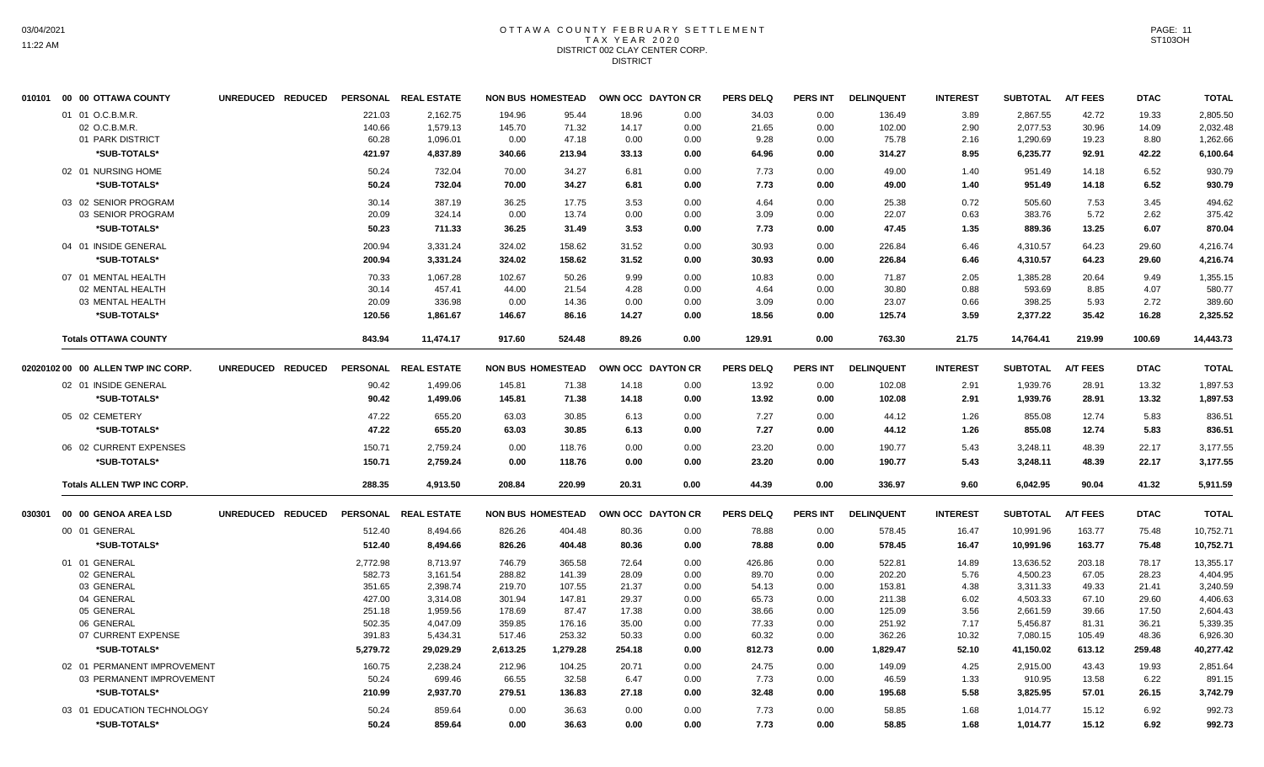#### OTTAWA COUNTY FEBRUARY SETTLEMENT T A X Y E A R 2 0 2 0 DISTRICT 002 CLAY CENTER CORP. **DISTRICT**

|        | 010101 00 00 OTTAWA COUNTY         | UNREDUCED REDUCED |          | PERSONAL REAL ESTATE |          | <b>NON BUS HOMESTEAD</b> |        | OWN OCC DAYTON CR | <b>PERS DELQ</b> | <b>PERS INT</b> | <b>DELINQUENT</b> | <b>INTEREST</b> | <b>SUBTOTAL</b> | <b>A/T FEES</b> | <b>DTAC</b> | <b>TOTAL</b> |
|--------|------------------------------------|-------------------|----------|----------------------|----------|--------------------------|--------|-------------------|------------------|-----------------|-------------------|-----------------|-----------------|-----------------|-------------|--------------|
|        | 01 01 O.C.B.M.R                    |                   | 221.03   | 2.162.75             | 194.96   | 95.44                    | 18.96  | 0.00              | 34.03            | 0.00            | 136.49            | 3.89            | 2.867.55        | 42.72           | 19.33       | 2,805.50     |
|        | 02 O.C.B.M.R.                      |                   | 140.66   | 1,579.13             | 145.70   | 71.32                    | 14.17  | 0.00              | 21.65            | 0.00            | 102.00            | 2.90            | 2,077.53        | 30.96           | 14.09       | 2,032.48     |
|        | 01 PARK DISTRICT                   |                   | 60.28    | 1,096.01             | 0.00     | 47.18                    | 0.00   | 0.00              | 9.28             | 0.00            | 75.78             | 2.16            | 1,290.69        | 19.23           | 8.80        | 1,262.66     |
|        | *SUB-TOTALS*                       |                   | 421.97   | 4,837.89             | 340.66   | 213.94                   | 33.13  | 0.00              | 64.96            | 0.00            | 314.27            | 8.95            | 6,235.77        | 92.91           | 42.22       | 6,100.64     |
|        | 02 01 NURSING HOME                 |                   | 50.24    | 732.04               | 70.00    | 34.27                    | 6.81   | 0.00              | 7.73             | 0.00            | 49.00             | 1.40            | 951.49          | 14.18           | 6.52        | 930.79       |
|        | *SUB-TOTALS*                       |                   | 50.24    | 732.04               | 70.00    | 34.27                    | 6.81   | 0.00              | 7.73             | 0.00            | 49.00             | 1.40            | 951.49          | 14.18           | 6.52        | 930.79       |
|        | 03 02 SENIOR PROGRAM               |                   | 30.14    | 387.19               | 36.25    | 17.75                    | 3.53   | 0.00              | 4.64             | 0.00            | 25.38             | 0.72            | 505.60          | 7.53            | 3.45        | 494.62       |
|        | 03 SENIOR PROGRAM                  |                   | 20.09    | 324.14               | 0.00     | 13.74                    | 0.00   | 0.00              | 3.09             | 0.00            | 22.07             | 0.63            | 383.76          | 5.72            | 2.62        | 375.42       |
|        | *SUB-TOTALS*                       |                   | 50.23    | 711.33               | 36.25    | 31.49                    | 3.53   | 0.00              | 7.73             | 0.00            | 47.45             | 1.35            | 889.36          | 13.25           | 6.07        | 870.04       |
|        | 04 01 INSIDE GENERAL               |                   | 200.94   | 3,331.24             | 324.02   | 158.62                   | 31.52  | 0.00              | 30.93            | 0.00            | 226.84            | 6.46            | 4.310.57        | 64.23           | 29.60       | 4.216.74     |
|        | *SUB-TOTALS*                       |                   | 200.94   | 3,331.24             | 324.02   | 158.62                   | 31.52  | 0.00              | 30.93            | 0.00            | 226.84            | 6.46            | 4,310.57        | 64.23           | 29.60       | 4,216.74     |
|        | 07 01 MENTAL HEALTH                |                   | 70.33    | 1,067.28             | 102.67   | 50.26                    | 9.99   | 0.00              | 10.83            | 0.00            | 71.87             | 2.05            | 1,385.28        | 20.64           | 9.49        | 1,355.15     |
|        | 02 MENTAL HEALTH                   |                   | 30.14    | 457.41               | 44.00    | 21.54                    | 4.28   | 0.00              | 4.64             | 0.00            | 30.80             | 0.88            | 593.69          | 8.85            | 4.07        | 580.77       |
|        | 03 MENTAL HEALTH                   |                   | 20.09    | 336.98               | 0.00     | 14.36                    | 0.00   | 0.00              | 3.09             | 0.00            | 23.07             | 0.66            | 398.25          | 5.93            | 2.72        | 389.60       |
|        | *SUB-TOTALS*                       |                   | 120.56   | 1,861.67             | 146.67   | 86.16                    | 14.27  | 0.00              | 18.56            | 0.00            | 125.74            | 3.59            | 2,377.22        | 35.42           | 16.28       | 2,325.52     |
|        | <b>Totals OTTAWA COUNTY</b>        |                   | 843.94   | 11.474.17            | 917.60   | 524.48                   | 89.26  | 0.00              | 129.91           | 0.00            | 763.30            | 21.75           | 14,764.41       | 219.99          | 100.69      | 14,443.73    |
|        | 02020102 00 00 ALLEN TWP INC CORP. | UNREDUCED REDUCED |          | PERSONAL REAL ESTATE |          | <b>NON BUS HOMESTEAD</b> |        | OWN OCC DAYTON CR | <b>PERS DELQ</b> | <b>PERS INT</b> | <b>DELINQUENT</b> | <b>INTEREST</b> | <b>SUBTOTAL</b> | <b>A/T FEES</b> | <b>DTAC</b> | <b>TOTAL</b> |
|        | 02 01 INSIDE GENERAL               |                   | 90.42    | 1,499.06             | 145.81   | 71.38                    | 14.18  | 0.00              | 13.92            | 0.00            | 102.08            | 2.91            | 1,939.76        | 28.91           | 13.32       | 1,897.53     |
|        | *SUB-TOTALS*                       |                   | 90.42    | 1,499.06             | 145.81   | 71.38                    | 14.18  | 0.00              | 13.92            | 0.00            | 102.08            | 2.91            | 1,939.76        | 28.91           | 13.32       | 1,897.53     |
|        |                                    |                   |          |                      |          |                          |        |                   |                  |                 |                   |                 |                 |                 |             |              |
|        | 05 02 CEMETERY                     |                   | 47.22    | 655.20               | 63.03    | 30.85                    | 6.13   | 0.00              | 7.27             | 0.00            | 44.12             | 1.26            | 855.08          | 12.74           | 5.83        | 836.51       |
|        | *SUB-TOTALS*                       |                   | 47.22    | 655.20               | 63.03    | 30.85                    | 6.13   | 0.00              | 7.27             | 0.00            | 44.12             | 1.26            | 855.08          | 12.74           | 5.83        | 836.51       |
|        | 06 02 CURRENT EXPENSES             |                   | 150.71   | 2,759.24             | 0.00     | 118.76                   | 0.00   | 0.00              | 23.20            | 0.00            | 190.77            | 5.43            | 3,248.11        | 48.39           | 22.17       | 3,177.55     |
|        | *SUB-TOTALS*                       |                   | 150.71   | 2,759.24             | 0.00     | 118.76                   | 0.00   | 0.00              | 23.20            | 0.00            | 190.77            | 5.43            | 3,248.11        | 48.39           | 22.17       | 3,177.55     |
|        | <b>Totals ALLEN TWP INC CORP.</b>  |                   | 288.35   | 4,913.50             | 208.84   | 220.99                   | 20.31  | 0.00              | 44.39            | 0.00            | 336.97            | 9.60            | 6,042.95        | 90.04           | 41.32       | 5,911.59     |
| 030301 | 00 00 GENOA AREA LSD               | UNREDUCED REDUCED |          | PERSONAL REAL ESTATE |          | <b>NON BUS HOMESTEAD</b> |        | OWN OCC DAYTON CR | <b>PERS DELQ</b> | <b>PERS INT</b> | <b>DELINQUENT</b> | <b>INTEREST</b> | <b>SUBTOTAL</b> | <b>A/T FEES</b> | <b>DTAC</b> | <b>TOTAL</b> |
|        | 00 01 GENERAL                      |                   | 512.40   | 8,494.66             | 826.26   | 404.48                   | 80.36  | 0.00              | 78.88            | 0.00            | 578.45            | 16.47           | 10,991.96       | 163.77          | 75.48       | 10,752.71    |
|        | *SUB-TOTALS*                       |                   | 512.40   | 8,494.66             | 826.26   | 404.48                   | 80.36  | 0.00              | 78.88            | 0.00            | 578.45            | 16.47           | 10,991.96       | 163.77          | 75.48       | 10,752.71    |
|        | 01 01 GENERAL                      |                   | 2,772.98 | 8,713.97             | 746.79   | 365.58                   | 72.64  | 0.00              | 426.86           | 0.00            | 522.81            | 14.89           | 13,636.52       | 203.18          | 78.17       | 13,355.17    |
|        | 02 GENERAL                         |                   | 582.73   | 3,161.54             | 288.82   | 141.39                   | 28.09  | 0.00              | 89.70            | 0.00            | 202.20            | 5.76            | 4,500.23        | 67.05           | 28.23       | 4,404.95     |
|        | 03 GENERAL                         |                   | 351.65   | 2,398.74             | 219.70   | 107.55                   | 21.37  | 0.00              | 54.13            | 0.00            | 153.81            | 4.38            | 3,311.33        | 49.33           | 21.41       | 3,240.59     |
|        | 04 GENERAL                         |                   | 427.00   | 3,314.08             | 301.94   | 147.81                   | 29.37  | 0.00              | 65.73            | 0.00            | 211.38            | 6.02            | 4,503.33        | 67.10           | 29.60       | 4,406.63     |
|        | 05 GENERAL                         |                   | 251.18   | 1,959.56             | 178.69   | 87.47                    | 17.38  | 0.00              | 38.66            | 0.00            | 125.09            | 3.56            | 2,661.59        | 39.66           | 17.50       | 2,604.43     |
|        | 06 GENERAL                         |                   | 502.35   | 4,047.09             | 359.85   | 176.16                   | 35.00  | 0.00              | 77.33            | 0.00            | 251.92            | 7.17            | 5,456.87        | 81.31           | 36.21       | 5,339.35     |
|        | 07 CURRENT EXPENSE                 |                   | 391.83   | 5,434.31             | 517.46   | 253.32                   | 50.33  | 0.00              | 60.32            | 0.00            | 362.26            | 10.32           | 7,080.15        | 105.49          | 48.36       | 6,926.30     |
|        | *SUB-TOTALS*                       |                   | 5,279.72 | 29,029.29            | 2,613.25 | 1,279.28                 | 254.18 | 0.00              | 812.73           | 0.00            | 1,829.47          | 52.10           | 41,150.02       | 613.12          | 259.48      | 40,277.42    |
|        | 02 01 PERMANENT IMPROVEMENT        |                   | 160.75   | 2,238.24             | 212.96   | 104.25                   | 20.71  | 0.00              | 24.75            | 0.00            | 149.09            | 4.25            | 2,915.00        | 43.43           | 19.93       | 2.851.64     |
|        | 03 PERMANENT IMPROVEMENT           |                   | 50.24    | 699.46               | 66.55    | 32.58                    | 6.47   | 0.00              | 7.73             | 0.00            | 46.59             | 1.33            | 910.95          | 13.58           | 6.22        | 891.15       |
|        | *SUB-TOTALS*                       |                   | 210.99   | 2,937.70             | 279.51   | 136.83                   | 27.18  | 0.00              | 32.48            | 0.00            | 195.68            | 5.58            | 3,825.95        | 57.01           | 26.15       | 3,742.79     |
|        | 03 01 EDUCATION TECHNOLOGY         |                   | 50.24    | 859.64               | 0.00     | 36.63                    | 0.00   | 0.00              | 7.73             | 0.00            | 58.85             | 1.68            | 1,014.77        | 15.12           | 6.92        | 992.73       |
|        | *SUB-TOTALS*                       |                   | 50.24    | 859.64               | 0.00     | 36.63                    | 0.00   | 0.00              | 7.73             | 0.00            | 58.85             | 1.68            | 1,014.77        | 15.12           | 6.92        | 992.73       |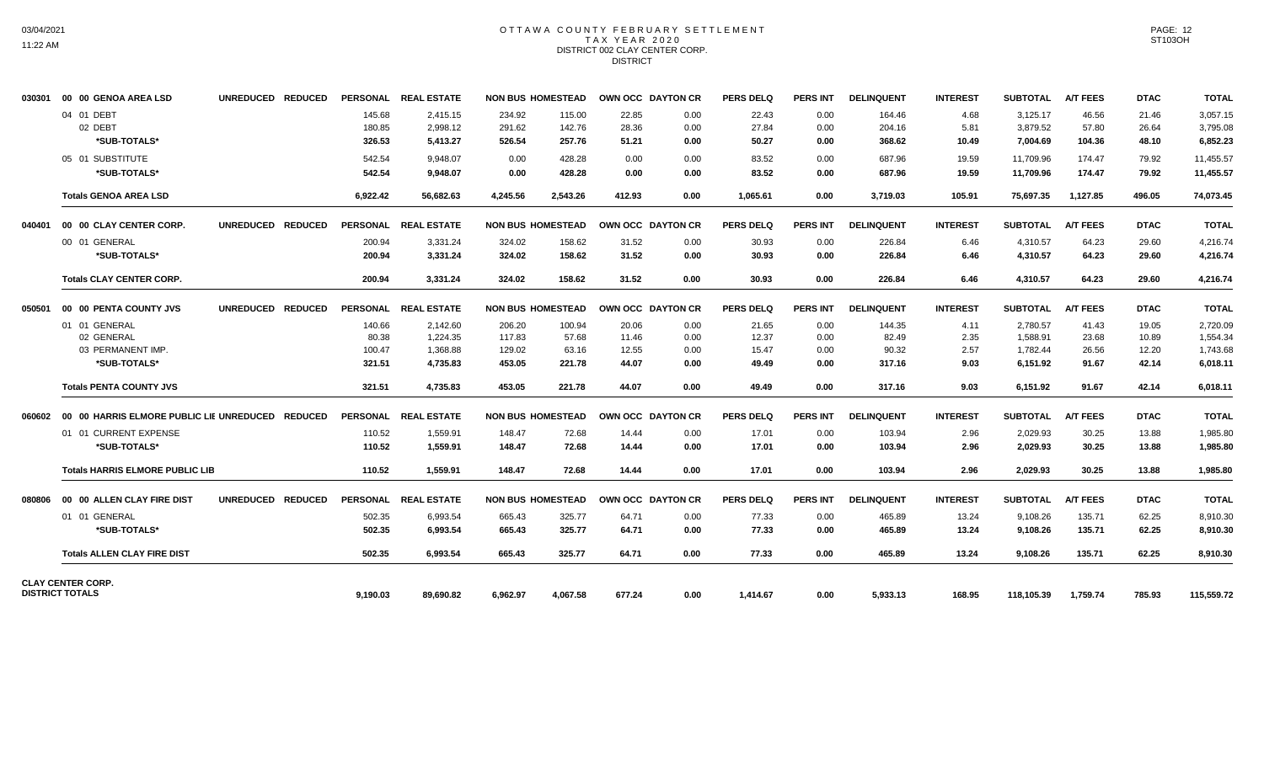## OTTAWA COUNTY FEBRUARY SETTLEMENT TAX YEAR 2020 DISTRICT 002 CLAY CENTER CORP. **DISTRICT**

| 030301 | 00 00 GENOA AREA LSD                                             | UNREDUCED REDUCED |                                     | PERSONAL REAL ESTATE                         |                                      | <b>NON BUS HOMESTEAD</b>           | OWN OCC DAYTON CR                |                              | <b>PERS DELQ</b>                 | <b>PERS INT</b>              | <b>DELINQUENT</b>                  | <b>INTEREST</b>              | <b>SUBTOTAL</b>                              | <b>A/T FEES</b>                  | <b>DTAC</b>                      | <b>TOTAL</b>                                 |
|--------|------------------------------------------------------------------|-------------------|-------------------------------------|----------------------------------------------|--------------------------------------|------------------------------------|----------------------------------|------------------------------|----------------------------------|------------------------------|------------------------------------|------------------------------|----------------------------------------------|----------------------------------|----------------------------------|----------------------------------------------|
|        | 04 01 DEBT<br>02 DEBT<br>*SUB-TOTALS*                            |                   | 145.68<br>180.85<br>326.53          | 2.415.15<br>2,998.12<br>5.413.27             | 234.92<br>291.62<br>526.54           | 115.00<br>142.76<br>257.76         | 22.85<br>28.36<br>51.21          | 0.00<br>0.00<br>0.00         | 22.43<br>27.84<br>50.27          | 0.00<br>0.00<br>0.00         | 164.46<br>204.16<br>368.62         | 4.68<br>5.81<br>10.49        | 3,125.17<br>3,879.52<br>7.004.69             | 46.56<br>57.80<br>104.36         | 21.46<br>26.64<br>48.10          | 3,057.15<br>3,795.08<br>6,852.23             |
|        | 05 01 SUBSTITUTE<br>*SUB-TOTALS*                                 |                   | 542.54<br>542.54                    | 9.948.07<br>9,948.07                         | 0.00<br>0.00                         | 428.28<br>428.28                   | 0.00<br>0.00                     | 0.00<br>0.00                 | 83.52<br>83.52                   | 0.00<br>0.00                 | 687.96<br>687.96                   | 19.59<br>19.59               | 11.709.96<br>11,709.96                       | 174.47<br>174.47                 | 79.92<br>79.92                   | 11,455.57<br>11,455.57                       |
|        | <b>Totals GENOA AREA LSD</b>                                     |                   | 6,922.42                            | 56,682.63                                    | 4.245.56                             | 2,543.26                           | 412.93                           | 0.00                         | 1.065.61                         | 0.00                         | 3,719.03                           | 105.91                       | 75.697.35                                    | 1,127.85                         | 496.05                           | 74,073.45                                    |
| 040401 | 00 00 CLAY CENTER CORP.                                          | UNREDUCED REDUCED |                                     | PERSONAL REAL ESTATE                         |                                      | <b>NON BUS HOMESTEAD</b>           | OWN OCC DAYTON CR                |                              | <b>PERS DELQ</b>                 | <b>PERS INT</b>              | <b>DELINQUENT</b>                  | <b>INTEREST</b>              | <b>SUBTOTAL</b>                              | <b>A/T FEES</b>                  | <b>DTAC</b>                      | <b>TOTAL</b>                                 |
|        | 00 01 GENERAL<br>*SUB-TOTALS*                                    |                   | 200.94<br>200.94                    | 3,331.24<br>3,331.24                         | 324.02<br>324.02                     | 158.62<br>158.62                   | 31.52<br>31.52                   | 0.00<br>0.00                 | 30.93<br>30.93                   | 0.00<br>0.00                 | 226.84<br>226.84                   | 6.46<br>6.46                 | 4,310.57<br>4,310.57                         | 64.23<br>64.23                   | 29.60<br>29.60                   | 4,216.74<br>4,216.74                         |
|        | <b>Totals CLAY CENTER CORP.</b>                                  |                   | 200.94                              | 3,331.24                                     | 324.02                               | 158.62                             | 31.52                            | 0.00                         | 30.93                            | 0.00                         | 226.84                             | 6.46                         | 4,310.57                                     | 64.23                            | 29.60                            | 4,216.74                                     |
| 050501 | <b>00 00 PENTA COUNTY JVS</b>                                    | UNREDUCED REDUCED |                                     | PERSONAL REAL ESTATE                         |                                      | <b>NON BUS HOMESTEAD</b>           | OWN OCC DAYTON CR                |                              | <b>PERS DELQ</b>                 | <b>PERS INT</b>              | <b>DELINQUENT</b>                  | <b>INTEREST</b>              | <b>SUBTOTAL</b>                              | <b>A/T FEES</b>                  | <b>DTAC</b>                      | <b>TOTAL</b>                                 |
|        | 01 01 GENERAL<br>02 GENERAL<br>03 PERMANENT IMP.<br>*SUB-TOTALS* |                   | 140.66<br>80.38<br>100.47<br>321.51 | 2.142.60<br>1,224.35<br>1,368.88<br>4,735.83 | 206.20<br>117.83<br>129.02<br>453.05 | 100.94<br>57.68<br>63.16<br>221.78 | 20.06<br>11.46<br>12.55<br>44.07 | 0.00<br>0.00<br>0.00<br>0.00 | 21.65<br>12.37<br>15.47<br>49.49 | 0.00<br>0.00<br>0.00<br>0.00 | 144.35<br>82.49<br>90.32<br>317.16 | 4.11<br>2.35<br>2.57<br>9.03 | 2.780.57<br>1,588.91<br>1,782.44<br>6,151.92 | 41.43<br>23.68<br>26.56<br>91.67 | 19.05<br>10.89<br>12.20<br>42.14 | 2,720.09<br>1,554.34<br>1,743.68<br>6,018.11 |
|        | <b>Totals PENTA COUNTY JVS</b>                                   |                   | 321.51                              | 4.735.83                                     | 453.05                               | 221.78                             | 44.07                            | 0.00                         | 49.49                            | 0.00                         | 317.16                             | 9.03                         | 6,151.92                                     | 91.67                            | 42.14                            | 6,018.11                                     |
|        |                                                                  |                   |                                     | PERSONAL REAL ESTATE                         |                                      | <b>NON BUS HOMESTEAD</b>           | OWN OCC DAYTON CR                |                              | <b>PERS DELQ</b>                 | <b>PERS INT</b>              | <b>DELINQUENT</b>                  | <b>INTEREST</b>              | <b>SUBTOTAL</b>                              | <b>A/T FEES</b>                  | <b>DTAC</b>                      | <b>TOTAL</b>                                 |
|        | 01 01 CURRENT EXPENSE<br>*SUB-TOTALS*                            |                   | 110.52<br>110.52                    | 1.559.91<br>1,559.91                         | 148.47<br>148.47                     | 72.68<br>72.68                     | 14.44<br>14.44                   | 0.00<br>0.00                 | 17.01<br>17.01                   | 0.00<br>0.00                 | 103.94<br>103.94                   | 2.96<br>2.96                 | 2.029.93<br>2,029.93                         | 30.25<br>30.25                   | 13.88<br>13.88                   | 1,985.80<br>1,985.80                         |
|        | <b>Totals HARRIS ELMORE PUBLIC LIB</b>                           |                   | 110.52                              | 1.559.91                                     | 148.47                               | 72.68                              | 14.44                            | 0.00                         | 17.01                            | 0.00                         | 103.94                             | 2.96                         | 2.029.93                                     | 30.25                            | 13.88                            | 1.985.80                                     |
|        |                                                                  | UNREDUCED REDUCED |                                     | PERSONAL REAL ESTATE                         |                                      | <b>NON BUS HOMESTEAD</b>           | OWN OCC DAYTON CR                |                              | <b>PERS DELQ</b>                 | <b>PERS INT</b>              | <b>DELINQUENT</b>                  | <b>INTEREST</b>              | <b>SUBTOTAL</b>                              | <b>A/T FEES</b>                  | <b>DTAC</b>                      | <b>TOTAL</b>                                 |
|        | 01 01 GENERAL<br>*SUB-TOTALS*                                    |                   | 502.35<br>502.35                    | 6,993.54<br>6.993.54                         | 665.43<br>665.43                     | 325.77<br>325.77                   | 64.71<br>64.71                   | 0.00<br>0.00                 | 77.33<br>77.33                   | 0.00<br>0.00                 | 465.89<br>465.89                   | 13.24<br>13.24               | 9,108.26<br>9,108.26                         | 135.71<br>135.71                 | 62.25<br>62.25                   | 8,910.30<br>8,910.30                         |
|        | <b>Totals ALLEN CLAY FIRE DIST</b>                               |                   | 502.35                              | 6,993.54                                     | 665.43                               | 325.77                             | 64.71                            | 0.00                         | 77.33                            | 0.00                         | 465.89                             | 13.24                        | 9,108.26                                     | 135.71                           | 62.25                            | 8,910.30                                     |
|        | <b>CLAY CENTER CORP.</b><br><b>DISTRICT TOTALS</b>               |                   | 9.190.03                            | 89.690.82                                    | 6.962.97                             | 4.067.58                           | 677.24                           | 0.00                         | 1.414.67                         | 0.00                         | 5,933.13                           | 168.95                       | 118,105.39                                   | 1.759.74                         | 785.93                           | 115,559.72                                   |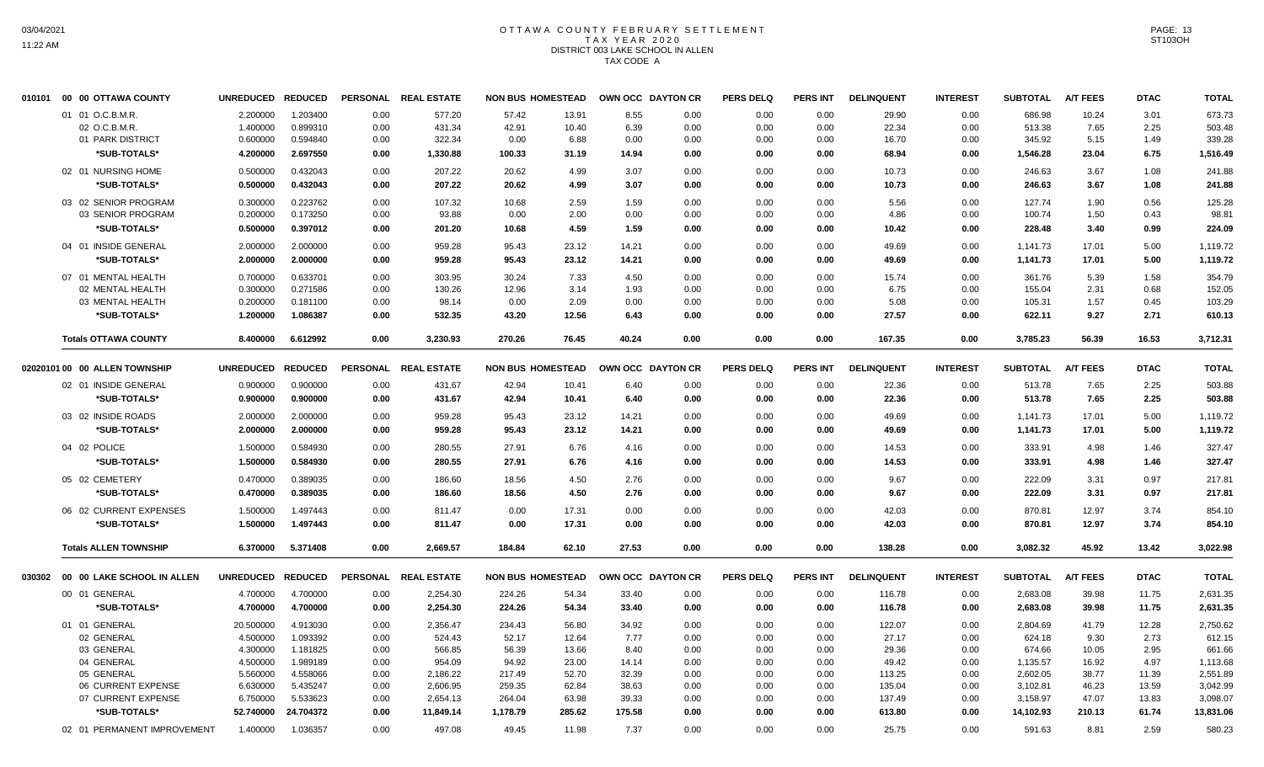## OTTAWA COUNTY FEBRUARY SETTLEMENT TAX YEAR 2020 DISTRICT 003 LAKE SCHOOL IN ALLEN TAX CODE A

| 010101 | 00 00 OTTAWA COUNTY               | <b>UNREDUCED</b>  | <b>REDUCED</b> |      | PERSONAL REAL ESTATE | <b>NON BUS HOMESTEAD</b> |        | OWN OCC DAYTON CR |      | <b>PERS DELQ</b> | <b>PERS INT</b> | <b>DELINQUENT</b> | <b>INTEREST</b> | <b>SUBTOTAL</b> | <b>A/T FEES</b> | <b>DTAC</b> | <b>TOTAL</b> |
|--------|-----------------------------------|-------------------|----------------|------|----------------------|--------------------------|--------|-------------------|------|------------------|-----------------|-------------------|-----------------|-----------------|-----------------|-------------|--------------|
|        | 01 01 O.C.B.M.R.                  | 2.200000          | 1.203400       | 0.00 | 577.20               | 57.42                    | 13.91  | 8.55              | 0.00 | 0.00             | 0.00            | 29.90             | 0.00            | 686.98          | 10.24           | 3.01        | 673.73       |
|        | 02 O.C.B.M.R.                     | 1.400000          | 0.899310       | 0.00 | 431.34               | 42.91                    | 10.40  | 6.39              | 0.00 | 0.00             | 0.00            | 22.34             | 0.00            | 513.38          | 7.65            | 2.25        | 503.48       |
|        | 01 PARK DISTRICT                  | 0.600000          | 0.594840       | 0.00 | 322.34               | 0.00                     | 6.88   | 0.00              | 0.00 | 0.00             | 0.00            | 16.70             | 0.00            | 345.92          | 5.15            | 1.49        | 339.28       |
|        | *SUB-TOTALS*                      | 4.200000          | 2.697550       | 0.00 | 1,330.88             | 100.33                   | 31.19  | 14.94             | 0.00 | 0.00             | 0.00            | 68.94             | 0.00            | 1,546.28        | 23.04           | 6.75        | 1,516.49     |
|        | 02 01 NURSING HOME                | 0.500000          | 0.432043       | 0.00 | 207.22               | 20.62                    | 4.99   | 3.07              | 0.00 | 0.00             | 0.00            | 10.73             | 0.00            | 246.63          | 3.67            | 1.08        | 241.88       |
|        | *SUB-TOTALS*                      | 0.500000          | 0.432043       | 0.00 | 207.22               | 20.62                    | 4.99   | 3.07              | 0.00 | 0.00             | 0.00            | 10.73             | 0.00            | 246.63          | 3.67            | 1.08        | 241.88       |
|        | 03 02 SENIOR PROGRAM              | 0.300000          | 0.223762       | 0.00 | 107.32               | 10.68                    | 2.59   | 1.59              | 0.00 | 0.00             | 0.00            | 5.56              | 0.00            | 127.74          | 1.90            | 0.56        | 125.28       |
|        | 03 SENIOR PROGRAM                 | 0.200000          | 0.173250       | 0.00 | 93.88                | 0.00                     | 2.00   | 0.00              | 0.00 | 0.00             | 0.00            | 4.86              | 0.00            | 100.74          | 1.50            | 0.43        | 98.81        |
|        | *SUB-TOTALS*                      | 0.500000          | 0.397012       | 0.00 | 201.20               | 10.68                    | 4.59   | 1.59              | 0.00 | 0.00             | 0.00            | 10.42             | 0.00            | 228.48          | 3.40            | 0.99        | 224.09       |
|        | 04 01 INSIDE GENERAL              | 2.000000          | 2.000000       | 0.00 | 959.28               | 95.43                    | 23.12  | 14.21             | 0.00 | 0.00             | 0.00            | 49.69             | 0.00            | 1,141.73        | 17.01           | 5.00        | 1,119.72     |
|        | *SUB-TOTALS*                      | 2.000000          | 2.000000       | 0.00 | 959.28               | 95.43                    | 23.12  | 14.21             | 0.00 | 0.00             | 0.00            | 49.69             | 0.00            | 1,141.73        | 17.01           | 5.00        | 1,119.72     |
|        | 07 01 MENTAL HEALTH               | 0.700000          | 0.633701       | 0.00 | 303.95               | 30.24                    | 7.33   | 4.50              | 0.00 | 0.00             | 0.00            | 15.74             | 0.00            | 361.76          | 5.39            | 1.58        | 354.79       |
|        | 02 MENTAL HEALTH                  | 0.300000          | 0.271586       | 0.00 | 130.26               | 12.96                    | 3.14   | 1.93              | 0.00 | 0.00             | 0.00            | 6.75              | 0.00            | 155.04          | 2.31            | 0.68        | 152.05       |
|        | 03 MENTAL HEALTH                  | 0.200000          | 0.181100       | 0.00 | 98.14                | 0.00                     | 2.09   | 0.00              | 0.00 | 0.00             | 0.00            | 5.08              | 0.00            | 105.31          | 1.57            | 0.45        | 103.29       |
|        | *SUB-TOTALS*                      | 1.200000          | 1.086387       | 0.00 | 532.35               | 43.20                    | 12.56  | 6.43              | 0.00 | 0.00             | 0.00            | 27.57             | 0.00            | 622.11          | 9.27            | 2.71        | 610.13       |
|        | <b>Totals OTTAWA COUNTY</b>       | 8.400000          | 6.612992       | 0.00 | 3,230.93             | 270.26                   | 76.45  | 40.24             | 0.00 | 0.00             | 0.00            | 167.35            | 0.00            | 3,785.23        | 56.39           | 16.53       | 3,712.31     |
|        | 02020101 00 00 ALLEN TOWNSHIP     | UNREDUCED REDUCED |                |      | PERSONAL REAL ESTATE | <b>NON BUS HOMESTEAD</b> |        | OWN OCC DAYTON CR |      | <b>PERS DELQ</b> | <b>PERS INT</b> | <b>DELINQUENT</b> | <b>INTEREST</b> | <b>SUBTOTAL</b> | <b>A/T FEES</b> | <b>DTAC</b> | <b>TOTAL</b> |
|        | 02 01 INSIDE GENERAL              | 0.900000          | 0.900000       | 0.00 | 431.67               | 42.94                    | 10.41  | 6.40              | 0.00 | 0.00             | 0.00            | 22.36             | 0.00            | 513.78          | 7.65            | 2.25        | 503.88       |
|        | *SUB-TOTALS*                      | 0.900000          | 0.900000       | 0.00 | 431.67               | 42.94                    | 10.41  | 6.40              | 0.00 | 0.00             | 0.00            | 22.36             | 0.00            | 513.78          | 7.65            | 2.25        | 503.88       |
|        | 03 02 INSIDE ROADS                | 2.000000          | 2.000000       | 0.00 | 959.28               | 95.43                    | 23.12  | 14.21             | 0.00 | 0.00             | 0.00            | 49.69             | 0.00            | 1,141.73        | 17.01           | 5.00        | 1,119.72     |
|        | *SUB-TOTALS*                      | 2.000000          | 2.000000       | 0.00 | 959.28               | 95.43                    | 23.12  | 14.21             | 0.00 | 0.00             | 0.00            | 49.69             | 0.00            | 1,141.73        | 17.01           | 5.00        | 1,119.72     |
|        |                                   |                   |                |      |                      |                          |        |                   |      |                  |                 |                   |                 |                 |                 |             |              |
|        | 04 02 POLICE                      | 1.500000          | 0.584930       | 0.00 | 280.55               | 27.91                    | 6.76   | 4.16              | 0.00 | 0.00             | 0.00            | 14.53             | 0.00            | 333.91          | 4.98            | 1.46        | 327.47       |
|        | *SUB-TOTALS*                      | 1.500000          | 0.584930       | 0.00 | 280.55               | 27.91                    | 6.76   | 4.16              | 0.00 | 0.00             | 0.00            | 14.53             | 0.00            | 333.91          | 4.98            | 1.46        | 327.47       |
|        | 05 02 CEMETERY                    | 0.470000          | 0.389035       | 0.00 | 186.60               | 18.56                    | 4.50   | 2.76              | 0.00 | 0.00             | 0.00            | 9.67              | 0.00            | 222.09          | 3.31            | 0.97        | 217.81       |
|        | *SUB-TOTALS*                      | 0.470000          | 0.389035       | 0.00 | 186.60               | 18.56                    | 4.50   | 2.76              | 0.00 | 0.00             | 0.00            | 9.67              | 0.00            | 222.09          | 3.31            | 0.97        | 217.81       |
|        | 06 02 CURRENT EXPENSES            | 1.500000          | 1.497443       | 0.00 | 811.47               | 0.00                     | 17.31  | 0.00              | 0.00 | 0.00             | 0.00            | 42.03             | 0.00            | 870.81          | 12.97           | 3.74        | 854.10       |
|        | *SUB-TOTALS*                      | 1.500000          | 1.497443       | 0.00 | 811.47               | 0.00                     | 17.31  | 0.00              | 0.00 | 0.00             | 0.00            | 42.03             | 0.00            | 870.81          | 12.97           | 3.74        | 854.10       |
|        | <b>Totals ALLEN TOWNSHIP</b>      | 6.370000          | 5.371408       | 0.00 | 2,669.57             | 184.84                   | 62.10  | 27.53             | 0.00 | 0.00             | 0.00            | 138.28            | 0.00            | 3,082.32        | 45.92           | 13.42       | 3,022.98     |
|        | 030302 00 00 LAKE SCHOOL IN ALLEN | UNREDUCED REDUCED |                |      | PERSONAL REAL ESTATE | <b>NON BUS HOMESTEAD</b> |        | OWN OCC DAYTON CR |      | <b>PERS DELQ</b> | <b>PERS INT</b> | <b>DELINQUENT</b> | <b>INTEREST</b> | <b>SUBTOTAL</b> | <b>A/T FEES</b> | <b>DTAC</b> | <b>TOTAL</b> |
|        | 00 01 GENERAL                     | 4.700000          | 4.700000       | 0.00 | 2,254.30             | 224.26                   | 54.34  | 33.40             | 0.00 | 0.00             | 0.00            | 116.78            | 0.00            | 2,683.08        | 39.98           | 11.75       | 2,631.35     |
|        | *SUB-TOTALS*                      | 4.700000          | 4.700000       | 0.00 | 2,254.30             | 224.26                   | 54.34  | 33.40             | 0.00 | 0.00             | 0.00            | 116.78            | 0.00            | 2,683.08        | 39.98           | 11.75       | 2,631.35     |
|        | 01 01 GENERAL                     | 20.500000         | 4.913030       | 0.00 | 2,356.47             | 234.43                   | 56.80  | 34.92             | 0.00 | 0.00             | 0.00            | 122.07            | 0.00            | 2,804.69        | 41.79           | 12.28       | 2,750.62     |
|        | 02 GENERAL                        | 4.500000          | 1.093392       | 0.00 | 524.43               | 52.17                    | 12.64  | 7.77              | 0.00 | 0.00             | 0.00            | 27.17             | 0.00            | 624.18          | 9.30            | 2.73        | 612.15       |
|        | 03 GENERAL                        | 4.300000          | 1.181825       | 0.00 | 566.85               | 56.39                    | 13.66  | 8.40              | 0.00 | 0.00             | 0.00            | 29.36             | 0.00            | 674.66          | 10.05           | 2.95        | 661.66       |
|        | 04 GENERAL                        | 4.500000          | 1.989189       | 0.00 | 954.09               | 94.92                    | 23.00  | 14.14             | 0.00 | 0.00             | 0.00            | 49.42             | 0.00            | 1,135.57        | 16.92           | 4.97        | 1,113.68     |
|        | 05 GENERAL                        | 5.560000          | 4.558066       | 0.00 | 2,186.22             | 217.49                   | 52.70  | 32.39             | 0.00 | 0.00             | 0.00            | 113.25            | 0.00            | 2,602.05        | 38.77           | 11.39       | 2,551.89     |
|        | 06 CURRENT EXPENSE                | 6.630000          | 5.435247       | 0.00 | 2,606.95             | 259.35                   | 62.84  | 38.63             | 0.00 | 0.00             | 0.00            | 135.04            | 0.00            | 3,102.81        | 46.23           | 13.59       | 3,042.99     |
|        | 07 CURRENT EXPENSE                | 6.750000          | 5.533623       | 0.00 | 2,654.13             | 264.04                   | 63.98  | 39.33             | 0.00 | 0.00             | 0.00            | 137.49            | 0.00            | 3,158.97        | 47.07           | 13.83       | 3,098.07     |
|        | *SUB-TOTALS*                      | 52.740000         | 24.704372      | 0.00 | 11,849.14            | 1,178.79                 | 285.62 | 175.58            | 0.00 | 0.00             | 0.00            | 613.80            | 0.00            | 14,102.93       | 210.13          | 61.74       | 13,831.06    |
|        | 02 01 PERMANENT IMPROVEMENT       | 1.400000          | 1.036357       | 0.00 | 497.08               | 49.45                    | 11.98  | 7.37              | 0.00 | 0.00             | 0.00            | 25.75             | 0.00            | 591.63          | 8.81            | 2.59        | 580.23       |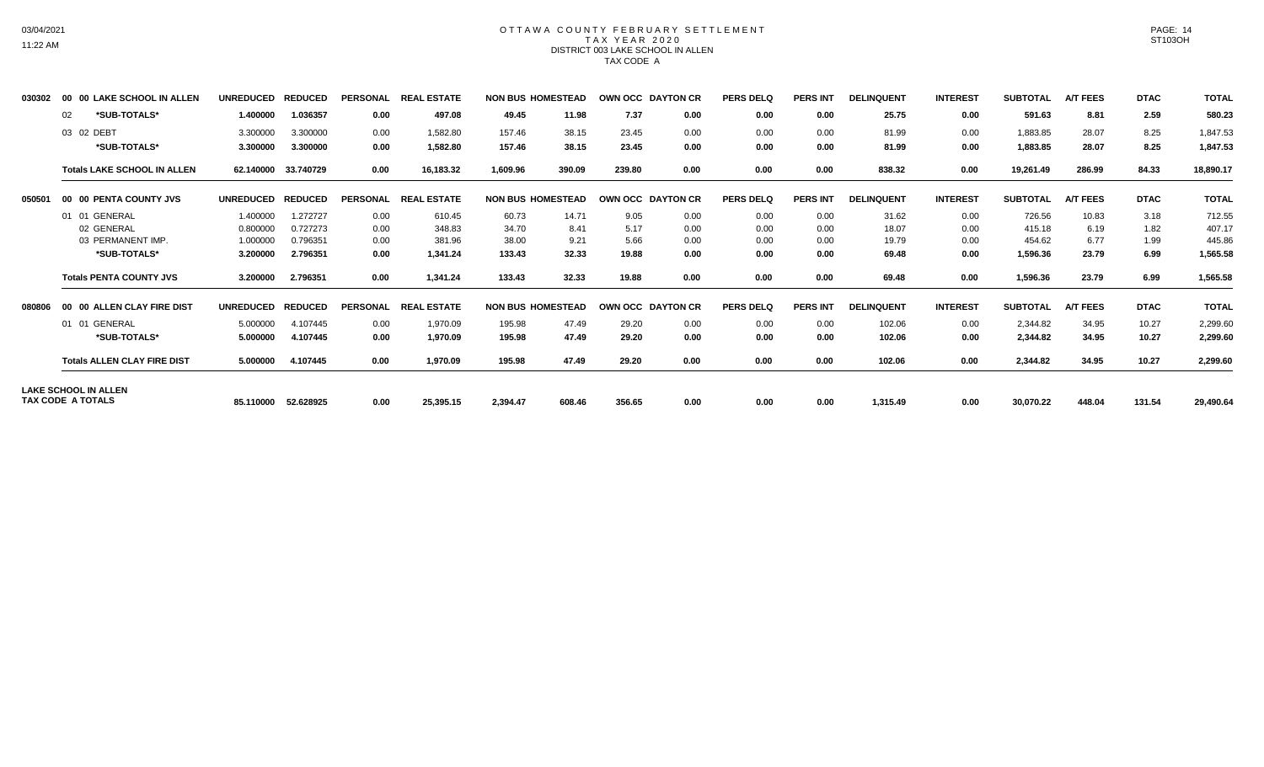# 03/04/2021 11:22 AM

### OTTAWA COUNTY FEBRUARY SETTLEMENT TAX YEAR 2020 DISTRICT 003 LAKE SCHOOL IN ALLEN TAX CODE A

| 030302 | 00                       | <b>00 LAKE SCHOOL IN ALLEN</b>     | <b>UNREDUCED</b> | <b>REDUCED</b> | <b>PERSONAL</b> | <b>LESTATE</b><br><b>REAL</b> |          | <b>NON BUS HOMESTEAD</b> | OWN OCC DAYTON CR |      | <b>PERS DELQ</b> | <b>PERS INT</b> | <b>DELINQUENT</b> | <b>INTEREST</b> | <b>SUBTOTAL</b> | <b>A/T FEES</b> | <b>DTAC</b> | <b>TOTAL</b> |
|--------|--------------------------|------------------------------------|------------------|----------------|-----------------|-------------------------------|----------|--------------------------|-------------------|------|------------------|-----------------|-------------------|-----------------|-----------------|-----------------|-------------|--------------|
|        | 02                       | *SUB-TOTALS*                       | 1.400000         | 1.036357       | 0.00            | 497.08                        | 49.45    | 11.98                    | 7.37              | 0.00 | 0.00             | 0.00            | 25.75             | 0.00            | 591.63          | 8.81            | 2.59        | 580.23       |
|        | 03 02 DEBT               |                                    | 3.300000         | 3.300000       | 0.00            | 1,582.80                      | 157.46   | 38.15                    | 23.45             | 0.00 | 0.00             | 0.00            | 81.99             | 0.00            | 1,883.85        | 28.07           | 8.25        | 1,847.53     |
|        |                          | *SUB-TOTALS*                       | 3.300000         | 3.300000       | 0.00            | 1,582.80                      | 157.46   | 38.15                    | 23.45             | 0.00 | 0.00             | 0.00            | 81.99             | 0.00            | 1,883.85        | 28.07           | 8.25        | 1,847.53     |
|        |                          | <b>Totals LAKE SCHOOL IN ALLEN</b> | 62.140000        | 33.740729      | 0.00            | 16,183.32                     | 1,609.96 | 390.09                   | 239.80            | 0.00 | 0.00             | 0.00            | 838.32            | 0.00            | 19,261.49       | 286.99          | 84.33       | 18,890.17    |
| 050501 |                          | 00 00 PENTA COUNTY JVS             | <b>UNREDUCED</b> | <b>REDUCED</b> | <b>PERSONAL</b> | <b>REAL ESTATE</b>            |          | <b>NON BUS HOMESTEAD</b> | OWN OCC DAYTON CR |      | <b>PERS DELQ</b> | <b>PERS INT</b> | <b>DELINQUENT</b> | <b>INTEREST</b> | <b>SUBTOTAL</b> | <b>A/T FEES</b> | <b>DTAC</b> | <b>TOTAL</b> |
|        |                          | 01 01 GENERAL                      | 1.400000         | 1.272727       | 0.00            | 610.45                        | 60.73    | 14.71                    | 9.05              | 0.00 | 0.00             | 0.00            | 31.62             | 0.00            | 726.56          | 10.83           | 3.18        | 712.55       |
|        |                          | 02 GENERAL                         | 0.800000         | 0.727273       | 0.00            | 348.83                        | 34.70    | 8.41                     | 5.17              | 0.00 | 0.00             | 0.00            | 18.07             | 0.00            | 415.18          | 6.19            | 1.82        | 407.17       |
|        |                          | 03 PERMANENT IMP                   | 1.000000         | 0.796351       | 0.00            | 381.96                        | 38.00    | 9.21                     | 5.66              | 0.00 | 0.00             | 0.00            | 19.79             | 0.00            | 454.62          | 6.77            | 1.99        | 445.86       |
|        |                          | *SUB-TOTALS*                       | 3.200000         | 2.796351       | 0.00            | 1,341.24                      | 133.43   | 32.33                    | 19.88             | 0.00 | 0.00             | 0.00            | 69.48             | 0.00            | 1,596.36        | 23.79           | 6.99        | 1,565.58     |
|        |                          | <b>Totals PENTA COUNTY JVS</b>     | 3.200000         | 2.796351       | 0.00            | 1,341.24                      | 133.43   | 32.33                    | 19.88             | 0.00 | 0.00             | 0.00            | 69.48             | 0.00            | 1,596.36        | 23.79           | 6.99        | 1,565.58     |
| 080806 |                          | 00 00 ALLEN CLAY FIRE DIST         | <b>UNREDUCED</b> | <b>REDUCED</b> | <b>PERSONAL</b> | <b>REAL ESTATE</b>            |          | <b>NON BUS HOMESTEAD</b> | OWN OCC DAYTON CR |      | <b>PERS DELQ</b> | <b>PERS INT</b> | <b>DELINQUENT</b> | <b>INTEREST</b> | <b>SUBTOTAL</b> | <b>A/T FEES</b> | <b>DTAC</b> | <b>TOTAL</b> |
|        |                          | 01 01 GENERAL                      | 5.000000         | 4.107445       | 0.00            | 1,970.09                      | 195.98   | 47.49                    | 29.20             | 0.00 | 0.00             | 0.00            | 102.06            | 0.00            | 2,344.82        | 34.95           | 10.27       | 2,299.60     |
|        |                          | *SUB-TOTALS*                       | 5.000000         | 4.107445       | 0.00            | 1,970.09                      | 195.98   | 47.49                    | 29.20             | 0.00 | 0.00             | 0.00            | 102.06            | 0.00            | 2,344.82        | 34.95           | 10.27       | 2,299.60     |
|        |                          | <b>Totals ALLEN CLAY FIRE DIST</b> | 5.000000         | 4.107445       | 0.00            | 1,970.09                      | 195.98   | 47.49                    | 29.20             | 0.00 | 0.00             | 0.00            | 102.06            | 0.00            | 2,344.82        | 34.95           | 10.27       | 2,299.60     |
|        | <b>TAX CODE A TOTALS</b> | <b>LAKE SCHOOL IN ALLEN</b>        | 85.110000        | 52.628925      | 0.00            | 25,395.15                     | 2,394.47 | 608.46                   | 356.65            | 0.00 | 0.00             | 0.00            | 1,315.49          | 0.00            | 30,070.22       | 448.04          | 131.54      | 29,490.64    |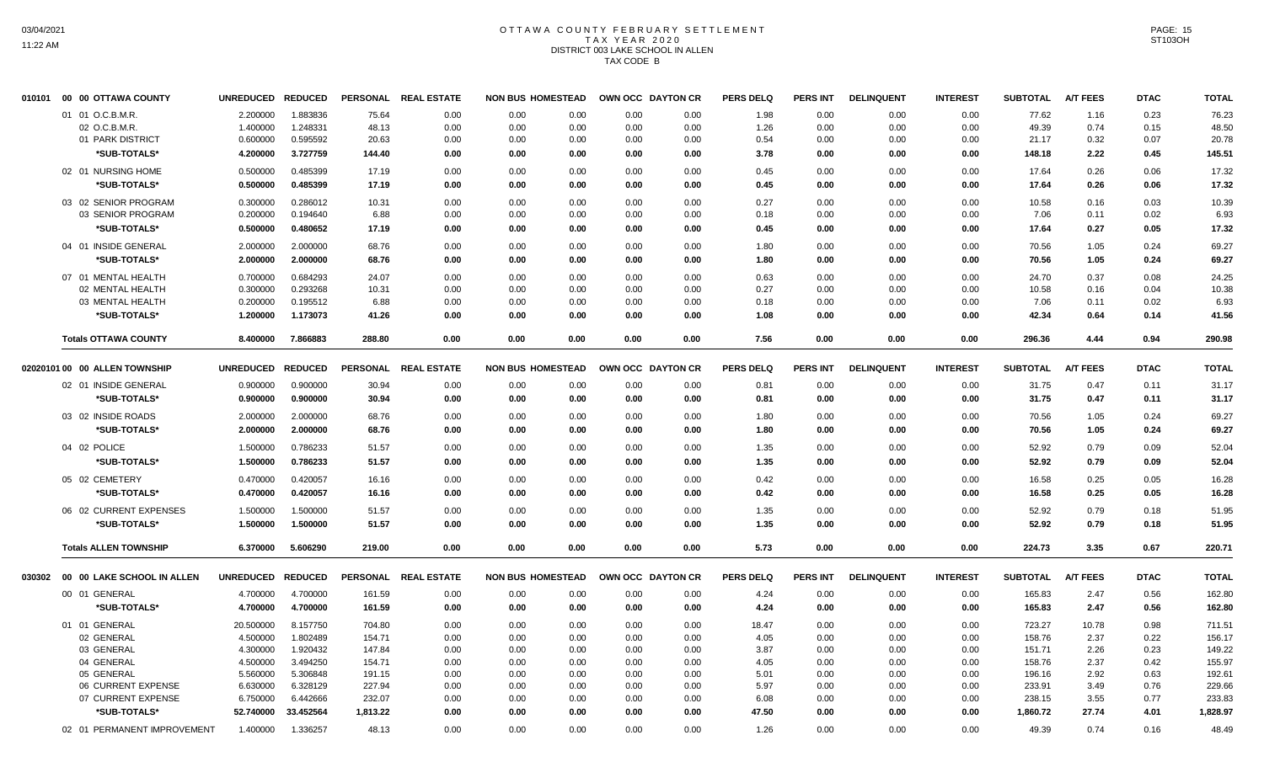## OTTAWA COUNTY FEBRUARY SETTLEMENT TAX YEAR 2020 DISTRICT 003 LAKE SCHOOL IN ALLEN TAX CODE B

| 010101 | 00 00 OTTAWA COUNTY           | <b>UNREDUCED</b>  | <b>REDUCED</b> | <b>PERSONAL</b> | <b>REAL ESTATE</b> | <b>NON BUS HOMESTEAD</b> |      | OWN OCC DAYTON CR |      | <b>PERS DELQ</b> | <b>PERS INT</b> | <b>DELINQUENT</b> | <b>INTEREST</b> | <b>SUBTOTAL</b> | <b>A/T FEES</b> | <b>DTAC</b> | <b>TOTAL</b> |
|--------|-------------------------------|-------------------|----------------|-----------------|--------------------|--------------------------|------|-------------------|------|------------------|-----------------|-------------------|-----------------|-----------------|-----------------|-------------|--------------|
|        | 01 01 O.C.B.M.R.              | 2.200000          | 1.883836       | 75.64           | 0.00               | 0.00                     | 0.00 | 0.00              | 0.00 | 1.98             | 0.00            | 0.00              | 0.00            | 77.62           | 1.16            | 0.23        | 76.23        |
|        | 02 O.C.B.M.R.                 | 1.400000          | 1.248331       | 48.13           | 0.00               | 0.00                     | 0.00 | 0.00              | 0.00 | 1.26             | 0.00            | 0.00              | 0.00            | 49.39           | 0.74            | 0.15        | 48.50        |
|        | 01 PARK DISTRICT              | 0.600000          | 0.595592       | 20.63           | 0.00               | 0.00                     | 0.00 | 0.00              | 0.00 | 0.54             | 0.00            | 0.00              | 0.00            | 21.17           | 0.32            | 0.07        | 20.78        |
|        | *SUB-TOTALS*                  | 4.200000          | 3.727759       | 144.40          | 0.00               | 0.00                     | 0.00 | 0.00              | 0.00 | 3.78             | 0.00            | 0.00              | 0.00            | 148.18          | 2.22            | 0.45        | 145.51       |
|        | 02 01 NURSING HOME            | 0.500000          | 0.485399       | 17.19           | 0.00               | 0.00                     | 0.00 | 0.00              | 0.00 | 0.45             | 0.00            | 0.00              | 0.00            | 17.64           | 0.26            | 0.06        | 17.32        |
|        | *SUB-TOTALS*                  | 0.500000          | 0.485399       | 17.19           | 0.00               | 0.00                     | 0.00 | 0.00              | 0.00 | 0.45             | 0.00            | 0.00              | 0.00            | 17.64           | 0.26            | 0.06        | 17.32        |
|        | 03 02 SENIOR PROGRAM          | 0.300000          | 0.286012       | 10.31           | 0.00               | 0.00                     | 0.00 | 0.00              | 0.00 | 0.27             | 0.00            | 0.00              | 0.00            | 10.58           | 0.16            | 0.03        | 10.39        |
|        | 03 SENIOR PROGRAM             | 0.200000          | 0.194640       | 6.88            | 0.00               | 0.00                     | 0.00 | 0.00              | 0.00 | 0.18             | 0.00            | 0.00              | 0.00            | 7.06            | 0.11            | 0.02        | 6.93         |
|        | *SUB-TOTALS*                  | 0.500000          | 0.480652       | 17.19           | 0.00               | 0.00                     | 0.00 | 0.00              | 0.00 | 0.45             | 0.00            | 0.00              | 0.00            | 17.64           | 0.27            | 0.05        | 17.32        |
|        | 04 01 INSIDE GENERAL          | 2.000000          | 2.000000       | 68.76           | 0.00               | 0.00                     | 0.00 | 0.00              | 0.00 | 1.80             | 0.00            | 0.00              | 0.00            | 70.56           | 1.05            | 0.24        | 69.27        |
|        | *SUB-TOTALS*                  | 2.000000          | 2.000000       | 68.76           | 0.00               | 0.00                     | 0.00 | 0.00              | 0.00 | 1.80             | 0.00            | 0.00              | 0.00            | 70.56           | 1.05            | 0.24        | 69.27        |
|        | 07 01 MENTAL HEALTH           | 0.700000          | 0.684293       | 24.07           | 0.00               | 0.00                     | 0.00 | 0.00              | 0.00 | 0.63             | 0.00            | 0.00              | 0.00            | 24.70           | 0.37            | 0.08        | 24.25        |
|        | 02 MENTAL HEALTH              | 0.300000          | 0.293268       | 10.31           | 0.00               | 0.00                     | 0.00 | 0.00              | 0.00 | 0.27             | 0.00            | 0.00              | 0.00            | 10.58           | 0.16            | 0.04        | 10.38        |
|        | 03 MENTAL HEALTH              | 0.200000          | 0.195512       | 6.88            | 0.00               | 0.00                     | 0.00 | 0.00              | 0.00 | 0.18             | 0.00            | 0.00              | 0.00            | 7.06            | 0.11            | 0.02        | 6.93         |
|        | *SUB-TOTALS*                  | 1.200000          | 1.173073       | 41.26           | 0.00               | 0.00                     | 0.00 | 0.00              | 0.00 | 1.08             | 0.00            | 0.00              | 0.00            | 42.34           | 0.64            | 0.14        | 41.56        |
|        | <b>Totals OTTAWA COUNTY</b>   | 8.400000          | 7.866883       | 288.80          | 0.00               | 0.00                     | 0.00 | 0.00              | 0.00 | 7.56             | 0.00            | 0.00              | 0.00            | 296.36          | 4.44            | 0.94        | 290.98       |
|        |                               |                   |                |                 |                    |                          |      |                   |      |                  |                 |                   |                 |                 |                 |             |              |
|        | 02020101 00 00 ALLEN TOWNSHIP | <b>UNREDUCED</b>  | <b>REDUCED</b> | <b>PERSONAL</b> | <b>REAL ESTATE</b> | <b>NON BUS HOMESTEAD</b> |      | OWN OCC DAYTON CR |      | <b>PERS DELQ</b> | <b>PERS INT</b> | <b>DELINQUENT</b> | <b>INTEREST</b> | <b>SUBTOTAL</b> | <b>A/T FEES</b> | <b>DTAC</b> | <b>TOTAL</b> |
|        | 02 01 INSIDE GENERAL          | 0.900000          | 0.900000       | 30.94           | 0.00               | 0.00                     | 0.00 | 0.00              | 0.00 | 0.81             | 0.00            | 0.00              | 0.00            | 31.75           | 0.47            | 0.11        | 31.17        |
|        | *SUB-TOTALS*                  | 0.900000          | 0.900000       | 30.94           | 0.00               | 0.00                     | 0.00 | 0.00              | 0.00 | 0.81             | 0.00            | 0.00              | 0.00            | 31.75           | 0.47            | 0.11        | 31.17        |
|        | 03 02 INSIDE ROADS            | 2.000000          | 2.000000       | 68.76           | 0.00               | 0.00                     | 0.00 | 0.00              | 0.00 | 1.80             | 0.00            | 0.00              | 0.00            | 70.56           | 1.05            | 0.24        | 69.27        |
|        | *SUB-TOTALS*                  | 2.000000          | 2.000000       | 68.76           | 0.00               | 0.00                     | 0.00 | 0.00              | 0.00 | 1.80             | 0.00            | 0.00              | 0.00            | 70.56           | 1.05            | 0.24        | 69.27        |
|        |                               |                   |                |                 |                    |                          |      |                   |      |                  |                 |                   |                 |                 |                 |             |              |
|        | 04 02 POLICE                  | 1.500000          | 0.786233       | 51.57           | 0.00               | 0.00                     | 0.00 | 0.00              | 0.00 | 1.35             | 0.00            | 0.00              | 0.00            | 52.92           | 0.79            | 0.09        | 52.04        |
|        | *SUB-TOTALS*                  | 1.500000          | 0.786233       | 51.57           | 0.00               | 0.00                     | 0.00 | 0.00              | 0.00 | 1.35             | 0.00            | 0.00              | 0.00            | 52.92           | 0.79            | 0.09        | 52.04        |
|        | 05 02 CEMETERY                | 0.470000          | 0.420057       | 16.16           | 0.00               | 0.00                     | 0.00 | 0.00              | 0.00 | 0.42             | 0.00            | 0.00              | 0.00            | 16.58           | 0.25            | 0.05        | 16.28        |
|        | *SUB-TOTALS*                  | 0.470000          | 0.420057       | 16.16           | 0.00               | 0.00                     | 0.00 | 0.00              | 0.00 | 0.42             | 0.00            | 0.00              | 0.00            | 16.58           | 0.25            | 0.05        | 16.28        |
|        | 06 02 CURRENT EXPENSES        | 1.500000          | 1.500000       | 51.57           | 0.00               | 0.00                     | 0.00 | 0.00              | 0.00 | 1.35             | 0.00            | 0.00              | 0.00            | 52.92           | 0.79            | 0.18        | 51.95        |
|        | *SUB-TOTALS*                  | 1.500000          | 1.500000       | 51.57           | 0.00               | 0.00                     | 0.00 | 0.00              | 0.00 | 1.35             | 0.00            | 0.00              | 0.00            | 52.92           | 0.79            | 0.18        | 51.95        |
|        | <b>Totals ALLEN TOWNSHIP</b>  | 6.370000          | 5.606290       | 219.00          | 0.00               | 0.00                     | 0.00 | 0.00              | 0.00 | 5.73             | 0.00            | 0.00              | 0.00            | 224.73          | 3.35            | 0.67        | 220.71       |
|        |                               |                   |                |                 |                    |                          |      |                   |      |                  |                 |                   |                 |                 |                 |             |              |
| 030302 | 00 00 LAKE SCHOOL IN ALLEN    | UNREDUCED REDUCED |                | <b>PERSONAL</b> | <b>REAL ESTATE</b> | <b>NON BUS HOMESTEAD</b> |      | OWN OCC DAYTON CR |      | <b>PERS DELQ</b> | <b>PERS INT</b> | <b>DELINQUENT</b> | <b>INTEREST</b> | <b>SUBTOTAL</b> | <b>A/T FEES</b> | <b>DTAC</b> | <b>TOTAL</b> |
|        | 00 01 GENERAL                 | 4.700000          | 4.700000       | 161.59          | 0.00               | 0.00                     | 0.00 | 0.00              | 0.00 | 4.24             | 0.00            | 0.00              | 0.00            | 165.83          | 2.47            | 0.56        | 162.80       |
|        | *SUB-TOTALS*                  | 4.700000          | 4.700000       | 161.59          | 0.00               | 0.00                     | 0.00 | 0.00              | 0.00 | 4.24             | 0.00            | 0.00              | 0.00            | 165.83          | 2.47            | 0.56        | 162.80       |
|        | 01 01 GENERAL                 | 20.500000         | 8.157750       | 704.80          | 0.00               | 0.00                     | 0.00 | 0.00              | 0.00 | 18.47            | 0.00            | 0.00              | 0.00            | 723.27          | 10.78           | 0.98        | 711.51       |
|        | 02 GENERAL                    | 4.500000          | 1.802489       | 154.71          | 0.00               | 0.00                     | 0.00 | 0.00              | 0.00 | 4.05             | 0.00            | 0.00              | 0.00            | 158.76          | 2.37            | 0.22        | 156.17       |
|        | 03 GENERAL                    | 4.300000          | 1.920432       | 147.84          | 0.00               | 0.00                     | 0.00 | 0.00              | 0.00 | 3.87             | 0.00            | 0.00              | 0.00            | 151.71          | 2.26            | 0.23        | 149.22       |
|        | 04 GENERAL                    | 4.500000          | 3.494250       | 154.71          | 0.00               | 0.00                     | 0.00 | 0.00              | 0.00 | 4.05             | 0.00            | 0.00              | 0.00            | 158.76          | 2.37            | 0.42        | 155.97       |
|        | 05 GENERAL                    | 5.560000          | 5.306848       | 191.15          | 0.00               | 0.00                     | 0.00 | 0.00              | 0.00 | 5.01             | 0.00            | 0.00              | 0.00            | 196.16          | 2.92            | 0.63        | 192.61       |
|        | 06 CURRENT EXPENSE            | 6.630000          | 6.328129       | 227.94          | 0.00               | 0.00                     | 0.00 | 0.00              | 0.00 | 5.97             | 0.00            | 0.00              | 0.00            | 233.91          | 3.49            | 0.76        | 229.66       |
|        | 07 CURRENT EXPENSE            | 6.750000          | 6.442666       | 232.07          | 0.00               | 0.00                     | 0.00 | 0.00              | 0.00 | 6.08             | 0.00            | 0.00              | 0.00            | 238.15          | 3.55            | 0.77        | 233.83       |
|        | *SUB-TOTALS*                  | 52.740000         | 33.452564      | 1,813.22        | 0.00               | 0.00                     | 0.00 | 0.00              | 0.00 | 47.50            | 0.00            | 0.00              | 0.00            | 1,860.72        | 27.74           | 4.01        | 1,828.97     |
|        | 02 01 PERMANENT IMPROVEMENT   | 1.400000          | 1.336257       | 48.13           | 0.00               | 0.00                     | 0.00 | 0.00              | 0.00 | 1.26             | 0.00            | 0.00              | 0.00            | 49.39           | 0.74            | 0.16        | 48.49        |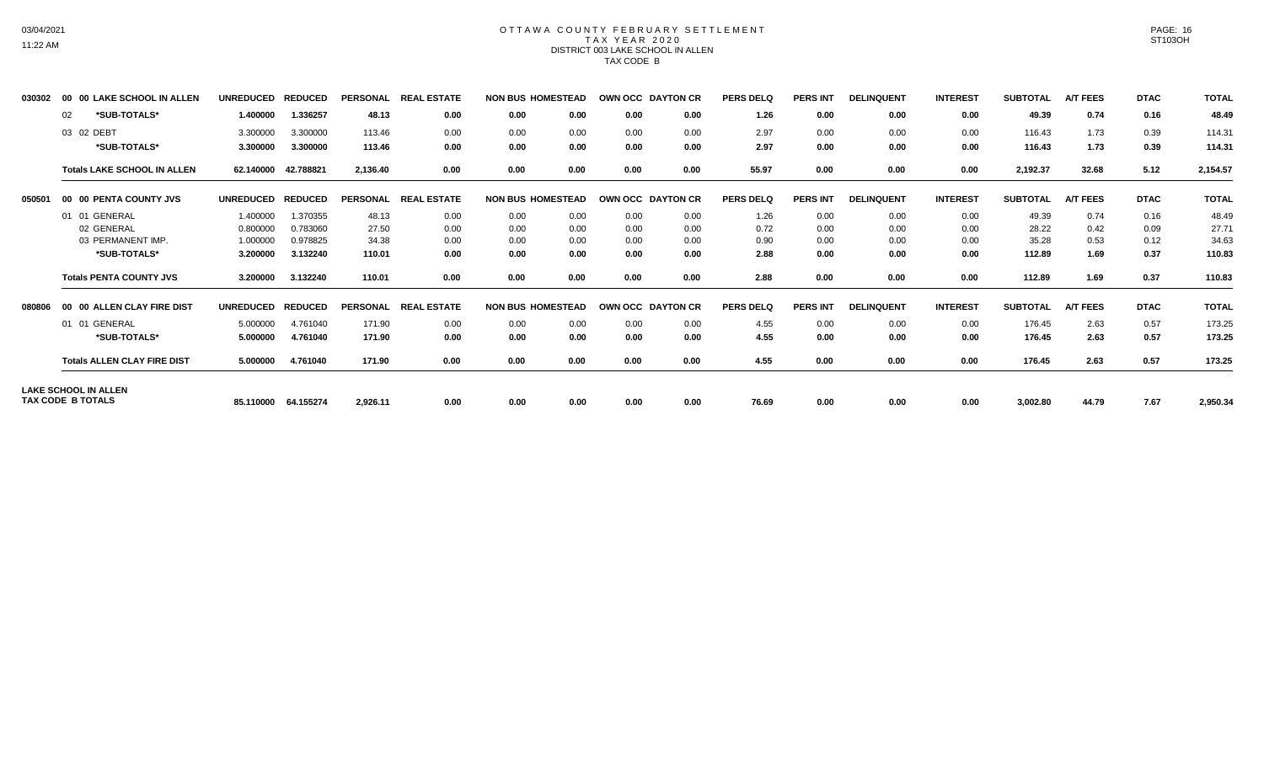# 03/04/2021 11:22 AM

### OTTAWA COUNTY FEBRUARY SETTLEMENT TAX YEAR 2020 DISTRICT 003 LAKE SCHOOL IN ALLEN TAX CODE B

| 030302 | <b>00 LAKE SCHOOL IN ALLEN</b><br>00 | <b>UNREDUCED</b> | <b>REDUCED</b> | <b>PERSONAL</b> | <b>REAL ESTATE</b> |      | <b>NON BUS HOMESTEAD</b> | OWN OCC DAYTON CR |      | <b>PERS DELQ</b> | <b>PERS INT</b> | <b>DELINQUENT</b> | <b>INTEREST</b> | <b>SUBTOTAL</b> | <b>A/T FEES</b> | <b>DTAC</b> | <b>TOTAL</b> |
|--------|--------------------------------------|------------------|----------------|-----------------|--------------------|------|--------------------------|-------------------|------|------------------|-----------------|-------------------|-----------------|-----------------|-----------------|-------------|--------------|
|        | *SUB-TOTALS*<br>02                   | 1.400000         | 1.336257       | 48.13           | 0.00               | 0.00 | 0.00                     | 0.00              | 0.00 | 1.26             | 0.00            | 0.00              | 0.00            | 49.39           | 0.74            | 0.16        | 48.49        |
|        | 03 02 DEBT                           | 3.300000         | 3.300000       | 113.46          | 0.00               | 0.00 | 0.00                     | 0.00              | 0.00 | 2.97             | 0.00            | 0.00              | 0.00            | 116.43          | 1.73            | 0.39        | 114.31       |
|        | *SUB-TOTALS*                         | 3.300000         | 3.300000       | 113.46          | 0.00               | 0.00 | 0.00                     | 0.00              | 0.00 | 2.97             | 0.00            | 0.00              | 0.00            | 116.43          | 1.73            | 0.39        | 114.31       |
|        | <b>Totals LAKE SCHOOL IN ALLEN</b>   | 62.140000        | 42.788821      | 2.136.40        | 0.00               | 0.00 | 0.00                     | 0.00              | 0.00 | 55.97            | 0.00            | 0.00              | 0.00            | 2,192.37        | 32.68           | 5.12        | 2,154.57     |
| 050501 | 00 00 PENTA COUNTY JVS               | <b>UNREDUCED</b> | <b>REDUCED</b> | <b>PERSONAL</b> | <b>REAL ESTATE</b> |      | <b>NON BUS HOMESTEAD</b> | OWN OCC DAYTON CR |      | <b>PERS DELQ</b> | <b>PERS INT</b> | <b>DELINQUENT</b> | <b>INTEREST</b> | <b>SUBTOTAL</b> | <b>A/T FEES</b> | <b>DTAC</b> | <b>TOTAL</b> |
|        | 01 01 GENERAL                        | 1.400000         | 1.370355       | 48.13           | 0.00               | 0.00 | 0.00                     | 0.00              | 0.00 | 1.26             | 0.00            | 0.00              | 0.00            | 49.39           | 0.74            | 0.16        | 48.49        |
|        | 02 GENERAL                           | 0.800000         | 0.783060       | 27.50           | 0.00               | 0.00 | 0.00                     | 0.00              | 0.00 | 0.72             | 0.00            | 0.00              | 0.00            | 28.22           | 0.42            | 0.09        | 27.71        |
|        | 03 PERMANENT IMP.                    | 1.000000         | 0.978825       | 34.38           | 0.00               | 0.00 | 0.00                     | 0.00              | 0.00 | 0.90             | 0.00            | 0.00              | 0.00            | 35.28           | 0.53            | 0.12        | 34.63        |
|        | *SUB-TOTALS*                         | 3.200000         | 3.132240       | 110.01          | 0.00               | 0.00 | 0.00                     | 0.00              | 0.00 | 2.88             | 0.00            | 0.00              | 0.00            | 112.89          | 1.69            | 0.37        | 110.83       |
|        | <b>Totals PENTA COUNTY JVS</b>       | 3.200000         | 3.132240       | 110.01          | 0.00               | 0.00 | 0.00                     | 0.00              | 0.00 | 2.88             | 0.00            | 0.00              | 0.00            | 112.89          | 1.69            | 0.37        | 110.83       |
| 080806 | 00 00 ALLEN CLAY FIRE DIST           | <b>UNREDUCED</b> | <b>REDUCED</b> | <b>PERSONAL</b> | <b>REAL ESTATE</b> |      | <b>NON BUS HOMESTEAD</b> | OWN OCC DAYTON CR |      | <b>PERS DELQ</b> | <b>PERS INT</b> | <b>DELINQUENT</b> | <b>INTEREST</b> | <b>SUBTOTAL</b> | <b>A/T FEES</b> | <b>DTAC</b> | <b>TOTAL</b> |
|        | 01 01 GENERAL                        | 5.000000         | 4.761040       | 171.90          | 0.00               | 0.00 | 0.00                     | 0.00              | 0.00 | 4.55             | 0.00            | 0.00              | 0.00            | 176.45          | 2.63            | 0.57        | 173.25       |
|        | *SUB-TOTALS*                         | 5.000000         | 4.761040       | 171.90          | 0.00               | 0.00 | 0.00                     | 0.00              | 0.00 | 4.55             | 0.00            | 0.00              | 0.00            | 176.45          | 2.63            | 0.57        | 173.25       |
|        | <b>Totals ALLEN CLAY FIRE DIST</b>   | 5.000000         | 4.761040       | 171.90          | 0.00               | 0.00 | 0.00                     | 0.00              | 0.00 | 4.55             | 0.00            | 0.00              | 0.00            | 176.45          | 2.63            | 0.57        | 173.25       |
|        | <b>LAKE SCHOOL IN ALLEN</b>          |                  |                |                 |                    |      |                          |                   |      |                  |                 |                   |                 |                 |                 |             |              |
|        | TAX CODE B TOTALS                    | 85.110000        | 64.155274      | 2,926.11        | 0.00               | 0.00 | 0.00                     | 0.00              | 0.00 | 76.69            | 0.00            | 0.00              | 0.00            | 3,002.80        | 44.79           | 7.67        | 2,950.34     |

PAGE: 16 ST103OH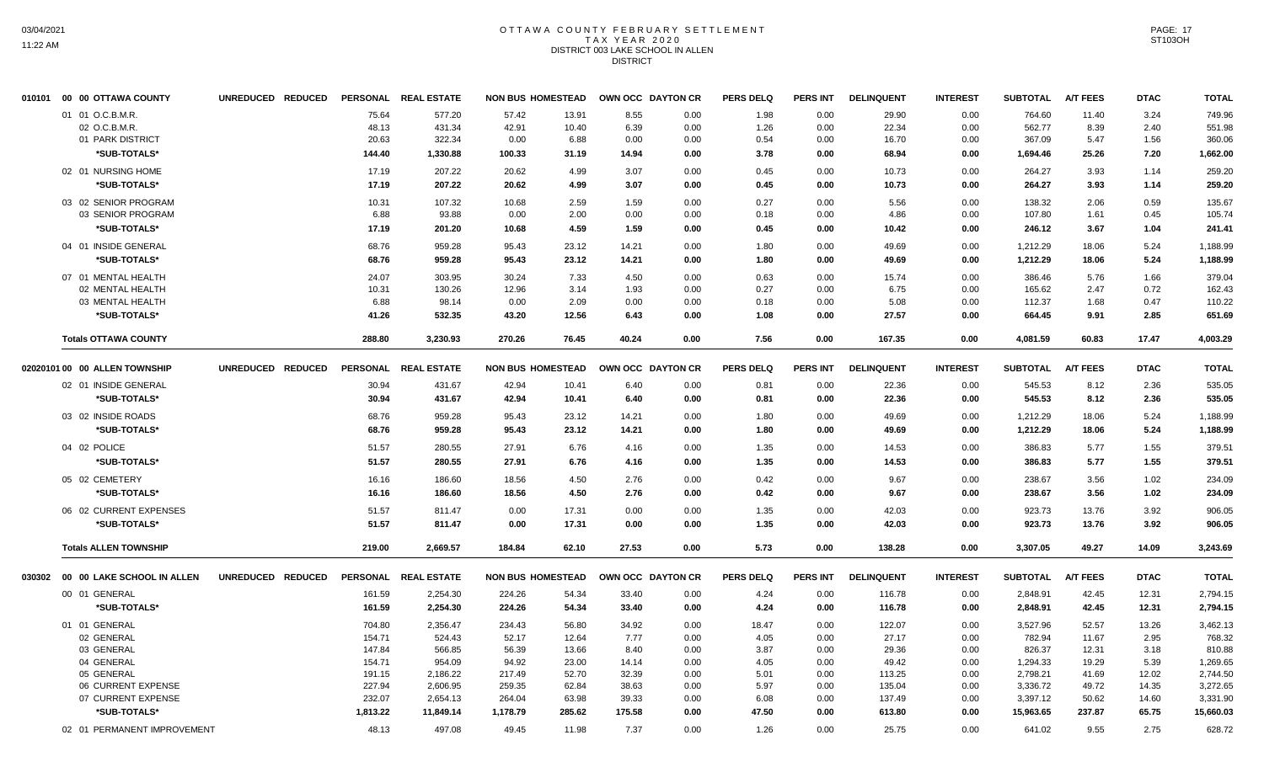## OTTAWA COUNTY FEBRUARY SETTLEMENT TAX YEAR 2020 DISTRICT 003 LAKE SCHOOL IN ALLEN DISTRICT

| 010101 | 00 00 OTTAWA COUNTY               | UNREDUCED REDUCED |                | PERSONAL REAL ESTATE | <b>NON BUS HOMESTEAD</b> |                | OWN OCC DAYTON CR |              | <b>PERS DELQ</b> | <b>PERS INT</b> | <b>DELINQUENT</b> | <b>INTEREST</b> | <b>SUBTOTAL</b>  | <b>A/T FEES</b> | <b>DTAC</b>  | <b>TOTAL</b>     |
|--------|-----------------------------------|-------------------|----------------|----------------------|--------------------------|----------------|-------------------|--------------|------------------|-----------------|-------------------|-----------------|------------------|-----------------|--------------|------------------|
|        | 01 01 O.C.B.M.R.<br>02 O.C.B.M.R. |                   | 75.64<br>48.13 | 577.20<br>431.34     | 57.42<br>42.91           | 13.91<br>10.40 | 8.55<br>6.39      | 0.00<br>0.00 | 1.98<br>1.26     | 0.00<br>0.00    | 29.90<br>22.34    | 0.00<br>0.00    | 764.60<br>562.77 | 11.40<br>8.39   | 3.24<br>2.40 | 749.96<br>551.98 |
|        | 01 PARK DISTRICT                  |                   | 20.63          | 322.34               | 0.00                     | 6.88           | 0.00              | 0.00         | 0.54             | 0.00            | 16.70             | 0.00            | 367.09           | 5.47            | 1.56         | 360.06           |
|        | *SUB-TOTALS*                      |                   | 144.40         | 1,330.88             | 100.33                   | 31.19          | 14.94             | 0.00         | 3.78             | 0.00            | 68.94             | 0.00            | 1,694.46         | 25.26           | 7.20         | 1,662.00         |
|        | 02 01 NURSING HOME                |                   | 17.19          | 207.22               | 20.62                    | 4.99           | 3.07              | 0.00         | 0.45             | 0.00            | 10.73             | 0.00            | 264.27           | 3.93            | 1.14         | 259.20           |
|        | *SUB-TOTALS*                      |                   | 17.19          | 207.22               | 20.62                    | 4.99           | 3.07              | 0.00         | 0.45             | 0.00            | 10.73             | 0.00            | 264.27           | 3.93            | 1.14         | 259.20           |
|        | 03 02 SENIOR PROGRAM              |                   | 10.31          | 107.32               | 10.68                    | 2.59           | 1.59              | 0.00         | 0.27             | 0.00            | 5.56              | 0.00            | 138.32           | 2.06            | 0.59         | 135.67           |
|        | 03 SENIOR PROGRAM                 |                   | 6.88           | 93.88                | 0.00                     | 2.00           | 0.00              | 0.00         | 0.18             | 0.00            | 4.86              | 0.00            | 107.80           | 1.61            | 0.45         | 105.74           |
|        | *SUB-TOTALS*                      |                   | 17.19          | 201.20               | 10.68                    | 4.59           | 1.59              | 0.00         | 0.45             | 0.00            | 10.42             | 0.00            | 246.12           | 3.67            | 1.04         | 241.41           |
|        | 04 01 INSIDE GENERAL              |                   | 68.76          | 959.28               | 95.43                    | 23.12          | 14.21             | 0.00         | 1.80             | 0.00            | 49.69             | 0.00            | 1,212.29         | 18.06           | 5.24         | 1,188.99         |
|        | *SUB-TOTALS*                      |                   | 68.76          | 959.28               | 95.43                    | 23.12          | 14.21             | 0.00         | 1.80             | 0.00            | 49.69             | 0.00            | 1,212.29         | 18.06           | 5.24         | 1,188.99         |
|        | 07 01 MENTAL HEALTH               |                   | 24.07          | 303.95               | 30.24                    | 7.33           | 4.50              | 0.00         | 0.63             | 0.00            | 15.74             | 0.00            | 386.46           | 5.76            | 1.66         | 379.04           |
|        | 02 MENTAL HEALTH                  |                   | 10.31          | 130.26               | 12.96                    | 3.14           | 1.93              | 0.00         | 0.27             | 0.00            | 6.75              | 0.00            | 165.62           | 2.47            | 0.72         | 162.43           |
|        | 03 MENTAL HEALTH                  |                   | 6.88           | 98.14                | 0.00                     | 2.09           | 0.00              | 0.00         | 0.18             | 0.00            | 5.08              | 0.00            | 112.37           | 1.68            | 0.47         | 110.22           |
|        | *SUB-TOTALS*                      |                   | 41.26          | 532.35               | 43.20                    | 12.56          | 6.43              | 0.00         | 1.08             | 0.00            | 27.57             | 0.00            | 664.45           | 9.91            | 2.85         | 651.69           |
|        | <b>Totals OTTAWA COUNTY</b>       |                   | 288.80         | 3,230.93             | 270.26                   | 76.45          | 40.24             | 0.00         | 7.56             | 0.00            | 167.35            | 0.00            | 4,081.59         | 60.83           | 17.47        | 4,003.29         |
|        |                                   |                   |                |                      |                          |                |                   |              |                  |                 |                   |                 |                  |                 |              |                  |
|        | 02020101 00 00 ALLEN TOWNSHIP     | UNREDUCED REDUCED |                | PERSONAL REAL ESTATE | <b>NON BUS HOMESTEAD</b> |                | OWN OCC DAYTON CR |              | <b>PERS DELQ</b> | PERS INT        | <b>DELINQUENT</b> | <b>INTEREST</b> | <b>SUBTOTAL</b>  | <b>A/T FEES</b> | <b>DTAC</b>  | <b>TOTAL</b>     |
|        | 02 01 INSIDE GENERAL              |                   | 30.94          | 431.67               | 42.94                    | 10.41          | 6.40              | 0.00         | 0.81             | 0.00            | 22.36             | 0.00            | 545.53           | 8.12            | 2.36         | 535.05           |
|        | *SUB-TOTALS*                      |                   | 30.94          | 431.67               | 42.94                    | 10.41          | 6.40              | 0.00         | 0.81             | 0.00            | 22.36             | 0.00            | 545.53           | 8.12            | 2.36         | 535.05           |
|        | 03 02 INSIDE ROADS                |                   | 68.76          | 959.28               | 95.43                    | 23.12          | 14.21             | 0.00         | 1.80             | 0.00            | 49.69             | 0.00            | 1,212.29         | 18.06           | 5.24         | 1,188.99         |
|        | *SUB-TOTALS*                      |                   | 68.76          | 959.28               | 95.43                    | 23.12          | 14.21             | 0.00         | 1.80             | 0.00            | 49.69             | 0.00            | 1,212.29         | 18.06           | 5.24         | 1,188.99         |
|        | 04 02 POLICE                      |                   | 51.57          | 280.55               | 27.91                    | 6.76           | 4.16              | 0.00         | 1.35             | 0.00            | 14.53             | 0.00            | 386.83           | 5.77            | 1.55         | 379.51           |
|        | *SUB-TOTALS*                      |                   | 51.57          | 280.55               | 27.91                    | 6.76           | 4.16              | 0.00         | 1.35             | 0.00            | 14.53             | 0.00            | 386.83           | 5.77            | 1.55         | 379.51           |
|        | 05 02 CEMETERY                    |                   | 16.16          | 186.60               | 18.56                    | 4.50           | 2.76              | 0.00         | 0.42             | 0.00            | 9.67              | 0.00            | 238.67           | 3.56            | 1.02         | 234.09           |
|        | *SUB-TOTALS*                      |                   | 16.16          | 186.60               | 18.56                    | 4.50           | 2.76              | 0.00         | 0.42             | 0.00            | 9.67              | 0.00            | 238.67           | 3.56            | 1.02         | 234.09           |
|        | 06 02 CURRENT EXPENSES            |                   | 51.57          | 811.47               | 0.00                     | 17.31          | 0.00              | 0.00         | 1.35             | 0.00            | 42.03             | 0.00            | 923.73           | 13.76           | 3.92         | 906.05           |
|        | *SUB-TOTALS*                      |                   | 51.57          | 811.47               | 0.00                     | 17.31          | 0.00              | 0.00         | 1.35             | 0.00            | 42.03             | 0.00            | 923.73           | 13.76           | 3.92         | 906.05           |
|        |                                   |                   |                |                      |                          |                |                   |              |                  |                 |                   |                 |                  |                 |              |                  |
|        | <b>Totals ALLEN TOWNSHIP</b>      |                   | 219.00         | 2,669.57             | 184.84                   | 62.10          | 27.53             | 0.00         | 5.73             | 0.00            | 138.28            | 0.00            | 3,307.05         | 49.27           | 14.09        | 3,243.69         |
|        | 030302 00 00 LAKE SCHOOL IN ALLEN | UNREDUCED REDUCED |                | PERSONAL REAL ESTATE | <b>NON BUS HOMESTEAD</b> |                | OWN OCC DAYTON CR |              | <b>PERS DELQ</b> | PERS INT        | <b>DELINQUENT</b> | <b>INTEREST</b> | <b>SUBTOTAL</b>  | <b>A/T FEES</b> | <b>DTAC</b>  | <b>TOTAL</b>     |
|        | 00 01 GENERAL                     |                   | 161.59         | 2,254.30             | 224.26                   | 54.34          | 33.40             | 0.00         | 4.24             | 0.00            | 116.78            | 0.00            | 2,848.91         | 42.45           | 12.31        | 2,794.15         |
|        | *SUB-TOTALS*                      |                   | 161.59         | 2,254.30             | 224.26                   | 54.34          | 33.40             | 0.00         | 4.24             | 0.00            | 116.78            | 0.00            | 2,848.91         | 42.45           | 12.31        | 2,794.15         |
|        | 01 01 GENERAL                     |                   | 704.80         | 2,356.47             | 234.43                   | 56.80          | 34.92             | 0.00         | 18.47            | 0.00            | 122.07            | 0.00            | 3,527.96         | 52.57           | 13.26        | 3,462.13         |
|        | 02 GENERAL                        |                   | 154.71         | 524.43               | 52.17                    | 12.64          | 7.77              | 0.00         | 4.05             | 0.00            | 27.17             | 0.00            | 782.94           | 11.67           | 2.95         | 768.32           |
|        | 03 GENERAL                        |                   | 147.84         | 566.85               | 56.39                    | 13.66          | 8.40              | 0.00         | 3.87             | 0.00            | 29.36             | 0.00            | 826.37           | 12.31           | 3.18         | 810.88           |
|        | 04 GENERAL                        |                   | 154.71         | 954.09               | 94.92                    | 23.00          | 14.14             | 0.00         | 4.05             | 0.00            | 49.42             | 0.00            | 1,294.33         | 19.29           | 5.39         | 1,269.65         |
|        | 05 GENERAL                        |                   | 191.15         | 2,186.22             | 217.49                   | 52.70          | 32.39             | 0.00         | 5.01             | 0.00            | 113.25            | 0.00            | 2,798.21         | 41.69           | 12.02        | 2,744.50         |
|        | 06 CURRENT EXPENSE                |                   | 227.94         | 2,606.95             | 259.35                   | 62.84          | 38.63             | 0.00         | 5.97             | 0.00            | 135.04            | 0.00            | 3,336.72         | 49.72           | 14.35        | 3,272.65         |
|        | 07 CURRENT EXPENSE                |                   | 232.07         | 2,654.13             | 264.04                   | 63.98          | 39.33             | 0.00         | 6.08             | 0.00            | 137.49            | 0.00            | 3,397.12         | 50.62           | 14.60        | 3,331.90         |
|        | *SUB-TOTALS*                      |                   | 1,813.22       | 11,849.14            | 1,178.79                 | 285.62         | 175.58            | 0.00         | 47.50            | 0.00            | 613.80            | 0.00            | 15,963.65        | 237.87          | 65.75        | 15,660.03        |
|        | 02 01 PERMANENT IMPROVEMENT       |                   | 48.13          | 497.08               | 49.45                    | 11.98          | 7.37              | 0.00         | 1.26             | 0.00            | 25.75             | 0.00            | 641.02           | 9.55            | 2.75         | 628.72           |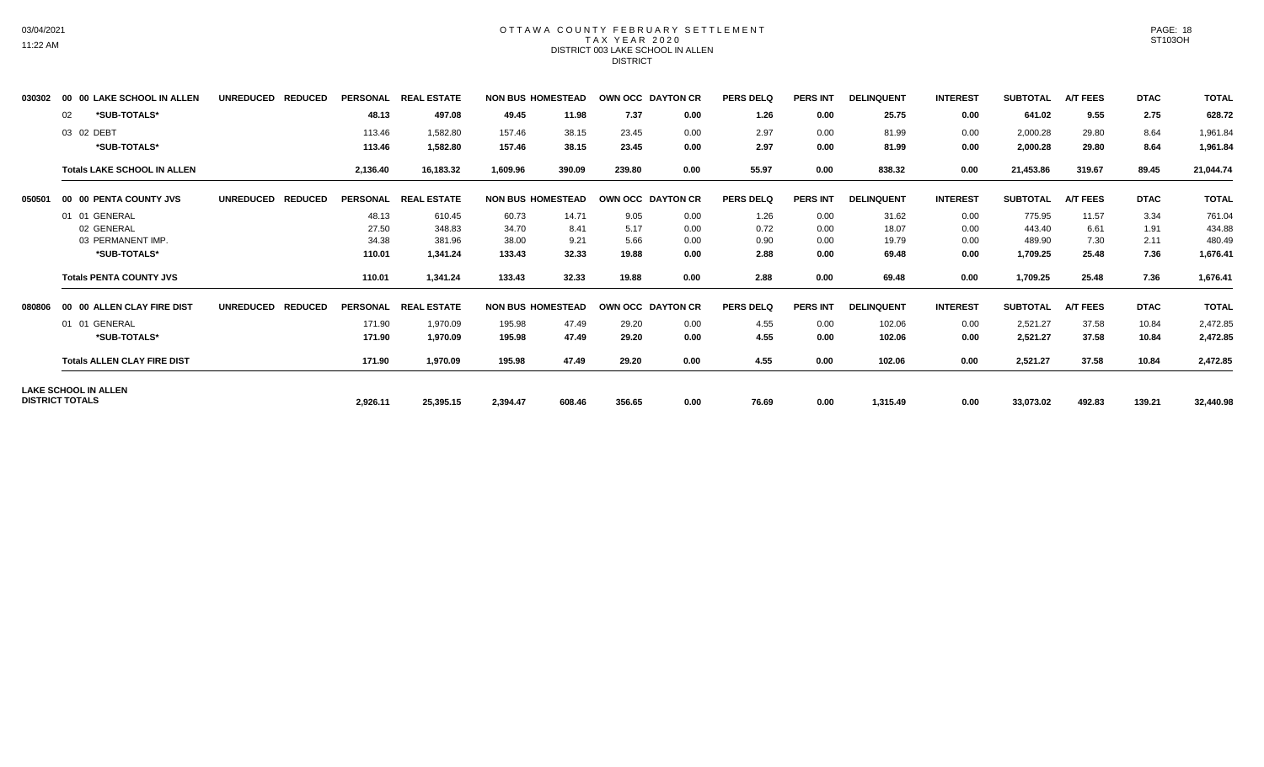# 03/04/2021 11:22 AM

### OTTAWA COUNTY FEBRUARY SETTLEMENT TAX YEAR 2020 DISTRICT 003 LAKE SCHOOL IN ALLEN DISTRICT

| 030302 | 00 00 LAKE SCHOOL IN ALLEN                     | <b>UNREDUCED</b><br><b>REDUCED</b> | <b>PERSONAL</b> | <b>REAL ESTATE</b> | <b>NON BUS HOMESTEAD</b> |        |        | OWN OCC DAYTON CR | <b>PERS DELQ</b> | <b>PERS INT</b> | <b>DELINQUENT</b> | <b>INTEREST</b> | <b>SUBTOTAL</b> | <b>A/T FEES</b> | <b>DTAC</b> | <b>TOTAL</b> |
|--------|------------------------------------------------|------------------------------------|-----------------|--------------------|--------------------------|--------|--------|-------------------|------------------|-----------------|-------------------|-----------------|-----------------|-----------------|-------------|--------------|
|        | *SUB-TOTALS*<br>02                             |                                    | 48.13           | 497.08             | 49.45                    | 11.98  | 7.37   | 0.00              | 1.26             | 0.00            | 25.75             | 0.00            | 641.02          | 9.55            | 2.75        | 628.72       |
|        | 03 02 DEBT                                     |                                    | 113.46          | 1,582.80           | 157.46                   | 38.15  | 23.45  | 0.00              | 2.97             | 0.00            | 81.99             | 0.00            | 2,000.28        | 29.80           | 8.64        | 1,961.84     |
|        | *SUB-TOTALS*                                   |                                    | 113.46          | 1,582.80           | 157.46                   | 38.15  | 23.45  | 0.00              | 2.97             | 0.00            | 81.99             | 0.00            | 2,000.28        | 29.80           | 8.64        | 1,961.84     |
|        | <b>Totals LAKE SCHOOL IN ALLEN</b>             |                                    | 2,136.40        | 16,183.32          | 1,609.96                 | 390.09 | 239.80 | 0.00              | 55.97            | 0.00            | 838.32            | 0.00            | 21,453.86       | 319.67          | 89.45       | 21,044.74    |
| 050501 | 00 00 PENTA COUNTY JVS                         | UNREDUCED REDUCED                  | <b>PERSONAL</b> | <b>REAL ESTATE</b> | <b>NON BUS HOMESTEAD</b> |        |        | OWN OCC DAYTON CR | <b>PERS DELQ</b> | <b>PERS INT</b> | <b>DELINQUENT</b> | <b>INTEREST</b> | <b>SUBTOTAL</b> | <b>A/T FEES</b> | <b>DTAC</b> | <b>TOTAL</b> |
|        | 01 01 GENERAL                                  |                                    | 48.13           | 610.45             | 60.73                    | 14.71  | 9.05   | 0.00              | 1.26             | 0.00            | 31.62             | 0.00            | 775.95          | 11.57           | 3.34        | 761.04       |
|        | 02 GENERAL                                     |                                    | 27.50           | 348.83             | 34.70                    | 8.41   | 5.17   | 0.00              | 0.72             | 0.00            | 18.07             | 0.00            | 443.40          | 6.61            | 1.91        | 434.88       |
|        | 03 PERMANENT IMP.                              |                                    | 34.38           | 381.96             | 38.00                    | 9.21   | 5.66   | 0.00              | 0.90             | 0.00            | 19.79             | 0.00            | 489.90          | 7.30            | 2.11        | 480.49       |
|        | *SUB-TOTALS*                                   |                                    | 110.01          | 1,341.24           | 133.43                   | 32.33  | 19.88  | 0.00              | 2.88             | 0.00            | 69.48             | 0.00            | 1,709.25        | 25.48           | 7.36        | 1,676.41     |
|        | <b>Totals PENTA COUNTY JVS</b>                 |                                    | 110.01          | 1,341.24           | 133.43                   | 32.33  | 19.88  | 0.00              | 2.88             | 0.00            | 69.48             | 0.00            | 1,709.25        | 25.48           | 7.36        | 1,676.41     |
| 080806 | 00 00 ALLEN CLAY FIRE DIST                     | <b>REDUCED</b><br><b>UNREDUCED</b> | <b>PERSONAL</b> | <b>REAL ESTATE</b> | <b>NON BUS HOMESTEAD</b> |        |        | OWN OCC DAYTON CR | <b>PERS DELQ</b> | <b>PERS INT</b> | <b>DELINQUENT</b> | <b>INTEREST</b> | <b>SUBTOTAL</b> | <b>A/T FEES</b> | <b>DTAC</b> | <b>TOTAL</b> |
|        | 01 01 GENERAL                                  |                                    | 171.90          | 1,970.09           | 195.98                   | 47.49  | 29.20  | 0.00              | 4.55             | 0.00            | 102.06            | 0.00            | 2,521.27        | 37.58           | 10.84       | 2,472.85     |
|        | *SUB-TOTALS*                                   |                                    | 171.90          | 1,970.09           | 195.98                   | 47.49  | 29.20  | 0.00              | 4.55             | 0.00            | 102.06            | 0.00            | 2,521.27        | 37.58           | 10.84       | 2,472.85     |
|        | <b>Totals ALLEN CLAY FIRE DIST</b>             |                                    | 171.90          | 1,970.09           | 195.98                   | 47.49  | 29.20  | 0.00              | 4.55             | 0.00            | 102.06            | 0.00            | 2,521.27        | 37.58           | 10.84       | 2,472.85     |
|        | LAKE SCHOOL IN ALLEN<br><b>DISTRICT TOTALS</b> |                                    |                 |                    |                          |        |        |                   |                  |                 |                   |                 |                 |                 |             |              |
|        |                                                |                                    | 2,926.11        | 25,395.15          | 2,394.47                 | 608.46 | 356.65 | 0.00              | 76.69            | 0.00            | 1,315.49          | 0.00            | 33,073.02       | 492.83          | 139.21      | 32,440.98    |

PAGE: 18 ST103OH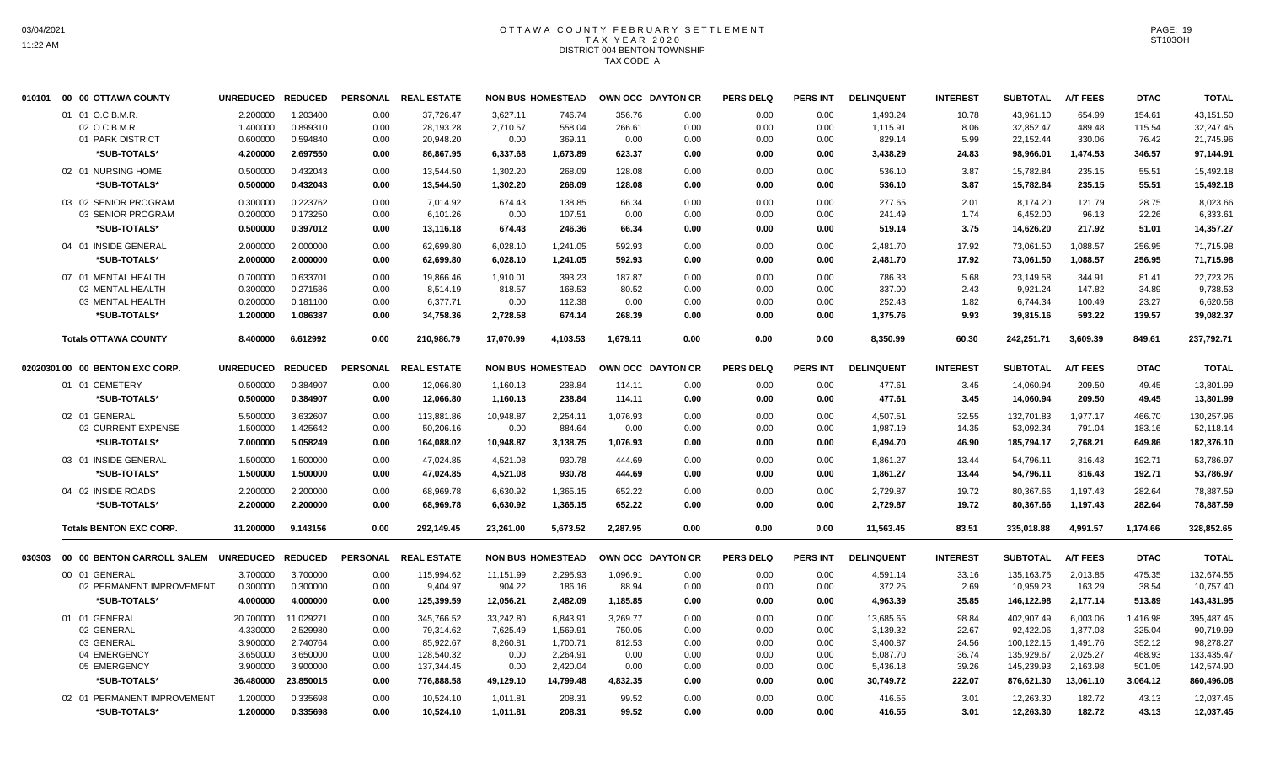## OTTAWA COUNTY FEBRUARY SETTLEMENT TAX YEAR 2020 DISTRICT 004 BENTON TOWNSHIP TAX CODE A

|        | 010101 00 00 OTTAWA COUNTY      | UNREDUCED REDUCED |                | <b>PERSONAL</b> | <b>REAL ESTATE</b>   |           | <b>NON BUS HOMESTEAD</b> | OWN OCC DAYTON CR |      | <b>PERS DELQ</b> | <b>PERS INT</b> | <b>DELINQUENT</b> | <b>INTEREST</b> | <b>SUBTOTAL</b> | <b>A/T FEES</b> | <b>DTAC</b> | <b>TOTAL</b> |
|--------|---------------------------------|-------------------|----------------|-----------------|----------------------|-----------|--------------------------|-------------------|------|------------------|-----------------|-------------------|-----------------|-----------------|-----------------|-------------|--------------|
|        | 01 01 O.C.B.M.R.                | 2.200000          | 1.203400       | 0.00            | 37,726.47            | 3,627.11  | 746.74                   | 356.76            | 0.00 | 0.00             | 0.00            | 1,493.24          | 10.78           | 43,961.10       | 654.99          | 154.61      | 43,151.50    |
|        | 02 O.C.B.M.R.                   | 1.400000          | 0.899310       | 0.00            | 28,193.28            | 2,710.57  | 558.04                   | 266.61            | 0.00 | 0.00             | 0.00            | 1,115.91          | 8.06            | 32,852.47       | 489.48          | 115.54      | 32,247.45    |
|        | 01 PARK DISTRICT                | 0.600000          | 0.594840       | 0.00            | 20,948.20            | 0.00      | 369.11                   | 0.00              | 0.00 | 0.00             | 0.00            | 829.14            | 5.99            | 22,152.44       | 330.06          | 76.42       | 21,745.96    |
|        | *SUB-TOTALS*                    | 4.200000          | 2.697550       | 0.00            | 86,867.95            | 6,337.68  | 1,673.89                 | 623.37            | 0.00 | 0.00             | 0.00            | 3,438.29          | 24.83           | 98,966.01       | 1,474.53        | 346.57      | 97,144.91    |
|        | 02 01 NURSING HOME              | 0.500000          | 0.432043       | 0.00            | 13,544.50            | 1,302.20  | 268.09                   | 128.08            | 0.00 | 0.00             | 0.00            | 536.10            | 3.87            | 15,782.84       | 235.15          | 55.51       | 15,492.18    |
|        | *SUB-TOTALS*                    | 0.500000          | 0.432043       | 0.00            | 13,544.50            | 1,302.20  | 268.09                   | 128.08            | 0.00 | 0.00             | 0.00            | 536.10            | 3.87            | 15,782.84       | 235.15          | 55.51       | 15,492.18    |
|        | 03 02 SENIOR PROGRAM            | 0.300000          | 0.223762       | 0.00            | 7,014.92             | 674.43    | 138.85                   | 66.34             | 0.00 | 0.00             | 0.00            | 277.65            | 2.01            | 8,174.20        | 121.79          | 28.75       | 8,023.66     |
|        | 03 SENIOR PROGRAM               | 0.200000          | 0.173250       | 0.00            | 6,101.26             | 0.00      | 107.51                   | 0.00              | 0.00 | 0.00             | 0.00            | 241.49            | 1.74            | 6,452.00        | 96.13           | 22.26       | 6,333.61     |
|        | *SUB-TOTALS*                    | 0.500000          | 0.397012       | 0.00            | 13,116.18            | 674.43    | 246.36                   | 66.34             | 0.00 | 0.00             | 0.00            | 519.14            | 3.75            | 14,626.20       | 217.92          | 51.01       | 14,357.27    |
|        | 04 01 INSIDE GENERAL            | 2.000000          | 2.000000       | 0.00            | 62,699.80            | 6,028.10  | 1,241.05                 | 592.93            | 0.00 | 0.00             | 0.00            | 2,481.70          | 17.92           | 73,061.50       | 1,088.57        | 256.95      | 71,715.98    |
|        | *SUB-TOTALS*                    | 2.000000          | 2.000000       | 0.00            | 62,699.80            | 6,028.10  | 1,241.05                 | 592.93            | 0.00 | 0.00             | 0.00            | 2,481.70          | 17.92           | 73,061.50       | 1,088.57        | 256.95      | 71,715.98    |
|        | 07 01 MENTAL HEALTH             | 0.700000          | 0.633701       | 0.00            | 19,866.46            | 1,910.01  | 393.23                   | 187.87            | 0.00 | 0.00             | 0.00            | 786.33            | 5.68            | 23.149.58       | 344.91          | 81.41       | 22,723.26    |
|        | 02 MENTAL HEALTH                | 0.300000          | 0.271586       | 0.00            | 8,514.19             | 818.57    | 168.53                   | 80.52             | 0.00 | 0.00             | 0.00            | 337.00            | 2.43            | 9,921.24        | 147.82          | 34.89       | 9,738.53     |
|        | 03 MENTAL HEALTH                | 0.200000          | 0.181100       | 0.00            | 6,377.71             | 0.00      | 112.38                   | 0.00              | 0.00 | 0.00             | 0.00            | 252.43            | 1.82            | 6,744.34        | 100.49          | 23.27       | 6,620.58     |
|        | *SUB-TOTALS*                    | 1.200000          | 1.086387       | 0.00            | 34,758.36            | 2,728.58  | 674.14                   | 268.39            | 0.00 | 0.00             | 0.00            | 1,375.76          | 9.93            | 39,815.16       | 593.22          | 139.57      | 39,082.37    |
|        | <b>Totals OTTAWA COUNTY</b>     | 8.400000          | 6.612992       | 0.00            | 210,986.79           | 17,070.99 | 4,103.53                 | 1,679.11          | 0.00 | 0.00             | 0.00            | 8,350.99          | 60.30           | 242,251.71      | 3,609.39        | 849.61      | 237,792.71   |
|        | 02020301 00 00 BENTON EXC CORP. | <b>UNREDUCED</b>  | <b>REDUCED</b> | <b>PERSONAL</b> | <b>REAL ESTATE</b>   |           | <b>NON BUS HOMESTEAD</b> | OWN OCC DAYTON CR |      | <b>PERS DELQ</b> | <b>PERS INT</b> | <b>DELINQUENT</b> | <b>INTEREST</b> | <b>SUBTOTAL</b> | <b>A/T FEES</b> | <b>DTAC</b> | <b>TOTAL</b> |
|        | 01 01 CEMETERY                  | 0.500000          | 0.384907       | 0.00            | 12,066.80            | 1,160.13  | 238.84                   | 114.11            | 0.00 | 0.00             | 0.00            | 477.61            | 3.45            | 14,060.94       | 209.50          | 49.45       | 13,801.99    |
|        | *SUB-TOTALS*                    | 0.500000          | 0.384907       | 0.00            | 12,066.80            | 1,160.13  | 238.84                   | 114.11            | 0.00 | 0.00             | 0.00            | 477.61            | 3.45            | 14,060.94       | 209.50          | 49.45       | 13,801.99    |
|        | 02 01 GENERAL                   | 5.500000          | 3.632607       | 0.00            | 113,881.86           | 10,948.87 | 2,254.11                 | 1,076.93          | 0.00 | 0.00             | 0.00            | 4,507.51          | 32.55           | 132,701.83      | 1,977.17        | 466.70      | 130,257.96   |
|        | 02 CURRENT EXPENSE              | 1.500000          | 1.425642       | 0.00            | 50,206.16            | 0.00      | 884.64                   | 0.00              | 0.00 | 0.00             | 0.00            | 1,987.19          | 14.35           | 53,092.34       | 791.04          | 183.16      | 52,118.14    |
|        | *SUB-TOTALS*                    | 7.000000          | 5.058249       | 0.00            | 164,088.02           | 10,948.87 | 3,138.75                 | 1,076.93          | 0.00 | 0.00             | 0.00            | 6,494.70          | 46.90           | 185,794.17      | 2,768.21        | 649.86      | 182,376.10   |
|        | 03 01 INSIDE GENERAL            | 1.500000          | 1.500000       | 0.00            | 47,024.85            | 4,521.08  | 930.78                   | 444.69            | 0.00 | 0.00             | 0.00            | 1,861.27          | 13.44           | 54,796.11       | 816.43          | 192.71      | 53,786.97    |
|        | *SUB-TOTALS*                    | 1.500000          | 1.500000       | 0.00            | 47,024.85            | 4,521.08  | 930.78                   | 444.69            | 0.00 | 0.00             | 0.00            | 1,861.27          | 13.44           | 54,796.11       | 816.43          | 192.71      | 53,786.97    |
|        | 04 02 INSIDE ROADS              | 2.200000          | 2.200000       | 0.00            | 68,969.78            | 6,630.92  | 1,365.15                 | 652.22            | 0.00 | 0.00             | 0.00            | 2,729.87          | 19.72           | 80,367.66       | 1,197.43        | 282.64      | 78,887.59    |
|        | *SUB-TOTALS*                    | 2.200000          | 2.200000       | 0.00            | 68,969.78            | 6,630.92  | 1,365.15                 | 652.22            | 0.00 | 0.00             | 0.00            | 2,729.87          | 19.72           | 80,367.66       | 1,197.43        | 282.64      | 78,887.59    |
|        | <b>Totals BENTON EXC CORP.</b>  | 11.200000         | 9.143156       | 0.00            | 292,149.45           | 23,261.00 | 5,673.52                 | 2,287.95          | 0.00 | 0.00             | 0.00            | 11,563.45         | 83.51           | 335,018.88      | 4,991.57        | 1,174.66    | 328,852.65   |
| 030303 | 00 00 BENTON CARROLL SALEM      | UNREDUCED REDUCED |                |                 | PERSONAL REAL ESTATE |           | <b>NON BUS HOMESTEAD</b> | OWN OCC DAYTON CR |      | <b>PERS DELQ</b> | <b>PERS INT</b> | <b>DELINQUENT</b> | <b>INTEREST</b> | <b>SUBTOTAL</b> | <b>A/T FEES</b> | <b>DTAC</b> | <b>TOTAL</b> |
|        | 00 01 GENERAL                   | 3.700000          | 3.700000       | 0.00            | 115,994.62           | 11,151.99 | 2,295.93                 | 1,096.91          | 0.00 | 0.00             | 0.00            | 4,591.14          | 33.16           | 135,163.75      | 2,013.85        | 475.35      | 132,674.55   |
|        | 02 PERMANENT IMPROVEMENT        | 0.300000          | 0.300000       | 0.00            | 9,404.97             | 904.22    | 186.16                   | 88.94             | 0.00 | 0.00             | 0.00            | 372.25            | 2.69            | 10,959.23       | 163.29          | 38.54       | 10,757.40    |
|        | *SUB-TOTALS*                    | 4.000000          | 4.000000       | 0.00            | 125,399.59           | 12,056.21 | 2,482.09                 | 1,185.85          | 0.00 | 0.00             | 0.00            | 4,963.39          | 35.85           | 146,122.98      | 2,177.14        | 513.89      | 143,431.95   |
|        | 01 01 GENERAL                   | 20.700000         | 11.029271      | 0.00            | 345,766.52           | 33,242.80 | 6,843.91                 | 3,269.77          | 0.00 | 0.00             | 0.00            | 13,685.65         | 98.84           | 402,907.49      | 6.003.06        | 1,416.98    | 395,487.45   |
|        | 02 GENERAL                      | 4.330000          | 2.529980       | 0.00            | 79,314.62            | 7,625.49  | 1,569.91                 | 750.05            | 0.00 | 0.00             | 0.00            | 3,139.32          | 22.67           | 92,422.06       | 1.377.03        | 325.04      | 90,719.99    |
|        | 03 GENERAL                      | 3.900000          | 2.740764       | 0.00            | 85,922.67            | 8,260.81  | 1,700.71                 | 812.53            | 0.00 | 0.00             | 0.00            | 3,400.87          | 24.56           | 100,122.15      | 1,491.76        | 352.12      | 98,278.27    |
|        | 04 EMERGENCY                    | 3.650000          | 3.650000       | 0.00            | 128,540.32           | 0.00      | 2,264.91                 | 0.00              | 0.00 | 0.00             | 0.00            | 5,087.70          | 36.74           | 135,929.67      | 2,025.27        | 468.93      | 133,435.47   |
|        | 05 EMERGENCY                    | 3.900000          | 3.900000       | 0.00            | 137,344.45           | 0.00      | 2,420.04                 | 0.00              | 0.00 | 0.00             | 0.00            | 5,436.18          | 39.26           | 145,239.93      | 2,163.98        | 501.05      | 142,574.90   |
|        | *SUB-TOTALS*                    | 36.480000         | 23.850015      | 0.00            | 776,888.58           | 49,129.10 | 14,799.48                | 4,832.35          | 0.00 | 0.00             | 0.00            | 30,749.72         | 222.07          | 876,621.30      | 13,061.10       | 3,064.12    | 860,496.08   |
|        | 02 01 PERMANENT IMPROVEMENT     | 1.200000          | 0.335698       | 0.00            | 10.524.10            | 1.011.81  | 208.31                   | 99.52             | 0.00 | 0.00             | 0.00            | 416.55            | 3.01            | 12.263.30       | 182.72          | 43.13       | 12,037.45    |
|        | *SUB-TOTALS*                    | 1.200000          | 0.335698       | 0.00            | 10,524.10            | 1,011.81  | 208.31                   | 99.52             | 0.00 | 0.00             | 0.00            | 416.55            | 3.01            | 12,263.30       | 182.72          | 43.13       | 12,037.45    |
|        |                                 |                   |                |                 |                      |           |                          |                   |      |                  |                 |                   |                 |                 |                 |             |              |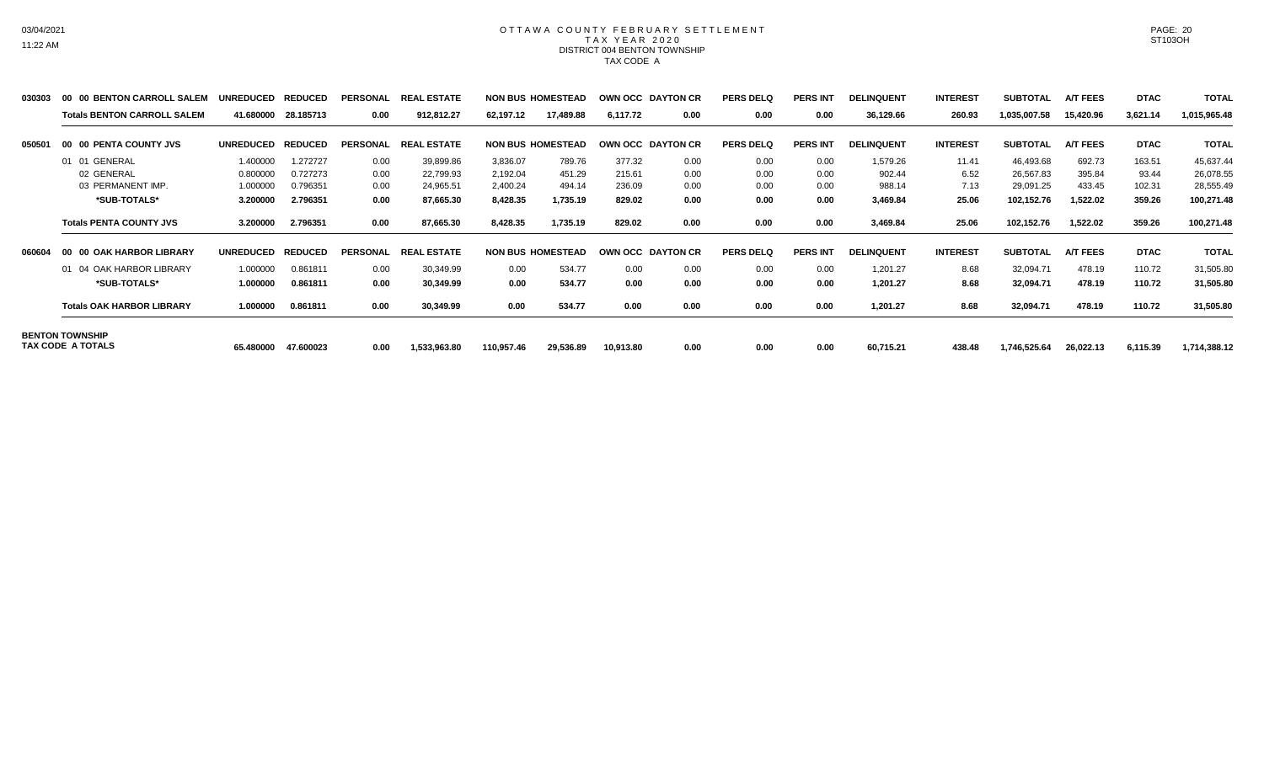#### OTTAWA COUNTY FEBRUARY SETTLEMENT TAX YEAR 2020 DISTRICT 004 BENTON TOWNSHIP TAX CODE A

| 030303 | 00 00 BENTON CARROLL SALEM         | <b>UNREDUCED</b> | <b>REDUCED</b> | <b>PERSONAL</b> | <b>REAL ESTATE</b> |            | <b>NON BUS HOMESTEAD</b> |           | OWN OCC DAYTON CR | <b>PERS DELQ</b> | <b>PERS INT</b> | <b>DELINQUENT</b> | <b>INTEREST</b> | <b>SUBTOTAL</b> | <b>A/T FEES</b> | <b>DTAC</b> | <b>TOTAL</b> |
|--------|------------------------------------|------------------|----------------|-----------------|--------------------|------------|--------------------------|-----------|-------------------|------------------|-----------------|-------------------|-----------------|-----------------|-----------------|-------------|--------------|
|        | <b>Totals BENTON CARROLL SALEM</b> | 41.680000        | 28.185713      | 0.00            | 912,812.27         | 62,197.12  | 17,489.88                | 6,117.72  | 0.00              | 0.00             | 0.00            | 36,129.66         | 260.93          | 1,035,007.58    | 15,420.96       | 3,621.14    | 1,015,965.48 |
| 050501 | 00 00 PENTA COUNTY JVS             | <b>UNREDUCED</b> | <b>REDUCED</b> | <b>PERSONAL</b> | <b>REAL ESTATE</b> |            | <b>NON BUS HOMESTEAD</b> |           | OWN OCC DAYTON CR | <b>PERS DELQ</b> | <b>PERS INT</b> | <b>DELINQUENT</b> | <b>INTEREST</b> | <b>SUBTOTAL</b> | <b>A/T FEES</b> | <b>DTAC</b> | <b>TOTAL</b> |
|        | 01 01 GENERAL                      | 1.400000         | 1.272727       | 0.00            | 39,899.86          | 3,836.07   | 789.76                   | 377.32    | 0.00              | 0.00             | 0.00            | 1,579.26          | 11.41           | 46,493.68       | 692.73          | 163.51      | 45,637.44    |
|        | 02 GENERAL                         | 0.800000         | 0.727273       | 0.00            | 22,799.93          | 2,192.04   | 451.29                   | 215.61    | 0.00              | 0.00             | 0.00            | 902.44            | 6.52            | 26,567.83       | 395.84          | 93.44       | 26,078.55    |
|        | 03 PERMANENT IMP.                  | 1.000000         | 0.796351       | 0.00            | 24,965.51          | 2,400.24   | 494.14                   | 236.09    | 0.00              | 0.00             | 0.00            | 988.14            | 7.13            | 29,091.25       | 433.45          | 102.31      | 28,555.49    |
|        | *SUB-TOTALS*                       | 3.200000         | 2.796351       | 0.00            | 87,665.30          | 8,428.35   | 1,735.19                 | 829.02    | 0.00              | 0.00             | 0.00            | 3,469.84          | 25.06           | 102,152.76      | 1,522.02        | 359.26      | 100,271.48   |
|        | <b>Totals PENTA COUNTY JVS</b>     | 3.200000         | 2.796351       | 0.00            | 87,665.30          | 8,428.35   | 1,735.19                 | 829.02    | 0.00              | 0.00             | 0.00            | 3,469.84          | 25.06           | 102,152.76      | 1,522.02        | 359.26      | 100,271.48   |
| 060604 | 00 00 OAK HARBOR LIBRARY           | <b>UNREDUCED</b> | <b>REDUCED</b> | <b>PERSONAL</b> | <b>REAL ESTATE</b> |            | <b>NON BUS HOMESTEAD</b> |           | OWN OCC DAYTON CR | <b>PERS DELQ</b> | <b>PERS INT</b> | <b>DELINQUENT</b> | <b>INTEREST</b> | <b>SUBTOTAL</b> | <b>A/T FEES</b> | <b>DTAC</b> | <b>TOTAL</b> |
|        | 01 04 OAK HARBOR LIBRARY           | 1.000000         | 0.861811       | 0.00            | 30,349.99          | 0.00       | 534.77                   | 0.00      | 0.00              | 0.00             | 0.00            | 1,201.27          | 8.68            | 32,094.71       | 478.19          | 110.72      | 31,505.80    |
|        | *SUB-TOTALS*                       | 1.000000         | 0.861811       | 0.00            | 30,349.99          | 0.00       | 534.77                   | 0.00      | 0.00              | 0.00             | 0.00            | 1,201.27          | 8.68            | 32,094.71       | 478.19          | 110.72      | 31,505.80    |
|        | <b>Totals OAK HARBOR LIBRARY</b>   | 1.000000         | 0.861811       | 0.00            | 30,349.99          | 0.00       | 534.77                   | 0.00      | 0.00              | 0.00             | 0.00            | 1,201.27          | 8.68            | 32,094.71       | 478.19          | 110.72      | 31,505.80    |
|        | <b>BENTON TOWNSHIP</b>             |                  |                |                 |                    |            |                          |           |                   |                  |                 |                   |                 |                 |                 |             |              |
|        | TAX CODE A TOTALS                  | 65.480000        | 47.600023      | 0.00            | 1,533,963.80       | 110,957.46 | 29,536.89                | 10,913.80 | 0.00              | 0.00             | 0.00            | 60,715.21         | 438.48          | 1,746,525.64    | 26,022.13       | 6,115.39    | 1,714,388.12 |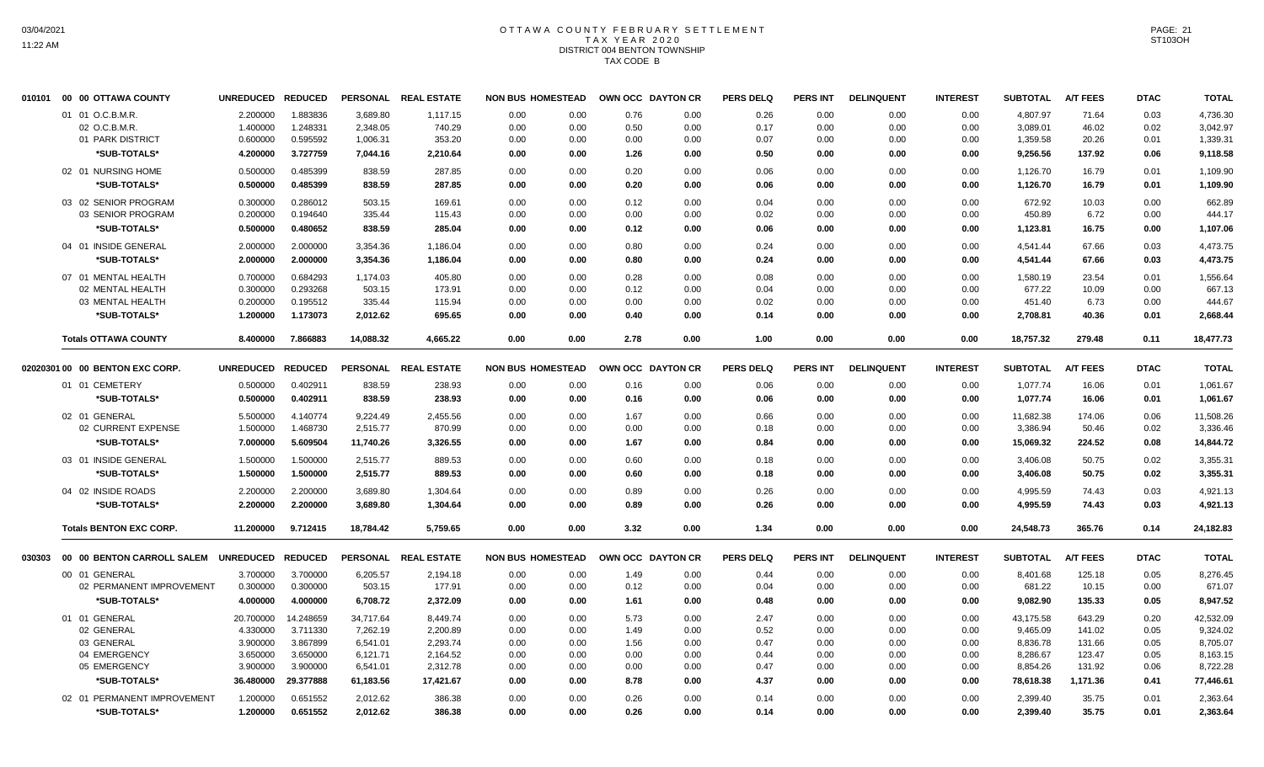## OTTAWA COUNTY FEBRUARY SETTLEMENT TAX YEAR 2020 DISTRICT 004 BENTON TOWNSHIP TAX CODE B

| 010101 | 00 00 OTTAWA COUNTY                  | <b>UNREDUCED</b> | <b>REDUCED</b> |           | PERSONAL REAL ESTATE | <b>NON BUS HOMESTEAD</b> |      | OWN OCC DAYTON CR |      | <b>PERS DELQ</b> | <b>PERS INT</b> | <b>DELINQUENT</b> | <b>INTEREST</b> | <b>SUBTOTAL</b> | <b>A/T FEES</b> | <b>DTAC</b> | <b>TOTAL</b> |
|--------|--------------------------------------|------------------|----------------|-----------|----------------------|--------------------------|------|-------------------|------|------------------|-----------------|-------------------|-----------------|-----------------|-----------------|-------------|--------------|
|        | 01 01 O.C.B.M.R.                     | 2.200000         | 1.883836       | 3,689.80  | 1,117.15             | 0.00                     | 0.00 | 0.76              | 0.00 | 0.26             | 0.00            | 0.00              | 0.00            | 4,807.97        | 71.64           | 0.03        | 4,736.30     |
|        | 02 O.C.B.M.R.                        | 1.400000         | 1.248331       | 2,348.05  | 740.29               | 0.00                     | 0.00 | 0.50              | 0.00 | 0.17             | 0.00            | 0.00              | 0.00            | 3,089.01        | 46.02           | 0.02        | 3,042.97     |
|        | 01 PARK DISTRICT                     | 0.600000         | 0.595592       | 1,006.31  | 353.20               | 0.00                     | 0.00 | 0.00              | 0.00 | 0.07             | 0.00            | 0.00              | 0.00            | 1,359.58        | 20.26           | 0.01        | 1,339.31     |
|        | *SUB-TOTALS*                         | 4.200000         | 3.727759       | 7,044.16  | 2,210.64             | 0.00                     | 0.00 | 1.26              | 0.00 | 0.50             | 0.00            | 0.00              | 0.00            | 9,256.56        | 137.92          | 0.06        | 9,118.58     |
|        | 02 01 NURSING HOME                   | 0.500000         | 0.485399       | 838.59    | 287.85               | 0.00                     | 0.00 | 0.20              | 0.00 | 0.06             | 0.00            | 0.00              | 0.00            | 1,126.70        | 16.79           | 0.01        | 1,109.90     |
|        | *SUB-TOTALS*                         | 0.500000         | 0.485399       | 838.59    | 287.85               | 0.00                     | 0.00 | 0.20              | 0.00 | 0.06             | 0.00            | 0.00              | 0.00            | 1,126.70        | 16.79           | 0.01        | 1,109.90     |
|        |                                      |                  |                |           |                      |                          |      |                   |      |                  |                 |                   |                 |                 |                 |             |              |
|        | 03 02 SENIOR PROGRAM                 | 0.300000         | 0.286012       | 503.15    | 169.61               | 0.00                     | 0.00 | 0.12              | 0.00 | 0.04             | 0.00            | 0.00              | 0.00            | 672.92          | 10.03           | 0.00        | 662.89       |
|        | 03 SENIOR PROGRAM                    | 0.200000         | 0.194640       | 335.44    | 115.43               | 0.00                     | 0.00 | 0.00              | 0.00 | 0.02             | 0.00            | 0.00              | 0.00            | 450.89          | 6.72            | 0.00        | 444.17       |
|        | *SUB-TOTALS*                         | 0.500000         | 0.480652       | 838.59    | 285.04               | 0.00                     | 0.00 | 0.12              | 0.00 | 0.06             | 0.00            | 0.00              | 0.00            | 1,123.81        | 16.75           | 0.00        | 1,107.06     |
|        | 04 01 INSIDE GENERAL                 | 2.000000         | 2.000000       | 3,354.36  | 1.186.04             | 0.00                     | 0.00 | 0.80              | 0.00 | 0.24             | 0.00            | 0.00              | 0.00            | 4,541.44        | 67.66           | 0.03        | 4,473.75     |
|        | *SUB-TOTALS*                         | 2.000000         | 2.000000       | 3,354.36  | 1,186.04             | 0.00                     | 0.00 | 0.80              | 0.00 | 0.24             | 0.00            | 0.00              | 0.00            | 4,541.44        | 67.66           | 0.03        | 4,473.75     |
|        | 07 01 MENTAL HEALTH                  | 0.700000         | 0.684293       | 1,174.03  | 405.80               | 0.00                     | 0.00 | 0.28              | 0.00 | 0.08             | 0.00            | 0.00              | 0.00            | 1,580.19        | 23.54           | 0.01        | 1,556.64     |
|        | 02 MENTAL HEALTH                     | 0.300000         | 0.293268       | 503.15    | 173.91               | 0.00                     | 0.00 | 0.12              | 0.00 | 0.04             | 0.00            | 0.00              | 0.00            | 677.22          | 10.09           | 0.00        | 667.13       |
|        | 03 MENTAL HEALTH                     | 0.200000         | 0.195512       | 335.44    | 115.94               | 0.00                     | 0.00 | 0.00              | 0.00 | 0.02             | 0.00            | 0.00              | 0.00            | 451.40          | 6.73            | 0.00        | 444.67       |
|        | *SUB-TOTALS*                         | 1.200000         | 1.173073       | 2,012.62  | 695.65               | 0.00                     | 0.00 | 0.40              | 0.00 | 0.14             | 0.00            | 0.00              | 0.00            | 2,708.81        | 40.36           | 0.01        | 2,668.44     |
|        |                                      |                  |                |           |                      |                          |      |                   |      |                  |                 |                   |                 |                 |                 |             |              |
|        | <b>Totals OTTAWA COUNTY</b>          | 8.400000         | 7.866883       | 14,088.32 | 4.665.22             | 0.00                     | 0.00 | 2.78              | 0.00 | 1.00             | 0.00            | 0.00              | 0.00            | 18,757.32       | 279.48          | 0.11        | 18,477.73    |
|        | 02020301 00 00 BENTON EXC CORP.      | <b>UNREDUCED</b> | <b>REDUCED</b> |           | PERSONAL REAL ESTATE | <b>NON BUS HOMESTEAD</b> |      | OWN OCC DAYTON CR |      | <b>PERS DELQ</b> | PERS INT        | <b>DELINQUENT</b> | <b>INTEREST</b> | <b>SUBTOTAL</b> | <b>A/T FEES</b> | <b>DTAC</b> | <b>TOTAL</b> |
|        | 01 01 CEMETERY                       | 0.500000         | 0.402911       | 838.59    | 238.93               | 0.00                     | 0.00 | 0.16              | 0.00 | 0.06             | 0.00            | 0.00              | 0.00            | 1,077.74        | 16.06           | 0.01        | 1,061.67     |
|        | *SUB-TOTALS*                         | 0.500000         | 0.402911       | 838.59    | 238.93               | 0.00                     | 0.00 | 0.16              | 0.00 | 0.06             | 0.00            | 0.00              | 0.00            | 1,077.74        | 16.06           | 0.01        | 1,061.67     |
|        |                                      |                  |                |           |                      |                          |      |                   |      |                  |                 |                   |                 |                 |                 |             |              |
|        | 02 01 GENERAL                        | 5.500000         | 4.140774       | 9,224.49  | 2,455.56             | 0.00                     | 0.00 | 1.67              | 0.00 | 0.66             | 0.00            | 0.00              | 0.00            | 11,682.38       | 174.06          | 0.06        | 11,508.26    |
|        | 02 CURRENT EXPENSE                   | 1.500000         | 1.468730       | 2,515.77  | 870.99               | 0.00                     | 0.00 | 0.00              | 0.00 | 0.18             | 0.00            | 0.00              | 0.00            | 3,386.94        | 50.46           | 0.02        | 3,336.46     |
|        | *SUB-TOTALS*                         | 7.000000         | 5.609504       | 11,740.26 | 3,326.55             | 0.00                     | 0.00 | 1.67              | 0.00 | 0.84             | 0.00            | 0.00              | 0.00            | 15,069.32       | 224.52          | 0.08        | 14,844.72    |
|        | 03 01 INSIDE GENERAL                 | 1.500000         | 1.500000       | 2,515.77  | 889.53               | 0.00                     | 0.00 | 0.60              | 0.00 | 0.18             | 0.00            | 0.00              | 0.00            | 3,406.08        | 50.75           | 0.02        | 3,355.31     |
|        | *SUB-TOTALS*                         | 1.500000         | 1.500000       | 2,515.77  | 889.53               | 0.00                     | 0.00 | 0.60              | 0.00 | 0.18             | 0.00            | 0.00              | 0.00            | 3,406.08        | 50.75           | 0.02        | 3,355.31     |
|        | 04 02 INSIDE ROADS                   | 2.200000         | 2.200000       | 3,689.80  | 1,304.64             | 0.00                     | 0.00 | 0.89              | 0.00 | 0.26             | 0.00            | 0.00              | 0.00            | 4,995.59        | 74.43           | 0.03        | 4,921.13     |
|        | *SUB-TOTALS*                         | 2.200000         | 2.200000       | 3,689.80  | 1,304.64             | 0.00                     | 0.00 | 0.89              | 0.00 | 0.26             | 0.00            | 0.00              | 0.00            | 4,995.59        | 74.43           | 0.03        | 4,921.13     |
|        | <b>Totals BENTON EXC CORP.</b>       | 11.200000        | 9.712415       | 18.784.42 | 5.759.65             | 0.00                     | 0.00 | 3.32              | 0.00 | 1.34             | 0.00            | 0.00              | 0.00            | 24.548.73       | 365.76          | 0.14        | 24,182.83    |
|        |                                      |                  |                |           |                      |                          |      |                   |      |                  |                 |                   |                 |                 |                 |             |              |
| 030303 | 00 00 BENTON CARROLL SALEM UNREDUCED |                  | <b>REDUCED</b> |           | PERSONAL REAL ESTATE | <b>NON BUS HOMESTEAD</b> |      | OWN OCC DAYTON CR |      | <b>PERS DELQ</b> | <b>PERS INT</b> | <b>DELINQUENT</b> | <b>INTEREST</b> | <b>SUBTOTAL</b> | A/T FEES        | <b>DTAC</b> | <b>TOTAL</b> |
|        | 00 01 GENERAL                        | 3.700000         | 3.700000       | 6,205.57  | 2,194.18             | 0.00                     | 0.00 | 1.49              | 0.00 | 0.44             | 0.00            | 0.00              | 0.00            | 8,401.68        | 125.18          | 0.05        | 8,276.45     |
|        | 02 PERMANENT IMPROVEMENT             | 0.300000         | 0.300000       | 503.15    | 177.91               | 0.00                     | 0.00 | 0.12              | 0.00 | 0.04             | 0.00            | 0.00              | 0.00            | 681.22          | 10.15           | 0.00        | 671.07       |
|        | *SUB-TOTALS*                         | 4.000000         | 4.000000       | 6,708.72  | 2,372.09             | 0.00                     | 0.00 | 1.61              | 0.00 | 0.48             | 0.00            | 0.00              | 0.00            | 9,082.90        | 135.33          | 0.05        | 8,947.52     |
|        | 01 01 GENERAL                        | 20.700000        | 14.248659      | 34,717.64 | 8,449.74             | 0.00                     | 0.00 | 5.73              | 0.00 | 2.47             | 0.00            | 0.00              | 0.00            | 43,175.58       | 643.29          | 0.20        | 42,532.09    |
|        | 02 GENERAL                           | 4.330000         | 3.711330       | 7,262.19  | 2,200.89             | 0.00                     | 0.00 | 1.49              | 0.00 | 0.52             | 0.00            | 0.00              | 0.00            | 9,465.09        | 141.02          | 0.05        | 9,324.02     |
|        | 03 GENERAL                           | 3.900000         | 3.867899       | 6,541.01  | 2,293.74             | 0.00                     | 0.00 | 1.56              | 0.00 | 0.47             | 0.00            | 0.00              | 0.00            | 8,836.78        | 131.66          | 0.05        | 8,705.07     |
|        |                                      |                  |                |           |                      |                          |      |                   |      |                  |                 |                   |                 |                 |                 |             |              |
|        | 04 EMERGENCY                         | 3.650000         | 3.650000       | 6,121.71  | 2,164.52             | 0.00                     | 0.00 | 0.00              | 0.00 | 0.44             | 0.00            | 0.00              | 0.00            | 8,286.67        | 123.47          | 0.05        | 8,163.15     |
|        | 05 EMERGENCY                         | 3.900000         | 3.900000       | 6,541.01  | 2,312.78             | 0.00                     | 0.00 | 0.00              | 0.00 | 0.47             | 0.00            | 0.00              | 0.00            | 8,854.26        | 131.92          | 0.06        | 8,722.28     |
|        | *SUB-TOTALS*                         | 36.480000        | 29.377888      | 61,183.56 | 17,421.67            | 0.00                     | 0.00 | 8.78              | 0.00 | 4.37             | 0.00            | 0.00              | 0.00            | 78,618.38       | 1,171.36        | 0.41        | 77,446.61    |
|        | 02 01 PERMANENT IMPROVEMENT          | 1.200000         | 0.651552       | 2,012.62  | 386.38               | 0.00                     | 0.00 | 0.26              | 0.00 | 0.14             | 0.00            | 0.00              | 0.00            | 2,399.40        | 35.75           | 0.01        | 2,363.64     |
|        | *SUB-TOTALS*                         | 1.200000         | 0.651552       | 2,012.62  | 386.38               | 0.00                     | 0.00 | 0.26              | 0.00 | 0.14             | 0.00            | 0.00              | 0.00            | 2,399.40        | 35.75           | 0.01        | 2,363.64     |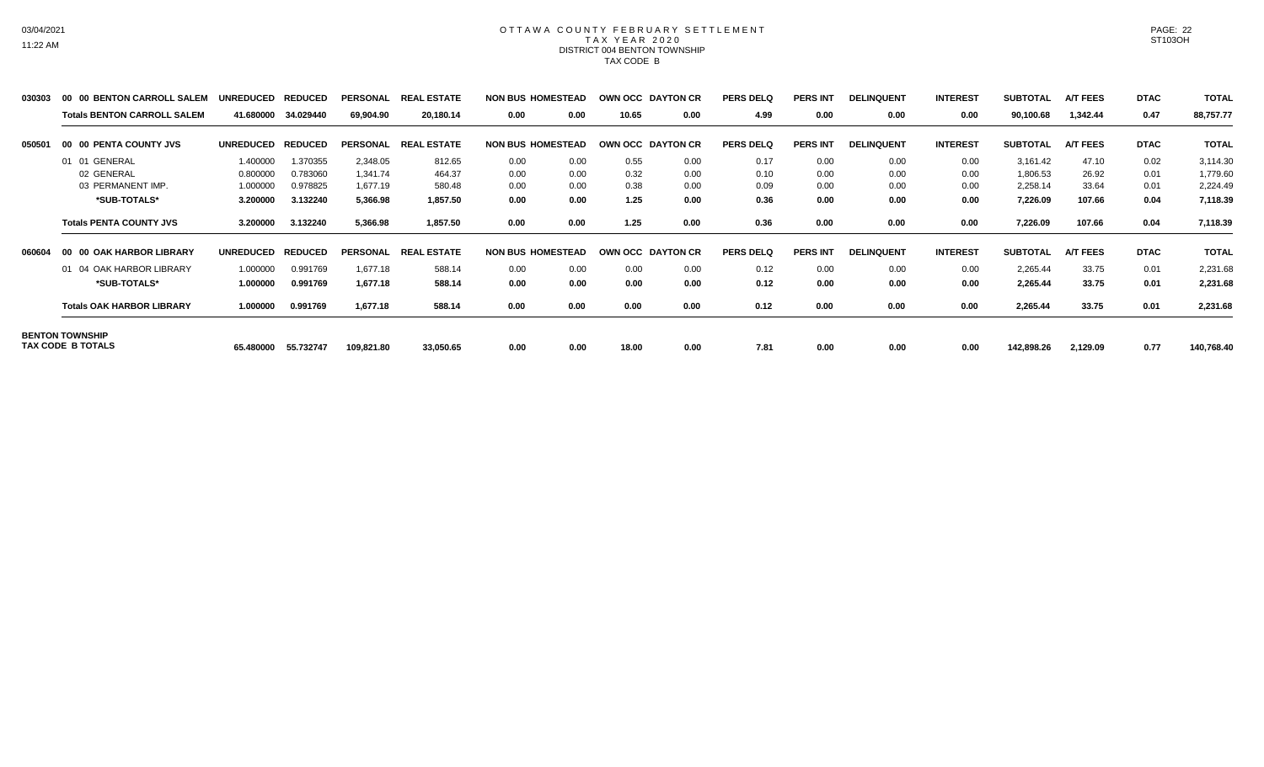#### OTTAWA COUNTY FEBRUARY SETTLEMENT TAX YEAR 2020 DISTRICT 004 BENTON TOWNSHIP TAX CODE B

| 030303 | 00 00 BENTON CARROLL SALEM         | <b>UNREDUCED</b> | <b>REDUCED</b> | <b>PERSONAL</b> | <b>REAL ESTATE</b> | <b>NON BUS HOMESTEAD</b> |      | OWN OCC DAYTON CR |                   | <b>PERS DELQ</b> | <b>PERS INT</b> | <b>DELINQUENT</b> | <b>INTEREST</b> | <b>SUBTOTAL</b> | <b>A/T FEES</b> | <b>DTAC</b> | <b>TOTAL</b> |
|--------|------------------------------------|------------------|----------------|-----------------|--------------------|--------------------------|------|-------------------|-------------------|------------------|-----------------|-------------------|-----------------|-----------------|-----------------|-------------|--------------|
|        | <b>Totals BENTON CARROLL SALEM</b> | 41.680000        | 34.029440      | 69,904.90       | 20,180.14          | 0.00                     | 0.00 | 10.65             | 0.00              | 4.99             | 0.00            | 0.00              | 0.00            | 90,100.68       | 1,342.44        | 0.47        | 88,757.77    |
| 050501 | 00 00 PENTA COUNTY JVS             | <b>UNREDUCED</b> | <b>REDUCED</b> | <b>PERSONAL</b> | <b>REAL ESTATE</b> | <b>NON BUS HOMESTEAD</b> |      | OWN OCC DAYTON CR |                   | <b>PERS DELQ</b> | <b>PERS INT</b> | <b>DELINQUENT</b> | <b>INTEREST</b> | <b>SUBTOTAL</b> | <b>A/T FEES</b> | <b>DTAC</b> | <b>TOTAL</b> |
|        | 01 01 GENERAL                      | 1.400000         | 1.370355       | 2,348.05        | 812.65             | 0.00                     | 0.00 | 0.55              | 0.00              | 0.17             | 0.00            | 0.00              | 0.00            | 3,161.42        | 47.10           | 0.02        | 3,114.30     |
|        | 02 GENERAL                         | 0.800000         | 0.783060       | 1.341.74        | 464.37             | 0.00                     | 0.00 | 0.32              | 0.00              | 0.10             | 0.00            | 0.00              | 0.00            | 1,806.53        | 26.92           | 0.01        | 1,779.60     |
|        | 03 PERMANENT IMP.                  | 1.000000         | 0.978825       | 1,677.19        | 580.48             | 0.00                     | 0.00 | 0.38              | 0.00              | 0.09             | 0.00            | 0.00              | 0.00            | 2,258.14        | 33.64           | 0.01        | 2,224.49     |
|        | *SUB-TOTALS*                       | 3.200000         | 3.132240       | 5,366.98        | 1,857.50           | 0.00                     | 0.00 | 1.25              | 0.00              | 0.36             | 0.00            | 0.00              | 0.00            | 7,226.09        | 107.66          | 0.04        | 7,118.39     |
|        | <b>Totals PENTA COUNTY JVS</b>     | 3.200000         | 3.132240       | 5,366.98        | 1,857.50           | 0.00                     | 0.00 | 1.25              | 0.00              | 0.36             | 0.00            | 0.00              | 0.00            | 7,226.09        | 107.66          | 0.04        | 7,118.39     |
| 060604 | 00 00 OAK HARBOR LIBRARY           | <b>UNREDUCED</b> | <b>REDUCED</b> | <b>PERSONAL</b> | <b>REAL ESTATE</b> | <b>NON BUS HOMESTEAD</b> |      |                   | OWN OCC DAYTON CR | <b>PERS DELQ</b> | <b>PERS INT</b> | <b>DELINQUENT</b> | <b>INTEREST</b> | <b>SUBTOTAL</b> | <b>A/T FEES</b> | <b>DTAC</b> | <b>TOTAL</b> |
|        | 01 04 OAK HARBOR LIBRARY           | 1.000000         | 0.991769       | 1,677.18        | 588.14             | 0.00                     | 0.00 | 0.00              | 0.00              | 0.12             | 0.00            | 0.00              | 0.00            | 2,265.44        | 33.75           | 0.01        | 2,231.68     |
|        | *SUB-TOTALS*                       | 1.000000         | 0.991769       | 1,677.18        | 588.14             | 0.00                     | 0.00 | 0.00              | 0.00              | 0.12             | 0.00            | 0.00              | 0.00            | 2,265.44        | 33.75           | 0.01        | 2,231.68     |
|        | <b>Totals OAK HARBOR LIBRARY</b>   | 1.000000         | 0.991769       | 1,677.18        | 588.14             | 0.00                     | 0.00 | 0.00              | 0.00              | 0.12             | 0.00            | 0.00              | 0.00            | 2,265.44        | 33.75           | 0.01        | 2,231.68     |
|        | <b>BENTON TOWNSHIP</b>             |                  |                |                 |                    |                          |      |                   |                   |                  |                 |                   |                 |                 |                 |             |              |
|        | TAX CODE B TOTALS                  | 65.480000        | 55.732747      | 109,821.80      | 33,050.65          | 0.00                     | 0.00 | 18.00             | 0.00              | 7.81             | 0.00            | 0.00              | 0.00            | 142,898.26      | 2,129.09        | 0.77        | 140,768.40   |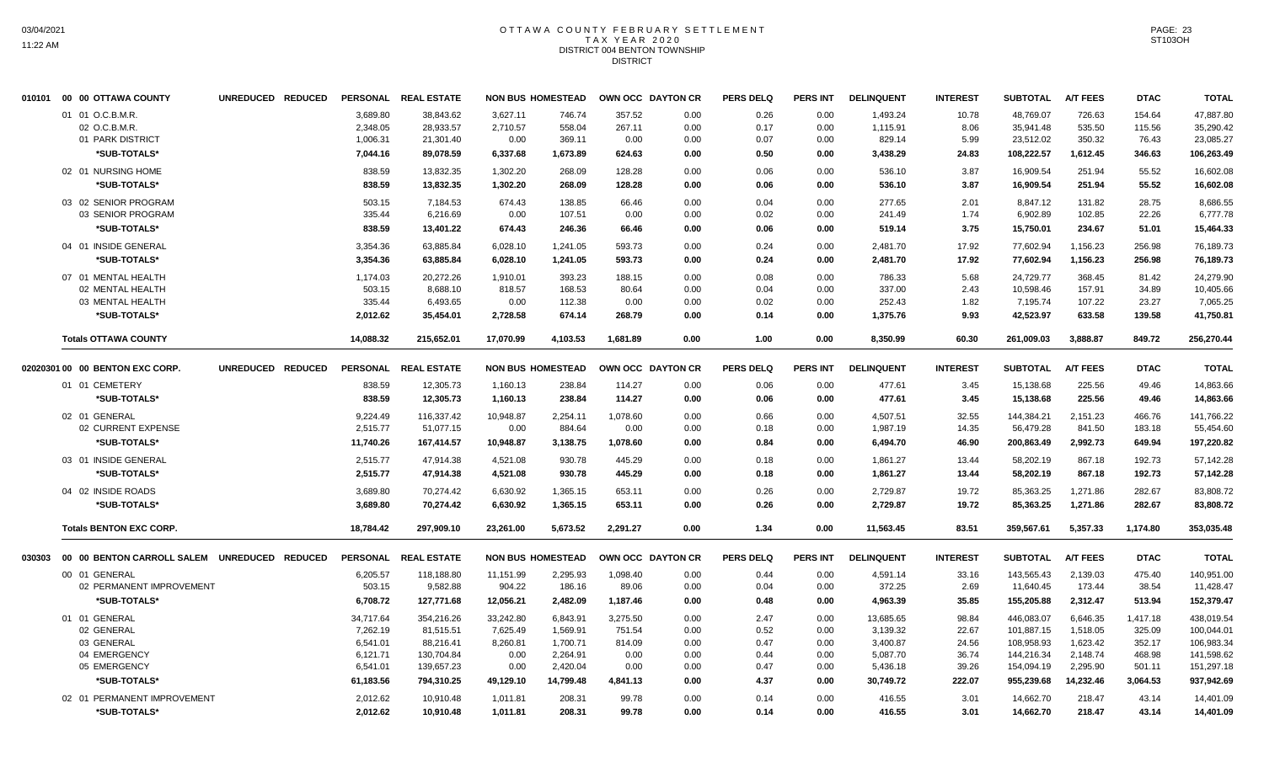#### OTTAWA COUNTY FEBRUARY SETTLEMENT T A X Y E A R 2 0 2 0 DISTRICT 004 BENTON TOWNSHIP **DISTRICT**

|        | 010101 00 00 OTTAWA COUNTY                                                                | UNREDUCED REDUCED |                                                                        | PERSONAL REAL ESTATE                                                           |                                                                | <b>NON BUS HOMESTEAD</b>                                              |                                                          | OWN OCC DAYTON CR                            | <b>PERS DELQ</b>                             | <b>PERS INT</b>                              | <b>DELINQUENT</b>                                                      | <b>INTEREST</b>                                     | <b>SUBTOTAL</b>                                                                  | <b>A/T FEES</b>                                                       | <b>DTAC</b>                                                  | <b>TOTAL</b>                                                                     |
|--------|-------------------------------------------------------------------------------------------|-------------------|------------------------------------------------------------------------|--------------------------------------------------------------------------------|----------------------------------------------------------------|-----------------------------------------------------------------------|----------------------------------------------------------|----------------------------------------------|----------------------------------------------|----------------------------------------------|------------------------------------------------------------------------|-----------------------------------------------------|----------------------------------------------------------------------------------|-----------------------------------------------------------------------|--------------------------------------------------------------|----------------------------------------------------------------------------------|
|        | 01 01 O.C.B.M.R.<br>02 O.C.B.M.R.<br>01 PARK DISTRICT<br>*SUB-TOTALS*                     |                   | 3,689.80<br>2,348.05<br>1,006.31<br>7,044.16                           | 38,843.62<br>28,933.57<br>21,301.40<br>89,078.59                               | 3,627.11<br>2,710.57<br>0.00<br>6,337.68                       | 746.74<br>558.04<br>369.11<br>1,673.89                                | 357.52<br>267.11<br>0.00<br>624.63                       | 0.00<br>0.00<br>0.00<br>0.00                 | 0.26<br>0.17<br>0.07<br>0.50                 | 0.00<br>0.00<br>0.00<br>0.00                 | 1,493.24<br>1,115.91<br>829.14<br>3,438.29                             | 10.78<br>8.06<br>5.99<br>24.83                      | 48,769.07<br>35,941.48<br>23,512.02<br>108,222.57                                | 726.63<br>535.50<br>350.32<br>1,612.45                                | 154.64<br>115.56<br>76.43<br>346.63                          | 47,887.80<br>35,290.42<br>23,085.27<br>106,263.49                                |
|        | 02 01 NURSING HOME<br>*SUB-TOTALS*                                                        |                   | 838.59<br>838.59                                                       | 13,832.35<br>13,832.35                                                         | 1,302.20<br>1,302.20                                           | 268.09<br>268.09                                                      | 128.28<br>128.28                                         | 0.00<br>0.00                                 | 0.06<br>0.06                                 | 0.00<br>0.00                                 | 536.10<br>536.10                                                       | 3.87<br>3.87                                        | 16,909.54<br>16,909.54                                                           | 251.94<br>251.94                                                      | 55.52<br>55.52                                               | 16,602.08<br>16,602.08                                                           |
|        | 03 02 SENIOR PROGRAM<br>03 SENIOR PROGRAM                                                 |                   | 503.15<br>335.44                                                       | 7,184.53<br>6,216.69                                                           | 674.43<br>0.00                                                 | 138.85<br>107.51                                                      | 66.46<br>0.00                                            | 0.00<br>0.00                                 | 0.04<br>0.02                                 | 0.00<br>0.00                                 | 277.65<br>241.49                                                       | 2.01<br>1.74                                        | 8,847.12<br>6,902.89                                                             | 131.82<br>102.85                                                      | 28.75<br>22.26                                               | 8,686.55<br>6,777.78                                                             |
|        | *SUB-TOTALS*<br>04 01 INSIDE GENERAL<br>*SUB-TOTALS*                                      |                   | 838.59<br>3,354.36<br>3,354.36                                         | 13,401.22<br>63,885.84<br>63,885.84                                            | 674.43<br>6,028.10<br>6,028.10                                 | 246.36<br>1,241.05<br>1,241.05                                        | 66.46<br>593.73<br>593.73                                | 0.00<br>0.00<br>0.00                         | 0.06<br>0.24<br>0.24                         | 0.00<br>0.00<br>0.00                         | 519.14<br>2,481.70<br>2,481.70                                         | 3.75<br>17.92<br>17.92                              | 15,750.01<br>77,602.94<br>77,602.94                                              | 234.67<br>1,156.23<br>1,156.23                                        | 51.01<br>256.98<br>256.98                                    | 15,464.33<br>76,189.73<br>76,189.73                                              |
|        | 07 01 MENTAL HEALTH<br>02 MENTAL HEALTH<br>03 MENTAL HEALTH<br>*SUB-TOTALS*               |                   | 1,174.03<br>503.15<br>335.44<br>2,012.62                               | 20,272.26<br>8,688.10<br>6,493.65<br>35,454.01                                 | 1,910.01<br>818.57<br>0.00<br>2,728.58                         | 393.23<br>168.53<br>112.38<br>674.14                                  | 188.15<br>80.64<br>0.00<br>268.79                        | 0.00<br>0.00<br>0.00<br>0.00                 | 0.08<br>0.04<br>0.02<br>0.14                 | 0.00<br>0.00<br>0.00<br>0.00                 | 786.33<br>337.00<br>252.43<br>1,375.76                                 | 5.68<br>2.43<br>1.82<br>9.93                        | 24,729.77<br>10,598.46<br>7,195.74<br>42,523.97                                  | 368.45<br>157.91<br>107.22<br>633.58                                  | 81.42<br>34.89<br>23.27<br>139.58                            | 24,279.90<br>10,405.66<br>7,065.25<br>41,750.81                                  |
|        | <b>Totals OTTAWA COUNTY</b>                                                               |                   | 14.088.32                                                              | 215,652.01                                                                     | 17.070.99                                                      | 4,103.53                                                              | 1.681.89                                                 | 0.00                                         | 1.00                                         | 0.00                                         | 8.350.99                                                               | 60.30                                               | 261,009.03                                                                       | 3.888.87                                                              | 849.72                                                       | 256,270.44                                                                       |
|        | 02020301 00 00 BENTON EXC CORP.                                                           | UNREDUCED REDUCED |                                                                        | PERSONAL REAL ESTATE                                                           |                                                                | <b>NON BUS HOMESTEAD</b>                                              |                                                          | OWN OCC DAYTON CR                            | <b>PERS DELQ</b>                             | <b>PERS INT</b>                              | <b>DELINQUENT</b>                                                      | <b>INTEREST</b>                                     | <b>SUBTOTAL</b>                                                                  | <b>A/T FEES</b>                                                       | <b>DTAC</b>                                                  | <b>TOTAL</b>                                                                     |
|        | 01 01 CEMETERY<br>*SUB-TOTALS*                                                            |                   | 838.59<br>838.59                                                       | 12,305.73<br>12,305.73                                                         | 1,160.13<br>1,160.13                                           | 238.84<br>238.84                                                      | 114.27<br>114.27                                         | 0.00<br>0.00                                 | 0.06<br>0.06                                 | 0.00<br>0.00                                 | 477.61<br>477.61                                                       | 3.45<br>3.45                                        | 15,138.68<br>15,138.68                                                           | 225.56<br>225.56                                                      | 49.46<br>49.46                                               | 14,863.66<br>14,863.66                                                           |
|        | 02 01 GENERAL<br>02 CURRENT EXPENSE<br>*SUB-TOTALS*                                       |                   | 9,224.49<br>2,515.77<br>11,740.26                                      | 116,337.42<br>51,077.15<br>167,414.57                                          | 10,948.87<br>0.00<br>10,948.87                                 | 2,254.11<br>884.64<br>3,138.75                                        | 1,078.60<br>0.00<br>1,078.60                             | 0.00<br>0.00<br>0.00                         | 0.66<br>0.18<br>0.84                         | 0.00<br>0.00<br>0.00                         | 4,507.51<br>1,987.19<br>6,494.70                                       | 32.55<br>14.35<br>46.90                             | 144,384.21<br>56,479.28<br>200,863.49                                            | 2,151.23<br>841.50<br>2,992.73                                        | 466.76<br>183.18<br>649.94                                   | 141,766.22<br>55,454.60<br>197,220.82                                            |
|        | 03 01 INSIDE GENERAL<br>*SUB-TOTALS*                                                      |                   | 2,515.77<br>2.515.77                                                   | 47,914.38<br>47.914.38                                                         | 4,521.08<br>4,521.08                                           | 930.78<br>930.78                                                      | 445.29<br>445.29                                         | 0.00<br>0.00                                 | 0.18<br>0.18                                 | 0.00<br>0.00                                 | 1,861.27<br>1,861.27                                                   | 13.44<br>13.44                                      | 58,202.19<br>58,202.19                                                           | 867.18<br>867.18                                                      | 192.73<br>192.73                                             | 57,142.28<br>57,142.28                                                           |
|        | 04 02 INSIDE ROADS<br>*SUB-TOTALS*                                                        |                   | 3,689.80<br>3,689.80                                                   | 70,274.42<br>70,274.42                                                         | 6,630.92<br>6,630.92                                           | 1,365.15<br>1,365.15                                                  | 653.11<br>653.11                                         | 0.00<br>0.00                                 | 0.26<br>0.26                                 | 0.00<br>0.00                                 | 2,729.87<br>2,729.87                                                   | 19.72<br>19.72                                      | 85,363.25<br>85,363.25                                                           | 1,271.86<br>1,271.86                                                  | 282.67<br>282.67                                             | 83,808.72<br>83,808.72                                                           |
|        | <b>Totals BENTON EXC CORP.</b>                                                            |                   | 18.784.42                                                              | 297,909.10                                                                     | 23,261.00                                                      | 5,673.52                                                              | 2,291.27                                                 | 0.00                                         | 1.34                                         | 0.00                                         | 11,563.45                                                              | 83.51                                               | 359,567.61                                                                       | 5,357.33                                                              | 1.174.80                                                     | 353,035.48                                                                       |
| 030303 | 00 00 BENTON CARROLL SALEM UNREDUCED REDUCED                                              |                   |                                                                        | PERSONAL REAL ESTATE                                                           |                                                                | <b>NON BUS HOMESTEAD</b>                                              |                                                          | OWN OCC DAYTON CR                            | <b>PERS DELQ</b>                             | <b>PERS INT</b>                              | <b>DELINQUENT</b>                                                      | <b>INTEREST</b>                                     | <b>SUBTOTAL</b>                                                                  | <b>A/T FEES</b>                                                       | <b>DTAC</b>                                                  | <b>TOTAL</b>                                                                     |
|        | 00 01 GENERAL<br>02 PERMANENT IMPROVEMENT<br>*SUB-TOTALS*                                 |                   | 6,205.57<br>503.15<br>6,708.72                                         | 118,188.80<br>9,582.88<br>127,771.68                                           | 11,151.99<br>904.22<br>12,056.21                               | 2,295.93<br>186.16<br>2,482.09                                        | 1,098.40<br>89.06<br>1,187.46                            | 0.00<br>0.00<br>0.00                         | 0.44<br>0.04<br>0.48                         | 0.00<br>0.00<br>0.00                         | 4,591.14<br>372.25<br>4,963.39                                         | 33.16<br>2.69<br>35.85                              | 143,565.43<br>11,640.45<br>155,205.88                                            | 2,139.03<br>173.44<br>2,312.47                                        | 475.40<br>38.54<br>513.94                                    | 140,951.00<br>11,428.47<br>152,379.47                                            |
|        | 01 01 GENERAL<br>02 GENERAL<br>03 GENERAL<br>04 EMERGENCY<br>05 EMERGENCY<br>*SUB-TOTALS* |                   | 34,717.64<br>7,262.19<br>6.541.01<br>6,121.71<br>6,541.01<br>61,183.56 | 354,216.26<br>81,515.51<br>88,216.41<br>130,704.84<br>139,657.23<br>794,310.25 | 33,242.80<br>7,625.49<br>8,260.81<br>0.00<br>0.00<br>49,129.10 | 6,843.91<br>1,569.91<br>1,700.71<br>2,264.91<br>2,420.04<br>14,799.48 | 3,275.50<br>751.54<br>814.09<br>0.00<br>0.00<br>4,841.13 | 0.00<br>0.00<br>0.00<br>0.00<br>0.00<br>0.00 | 2.47<br>0.52<br>0.47<br>0.44<br>0.47<br>4.37 | 0.00<br>0.00<br>0.00<br>0.00<br>0.00<br>0.00 | 13,685.65<br>3,139.32<br>3,400.87<br>5,087.70<br>5,436.18<br>30,749.72 | 98.84<br>22.67<br>24.56<br>36.74<br>39.26<br>222.07 | 446,083.07<br>101,887.15<br>108,958.93<br>144,216.34<br>154,094.19<br>955,239.68 | 6,646.35<br>1,518.05<br>1,623.42<br>2,148.74<br>2,295.90<br>14,232.46 | 1,417.18<br>325.09<br>352.17<br>468.98<br>501.11<br>3,064.53 | 438,019.54<br>100,044.01<br>106,983.34<br>141,598.62<br>151,297.18<br>937,942.69 |
|        | 02 01 PERMANENT IMPROVEMENT<br>*SUB-TOTALS*                                               |                   | 2,012.62<br>2,012.62                                                   | 10.910.48<br>10,910.48                                                         | 1,011.81<br>1,011.81                                           | 208.31<br>208.31                                                      | 99.78<br>99.78                                           | 0.00<br>0.00                                 | 0.14<br>0.14                                 | 0.00<br>0.00                                 | 416.55<br>416.55                                                       | 3.01<br>3.01                                        | 14,662.70<br>14,662.70                                                           | 218.47<br>218.47                                                      | 43.14<br>43.14                                               | 14,401.09<br>14,401.09                                                           |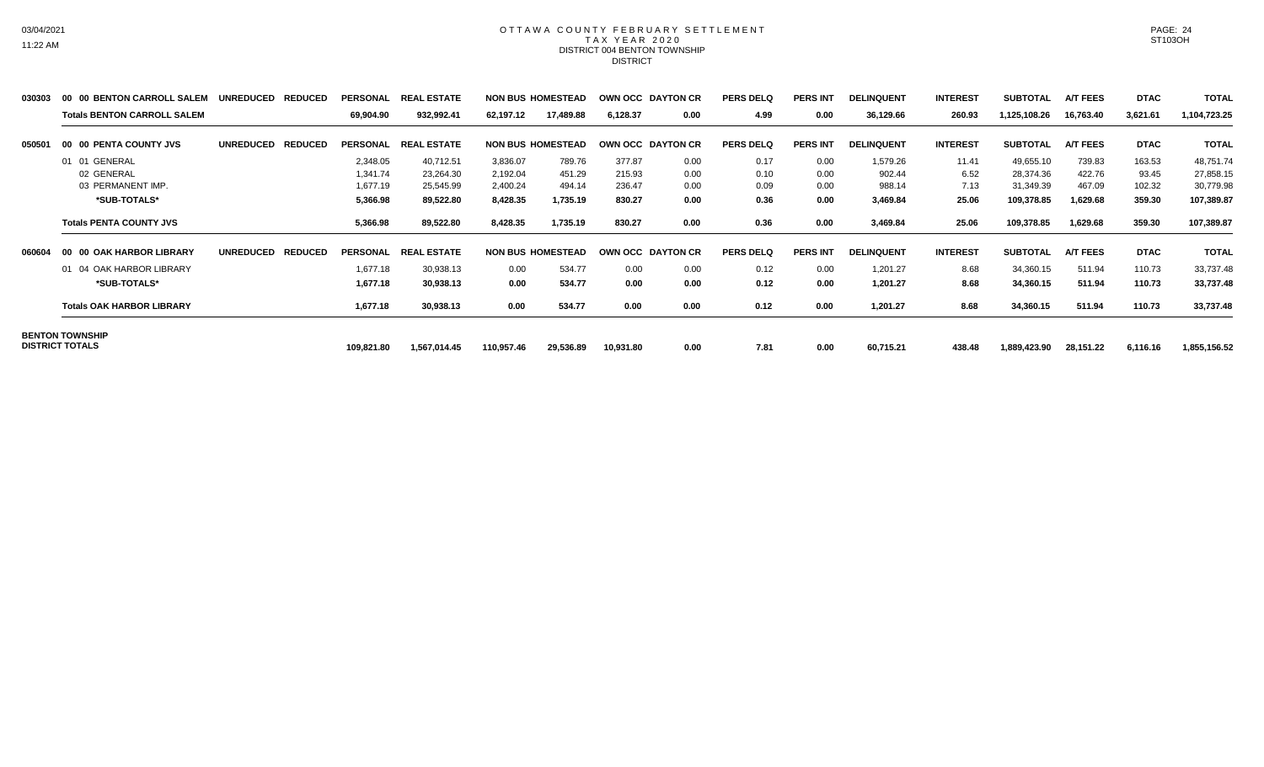### OTTAWA COUNTY FEBRUARY SETTLEMENT TAX YEAR 2020 DISTRICT 004 BENTON TOWNSHIP DISTRICT

| 030303 | 00 00 BENTON CARROLL SALEM                       | <b>UNREDUCED</b><br><b>REDUCED</b> | <b>PERSONAL</b> | <b>REAL ESTATE</b> |            | <b>NON BUS HOMESTEAD</b> |           | OWN OCC DAYTON CR | <b>PERS DELQ</b> | <b>PERS INT</b> | <b>DELINQUENT</b> | <b>INTEREST</b> | <b>SUBTOTAL</b> | <b>A/T FEES</b> | <b>DTAC</b> | <b>TOTAL</b> |
|--------|--------------------------------------------------|------------------------------------|-----------------|--------------------|------------|--------------------------|-----------|-------------------|------------------|-----------------|-------------------|-----------------|-----------------|-----------------|-------------|--------------|
|        | <b>Totals BENTON CARROLL SALEM</b>               |                                    | 69,904.90       | 932,992.41         | 62,197.12  | 17,489.88                | 6,128.37  | 0.00              | 4.99             | 0.00            | 36,129.66         | 260.93          | 1,125,108.26    | 16,763.40       | 3,621.61    | 1,104,723.25 |
| 050501 | 00 00 PENTA COUNTY JVS                           | <b>REDUCED</b><br><b>UNREDUCED</b> | <b>PERSONAL</b> | <b>REAL ESTATE</b> |            | <b>NON BUS HOMESTEAD</b> |           | OWN OCC DAYTON CR | <b>PERS DELQ</b> | <b>PERS INT</b> | <b>DELINQUENT</b> | <b>INTEREST</b> | <b>SUBTOTAL</b> | <b>A/T FEES</b> | <b>DTAC</b> | <b>TOTAL</b> |
|        | 01 01 GENERAL                                    |                                    | 2,348.05        | 40,712.51          | 3,836.07   | 789.76                   | 377.87    | 0.00              | 0.17             | 0.00            | 1,579.26          | 11.41           | 49,655.10       | 739.83          | 163.53      | 48,751.74    |
|        | 02 GENERAL                                       |                                    | 1,341.74        | 23,264.30          | 2,192.04   | 451.29                   | 215.93    | 0.00              | 0.10             | 0.00            | 902.44            | 6.52            | 28,374.36       | 422.76          | 93.45       | 27,858.15    |
|        | 03 PERMANENT IMP.                                |                                    | 1,677.19        | 25,545.99          | 2,400.24   | 494.14                   | 236.47    | 0.00              | 0.09             | 0.00            | 988.14            | 7.13            | 31,349.39       | 467.09          | 102.32      | 30,779.98    |
|        | *SUB-TOTALS*                                     |                                    | 5,366.98        | 89,522.80          | 8,428.35   | 1,735.19                 | 830.27    | 0.00              | 0.36             | 0.00            | 3,469.84          | 25.06           | 109,378.85      | 1,629.68        | 359.30      | 107,389.87   |
|        | <b>Totals PENTA COUNTY JVS</b>                   |                                    | 5,366.98        | 89,522.80          | 8,428.35   | 1,735.19                 | 830.27    | 0.00              | 0.36             | 0.00            | 3,469.84          | 25.06           | 109,378.85      | 1,629.68        | 359.30      | 107,389.87   |
| 060604 | 00 00 OAK HARBOR LIBRARY                         | <b>UNREDUCED</b><br><b>REDUCED</b> | <b>PERSONAL</b> | <b>REAL ESTATE</b> |            | <b>NON BUS HOMESTEAD</b> |           | OWN OCC DAYTON CR | <b>PERS DELQ</b> | <b>PERS INT</b> | <b>DELINQUENT</b> | <b>INTEREST</b> | <b>SUBTOTAL</b> | <b>A/T FEES</b> | <b>DTAC</b> | <b>TOTAL</b> |
|        | 01 04 OAK HARBOR LIBRARY                         |                                    | 1,677.18        | 30,938.13          | 0.00       | 534.77                   | 0.00      | 0.00              | 0.12             | 0.00            | 1,201.27          | 8.68            | 34,360.15       | 511.94          | 110.73      | 33,737.48    |
|        | *SUB-TOTALS*                                     |                                    | 1,677.18        | 30,938.13          | 0.00       | 534.77                   | 0.00      | 0.00              | 0.12             | 0.00            | 1,201.27          | 8.68            | 34,360.15       | 511.94          | 110.73      | 33,737.48    |
|        | <b>Totals OAK HARBOR LIBRARY</b>                 |                                    | 1,677.18        | 30,938.13          | 0.00       | 534.77                   | 0.00      | 0.00              | 0.12             | 0.00            | 1,201.27          | 8.68            | 34,360.15       | 511.94          | 110.73      | 33,737.48    |
|        | <b>BENTON TOWNSHIP</b><br><b>DISTRICT TOTALS</b> |                                    |                 |                    |            |                          |           |                   |                  |                 |                   |                 |                 |                 |             |              |
|        |                                                  |                                    | 109,821.80      | 1,567,014.45       | 110,957.46 | 29,536.89                | 10,931.80 | 0.00              | 7.81             | 0.00            | 60,715.21         | 438.48          | 1,889,423.90    | 28,151.22       | 6,116.16    | 1,855,156.52 |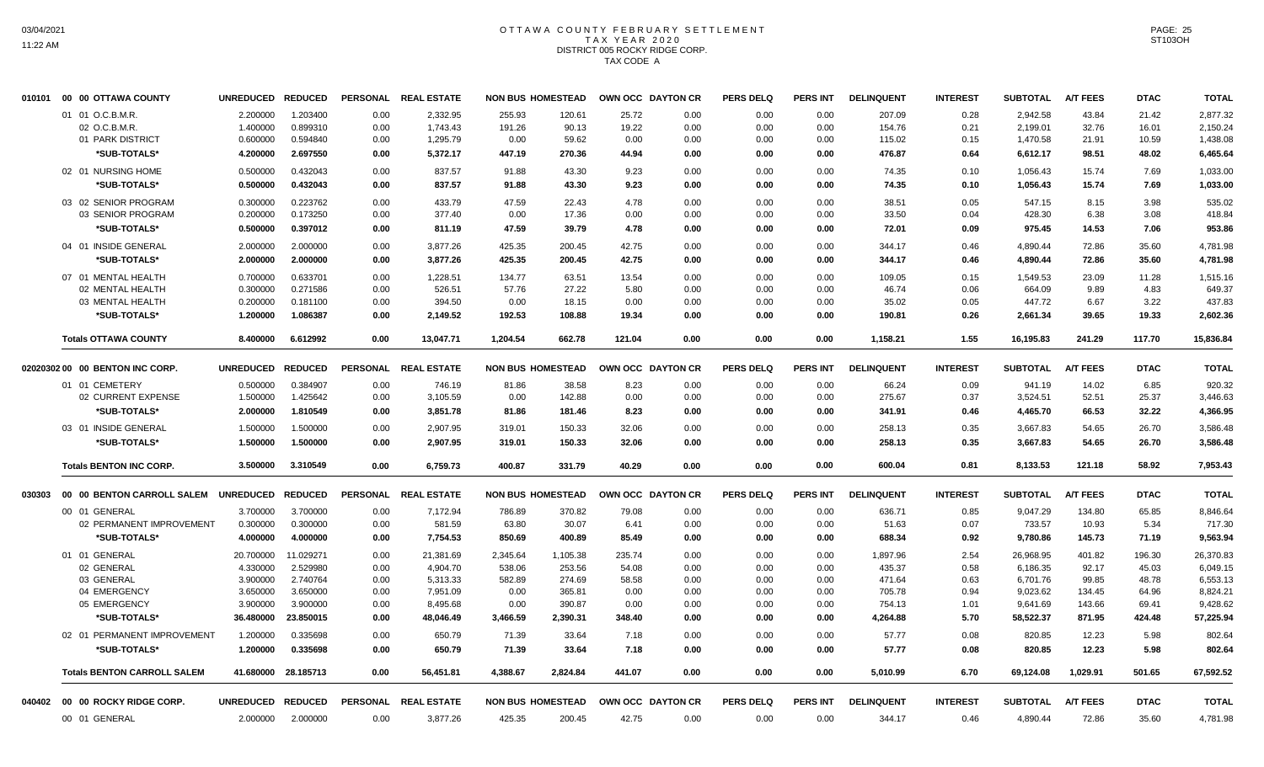## OTTAWA COUNTY FEBRUARY SETTLEMENT TAX YEAR 2020 DISTRICT 005 ROCKY RIDGE CORP. TAX CODE A

|        | 010101 00 00 OTTAWA COUNTY         | UNREDUCED REDUCED |                      | <b>PERSONAL</b> | <b>REAL ESTATE</b>   |               | <b>NON BUS HOMESTEAD</b> | OWN OCC DAYTON CR |              | <b>PERS DELQ</b> | PERS INT        | <b>DELINQUENT</b> | <b>INTEREST</b> | <b>SUBTOTAL</b>    | <b>A/T FEES</b> | <b>DTAC</b> | <b>TOTAL</b>       |
|--------|------------------------------------|-------------------|----------------------|-----------------|----------------------|---------------|--------------------------|-------------------|--------------|------------------|-----------------|-------------------|-----------------|--------------------|-----------------|-------------|--------------------|
|        | 01 01 O.C.B.M.R.                   | 2.200000          | 1.203400             | 0.00            | 2,332.95             | 255.93        | 120.61                   | 25.72             | 0.00         | 0.00             | 0.00            | 207.09            | 0.28            | 2.942.58           | 43.84           | 21.42       | 2,877.32           |
|        | 02 O.C.B.M.R.                      | 1.400000          | 0.899310             | 0.00            | 1,743.43             | 191.26        | 90.13                    | 19.22             | 0.00         | 0.00             | 0.00            | 154.76            | 0.21            | 2,199.01           | 32.76           | 16.01       | 2,150.24           |
|        | 01 PARK DISTRICT                   | 0.600000          | 0.594840             | 0.00            | 1,295.79             | 0.00          | 59.62                    | 0.00              | 0.00         | 0.00             | 0.00            | 115.02            | 0.15            | 1,470.58           | 21.91           | 10.59       | 1,438.08           |
|        | *SUB-TOTALS*                       | 4.200000          | 2.697550             | 0.00            | 5,372.17             | 447.19        | 270.36                   | 44.94             | 0.00         | 0.00             | 0.00            | 476.87            | 0.64            | 6,612.17           | 98.51           | 48.02       | 6,465.64           |
|        | 02 01 NURSING HOME                 | 0.500000          | 0.432043             | 0.00            | 837.57               | 91.88         | 43.30                    | 9.23              | 0.00         | 0.00             | 0.00            | 74.35             | 0.10            | 1,056.43           | 15.74           | 7.69        | 1.033.00           |
|        | *SUB-TOTALS*                       | 0.500000          | 0.432043             | 0.00            | 837.57               | 91.88         | 43.30                    | 9.23              | 0.00         | 0.00             | 0.00            | 74.35             | 0.10            | 1,056.43           | 15.74           | 7.69        | 1,033.00           |
|        | 03 02 SENIOR PROGRAM               | 0.300000          | 0.223762             | 0.00            | 433.79               | 47.59         | 22.43                    | 4.78              | 0.00         | 0.00             | 0.00            | 38.51             | 0.05            | 547.15             | 8.15            | 3.98        | 535.02             |
|        | 03 SENIOR PROGRAM                  | 0.200000          | 0.173250             | 0.00            | 377.40               | 0.00          | 17.36                    | 0.00              | 0.00         | 0.00             | 0.00            | 33.50             | 0.04            | 428.30             | 6.38            | 3.08        | 418.84             |
|        | *SUB-TOTALS*                       | 0.500000          | 0.397012             | 0.00            | 811.19               | 47.59         | 39.79                    | 4.78              | 0.00         | 0.00             | 0.00            | 72.01             | 0.09            | 975.45             | 14.53           | 7.06        | 953.86             |
|        | 04 01 INSIDE GENERAL               | 2.000000          | 2.000000             | 0.00            | 3,877.26             | 425.35        | 200.45                   | 42.75             | 0.00         | 0.00             | 0.00            | 344.17            | 0.46            | 4,890.44           | 72.86           | 35.60       | 4,781.98           |
|        | *SUB-TOTALS*                       | 2.000000          | 2.000000             | 0.00            | 3,877.26             | 425.35        | 200.45                   | 42.75             | 0.00         | 0.00             | 0.00            | 344.17            | 0.46            | 4,890.44           | 72.86           | 35.60       | 4,781.98           |
|        | 07 01 MENTAL HEALTH                | 0.700000          | 0.633701             | 0.00            | 1,228.51             | 134.77        | 63.51                    | 13.54             | 0.00         | 0.00             | 0.00            | 109.05            | 0.15            | 1.549.53           | 23.09           | 11.28       | 1,515.16           |
|        | 02 MENTAL HEALTH                   | 0.300000          | 0.271586             | 0.00            | 526.51               | 57.76         | 27.22                    | 5.80              | 0.00         | 0.00             | 0.00            | 46.74             | 0.06            | 664.09             | 9.89            | 4.83        | 649.37             |
|        | 03 MENTAL HEALTH                   | 0.200000          | 0.181100             | 0.00            | 394.50               | 0.00          | 18.15                    | 0.00              | 0.00         | 0.00             | 0.00            | 35.02             | 0.05            | 447.72             | 6.67            | 3.22        | 437.83             |
|        | *SUB-TOTALS*                       | 1.200000          | 1.086387             | 0.00            | 2,149.52             | 192.53        | 108.88                   | 19.34             | 0.00         | 0.00             | 0.00            | 190.81            | 0.26            | 2,661.34           | 39.65           | 19.33       | 2,602.36           |
|        | <b>Totals OTTAWA COUNTY</b>        | 8.400000          | 6.612992             | 0.00            | 13,047.71            | 1,204.54      | 662.78                   | 121.04            | 0.00         | 0.00             | 0.00            | 1,158.21          | 1.55            | 16,195.83          | 241.29          | 117.70      | 15,836.84          |
|        | 02020302 00 00 BENTON INC CORP.    | UNREDUCED REDUCED |                      |                 | PERSONAL REAL ESTATE |               | <b>NON BUS HOMESTEAD</b> | OWN OCC DAYTON CR |              | <b>PERS DELQ</b> | <b>PERS INT</b> | <b>DELINQUENT</b> | <b>INTEREST</b> | <b>SUBTOTAL</b>    | <b>A/T FEES</b> | <b>DTAC</b> | <b>TOTAL</b>       |
|        | 01 01 CEMETERY                     |                   |                      |                 |                      |               |                          |                   |              |                  |                 |                   |                 |                    |                 |             |                    |
|        | 02 CURRENT EXPENSE                 | 0.500000          | 0.384907<br>1.425642 | 0.00<br>0.00    | 746.19<br>3,105.59   | 81.86<br>0.00 | 38.58<br>142.88          | 8.23<br>0.00      | 0.00<br>0.00 | 0.00<br>0.00     | 0.00<br>0.00    | 66.24<br>275.67   | 0.09<br>0.37    | 941.19<br>3,524.51 | 14.02<br>52.51  | 6.85        | 920.32<br>3,446.63 |
|        |                                    | 1.500000          |                      |                 |                      |               |                          |                   |              |                  |                 |                   |                 |                    |                 | 25.37       |                    |
|        | *SUB-TOTALS*                       | 2.000000          | 1.810549             | 0.00            | 3,851.78             | 81.86         | 181.46                   | 8.23              | 0.00         | 0.00             | 0.00            | 341.91            | 0.46            | 4,465.70           | 66.53           | 32.22       | 4,366.95           |
|        | 03 01 INSIDE GENERAL               | 1.500000          | 1.500000             | 0.00            | 2,907.95             | 319.01        | 150.33                   | 32.06             | 0.00         | 0.00             | 0.00            | 258.13            | 0.35            | 3,667.83           | 54.65           | 26.70       | 3,586.48           |
|        | *SUB-TOTALS*                       | 1.500000          | 1.500000             | 0.00            | 2,907.95             | 319.01        | 150.33                   | 32.06             | 0.00         | 0.00             | 0.00            | 258.13            | 0.35            | 3,667.83           | 54.65           | 26.70       | 3,586.48           |
|        | <b>Totals BENTON INC CORP.</b>     | 3.500000          | 3.310549             | 0.00            | 6,759.73             | 400.87        | 331.79                   | 40.29             | 0.00         | 0.00             | 0.00            | 600.04            | 0.81            | 8,133.53           | 121.18          | 58.92       | 7,953.43           |
| 030303 | 00 00 BENTON CARROLL SALEM         | UNREDUCED REDUCED |                      |                 | PERSONAL REAL ESTATE |               | <b>NON BUS HOMESTEAD</b> | OWN OCC DAYTON CR |              | <b>PERS DELQ</b> | <b>PERS INT</b> | <b>DELINQUENT</b> | <b>INTEREST</b> | <b>SUBTOTAL</b>    | <b>A/T FEES</b> | <b>DTAC</b> | <b>TOTAL</b>       |
|        | 00 01 GENERAL                      | 3.700000          | 3.700000             | 0.00            | 7,172.94             | 786.89        | 370.82                   | 79.08             | 0.00         | 0.00             | 0.00            | 636.71            | 0.85            | 9,047.29           | 134.80          | 65.85       | 8.846.64           |
|        | 02 PERMANENT IMPROVEMENT           | 0.300000          | 0.300000             | 0.00            | 581.59               | 63.80         | 30.07                    | 6.41              | 0.00         | 0.00             | 0.00            | 51.63             | 0.07            | 733.57             | 10.93           | 5.34        | 717.30             |
|        | *SUB-TOTALS*                       | 4.000000          | 4.000000             | 0.00            | 7,754.53             | 850.69        | 400.89                   | 85.49             | 0.00         | 0.00             | 0.00            | 688.34            | 0.92            | 9,780.86           | 145.73          | 71.19       | 9,563.94           |
|        | 01 01 GENERAL                      | 20.700000         | 11.029271            | 0.00            | 21,381.69            | 2,345.64      | 1,105.38                 | 235.74            | 0.00         | 0.00             | 0.00            | 1,897.96          | 2.54            | 26,968.95          | 401.82          | 196.30      | 26,370.83          |
|        | 02 GENERAL                         | 4.330000          | 2.529980             | 0.00            | 4,904.70             | 538.06        | 253.56                   | 54.08             | 0.00         | 0.00             | 0.00            | 435.37            | 0.58            | 6,186.35           | 92.17           | 45.03       | 6,049.15           |
|        | 03 GENERAL                         | 3.900000          | 2.740764             | 0.00            | 5,313.33             | 582.89        | 274.69                   | 58.58             | 0.00         | 0.00             | 0.00            | 471.64            | 0.63            | 6,701.76           | 99.85           | 48.78       | 6,553.13           |
|        | 04 EMERGENCY                       | 3.650000          | 3.650000             | 0.00            | 7,951.09             | 0.00          | 365.81                   | 0.00              | 0.00         | 0.00             | 0.00            | 705.78            | 0.94            | 9,023.62           | 134.45          | 64.96       | 8,824.21           |
|        | 05 EMERGENCY                       | 3.900000          | 3.900000             | 0.00            | 8,495.68             | 0.00          | 390.87                   | 0.00              | 0.00         | 0.00             | 0.00            | 754.13            | 1.01            | 9,641.69           | 143.66          | 69.41       | 9,428.62           |
|        | *SUB-TOTALS*                       | 36.480000         | 23.850015            | 0.00            | 48,046.49            | 3,466.59      | 2,390.31                 | 348.40            | 0.00         | 0.00             | 0.00            | 4,264.88          | 5.70            | 58,522.37          | 871.95          | 424.48      | 57,225.94          |
|        | 02 01 PERMANENT IMPROVEMENT        | 1.200000          | 0.335698             | 0.00            | 650.79               | 71.39         | 33.64                    | 7.18              | 0.00         | 0.00             | 0.00            | 57.77             | 0.08            | 820.85             | 12.23           | 5.98        | 802.64             |
|        | *SUB-TOTALS*                       | 1.200000          | 0.335698             | 0.00            | 650.79               | 71.39         | 33.64                    | 7.18              | 0.00         | 0.00             | 0.00            | 57.77             | 0.08            | 820.85             | 12.23           | 5.98        | 802.64             |
|        | <b>Totals BENTON CARROLL SALEM</b> | 41.680000         | 28.185713            | 0.00            | 56,451.81            | 4,388.67      | 2,824.84                 | 441.07            | 0.00         | 0.00             | 0.00            | 5,010.99          | 6.70            | 69,124.08          | 1,029.91        | 501.65      | 67,592.52          |
|        | 040402 00 00 ROCKY RIDGE CORP.     | UNREDUCED REDUCED |                      |                 | PERSONAL REAL ESTATE |               | <b>NON BUS HOMESTEAD</b> | OWN OCC DAYTON CR |              | <b>PERS DELQ</b> | <b>PERS INT</b> | <b>DELINQUENT</b> | <b>INTEREST</b> | <b>SUBTOTAL</b>    | <b>A/T FEES</b> | <b>DTAC</b> | <b>TOTAL</b>       |
|        | 00 01 GENERAL                      | 2.000000          | 2.000000             | 0.00            | 3,877.26             | 425.35        | 200.45                   | 42.75             | 0.00         | 0.00             | 0.00            | 344.17            | 0.46            | 4,890.44           | 72.86           | 35.60       | 4,781.98           |
|        |                                    |                   |                      |                 |                      |               |                          |                   |              |                  |                 |                   |                 |                    |                 |             |                    |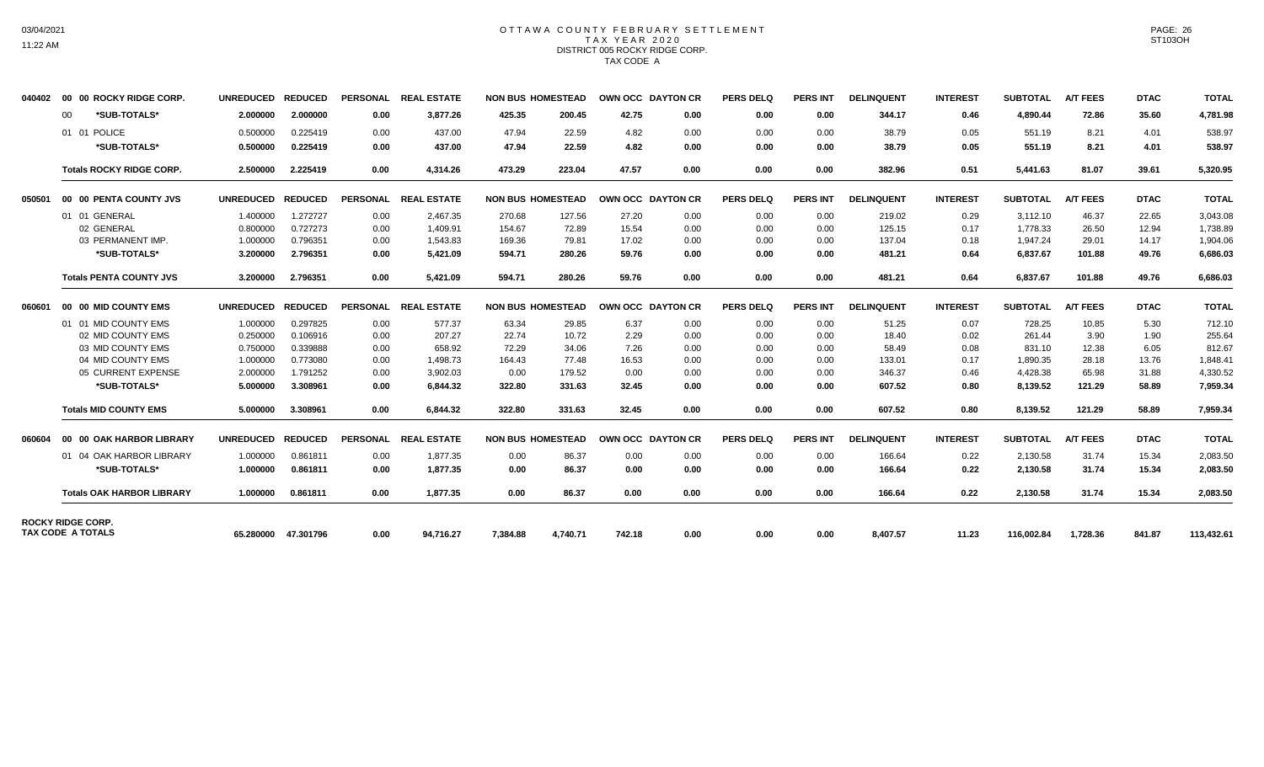# 03/04/2021 11:22 AM

### OTTAWA COUNTY FEBRUARY SETTLEMENT TAX YEAR 2020 DISTRICT 005 ROCKY RIDGE CORP. TAX CODE A

| 040402 | 00 00 ROCKY RIDGE CORP.                              | <b>UNREDUCED</b> | <b>REDUCED</b>      | <b>PERSONAL</b> | <b>REAL ESTATE</b> | <b>NON BUS HOMESTEAD</b> |          | OWN OCC DAYTON CR |      | <b>PERS DELQ</b> | <b>PERS INT</b> | <b>DELINQUENT</b> | <b>INTEREST</b> | <b>SUBTOTAL</b> | <b>A/T FEES</b> | <b>DTAC</b> | <b>TOTAL</b> |
|--------|------------------------------------------------------|------------------|---------------------|-----------------|--------------------|--------------------------|----------|-------------------|------|------------------|-----------------|-------------------|-----------------|-----------------|-----------------|-------------|--------------|
|        | *SUB-TOTALS*<br>$00 \,$                              | 2.000000         | 2.000000            | 0.00            | 3,877.26           | 425.35                   | 200.45   | 42.75             | 0.00 | 0.00             | 0.00            | 344.17            | 0.46            | 4.890.44        | 72.86           | 35.60       | 4,781.98     |
|        | 01 01 POLICE                                         | 0.500000         | 0.225419            | 0.00            | 437.00             | 47.94                    | 22.59    | 4.82              | 0.00 | 0.00             | 0.00            | 38.79             | 0.05            | 551.19          | 8.21            | 4.01        | 538.97       |
|        | *SUB-TOTALS*                                         | 0.500000         | 0.225419            | 0.00            | 437.00             | 47.94                    | 22.59    | 4.82              | 0.00 | 0.00             | 0.00            | 38.79             | 0.05            | 551.19          | 8.21            | 4.01        | 538.97       |
|        | <b>Totals ROCKY RIDGE CORP.</b>                      | 2.500000         | 2.225419            | 0.00            | 4,314.26           | 473.29                   | 223.04   | 47.57             | 0.00 | 0.00             | 0.00            | 382.96            | 0.51            | 5,441.63        | 81.07           | 39.61       | 5,320.95     |
| 050501 | 00 00 PENTA COUNTY JVS                               | <b>UNREDUCED</b> | <b>REDUCED</b>      | <b>PERSONAL</b> | <b>REAL ESTATE</b> | <b>NON BUS HOMESTEAD</b> |          | OWN OCC DAYTON CR |      | <b>PERS DELQ</b> | <b>PERS INT</b> | <b>DELINQUENT</b> | <b>INTEREST</b> | <b>SUBTOTAL</b> | <b>A/T FEES</b> | <b>DTAC</b> | <b>TOTAL</b> |
|        | 01 01 GENERAL                                        | 1.400000         | 1.272727            | 0.00            | 2.467.35           | 270.68                   | 127.56   | 27.20             | 0.00 | 0.00             | 0.00            | 219.02            | 0.29            | 3,112.10        | 46.37           | 22.65       | 3.043.08     |
|        | 02 GENERAL                                           | 0.800000         | 0.727273            | 0.00            | 1.409.91           | 154.67                   | 72.89    | 15.54             | 0.00 | 0.00             | 0.00            | 125.15            | 0.17            | 1,778.33        | 26.50           | 12.94       | 1.738.89     |
|        | 03 PERMANENT IMP.                                    | 1.000000         | 0.796351            | 0.00            | 1,543.83           | 169.36                   | 79.81    | 17.02             | 0.00 | 0.00             | 0.00            | 137.04            | 0.18            | 1,947.24        | 29.01           | 14.17       | 1,904.06     |
|        | *SUB-TOTALS*                                         | 3.200000         | 2.796351            | 0.00            | 5,421.09           | 594.71                   | 280.26   | 59.76             | 0.00 | 0.00             | 0.00            | 481.21            | 0.64            | 6,837.67        | 101.88          | 49.76       | 6,686.03     |
|        | <b>Totals PENTA COUNTY JVS</b>                       | 3.200000         | 2.796351            | 0.00            | 5,421.09           | 594.71                   | 280.26   | 59.76             | 0.00 | 0.00             | 0.00            | 481.21            | 0.64            | 6,837.67        | 101.88          | 49.76       | 6,686.03     |
| 060601 | 00 00 MID COUNTY EMS                                 | <b>UNREDUCED</b> | <b>REDUCED</b>      | PERSONAL        | <b>REAL ESTATE</b> | <b>NON BUS HOMESTEAD</b> |          | OWN OCC DAYTON CR |      | <b>PERS DELQ</b> | <b>PERS INT</b> | <b>DELINQUENT</b> | <b>INTEREST</b> | <b>SUBTOTAL</b> | <b>A/T FEES</b> | <b>DTAC</b> | <b>TOTAL</b> |
|        | 01 01 MID COUNTY EMS                                 | 1.000000         | 0.297825            | 0.00            | 577.37             | 63.34                    | 29.85    | 6.37              | 0.00 | 0.00             | 0.00            | 51.25             | 0.07            | 728.25          | 10.85           | 5.30        | 712.10       |
|        | 02 MID COUNTY EMS                                    | 0.250000         | 0.106916            | 0.00            | 207.27             | 22.74                    | 10.72    | 2.29              | 0.00 | 0.00             | 0.00            | 18.40             | 0.02            | 261.44          | 3.90            | 1.90        | 255.64       |
|        | 03 MID COUNTY EMS                                    | 0.750000         | 0.339888            | 0.00            | 658.92             | 72.29                    | 34.06    | 7.26              | 0.00 | 0.00             | 0.00            | 58.49             | 0.08            | 831.10          | 12.38           | 6.05        | 812.67       |
|        | 04 MID COUNTY EMS                                    | 1.000000         | 0.773080            | 0.00            | 1,498.73           | 164.43                   | 77.48    | 16.53             | 0.00 | 0.00             | 0.00            | 133.01            | 0.17            | 1,890.35        | 28.18           | 13.76       | 1,848.41     |
|        | 05 CURRENT EXPENSE                                   | 2.000000         | 1.791252            | 0.00            | 3,902.03           | 0.00                     | 179.52   | 0.00              | 0.00 | 0.00             | 0.00            | 346.37            | 0.46            | 4,428.38        | 65.98           | 31.88       | 4,330.52     |
|        | *SUB-TOTALS*                                         | 5.000000         | 3.308961            | 0.00            | 6.844.32           | 322.80                   | 331.63   | 32.45             | 0.00 | 0.00             | 0.00            | 607.52            | 0.80            | 8,139.52        | 121.29          | 58.89       | 7,959.34     |
|        | <b>Totals MID COUNTY EMS</b>                         | 5.000000         | 3.308961            | 0.00            | 6,844.32           | 322.80                   | 331.63   | 32.45             | 0.00 | 0.00             | 0.00            | 607.52            | 0.80            | 8,139.52        | 121.29          | 58.89       | 7,959.34     |
| 060604 | 00 00 OAK HARBOR LIBRARY                             | <b>UNREDUCED</b> | <b>REDUCED</b>      | <b>PERSONAL</b> | <b>REAL ESTATE</b> | <b>NON BUS HOMESTEAD</b> |          | OWN OCC DAYTON CR |      | <b>PERS DELQ</b> | <b>PERS INT</b> | <b>DELINQUENT</b> | <b>INTEREST</b> | <b>SUBTOTAL</b> | <b>A/T FEES</b> | <b>DTAC</b> | <b>TOTAL</b> |
|        | 01 04 OAK HARBOR LIBRARY                             | 1.000000         | 0.861811            | 0.00            | 1,877.35           | 0.00                     | 86.37    | 0.00              | 0.00 | 0.00             | 0.00            | 166.64            | 0.22            | 2,130.58        | 31.74           | 15.34       | 2,083.50     |
|        | *SUB-TOTALS*                                         | 1.000000         | 0.861811            | 0.00            | 1,877.35           | 0.00                     | 86.37    | 0.00              | 0.00 | 0.00             | 0.00            | 166.64            | 0.22            | 2,130.58        | 31.74           | 15.34       | 2,083.50     |
|        | <b>Totals OAK HARBOR LIBRARY</b>                     | 1.000000         | 0.861811            | 0.00            | 1.877.35           | 0.00                     | 86.37    | 0.00              | 0.00 | 0.00             | 0.00            | 166.64            | 0.22            | 2,130.58        | 31.74           | 15.34       | 2,083.50     |
|        | <b>ROCKY RIDGE CORP.</b><br><b>TAX CODE A TOTALS</b> |                  | 65.280000 47.301796 | 0.00            | 94.716.27          | 7.384.88                 | 4.740.71 | 742.18            | 0.00 | 0.00             | 0.00            | 8,407.57          | 11.23           | 116,002.84      | 1,728.36        | 841.87      | 113,432.61   |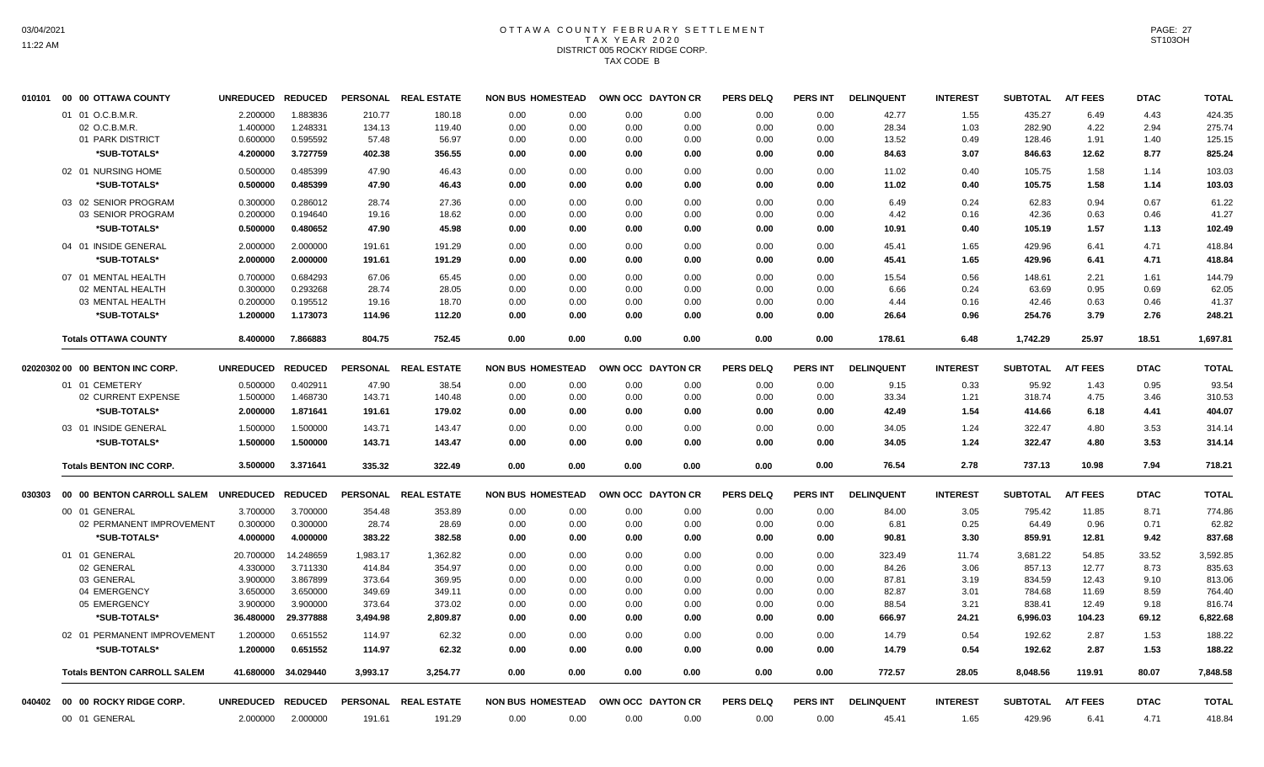## OTTAWA COUNTY FEBRUARY SETTLEMENT TAX YEAR 2020 DISTRICT 005 ROCKY RIDGE CORP. TAX CODE B

|        | 010101  00  00 OTTAWA COUNTY       | <b>UNREDUCED</b>  | <b>REDUCED</b>      |          | PERSONAL REAL ESTATE | <b>NON BUS HOMESTEAD</b> |      | OWN OCC DAYTON CR | <b>PERS DELQ</b> | <b>PERS INT</b> | <b>DELINQUENT</b> | <b>INTEREST</b> | <b>SUBTOTAL</b> | <b>A/T FEES</b> | <b>DTAC</b> | <b>TOTAL</b> |
|--------|------------------------------------|-------------------|---------------------|----------|----------------------|--------------------------|------|-------------------|------------------|-----------------|-------------------|-----------------|-----------------|-----------------|-------------|--------------|
|        | 01 01 O.C.B.M.R.                   | 2.200000          | 1.883836            | 210.77   | 180.18               | 0.00<br>0.00             | 0.00 | 0.00              | 0.00             | 0.00            | 42.77             | 1.55            | 435.27          | 6.49            | 4.43        | 424.35       |
|        | 02 O.C.B.M.R.                      | 1.400000          | 1.248331            | 134.13   | 119.40               | 0.00<br>0.00             | 0.00 | 0.00              | 0.00             | 0.00            | 28.34             | 1.03            | 282.90          | 4.22            | 2.94        | 275.74       |
|        | 01 PARK DISTRICT                   | 0.600000          | 0.595592            | 57.48    | 56.97                | 0.00<br>0.00             | 0.00 | 0.00              | 0.00             | 0.00            | 13.52             | 0.49            | 128.46          | 1.91            | 1.40        | 125.15       |
|        | *SUB-TOTALS*                       | 4.200000          | 3.727759            | 402.38   | 356.55               | 0.00<br>0.00             | 0.00 | 0.00              | 0.00             | 0.00            | 84.63             | 3.07            | 846.63          | 12.62           | 8.77        | 825.24       |
|        | 02 01 NURSING HOME                 | 0.500000          | 0.485399            | 47.90    | 46.43                | 0.00<br>0.00             | 0.00 | 0.00              | 0.00             | 0.00            | 11.02             | 0.40            | 105.75          | 1.58            | 1.14        | 103.03       |
|        | *SUB-TOTALS*                       | 0.500000          | 0.485399            | 47.90    | 46.43                | 0.00<br>0.00             | 0.00 | 0.00              | 0.00             | 0.00            | 11.02             | 0.40            | 105.75          | 1.58            | 1.14        | 103.03       |
|        |                                    |                   |                     |          |                      |                          |      |                   |                  |                 |                   |                 |                 |                 |             |              |
|        | 03 02 SENIOR PROGRAM               | 0.300000          | 0.286012            | 28.74    | 27.36                | 0.00<br>0.00             | 0.00 | 0.00              | 0.00             | 0.00            | 6.49              | 0.24            | 62.83           | 0.94            | 0.67        | 61.22        |
|        | 03 SENIOR PROGRAM                  | 0.200000          | 0.194640            | 19.16    | 18.62                | 0.00<br>0.00             | 0.00 | 0.00              | 0.00             | 0.00            | 4.42              | 0.16            | 42.36           | 0.63            | 0.46        | 41.27        |
|        | *SUB-TOTALS*                       | 0.500000          | 0.480652            | 47.90    | 45.98                | 0.00<br>0.00             | 0.00 | 0.00              | 0.00             | 0.00            | 10.91             | 0.40            | 105.19          | 1.57            | 1.13        | 102.49       |
|        | 04 01 INSIDE GENERAL               | 2.000000          | 2.000000            | 191.61   | 191.29               | 0.00<br>0.00             | 0.00 | 0.00              | 0.00             | 0.00            | 45.41             | 1.65            | 429.96          | 6.41            | 4.71        | 418.84       |
|        | *SUB-TOTALS*                       | 2.000000          | 2.000000            | 191.61   | 191.29               | 0.00<br>0.00             | 0.00 | 0.00              | 0.00             | 0.00            | 45.41             | 1.65            | 429.96          | 6.41            | 4.71        | 418.84       |
|        | 07 01 MENTAL HEALTH                | 0.700000          | 0.684293            | 67.06    | 65.45                | 0.00<br>0.00             | 0.00 | 0.00              | 0.00             | 0.00            | 15.54             | 0.56            | 148.61          | 2.21            | 1.61        | 144.79       |
|        | 02 MENTAL HEALTH                   | 0.300000          | 0.293268            | 28.74    | 28.05                | 0.00<br>0.00             | 0.00 | 0.00              | 0.00             | 0.00            | 6.66              | 0.24            | 63.69           | 0.95            | 0.69        | 62.05        |
|        | 03 MENTAL HEALTH                   | 0.200000          | 0.195512            | 19.16    | 18.70                | 0.00<br>0.00             | 0.00 | 0.00              | 0.00             | 0.00            | 4.44              | 0.16            | 42.46           | 0.63            | 0.46        | 41.37        |
|        | *SUB-TOTALS*                       | 1.200000          | 1.173073            | 114.96   | 112.20               | 0.00<br>0.00             | 0.00 | 0.00              | 0.00             | 0.00            | 26.64             | 0.96            | 254.76          | 3.79            | 2.76        | 248.21       |
|        | <b>Totals OTTAWA COUNTY</b>        | 8.400000          | 7.866883            | 804.75   | 752.45               | 0.00<br>0.00             | 0.00 | 0.00              | 0.00             | 0.00            | 178.61            | 6.48            | 1,742.29        | 25.97           | 18.51       | 1,697.81     |
|        |                                    | <b>UNREDUCED</b>  | <b>REDUCED</b>      |          | PERSONAL REAL ESTATE | <b>NON BUS HOMESTEAD</b> |      | OWN OCC DAYTON CR | <b>PERS DELQ</b> | <b>PERS INT</b> |                   |                 | <b>SUBTOTAL</b> | <b>A/T FEES</b> |             |              |
|        | 02020302 00 00 BENTON INC CORP.    |                   |                     |          |                      |                          |      |                   |                  |                 | <b>DELINQUENT</b> | <b>INTEREST</b> |                 |                 | <b>DTAC</b> | <b>TOTAL</b> |
|        | 01 01 CEMETERY                     | 0.500000          | 0.402911            | 47.90    | 38.54                | 0.00<br>0.00             | 0.00 | 0.00              | 0.00             | 0.00            | 9.15              | 0.33            | 95.92           | 1.43            | 0.95        | 93.54        |
|        | 02 CURRENT EXPENSE                 | 1.500000          | 1.468730            | 143.71   | 140.48               | 0.00<br>0.00             | 0.00 | 0.00              | 0.00             | 0.00            | 33.34             | 1.21            | 318.74          | 4.75            | 3.46        | 310.53       |
|        | *SUB-TOTALS*                       | 2.000000          | 1.871641            | 191.61   | 179.02               | 0.00<br>0.00             | 0.00 | 0.00              | 0.00             | 0.00            | 42.49             | 1.54            | 414.66          | 6.18            | 4.41        | 404.07       |
|        | 03 01 INSIDE GENERAL               | 1.500000          | 1.500000            | 143.71   | 143.47               | 0.00<br>0.00             | 0.00 | 0.00              | 0.00             | 0.00            | 34.05             | 1.24            | 322.47          | 4.80            | 3.53        | 314.14       |
|        | *SUB-TOTALS*                       | 1.500000          | 1.500000            | 143.71   | 143.47               | 0.00<br>0.00             | 0.00 | 0.00              | 0.00             | 0.00            | 34.05             | 1.24            | 322.47          | 4.80            | 3.53        | 314.14       |
|        | <b>Totals BENTON INC CORP.</b>     | 3.500000          | 3.371641            | 335.32   | 322.49               | 0.00<br>0.00             | 0.00 | 0.00              | 0.00             | 0.00            | 76.54             | 2.78            | 737.13          | 10.98           | 7.94        | 718.21       |
| 030303 | 00 00 BENTON CARROLL SALEM         | UNREDUCED REDUCED |                     |          | PERSONAL REAL ESTATE | <b>NON BUS HOMESTEAD</b> |      | OWN OCC DAYTON CR | <b>PERS DELQ</b> | <b>PERS INT</b> | <b>DELINQUENT</b> | <b>INTEREST</b> | <b>SUBTOTAL</b> | <b>A/T FEES</b> | <b>DTAC</b> | <b>TOTAL</b> |
|        | 00 01 GENERAL                      | 3.700000          | 3.700000            | 354.48   | 353.89               | 0.00<br>0.00             | 0.00 | 0.00              | 0.00             | 0.00            | 84.00             | 3.05            | 795.42          | 11.85           | 8.71        | 774.86       |
|        | 02 PERMANENT IMPROVEMENT           | 0.300000          | 0.300000            | 28.74    | 28.69                | 0.00<br>0.00             | 0.00 | 0.00              | 0.00             | 0.00            | 6.81              | 0.25            | 64.49           | 0.96            | 0.71        | 62.82        |
|        | *SUB-TOTALS*                       | 4.000000          | 4.000000            | 383.22   | 382.58               | 0.00<br>0.00             | 0.00 | 0.00              | 0.00             | 0.00            | 90.81             | 3.30            | 859.91          | 12.81           | 9.42        | 837.68       |
|        | 01 01 GENERAL                      | 20.700000         | 14.248659           | 1,983.17 | 1,362.82             | 0.00<br>0.00             | 0.00 | 0.00              | 0.00             | 0.00            | 323.49            | 11.74           | 3,681.22        | 54.85           | 33.52       | 3,592.85     |
|        | 02 GENERAL                         | 4.330000          | 3.711330            | 414.84   | 354.97               | 0.00<br>0.00             | 0.00 | 0.00              | 0.00             | 0.00            | 84.26             | 3.06            | 857.13          | 12.77           | 8.73        | 835.63       |
|        | 03 GENERAL                         | 3.900000          | 3.867899            | 373.64   | 369.95               | 0.00<br>0.00             | 0.00 | 0.00              | 0.00             | 0.00            | 87.81             | 3.19            | 834.59          | 12.43           | 9.10        | 813.06       |
|        | 04 EMERGENCY                       | 3.650000          | 3.650000            | 349.69   | 349.11               | 0.00<br>0.00             | 0.00 | 0.00              | 0.00             | 0.00            | 82.87             | 3.01            | 784.68          | 11.69           | 8.59        | 764.40       |
|        | 05 EMERGENCY                       | 3.900000          | 3.900000            | 373.64   | 373.02               | 0.00<br>0.00             | 0.00 | 0.00              | 0.00             | 0.00            | 88.54             | 3.21            | 838.41          | 12.49           | 9.18        | 816.74       |
|        | *SUB-TOTALS*                       | 36.480000         | 29.377888           | 3,494.98 | 2,809.87             | 0.00<br>0.00             | 0.00 | 0.00              | 0.00             | 0.00            | 666.97            | 24.21           | 6,996.03        | 104.23          | 69.12       | 6,822.68     |
|        | 02 01 PERMANENT IMPROVEMENT        | 1.200000          | 0.651552            | 114.97   | 62.32                | 0.00<br>0.00             | 0.00 | 0.00              | 0.00             | 0.00            | 14.79             | 0.54            | 192.62          | 2.87            | 1.53        | 188.22       |
|        | *SUB-TOTALS*                       | 1.200000          | 0.651552            | 114.97   | 62.32                | 0.00<br>0.00             | 0.00 | 0.00              | 0.00             | 0.00            | 14.79             | 0.54            | 192.62          | 2.87            | 1.53        | 188.22       |
|        | <b>Totals BENTON CARROLL SALEM</b> |                   | 41.680000 34.029440 | 3,993.17 | 3,254.77             | 0.00<br>0.00             | 0.00 | 0.00              | 0.00             | 0.00            | 772.57            | 28.05           | 8,048.56        | 119.91          | 80.07       | 7,848.58     |
|        | 040402 00 00 ROCKY RIDGE CORP.     | <b>UNREDUCED</b>  | <b>REDUCED</b>      |          | PERSONAL REAL ESTATE | <b>NON BUS HOMESTEAD</b> |      | OWN OCC DAYTON CR | <b>PERS DELQ</b> | <b>PERS INT</b> | <b>DELINQUENT</b> | <b>INTEREST</b> | <b>SUBTOTAL</b> | <b>A/T FEES</b> | <b>DTAC</b> | <b>TOTAL</b> |
|        | 00 01 GENERAL                      | 2.000000          | 2.000000            | 191.61   | 191.29               | 0.00<br>0.00             | 0.00 | 0.00              | 0.00             | 0.00            | 45.41             | 1.65            | 429.96          | 6.41            | 4.71        | 418.84       |
|        |                                    |                   |                     |          |                      |                          |      |                   |                  |                 |                   |                 |                 |                 |             |              |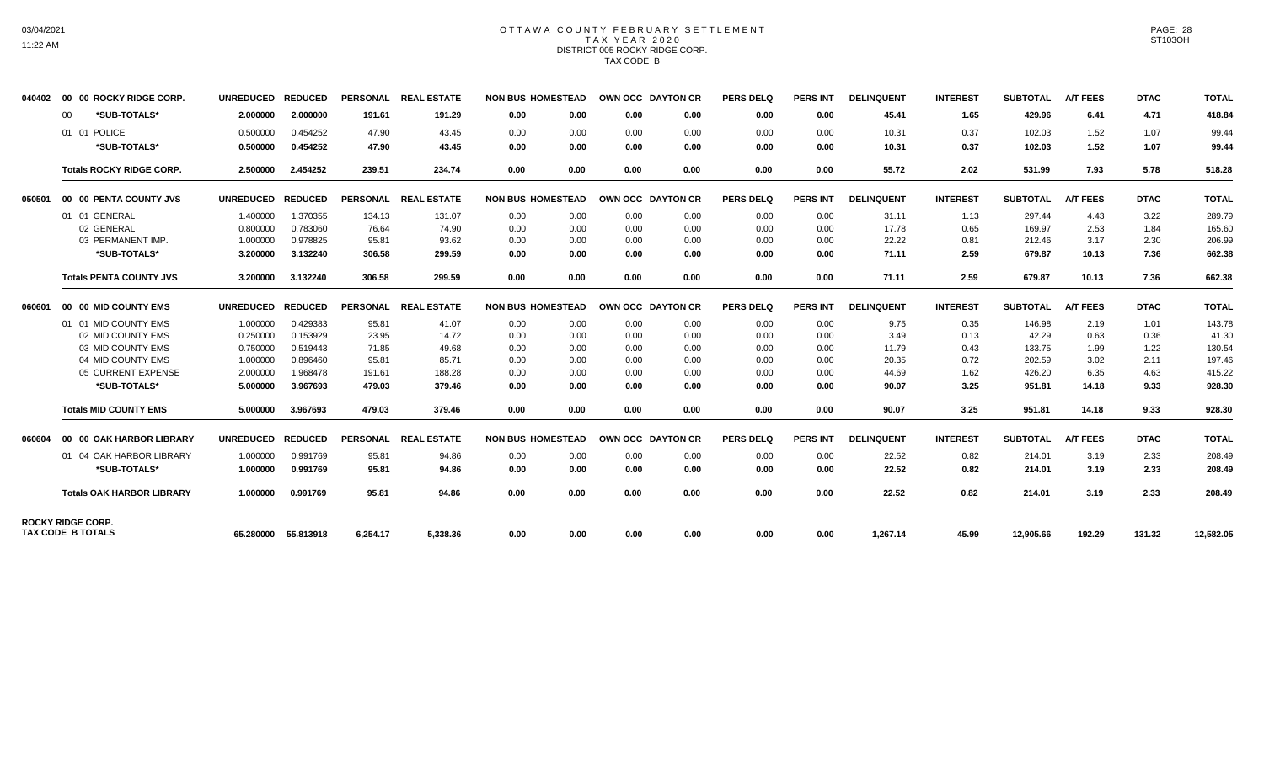# 03/04/2021 11:22 AM

### OTTAWA COUNTY FEBRUARY SETTLEMENT TAX YEAR 2020 DISTRICT 005 ROCKY RIDGE CORP. TAX CODE B

| $00 \,$                                              | *SUB-TOTALS*<br>01 01 POLICE     | 2.000000         | 2.000000       |                 |                    |                          |      |                   |                  |                 |                   |                 |                 |                 |             |              |
|------------------------------------------------------|----------------------------------|------------------|----------------|-----------------|--------------------|--------------------------|------|-------------------|------------------|-----------------|-------------------|-----------------|-----------------|-----------------|-------------|--------------|
|                                                      |                                  |                  |                | 191.61          | 191.29             | 0.00<br>0.00             | 0.00 | 0.00              | 0.00             | 0.00            | 45.41             | 1.65            | 429.96          | 6.41            | 4.71        | 418.84       |
|                                                      |                                  | 0.500000         | 0.454252       | 47.90           | 43.45              | 0.00<br>0.00             | 0.00 | 0.00              | 0.00             | 0.00            | 10.31             | 0.37            | 102.03          | 1.52            | 1.07        | 99.44        |
|                                                      | *SUB-TOTALS*                     | 0.500000         | 0.454252       | 47.90           | 43.45              | 0.00<br>0.00             | 0.00 | 0.00              | 0.00             | 0.00            | 10.31             | 0.37            | 102.03          | 1.52            | 1.07        | 99.44        |
|                                                      | <b>Totals ROCKY RIDGE CORP.</b>  | 2.500000         | 2.454252       | 239.51          | 234.74             | 0.00<br>0.00             | 0.00 | 0.00              | 0.00             | 0.00            | 55.72             | 2.02            | 531.99          | 7.93            | 5.78        | 518.28       |
| 050501                                               | 00 00 PENTA COUNTY JVS           | <b>UNREDUCED</b> | <b>REDUCED</b> | <b>PERSONAL</b> | <b>REAL ESTATE</b> | <b>NON BUS HOMESTEAD</b> |      | OWN OCC DAYTON CR | <b>PERS DELQ</b> | PERS INT        | <b>DELINQUENT</b> | <b>INTEREST</b> | <b>SUBTOTAL</b> | <b>A/T FEES</b> | <b>DTAC</b> | <b>TOTAL</b> |
|                                                      | 01 01 GENERAL                    | 1.400000         | 1.370355       | 134.13          | 131.07             | 0.00<br>0.00             | 0.00 | 0.00              | 0.00             | 0.00            | 31.11             | 1.13            | 297.44          | 4.43            | 3.22        | 289.79       |
|                                                      | 02 GENERAL                       | 0.800000         | 0.783060       | 76.64           | 74.90              | 0.00<br>0.00             | 0.00 | 0.00              | 0.00             | 0.00            | 17.78             | 0.65            | 169.97          | 2.53            | 1.84        | 165.60       |
|                                                      | 03 PERMANENT IMP.                | 1.000000         | 0.978825       | 95.81           | 93.62              | 0.00<br>0.00             | 0.00 | 0.00              | 0.00             | 0.00            | 22.22             | 0.81            | 212.46          | 3.17            | 2.30        | 206.99       |
|                                                      | *SUB-TOTALS*                     | 3.200000         | 3.132240       | 306.58          | 299.59             | 0.00<br>0.00             | 0.00 | 0.00              | 0.00             | 0.00            | 71.11             | 2.59            | 679.87          | 10.13           | 7.36        | 662.38       |
|                                                      | <b>Totals PENTA COUNTY JVS</b>   | 3.200000         | 3.132240       | 306.58          | 299.59             | 0.00<br>0.00             | 0.00 | 0.00              | 0.00             | 0.00            | 71.11             | 2.59            | 679.87          | 10.13           | 7.36        | 662.38       |
| 060601                                               | 00 00 MID COUNTY EMS             | <b>UNREDUCED</b> | <b>REDUCED</b> | <b>PERSONAL</b> | <b>REAL ESTATE</b> | <b>NON BUS HOMESTEAD</b> |      | OWN OCC DAYTON CR | <b>PERS DELQ</b> | <b>PERS INT</b> | <b>DELINQUENT</b> | <b>INTEREST</b> | <b>SUBTOTAL</b> | <b>A/T FEES</b> | <b>DTAC</b> | <b>TOTAL</b> |
|                                                      | 01 01 MID COUNTY EMS             | 1.000000         | 0.429383       | 95.81           | 41.07              | 0.00<br>0.00             | 0.00 | 0.00              | 0.00             | 0.00            | 9.75              | 0.35            | 146.98          | 2.19            | 1.01        | 143.78       |
|                                                      | 02 MID COUNTY EMS                | 0.250000         | 0.153929       | 23.95           | 14.72              | 0.00<br>0.00             | 0.00 | 0.00              | 0.00             | 0.00            | 3.49              | 0.13            | 42.29           | 0.63            | 0.36        | 41.30        |
|                                                      | 03 MID COUNTY EMS                | 0.750000         | 0.519443       | 71.85           | 49.68              | 0.00<br>0.00             | 0.00 | 0.00              | 0.00             | 0.00            | 11.79             | 0.43            | 133.75          | 1.99            | 1.22        | 130.54       |
|                                                      | 04 MID COUNTY EMS                | 1.000000         | 0.896460       | 95.81           | 85.71              | 0.00<br>0.00             | 0.00 | 0.00              | 0.00             | 0.00            | 20.35             | 0.72            | 202.59          | 3.02            | 2.11        | 197.46       |
|                                                      | 05 CURRENT EXPENSE               | 2.000000         | 1.968478       | 191.61          | 188.28             | 0.00<br>0.00             | 0.00 | 0.00              | 0.00             | 0.00            | 44.69             | 1.62            | 426.20          | 6.35            | 4.63        | 415.22       |
|                                                      | *SUB-TOTALS*                     | 5.000000         | 3.967693       | 479.03          | 379.46             | 0.00<br>0.00             | 0.00 | 0.00              | 0.00             | 0.00            | 90.07             | 3.25            | 951.81          | 14.18           | 9.33        | 928.30       |
|                                                      | <b>Totals MID COUNTY EMS</b>     | 5.000000         | 3.967693       | 479.03          | 379.46             | 0.00<br>0.00             | 0.00 | 0.00              | 0.00             | 0.00            | 90.07             | 3.25            | 951.81          | 14.18           | 9.33        | 928.30       |
| 060604                                               | 00 00 OAK HARBOR LIBRARY         | <b>UNREDUCED</b> | <b>REDUCED</b> | <b>PERSONAL</b> | <b>REAL ESTATE</b> | <b>NON BUS HOMESTEAD</b> |      | OWN OCC DAYTON CR | <b>PERS DELQ</b> | <b>PERS INT</b> | <b>DELINQUENT</b> | <b>INTEREST</b> | <b>SUBTOTAL</b> | <b>A/T FEES</b> | <b>DTAC</b> | <b>TOTAL</b> |
|                                                      | 01 04 OAK HARBOR LIBRARY         | 1.000000         | 0.991769       | 95.81           | 94.86              | 0.00<br>0.00             | 0.00 | 0.00              | 0.00             | 0.00            | 22.52             | 0.82            | 214.01          | 3.19            | 2.33        | 208.49       |
|                                                      | *SUB-TOTALS*                     | 1.000000         | 0.991769       | 95.81           | 94.86              | 0.00<br>0.00             | 0.00 | 0.00              | 0.00             | 0.00            | 22.52             | 0.82            | 214.01          | 3.19            | 2.33        | 208.49       |
|                                                      | <b>Totals OAK HARBOR LIBRARY</b> | 1.000000         | 0.991769       | 95.81           | 94.86              | 0.00<br>0.00             | 0.00 | 0.00              | 0.00             | 0.00            | 22.52             | 0.82            | 214.01          | 3.19            | 2.33        | 208.49       |
| <b>ROCKY RIDGE CORP.</b><br><b>TAX CODE B TOTALS</b> |                                  | 65.280000        | 55.813918      | 6,254.17        | 5,338.36           | 0.00<br>0.00             | 0.00 | 0.00              | 0.00             | 0.00            | 1,267.14          | 45.99           | 12,905.66       | 192.29          | 131.32      | 12,582.05    |

PAGE: 28 ST103OH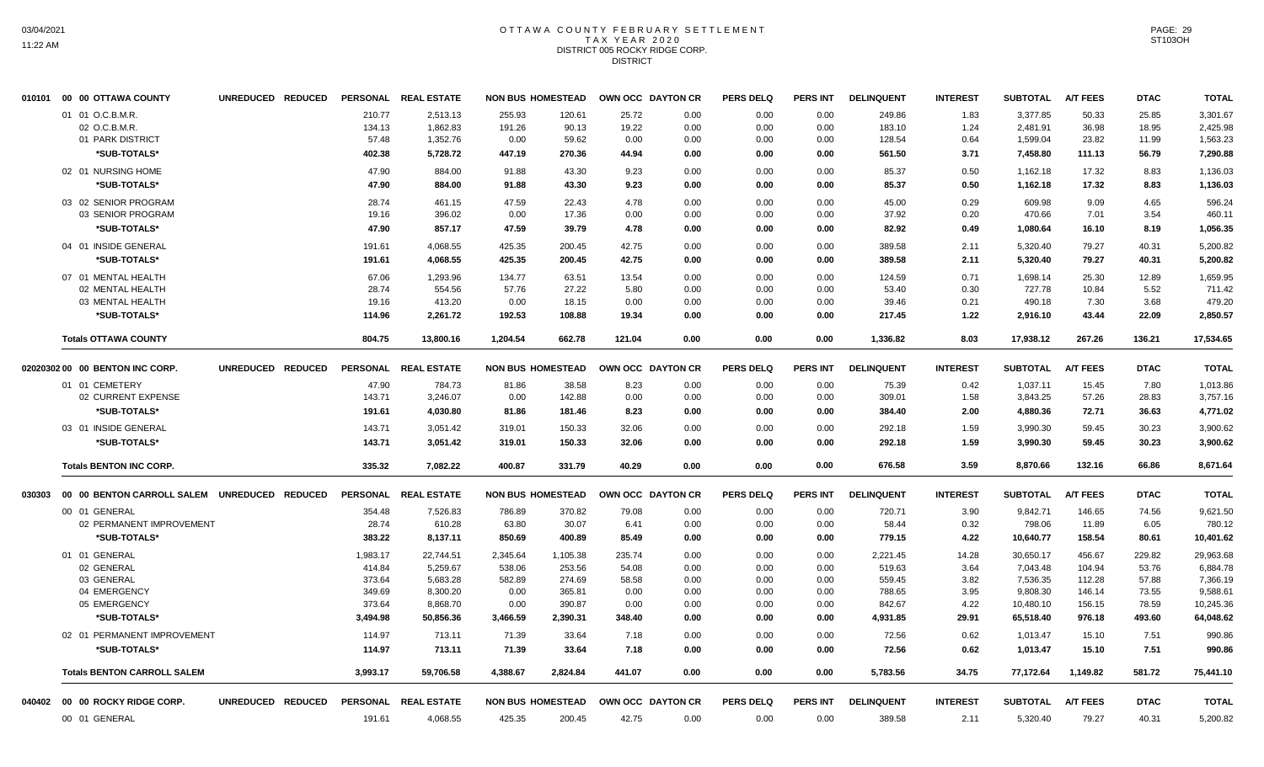## OTTAWA COUNTY FEBRUARY SETTLEMENT TAX YEAR 2020 DISTRICT 005 ROCKY RIDGE CORP. **DISTRICT**

|        | 010101 00 00 OTTAWA COUNTY                   | UNREDUCED REDUCED |          | PERSONAL REAL ESTATE |          | <b>NON BUS HOMESTEAD</b> | OWN OCC DAYTON CR |      | <b>PERS DELQ</b> | <b>PERS INT</b> | <b>DELINQUENT</b> | <b>INTEREST</b> | <b>SUBTOTAL</b> | <b>A/T FEES</b> | <b>DTAC</b> | <b>TOTAL</b> |
|--------|----------------------------------------------|-------------------|----------|----------------------|----------|--------------------------|-------------------|------|------------------|-----------------|-------------------|-----------------|-----------------|-----------------|-------------|--------------|
|        | 01 01 O.C.B.M.R.                             |                   | 210.77   | 2,513.13             | 255.93   | 120.61                   | 25.72             | 0.00 | 0.00             | 0.00            | 249.86            | 1.83            | 3,377.85        | 50.33           | 25.85       | 3,301.67     |
|        | 02 O.C.B.M.R.                                |                   | 134.13   | 1,862.83             | 191.26   | 90.13                    | 19.22             | 0.00 | 0.00             | 0.00            | 183.10            | 1.24            | 2,481.91        | 36.98           | 18.95       | 2,425.98     |
|        | 01 PARK DISTRICT                             |                   | 57.48    | 1,352.76             | 0.00     | 59.62                    | 0.00              | 0.00 | 0.00             | 0.00            | 128.54            | 0.64            | 1,599.04        | 23.82           | 11.99       | 1,563.23     |
|        | *SUB-TOTALS*                                 |                   | 402.38   | 5,728.72             | 447.19   | 270.36                   | 44.94             | 0.00 | 0.00             | 0.00            | 561.50            | 3.71            | 7,458.80        | 111.13          | 56.79       | 7,290.88     |
|        | 02 01 NURSING HOME                           |                   | 47.90    | 884.00               | 91.88    | 43.30                    | 9.23              | 0.00 | 0.00             | 0.00            | 85.37             | 0.50            | 1,162.18        | 17.32           | 8.83        | 1,136.03     |
|        | *SUB-TOTALS*                                 |                   | 47.90    | 884.00               | 91.88    | 43.30                    | 9.23              | 0.00 | 0.00             | 0.00            | 85.37             | 0.50            | 1,162.18        | 17.32           | 8.83        | 1,136.03     |
|        | 03 02 SENIOR PROGRAM                         |                   | 28.74    | 461.15               | 47.59    | 22.43                    | 4.78              | 0.00 | 0.00             | 0.00            | 45.00             | 0.29            | 609.98          | 9.09            | 4.65        | 596.24       |
|        | 03 SENIOR PROGRAM                            |                   | 19.16    | 396.02               | 0.00     | 17.36                    | 0.00              | 0.00 | 0.00             | 0.00            | 37.92             | 0.20            | 470.66          | 7.01            | 3.54        | 460.11       |
|        | *SUB-TOTALS*                                 |                   | 47.90    | 857.17               | 47.59    | 39.79                    | 4.78              | 0.00 | 0.00             | 0.00            | 82.92             | 0.49            | 1,080.64        | 16.10           | 8.19        | 1,056.35     |
|        | 04 01 INSIDE GENERAL                         |                   | 191.61   | 4,068.55             | 425.35   | 200.45                   | 42.75             | 0.00 | 0.00             | 0.00            | 389.58            | 2.11            | 5,320.40        | 79.27           | 40.31       | 5,200.82     |
|        | *SUB-TOTALS*                                 |                   | 191.61   | 4,068.55             | 425.35   | 200.45                   | 42.75             | 0.00 | 0.00             | 0.00            | 389.58            | 2.11            | 5,320.40        | 79.27           | 40.31       | 5,200.82     |
|        | 07 01 MENTAL HEALTH                          |                   | 67.06    | 1.293.96             | 134.77   | 63.51                    | 13.54             | 0.00 | 0.00             | 0.00            | 124.59            | 0.71            | 1,698.14        | 25.30           | 12.89       | 1.659.95     |
|        | 02 MENTAL HEALTH                             |                   | 28.74    | 554.56               | 57.76    | 27.22                    | 5.80              | 0.00 | 0.00             | 0.00            | 53.40             | 0.30            | 727.78          | 10.84           | 5.52        | 711.42       |
|        | 03 MENTAL HEALTH                             |                   | 19.16    | 413.20               | 0.00     | 18.15                    | 0.00              | 0.00 | 0.00             | 0.00            | 39.46             | 0.21            | 490.18          | 7.30            | 3.68        | 479.20       |
|        | *SUB-TOTALS*                                 |                   | 114.96   | 2,261.72             | 192.53   | 108.88                   | 19.34             | 0.00 | 0.00             | 0.00            | 217.45            | 1.22            | 2.916.10        | 43.44           | 22.09       | 2,850.57     |
|        | <b>Totals OTTAWA COUNTY</b>                  |                   | 804.75   | 13,800.16            | 1,204.54 | 662.78                   | 121.04            | 0.00 | 0.00             | 0.00            | 1,336.82          | 8.03            | 17,938.12       | 267.26          | 136.21      | 17,534.65    |
|        | 02020302 00 00 BENTON INC CORP.              | UNREDUCED REDUCED |          | PERSONAL REAL ESTATE |          | <b>NON BUS HOMESTEAD</b> | OWN OCC DAYTON CR |      | <b>PERS DELQ</b> | <b>PERS INT</b> | <b>DELINQUENT</b> | <b>INTEREST</b> | <b>SUBTOTAL</b> | <b>A/T FEES</b> | <b>DTAC</b> | <b>TOTAL</b> |
|        | 01 01 CEMETERY                               |                   | 47.90    | 784.73               | 81.86    | 38.58                    | 8.23              | 0.00 | 0.00             | 0.00            | 75.39             | 0.42            | 1,037.11        | 15.45           | 7.80        | 1,013.86     |
|        | 02 CURRENT EXPENSE                           |                   | 143.71   | 3,246.07             | 0.00     | 142.88                   | 0.00              | 0.00 | 0.00             | 0.00            | 309.01            | 1.58            | 3,843.25        | 57.26           | 28.83       | 3,757.16     |
|        | *SUB-TOTALS*                                 |                   | 191.61   | 4,030.80             | 81.86    | 181.46                   | 8.23              | 0.00 | 0.00             | 0.00            | 384.40            | 2.00            | 4,880.36        | 72.71           | 36.63       | 4,771.02     |
|        | 03 01 INSIDE GENERAL                         |                   | 143.71   | 3,051.42             | 319.01   | 150.33                   | 32.06             | 0.00 | 0.00             | 0.00            | 292.18            | 1.59            | 3,990.30        | 59.45           | 30.23       | 3,900.62     |
|        | *SUB-TOTALS*                                 |                   | 143.71   | 3,051.42             | 319.01   | 150.33                   | 32.06             | 0.00 | 0.00             | 0.00            | 292.18            | 1.59            | 3,990.30        | 59.45           | 30.23       | 3,900.62     |
|        | <b>Totals BENTON INC CORP.</b>               |                   | 335.32   | 7,082.22             | 400.87   | 331.79                   | 40.29             | 0.00 | 0.00             | 0.00            | 676.58            | 3.59            | 8,870.66        | 132.16          | 66.86       | 8,671.64     |
| 030303 | 00 00 BENTON CARROLL SALEM UNREDUCED REDUCED |                   |          | PERSONAL REAL ESTATE |          | <b>NON BUS HOMESTEAD</b> | OWN OCC DAYTON CR |      | <b>PERS DELQ</b> | <b>PERS INT</b> | <b>DELINQUENT</b> | <b>INTEREST</b> | <b>SUBTOTAL</b> | <b>A/T FEES</b> | <b>DTAC</b> | <b>TOTAL</b> |
|        | 00 01 GENERAL                                |                   | 354.48   | 7,526.83             | 786.89   | 370.82                   | 79.08             | 0.00 | 0.00             | 0.00            | 720.71            | 3.90            | 9,842.71        | 146.65          | 74.56       | 9,621.50     |
|        | 02 PERMANENT IMPROVEMENT                     |                   | 28.74    | 610.28               | 63.80    | 30.07                    | 6.41              | 0.00 | 0.00             | 0.00            | 58.44             | 0.32            | 798.06          | 11.89           | 6.05        | 780.12       |
|        | *SUB-TOTALS*                                 |                   | 383.22   | 8,137.11             | 850.69   | 400.89                   | 85.49             | 0.00 | 0.00             | 0.00            | 779.15            | 4.22            | 10,640.77       | 158.54          | 80.61       | 10,401.62    |
|        | 01 01 GENERAL                                |                   | 1,983.17 | 22,744.51            | 2,345.64 | 1,105.38                 | 235.74            | 0.00 | 0.00             | 0.00            | 2,221.45          | 14.28           | 30,650.17       | 456.67          | 229.82      | 29,963.68    |
|        | 02 GENERAL                                   |                   | 414.84   | 5,259.67             | 538.06   | 253.56                   | 54.08             | 0.00 | 0.00             | 0.00            | 519.63            | 3.64            | 7,043.48        | 104.94          | 53.76       | 6,884.78     |
|        | 03 GENERAL                                   |                   | 373.64   | 5,683.28             | 582.89   | 274.69                   | 58.58             | 0.00 | 0.00             | 0.00            | 559.45            | 3.82            | 7,536.35        | 112.28          | 57.88       | 7,366.19     |
|        | 04 EMERGENCY                                 |                   | 349.69   | 8,300.20             | 0.00     | 365.81                   | 0.00              | 0.00 | 0.00             | 0.00            | 788.65            | 3.95            | 9,808.30        | 146.14          | 73.55       | 9,588.61     |
|        | 05 EMERGENCY                                 |                   | 373.64   | 8,868.70             | 0.00     | 390.87                   | 0.00              | 0.00 | 0.00             | 0.00            | 842.67            | 4.22            | 10,480.10       | 156.15          | 78.59       | 10,245.36    |
|        | *SUB-TOTALS*                                 |                   | 3,494.98 | 50,856.36            | 3,466.59 | 2,390.31                 | 348.40            | 0.00 | 0.00             | 0.00            | 4,931.85          | 29.91           | 65,518.40       | 976.18          | 493.60      | 64,048.62    |
|        | 02 01 PERMANENT IMPROVEMENT                  |                   | 114.97   | 713.11               | 71.39    | 33.64                    | 7.18              | 0.00 | 0.00             | 0.00            | 72.56             | 0.62            | 1,013.47        | 15.10           | 7.51        | 990.86       |
|        | *SUB-TOTALS*                                 |                   | 114.97   | 713.11               | 71.39    | 33.64                    | 7.18              | 0.00 | 0.00             | 0.00            | 72.56             | 0.62            | 1,013.47        | 15.10           | 7.51        | 990.86       |
|        | <b>Totals BENTON CARROLL SALEM</b>           |                   | 3,993.17 | 59,706.58            | 4,388.67 | 2,824.84                 | 441.07            | 0.00 | 0.00             | 0.00            | 5,783.56          | 34.75           | 77,172.64       | 1,149.82        | 581.72      | 75,441.10    |
|        | 040402 00 00 ROCKY RIDGE CORP.               | UNREDUCED REDUCED |          | PERSONAL REAL ESTATE |          | <b>NON BUS HOMESTEAD</b> | OWN OCC DAYTON CR |      | <b>PERS DELQ</b> | <b>PERS INT</b> | <b>DELINQUENT</b> | <b>INTEREST</b> | <b>SUBTOTAL</b> | <b>A/T FEES</b> | <b>DTAC</b> | <b>TOTAL</b> |
|        | 00 01 GENERAL                                |                   | 191.61   | 4,068.55             | 425.35   | 200.45                   | 42.75             | 0.00 | 0.00             | 0.00            | 389.58            | 2.11            | 5,320.40        | 79.27           | 40.31       | 5,200.82     |
|        |                                              |                   |          |                      |          |                          |                   |      |                  |                 |                   |                 |                 |                 |             |              |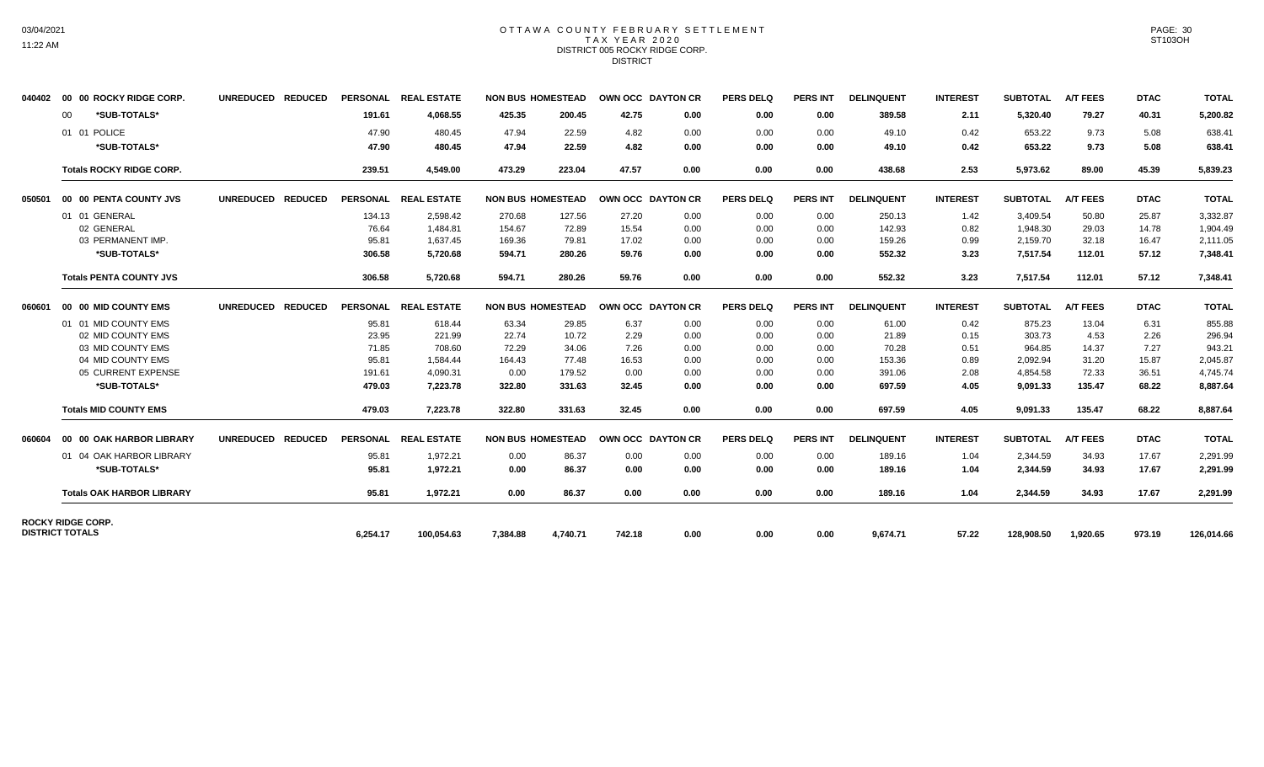# 03/04/2021 11:22 AM

## OTTAWA COUNTY FEBRUARY SETTLEMENT TAX YEAR 2020 DISTRICT 005 ROCKY RIDGE CORP. **DISTRICT**

|                        | 040402 00 00 ROCKY RIDGE CORP.   | UNREDUCED REDUCED |          | PERSONAL REAL ESTATE |          | <b>NON BUS HOMESTEAD</b> | OWN OCC DAYTON CR |      | <b>PERS DELQ</b> | <b>PERS INT</b> | <b>DELINQUENT</b> | <b>INTEREST</b> | <b>SUBTOTAL</b> | <b>A/T FEES</b> | <b>DTAC</b> | <b>TOTAL</b> |
|------------------------|----------------------------------|-------------------|----------|----------------------|----------|--------------------------|-------------------|------|------------------|-----------------|-------------------|-----------------|-----------------|-----------------|-------------|--------------|
|                        | *SUB-TOTALS*<br>00               |                   | 191.61   | 4,068.55             | 425.35   | 200.45                   | 42.75             | 0.00 | 0.00             | 0.00            | 389.58            | 2.11            | 5,320.40        | 79.27           | 40.31       | 5,200.82     |
|                        | 01 01 POLICE                     |                   | 47.90    | 480.45               | 47.94    | 22.59                    | 4.82              | 0.00 | 0.00             | 0.00            | 49.10             | 0.42            | 653.22          | 9.73            | 5.08        | 638.41       |
|                        | *SUB-TOTALS*                     |                   | 47.90    | 480.45               | 47.94    | 22.59                    | 4.82              | 0.00 | 0.00             | 0.00            | 49.10             | 0.42            | 653.22          | 9.73            | 5.08        | 638.41       |
|                        | <b>Totals ROCKY RIDGE CORP.</b>  |                   | 239.51   | 4,549.00             | 473.29   | 223.04                   | 47.57             | 0.00 | 0.00             | 0.00            | 438.68            | 2.53            | 5,973.62        | 89.00           | 45.39       | 5,839.23     |
| 050501                 | 00 00 PENTA COUNTY JVS           | UNREDUCED REDUCED |          | PERSONAL REAL ESTATE |          | <b>NON BUS HOMESTEAD</b> | OWN OCC DAYTON CR |      | <b>PERS DELQ</b> | <b>PERS INT</b> | <b>DELINQUENT</b> | <b>INTEREST</b> | <b>SUBTOTAL</b> | <b>A/T FEES</b> | <b>DTAC</b> | <b>TOTAL</b> |
|                        | 01 01 GENERAL                    |                   | 134.13   | 2,598.42             | 270.68   | 127.56                   | 27.20             | 0.00 | 0.00             | 0.00            | 250.13            | 1.42            | 3,409.54        | 50.80           | 25.87       | 3,332.87     |
|                        | 02 GENERAL                       |                   | 76.64    | 1,484.81             | 154.67   | 72.89                    | 15.54             | 0.00 | 0.00             | 0.00            | 142.93            | 0.82            | 1,948.30        | 29.03           | 14.78       | 1,904.49     |
|                        | 03 PERMANENT IMP.                |                   | 95.81    | 1,637.45             | 169.36   | 79.81                    | 17.02             | 0.00 | 0.00             | 0.00            | 159.26            | 0.99            | 2,159.70        | 32.18           | 16.47       | 2,111.05     |
|                        | *SUB-TOTALS*                     |                   | 306.58   | 5,720.68             | 594.71   | 280.26                   | 59.76             | 0.00 | 0.00             | 0.00            | 552.32            | 3.23            | 7,517.54        | 112.01          | 57.12       | 7,348.41     |
|                        | <b>Totals PENTA COUNTY JVS</b>   |                   | 306.58   | 5,720.68             | 594.71   | 280.26                   | 59.76             | 0.00 | 0.00             | 0.00            | 552.32            | 3.23            | 7.517.54        | 112.01          | 57.12       | 7.348.41     |
| 060601                 | 00 00 MID COUNTY EMS             | UNREDUCED REDUCED |          | PERSONAL REAL ESTATE |          | <b>NON BUS HOMESTEAD</b> | OWN OCC DAYTON CR |      | PERS DELO        | <b>PERS INT</b> | <b>DELINQUENT</b> | <b>INTEREST</b> | <b>SUBTOTAL</b> | <b>A/T FEES</b> | <b>DTAC</b> | <b>TOTAL</b> |
|                        | 01 01 MID COUNTY EMS             |                   | 95.81    | 618.44               | 63.34    | 29.85                    | 6.37              | 0.00 | 0.00             | 0.00            | 61.00             | 0.42            | 875.23          | 13.04           | 6.31        | 855.88       |
|                        | 02 MID COUNTY EMS                |                   | 23.95    | 221.99               | 22.74    | 10.72                    | 2.29              | 0.00 | 0.00             | 0.00            | 21.89             | 0.15            | 303.73          | 4.53            | 2.26        | 296.94       |
|                        | 03 MID COUNTY EMS                |                   | 71.85    | 708.60               | 72.29    | 34.06                    | 7.26              | 0.00 | 0.00             | 0.00            | 70.28             | 0.51            | 964.85          | 14.37           | 7.27        | 943.21       |
|                        | 04 MID COUNTY EMS                |                   | 95.81    | 1.584.44             | 164.43   | 77.48                    | 16.53             | 0.00 | 0.00             | 0.00            | 153.36            | 0.89            | 2,092.94        | 31.20           | 15.87       | 2.045.87     |
|                        | 05 CURRENT EXPENSE               |                   | 191.61   | 4.090.31             | 0.00     | 179.52                   | 0.00              | 0.00 | 0.00             | 0.00            | 391.06            | 2.08            | 4,854.58        | 72.33           | 36.51       | 4,745.74     |
|                        | *SUB-TOTALS*                     |                   | 479.03   | 7.223.78             | 322.80   | 331.63                   | 32.45             | 0.00 | 0.00             | 0.00            | 697.59            | 4.05            | 9.091.33        | 135.47          | 68.22       | 8,887.64     |
|                        | <b>Totals MID COUNTY EMS</b>     |                   | 479.03   | 7,223.78             | 322.80   | 331.63                   | 32.45             | 0.00 | 0.00             | 0.00            | 697.59            | 4.05            | 9,091.33        | 135.47          | 68.22       | 8,887.64     |
| 060604                 | 00 00 OAK HARBOR LIBRARY         | UNREDUCED REDUCED |          | PERSONAL REAL ESTATE |          | <b>NON BUS HOMESTEAD</b> | OWN OCC DAYTON CR |      | <b>PERS DELQ</b> | <b>PERS INT</b> | <b>DELINQUENT</b> | <b>INTEREST</b> | <b>SUBTOTAL</b> | <b>A/T FEES</b> | <b>DTAC</b> | <b>TOTAL</b> |
|                        | 01 04 OAK HARBOR LIBRARY         |                   | 95.81    | 1,972.21             | 0.00     | 86.37                    | 0.00              | 0.00 | 0.00             | 0.00            | 189.16            | 1.04            | 2,344.59        | 34.93           | 17.67       | 2,291.99     |
|                        | *SUB-TOTALS*                     |                   | 95.81    | 1,972.21             | 0.00     | 86.37                    | 0.00              | 0.00 | 0.00             | 0.00            | 189.16            | 1.04            | 2,344.59        | 34.93           | 17.67       | 2,291.99     |
|                        | <b>Totals OAK HARBOR LIBRARY</b> |                   | 95.81    | 1,972.21             | 0.00     | 86.37                    | 0.00              | 0.00 | 0.00             | 0.00            | 189.16            | 1.04            | 2,344.59        | 34.93           | 17.67       | 2,291.99     |
| <b>DISTRICT TOTALS</b> | <b>ROCKY RIDGE CORP.</b>         |                   |          |                      |          |                          |                   |      |                  |                 |                   |                 |                 |                 |             | 126,014.66   |
|                        |                                  |                   | 6,254.17 | 100,054.63           | 7,384.88 | 4,740.71                 | 742.18            | 0.00 | 0.00             | 0.00            | 9,674.71          | 57.22           | 128,908.50      | 1,920.65        |             | 973.19       |

PAGE: 30 ST103OH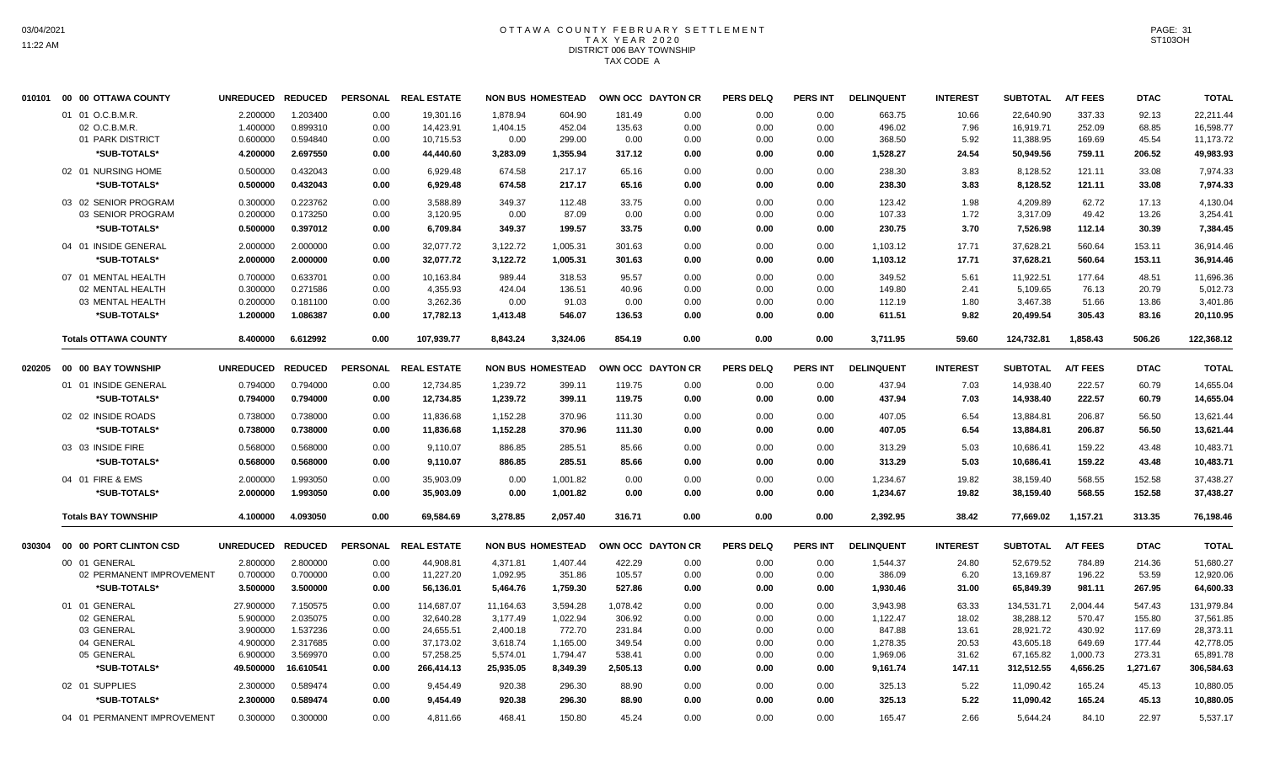## OTTAWA COUNTY FEBRUARY SETTLEMENT TAX YEAR 2020 DISTRICT 006 BAY TOWNSHIP TAX CODE A

|        | 010101 00 00 OTTAWA COUNTY  | <b>UNREDUCED</b>  | <b>REDUCED</b> |      | PERSONAL REAL ESTATE |           | <b>NON BUS HOMESTEAD</b> |          | OWN OCC DAYTON CR | <b>PERS DELQ</b> | PERS INT        | <b>DELINQUENT</b> | <b>INTEREST</b> | <b>SUBTOTAL</b> | <b>A/T FEES</b> | <b>DTAC</b> | <b>TOTAL</b> |
|--------|-----------------------------|-------------------|----------------|------|----------------------|-----------|--------------------------|----------|-------------------|------------------|-----------------|-------------------|-----------------|-----------------|-----------------|-------------|--------------|
|        | 01 01 O.C.B.M.R.            | 2.200000          | 1.203400       | 0.00 | 19.301.16            | 1,878.94  | 604.90                   | 181.49   | 0.00              | 0.00             | 0.00            | 663.75            | 10.66           | 22,640.90       | 337.33          | 92.13       | 22,211.44    |
|        | 02 O.C.B.M.R                | 1.400000          | 0.899310       | 0.00 | 14,423.91            | 1,404.15  | 452.04                   | 135.63   | 0.00              | 0.00             | 0.00            | 496.02            | 7.96            | 16,919.71       | 252.09          | 68.85       | 16,598.77    |
|        | 01 PARK DISTRICT            | 0.600000          | 0.594840       | 0.00 | 10,715.53            | 0.00      | 299.00                   | 0.00     | 0.00              | 0.00             | 0.00            | 368.50            | 5.92            | 11,388.95       | 169.69          | 45.54       | 11,173.72    |
|        | *SUB-TOTALS*                | 4.200000          | 2.697550       | 0.00 | 44,440.60            | 3,283.09  | 1,355.94                 | 317.12   | 0.00              | 0.00             | 0.00            | 1,528.27          | 24.54           | 50,949.56       | 759.11          | 206.52      | 49,983.93    |
|        | 02 01 NURSING HOME          | 0.500000          | 0.432043       | 0.00 | 6,929.48             | 674.58    | 217.17                   | 65.16    | 0.00              | 0.00             | 0.00            | 238.30            | 3.83            | 8,128.52        | 121.11          | 33.08       | 7,974.33     |
|        | *SUB-TOTALS*                | 0.500000          | 0.432043       | 0.00 | 6,929.48             | 674.58    | 217.17                   | 65.16    | 0.00              | 0.00             | 0.00            | 238.30            | 3.83            | 8,128.52        | 121.11          | 33.08       | 7,974.33     |
|        |                             |                   |                |      |                      |           |                          |          |                   |                  |                 |                   |                 |                 |                 |             |              |
|        | 03 02 SENIOR PROGRAM        | 0.300000          | 0.223762       | 0.00 | 3,588.89             | 349.37    | 112.48                   | 33.75    | 0.00              | 0.00             | 0.00            | 123.42            | 1.98            | 4,209.89        | 62.72           | 17.13       | 4,130.04     |
|        | 03 SENIOR PROGRAM           | 0.200000          | 0.173250       | 0.00 | 3,120.95             | 0.00      | 87.09                    | 0.00     | 0.00              | 0.00             | 0.00            | 107.33            | 1.72            | 3,317.09        | 49.42           | 13.26       | 3,254.41     |
|        | *SUB-TOTALS*                | 0.500000          | 0.397012       | 0.00 | 6,709.84             | 349.37    | 199.57                   | 33.75    | 0.00              | 0.00             | 0.00            | 230.75            | 3.70            | 7,526.98        | 112.14          | 30.39       | 7,384.45     |
|        | 04 01 INSIDE GENERAL        | 2.000000          | 2.000000       | 0.00 | 32,077.72            | 3,122.72  | 1,005.31                 | 301.63   | 0.00              | 0.00             | 0.00            | 1,103.12          | 17.71           | 37,628.21       | 560.64          | 153.11      | 36.914.46    |
|        | *SUB-TOTALS*                | 2.000000          | 2.000000       | 0.00 | 32,077.72            | 3,122.72  | 1.005.31                 | 301.63   | 0.00              | 0.00             | 0.00            | 1,103.12          | 17.71           | 37,628.21       | 560.64          | 153.11      | 36,914.46    |
|        | 07 01 MENTAL HEALTH         | 0.700000          | 0.633701       | 0.00 | 10,163.84            | 989.44    | 318.53                   | 95.57    | 0.00              | 0.00             | 0.00            | 349.52            | 5.61            | 11,922.51       | 177.64          | 48.51       | 11,696.36    |
|        | 02 MENTAL HEALTH            | 0.300000          | 0.271586       | 0.00 | 4,355.93             | 424.04    | 136.51                   | 40.96    | 0.00              | 0.00             | 0.00            | 149.80            | 2.41            | 5,109.65        | 76.13           | 20.79       | 5,012.73     |
|        | 03 MENTAL HEALTH            | 0.200000          | 0.181100       | 0.00 | 3,262.36             | 0.00      | 91.03                    | 0.00     | 0.00              | 0.00             | 0.00            | 112.19            | 1.80            | 3,467.38        | 51.66           | 13.86       | 3,401.86     |
|        | *SUB-TOTALS*                | 1.200000          | 1.086387       | 0.00 | 17,782.13            | 1,413.48  | 546.07                   | 136.53   | 0.00              | 0.00             | 0.00            | 611.51            | 9.82            | 20,499.54       | 305.43          | 83.16       | 20,110.95    |
|        | <b>Totals OTTAWA COUNTY</b> | 8.400000          | 6.612992       | 0.00 | 107,939.77           | 8,843.24  | 3,324.06                 | 854.19   | 0.00              | 0.00             | 0.00            | 3,711.95          | 59.60           | 124,732.81      | 1,858.43        | 506.26      | 122,368.12   |
| 020205 | 00 00 BAY TOWNSHIP          | UNREDUCED REDUCED |                |      | PERSONAL REAL ESTATE |           | <b>NON BUS HOMESTEAD</b> |          | OWN OCC DAYTON CR | <b>PERS DELQ</b> | <b>PERS INT</b> | <b>DELINQUENT</b> | <b>INTEREST</b> | <b>SUBTOTAL</b> | <b>A/T FEES</b> | <b>DTAC</b> | <b>TOTAL</b> |
|        | 01 01 INSIDE GENERAL        | 0.794000          | 0.794000       | 0.00 | 12,734.85            | 1,239.72  | 399.11                   | 119.75   | 0.00              | 0.00             | 0.00            | 437.94            | 7.03            | 14,938.40       | 222.57          | 60.79       | 14,655.04    |
|        |                             |                   |                |      |                      |           |                          |          |                   |                  |                 |                   |                 |                 |                 |             |              |
|        | *SUB-TOTALS*                | 0.794000          | 0.794000       | 0.00 | 12,734.85            | 1,239.72  | 399.11                   | 119.75   | 0.00              | 0.00             | 0.00            | 437.94            | 7.03            | 14,938.40       | 222.57          | 60.79       | 14,655.04    |
|        | 02 02 INSIDE ROADS          | 0.738000          | 0.738000       | 0.00 | 11,836.68            | 1,152.28  | 370.96                   | 111.30   | 0.00              | 0.00             | 0.00            | 407.05            | 6.54            | 13,884.81       | 206.87          | 56.50       | 13,621.44    |
|        | *SUB-TOTALS*                | 0.738000          | 0.738000       | 0.00 | 11,836.68            | 1,152.28  | 370.96                   | 111.30   | 0.00              | 0.00             | 0.00            | 407.05            | 6.54            | 13,884.81       | 206.87          | 56.50       | 13,621.44    |
|        | 03 03 INSIDE FIRE           | 0.568000          | 0.568000       | 0.00 | 9,110.07             | 886.85    | 285.51                   | 85.66    | 0.00              | 0.00             | 0.00            | 313.29            | 5.03            | 10,686.41       | 159.22          | 43.48       | 10,483.71    |
|        | *SUB-TOTALS*                | 0.568000          | 0.568000       | 0.00 | 9,110.07             | 886.85    | 285.51                   | 85.66    | 0.00              | 0.00             | 0.00            | 313.29            | 5.03            | 10,686.41       | 159.22          | 43.48       | 10,483.71    |
|        | 04 01 FIRE & EMS            | 2.000000          | 1.993050       | 0.00 | 35,903.09            | 0.00      | 1,001.82                 | 0.00     | 0.00              | 0.00             | 0.00            | 1,234.67          | 19.82           | 38,159.40       | 568.55          | 152.58      | 37,438.27    |
|        | *SUB-TOTALS*                | 2.000000          | 1.993050       | 0.00 | 35,903.09            | 0.00      | 1,001.82                 | 0.00     | 0.00              | 0.00             | 0.00            | 1,234.67          | 19.82           | 38,159.40       | 568.55          | 152.58      | 37,438.27    |
|        | <b>Totals BAY TOWNSHIP</b>  | 4.100000          | 4.093050       | 0.00 | 69,584.69            | 3,278.85  | 2,057.40                 | 316.71   | 0.00              | 0.00             | 0.00            | 2,392.95          | 38.42           | 77,669.02       | 1,157.21        | 313.35      | 76,198.46    |
| 030304 | 00 00 PORT CLINTON CSD      | UNREDUCED REDUCED |                |      | PERSONAL REAL ESTATE |           | <b>NON BUS HOMESTEAD</b> |          | OWN OCC DAYTON CR | <b>PERS DELQ</b> | PERS INT        | <b>DELINQUENT</b> | <b>INTEREST</b> | <b>SUBTOTAL</b> | <b>A/T FEES</b> | <b>DTAC</b> | <b>TOTAL</b> |
|        | 00 01 GENERAL               | 2.800000          | 2.800000       | 0.00 | 44,908.81            | 4,371.81  | 1,407.44                 | 422.29   | 0.00              | 0.00             | 0.00            | 1,544.37          | 24.80           | 52,679.52       | 784.89          | 214.36      | 51,680.27    |
|        | 02 PERMANENT IMPROVEMENT    | 0.700000          | 0.700000       | 0.00 | 11,227.20            | 1,092.95  | 351.86                   | 105.57   | 0.00              | 0.00             | 0.00            | 386.09            | 6.20            | 13,169.87       | 196.22          | 53.59       | 12,920.06    |
|        | *SUB-TOTALS*                | 3.500000          | 3.500000       | 0.00 | 56,136.01            | 5,464.76  | 1,759.30                 | 527.86   | 0.00              | 0.00             | 0.00            | 1,930.46          | 31.00           | 65,849.39       | 981.11          | 267.95      | 64,600.33    |
|        | 01 01 GENERAL               | 27.900000         | 7.150575       | 0.00 | 114,687.07           | 11,164.63 | 3,594.28                 | 1,078.42 | 0.00              | 0.00             | 0.00            | 3,943.98          | 63.33           | 134,531.71      | 2,004.44        | 547.43      | 131,979.84   |
|        | 02 GENERAL                  | 5.900000          | 2.035075       | 0.00 | 32,640.28            | 3,177.49  | 1,022.94                 | 306.92   | 0.00              | 0.00             | 0.00            | 1,122.47          | 18.02           | 38,288.12       | 570.47          | 155.80      | 37,561.85    |
|        | 03 GENERAL                  | 3.900000          | 1.537236       | 0.00 | 24,655.51            | 2,400.18  | 772.70                   | 231.84   | 0.00              | 0.00             | 0.00            | 847.88            | 13.61           | 28,921.72       | 430.92          | 117.69      | 28,373.11    |
|        | 04 GENERAL                  | 4.900000          | 2.317685       | 0.00 | 37,173.02            | 3,618.74  | 1,165.00                 | 349.54   | 0.00              | 0.00             | 0.00            | 1,278.35          | 20.53           | 43,605.18       | 649.69          | 177.44      | 42,778.05    |
|        | 05 GENERAL                  | 6.900000          | 3.569970       | 0.00 | 57,258.25            | 5,574.01  | 1,794.47                 | 538.41   | 0.00              | 0.00             | 0.00            | 1,969.06          | 31.62           | 67,165.82       | 1,000.73        | 273.31      | 65,891.78    |
|        | *SUB-TOTALS*                | 49.500000         | 16.610541      | 0.00 | 266,414.13           | 25,935.05 | 8,349.39                 | 2,505.13 | 0.00              | 0.00             | 0.00            | 9,161.74          | 147.11          | 312,512.55      | 4,656.25        | 1,271.67    | 306,584.63   |
|        | 02 01 SUPPLIES              | 2.300000          | 0.589474       | 0.00 | 9,454.49             | 920.38    | 296.30                   | 88.90    | 0.00              | 0.00             | 0.00            | 325.13            | 5.22            | 11,090.42       | 165.24          | 45.13       | 10,880.05    |
|        | *SUB-TOTALS*                | 2.300000          | 0.589474       | 0.00 | 9,454.49             | 920.38    | 296.30                   | 88.90    | 0.00              | 0.00             | 0.00            | 325.13            | 5.22            | 11,090.42       | 165.24          | 45.13       | 10,880.05    |
|        | 04 01 PERMANENT IMPROVEMENT | 0.300000          | 0.300000       | 0.00 | 4,811.66             | 468.41    | 150.80                   | 45.24    | 0.00              | 0.00             | 0.00            | 165.47            | 2.66            | 5,644.24        | 84.10           | 22.97       | 5,537.17     |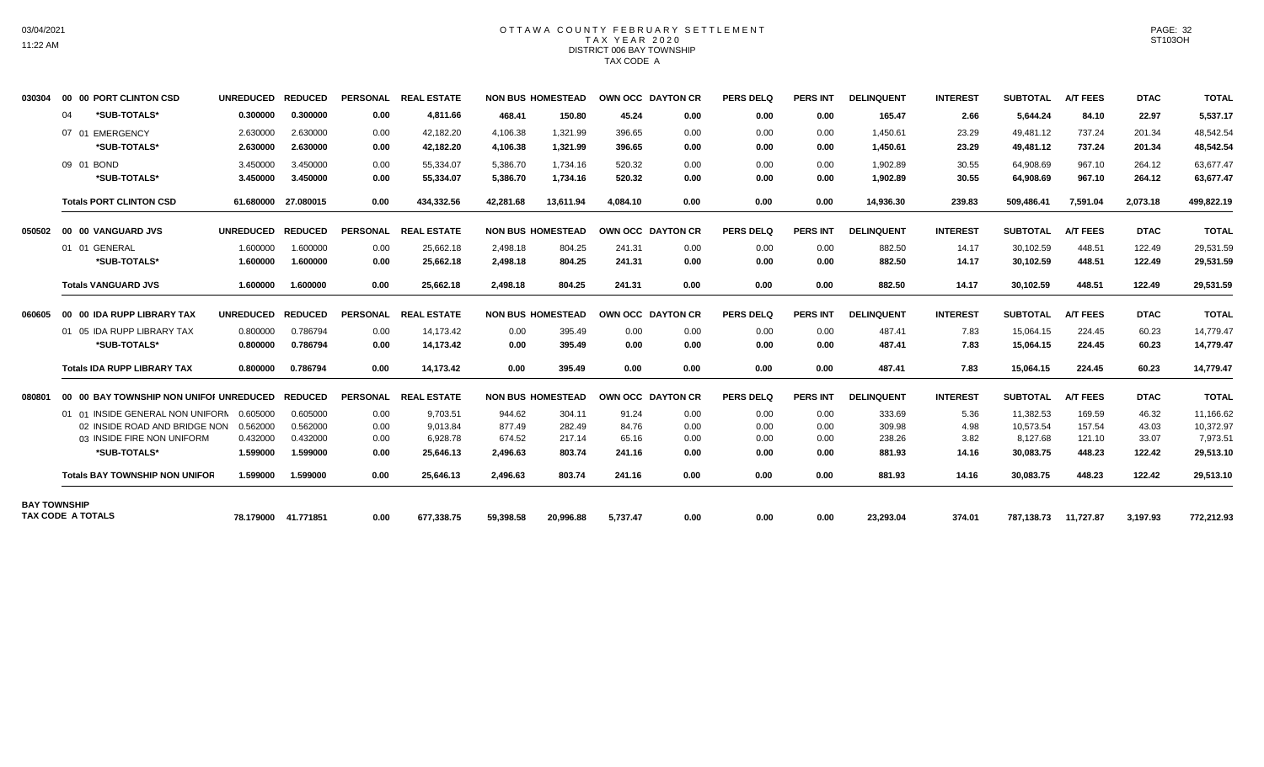## OTTAWA COUNTY FEBRUARY SETTLEMENT TAX YEAR 2020 DISTRICT 006 BAY TOWNSHIP TAX CODE A

| 030304 | 00 00 PORT CLINTON CSD                  | UNREDUCED REDUCED |                     | <b>PERSONAL</b> | <b>REAL ESTATE</b> |           | <b>NON BUS HOMESTEAD</b> |          | OWN OCC DAYTON CR | <b>PERS DELQ</b> | <b>PERS INT</b> | <b>DELINQUENT</b> | <b>INTEREST</b> | <b>SUBTOTAL</b> | <b>A/T FEES</b> | <b>DTAC</b> | <b>TOTAL</b> |
|--------|-----------------------------------------|-------------------|---------------------|-----------------|--------------------|-----------|--------------------------|----------|-------------------|------------------|-----------------|-------------------|-----------------|-----------------|-----------------|-------------|--------------|
|        | *SUB-TOTALS*<br>04                      | 0.300000          | 0.300000            | 0.00            | 4,811.66           | 468.41    | 150.80                   | 45.24    | 0.00              | 0.00             | 0.00            | 165.47            | 2.66            | 5,644.24        | 84.10           | 22.97       | 5,537.17     |
|        | 07 01 EMERGENCY                         | 2.630000          | 2.630000            | 0.00            | 42.182.20          | 4,106.38  | 1.321.99                 | 396.65   | 0.00              | 0.00             | 0.00            | 1,450.61          | 23.29           | 49.481.12       | 737.24          | 201.34      | 48,542.54    |
|        | *SUB-TOTALS*                            | 2.630000          | 2.630000            | 0.00            | 42.182.20          | 4,106.38  | 1,321.99                 | 396.65   | 0.00              | 0.00             | 0.00            | 1,450.61          | 23.29           | 49,481.12       | 737.24          | 201.34      | 48,542.54    |
|        | 09 01 BOND                              | 3.450000          | 3.450000            | 0.00            | 55,334.07          | 5,386.70  | 1,734.16                 | 520.32   | 0.00              | 0.00             | 0.00            | 1,902.89          | 30.55           | 64,908.69       | 967.10          | 264.12      | 63,677.47    |
|        | *SUB-TOTALS*                            | 3.450000          | 3.450000            | 0.00            | 55,334.07          | 5,386.70  | 1,734.16                 | 520.32   | 0.00              | 0.00             | 0.00            | 1,902.89          | 30.55           | 64,908.69       | 967.10          | 264.12      | 63,677.47    |
|        | <b>Totals PORT CLINTON CSD</b>          |                   | 61.680000 27.080015 | 0.00            | 434,332.56         | 42,281.68 | 13,611.94                | 4.084.10 | 0.00              | 0.00             | 0.00            | 14,936.30         | 239.83          | 509,486.41      | 7,591.04        | 2,073.18    | 499,822.19   |
| 050502 | 00 00 VANGUARD JVS                      | UNREDUCED REDUCED |                     | <b>PERSONAL</b> | <b>REAL ESTATE</b> |           | <b>NON BUS HOMESTEAD</b> |          | OWN OCC DAYTON CR | <b>PERS DELQ</b> | <b>PERS INT</b> | <b>DELINQUENT</b> | <b>INTEREST</b> | <b>SUBTOTAL</b> | <b>A/T FEES</b> | <b>DTAC</b> | <b>TOTAL</b> |
|        | 01 01 GENERAL                           | 1.600000          | 1.600000            | 0.00            | 25,662.18          | 2,498.18  | 804.25                   | 241.31   | 0.00              | 0.00             | 0.00            | 882.50            | 14.17           | 30,102.59       | 448.51          | 122.49      | 29,531.59    |
|        | *SUB-TOTALS*                            | 1.600000          | 1.600000            | 0.00            | 25,662.18          | 2,498.18  | 804.25                   | 241.31   | 0.00              | 0.00             | 0.00            | 882.50            | 14.17           | 30,102.59       | 448.51          | 122.49      | 29,531.59    |
|        | <b>Totals VANGUARD JVS</b>              | 1.600000          | 1.600000            | 0.00            | 25.662.18          | 2.498.18  | 804.25                   | 241.31   | 0.00              | 0.00             | 0.00            | 882.50            | 14.17           | 30.102.59       | 448.51          | 122.49      | 29,531.59    |
| 060605 | 00 00 IDA RUPP LIBRARY TAX              | <b>UNREDUCED</b>  | <b>REDUCED</b>      | <b>PERSONAL</b> | <b>REAL ESTATE</b> |           | <b>NON BUS HOMESTEAD</b> |          | OWN OCC DAYTON CR | <b>PERS DELQ</b> | <b>PERS INT</b> | <b>DELINQUENT</b> | <b>INTEREST</b> | <b>SUBTOTAL</b> | <b>A/T FEES</b> | <b>DTAC</b> | <b>TOTAL</b> |
|        | 01 05 IDA RUPP LIBRARY TAX              | 0.800000          | 0.786794            | 0.00            | 14,173.42          | 0.00      | 395.49                   | 0.00     | 0.00              | 0.00             | 0.00            | 487.41            | 7.83            | 15,064.15       | 224.45          | 60.23       | 14,779.47    |
|        | *SUB-TOTALS*                            | 0.800000          | 0.786794            | 0.00            | 14,173.42          | 0.00      | 395.49                   | 0.00     | 0.00              | 0.00             | 0.00            | 487.41            | 7.83            | 15,064.15       | 224.45          | 60.23       | 14,779.47    |
|        | <b>Totals IDA RUPP LIBRARY TAX</b>      | 0.800000          | 0.786794            | 0.00            | 14,173.42          | 0.00      | 395.49                   | 0.00     | 0.00              | 0.00             | 0.00            | 487.41            | 7.83            | 15,064.15       | 224.45          | 60.23       | 14,779.47    |
| 080801 | 00 00 BAY TOWNSHIP NON UNIFOI UNREDUCED |                   | <b>REDUCED</b>      | <b>PERSONAL</b> | <b>REAL ESTATE</b> |           | <b>NON BUS HOMESTEAD</b> |          | OWN OCC DAYTON CR | <b>PERS DELQ</b> | <b>PERS INT</b> | <b>DELINQUENT</b> | <b>INTEREST</b> | <b>SUBTOTAL</b> | <b>A/T FEES</b> | <b>DTAC</b> | <b>TOTAL</b> |
|        | 01 01 INSIDE GENERAL NON UNIFORN        | 0.605000          | 0.605000            | 0.00            | 9.703.51           | 944.62    | 304.11                   | 91.24    | 0.00              | 0.00             | 0.00            | 333.69            | 5.36            | 11.382.53       | 169.59          | 46.32       | 11,166.62    |
|        | 02 INSIDE ROAD AND BRIDGE NON           | 0.562000          | 0.562000            | 0.00            | 9,013.84           | 877.49    | 282.49                   | 84.76    | 0.00              | 0.00             | 0.00            | 309.98            | 4.98            | 10,573.54       | 157.54          | 43.03       | 10,372.97    |
|        | 03 INSIDE FIRE NON UNIFORM              | 0.432000          | 0.432000            | 0.00            | 6.928.78           | 674.52    | 217.14                   | 65.16    | 0.00              | 0.00             | 0.00            | 238.26            | 3.82            | 8,127.68        | 121.10          | 33.07       | 7,973.51     |
|        | *SUB-TOTALS*                            | 1.599000          | 1.599000            | 0.00            | 25,646.13          | 2,496.63  | 803.74                   | 241.16   | 0.00              | 0.00             | 0.00            | 881.93            | 14.16           | 30,083.75       | 448.23          | 122.42      | 29,513.10    |
|        | <b>Totals BAY TOWNSHIP NON UNIFOR</b>   | 1.599000          | 1.599000            | 0.00            | 25,646.13          | 2,496.63  | 803.74                   | 241.16   | 0.00              | 0.00             | 0.00            | 881.93            | 14.16           | 30,083.75       | 448.23          | 122.42      | 29,513.10    |
|        | <b>BAY TOWNSHIP</b>                     |                   |                     |                 |                    |           |                          |          |                   |                  |                 |                   |                 |                 |                 |             |              |
|        | TAX CODE A TOTALS                       |                   | 78.179000 41.771851 | 0.00            | 677,338.75         | 59,398.58 | 20,996.88                | 5,737.47 | 0.00              | 0.00             | 0.00            | 23,293.04         | 374.01          | 787,138.73      | 11,727.87       | 3,197.93    | 772,212.93   |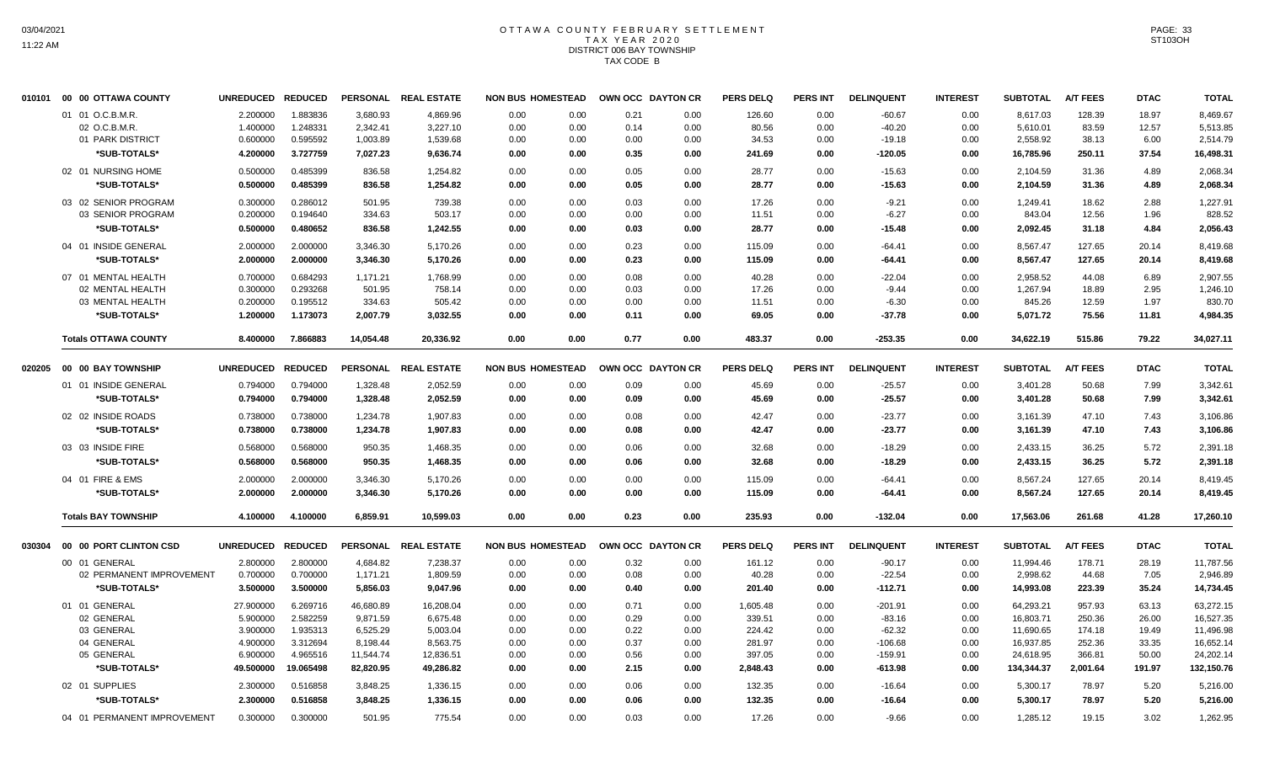#### OTTAWA COUNTY FEBRUARY SETTLEMENT T A X Y E A R 2 0 2 0 DISTRICT 006 BAY TOWNSHIP TAX CODE B

| 010101 | 00 00 OTTAWA COUNTY         | <b>UNREDUCED</b> | <b>REDUCED</b> | <b>PERSONAL</b> | <b>REAL ESTATE</b> | <b>NON BUS HOMESTEAD</b> |      |      | OWN OCC DAYTON CR | <b>PERS DELQ</b> | <b>PERS INT</b> | <b>DELINQUENT</b> | <b>INTEREST</b> | <b>SUBTOTAL</b> | <b>A/T FEES</b> | <b>DTAC</b> | <b>TOTAL</b> |
|--------|-----------------------------|------------------|----------------|-----------------|--------------------|--------------------------|------|------|-------------------|------------------|-----------------|-------------------|-----------------|-----------------|-----------------|-------------|--------------|
|        | 01 01 O.C.B.M.R.            | 2.200000         | 1.883836       | 3,680.93        | 4,869.96           | 0.00                     | 0.00 | 0.21 | 0.00              | 126.60           | 0.00            | $-60.67$          | 0.00            | 8.617.03        | 128.39          | 18.97       | 8,469.67     |
|        | 02 O.C.B.M.R.               | 1.400000         | 1.248331       | 2,342.41        | 3,227.10           | 0.00                     | 0.00 | 0.14 | 0.00              | 80.56            | 0.00            | $-40.20$          | 0.00            | 5,610.01        | 83.59           | 12.57       | 5,513.85     |
|        | 01 PARK DISTRICT            | 0.600000         | 0.595592       | 1,003.89        | 1,539.68           | 0.00                     | 0.00 | 0.00 | 0.00              | 34.53            | 0.00            | $-19.18$          | 0.00            | 2,558.92        | 38.13           | 6.00        | 2,514.79     |
|        | *SUB-TOTALS*                | 4.200000         | 3.727759       | 7,027.23        | 9,636.74           | 0.00                     | 0.00 | 0.35 | 0.00              | 241.69           | 0.00            | $-120.05$         | 0.00            | 16,785.96       | 250.11          | 37.54       | 16,498.31    |
|        | 02 01 NURSING HOME          | 0.500000         | 0.485399       | 836.58          | 1,254.82           | 0.00                     | 0.00 | 0.05 | 0.00              | 28.77            | 0.00            | $-15.63$          | 0.00            | 2,104.59        | 31.36           | 4.89        | 2,068.34     |
|        | *SUB-TOTALS*                | 0.500000         | 0.485399       | 836.58          | 1,254.82           | 0.00                     | 0.00 | 0.05 | 0.00              | 28.77            | 0.00            | $-15.63$          | 0.00            | 2,104.59        | 31.36           | 4.89        | 2.068.34     |
|        | 03 02 SENIOR PROGRAM        | 0.300000         | 0.286012       | 501.95          | 739.38             | 0.00                     | 0.00 | 0.03 | 0.00              | 17.26            | 0.00            | $-9.21$           | 0.00            | 1,249.41        | 18.62           | 2.88        | 1,227.91     |
|        | 03 SENIOR PROGRAM           | 0.200000         | 0.194640       | 334.63          | 503.17             | 0.00                     | 0.00 | 0.00 | 0.00              | 11.51            | 0.00            | $-6.27$           | 0.00            | 843.04          | 12.56           | 1.96        | 828.52       |
|        | *SUB-TOTALS*                | 0.500000         | 0.480652       | 836.58          | 1,242.55           | 0.00                     | 0.00 | 0.03 | 0.00              | 28.77            | 0.00            | $-15.48$          | 0.00            | 2,092.45        | 31.18           | 4.84        | 2,056.43     |
|        | 04 01 INSIDE GENERAL        | 2.000000         | 2.000000       | 3,346.30        | 5,170.26           | 0.00                     | 0.00 | 0.23 | 0.00              | 115.09           | 0.00            | $-64.41$          | 0.00            | 8,567.47        | 127.65          | 20.14       | 8,419.68     |
|        | *SUB-TOTALS*                | 2.000000         | 2.000000       | 3,346.30        | 5,170.26           | 0.00                     | 0.00 | 0.23 | 0.00              | 115.09           | 0.00            | $-64.41$          | 0.00            | 8,567.47        | 127.65          | 20.14       | 8,419.68     |
|        | 07 01 MENTAL HEALTH         | 0.700000         | 0.684293       | 1.171.21        | 1.768.99           | 0.00                     | 0.00 | 0.08 | 0.00              | 40.28            | 0.00            | $-22.04$          | 0.00            | 2.958.52        | 44.08           | 6.89        | 2,907.55     |
|        | 02 MENTAL HEALTH            | 0.300000         | 0.293268       | 501.95          | 758.14             | 0.00                     | 0.00 | 0.03 | 0.00              | 17.26            | 0.00            | $-9.44$           | 0.00            | 1,267.94        | 18.89           | 2.95        | 1,246.10     |
|        | 03 MENTAL HEALTH            | 0.200000         | 0.195512       | 334.63          | 505.42             | 0.00                     | 0.00 | 0.00 | 0.00              | 11.51            | 0.00            | $-6.30$           | 0.00            | 845.26          | 12.59           | 1.97        | 830.70       |
|        | *SUB-TOTALS*                | 1.200000         | 1.173073       | 2,007.79        | 3,032.55           | 0.00                     | 0.00 | 0.11 | 0.00              | 69.05            | 0.00            | $-37.78$          | 0.00            | 5,071.72        | 75.56           | 11.81       | 4,984.35     |
|        | <b>Totals OTTAWA COUNTY</b> | 8.400000         | 7.866883       | 14,054.48       | 20,336.92          | 0.00                     | 0.00 | 0.77 | 0.00              | 483.37           | 0.00            | $-253.35$         | 0.00            | 34,622.19       | 515.86          | 79.22       | 34,027.11    |
| 020205 | 00 00 BAY TOWNSHIP          | <b>UNREDUCED</b> | <b>REDUCED</b> | <b>PERSONAL</b> | <b>REAL ESTATE</b> | <b>NON BUS HOMESTEAD</b> |      |      | OWN OCC DAYTON CR | <b>PERS DELQ</b> | <b>PERS INT</b> | <b>DELINQUENT</b> | <b>INTEREST</b> | <b>SUBTOTAL</b> | <b>A/T FEES</b> | <b>DTAC</b> | <b>TOTAL</b> |
|        | 01 01 INSIDE GENERAL        | 0.794000         | 0.794000       | 1,328.48        | 2,052.59           | 0.00                     | 0.00 | 0.09 | 0.00              | 45.69            | 0.00            | $-25.57$          | 0.00            | 3,401.28        | 50.68           | 7.99        | 3,342.61     |
|        | *SUB-TOTALS*                | 0.794000         | 0.794000       | 1,328.48        | 2,052.59           | 0.00                     | 0.00 | 0.09 | 0.00              | 45.69            | 0.00            | $-25.57$          | 0.00            | 3,401.28        | 50.68           | 7.99        | 3,342.61     |
|        | 02 02 INSIDE ROADS          | 0.738000         | 0.738000       | 1,234.78        | 1,907.83           | 0.00                     | 0.00 | 0.08 | 0.00              | 42.47            | 0.00            | $-23.77$          | 0.00            | 3,161.39        | 47.10           | 7.43        | 3,106.86     |
|        | *SUB-TOTALS*                | 0.738000         | 0.738000       | 1,234.78        | 1,907.83           | 0.00                     | 0.00 | 0.08 | 0.00              | 42.47            | 0.00            | $-23.77$          | 0.00            | 3,161.39        | 47.10           | 7.43        | 3,106.86     |
|        |                             |                  |                |                 |                    |                          |      |      |                   |                  |                 |                   |                 |                 |                 |             |              |
|        | 03 03 INSIDE FIRE           | 0.568000         | 0.568000       | 950.35          | 1,468.35           | 0.00                     | 0.00 | 0.06 | 0.00              | 32.68            | 0.00            | $-18.29$          | 0.00            | 2,433.15        | 36.25           | 5.72        | 2.391.18     |
|        | *SUB-TOTALS*                | 0.568000         | 0.568000       | 950.35          | 1,468.35           | 0.00                     | 0.00 | 0.06 | 0.00              | 32.68            | 0.00            | $-18.29$          | 0.00            | 2,433.15        | 36.25           | 5.72        | 2,391.18     |
|        | 04 01 FIRE & EMS            | 2.000000         | 2.000000       | 3,346.30        | 5,170.26           | 0.00                     | 0.00 | 0.00 | 0.00              | 115.09           | 0.00            | $-64.41$          | 0.00            | 8,567.24        | 127.65          | 20.14       | 8,419.45     |
|        | *SUB-TOTALS*                | 2.000000         | 2.000000       | 3,346.30        | 5,170.26           | 0.00                     | 0.00 | 0.00 | 0.00              | 115.09           | 0.00            | $-64.41$          | 0.00            | 8,567.24        | 127.65          | 20.14       | 8,419.45     |
|        | <b>Totals BAY TOWNSHIP</b>  | 4.100000         | 4.100000       | 6,859.91        | 10,599.03          | 0.00                     | 0.00 | 0.23 | 0.00              | 235.93           | 0.00            | $-132.04$         | 0.00            | 17,563.06       | 261.68          | 41.28       | 17,260.10    |
| 030304 | 00 00 PORT CLINTON CSD      | <b>UNREDUCED</b> | <b>REDUCED</b> | <b>PERSONAL</b> | <b>REAL ESTATE</b> | <b>NON BUS HOMESTEAD</b> |      |      | OWN OCC DAYTON CR | <b>PERS DELQ</b> | <b>PERS INT</b> | <b>DELINQUENT</b> | <b>INTEREST</b> | <b>SUBTOTAL</b> | <b>A/T FEES</b> | <b>DTAC</b> | <b>TOTAL</b> |
|        | 00 01 GENERAL               | 2.800000         | 2.800000       | 4.684.82        | 7,238.37           | 0.00                     | 0.00 | 0.32 | 0.00              | 161.12           | 0.00            | $-90.17$          | 0.00            | 11.994.46       | 178.71          | 28.19       | 11,787.56    |
|        | 02 PERMANENT IMPROVEMENT    | 0.700000         | 0.700000       | 1,171.21        | 1,809.59           | 0.00                     | 0.00 | 0.08 | 0.00              | 40.28            | 0.00            | $-22.54$          | 0.00            | 2,998.62        | 44.68           | 7.05        | 2,946.89     |
|        | *SUB-TOTALS*                | 3.500000         | 3.500000       | 5,856.03        | 9,047.96           | 0.00                     | 0.00 | 0.40 | 0.00              | 201.40           | 0.00            | $-112.71$         | 0.00            | 14,993.08       | 223.39          | 35.24       | 14,734.45    |
|        | 01 01 GENERAL               | 27.900000        | 6.269716       | 46,680.89       | 16,208.04          | 0.00                     | 0.00 | 0.71 | 0.00              | 1,605.48         | 0.00            | $-201.91$         | 0.00            | 64,293.21       | 957.93          | 63.13       | 63,272.15    |
|        | 02 GENERAL                  | 5.900000         | 2.582259       | 9,871.59        | 6,675.48           | 0.00                     | 0.00 | 0.29 | 0.00              | 339.51           | 0.00            | $-83.16$          | 0.00            | 16,803.71       | 250.36          | 26.00       | 16,527.35    |
|        | 03 GENERAL                  | 3.900000         | 1.935313       | 6,525.29        | 5,003.04           | 0.00                     | 0.00 | 0.22 | 0.00              | 224.42           | 0.00            | $-62.32$          | 0.00            | 11,690.65       | 174.18          | 19.49       | 11,496.98    |
|        | 04 GENERAL                  | 4.900000         | 3.312694       | 8,198.44        | 8,563.75           | 0.00                     | 0.00 | 0.37 | 0.00              | 281.97           | 0.00            | $-106.68$         | 0.00            | 16,937.85       | 252.36          | 33.35       | 16,652.14    |
|        | 05 GENERAL                  | 6.900000         | 4.965516       | 11,544.74       | 12,836.51          | 0.00                     | 0.00 | 0.56 | 0.00              | 397.05           | 0.00            | $-159.91$         | 0.00            | 24,618.95       | 366.81          | 50.00       | 24,202.14    |
|        | *SUB-TOTALS*                | 49.500000        | 19.065498      | 82,820.95       | 49,286.82          | 0.00                     | 0.00 | 2.15 | 0.00              | 2,848.43         | 0.00            | $-613.98$         | 0.00            | 134,344.37      | 2,001.64        | 191.97      | 132,150.76   |
|        | 02 01 SUPPLIES              | 2.300000         | 0.516858       | 3,848.25        | 1,336.15           | 0.00                     | 0.00 | 0.06 | 0.00              | 132.35           | 0.00            | $-16.64$          | 0.00            | 5,300.17        | 78.97           | 5.20        | 5,216.00     |
|        | *SUB-TOTALS*                | 2.300000         | 0.516858       | 3,848.25        | 1,336.15           | 0.00                     | 0.00 | 0.06 | 0.00              | 132.35           | 0.00            | $-16.64$          | 0.00            | 5,300.17        | 78.97           | 5.20        | 5,216.00     |
|        | 04 01 PERMANENT IMPROVEMENT | 0.300000         | 0.300000       | 501.95          | 775.54             | 0.00                     | 0.00 | 0.03 | 0.00              | 17.26            | 0.00            | $-9.66$           | 0.00            | 1,285.12        | 19.15           | 3.02        | 1,262.95     |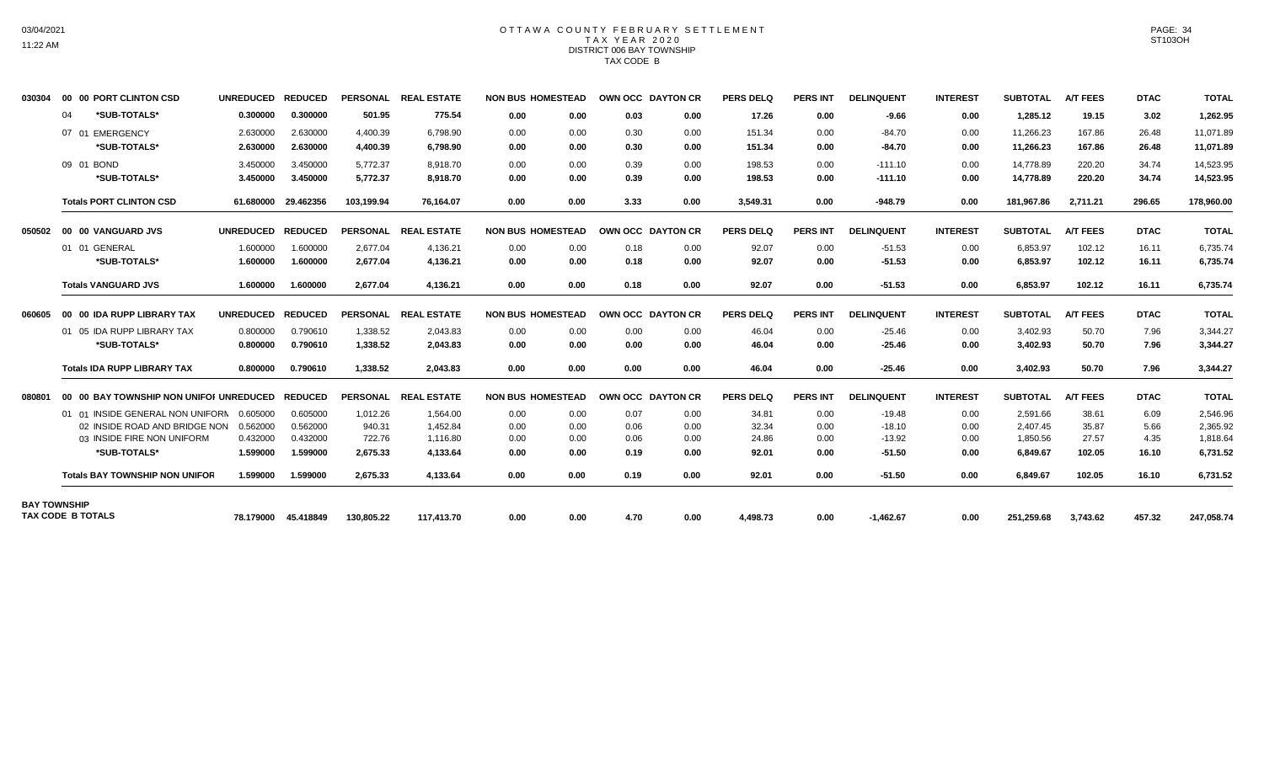## OTTAWA COUNTY FEBRUARY SETTLEMENT TAX YEAR 2020 DISTRICT 006 BAY TOWNSHIP TAX CODE B

| 030304              | 00 00 PORT CLINTON CSD                  | UNREDUCED REDUCED |                     |            | PERSONAL REAL ESTATE | <b>NON BUS HOMESTEAD</b> |      | OWN OCC DAYTON CR |      | <b>PERS DELQ</b> | <b>PERS INT</b> | <b>DELINQUENT</b> | <b>INTEREST</b> | <b>SUBTOTAL</b> | <b>A/T FEES</b> | <b>DTAC</b> | <b>TOTAL</b> |
|---------------------|-----------------------------------------|-------------------|---------------------|------------|----------------------|--------------------------|------|-------------------|------|------------------|-----------------|-------------------|-----------------|-----------------|-----------------|-------------|--------------|
|                     | *SUB-TOTALS*<br>04                      | 0.300000          | 0.300000            | 501.95     | 775.54               | 0.00                     | 0.00 | 0.03              | 0.00 | 17.26            | 0.00            | $-9.66$           | 0.00            | 1,285.12        | 19.15           | 3.02        | 1,262.95     |
|                     | 07 01 EMERGENCY                         | 2.630000          | 2.630000            | 4.400.39   | 6.798.90             | 0.00                     | 0.00 | 0.30              | 0.00 | 151.34           | 0.00            | $-84.70$          | 0.00            | 11.266.23       | 167.86          | 26.48       | 11.071.89    |
|                     | *SUB-TOTALS*                            | 2.630000          | 2.630000            | 4,400.39   | 6,798.90             | 0.00                     | 0.00 | 0.30              | 0.00 | 151.34           | 0.00            | $-84.70$          | 0.00            | 11,266.23       | 167.86          | 26.48       | 11,071.89    |
|                     | 09 01 BOND                              | 3.450000          | 3.450000            | 5,772.37   | 8.918.70             | 0.00                     | 0.00 | 0.39              | 0.00 | 198.53           | 0.00            | $-111.10$         | 0.00            | 14.778.89       | 220.20          | 34.74       | 14,523.95    |
|                     | *SUB-TOTALS*                            | 3.450000          | 3.450000            | 5,772.37   | 8,918.70             | 0.00                     | 0.00 | 0.39              | 0.00 | 198.53           | 0.00            | $-111.10$         | 0.00            | 14,778.89       | 220.20          | 34.74       | 14,523.95    |
|                     | <b>Totals PORT CLINTON CSD</b>          |                   | 61.680000 29.462356 | 103,199.94 | 76.164.07            | 0.00                     | 0.00 | 3.33              | 0.00 | 3,549.31         | 0.00            | $-948.79$         | 0.00            | 181,967.86      | 2,711.21        | 296.65      | 178,960.00   |
| 050502              | 00 00 VANGUARD JVS                      | UNREDUCED REDUCED |                     |            | PERSONAL REAL ESTATE | <b>NON BUS HOMESTEAD</b> |      | OWN OCC DAYTON CR |      | <b>PERS DELQ</b> | <b>PERS INT</b> | <b>DELINQUENT</b> | <b>INTEREST</b> | <b>SUBTOTAL</b> | <b>A/T FEES</b> | <b>DTAC</b> | <b>TOTAL</b> |
|                     | 01 01 GENERAL                           | 1.600000          | 1.600000            | 2.677.04   | 4,136.21             | 0.00                     | 0.00 | 0.18              | 0.00 | 92.07            | 0.00            | $-51.53$          | 0.00            | 6.853.97        | 102.12          | 16.11       | 6,735.74     |
|                     | *SUB-TOTALS*                            | 1.600000          | 1.600000            | 2,677.04   | 4,136.21             | 0.00                     | 0.00 | 0.18              | 0.00 | 92.07            | 0.00            | $-51.53$          | 0.00            | 6,853.97        | 102.12          | 16.11       | 6,735.74     |
|                     | <b>Totals VANGUARD JVS</b>              | 1.600000          | 1.600000            | 2.677.04   | 4,136.21             | 0.00                     | 0.00 | 0.18              | 0.00 | 92.07            | 0.00            | $-51.53$          | 0.00            | 6,853.97        | 102.12          | 16.11       | 6,735.74     |
| 060605              | 00 00 IDA RUPP LIBRARY TAX              | <b>UNREDUCED</b>  | <b>REDUCED</b>      |            | PERSONAL REAL ESTATE | <b>NON BUS HOMESTEAD</b> |      | OWN OCC DAYTON CR |      | <b>PERS DELQ</b> | <b>PERS INT</b> | <b>DELINQUENT</b> | <b>INTEREST</b> | <b>SUBTOTAL</b> | <b>A/T FEES</b> | <b>DTAC</b> | <b>TOTAL</b> |
|                     | 01 05 IDA RUPP LIBRARY TAX              | 0.800000          | 0.790610            | 1,338.52   | 2,043.83             | 0.00                     | 0.00 | 0.00              | 0.00 | 46.04            | 0.00            | $-25.46$          | 0.00            | 3,402.93        | 50.70           | 7.96        | 3,344.27     |
|                     | *SUB-TOTALS*                            | 0.800000          | 0.790610            | 1,338.52   | 2.043.83             | 0.00                     | 0.00 | 0.00              | 0.00 | 46.04            | 0.00            | $-25.46$          | 0.00            | 3,402.93        | 50.70           | 7.96        | 3,344.27     |
|                     | <b>Totals IDA RUPP LIBRARY TAX</b>      | 0.800000          | 0.790610            | 1,338.52   | 2.043.83             | 0.00                     | 0.00 | 0.00              | 0.00 | 46.04            | 0.00            | $-25.46$          | 0.00            | 3,402.93        | 50.70           | 7.96        | 3,344.27     |
| 080801              | 00 00 BAY TOWNSHIP NON UNIFOI UNREDUCED |                   | <b>REDUCED</b>      |            | PERSONAL REAL ESTATE | <b>NON BUS HOMESTEAD</b> |      | OWN OCC DAYTON CR |      | PERS DELO        | <b>PERS INT</b> | <b>DELINQUENT</b> | <b>INTEREST</b> | <b>SUBTOTAL</b> | <b>A/T FEES</b> | <b>DTAC</b> | <b>TOTAL</b> |
|                     | 01 01 INSIDE GENERAL NON UNIFORM        | 0.605000          | 0.605000            | 1,012.26   | 1.564.00             | 0.00                     | 0.00 | 0.07              | 0.00 | 34.81            | 0.00            | $-19.48$          | 0.00            | 2,591.66        | 38.61           | 6.09        | 2,546.96     |
|                     | 02 INSIDE ROAD AND BRIDGE NON           | 0.562000          | 0.562000            | 940.31     | 1.452.84             | 0.00                     | 0.00 | 0.06              | 0.00 | 32.34            | 0.00            | $-18.10$          | 0.00            | 2.407.45        | 35.87           | 5.66        | 2.365.92     |
|                     | 03 INSIDE FIRE NON UNIFORM              | 0.432000          | 0.432000            | 722.76     | 1.116.80             | 0.00                     | 0.00 | 0.06              | 0.00 | 24.86            | 0.00            | $-13.92$          | 0.00            | 1,850.56        | 27.57           | 4.35        | 1,818.64     |
|                     | *SUB-TOTALS*                            | 1.599000          | 1.599000            | 2,675.33   | 4,133.64             | 0.00                     | 0.00 | 0.19              | 0.00 | 92.01            | 0.00            | $-51.50$          | 0.00            | 6,849.67        | 102.05          | 16.10       | 6,731.52     |
|                     | <b>Totals BAY TOWNSHIP NON UNIFOR</b>   | 1.599000          | 1.599000            | 2,675.33   | 4,133.64             | 0.00                     | 0.00 | 0.19              | 0.00 | 92.01            | 0.00            | $-51.50$          | 0.00            | 6,849.67        | 102.05          | 16.10       | 6,731.52     |
| <b>BAY TOWNSHIP</b> | <b>TAX CODE B TOTALS</b>                |                   |                     |            |                      |                          |      |                   |      |                  |                 |                   |                 |                 |                 |             |              |
|                     |                                         |                   | 78.179000 45.418849 | 130,805.22 | 117.413.70           | 0.00                     | 0.00 | 4.70              | 0.00 | 4,498.73         | 0.00            | $-1.462.67$       | 0.00            | 251,259.68      | 3,743.62        | 457.32      | 247,058.74   |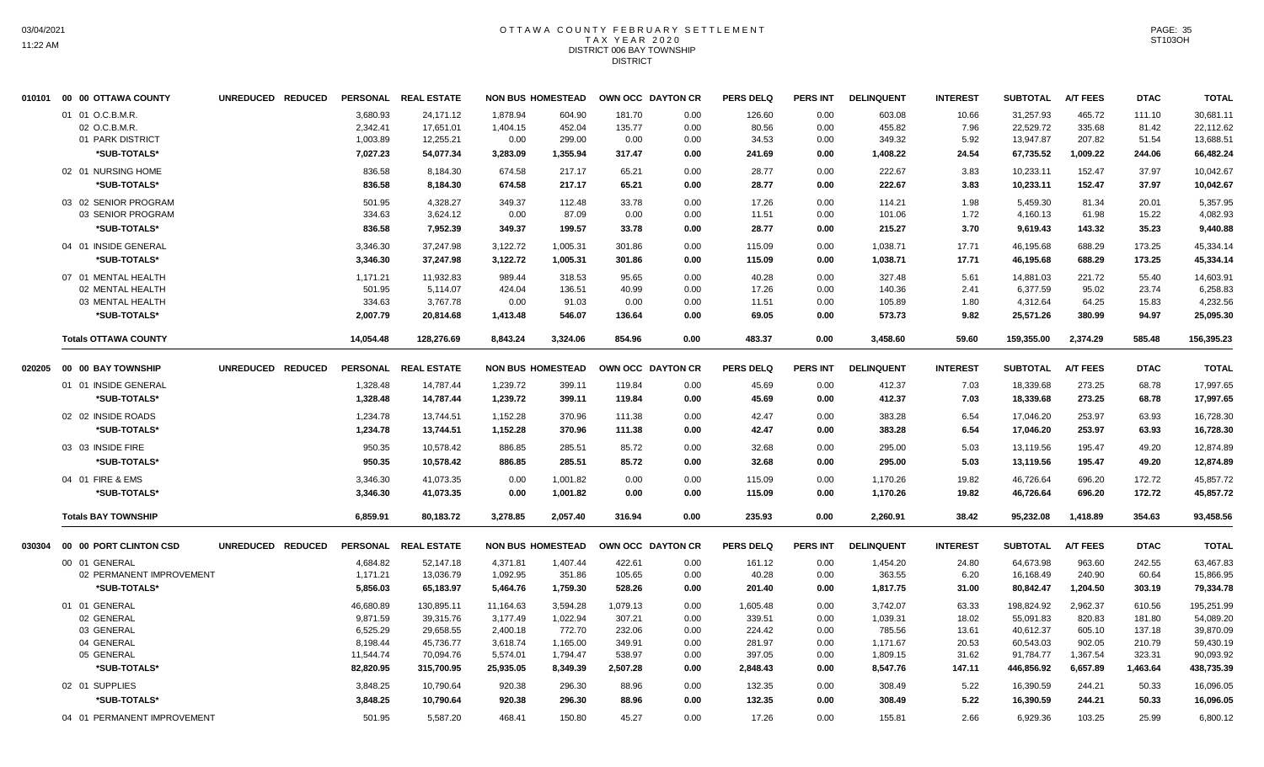#### OTTAWA COUNTY FEBRUARY SETTLEMENT T A X Y E A R 2 0 2 0 DISTRICT 006 BAY TOWNSHIP **DISTRICT**

|        | 010101 00 00 OTTAWA COUNTY  | UNREDUCED REDUCED | <b>PERSONAL</b> | <b>REAL ESTATE</b> | <b>NON BUS HOMESTEAD</b> |          |          | OWN OCC DAYTON CR | <b>PERS DELQ</b> | <b>PERS INT</b> | <b>DELINQUENT</b> | <b>INTEREST</b> | <b>SUBTOTAL</b> | <b>A/T FEES</b> | <b>DTAC</b> | <b>TOTAL</b> |
|--------|-----------------------------|-------------------|-----------------|--------------------|--------------------------|----------|----------|-------------------|------------------|-----------------|-------------------|-----------------|-----------------|-----------------|-------------|--------------|
|        | 01 01 O.C.B.M.R.            |                   | 3,680.93        | 24,171.12          | 1,878.94                 | 604.90   | 181.70   | 0.00              | 126.60           | 0.00            | 603.08            | 10.66           | 31,257.93       | 465.72          | 111.10      | 30,681.11    |
|        | 02 O.C.B.M.R.               |                   | 2,342.41        | 17,651.01          | 1,404.15                 | 452.04   | 135.77   | 0.00              | 80.56            | 0.00            | 455.82            | 7.96            | 22,529.72       | 335.68          | 81.42       | 22,112.62    |
|        | 01 PARK DISTRICT            |                   | 1,003.89        | 12,255.21          | 0.00                     | 299.00   | 0.00     | 0.00              | 34.53            | 0.00            | 349.32            | 5.92            | 13,947.87       | 207.82          | 51.54       | 13,688.51    |
|        | *SUB-TOTALS*                |                   | 7,027.23        | 54,077.34          | 3,283.09                 | 1,355.94 | 317.47   | 0.00              | 241.69           | 0.00            | 1,408.22          | 24.54           | 67,735.52       | 1,009.22        | 244.06      | 66,482.24    |
|        | 02 01 NURSING HOME          |                   | 836.58          | 8,184.30           | 674.58                   | 217.17   | 65.21    | 0.00              | 28.77            | 0.00            | 222.67            | 3.83            | 10,233.11       | 152.47          | 37.97       | 10.042.67    |
|        | *SUB-TOTALS*                |                   | 836.58          | 8,184.30           | 674.58                   | 217.17   | 65.21    | 0.00              | 28.77            | 0.00            | 222.67            | 3.83            | 10,233.11       | 152.47          | 37.97       | 10,042.67    |
|        | 03 02 SENIOR PROGRAM        |                   | 501.95          | 4.328.27           | 349.37                   | 112.48   | 33.78    | 0.00              | 17.26            | 0.00            | 114.21            | 1.98            | 5.459.30        | 81.34           | 20.01       | 5,357.95     |
|        | 03 SENIOR PROGRAM           |                   | 334.63          | 3,624.12           | 0.00                     | 87.09    | 0.00     | 0.00              | 11.51            | 0.00            | 101.06            | 1.72            | 4,160.13        | 61.98           | 15.22       | 4,082.93     |
|        | *SUB-TOTALS*                |                   | 836.58          | 7,952.39           | 349.37                   | 199.57   | 33.78    | 0.00              | 28.77            | 0.00            | 215.27            | 3.70            | 9,619.43        | 143.32          | 35.23       | 9.440.88     |
|        | 04 01 INSIDE GENERAL        |                   | 3,346.30        | 37,247.98          | 3,122.72                 | 1,005.31 | 301.86   | 0.00              | 115.09           | 0.00            | 1,038.71          | 17.71           | 46,195.68       | 688.29          | 173.25      | 45,334.14    |
|        | *SUB-TOTALS*                |                   | 3,346.30        | 37,247.98          | 3,122.72                 | 1,005.31 | 301.86   | 0.00              | 115.09           | 0.00            | 1,038.71          | 17.71           | 46,195.68       | 688.29          | 173.25      | 45,334.14    |
|        | 07 01 MENTAL HEALTH         |                   | 1,171.21        | 11,932.83          | 989.44                   | 318.53   | 95.65    | 0.00              | 40.28            | 0.00            | 327.48            | 5.61            | 14,881.03       | 221.72          | 55.40       | 14,603.91    |
|        | 02 MENTAL HEALTH            |                   | 501.95          | 5,114.07           | 424.04                   | 136.51   | 40.99    | 0.00              | 17.26            | 0.00            | 140.36            | 2.41            | 6,377.59        | 95.02           | 23.74       | 6,258.83     |
|        | 03 MENTAL HEALTH            |                   | 334.63          | 3,767.78           | 0.00                     | 91.03    | 0.00     | 0.00              | 11.51            | 0.00            | 105.89            | 1.80            | 4,312.64        | 64.25           | 15.83       | 4,232.56     |
|        | *SUB-TOTALS*                |                   | 2,007.79        | 20,814.68          | 1,413.48                 | 546.07   | 136.64   | 0.00              | 69.05            | 0.00            | 573.73            | 9.82            | 25,571.26       | 380.99          | 94.97       | 25,095.30    |
|        | <b>Totals OTTAWA COUNTY</b> |                   | 14,054.48       | 128,276.69         | 8,843.24                 | 3,324.06 | 854.96   | 0.00              | 483.37           | 0.00            | 3,458.60          | 59.60           | 159,355.00      | 2,374.29        | 585.48      | 156,395.23   |
| 020205 | 00 00 BAY TOWNSHIP          | UNREDUCED REDUCED | <b>PERSONAL</b> | <b>REAL ESTATE</b> | <b>NON BUS HOMESTEAD</b> |          |          | OWN OCC DAYTON CR | <b>PERS DELQ</b> | PERS INT        | <b>DELINQUENT</b> | <b>INTEREST</b> | <b>SUBTOTAL</b> | <b>A/T FEES</b> | <b>DTAC</b> | <b>TOTAL</b> |
|        | 01 01 INSIDE GENERAL        |                   | 1,328.48        | 14,787.44          | 1,239.72                 | 399.11   | 119.84   | 0.00              | 45.69            | 0.00            | 412.37            | 7.03            | 18,339.68       | 273.25          | 68.78       | 17,997.65    |
|        | *SUB-TOTALS*                |                   | 1,328.48        | 14,787.44          | 1,239.72                 | 399.11   | 119.84   | 0.00              | 45.69            | 0.00            | 412.37            | 7.03            | 18,339.68       | 273.25          | 68.78       | 17,997.65    |
|        | 02 02 INSIDE ROADS          |                   | 1,234.78        | 13,744.51          | 1,152.28                 | 370.96   | 111.38   | 0.00              | 42.47            | 0.00            | 383.28            | 6.54            | 17,046.20       | 253.97          | 63.93       | 16,728.30    |
|        | *SUB-TOTALS*                |                   | 1,234.78        | 13,744.51          | 1,152.28                 | 370.96   | 111.38   | 0.00              | 42.47            | 0.00            | 383.28            | 6.54            | 17,046.20       | 253.97          | 63.93       | 16,728.30    |
|        |                             |                   |                 |                    |                          |          |          |                   |                  |                 |                   |                 |                 |                 |             |              |
|        | 03 03 INSIDE FIRE           |                   | 950.35          | 10,578.42          | 886.85                   | 285.51   | 85.72    | 0.00              | 32.68            | 0.00            | 295.00            | 5.03            | 13,119.56       | 195.47          | 49.20       | 12.874.89    |
|        | *SUB-TOTALS*                |                   | 950.35          | 10,578.42          | 886.85                   | 285.51   | 85.72    | 0.00              | 32.68            | 0.00            | 295.00            | 5.03            | 13,119.56       | 195.47          | 49.20       | 12,874.89    |
|        | 04 01 FIRE & EMS            |                   | 3.346.30        | 41,073.35          | 0.00                     | 1,001.82 | 0.00     | 0.00              | 115.09           | 0.00            | 1,170.26          | 19.82           | 46,726.64       | 696.20          | 172.72      | 45,857.72    |
|        | *SUB-TOTALS*                |                   | 3,346.30        | 41,073.35          | 0.00                     | 1,001.82 | 0.00     | 0.00              | 115.09           | 0.00            | 1,170.26          | 19.82           | 46,726.64       | 696.20          | 172.72      | 45,857.72    |
|        | <b>Totals BAY TOWNSHIP</b>  |                   | 6,859.91        | 80,183.72          | 3,278.85                 | 2.057.40 | 316.94   | 0.00              | 235.93           | 0.00            | 2,260.91          | 38.42           | 95,232.08       | 1,418.89        | 354.63      | 93.458.56    |
| 030304 | 00 00 PORT CLINTON CSD      | UNREDUCED REDUCED | <b>PERSONAL</b> | <b>REAL ESTATE</b> | <b>NON BUS HOMESTEAD</b> |          |          | OWN OCC DAYTON CR | <b>PERS DELQ</b> | <b>PERS INT</b> | <b>DELINQUENT</b> | <b>INTEREST</b> | <b>SUBTOTAL</b> | <b>A/T FEES</b> | <b>DTAC</b> | <b>TOTAL</b> |
|        | 00 01 GENERAL               |                   | 4,684.82        | 52,147.18          | 4,371.81                 | 1,407.44 | 422.61   | 0.00              | 161.12           | 0.00            | 1,454.20          | 24.80           | 64,673.98       | 963.60          | 242.55      | 63,467.83    |
|        | 02 PERMANENT IMPROVEMENT    |                   | 1,171.21        | 13,036.79          | 1,092.95                 | 351.86   | 105.65   | 0.00              | 40.28            | 0.00            | 363.55            | 6.20            | 16,168.49       | 240.90          | 60.64       | 15,866.95    |
|        | *SUB-TOTALS*                |                   | 5,856.03        | 65,183.97          | 5,464.76                 | 1,759.30 | 528.26   | 0.00              | 201.40           | 0.00            | 1,817.75          | 31.00           | 80,842.47       | 1,204.50        | 303.19      | 79,334.78    |
|        | 01 01 GENERAL               |                   | 46.680.89       | 130.895.11         | 11.164.63                | 3.594.28 | 1.079.13 | 0.00              | 1.605.48         | 0.00            | 3.742.07          | 63.33           | 198.824.92      | 2.962.37        | 610.56      | 195,251.99   |
|        | 02 GENERAL                  |                   | 9,871.59        | 39,315.76          | 3,177.49                 | 1,022.94 | 307.21   | 0.00              | 339.51           | 0.00            | 1,039.31          | 18.02           | 55,091.83       | 820.83          | 181.80      | 54,089.20    |
|        | 03 GENERAL                  |                   | 6,525.29        | 29,658.55          | 2,400.18                 | 772.70   | 232.06   | 0.00              | 224.42           | 0.00            | 785.56            | 13.61           | 40,612.37       | 605.10          | 137.18      | 39,870.09    |
|        | 04 GENERAL                  |                   | 8,198.44        | 45,736.77          | 3,618.74                 | 1,165.00 | 349.91   | 0.00              | 281.97           | 0.00            | 1,171.67          | 20.53           | 60.543.03       | 902.05          | 210.79      | 59,430.19    |
|        | 05 GENERAL                  |                   | 11,544.74       | 70,094.76          | 5,574.01                 | 1,794.47 | 538.97   | 0.00              | 397.05           | 0.00            | 1,809.15          | 31.62           | 91,784.77       | 1,367.54        | 323.31      | 90,093.92    |
|        | *SUB-TOTALS*                |                   | 82,820.95       | 315,700.95         | 25,935.05                | 8,349.39 | 2,507.28 | 0.00              | 2,848.43         | 0.00            | 8,547.76          | 147.11          | 446,856.92      | 6,657.89        | 1,463.64    | 438,735.39   |
|        | 02 01 SUPPLIES              |                   | 3,848.25        | 10,790.64          | 920.38                   | 296.30   | 88.96    | 0.00              | 132.35           | 0.00            | 308.49            | 5.22            | 16,390.59       | 244.21          | 50.33       | 16,096.05    |
|        | *SUB-TOTALS*                |                   | 3,848.25        | 10,790.64          | 920.38                   | 296.30   | 88.96    | 0.00              | 132.35           | 0.00            | 308.49            | 5.22            | 16,390.59       | 244.21          | 50.33       | 16,096.05    |
|        | 04 01 PERMANENT IMPROVEMENT |                   | 501.95          | 5,587.20           | 468.41                   | 150.80   | 45.27    | 0.00              | 17.26            | 0.00            | 155.81            | 2.66            | 6,929.36        | 103.25          | 25.99       | 6,800.12     |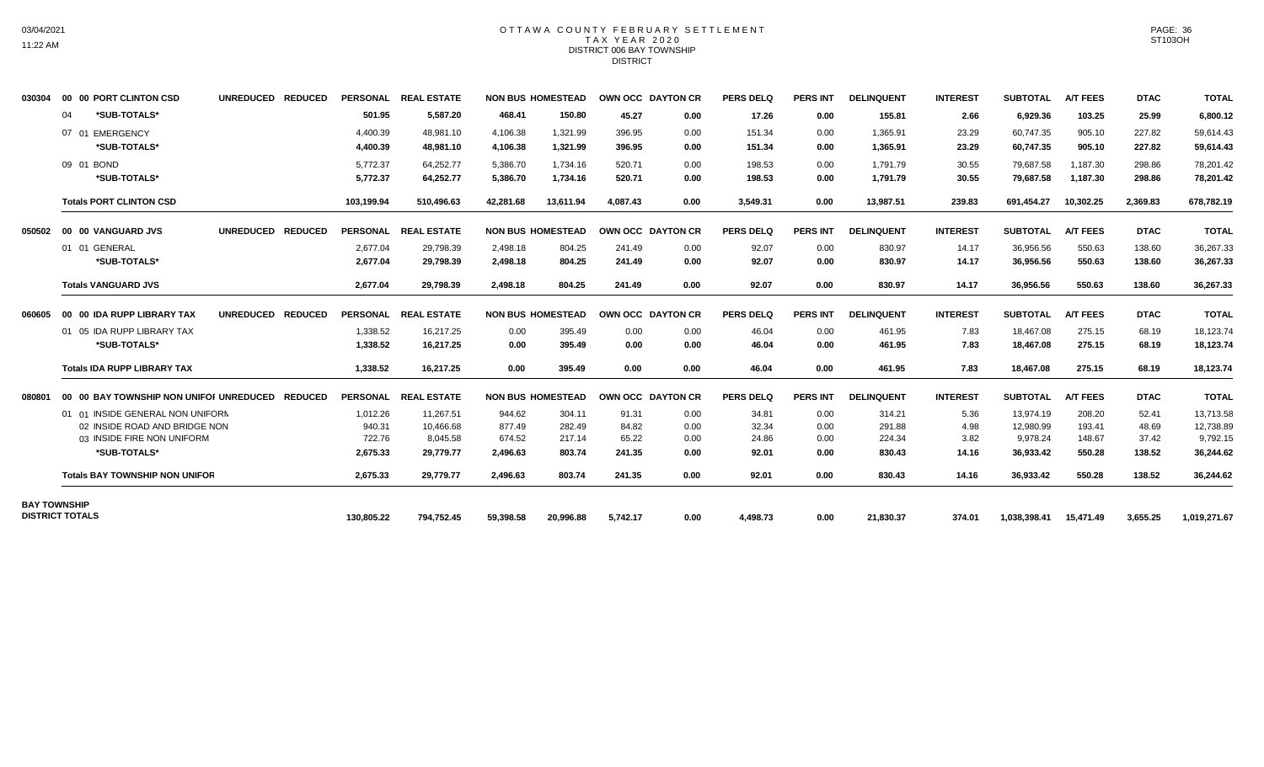### OTTAWA COUNTY FEBRUARY SETTLEMENT TAX YEAR 2020 DISTRICT 006 BAY TOWNSHIP DISTRICT

| 030304              | 00 00 PORT CLINTON CSD                          | UNREDUCED REDUCED |            | PERSONAL REAL ESTATE |           | <b>NON BUS HOMESTEAD</b> | OWN OCC DAYTON CR |      | <b>PERS DELQ</b> | <b>PERS INT</b> | <b>DELINQUENT</b> | <b>INTEREST</b> | <b>SUBTOTAL</b> | <b>A/T FEES</b> | <b>DTAC</b> | <b>TOTAL</b> |
|---------------------|-------------------------------------------------|-------------------|------------|----------------------|-----------|--------------------------|-------------------|------|------------------|-----------------|-------------------|-----------------|-----------------|-----------------|-------------|--------------|
|                     | *SUB-TOTALS*<br>04                              |                   | 501.95     | 5,587.20             | 468.41    | 150.80                   | 45.27             | 0.00 | 17.26            | 0.00            | 155.81            | 2.66            | 6,929.36        | 103.25          | 25.99       | 6,800.12     |
|                     | 07 01 EMERGENCY                                 |                   | 4,400.39   | 48,981.10            | 4,106.38  | 1,321.99                 | 396.95            | 0.00 | 151.34           | 0.00            | 1,365.91          | 23.29           | 60,747.35       | 905.10          | 227.82      | 59,614.43    |
|                     | *SUB-TOTALS*                                    |                   | 4,400.39   | 48.981.10            | 4,106.38  | 1,321.99                 | 396.95            | 0.00 | 151.34           | 0.00            | 1,365.91          | 23.29           | 60,747.35       | 905.10          | 227.82      | 59,614.43    |
|                     | 09 01 BOND                                      |                   | 5,772.37   | 64.252.77            | 5.386.70  | 1.734.16                 | 520.71            | 0.00 | 198.53           | 0.00            | 1.791.79          | 30.55           | 79.687.58       | 1.187.30        | 298.86      | 78.201.42    |
|                     | *SUB-TOTALS*                                    |                   | 5,772.37   | 64,252.77            | 5,386.70  | 1,734.16                 | 520.71            | 0.00 | 198.53           | 0.00            | 1,791.79          | 30.55           | 79,687.58       | 1,187.30        | 298.86      | 78,201.42    |
|                     | <b>Totals PORT CLINTON CSD</b>                  |                   | 103,199.94 | 510,496.63           | 42,281.68 | 13,611.94                | 4.087.43          | 0.00 | 3,549.31         | 0.00            | 13,987.51         | 239.83          | 691,454.27      | 10,302.25       | 2,369.83    | 678,782.19   |
| 050502              | 00 00 VANGUARD JVS                              | UNREDUCED REDUCED |            | PERSONAL REAL ESTATE |           | <b>NON BUS HOMESTEAD</b> | OWN OCC DAYTON CR |      | <b>PERS DELQ</b> | <b>PERS INT</b> | <b>DELINQUENT</b> | <b>INTEREST</b> | <b>SUBTOTAL</b> | <b>A/T FEES</b> | <b>DTAC</b> | <b>TOTAL</b> |
|                     | 01 01 GENERAL                                   |                   | 2.677.04   | 29.798.39            | 2.498.18  | 804.25                   | 241.49            | 0.00 | 92.07            | 0.00            | 830.97            | 14.17           | 36.956.56       | 550.63          | 138.60      | 36,267.33    |
|                     | *SUB-TOTALS*                                    |                   | 2,677.04   | 29,798.39            | 2,498.18  | 804.25                   | 241.49            | 0.00 | 92.07            | 0.00            | 830.97            | 14.17           | 36,956.56       | 550.63          | 138.60      | 36,267.33    |
|                     | <b>Totals VANGUARD JVS</b>                      |                   | 2,677.04   | 29.798.39            | 2.498.18  | 804.25                   | 241.49            | 0.00 | 92.07            | 0.00            | 830.97            | 14.17           | 36.956.56       | 550.63          | 138.60      | 36,267.33    |
| 060605              | 00 00 IDA RUPP LIBRARY TAX                      | UNREDUCED REDUCED |            | PERSONAL REAL ESTATE |           | <b>NON BUS HOMESTEAD</b> | OWN OCC DAYTON CR |      | <b>PERS DELQ</b> | <b>PERS INT</b> | <b>DELINQUENT</b> | <b>INTEREST</b> | <b>SUBTOTAL</b> | <b>A/T FEES</b> | <b>DTAC</b> | <b>TOTAL</b> |
|                     | 01 05 IDA RUPP LIBRARY TAX                      |                   | 1,338.52   | 16,217.25            | 0.00      | 395.49                   | 0.00              | 0.00 | 46.04            | 0.00            | 461.95            | 7.83            | 18,467.08       | 275.15          | 68.19       | 18,123.74    |
|                     | *SUB-TOTALS*                                    |                   | 1,338.52   | 16.217.25            | 0.00      | 395.49                   | 0.00              | 0.00 | 46.04            | 0.00            | 461.95            | 7.83            | 18,467.08       | 275.15          | 68.19       | 18,123.74    |
|                     | <b>Totals IDA RUPP LIBRARY TAX</b>              |                   | 1,338.52   | 16,217.25            | 0.00      | 395.49                   | 0.00              | 0.00 | 46.04            | 0.00            | 461.95            | 7.83            | 18,467.08       | 275.15          | 68.19       | 18,123.74    |
| 080801              | 00 00 BAY TOWNSHIP NON UNIFOI UNREDUCED REDUCED |                   |            | PERSONAL REAL ESTATE |           | <b>NON BUS HOMESTEAD</b> | OWN OCC DAYTON CR |      | <b>PERS DELQ</b> | <b>PERS INT</b> | <b>DELINQUENT</b> | <b>INTEREST</b> | <b>SUBTOTAL</b> | <b>A/T FEES</b> | <b>DTAC</b> | <b>TOTAL</b> |
|                     | 01 01 INSIDE GENERAL NON UNIFORM                |                   | 1,012.26   | 11,267.51            | 944.62    | 304.11                   | 91.31             | 0.00 | 34.81            | 0.00            | 314.21            | 5.36            | 13.974.19       | 208.20          | 52.41       | 13,713.58    |
|                     | 02 INSIDE ROAD AND BRIDGE NON                   |                   | 940.31     | 10.466.68            | 877.49    | 282.49                   | 84.82             | 0.00 | 32.34            | 0.00            | 291.88            | 4.98            | 12,980.99       | 193.41          | 48.69       | 12.738.89    |
|                     | 03 INSIDE FIRE NON UNIFORM                      |                   | 722.76     | 8.045.58             | 674.52    | 217.14                   | 65.22             | 0.00 | 24.86            | 0.00            | 224.34            | 3.82            | 9,978.24        | 148.67          | 37.42       | 9,792.15     |
|                     | *SUB-TOTALS*                                    |                   | 2,675.33   | 29.779.77            | 2,496.63  | 803.74                   | 241.35            | 0.00 | 92.01            | 0.00            | 830.43            | 14.16           | 36,933.42       | 550.28          | 138.52      | 36,244.62    |
|                     | <b>Totals BAY TOWNSHIP NON UNIFOR</b>           |                   | 2,675.33   | 29,779.77            | 2,496.63  | 803.74                   | 241.35            | 0.00 | 92.01            | 0.00            | 830.43            | 14.16           | 36,933.42       | 550.28          | 138.52      | 36,244.62    |
| <b>BAY TOWNSHIP</b> |                                                 |                   |            |                      |           |                          |                   |      |                  |                 |                   |                 |                 |                 |             |              |
|                     | <b>DISTRICT TOTALS</b>                          |                   | 130,805.22 | 794,752.45           | 59,398.58 | 20,996.88                | 5,742.17          | 0.00 | 4,498.73         | 0.00            | 21,830.37         | 374.01          | 1,038,398.41    | 15,471.49       | 3,655.25    | 1,019,271.67 |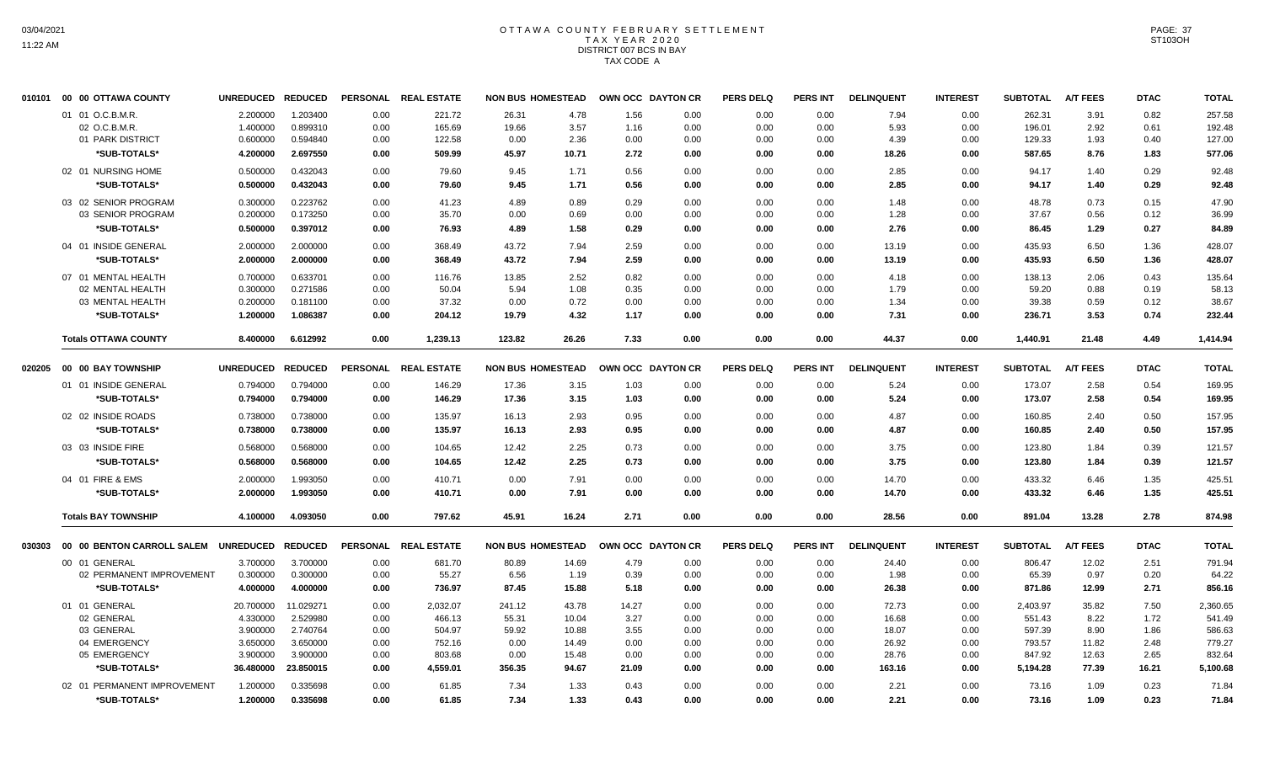# OTTAWA COUNTY FEBRUARY SETTLEMENT TAX YEAR 2020 DISTRICT 007 BCS IN BAY TAX CODE A

| 010101 | 00 00 OTTAWA COUNTY                  | <b>UNREDUCED</b> | <b>REDUCED</b> |      | PERSONAL REAL ESTATE | <b>NON BUS HOMESTEAD</b> |       |       | OWN OCC DAYTON CR | <b>PERS DELQ</b> | <b>PERS INT</b> | <b>DELINQUENT</b> | <b>INTEREST</b> | <b>SUBTOTAL</b> | <b>A/T FEES</b> | <b>DTAC</b> | <b>TOTAL</b> |
|--------|--------------------------------------|------------------|----------------|------|----------------------|--------------------------|-------|-------|-------------------|------------------|-----------------|-------------------|-----------------|-----------------|-----------------|-------------|--------------|
|        | 01 01 O.C.B.M.R.                     | 2.200000         | 1.203400       | 0.00 | 221.72               | 26.31                    | 4.78  | 1.56  | 0.00              | 0.00             | 0.00            | 7.94              | 0.00            | 262.31          | 3.91            | 0.82        | 257.58       |
|        | 02 O.C.B.M.R.                        | 1.400000         | 0.899310       | 0.00 | 165.69               | 19.66                    | 3.57  | 1.16  | 0.00              | 0.00             | 0.00            | 5.93              | 0.00            | 196.01          | 2.92            | 0.61        | 192.48       |
|        | 01 PARK DISTRICT                     | 0.600000         | 0.594840       | 0.00 | 122.58               | 0.00                     | 2.36  | 0.00  | 0.00              | 0.00             | 0.00            | 4.39              | 0.00            | 129.33          | 1.93            | 0.40        | 127.00       |
|        | *SUB-TOTALS*                         | 4.200000         | 2.697550       | 0.00 | 509.99               | 45.97                    | 10.71 | 2.72  | 0.00              | 0.00             | 0.00            | 18.26             | 0.00            | 587.65          | 8.76            | 1.83        | 577.06       |
|        | 02 01 NURSING HOME                   | 0.500000         | 0.432043       | 0.00 | 79.60                | 9.45                     | 1.71  | 0.56  | 0.00              | 0.00             | 0.00            | 2.85              | 0.00            | 94.17           | 1.40            | 0.29        | 92.48        |
|        | *SUB-TOTALS*                         | 0.500000         | 0.432043       | 0.00 | 79.60                | 9.45                     | 1.71  | 0.56  | 0.00              | 0.00             | 0.00            | 2.85              | 0.00            | 94.17           | 1.40            | 0.29        | 92.48        |
|        | 03 02 SENIOR PROGRAM                 | 0.300000         | 0.223762       | 0.00 | 41.23                | 4.89                     | 0.89  | 0.29  | 0.00              | 0.00             | 0.00            | 1.48              | 0.00            | 48.78           | 0.73            | 0.15        | 47.90        |
|        | 03 SENIOR PROGRAM                    | 0.200000         | 0.173250       | 0.00 | 35.70                | 0.00                     | 0.69  | 0.00  | 0.00              | 0.00             | 0.00            | 1.28              | 0.00            | 37.67           | 0.56            | 0.12        | 36.99        |
|        | *SUB-TOTALS*                         | 0.500000         | 0.397012       | 0.00 | 76.93                | 4.89                     | 1.58  | 0.29  | 0.00              | 0.00             | 0.00            | 2.76              | 0.00            | 86.45           | 1.29            | 0.27        | 84.89        |
|        | 04 01 INSIDE GENERAL                 | 2.000000         | 2.000000       | 0.00 | 368.49               | 43.72                    | 7.94  | 2.59  | 0.00              | 0.00             | 0.00            | 13.19             | 0.00            | 435.93          | 6.50            | 1.36        | 428.07       |
|        | *SUB-TOTALS*                         | 2.000000         | 2.000000       | 0.00 | 368.49               | 43.72                    | 7.94  | 2.59  | 0.00              | 0.00             | 0.00            | 13.19             | 0.00            | 435.93          | 6.50            | 1.36        | 428.07       |
|        | 07 01 MENTAL HEALTH                  | 0.700000         | 0.633701       | 0.00 | 116.76               | 13.85                    | 2.52  | 0.82  | 0.00              | 0.00             | 0.00            | 4.18              | 0.00            | 138.13          | 2.06            | 0.43        | 135.64       |
|        | 02 MENTAL HEALTH                     | 0.300000         | 0.271586       | 0.00 | 50.04                | 5.94                     | 1.08  | 0.35  | 0.00              | 0.00             | 0.00            | 1.79              | 0.00            | 59.20           | 0.88            | 0.19        | 58.13        |
|        | 03 MENTAL HEALTH                     | 0.200000         | 0.181100       | 0.00 | 37.32                | 0.00                     | 0.72  | 0.00  | 0.00              | 0.00             | 0.00            | 1.34              | 0.00            | 39.38           | 0.59            | 0.12        | 38.67        |
|        | *SUB-TOTALS*                         | 1.200000         | 1.086387       | 0.00 | 204.12               | 19.79                    | 4.32  | 1.17  | 0.00              | 0.00             | 0.00            | 7.31              | 0.00            | 236.71          | 3.53            | 0.74        | 232.44       |
|        | <b>Totals OTTAWA COUNTY</b>          | 8.400000         | 6.612992       | 0.00 | 1,239.13             | 123.82                   | 26.26 | 7.33  | 0.00              | 0.00             | 0.00            | 44.37             | 0.00            | 1,440.91        | 21.48           | 4.49        | 1,414.94     |
| 020205 | 00 00 BAY TOWNSHIP                   | <b>UNREDUCED</b> | <b>REDUCED</b> |      | PERSONAL REAL ESTATE | <b>NON BUS HOMESTEAD</b> |       |       | OWN OCC DAYTON CR | <b>PERS DELQ</b> | <b>PERS INT</b> | <b>DELINQUENT</b> | <b>INTEREST</b> | <b>SUBTOTAL</b> | <b>A/T FEES</b> | <b>DTAC</b> | <b>TOTAL</b> |
|        | 01 01 INSIDE GENERAL                 | 0.794000         | 0.794000       | 0.00 | 146.29               | 17.36                    | 3.15  | 1.03  | 0.00              | 0.00             | 0.00            | 5.24              | 0.00            | 173.07          | 2.58            | 0.54        | 169.95       |
|        | *SUB-TOTALS*                         | 0.794000         | 0.794000       | 0.00 | 146.29               | 17.36                    | 3.15  | 1.03  | 0.00              | 0.00             | 0.00            | 5.24              | 0.00            | 173.07          | 2.58            | 0.54        | 169.95       |
|        | 02 02 INSIDE ROADS                   | 0.738000         | 0.738000       | 0.00 | 135.97               | 16.13                    | 2.93  | 0.95  | 0.00              | 0.00             | 0.00            | 4.87              | 0.00            | 160.85          | 2.40            | 0.50        | 157.95       |
|        | *SUB-TOTALS*                         | 0.738000         | 0.738000       | 0.00 | 135.97               | 16.13                    | 2.93  | 0.95  | 0.00              | 0.00             | 0.00            | 4.87              | 0.00            | 160.85          | 2.40            | 0.50        | 157.95       |
|        | 03 03 INSIDE FIRE                    | 0.568000         | 0.568000       | 0.00 | 104.65               | 12.42                    | 2.25  | 0.73  | 0.00              | 0.00             | 0.00            | 3.75              | 0.00            | 123.80          | 1.84            | 0.39        | 121.57       |
|        | *SUB-TOTALS*                         | 0.568000         | 0.568000       | 0.00 | 104.65               | 12.42                    | 2.25  | 0.73  | 0.00              | 0.00             | 0.00            | 3.75              | 0.00            | 123.80          | 1.84            | 0.39        | 121.57       |
|        | 04 01 FIRE & EMS                     | 2.000000         | 1.993050       | 0.00 | 410.71               | 0.00                     | 7.91  | 0.00  | 0.00              | 0.00             | 0.00            | 14.70             | 0.00            | 433.32          | 6.46            | 1.35        | 425.51       |
|        | *SUB-TOTALS*                         | 2.000000         | 1.993050       | 0.00 | 410.71               | 0.00                     | 7.91  | 0.00  | 0.00              | 0.00             | 0.00            | 14.70             | 0.00            | 433.32          | 6.46            | 1.35        | 425.51       |
|        | <b>Totals BAY TOWNSHIP</b>           | 4.100000         | 4.093050       | 0.00 | 797.62               | 45.91                    | 16.24 | 2.71  | 0.00              | 0.00             | 0.00            | 28.56             | 0.00            | 891.04          | 13.28           | 2.78        | 874.98       |
| 030303 | 00 00 BENTON CARROLL SALEM UNREDUCED |                  | <b>REDUCED</b> |      | PERSONAL REAL ESTATE | <b>NON BUS HOMESTEAD</b> |       |       | OWN OCC DAYTON CR | <b>PERS DELQ</b> | <b>PERS INT</b> | <b>DELINQUENT</b> | <b>INTEREST</b> | <b>SUBTOTAL</b> | <b>A/T FEES</b> | <b>DTAC</b> | <b>TOTAL</b> |
|        | 00 01 GENERAL                        | 3.700000         | 3.700000       | 0.00 | 681.70               | 80.89                    | 14.69 | 4.79  | 0.00              | 0.00             | 0.00            | 24.40             | 0.00            | 806.47          | 12.02           | 2.51        | 791.94       |
|        | 02 PERMANENT IMPROVEMENT             | 0.300000         | 0.300000       | 0.00 | 55.27                | 6.56                     | 1.19  | 0.39  | 0.00              | 0.00             | 0.00            | 1.98              | 0.00            | 65.39           | 0.97            | 0.20        | 64.22        |
|        | *SUB-TOTALS*                         | 4.000000         | 4.000000       | 0.00 | 736.97               | 87.45                    | 15.88 | 5.18  | 0.00              | 0.00             | 0.00            | 26.38             | 0.00            | 871.86          | 12.99           | 2.71        | 856.16       |
|        | 01 01 GENERAL                        | 20.700000        | 11.029271      | 0.00 | 2,032.07             | 241.12                   | 43.78 | 14.27 | 0.00              | 0.00             | 0.00            | 72.73             | 0.00            | 2,403.97        | 35.82           | 7.50        | 2,360.65     |
|        | 02 GENERAL                           | 4.330000         | 2.529980       | 0.00 | 466.13               | 55.31                    | 10.04 | 3.27  | 0.00              | 0.00             | 0.00            | 16.68             | 0.00            | 551.43          | 8.22            | 1.72        | 541.49       |
|        | 03 GENERAL                           | 3.900000         | 2.740764       | 0.00 | 504.97               | 59.92                    | 10.88 | 3.55  | 0.00              | 0.00             | 0.00            | 18.07             | 0.00            | 597.39          | 8.90            | 1.86        | 586.63       |
|        | 04 EMERGENCY                         | 3.650000         | 3.650000       | 0.00 | 752.16               | 0.00                     | 14.49 | 0.00  | 0.00              | 0.00             | 0.00            | 26.92             | 0.00            | 793.57          | 11.82           | 2.48        | 779.27       |
|        | 05 EMERGENCY                         | 3.900000         | 3.900000       | 0.00 | 803.68               | 0.00                     | 15.48 | 0.00  | 0.00              | 0.00             | 0.00            | 28.76             | 0.00            | 847.92          | 12.63           | 2.65        | 832.64       |
|        | *SUB-TOTALS*                         | 36.480000        | 23.850015      | 0.00 | 4,559.01             | 356.35                   | 94.67 | 21.09 | 0.00              | 0.00             | 0.00            | 163.16            | 0.00            | 5,194.28        | 77.39           | 16.21       | 5,100.68     |
|        | 02 01 PERMANENT IMPROVEMENT          | 1.200000         | 0.335698       | 0.00 | 61.85                | 7.34                     | 1.33  | 0.43  | 0.00              | 0.00             | 0.00            | 2.21              | 0.00            | 73.16           | 1.09            | 0.23        | 71.84        |
|        | *SUB-TOTALS*                         | 1.200000         | 0.335698       | 0.00 | 61.85                | 7.34                     | 1.33  | 0.43  | 0.00              | 0.00             | 0.00            | 2.21              | 0.00            | 73.16           | 1.09            | 0.23        | 71.84        |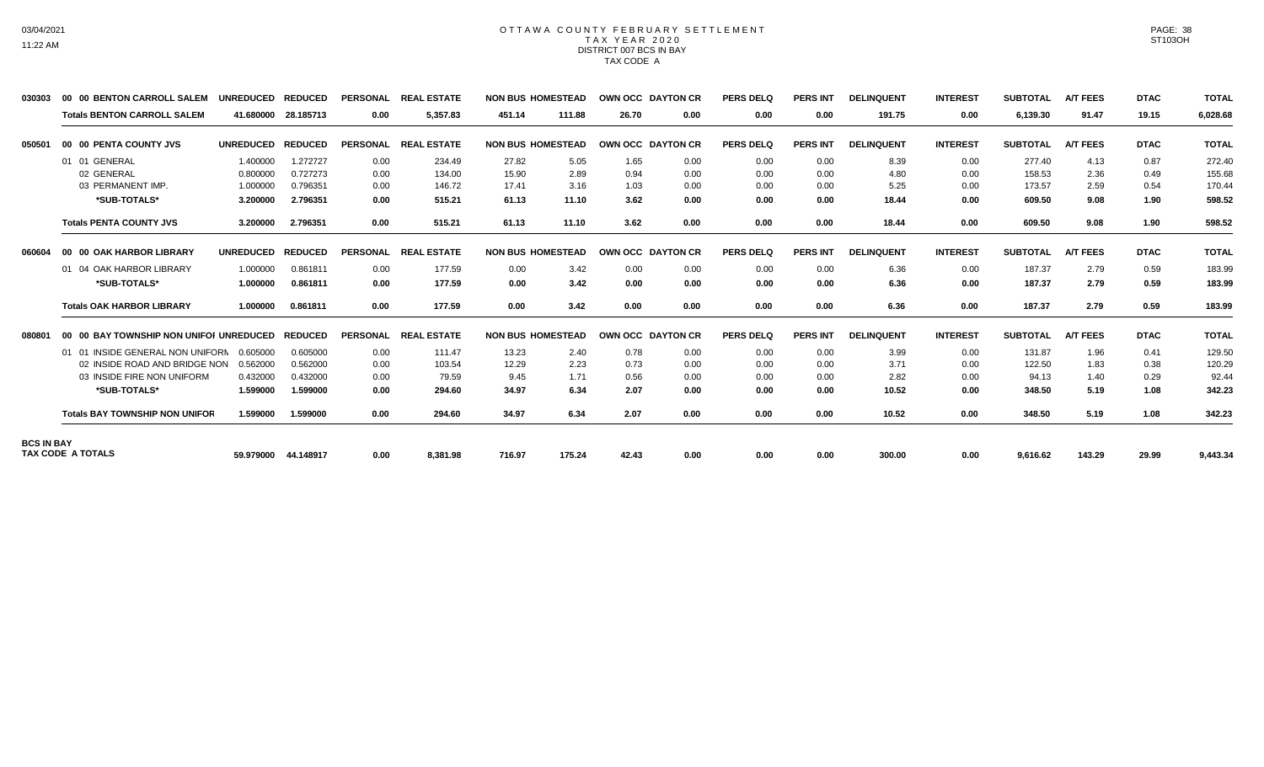#### OTTAWA COUNTY FEBRUARY SETTLEMENT TAX YEAR 2020 DISTRICT 007 BCS IN BAY TAX CODE A

| 030303            | 00 00 BENTON CARROLL SALEM              | <b>UNREDUCED</b> | <b>REDUCED</b> | <b>PERSONAL</b> | <b>REAL ESTATE</b> |        | <b>NON BUS HOMESTEAD</b> | OWN OCC DAYTON CR |                   | <b>PERS DELQ</b> | <b>PERS INT</b> | <b>DELINQUENT</b> | <b>INTEREST</b> | <b>SUBTOTAL</b> | <b>A/T FEES</b> | <b>DTAC</b> | <b>TOTAL</b> |
|-------------------|-----------------------------------------|------------------|----------------|-----------------|--------------------|--------|--------------------------|-------------------|-------------------|------------------|-----------------|-------------------|-----------------|-----------------|-----------------|-------------|--------------|
|                   | <b>Totals BENTON CARROLL SALEM</b>      | 41.680000        | 28.185713      | 0.00            | 5.357.83           | 451.14 | 111.88                   | 26.70             | 0.00              | 0.00             | 0.00            | 191.75            | 0.00            | 6,139.30        | 91.47           | 19.15       | 6,028.68     |
| 050501            | 00 00 PENTA COUNTY JVS                  | <b>UNREDUCED</b> | <b>REDUCED</b> | <b>PERSONAL</b> | <b>REAL ESTATE</b> |        | <b>NON BUS HOMESTEAD</b> | OWN OCC DAYTON CR |                   | <b>PERS DELQ</b> | <b>PERS INT</b> | <b>DELINQUENT</b> | <b>INTEREST</b> | <b>SUBTOTAL</b> | <b>A/T FEES</b> | <b>DTAC</b> | <b>TOTAL</b> |
|                   | 01 01 GENERAL                           | 1.400000         | 1.272727       | 0.00            | 234.49             | 27.82  | 5.05                     | 1.65              | 0.00              | 0.00             | 0.00            | 8.39              | 0.00            | 277.40          | 4.13            | 0.87        | 272.40       |
|                   | 02 GENERAL                              | 0.800000         | 0.727273       | 0.00            | 134.00             | 15.90  | 2.89                     | 0.94              | 0.00              | 0.00             | 0.00            | 4.80              | 0.00            | 158.53          | 2.36            | 0.49        | 155.68       |
|                   | 03 PERMANENT IMP.                       | 1.000000         | 0.796351       | 0.00            | 146.72             | 17.41  | 3.16                     | 1.03              | 0.00              | 0.00             | 0.00            | 5.25              | 0.00            | 173.57          | 2.59            | 0.54        | 170.44       |
|                   | *SUB-TOTALS*                            | 3.200000         | 2.796351       | 0.00            | 515.21             | 61.13  | 11.10                    | 3.62              | 0.00              | 0.00             | 0.00            | 18.44             | 0.00            | 609.50          | 9.08            | 1.90        | 598.52       |
|                   | <b>Totals PENTA COUNTY JVS</b>          | 3.200000         | 2.796351       | 0.00            | 515.21             | 61.13  | 11.10                    | 3.62              | 0.00              | 0.00             | 0.00            | 18.44             | 0.00            | 609.50          | 9.08            | 1.90        | 598.52       |
| 060604            | 00 00 OAK HARBOR LIBRARY                | <b>UNREDUCED</b> | <b>REDUCED</b> | <b>PERSONAL</b> | <b>REAL ESTATE</b> |        | <b>NON BUS HOMESTEAD</b> |                   | OWN OCC DAYTON CR | <b>PERS DELQ</b> | <b>PERS INT</b> | <b>DELINQUENT</b> | <b>INTEREST</b> | <b>SUBTOTAL</b> | <b>A/T FEES</b> | <b>DTAC</b> | <b>TOTAL</b> |
|                   | 01 04 OAK HARBOR LIBRARY                | 1.000000         | 0.861811       | 0.00            | 177.59             | 0.00   | 3.42                     | 0.00              | 0.00              | 0.00             | 0.00            | 6.36              | 0.00            | 187.37          | 2.79            | 0.59        | 183.99       |
|                   | *SUB-TOTALS*                            | 1.000000         | 0.861811       | 0.00            | 177.59             | 0.00   | 3.42                     | 0.00              | 0.00              | 0.00             | 0.00            | 6.36              | 0.00            | 187.37          | 2.79            | 0.59        | 183.99       |
|                   | <b>Totals OAK HARBOR LIBRARY</b>        | 1.000000         | 0.861811       | 0.00            | 177.59             | 0.00   | 3.42                     | 0.00              | 0.00              | 0.00             | 0.00            | 6.36              | 0.00            | 187.37          | 2.79            | 0.59        | 183.99       |
| 080801            | 00 00 BAY TOWNSHIP NON UNIFOI UNREDUCED |                  | <b>REDUCED</b> | <b>PERSONAL</b> | <b>REAL ESTATE</b> |        | <b>NON BUS HOMESTEAD</b> | OWN OCC DAYTON CR |                   | <b>PERS DELQ</b> | <b>PERS INT</b> | <b>DELINQUENT</b> | <b>INTEREST</b> | <b>SUBTOTAL</b> | <b>A/T FEES</b> | <b>DTAC</b> | <b>TOTAL</b> |
|                   | 01 01 INSIDE GENERAL NON UNIFORN        | 0.605000         | 0.605000       | 0.00            | 111.47             | 13.23  | 2.40                     | 0.78              | 0.00              | 0.00             | 0.00            | 3.99              | 0.00            | 131.87          | 1.96            | 0.41        | 129.50       |
|                   | 02 INSIDE ROAD AND BRIDGE NON           | 0.562000         | 0.562000       | 0.00            | 103.54             | 12.29  | 2.23                     | 0.73              | 0.00              | 0.00             | 0.00            | 3.71              | 0.00            | 122.50          | 1.83            | 0.38        | 120.29       |
|                   | 03 INSIDE FIRE NON UNIFORM              | 0.432000         | 0.432000       | 0.00            | 79.59              | 9.45   | 1.71                     | 0.56              | 0.00              | 0.00             | 0.00            | 2.82              | 0.00            | 94.13           | 1.40            | 0.29        | 92.44        |
|                   | *SUB-TOTALS*                            | 1.599000         | 1.599000       | 0.00            | 294.60             | 34.97  | 6.34                     | 2.07              | 0.00              | 0.00             | 0.00            | 10.52             | 0.00            | 348.50          | 5.19            | 1.08        | 342.23       |
|                   | <b>Totals BAY TOWNSHIP NON UNIFOR</b>   | 1.599000         | 1.599000       | 0.00            | 294.60             | 34.97  | 6.34                     | 2.07              | 0.00              | 0.00             | 0.00            | 10.52             | 0.00            | 348.50          | 5.19            | 1.08        | 342.23       |
| <b>BCS IN BAY</b> |                                         |                  |                |                 |                    |        |                          |                   |                   |                  |                 |                   |                 |                 |                 |             |              |
|                   | <b>TAX CODE A TOTALS</b>                | 59.979000        | 44.148917      | 0.00            | 8,381.98           | 716.97 | 175.24                   | 42.43             | 0.00              | 0.00             | 0.00            | 300.00            | 0.00            | 9,616.62        | 143.29          | 29.99       | 9,443.34     |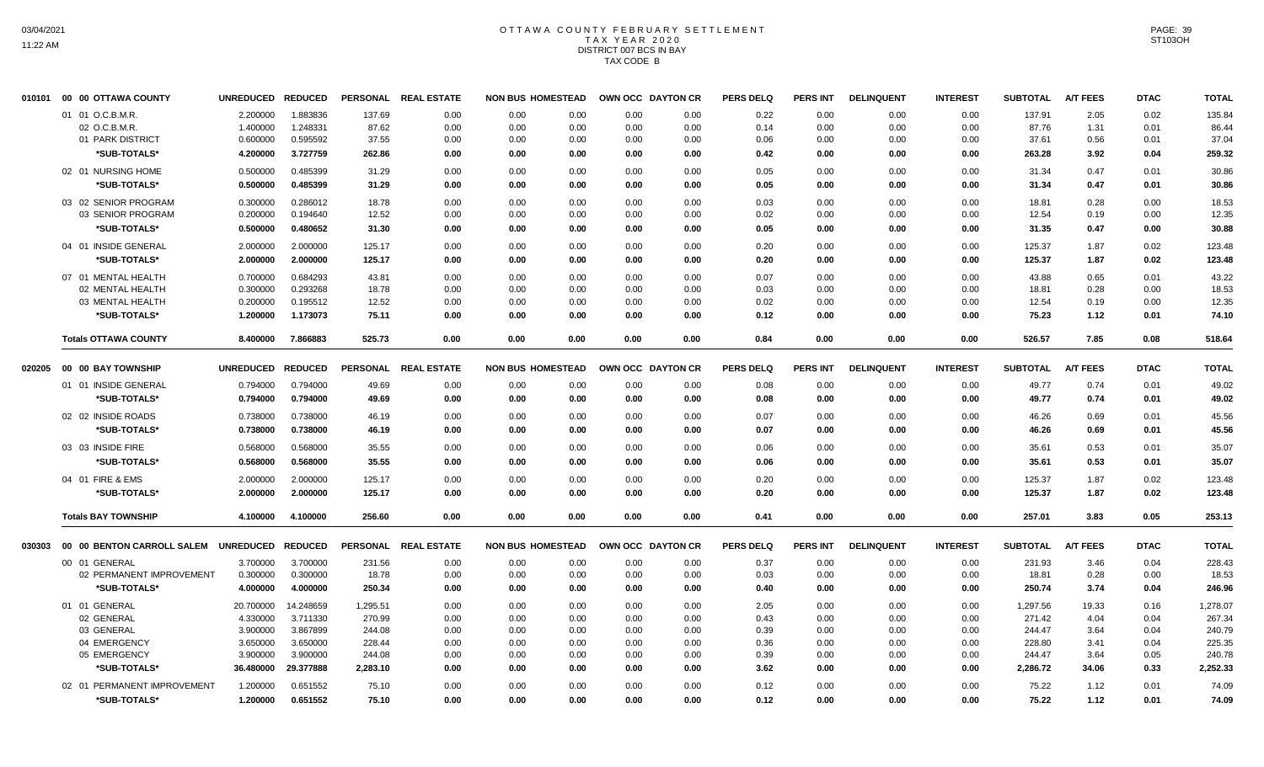# OTTAWA COUNTY FEBRUARY SETTLEMENT TAX YEAR 2020 DISTRICT 007 BCS IN BAY TAX CODE B

| 010101 00 00 OTTAWA COUNTY  | <b>UNREDUCED</b>                                                                                                                                                                 | <b>REDUCED</b>                                                                                                           |                                                                                                                                                    |                                                                        |                                                                                                                                      |                                                              |                                                                                                                                                                                                                                                                                                                                                                                  | <b>PERS DELQ</b>                                                                                                                                                                                                                                                                                                                                                                                                    | <b>PERS INT</b>                                                                  | <b>DELINQUENT</b>                                                               | <b>INTEREST</b>                                                                   | <b>SUBTOTAL</b>                                                                         | <b>A/T FEES</b>                                                                           | <b>DTAC</b>                                                                     | <b>TOTAL</b>                                                                |
|-----------------------------|----------------------------------------------------------------------------------------------------------------------------------------------------------------------------------|--------------------------------------------------------------------------------------------------------------------------|----------------------------------------------------------------------------------------------------------------------------------------------------|------------------------------------------------------------------------|--------------------------------------------------------------------------------------------------------------------------------------|--------------------------------------------------------------|----------------------------------------------------------------------------------------------------------------------------------------------------------------------------------------------------------------------------------------------------------------------------------------------------------------------------------------------------------------------------------|---------------------------------------------------------------------------------------------------------------------------------------------------------------------------------------------------------------------------------------------------------------------------------------------------------------------------------------------------------------------------------------------------------------------|----------------------------------------------------------------------------------|---------------------------------------------------------------------------------|-----------------------------------------------------------------------------------|-----------------------------------------------------------------------------------------|-------------------------------------------------------------------------------------------|---------------------------------------------------------------------------------|-----------------------------------------------------------------------------|
| 01 01 O.C.B.M.R.            | 2.200000                                                                                                                                                                         | 1.883836                                                                                                                 | 137.69                                                                                                                                             | 0.00                                                                   | 0.00                                                                                                                                 |                                                              | 0.00                                                                                                                                                                                                                                                                                                                                                                             | 0.22                                                                                                                                                                                                                                                                                                                                                                                                                | 0.00                                                                             | 0.00                                                                            | 0.00                                                                              | 137.91                                                                                  | 2.05                                                                                      | 0.02                                                                            | 135.84                                                                      |
| 02 O.C.B.M.R                | 1.400000                                                                                                                                                                         | 1.248331                                                                                                                 | 87.62                                                                                                                                              | 0.00                                                                   | 0.00                                                                                                                                 |                                                              | 0.00                                                                                                                                                                                                                                                                                                                                                                             | 0.14                                                                                                                                                                                                                                                                                                                                                                                                                | 0.00                                                                             | 0.00                                                                            | 0.00                                                                              | 87.76                                                                                   | 1.31                                                                                      | 0.01                                                                            | 86.44                                                                       |
| 01 PARK DISTRICT            | 0.600000                                                                                                                                                                         | 0.595592                                                                                                                 | 37.55                                                                                                                                              | 0.00                                                                   | 0.00                                                                                                                                 |                                                              | 0.00                                                                                                                                                                                                                                                                                                                                                                             | 0.06                                                                                                                                                                                                                                                                                                                                                                                                                | 0.00                                                                             | 0.00                                                                            | 0.00                                                                              | 37.61                                                                                   | 0.56                                                                                      | 0.01                                                                            | 37.04                                                                       |
| *SUB-TOTALS*                | 4.200000                                                                                                                                                                         | 3.727759                                                                                                                 | 262.86                                                                                                                                             | 0.00                                                                   | 0.00                                                                                                                                 |                                                              | 0.00                                                                                                                                                                                                                                                                                                                                                                             | 0.42                                                                                                                                                                                                                                                                                                                                                                                                                | 0.00                                                                             | 0.00                                                                            | 0.00                                                                              | 263.28                                                                                  | 3.92                                                                                      | 0.04                                                                            | 259.32                                                                      |
| 02 01 NURSING HOME          | 0.500000                                                                                                                                                                         | 0.485399                                                                                                                 | 31.29                                                                                                                                              | 0.00                                                                   | 0.00                                                                                                                                 |                                                              | 0.00                                                                                                                                                                                                                                                                                                                                                                             | 0.05                                                                                                                                                                                                                                                                                                                                                                                                                | 0.00                                                                             | 0.00                                                                            | 0.00                                                                              | 31.34                                                                                   | 0.47                                                                                      | 0.01                                                                            | 30.86                                                                       |
| *SUB-TOTALS*                | 0.500000                                                                                                                                                                         | 0.485399                                                                                                                 | 31.29                                                                                                                                              | 0.00                                                                   | 0.00                                                                                                                                 |                                                              | 0.00                                                                                                                                                                                                                                                                                                                                                                             | 0.05                                                                                                                                                                                                                                                                                                                                                                                                                | 0.00                                                                             | 0.00                                                                            | 0.00                                                                              | 31.34                                                                                   | 0.47                                                                                      | 0.01                                                                            | 30.86                                                                       |
| 03 02 SENIOR PROGRAM        | 0.300000                                                                                                                                                                         | 0.286012                                                                                                                 | 18.78                                                                                                                                              | 0.00                                                                   | 0.00                                                                                                                                 |                                                              | 0.00                                                                                                                                                                                                                                                                                                                                                                             | 0.03                                                                                                                                                                                                                                                                                                                                                                                                                | 0.00                                                                             | 0.00                                                                            | 0.00                                                                              | 18.81                                                                                   | 0.28                                                                                      | 0.00                                                                            | 18.53                                                                       |
| 03 SENIOR PROGRAM           | 0.200000                                                                                                                                                                         | 0.194640                                                                                                                 | 12.52                                                                                                                                              | 0.00                                                                   | 0.00                                                                                                                                 |                                                              | 0.00                                                                                                                                                                                                                                                                                                                                                                             | 0.02                                                                                                                                                                                                                                                                                                                                                                                                                | 0.00                                                                             | 0.00                                                                            | 0.00                                                                              | 12.54                                                                                   | 0.19                                                                                      | 0.00                                                                            | 12.35                                                                       |
| *SUB-TOTALS*                | 0.500000                                                                                                                                                                         | 0.480652                                                                                                                 | 31.30                                                                                                                                              | 0.00                                                                   | 0.00                                                                                                                                 |                                                              | 0.00                                                                                                                                                                                                                                                                                                                                                                             | 0.05                                                                                                                                                                                                                                                                                                                                                                                                                | 0.00                                                                             | 0.00                                                                            | 0.00                                                                              | 31.35                                                                                   | 0.47                                                                                      | 0.00                                                                            | 30.88                                                                       |
| 04 01 INSIDE GENERAL        | 2.000000                                                                                                                                                                         | 2.000000                                                                                                                 | 125.17                                                                                                                                             | 0.00                                                                   | 0.00                                                                                                                                 |                                                              | 0.00                                                                                                                                                                                                                                                                                                                                                                             | 0.20                                                                                                                                                                                                                                                                                                                                                                                                                | 0.00                                                                             | 0.00                                                                            | 0.00                                                                              | 125.37                                                                                  | 1.87                                                                                      | 0.02                                                                            | 123.48                                                                      |
| *SUB-TOTALS*                | 2.000000                                                                                                                                                                         | 2.000000                                                                                                                 | 125.17                                                                                                                                             | 0.00                                                                   | 0.00                                                                                                                                 |                                                              | 0.00                                                                                                                                                                                                                                                                                                                                                                             | 0.20                                                                                                                                                                                                                                                                                                                                                                                                                | 0.00                                                                             | 0.00                                                                            | 0.00                                                                              | 125.37                                                                                  | 1.87                                                                                      | 0.02                                                                            | 123.48                                                                      |
| 07 01 MENTAL HEALTH         | 0.700000                                                                                                                                                                         | 0.684293                                                                                                                 | 43.81                                                                                                                                              | 0.00                                                                   | 0.00                                                                                                                                 |                                                              | 0.00                                                                                                                                                                                                                                                                                                                                                                             | 0.07                                                                                                                                                                                                                                                                                                                                                                                                                | 0.00                                                                             | 0.00                                                                            | 0.00                                                                              | 43.88                                                                                   | 0.65                                                                                      | 0.01                                                                            | 43.22                                                                       |
| 02 MENTAL HEALTH            | 0.300000                                                                                                                                                                         | 0.293268                                                                                                                 | 18.78                                                                                                                                              | 0.00                                                                   | 0.00                                                                                                                                 |                                                              | 0.00                                                                                                                                                                                                                                                                                                                                                                             | 0.03                                                                                                                                                                                                                                                                                                                                                                                                                | 0.00                                                                             | 0.00                                                                            | 0.00                                                                              | 18.81                                                                                   | 0.28                                                                                      | 0.00                                                                            | 18.53                                                                       |
| 03 MENTAL HEALTH            | 0.200000                                                                                                                                                                         | 0.195512                                                                                                                 | 12.52                                                                                                                                              | 0.00                                                                   | 0.00                                                                                                                                 |                                                              | 0.00                                                                                                                                                                                                                                                                                                                                                                             | 0.02                                                                                                                                                                                                                                                                                                                                                                                                                | 0.00                                                                             | 0.00                                                                            | 0.00                                                                              | 12.54                                                                                   | 0.19                                                                                      | 0.00                                                                            | 12.35                                                                       |
| *SUB-TOTALS*                | 1.200000                                                                                                                                                                         | 1.173073                                                                                                                 | 75.11                                                                                                                                              | 0.00                                                                   | 0.00                                                                                                                                 |                                                              | 0.00                                                                                                                                                                                                                                                                                                                                                                             | 0.12                                                                                                                                                                                                                                                                                                                                                                                                                | 0.00                                                                             | 0.00                                                                            | 0.00                                                                              | 75.23                                                                                   | 1.12                                                                                      | 0.01                                                                            | 74.10                                                                       |
| <b>Totals OTTAWA COUNTY</b> | 8.400000                                                                                                                                                                         | 7.866883                                                                                                                 | 525.73                                                                                                                                             | 0.00                                                                   | 0.00                                                                                                                                 | 0.00                                                         | 0.00                                                                                                                                                                                                                                                                                                                                                                             | 0.84                                                                                                                                                                                                                                                                                                                                                                                                                | 0.00                                                                             | 0.00                                                                            | 0.00                                                                              | 526.57                                                                                  | 7.85                                                                                      | 0.08                                                                            | 518.64                                                                      |
|                             |                                                                                                                                                                                  |                                                                                                                          |                                                                                                                                                    |                                                                        |                                                                                                                                      |                                                              |                                                                                                                                                                                                                                                                                                                                                                                  |                                                                                                                                                                                                                                                                                                                                                                                                                     |                                                                                  |                                                                                 |                                                                                   |                                                                                         |                                                                                           |                                                                                 | <b>TOTAL</b>                                                                |
|                             |                                                                                                                                                                                  |                                                                                                                          |                                                                                                                                                    |                                                                        |                                                                                                                                      |                                                              |                                                                                                                                                                                                                                                                                                                                                                                  |                                                                                                                                                                                                                                                                                                                                                                                                                     |                                                                                  |                                                                                 |                                                                                   |                                                                                         |                                                                                           |                                                                                 | 49.02                                                                       |
|                             |                                                                                                                                                                                  |                                                                                                                          |                                                                                                                                                    |                                                                        |                                                                                                                                      |                                                              |                                                                                                                                                                                                                                                                                                                                                                                  |                                                                                                                                                                                                                                                                                                                                                                                                                     |                                                                                  |                                                                                 |                                                                                   |                                                                                         |                                                                                           |                                                                                 | 49.02                                                                       |
|                             |                                                                                                                                                                                  |                                                                                                                          |                                                                                                                                                    |                                                                        |                                                                                                                                      |                                                              |                                                                                                                                                                                                                                                                                                                                                                                  |                                                                                                                                                                                                                                                                                                                                                                                                                     |                                                                                  |                                                                                 |                                                                                   |                                                                                         |                                                                                           |                                                                                 | 45.56                                                                       |
|                             |                                                                                                                                                                                  |                                                                                                                          |                                                                                                                                                    |                                                                        |                                                                                                                                      |                                                              |                                                                                                                                                                                                                                                                                                                                                                                  |                                                                                                                                                                                                                                                                                                                                                                                                                     |                                                                                  |                                                                                 |                                                                                   |                                                                                         |                                                                                           |                                                                                 | 45.56                                                                       |
|                             |                                                                                                                                                                                  |                                                                                                                          |                                                                                                                                                    |                                                                        |                                                                                                                                      |                                                              |                                                                                                                                                                                                                                                                                                                                                                                  |                                                                                                                                                                                                                                                                                                                                                                                                                     |                                                                                  |                                                                                 |                                                                                   |                                                                                         |                                                                                           |                                                                                 |                                                                             |
|                             |                                                                                                                                                                                  |                                                                                                                          |                                                                                                                                                    |                                                                        |                                                                                                                                      |                                                              |                                                                                                                                                                                                                                                                                                                                                                                  |                                                                                                                                                                                                                                                                                                                                                                                                                     |                                                                                  |                                                                                 |                                                                                   |                                                                                         |                                                                                           |                                                                                 | 35.07<br>35.07                                                              |
|                             |                                                                                                                                                                                  |                                                                                                                          |                                                                                                                                                    |                                                                        |                                                                                                                                      |                                                              |                                                                                                                                                                                                                                                                                                                                                                                  |                                                                                                                                                                                                                                                                                                                                                                                                                     |                                                                                  |                                                                                 |                                                                                   |                                                                                         |                                                                                           |                                                                                 |                                                                             |
|                             |                                                                                                                                                                                  |                                                                                                                          |                                                                                                                                                    |                                                                        |                                                                                                                                      |                                                              |                                                                                                                                                                                                                                                                                                                                                                                  |                                                                                                                                                                                                                                                                                                                                                                                                                     |                                                                                  |                                                                                 |                                                                                   |                                                                                         |                                                                                           |                                                                                 | 123.48                                                                      |
|                             |                                                                                                                                                                                  |                                                                                                                          |                                                                                                                                                    |                                                                        |                                                                                                                                      |                                                              |                                                                                                                                                                                                                                                                                                                                                                                  |                                                                                                                                                                                                                                                                                                                                                                                                                     |                                                                                  |                                                                                 |                                                                                   |                                                                                         |                                                                                           |                                                                                 | 123.48                                                                      |
| <b>Totals BAY TOWNSHIP</b>  | 4.100000                                                                                                                                                                         | 4.100000                                                                                                                 | 256.60                                                                                                                                             | 0.00                                                                   | 0.00                                                                                                                                 |                                                              | 0.00                                                                                                                                                                                                                                                                                                                                                                             | 0.41                                                                                                                                                                                                                                                                                                                                                                                                                | 0.00                                                                             | 0.00                                                                            | 0.00                                                                              | 257.01                                                                                  | 3.83                                                                                      | 0.05                                                                            | 253.13                                                                      |
| 00 00 BENTON CARROLL SALEM  |                                                                                                                                                                                  |                                                                                                                          |                                                                                                                                                    |                                                                        |                                                                                                                                      |                                                              |                                                                                                                                                                                                                                                                                                                                                                                  | <b>PERS DELQ</b>                                                                                                                                                                                                                                                                                                                                                                                                    | <b>PERS INT</b>                                                                  | <b>DELINQUENT</b>                                                               | <b>INTEREST</b>                                                                   | <b>SUBTOTAL</b>                                                                         | <b>A/T FEES</b>                                                                           | <b>DTAC</b>                                                                     | <b>TOTAL</b>                                                                |
| 00 01 GENERAL               | 3.700000                                                                                                                                                                         | 3.700000                                                                                                                 | 231.56                                                                                                                                             | 0.00                                                                   | 0.00                                                                                                                                 |                                                              | 0.00                                                                                                                                                                                                                                                                                                                                                                             | 0.37                                                                                                                                                                                                                                                                                                                                                                                                                | 0.00                                                                             | 0.00                                                                            | 0.00                                                                              | 231.93                                                                                  | 3.46                                                                                      | 0.04                                                                            | 228.43                                                                      |
|                             | 0.300000                                                                                                                                                                         | 0.300000                                                                                                                 | 18.78                                                                                                                                              | 0.00                                                                   | 0.00                                                                                                                                 |                                                              | 0.00                                                                                                                                                                                                                                                                                                                                                                             | 0.03                                                                                                                                                                                                                                                                                                                                                                                                                | 0.00                                                                             | 0.00                                                                            | 0.00                                                                              | 18.81                                                                                   | 0.28                                                                                      | 0.00                                                                            | 18.53                                                                       |
| *SUB-TOTALS*                | 4.000000                                                                                                                                                                         | 4.000000                                                                                                                 | 250.34                                                                                                                                             | 0.00                                                                   | 0.00                                                                                                                                 |                                                              | 0.00                                                                                                                                                                                                                                                                                                                                                                             | 0.40                                                                                                                                                                                                                                                                                                                                                                                                                | 0.00                                                                             | 0.00                                                                            | 0.00                                                                              | 250.74                                                                                  | 3.74                                                                                      | 0.04                                                                            | 246.96                                                                      |
| 01 01 GENERAL               | 20.700000                                                                                                                                                                        | 14.248659                                                                                                                | 1,295.51                                                                                                                                           | 0.00                                                                   | 0.00                                                                                                                                 |                                                              | 0.00                                                                                                                                                                                                                                                                                                                                                                             | 2.05                                                                                                                                                                                                                                                                                                                                                                                                                | 0.00                                                                             | 0.00                                                                            | 0.00                                                                              | 1,297.56                                                                                | 19.33                                                                                     | 0.16                                                                            | 1,278.07                                                                    |
| 02 GENERAL                  | 4.330000                                                                                                                                                                         | 3.711330                                                                                                                 | 270.99                                                                                                                                             | 0.00                                                                   | 0.00                                                                                                                                 |                                                              | 0.00                                                                                                                                                                                                                                                                                                                                                                             | 0.43                                                                                                                                                                                                                                                                                                                                                                                                                | 0.00                                                                             | 0.00                                                                            | 0.00                                                                              | 271.42                                                                                  | 4.04                                                                                      | 0.04                                                                            | 267.34                                                                      |
| 03 GENERAL                  | 3.900000                                                                                                                                                                         |                                                                                                                          | 244.08                                                                                                                                             | 0.00                                                                   | 0.00                                                                                                                                 |                                                              | 0.00                                                                                                                                                                                                                                                                                                                                                                             | 0.39                                                                                                                                                                                                                                                                                                                                                                                                                | 0.00                                                                             | 0.00                                                                            |                                                                                   | 244.47                                                                                  | 3.64                                                                                      | 0.04                                                                            | 240.79                                                                      |
| 04 EMERGENCY                | 3.650000                                                                                                                                                                         | 3.650000                                                                                                                 | 228.44                                                                                                                                             | 0.00                                                                   | 0.00                                                                                                                                 |                                                              | 0.00                                                                                                                                                                                                                                                                                                                                                                             | 0.36                                                                                                                                                                                                                                                                                                                                                                                                                | 0.00                                                                             | 0.00                                                                            | 0.00                                                                              | 228.80                                                                                  | 3.41                                                                                      | 0.04                                                                            | 225.35                                                                      |
| 05 EMERGENCY                | 3.900000                                                                                                                                                                         | 3.900000                                                                                                                 | 244.08                                                                                                                                             | 0.00                                                                   | 0.00                                                                                                                                 |                                                              | 0.00                                                                                                                                                                                                                                                                                                                                                                             | 0.39                                                                                                                                                                                                                                                                                                                                                                                                                | 0.00                                                                             | 0.00                                                                            | 0.00                                                                              | 244.47                                                                                  | 3.64                                                                                      | 0.05                                                                            | 240.78                                                                      |
| *SUB-TOTALS*                | 36.480000                                                                                                                                                                        | 29.377888                                                                                                                | 2,283.10                                                                                                                                           | 0.00                                                                   | 0.00                                                                                                                                 |                                                              | 0.00                                                                                                                                                                                                                                                                                                                                                                             | 3.62                                                                                                                                                                                                                                                                                                                                                                                                                | 0.00                                                                             | 0.00                                                                            | 0.00                                                                              | 2,286.72                                                                                | 34.06                                                                                     | 0.33                                                                            | 2,252.33                                                                    |
| 02 01 PERMANENT IMPROVEMENT | 1.200000                                                                                                                                                                         | 0.651552                                                                                                                 | 75.10                                                                                                                                              | 0.00                                                                   | 0.00                                                                                                                                 |                                                              | 0.00                                                                                                                                                                                                                                                                                                                                                                             | 0.12                                                                                                                                                                                                                                                                                                                                                                                                                | 0.00                                                                             | 0.00                                                                            | 0.00                                                                              | 75.22                                                                                   | 1.12                                                                                      | 0.01                                                                            | 74.09                                                                       |
| *SUB-TOTALS*                | 1.200000                                                                                                                                                                         | 0.651552                                                                                                                 | 75.10                                                                                                                                              | 0.00                                                                   | 0.00                                                                                                                                 |                                                              | 0.00                                                                                                                                                                                                                                                                                                                                                                             | 0.12                                                                                                                                                                                                                                                                                                                                                                                                                | 0.00                                                                             | 0.00                                                                            | 0.00                                                                              | 75.22                                                                                   | 1.12                                                                                      | 0.01                                                                            | 74.09                                                                       |
|                             | <b>00 00 BAY TOWNSHIP</b><br>01 01 INSIDE GENERAL<br>*SUB-TOTALS*<br>02 02 INSIDE ROADS<br>*SUB-TOTALS*<br>03 03 INSIDE FIRE<br>*SUB-TOTALS*<br>04 01 FIRE & EMS<br>*SUB-TOTALS* | 0.794000<br>0.794000<br>0.738000<br>0.738000<br>0.568000<br>0.568000<br>2.000000<br>2.000000<br>02 PERMANENT IMPROVEMENT | UNREDUCED REDUCED<br>0.794000<br>0.794000<br>0.738000<br>0.738000<br>0.568000<br>0.568000<br>2.000000<br>2.000000<br>UNREDUCED REDUCED<br>3.867899 | 49.69<br>49.69<br>46.19<br>46.19<br>35.55<br>35.55<br>125.17<br>125.17 | PERSONAL REAL ESTATE<br>PERSONAL REAL ESTATE<br>0.00<br>0.00<br>0.00<br>0.00<br>0.00<br>0.00<br>0.00<br>0.00<br>PERSONAL REAL ESTATE | 0.00<br>0.00<br>0.00<br>0.00<br>0.00<br>0.00<br>0.00<br>0.00 | <b>NON BUS HOMESTEAD</b><br>0.00<br>0.00<br>0.00<br>0.00<br>0.00<br>0.00<br>0.00<br>0.00<br>0.00<br>0.00<br>0.00<br>0.00<br>0.00<br>0.00<br>0.00<br>0.00<br><b>NON BUS HOMESTEAD</b><br>0.00<br>0.00<br>0.00<br>0.00<br>0.00<br>0.00<br>0.00<br>0.00<br>0.00<br><b>NON BUS HOMESTEAD</b><br>0.00<br>0.00<br>0.00<br>0.00<br>0.00<br>0.00<br>0.00<br>0.00<br>0.00<br>0.00<br>0.00 | OWN OCC DAYTON CR<br>0.00<br>0.00<br>0.00<br>0.00<br>0.00<br>0.00<br>0.00<br>0.00<br>0.00<br>0.00<br>0.00<br>0.00<br>0.00<br>0.00<br>0.00<br>OWN OCC DAYTON CR<br>0.00<br>0.00<br>0.00<br>0.00<br>0.00<br>0.00<br>0.00<br>0.00<br>0.00<br>0.00<br>0.00<br>0.00<br>0.00<br>0.00<br>0.00<br>0.00<br>0.00<br>OWN OCC DAYTON CR<br>0.00<br>0.00<br>0.00<br>0.00<br>0.00<br>0.00<br>0.00<br>0.00<br>0.00<br>0.00<br>0.00 | <b>PERS DELQ</b><br>0.08<br>0.08<br>0.07<br>0.07<br>0.06<br>0.06<br>0.20<br>0.20 | <b>PERS INT</b><br>0.00<br>0.00<br>0.00<br>0.00<br>0.00<br>0.00<br>0.00<br>0.00 | <b>DELINQUENT</b><br>0.00<br>0.00<br>0.00<br>0.00<br>0.00<br>0.00<br>0.00<br>0.00 | <b>INTEREST</b><br>0.00<br>0.00<br>0.00<br>0.00<br>0.00<br>0.00<br>0.00<br>0.00<br>0.00 | <b>SUBTOTAL</b><br>49.77<br>49.77<br>46.26<br>46.26<br>35.61<br>35.61<br>125.37<br>125.37 | <b>A/T FEES</b><br>0.74<br>0.74<br>0.69<br>0.69<br>0.53<br>0.53<br>1.87<br>1.87 | <b>DTAC</b><br>0.01<br>0.01<br>0.01<br>0.01<br>0.01<br>0.01<br>0.02<br>0.02 |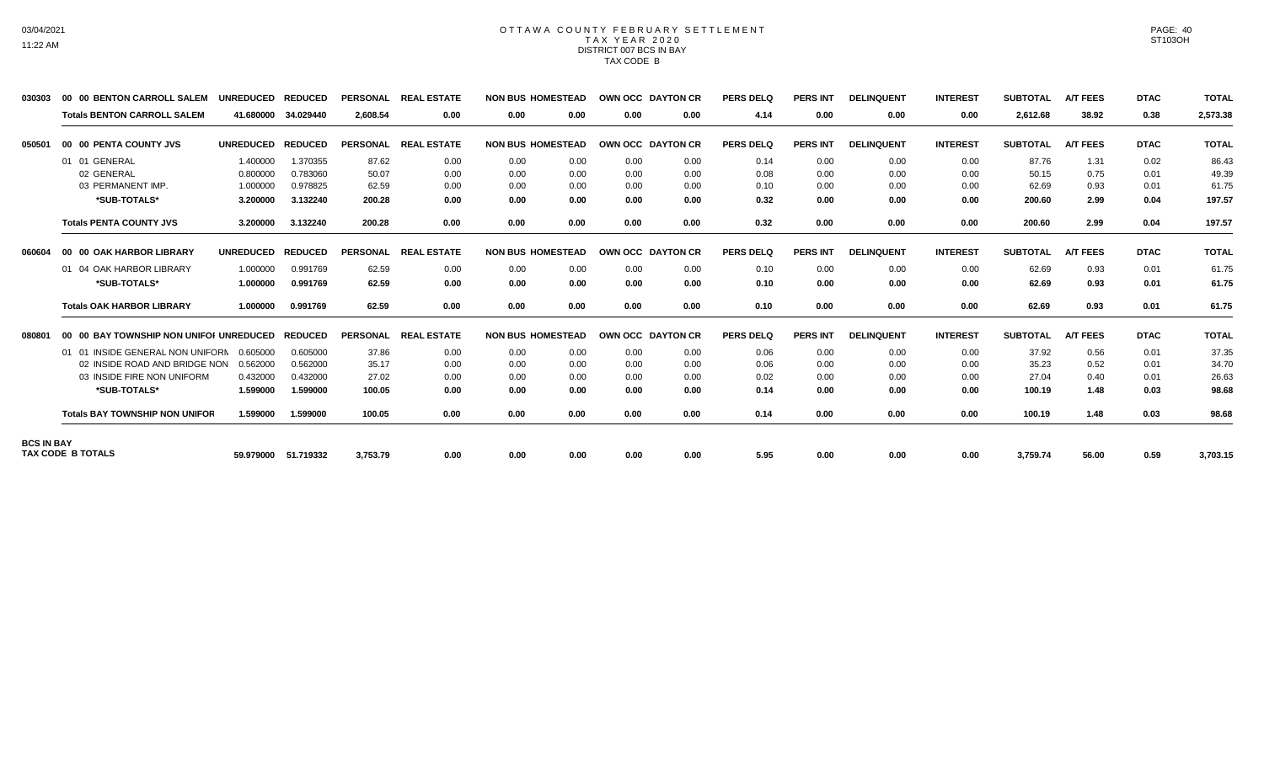#### OTTAWA COUNTY FEBRUARY SETTLEMENT TAX YEAR 2020 DISTRICT 007 BCS IN BAY TAX CODE B

| 030303            | 00 00 BENTON CARROLL SALEM              | <b>UNREDUCED</b> | <b>REDUCED</b> | <b>PERSONAL</b> | <b>REAL ESTATE</b> | <b>NON BUS HOMESTEAD</b> |      |      | OWN OCC DAYTON CR | <b>PERS DELQ</b> | <b>PERS INT</b> | <b>DELINQUENT</b> | <b>INTEREST</b> | <b>SUBTOTAL</b> | <b>A/T FEES</b> | <b>DTAC</b> | <b>TOTAL</b> |
|-------------------|-----------------------------------------|------------------|----------------|-----------------|--------------------|--------------------------|------|------|-------------------|------------------|-----------------|-------------------|-----------------|-----------------|-----------------|-------------|--------------|
|                   | <b>Totals BENTON CARROLL SALEM</b>      | 41.680000        | 34.029440      | 2,608.54        | 0.00               | 0.00                     | 0.00 | 0.00 | 0.00              | 4.14             | 0.00            | 0.00              | 0.00            | 2,612.68        | 38.92           | 0.38        | 2,573.38     |
| 050501            | 00 00 PENTA COUNTY JVS                  | <b>UNREDUCED</b> | <b>REDUCED</b> | <b>PERSONAL</b> | <b>REAL ESTATE</b> | <b>NON BUS HOMESTEAD</b> |      |      | OWN OCC DAYTON CR | <b>PERS DELQ</b> | <b>PERS INT</b> | <b>DELINQUENT</b> | <b>INTEREST</b> | <b>SUBTOTAL</b> | <b>A/T FEES</b> | <b>DTAC</b> | <b>TOTAL</b> |
|                   | 01 01 GENERAL                           | 1.400000         | 1.370355       | 87.62           | 0.00               | 0.00                     | 0.00 | 0.00 | 0.00              | 0.14             | 0.00            | 0.00              | 0.00            | 87.76           | 1.31            | 0.02        | 86.43        |
|                   | 02 GENERAL                              | 0.800000         | 0.783060       | 50.07           | 0.00               | 0.00                     | 0.00 | 0.00 | 0.00              | 0.08             | 0.00            | 0.00              | 0.00            | 50.15           | 0.75            | 0.01        | 49.39        |
|                   | 03 PERMANENT IMP.                       | 1.000000         | 0.978825       | 62.59           | 0.00               | 0.00                     | 0.00 | 0.00 | 0.00              | 0.10             | 0.00            | 0.00              | 0.00            | 62.69           | 0.93            | 0.01        | 61.75        |
|                   | *SUB-TOTALS*                            | 3.200000         | 3.132240       | 200.28          | 0.00               | 0.00                     | 0.00 | 0.00 | 0.00              | 0.32             | 0.00            | 0.00              | 0.00            | 200.60          | 2.99            | 0.04        | 197.57       |
|                   | <b>Totals PENTA COUNTY JVS</b>          | 3.200000         | 3.132240       | 200.28          | 0.00               | 0.00                     | 0.00 | 0.00 | 0.00              | 0.32             | 0.00            | 0.00              | 0.00            | 200.60          | 2.99            | 0.04        | 197.57       |
| 060604            | 00 00 OAK HARBOR LIBRARY                | <b>UNREDUCED</b> | <b>REDUCED</b> | <b>PERSONAL</b> | <b>REAL ESTATE</b> | <b>NON BUS HOMESTEAD</b> |      |      | OWN OCC DAYTON CR | <b>PERS DELQ</b> | <b>PERS INT</b> | <b>DELINQUENT</b> | <b>INTEREST</b> | <b>SUBTOTAL</b> | <b>A/T FEES</b> | <b>DTAC</b> | <b>TOTAL</b> |
|                   | 01 04 OAK HARBOR LIBRARY                | 1.000000         | 0.991769       | 62.59           | 0.00               | 0.00                     | 0.00 | 0.00 | 0.00              | 0.10             | 0.00            | 0.00              | 0.00            | 62.69           | 0.93            | 0.01        | 61.75        |
|                   | *SUB-TOTALS*                            | 1.000000         | 0.991769       | 62.59           | 0.00               | 0.00                     | 0.00 | 0.00 | 0.00              | 0.10             | 0.00            | 0.00              | 0.00            | 62.69           | 0.93            | 0.01        | 61.75        |
|                   | <b>Totals OAK HARBOR LIBRARY</b>        | 1.000000         | 0.991769       | 62.59           | 0.00               | 0.00                     | 0.00 | 0.00 | 0.00              | 0.10             | 0.00            | 0.00              | 0.00            | 62.69           | 0.93            | 0.01        | 61.75        |
| 080801            | 00 00 BAY TOWNSHIP NON UNIFOI UNREDUCED |                  | <b>REDUCED</b> | <b>PERSONAL</b> | <b>REAL ESTATE</b> | <b>NON BUS HOMESTEAD</b> |      |      | OWN OCC DAYTON CR | <b>PERS DELQ</b> | <b>PERS INT</b> | <b>DELINQUENT</b> | <b>INTEREST</b> | <b>SUBTOTAL</b> | <b>A/T FEES</b> | <b>DTAC</b> | <b>TOTAL</b> |
|                   | 01 01 INSIDE GENERAL NON UNIFORN        | 0.605000         | 0.605000       | 37.86           | 0.00               | 0.00                     | 0.00 | 0.00 | 0.00              | 0.06             | 0.00            | 0.00              | 0.00            | 37.92           | 0.56            | 0.01        | 37.35        |
|                   | 02 INSIDE ROAD AND BRIDGE NON           | 0.562000         | 0.562000       | 35.17           | 0.00               | 0.00                     | 0.00 | 0.00 | 0.00              | 0.06             | 0.00            | 0.00              | 0.00            | 35.23           | 0.52            | 0.01        | 34.70        |
|                   | 03 INSIDE FIRE NON UNIFORM              | 0.432000         | 0.432000       | 27.02           | 0.00               | 0.00                     | 0.00 | 0.00 | 0.00              | 0.02             | 0.00            | 0.00              | 0.00            | 27.04           | 0.40            | 0.01        | 26.63        |
|                   | *SUB-TOTALS*                            | 1.599000         | 1.599000       | 100.05          | 0.00               | 0.00                     | 0.00 | 0.00 | 0.00              | 0.14             | 0.00            | 0.00              | 0.00            | 100.19          | 1.48            | 0.03        | 98.68        |
|                   | <b>Totals BAY TOWNSHIP NON UNIFOR</b>   | 1.599000         | 1.599000       | 100.05          | 0.00               | 0.00                     | 0.00 | 0.00 | 0.00              | 0.14             | 0.00            | 0.00              | 0.00            | 100.19          | 1.48            | 0.03        | 98.68        |
| <b>BCS IN BAY</b> | <b>TAX CODE B TOTALS</b>                |                  |                |                 |                    |                          |      |      |                   |                  |                 |                   |                 |                 |                 |             |              |
|                   |                                         | 59.979000        | 51.719332      | 3,753.79        | 0.00               | 0.00                     | 0.00 | 0.00 | 0.00              | 5.95             | 0.00            | 0.00              | 0.00            | 3,759.74        | 56.00           | 0.59        | 3,703.15     |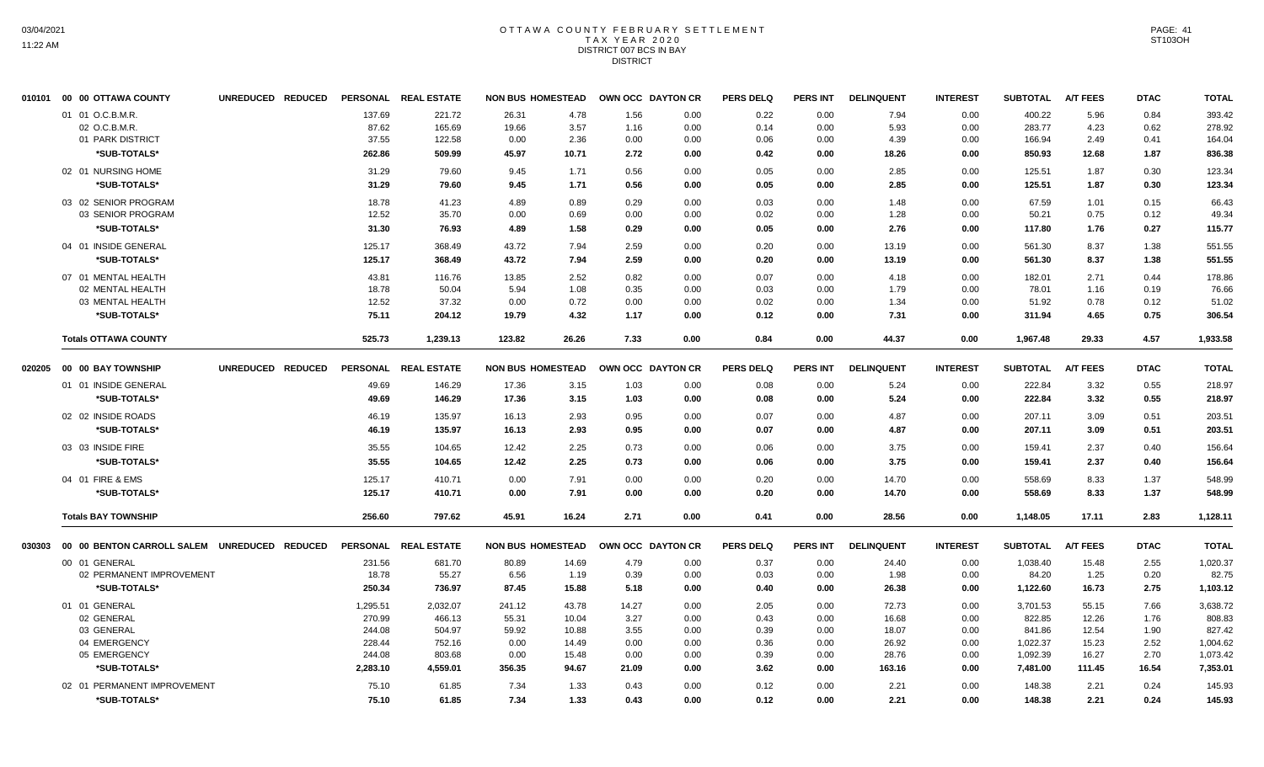#### OTTAWA COUNTY FEBRUARY SETTLEMENT TAX YEAR 2020 DISTRICT 007 BCS IN BAY **DISTRICT**

|        | 010101 00 00 OTTAWA COUNTY                   | UNREDUCED REDUCED |          | PERSONAL REAL ESTATE |        | <b>NON BUS HOMESTEAD</b> |       | OWN OCC DAYTON CR | <b>PERS DELQ</b> | <b>PERS INT</b> | <b>DELINQUENT</b> | <b>INTEREST</b> | <b>SUBTOTAL</b> | <b>A/T FEES</b> | <b>DTAC</b> | <b>TOTAL</b> |
|--------|----------------------------------------------|-------------------|----------|----------------------|--------|--------------------------|-------|-------------------|------------------|-----------------|-------------------|-----------------|-----------------|-----------------|-------------|--------------|
|        | 01 01 O.C.B.M.R                              |                   | 137.69   | 221.72               | 26.31  | 4.78                     | 1.56  | 0.00              | 0.22             | 0.00            | 7.94              | 0.00            | 400.22          | 5.96            | 0.84        | 393.42       |
|        | 02 O.C.B.M.R.                                |                   | 87.62    | 165.69               | 19.66  | 3.57                     | 1.16  | 0.00              | 0.14             | 0.00            | 5.93              | 0.00            | 283.77          | 4.23            | 0.62        | 278.92       |
|        | 01 PARK DISTRICT                             |                   | 37.55    | 122.58               | 0.00   | 2.36                     | 0.00  | 0.00              | 0.06             | 0.00            | 4.39              | 0.00            | 166.94          | 2.49            | 0.41        | 164.04       |
|        | *SUB-TOTALS*                                 |                   | 262.86   | 509.99               | 45.97  | 10.71                    | 2.72  | 0.00              | 0.42             | 0.00            | 18.26             | 0.00            | 850.93          | 12.68           | 1.87        | 836.38       |
|        | 02 01 NURSING HOME                           |                   | 31.29    | 79.60                | 9.45   | 1.71                     | 0.56  | 0.00              | 0.05             | 0.00            | 2.85              | 0.00            | 125.51          | 1.87            | 0.30        | 123.34       |
|        | *SUB-TOTALS*                                 |                   | 31.29    | 79.60                | 9.45   | 1.71                     | 0.56  | 0.00              | 0.05             | 0.00            | 2.85              | 0.00            | 125.51          | 1.87            | 0.30        | 123.34       |
|        | 03 02 SENIOR PROGRAM                         |                   | 18.78    | 41.23                | 4.89   | 0.89                     | 0.29  | 0.00              | 0.03             | 0.00            | 1.48              | 0.00            | 67.59           | 1.01            | 0.15        | 66.43        |
|        | 03 SENIOR PROGRAM                            |                   | 12.52    | 35.70                | 0.00   | 0.69                     | 0.00  | 0.00              | 0.02             | 0.00            | 1.28              | 0.00            | 50.21           | 0.75            | 0.12        | 49.34        |
|        | *SUB-TOTALS*                                 |                   | 31.30    | 76.93                | 4.89   | 1.58                     | 0.29  | 0.00              | 0.05             | 0.00            | 2.76              | 0.00            | 117.80          | 1.76            | 0.27        | 115.77       |
|        | 04 01 INSIDE GENERAL                         |                   | 125.17   | 368.49               | 43.72  | 7.94                     | 2.59  | 0.00              | 0.20             | 0.00            | 13.19             | 0.00            | 561.30          | 8.37            | 1.38        | 551.55       |
|        | *SUB-TOTALS*                                 |                   | 125.17   | 368.49               | 43.72  | 7.94                     | 2.59  | 0.00              | 0.20             | 0.00            | 13.19             | 0.00            | 561.30          | 8.37            | 1.38        | 551.55       |
|        | 07 01 MENTAL HEALTH                          |                   | 43.81    | 116.76               | 13.85  | 2.52                     | 0.82  | 0.00              | 0.07             | 0.00            | 4.18              | 0.00            | 182.01          | 2.71            | 0.44        | 178.86       |
|        | 02 MENTAL HEALTH                             |                   | 18.78    | 50.04                | 5.94   | 1.08                     | 0.35  | 0.00              | 0.03             | 0.00            | 1.79              | 0.00            | 78.01           | 1.16            | 0.19        | 76.66        |
|        | 03 MENTAL HEALTH                             |                   | 12.52    | 37.32                | 0.00   | 0.72                     | 0.00  | 0.00              | 0.02             | 0.00            | 1.34              | 0.00            | 51.92           | 0.78            | 0.12        | 51.02        |
|        | *SUB-TOTALS*                                 |                   | 75.11    | 204.12               | 19.79  | 4.32                     | 1.17  | 0.00              | 0.12             | 0.00            | 7.31              | 0.00            | 311.94          | 4.65            | 0.75        | 306.54       |
|        | <b>Totals OTTAWA COUNTY</b>                  |                   | 525.73   | 1,239.13             | 123.82 | 26.26                    | 7.33  | 0.00              | 0.84             | 0.00            | 44.37             | 0.00            | 1,967.48        | 29.33           | 4.57        | 1.933.58     |
| 020205 | 00 00 BAY TOWNSHIP                           | UNREDUCED REDUCED |          | PERSONAL REAL ESTATE |        | <b>NON BUS HOMESTEAD</b> |       | OWN OCC DAYTON CR | <b>PERS DELQ</b> | <b>PERS INT</b> | <b>DELINQUENT</b> | <b>INTEREST</b> | <b>SUBTOTAL</b> | <b>A/T FEES</b> | <b>DTAC</b> | <b>TOTAL</b> |
|        | 01 01 INSIDE GENERAL                         |                   | 49.69    | 146.29               | 17.36  | 3.15                     | 1.03  | 0.00              | 0.08             | 0.00            | 5.24              | 0.00            | 222.84          | 3.32            | 0.55        | 218.97       |
|        | *SUB-TOTALS*                                 |                   | 49.69    | 146.29               | 17.36  | 3.15                     | 1.03  | 0.00              | 0.08             | 0.00            | 5.24              | 0.00            | 222.84          | 3.32            | 0.55        | 218.97       |
|        | 02 02 INSIDE ROADS                           |                   | 46.19    | 135.97               | 16.13  | 2.93                     | 0.95  | 0.00              | 0.07             | 0.00            | 4.87              | 0.00            | 207.11          | 3.09            | 0.51        | 203.51       |
|        | *SUB-TOTALS*                                 |                   | 46.19    | 135.97               | 16.13  | 2.93                     | 0.95  | 0.00              | 0.07             | 0.00            | 4.87              | 0.00            | 207.11          | 3.09            | 0.51        | 203.51       |
|        | 03 03 INSIDE FIRE                            |                   | 35.55    | 104.65               | 12.42  | 2.25                     | 0.73  | 0.00              | 0.06             | 0.00            | 3.75              | 0.00            | 159.41          | 2.37            | 0.40        | 156.64       |
|        | *SUB-TOTALS*                                 |                   | 35.55    | 104.65               | 12.42  | 2.25                     | 0.73  | 0.00              | 0.06             | 0.00            | 3.75              | 0.00            | 159.41          | 2.37            | 0.40        | 156.64       |
|        | 04 01 FIRE & EMS                             |                   | 125.17   | 410.71               | 0.00   | 7.91                     | 0.00  | 0.00              | 0.20             | 0.00            | 14.70             | 0.00            | 558.69          | 8.33            | 1.37        | 548.99       |
|        | *SUB-TOTALS*                                 |                   | 125.17   | 410.71               | 0.00   | 7.91                     | 0.00  | 0.00              | 0.20             | 0.00            | 14.70             | 0.00            | 558.69          | 8.33            | 1.37        | 548.99       |
|        | <b>Totals BAY TOWNSHIP</b>                   |                   | 256.60   | 797.62               | 45.91  | 16.24                    | 2.71  | 0.00              | 0.41             | 0.00            | 28.56             | 0.00            | 1,148.05        | 17.11           | 2.83        | 1,128.11     |
| 030303 | 00 00 BENTON CARROLL SALEM UNREDUCED REDUCED |                   |          | PERSONAL REAL ESTATE |        | <b>NON BUS HOMESTEAD</b> |       | OWN OCC DAYTON CR | <b>PERS DELQ</b> | <b>PERS INT</b> | <b>DELINQUENT</b> | <b>INTEREST</b> | <b>SUBTOTAL</b> | <b>A/T FEES</b> | <b>DTAC</b> | <b>TOTAL</b> |
|        | 00 01 GENERAL                                |                   | 231.56   | 681.70               | 80.89  | 14.69                    | 4.79  | 0.00              | 0.37             | 0.00            | 24.40             | 0.00            | 1,038.40        | 15.48           | 2.55        | 1,020.37     |
|        | 02 PERMANENT IMPROVEMENT                     |                   | 18.78    | 55.27                | 6.56   | 1.19                     | 0.39  | 0.00              | 0.03             | 0.00            | 1.98              | 0.00            | 84.20           | 1.25            | 0.20        | 82.75        |
|        | *SUB-TOTALS*                                 |                   | 250.34   | 736.97               | 87.45  | 15.88                    | 5.18  | 0.00              | 0.40             | 0.00            | 26.38             | 0.00            | 1,122.60        | 16.73           | 2.75        | 1,103.12     |
|        | 01 01 GENERAL                                |                   | 1,295.51 | 2,032.07             | 241.12 | 43.78                    | 14.27 | 0.00              | 2.05             | 0.00            | 72.73             | 0.00            | 3,701.53        | 55.15           | 7.66        | 3,638.72     |
|        | 02 GENERAL                                   |                   | 270.99   | 466.13               | 55.31  | 10.04                    | 3.27  | 0.00              | 0.43             | 0.00            | 16.68             | 0.00            | 822.85          | 12.26           | 1.76        | 808.83       |
|        | 03 GENERAL                                   |                   | 244.08   | 504.97               | 59.92  | 10.88                    | 3.55  | 0.00              | 0.39             | 0.00            | 18.07             | 0.00            | 841.86          | 12.54           | 1.90        | 827.42       |
|        | 04 EMERGENCY                                 |                   | 228.44   | 752.16               | 0.00   | 14.49                    | 0.00  | 0.00              | 0.36             | 0.00            | 26.92             | 0.00            | 1,022.37        | 15.23           | 2.52        | 1,004.62     |
|        | 05 EMERGENCY                                 |                   | 244.08   | 803.68               | 0.00   | 15.48                    | 0.00  | 0.00              | 0.39             | 0.00            | 28.76             | 0.00            | 1,092.39        | 16.27           | 2.70        | 1,073.42     |
|        | *SUB-TOTALS*                                 |                   | 2,283.10 | 4,559.01             | 356.35 | 94.67                    | 21.09 | 0.00              | 3.62             | 0.00            | 163.16            | 0.00            | 7,481.00        | 111.45          | 16.54       | 7,353.01     |
|        | 02 01 PERMANENT IMPROVEMENT                  |                   | 75.10    | 61.85                | 7.34   | 1.33                     | 0.43  | 0.00              | 0.12             | 0.00            | 2.21              | 0.00            | 148.38          | 2.21            | 0.24        | 145.93       |
|        | *SUB-TOTALS*                                 |                   | 75.10    | 61.85                | 7.34   | 1.33                     | 0.43  | 0.00              | 0.12             | 0.00            | 2.21              | 0.00            | 148.38          | 2.21            | 0.24        | 145.93       |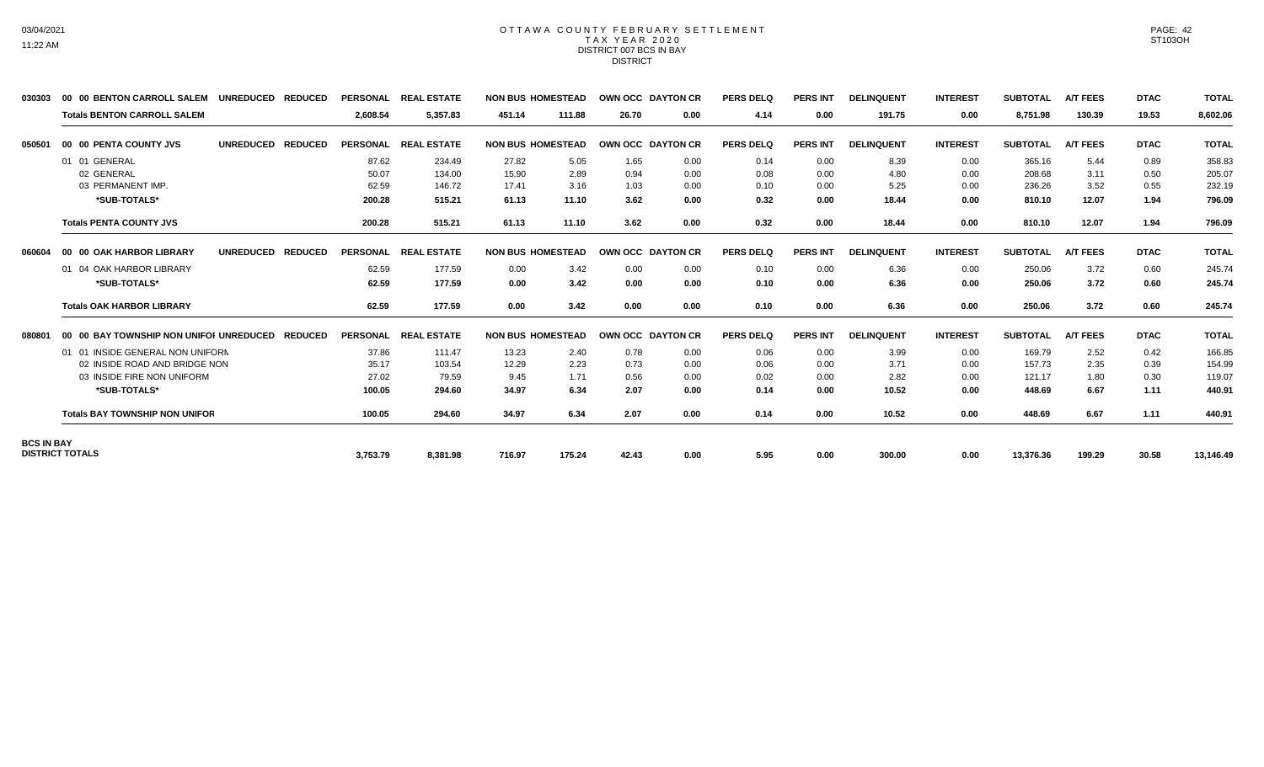#### OTTAWA COUNTY FEBRUARY SETTLEMENT TAX YEAR 2020 DISTRICT 007 BCS IN BAY **DISTRICT**

| 030303            | 00 00 BENTON CARROLL SALEM              | <b>UNREDUCED</b><br><b>REDUCED</b> |                 | PERSONAL REAL ESTATE | <b>NON BUS HOMESTEAD</b> |        | OWN OCC DAYTON CR |      | PERS DELO        | <b>PERS INT</b> | <b>DELINQUENT</b> | <b>INTEREST</b> | <b>SUBTOTAL</b> | <b>A/T FEES</b> | <b>DTAC</b> | <b>TOTAL</b> |
|-------------------|-----------------------------------------|------------------------------------|-----------------|----------------------|--------------------------|--------|-------------------|------|------------------|-----------------|-------------------|-----------------|-----------------|-----------------|-------------|--------------|
|                   | <b>Totals BENTON CARROLL SALEM</b>      |                                    | 2.608.54        | 5,357.83             | 451.14                   | 111.88 | 26.70             | 0.00 | 4.14             | 0.00            | 191.75            | 0.00            | 8,751.98        | 130.39          | 19.53       | 8,602.06     |
| 050501            | 00 00 PENTA COUNTY JVS                  | <b>UNREDUCED</b><br><b>REDUCED</b> | <b>PERSONAL</b> | <b>REAL ESTATE</b>   | <b>NON BUS HOMESTEAD</b> |        | OWN OCC DAYTON CR |      | <b>PERS DELQ</b> | <b>PERS INT</b> | <b>DELINQUENT</b> | <b>INTEREST</b> | <b>SUBTOTAL</b> | <b>A/T FEES</b> | <b>DTAC</b> | <b>TOTAL</b> |
|                   | 01 01 GENERAL                           |                                    | 87.62           | 234.49               | 27.82                    | 5.05   | 1.65              | 0.00 | 0.14             | 0.00            | 8.39              | 0.00            | 365.16          | 5.44            | 0.89        | 358.83       |
|                   | 02 GENERAL                              |                                    | 50.07           | 134.00               | 15.90                    | 2.89   | 0.94              | 0.00 | 0.08             | 0.00            | 4.80              | 0.00            | 208.68          | 3.11            | 0.50        | 205.07       |
|                   | 03 PERMANENT IMP.                       |                                    | 62.59           | 146.72               | 17.41                    | 3.16   | 1.03              | 0.00 | 0.10             | 0.00            | 5.25              | 0.00            | 236.26          | 3.52            | 0.55        | 232.19       |
|                   | *SUB-TOTALS*                            |                                    | 200.28          | 515.21               | 61.13                    | 11.10  | 3.62              | 0.00 | 0.32             | 0.00            | 18.44             | 0.00            | 810.10          | 12.07           | 1.94        | 796.09       |
|                   | <b>Totals PENTA COUNTY JVS</b>          |                                    | 200.28          | 515.21               | 61.13                    | 11.10  | 3.62              | 0.00 | 0.32             | 0.00            | 18.44             | 0.00            | 810.10          | 12.07           | 1.94        | 796.09       |
| 060604            | 00 00 OAK HARBOR LIBRARY                | <b>UNREDUCED</b><br><b>REDUCED</b> | <b>PERSONAL</b> | <b>REAL ESTATE</b>   | <b>NON BUS HOMESTEAD</b> |        | OWN OCC DAYTON CR |      | <b>PERS DELQ</b> | <b>PERS INT</b> | <b>DELINQUENT</b> | <b>INTEREST</b> | <b>SUBTOTAL</b> | <b>A/T FEES</b> | <b>DTAC</b> | <b>TOTAL</b> |
|                   | 01 04 OAK HARBOR LIBRARY                |                                    | 62.59           | 177.59               | 0.00                     | 3.42   | 0.00              | 0.00 | 0.10             | 0.00            | 6.36              | 0.00            | 250.06          | 3.72            | 0.60        | 245.74       |
|                   | *SUB-TOTALS*                            |                                    | 62.59           | 177.59               | 0.00                     | 3.42   | 0.00              | 0.00 | 0.10             | 0.00            | 6.36              | 0.00            | 250.06          | 3.72            | 0.60        | 245.74       |
|                   | <b>Totals OAK HARBOR LIBRARY</b>        |                                    | 62.59           | 177.59               | 0.00                     | 3.42   | 0.00              | 0.00 | 0.10             | 0.00            | 6.36              | 0.00            | 250.06          | 3.72            | 0.60        | 245.74       |
| 080801            | 00 00 BAY TOWNSHIP NON UNIFOI UNREDUCED | <b>REDUCED</b>                     | <b>PERSONAL</b> | <b>REAL ESTATE</b>   | <b>NON BUS HOMESTEAD</b> |        | OWN OCC DAYTON CR |      | <b>PERS DELQ</b> | <b>PERS INT</b> | <b>DELINQUENT</b> | <b>INTEREST</b> | <b>SUBTOTAL</b> | <b>A/T FEES</b> | <b>DTAC</b> | <b>TOTAL</b> |
|                   | 01 01 INSIDE GENERAL NON UNIFORN        |                                    | 37.86           | 111.47               | 13.23                    | 2.40   | 0.78              | 0.00 | 0.06             | 0.00            | 3.99              | 0.00            | 169.79          | 2.52            | 0.42        | 166.85       |
|                   | 02 INSIDE ROAD AND BRIDGE NON           |                                    | 35.17           | 103.54               | 12.29                    | 2.23   | 0.73              | 0.00 | 0.06             | 0.00            | 3.71              | 0.00            | 157.73          | 2.35            | 0.39        | 154.99       |
|                   | 03 INSIDE FIRE NON UNIFORM              |                                    | 27.02           | 79.59                | 9.45                     | 1.71   | 0.56              | 0.00 | 0.02             | 0.00            | 2.82              | 0.00            | 121.17          | 1.80            | 0.30        | 119.07       |
|                   | *SUB-TOTALS*                            |                                    | 100.05          | 294.60               | 34.97                    | 6.34   | 2.07              | 0.00 | 0.14             | 0.00            | 10.52             | 0.00            | 448.69          | 6.67            | 1.11        | 440.91       |
|                   | <b>Totals BAY TOWNSHIP NON UNIFOR</b>   |                                    | 100.05          | 294.60               | 34.97                    | 6.34   | 2.07              | 0.00 | 0.14             | 0.00            | 10.52             | 0.00            | 448.69          | 6.67            | 1.11        | 440.91       |
| <b>BCS IN BAY</b> | <b>DISTRICT TOTALS</b>                  |                                    | 3,753.79        | 8,381.98             | 716.97                   | 175.24 | 42.43             | 0.00 | 5.95             | 0.00            | 300.00            | 0.00            | 13,376.36       | 199.29          | 30.58       | 13,146.49    |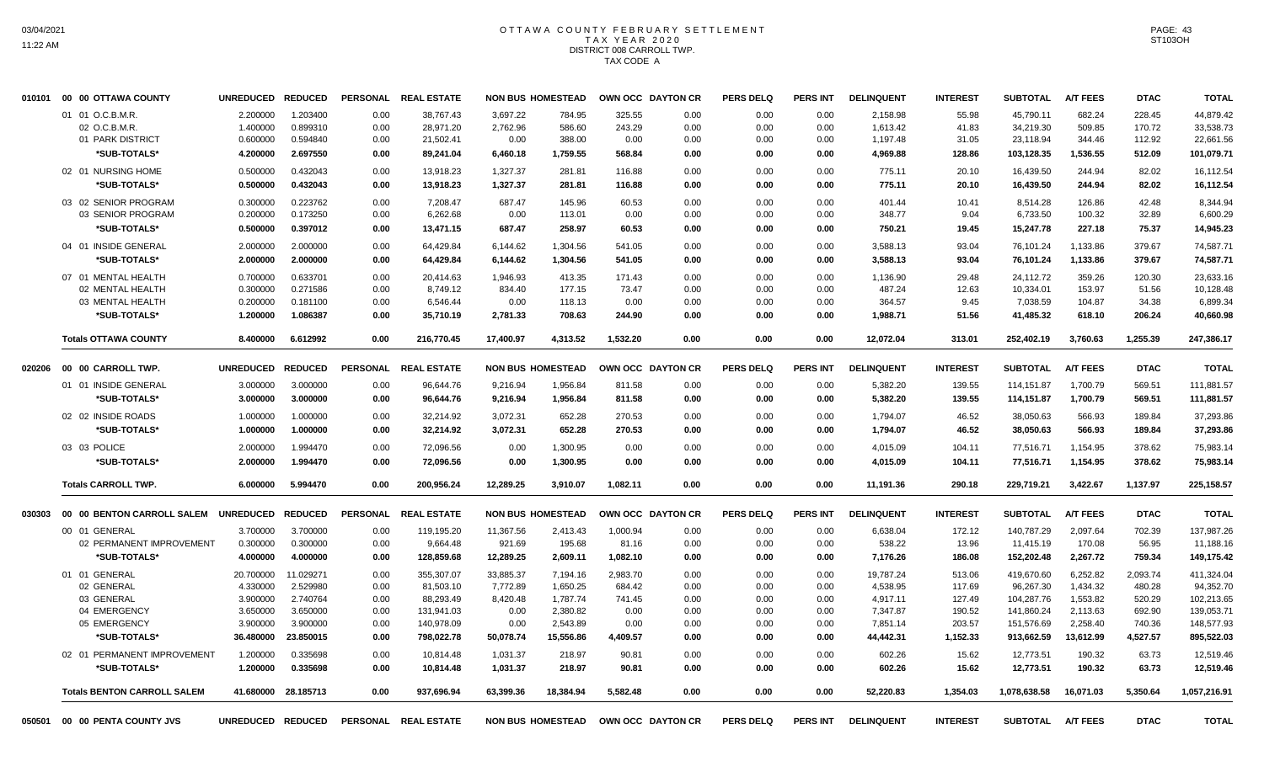# OTTAWA COUNTY FEBRUARY SETTLEMENT TAX YEAR 2020 DISTRICT 008 CARROLL TWP. TAX CODE A

|        | 010101 00 00 OTTAWA COUNTY         | UNREDUCED REDUCED |                     |                 | PERSONAL REAL ESTATE |           | <b>NON BUS HOMESTEAD</b> |                   | OWN OCC DAYTON CR | <b>PERS DELQ</b> | PERS INT        | <b>DELINQUENT</b> | <b>INTEREST</b> | <b>SUBTOTAL</b>   | <b>A/T FEES</b> | <b>DTAC</b> | <b>TOTAL</b> |
|--------|------------------------------------|-------------------|---------------------|-----------------|----------------------|-----------|--------------------------|-------------------|-------------------|------------------|-----------------|-------------------|-----------------|-------------------|-----------------|-------------|--------------|
|        | 01 01 O.C.B.M.R.                   | 2.200000          | 1.203400            | 0.00            | 38,767.43            | 3,697.22  | 784.95                   | 325.55            | 0.00              | 0.00             | 0.00            | 2,158.98          | 55.98           | 45,790.11         | 682.24          | 228.45      | 44,879.42    |
|        | 02 O.C.B.M.R.                      | 1.400000          | 0.899310            | 0.00            | 28,971.20            | 2,762.96  | 586.60                   | 243.29            | 0.00              | 0.00             | 0.00            | 1,613.42          | 41.83           | 34,219.30         | 509.85          | 170.72      | 33,538.73    |
|        | 01 PARK DISTRICT                   | 0.600000          | 0.594840            | 0.00            | 21,502.41            | 0.00      | 388.00                   | 0.00              | 0.00              | 0.00             | 0.00            | 1,197.48          | 31.05           | 23,118.94         | 344.46          | 112.92      | 22,661.56    |
|        | *SUB-TOTALS*                       | 4.200000          | 2.697550            | 0.00            | 89,241.04            | 6,460.18  | 1,759.55                 | 568.84            | 0.00              | 0.00             | 0.00            | 4,969.88          | 128.86          | 103,128.35        | 1,536.55        | 512.09      | 101,079.71   |
|        | 02 01 NURSING HOME                 | 0.500000          | 0.432043            | 0.00            | 13,918.23            | 1,327.37  | 281.81                   | 116.88            | 0.00              | 0.00             | 0.00            | 775.11            | 20.10           | 16,439.50         | 244.94          | 82.02       | 16,112.54    |
|        | *SUB-TOTALS*                       | 0.500000          | 0.432043            | 0.00            | 13,918.23            | 1,327.37  | 281.81                   | 116.88            | 0.00              | 0.00             | 0.00            | 775.11            | 20.10           | 16,439.50         | 244.94          | 82.02       | 16,112.54    |
|        | 03 02 SENIOR PROGRAM               | 0.300000          | 0.223762            | 0.00            | 7.208.47             | 687.47    | 145.96                   | 60.53             | 0.00              | 0.00             | 0.00            | 401.44            | 10.41           | 8.514.28          | 126.86          | 42.48       | 8.344.94     |
|        | 03 SENIOR PROGRAM                  | 0.200000          | 0.173250            | 0.00            | 6,262.68             | 0.00      | 113.01                   | 0.00              | 0.00              | 0.00             | 0.00            | 348.77            | 9.04            | 6,733.50          | 100.32          | 32.89       | 6,600.29     |
|        | *SUB-TOTALS*                       | 0.500000          | 0.397012            | 0.00            | 13,471.15            | 687.47    | 258.97                   | 60.53             | 0.00              | 0.00             | 0.00            | 750.21            | 19.45           | 15,247.78         | 227.18          | 75.37       | 14.945.23    |
|        | 04 01 INSIDE GENERAL               | 2.000000          | 2.000000            | 0.00            | 64,429.84            | 6,144.62  | 1,304.56                 | 541.05            | 0.00              | 0.00             | 0.00            | 3,588.13          | 93.04           | 76,101.24         | 1,133.86        | 379.67      | 74.587.71    |
|        | *SUB-TOTALS*                       | 2.000000          | 2.000000            | 0.00            | 64,429.84            | 6,144.62  | 1,304.56                 | 541.05            | 0.00              | 0.00             | 0.00            | 3,588.13          | 93.04           | 76,101.24         | 1,133.86        | 379.67      | 74,587.71    |
|        | 07 01 MENTAL HEALTH                | 0.700000          | 0.633701            | 0.00            | 20,414.63            | 1,946.93  | 413.35                   | 171.43            | 0.00              | 0.00             | 0.00            | 1,136.90          | 29.48           | 24,112.72         | 359.26          | 120.30      | 23,633.16    |
|        | 02 MENTAL HEALTH                   | 0.300000          | 0.271586            | 0.00            | 8.749.12             | 834.40    | 177.15                   | 73.47             | 0.00              | 0.00             | 0.00            | 487.24            | 12.63           | 10,334.01         | 153.97          | 51.56       | 10,128.48    |
|        | 03 MENTAL HEALTH                   | 0.200000          | 0.181100            | 0.00            | 6,546.44             | 0.00      | 118.13                   | 0.00              | 0.00              | 0.00             | 0.00            | 364.57            | 9.45            | 7,038.59          | 104.87          | 34.38       | 6,899.34     |
|        | *SUB-TOTALS*                       | 1.200000          | 1.086387            | 0.00            | 35,710.19            | 2,781.33  | 708.63                   | 244.90            | 0.00              | 0.00             | 0.00            | 1,988.71          | 51.56           | 41,485.32         | 618.10          | 206.24      | 40,660.98    |
|        | <b>Totals OTTAWA COUNTY</b>        | 8.400000          | 6.612992            | 0.00            | 216,770.45           | 17.400.97 | 4,313.52                 | 1,532.20          | 0.00              | 0.00             | 0.00            | 12,072.04         | 313.01          | 252,402.19        | 3,760.63        | 1,255.39    | 247,386.17   |
| 020206 | 00 00 CARROLL TWP.                 | <b>UNREDUCED</b>  | <b>REDUCED</b>      | <b>PERSONAL</b> | <b>REAL ESTATE</b>   |           | <b>NON BUS HOMESTEAD</b> |                   | OWN OCC DAYTON CR | <b>PERS DELQ</b> | <b>PERS INT</b> | <b>DELINQUENT</b> | <b>INTEREST</b> | <b>SUBTOTAL</b>   | <b>A/T FEES</b> | <b>DTAC</b> | <b>TOTAL</b> |
|        | 01 01 INSIDE GENERAL               | 3.000000          | 3.000000            | 0.00            | 96,644.76            | 9,216.94  | 1,956.84                 | 811.58            | 0.00              | 0.00             | 0.00            | 5,382.20          | 139.55          | 114,151.87        | 1,700.79        | 569.51      | 111,881.57   |
|        | *SUB-TOTALS*                       | 3.000000          | 3.000000            | 0.00            | 96,644.76            | 9,216.94  | 1,956.84                 | 811.58            | 0.00              | 0.00             | 0.00            | 5,382.20          | 139.55          | 114,151.87        | 1,700.79        | 569.51      | 111,881.57   |
|        | 02 02 INSIDE ROADS                 | 1.000000          | 1.000000            | 0.00            | 32,214.92            | 3,072.31  | 652.28                   | 270.53            | 0.00              | 0.00             | 0.00            | 1,794.07          | 46.52           | 38,050.63         | 566.93          | 189.84      | 37,293.86    |
|        | *SUB-TOTALS*                       | 1.000000          | 1.000000            | 0.00            | 32,214.92            | 3,072.31  | 652.28                   | 270.53            | 0.00              | 0.00             | 0.00            | 1,794.07          | 46.52           | 38,050.63         | 566.93          | 189.84      | 37,293.86    |
|        |                                    |                   |                     |                 |                      |           |                          |                   |                   |                  |                 |                   |                 |                   |                 |             |              |
|        | 03 03 POLICE                       | 2.000000          | 1.994470            | 0.00            | 72,096.56            | 0.00      | 1,300.95                 | 0.00              | 0.00              | 0.00             | 0.00            | 4,015.09          | 104.11          | 77,516.71         | 1,154.95        | 378.62      | 75,983.14    |
|        | *SUB-TOTALS*                       | 2.000000          | 1.994470            | 0.00            | 72.096.56            | 0.00      | 1,300.95                 | 0.00              | 0.00              | 0.00             | 0.00            | 4,015.09          | 104.11          | 77.516.71         | 1,154.95        | 378.62      | 75,983.14    |
|        | <b>Totals CARROLL TWP.</b>         | 6.000000          | 5.994470            | 0.00            | 200,956.24           | 12,289.25 | 3,910.07                 | 1,082.11          | 0.00              | 0.00             | 0.00            | 11,191.36         | 290.18          | 229,719.21        | 3,422.67        | 1,137.97    | 225,158.57   |
| 030303 | 00 00 BENTON CARROLL SALEM         | <b>UNREDUCED</b>  | <b>REDUCED</b>      | <b>PERSONAL</b> | <b>REAL ESTATE</b>   |           | <b>NON BUS HOMESTEAD</b> |                   | OWN OCC DAYTON CR | <b>PERS DELQ</b> | <b>PERS INT</b> | <b>DELINQUENT</b> | <b>INTEREST</b> | <b>SUBTOTAL</b>   | <b>A/T FEES</b> | <b>DTAC</b> | <b>TOTAL</b> |
|        | 00 01 GENERAL                      | 3.700000          | 3.700000            | 0.00            | 119,195.20           | 11,367.56 | 2,413.43                 | 1,000.94          | 0.00              | 0.00             | 0.00            | 6,638.04          | 172.12          | 140,787.29        | 2,097.64        | 702.39      | 137,987.26   |
|        | 02 PERMANENT IMPROVEMENT           | 0.300000          | 0.300000            | 0.00            | 9,664.48             | 921.69    | 195.68                   | 81.16             | 0.00              | 0.00             | 0.00            | 538.22            | 13.96           | 11,415.19         | 170.08          | 56.95       | 11,188.16    |
|        | *SUB-TOTALS*                       | 4.000000          | 4.000000            | 0.00            | 128,859.68           | 12,289.25 | 2,609.11                 | 1,082.10          | 0.00              | 0.00             | 0.00            | 7,176.26          | 186.08          | 152,202.48        | 2,267.72        | 759.34      | 149,175.42   |
|        | 01 01 GENERAL                      | 20.700000         | 11.029271           | 0.00            | 355,307.07           | 33,885.37 | 7,194.16                 | 2,983.70          | 0.00              | 0.00             | 0.00            | 19,787.24         | 513.06          | 419,670.60        | 6,252.82        | 2,093.74    | 411,324.04   |
|        | 02 GENERAL                         | 4.330000          | 2.529980            | 0.00            | 81,503.10            | 7,772.89  | 1,650.25                 | 684.42            | 0.00              | 0.00             | 0.00            | 4,538.95          | 117.69          | 96,267.30         | 1,434.32        | 480.28      | 94,352.70    |
|        | 03 GENERAL                         | 3.900000          | 2.740764            | 0.00            | 88,293.49            | 8,420.48  | 1,787.74                 | 741.45            | 0.00              | 0.00             | 0.00            | 4,917.11          | 127.49          | 104,287.76        | 1,553.82        | 520.29      | 102,213.65   |
|        | 04 EMERGENCY                       | 3.650000          | 3.650000            | 0.00            | 131,941.03           | 0.00      | 2,380.82                 | 0.00              | 0.00              | 0.00             | 0.00            | 7,347.87          | 190.52          | 141,860.24        | 2,113.63        | 692.90      | 139,053.71   |
|        | 05 EMERGENCY                       | 3.900000          | 3.900000            | 0.00            | 140,978.09           | 0.00      | 2,543.89                 | 0.00              | 0.00              | 0.00             | 0.00            | 7,851.14          | 203.57          | 151,576.69        | 2,258.40        | 740.36      | 148,577.93   |
|        | *SUB-TOTALS*                       | 36.480000         | 23.850015           | 0.00            | 798,022.78           | 50,078.74 | 15,556.86                | 4,409.57          | 0.00              | 0.00             | 0.00            | 44,442.31         | 1,152.33        | 913,662.59        | 13,612.99       | 4,527.57    | 895,522.03   |
|        | 02 01 PERMANENT IMPROVEMENT        | 1.200000          | 0.335698            | 0.00            | 10,814.48            | 1,031.37  | 218.97                   | 90.81             | 0.00              | 0.00             | 0.00            | 602.26            | 15.62           | 12,773.51         | 190.32          | 63.73       | 12,519.46    |
|        | *SUB-TOTALS*                       | 1.200000          | 0.335698            | 0.00            | 10,814.48            | 1,031.37  | 218.97                   | 90.81             | 0.00              | 0.00             | 0.00            | 602.26            | 15.62           | 12,773.51         | 190.32          | 63.73       | 12,519.46    |
|        | <b>Totals BENTON CARROLL SALEM</b> |                   | 41.680000 28.185713 | 0.00            | 937,696.94           | 63,399.36 | 18,384.94                | 5,582.48          | 0.00              | 0.00             | 0.00            | 52,220.83         | 1,354.03        | 1,078,638.58      | 16,071.03       | 5,350.64    | 1,057,216.91 |
|        | 050501 00 00 PENTA COUNTY JVS      | UNREDUCED REDUCED |                     |                 | PERSONAL REAL ESTATE |           | <b>NON BUS HOMESTEAD</b> | OWN OCC DAYTON CR |                   | <b>PERS DELQ</b> | <b>PERS INT</b> | <b>DELINQUENT</b> | <b>INTEREST</b> | SUBTOTAL A/T FEES |                 | <b>DTAC</b> | <b>TOTAL</b> |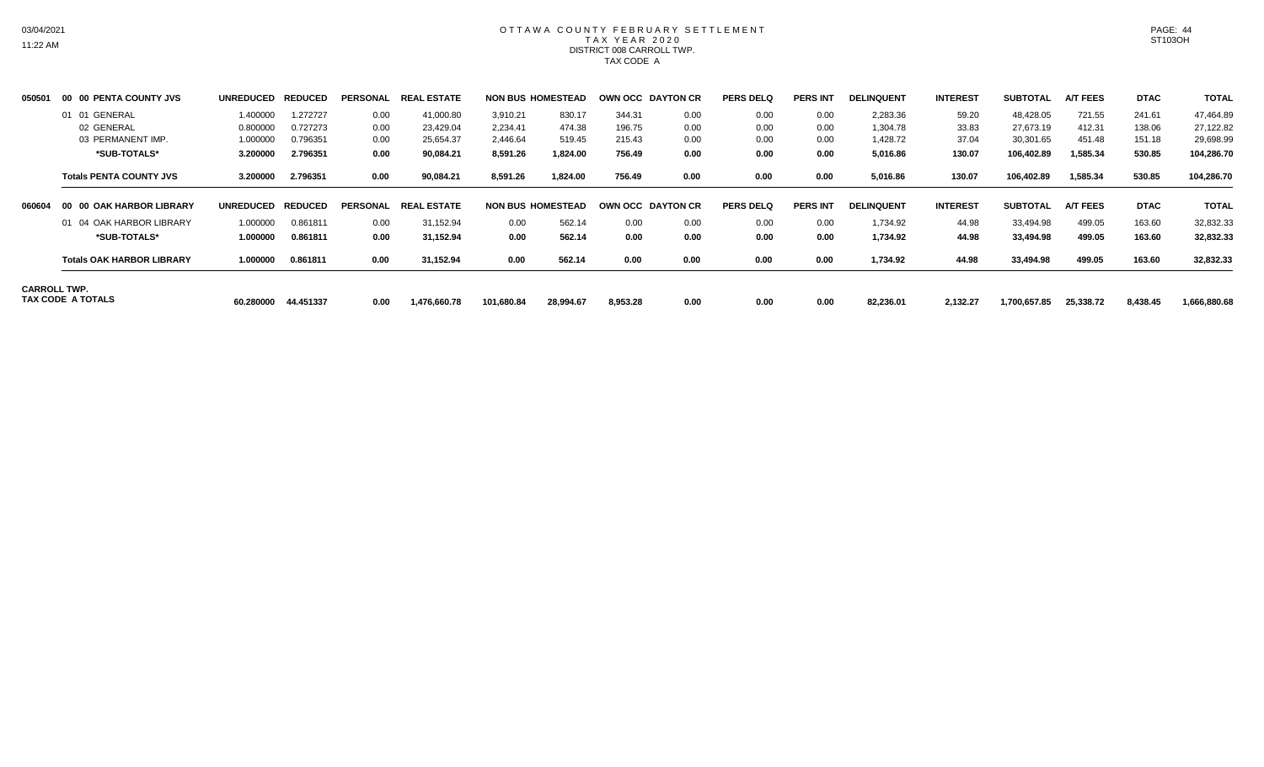# OTTAWA COUNTY FEBRUARY SETTLEMENT TAX YEAR 2020 DISTRICT 008 CARROLL TWP. TAX CODE A

| 050501 | 00 00 PENTA COUNTY JVS                   | UNREDUCED REDUCED |           | <b>PERSONAL</b> | <b>REAL ESTATE</b> |            | <b>NON BUS HOMESTEAD</b> | OWN OCC DAYTON CR |      | <b>PERS DELQ</b> | <b>PERS INT</b> | <b>DELINQUENT</b> | <b>INTEREST</b> | <b>SUBTOTAL</b> | <b>A/T FEES</b> | <b>DTAC</b> | <b>TOTAL</b> |
|--------|------------------------------------------|-------------------|-----------|-----------------|--------------------|------------|--------------------------|-------------------|------|------------------|-----------------|-------------------|-----------------|-----------------|-----------------|-------------|--------------|
|        | 01 01 GENERAL                            | 1.400000          | 1.272727  | 0.00            | 41,000.80          | 3,910.21   | 830.17                   | 344.31            | 0.00 | 0.00             | 0.00            | 2,283.36          | 59.20           | 48,428.05       | 721.55          | 241.61      | 47,464.89    |
|        | 02 GENERAL                               | 0.800000          | 0.727273  | 0.00            | 23,429.04          | 2.234.41   | 474.38                   | 196.75            | 0.00 | 0.00             | 0.00            | 1.304.78          | 33.83           | 27,673.19       | 412.31          | 138.06      | 27,122.82    |
|        | 03 PERMANENT IMP.                        | 1.000000          | 0.796351  | 0.00            | 25,654.37          | 2,446.64   | 519.45                   | 215.43            | 0.00 | 0.00             | 0.00            | 1,428.72          | 37.04           | 30,301.65       | 451.48          | 151.18      | 29,698.99    |
|        | *SUB-TOTALS*                             | 3.200000          | 2.796351  | 0.00            | 90,084.21          | 8,591.26   | 1,824.00                 | 756.49            | 0.00 | 0.00             | 0.00            | 5,016.86          | 130.07          | 106,402.89      | 1,585.34        | 530.85      | 104,286.70   |
|        | <b>Totals PENTA COUNTY JVS</b>           | 3.200000          | 2.796351  | 0.00            | 90,084.21          | 8,591.26   | 1,824.00                 | 756.49            | 0.00 | 0.00             | 0.00            | 5,016.86          | 130.07          | 106,402.89      | 1,585.34        | 530.85      | 104,286.70   |
| 060604 | 00 00 OAK HARBOR LIBRARY                 | UNREDUCED REDUCED |           | <b>PERSONAL</b> | <b>REAL ESTATE</b> |            | <b>NON BUS HOMESTEAD</b> | OWN OCC DAYTON CR |      | <b>PERS DELQ</b> | <b>PERS INT</b> | <b>DELINQUENT</b> | <b>INTEREST</b> | <b>SUBTOTAL</b> | <b>A/T FEES</b> | <b>DTAC</b> | <b>TOTAL</b> |
|        | 01 04 OAK HARBOR LIBRARY                 | 1.000000          | 0.861811  | 0.00            | 31,152.94          | 0.00       | 562.14                   | 0.00              | 0.00 | 0.00             | 0.00            | 1,734.92          | 44.98           | 33,494.98       | 499.05          | 163.60      | 32,832.33    |
|        | *SUB-TOTALS*                             | 1.000000          | 0.861811  | 0.00            | 31,152.94          | 0.00       | 562.14                   | 0.00              | 0.00 | 0.00             | 0.00            | 1,734.92          | 44.98           | 33,494.98       | 499.05          | 163.60      | 32,832.33    |
|        | <b>Totals OAK HARBOR LIBRARY</b>         | 1.000000          | 0.861811  | 0.00            | 31,152.94          | 0.00       | 562.14                   | 0.00              | 0.00 | 0.00             | 0.00            | 1,734.92          | 44.98           | 33.494.98       | 499.05          | 163.60      | 32,832.33    |
|        | <b>CARROLL TWP.</b><br>TAX CODE A TOTALS | 60.280000         | 44.451337 | 0.00            | 1,476,660.78       | 101,680.84 | 28,994.67                | 8,953.28          | 0.00 | 0.00             | 0.00            | 82,236.01         | 2,132.27        | 1,700,657.85    | 25,338.72       | 8,438.45    | 1,666,880.68 |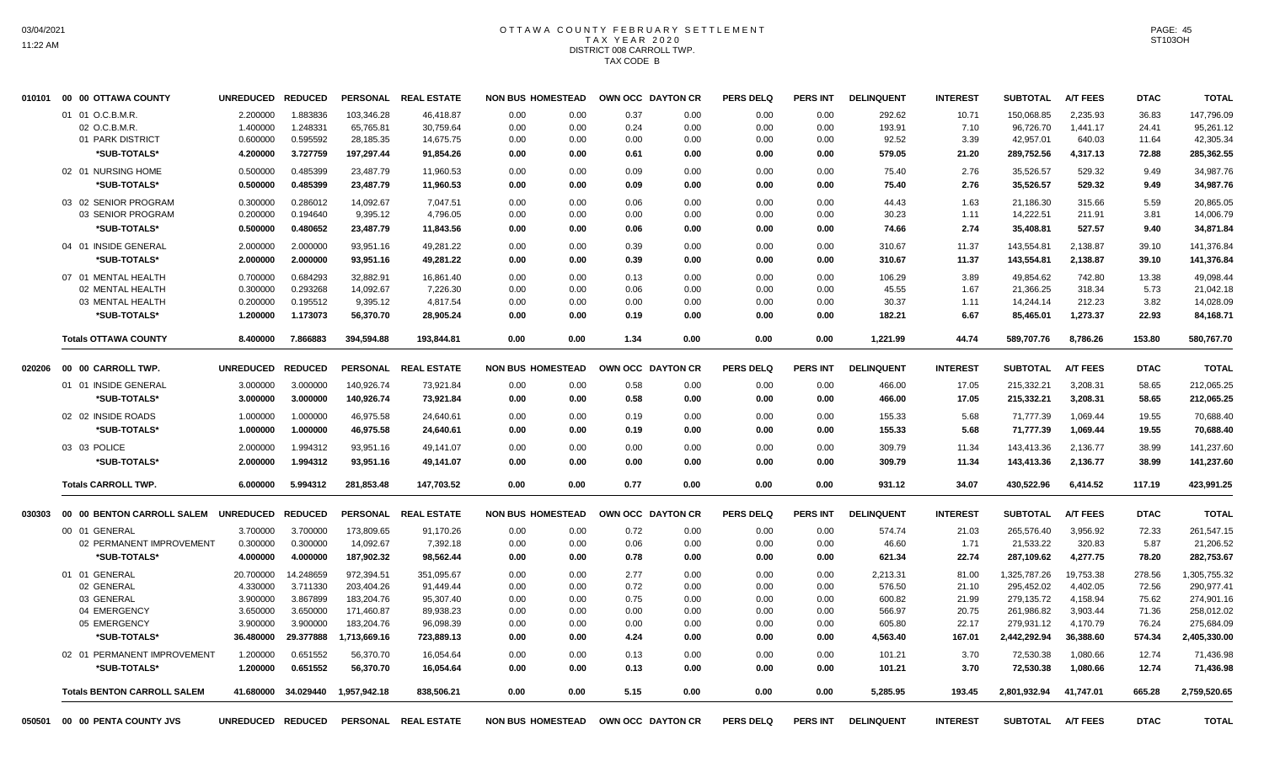#### OTTAWA COUNTY FEBRUARY SETTLEMENT T A X Y E A R 2 0 2 0 DISTRICT 008 CARROLL TWP. TAX CODE B

|        | 010101 00 00 OTTAWA COUNTY           | <b>UNREDUCED</b>  | <b>REDUCED</b> |                 | PERSONAL REAL ESTATE | <b>NON BUS HOMESTEAD</b> |      |      | OWN OCC DAYTON CR        | <b>PERS DELQ</b> | PERS INT        | <b>DELINQUENT</b> | <b>INTEREST</b> | <b>SUBTOTAL</b> | <b>A/T FEES</b> | <b>DTAC</b> | <b>TOTAL</b> |
|--------|--------------------------------------|-------------------|----------------|-----------------|----------------------|--------------------------|------|------|--------------------------|------------------|-----------------|-------------------|-----------------|-----------------|-----------------|-------------|--------------|
|        | 01 01 O.C.B.M.R.                     | 2.200000          | 1.883836       | 103,346.28      | 46,418.87            | 0.00                     | 0.00 | 0.37 | 0.00                     | 0.00             | 0.00            | 292.62            | 10.71           | 150,068.85      | 2,235.93        | 36.83       | 147,796.09   |
|        | 02 O.C.B.M.R.                        | 1.400000          | 1.248331       | 65,765.81       | 30,759.64            | 0.00                     | 0.00 | 0.24 | 0.00                     | 0.00             | 0.00            | 193.91            | 7.10            | 96,726.70       | 1,441.17        | 24.41       | 95,261.12    |
|        | 01 PARK DISTRICT                     | 0.600000          | 0.595592       | 28,185.35       | 14,675.75            | 0.00                     | 0.00 | 0.00 | 0.00                     | 0.00             | 0.00            | 92.52             | 3.39            | 42,957.01       | 640.03          | 11.64       | 42,305.34    |
|        | *SUB-TOTALS*                         | 4.200000          | 3.727759       | 197,297.44      | 91,854.26            | 0.00                     | 0.00 | 0.61 | 0.00                     | 0.00             | 0.00            | 579.05            | 21.20           | 289,752.56      | 4,317.13        | 72.88       | 285,362.55   |
|        | 02 01 NURSING HOME                   | 0.500000          | 0.485399       | 23,487.79       | 11,960.53            | 0.00                     | 0.00 | 0.09 | 0.00                     | 0.00             | 0.00            | 75.40             | 2.76            | 35,526.57       | 529.32          | 9.49        | 34,987.76    |
|        | *SUB-TOTALS*                         | 0.500000          | 0.485399       | 23,487.79       | 11,960.53            | 0.00                     | 0.00 | 0.09 | 0.00                     | 0.00             | 0.00            | 75.40             | 2.76            | 35,526.57       | 529.32          | 9.49        | 34,987.76    |
|        | 03 02 SENIOR PROGRAM                 | 0.300000          | 0.286012       | 14,092.67       | 7,047.51             | 0.00                     | 0.00 | 0.06 | 0.00                     | 0.00             | 0.00            | 44.43             | 1.63            | 21,186.30       | 315.66          | 5.59        | 20,865.05    |
|        | 03 SENIOR PROGRAM                    | 0.200000          | 0.194640       | 9,395.12        | 4,796.05             | 0.00                     | 0.00 | 0.00 | 0.00                     | 0.00             | 0.00            | 30.23             | 1.11            | 14,222.51       | 211.91          | 3.81        | 14,006.79    |
|        | *SUB-TOTALS*                         | 0.500000          | 0.480652       | 23,487.79       | 11,843.56            | 0.00                     | 0.00 | 0.06 | 0.00                     | 0.00             | 0.00            | 74.66             | 2.74            | 35,408.81       | 527.57          | 9.40        | 34,871.84    |
|        | 04 01 INSIDE GENERAL                 | 2.000000          | 2.000000       | 93,951.16       | 49,281.22            | 0.00                     | 0.00 | 0.39 | 0.00                     | 0.00             | 0.00            | 310.67            | 11.37           | 143,554.81      | 2,138.87        | 39.10       | 141,376.84   |
|        | *SUB-TOTALS*                         | 2.000000          | 2.000000       | 93,951.16       | 49,281.22            | 0.00                     | 0.00 | 0.39 | 0.00                     | 0.00             | 0.00            | 310.67            | 11.37           | 143,554.81      | 2,138.87        | 39.10       | 141,376.84   |
|        | 07 01 MENTAL HEALTH                  | 0.700000          | 0.684293       | 32,882.91       | 16,861.40            | 0.00                     | 0.00 | 0.13 | 0.00                     | 0.00             | 0.00            | 106.29            | 3.89            | 49,854.62       | 742.80          | 13.38       | 49,098.44    |
|        | 02 MENTAL HEALTH                     | 0.300000          | 0.293268       | 14.092.67       | 7,226.30             | 0.00                     | 0.00 | 0.06 | 0.00                     | 0.00             | 0.00            | 45.55             | 1.67            | 21,366.25       | 318.34          | 5.73        | 21,042.18    |
|        | 03 MENTAL HEALTH                     | 0.200000          | 0.195512       | 9,395.12        | 4,817.54             | 0.00                     | 0.00 | 0.00 | 0.00                     | 0.00             | 0.00            | 30.37             | 1.11            | 14,244.14       | 212.23          | 3.82        | 14,028.09    |
|        | *SUB-TOTALS*                         | 1.200000          | 1.173073       | 56,370.70       | 28,905.24            | 0.00                     | 0.00 | 0.19 | 0.00                     | 0.00             | 0.00            | 182.21            | 6.67            | 85,465.01       | 1,273.37        | 22.93       | 84,168.71    |
|        | <b>Totals OTTAWA COUNTY</b>          | 8.400000          | 7.866883       | 394,594.88      | 193,844.81           | 0.00                     | 0.00 | 1.34 | 0.00                     | 0.00             | 0.00            | 1,221.99          | 44.74           | 589,707.76      | 8,786.26        | 153.80      | 580,767.70   |
| 020206 | 00 00 CARROLL TWP.                   | <b>UNREDUCED</b>  | <b>REDUCED</b> | <b>PERSONAL</b> | <b>REAL ESTATE</b>   | <b>NON BUS HOMESTEAD</b> |      |      | OWN OCC DAYTON CR        | <b>PERS DELQ</b> | PERS INT        | <b>DELINQUENT</b> | <b>INTEREST</b> | <b>SUBTOTAL</b> | <b>A/T FEES</b> | <b>DTAC</b> | <b>TOTAL</b> |
|        | 01 01 INSIDE GENERAL                 | 3.000000          | 3.000000       | 140,926.74      | 73,921.84            | 0.00                     | 0.00 | 0.58 | 0.00                     | 0.00             | 0.00            | 466.00            | 17.05           | 215,332.21      | 3,208.31        | 58.65       | 212,065.25   |
|        | *SUB-TOTALS*                         | 3.000000          | 3.000000       | 140,926.74      | 73,921.84            | 0.00                     | 0.00 | 0.58 | 0.00                     | 0.00             | 0.00            | 466.00            | 17.05           | 215,332.21      | 3,208.31        | 58.65       | 212,065.25   |
|        |                                      |                   |                |                 |                      |                          |      |      |                          |                  |                 |                   |                 |                 |                 |             |              |
|        | 02 02 INSIDE ROADS                   | 1.000000          | 1.000000       | 46,975.58       | 24,640.61            | 0.00                     | 0.00 | 0.19 | 0.00                     | 0.00             | 0.00            | 155.33            | 5.68            | 71.777.39       | 1,069.44        | 19.55       | 70,688.40    |
|        | *SUB-TOTALS*                         | 1.000000          | 1.000000       | 46,975.58       | 24,640.61            | 0.00                     | 0.00 | 0.19 | 0.00                     | 0.00             | 0.00            | 155.33            | 5.68            | 71,777.39       | 1,069.44        | 19.55       | 70,688.40    |
|        | 03 03 POLICE                         | 2.000000          | 1.994312       | 93,951.16       | 49,141.07            | 0.00                     | 0.00 | 0.00 | 0.00                     | 0.00             | 0.00            | 309.79            | 11.34           | 143,413.36      | 2,136.77        | 38.99       | 141,237.60   |
|        | *SUB-TOTALS*                         | 2.000000          | 1.994312       | 93,951.16       | 49,141.07            | 0.00                     | 0.00 | 0.00 | 0.00                     | 0.00             | 0.00            | 309.79            | 11.34           | 143,413.36      | 2,136.77        | 38.99       | 141,237.60   |
|        | <b>Totals CARROLL TWP.</b>           | 6.000000          | 5.994312       | 281,853.48      | 147,703.52           | 0.00                     | 0.00 | 0.77 | 0.00                     | 0.00             | 0.00            | 931.12            | 34.07           | 430,522.96      | 6,414.52        | 117.19      | 423,991.25   |
| 030303 | 00 00 BENTON CARROLL SALEM UNREDUCED |                   | <b>REDUCED</b> |                 | PERSONAL REAL ESTATE | <b>NON BUS HOMESTEAD</b> |      |      | <b>OWN OCC DAYTON CR</b> | <b>PERS DELQ</b> | <b>PERS INT</b> | <b>DELINQUENT</b> | <b>INTEREST</b> | <b>SUBTOTAL</b> | <b>A/T FEES</b> | <b>DTAC</b> | <b>TOTAL</b> |
|        | 00 01 GENERAL                        | 3.700000          | 3.700000       | 173.809.65      | 91.170.26            | 0.00                     | 0.00 | 0.72 | 0.00                     | 0.00             | 0.00            | 574.74            | 21.03           | 265.576.40      | 3.956.92        | 72.33       | 261,547.15   |
|        | 02 PERMANENT IMPROVEMENT             | 0.300000          | 0.300000       | 14,092.67       | 7,392.18             | 0.00                     | 0.00 | 0.06 | 0.00                     | 0.00             | 0.00            | 46.60             | 1.71            | 21,533.22       | 320.83          | 5.87        | 21,206.52    |
|        | *SUB-TOTALS*                         | 4.000000          | 4.000000       | 187,902.32      | 98,562.44            | 0.00                     | 0.00 | 0.78 | 0.00                     | 0.00             | 0.00            | 621.34            | 22.74           | 287,109.62      | 4,277.75        | 78.20       | 282,753.67   |
|        | 01 01 GENERAL                        | 20.700000         | 14.248659      | 972,394.51      | 351.095.67           | 0.00                     | 0.00 | 2.77 | 0.00                     | 0.00             | 0.00            | 2,213.31          | 81.00           | 1.325.787.26    | 19.753.38       | 278.56      | 1,305,755.32 |
|        | 02 GENERAL                           | 4.330000          | 3.711330       | 203,404.26      | 91,449.44            | 0.00                     | 0.00 | 0.72 | 0.00                     | 0.00             | 0.00            | 576.50            | 21.10           | 295,452.02      | 4,402.05        | 72.56       | 290,977.41   |
|        | 03 GENERAL                           | 3.900000          | 3.867899       | 183,204.76      | 95,307.40            | 0.00                     | 0.00 | 0.75 | 0.00                     | 0.00             | 0.00            | 600.82            | 21.99           | 279,135.72      | 4,158.94        | 75.62       | 274,901.16   |
|        | 04 EMERGENCY                         | 3.650000          | 3.650000       | 171,460.87      | 89,938.23            | 0.00                     | 0.00 | 0.00 | 0.00                     | 0.00             | 0.00            | 566.97            | 20.75           | 261,986.82      | 3,903.44        | 71.36       | 258,012.02   |
|        | 05 EMERGENCY                         | 3.900000          | 3.900000       | 183,204.76      | 96,098.39            | 0.00                     | 0.00 | 0.00 | 0.00                     | 0.00             | 0.00            | 605.80            | 22.17           | 279,931.12      | 4,170.79        | 76.24       | 275,684.09   |
|        | *SUB-TOTALS*                         | 36.480000         | 29.377888      | 1,713,669.16    | 723,889.13           | 0.00                     | 0.00 | 4.24 | 0.00                     | 0.00             | 0.00            | 4,563.40          | 167.01          | 2,442,292.94    | 36,388.60       | 574.34      | 2,405,330.00 |
|        | 02 01 PERMANENT IMPROVEMENT          | 1.200000          | 0.651552       | 56,370.70       | 16,054.64            | 0.00                     | 0.00 | 0.13 | 0.00                     | 0.00             | 0.00            | 101.21            | 3.70            | 72,530.38       | 1,080.66        | 12.74       | 71,436.98    |
|        | *SUB-TOTALS*                         | 1.200000          | 0.651552       | 56,370.70       | 16,054.64            | 0.00                     | 0.00 | 0.13 | 0.00                     | 0.00             | 0.00            | 101.21            | 3.70            | 72,530.38       | 1,080.66        | 12.74       | 71,436.98    |
|        | <b>Totals BENTON CARROLL SALEM</b>   | 41.680000         | 34.029440      | 1,957,942.18    | 838,506.21           | 0.00                     | 0.00 | 5.15 | 0.00                     | 0.00             | 0.00            | 5,285.95          | 193.45          | 2,801,932.94    | 41,747.01       | 665.28      | 2,759,520.65 |
| 050501 | 00 00 PENTA COUNTY JVS               | UNREDUCED REDUCED |                |                 | PERSONAL REAL ESTATE | <b>NON BUS HOMESTEAD</b> |      |      | OWN OCC DAYTON CR        | <b>PERS DELQ</b> | PERS INT        | <b>DELINQUENT</b> | <b>INTEREST</b> | <b>SUBTOTAL</b> | <b>A/T FEES</b> | <b>DTAC</b> | <b>TOTAL</b> |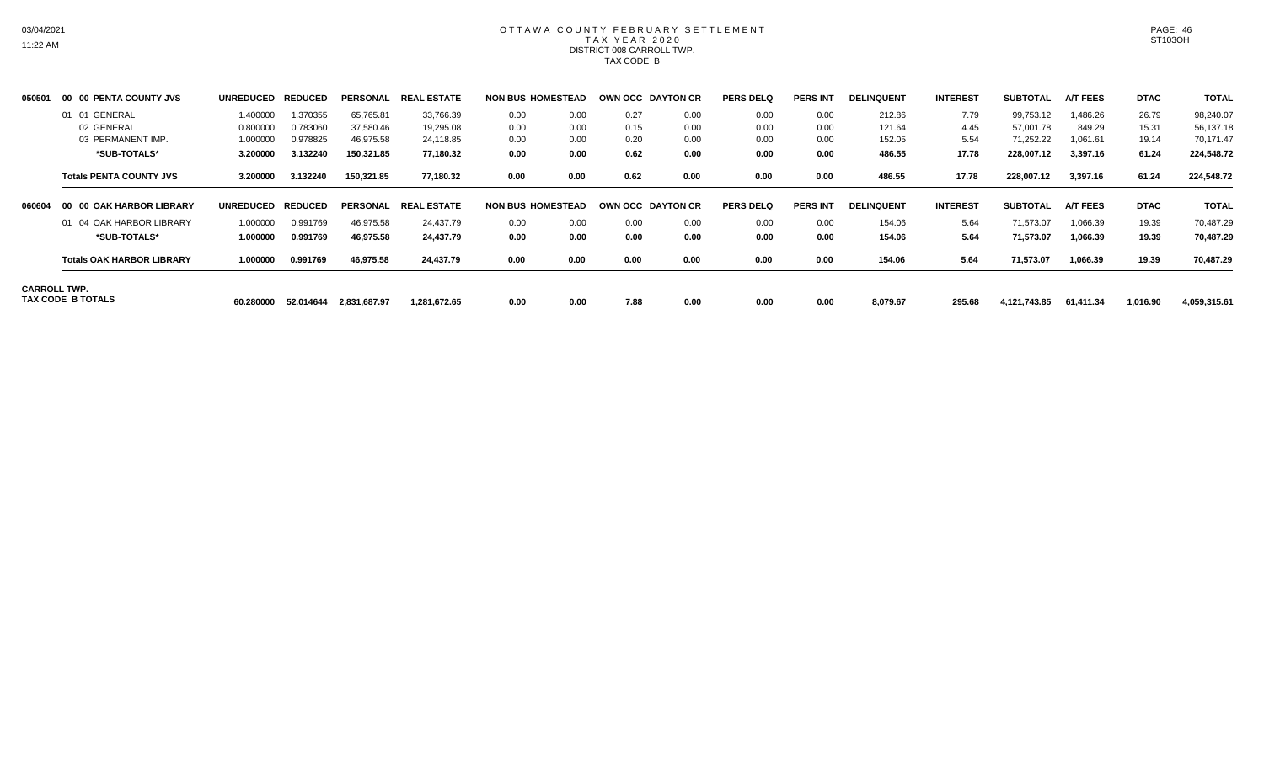# OTTAWA COUNTY FEBRUARY SETTLEMENT TAX YEAR 2020 DISTRICT 008 CARROLL TWP. TAX CODE B

| 050501 | <b>00 PENTA COUNTY JVS</b><br>00         | <b>UNREDUCED</b> | <b>REDUCED</b> | <b>PERSONAL</b> | <b>REAL ESTATE</b> | <b>NON BUS HOMESTEAD</b> |      | OWN OCC DAYTON CR |      | <b>PERS DELQ</b> | <b>PERS INT</b> | <b>DELINQUENT</b> | <b>INTEREST</b> | <b>SUBTOTAL</b> | <b>A/T FEES</b> | <b>DTAC</b> | <b>TOTAL</b> |
|--------|------------------------------------------|------------------|----------------|-----------------|--------------------|--------------------------|------|-------------------|------|------------------|-----------------|-------------------|-----------------|-----------------|-----------------|-------------|--------------|
|        | GENERAL<br>01<br>01                      | 1.400000         | 1.370355       | 65,765.81       | 33,766.39          | 0.00                     | 0.00 | 0.27              | 0.00 | 0.00             | 0.00            | 212.86            | 7.79            | 99,753.12       | 1,486.26        | 26.79       | 98,240.07    |
|        | 02 GENERAL                               | 0.800000         | 0.783060       | 37,580.46       | 19,295.08          | 0.00                     | 0.00 | 0.15              | 0.00 | 0.00             | 0.00            | 121.64            | 4.45            | 57,001.78       | 849.29          | 15.31       | 56,137.18    |
|        | 03 PERMANENT IMP.                        | 1.000000         | 0.978825       | 46,975.58       | 24,118.85          | 0.00                     | 0.00 | 0.20              | 0.00 | 0.00             | 0.00            | 152.05            | 5.54            | 71,252.22       | 1,061.61        | 19.14       | 70,171.47    |
|        | *SUB-TOTALS*                             | 3.200000         | 3.132240       | 150,321.85      | 77,180.32          | 0.00                     | 0.00 | 0.62              | 0.00 | 0.00             | 0.00            | 486.55            | 17.78           | 228,007.12      | 3,397.16        | 61.24       | 224,548.72   |
|        | <b>Totals PENTA COUNTY JVS</b>           | 3.200000         | 3.132240       | 150,321.85      | 77,180.32          | 0.00                     | 0.00 | 0.62              | 0.00 | 0.00             | 0.00            | 486.55            | 17.78           | 228,007.12      | 3,397.16        | 61.24       | 224,548.72   |
| 060604 | <b>00 OAK HARBOR LIBRARY</b><br>-00      | <b>UNREDUCED</b> | <b>REDUCED</b> | <b>PERSONAL</b> | <b>REAL ESTATE</b> | <b>NON BUS HOMESTEAD</b> |      | OWN OCC DAYTON CR |      | <b>PERS DELQ</b> | <b>PERS INT</b> | <b>DELINQUENT</b> | <b>INTEREST</b> | <b>SUBTOTAL</b> | <b>A/T FEES</b> | <b>DTAC</b> | <b>TOTAL</b> |
|        | 01 04 OAK HARBOR LIBRARY                 | 1.000000         | 0.991769       | 46,975.58       | 24,437.79          | 0.00                     | 0.00 | 0.00              | 0.00 | 0.00             | 0.00            | 154.06            | 5.64            | 71,573.07       | 1,066.39        | 19.39       | 70,487.29    |
|        | *SUB-TOTALS*                             | 1.000000         | 0.991769       | 46,975.58       | 24,437.79          | 0.00                     | 0.00 | 0.00              | 0.00 | 0.00             | 0.00            | 154.06            | 5.64            | 71,573.07       | 1,066.39        | 19.39       | 70,487.29    |
|        | <b>Totals OAK HARBOR LIBRARY</b>         | 1.000000         | 0.991769       | 46,975.58       | 24,437.79          | 0.00                     | 0.00 | 0.00              | 0.00 | 0.00             | 0.00            | 154.06            | 5.64            | 71,573.07       | 1,066.39        | 19.39       | 70,487.29    |
|        | <b>CARROLL TWP.</b><br>TAX CODE B TOTALS | 60.280000        | 52.014644      | 2,831,687.97    | 1.281.672.65       | 0.00                     | 0.00 | 7.88              | 0.00 | 0.00             | 0.00            | 8,079.67          | 295.68          | 4,121,743.85    | 61.411.34       | 1,016.90    | 4,059,315.61 |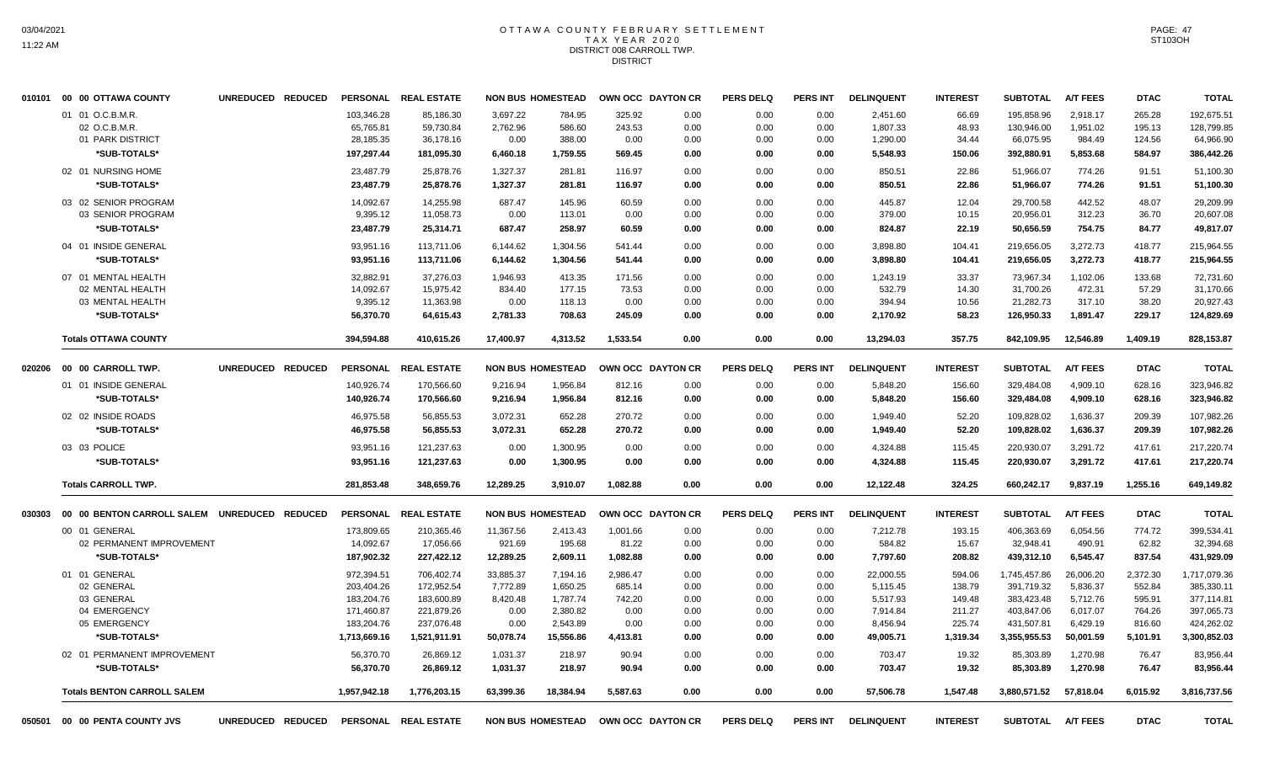#### OTTAWA COUNTY FEBRUARY SETTLEMENT T A X Y E A R 2 0 2 0 DISTRICT 008 CARROLL TWP. **DISTRICT**

|        | 010101 00 00 OTTAWA COUNTY                            | UNREDUCED REDUCED |                                      | PERSONAL REAL ESTATE                |                              | <b>NON BUS HOMESTEAD</b>   |                          | OWN OCC DAYTON CR                   | <b>PERS DELQ</b>     | <b>PERS INT</b>      | <b>DELINQUENT</b>                | <b>INTEREST</b>         | <b>SUBTOTAL</b>                       | <b>A/T FEES</b>                | <b>DTAC</b>                | <b>TOTAL</b>                          |
|--------|-------------------------------------------------------|-------------------|--------------------------------------|-------------------------------------|------------------------------|----------------------------|--------------------------|-------------------------------------|----------------------|----------------------|----------------------------------|-------------------------|---------------------------------------|--------------------------------|----------------------------|---------------------------------------|
|        | 01 01 O.C.B.M.R.<br>02 O.C.B.M.R.<br>01 PARK DISTRICT |                   | 103,346.28<br>65,765.81<br>28,185.35 | 85,186.30<br>59,730.84<br>36,178.16 | 3,697.22<br>2,762.96<br>0.00 | 784.95<br>586.60<br>388.00 | 325.92<br>243.53<br>0.00 | 0.00<br>0.00<br>0.00                | 0.00<br>0.00<br>0.00 | 0.00<br>0.00<br>0.00 | 2,451.60<br>1,807.33<br>1,290.00 | 66.69<br>48.93<br>34.44 | 195,858.96<br>130,946.00<br>66,075.95 | 2,918.17<br>1,951.02<br>984.49 | 265.28<br>195.13<br>124.56 | 192,675.51<br>128,799.85<br>64,966.90 |
|        | *SUB-TOTALS*                                          |                   | 197,297.44                           | 181,095.30                          | 6,460.18                     | 1,759.55                   | 569.45                   | 0.00                                | 0.00                 | 0.00                 | 5,548.93                         | 150.06                  | 392,880.91                            | 5,853.68                       | 584.97                     | 386,442.26                            |
|        | 02 01 NURSING HOME                                    |                   | 23,487.79                            | 25,878.76                           | 1,327.37                     | 281.81                     | 116.97                   | 0.00                                | 0.00                 | 0.00                 | 850.51                           | 22.86                   | 51,966.07                             | 774.26                         | 91.51                      | 51,100.30                             |
|        | *SUB-TOTALS*                                          |                   | 23,487.79                            | 25,878.76                           | 1,327.37                     | 281.81                     | 116.97                   | 0.00                                | 0.00                 | 0.00                 | 850.51                           | 22.86                   | 51,966.07                             | 774.26                         | 91.51                      | 51,100.30                             |
|        | 03 02 SENIOR PROGRAM                                  |                   | 14,092.67                            | 14.255.98                           | 687.47                       | 145.96                     | 60.59                    | 0.00                                | 0.00                 | 0.00                 | 445.87                           | 12.04                   | 29,700.58                             | 442.52                         | 48.07                      | 29,209.99                             |
|        | 03 SENIOR PROGRAM                                     |                   | 9,395.12                             | 11,058.73                           | 0.00                         | 113.01                     | 0.00                     | 0.00                                | 0.00                 | 0.00                 | 379.00                           | 10.15                   | 20,956.01                             | 312.23                         | 36.70                      | 20,607.08                             |
|        | *SUB-TOTALS*                                          |                   | 23,487.79                            | 25,314.71                           | 687.47                       | 258.97                     | 60.59                    | 0.00                                | 0.00                 | 0.00                 | 824.87                           | 22.19                   | 50,656.59                             | 754.75                         | 84.77                      | 49,817.07                             |
|        | 04 01 INSIDE GENERAL                                  |                   | 93,951.16                            | 113,711.06                          | 6,144.62                     | 1,304.56                   | 541.44                   | 0.00                                | 0.00                 | 0.00                 | 3,898.80                         | 104.41                  | 219,656.05                            | 3,272.73                       | 418.77                     | 215,964.55                            |
|        | *SUB-TOTALS*                                          |                   | 93,951.16                            | 113,711.06                          | 6,144.62                     | 1,304.56                   | 541.44                   | 0.00                                | 0.00                 | 0.00                 | 3,898.80                         | 104.41                  | 219,656.05                            | 3,272.73                       | 418.77                     | 215,964.55                            |
|        | 07 01 MENTAL HEALTH                                   |                   | 32,882.91                            | 37,276.03                           | 1,946.93                     | 413.35                     | 171.56                   | 0.00                                | 0.00                 | 0.00                 | 1,243.19                         | 33.37                   | 73,967.34                             | 1,102.06                       | 133.68                     | 72,731.60                             |
|        | 02 MENTAL HEALTH                                      |                   | 14,092.67                            | 15,975.42                           | 834.40                       | 177.15                     | 73.53                    | 0.00                                | 0.00                 | 0.00                 | 532.79                           | 14.30                   | 31,700.26                             | 472.31                         | 57.29                      | 31,170.66                             |
|        | 03 MENTAL HEALTH                                      |                   | 9,395.12                             | 11,363.98                           | 0.00                         | 118.13                     | 0.00                     | 0.00                                | 0.00                 | 0.00                 | 394.94                           | 10.56                   | 21,282.73                             | 317.10                         | 38.20                      | 20,927.43                             |
|        | *SUB-TOTALS*                                          |                   | 56,370.70                            | 64,615.43                           | 2,781.33                     | 708.63                     | 245.09                   | 0.00                                | 0.00                 | 0.00                 | 2,170.92                         | 58.23                   | 126,950.33                            | 1,891.47                       | 229.17                     | 124,829.69                            |
|        | <b>Totals OTTAWA COUNTY</b>                           |                   | 394,594.88                           | 410,615.26                          | 17,400.97                    | 4,313.52                   | 1,533.54                 | 0.00                                | 0.00                 | 0.00                 | 13,294.03                        | 357.75                  | 842,109.95                            | 12,546.89                      | 1,409.19                   | 828,153.87                            |
| 020206 | 00 00 CARROLL TWP.                                    | UNREDUCED REDUCED |                                      | PERSONAL REAL ESTATE                |                              | <b>NON BUS HOMESTEAD</b>   |                          | OWN OCC DAYTON CR                   | <b>PERS DELQ</b>     | <b>PERS INT</b>      | <b>DELINQUENT</b>                | <b>INTEREST</b>         | <b>SUBTOTAL</b>                       | <b>A/T FEES</b>                | <b>DTAC</b>                | <b>TOTAL</b>                          |
|        | 01 01 INSIDE GENERAL                                  |                   | 140,926.74                           | 170,566.60                          | 9,216.94                     | 1,956.84                   | 812.16                   | 0.00                                | 0.00                 | 0.00                 | 5,848.20                         | 156.60                  | 329,484.08                            | 4,909.10                       | 628.16                     | 323,946.82                            |
|        | *SUB-TOTALS*                                          |                   | 140,926.74                           | 170,566.60                          | 9,216.94                     | 1,956.84                   | 812.16                   | 0.00                                | 0.00                 | 0.00                 | 5,848.20                         | 156.60                  | 329,484.08                            | 4,909.10                       | 628.16                     | 323,946.82                            |
|        | 02 02 INSIDE ROADS                                    |                   | 46,975.58                            | 56,855.53                           | 3,072.31                     | 652.28                     | 270.72                   | 0.00                                | 0.00                 | 0.00                 | 1,949.40                         | 52.20                   | 109,828.02                            | 1.636.37                       | 209.39                     | 107,982.26                            |
|        | *SUB-TOTALS*                                          |                   | 46,975.58                            | 56,855.53                           | 3,072.31                     | 652.28                     | 270.72                   | 0.00                                | 0.00                 | 0.00                 | 1,949.40                         | 52.20                   | 109,828.02                            | 1,636.37                       | 209.39                     | 107,982.26                            |
|        | 03 03 POLICE                                          |                   | 93,951.16                            | 121,237.63                          | 0.00                         | 1,300.95                   | 0.00                     | 0.00                                | 0.00                 | 0.00                 | 4,324.88                         | 115.45                  | 220,930.07                            | 3,291.72                       | 417.61                     | 217,220.74                            |
|        | *SUB-TOTALS*                                          |                   | 93,951.16                            | 121,237.63                          | 0.00                         | 1,300.95                   | 0.00                     | 0.00                                | 0.00                 | 0.00                 | 4,324.88                         | 115.45                  | 220,930.07                            | 3,291.72                       | 417.61                     | 217,220.74                            |
|        |                                                       |                   |                                      |                                     |                              |                            |                          |                                     |                      |                      |                                  |                         |                                       |                                |                            |                                       |
|        | <b>Totals CARROLL TWP.</b>                            |                   | 281,853.48                           | 348,659.76                          | 12,289.25                    | 3,910.07                   | 1,082.88                 | 0.00                                | 0.00                 | 0.00                 | 12,122.48                        | 324.25                  | 660,242.17                            | 9,837.19                       | 1,255.16                   | 649,149.82                            |
| 030303 | 00 00 BENTON CARROLL SALEM UNREDUCED REDUCED          |                   |                                      | PERSONAL REAL ESTATE                |                              | <b>NON BUS HOMESTEAD</b>   |                          | OWN OCC DAYTON CR                   | <b>PERS DELQ</b>     | <b>PERS INT</b>      | <b>DELINQUENT</b>                | <b>INTEREST</b>         | <b>SUBTOTAL</b>                       | <b>A/T FEES</b>                | <b>DTAC</b>                | <b>TOTAL</b>                          |
|        | 00 01 GENERAL                                         |                   | 173,809.65                           | 210,365.46                          | 11,367.56                    | 2,413.43                   | 1,001.66                 | 0.00                                | 0.00                 | 0.00                 | 7,212.78                         | 193.15                  | 406,363.69                            | 6,054.56                       | 774.72                     | 399,534.41                            |
|        | 02 PERMANENT IMPROVEMENT                              |                   | 14,092.67                            | 17,056.66                           | 921.69                       | 195.68                     | 81.22                    | 0.00                                | 0.00                 | 0.00                 | 584.82                           | 15.67                   | 32,948.41                             | 490.91                         | 62.82                      | 32,394.68                             |
|        | *SUB-TOTALS*                                          |                   | 187,902.32                           | 227,422.12                          | 12,289.25                    | 2,609.11                   | 1,082.88                 | 0.00                                | 0.00                 | 0.00                 | 7,797.60                         | 208.82                  | 439,312.10                            | 6,545.47                       | 837.54                     | 431,929.09                            |
|        | 01 01 GENERAL                                         |                   | 972,394.51                           | 706,402.74                          | 33,885.37                    | 7,194.16                   | 2,986.47                 | 0.00                                | 0.00                 | 0.00                 | 22,000.55                        | 594.06                  | 1,745,457.86                          | 26,006.20                      | 2,372.30                   | 1,717,079.36                          |
|        | 02 GENERAL                                            |                   | 203,404.26                           | 172,952.54                          | 7,772.89                     | 1,650.25                   | 685.14                   | 0.00                                | 0.00                 | 0.00                 | 5.115.45                         | 138.79                  | 391,719.32                            | 5,836.37                       | 552.84                     | 385,330.11                            |
|        | 03 GENERAL                                            |                   | 183,204.76                           | 183,600.89                          | 8,420.48                     | 1,787.74                   | 742.20                   | 0.00                                | 0.00                 | 0.00                 | 5,517.93                         | 149.48                  | 383,423.48                            | 5,712.76                       | 595.91                     | 377,114.81                            |
|        | 04 EMERGENCY                                          |                   | 171,460.87                           | 221,879.26                          | 0.00                         | 2,380.82                   | 0.00                     | 0.00                                | 0.00                 | 0.00                 | 7,914.84                         | 211.27                  | 403,847.06                            | 6,017.07                       | 764.26                     | 397,065.73                            |
|        | 05 EMERGENCY                                          |                   | 183,204.76                           | 237,076.48                          | 0.00                         | 2,543.89                   | 0.00                     | 0.00                                | 0.00                 | 0.00                 | 8,456.94                         | 225.74                  | 431,507.81                            | 6,429.19                       | 816.60                     | 424,262.02                            |
|        | *SUB-TOTALS*                                          |                   | 1,713,669.16                         | 1,521,911.91                        | 50,078.74                    | 15,556.86                  | 4,413.81                 | 0.00                                | 0.00                 | 0.00                 | 49,005.71                        | 1,319.34                | 3,355,955.53                          | 50,001.59                      | 5,101.91                   | 3,300,852.03                          |
|        | 02 01 PERMANENT IMPROVEMENT                           |                   | 56,370.70                            | 26,869.12                           | 1,031.37                     | 218.97                     | 90.94                    | 0.00                                | 0.00                 | 0.00                 | 703.47                           | 19.32                   | 85,303.89                             | 1,270.98                       | 76.47                      | 83,956.44                             |
|        | *SUB-TOTALS*                                          |                   | 56,370.70                            | 26,869.12                           | 1,031.37                     | 218.97                     | 90.94                    | 0.00                                | 0.00                 | 0.00                 | 703.47                           | 19.32                   | 85,303.89                             | 1,270.98                       | 76.47                      | 83,956.44                             |
|        | <b>Totals BENTON CARROLL SALEM</b>                    |                   | 1,957,942.18                         | 1,776,203.15                        | 63,399.36                    | 18,384.94                  | 5,587.63                 | 0.00                                | 0.00                 | 0.00                 | 57,506.78                        | 1,547.48                | 3,880,571.52                          | 57,818.04                      | 6,015.92                   | 3,816,737.56                          |
| 050501 | 00 00 PENTA COUNTY JVS                                | UNREDUCED REDUCED |                                      | PERSONAL REAL ESTATE                |                              |                            |                          | NON BUS HOMESTEAD OWN OCC DAYTON CR | <b>PERS DELQ</b>     | <b>PERS INT</b>      | <b>DELINQUENT</b>                | <b>INTEREST</b>         | <b>SUBTOTAL</b>                       | <b>A/T FEES</b>                | <b>DTAC</b>                | <b>TOTAL</b>                          |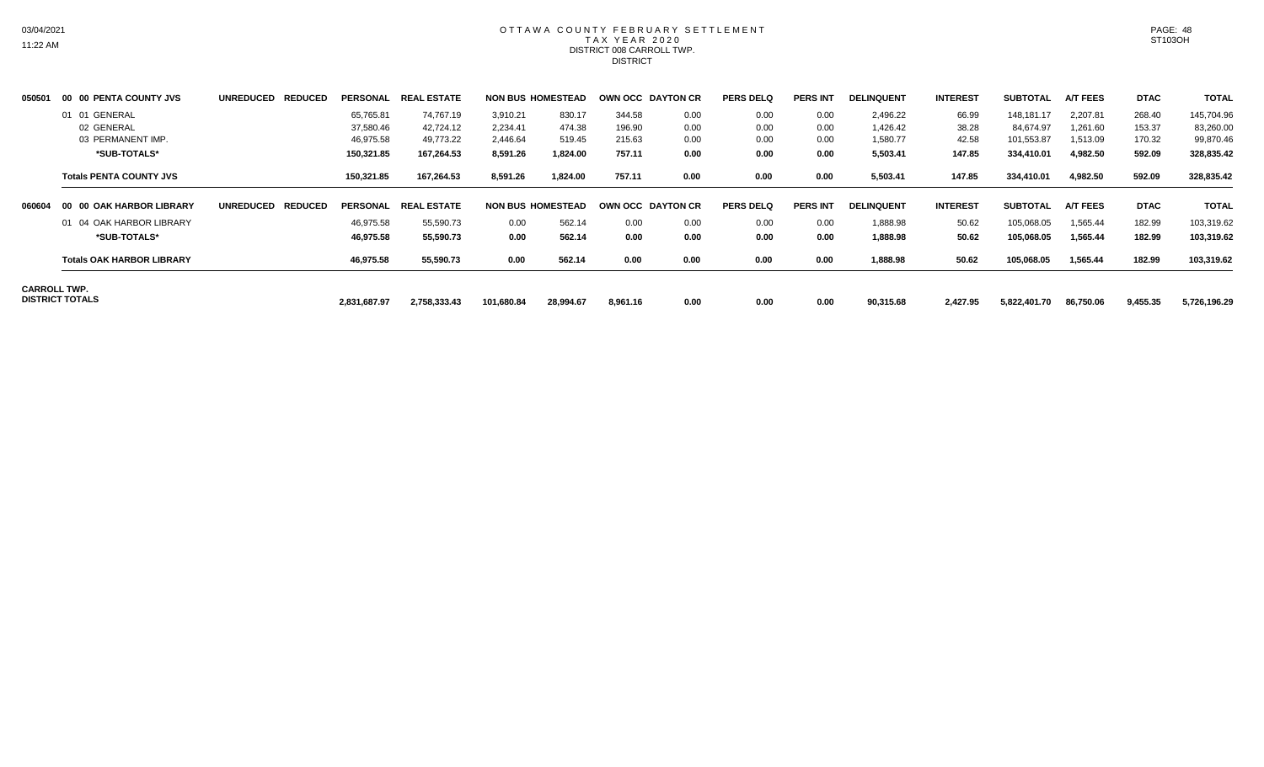#### OTTAWA COUNTY FEBRUARY SETTLEMENT TAX YEAR 2020 DISTRICT 008 CARROLL TWP. **DISTRICT**

| 01 01 GENERAL<br>02 GENERAL<br>03 PERMANENT IMP.<br>*SUB-TOTALS* |                   | 65,765.81<br>37,580.46<br>46,975.58<br>150,321.85 | 74.767.19<br>42,724.12<br>49,773.22<br>167,264.53 | 3,910.21<br>2,234.41<br>2,446.64<br>8,591.26 | 830.17<br>474.38<br>519.45<br>1,824.00 | 344.58<br>196.90<br>215.63 | 0.00<br>0.00<br>0.00 | 0.00<br>0.00<br>0.00 | 0.00<br>0.00<br>0.00 | 2,496.22<br>1,426.42<br>1,580.77 | 66.99<br>38.28<br>42.58 | 148,181.17<br>84,674.97<br>101,553.87 | 2,207.81<br>1,261.60<br>1,513.09 | 268.40<br>153.37 | 145,704.96<br>83,260.00 |
|------------------------------------------------------------------|-------------------|---------------------------------------------------|---------------------------------------------------|----------------------------------------------|----------------------------------------|----------------------------|----------------------|----------------------|----------------------|----------------------------------|-------------------------|---------------------------------------|----------------------------------|------------------|-------------------------|
|                                                                  |                   |                                                   |                                                   |                                              |                                        |                            |                      |                      |                      |                                  |                         |                                       |                                  |                  |                         |
|                                                                  |                   |                                                   |                                                   |                                              |                                        |                            |                      |                      |                      |                                  |                         |                                       |                                  |                  |                         |
|                                                                  |                   |                                                   |                                                   |                                              |                                        |                            |                      |                      |                      |                                  |                         |                                       |                                  | 170.32           | 99,870.46               |
|                                                                  |                   |                                                   |                                                   |                                              |                                        | 757.11                     | 0.00                 | 0.00                 | 0.00                 | 5,503.41                         | 147.85                  | 334,410.01                            | 4,982.50                         | 592.09           | 328,835.42              |
| <b>Totals PENTA COUNTY JVS</b>                                   |                   | 150,321.85                                        | 167,264.53                                        | 8,591.26                                     | 1,824.00                               | 757.11                     | 0.00                 | 0.00                 | 0.00                 | 5,503.41                         | 147.85                  | 334,410.01                            | 4,982.50                         | 592.09           | 328,835.42              |
| 00 00 OAK HARBOR LIBRARY                                         | UNREDUCED REDUCED | PERSONAL                                          | <b>REAL ESTATE</b>                                |                                              | <b>NON BUS HOMESTEAD</b>               | OWN OCC DAYTON CR          |                      | <b>PERS DELQ</b>     | <b>PERS INT</b>      | <b>DELINQUENT</b>                | <b>INTEREST</b>         | <b>SUBTOTAL</b>                       | <b>A/T FEES</b>                  | <b>DTAC</b>      | <b>TOTAL</b>            |
| 01 04 OAK HARBOR LIBRARY                                         |                   | 46,975.58                                         | 55,590.73                                         | 0.00                                         | 562.14                                 | 0.00                       | 0.00                 | 0.00                 | 0.00                 | 1,888.98                         | 50.62                   | 105,068.05                            | 1,565.44                         | 182.99           | 103,319.62              |
| *SUB-TOTALS*                                                     |                   | 46,975.58                                         | 55,590.73                                         | 0.00                                         | 562.14                                 | 0.00                       | 0.00                 | 0.00                 | 0.00                 | 1,888.98                         | 50.62                   | 105,068.05                            | 1,565.44                         | 182.99           | 103,319.62              |
| <b>Totals OAK HARBOR LIBRARY</b>                                 |                   | 46,975.58                                         | 55,590.73                                         | 0.00                                         | 562.14                                 | 0.00                       | 0.00                 | 0.00                 | 0.00                 | 1,888.98                         | 50.62                   | 105,068.05                            | 1,565.44                         | 182.99           | 103,319.62              |
|                                                                  |                   |                                                   |                                                   |                                              |                                        |                            |                      |                      |                      |                                  |                         |                                       |                                  |                  |                         |
|                                                                  |                   |                                                   |                                                   |                                              |                                        |                            |                      |                      |                      |                                  |                         |                                       |                                  |                  |                         |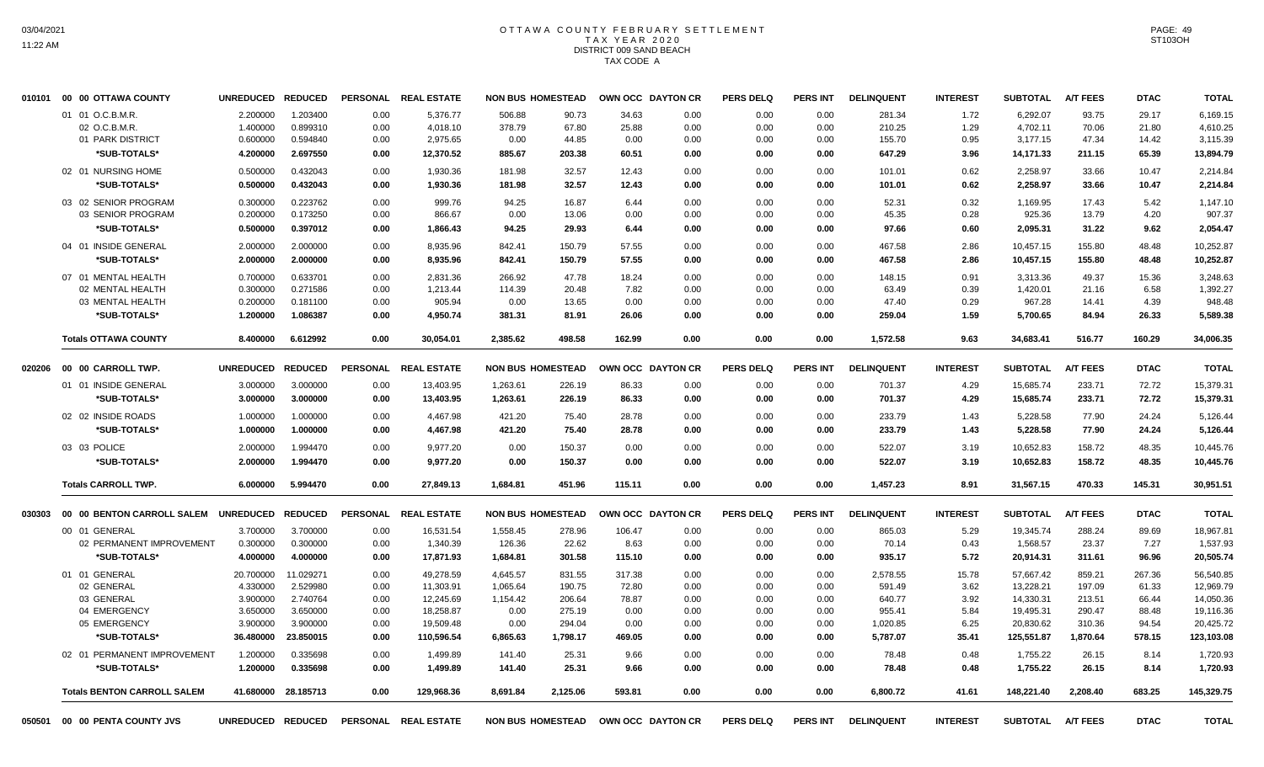# OTTAWA COUNTY FEBRUARY SETTLEMENT TAX YEAR 2020 DISTRICT 009 SAND BEACH TAX CODE A

|        | 010101 00 00 OTTAWA COUNTY         | UNREDUCED REDUCED |                     |      | PERSONAL REAL ESTATE |          | <b>NON BUS HOMESTEAD</b>            | OWN OCC DAYTON CR |      | <b>PERS DELQ</b> | PERS INT        | <b>DELINQUENT</b> | <b>INTEREST</b> | <b>SUBTOTAL</b> | <b>A/T FEES</b> | <b>DTAC</b> | <b>TOTAL</b> |
|--------|------------------------------------|-------------------|---------------------|------|----------------------|----------|-------------------------------------|-------------------|------|------------------|-----------------|-------------------|-----------------|-----------------|-----------------|-------------|--------------|
|        | 01 01 O.C.B.M.R.                   | 2.200000          | 1.203400            | 0.00 | 5,376.77             | 506.88   | 90.73                               | 34.63             | 0.00 | 0.00             | 0.00            | 281.34            | 1.72            | 6,292.07        | 93.75           | 29.17       | 6,169.15     |
|        | 02 O.C.B.M.R.                      | 1.400000          | 0.899310            | 0.00 | 4,018.10             | 378.79   | 67.80                               | 25.88             | 0.00 | 0.00             | 0.00            | 210.25            | 1.29            | 4,702.11        | 70.06           | 21.80       | 4,610.25     |
|        | 01 PARK DISTRICT                   | 0.600000          | 0.594840            | 0.00 | 2,975.65             | 0.00     | 44.85                               | 0.00              | 0.00 | 0.00             | 0.00            | 155.70            | 0.95            | 3,177.15        | 47.34           | 14.42       | 3,115.39     |
|        | *SUB-TOTALS*                       | 4.200000          | 2.697550            | 0.00 | 12,370.52            | 885.67   | 203.38                              | 60.51             | 0.00 | 0.00             | 0.00            | 647.29            | 3.96            | 14,171.33       | 211.15          | 65.39       | 13,894.79    |
|        | 02 01 NURSING HOME                 | 0.500000          | 0.432043            | 0.00 | 1,930.36             | 181.98   | 32.57                               | 12.43             | 0.00 | 0.00             | 0.00            | 101.01            | 0.62            | 2,258.97        | 33.66           | 10.47       | 2.214.84     |
|        | *SUB-TOTALS*                       | 0.500000          | 0.432043            | 0.00 | 1,930.36             | 181.98   | 32.57                               | 12.43             | 0.00 | 0.00             | 0.00            | 101.01            | 0.62            | 2,258.97        | 33.66           | 10.47       | 2,214.84     |
|        | 03 02 SENIOR PROGRAM               | 0.300000          | 0.223762            | 0.00 | 999.76               | 94.25    | 16.87                               | 6.44              | 0.00 | 0.00             | 0.00            | 52.31             | 0.32            | 1,169.95        | 17.43           | 5.42        | 1,147.10     |
|        | 03 SENIOR PROGRAM                  | 0.200000          | 0.173250            | 0.00 | 866.67               | 0.00     | 13.06                               | 0.00              | 0.00 | 0.00             | 0.00            | 45.35             | 0.28            | 925.36          | 13.79           | 4.20        | 907.37       |
|        | *SUB-TOTALS*                       | 0.500000          | 0.397012            | 0.00 | 1,866.43             | 94.25    | 29.93                               | 6.44              | 0.00 | 0.00             | 0.00            | 97.66             | 0.60            | 2,095.31        | 31.22           | 9.62        | 2,054.47     |
|        | 04 01 INSIDE GENERAL               | 2.000000          | 2.000000            | 0.00 | 8,935.96             | 842.41   | 150.79                              | 57.55             | 0.00 | 0.00             | 0.00            | 467.58            | 2.86            | 10,457.15       | 155.80          | 48.48       | 10,252.87    |
|        | *SUB-TOTALS*                       | 2.000000          | 2.000000            | 0.00 | 8,935.96             | 842.41   | 150.79                              | 57.55             | 0.00 | 0.00             | 0.00            | 467.58            | 2.86            | 10,457.15       | 155.80          | 48.48       | 10,252.87    |
|        | 07 01 MENTAL HEALTH                | 0.700000          | 0.633701            | 0.00 | 2.831.36             | 266.92   | 47.78                               | 18.24             | 0.00 | 0.00             | 0.00            | 148.15            | 0.91            | 3.313.36        | 49.37           | 15.36       | 3,248.63     |
|        | 02 MENTAL HEALTH                   | 0.300000          | 0.271586            | 0.00 | 1,213.44             | 114.39   | 20.48                               | 7.82              | 0.00 | 0.00             | 0.00            | 63.49             | 0.39            | 1,420.01        | 21.16           | 6.58        | 1,392.27     |
|        | 03 MENTAL HEALTH                   | 0.200000          | 0.181100            | 0.00 | 905.94               | 0.00     | 13.65                               | 0.00              | 0.00 | 0.00             | 0.00            | 47.40             | 0.29            | 967.28          | 14.41           | 4.39        | 948.48       |
|        | *SUB-TOTALS*                       | 1.200000          | 1.086387            | 0.00 | 4,950.74             | 381.31   | 81.91                               | 26.06             | 0.00 | 0.00             | 0.00            | 259.04            | 1.59            | 5,700.65        | 84.94           | 26.33       | 5,589.38     |
|        | <b>Totals OTTAWA COUNTY</b>        | 8.400000          | 6.612992            | 0.00 | 30.054.01            | 2.385.62 | 498.58                              | 162.99            | 0.00 | 0.00             | 0.00            | 1,572.58          | 9.63            | 34,683.41       | 516.77          | 160.29      | 34,006.35    |
|        |                                    |                   |                     |      |                      |          |                                     |                   |      |                  |                 |                   |                 |                 |                 |             |              |
| 020206 | 00 00 CARROLL TWP.                 | UNREDUCED REDUCED |                     |      | PERSONAL REAL ESTATE |          | <b>NON BUS HOMESTEAD</b>            | OWN OCC DAYTON CR |      | <b>PERS DELQ</b> | <b>PERS INT</b> | <b>DELINQUENT</b> | <b>INTEREST</b> | <b>SUBTOTAL</b> | <b>A/T FEES</b> | <b>DTAC</b> | <b>TOTAL</b> |
|        | 01 01 INSIDE GENERAL               | 3.000000          | 3.000000            | 0.00 | 13,403.95            | 1,263.61 | 226.19                              | 86.33             | 0.00 | 0.00             | 0.00            | 701.37            | 4.29            | 15,685.74       | 233.71          | 72.72       | 15,379.31    |
|        | *SUB-TOTALS*                       | 3.000000          | 3.000000            | 0.00 | 13,403.95            | 1,263.61 | 226.19                              | 86.33             | 0.00 | 0.00             | 0.00            | 701.37            | 4.29            | 15,685.74       | 233.71          | 72.72       | 15,379.31    |
|        | 02 02 INSIDE ROADS                 | 1.000000          | 1.000000            | 0.00 | 4,467.98             | 421.20   | 75.40                               | 28.78             | 0.00 | 0.00             | 0.00            | 233.79            | 1.43            | 5,228.58        | 77.90           | 24.24       | 5,126.44     |
|        | *SUB-TOTALS*                       | 1.000000          | 1.000000            | 0.00 | 4,467.98             | 421.20   | 75.40                               | 28.78             | 0.00 | 0.00             | 0.00            | 233.79            | 1.43            | 5,228.58        | 77.90           | 24.24       | 5,126.44     |
|        | 03 03 POLICE                       | 2.000000          | 1.994470            | 0.00 | 9,977.20             | 0.00     | 150.37                              | 0.00              | 0.00 | 0.00             | 0.00            | 522.07            | 3.19            | 10,652.83       | 158.72          | 48.35       | 10,445.76    |
|        | *SUB-TOTALS*                       | 2.000000          | 1.994470            | 0.00 | 9.977.20             | 0.00     | 150.37                              | 0.00              | 0.00 | 0.00             | 0.00            | 522.07            | 3.19            | 10,652.83       | 158.72          | 48.35       | 10,445.76    |
|        | <b>Totals CARROLL TWP.</b>         | 6.000000          | 5.994470            | 0.00 | 27,849.13            | 1,684.81 | 451.96                              | 115.11            | 0.00 | 0.00             | 0.00            | 1,457.23          | 8.91            | 31,567.15       | 470.33          | 145.31      | 30,951.51    |
| 030303 | 00 00 BENTON CARROLL SALEM         | UNREDUCED REDUCED |                     |      | PERSONAL REAL ESTATE |          | <b>NON BUS HOMESTEAD</b>            | OWN OCC DAYTON CR |      | <b>PERS DELQ</b> | <b>PERS INT</b> | <b>DELINQUENT</b> | <b>INTEREST</b> | <b>SUBTOTAL</b> | <b>A/T FEES</b> | <b>DTAC</b> | <b>TOTAL</b> |
|        | 00 01 GENERAL                      | 3.700000          | 3.700000            | 0.00 | 16,531.54            | 1,558.45 | 278.96                              | 106.47            | 0.00 | 0.00             | 0.00            | 865.03            | 5.29            | 19,345.74       | 288.24          | 89.69       | 18,967.81    |
|        | 02 PERMANENT IMPROVEMENT           | 0.300000          | 0.300000            | 0.00 | 1,340.39             | 126.36   | 22.62                               | 8.63              | 0.00 | 0.00             | 0.00            | 70.14             | 0.43            | 1,568.57        | 23.37           | 7.27        | 1,537.93     |
|        | *SUB-TOTALS*                       | 4.000000          | 4.000000            | 0.00 | 17,871.93            | 1,684.81 | 301.58                              | 115.10            | 0.00 | 0.00             | 0.00            | 935.17            | 5.72            | 20,914.31       | 311.61          | 96.96       | 20,505.74    |
|        | 01 01 GENERAL                      | 20.700000         | 11.029271           | 0.00 | 49,278.59            | 4,645.57 | 831.55                              | 317.38            | 0.00 | 0.00             | 0.00            | 2,578.55          | 15.78           | 57,667.42       | 859.21          | 267.36      | 56,540.85    |
|        | 02 GENERAL                         | 4.330000          | 2.529980            | 0.00 | 11.303.91            | 1.065.64 | 190.75                              | 72.80             | 0.00 | 0.00             | 0.00            | 591.49            | 3.62            | 13.228.21       | 197.09          | 61.33       | 12,969.79    |
|        | 03 GENERAL                         | 3.900000          | 2.740764            | 0.00 | 12,245.69            | 1,154.42 | 206.64                              | 78.87             | 0.00 | 0.00             | 0.00            | 640.77            | 3.92            | 14,330.31       | 213.51          | 66.44       | 14,050.36    |
|        | 04 EMERGENCY                       | 3.650000          | 3.650000            | 0.00 | 18,258.87            | 0.00     | 275.19                              | 0.00              | 0.00 | 0.00             | 0.00            | 955.41            | 5.84            | 19,495.31       | 290.47          | 88.48       | 19,116.36    |
|        | 05 EMERGENCY                       | 3.900000          | 3.900000            | 0.00 | 19,509.48            | 0.00     | 294.04                              | 0.00              | 0.00 | 0.00             | 0.00            | 1,020.85          | 6.25            | 20,830.62       | 310.36          | 94.54       | 20,425.72    |
|        | *SUB-TOTALS*                       | 36.480000         | 23.850015           | 0.00 | 110,596.54           | 6,865.63 | 1,798.17                            | 469.05            | 0.00 | 0.00             | 0.00            | 5,787.07          | 35.41           | 125,551.87      | 1.870.64        | 578.15      | 123,103.08   |
|        | 02 01 PERMANENT IMPROVEMENT        | 1.200000          | 0.335698            | 0.00 | 1,499.89             | 141.40   | 25.31                               | 9.66              | 0.00 | 0.00             | 0.00            | 78.48             | 0.48            | 1,755.22        | 26.15           | 8.14        | 1,720.93     |
|        | *SUB-TOTALS*                       | 1.200000          | 0.335698            | 0.00 | 1,499.89             | 141.40   | 25.31                               | 9.66              | 0.00 | 0.00             | 0.00            | 78.48             | 0.48            | 1,755.22        | 26.15           | 8.14        | 1,720.93     |
|        | <b>Totals BENTON CARROLL SALEM</b> |                   | 41.680000 28.185713 | 0.00 | 129,968.36           | 8,691.84 | 2,125.06                            | 593.81            | 0.00 | 0.00             | 0.00            | 6,800.72          | 41.61           | 148,221.40      | 2,208.40        | 683.25      | 145,329.75   |
|        | 050501 00 00 PENTA COUNTY JVS      | UNREDUCED REDUCED |                     |      | PERSONAL REAL ESTATE |          | NON BUS HOMESTEAD OWN OCC DAYTON CR |                   |      | <b>PERS DELO</b> | <b>PERS INT</b> | <b>DELINQUENT</b> | <b>INTEREST</b> | <b>SUBTOTAL</b> | <b>A/T FEES</b> | <b>DTAC</b> | <b>TOTAL</b> |

PAGE: 49 ST103OH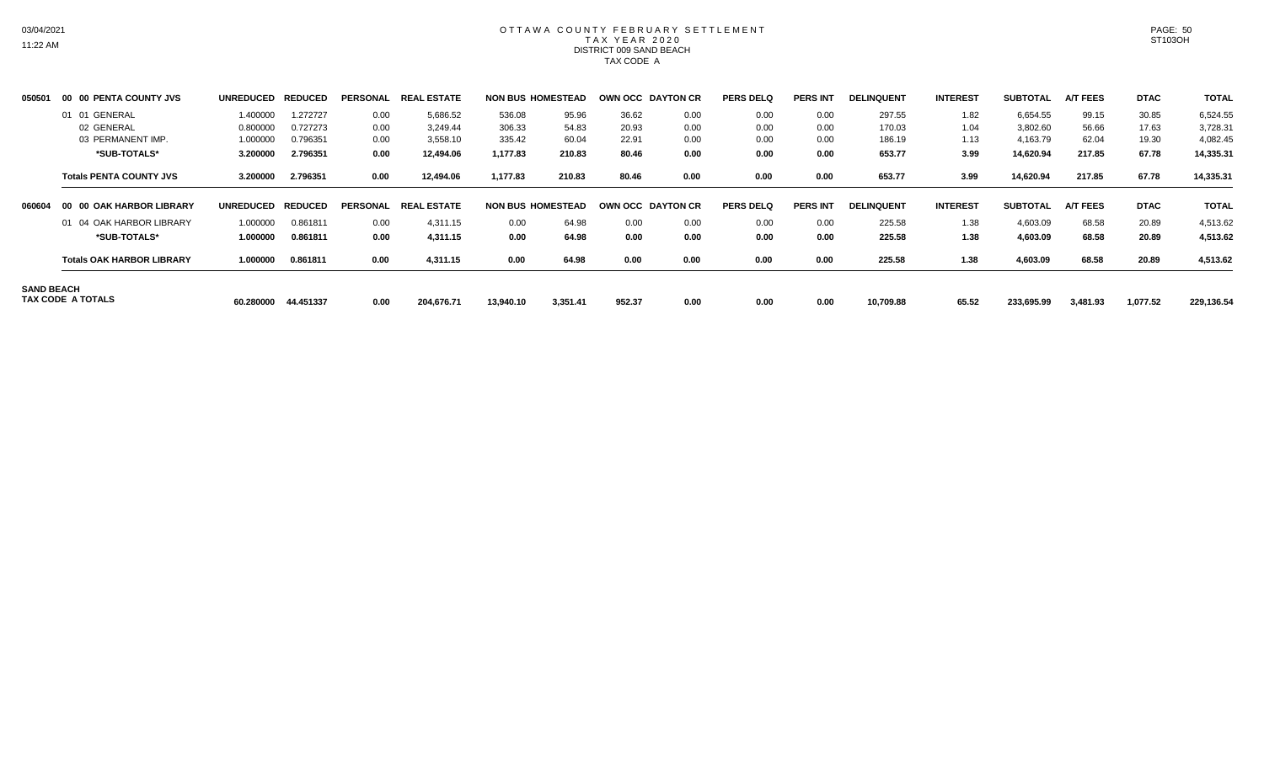# OTTAWA COUNTY FEBRUARY SETTLEMENT TAX YEAR 2020 DISTRICT 009 SAND BEACH TAX CODE A

| 050501            | 00 00 PENTA COUNTY JVS           | <b>UNREDUCED</b> | <b>REDUCED</b> | <b>PERSONAL</b> | . ESTATE<br><b>REAL</b> | <b>NON BUS HOMESTEAD</b> |          | <b>OWN OCC DAYTON CR</b> |      | <b>PERS DELQ</b> | <b>PERS INT</b> | <b>DELINQUENT</b> | <b>INTEREST</b> | <b>SUBTOTAL</b> | <b>A/T FEES</b> | <b>DTAC</b> | <b>TOTAL</b> |
|-------------------|----------------------------------|------------------|----------------|-----------------|-------------------------|--------------------------|----------|--------------------------|------|------------------|-----------------|-------------------|-----------------|-----------------|-----------------|-------------|--------------|
|                   | 01 01 GENERAL                    | 1.400000         | 1.272727       | 0.00            | 5,686.52                | 536.08                   | 95.96    | 36.62                    | 0.00 | 0.00             | 0.00            | 297.55            | 1.82            | 6.654.55        | 99.15           | 30.85       | 6,524.55     |
|                   | 02 GENERAL                       | 0.800000         | 0.727273       | 0.00            | 3,249.44                | 306.33                   | 54.83    | 20.93                    | 0.00 | 0.00             | 0.00            | 170.03            | 1.04            | 3,802.60        | 56.66           | 17.63       | 3,728.31     |
|                   | 03 PERMANENT IMP.                | 1.000000         | 0.796351       | 0.00            | 3,558.10                | 335.42                   | 60.04    | 22.91                    | 0.00 | 0.00             | 0.00            | 186.19            | 1.13            | 4,163.79        | 62.04           | 19.30       | 4,082.45     |
|                   | *SUB-TOTALS*                     | 3.200000         | 2.796351       | 0.00            | 12,494.06               | 1,177.83                 | 210.83   | 80.46                    | 0.00 | 0.00             | 0.00            | 653.77            | 3.99            | 14,620.94       | 217.85          | 67.78       | 14,335.31    |
|                   | <b>Totals PENTA COUNTY JVS</b>   | 3.200000         | 2.796351       | 0.00            | 12,494.06               | 1,177.83                 | 210.83   | 80.46                    | 0.00 | 0.00             | 0.00            | 653.77            | 3.99            | 14,620.94       | 217.85          | 67.78       | 14,335.31    |
| 060604            | 00 00 OAK HARBOR LIBRARY         | <b>UNREDUCED</b> | <b>REDUCED</b> | <b>PERSONAL</b> | <b>REAL ESTATE</b>      | <b>NON BUS HOMESTEAD</b> |          | <b>OWN OCC DAYTON CR</b> |      | <b>PERS DELQ</b> | <b>PERS INT</b> | <b>DELINQUENT</b> | <b>INTEREST</b> | <b>SUBTOTAL</b> | <b>A/T FEES</b> | <b>DTAC</b> | <b>TOTAL</b> |
|                   | 01 04 OAK HARBOR LIBRARY         | 1.000000         | 0.861811       | 0.00            | 4,311.15                | 0.00                     | 64.98    | 0.00                     | 0.00 | 0.00             | 0.00            | 225.58            | 1.38            | 4,603.09        | 68.58           | 20.89       | 4,513.62     |
|                   | *SUB-TOTALS*                     | 1.000000         | 0.861811       | 0.00            | 4,311.15                | 0.00                     | 64.98    | 0.00                     | 0.00 | 0.00             | 0.00            | 225.58            | 1.38            | 4,603.09        | 68.58           | 20.89       | 4,513.62     |
|                   | <b>Totals OAK HARBOR LIBRARY</b> | 1.000000         | 0.861811       | 0.00            | 4,311.15                | 0.00                     | 64.98    | 0.00                     | 0.00 | 0.00             | 0.00            | 225.58            | 1.38            | 4,603.09        | 68.58           | 20.89       | 4,513.62     |
| <b>SAND BEACH</b> | TAX CODE A TOTALS                | 60.280000        | 44.451337      | 0.00            | 204,676.71              | 13,940.10                | 3,351.41 | 952.37                   | 0.00 | 0.00             | 0.00            | 10,709.88         | 65.52           | 233,695.99      | 3,481.93        | 1,077.52    | 229,136.54   |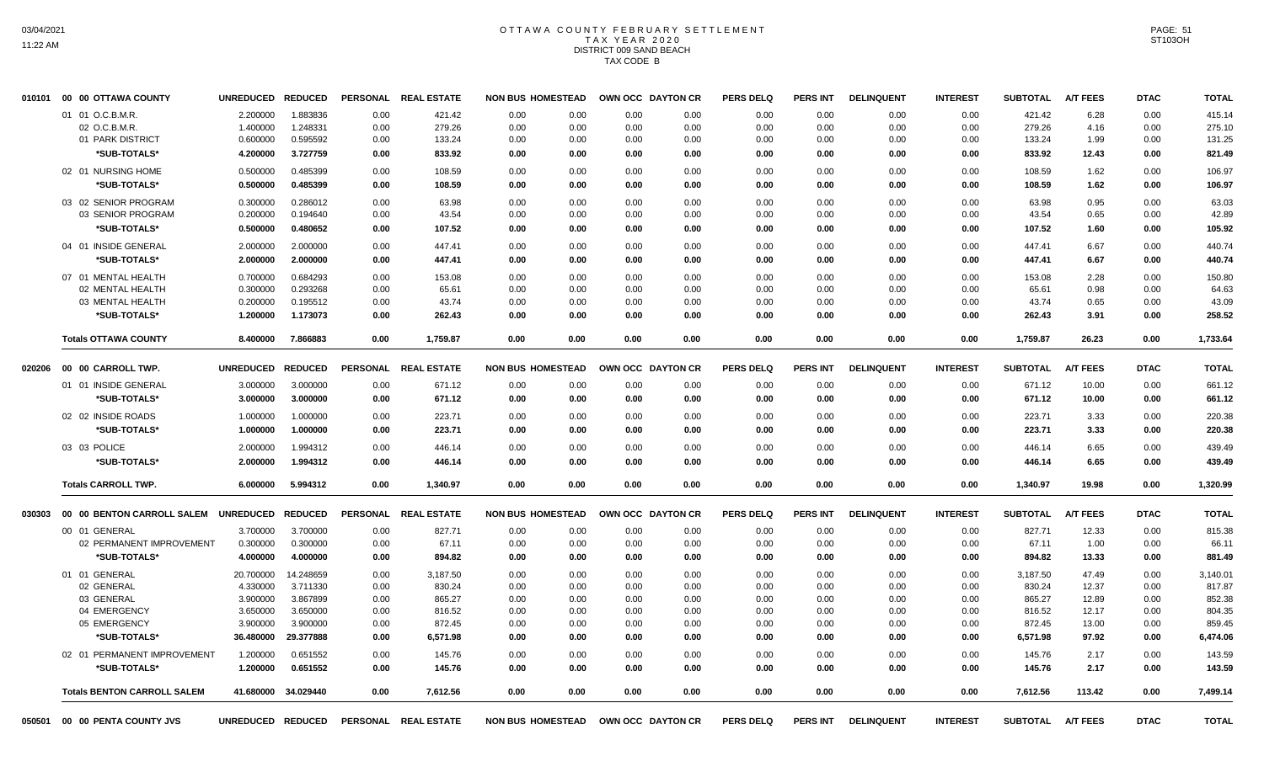# OTTAWA COUNTY FEBRUARY SETTLEMENT TAX YEAR 2020 DISTRICT 009 SAND BEACH TAX CODE B

|        | 050501 00 00 PENTA COUNTY JVS               | UNREDUCED REDUCED             |           |      | PERSONAL REAL ESTATE           |      | <b>NON BUS HOMESTEAD</b>         | OWN OCC DAYTON CR         |      | <b>PERS DELQ</b>         | <b>PERS INT</b>         | <b>DELINQUENT</b>         | <b>INTEREST</b>         | <b>SUBTOTAL</b>           | <b>A/T FEES</b>          | <b>DTAC</b>         | <b>TOTAL</b>           |
|--------|---------------------------------------------|-------------------------------|-----------|------|--------------------------------|------|----------------------------------|---------------------------|------|--------------------------|-------------------------|---------------------------|-------------------------|---------------------------|--------------------------|---------------------|------------------------|
|        | <b>Totals BENTON CARROLL SALEM</b>          | 41.680000                     | 34.029440 | 0.00 | 7,612.56                       | 0.00 | 0.00                             | 0.00                      | 0.00 | 0.00                     | 0.00                    | 0.00                      | 0.00                    | 7,612.56                  | 113.42                   | 0.00                | 7,499.14               |
|        | *SUB-TOTALS*                                | 1.200000                      | 0.651552  | 0.00 | 145.76                         | 0.00 | 0.00                             | 0.00                      | 0.00 | 0.00                     | 0.00                    | 0.00                      | 0.00                    | 145.76                    | 2.17                     | 0.00                | 143.59                 |
|        | 02 01 PERMANENT IMPROVEMENT                 | 1.200000                      | 0.651552  | 0.00 | 145.76                         | 0.00 | 0.00                             | 0.00                      | 0.00 | 0.00                     | 0.00                    | 0.00                      | 0.00                    | 145.76                    | 2.17                     | 0.00                | 143.59                 |
|        | *SUB-TOTALS*                                | 36.480000                     | 29.377888 | 0.00 | 6,571.98                       | 0.00 | 0.00                             | 0.00                      | 0.00 | 0.00                     | 0.00                    | 0.00                      | 0.00                    | 6,571.98                  | 97.92                    | 0.00                | 6,474.06               |
|        | 05 EMERGENCY                                | 3.900000                      | 3.900000  | 0.00 | 872.45                         | 0.00 | 0.00                             | 0.00                      | 0.00 | 0.00                     | 0.00                    | 0.00                      | 0.00                    | 872.45                    | 13.00                    | 0.00                | 859.45                 |
|        | 04 EMERGENCY                                | 3.650000                      | 3.650000  | 0.00 | 816.52                         | 0.00 | 0.00                             | 0.00                      | 0.00 | 0.00                     | 0.00                    | 0.00                      | 0.00                    | 816.52                    | 12.17                    | 0.00                | 804.35                 |
|        | 03 GENERAL                                  | 3.900000                      | 3.867899  | 0.00 | 865.27                         | 0.00 | 0.00                             | 0.00                      | 0.00 | 0.00                     | 0.00                    | 0.00                      | 0.00                    | 865.27                    | 12.89                    | 0.00                | 852.38                 |
|        | 02 GENERAL                                  | 4.330000                      | 3.711330  | 0.00 | 830.24                         | 0.00 | 0.00                             | 0.00                      | 0.00 | 0.00                     | 0.00                    | 0.00                      | 0.00                    | 830.24                    | 12.37                    | 0.00                | 817.87                 |
|        | 01 01 GENERAL                               | 20.700000                     | 14.248659 | 0.00 | 3,187.50                       | 0.00 | 0.00                             | 0.00                      | 0.00 | 0.00                     | 0.00                    | 0.00                      | 0.00                    | 3,187.50                  | 47.49                    | 0.00                | 3,140.01               |
|        | *SUB-TOTALS*                                | 4.000000                      | 4.000000  | 0.00 | 894.82                         | 0.00 | 0.00                             | 0.00                      | 0.00 | 0.00                     | 0.00                    | 0.00                      | 0.00                    | 894.82                    | 13.33                    | 0.00                | 881.49                 |
|        | 02 PERMANENT IMPROVEMENT                    | 0.300000                      | 0.300000  | 0.00 | 67.11                          | 0.00 | 0.00                             | 0.00                      | 0.00 | 0.00                     | 0.00                    | 0.00                      | 0.00                    | 67.11                     | 1.00                     | 0.00                | 66.11                  |
| 030303 | 00 00 BENTON CARROLL SALEM<br>00 01 GENERAL | UNREDUCED REDUCED<br>3.700000 | 3.700000  | 0.00 | PERSONAL REAL ESTATE<br>827.71 | 0.00 | <b>NON BUS HOMESTEAD</b><br>0.00 | OWN OCC DAYTON CR<br>0.00 | 0.00 | <b>PERS DELQ</b><br>0.00 | <b>PERS INT</b><br>0.00 | <b>DELINQUENT</b><br>0.00 | <b>INTEREST</b><br>0.00 | <b>SUBTOTAL</b><br>827.71 | <b>A/T FEES</b><br>12.33 | <b>DTAC</b><br>0.00 | <b>TOTAL</b><br>815.38 |
|        | <b>Totals CARROLL TWP.</b>                  | 6.000000                      | 5.994312  | 0.00 | 1,340.97                       | 0.00 | 0.00                             | 0.00                      | 0.00 | 0.00                     | 0.00                    | 0.00                      | 0.00                    | 1,340.97                  | 19.98                    | 0.00                | 1,320.99               |
|        | *SUB-TOTALS*                                | 2.000000                      | 1.994312  | 0.00 | 446.14                         | 0.00 | 0.00                             | 0.00                      | 0.00 | 0.00                     | 0.00                    | 0.00                      | 0.00                    | 446.14                    | 6.65                     | 0.00                | 439.49                 |
|        | 03 03 POLICE                                | 2.000000                      | 1.994312  | 0.00 | 446.14                         | 0.00 | 0.00                             | 0.00                      | 0.00 | 0.00                     | 0.00                    | 0.00                      | 0.00                    | 446.14                    | 6.65                     | 0.00                | 439.49                 |
|        |                                             |                               |           |      |                                |      |                                  |                           |      |                          |                         |                           |                         |                           |                          |                     |                        |
|        | *SUB-TOTALS*                                | 1.000000                      | 1.000000  | 0.00 | 223.71                         | 0.00 | 0.00                             | 0.00                      | 0.00 | 0.00                     | 0.00                    | 0.00                      | 0.00                    | 223.71                    | 3.33                     | 0.00                | 220.38                 |
|        | 02 02 INSIDE ROADS                          | 1.000000                      | 1.000000  | 0.00 | 223.71                         | 0.00 | 0.00                             | 0.00                      | 0.00 | 0.00                     | 0.00                    | 0.00                      | 0.00                    | 223.71                    | 3.33                     | 0.00                | 220.38                 |
|        | *SUB-TOTALS*                                | 3.000000                      | 3.000000  | 0.00 | 671.12                         | 0.00 | 0.00                             | 0.00                      | 0.00 | 0.00                     | 0.00                    | 0.00                      | 0.00                    | 671.12                    | 10.00                    | 0.00                | 661.12                 |
|        | 01 01 INSIDE GENERAL                        | 3.000000                      | 3.000000  | 0.00 | 671.12                         | 0.00 | 0.00                             | 0.00                      | 0.00 | 0.00                     | 0.00                    | 0.00                      | 0.00                    | 671.12                    | 10.00                    | 0.00                | 661.12                 |
| 020206 | 00 00 CARROLL TWP.                          | UNREDUCED REDUCED             |           |      | PERSONAL REAL ESTATE           |      | <b>NON BUS HOMESTEAD</b>         | OWN OCC DAYTON CR         |      | <b>PERS DELQ</b>         | PERS INT                | <b>DELINQUENT</b>         | <b>INTEREST</b>         | <b>SUBTOTAL</b>           | <b>A/T FEES</b>          | <b>DTAC</b>         | <b>TOTAL</b>           |
|        | <b>Totals OTTAWA COUNTY</b>                 | 8.400000                      | 7.866883  | 0.00 | 1,759.87                       | 0.00 | 0.00                             | 0.00                      | 0.00 | 0.00                     | 0.00                    | 0.00                      | 0.00                    | 1,759.87                  | 26.23                    | 0.00                | 1,733.64               |
|        | *SUB-TOTALS*                                | 1.200000                      | 1.173073  | 0.00 | 262.43                         | 0.00 | 0.00                             | 0.00                      | 0.00 | 0.00                     | 0.00                    | 0.00                      | 0.00                    | 262.43                    | 3.91                     | 0.00                | 258.52                 |
|        | 03 MENTAL HEALTH                            | 0.200000                      | 0.195512  | 0.00 | 43.74                          | 0.00 | 0.00                             | 0.00                      | 0.00 | 0.00                     | 0.00                    | 0.00                      | 0.00                    | 43.74                     | 0.65                     | 0.00                | 43.09                  |
|        | 02 MENTAL HEALTH                            | 0.300000                      | 0.293268  | 0.00 | 65.61                          | 0.00 | 0.00                             | 0.00                      | 0.00 | 0.00                     | 0.00                    | 0.00                      | 0.00                    | 65.61                     | 0.98                     | 0.00                | 64.63                  |
|        | 07 01 MENTAL HEALTH                         | 0.700000                      | 0.684293  | 0.00 | 153.08                         | 0.00 | 0.00                             | 0.00                      | 0.00 | 0.00                     | 0.00                    | 0.00                      | 0.00                    | 153.08                    | 2.28                     | 0.00                | 150.80                 |
|        | *SUB-TOTALS*                                | 2.000000                      | 2.000000  | 0.00 | 447.41                         | 0.00 | 0.00                             | 0.00                      | 0.00 | 0.00                     | 0.00                    | 0.00                      | 0.00                    | 447.41                    | 6.67                     | 0.00                | 440.74                 |
|        | 04 01 INSIDE GENERAL                        | 2.000000                      | 2.000000  | 0.00 | 447.41                         | 0.00 | 0.00                             | 0.00                      | 0.00 | 0.00                     | 0.00                    | 0.00                      | 0.00                    | 447.41                    | 6.67                     | 0.00                | 440.74                 |
|        | *SUB-TOTALS*                                | 0.500000                      | 0.480652  | 0.00 | 107.52                         | 0.00 | 0.00                             | 0.00                      | 0.00 | 0.00                     | 0.00                    | 0.00                      | 0.00                    | 107.52                    | 1.60                     | 0.00                | 105.92                 |
|        | 03 SENIOR PROGRAM                           | 0.200000                      | 0.194640  | 0.00 | 43.54                          | 0.00 | 0.00                             | 0.00                      | 0.00 | 0.00                     | 0.00                    | 0.00                      | 0.00                    | 43.54                     | 0.65                     | 0.00                | 42.89                  |
|        | 03 02 SENIOR PROGRAM                        | 0.300000                      | 0.286012  | 0.00 | 63.98                          | 0.00 | 0.00                             | 0.00                      | 0.00 | 0.00                     | 0.00                    | 0.00                      | 0.00                    | 63.98                     | 0.95                     | 0.00                | 63.03                  |
|        | *SUB-TOTALS*                                | 0.500000                      | 0.485399  | 0.00 | 108.59                         | 0.00 | 0.00                             | 0.00                      | 0.00 | 0.00                     | 0.00                    | 0.00                      | 0.00                    | 108.59                    | 1.62                     | 0.00                | 106.97                 |
|        | 02 01 NURSING HOME                          | 0.500000                      | 0.485399  | 0.00 | 108.59                         | 0.00 | 0.00                             | 0.00                      | 0.00 | 0.00                     | 0.00                    | 0.00                      | 0.00                    | 108.59                    | 1.62                     | 0.00                | 106.97                 |
|        | *SUB-TOTALS*                                | 4.200000                      | 3.727759  | 0.00 | 833.92                         | 0.00 | 0.00                             | 0.00                      | 0.00 | 0.00                     | 0.00                    | 0.00                      | 0.00                    | 833.92                    | 12.43                    | 0.00                | 821.49                 |
|        | 01 PARK DISTRICT                            | 0.600000                      | 0.595592  | 0.00 | 133.24                         | 0.00 | 0.00                             | 0.00                      | 0.00 | 0.00                     | 0.00                    | 0.00                      | 0.00                    | 133.24                    | 1.99                     | 0.00                | 131.25                 |
|        | 02 O.C.B.M.R.                               | 1.400000                      | 1.248331  | 0.00 | 279.26                         | 0.00 | 0.00                             | 0.00                      | 0.00 | 0.00                     | 0.00                    | 0.00                      | 0.00                    | 279.26                    | 4.16                     | 0.00                | 275.10                 |
|        | 01 01 O.C.B.M.R.                            | 2.200000                      | 1.883836  | 0.00 | 421.42                         | 0.00 | 0.00                             | 0.00                      | 0.00 | 0.00                     | 0.00                    | 0.00                      | 0.00                    | 421.42                    | 6.28                     | 0.00                | 415.14                 |
| 010101 | 00 00 OTTAWA COUNTY                         | UNREDUCED REDUCED             |           |      | PERSONAL REAL ESTATE           |      | <b>NON BUS HOMESTEAD</b>         | OWN OCC DAYTON CR         |      | <b>PERS DELQ</b>         | <b>PERS INT</b>         | <b>DELINQUENT</b>         | <b>INTEREST</b>         | <b>SUBTOTAL</b>           | <b>A/T FEES</b>          | <b>DTAC</b>         | <b>TOTAL</b>           |

PAGE: 51 ST103OH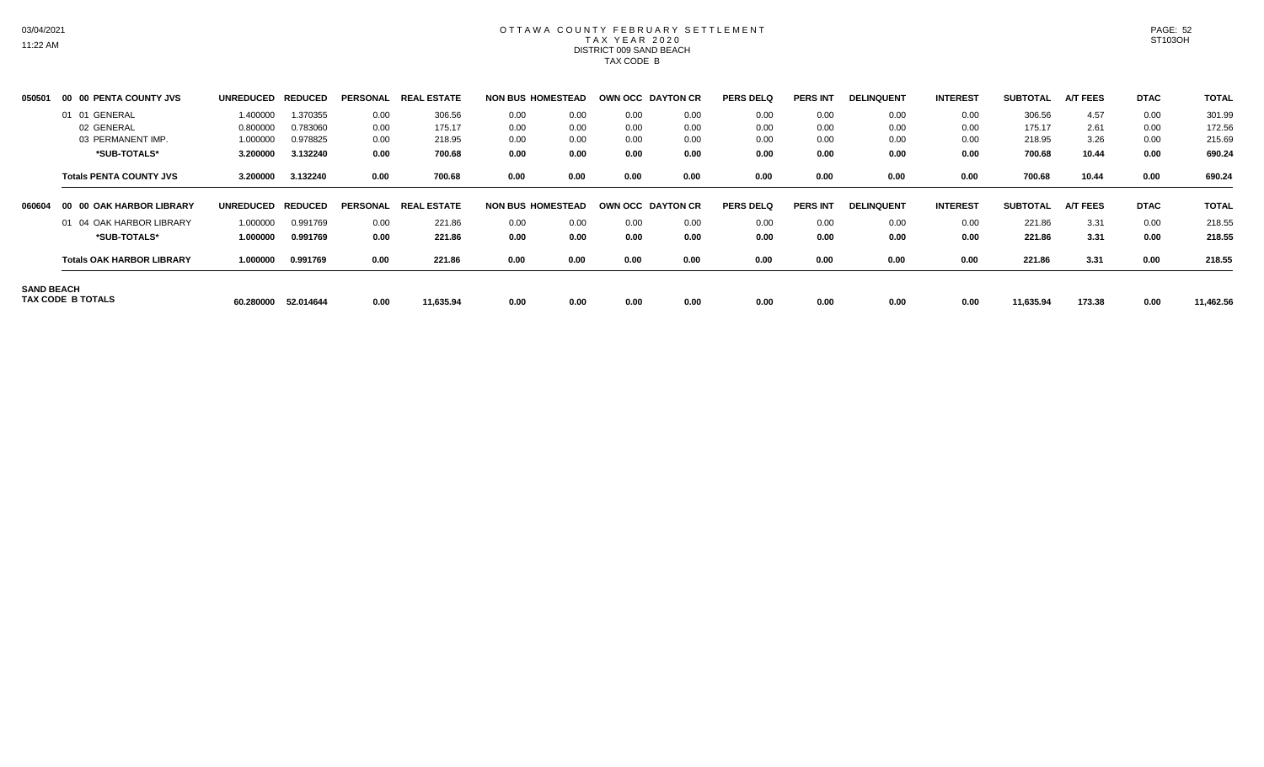# OTTAWA COUNTY FEBRUARY SETTLEMENT TAX YEAR 2020 DISTRICT 009 SAND BEACH TAX CODE B

| 050501            |     | 00 00 PENTA COUNTY JVS           | <b>UNREDUCED</b> | <b>REDUCED</b> | <b>PERSONAL</b> | <b>ESTATE</b><br><b>REAL</b> | <b>NON BUS HOMESTEAD</b> |      | OWN OCC DAYTON CR |      | <b>PERS DELQ</b> | <b>PERS INT</b> | <b>DELINQUENT</b> | <b>INTEREST</b> | <b>SUBTOTAL</b> | <b>A/T FEES</b> | <b>DTAC</b> | <b>TOTAL</b> |
|-------------------|-----|----------------------------------|------------------|----------------|-----------------|------------------------------|--------------------------|------|-------------------|------|------------------|-----------------|-------------------|-----------------|-----------------|-----------------|-------------|--------------|
|                   | -01 | GENERAL<br>01                    | 1.400000         | 1.370355       | 0.00            | 306.56                       | 0.00                     | 0.00 | 0.00              | 0.00 | 0.00             | 0.00            | 0.00              | 0.00            | 306.56          | 4.57            | 0.00        | 301.99       |
|                   |     | 02 GENERAL                       | 0.800000         | 0.783060       | 0.00            | 175.17                       | 0.00                     | 0.00 | 0.00              | 0.00 | 0.00             | 0.00            | 0.00              | 0.00            | 175.17          | 2.61            | 0.00        | 172.56       |
|                   |     | 03 PERMANENT IMP.                | 1.000000         | 0.978825       | 0.00            | 218.95                       | 0.00                     | 0.00 | 0.00              | 0.00 | 0.00             | 0.00            | 0.00              | 0.00            | 218.95          | 3.26            | 0.00        | 215.69       |
|                   |     | *SUB-TOTALS*                     | 3.200000         | 3.132240       | 0.00            | 700.68                       | 0.00                     | 0.00 | 0.00              | 0.00 | 0.00             | 0.00            | 0.00              | 0.00            | 700.68          | 10.44           | 0.00        | 690.24       |
|                   |     | <b>Totals PENTA COUNTY JVS</b>   | 3.200000         | 3.132240       | 0.00            | 700.68                       | 0.00                     | 0.00 | 0.00              | 0.00 | 0.00             | 0.00            | 0.00              | 0.00            | 700.68          | 10.44           | 0.00        | 690.24       |
| 060604            | -00 | <b>00 OAK HARBOR LIBRARY</b>     | <b>UNREDUCED</b> | <b>REDUCED</b> | <b>PERSONAL</b> | <b>REAL ESTATE</b>           | <b>NON BUS HOMESTEAD</b> |      | OWN OCC DAYTON CR |      | <b>PERS DELQ</b> | <b>PERS INT</b> | <b>DELINQUENT</b> | <b>INTEREST</b> | <b>SUBTOTAL</b> | <b>A/T FEES</b> | <b>DTAC</b> | <b>TOTAL</b> |
|                   |     | 01 04 OAK HARBOR LIBRARY         | 1.000000         | 0.991769       | 0.00            | 221.86                       | 0.00                     | 0.00 | 0.00              | 0.00 | 0.00             | 0.00            | 0.00              | 0.00            | 221.86          | 3.31            | 0.00        | 218.55       |
|                   |     | *SUB-TOTALS*                     | 1.000000         | 0.991769       | 0.00            | 221.86                       | 0.00                     | 0.00 | 0.00              | 0.00 | 0.00             | 0.00            | 0.00              | 0.00            | 221.86          | 3.31            | 0.00        | 218.55       |
|                   |     | <b>Totals OAK HARBOR LIBRARY</b> | 1.000000         | 0.991769       | 0.00            | 221.86                       | 0.00                     | 0.00 | 0.00              | 0.00 | 0.00             | 0.00            | 0.00              | 0.00            | 221.86          | 3.31            | 0.00        | 218.55       |
| <b>SAND BEACH</b> |     | TAX CODE B TOTALS                | 60.280000        | 52.014644      | 0.00            | 11,635.94                    | 0.00                     | 0.00 | 0.00              | 0.00 | 0.00             | 0.00            | 0.00              | 0.00            | 11,635.94       | 173.38          | 0.00        | 11,462.56    |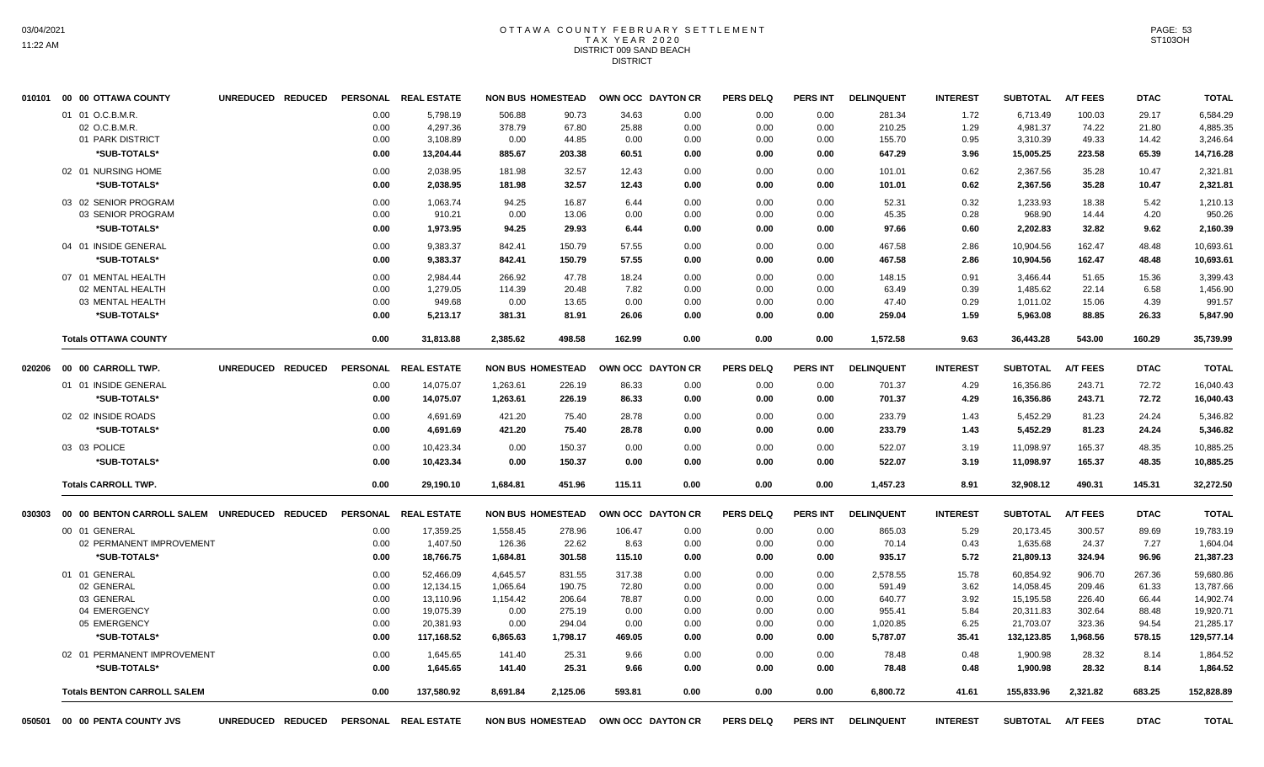#### OTTAWA COUNTY FEBRUARY SETTLEMENT T A X Y E A R 2 0 2 0 DISTRICT 009 SAND BEACH DISTRICT

| 010101 | 00 00 OTTAWA COUNTY                          | UNREDUCED REDUCED | <b>PERSONAL</b> | <b>REAL ESTATE</b>   |          | <b>NON BUS HOMESTEAD</b> |                   | OWN OCC DAYTON CR | <b>PERS DELQ</b> | <b>PERS INT</b> | <b>DELINQUENT</b> | <b>INTEREST</b> | <b>SUBTOTAL</b> | <b>A/T FEES</b> | <b>DTAC</b> | <b>TOTAL</b> |
|--------|----------------------------------------------|-------------------|-----------------|----------------------|----------|--------------------------|-------------------|-------------------|------------------|-----------------|-------------------|-----------------|-----------------|-----------------|-------------|--------------|
|        | 01 01 O.C.B.M.R.                             |                   | 0.00            | 5,798.19             | 506.88   | 90.73                    | 34.63             | 0.00              | 0.00             | 0.00            | 281.34            | 1.72            | 6,713.49        | 100.03          | 29.17       | 6,584.29     |
|        | 02 O.C.B.M.R.                                |                   | 0.00            | 4,297.36             | 378.79   | 67.80                    | 25.88             | 0.00              | 0.00             | 0.00            | 210.25            | 1.29            | 4,981.37        | 74.22           | 21.80       | 4,885.35     |
|        | 01 PARK DISTRICT                             |                   | 0.00            | 3,108.89             | 0.00     | 44.85                    | 0.00              | 0.00              | 0.00             | 0.00            | 155.70            | 0.95            | 3,310.39        | 49.33           | 14.42       | 3,246.64     |
|        | *SUB-TOTALS*                                 |                   | 0.00            | 13,204.44            | 885.67   | 203.38                   | 60.51             | 0.00              | 0.00             | 0.00            | 647.29            | 3.96            | 15,005.25       | 223.58          | 65.39       | 14,716.28    |
|        | 02 01 NURSING HOME                           |                   | 0.00            | 2,038.95             | 181.98   | 32.57                    | 12.43             | 0.00              | 0.00             | 0.00            | 101.01            | 0.62            | 2,367.56        | 35.28           | 10.47       | 2,321.81     |
|        | *SUB-TOTALS*                                 |                   | 0.00            | 2,038.95             | 181.98   | 32.57                    | 12.43             | 0.00              | 0.00             | 0.00            | 101.01            | 0.62            | 2,367.56        | 35.28           | 10.47       | 2,321.81     |
|        | 03 02 SENIOR PROGRAM                         |                   | 0.00            | 1,063.74             | 94.25    | 16.87                    | 6.44              | 0.00              | 0.00             | 0.00            | 52.31             | 0.32            | 1,233.93        | 18.38           | 5.42        | 1,210.13     |
|        | 03 SENIOR PROGRAM                            |                   | 0.00            | 910.21               | 0.00     | 13.06                    | 0.00              | 0.00              | 0.00             | 0.00            | 45.35             | 0.28            | 968.90          | 14.44           | 4.20        | 950.26       |
|        | *SUB-TOTALS*                                 |                   | 0.00            | 1,973.95             | 94.25    | 29.93                    | 6.44              | 0.00              | 0.00             | 0.00            | 97.66             | 0.60            | 2,202.83        | 32.82           | 9.62        | 2,160.39     |
|        | 04 01 INSIDE GENERAL                         |                   | 0.00            | 9,383.37             | 842.41   | 150.79                   | 57.55             | 0.00              | 0.00             | 0.00            | 467.58            | 2.86            | 10,904.56       | 162.47          | 48.48       | 10,693.61    |
|        | *SUB-TOTALS*                                 |                   | 0.00            | 9,383.37             | 842.41   | 150.79                   | 57.55             | 0.00              | 0.00             | 0.00            | 467.58            | 2.86            | 10,904.56       | 162.47          | 48.48       | 10,693.61    |
|        | 07 01 MENTAL HEALTH                          |                   | 0.00            | 2.984.44             | 266.92   | 47.78                    | 18.24             | 0.00              | 0.00             | 0.00            | 148.15            | 0.91            | 3.466.44        | 51.65           | 15.36       | 3,399.43     |
|        | 02 MENTAL HEALTH                             |                   | 0.00            | 1,279.05             | 114.39   | 20.48                    | 7.82              | 0.00              | 0.00             | 0.00            | 63.49             | 0.39            | 1,485.62        | 22.14           | 6.58        | 1,456.90     |
|        | 03 MENTAL HEALTH                             |                   | 0.00            | 949.68               | 0.00     | 13.65                    | 0.00              | 0.00              | 0.00             | 0.00            | 47.40             | 0.29            | 1,011.02        | 15.06           | 4.39        | 991.57       |
|        | *SUB-TOTALS*                                 |                   | 0.00            | 5,213.17             | 381.31   | 81.91                    | 26.06             | 0.00              | 0.00             | 0.00            | 259.04            | 1.59            | 5,963.08        | 88.85           | 26.33       | 5,847.90     |
|        | <b>Totals OTTAWA COUNTY</b>                  |                   | 0.00            | 31,813.88            | 2,385.62 | 498.58                   | 162.99            | 0.00              | 0.00             | 0.00            | 1,572.58          | 9.63            | 36,443.28       | 543.00          | 160.29      | 35,739.99    |
| 020206 | 00 00 CARROLL TWP.                           | UNREDUCED REDUCED | <b>PERSONAL</b> | <b>REAL ESTATE</b>   |          | <b>NON BUS HOMESTEAD</b> |                   | OWN OCC DAYTON CR | <b>PERS DELQ</b> | PERS INT        | <b>DELINQUENT</b> | <b>INTEREST</b> | <b>SUBTOTAL</b> | <b>A/T FEES</b> | <b>DTAC</b> | <b>TOTAL</b> |
|        |                                              |                   |                 |                      |          |                          |                   |                   |                  |                 |                   |                 |                 |                 |             |              |
|        | 01 01 INSIDE GENERAL                         |                   | 0.00            | 14,075.07            | 1,263.61 | 226.19                   | 86.33             | 0.00              | 0.00             | 0.00            | 701.37            | 4.29            | 16,356.86       | 243.71          | 72.72       | 16,040.43    |
|        | *SUB-TOTALS*                                 |                   | 0.00            | 14,075.07            | 1,263.61 | 226.19                   | 86.33             | 0.00              | 0.00             | 0.00            | 701.37            | 4.29            | 16,356.86       | 243.71          | 72.72       | 16,040.43    |
|        | 02 02 INSIDE ROADS                           |                   | 0.00            | 4,691.69             | 421.20   | 75.40                    | 28.78             | 0.00              | 0.00             | 0.00            | 233.79            | 1.43            | 5,452.29        | 81.23           | 24.24       | 5,346.82     |
|        | *SUB-TOTALS*                                 |                   | 0.00            | 4,691.69             | 421.20   | 75.40                    | 28.78             | 0.00              | 0.00             | 0.00            | 233.79            | 1.43            | 5,452.29        | 81.23           | 24.24       | 5,346.82     |
|        | 03 03 POLICE                                 |                   | 0.00            | 10,423.34            | 0.00     | 150.37                   | 0.00              | 0.00              | 0.00             | 0.00            | 522.07            | 3.19            | 11,098.97       | 165.37          | 48.35       | 10,885.25    |
|        | *SUB-TOTALS*                                 |                   | 0.00            | 10,423.34            | 0.00     | 150.37                   | 0.00              | 0.00              | 0.00             | 0.00            | 522.07            | 3.19            | 11,098.97       | 165.37          | 48.35       | 10,885.25    |
|        | <b>Totals CARROLL TWP.</b>                   |                   | 0.00            | 29,190.10            | 1,684.81 | 451.96                   | 115.11            | 0.00              | 0.00             | 0.00            | 1,457.23          | 8.91            | 32,908.12       | 490.31          | 145.31      | 32,272.50    |
| 030303 | 00 00 BENTON CARROLL SALEM UNREDUCED REDUCED |                   | <b>PERSONAL</b> | <b>REAL ESTATE</b>   |          | <b>NON BUS HOMESTEAD</b> |                   | OWN OCC DAYTON CR | <b>PERS DELQ</b> | <b>PERS INT</b> | <b>DELINQUENT</b> | <b>INTEREST</b> | <b>SUBTOTAL</b> | A/T FEES        | <b>DTAC</b> | <b>TOTAL</b> |
|        | 00 01 GENERAL                                |                   | 0.00            | 17,359.25            | 1,558.45 | 278.96                   | 106.47            | 0.00              | 0.00             | 0.00            | 865.03            | 5.29            | 20,173.45       | 300.57          | 89.69       | 19,783.19    |
|        | 02 PERMANENT IMPROVEMENT                     |                   | 0.00            | 1,407.50             | 126.36   | 22.62                    | 8.63              | 0.00              | 0.00             | 0.00            | 70.14             | 0.43            | 1,635.68        | 24.37           | 7.27        | 1,604.04     |
|        | *SUB-TOTALS*                                 |                   | 0.00            | 18,766.75            | 1,684.81 | 301.58                   | 115.10            | 0.00              | 0.00             | 0.00            | 935.17            | 5.72            | 21,809.13       | 324.94          | 96.96       | 21,387.23    |
|        | 01 01 GENERAL                                |                   | 0.00            | 52,466.09            | 4,645.57 | 831.55                   | 317.38            | 0.00              | 0.00             | 0.00            | 2,578.55          | 15.78           | 60,854.92       | 906.70          | 267.36      | 59,680.86    |
|        | 02 GENERAL                                   |                   | 0.00            | 12,134.15            | 1,065.64 | 190.75                   | 72.80             | 0.00              | 0.00             | 0.00            | 591.49            | 3.62            | 14,058.45       | 209.46          | 61.33       | 13,787.66    |
|        | 03 GENERAL                                   |                   | 0.00            | 13,110.96            | 1,154.42 | 206.64                   | 78.87             | 0.00              | 0.00             | 0.00            | 640.77            | 3.92            | 15,195.58       | 226.40          | 66.44       | 14,902.74    |
|        | 04 EMERGENCY                                 |                   | 0.00            | 19,075.39            | 0.00     | 275.19                   | 0.00              | 0.00              | 0.00             | 0.00            | 955.41            | 5.84            | 20,311.83       | 302.64          | 88.48       | 19,920.71    |
|        | 05 EMERGENCY                                 |                   | 0.00            | 20,381.93            | 0.00     | 294.04                   | 0.00              | 0.00              | 0.00             | 0.00            | 1,020.85          | 6.25            | 21,703.07       | 323.36          | 94.54       | 21,285.17    |
|        | *SUB-TOTALS*                                 |                   | 0.00            | 117,168.52           | 6,865.63 | 1,798.17                 | 469.05            | 0.00              | 0.00             | 0.00            | 5,787.07          | 35.41           | 132,123.85      | 1,968.56        | 578.15      | 129,577.14   |
|        | 02 01 PERMANENT IMPROVEMENT                  |                   | 0.00            | 1,645.65             | 141.40   | 25.31                    | 9.66              | 0.00              | 0.00             | 0.00            | 78.48             | 0.48            | 1,900.98        | 28.32           | 8.14        | 1,864.52     |
|        | *SUB-TOTALS*                                 |                   | 0.00            | 1,645.65             | 141.40   | 25.31                    | 9.66              | 0.00              | 0.00             | 0.00            | 78.48             | 0.48            | 1.900.98        | 28.32           | 8.14        | 1,864.52     |
|        | <b>Totals BENTON CARROLL SALEM</b>           |                   | 0.00            | 137,580.92           | 8,691.84 | 2,125.06                 | 593.81            | 0.00              | 0.00             | 0.00            | 6,800.72          | 41.61           | 155,833.96      | 2,321.82        | 683.25      | 152,828.89   |
| 050501 | 00 00 PENTA COUNTY JVS                       | UNREDUCED REDUCED |                 | PERSONAL REAL ESTATE |          | <b>NON BUS HOMESTEAD</b> | OWN OCC DAYTON CR |                   | <b>PERS DELQ</b> | <b>PERS INT</b> | <b>DELINQUENT</b> | <b>INTEREST</b> | <b>SUBTOTAL</b> | <b>A/T FEES</b> | <b>DTAC</b> | <b>TOTAL</b> |

PAGE: 53 ST103OH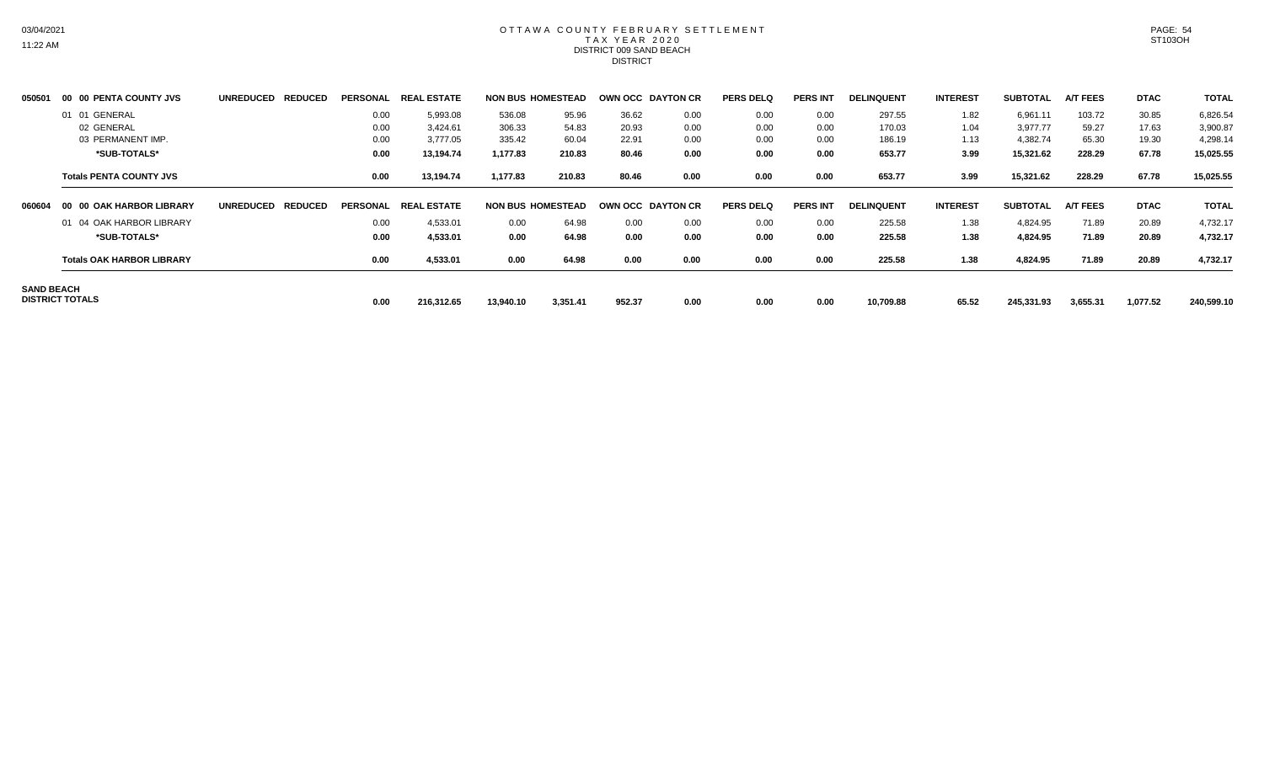#### OTTAWA COUNTY FEBRUARY SETTLEMENT TAX YEAR 2020 DISTRICT 009 SAND BEACH DISTRICT

| 050501            |                 | 00 00 PENTA COUNTY JVS           | <b>UNREDUCED</b>  | <b>REDUCED</b> | PERSONAL REAL | . ESTATE             |           | <b>NON BUS HOMESTEAD</b> | <b>OWN OCC DAYTON CR</b> |      | <b>PERS DELQ</b> | <b>PERS INT</b> | <b>DELINQUENT</b> | <b>INTEREST</b> | <b>SUBTOTAL</b> | <b>A/T FEES</b> | <b>DTAC</b> | <b>TOTAL</b> |
|-------------------|-----------------|----------------------------------|-------------------|----------------|---------------|----------------------|-----------|--------------------------|--------------------------|------|------------------|-----------------|-------------------|-----------------|-----------------|-----------------|-------------|--------------|
|                   |                 | 01 01 GENERAL                    |                   |                | 0.00          | 5,993.08             | 536.08    | 95.96                    | 36.62                    | 0.00 | 0.00             | 0.00            | 297.55            | 1.82            | 6,961.11        | 103.72          | 30.85       | 6,826.54     |
|                   |                 | 02 GENERAL                       |                   |                | 0.00          | 3,424.61             | 306.33    | 54.83                    | 20.93                    | 0.00 | 0.00             | 0.00            | 170.03            | 1.04            | 3,977.77        | 59.27           | 17.63       | 3,900.87     |
|                   |                 | 03 PERMANENT IMP.                |                   |                | 0.00          | 3,777.05             | 335.42    | 60.04                    | 22.91                    | 0.00 | 0.00             | 0.00            | 186.19            | 1.13            | 4,382.74        | 65.30           | 19.30       | 4,298.14     |
|                   |                 | *SUB-TOTALS*                     |                   |                | 0.00          | 13,194.74            | 1,177.83  | 210.83                   | 80.46                    | 0.00 | 0.00             | 0.00            | 653.77            | 3.99            | 15,321.62       | 228.29          | 67.78       | 15,025.55    |
|                   |                 | <b>Totals PENTA COUNTY JVS</b>   |                   |                | 0.00          | 13,194.74            | 1,177.83  | 210.83                   | 80.46                    | 0.00 | 0.00             | 0.00            | 653.77            | 3.99            | 15,321.62       | 228.29          | 67.78       | 15,025.55    |
| 060604            |                 | 00 00 OAK HARBOR LIBRARY         | UNREDUCED REDUCED |                |               | PERSONAL REAL ESTATE |           | <b>NON BUS HOMESTEAD</b> | OWN OCC DAYTON CR        |      | <b>PERS DELQ</b> | <b>PERS INT</b> | <b>DELINQUENT</b> | <b>INTEREST</b> | <b>SUBTOTAL</b> | <b>A/T FEES</b> | <b>DTAC</b> | <b>TOTAL</b> |
|                   |                 | 01 04 OAK HARBOR LIBRARY         |                   |                | 0.00          | 4,533.01             | 0.00      | 64.98                    | 0.00                     | 0.00 | 0.00             | 0.00            | 225.58            | 1.38            | 4,824.95        | 71.89           | 20.89       | 4,732.17     |
|                   |                 | *SUB-TOTALS*                     |                   |                | 0.00          | 4,533.01             | 0.00      | 64.98                    | 0.00                     | 0.00 | 0.00             | 0.00            | 225.58            | 1.38            | 4,824.95        | 71.89           | 20.89       | 4,732.17     |
|                   |                 | <b>Totals OAK HARBOR LIBRARY</b> |                   |                | 0.00          | 4,533.01             | 0.00      | 64.98                    | 0.00                     | 0.00 | 0.00             | 0.00            | 225.58            | 1.38            | 4,824.95        | 71.89           | 20.89       | 4,732.17     |
| <b>SAND BEACH</b> | DISTRICT TOTALS |                                  |                   |                | 0.00          | 216,312.65           | 13,940.10 | 3,351.41                 | 952.37                   | 0.00 | 0.00             | 0.00            | 10,709.88         | 65.52           | 245,331.93      | 3,655.31        | 1,077.52    | 240,599.10   |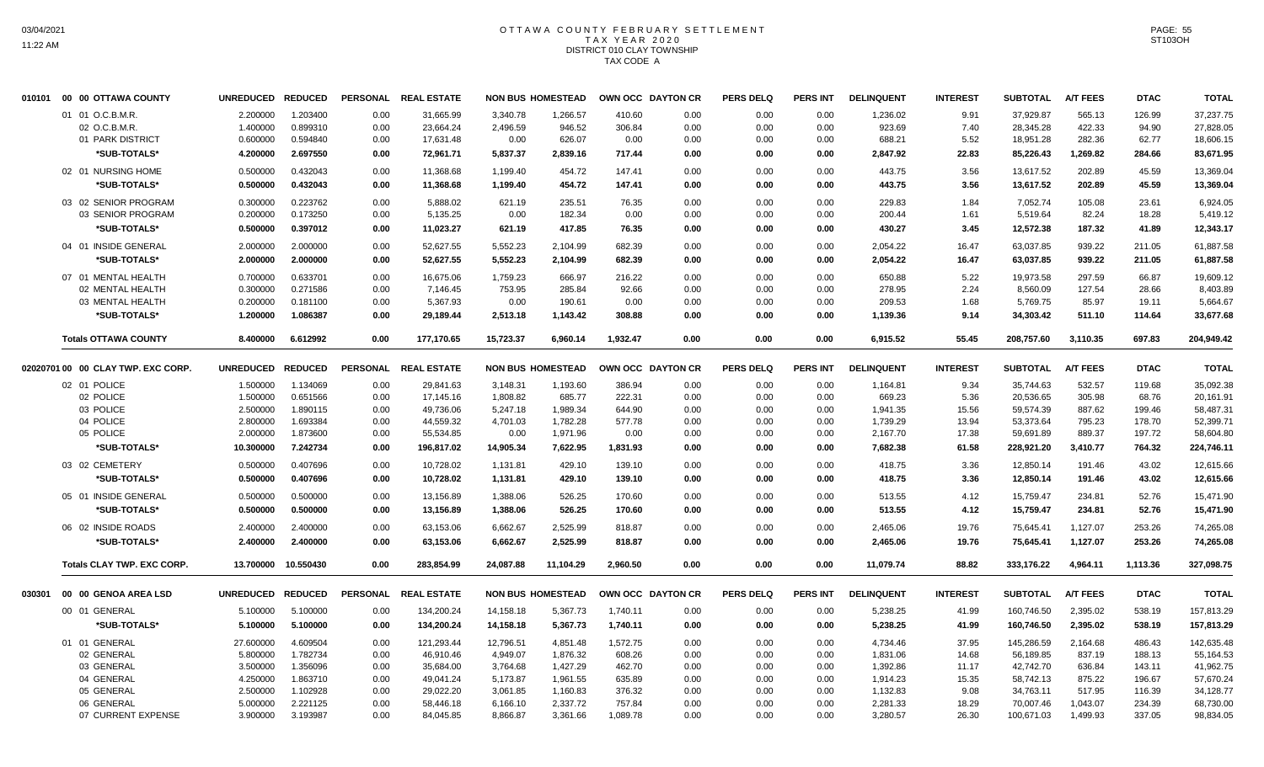# OTTAWA COUNTY FEBRUARY SETTLEMENT TAX YEAR 2020 DISTRICT 010 CLAY TOWNSHIP TAX CODE A

|        | 010101 00 00 OTTAWA COUNTY         | <b>UNREDUCED</b>  | <b>REDUCED</b> |      | PERSONAL REAL ESTATE |           | <b>NON BUS HOMESTEAD</b> | OWN OCC DAYTON CR |      | <b>PERS DELQ</b> | PERS INT        | <b>DELINQUENT</b> | <b>INTEREST</b> | <b>SUBTOTAL</b> | <b>A/T FEES</b> | <b>DTAC</b> | <b>TOTAL</b> |
|--------|------------------------------------|-------------------|----------------|------|----------------------|-----------|--------------------------|-------------------|------|------------------|-----------------|-------------------|-----------------|-----------------|-----------------|-------------|--------------|
|        | 01 01 O.C.B.M.R.                   | 2.200000          | 1.203400       | 0.00 | 31.665.99            | 3.340.78  | 1.266.57                 | 410.60            | 0.00 | 0.00             | 0.00            | 1,236.02          | 9.91            | 37.929.87       | 565.13          | 126.99      | 37,237.75    |
|        | 02 O.C.B.M.R                       | 1.400000          | 0.899310       | 0.00 | 23,664.24            | 2,496.59  | 946.52                   | 306.84            | 0.00 | 0.00             | 0.00            | 923.69            | 7.40            | 28,345.28       | 422.33          | 94.90       | 27,828.05    |
|        | 01 PARK DISTRICT                   | 0.600000          | 0.594840       | 0.00 | 17,631.48            | 0.00      | 626.07                   | 0.00              | 0.00 | 0.00             | 0.00            | 688.21            | 5.52            | 18,951.28       | 282.36          | 62.77       | 18,606.15    |
|        | *SUB-TOTALS*                       | 4.200000          | 2.697550       | 0.00 | 72,961.71            | 5,837.37  | 2,839.16                 | 717.44            | 0.00 | 0.00             | 0.00            | 2,847.92          | 22.83           | 85,226.43       | 1,269.82        | 284.66      | 83,671.95    |
|        | 02 01 NURSING HOME                 | 0.500000          | 0.432043       | 0.00 | 11,368.68            | 1,199.40  | 454.72                   | 147.41            | 0.00 | 0.00             | 0.00            | 443.75            | 3.56            | 13,617.52       | 202.89          | 45.59       | 13,369.04    |
|        | *SUB-TOTALS*                       | 0.500000          | 0.432043       | 0.00 | 11,368.68            | 1,199.40  | 454.72                   | 147.41            | 0.00 | 0.00             | 0.00            | 443.75            | 3.56            | 13,617.52       | 202.89          | 45.59       | 13,369.04    |
|        | 03 02 SENIOR PROGRAM               | 0.300000          | 0.223762       | 0.00 | 5,888.02             | 621.19    | 235.51                   | 76.35             | 0.00 | 0.00             | 0.00            | 229.83            | 1.84            | 7,052.74        | 105.08          | 23.61       | 6,924.05     |
|        | 03 SENIOR PROGRAM                  | 0.200000          | 0.173250       | 0.00 | 5,135.25             | 0.00      | 182.34                   | 0.00              | 0.00 | 0.00             | 0.00            | 200.44            | 1.61            | 5,519.64        | 82.24           | 18.28       | 5,419.12     |
|        | *SUB-TOTALS*                       | 0.500000          | 0.397012       | 0.00 | 11,023.27            | 621.19    | 417.85                   | 76.35             | 0.00 | 0.00             | 0.00            | 430.27            | 3.45            | 12,572.38       | 187.32          | 41.89       | 12,343.17    |
|        | 04 01 INSIDE GENERAL               | 2.000000          | 2.000000       | 0.00 | 52,627.55            | 5,552.23  | 2,104.99                 | 682.39            | 0.00 | 0.00             | 0.00            | 2,054.22          | 16.47           | 63,037.85       | 939.22          | 211.05      | 61,887.58    |
|        | *SUB-TOTALS*                       | 2.000000          | 2.000000       | 0.00 | 52,627.55            | 5,552.23  | 2,104.99                 | 682.39            | 0.00 | 0.00             | 0.00            | 2,054.22          | 16.47           | 63,037.85       | 939.22          | 211.05      | 61,887.58    |
|        | 07 01 MENTAL HEALTH                | 0.700000          | 0.633701       | 0.00 | 16,675.06            | 1,759.23  | 666.97                   | 216.22            | 0.00 | 0.00             | 0.00            | 650.88            | 5.22            | 19,973.58       | 297.59          | 66.87       | 19,609.12    |
|        | 02 MENTAL HEALTH                   | 0.300000          | 0.271586       | 0.00 | 7,146.45             | 753.95    | 285.84                   | 92.66             | 0.00 | 0.00             | 0.00            | 278.95            | 2.24            | 8,560.09        | 127.54          | 28.66       | 8,403.89     |
|        | 03 MENTAL HEALTH                   | 0.200000          | 0.181100       | 0.00 | 5,367.93             | 0.00      | 190.61                   | 0.00              | 0.00 | 0.00             | 0.00            | 209.53            | 1.68            | 5,769.75        | 85.97           | 19.11       | 5,664.67     |
|        | *SUB-TOTALS*                       | 1.200000          | 1.086387       | 0.00 | 29,189.44            | 2,513.18  | 1,143.42                 | 308.88            | 0.00 | 0.00             | 0.00            | 1,139.36          | 9.14            | 34,303.42       | 511.10          | 114.64      | 33,677.68    |
|        | <b>Totals OTTAWA COUNTY</b>        | 8.400000          | 6.612992       | 0.00 | 177,170.65           | 15,723.37 | 6,960.14                 | 1,932.47          | 0.00 | 0.00             | 0.00            | 6,915.52          | 55.45           | 208,757.60      | 3,110.35        | 697.83      | 204,949.42   |
|        | 02020701 00 00 CLAY TWP. EXC CORP. | UNREDUCED REDUCED |                |      | PERSONAL REAL ESTATE |           | <b>NON BUS HOMESTEAD</b> | OWN OCC DAYTON CR |      | <b>PERS DELQ</b> | <b>PERS INT</b> | <b>DELINQUENT</b> | <b>INTEREST</b> | <b>SUBTOTAL</b> | <b>A/T FEES</b> | <b>DTAC</b> | <b>TOTAL</b> |
|        | 02 01 POLICE                       | 1.500000          | 1.134069       | 0.00 | 29,841.63            | 3,148.31  | 1,193.60                 | 386.94            | 0.00 | 0.00             | 0.00            | 1,164.81          | 9.34            | 35,744.63       | 532.57          | 119.68      | 35,092.38    |
|        | 02 POLICE                          | 1.500000          | 0.651566       | 0.00 | 17,145.16            | 1,808.82  | 685.77                   | 222.31            | 0.00 | 0.00             | 0.00            | 669.23            | 5.36            | 20,536.65       | 305.98          | 68.76       | 20,161.91    |
|        | 03 POLICE                          | 2.500000          | 1.890115       | 0.00 | 49,736.06            | 5,247.18  | 1,989.34                 | 644.90            | 0.00 | 0.00             | 0.00            | 1,941.35          | 15.56           | 59,574.39       | 887.62          | 199.46      | 58,487.31    |
|        | 04 POLICE                          | 2.800000          | 1.693384       | 0.00 | 44,559.32            | 4,701.03  | 1,782.28                 | 577.78            | 0.00 | 0.00             | 0.00            | 1,739.29          | 13.94           | 53,373.64       | 795.23          | 178.70      | 52,399.71    |
|        | 05 POLICE                          | 2.000000          | 1.873600       | 0.00 | 55,534.85            | 0.00      | 1,971.96                 | 0.00              | 0.00 | 0.00             | 0.00            | 2,167.70          | 17.38           | 59,691.89       | 889.37          | 197.72      | 58,604.80    |
|        | *SUB-TOTALS*                       | 10.300000         | 7.242734       | 0.00 | 196,817.02           | 14,905.34 | 7,622.95                 | 1,831.93          | 0.00 | 0.00             | 0.00            | 7,682.38          | 61.58           | 228,921.20      | 3,410.77        | 764.32      | 224,746.11   |
|        | 03 02 CEMETERY                     | 0.500000          | 0.407696       | 0.00 | 10,728.02            | 1,131.81  | 429.10                   | 139.10            | 0.00 | 0.00             | 0.00            | 418.75            | 3.36            | 12,850.14       | 191.46          | 43.02       | 12,615.66    |
|        | *SUB-TOTALS*                       | 0.500000          | 0.407696       | 0.00 | 10,728.02            | 1,131.81  | 429.10                   | 139.10            | 0.00 | 0.00             | 0.00            | 418.75            | 3.36            | 12,850.14       | 191.46          | 43.02       | 12,615.66    |
|        | 05 01 INSIDE GENERAL               | 0.500000          | 0.500000       | 0.00 | 13,156.89            | 1,388.06  | 526.25                   | 170.60            | 0.00 | 0.00             | 0.00            | 513.55            | 4.12            | 15,759.47       | 234.81          | 52.76       | 15,471.90    |
|        | *SUB-TOTALS*                       | 0.500000          | 0.500000       | 0.00 | 13,156.89            | 1,388.06  | 526.25                   | 170.60            | 0.00 | 0.00             | 0.00            | 513.55            | 4.12            | 15,759.47       | 234.81          | 52.76       | 15,471.90    |
|        | 06 02 INSIDE ROADS                 | 2.400000          | 2.400000       | 0.00 | 63,153.06            | 6,662.67  | 2,525.99                 | 818.87            | 0.00 | 0.00             | 0.00            | 2,465.06          | 19.76           | 75,645.41       | 1,127.07        | 253.26      | 74,265.08    |
|        | *SUB-TOTALS*                       | 2.400000          | 2.400000       | 0.00 | 63,153.06            | 6,662.67  | 2,525.99                 | 818.87            | 0.00 | 0.00             | 0.00            | 2,465.06          | 19.76           | 75,645.41       | 1,127.07        | 253.26      | 74,265.08    |
|        | <b>Totals CLAY TWP. EXC CORP.</b>  | 13.700000         | 10.550430      | 0.00 | 283,854.99           | 24,087.88 | 11,104.29                | 2,960.50          | 0.00 | 0.00             | 0.00            | 11,079.74         | 88.82           | 333,176.22      | 4,964.11        | 1,113.36    | 327,098.75   |
| 030301 | 00 00 GENOA AREA LSD               | UNREDUCED REDUCED |                |      | PERSONAL REAL ESTATE |           | <b>NON BUS HOMESTEAD</b> | OWN OCC DAYTON CR |      | <b>PERS DELQ</b> | <b>PERS INT</b> | <b>DELINQUENT</b> | <b>INTEREST</b> | <b>SUBTOTAL</b> | <b>A/T FEES</b> | <b>DTAC</b> | <b>TOTAL</b> |
|        | 00 01 GENERAL                      | 5.100000          | 5.100000       | 0.00 | 134,200.24           | 14,158.18 | 5,367.73                 | 1,740.11          | 0.00 | 0.00             | 0.00            | 5,238.25          | 41.99           | 160,746.50      | 2,395.02        | 538.19      | 157,813.29   |
|        | *SUB-TOTALS*                       | 5.100000          | 5.100000       | 0.00 | 134,200.24           | 14,158.18 | 5,367.73                 | 1,740.11          | 0.00 | 0.00             | 0.00            | 5,238.25          | 41.99           | 160,746.50      | 2,395.02        | 538.19      | 157,813.29   |
|        | 01 01 GENERAL                      | 27.600000         | 4.609504       | 0.00 | 121,293.44           | 12,796.51 | 4,851.48                 | 1,572.75          | 0.00 | 0.00             | 0.00            | 4,734.46          | 37.95           | 145,286.59      | 2,164.68        | 486.43      | 142,635.48   |
|        | 02 GENERAL                         | 5.800000          | 1.782734       | 0.00 | 46,910.46            | 4,949.07  | 1,876.32                 | 608.26            | 0.00 | 0.00             | 0.00            | 1,831.06          | 14.68           | 56,189.85       | 837.19          | 188.13      | 55,164.53    |
|        | 03 GENERAL                         | 3.500000          | 1.356096       | 0.00 | 35,684.00            | 3,764.68  | 1,427.29                 | 462.70            | 0.00 | 0.00             | 0.00            | 1,392.86          | 11.17           | 42,742.70       | 636.84          | 143.11      | 41,962.75    |
|        | 04 GENERAL                         | 4.250000          | 1.863710       | 0.00 | 49,041.24            | 5,173.87  | 1,961.55                 | 635.89            | 0.00 | 0.00             | 0.00            | 1,914.23          | 15.35           | 58,742.13       | 875.22          | 196.67      | 57,670.24    |
|        | 05 GENERAL                         | 2.500000          | 1.102928       | 0.00 | 29,022.20            | 3,061.85  | 1,160.83                 | 376.32            | 0.00 | 0.00             | 0.00            | 1,132.83          | 9.08            | 34,763.11       | 517.95          | 116.39      | 34,128.77    |
|        | 06 GENERAL                         | 5.000000          | 2.221125       | 0.00 | 58,446.18            | 6,166.10  | 2,337.72                 | 757.84            | 0.00 | 0.00             | 0.00            | 2,281.33          | 18.29           | 70,007.46       | 1,043.07        | 234.39      | 68,730.00    |
|        | 07 CURRENT EXPENSE                 | 3.900000          | 3.193987       | 0.00 | 84,045.85            | 8,866.87  | 3,361.66                 | 1,089.78          | 0.00 | 0.00             | 0.00            | 3,280.57          | 26.30           | 100,671.03      | 1,499.93        | 337.05      | 98,834.05    |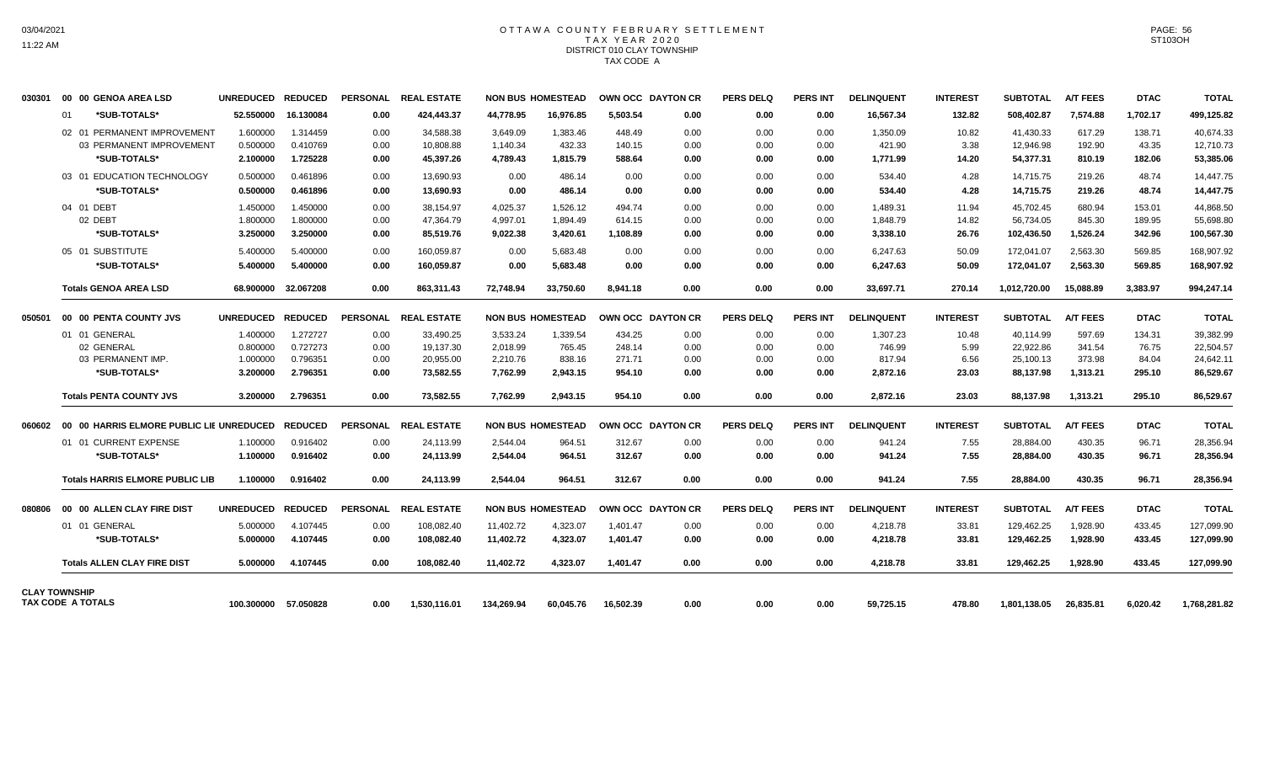# OTTAWA COUNTY FEBRUARY SETTLEMENT TAX YEAR 2020 DISTRICT 010 CLAY TOWNSHIP TAX CODE A

| 030301               |    | 00 00 GENOA AREA LSD                   | UNREDUCED REDUCED |                      |                 | PERSONAL REAL ESTATE |            | <b>NON BUS HOMESTEAD</b> |           | OWN OCC DAYTON CR        | <b>PERS DELQ</b> | <b>PERS INT</b> | <b>DELINQUENT</b> | <b>INTEREST</b> | <b>SUBTOTAL</b> | <b>A/T FEES</b> | <b>DTAC</b> | <b>TOTAL</b> |
|----------------------|----|----------------------------------------|-------------------|----------------------|-----------------|----------------------|------------|--------------------------|-----------|--------------------------|------------------|-----------------|-------------------|-----------------|-----------------|-----------------|-------------|--------------|
|                      | 01 | *SUB-TOTALS*                           | 52.550000         | 16.130084            | 0.00            | 424.443.37           | 44.778.95  | 16.976.85                | 5.503.54  | 0.00                     | 0.00             | 0.00            | 16,567.34         | 132.82          | 508.402.87      | 7.574.88        | 1.702.17    | 499,125.82   |
|                      |    | 02 01 PERMANENT IMPROVEMENT            | 1.600000          | 1.314459             | 0.00            | 34,588.38            | 3.649.09   | 1,383.46                 | 448.49    | 0.00                     | 0.00             | 0.00            | 1,350.09          | 10.82           | 41.430.33       | 617.29          | 138.71      | 40.674.33    |
|                      |    | 03 PERMANENT IMPROVEMENT               | 0.500000          | 0.410769             | 0.00            | 10,808.88            | 1,140.34   | 432.33                   | 140.15    | 0.00                     | 0.00             | 0.00            | 421.90            | 3.38            | 12,946.98       | 192.90          | 43.35       | 12.710.73    |
|                      |    | *SUB-TOTALS*                           | 2.100000          | 1.725228             | 0.00            | 45,397.26            | 4,789.43   | 1,815.79                 | 588.64    | 0.00                     | 0.00             | 0.00            | 1,771.99          | 14.20           | 54,377.31       | 810.19          | 182.06      | 53,385.06    |
|                      |    | 03 01 EDUCATION TECHNOLOGY             | 0.500000          | 0.461896             | 0.00            | 13.690.93            | 0.00       | 486.14                   | 0.00      | 0.00                     | 0.00             | 0.00            | 534.40            | 4.28            | 14.715.75       | 219.26          | 48.74       | 14.447.75    |
|                      |    | *SUB-TOTALS*                           | 0.500000          | 0.461896             | 0.00            | 13.690.93            | 0.00       | 486.14                   | 0.00      | 0.00                     | 0.00             | 0.00            | 534.40            | 4.28            | 14,715.75       | 219.26          | 48.74       | 14,447.75    |
|                      |    | 04 01 DEBT                             | 1.450000          | 1.450000             | 0.00            | 38,154.97            | 4,025.37   | 1,526.12                 | 494.74    | 0.00                     | 0.00             | 0.00            | 1,489.31          | 11.94           | 45,702.45       | 680.94          | 153.01      | 44,868.50    |
|                      |    | 02 DEBT                                | 1.800000          | 1.800000             | 0.00            | 47.364.79            | 4,997.01   | 1.894.49                 | 614.15    | 0.00                     | 0.00             | 0.00            | 1,848.79          | 14.82           | 56,734.05       | 845.30          | 189.95      | 55,698.80    |
|                      |    | *SUB-TOTALS*                           | 3.250000          | 3.250000             | 0.00            | 85,519.76            | 9,022.38   | 3,420.61                 | 1,108.89  | 0.00                     | 0.00             | 0.00            | 3,338.10          | 26.76           | 102,436.50      | 1,526.24        | 342.96      | 100,567.30   |
|                      |    | 05 01 SUBSTITUTE                       | 5.400000          | 5.400000             | 0.00            | 160,059.87           | 0.00       | 5,683.48                 | 0.00      | 0.00                     | 0.00             | 0.00            | 6,247.63          | 50.09           | 172,041.07      | 2,563.30        | 569.85      | 168,907.92   |
|                      |    | *SUB-TOTALS*                           | 5.400000          | 5.400000             | 0.00            | 160,059.87           | 0.00       | 5,683.48                 | 0.00      | 0.00                     | 0.00             | 0.00            | 6,247.63          | 50.09           | 172,041.07      | 2,563.30        | 569.85      | 168,907.92   |
|                      |    | <b>Totals GENOA AREA LSD</b>           | 68.900000         | 32.067208            | 0.00            | 863,311.43           | 72.748.94  | 33,750.60                | 8,941.18  | 0.00                     | 0.00             | 0.00            | 33,697.71         | 270.14          | 1,012,720.00    | 15,088.89       | 3,383.97    | 994,247.14   |
| 050501               |    | 00 00 PENTA COUNTY JVS                 | UNREDUCED REDUCED |                      | <b>PERSONAL</b> | <b>REAL ESTATE</b>   |            | <b>NON BUS HOMESTEAD</b> |           | OWN OCC DAYTON CR        | <b>PERS DELQ</b> | <b>PERS INT</b> | <b>DELINQUENT</b> | <b>INTEREST</b> | <b>SUBTOTAL</b> | <b>A/T FEES</b> | <b>DTAC</b> | <b>TOTAL</b> |
|                      |    | 01 01 GENERAL                          | 1.400000          | 1.272727             | 0.00            | 33,490.25            | 3,533.24   | 1,339.54                 | 434.25    | 0.00                     | 0.00             | 0.00            | 1,307.23          | 10.48           | 40,114.99       | 597.69          | 134.31      | 39,382.99    |
|                      |    | 02 GENERAL                             | 0.800000          | 0.727273             | 0.00            | 19,137.30            | 2,018.99   | 765.45                   | 248.14    | 0.00                     | 0.00             | 0.00            | 746.99            | 5.99            | 22,922.86       | 341.54          | 76.75       | 22,504.57    |
|                      |    | 03 PERMANENT IMP.                      | 1.000000          | 0.796351             | 0.00            | 20,955.00            | 2.210.76   | 838.16                   | 271.71    | 0.00                     | 0.00             | 0.00            | 817.94            | 6.56            | 25,100.13       | 373.98          | 84.04       | 24,642.11    |
|                      |    | *SUB-TOTALS*                           | 3.200000          | 2.796351             | 0.00            | 73.582.55            | 7.762.99   | 2.943.15                 | 954.10    | 0.00                     | 0.00             | 0.00            | 2,872.16          | 23.03           | 88,137.98       | 1.313.21        | 295.10      | 86,529.67    |
|                      |    | <b>Totals PENTA COUNTY JVS</b>         | 3.200000          | 2.796351             | 0.00            | 73,582.55            | 7.762.99   | 2,943.15                 | 954.10    | 0.00                     | 0.00             | 0.00            | 2,872.16          | 23.03           | 88.137.98       | 1,313.21        | 295.10      | 86,529.67    |
|                      |    |                                        |                   |                      |                 | PERSONAL REAL ESTATE |            | <b>NON BUS HOMESTEAD</b> |           | <b>OWN OCC DAYTON CR</b> | <b>PERS DELQ</b> | <b>PERS INT</b> | <b>DELINQUENT</b> | <b>INTEREST</b> | SUBTOTAL        | <b>A/T FEES</b> | <b>DTAC</b> | <b>TOTAL</b> |
|                      |    | 01 01 CURRENT EXPENSE                  | 1.100000          | 0.916402             | 0.00            | 24,113.99            | 2,544.04   | 964.51                   | 312.67    | 0.00                     | 0.00             | 0.00            | 941.24            | 7.55            | 28,884.00       | 430.35          | 96.71       | 28,356.94    |
|                      |    | *SUB-TOTALS*                           | 1.100000          | 0.916402             | 0.00            | 24.113.99            | 2,544.04   | 964.51                   | 312.67    | 0.00                     | 0.00             | 0.00            | 941.24            | 7.55            | 28.884.00       | 430.35          | 96.71       | 28,356.94    |
|                      |    | <b>Totals HARRIS ELMORE PUBLIC LIB</b> | 1.100000          | 0.916402             | 0.00            | 24,113.99            | 2,544.04   | 964.51                   | 312.67    | 0.00                     | 0.00             | 0.00            | 941.24            | 7.55            | 28,884.00       | 430.35          | 96.71       | 28,356.94    |
| 080806               |    | 00 00 ALLEN CLAY FIRE DIST             | UNREDUCED REDUCED |                      | <b>PERSONAL</b> | <b>REAL ESTATE</b>   |            | <b>NON BUS HOMESTEAD</b> |           | OWN OCC DAYTON CR        | <b>PERS DELQ</b> | <b>PERS INT</b> | <b>DELINQUENT</b> | <b>INTEREST</b> | <b>SUBTOTAL</b> | <b>A/T FEES</b> | <b>DTAC</b> | <b>TOTAL</b> |
|                      |    | 01 01 GENERAL                          | 5.000000          | 4.107445             | 0.00            | 108,082.40           | 11,402.72  | 4,323.07                 | 1,401.47  | 0.00                     | 0.00             | 0.00            | 4,218.78          | 33.81           | 129,462.25      | 1,928.90        | 433.45      | 127,099.90   |
|                      |    | *SUB-TOTALS*                           | 5.000000          | 4.107445             | 0.00            | 108,082.40           | 11,402.72  | 4,323.07                 | 1,401.47  | 0.00                     | 0.00             | 0.00            | 4,218.78          | 33.81           | 129,462.25      | 1,928.90        | 433.45      | 127,099.90   |
|                      |    | <b>Totals ALLEN CLAY FIRE DIST</b>     | 5.000000          | 4.107445             | 0.00            | 108,082.40           | 11,402.72  | 4,323.07                 | 1,401.47  | 0.00                     | 0.00             | 0.00            | 4,218.78          | 33.81           | 129,462.25      | 1,928.90        | 433.45      | 127,099.90   |
| <b>CLAY TOWNSHIP</b> |    | TAX CODE A TOTALS                      |                   | 100.300000 57.050828 | 0.00            | 1.530.116.01         | 134.269.94 | 60.045.76                | 16.502.39 | 0.00                     | 0.00             | 0.00            | 59,725.15         | 478.80          | 1.801.138.05    | 26.835.81       | 6.020.42    | 1,768,281.82 |
|                      |    |                                        |                   |                      |                 |                      |            |                          |           |                          |                  |                 |                   |                 |                 |                 |             |              |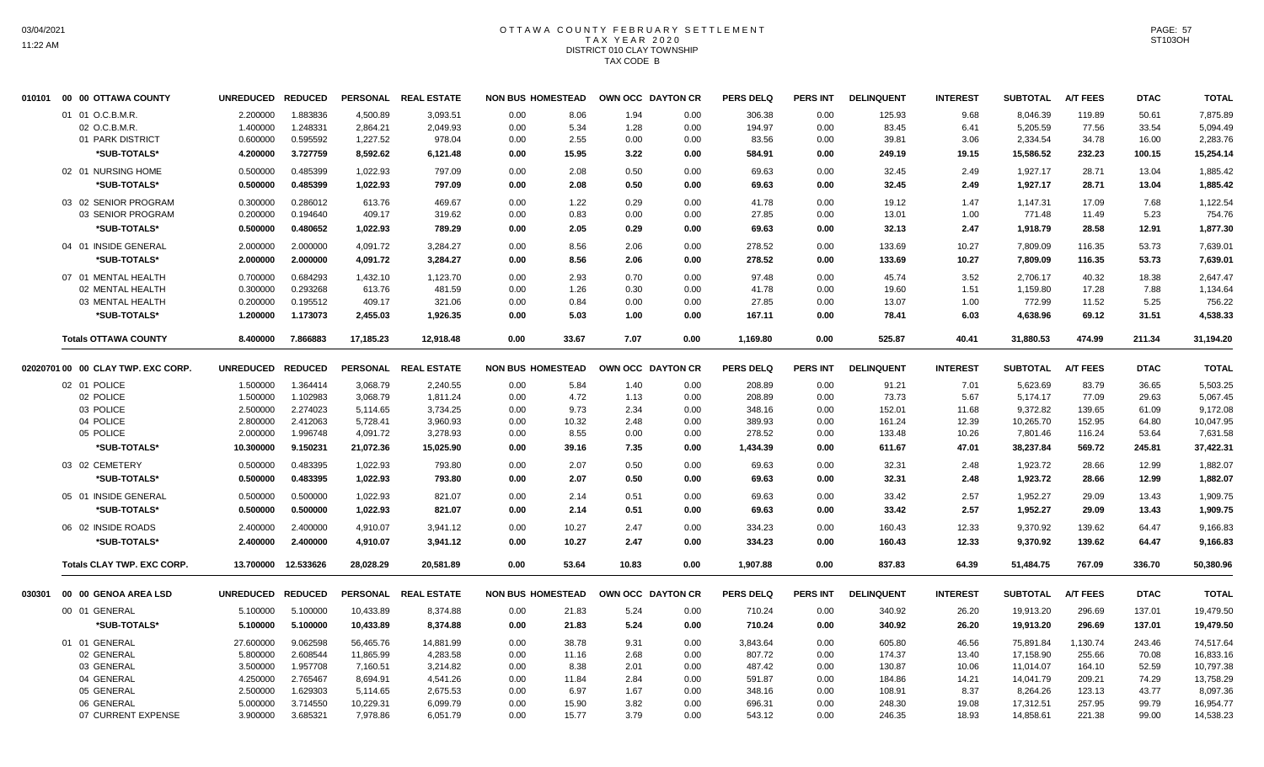# OTTAWA COUNTY FEBRUARY SETTLEMENT TAX YEAR 2020 DISTRICT 010 CLAY TOWNSHIP TAX CODE B

| 010101 | 00 00 OTTAWA COUNTY                | UNREDUCED REDUCED |           |           | PERSONAL REAL ESTATE | <b>NON BUS HOMESTEAD</b> |              | OWN OCC DAYTON CR | <b>PERS DELQ</b> | PERS INT        | <b>DELINQUENT</b> | <b>INTEREST</b> | <b>SUBTOTAL</b> | <b>A/T FEES</b> | <b>DTAC</b> | <b>TOTAL</b> |
|--------|------------------------------------|-------------------|-----------|-----------|----------------------|--------------------------|--------------|-------------------|------------------|-----------------|-------------------|-----------------|-----------------|-----------------|-------------|--------------|
|        | 01 01 O.C.B.M.R.                   | 2.200000          | 1.883836  | 4,500.89  | 3,093.51             | 8.06<br>0.00             | 1.94         | 0.00              | 306.38           | 0.00            | 125.93            | 9.68            | 8,046.39        | 119.89          | 50.61       | 7,875.89     |
|        | 02 O.C.B.M.R.                      | 1.400000          | 1.248331  | 2,864.21  | 2,049.93             | 0.00<br>5.34             | 1.28         | 0.00              | 194.97           | 0.00            | 83.45             | 6.41            | 5,205.59        | 77.56           | 33.54       | 5,094.49     |
|        | 01 PARK DISTRICT                   | 0.600000          | 0.595592  | 1,227.52  | 978.04               | 2.55<br>0.00             | 0.00         | 0.00              | 83.56            | 0.00            | 39.81             | 3.06            | 2,334.54        | 34.78           | 16.00       | 2,283.76     |
|        | *SUB-TOTALS*                       | 4.200000          | 3.727759  | 8,592.62  | 6,121.48             | 0.00<br>15.95            | 3.22         | 0.00              | 584.91           | 0.00            | 249.19            | 19.15           | 15,586.52       | 232.23          | 100.15      | 15,254.14    |
|        | 02 01 NURSING HOME                 | 0.500000          | 0.485399  | 1,022.93  | 797.09               | 0.00<br>2.08             | 0.50         | 0.00              | 69.63            | 0.00            | 32.45             | 2.49            | 1,927.17        | 28.71           | 13.04       | 1,885.42     |
|        | *SUB-TOTALS*                       | 0.500000          | 0.485399  | 1,022.93  | 797.09               | 0.00                     | 0.50<br>2.08 | 0.00              | 69.63            | 0.00            | 32.45             | 2.49            | 1,927.17        | 28.71           | 13.04       | 1,885.42     |
|        | 03 02 SENIOR PROGRAM               | 0.300000          | 0.286012  | 613.76    | 469.67               | 0.00                     | 1.22<br>0.29 | 0.00              | 41.78            | 0.00            | 19.12             | 1.47            | 1,147.31        | 17.09           | 7.68        | 1,122.54     |
|        | 03 SENIOR PROGRAM                  | 0.200000          | 0.194640  | 409.17    | 319.62               | 0.83<br>0.00             | 0.00         | 0.00              | 27.85            | 0.00            | 13.01             | 1.00            | 771.48          | 11.49           | 5.23        | 754.76       |
|        | *SUB-TOTALS*                       | 0.500000          | 0.480652  | 1,022.93  | 789.29               | 0.00                     | 2.05<br>0.29 | 0.00              | 69.63            | 0.00            | 32.13             | 2.47            | 1,918.79        | 28.58           | 12.91       | 1,877.30     |
|        | 04 01 INSIDE GENERAL               | 2.000000          | 2.000000  | 4,091.72  | 3,284.27             | 0.00                     | 8.56<br>2.06 | 0.00              | 278.52           | 0.00            | 133.69            | 10.27           | 7,809.09        | 116.35          | 53.73       | 7,639.01     |
|        | *SUB-TOTALS*                       | 2.000000          | 2.000000  | 4,091.72  | 3,284.27             | 0.00                     | 8.56<br>2.06 | 0.00              | 278.52           | 0.00            | 133.69            | 10.27           | 7,809.09        | 116.35          | 53.73       | 7,639.01     |
|        | 07 01 MENTAL HEALTH                | 0.700000          | 0.684293  | 1,432.10  | 1,123.70             | 0.00                     | 0.70<br>2.93 | 0.00              | 97.48            | 0.00            | 45.74             | 3.52            | 2,706.17        | 40.32           | 18.38       | 2,647.47     |
|        | 02 MENTAL HEALTH                   | 0.300000          | 0.293268  | 613.76    | 481.59               | 0.00                     | 1.26<br>0.30 | 0.00              | 41.78            | 0.00            | 19.60             | 1.51            | 1,159.80        | 17.28           | 7.88        | 1,134.64     |
|        | 03 MENTAL HEALTH                   | 0.200000          | 0.195512  | 409.17    | 321.06               | 0.00                     | 0.84<br>0.00 | 0.00              | 27.85            | 0.00            | 13.07             | 1.00            | 772.99          | 11.52           | 5.25        | 756.22       |
|        | *SUB-TOTALS*                       | 1.200000          | 1.173073  | 2,455.03  | 1,926.35             | 0.00                     | 5.03<br>1.00 | 0.00              | 167.11           | 0.00            | 78.41             | 6.03            | 4,638.96        | 69.12           | 31.51       | 4,538.33     |
|        | <b>Totals OTTAWA COUNTY</b>        | 8.400000          | 7.866883  | 17,185.23 | 12,918.48            | 0.00<br>33.67            | 7.07         | 0.00              |                  | 0.00            | 525.87            | 40.41           | 31,880.53       | 474.99          | 211.34      |              |
|        |                                    |                   |           |           |                      |                          |              |                   | 1,169.80         |                 |                   |                 |                 |                 |             | 31,194.20    |
|        | 02020701 00 00 CLAY TWP. EXC CORP. | UNREDUCED REDUCED |           |           | PERSONAL REAL ESTATE | <b>NON BUS HOMESTEAD</b> |              | OWN OCC DAYTON CR | <b>PERS DELQ</b> | <b>PERS INT</b> | <b>DELINQUENT</b> | <b>INTEREST</b> | <b>SUBTOTAL</b> | <b>A/T FEES</b> | <b>DTAC</b> | <b>TOTAL</b> |
|        | 02 01 POLICE                       | 1.500000          | 1.364414  | 3,068.79  | 2,240.55             | 0.00                     | 5.84<br>1.40 | 0.00              | 208.89           | 0.00            | 91.21             | 7.01            | 5,623.69        | 83.79           | 36.65       | 5,503.25     |
|        | 02 POLICE                          | 1.500000          | 1.102983  | 3,068.79  | 1,811.24             | 0.00<br>4.72             | 1.13         | 0.00              | 208.89           | 0.00            | 73.73             | 5.67            | 5,174.17        | 77.09           | 29.63       | 5,067.45     |
|        | 03 POLICE                          | 2.500000          | 2.274023  | 5,114.65  | 3,734.25             | 0.00<br>9.73             | 2.34         | 0.00              | 348.16           | 0.00            | 152.01            | 11.68           | 9,372.82        | 139.65          | 61.09       | 9,172.08     |
|        | 04 POLICE                          | 2.800000          | 2.412063  | 5,728.41  | 3,960.93             | 0.00<br>10.32            | 2.48         | 0.00              | 389.93           | 0.00            | 161.24            | 12.39           | 10,265.70       | 152.95          | 64.80       | 10,047.95    |
|        | 05 POLICE                          | 2.000000          | 1.996748  | 4,091.72  | 3,278.93             | 8.55<br>0.00             | 0.00         | 0.00              | 278.52           | 0.00            | 133.48            | 10.26           | 7,801.46        | 116.24          | 53.64       | 7,631.58     |
|        | *SUB-TOTALS*                       | 10.300000         | 9.150231  | 21,072.36 | 15,025.90            | 0.00<br>39.16            | 7.35         | 0.00              | 1,434.39         | 0.00            | 611.67            | 47.01           | 38,237.84       | 569.72          | 245.81      | 37,422.31    |
|        | 03 02 CEMETERY                     | 0.500000          | 0.483395  | 1,022.93  | 793.80               | 0.00<br>2.07             | 0.50         | 0.00              | 69.63            | 0.00            | 32.31             | 2.48            | 1,923.72        | 28.66           | 12.99       | 1,882.07     |
|        | *SUB-TOTALS*                       | 0.500000          | 0.483395  | 1,022.93  | 793.80               | 0.00                     | 2.07<br>0.50 | 0.00              | 69.63            | 0.00            | 32.31             | 2.48            | 1,923.72        | 28.66           | 12.99       | 1,882.07     |
|        | 05 01 INSIDE GENERAL               | 0.500000          | 0.500000  | 1.022.93  | 821.07               | 0.00<br>2.14             | 0.51         | 0.00              | 69.63            | 0.00            | 33.42             | 2.57            | 1,952.27        | 29.09           | 13.43       | 1,909.75     |
|        | *SUB-TOTALS*                       | 0.500000          | 0.500000  | 1,022.93  | 821.07               | 2.14<br>0.00             | 0.51         | 0.00              | 69.63            | 0.00            | 33.42             | 2.57            | 1,952.27        | 29.09           | 13.43       | 1,909.75     |
|        | 06 02 INSIDE ROADS                 | 2.400000          | 2.400000  | 4,910.07  | 3,941.12             | 0.00<br>10.27            | 2.47         | 0.00              | 334.23           | 0.00            | 160.43            | 12.33           | 9,370.92        | 139.62          | 64.47       | 9,166.83     |
|        | *SUB-TOTALS*                       | 2.400000          | 2.400000  | 4,910.07  | 3,941.12             | 0.00<br>10.27            | 2.47         | 0.00              | 334.23           | 0.00            | 160.43            | 12.33           | 9,370.92        | 139.62          | 64.47       | 9,166.83     |
|        | Totals CLAY TWP. EXC CORP.         | 13.700000         | 12.533626 | 28,028.29 | 20,581.89            | 0.00<br>53.64            | 10.83        | 0.00              | 1,907.88         | 0.00            | 837.83            | 64.39           | 51,484.75       | 767.09          | 336.70      | 50,380.96    |
| 030301 | 00 00 GENOA AREA LSD               | UNREDUCED REDUCED |           |           | PERSONAL REAL ESTATE | <b>NON BUS HOMESTEAD</b> |              | OWN OCC DAYTON CR | <b>PERS DELQ</b> | PERS INT        | <b>DELINQUENT</b> | <b>INTEREST</b> | <b>SUBTOTAL</b> | <b>A/T FEES</b> | <b>DTAC</b> | <b>TOTAL</b> |
|        | 00 01 GENERAL                      | 5.100000          | 5.100000  | 10,433.89 | 8,374.88             | 21.83                    |              |                   | 710.24           |                 |                   |                 | 19,913.20       | 296.69          | 137.01      | 19,479.50    |
|        |                                    |                   |           |           |                      | 0.00                     | 5.24         | 0.00              |                  | 0.00            | 340.92            | 26.20           |                 |                 |             |              |
|        | *SUB-TOTALS*                       | 5.100000          | 5.100000  | 10,433.89 | 8,374.88             | 0.00<br>21.83            | 5.24         | 0.00              | 710.24           | 0.00            | 340.92            | 26.20           | 19,913.20       | 296.69          | 137.01      | 19,479.50    |
|        | 01 01 GENERAL                      | 27.600000         | 9.062598  | 56,465.76 | 14,881.99            | 0.00<br>38.78            | 9.31         | 0.00              | 3,843.64         | 0.00            | 605.80            | 46.56           | 75,891.84       | 1,130.74        | 243.46      | 74,517.64    |
|        | 02 GENERAL                         | 5.800000          | 2.608544  | 11,865.99 | 4,283.58             | 0.00<br>11.16            | 2.68         | 0.00              | 807.72           | 0.00            | 174.37            | 13.40           | 17,158.90       | 255.66          | 70.08       | 16,833.16    |
|        | 03 GENERAL                         | 3.500000          | 1.957708  | 7,160.51  | 3,214.82             | 0.00<br>8.38             | 2.01         | 0.00              | 487.42           | 0.00            | 130.87            | 10.06           | 11,014.07       | 164.10          | 52.59       | 10,797.38    |
|        | 04 GENERAL                         | 4.250000          | 2.765467  | 8,694.91  | 4,541.26             | 0.00<br>11.84            | 2.84         | 0.00              | 591.87           | 0.00            | 184.86            | 14.21           | 14,041.79       | 209.21          | 74.29       | 13,758.29    |
|        | 05 GENERAL                         | 2.500000          | 1.629303  | 5,114.65  | 2,675.53             | 0.00<br>6.97             | 1.67         | 0.00              | 348.16           | 0.00            | 108.91            | 8.37            | 8,264.26        | 123.13          | 43.77       | 8,097.36     |
|        | 06 GENERAL                         | 5.000000          | 3.714550  | 10,229.31 | 6,099.79             | 0.00<br>15.90            | 3.82         | 0.00              | 696.31           | 0.00            | 248.30            | 19.08           | 17,312.51       | 257.95          | 99.79       | 16,954.77    |
|        | 07 CURRENT EXPENSE                 | 3.900000          | 3.685321  | 7,978.86  | 6,051.79             | 0.00<br>15.77            | 3.79         | 0.00              | 543.12           | 0.00            | 246.35            | 18.93           | 14,858.61       | 221.38          | 99.00       | 14,538.23    |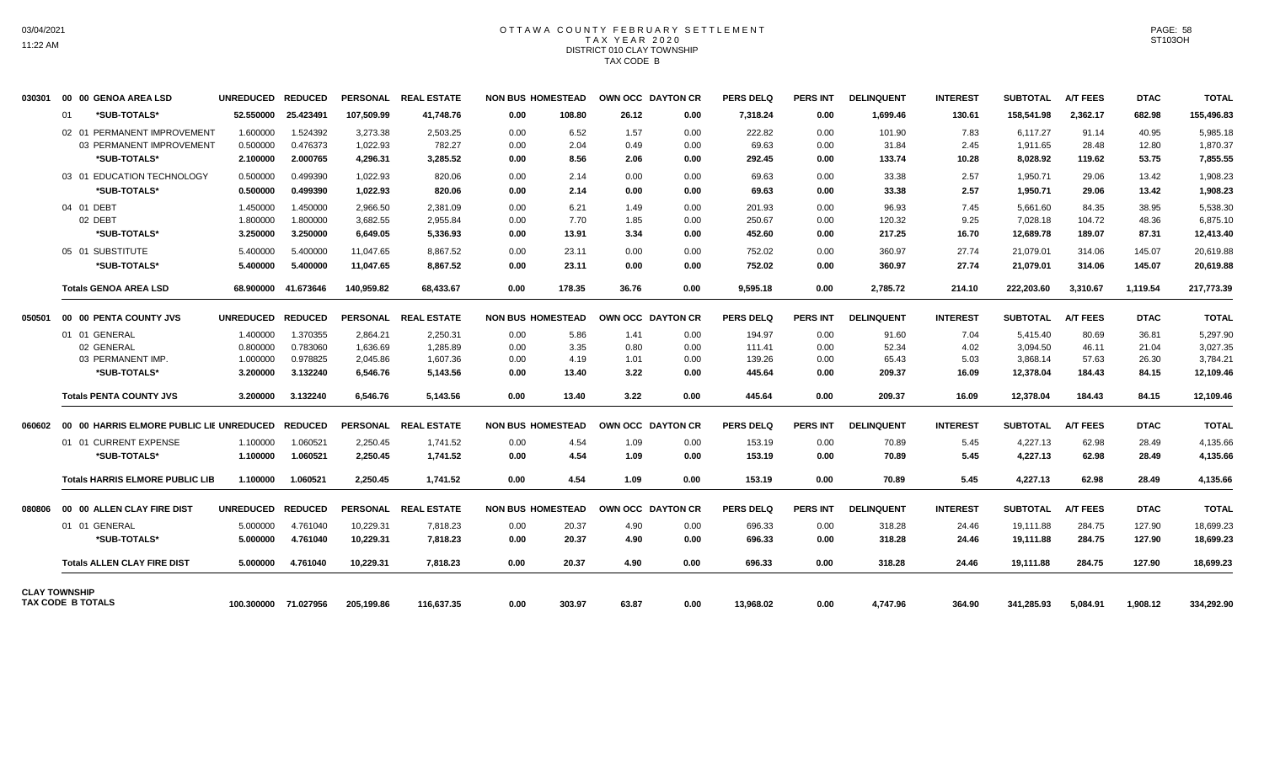# OTTAWA COUNTY FEBRUARY SETTLEMENT TAX YEAR 2020 DISTRICT 010 CLAY TOWNSHIP TAX CODE B

| 030301               |    | 00 00 GENOA AREA LSD                                      | UNREDUCED REDUCED |                      |            | PERSONAL REAL ESTATE | <b>NON BUS HOMESTEAD</b> |        |       | OWN OCC DAYTON CR | <b>PERS DELQ</b> | <b>PERS INT</b> | <b>DELINQUENT</b> | <b>INTEREST</b> | <b>SUBTOTAL</b> | <b>A/T FEES</b> | <b>DTAC</b> | <b>TOTAL</b> |
|----------------------|----|-----------------------------------------------------------|-------------------|----------------------|------------|----------------------|--------------------------|--------|-------|-------------------|------------------|-----------------|-------------------|-----------------|-----------------|-----------------|-------------|--------------|
|                      | 01 | *SUB-TOTALS*                                              | 52,550000         | 25.423491            | 107,509.99 | 41,748.76            | 0.00                     | 108.80 | 26.12 | 0.00              | 7,318.24         | 0.00            | 1,699.46          | 130.61          | 158,541.98      | 2,362.17        | 682.98      | 155,496.83   |
|                      |    | 02 01 PERMANENT IMPROVEMENT                               | 1.600000          | 1.524392             | 3.273.38   | 2.503.25             | 0.00                     | 6.52   | 1.57  | 0.00              | 222.82           | 0.00            | 101.90            | 7.83            | 6.117.27        | 91.14           | 40.95       | 5,985.18     |
|                      |    | 03 PERMANENT IMPROVEMENT                                  | 0.500000          | 0.476373             | 1,022.93   | 782.27               | 0.00                     | 2.04   | 0.49  | 0.00              | 69.63            | 0.00            | 31.84             | 2.45            | 1,911.65        | 28.48           | 12.80       | 1,870.37     |
|                      |    | *SUB-TOTALS*                                              | 2.100000          | 2.000765             | 4,296.31   | 3,285.52             | 0.00                     | 8.56   | 2.06  | 0.00              | 292.45           | 0.00            | 133.74            | 10.28           | 8,028.92        | 119.62          | 53.75       | 7,855.55     |
|                      |    | 03 01 EDUCATION TECHNOLOGY                                | 0.500000          | 0.499390             | 1,022.93   | 820.06               | 0.00                     | 2.14   | 0.00  | 0.00              | 69.63            | 0.00            | 33.38             | 2.57            | 1,950.71        | 29.06           | 13.42       | 1,908.23     |
|                      |    | *SUB-TOTALS*                                              | 0.500000          | 0.499390             | 1,022.93   | 820.06               | 0.00                     | 2.14   | 0.00  | 0.00              | 69.63            | 0.00            | 33.38             | 2.57            | 1,950.71        | 29.06           | 13.42       | 1,908.23     |
|                      |    | 04 01 DEBT                                                | 1.450000          | 1.450000             | 2,966.50   | 2,381.09             | 0.00                     | 6.21   | 1.49  | 0.00              | 201.93           | 0.00            | 96.93             | 7.45            | 5,661.60        | 84.35           | 38.95       | 5,538.30     |
|                      |    | 02 DEBT                                                   | 1.800000          | 1.800000             | 3,682.55   | 2,955.84             | 0.00                     | 7.70   | 1.85  | 0.00              | 250.67           | 0.00            | 120.32            | 9.25            | 7,028.18        | 104.72          | 48.36       | 6,875.10     |
|                      |    | *SUB-TOTALS*                                              | 3.250000          | 3.250000             | 6,649.05   | 5,336.93             | 0.00                     | 13.91  | 3.34  | 0.00              | 452.60           | 0.00            | 217.25            | 16.70           | 12,689.78       | 189.07          | 87.31       | 12,413.40    |
|                      |    | 05 01 SUBSTITUTE                                          | 5.400000          | 5.400000             | 11.047.65  | 8.867.52             | 0.00                     | 23.11  | 0.00  | 0.00              | 752.02           | 0.00            | 360.97            | 27.74           | 21.079.01       | 314.06          | 145.07      | 20,619.88    |
|                      |    | *SUB-TOTALS*                                              | 5.400000          | 5.400000             | 11.047.65  | 8.867.52             | 0.00                     | 23.11  | 0.00  | 0.00              | 752.02           | 0.00            | 360.97            | 27.74           | 21.079.01       | 314.06          | 145.07      | 20.619.88    |
|                      |    | <b>Totals GENOA AREA LSD</b>                              | 68.900000         | 41.673646            | 140.959.82 | 68.433.67            | 0.00                     | 178.35 | 36.76 | 0.00              | 9.595.18         | 0.00            | 2.785.72          | 214.10          | 222.203.60      | 3.310.67        | 1.119.54    | 217,773.39   |
| 050501               |    | 00 00 PENTA COUNTY JVS                                    | UNREDUCED REDUCED |                      |            | PERSONAL REAL ESTATE | <b>NON BUS HOMESTEAD</b> |        |       | OWN OCC DAYTON CR | <b>PERS DELQ</b> | <b>PERS INT</b> | <b>DELINQUENT</b> | <b>INTEREST</b> | <b>SUBTOTAL</b> | <b>A/T FEES</b> | <b>DTAC</b> | <b>TOTAL</b> |
|                      |    | 01 01 GENERAL                                             | 1.400000          | 1.370355             | 2.864.21   | 2,250.31             | 0.00                     | 5.86   | 1.41  | 0.00              | 194.97           | 0.00            | 91.60             | 7.04            | 5,415.40        | 80.69           | 36.81       | 5,297.90     |
|                      |    | 02 GENERAL                                                | 0.800000          | 0.783060             | 1,636.69   | 1,285.89             | 0.00                     | 3.35   | 0.80  | 0.00              | 111.41           | 0.00            | 52.34             | 4.02            | 3,094.50        | 46.11           | 21.04       | 3,027.35     |
|                      |    | 03 PERMANENT IMP.                                         | 1.000000          | 0.978825             | 2,045.86   | 1,607.36             | 0.00                     | 4.19   | 1.01  | 0.00              | 139.26           | 0.00            | 65.43             | 5.03            | 3,868.14        | 57.63           | 26.30       | 3,784.21     |
|                      |    | *SUB-TOTALS*                                              | 3.200000          | 3.132240             | 6,546.76   | 5,143.56             | 0.00                     | 13.40  | 3.22  | 0.00              | 445.64           | 0.00            | 209.37            | 16.09           | 12,378.04       | 184.43          | 84.15       | 12,109.46    |
|                      |    | <b>Totals PENTA COUNTY JVS</b>                            | 3.200000          | 3.132240             | 6,546.76   | 5,143.56             | 0.00                     | 13.40  | 3.22  | 0.00              | 445.64           | 0.00            | 209.37            | 16.09           | 12,378.04       | 184.43          | 84.15       | 12,109.46    |
|                      |    | 060602  00  00 HARRIS ELMORE PUBLIC LIE UNREDUCED REDUCED |                   |                      |            | PERSONAL REAL ESTATE | <b>NON BUS HOMESTEAD</b> |        |       | OWN OCC DAYTON CR | <b>PERS DELQ</b> | <b>PERS INT</b> | <b>DELINQUENT</b> | <b>INTEREST</b> | <b>SUBTOTAL</b> | <b>A/T FEES</b> | <b>DTAC</b> | <b>TOTAL</b> |
|                      |    | 01 01 CURRENT EXPENSE                                     | 1.100000          | 1.060521             | 2,250.45   | 1,741.52             | 0.00                     | 4.54   | 1.09  | 0.00              | 153.19           | 0.00            | 70.89             | 5.45            | 4,227.13        | 62.98           | 28.49       | 4,135.66     |
|                      |    | *SUB-TOTALS*                                              | 1.100000          | 1.060521             | 2,250.45   | 1,741.52             | 0.00                     | 4.54   | 1.09  | 0.00              | 153.19           | 0.00            | 70.89             | 5.45            | 4,227.13        | 62.98           | 28.49       | 4,135.66     |
|                      |    | <b>Totals HARRIS ELMORE PUBLIC LIB</b>                    | 1.100000          | 1.060521             | 2,250.45   | 1.741.52             | 0.00                     | 4.54   | 1.09  | 0.00              | 153.19           | 0.00            | 70.89             | 5.45            | 4.227.13        | 62.98           | 28.49       | 4,135.66     |
| 080806               |    | 00 00 ALLEN CLAY FIRE DIST                                | UNREDUCED REDUCED |                      |            | PERSONAL REAL ESTATE | <b>NON BUS HOMESTEAD</b> |        |       | OWN OCC DAYTON CR | <b>PERS DELQ</b> | <b>PERS INT</b> | <b>DELINQUENT</b> | <b>INTEREST</b> | <b>SUBTOTAL</b> | <b>A/T FEES</b> | <b>DTAC</b> | <b>TOTAL</b> |
|                      |    | 01 01 GENERAL                                             | 5.000000          | 4.761040             | 10,229.31  | 7,818.23             | 0.00                     | 20.37  | 4.90  | 0.00              | 696.33           | 0.00            | 318.28            | 24.46           | 19,111.88       | 284.75          | 127.90      | 18,699.23    |
|                      |    | *SUB-TOTALS*                                              | 5.000000          | 4.761040             | 10,229.31  | 7,818.23             | 0.00                     | 20.37  | 4.90  | 0.00              | 696.33           | 0.00            | 318.28            | 24.46           | 19,111.88       | 284.75          | 127.90      | 18,699.23    |
|                      |    | <b>Totals ALLEN CLAY FIRE DIST</b>                        | 5.000000          | 4.761040             | 10,229.31  | 7,818.23             | 0.00                     | 20.37  | 4.90  | 0.00              | 696.33           | 0.00            | 318.28            | 24.46           | 19,111.88       | 284.75          | 127.90      | 18,699.23    |
| <b>CLAY TOWNSHIP</b> |    | <b>TAX CODE B TOTALS</b>                                  |                   | 100.300000 71.027956 | 205,199.86 | 116,637.35           | 0.00                     | 303.97 | 63.87 | 0.00              | 13,968.02        | 0.00            | 4,747.96          | 364.90          | 341,285.93      | 5.084.91        | 1,908.12    | 334,292.90   |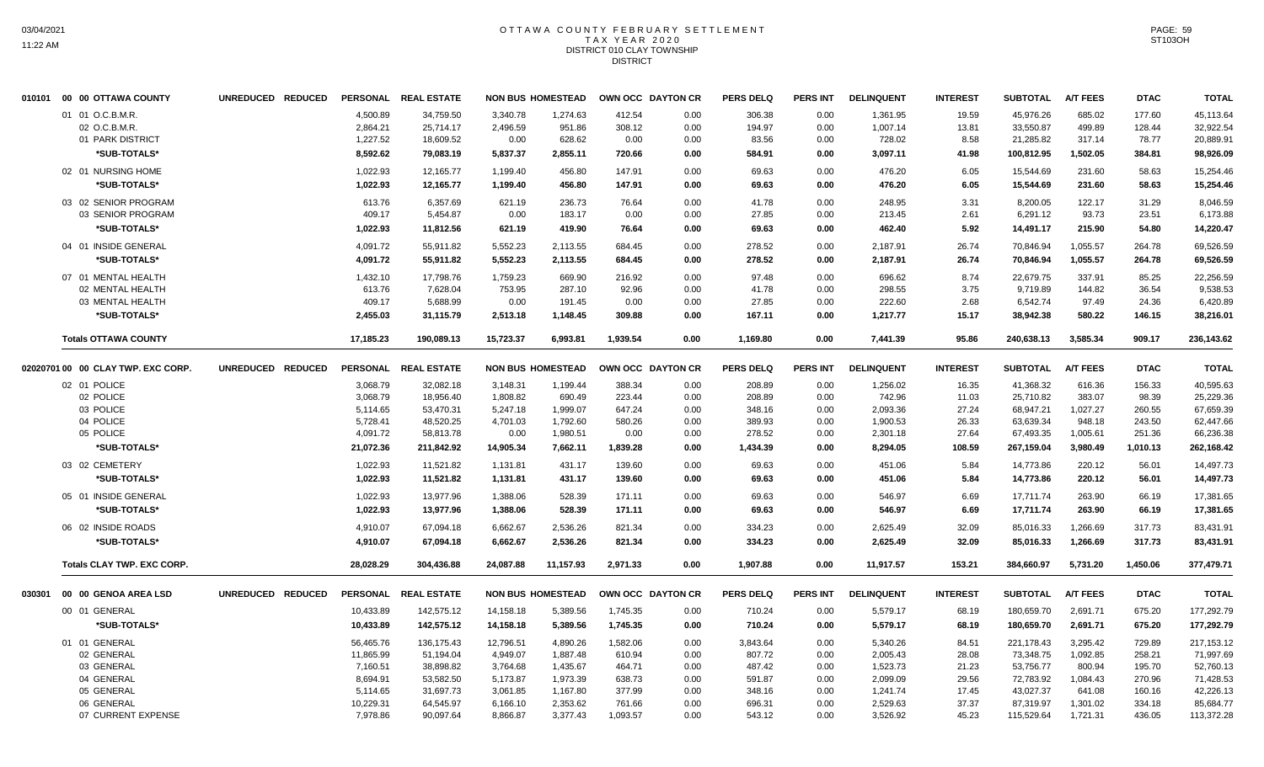## OTTAWA COUNTY FEBRUARY SETTLEMENT TAX YEAR 2020 DISTRICT 010 CLAY TOWNSHIP **DISTRICT**

|        | 010101 00 00 OTTAWA COUNTY         | UNREDUCED REDUCED |           | PERSONAL REAL ESTATE |           | <b>NON BUS HOMESTEAD</b> |          | OWN OCC DAYTON CR | <b>PERS DELQ</b> | <b>PERS INT</b> | <b>DELINQUENT</b> | <b>INTEREST</b> | <b>SUBTOTAL</b> | <b>A/T FEES</b> | <b>DTAC</b> | <b>TOTAL</b> |
|--------|------------------------------------|-------------------|-----------|----------------------|-----------|--------------------------|----------|-------------------|------------------|-----------------|-------------------|-----------------|-----------------|-----------------|-------------|--------------|
|        | 01 01 O.C.B.M.R.                   |                   | 4,500.89  | 34,759.50            | 3,340.78  | 1,274.63                 | 412.54   | 0.00              | 306.38           | 0.00            | 1,361.95          | 19.59           | 45,976.26       | 685.02          | 177.60      | 45,113.64    |
|        | 02 O.C.B.M.R.                      |                   | 2,864.21  | 25,714.17            | 2,496.59  | 951.86                   | 308.12   | 0.00              | 194.97           | 0.00            | 1,007.14          | 13.81           | 33,550.87       | 499.89          | 128.44      | 32,922.54    |
|        | 01 PARK DISTRICT                   |                   | 1,227.52  | 18,609.52            | 0.00      | 628.62                   | 0.00     | 0.00              | 83.56            | 0.00            | 728.02            | 8.58            | 21,285.82       | 317.14          | 78.77       | 20,889.91    |
|        | *SUB-TOTALS*                       |                   | 8,592.62  | 79,083.19            | 5,837.37  | 2,855.11                 | 720.66   | 0.00              | 584.91           | 0.00            | 3,097.11          | 41.98           | 100,812.95      | 1,502.05        | 384.81      | 98,926.09    |
|        | 02 01 NURSING HOME                 |                   | 1,022.93  | 12,165.77            | 1,199.40  | 456.80                   | 147.91   | 0.00              | 69.63            | 0.00            | 476.20            | 6.05            | 15,544.69       | 231.60          | 58.63       | 15,254.46    |
|        | *SUB-TOTALS*                       |                   | 1,022.93  | 12,165.77            | 1,199.40  | 456.80                   | 147.91   | 0.00              | 69.63            | 0.00            | 476.20            | 6.05            | 15,544.69       | 231.60          | 58.63       | 15,254.46    |
|        | 03 02 SENIOR PROGRAM               |                   | 613.76    | 6,357.69             | 621.19    | 236.73                   | 76.64    | 0.00              | 41.78            | 0.00            | 248.95            | 3.31            | 8,200.05        | 122.17          | 31.29       | 8,046.59     |
|        | 03 SENIOR PROGRAM                  |                   | 409.17    | 5,454.87             | 0.00      | 183.17                   | 0.00     | 0.00              | 27.85            | 0.00            | 213.45            | 2.61            | 6,291.12        | 93.73           | 23.51       | 6,173.88     |
|        | *SUB-TOTALS*                       |                   | 1,022.93  | 11,812.56            | 621.19    | 419.90                   | 76.64    | 0.00              | 69.63            | 0.00            | 462.40            | 5.92            | 14,491.17       | 215.90          | 54.80       | 14,220.47    |
|        | 04 01 INSIDE GENERAL               |                   | 4,091.72  | 55,911.82            | 5,552.23  | 2,113.55                 | 684.45   | 0.00              | 278.52           | 0.00            | 2,187.91          | 26.74           | 70,846.94       | 1,055.57        | 264.78      | 69,526.59    |
|        | *SUB-TOTALS*                       |                   | 4,091.72  | 55,911.82            | 5,552.23  | 2,113.55                 | 684.45   | 0.00              | 278.52           | 0.00            | 2,187.91          | 26.74           | 70,846.94       | 1,055.57        | 264.78      | 69,526.59    |
|        | 07 01 MENTAL HEALTH                |                   | 1,432.10  | 17,798.76            | 1,759.23  | 669.90                   | 216.92   | 0.00              | 97.48            | 0.00            | 696.62            | 8.74            | 22,679.75       | 337.91          | 85.25       | 22,256.59    |
|        | 02 MENTAL HEALTH                   |                   | 613.76    | 7,628.04             | 753.95    | 287.10                   | 92.96    | 0.00              | 41.78            | 0.00            | 298.55            | 3.75            | 9,719.89        | 144.82          | 36.54       | 9,538.53     |
|        | 03 MENTAL HEALTH                   |                   | 409.17    | 5,688.99             | 0.00      | 191.45                   | 0.00     | 0.00              | 27.85            | 0.00            | 222.60            | 2.68            | 6,542.74        | 97.49           | 24.36       | 6,420.89     |
|        | *SUB-TOTALS*                       |                   | 2,455.03  | 31,115.79            | 2,513.18  | 1,148.45                 | 309.88   | 0.00              | 167.11           | 0.00            | 1,217.77          | 15.17           | 38,942.38       | 580.22          | 146.15      | 38,216.01    |
|        | <b>Totals OTTAWA COUNTY</b>        |                   | 17,185.23 | 190.089.13           | 15.723.37 | 6.993.81                 | 1.939.54 | 0.00              | 1,169.80         | 0.00            | 7.441.39          | 95.86           | 240.638.13      | 3.585.34        | 909.17      | 236,143.62   |
|        | 02020701 00 00 CLAY TWP. EXC CORP. | UNREDUCED REDUCED |           | PERSONAL REAL ESTATE |           | <b>NON BUS HOMESTEAD</b> |          | OWN OCC DAYTON CR | <b>PERS DELQ</b> | <b>PERS INT</b> | <b>DELINQUENT</b> | <b>INTEREST</b> | <b>SUBTOTAL</b> | <b>A/T FEES</b> | <b>DTAC</b> | <b>TOTAL</b> |
|        | 02 01 POLICE                       |                   | 3,068.79  | 32,082.18            | 3,148.31  | 1,199.44                 | 388.34   | 0.00              | 208.89           | 0.00            | 1,256.02          | 16.35           | 41,368.32       | 616.36          | 156.33      | 40,595.63    |
|        | 02 POLICE                          |                   | 3,068.79  | 18,956.40            | 1,808.82  | 690.49                   | 223.44   | 0.00              | 208.89           | 0.00            | 742.96            | 11.03           | 25,710.82       | 383.07          | 98.39       | 25,229.36    |
|        | 03 POLICE                          |                   | 5,114.65  | 53,470.31            | 5,247.18  | 1,999.07                 | 647.24   | 0.00              | 348.16           | 0.00            | 2,093.36          | 27.24           | 68,947.21       | 1,027.27        | 260.55      | 67,659.39    |
|        | 04 POLICE                          |                   | 5,728.41  | 48,520.25            | 4,701.03  | 1,792.60                 | 580.26   | 0.00              | 389.93           | 0.00            | 1,900.53          | 26.33           | 63,639.34       | 948.18          | 243.50      | 62,447.66    |
|        | 05 POLICE                          |                   | 4,091.72  | 58,813.78            | 0.00      | 1,980.51                 | 0.00     | 0.00              | 278.52           | 0.00            | 2,301.18          | 27.64           | 67,493.35       | 1,005.61        | 251.36      | 66,236.38    |
|        | *SUB-TOTALS*                       |                   | 21,072.36 | 211,842.92           | 14,905.34 | 7,662.11                 | 1,839.28 | 0.00              | 1,434.39         | 0.00            | 8,294.05          | 108.59          | 267,159.04      | 3,980.49        | 1,010.13    | 262,168.42   |
|        | 03 02 CEMETERY                     |                   | 1,022.93  | 11,521.82            | 1,131.81  | 431.17                   | 139.60   | 0.00              | 69.63            | 0.00            | 451.06            | 5.84            | 14,773.86       | 220.12          | 56.01       | 14,497.73    |
|        | *SUB-TOTALS*                       |                   | 1,022.93  | 11,521.82            | 1,131.81  | 431.17                   | 139.60   | 0.00              | 69.63            | 0.00            | 451.06            | 5.84            | 14,773.86       | 220.12          | 56.01       | 14,497.73    |
|        | 05 01 INSIDE GENERAL               |                   | 1,022.93  | 13,977.96            | 1,388.06  | 528.39                   | 171.11   | 0.00              | 69.63            | 0.00            | 546.97            | 6.69            | 17,711.74       | 263.90          | 66.19       | 17,381.65    |
|        | *SUB-TOTALS*                       |                   | 1,022.93  | 13.977.96            | 1,388.06  | 528.39                   | 171.11   | 0.00              | 69.63            | 0.00            | 546.97            | 6.69            | 17,711.74       | 263.90          | 66.19       | 17,381.65    |
|        | 06 02 INSIDE ROADS                 |                   | 4,910.07  | 67,094.18            | 6,662.67  | 2,536.26                 | 821.34   | 0.00              | 334.23           | 0.00            | 2,625.49          | 32.09           | 85,016.33       | 1,266.69        | 317.73      | 83,431.91    |
|        | *SUB-TOTALS*                       |                   | 4,910.07  | 67,094.18            | 6,662.67  | 2,536.26                 | 821.34   | 0.00              | 334.23           | 0.00            | 2,625.49          | 32.09           | 85,016.33       | 1,266.69        | 317.73      | 83,431.91    |
|        | <b>Totals CLAY TWP. EXC CORP.</b>  |                   | 28,028.29 | 304,436.88           | 24,087.88 | 11,157.93                | 2,971.33 | 0.00              | 1,907.88         | 0.00            | 11,917.57         | 153.21          | 384,660.97      | 5,731.20        | 1,450.06    | 377,479.71   |
| 030301 | 00 00 GENOA AREA LSD               | UNREDUCED REDUCED |           | PERSONAL REAL ESTATE |           | <b>NON BUS HOMESTEAD</b> |          | OWN OCC DAYTON CR | <b>PERS DELQ</b> | PERS INT        | <b>DELINQUENT</b> | <b>INTEREST</b> | <b>SUBTOTAL</b> | <b>A/T FEES</b> | <b>DTAC</b> | <b>TOTAL</b> |
|        | 00 01 GENERAL                      |                   | 10,433.89 | 142,575.12           | 14,158.18 | 5,389.56                 | 1,745.35 | 0.00              | 710.24           | 0.00            | 5,579.17          | 68.19           | 180,659.70      | 2,691.71        | 675.20      | 177,292.79   |
|        | *SUB-TOTALS*                       |                   | 10,433.89 | 142,575.12           | 14,158.18 | 5,389.56                 | 1,745.35 | 0.00              | 710.24           | 0.00            | 5,579.17          | 68.19           | 180,659.70      | 2,691.71        | 675.20      | 177,292.79   |
|        | 01 01 GENERAL                      |                   | 56,465.76 | 136,175.43           | 12,796.51 | 4,890.26                 | 1,582.06 | 0.00              | 3,843.64         | 0.00            | 5,340.26          | 84.51           | 221,178.43      | 3,295.42        | 729.89      | 217,153.12   |
|        | 02 GENERAL                         |                   | 11,865.99 | 51,194.04            | 4,949.07  | 1,887.48                 | 610.94   | 0.00              | 807.72           | 0.00            | 2,005.43          | 28.08           | 73,348.75       | 1,092.85        | 258.21      | 71,997.69    |
|        | 03 GENERAL                         |                   | 7,160.51  | 38,898.82            | 3,764.68  | 1,435.67                 | 464.71   | 0.00              | 487.42           | 0.00            | 1,523.73          | 21.23           | 53,756.77       | 800.94          | 195.70      | 52,760.13    |
|        | 04 GENERAL                         |                   | 8,694.91  | 53,582.50            | 5,173.87  | 1,973.39                 | 638.73   | 0.00              | 591.87           | 0.00            | 2,099.09          | 29.56           | 72,783.92       | 1,084.43        | 270.96      | 71,428.53    |
|        | 05 GENERAL                         |                   | 5,114.65  | 31,697.73            | 3,061.85  | 1,167.80                 | 377.99   | 0.00              | 348.16           | 0.00            | 1,241.74          | 17.45           | 43,027.37       | 641.08          | 160.16      | 42,226.13    |
|        | 06 GENERAL                         |                   | 10,229.31 | 64,545.97            | 6,166.10  | 2,353.62                 | 761.66   | 0.00              | 696.31           | 0.00            | 2,529.63          | 37.37           | 87,319.97       | 1,301.02        | 334.18      | 85,684.77    |
|        | 07 CURRENT EXPENSE                 |                   | 7,978.86  | 90,097.64            | 8,866.87  | 3,377.43                 | 1,093.57 | 0.00              | 543.12           | 0.00            | 3,526.92          | 45.23           | 115,529.64      | 1,721.31        | 436.05      | 113,372.28   |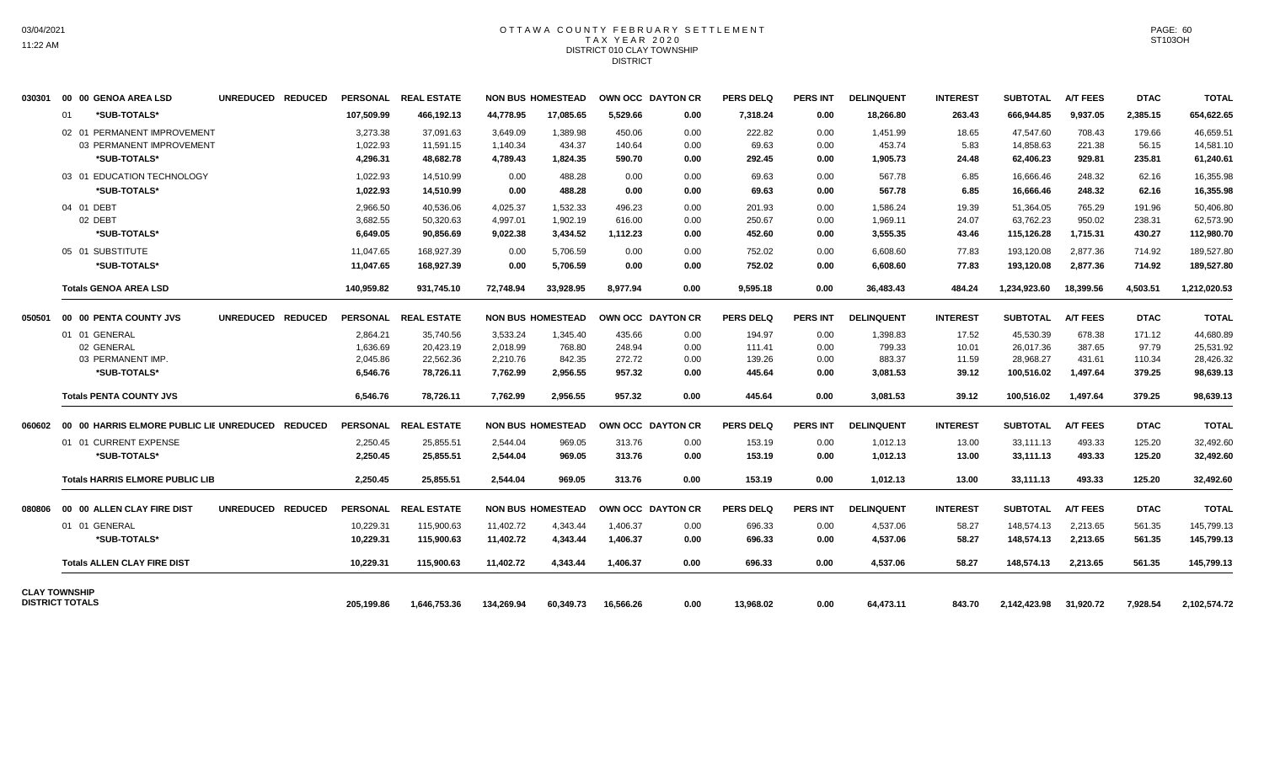#### OTTAWA COUNTY FEBRUARY SETTLEMENT T A X Y E A R 2 0 2 0 DISTRICT 010 CLAY TOWNSHIP **DISTRICT**

| 030301 | 00 00 GENOA AREA LSD                             | UNREDUCED REDUCED |                 | PERSONAL REAL ESTATE |            | <b>NON BUS HOMESTEAD</b> |           | OWN OCC DAYTON CR | <b>PERS DELQ</b> | <b>PERS INT</b> | <b>DELINQUENT</b> | <b>INTEREST</b> | <b>SUBTOTAL</b> | <b>A/T FEES</b> | <b>DTAC</b> | <b>TOTAL</b> |
|--------|--------------------------------------------------|-------------------|-----------------|----------------------|------------|--------------------------|-----------|-------------------|------------------|-----------------|-------------------|-----------------|-----------------|-----------------|-------------|--------------|
|        | *SUB-TOTALS*<br>01                               |                   | 107.509.99      | 466,192.13           | 44,778.95  | 17.085.65                | 5.529.66  | 0.00              | 7,318.24         | 0.00            | 18.266.80         | 263.43          | 666.944.85      | 9.937.05        | 2,385.15    | 654,622.65   |
|        | 02 01 PERMANENT IMPROVEMENT                      |                   | 3,273.38        | 37,091.63            | 3,649.09   | 1,389.98                 | 450.06    | 0.00              | 222.82           | 0.00            | 1,451.99          | 18.65           | 47,547.60       | 708.43          | 179.66      | 46,659.51    |
|        | 03 PERMANENT IMPROVEMENT                         |                   | 1,022.93        | 11,591.15            | 1,140.34   | 434.37                   | 140.64    | 0.00              | 69.63            | 0.00            | 453.74            | 5.83            | 14,858.63       | 221.38          | 56.15       | 14,581.10    |
|        | *SUB-TOTALS*                                     |                   | 4.296.31        | 48,682.78            | 4,789.43   | 1,824.35                 | 590.70    | 0.00              | 292.45           | 0.00            | 1.905.73          | 24.48           | 62,406.23       | 929.81          | 235.81      | 61,240.61    |
|        | 03 01 EDUCATION TECHNOLOGY                       |                   | 1,022.93        | 14,510.99            | 0.00       | 488.28                   | 0.00      | 0.00              | 69.63            | 0.00            | 567.78            | 6.85            | 16,666.46       | 248.32          | 62.16       | 16,355.98    |
|        | *SUB-TOTALS*                                     |                   | 1,022.93        | 14.510.99            | 0.00       | 488.28                   | 0.00      | 0.00              | 69.63            | 0.00            | 567.78            | 6.85            | 16,666.46       | 248.32          | 62.16       | 16,355.98    |
|        | 04 01 DEBT                                       |                   | 2,966.50        | 40,536.06            | 4,025.37   | 1,532.33                 | 496.23    | 0.00              | 201.93           | 0.00            | 1,586.24          | 19.39           | 51,364.05       | 765.29          | 191.96      | 50,406.80    |
|        | 02 DEBT                                          |                   | 3,682.55        | 50,320.63            | 4,997.01   | 1,902.19                 | 616.00    | 0.00              | 250.67           | 0.00            | 1,969.11          | 24.07           | 63,762.23       | 950.02          | 238.31      | 62,573.90    |
|        | *SUB-TOTALS*                                     |                   | 6,649.05        | 90,856.69            | 9,022.38   | 3,434.52                 | 1,112.23  | 0.00              | 452.60           | 0.00            | 3,555.35          | 43.46           | 115,126.28      | 1,715.31        | 430.27      | 112,980.70   |
|        | 05 01 SUBSTITUTE                                 |                   | 11,047.65       | 168,927.39           | 0.00       | 5,706.59                 | 0.00      | 0.00              | 752.02           | 0.00            | 6,608.60          | 77.83           | 193,120.08      | 2,877.36        | 714.92      | 189,527.80   |
|        | *SUB-TOTALS*                                     |                   | 11,047.65       | 168,927.39           | 0.00       | 5,706.59                 | 0.00      | 0.00              | 752.02           | 0.00            | 6,608.60          | 77.83           | 193,120.08      | 2,877.36        | 714.92      | 189,527.80   |
|        | <b>Totals GENOA AREA LSD</b>                     |                   | 140.959.82      | 931.745.10           | 72.748.94  | 33.928.95                | 8.977.94  | 0.00              | 9.595.18         | 0.00            | 36,483.43         | 484.24          | 1,234,923.60    | 18,399.56       | 4.503.51    | 1,212,020.53 |
| 050501 | 00 00 PENTA COUNTY JVS                           | UNREDUCED REDUCED | <b>PERSONAL</b> | <b>REAL ESTATE</b>   |            | <b>NON BUS HOMESTEAD</b> |           | OWN OCC DAYTON CR | <b>PERS DELQ</b> | <b>PERS INT</b> | <b>DELINQUENT</b> | <b>INTEREST</b> | <b>SUBTOTAL</b> | <b>A/T FEES</b> | <b>DTAC</b> | <b>TOTAL</b> |
|        | 01 01 GENERAL                                    |                   | 2.864.21        | 35,740.56            | 3,533.24   | 1.345.40                 | 435.66    | 0.00              | 194.97           | 0.00            | 1.398.83          | 17.52           | 45.530.39       | 678.38          | 171.12      | 44,680.89    |
|        | 02 GENERAL                                       |                   | 1.636.69        | 20,423.19            | 2,018.99   | 768.80                   | 248.94    | 0.00              | 111.41           | 0.00            | 799.33            | 10.01           | 26.017.36       | 387.65          | 97.79       | 25,531.92    |
|        | 03 PERMANENT IMP.                                |                   | 2,045.86        | 22,562.36            | 2,210.76   | 842.35                   | 272.72    | 0.00              | 139.26           | 0.00            | 883.37            | 11.59           | 28,968.27       | 431.61          | 110.34      | 28,426.32    |
|        | *SUB-TOTALS*                                     |                   | 6,546.76        | 78,726.11            | 7,762.99   | 2,956.55                 | 957.32    | 0.00              | 445.64           | 0.00            | 3,081.53          | 39.12           | 100,516.02      | 1,497.64        | 379.25      | 98,639.13    |
|        | <b>Totals PENTA COUNTY JVS</b>                   |                   | 6,546.76        | 78,726.11            | 7,762.99   | 2,956.55                 | 957.32    | 0.00              | 445.64           | 0.00            | 3,081.53          | 39.12           | 100,516.02      | 1,497.64        | 379.25      | 98,639.13    |
| 060602 | 00 00 HARRIS ELMORE PUBLIC LIE UNREDUCED REDUCED |                   | <b>PERSONAL</b> | <b>REAL ESTATE</b>   |            | <b>NON BUS HOMESTEAD</b> |           | OWN OCC DAYTON CR | <b>PERS DELQ</b> | <b>PERS INT</b> | <b>DELINQUENT</b> | <b>INTEREST</b> | <b>SUBTOTAL</b> | <b>A/T FEES</b> | <b>DTAC</b> | <b>TOTAL</b> |
|        | 01 01 CURRENT EXPENSE                            |                   | 2.250.45        | 25.855.51            | 2.544.04   | 969.05                   | 313.76    | 0.00              | 153.19           | 0.00            | 1,012.13          | 13.00           | 33.111.13       | 493.33          | 125.20      | 32,492.60    |
|        | *SUB-TOTALS*                                     |                   | 2.250.45        | 25,855.51            | 2,544.04   | 969.05                   | 313.76    | 0.00              | 153.19           | 0.00            | 1,012.13          | 13.00           | 33,111.13       | 493.33          | 125.20      | 32,492.60    |
|        | <b>Totals HARRIS ELMORE PUBLIC LIB</b>           |                   | 2.250.45        | 25.855.51            | 2.544.04   | 969.05                   | 313.76    | 0.00              | 153.19           | 0.00            | 1.012.13          | 13.00           | 33,111.13       | 493.33          | 125.20      | 32,492.60    |
| 080806 | 00 00 ALLEN CLAY FIRE DIST                       | UNREDUCED REDUCED | <b>PERSONAL</b> | <b>REAL ESTATE</b>   |            | <b>NON BUS HOMESTEAD</b> |           | OWN OCC DAYTON CR | <b>PERS DELQ</b> | <b>PERS INT</b> | <b>DELINQUENT</b> | <b>INTEREST</b> | <b>SUBTOTAL</b> | <b>A/T FEES</b> | <b>DTAC</b> | <b>TOTAL</b> |
|        | 01 01 GENERAL                                    |                   | 10,229.31       | 115,900.63           | 11,402.72  | 4,343.44                 | 1,406.37  | 0.00              | 696.33           | 0.00            | 4,537.06          | 58.27           | 148,574.13      | 2,213.65        | 561.35      | 145,799.13   |
|        | *SUB-TOTALS*                                     |                   | 10,229.31       | 115,900.63           | 11,402.72  | 4,343.44                 | 1,406.37  | 0.00              | 696.33           | 0.00            | 4,537.06          | 58.27           | 148,574.13      | 2,213.65        | 561.35      | 145,799.13   |
|        | <b>Totals ALLEN CLAY FIRE DIST</b>               |                   | 10,229.31       | 115,900.63           | 11,402.72  | 4,343.44                 | 1,406.37  | 0.00              | 696.33           | 0.00            | 4,537.06          | 58.27           | 148,574.13      | 2,213.65        | 561.35      | 145,799.13   |
|        | <b>CLAY TOWNSHIP</b><br><b>DISTRICT TOTALS</b>   |                   | 205,199.86      | 1,646,753.36         | 134,269.94 | 60,349.73                | 16,566.26 | 0.00              | 13,968.02        | 0.00            | 64,473.11         | 843.70          | 2,142,423.98    | 31,920.72       | 7,928.54    | 2,102,574.72 |
|        |                                                  |                   |                 |                      |            |                          |           |                   |                  |                 |                   |                 |                 |                 |             |              |

PAGE: 60 ST103OH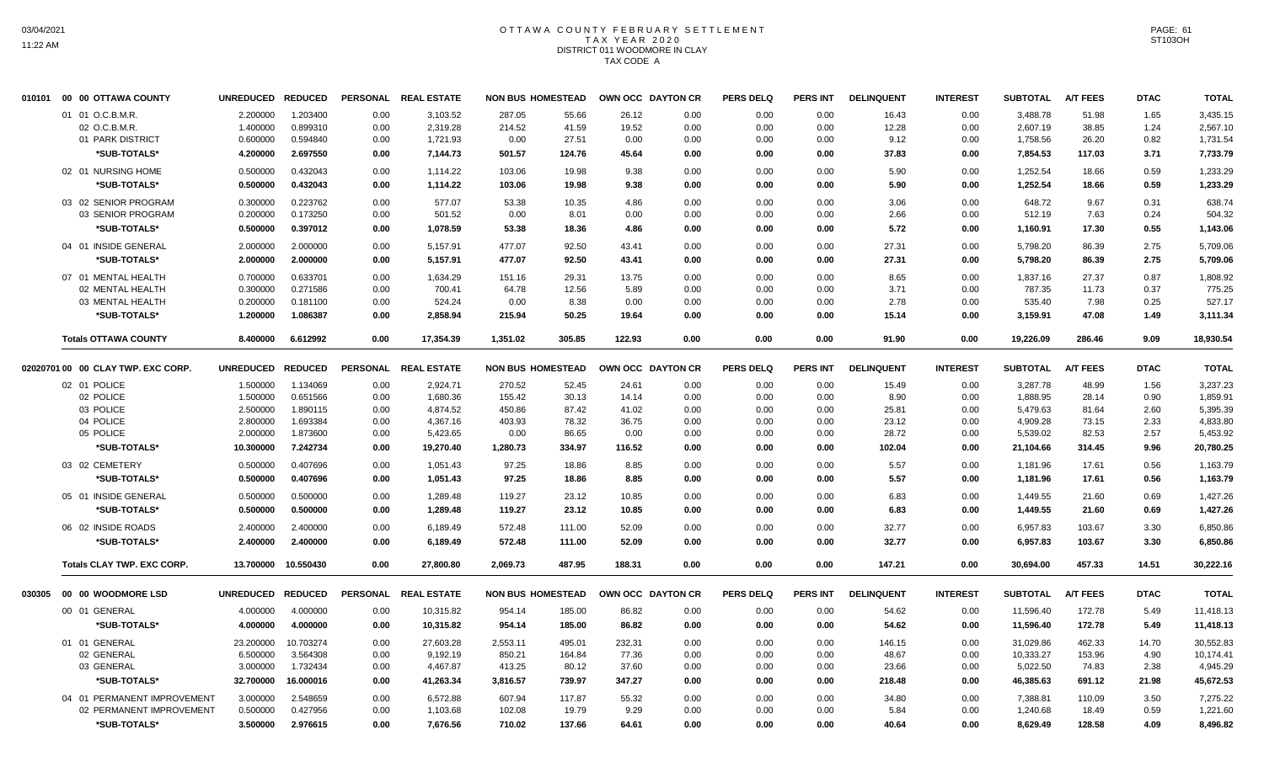# OTTAWA COUNTY FEBRUARY SETTLEMENT TAX YEAR 2020 DISTRICT 011 WOODMORE IN CLAY TAX CODE A

| 010101 | 00 00 OTTAWA COUNTY                | UNREDUCED REDUCED     |                       |              | PERSONAL REAL ESTATE  |                          | <b>NON BUS HOMESTEAD</b> | OWN OCC DAYTON CR |              | <b>PERS DELQ</b> | <b>PERS INT</b> | <b>DELINQUENT</b> | <b>INTEREST</b> | <b>SUBTOTAL</b>       | A/T FEES        | <b>DTAC</b>   | <b>TOTAL</b>          |
|--------|------------------------------------|-----------------------|-----------------------|--------------|-----------------------|--------------------------|--------------------------|-------------------|--------------|------------------|-----------------|-------------------|-----------------|-----------------------|-----------------|---------------|-----------------------|
|        | 01 01 O.C.B.M.R.                   | 2.200000              | 1.203400              | 0.00         | 3,103.52              | 287.05                   | 55.66                    | 26.12             | 0.00         | 0.00             | 0.00            | 16.43             | 0.00            | 3,488.78              | 51.98           | 1.65          | 3,435.15              |
|        | 02 O.C.B.M.R.                      | 1.400000              | 0.899310              | 0.00         | 2,319.28              | 214.52                   | 41.59                    | 19.52             | 0.00         | 0.00             | 0.00            | 12.28             | 0.00            | 2,607.19              | 38.85           | 1.24          | 2,567.10              |
|        | 01 PARK DISTRICT                   | 0.600000              | 0.594840              | 0.00         | 1,721.93              | 0.00                     | 27.51                    | 0.00              | 0.00         | 0.00             | 0.00            | 9.12              | 0.00            | 1,758.56              | 26.20           | 0.82          | 1,731.54              |
|        | *SUB-TOTALS*                       | 4.200000              | 2.697550              | 0.00         | 7,144.73              | 501.57                   | 124.76                   | 45.64             | 0.00         | 0.00             | 0.00            | 37.83             | 0.00            | 7,854.53              | 117.03          | 3.71          | 7,733.79              |
|        | 02 01 NURSING HOME                 | 0.500000              | 0.432043              | 0.00         | 1,114.22              | 103.06                   | 19.98                    | 9.38              | 0.00         | 0.00             | 0.00            | 5.90              | 0.00            | 1,252.54              | 18.66           | 0.59          | 1,233.29              |
|        | *SUB-TOTALS*                       | 0.500000              | 0.432043              | 0.00         | 1,114.22              | 103.06                   | 19.98                    | 9.38              | 0.00         | 0.00             | 0.00            | 5.90              | 0.00            | 1,252.54              | 18.66           | 0.59          | 1,233.29              |
|        | 03 02 SENIOR PROGRAM               | 0.300000              | 0.223762              | 0.00         | 577.07                | 53.38                    | 10.35                    | 4.86              | 0.00         | 0.00             | 0.00            | 3.06              | 0.00            | 648.72                | 9.67            | 0.31          | 638.74                |
|        | 03 SENIOR PROGRAM                  | 0.200000              | 0.173250              | 0.00         | 501.52                | 0.00                     | 8.01                     | 0.00              | 0.00         | 0.00             | 0.00            | 2.66              | 0.00            | 512.19                | 7.63            | 0.24          | 504.32                |
|        | *SUB-TOTALS*                       | 0.500000              | 0.397012              | 0.00         | 1,078.59              | 53.38                    | 18.36                    | 4.86              | 0.00         | 0.00             | 0.00            | 5.72              | 0.00            | 1,160.91              | 17.30           | 0.55          | 1,143.06              |
|        | 04 01 INSIDE GENERAL               | 2.000000              | 2.000000              | 0.00         | 5,157.91              | 477.07                   | 92.50                    | 43.41             | 0.00         | 0.00             | 0.00            | 27.31             | 0.00            | 5,798.20              | 86.39           | 2.75          | 5,709.06              |
|        | *SUB-TOTALS*                       | 2.000000              | 2.000000              | 0.00         | 5,157.91              | 477.07                   | 92.50                    | 43.41             | 0.00         | 0.00             | 0.00            | 27.31             | 0.00            | 5,798.20              | 86.39           | 2.75          | 5,709.06              |
|        | 07 01 MENTAL HEALTH                | 0.700000              | 0.633701              | 0.00         | 1.634.29              | 151.16                   | 29.31                    | 13.75             | 0.00         | 0.00             | 0.00            | 8.65              | 0.00            | 1,837.16              | 27.37           | 0.87          | 1,808.92              |
|        | 02 MENTAL HEALTH                   | 0.300000              | 0.271586              | 0.00         | 700.41                | 64.78                    | 12.56                    | 5.89              | 0.00         | 0.00             | 0.00            | 3.71              | 0.00            | 787.35                | 11.73           | 0.37          | 775.25                |
|        | 03 MENTAL HEALTH                   | 0.200000              | 0.181100              | 0.00         | 524.24                | 0.00                     | 8.38                     | 0.00              | 0.00         | 0.00             | 0.00            | 2.78              | 0.00            | 535.40                | 7.98            | 0.25          | 527.17                |
|        | *SUB-TOTALS*                       | 1.200000              | 1.086387              | 0.00         | 2,858.94              | 215.94                   | 50.25                    | 19.64             | 0.00         | 0.00             | 0.00            | 15.14             | 0.00            | 3,159.91              | 47.08           | 1.49          | 3,111.34              |
|        |                                    |                       |                       |              |                       |                          |                          |                   |              |                  |                 |                   |                 |                       |                 |               |                       |
|        | <b>Totals OTTAWA COUNTY</b>        | 8.400000              | 6.612992              | 0.00         | 17,354.39             | 1,351.02                 | 305.85                   | 122.93            | 0.00         | 0.00             | 0.00            | 91.90             | 0.00            | 19,226.09             | 286.46          | 9.09          | 18,930.54             |
|        | 02020701 00 00 CLAY TWP. EXC CORP. | <b>UNREDUCED</b>      | <b>REDUCED</b>        |              | PERSONAL REAL ESTATE  | <b>NON BUS HOMESTEAD</b> |                          | OWN OCC DAYTON CR |              | <b>PERS DELQ</b> | PERS INT        | <b>DELINQUENT</b> | <b>INTEREST</b> | <b>SUBTOTAL</b>       | <b>A/T FEES</b> | <b>DTAC</b>   | <b>TOTAL</b>          |
|        | 02 01 POLICE                       | 1.500000              | 1.134069              | 0.00         | 2,924.71              | 270.52                   | 52.45                    | 24.61             | 0.00         | 0.00             | 0.00            | 15.49             | 0.00            | 3,287.78              | 48.99           | 1.56          | 3,237.23              |
|        | 02 POLICE                          | 1.500000              | 0.651566              | 0.00         | 1,680.36              | 155.42                   | 30.13                    | 14.14             | 0.00         | 0.00             | 0.00            | 8.90              | 0.00            | 1,888.95              | 28.14           | 0.90          | 1,859.91              |
|        | 03 POLICE                          | 2.500000              | 1.890115              | 0.00         | 4,874.52              | 450.86                   | 87.42                    | 41.02             | 0.00         | 0.00             | 0.00            | 25.81             | 0.00            | 5,479.63              | 81.64           | 2.60          | 5,395.39              |
|        | 04 POLICE                          | 2.800000              | 1.693384              | 0.00         | 4,367.16              | 403.93                   | 78.32                    | 36.75             | 0.00         | 0.00             | 0.00            | 23.12             | 0.00            | 4,909.28              | 73.15           | 2.33          | 4,833.80              |
|        | 05 POLICE                          | 2.000000              | 1.873600              | 0.00         | 5,423.65              | 0.00                     | 86.65                    | 0.00              | 0.00         | 0.00             | 0.00            | 28.72             | 0.00            | 5,539.02              | 82.53           | 2.57          | 5,453.92              |
|        | *SUB-TOTALS*                       | 10.300000             | 7.242734              | 0.00         | 19,270.40             | 1,280.73                 | 334.97                   | 116.52            | 0.00         | 0.00             | 0.00            | 102.04            | 0.00            | 21,104.66             | 314.45          | 9.96          | 20,780.25             |
|        | 03 02 CEMETERY                     | 0.500000              | 0.407696              | 0.00         | 1,051.43              | 97.25                    | 18.86                    | 8.85              | 0.00         | 0.00             | 0.00            | 5.57              | 0.00            | 1,181.96              | 17.61           | 0.56          | 1,163.79              |
|        | *SUB-TOTALS*                       | 0.500000              | 0.407696              | 0.00         | 1,051.43              | 97.25                    | 18.86                    | 8.85              | 0.00         | 0.00             | 0.00            | 5.57              | 0.00            | 1,181.96              | 17.61           | 0.56          | 1,163.79              |
|        | 05 01 INSIDE GENERAL               | 0.500000              | 0.500000              | 0.00         | 1,289.48              | 119.27                   | 23.12                    | 10.85             | 0.00         | 0.00             | 0.00            | 6.83              | 0.00            | 1,449.55              | 21.60           | 0.69          | 1,427.26              |
|        | *SUB-TOTALS*                       | 0.500000              | 0.500000              | 0.00         | 1,289.48              | 119.27                   | 23.12                    | 10.85             | 0.00         | 0.00             | 0.00            | 6.83              | 0.00            | 1,449.55              | 21.60           | 0.69          | 1,427.26              |
|        | 06 02 INSIDE ROADS                 | 2.400000              | 2.400000              | 0.00         | 6,189.49              | 572.48                   | 111.00                   | 52.09             | 0.00         | 0.00             | 0.00            | 32.77             | 0.00            | 6,957.83              | 103.67          | 3.30          | 6,850.86              |
|        | *SUB-TOTALS*                       | 2.400000              | 2.400000              | 0.00         | 6,189.49              | 572.48                   | 111.00                   | 52.09             | 0.00         | 0.00             | 0.00            | 32.77             | 0.00            | 6,957.83              | 103.67          | 3.30          | 6,850.86              |
|        | <b>Totals CLAY TWP. EXC CORP.</b>  |                       | 13.700000 10.550430   | 0.00         | 27,800.80             | 2,069.73                 | 487.95                   | 188.31            | 0.00         | 0.00             | 0.00            | 147.21            | 0.00            | 30,694.00             | 457.33          | 14.51         | 30,222.16             |
| 030305 | 00 00 WOODMORE LSD                 | UNREDUCED REDUCED     |                       |              | PERSONAL REAL ESTATE  |                          | <b>NON BUS HOMESTEAD</b> | OWN OCC DAYTON CR |              | <b>PERS DELQ</b> | <b>PERS INT</b> | <b>DELINQUENT</b> | <b>INTEREST</b> | <b>SUBTOTAL</b>       | <b>A/T FEES</b> | <b>DTAC</b>   | <b>TOTAL</b>          |
|        | 00 01 GENERAL                      | 4.000000              | 4.000000              | 0.00         | 10,315.82             | 954.14                   | 185.00                   | 86.82             | 0.00         | 0.00             | 0.00            | 54.62             | 0.00            | 11,596.40             | 172.78          | 5.49          | 11,418.13             |
|        | *SUB-TOTALS*                       | 4.000000              | 4.000000              | 0.00         | 10,315.82             | 954.14                   | 185.00                   | 86.82             | 0.00         | 0.00             | 0.00            | 54.62             | 0.00            | 11,596.40             | 172.78          | 5.49          | 11,418.13             |
|        | 01 01 GENERAL                      | 23.200000             | 10.703274             | 0.00         | 27,603.28             | 2,553.11                 | 495.01                   | 232.31            | 0.00         | 0.00             | 0.00            | 146.15            | 0.00            | 31,029.86             | 462.33          | 14.70         | 30,552.83             |
|        | 02 GENERAL                         | 6.500000              | 3.564308              |              | 9,192.19              | 850.21                   | 164.84                   | 77.36             | 0.00         | 0.00             | 0.00            | 48.67             | 0.00            | 10,333.27             | 153.96          | 4.90          |                       |
|        |                                    |                       |                       | 0.00         |                       |                          |                          |                   |              |                  |                 |                   |                 |                       |                 |               | 10,174.41             |
|        | 03 GENERAL<br>*SUB-TOTALS*         | 3.000000<br>32.700000 | 1.732434<br>16.000016 | 0.00<br>0.00 | 4,467.87<br>41,263.34 | 413.25<br>3,816.57       | 80.12<br>739.97          | 37.60<br>347.27   | 0.00<br>0.00 | 0.00<br>0.00     | 0.00<br>0.00    | 23.66<br>218.48   | 0.00<br>0.00    | 5,022.50<br>46,385.63 | 74.83<br>691.12 | 2.38<br>21.98 | 4,945.29<br>45,672.53 |
|        |                                    |                       |                       |              |                       |                          |                          |                   |              |                  |                 |                   |                 |                       |                 |               |                       |
|        | 04 01 PERMANENT IMPROVEMENT        | 3.000000              | 2.548659              | 0.00         | 6,572.88              | 607.94                   | 117.87                   | 55.32             | 0.00         | 0.00             | 0.00            | 34.80             | 0.00            | 7,388.81              | 110.09          | 3.50          | 7,275.22              |
|        | 02 PERMANENT IMPROVEMENT           | 0.500000              | 0.427956              | 0.00         | 1,103.68              | 102.08                   | 19.79                    | 9.29              | 0.00         | 0.00             | 0.00            | 5.84              | 0.00            | 1,240.68              | 18.49           | 0.59          | 1,221.60              |
|        | *SUB-TOTALS*                       | 3.500000              | 2.976615              | 0.00         | 7,676.56              | 710.02                   | 137.66                   | 64.61             | 0.00         | 0.00             | 0.00            | 40.64             | 0.00            | 8,629.49              | 128.58          | 4.09          | 8,496.82              |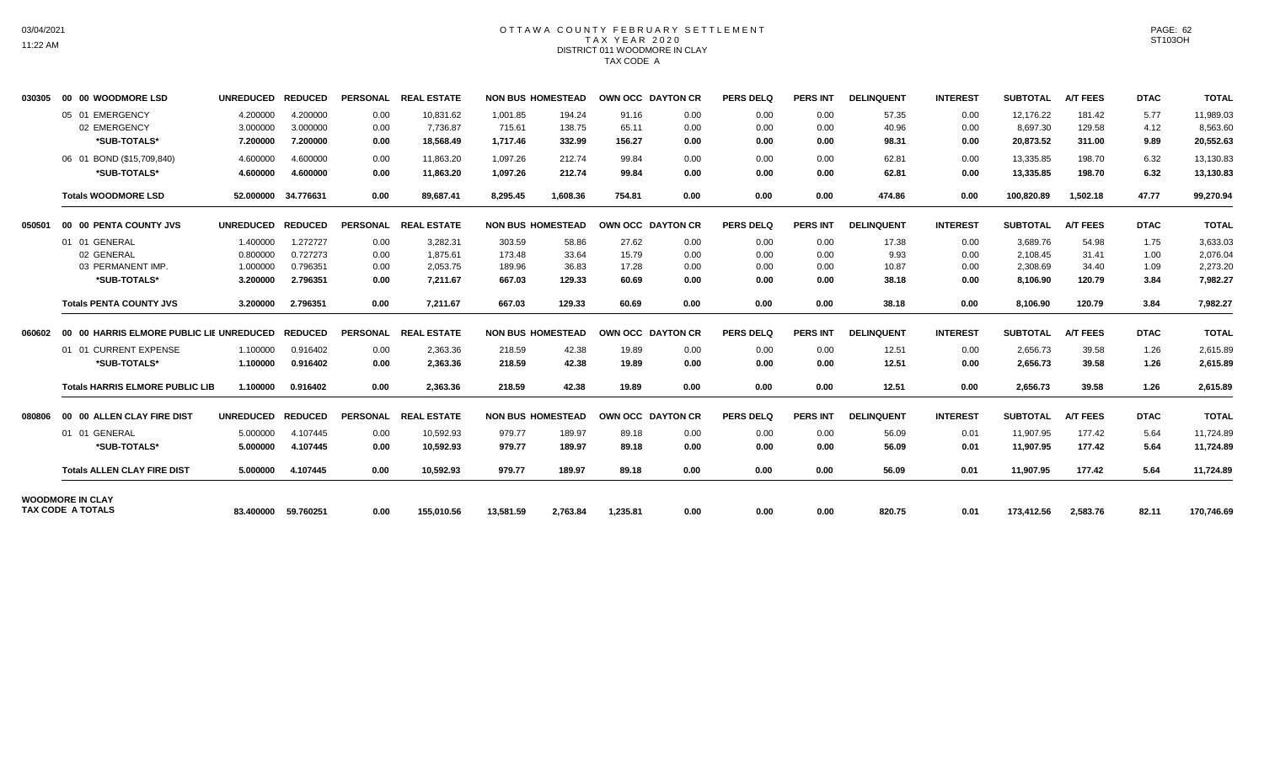#### OTTAWA COUNTY FEBRUARY SETTLEMENT TAX YEAR 2020 DISTRICT 011 WOODMORE IN CLAY TAX CODE A

| 030305 | 00 00 WOODMORE LSD                               | <b>UNREDUCED</b>     | <b>REDUCED</b>       |                 | PERSONAL REAL ESTATE  |                          | <b>NON BUS HOMESTEAD</b> | OWN OCC DAYTON CR |              | <b>PERS DELQ</b> | <b>PERS INT</b> | <b>DELINQUENT</b> | <b>INTEREST</b> | <b>SUBTOTAL</b>       | <b>A/T FEES</b>  | <b>DTAC</b>  | <b>TOTAL</b>          |
|--------|--------------------------------------------------|----------------------|----------------------|-----------------|-----------------------|--------------------------|--------------------------|-------------------|--------------|------------------|-----------------|-------------------|-----------------|-----------------------|------------------|--------------|-----------------------|
|        | 05 01 EMERGENCY<br>02 EMERGENCY                  | 4.200000<br>3.000000 | 4.200000<br>3.000000 | 0.00<br>0.00    | 10,831.62<br>7.736.87 | 1,001.85<br>715.61       | 194.24<br>138.75         | 91.16<br>65.11    | 0.00<br>0.00 | 0.00<br>0.00     | 0.00<br>0.00    | 57.35<br>40.96    | 0.00<br>0.00    | 12.176.22<br>8.697.30 | 181.42<br>129.58 | 5.77<br>4.12 | 11.989.03<br>8,563.60 |
|        | *SUB-TOTALS*                                     | 7.200000             | 7.200000             | 0.00            | 18.568.49             | 1.717.46                 | 332.99                   | 156.27            | 0.00         | 0.00             | 0.00            | 98.31             | 0.00            | 20,873.52             | 311.00           | 9.89         | 20,552.63             |
|        | 06 01 BOND (\$15,709,840)                        | 4.600000             | 4.600000             | 0.00            | 11.863.20             | 1.097.26                 | 212.74                   | 99.84             | 0.00         | 0.00             | 0.00            | 62.81             | 0.00            | 13,335.85             | 198.70           | 6.32         | 13,130.83             |
|        | *SUB-TOTALS*                                     | 4.600000             | 4.600000             | 0.00            | 11.863.20             | 1,097.26                 | 212.74                   | 99.84             | 0.00         | 0.00             | 0.00            | 62.81             | 0.00            | 13,335.85             | 198.70           | 6.32         | 13,130.83             |
|        | <b>Totals WOODMORE LSD</b>                       | 52.000000            | 34.776631            | 0.00            | 89,687.41             | 8,295.45                 | 1,608.36                 | 754.81            | 0.00         | 0.00             | 0.00            | 474.86            | 0.00            | 100,820.89            | 1,502.18         | 47.77        | 99,270.94             |
| 050501 | 00 00 PENTA COUNTY JVS                           | <b>UNREDUCED</b>     | <b>REDUCED</b>       |                 | PERSONAL REAL ESTATE  | <b>NON BUS HOMESTEAD</b> |                          | OWN OCC DAYTON CR |              | <b>PERS DELQ</b> | <b>PERS INT</b> | <b>DELINQUENT</b> | <b>INTEREST</b> | <b>SUBTOTAL</b>       | <b>A/T FEES</b>  | <b>DTAC</b>  | <b>TOTAL</b>          |
|        | 01 01 GENERAL                                    | 1.400000             | 1.272727             | 0.00            | 3,282.31              | 303.59                   | 58.86                    | 27.62             | 0.00         | 0.00             | 0.00            | 17.38             | 0.00            | 3,689.76              | 54.98            | 1.75         | 3,633.03              |
|        | 02 GENERAL                                       | 0.800000             | 0.727273             | 0.00            | 1.875.61              | 173.48                   | 33.64                    | 15.79             | 0.00         | 0.00             | 0.00            | 9.93              | 0.00            | 2,108.45              | 31.41            | 1.00         | 2.076.04              |
|        | 03 PERMANENT IMP.                                | 1.000000             | 0.796351             | 0.00            | 2,053.75              | 189.96                   | 36.83                    | 17.28             | 0.00         | 0.00             | 0.00            | 10.87             | 0.00            | 2,308.69              | 34.40            | 1.09         | 2,273.20              |
|        | *SUB-TOTALS*                                     | 3.200000             | 2.796351             | 0.00            | 7,211.67              | 667.03                   | 129.33                   | 60.69             | 0.00         | 0.00             | 0.00            | 38.18             | 0.00            | 8,106.90              | 120.79           | 3.84         | 7,982.27              |
|        | <b>Totals PENTA COUNTY JVS</b>                   | 3.200000             | 2.796351             | 0.00            | 7,211.67              | 667.03                   | 129.33                   | 60.69             | 0.00         | 0.00             | 0.00            | 38.18             | 0.00            | 8,106.90              | 120.79           | 3.84         | 7,982.27              |
| 060602 | 00 00 HARRIS ELMORE PUBLIC LIE UNREDUCED REDUCED |                      |                      | <b>PERSONAL</b> | <b>REAL ESTATE</b>    | <b>NON BUS HOMESTEAD</b> |                          | OWN OCC DAYTON CR |              | <b>PERS DELQ</b> | <b>PERS INT</b> | <b>DELINQUENT</b> | <b>INTEREST</b> | <b>SUBTOTAL</b>       | <b>A/T FEES</b>  | <b>DTAC</b>  | <b>TOTAL</b>          |
|        | 01 01 CURRENT EXPENSE                            | 1.100000             | 0.916402             | 0.00            | 2,363.36              | 218.59                   | 42.38                    | 19.89             | 0.00         | 0.00             | 0.00            | 12.51             | 0.00            | 2,656.73              | 39.58            | 1.26         | 2,615.89              |
|        | *SUB-TOTALS*                                     | 1.100000             | 0.916402             | 0.00            | 2,363.36              | 218.59                   | 42.38                    | 19.89             | 0.00         | 0.00             | 0.00            | 12.51             | 0.00            | 2,656.73              | 39.58            | 1.26         | 2,615.89              |
|        | <b>Totals HARRIS ELMORE PUBLIC LIB</b>           | 1.100000             | 0.916402             | 0.00            | 2,363.36              | 218.59                   | 42.38                    | 19.89             | 0.00         | 0.00             | 0.00            | 12.51             | 0.00            | 2,656.73              | 39.58            | 1.26         | 2,615.89              |
| 080806 | 00 00 ALLEN CLAY FIRE DIST                       | <b>UNREDUCED</b>     | <b>REDUCED</b>       |                 | PERSONAL REAL ESTATE  | <b>NON BUS HOMESTEAD</b> |                          | OWN OCC DAYTON CR |              | <b>PERS DELQ</b> | <b>PERS INT</b> | <b>DELINQUENT</b> | <b>INTEREST</b> | <b>SUBTOTAL</b>       | <b>A/T FEES</b>  | <b>DTAC</b>  | <b>TOTAL</b>          |
|        | 01 01 GENERAL                                    | 5.000000             | 4.107445             | 0.00            | 10.592.93             | 979.77                   | 189.97                   | 89.18             | 0.00         | 0.00             | 0.00            | 56.09             | 0.01            | 11.907.95             | 177.42           | 5.64         | 11,724.89             |
|        | *SUB-TOTALS*                                     | 5.000000             | 4.107445             | 0.00            | 10.592.93             | 979.77                   | 189.97                   | 89.18             | 0.00         | 0.00             | 0.00            | 56.09             | 0.01            | 11,907.95             | 177.42           | 5.64         | 11,724.89             |
|        | <b>Totals ALLEN CLAY FIRE DIST</b>               | 5.000000             | 4.107445             | 0.00            | 10,592.93             | 979.77                   | 189.97                   | 89.18             | 0.00         | 0.00             | 0.00            | 56.09             | 0.01            | 11,907.95             | 177.42           | 5.64         | 11,724.89             |
|        | <b>WOODMORE IN CLAY</b><br>TAX CODE A TOTALS     |                      | 83.400000 59.760251  | 0.00            | 155,010.56            | 13,581.59                | 2,763.84                 | 1,235.81          | 0.00         | 0.00             | 0.00            | 820.75            | 0.01            | 173,412.56            | 2,583.76         | 82.11        | 170,746.69            |
|        |                                                  |                      |                      |                 |                       |                          |                          |                   |              |                  |                 |                   |                 |                       |                  |              |                       |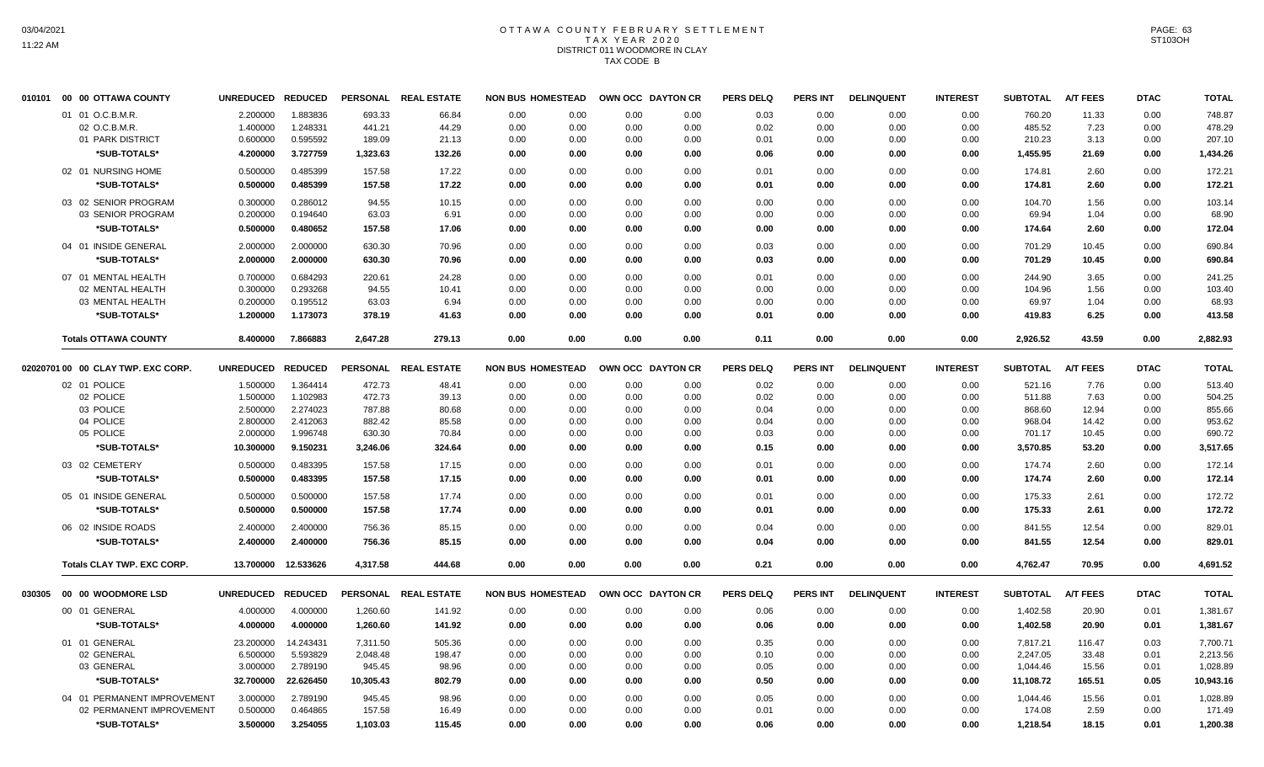# OTTAWA COUNTY FEBRUARY SETTLEMENT TAX YEAR 2020 DISTRICT 011 WOODMORE IN CLAY TAX CODE B

| 010101 | 00 00 OTTAWA COUNTY                | UNREDUCED REDUCED |                     |           | PERSONAL REAL ESTATE | <b>NON BUS HOMESTEAD</b> |      | OWN OCC DAYTON CR |      | <b>PERS DELQ</b> | <b>PERS INT</b> | <b>DELINQUENT</b> | <b>INTEREST</b> | <b>SUBTOTAL</b> | <b>A/T FEES</b> | <b>DTAC</b> | <b>TOTAL</b> |
|--------|------------------------------------|-------------------|---------------------|-----------|----------------------|--------------------------|------|-------------------|------|------------------|-----------------|-------------------|-----------------|-----------------|-----------------|-------------|--------------|
|        | 01 01 O.C.B.M.R.                   | 2.200000          | 1.883836            | 693.33    | 66.84                | 0.00                     | 0.00 | 0.00              | 0.00 | 0.03             | 0.00            | 0.00              | 0.00            | 760.20          | 11.33           | 0.00        | 748.87       |
|        | 02 O.C.B.M.R.                      | 1.400000          | 1.248331            | 441.21    | 44.29                | 0.00                     | 0.00 | 0.00              | 0.00 | 0.02             | 0.00            | 0.00              | 0.00            | 485.52          | 7.23            | 0.00        | 478.29       |
|        | 01 PARK DISTRICT                   | 0.600000          | 0.595592            | 189.09    | 21.13                | 0.00                     | 0.00 | 0.00              | 0.00 | 0.01             | 0.00            | 0.00              | 0.00            | 210.23          | 3.13            | 0.00        | 207.10       |
|        | *SUB-TOTALS*                       | 4.200000          | 3.727759            | 1,323.63  | 132.26               | 0.00                     | 0.00 | 0.00              | 0.00 | 0.06             | 0.00            | 0.00              | 0.00            | 1,455.95        | 21.69           | 0.00        | 1,434.26     |
|        | 02 01 NURSING HOME                 | 0.500000          | 0.485399            | 157.58    | 17.22                | 0.00                     | 0.00 | 0.00              | 0.00 | 0.01             | 0.00            | 0.00              | 0.00            | 174.81          | 2.60            | 0.00        | 172.21       |
|        | *SUB-TOTALS*                       | 0.500000          | 0.485399            | 157.58    | 17.22                | 0.00                     | 0.00 | 0.00              | 0.00 | 0.01             | 0.00            | 0.00              | 0.00            | 174.81          | 2.60            | 0.00        | 172.21       |
|        | 03 02 SENIOR PROGRAM               | 0.300000          | 0.286012            | 94.55     | 10.15                | 0.00                     | 0.00 | 0.00              | 0.00 | 0.00             | 0.00            | 0.00              | 0.00            | 104.70          | 1.56            | 0.00        | 103.14       |
|        | 03 SENIOR PROGRAM                  | 0.200000          | 0.194640            | 63.03     | 6.91                 | 0.00                     | 0.00 | 0.00              | 0.00 | 0.00             | 0.00            | 0.00              | 0.00            | 69.94           | 1.04            | 0.00        | 68.90        |
|        | *SUB-TOTALS*                       | 0.500000          | 0.480652            | 157.58    | 17.06                | 0.00                     | 0.00 | 0.00              | 0.00 | 0.00             | 0.00            | 0.00              | 0.00            | 174.64          | 2.60            | 0.00        | 172.04       |
|        | 04 01 INSIDE GENERAL               | 2.000000          | 2.000000            | 630.30    | 70.96                | 0.00                     | 0.00 | 0.00              | 0.00 | 0.03             | 0.00            | 0.00              | 0.00            | 701.29          | 10.45           | 0.00        | 690.84       |
|        | *SUB-TOTALS*                       | 2.000000          | 2.000000            | 630.30    | 70.96                | 0.00                     | 0.00 | 0.00              | 0.00 | 0.03             | 0.00            | 0.00              | 0.00            | 701.29          | 10.45           | 0.00        | 690.84       |
|        |                                    |                   |                     |           |                      |                          |      |                   |      |                  |                 |                   |                 |                 |                 |             |              |
|        | 07 01 MENTAL HEALTH                | 0.700000          | 0.684293            | 220.61    | 24.28                | 0.00                     | 0.00 | 0.00              | 0.00 | 0.01             | 0.00            | 0.00              | 0.00            | 244.90          | 3.65            | 0.00        | 241.25       |
|        | 02 MENTAL HEALTH                   | 0.300000          | 0.293268            | 94.55     | 10.41                | 0.00                     | 0.00 | 0.00              | 0.00 | 0.00             | 0.00            | 0.00              | 0.00            | 104.96          | 1.56            | 0.00        | 103.40       |
|        | 03 MENTAL HEALTH                   | 0.200000          | 0.195512            | 63.03     | 6.94                 | 0.00                     | 0.00 | 0.00              | 0.00 | 0.00             | 0.00            | 0.00              | 0.00            | 69.97           | 1.04            | 0.00        | 68.93        |
|        | *SUB-TOTALS*                       | 1.200000          | 1.173073            | 378.19    | 41.63                | 0.00                     | 0.00 | 0.00              | 0.00 | 0.01             | 0.00            | 0.00              | 0.00            | 419.83          | 6.25            | 0.00        | 413.58       |
|        | <b>Totals OTTAWA COUNTY</b>        | 8.400000          | 7.866883            | 2,647.28  | 279.13               | 0.00                     | 0.00 | 0.00              | 0.00 | 0.11             | 0.00            | 0.00              | 0.00            | 2,926.52        | 43.59           | 0.00        | 2,882.93     |
|        | 02020701 00 00 CLAY TWP. EXC CORP. | UNREDUCED REDUCED |                     |           | PERSONAL REAL ESTATE | <b>NON BUS HOMESTEAD</b> |      | OWN OCC DAYTON CR |      | <b>PERS DELQ</b> | <b>PERS INT</b> | <b>DELINQUENT</b> | <b>INTEREST</b> | <b>SUBTOTAL</b> | <b>A/T FEES</b> | <b>DTAC</b> | <b>TOTAL</b> |
|        | 02 01 POLICE                       | 1.500000          | 1.364414            | 472.73    | 48.41                | 0.00                     | 0.00 | 0.00              | 0.00 | 0.02             | 0.00            | 0.00              | 0.00            | 521.16          | 7.76            | 0.00        | 513.40       |
|        | 02 POLICE                          | 1.500000          | 1.102983            | 472.73    | 39.13                | 0.00                     | 0.00 | 0.00              | 0.00 | 0.02             | 0.00            | 0.00              | 0.00            | 511.88          | 7.63            | 0.00        | 504.25       |
|        | 03 POLICE                          | 2.500000          | 2.274023            | 787.88    | 80.68                | 0.00                     | 0.00 | 0.00              | 0.00 | 0.04             | 0.00            | 0.00              | 0.00            | 868.60          | 12.94           | 0.00        | 855.66       |
|        | 04 POLICE                          | 2.800000          | 2.412063            | 882.42    | 85.58                | 0.00                     | 0.00 | 0.00              | 0.00 | 0.04             | 0.00            | 0.00              | 0.00            | 968.04          | 14.42           | 0.00        | 953.62       |
|        | 05 POLICE                          | 2.000000          | 1.996748            | 630.30    | 70.84                | 0.00                     | 0.00 | 0.00              | 0.00 | 0.03             | 0.00            | 0.00              | 0.00            | 701.17          | 10.45           | 0.00        | 690.72       |
|        | *SUB-TOTALS*                       | 10.300000         | 9.150231            | 3,246.06  | 324.64               | 0.00                     | 0.00 | 0.00              | 0.00 | 0.15             | 0.00            | 0.00              | 0.00            | 3.570.85        | 53.20           | 0.00        | 3,517.65     |
|        | 03 02 CEMETERY                     | 0.500000          | 0.483395            | 157.58    | 17.15                | 0.00                     | 0.00 | 0.00              | 0.00 | 0.01             | 0.00            | 0.00              | 0.00            | 174.74          | 2.60            | 0.00        | 172.14       |
|        | *SUB-TOTALS*                       | 0.500000          | 0.483395            | 157.58    | 17.15                | 0.00                     | 0.00 | 0.00              | 0.00 | 0.01             | 0.00            | 0.00              | 0.00            | 174.74          | 2.60            | 0.00        | 172.14       |
|        | 05 01 INSIDE GENERAL               | 0.500000          | 0.500000            | 157.58    | 17.74                | 0.00                     | 0.00 | 0.00              | 0.00 | 0.01             | 0.00            | 0.00              | 0.00            | 175.33          | 2.61            | 0.00        | 172.72       |
|        | *SUB-TOTALS*                       | 0.500000          | 0.500000            | 157.58    | 17.74                | 0.00                     | 0.00 | 0.00              | 0.00 | 0.01             | 0.00            | 0.00              | 0.00            | 175.33          | 2.61            | 0.00        | 172.72       |
|        | 06 02 INSIDE ROADS                 |                   | 2.400000            | 756.36    | 85.15                |                          |      |                   | 0.00 | 0.04             | 0.00            | 0.00              | 0.00            | 841.55          | 12.54           |             |              |
|        |                                    | 2.400000          |                     |           |                      | 0.00                     | 0.00 | 0.00              |      |                  |                 |                   |                 |                 |                 | 0.00        | 829.01       |
|        | *SUB-TOTALS*                       | 2.400000          | 2.400000            | 756.36    | 85.15                | 0.00                     | 0.00 | 0.00              | 0.00 | 0.04             | 0.00            | 0.00              | 0.00            | 841.55          | 12.54           | 0.00        | 829.01       |
|        | Totals CLAY TWP. EXC CORP.         |                   | 13.700000 12.533626 | 4,317.58  | 444.68               | 0.00                     | 0.00 | 0.00              | 0.00 | 0.21             | 0.00            | 0.00              | 0.00            | 4,762.47        | 70.95           | 0.00        | 4,691.52     |
| 030305 | 00 00 WOODMORE LSD                 | UNREDUCED REDUCED |                     |           | PERSONAL REAL ESTATE | <b>NON BUS HOMESTEAD</b> |      | OWN OCC DAYTON CR |      | <b>PERS DELQ</b> | <b>PERS INT</b> | <b>DELINQUENT</b> | <b>INTEREST</b> | <b>SUBTOTAL</b> | <b>A/T FEES</b> | <b>DTAC</b> | <b>TOTAL</b> |
|        | 00 01 GENERAL                      | 4.000000          | 4.000000            | 1,260.60  | 141.92               | 0.00                     | 0.00 | 0.00              | 0.00 | 0.06             | 0.00            | 0.00              | 0.00            | 1,402.58        | 20.90           | 0.01        | 1,381.67     |
|        | *SUB-TOTALS*                       | 4.000000          | 4.000000            | 1,260.60  | 141.92               | 0.00                     | 0.00 | 0.00              | 0.00 | 0.06             | 0.00            | 0.00              | 0.00            | 1,402.58        | 20.90           | 0.01        | 1,381.67     |
|        | 01 01 GENERAL                      | 23.200000         | 14.243431           | 7,311.50  | 505.36               | 0.00                     | 0.00 | 0.00              | 0.00 | 0.35             | 0.00            | 0.00              | 0.00            | 7,817.21        | 116.47          | 0.03        | 7,700.71     |
|        | 02 GENERAL                         | 6.500000          | 5.593829            | 2,048.48  | 198.47               | 0.00                     | 0.00 | 0.00              | 0.00 | 0.10             | 0.00            | 0.00              | 0.00            | 2,247.05        | 33.48           | 0.01        | 2,213.56     |
|        | 03 GENERAL                         | 3.000000          | 2.789190            | 945.45    | 98.96                | 0.00                     | 0.00 | 0.00              | 0.00 | 0.05             | 0.00            | 0.00              | 0.00            | 1,044.46        | 15.56           | 0.01        | 1,028.89     |
|        | *SUB-TOTALS*                       | 32.700000         | 22.626450           | 10,305.43 | 802.79               | 0.00                     | 0.00 | 0.00              | 0.00 | 0.50             | 0.00            | 0.00              | 0.00            | 11,108.72       | 165.51          | 0.05        | 10,943.16    |
|        | 04 01 PERMANENT IMPROVEMENT        | 3.000000          | 2.789190            | 945.45    | 98.96                | 0.00                     | 0.00 | 0.00              | 0.00 | 0.05             | 0.00            | 0.00              | 0.00            | 1,044.46        | 15.56           | 0.01        | 1,028.89     |
|        | 02 PERMANENT IMPROVEMENT           | 0.500000          | 0.464865            | 157.58    | 16.49                | 0.00                     | 0.00 | 0.00              | 0.00 | 0.01             | 0.00            | 0.00              | 0.00            | 174.08          | 2.59            | 0.00        | 171.49       |
|        | *SUB-TOTALS*                       | 3.500000          | 3.254055            | 1,103.03  | 115.45               | 0.00                     | 0.00 | 0.00              | 0.00 | 0.06             | 0.00            | 0.00              | 0.00            | 1,218.54        | 18.15           | 0.01        | 1,200.38     |
|        |                                    |                   |                     |           |                      |                          |      |                   |      |                  |                 |                   |                 |                 |                 |             |              |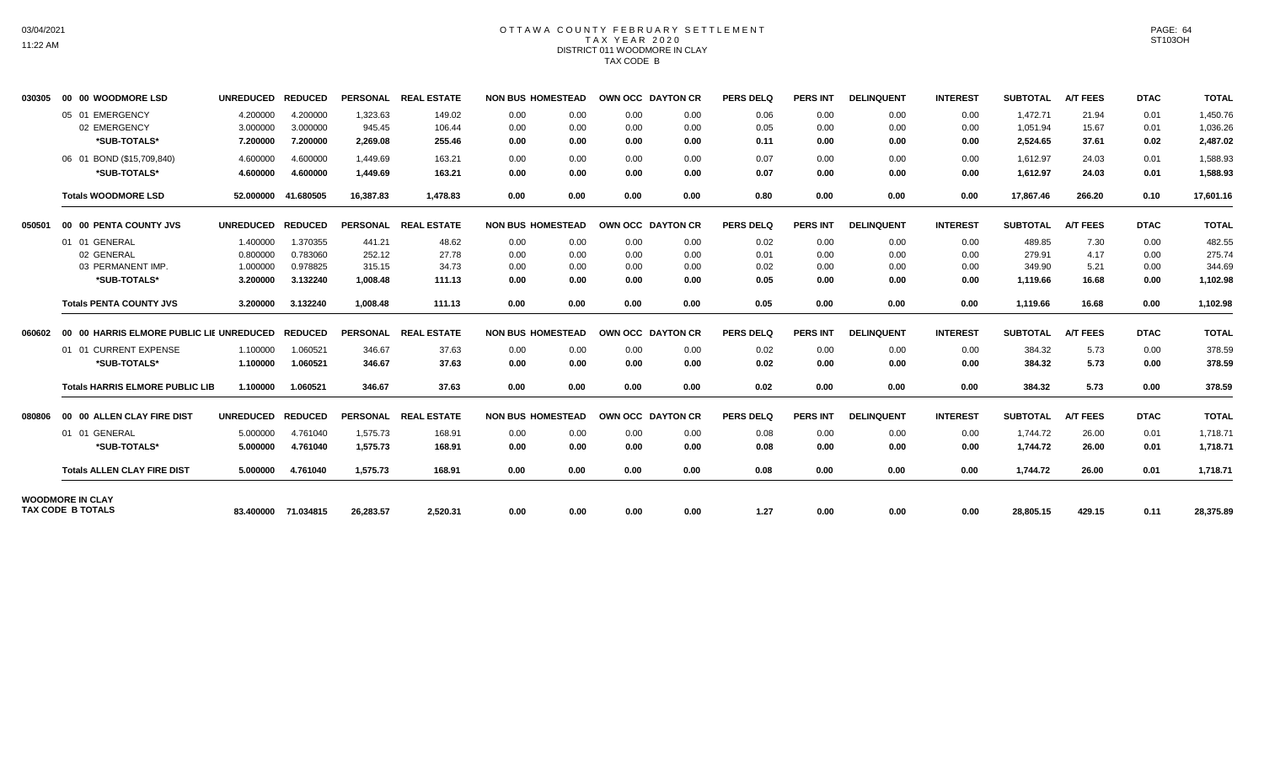#### OTTAWA COUNTY FEBRUARY SETTLEMENT TAX YEAR 2020 DISTRICT 011 WOODMORE IN CLAY TAX CODE B

| 030305 | 00 00 WOODMORE LSD                                               | <b>UNREDUCED</b>                             | <b>REDUCED</b>                               |                                        | PERSONAL REAL ESTATE              | <b>NON BUS HOMESTEAD</b>     |                              | <b>OWN OCC DAYTON CR</b>     |                              | <b>PERS DELQ</b>             | <b>PERS INT</b>              | <b>DELINQUENT</b>            | <b>INTEREST</b>              | <b>SUBTOTAL</b>                        | <b>A/T FEES</b>               | <b>DTAC</b>                  | <b>TOTAL</b>                           |
|--------|------------------------------------------------------------------|----------------------------------------------|----------------------------------------------|----------------------------------------|-----------------------------------|------------------------------|------------------------------|------------------------------|------------------------------|------------------------------|------------------------------|------------------------------|------------------------------|----------------------------------------|-------------------------------|------------------------------|----------------------------------------|
|        | 05 01 EMERGENCY<br>02 EMERGENCY<br>*SUB-TOTALS*                  | 4.200000<br>3.000000<br>7.200000             | 4.200000<br>3.000000<br>7.200000             | 1,323.63<br>945.45<br>2,269.08         | 149.02<br>106.44<br>255.46        | 0.00<br>0.00<br>0.00         | 0.00<br>0.00<br>0.00         | 0.00<br>0.00<br>0.00         | 0.00<br>0.00<br>0.00         | 0.06<br>0.05<br>0.11         | 0.00<br>0.00<br>0.00         | 0.00<br>0.00<br>0.00         | 0.00<br>0.00<br>0.00         | 1.472.71<br>1,051.94<br>2,524.65       | 21.94<br>15.67<br>37.61       | 0.01<br>0.01<br>0.02         | 1.450.76<br>1,036.26<br>2,487.02       |
|        | 06 01 BOND (\$15,709,840)<br>*SUB-TOTALS*                        | 4.600000<br>4.600000                         | 4.600000<br>4.600000                         | 1.449.69<br>1,449.69                   | 163.21<br>163.21                  | 0.00<br>0.00                 | 0.00<br>0.00                 | 0.00<br>0.00                 | 0.00<br>0.00                 | 0.07<br>0.07                 | 0.00<br>0.00                 | 0.00<br>0.00                 | 0.00<br>0.00                 | 1.612.97<br>1,612.97                   | 24.03<br>24.03                | 0.01<br>0.01                 | 1,588.93<br>1,588.93                   |
|        | <b>Totals WOODMORE LSD</b>                                       | 52.000000                                    | 41.680505                                    | 16,387.83                              | 1,478.83                          | 0.00                         | 0.00                         | 0.00                         | 0.00                         | 0.80                         | 0.00                         | 0.00                         | 0.00                         | 17,867.46                              | 266.20                        | 0.10                         | 17,601.16                              |
| 050501 | 00 00 PENTA COUNTY JVS                                           | UNREDUCED REDUCED                            |                                              |                                        | PERSONAL REAL ESTATE              | <b>NON BUS HOMESTEAD</b>     |                              | OWN OCC DAYTON CR            |                              | <b>PERS DELQ</b>             | PERS INT                     | <b>DELINQUENT</b>            | <b>INTEREST</b>              | <b>SUBTOTAL</b>                        | A/T FEES                      | <b>DTAC</b>                  | <b>TOTAL</b>                           |
|        | 01 01 GENERAL<br>02 GENERAL<br>03 PERMANENT IMP.<br>*SUB-TOTALS* | 1.400000<br>0.800000<br>1.000000<br>3.200000 | 1.370355<br>0.783060<br>0.978825<br>3.132240 | 441.21<br>252.12<br>315.15<br>1.008.48 | 48.62<br>27.78<br>34.73<br>111.13 | 0.00<br>0.00<br>0.00<br>0.00 | 0.00<br>0.00<br>0.00<br>0.00 | 0.00<br>0.00<br>0.00<br>0.00 | 0.00<br>0.00<br>0.00<br>0.00 | 0.02<br>0.01<br>0.02<br>0.05 | 0.00<br>0.00<br>0.00<br>0.00 | 0.00<br>0.00<br>0.00<br>0.00 | 0.00<br>0.00<br>0.00<br>0.00 | 489.85<br>279.91<br>349.90<br>1,119.66 | 7.30<br>4.17<br>5.21<br>16.68 | 0.00<br>0.00<br>0.00<br>0.00 | 482.55<br>275.74<br>344.69<br>1,102.98 |
|        | <b>Totals PENTA COUNTY JVS</b>                                   | 3.200000                                     | 3.132240                                     | 1,008.48                               | 111.13                            | 0.00                         | 0.00                         | 0.00                         | 0.00                         | 0.05                         | 0.00                         | 0.00                         | 0.00                         | 1,119.66                               | 16.68                         | 0.00                         | 1,102.98                               |
| 060602 | 00 00 HARRIS ELMORE PUBLIC LIE UNREDUCED REDUCED                 |                                              |                                              | <b>PERSONAL</b>                        | <b>REAL ESTATE</b>                | <b>NON BUS HOMESTEAD</b>     |                              | OWN OCC DAYTON CR            |                              | <b>PERS DELQ</b>             | <b>PERS INT</b>              | <b>DELINQUENT</b>            | <b>INTEREST</b>              | <b>SUBTOTAL</b>                        | <b>A/T FEES</b>               | <b>DTAC</b>                  | <b>TOTAL</b>                           |
|        | 01 01 CURRENT EXPENSE<br>*SUB-TOTALS*                            | 1.100000<br>1.100000                         | 1.060521<br>1.060521                         | 346.67<br>346.67                       | 37.63<br>37.63                    | 0.00<br>0.00                 | 0.00<br>0.00                 | 0.00<br>0.00                 | 0.00<br>0.00                 | 0.02<br>0.02                 | 0.00<br>0.00                 | 0.00<br>0.00                 | 0.00<br>0.00                 | 384.32<br>384.32                       | 5.73<br>5.73                  | 0.00<br>0.00                 | 378.59<br>378.59                       |
|        | <b>Totals HARRIS ELMORE PUBLIC LIB</b>                           | 1.100000                                     | 1.060521                                     | 346.67                                 | 37.63                             | 0.00                         | 0.00                         | 0.00                         | 0.00                         | 0.02                         | 0.00                         | 0.00                         | 0.00                         | 384.32                                 | 5.73                          | 0.00                         | 378.59                                 |
| 080806 | 00 00 ALLEN CLAY FIRE DIST                                       | <b>UNREDUCED</b>                             | <b>REDUCED</b>                               |                                        | PERSONAL REAL ESTATE              | <b>NON BUS HOMESTEAD</b>     |                              | OWN OCC DAYTON CR            |                              | <b>PERS DELQ</b>             | PERS INT                     | <b>DELINQUENT</b>            | <b>INTEREST</b>              | <b>SUBTOTAL</b>                        | <b>A/T FEES</b>               | <b>DTAC</b>                  | <b>TOTAL</b>                           |
|        | 01 01 GENERAL<br>*SUB-TOTALS*                                    | 5.000000<br>5.000000                         | 4.761040<br>4.761040                         | 1.575.73<br>1,575.73                   | 168.91<br>168.91                  | 0.00<br>0.00                 | 0.00<br>0.00                 | 0.00<br>0.00                 | 0.00<br>0.00                 | 0.08<br>0.08                 | 0.00<br>0.00                 | 0.00<br>0.00                 | 0.00<br>0.00                 | 1.744.72<br>1,744.72                   | 26.00<br>26.00                | 0.01<br>0.01                 | 1,718.71<br>1,718.71                   |
|        | <b>Totals ALLEN CLAY FIRE DIST</b>                               | 5.000000                                     | 4.761040                                     | 1,575.73                               | 168.91                            | 0.00                         | 0.00                         | 0.00                         | 0.00                         | 0.08                         | 0.00                         | 0.00                         | 0.00                         | 1,744.72                               | 26.00                         | 0.01                         | 1,718.71                               |
|        | <b>WOODMORE IN CLAY</b><br>TAX CODE B TOTALS                     |                                              | 83.400000 71.034815                          | 26,283.57                              | 2,520.31                          | 0.00                         | 0.00                         | 0.00                         | 0.00                         | 1.27                         | 0.00                         | 0.00                         | 0.00                         | 28,805.15                              | 429.15                        | 0.11                         | 28,375.89                              |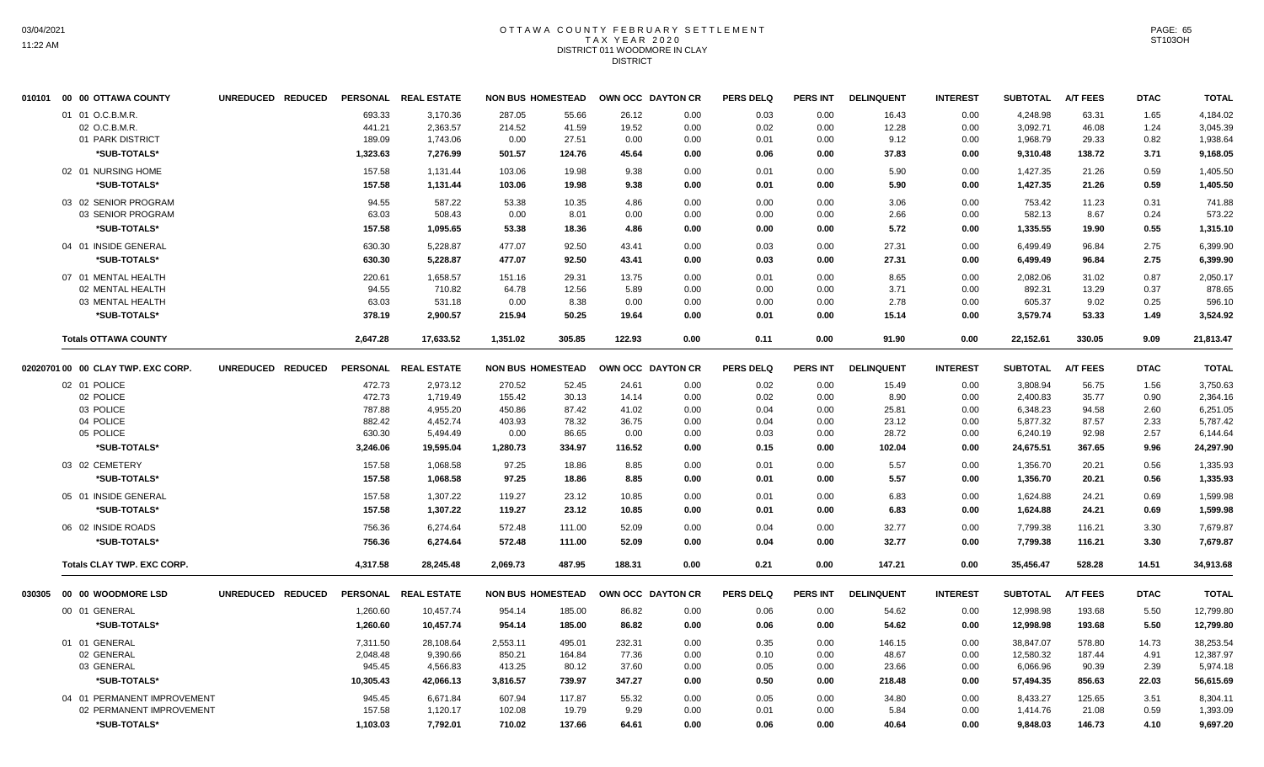# OTTAWA COUNTY FEBRUARY SETTLEMENT TAX YEAR 2020 DISTRICT 011 WOODMORE IN CLAY DISTRICT

|        | 010101 00 00 OTTAWA COUNTY         | UNREDUCED REDUCED |                  | PERSONAL REAL ESTATE |          | <b>NON BUS HOMESTEAD</b> | OWN OCC DAYTON CR |              | <b>PERS DELQ</b> | <b>PERS INT</b> | <b>DELINQUENT</b> | <b>INTEREST</b> | <b>SUBTOTAL</b> | <b>A/T FEES</b> | <b>DTAC</b>  | <b>TOTAL</b>         |
|--------|------------------------------------|-------------------|------------------|----------------------|----------|--------------------------|-------------------|--------------|------------------|-----------------|-------------------|-----------------|-----------------|-----------------|--------------|----------------------|
|        | 01 01 O.C.B.M.R.                   |                   | 693.33           | 3.170.36             | 287.05   | 55.66                    | 26.12             | 0.00         | 0.03             | 0.00            | 16.43             | 0.00            | 4.248.98        | 63.31           | 1.65         | 4,184.02             |
|        | 02 O.C.B.M.R.                      |                   | 441.21           | 2,363.57             | 214.52   | 41.59                    | 19.52             | 0.00         | 0.02             | 0.00            | 12.28             | 0.00            | 3,092.71        | 46.08           | 1.24         | 3,045.39             |
|        | 01 PARK DISTRICT                   |                   | 189.09           | 1,743.06             | 0.00     | 27.51                    | 0.00              | 0.00         | 0.01             | 0.00            | 9.12              | 0.00            | 1,968.79        | 29.33           | 0.82         | 1,938.64             |
|        | *SUB-TOTALS*                       |                   | 1,323.63         | 7,276.99             | 501.57   | 124.76                   | 45.64             | 0.00         | 0.06             | 0.00            | 37.83             | 0.00            | 9,310.48        | 138.72          | 3.71         | 9,168.05             |
|        | 02 01 NURSING HOME                 |                   | 157.58           | 1.131.44             | 103.06   | 19.98                    | 9.38              | 0.00         | 0.01             | 0.00            | 5.90              | 0.00            | 1,427.35        | 21.26           | 0.59         | 1.405.50             |
|        | *SUB-TOTALS*                       |                   | 157.58           | 1,131.44             | 103.06   | 19.98                    | 9.38              | 0.00         | 0.01             | 0.00            | 5.90              | 0.00            | 1,427.35        | 21.26           | 0.59         | 1,405.50             |
|        | 03 02 SENIOR PROGRAM               |                   | 94.55            | 587.22               | 53.38    | 10.35                    | 4.86              | 0.00         | 0.00             | 0.00            | 3.06              | 0.00            | 753.42          | 11.23           | 0.31         | 741.88               |
|        | 03 SENIOR PROGRAM                  |                   | 63.03            | 508.43               | 0.00     | 8.01                     | 0.00              | 0.00         | 0.00             | 0.00            | 2.66              | 0.00            | 582.13          | 8.67            | 0.24         | 573.22               |
|        | *SUB-TOTALS*                       |                   | 157.58           | 1,095.65             | 53.38    | 18.36                    | 4.86              | 0.00         | 0.00             | 0.00            | 5.72              | 0.00            | 1,335.55        | 19.90           | 0.55         | 1,315.10             |
|        | 04 01 INSIDE GENERAL               |                   |                  | 5,228.87             | 477.07   | 92.50                    | 43.41             |              |                  | 0.00            |                   | 0.00            | 6,499.49        | 96.84           |              |                      |
|        | *SUB-TOTALS*                       |                   | 630.30<br>630.30 | 5,228.87             | 477.07   | 92.50                    | 43.41             | 0.00<br>0.00 | 0.03<br>0.03     | 0.00            | 27.31<br>27.31    | 0.00            | 6,499.49        | 96.84           | 2.75<br>2.75 | 6,399.90<br>6,399.90 |
|        |                                    |                   |                  |                      |          |                          |                   |              |                  |                 |                   |                 |                 |                 |              |                      |
|        | 07 01 MENTAL HEALTH                |                   | 220.61           | 1,658.57             | 151.16   | 29.31                    | 13.75             | 0.00         | 0.01             | 0.00            | 8.65              | 0.00            | 2,082.06        | 31.02           | 0.87         | 2,050.17             |
|        | 02 MENTAL HEALTH                   |                   | 94.55            | 710.82               | 64.78    | 12.56                    | 5.89              | 0.00         | 0.00             | 0.00            | 3.71              | 0.00            | 892.31          | 13.29           | 0.37         | 878.65               |
|        | 03 MENTAL HEALTH                   |                   | 63.03            | 531.18               | 0.00     | 8.38                     | 0.00              | 0.00         | 0.00             | 0.00            | 2.78              | 0.00            | 605.37          | 9.02            | 0.25         | 596.10               |
|        | *SUB-TOTALS*                       |                   | 378.19           | 2.900.57             | 215.94   | 50.25                    | 19.64             | 0.00         | 0.01             | 0.00            | 15.14             | 0.00            | 3,579.74        | 53.33           | 1.49         | 3,524.92             |
|        | <b>Totals OTTAWA COUNTY</b>        |                   | 2,647.28         | 17,633.52            | 1,351.02 | 305.85                   | 122.93            | 0.00         | 0.11             | 0.00            | 91.90             | 0.00            | 22,152.61       | 330.05          | 9.09         | 21,813.47            |
|        | 02020701 00 00 CLAY TWP. EXC CORP. | UNREDUCED REDUCED |                  | PERSONAL REAL ESTATE |          | <b>NON BUS HOMESTEAD</b> | OWN OCC DAYTON CR |              | <b>PERS DELQ</b> | <b>PERS INT</b> | <b>DELINQUENT</b> | <b>INTEREST</b> | <b>SUBTOTAL</b> | <b>A/T FEES</b> | <b>DTAC</b>  | <b>TOTAL</b>         |
|        | 02 01 POLICE                       |                   | 472.73           | 2,973.12             | 270.52   | 52.45                    | 24.61             | 0.00         | 0.02             | 0.00            | 15.49             | 0.00            | 3,808.94        | 56.75           | 1.56         | 3,750.63             |
|        | 02 POLICE                          |                   | 472.73           | 1,719.49             | 155.42   | 30.13                    | 14.14             | 0.00         | 0.02             | 0.00            | 8.90              | 0.00            | 2,400.83        | 35.77           | 0.90         | 2,364.16             |
|        | 03 POLICE                          |                   | 787.88           | 4,955.20             | 450.86   | 87.42                    | 41.02             | 0.00         | 0.04             | 0.00            | 25.81             | 0.00            | 6,348.23        | 94.58           | 2.60         | 6,251.05             |
|        | 04 POLICE                          |                   | 882.42           | 4,452.74             | 403.93   | 78.32                    | 36.75             | 0.00         | 0.04             | 0.00            | 23.12             | 0.00            | 5,877.32        | 87.57           | 2.33         | 5,787.42             |
|        | 05 POLICE                          |                   | 630.30           | 5,494.49             | 0.00     | 86.65                    | 0.00              | 0.00         | 0.03             | 0.00            | 28.72             | 0.00            | 6,240.19        | 92.98           | 2.57         | 6,144.64             |
|        | *SUB-TOTALS*                       |                   | 3,246.06         | 19,595.04            | 1,280.73 | 334.97                   | 116.52            | 0.00         | 0.15             | 0.00            | 102.04            | 0.00            | 24,675.51       | 367.65          | 9.96         | 24,297.90            |
|        | 03 02 CEMETERY                     |                   | 157.58           | 1,068.58             | 97.25    | 18.86                    | 8.85              | 0.00         | 0.01             | 0.00            | 5.57              | 0.00            | 1,356.70        | 20.21           | 0.56         | 1,335.93             |
|        | *SUB-TOTALS*                       |                   | 157.58           | 1.068.58             | 97.25    | 18.86                    | 8.85              | 0.00         | 0.01             | 0.00            | 5.57              | 0.00            | 1,356.70        | 20.21           | 0.56         | 1.335.93             |
|        | 05 01 INSIDE GENERAL               |                   | 157.58           | 1,307.22             | 119.27   | 23.12                    | 10.85             | 0.00         | 0.01             | 0.00            | 6.83              | 0.00            | 1,624.88        | 24.21           | 0.69         | 1,599.98             |
|        | *SUB-TOTALS*                       |                   | 157.58           | 1,307.22             | 119.27   | 23.12                    | 10.85             | 0.00         | 0.01             | 0.00            | 6.83              | 0.00            | 1,624.88        | 24.21           | 0.69         | 1,599.98             |
|        | 06 02 INSIDE ROADS                 |                   | 756.36           | 6,274.64             | 572.48   | 111.00                   | 52.09             | 0.00         | 0.04             | 0.00            | 32.77             | 0.00            | 7,799.38        | 116.21          | 3.30         | 7,679.87             |
|        | *SUB-TOTALS*                       |                   | 756.36           | 6,274.64             | 572.48   | 111.00                   | 52.09             | 0.00         | 0.04             | 0.00            | 32.77             | 0.00            | 7,799.38        | 116.21          | 3.30         | 7,679.87             |
|        | <b>Totals CLAY TWP. EXC CORP.</b>  |                   | 4,317.58         | 28,245.48            | 2,069.73 | 487.95                   | 188.31            | 0.00         | 0.21             | 0.00            | 147.21            | 0.00            | 35,456.47       | 528.28          | 14.51        | 34,913.68            |
|        |                                    |                   |                  |                      |          |                          |                   |              |                  |                 |                   |                 |                 |                 |              |                      |
| 030305 | 00 00 WOODMORE LSD                 | UNREDUCED REDUCED |                  | PERSONAL REAL ESTATE |          | <b>NON BUS HOMESTEAD</b> | OWN OCC DAYTON CR |              | <b>PERS DELQ</b> | <b>PERS INT</b> | <b>DELINQUENT</b> | <b>INTEREST</b> | <b>SUBTOTAL</b> | <b>A/T FEES</b> | <b>DTAC</b>  | <b>TOTAL</b>         |
|        | 00 01 GENERAL                      |                   | 1,260.60         | 10,457.74            | 954.14   | 185.00                   | 86.82             | 0.00         | 0.06             | 0.00            | 54.62             | 0.00            | 12,998.98       | 193.68          | 5.50         | 12,799.80            |
|        | *SUB-TOTALS*                       |                   | 1,260.60         | 10,457.74            | 954.14   | 185.00                   | 86.82             | 0.00         | 0.06             | 0.00            | 54.62             | 0.00            | 12,998.98       | 193.68          | 5.50         | 12,799.80            |
|        | 01 01 GENERAL                      |                   | 7,311.50         | 28,108.64            | 2,553.11 | 495.01                   | 232.31            | 0.00         | 0.35             | 0.00            | 146.15            | 0.00            | 38,847.07       | 578.80          | 14.73        | 38,253.54            |
|        | 02 GENERAL                         |                   | 2,048.48         | 9,390.66             | 850.21   | 164.84                   | 77.36             | 0.00         | 0.10             | 0.00            | 48.67             | 0.00            | 12,580.32       | 187.44          | 4.91         | 12,387.97            |
|        | 03 GENERAL                         |                   | 945.45           | 4,566.83             | 413.25   | 80.12                    | 37.60             | 0.00         | 0.05             | 0.00            | 23.66             | 0.00            | 6,066.96        | 90.39           | 2.39         | 5,974.18             |
|        | *SUB-TOTALS*                       |                   | 10,305.43        | 42,066.13            | 3,816.57 | 739.97                   | 347.27            | 0.00         | 0.50             | 0.00            | 218.48            | 0.00            | 57,494.35       | 856.63          | 22.03        | 56,615.69            |
|        | 04 01 PERMANENT IMPROVEMENT        |                   | 945.45           | 6,671.84             | 607.94   | 117.87                   | 55.32             | 0.00         | 0.05             | 0.00            | 34.80             | 0.00            | 8,433.27        | 125.65          | 3.51         | 8,304.11             |
|        | 02 PERMANENT IMPROVEMENT           |                   | 157.58           | 1,120.17             | 102.08   | 19.79                    | 9.29              | 0.00         | 0.01             | 0.00            | 5.84              | 0.00            | 1,414.76        | 21.08           | 0.59         | 1,393.09             |
|        | *SUB-TOTALS*                       |                   | 1.103.03         | 7.792.01             | 710.02   | 137.66                   | 64.61             | 0.00         | 0.06             | 0.00            | 40.64             | 0.00            | 9.848.03        | 146.73          | 4.10         | 9,697.20             |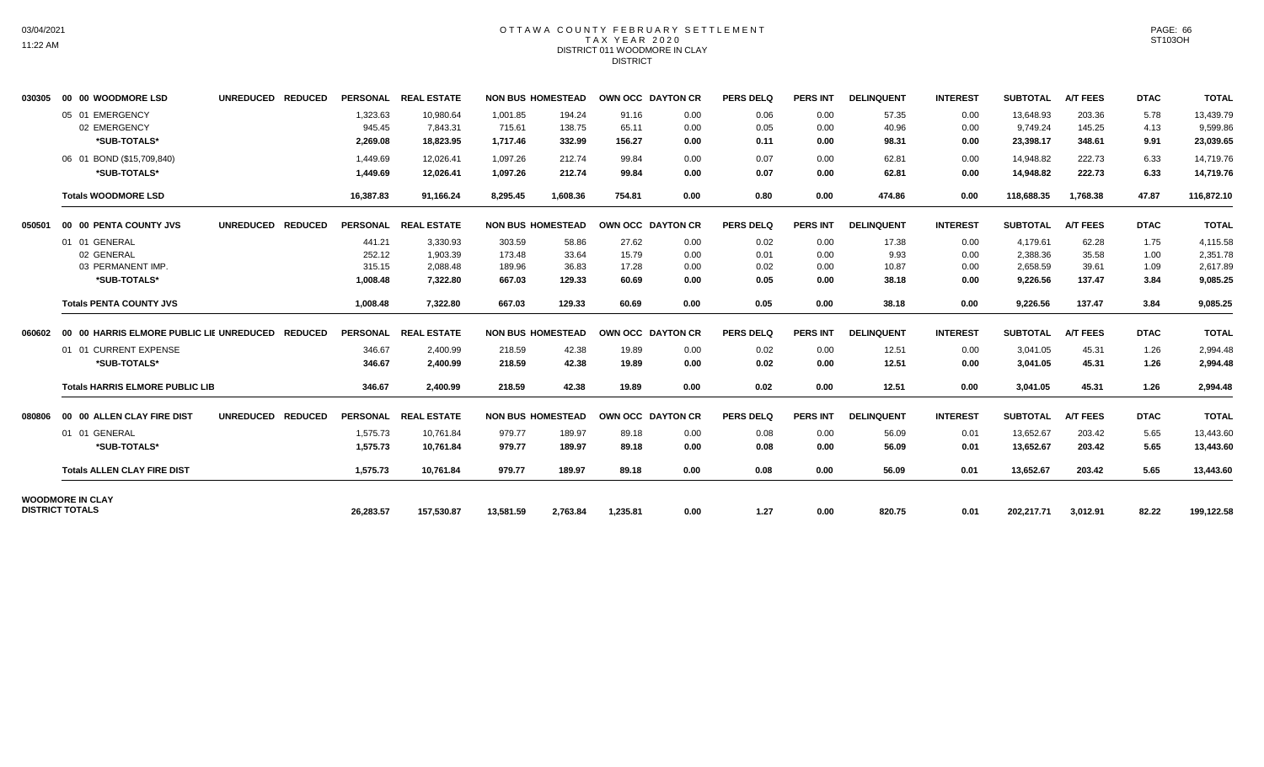# OTTAWA COUNTY FEBRUARY SETTLEMENT TAX YEAR 2020 DISTRICT 011 WOODMORE IN CLAY DISTRICT

| 030305 | 00 00 WOODMORE LSD                                               | UNREDUCED REDUCED |                                        | PERSONAL REAL ESTATE                         |                                      | <b>NON BUS HOMESTEAD</b>          | OWN OCC DAYTON CR                |                              | <b>PERS DELQ</b>             | <b>PERS INT</b>              | <b>DELINQUENT</b>               | <b>INTEREST</b>              | <b>SUBTOTAL</b>                              | <b>A/T FEES</b>                   | <b>DTAC</b>                  | <b>TOTAL</b>                                 |
|--------|------------------------------------------------------------------|-------------------|----------------------------------------|----------------------------------------------|--------------------------------------|-----------------------------------|----------------------------------|------------------------------|------------------------------|------------------------------|---------------------------------|------------------------------|----------------------------------------------|-----------------------------------|------------------------------|----------------------------------------------|
|        | 05 01 EMERGENCY<br>02 EMERGENCY<br>*SUB-TOTALS*                  |                   | 1,323.63<br>945.45<br>2,269.08         | 10,980.64<br>7,843.31<br>18.823.95           | 1,001.85<br>715.61<br>1.717.46       | 194.24<br>138.75<br>332.99        | 91.16<br>65.11<br>156.27         | 0.00<br>0.00<br>0.00         | 0.06<br>0.05<br>0.11         | 0.00<br>0.00<br>0.00         | 57.35<br>40.96<br>98.31         | 0.00<br>0.00<br>0.00         | 13.648.93<br>9,749.24<br>23.398.17           | 203.36<br>145.25<br>348.61        | 5.78<br>4.13<br>9.91         | 13,439.79<br>9,599.86<br>23,039.65           |
|        | 06 01 BOND (\$15,709,840)<br>*SUB-TOTALS*                        |                   | 1.449.69<br>1,449.69                   | 12.026.41<br>12.026.41                       | 1.097.26<br>1,097.26                 | 212.74<br>212.74                  | 99.84<br>99.84                   | 0.00<br>0.00                 | 0.07<br>0.07                 | 0.00<br>0.00                 | 62.81<br>62.81                  | 0.00<br>0.00                 | 14.948.82<br>14,948.82                       | 222.73<br>222.73                  | 6.33<br>6.33                 | 14,719.76<br>14,719.76                       |
|        | <b>Totals WOODMORE LSD</b>                                       |                   | 16,387.83                              | 91.166.24                                    | 8.295.45                             | 1.608.36                          | 754.81                           | 0.00                         | 0.80                         | 0.00                         | 474.86                          | 0.00                         | 118,688,35                                   | 1.768.38                          | 47.87                        | 116,872.10                                   |
| 050501 | 00 00 PENTA COUNTY JVS                                           | UNREDUCED REDUCED |                                        | PERSONAL REAL ESTATE                         |                                      | <b>NON BUS HOMESTEAD</b>          | OWN OCC DAYTON CR                |                              | <b>PERS DELQ</b>             | <b>PERS INT</b>              | <b>DELINQUENT</b>               | <b>INTEREST</b>              | <b>SUBTOTAL</b>                              | <b>A/T FEES</b>                   | <b>DTAC</b>                  | <b>TOTAL</b>                                 |
|        | 01 01 GENERAL<br>02 GENERAL<br>03 PERMANENT IMP.<br>*SUB-TOTALS* |                   | 441.21<br>252.12<br>315.15<br>1,008.48 | 3,330.93<br>1,903.39<br>2,088.48<br>7,322.80 | 303.59<br>173.48<br>189.96<br>667.03 | 58.86<br>33.64<br>36.83<br>129.33 | 27.62<br>15.79<br>17.28<br>60.69 | 0.00<br>0.00<br>0.00<br>0.00 | 0.02<br>0.01<br>0.02<br>0.05 | 0.00<br>0.00<br>0.00<br>0.00 | 17.38<br>9.93<br>10.87<br>38.18 | 0.00<br>0.00<br>0.00<br>0.00 | 4,179.61<br>2,388.36<br>2,658.59<br>9,226.56 | 62.28<br>35.58<br>39.61<br>137.47 | 1.75<br>1.00<br>1.09<br>3.84 | 4,115.58<br>2,351.78<br>2,617.89<br>9,085.25 |
|        | <b>Totals PENTA COUNTY JVS</b>                                   |                   | 1,008.48                               | 7,322.80                                     | 667.03                               | 129.33                            | 60.69                            | 0.00                         | 0.05                         | 0.00                         | 38.18                           | 0.00                         | 9,226.56                                     | 137.47                            | 3.84                         | 9,085.25                                     |
| 060602 | 00 00 HARRIS ELMORE PUBLIC LIE UNREDUCED REDUCED                 |                   |                                        | PERSONAL REAL ESTATE                         | <b>NON BUS HOMESTEAD</b>             |                                   | OWN OCC DAYTON CR                |                              | <b>PERS DELQ</b>             | <b>PERS INT</b>              | <b>DELINQUENT</b>               | <b>INTEREST</b>              | <b>SUBTOTAL</b>                              | <b>A/T FEES</b>                   | <b>DTAC</b>                  | <b>TOTAL</b>                                 |
|        | 01 01 CURRENT EXPENSE<br>*SUB-TOTALS*                            |                   | 346.67<br>346.67                       | 2,400.99<br>2,400.99                         | 218.59<br>218.59                     | 42.38<br>42.38                    | 19.89<br>19.89                   | 0.00<br>0.00                 | 0.02<br>0.02                 | 0.00<br>0.00                 | 12.51<br>12.51                  | 0.00<br>0.00                 | 3,041.05<br>3,041.05                         | 45.31<br>45.31                    | 1.26<br>1.26                 | 2,994.48<br>2,994.48                         |
|        | <b>Totals HARRIS ELMORE PUBLIC LIB</b>                           |                   | 346.67                                 | 2,400.99                                     | 218.59                               | 42.38                             | 19.89                            | 0.00                         | 0.02                         | 0.00                         | 12.51                           | 0.00                         | 3.041.05                                     | 45.31                             | 1.26                         | 2,994.48                                     |
| 080806 | 00 00 ALLEN CLAY FIRE DIST                                       | UNREDUCED REDUCED |                                        | PERSONAL REAL ESTATE                         |                                      | <b>NON BUS HOMESTEAD</b>          | OWN OCC DAYTON CR                |                              | <b>PERS DELQ</b>             | <b>PERS INT</b>              | <b>DELINQUENT</b>               | <b>INTEREST</b>              | <b>SUBTOTAL</b>                              | <b>A/T FEES</b>                   | <b>DTAC</b>                  | <b>TOTAL</b>                                 |
|        | 01 01 GENERAL<br>*SUB-TOTALS*                                    |                   | 1.575.73<br>1,575.73                   | 10.761.84<br>10,761.84                       | 979.77<br>979.77                     | 189.97<br>189.97                  | 89.18<br>89.18                   | 0.00<br>0.00                 | 0.08<br>0.08                 | 0.00<br>0.00                 | 56.09<br>56.09                  | 0.01<br>0.01                 | 13,652.67<br>13,652.67                       | 203.42<br>203.42                  | 5.65<br>5.65                 | 13,443.60<br>13,443.60                       |
|        | <b>Totals ALLEN CLAY FIRE DIST</b>                               |                   | 1.575.73                               | 10.761.84                                    | 979.77                               | 189.97                            | 89.18                            | 0.00                         | 0.08                         | 0.00                         | 56.09                           | 0.01                         | 13,652.67                                    | 203.42                            | 5.65                         | 13.443.60                                    |
|        | <b>WOODMORE IN CLAY</b><br><b>DISTRICT TOTALS</b>                |                   | 26,283.57                              | 157,530.87                                   | 13,581.59                            | 2,763.84                          | 1,235.81                         | 0.00                         | 1.27                         | 0.00                         | 820.75                          | 0.01                         | 202,217.71                                   | 3,012.91                          | 82.22                        | 199,122.58                                   |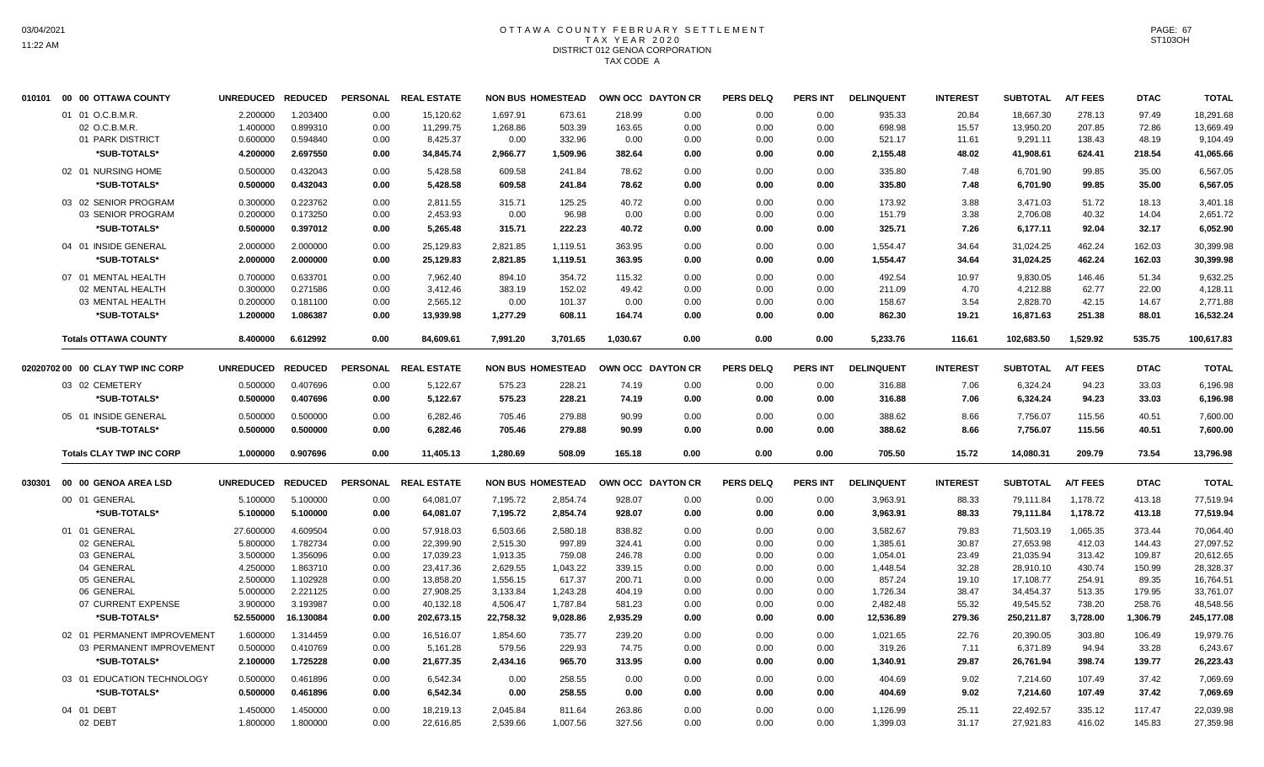#### OTTAWA COUNTY FEBRUARY SETTLEMENT T A X Y E A R 2 0 2 0 DISTRICT 012 GENOA CORPORATION TAX CODE A

|        | 010101 00 00 OTTAWA COUNTY       | <b>UNREDUCED</b> | <b>REDUCED</b> | <b>PERSONAL</b> | <b>REAL ESTATE</b>   | <b>NON BUS HOMESTEAD</b> |          |          | OWN OCC DAYTON CR | <b>PERS DELQ</b> | <b>PERS INT</b> | <b>DELINQUENT</b> | <b>INTEREST</b> | <b>SUBTOTAL</b> | <b>A/T FEES</b> | <b>DTAC</b> | <b>TOTAL</b> |
|--------|----------------------------------|------------------|----------------|-----------------|----------------------|--------------------------|----------|----------|-------------------|------------------|-----------------|-------------------|-----------------|-----------------|-----------------|-------------|--------------|
|        | 01 01 O.C.B.M.R.                 | 2.200000         | 1.203400       | 0.00            | 15,120.62            | 1.697.91                 | 673.61   | 218.99   | 0.00              | 0.00             | 0.00            | 935.33            | 20.84           | 18,667.30       | 278.13          | 97.49       | 18,291.68    |
|        | 02 O.C.B.M.R.                    | 1.400000         | 0.899310       | 0.00            | 11,299.75            | 1,268.86                 | 503.39   | 163.65   | 0.00              | 0.00             | 0.00            | 698.98            | 15.57           | 13,950.20       | 207.85          | 72.86       | 13,669.49    |
|        | 01 PARK DISTRICT                 | 0.600000         | 0.594840       | 0.00            | 8,425.37             | 0.00                     | 332.96   | 0.00     | 0.00              | 0.00             | 0.00            | 521.17            | 11.61           | 9,291.11        | 138.43          | 48.19       | 9,104.49     |
|        | *SUB-TOTALS*                     | 4.200000         | 2.697550       | 0.00            | 34,845.74            | 2,966.77                 | 1,509.96 | 382.64   | 0.00              | 0.00             | 0.00            | 2,155.48          | 48.02           | 41,908.61       | 624.41          | 218.54      | 41,065.66    |
|        | 02 01 NURSING HOME               | 0.500000         | 0.432043       | 0.00            | 5,428.58             | 609.58                   | 241.84   | 78.62    | 0.00              | 0.00             | 0.00            | 335.80            | 7.48            | 6.701.90        | 99.85           | 35.00       | 6,567.05     |
|        | *SUB-TOTALS*                     | 0.500000         | 0.432043       | 0.00            | 5,428.58             | 609.58                   | 241.84   | 78.62    | 0.00              | 0.00             | 0.00            | 335.80            | 7.48            | 6,701.90        | 99.85           | 35.00       | 6,567.05     |
|        | 03 02 SENIOR PROGRAM             | 0.300000         | 0.223762       | 0.00            | 2,811.55             | 315.71                   | 125.25   | 40.72    | 0.00              | 0.00             | 0.00            | 173.92            | 3.88            | 3,471.03        | 51.72           | 18.13       | 3,401.18     |
|        | 03 SENIOR PROGRAM                | 0.200000         | 0.173250       | 0.00            | 2,453.93             | 0.00                     | 96.98    | 0.00     | 0.00              | 0.00             | 0.00            | 151.79            | 3.38            | 2,706.08        | 40.32           | 14.04       | 2,651.72     |
|        | *SUB-TOTALS*                     | 0.500000         | 0.397012       | 0.00            | 5,265.48             | 315.71                   | 222.23   | 40.72    | 0.00              | 0.00             | 0.00            | 325.71            | 7.26            | 6,177.11        | 92.04           | 32.17       | 6,052.90     |
|        | 04 01 INSIDE GENERAL             | 2.000000         | 2.000000       | 0.00            | 25,129.83            | 2,821.85                 | 1,119.51 | 363.95   | 0.00              | 0.00             | 0.00            | 1,554.47          | 34.64           | 31,024.25       | 462.24          | 162.03      | 30,399.98    |
|        | *SUB-TOTALS*                     | 2.000000         | 2.000000       | 0.00            | 25,129.83            | 2,821.85                 | 1,119.51 | 363.95   | 0.00              | 0.00             | 0.00            | 1,554.47          | 34.64           | 31,024.25       | 462.24          | 162.03      | 30,399.98    |
|        | 07 01 MENTAL HEALTH              | 0.700000         | 0.633701       | 0.00            | 7.962.40             | 894.10                   | 354.72   | 115.32   | 0.00              | 0.00             | 0.00            | 492.54            | 10.97           | 9.830.05        | 146.46          | 51.34       | 9,632.25     |
|        | 02 MENTAL HEALTH                 | 0.300000         | 0.271586       | 0.00            | 3,412.46             | 383.19                   | 152.02   | 49.42    | 0.00              | 0.00             | 0.00            | 211.09            | 4.70            | 4,212.88        | 62.77           | 22.00       | 4,128.11     |
|        | 03 MENTAL HEALTH                 | 0.200000         | 0.181100       | 0.00            | 2,565.12             | 0.00                     | 101.37   | 0.00     | 0.00              | 0.00             | 0.00            | 158.67            | 3.54            | 2,828.70        | 42.15           | 14.67       | 2,771.88     |
|        | *SUB-TOTALS*                     | 1.200000         | 1.086387       | 0.00            | 13,939.98            | 1,277.29                 | 608.11   | 164.74   | 0.00              | 0.00             | 0.00            | 862.30            | 19.21           | 16,871.63       | 251.38          | 88.01       | 16,532.24    |
|        | <b>Totals OTTAWA COUNTY</b>      | 8.400000         | 6.612992       | 0.00            | 84,609.61            | 7,991.20                 | 3,701.65 | 1,030.67 | 0.00              | 0.00             | 0.00            | 5,233.76          | 116.61          | 102,683.50      | 1,529.92        | 535.75      | 100,617.83   |
|        | 02020702 00 00 CLAY TWP INC CORP | <b>UNREDUCED</b> | <b>REDUCED</b> |                 | PERSONAL REAL ESTATE | <b>NON BUS HOMESTEAD</b> |          |          | OWN OCC DAYTON CR | <b>PERS DELQ</b> | <b>PERS INT</b> | <b>DELINQUENT</b> | <b>INTEREST</b> | <b>SUBTOTAL</b> | <b>A/T FEES</b> | <b>DTAC</b> | <b>TOTAL</b> |
|        | 03 02 CEMETERY                   | 0.500000         | 0.407696       | 0.00            | 5,122.67             | 575.23                   | 228.21   | 74.19    | 0.00              | 0.00             | 0.00            | 316.88            | 7.06            | 6,324.24        | 94.23           | 33.03       | 6,196.98     |
|        | *SUB-TOTALS*                     | 0.500000         | 0.407696       | 0.00            | 5,122.67             | 575.23                   | 228.21   | 74.19    | 0.00              | 0.00             | 0.00            | 316.88            | 7.06            | 6,324.24        | 94.23           | 33.03       | 6,196.98     |
|        |                                  |                  |                |                 |                      |                          |          |          |                   |                  |                 |                   |                 |                 |                 |             |              |
|        | 05 01 INSIDE GENERAL             | 0.500000         | 0.500000       | 0.00            | 6,282.46             | 705.46                   | 279.88   | 90.99    | 0.00              | 0.00             | 0.00            | 388.62            | 8.66            | 7,756.07        | 115.56          | 40.51       | 7,600.00     |
|        | *SUB-TOTALS*                     | 0.500000         | 0.500000       | 0.00            | 6,282.46             | 705.46                   | 279.88   | 90.99    | 0.00              | 0.00             | 0.00            | 388.62            | 8.66            | 7,756.07        | 115.56          | 40.51       | 7,600.00     |
|        | <b>Totals CLAY TWP INC CORP</b>  | 1.000000         | 0.907696       | 0.00            | 11.405.13            | 1.280.69                 | 508.09   | 165.18   | 0.00              | 0.00             | 0.00            | 705.50            | 15.72           | 14,080.31       | 209.79          | 73.54       | 13,796.98    |
| 030301 | 00 00 GENOA AREA LSD             | <b>UNREDUCED</b> | <b>REDUCED</b> | <b>PERSONAL</b> | <b>REAL ESTATE</b>   | <b>NON BUS HOMESTEAD</b> |          |          | OWN OCC DAYTON CR | <b>PERS DELQ</b> | <b>PERS INT</b> | <b>DELINQUENT</b> | <b>INTEREST</b> | <b>SUBTOTAL</b> | <b>A/T FEES</b> | <b>DTAC</b> | <b>TOTAL</b> |
|        | 00 01 GENERAL                    | 5.100000         | 5.100000       | 0.00            | 64,081.07            | 7,195.72                 | 2.854.74 | 928.07   | 0.00              | 0.00             | 0.00            | 3,963.91          | 88.33           | 79.111.84       | 1.178.72        | 413.18      | 77,519.94    |
|        | *SUB-TOTALS*                     | 5.100000         | 5.100000       | 0.00            | 64,081.07            | 7,195.72                 | 2,854.74 | 928.07   | 0.00              | 0.00             | 0.00            | 3,963.91          | 88.33           | 79,111.84       | 1,178.72        | 413.18      | 77,519.94    |
|        | 01 01 GENERAL                    | 27.600000        | 4.609504       | 0.00            | 57,918.03            | 6,503.66                 | 2,580.18 | 838.82   | 0.00              | 0.00             | 0.00            | 3.582.67          | 79.83           | 71,503.19       | 1,065.35        | 373.44      | 70,064.40    |
|        | 02 GENERAL                       | 5.800000         | 1.782734       | 0.00            | 22,399.90            | 2,515.30                 | 997.89   | 324.41   | 0.00              | 0.00             | 0.00            | 1,385.61          | 30.87           | 27,653.98       | 412.03          | 144.43      | 27,097.52    |
|        | 03 GENERAL                       | 3.500000         | 1.356096       | 0.00            | 17,039.23            | 1,913.35                 | 759.08   | 246.78   | 0.00              | 0.00             | 0.00            | 1,054.01          | 23.49           | 21,035.94       | 313.42          | 109.87      | 20,612.65    |
|        | 04 GENERAL                       | 4.250000         | 1.863710       | 0.00            | 23,417.36            | 2,629.55                 | 1,043.22 | 339.15   | 0.00              | 0.00             | 0.00            | 1,448.54          | 32.28           | 28,910.10       | 430.74          | 150.99      | 28,328.37    |
|        | 05 GENERAL                       | 2.500000         | 1.102928       | 0.00            | 13,858.20            | 1,556.15                 | 617.37   | 200.71   | 0.00              | 0.00             | 0.00            | 857.24            | 19.10           | 17,108.77       | 254.91          | 89.35       | 16,764.51    |
|        | 06 GENERAL                       | 5.000000         | 2.221125       | 0.00            | 27,908.25            | 3,133.84                 | 1,243.28 | 404.19   | 0.00              | 0.00             | 0.00            | 1,726.34          | 38.47           | 34,454.37       | 513.35          | 179.95      | 33,761.07    |
|        | 07 CURRENT EXPENSE               | 3.900000         | 3.193987       | 0.00            | 40,132.18            | 4,506.47                 | 1,787.84 | 581.23   | 0.00              | 0.00             | 0.00            | 2,482.48          | 55.32           | 49,545.52       | 738.20          | 258.76      | 48,548.56    |
|        | *SUB-TOTALS*                     | 52.550000        | 16.130084      | 0.00            | 202.673.15           | 22,758.32                | 9.028.86 | 2.935.29 | 0.00              | 0.00             | 0.00            | 12,536.89         | 279.36          | 250,211.87      | 3.728.00        | 1,306.79    | 245,177.08   |
|        | 02 01 PERMANENT IMPROVEMENT      | 1.600000         | 1.314459       | 0.00            | 16,516.07            | 1,854.60                 | 735.77   | 239.20   | 0.00              | 0.00             | 0.00            | 1,021.65          | 22.76           | 20,390.05       | 303.80          | 106.49      | 19,979.76    |
|        | 03 PERMANENT IMPROVEMENT         | 0.500000         | 0.410769       | 0.00            | 5,161.28             | 579.56                   | 229.93   | 74.75    | 0.00              | 0.00             | 0.00            | 319.26            | 7.11            | 6,371.89        | 94.94           | 33.28       | 6,243.67     |
|        | *SUB-TOTALS*                     | 2.100000         | 1.725228       | 0.00            | 21,677.35            | 2,434.16                 | 965.70   | 313.95   | 0.00              | 0.00             | 0.00            | 1,340.91          | 29.87           | 26,761.94       | 398.74          | 139.77      | 26,223.43    |
|        | 03 01 EDUCATION TECHNOLOGY       | 0.500000         | 0.461896       | 0.00            | 6,542.34             | 0.00                     | 258.55   | 0.00     | 0.00              | 0.00             | 0.00            | 404.69            | 9.02            | 7,214.60        | 107.49          | 37.42       | 7,069.69     |
|        | *SUB-TOTALS*                     | 0.500000         | 0.461896       | 0.00            | 6,542.34             | 0.00                     | 258.55   | 0.00     | 0.00              | 0.00             | 0.00            | 404.69            | 9.02            | 7,214.60        | 107.49          | 37.42       | 7,069.69     |
|        | 04 01 DEBT                       | 1.450000         | 1.450000       | 0.00            | 18,219.13            | 2,045.84                 | 811.64   | 263.86   | 0.00              | 0.00             | 0.00            | 1,126.99          | 25.11           | 22,492.57       | 335.12          | 117.47      | 22,039.98    |
|        | 02 DEBT                          | 1.800000         | 1.800000       | 0.00            | 22,616.85            | 2,539.66                 | 1,007.56 | 327.56   | 0.00              | 0.00             | 0.00            | 1.399.03          | 31.17           | 27,921.83       | 416.02          | 145.83      | 27,359.98    |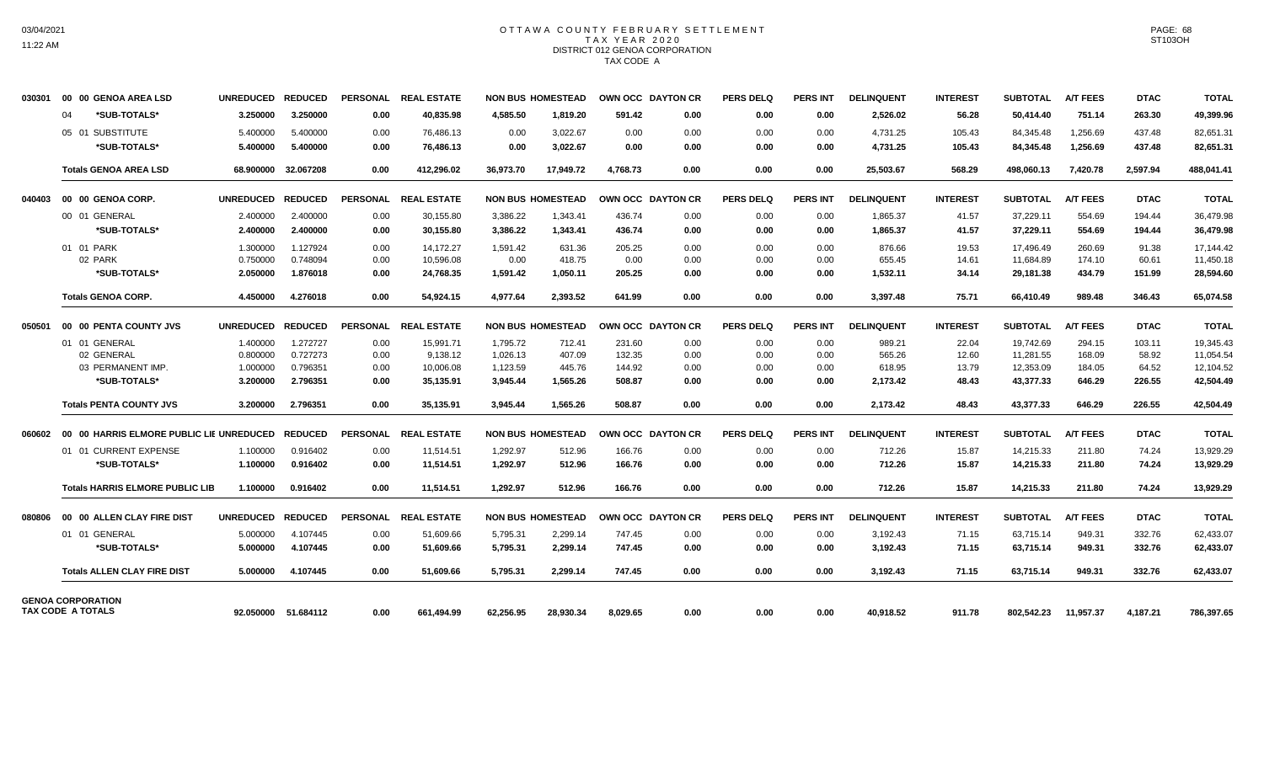### OTTAWA COUNTY FEBRUARY SETTLEMENT TAX YEAR 2020 DISTRICT 012 GENOA CORPORATION TAX CODE A

| 030301 | 00 00 GENOA AREA LSD                     | <b>UNREDUCED</b> | <b>REDUCED</b>      |                 | PERSONAL REAL ESTATE |           | <b>NON BUS HOMESTEAD</b> |          | OWN OCC DAYTON CR | <b>PERS DELQ</b> | <b>PERS INT</b> | <b>DELINQUENT</b> | <b>INTEREST</b> | <b>SUBTOTAL</b> | <b>A/T FEES</b> | <b>DTAC</b> | <b>TOTAL</b> |
|--------|------------------------------------------|------------------|---------------------|-----------------|----------------------|-----------|--------------------------|----------|-------------------|------------------|-----------------|-------------------|-----------------|-----------------|-----------------|-------------|--------------|
|        | *SUB-TOTALS*<br>04                       | 3.250000         | 3.250000            | 0.00            | 40.835.98            | 4,585.50  | 1.819.20                 | 591.42   | 0.00              | 0.00             | 0.00            | 2,526.02          | 56.28           | 50,414.40       | 751.14          | 263.30      | 49,399.96    |
|        | 05 01 SUBSTITUTE                         | 5.400000         | 5.400000            | 0.00            | 76.486.13            | 0.00      | 3.022.67                 | 0.00     | 0.00              | 0.00             | 0.00            | 4.731.25          | 105.43          | 84.345.48       | 1.256.69        | 437.48      | 82.651.31    |
|        | *SUB-TOTALS*                             | 5.400000         | 5.400000            | 0.00            | 76,486.13            | 0.00      | 3,022.67                 | 0.00     | 0.00              | 0.00             | 0.00            | 4,731.25          | 105.43          | 84,345.48       | 1,256.69        | 437.48      | 82,651.31    |
|        | <b>Totals GENOA AREA LSD</b>             | 68.900000        | 32.067208           | 0.00            | 412.296.02           | 36.973.70 | 17.949.72                | 4.768.73 | 0.00              | 0.00             | 0.00            | 25,503.67         | 568.29          | 498.060.13      | 7.420.78        | 2.597.94    | 488.041.41   |
| 040403 | 00 00 GENOA CORP.                        | <b>UNREDUCED</b> | <b>REDUCED</b>      |                 | PERSONAL REAL ESTATE |           | <b>NON BUS HOMESTEAD</b> |          | OWN OCC DAYTON CR | <b>PERS DELQ</b> | <b>PERS INT</b> | <b>DELINQUENT</b> | <b>INTEREST</b> | <b>SUBTOTAL</b> | <b>A/T FEES</b> | <b>DTAC</b> | <b>TOTAL</b> |
|        | 00 01 GENERAL                            | 2.400000         | 2.400000            | 0.00            | 30,155.80            | 3,386.22  | 1,343.41                 | 436.74   | 0.00              | 0.00             | 0.00            | 1,865.37          | 41.57           | 37,229.11       | 554.69          | 194.44      | 36,479.98    |
|        | *SUB-TOTALS*                             | 2.400000         | 2.400000            | 0.00            | 30,155.80            | 3,386.22  | 1,343.41                 | 436.74   | 0.00              | 0.00             | 0.00            | 1,865.37          | 41.57           | 37,229.11       | 554.69          | 194.44      | 36,479.98    |
|        | 01 01 PARK                               | 1.300000         | 1.127924            | 0.00            | 14.172.27            | 1.591.42  | 631.36                   | 205.25   | 0.00              | 0.00             | 0.00            | 876.66            | 19.53           | 17,496.49       | 260.69          | 91.38       | 17.144.42    |
|        | 02 PARK                                  | 0.750000         | 0.748094            | 0.00            | 10,596.08            | 0.00      | 418.75                   | 0.00     | 0.00              | 0.00             | 0.00            | 655.45            | 14.61           | 11,684.89       | 174.10          | 60.61       | 11,450.18    |
|        | *SUB-TOTALS*                             | 2.050000         | 1.876018            | 0.00            | 24,768.35            | 1,591.42  | 1,050.11                 | 205.25   | 0.00              | 0.00             | 0.00            | 1,532.11          | 34.14           | 29,181.38       | 434.79          | 151.99      | 28,594.60    |
|        | <b>Totals GENOA CORP.</b>                | 4.450000         | 4.276018            | 0.00            | 54.924.15            | 4.977.64  | 2.393.52                 | 641.99   | 0.00              | 0.00             | 0.00            | 3,397.48          | 75.71           | 66,410.49       | 989.48          | 346.43      | 65,074.58    |
| 050501 | 00 00 PENTA COUNTY JVS                   | <b>UNREDUCED</b> | <b>REDUCED</b>      |                 | PERSONAL REAL ESTATE |           | <b>NON BUS HOMESTEAD</b> |          | OWN OCC DAYTON CR | <b>PERS DELQ</b> | <b>PERS INT</b> | <b>DELINQUENT</b> | <b>INTEREST</b> | <b>SUBTOTAL</b> | <b>A/T FEES</b> | <b>DTAC</b> | <b>TOTAL</b> |
|        | 01 01 GENERAL                            | 1.400000         | 1.272727            | 0.00            | 15,991.71            | 1,795.72  | 712.41                   | 231.60   | 0.00              | 0.00             | 0.00            | 989.21            | 22.04           | 19,742.69       | 294.15          | 103.11      | 19,345.43    |
|        | 02 GENERAL                               | 0.800000         | 0.727273            | 0.00            | 9,138.12             | 1,026.13  | 407.09                   | 132.35   | 0.00              | 0.00             | 0.00            | 565.26            | 12.60           | 11,281.55       | 168.09          | 58.92       | 11,054.54    |
|        | 03 PERMANENT IMP.                        | 1.000000         | 0.796351            | 0.00            | 10,006.08            | 1,123.59  | 445.76                   | 144.92   | 0.00              | 0.00             | 0.00            | 618.95            | 13.79           | 12,353.09       | 184.05          | 64.52       | 12,104.52    |
|        | *SUB-TOTALS*                             | 3.200000         | 2.796351            | 0.00            | 35,135.91            | 3,945.44  | 1,565.26                 | 508.87   | 0.00              | 0.00             | 0.00            | 2,173.42          | 48.43           | 43,377.33       | 646.29          | 226.55      | 42,504.49    |
|        | <b>Totals PENTA COUNTY JVS</b>           | 3.200000         | 2.796351            | 0.00            | 35,135.91            | 3,945.44  | 1,565.26                 | 508.87   | 0.00              | 0.00             | 0.00            | 2,173.42          | 48.43           | 43,377.33       | 646.29          | 226.55      | 42,504.49    |
| 060602 | 00 00 HARRIS ELMORE PUBLIC LIE UNREDUCED |                  | <b>REDUCED</b>      | <b>PERSONAL</b> | <b>REAL ESTATE</b>   |           | <b>NON BUS HOMESTEAD</b> |          | OWN OCC DAYTON CR | <b>PERS DELQ</b> | <b>PERS INT</b> | <b>DELINQUENT</b> | <b>INTEREST</b> | <b>SUBTOTAL</b> | <b>A/T FEES</b> | <b>DTAC</b> | <b>TOTAL</b> |
|        | 01 01 CURRENT EXPENSE                    | 1.100000         | 0.916402            | 0.00            | 11,514.51            | 1,292.97  | 512.96                   | 166.76   | 0.00              | 0.00             | 0.00            | 712.26            | 15.87           | 14,215.33       | 211.80          | 74.24       | 13,929.29    |
|        | *SUB-TOTALS*                             | 1.100000         | 0.916402            | 0.00            | 11,514.51            | 1,292.97  | 512.96                   | 166.76   | 0.00              | 0.00             | 0.00            | 712.26            | 15.87           | 14,215.33       | 211.80          | 74.24       | 13,929.29    |
|        | <b>Totals HARRIS ELMORE PUBLIC LIB</b>   | 1.100000         | 0.916402            | 0.00            | 11,514.51            | 1,292.97  | 512.96                   | 166.76   | 0.00              | 0.00             | 0.00            | 712.26            | 15.87           | 14,215.33       | 211.80          | 74.24       | 13,929.29    |
| 080806 | 00 00 ALLEN CLAY FIRE DIST               | <b>UNREDUCED</b> | <b>REDUCED</b>      |                 | PERSONAL REAL ESTATE |           | <b>NON BUS HOMESTEAD</b> |          | OWN OCC DAYTON CR | <b>PERS DELQ</b> | <b>PERS INT</b> | <b>DELINQUENT</b> | <b>INTEREST</b> | <b>SUBTOTAL</b> | <b>A/T FEES</b> | <b>DTAC</b> | <b>TOTAL</b> |
|        | 01 01 GENERAL                            | 5.000000         | 4.107445            | 0.00            | 51,609.66            | 5,795.31  | 2,299.14                 | 747.45   | 0.00              | 0.00             | 0.00            | 3,192.43          | 71.15           | 63,715.14       | 949.31          | 332.76      | 62,433.07    |
|        | *SUB-TOTALS*                             | 5.000000         | 4.107445            | 0.00            | 51.609.66            | 5,795.31  | 2,299.14                 | 747.45   | 0.00              | 0.00             | 0.00            | 3,192.43          | 71.15           | 63,715.14       | 949.31          | 332.76      | 62,433.07    |
|        | <b>Totals ALLEN CLAY FIRE DIST</b>       | 5.000000         | 4.107445            | 0.00            | 51,609.66            | 5,795.31  | 2,299.14                 | 747.45   | 0.00              | 0.00             | 0.00            | 3,192.43          | 71.15           | 63,715.14       | 949.31          | 332.76      | 62,433.07    |
|        | <b>GENOA CORPORATION</b>                 |                  |                     |                 |                      |           |                          |          |                   |                  |                 |                   |                 |                 |                 |             |              |
|        | TAX CODE A TOTALS                        |                  | 92.050000 51.684112 | 0.00            | 661.494.99           | 62.256.95 | 28.930.34                | 8.029.65 | 0.00              | 0.00             | 0.00            | 40.918.52         | 911.78          | 802.542.23      | 11.957.37       | 4.187.21    | 786.397.65   |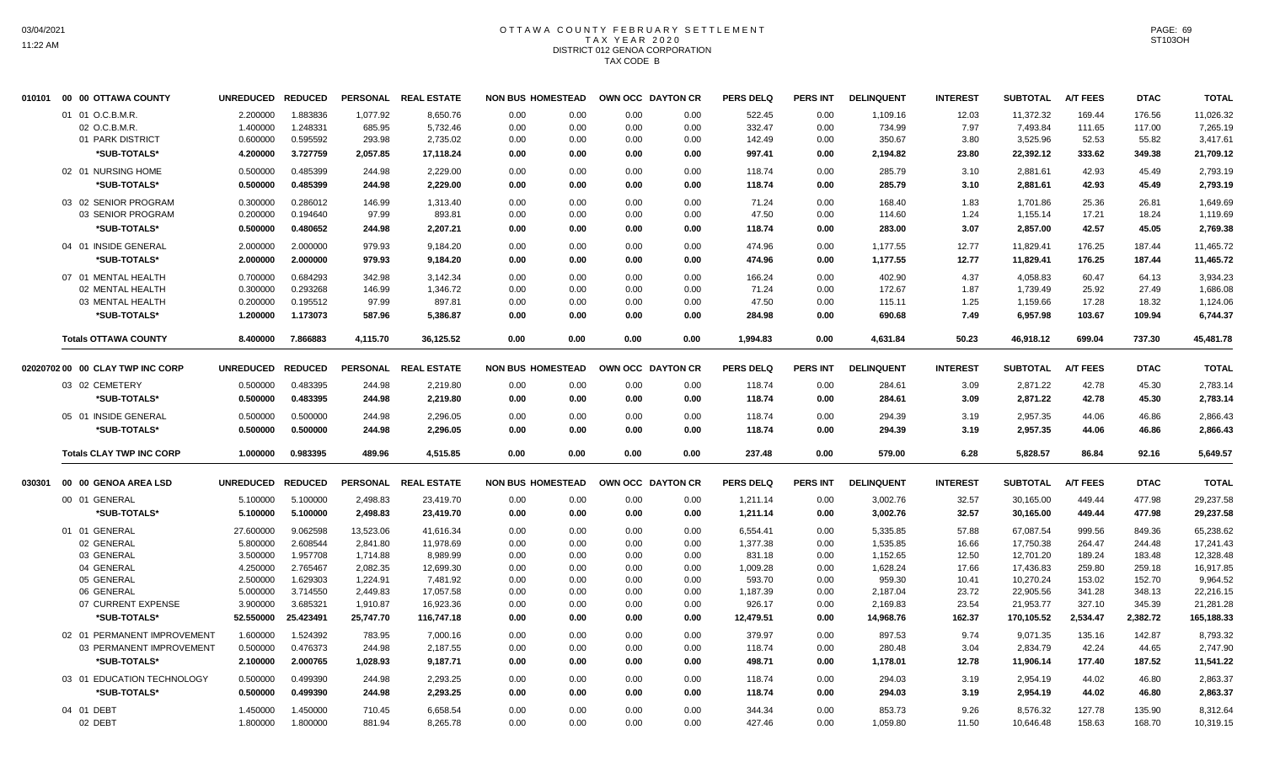#### OTTAWA COUNTY FEBRUARY SETTLEMENT T A X Y E A R 2 0 2 0 DISTRICT 012 GENOA CORPORATION TAX CODE B

|        | 010101 00 00 OTTAWA COUNTY       |                          | <b>UNREDUCED</b> | <b>REDUCED</b> |           | PERSONAL REAL ESTATE | <b>NON BUS HOMESTEAD</b> |      |      | OWN OCC DAYTON CR | <b>PERS DELQ</b> | <b>PERS INT</b> | <b>DELINQUENT</b> | <b>INTEREST</b> | <b>SUBTOTAL</b> | <b>A/T FEES</b> | <b>DTAC</b> | <b>TOTAL</b> |
|--------|----------------------------------|--------------------------|------------------|----------------|-----------|----------------------|--------------------------|------|------|-------------------|------------------|-----------------|-------------------|-----------------|-----------------|-----------------|-------------|--------------|
|        | 01 01 O.C.B.M.R.                 |                          | 2.200000         | 1.883836       | 1,077.92  | 8,650.76             | 0.00                     | 0.00 | 0.00 | 0.00              | 522.45           | 0.00            | 1,109.16          | 12.03           | 11,372.32       | 169.44          | 176.56      | 11,026.32    |
|        | 02 O.C.B.M.R.                    |                          | 1.400000         | 1.248331       | 685.95    | 5,732.46             | 0.00                     | 0.00 | 0.00 | 0.00              | 332.47           | 0.00            | 734.99            | 7.97            | 7,493.84        | 111.65          | 117.00      | 7,265.19     |
|        | 01 PARK DISTRICT                 |                          | 0.600000         | 0.595592       | 293.98    | 2,735.02             | 0.00                     | 0.00 | 0.00 | 0.00              | 142.49           | 0.00            | 350.67            | 3.80            | 3,525.96        | 52.53           | 55.82       | 3,417.61     |
|        | *SUB-TOTALS*                     |                          | 4.200000         | 3.727759       | 2,057.85  | 17,118.24            | 0.00                     | 0.00 | 0.00 | 0.00              | 997.41           | 0.00            | 2,194.82          | 23.80           | 22,392.12       | 333.62          | 349.38      | 21,709.12    |
|        | 02 01 NURSING HOME               |                          | 0.500000         | 0.485399       | 244.98    | 2,229.00             | 0.00                     | 0.00 | 0.00 | 0.00              | 118.74           | 0.00            | 285.79            | 3.10            | 2,881.61        | 42.93           | 45.49       | 2,793.19     |
|        | *SUB-TOTALS*                     |                          | 0.500000         | 0.485399       | 244.98    | 2,229.00             | 0.00                     | 0.00 | 0.00 | 0.00              | 118.74           | 0.00            | 285.79            | 3.10            | 2,881.61        | 42.93           | 45.49       | 2,793.19     |
|        | 03 02 SENIOR PROGRAM             |                          | 0.300000         | 0.286012       | 146.99    | 1,313.40             | 0.00                     | 0.00 | 0.00 | 0.00              | 71.24            | 0.00            | 168.40            | 1.83            | 1,701.86        | 25.36           | 26.81       | 1,649.69     |
|        | 03 SENIOR PROGRAM                |                          | 0.200000         | 0.194640       | 97.99     | 893.81               | 0.00                     | 0.00 | 0.00 | 0.00              | 47.50            | 0.00            | 114.60            | 1.24            | 1,155.14        | 17.21           | 18.24       | 1,119.69     |
|        | *SUB-TOTALS*                     |                          | 0.500000         | 0.480652       | 244.98    | 2,207.21             | 0.00                     | 0.00 | 0.00 | 0.00              | 118.74           | 0.00            | 283.00            | 3.07            | 2,857.00        | 42.57           | 45.05       | 2,769.38     |
|        | 04 01 INSIDE GENERAL             |                          | 2.000000         | 2.000000       | 979.93    | 9,184.20             | 0.00                     | 0.00 | 0.00 | 0.00              | 474.96           | 0.00            | 1,177.55          | 12.77           | 11,829.41       | 176.25          | 187.44      | 11,465.72    |
|        | *SUB-TOTALS*                     |                          | 2.000000         | 2.000000       | 979.93    | 9,184.20             | 0.00                     | 0.00 | 0.00 | 0.00              | 474.96           | 0.00            | 1,177.55          | 12.77           | 11,829.41       | 176.25          | 187.44      | 11,465.72    |
|        | 07 01 MENTAL HEALTH              |                          | 0.700000         | 0.684293       | 342.98    | 3,142.34             | 0.00                     | 0.00 | 0.00 | 0.00              | 166.24           | 0.00            | 402.90            | 4.37            | 4,058.83        | 60.47           | 64.13       | 3,934.23     |
|        | 02 MENTAL HEALTH                 |                          | 0.300000         | 0.293268       | 146.99    | 1,346.72             | 0.00                     | 0.00 | 0.00 | 0.00              | 71.24            | 0.00            | 172.67            | 1.87            | 1,739.49        | 25.92           | 27.49       | 1,686.08     |
|        | 03 MENTAL HEALTH                 |                          | 0.200000         | 0.195512       | 97.99     | 897.81               | 0.00                     | 0.00 | 0.00 | 0.00              | 47.50            | 0.00            | 115.11            | 1.25            | 1,159.66        | 17.28           | 18.32       | 1,124.06     |
|        | *SUB-TOTALS*                     |                          | 1.200000         | 1.173073       | 587.96    | 5,386.87             | 0.00                     | 0.00 | 0.00 | 0.00              | 284.98           | 0.00            | 690.68            | 7.49            | 6,957.98        | 103.67          | 109.94      | 6,744.37     |
|        | <b>Totals OTTAWA COUNTY</b>      |                          | 8.400000         | 7.866883       | 4,115.70  | 36,125.52            | 0.00                     | 0.00 | 0.00 | 0.00              | 1,994.83         | 0.00            | 4,631.84          | 50.23           | 46,918.12       | 699.04          | 737.30      | 45,481.78    |
|        |                                  |                          |                  |                |           |                      |                          |      |      |                   |                  |                 |                   |                 |                 |                 |             |              |
|        | 02020702 00 00 CLAY TWP INC CORP |                          | <b>UNREDUCED</b> | <b>REDUCED</b> |           | PERSONAL REAL ESTATE | <b>NON BUS HOMESTEAD</b> |      |      | OWN OCC DAYTON CR | <b>PERS DELQ</b> | <b>PERS INT</b> | <b>DELINQUENT</b> | <b>INTEREST</b> | <b>SUBTOTAL</b> | <b>A/T FEES</b> | <b>DTAC</b> | <b>TOTAL</b> |
|        | 03 02 CEMETERY                   |                          | 0.500000         | 0.483395       | 244.98    | 2,219.80             | 0.00                     | 0.00 | 0.00 | 0.00              | 118.74           | 0.00            | 284.61            | 3.09            | 2,871.22        | 42.78           | 45.30       | 2,783.14     |
|        | *SUB-TOTALS*                     |                          | 0.500000         | 0.483395       | 244.98    | 2,219.80             | 0.00                     | 0.00 | 0.00 | 0.00              | 118.74           | 0.00            | 284.61            | 3.09            | 2,871.22        | 42.78           | 45.30       | 2,783.14     |
|        | 05 01 INSIDE GENERAL             |                          | 0.500000         | 0.500000       | 244.98    | 2,296.05             | 0.00                     | 0.00 | 0.00 | 0.00              | 118.74           | 0.00            | 294.39            | 3.19            | 2,957.35        | 44.06           | 46.86       | 2,866.43     |
|        | *SUB-TOTALS*                     |                          | 0.500000         | 0.500000       | 244.98    | 2,296.05             | 0.00                     | 0.00 | 0.00 | 0.00              | 118.74           | 0.00            | 294.39            | 3.19            | 2,957.35        | 44.06           | 46.86       | 2,866.43     |
|        | <b>Totals CLAY TWP INC CORP</b>  |                          | 1.000000         | 0.983395       | 489.96    | 4,515.85             | 0.00                     | 0.00 | 0.00 | 0.00              | 237.48           | 0.00            | 579.00            | 6.28            | 5,828.57        | 86.84           | 92.16       | 5,649.57     |
|        |                                  |                          |                  |                |           |                      |                          |      |      |                   |                  |                 |                   |                 |                 |                 |             |              |
| 030301 | 00 00 GENOA AREA LSD             |                          | <b>UNREDUCED</b> | <b>REDUCED</b> |           | PERSONAL REAL ESTATE | <b>NON BUS HOMESTEAD</b> |      |      | OWN OCC DAYTON CR | <b>PERS DELQ</b> | <b>PERS INT</b> | <b>DELINQUENT</b> | <b>INTEREST</b> | <b>SUBTOTAL</b> | <b>A/T FEES</b> | <b>DTAC</b> | <b>TOTAL</b> |
|        | 00 01 GENERAL                    |                          | 5.100000         | 5.100000       | 2,498.83  | 23,419.70            | 0.00                     | 0.00 | 0.00 | 0.00              | 1,211.14         | 0.00            | 3,002.76          | 32.57           | 30,165.00       | 449.44          | 477.98      | 29,237.58    |
|        | *SUB-TOTALS*                     |                          | 5.100000         | 5.100000       | 2,498.83  | 23,419.70            | 0.00                     | 0.00 | 0.00 | 0.00              | 1,211.14         | 0.00            | 3,002.76          | 32.57           | 30,165.00       | 449.44          | 477.98      | 29,237.58    |
|        | 01 01 GENERAL                    |                          | 27.600000        | 9.062598       | 13,523.06 | 41,616.34            | 0.00                     | 0.00 | 0.00 | 0.00              | 6,554.41         | 0.00            | 5,335.85          | 57.88           | 67,087.54       | 999.56          | 849.36      | 65,238.62    |
|        | 02 GENERAL                       |                          | 5.800000         | 2.608544       | 2,841.80  | 11,978.69            | 0.00                     | 0.00 | 0.00 | 0.00              | 1,377.38         | 0.00            | 1,535.85          | 16.66           | 17,750.38       | 264.47          | 244.48      | 17,241.43    |
|        | 03 GENERAL                       |                          | 3.500000         | 1.957708       | 1,714.88  | 8,989.99             | 0.00                     | 0.00 | 0.00 | 0.00              | 831.18           | 0.00            | 1,152.65          | 12.50           | 12,701.20       | 189.24          | 183.48      | 12,328.48    |
|        | 04 GENERAL                       |                          | 4.250000         | 2.765467       | 2,082.35  | 12,699.30            | 0.00                     | 0.00 | 0.00 | 0.00              | 1,009.28         | 0.00            | 1,628.24          | 17.66           | 17,436.83       | 259.80          | 259.18      | 16,917.85    |
|        | 05 GENERAL                       |                          | 2.500000         | 1.629303       | 1,224.91  | 7,481.92             | 0.00                     | 0.00 | 0.00 | 0.00              | 593.70           | 0.00            | 959.30            | 10.41           | 10,270.24       | 153.02          | 152.70      | 9,964.52     |
|        | 06 GENERAL                       |                          | 5.000000         | 3.714550       | 2,449.83  | 17,057.58            | 0.00                     | 0.00 | 0.00 | 0.00              | 1,187.39         | 0.00            | 2,187.04          | 23.72           | 22,905.56       | 341.28          | 348.13      | 22,216.15    |
|        | 07 CURRENT EXPENSE               |                          | 3.900000         | 3.685321       | 1,910.87  | 16,923.36            | 0.00                     | 0.00 | 0.00 | 0.00              | 926.17           | 0.00            | 2,169.83          | 23.54           | 21,953.77       | 327.10          | 345.39      | 21,281.28    |
|        | *SUB-TOTALS*                     |                          | 52.550000        | 25.423491      | 25,747.70 | 116,747.18           | 0.00                     | 0.00 | 0.00 | 0.00              | 12,479.51        | 0.00            | 14,968.76         | 162.37          | 170,105.52      | 2,534.47        | 2,382.72    | 165,188.33   |
|        | 02 01 PERMANENT IMPROVEMENT      |                          | 1.600000         | 1.524392       | 783.95    | 7,000.16             | 0.00                     | 0.00 | 0.00 | 0.00              | 379.97           | 0.00            | 897.53            | 9.74            | 9,071.35        | 135.16          | 142.87      | 8,793.32     |
|        |                                  | 03 PERMANENT IMPROVEMENT | 0.500000         | 0.476373       | 244.98    | 2,187.55             | 0.00                     | 0.00 | 0.00 | 0.00              | 118.74           | 0.00            | 280.48            | 3.04            | 2,834.79        | 42.24           | 44.65       | 2,747.90     |
|        | *SUB-TOTALS*                     |                          | 2.100000         | 2.000765       | 1,028.93  | 9,187.71             | 0.00                     | 0.00 | 0.00 | 0.00              | 498.71           | 0.00            | 1,178.01          | 12.78           | 11,906.14       | 177.40          | 187.52      | 11,541.22    |
|        | 03 01 EDUCATION TECHNOLOGY       |                          | 0.500000         | 0.499390       | 244.98    | 2,293.25             | 0.00                     | 0.00 | 0.00 | 0.00              | 118.74           | 0.00            | 294.03            | 3.19            | 2,954.19        | 44.02           | 46.80       | 2,863.37     |
|        | *SUB-TOTALS*                     |                          | 0.500000         | 0.499390       | 244.98    | 2,293.25             | 0.00                     | 0.00 | 0.00 | 0.00              | 118.74           | 0.00            | 294.03            | 3.19            | 2,954.19        | 44.02           | 46.80       | 2,863.37     |
|        | 04 01 DEBT                       |                          | 1.450000         | 1.450000       | 710.45    | 6,658.54             | 0.00                     | 0.00 | 0.00 | 0.00              | 344.34           | 0.00            | 853.73            | 9.26            | 8,576.32        | 127.78          | 135.90      | 8,312.64     |
|        | 02 DEBT                          |                          | 1.800000         | 1.800000       | 881.94    | 8,265.78             | 0.00                     | 0.00 | 0.00 | 0.00              | 427.46           | 0.00            | 1,059.80          | 11.50           | 10,646.48       | 158.63          | 168.70      | 10,319.15    |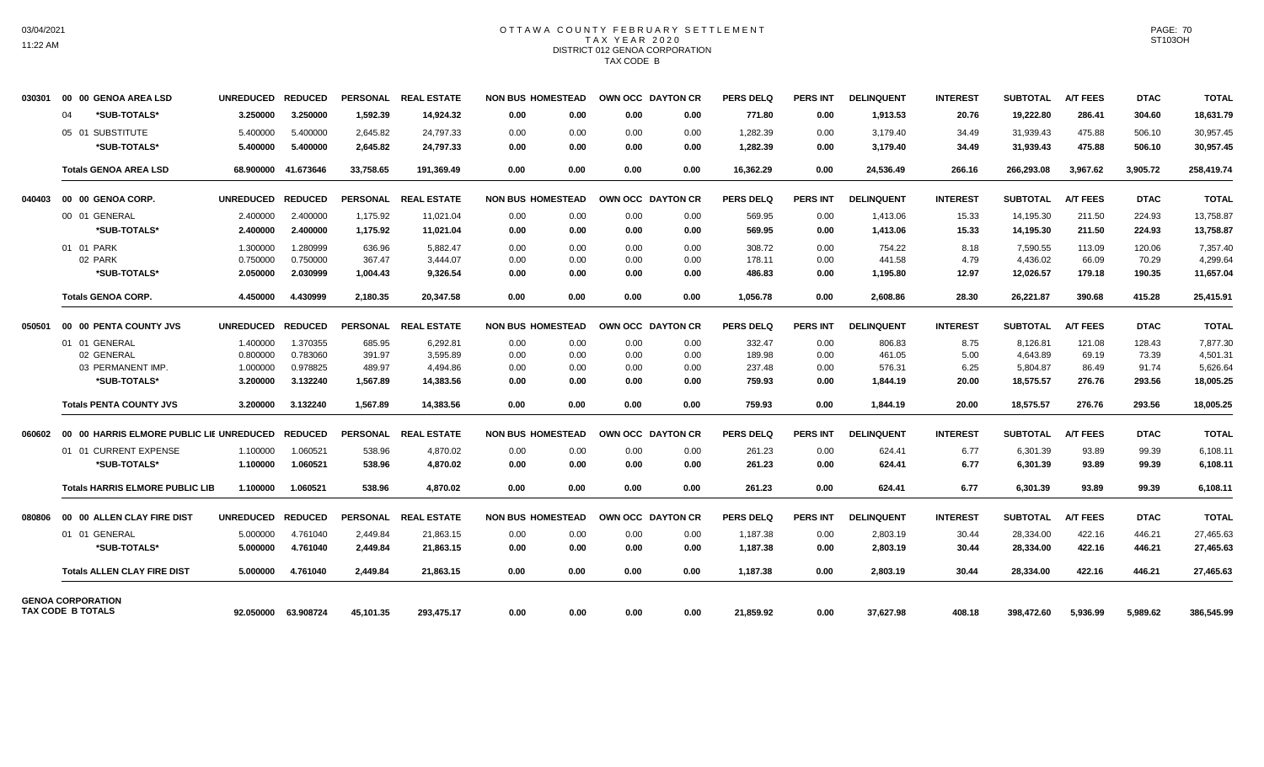#### OTTAWA COUNTY FEBRUARY SETTLEMENT TAX YEAR 2020 DISTRICT 012 GENOA CORPORATION TAX CODE B

| 030301 | 00 00 GENOA AREA LSD                     | <b>UNREDUCED</b> | <b>REDUCED</b>      |                 | PERSONAL REAL ESTATE | <b>NON BUS HOMESTEAD</b> |      | <b>OWN OCC DAYTON CR</b> |      | <b>PERS DELQ</b> | <b>PERS INT</b> | <b>DELINQUENT</b> | <b>INTEREST</b> | SUBTOTAL        | <b>A/T FEES</b> | <b>DTAC</b> | <b>TOTAL</b> |
|--------|------------------------------------------|------------------|---------------------|-----------------|----------------------|--------------------------|------|--------------------------|------|------------------|-----------------|-------------------|-----------------|-----------------|-----------------|-------------|--------------|
|        | *SUB-TOTALS*<br>04                       | 3.250000         | 3.250000            | 1.592.39        | 14.924.32            | 0.00                     | 0.00 | 0.00                     | 0.00 | 771.80           | 0.00            | 1.913.53          | 20.76           | 19.222.80       | 286.41          | 304.60      | 18,631.79    |
|        | 05 01 SUBSTITUTE                         | 5.400000         | 5.400000            | 2.645.82        | 24.797.33            | 0.00                     | 0.00 | 0.00                     | 0.00 | 1,282.39         | 0.00            | 3,179.40          | 34.49           | 31.939.43       | 475.88          | 506.10      | 30,957.45    |
|        | *SUB-TOTALS*                             | 5.400000         | 5.400000            | 2,645.82        | 24,797.33            | 0.00                     | 0.00 | 0.00                     | 0.00 | 1,282.39         | 0.00            | 3,179.40          | 34.49           | 31,939.43       | 475.88          | 506.10      | 30,957.45    |
|        | <b>Totals GENOA AREA LSD</b>             |                  | 68.900000 41.673646 | 33.758.65       | 191.369.49           | 0.00                     | 0.00 | 0.00                     | 0.00 | 16.362.29        | 0.00            | 24,536.49         | 266.16          | 266,293.08      | 3.967.62        | 3.905.72    | 258,419.74   |
| 040403 | 00 00 GENOA CORP.                        | <b>UNREDUCED</b> | <b>REDUCED</b>      |                 | PERSONAL REAL ESTATE | <b>NON BUS HOMESTEAD</b> |      | OWN OCC DAYTON CR        |      | <b>PERS DELQ</b> | <b>PERS INT</b> | <b>DELINQUENT</b> | <b>INTEREST</b> | <b>SUBTOTAL</b> | <b>A/T FEES</b> | <b>DTAC</b> | <b>TOTAL</b> |
|        | 00 01 GENERAL                            | 2.400000         | 2.400000            | 1,175.92        | 11,021.04            | 0.00                     | 0.00 | 0.00                     | 0.00 | 569.95           | 0.00            | 1,413.06          | 15.33           | 14,195.30       | 211.50          | 224.93      | 13,758.87    |
|        | *SUB-TOTALS*                             | 2.400000         | 2.400000            | 1,175.92        | 11,021.04            | 0.00                     | 0.00 | 0.00                     | 0.00 | 569.95           | 0.00            | 1,413.06          | 15.33           | 14,195.30       | 211.50          | 224.93      | 13,758.87    |
|        | 01 01 PARK                               | 1.300000         | 1.280999            | 636.96          | 5.882.47             | 0.00                     | 0.00 | 0.00                     | 0.00 | 308.72           | 0.00            | 754.22            | 8.18            | 7,590.55        | 113.09          | 120.06      | 7,357.40     |
|        | 02 PARK                                  | 0.750000         | 0.750000            | 367.47          | 3.444.07             | 0.00                     | 0.00 | 0.00                     | 0.00 | 178.11           | 0.00            | 441.58            | 4.79            | 4,436.02        | 66.09           | 70.29       | 4,299.64     |
|        | *SUB-TOTALS*                             | 2.050000         | 2.030999            | 1,004.43        | 9,326.54             | 0.00                     | 0.00 | 0.00                     | 0.00 | 486.83           | 0.00            | 1,195.80          | 12.97           | 12,026.57       | 179.18          | 190.35      | 11,657.04    |
|        | <b>Totals GENOA CORP.</b>                | 4.450000         | 4.430999            | 2.180.35        | 20.347.58            | 0.00                     | 0.00 | 0.00                     | 0.00 | 1.056.78         | 0.00            | 2.608.86          | 28.30           | 26.221.87       | 390.68          | 415.28      | 25,415.91    |
| 050501 | 00 00 PENTA COUNTY JVS                   | <b>UNREDUCED</b> | <b>REDUCED</b>      |                 | PERSONAL REAL ESTATE | <b>NON BUS HOMESTEAD</b> |      | <b>OWN OCC DAYTON CR</b> |      | <b>PERS DELQ</b> | <b>PERS INT</b> | <b>DELINQUENT</b> | <b>INTEREST</b> | <b>SUBTOTAL</b> | <b>A/T FEES</b> | <b>DTAC</b> | <b>TOTAL</b> |
|        | 01 01 GENERAL                            | 1.400000         | 1.370355            | 685.95          | 6,292.81             | 0.00                     | 0.00 | 0.00                     | 0.00 | 332.47           | 0.00            | 806.83            | 8.75            | 8,126.81        | 121.08          | 128.43      | 7,877.30     |
|        | 02 GENERAL                               | 0.800000         | 0.783060            | 391.97          | 3,595.89             | 0.00                     | 0.00 | 0.00                     | 0.00 | 189.98           | 0.00            | 461.05            | 5.00            | 4,643.89        | 69.19           | 73.39       | 4,501.31     |
|        | 03 PERMANENT IMP.                        | 1.000000         | 0.978825            | 489.97          | 4.494.86             | 0.00                     | 0.00 | 0.00                     | 0.00 | 237.48           | 0.00            | 576.31            | 6.25            | 5.804.87        | 86.49           | 91.74       | 5,626.64     |
|        | *SUB-TOTALS*                             | 3.200000         | 3.132240            | 1,567.89        | 14,383.56            | 0.00                     | 0.00 | 0.00                     | 0.00 | 759.93           | 0.00            | 1,844.19          | 20.00           | 18,575.57       | 276.76          | 293.56      | 18,005.25    |
|        | <b>Totals PENTA COUNTY JVS</b>           | 3.200000         | 3.132240            | 1.567.89        | 14.383.56            | 0.00                     | 0.00 | 0.00                     | 0.00 | 759.93           | 0.00            | 1.844.19          | 20.00           | 18,575,57       | 276.76          | 293.56      | 18.005.25    |
| 060602 | 00 00 HARRIS ELMORE PUBLIC LIE UNREDUCED |                  | <b>REDUCED</b>      | <b>PERSONAL</b> | <b>REAL ESTATE</b>   | <b>NON BUS HOMESTEAD</b> |      | OWN OCC DAYTON CR        |      | <b>PERS DELQ</b> | <b>PERS INT</b> | <b>DELINQUENT</b> | <b>INTEREST</b> | <b>SUBTOTAL</b> | <b>A/T FEES</b> | <b>DTAC</b> | <b>TOTAL</b> |
|        | 01 01 CURRENT EXPENSE                    | 1.100000         | 1.060521            | 538.96          | 4,870.02             | 0.00                     | 0.00 | 0.00                     | 0.00 | 261.23           | 0.00            | 624.41            | 6.77            | 6,301.39        | 93.89           | 99.39       | 6,108.11     |
|        | *SUB-TOTALS*                             | 1.100000         | 1.060521            | 538.96          | 4,870.02             | 0.00                     | 0.00 | 0.00                     | 0.00 | 261.23           | 0.00            | 624.41            | 6.77            | 6,301.39        | 93.89           | 99.39       | 6,108.11     |
|        | <b>Totals HARRIS ELMORE PUBLIC LIB</b>   | 1.100000         | 1.060521            | 538.96          | 4,870.02             | 0.00                     | 0.00 | 0.00                     | 0.00 | 261.23           | 0.00            | 624.41            | 6.77            | 6,301.39        | 93.89           | 99.39       | 6,108.11     |
| 080806 | 00 00 ALLEN CLAY FIRE DIST               | <b>UNREDUCED</b> | <b>REDUCED</b>      |                 | PERSONAL REAL ESTATE | <b>NON BUS HOMESTEAD</b> |      | OWN OCC DAYTON CR        |      | <b>PERS DELQ</b> | <b>PERS INT</b> | <b>DELINQUENT</b> | <b>INTEREST</b> | <b>SUBTOTAL</b> | <b>A/T FEES</b> | <b>DTAC</b> | <b>TOTAL</b> |
|        | 01 01 GENERAL                            | 5.000000         | 4.761040            | 2,449.84        | 21,863.15            | 0.00                     | 0.00 | 0.00                     | 0.00 | 1,187.38         | 0.00            | 2,803.19          | 30.44           | 28,334.00       | 422.16          | 446.21      | 27,465.63    |
|        | *SUB-TOTALS*                             | 5.000000         | 4.761040            | 2,449.84        | 21,863.15            | 0.00                     | 0.00 | 0.00                     | 0.00 | 1,187.38         | 0.00            | 2,803.19          | 30.44           | 28,334.00       | 422.16          | 446.21      | 27,465.63    |
|        | <b>Totals ALLEN CLAY FIRE DIST</b>       | 5.000000         | 4.761040            | 2.449.84        | 21.863.15            | 0.00                     | 0.00 | 0.00                     | 0.00 | 1.187.38         | 0.00            | 2,803.19          | 30.44           | 28,334.00       | 422.16          | 446.21      | 27,465.63    |
|        | <b>GENOA CORPORATION</b>                 |                  |                     |                 |                      |                          |      |                          |      |                  |                 |                   |                 |                 |                 |             |              |
|        | <b>TAX CODE B TOTALS</b>                 | 92.050000        | 63.908724           | 45.101.35       | 293.475.17           | 0.00                     | 0.00 | 0.00                     | 0.00 | 21.859.92        | 0.00            | 37,627.98         | 408.18          | 398.472.60      | 5.936.99        | 5.989.62    | 386.545.99   |

PAGE: 70 ST103OH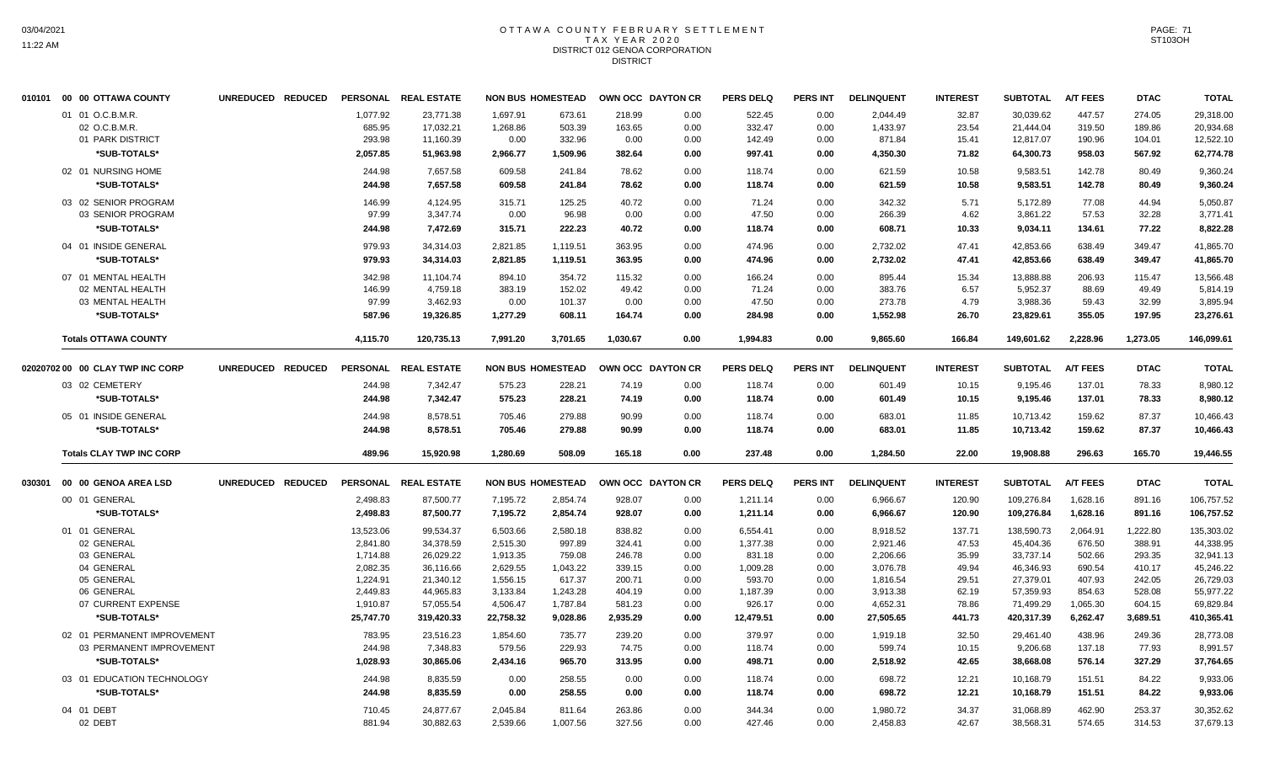#### OTTAWA COUNTY FEBRUARY SETTLEMENT T A X Y E A R 2 0 2 0 DISTRICT 012 GENOA CORPORATION **DISTRICT**

|        | 010101 00 00 OTTAWA COUNTY       | UNREDUCED REDUCED |           | PERSONAL REAL ESTATE | <b>NON BUS HOMESTEAD</b> |          |          | OWN OCC DAYTON CR | <b>PERS DELQ</b> | <b>PERS INT</b> | <b>DELINQUENT</b> | <b>INTEREST</b> | <b>SUBTOTAL</b> | <b>A/T FEES</b> | <b>DTAC</b> | <b>TOTAL</b> |
|--------|----------------------------------|-------------------|-----------|----------------------|--------------------------|----------|----------|-------------------|------------------|-----------------|-------------------|-----------------|-----------------|-----------------|-------------|--------------|
|        | 01 01 O.C.B.M.R.                 |                   | 1,077.92  | 23,771.38            | 1,697.91                 | 673.61   | 218.99   | 0.00              | 522.45           | 0.00            | 2,044.49          | 32.87           | 30,039.62       | 447.57          | 274.05      | 29,318.00    |
|        | 02 O.C.B.M.R.                    |                   | 685.95    | 17,032.21            | 1,268.86                 | 503.39   | 163.65   | 0.00              | 332.47           | 0.00            | 1,433.97          | 23.54           | 21,444.04       | 319.50          | 189.86      | 20,934.68    |
|        | 01 PARK DISTRICT                 |                   | 293.98    | 11,160.39            | 0.00                     | 332.96   | 0.00     | 0.00              | 142.49           | 0.00            | 871.84            | 15.41           | 12,817.07       | 190.96          | 104.01      | 12,522.10    |
|        | *SUB-TOTALS*                     |                   | 2,057.85  | 51,963.98            | 2,966.77                 | 1,509.96 | 382.64   | 0.00              | 997.41           | 0.00            | 4,350.30          | 71.82           | 64,300.73       | 958.03          | 567.92      | 62,774.78    |
|        | 02 01 NURSING HOME               |                   | 244.98    | 7,657.58             | 609.58                   | 241.84   | 78.62    | 0.00              | 118.74           | 0.00            | 621.59            | 10.58           | 9,583.51        | 142.78          | 80.49       | 9,360.24     |
|        | *SUB-TOTALS*                     |                   | 244.98    | 7,657.58             | 609.58                   | 241.84   | 78.62    | 0.00              | 118.74           | 0.00            | 621.59            | 10.58           | 9.583.51        | 142.78          | 80.49       | 9,360.24     |
|        |                                  |                   |           |                      |                          |          |          |                   |                  |                 |                   |                 |                 |                 |             |              |
|        | 03 02 SENIOR PROGRAM             |                   | 146.99    | 4,124.95             | 315.71                   | 125.25   | 40.72    | 0.00              | 71.24            | 0.00            | 342.32            | 5.71            | 5,172.89        | 77.08           | 44.94       | 5,050.87     |
|        | 03 SENIOR PROGRAM                |                   | 97.99     | 3,347.74             | 0.00                     | 96.98    | 0.00     | 0.00              | 47.50            | 0.00            | 266.39            | 4.62            | 3,861.22        | 57.53           | 32.28       | 3,771.41     |
|        | *SUB-TOTALS*                     |                   | 244.98    | 7,472.69             | 315.71                   | 222.23   | 40.72    | 0.00              | 118.74           | 0.00            | 608.71            | 10.33           | 9,034.11        | 134.61          | 77.22       | 8,822.28     |
|        | 04 01 INSIDE GENERAL             |                   | 979.93    | 34,314.03            | 2,821.85                 | 1,119.51 | 363.95   | 0.00              | 474.96           | 0.00            | 2,732.02          | 47.41           | 42,853.66       | 638.49          | 349.47      | 41,865.70    |
|        | *SUB-TOTALS*                     |                   | 979.93    | 34,314.03            | 2,821.85                 | 1,119.51 | 363.95   | 0.00              | 474.96           | 0.00            | 2,732.02          | 47.41           | 42,853.66       | 638.49          | 349.47      | 41,865.70    |
|        | 07 01 MENTAL HEALTH              |                   | 342.98    | 11.104.74            | 894.10                   | 354.72   | 115.32   | 0.00              | 166.24           | 0.00            | 895.44            | 15.34           | 13.888.88       | 206.93          | 115.47      | 13.566.48    |
|        | 02 MENTAL HEALTH                 |                   | 146.99    | 4,759.18             | 383.19                   | 152.02   | 49.42    | 0.00              | 71.24            | 0.00            | 383.76            | 6.57            | 5,952.37        | 88.69           | 49.49       | 5,814.19     |
|        | 03 MENTAL HEALTH                 |                   | 97.99     | 3,462.93             | 0.00                     | 101.37   | 0.00     | 0.00              | 47.50            | 0.00            | 273.78            | 4.79            | 3,988.36        | 59.43           | 32.99       | 3,895.94     |
|        | *SUB-TOTALS*                     |                   | 587.96    | 19,326.85            | 1,277.29                 | 608.11   | 164.74   | 0.00              | 284.98           | 0.00            | 1,552.98          | 26.70           | 23,829.61       | 355.05          | 197.95      | 23,276.61    |
|        | <b>Totals OTTAWA COUNTY</b>      |                   | 4.115.70  | 120.735.13           | 7.991.20                 | 3.701.65 | 1.030.67 | 0.00              | 1.994.83         | 0.00            | 9.865.60          | 166.84          | 149.601.62      | 2.228.96        | 1,273.05    | 146.099.61   |
|        | 02020702 00 00 CLAY TWP INC CORP | UNREDUCED REDUCED |           | PERSONAL REAL ESTATE | <b>NON BUS HOMESTEAD</b> |          |          | OWN OCC DAYTON CR | <b>PERS DELQ</b> | PERS INT        | <b>DELINQUENT</b> | <b>INTEREST</b> | <b>SUBTOTAL</b> | <b>A/T FEES</b> | <b>DTAC</b> | <b>TOTAL</b> |
|        |                                  |                   |           |                      |                          |          |          |                   |                  |                 |                   |                 |                 |                 |             |              |
|        | 03 02 CEMETERY                   |                   | 244.98    | 7,342.47             | 575.23                   | 228.21   | 74.19    | 0.00              | 118.74           | 0.00            | 601.49            | 10.15           | 9,195.46        | 137.01          | 78.33       | 8,980.12     |
|        | *SUB-TOTALS*                     |                   | 244.98    | 7,342.47             | 575.23                   | 228.21   | 74.19    | 0.00              | 118.74           | 0.00            | 601.49            | 10.15           | 9,195.46        | 137.01          | 78.33       | 8.980.12     |
|        | 05 01 INSIDE GENERAL             |                   | 244.98    | 8,578.51             | 705.46                   | 279.88   | 90.99    | 0.00              | 118.74           | 0.00            | 683.01            | 11.85           | 10,713.42       | 159.62          | 87.37       | 10,466.43    |
|        | *SUB-TOTALS*                     |                   | 244.98    | 8,578.51             | 705.46                   | 279.88   | 90.99    | 0.00              | 118.74           | 0.00            | 683.01            | 11.85           | 10,713.42       | 159.62          | 87.37       | 10,466.43    |
|        | <b>Totals CLAY TWP INC CORP</b>  |                   | 489.96    | 15,920.98            | 1,280.69                 | 508.09   | 165.18   | 0.00              | 237.48           | 0.00            | 1,284.50          | 22.00           | 19,908.88       | 296.63          | 165.70      | 19,446.55    |
| 030301 | 00 00 GENOA AREA LSD             | UNREDUCED REDUCED |           | PERSONAL REAL ESTATE | <b>NON BUS HOMESTEAD</b> |          |          | OWN OCC DAYTON CR | <b>PERS DELQ</b> | <b>PERS INT</b> | <b>DELINQUENT</b> | <b>INTEREST</b> | <b>SUBTOTAL</b> | <b>A/T FEES</b> | <b>DTAC</b> | <b>TOTAL</b> |
|        |                                  |                   |           |                      |                          |          |          |                   |                  |                 |                   |                 |                 |                 |             |              |
|        | 00 01 GENERAL                    |                   | 2,498.83  | 87,500.77            | 7,195.72                 | 2,854.74 | 928.07   | 0.00              | 1,211.14         | 0.00            | 6,966.67          | 120.90          | 109,276.84      | 1,628.16        | 891.16      | 106,757.52   |
|        | *SUB-TOTALS*                     |                   | 2,498.83  | 87,500.77            | 7,195.72                 | 2,854.74 | 928.07   | 0.00              | 1,211.14         | 0.00            | 6.966.67          | 120.90          | 109,276.84      | 1,628.16        | 891.16      | 106,757.52   |
|        | 01 01 GENERAL                    |                   | 13,523.06 | 99,534.37            | 6,503.66                 | 2,580.18 | 838.82   | 0.00              | 6,554.41         | 0.00            | 8,918.52          | 137.71          | 138,590.73      | 2,064.91        | 1,222.80    | 135,303.02   |
|        | 02 GENERAL                       |                   | 2,841.80  | 34,378.59            | 2,515.30                 | 997.89   | 324.41   | 0.00              | 1,377.38         | 0.00            | 2,921.46          | 47.53           | 45,404.36       | 676.50          | 388.91      | 44,338.95    |
|        | 03 GENERAL                       |                   | 1,714.88  | 26,029.22            | 1,913.35                 | 759.08   | 246.78   | 0.00              | 831.18           | 0.00            | 2,206.66          | 35.99           | 33,737.14       | 502.66          | 293.35      | 32,941.13    |
|        | 04 GENERAL                       |                   | 2.082.35  | 36,116.66            | 2.629.55                 | 1,043.22 | 339.15   | 0.00              | 1.009.28         | 0.00            | 3.076.78          | 49.94           | 46.346.93       | 690.54          | 410.17      | 45,246.22    |
|        | 05 GENERAL                       |                   | 1,224.91  | 21,340.12            | 1,556.15                 | 617.37   | 200.71   | 0.00              | 593.70           | 0.00            | 1,816.54          | 29.51           | 27,379.01       | 407.93          | 242.05      | 26,729.03    |
|        | 06 GENERAL                       |                   | 2,449.83  | 44,965.83            | 3,133.84                 | 1,243.28 | 404.19   | 0.00              | 1,187.39         | 0.00            | 3,913.38          | 62.19           | 57,359.93       | 854.63          | 528.08      | 55,977.22    |
|        | 07 CURRENT EXPENSE               |                   | 1,910.87  | 57,055.54            | 4,506.47                 | 1,787.84 | 581.23   | 0.00              | 926.17           | 0.00            | 4,652.31          | 78.86           | 71,499.29       | 1,065.30        | 604.15      | 69,829.84    |
|        | *SUB-TOTALS*                     |                   | 25,747.70 | 319,420.33           | 22,758.32                | 9,028.86 | 2,935.29 | 0.00              | 12,479.51        | 0.00            | 27,505.65         | 441.73          | 420,317.39      | 6,262.47        | 3,689.51    | 410,365.41   |
|        | 02 01 PERMANENT IMPROVEMENT      |                   | 783.95    | 23,516.23            | 1,854.60                 | 735.77   | 239.20   | 0.00              | 379.97           | 0.00            | 1.919.18          | 32.50           | 29,461.40       | 438.96          | 249.36      | 28.773.08    |
|        | 03 PERMANENT IMPROVEMENT         |                   | 244.98    | 7,348.83             | 579.56                   | 229.93   | 74.75    | 0.00              | 118.74           | 0.00            | 599.74            | 10.15           | 9,206.68        | 137.18          | 77.93       | 8,991.57     |
|        | *SUB-TOTALS*                     |                   | 1.028.93  | 30.865.06            | 2,434.16                 | 965.70   | 313.95   | 0.00              | 498.71           | 0.00            | 2.518.92          | 42.65           | 38,668.08       | 576.14          | 327.29      | 37.764.65    |
|        | 03 01 EDUCATION TECHNOLOGY       |                   | 244.98    | 8,835.59             | 0.00                     | 258.55   | 0.00     | 0.00              | 118.74           | 0.00            | 698.72            | 12.21           | 10,168.79       | 151.51          | 84.22       | 9,933.06     |
|        | *SUB-TOTALS*                     |                   | 244.98    | 8,835.59             | 0.00                     | 258.55   | 0.00     | 0.00              | 118.74           | 0.00            | 698.72            | 12.21           | 10,168.79       | 151.51          | 84.22       | 9,933.06     |
|        | 04 01 DEBT                       |                   | 710.45    | 24,877.67            | 2,045.84                 | 811.64   | 263.86   | 0.00              | 344.34           | 0.00            | 1,980.72          | 34.37           | 31,068.89       | 462.90          | 253.37      | 30.352.62    |
|        | 02 DEBT                          |                   | 881.94    | 30,882.63            | 2,539.66                 | 1,007.56 | 327.56   | 0.00              | 427.46           | 0.00            | 2,458.83          | 42.67           | 38,568.31       | 574.65          | 314.53      | 37,679.13    |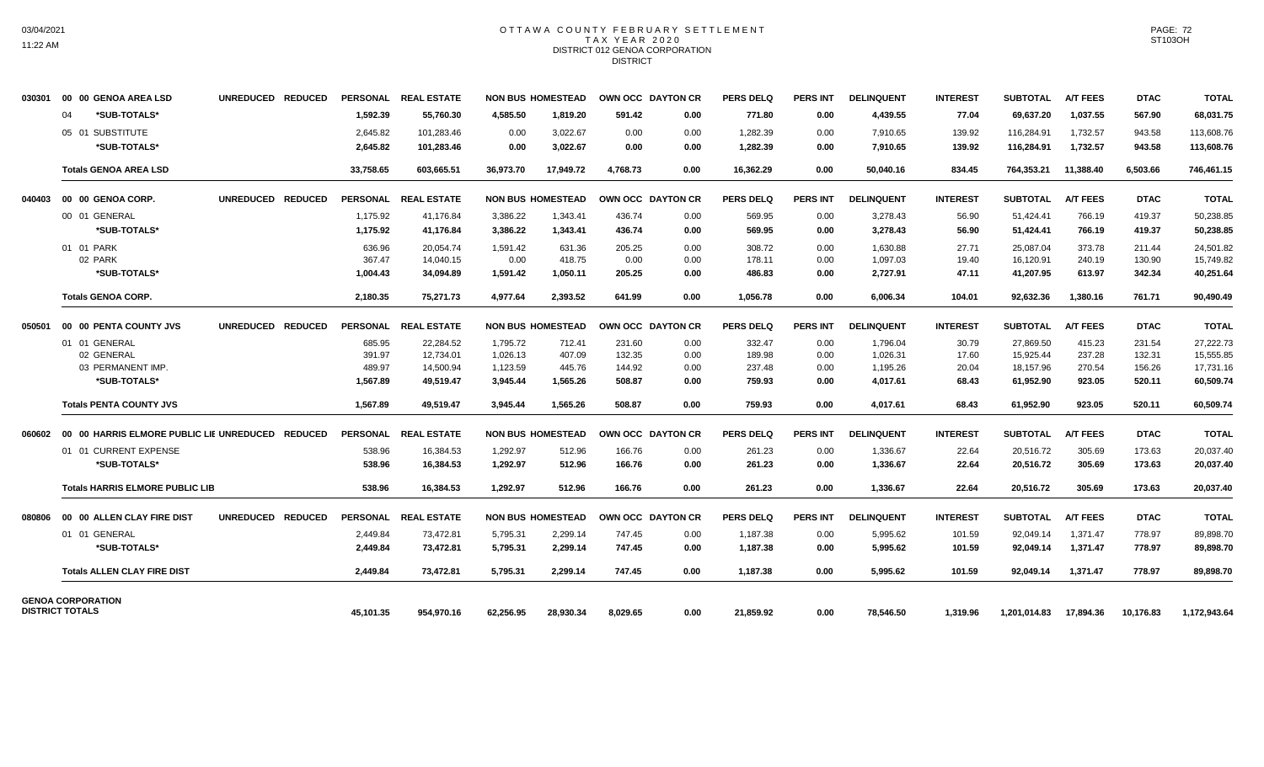#### OTTAWA COUNTY FEBRUARY SETTLEMENT TAX YEAR 2020 DISTRICT 012 GENOA CORPORATION **DISTRICT**

| 030301 | 00 00 GENOA AREA LSD                             | UNREDUCED REDUCED |           | PERSONAL REAL ESTATE |           | <b>NON BUS HOMESTEAD</b> | <b>OWN OCC DAYTON CR</b> |                   | <b>PERS DELQ</b> | <b>PERS INT</b> | <b>DELINQUENT</b> | <b>INTEREST</b> | <b>SUBTOTAL</b> | <b>A/T FEES</b> | <b>DTAC</b> | <b>TOTAL</b> |
|--------|--------------------------------------------------|-------------------|-----------|----------------------|-----------|--------------------------|--------------------------|-------------------|------------------|-----------------|-------------------|-----------------|-----------------|-----------------|-------------|--------------|
|        | *SUB-TOTALS*<br>04                               |                   | 1.592.39  | 55.760.30            | 4.585.50  | 1.819.20                 | 591.42                   | 0.00              | 771.80           | 0.00            | 4.439.55          | 77.04           | 69.637.20       | 1.037.55        | 567.90      | 68,031.75    |
|        | 05 01 SUBSTITUTE                                 |                   | 2,645.82  | 101,283.46           | 0.00      | 3,022.67                 | 0.00                     | 0.00              | 1,282.39         | 0.00            | 7,910.65          | 139.92          | 116,284.91      | 1,732.57        | 943.58      | 113,608.76   |
|        | *SUB-TOTALS*                                     |                   | 2,645.82  | 101,283.46           | 0.00      | 3,022.67                 | 0.00                     | 0.00              | 1,282.39         | 0.00            | 7,910.65          | 139.92          | 116,284.91      | 1,732.57        | 943.58      | 113,608.76   |
|        | <b>Totals GENOA AREA LSD</b>                     |                   | 33,758.65 | 603,665.51           | 36,973.70 | 17,949.72                | 4.768.73                 | 0.00              | 16,362.29        | 0.00            | 50,040.16         | 834.45          | 764,353.21      | 11,388.40       | 6,503.66    | 746,461.15   |
| 040403 | 00 00 GENOA CORP.                                | UNREDUCED REDUCED |           | PERSONAL REAL ESTATE |           | <b>NON BUS HOMESTEAD</b> |                          | OWN OCC DAYTON CR | <b>PERS DELQ</b> | <b>PERS INT</b> | <b>DELINQUENT</b> | <b>INTEREST</b> | <b>SUBTOTAL</b> | <b>A/T FEES</b> | <b>DTAC</b> | <b>TOTAL</b> |
|        | 00 01 GENERAL                                    |                   | 1,175.92  | 41,176.84            | 3,386.22  | 1,343.41                 | 436.74                   | 0.00              | 569.95           | 0.00            | 3,278.43          | 56.90           | 51,424.41       | 766.19          | 419.37      | 50,238.85    |
|        | *SUB-TOTALS*                                     |                   | 1.175.92  | 41,176.84            | 3.386.22  | 1,343.41                 | 436.74                   | 0.00              | 569.95           | 0.00            | 3,278.43          | 56.90           | 51,424.41       | 766.19          | 419.37      | 50.238.85    |
|        | 01 01 PARK                                       |                   | 636.96    | 20,054.74            | 1,591.42  | 631.36                   | 205.25                   | 0.00              | 308.72           | 0.00            | 1,630.88          | 27.71           | 25,087.04       | 373.78          | 211.44      | 24,501.82    |
|        | 02 PARK                                          |                   | 367.47    | 14.040.15            | 0.00      | 418.75                   | 0.00                     | 0.00              | 178.11           | 0.00            | 1,097.03          | 19.40           | 16,120.91       | 240.19          | 130.90      | 15.749.82    |
|        | *SUB-TOTALS*                                     |                   | 1,004.43  | 34,094.89            | 1,591.42  | 1,050.11                 | 205.25                   | 0.00              | 486.83           | 0.00            | 2,727.91          | 47.11           | 41,207.95       | 613.97          | 342.34      | 40,251.64    |
|        | <b>Totals GENOA CORP.</b>                        |                   | 2.180.35  | 75.271.73            | 4.977.64  | 2.393.52                 | 641.99                   | 0.00              | 1.056.78         | 0.00            | 6.006.34          | 104.01          | 92.632.36       | 1.380.16        | 761.71      | 90.490.49    |
| 050501 | 00 00 PENTA COUNTY JVS                           | UNREDUCED REDUCED |           | PERSONAL REAL ESTATE |           | <b>NON BUS HOMESTEAD</b> |                          | OWN OCC DAYTON CR | <b>PERS DELQ</b> | <b>PERS INT</b> | <b>DELINQUENT</b> | <b>INTEREST</b> | <b>SUBTOTAL</b> | <b>A/T FEES</b> | <b>DTAC</b> | <b>TOTAL</b> |
|        | 01 01 GENERAL                                    |                   | 685.95    | 22,284.52            | 1,795.72  | 712.41                   | 231.60                   | 0.00              | 332.47           | 0.00            | 1,796.04          | 30.79           | 27,869.50       | 415.23          | 231.54      | 27,222.73    |
|        | 02 GENERAL                                       |                   | 391.97    | 12,734.01            | 1,026.13  | 407.09                   | 132.35                   | 0.00              | 189.98           | 0.00            | 1,026.31          | 17.60           | 15,925.44       | 237.28          | 132.31      | 15,555.85    |
|        | 03 PERMANENT IMP.                                |                   | 489.97    | 14,500.94            | 1,123.59  | 445.76                   | 144.92                   | 0.00              | 237.48           | 0.00            | 1,195.26          | 20.04           | 18,157.96       | 270.54          | 156.26      | 17,731.16    |
|        | *SUB-TOTALS*                                     |                   | 1,567.89  | 49,519.47            | 3,945.44  | 1,565.26                 | 508.87                   | 0.00              | 759.93           | 0.00            | 4,017.61          | 68.43           | 61,952.90       | 923.05          | 520.11      | 60,509.74    |
|        | <b>Totals PENTA COUNTY JVS</b>                   |                   | 1.567.89  | 49.519.47            | 3.945.44  | 1.565.26                 | 508.87                   | 0.00              | 759.93           | 0.00            | 4.017.61          | 68.43           | 61.952.90       | 923.05          | 520.11      | 60.509.74    |
| 060602 | 00 00 HARRIS ELMORE PUBLIC LIE UNREDUCED REDUCED |                   |           | PERSONAL REAL ESTATE |           | <b>NON BUS HOMESTEAD</b> |                          | OWN OCC DAYTON CR | <b>PERS DELQ</b> | <b>PERS INT</b> | <b>DELINQUENT</b> | <b>INTEREST</b> | <b>SUBTOTAL</b> | <b>A/T FEES</b> | <b>DTAC</b> | <b>TOTAL</b> |
|        | 01 01 CURRENT EXPENSE                            |                   | 538.96    | 16.384.53            | 1.292.97  | 512.96                   | 166.76                   | 0.00              | 261.23           | 0.00            | 1.336.67          | 22.64           | 20.516.72       | 305.69          | 173.63      | 20,037.40    |
|        | *SUB-TOTALS*                                     |                   | 538.96    | 16,384.53            | 1,292.97  | 512.96                   | 166.76                   | 0.00              | 261.23           | 0.00            | 1,336.67          | 22.64           | 20,516.72       | 305.69          | 173.63      | 20,037.40    |
|        | <b>Totals HARRIS ELMORE PUBLIC LIB</b>           |                   | 538.96    | 16,384.53            | 1,292.97  | 512.96                   | 166.76                   | 0.00              | 261.23           | 0.00            | 1,336.67          | 22.64           | 20,516.72       | 305.69          | 173.63      | 20,037.40    |
| 080806 | 00 00 ALLEN CLAY FIRE DIST                       | UNREDUCED REDUCED |           | PERSONAL REAL ESTATE |           | <b>NON BUS HOMESTEAD</b> |                          | OWN OCC DAYTON CR | <b>PERS DELO</b> | <b>PERS INT</b> | <b>DELINQUENT</b> | <b>INTEREST</b> | <b>SUBTOTAL</b> | <b>A/T FEES</b> | <b>DTAC</b> | <b>TOTAL</b> |
|        | 01 01 GENERAL                                    |                   | 2,449.84  | 73,472.81            | 5,795.31  | 2,299.14                 | 747.45                   | 0.00              | 1,187.38         | 0.00            | 5,995.62          | 101.59          | 92,049.14       | 1,371.47        | 778.97      | 89,898.70    |
|        | *SUB-TOTALS*                                     |                   | 2,449.84  | 73,472.81            | 5,795.31  | 2,299.14                 | 747.45                   | 0.00              | 1,187.38         | 0.00            | 5,995.62          | 101.59          | 92,049.14       | 1,371.47        | 778.97      | 89,898.70    |
|        | <b>Totals ALLEN CLAY FIRE DIST</b>               |                   | 2,449.84  | 73,472.81            | 5,795.31  | 2,299.14                 | 747.45                   | 0.00              | 1,187.38         | 0.00            | 5,995.62          | 101.59          | 92,049.14       | 1,371.47        | 778.97      | 89,898.70    |
|        | <b>GENOA CORPORATION</b>                         |                   |           |                      |           |                          |                          |                   |                  |                 |                   |                 |                 |                 |             |              |
|        | <b>DISTRICT TOTALS</b>                           |                   | 45.101.35 | 954.970.16           | 62.256.95 | 28.930.34                | 8.029.65                 | 0.00              | 21.859.92        | 0.00            | 78.546.50         | 1.319.96        | 1.201.014.83    | 17.894.36       | 10.176.83   | 1,172,943.64 |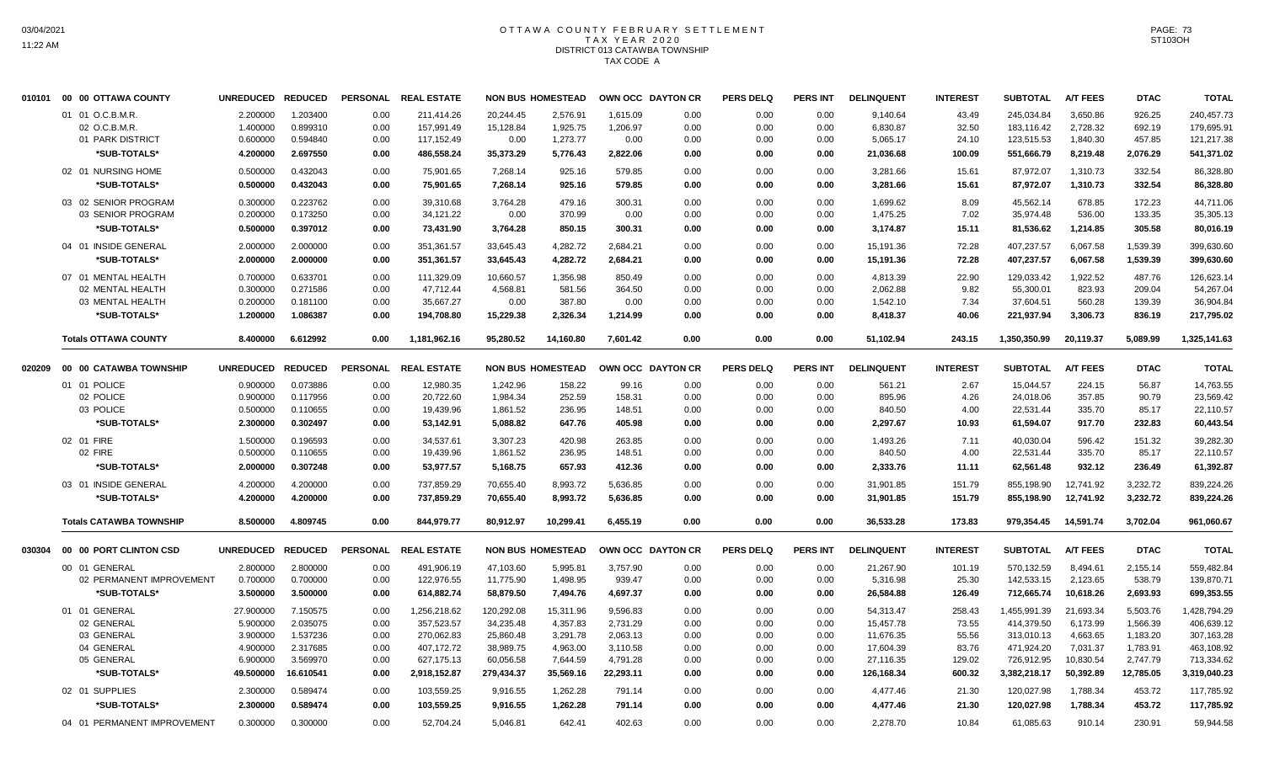# OTTAWA COUNTY FEBRUARY SETTLEMENT TAX YEAR 2020 DISTRICT 013 CATAWBA TOWNSHIP TAX CODE A

|        | 010101 00 00 OTTAWA COUNTY     | UNREDUCED REDUCED |                | <b>PERSONAL</b> | <b>REAL ESTATE</b>   |            | <b>NON BUS HOMESTEAD</b> | OWN OCC DAYTON CR |      | <b>PERS DELQ</b> | <b>PERS INT</b> | <b>DELINQUENT</b> | <b>INTEREST</b> | <b>SUBTOTAL</b> | <b>A/T FEES</b> | <b>DTAC</b> | <b>TOTAL</b> |
|--------|--------------------------------|-------------------|----------------|-----------------|----------------------|------------|--------------------------|-------------------|------|------------------|-----------------|-------------------|-----------------|-----------------|-----------------|-------------|--------------|
|        | 01 01 O.C.B.M.R.               | 2.200000          | 1.203400       | 0.00            | 211.414.26           | 20.244.45  | 2.576.91                 | 1.615.09          | 0.00 | 0.00             | 0.00            | 9.140.64          | 43.49           | 245.034.84      | 3.650.86        | 926.25      | 240,457.73   |
|        | 02 O.C.B.M.R.                  | 1.400000          | 0.899310       | 0.00            | 157,991.49           | 15,128.84  | 1,925.75                 | 1,206.97          | 0.00 | 0.00             | 0.00            | 6,830.87          | 32.50           | 183,116.42      | 2,728.32        | 692.19      | 179,695.91   |
|        | 01 PARK DISTRICT               | 0.600000          | 0.594840       | 0.00            | 117,152.49           | 0.00       | 1,273.77                 | 0.00              | 0.00 | 0.00             | 0.00            | 5,065.17          | 24.10           | 123,515.53      | 1,840.30        | 457.85      | 121,217.38   |
|        | *SUB-TOTALS*                   | 4.200000          | 2.697550       | 0.00            | 486,558.24           | 35,373.29  | 5,776.43                 | 2,822.06          | 0.00 | 0.00             | 0.00            | 21,036.68         | 100.09          | 551,666.79      | 8,219.48        | 2,076.29    | 541,371.02   |
|        | 02 01 NURSING HOME             | 0.500000          | 0.432043       | 0.00            | 75,901.65            | 7,268.14   | 925.16                   | 579.85            | 0.00 | 0.00             | 0.00            | 3,281.66          | 15.61           | 87,972.07       | 1.310.73        | 332.54      | 86.328.80    |
|        | *SUB-TOTALS*                   | 0.500000          | 0.432043       | 0.00            | 75,901.65            | 7,268.14   | 925.16                   | 579.85            | 0.00 | 0.00             | 0.00            | 3,281.66          | 15.61           | 87,972.07       | 1,310.73        | 332.54      | 86,328.80    |
|        | 03 02 SENIOR PROGRAM           | 0.300000          | 0.223762       | 0.00            | 39,310.68            | 3,764.28   | 479.16                   | 300.31            | 0.00 | 0.00             | 0.00            | 1,699.62          | 8.09            | 45,562.14       | 678.85          | 172.23      | 44,711.06    |
|        | 03 SENIOR PROGRAM              | 0.200000          | 0.173250       | 0.00            | 34,121.22            | 0.00       | 370.99                   | 0.00              | 0.00 | 0.00             | 0.00            | 1,475.25          | 7.02            | 35,974.48       | 536.00          | 133.35      | 35,305.13    |
|        | *SUB-TOTALS*                   | 0.500000          | 0.397012       | 0.00            | 73,431.90            | 3,764.28   | 850.15                   | 300.31            | 0.00 | 0.00             | 0.00            | 3,174.87          | 15.11           | 81,536.62       | 1,214.85        | 305.58      | 80,016.19    |
|        | 04 01 INSIDE GENERAL           | 2.000000          | 2.000000       | 0.00            | 351,361.57           | 33,645.43  | 4,282.72                 | 2,684.21          | 0.00 | 0.00             | 0.00            | 15,191.36         | 72.28           | 407,237.57      | 6.067.58        | 1,539.39    | 399,630.60   |
|        | *SUB-TOTALS*                   | 2.000000          | 2.000000       | 0.00            | 351,361.57           | 33,645.43  | 4,282.72                 | 2,684.21          | 0.00 | 0.00             | 0.00            | 15,191.36         | 72.28           | 407,237.57      | 6,067.58        | 1,539.39    | 399,630.60   |
|        | 07 01 MENTAL HEALTH            | 0.700000          | 0.633701       | 0.00            | 111,329.09           | 10,660.57  | 1,356.98                 | 850.49            | 0.00 | 0.00             | 0.00            | 4,813.39          | 22.90           | 129,033.42      | 1,922.52        | 487.76      | 126,623.14   |
|        | 02 MENTAL HEALTH               | 0.300000          | 0.271586       | 0.00            | 47,712.44            | 4,568.81   | 581.56                   | 364.50            | 0.00 | 0.00             | 0.00            | 2,062.88          | 9.82            | 55,300.01       | 823.93          | 209.04      | 54,267.04    |
|        | 03 MENTAL HEALTH               | 0.200000          | 0.181100       | 0.00            | 35,667.27            | 0.00       | 387.80                   | 0.00              | 0.00 | 0.00             | 0.00            | 1,542.10          | 7.34            | 37,604.51       | 560.28          | 139.39      | 36,904.84    |
|        | *SUB-TOTALS*                   | 1.200000          | 1.086387       | 0.00            | 194,708.80           | 15,229.38  | 2,326.34                 | 1,214.99          | 0.00 | 0.00             | 0.00            | 8,418.37          | 40.06           | 221,937.94      | 3,306.73        | 836.19      | 217,795.02   |
|        | <b>Totals OTTAWA COUNTY</b>    | 8.400000          | 6.612992       | 0.00            | 1,181,962.16         | 95,280.52  | 14,160.80                | 7.601.42          | 0.00 | 0.00             | 0.00            | 51,102.94         | 243.15          | 1,350,350.99    | 20.119.37       | 5,089.99    | 1,325,141.63 |
|        |                                |                   |                |                 |                      |            |                          |                   |      |                  |                 |                   |                 |                 |                 |             |              |
| 020209 | 00 00 CATAWBA TOWNSHIP         | <b>UNREDUCED</b>  | <b>REDUCED</b> |                 | PERSONAL REAL ESTATE |            | <b>NON BUS HOMESTEAD</b> | OWN OCC DAYTON CR |      | <b>PERS DELQ</b> | <b>PERS INT</b> | <b>DELINQUENT</b> | <b>INTEREST</b> | <b>SUBTOTAL</b> | <b>A/T FEES</b> | <b>DTAC</b> | <b>TOTAL</b> |
|        | 01 01 POLICE                   | 0.900000          | 0.073886       | 0.00            | 12,980.35            | 1,242.96   | 158.22                   | 99.16             | 0.00 | 0.00             | 0.00            | 561.21            | 2.67            | 15,044.57       | 224.15          | 56.87       | 14,763.55    |
|        | 02 POLICE                      | 0.900000          | 0.117956       | 0.00            | 20.722.60            | 1,984.34   | 252.59                   | 158.31            | 0.00 | 0.00             | 0.00            | 895.96            | 4.26            | 24.018.06       | 357.85          | 90.79       | 23,569.42    |
|        | 03 POLICE                      | 0.500000          | 0.110655       | 0.00            | 19,439.96            | 1,861.52   | 236.95                   | 148.51            | 0.00 | 0.00             | 0.00            | 840.50            | 4.00            | 22,531.44       | 335.70          | 85.17       | 22,110.57    |
|        | *SUB-TOTALS*                   | 2.300000          | 0.302497       | 0.00            | 53,142.91            | 5,088.82   | 647.76                   | 405.98            | 0.00 | 0.00             | 0.00            | 2,297.67          | 10.93           | 61,594.07       | 917.70          | 232.83      | 60,443.54    |
|        | 02 01 FIRE                     | 1.500000          | 0.196593       | 0.00            | 34,537.61            | 3,307.23   | 420.98                   | 263.85            | 0.00 | 0.00             | 0.00            | 1,493.26          | 7.11            | 40,030.04       | 596.42          | 151.32      | 39,282.30    |
|        | 02 FIRE                        | 0.500000          | 0.110655       | 0.00            | 19,439.96            | 1,861.52   | 236.95                   | 148.51            | 0.00 | 0.00             | 0.00            | 840.50            | 4.00            | 22,531.44       | 335.70          | 85.17       | 22,110.57    |
|        | *SUB-TOTALS*                   | 2.000000          | 0.307248       | 0.00            | 53,977.57            | 5,168.75   | 657.93                   | 412.36            | 0.00 | 0.00             | 0.00            | 2,333.76          | 11.11           | 62,561.48       | 932.12          | 236.49      | 61,392.87    |
|        | 03 01 INSIDE GENERAL           | 4.200000          | 4.200000       | 0.00            | 737,859.29           | 70,655.40  | 8,993.72                 | 5,636.85          | 0.00 | 0.00             | 0.00            | 31,901.85         | 151.79          | 855,198.90      | 12,741.92       | 3,232.72    | 839,224.26   |
|        | *SUB-TOTALS*                   | 4.200000          | 4.200000       | 0.00            | 737,859.29           | 70,655.40  | 8.993.72                 | 5,636.85          | 0.00 | 0.00             | 0.00            | 31,901.85         | 151.79          | 855,198.90      | 12.741.92       | 3,232.72    | 839,224.26   |
|        | <b>Totals CATAWBA TOWNSHIP</b> | 8.500000          | 4.809745       | 0.00            | 844,979.77           | 80,912.97  | 10,299.41                | 6,455.19          | 0.00 | 0.00             | 0.00            | 36,533.28         | 173.83          | 979,354.45      | 14,591.74       | 3,702.04    | 961,060.67   |
| 030304 | 00 00 PORT CLINTON CSD         | UNREDUCED REDUCED |                |                 | PERSONAL REAL ESTATE |            | <b>NON BUS HOMESTEAD</b> | OWN OCC DAYTON CR |      | <b>PERS DELQ</b> | <b>PERS INT</b> | <b>DELINQUENT</b> | <b>INTEREST</b> | <b>SUBTOTAL</b> | <b>A/T FEES</b> | <b>DTAC</b> | <b>TOTAL</b> |
|        | 00 01 GENERAL                  | 2.800000          | 2.800000       | 0.00            | 491,906.19           | 47,103.60  | 5,995.81                 | 3,757.90          | 0.00 | 0.00             | 0.00            | 21,267.90         | 101.19          | 570,132.59      | 8,494.61        | 2,155.14    | 559,482.84   |
|        | 02 PERMANENT IMPROVEMENT       | 0.700000          | 0.700000       | 0.00            | 122,976.55           | 11,775.90  | 1,498.95                 | 939.47            | 0.00 | 0.00             | 0.00            | 5,316.98          | 25.30           | 142,533.15      | 2,123.65        | 538.79      | 139,870.71   |
|        | *SUB-TOTALS*                   | 3.500000          | 3.500000       | 0.00            | 614,882.74           | 58,879.50  | 7,494.76                 | 4,697.37          | 0.00 | 0.00             | 0.00            | 26,584.88         | 126.49          | 712,665.74      | 10,618.26       | 2,693.93    | 699,353.55   |
|        | 01 01 GENERAL                  | 27.900000         | 7.150575       | 0.00            | 1,256,218.62         | 120,292.08 | 15,311.96                | 9,596.83          | 0.00 | 0.00             | 0.00            | 54,313.47         | 258.43          | 1,455,991.39    | 21,693.34       | 5,503.76    | 1,428,794.29 |
|        | 02 GENERAL                     | 5.900000          | 2.035075       | 0.00            | 357,523.57           | 34,235.48  | 4,357.83                 | 2,731.29          | 0.00 | 0.00             | 0.00            | 15,457.78         | 73.55           | 414,379.50      | 6,173.99        | 1,566.39    | 406,639.12   |
|        | 03 GENERAL                     | 3.900000          | 1.537236       | 0.00            | 270,062.83           | 25,860.48  | 3,291.78                 | 2,063.13          | 0.00 | 0.00             | 0.00            | 11,676.35         | 55.56           | 313,010.13      | 4,663.65        | 1,183.20    | 307,163.28   |
|        | 04 GENERAL                     | 4.900000          | 2.317685       | 0.00            | 407,172.72           | 38,989.75  | 4,963.00                 | 3,110.58          | 0.00 | 0.00             | 0.00            | 17,604.39         | 83.76           | 471,924.20      | 7,031.37        | 1,783.91    | 463,108.92   |
|        | 05 GENERAL                     | 6.900000          | 3.569970       | 0.00            | 627,175.13           | 60,056.58  | 7,644.59                 | 4,791.28          | 0.00 | 0.00             | 0.00            | 27,116.35         | 129.02          | 726,912.95      | 10,830.54       | 2,747.79    | 713,334.62   |
|        | *SUB-TOTALS*                   | 49.500000         | 16.610541      | 0.00            | 2,918,152.87         | 279,434.37 | 35,569.16                | 22,293.11         | 0.00 | 0.00             | 0.00            | 126,168.34        | 600.32          | 3,382,218.17    | 50,392.89       | 12,785.05   | 3,319,040.23 |
|        | 02 01 SUPPLIES                 | 2.300000          | 0.589474       | 0.00            | 103,559.25           | 9,916.55   | 1,262.28                 | 791.14            | 0.00 | 0.00             | 0.00            | 4,477.46          | 21.30           | 120,027.98      | 1.788.34        | 453.72      | 117,785.92   |
|        | *SUB-TOTALS*                   | 2.300000          | 0.589474       | 0.00            | 103,559.25           | 9,916.55   | 1,262.28                 | 791.14            | 0.00 | 0.00             | 0.00            | 4,477.46          | 21.30           | 120,027.98      | 1,788.34        | 453.72      | 117,785.92   |
|        | 04 01 PERMANENT IMPROVEMENT    | 0.300000          | 0.300000       | 0.00            | 52.704.24            | 5,046.81   | 642.41                   | 402.63            | 0.00 | 0.00             | 0.00            | 2,278.70          | 10.84           | 61,085.63       | 910.14          | 230.91      | 59,944.58    |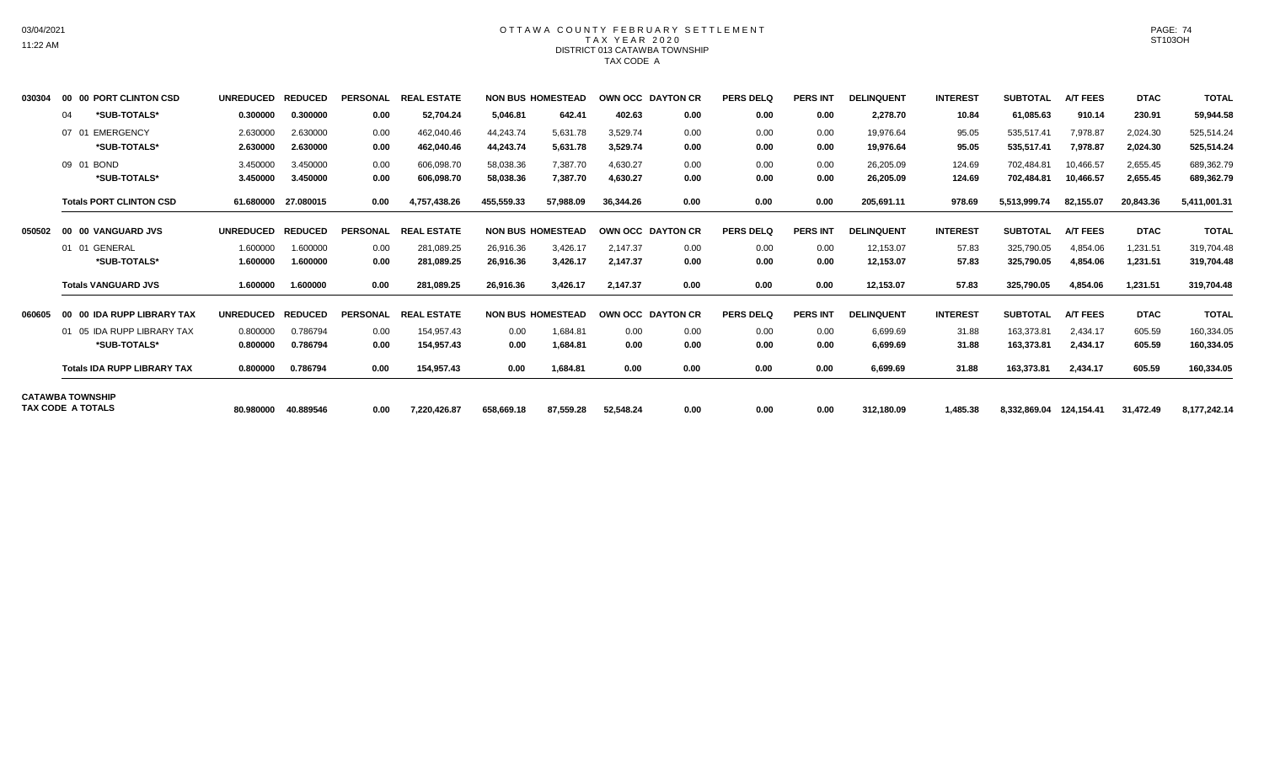## OTTAWA COUNTY FEBRUARY SETTLEMENT TAX YEAR 2020 DISTRICT 013 CATAWBA TOWNSHIP TAX CODE A

| 030304 | 00 00 PORT CLINTON CSD                       | <b>UNREDUCED</b> | <b>REDUCED</b>      | <b>PERSONAL</b> | <b>REAL ESTATE</b> |            | <b>NON BUS HOMESTEAD</b> | OWN OCC DAYTON CR |      | <b>PERS DELQ</b> | <b>PERS INT</b> | <b>DELINQUENT</b> | <b>INTEREST</b> | <b>SUBTOTAL</b> | <b>A/T FEES</b> | <b>DTAC</b> | <b>TOTAL</b> |
|--------|----------------------------------------------|------------------|---------------------|-----------------|--------------------|------------|--------------------------|-------------------|------|------------------|-----------------|-------------------|-----------------|-----------------|-----------------|-------------|--------------|
|        | *SUB-TOTALS*<br>04                           | 0.300000         | 0.300000            | 0.00            | 52,704.24          | 5,046.81   | 642.41                   | 402.63            | 0.00 | 0.00             | 0.00            | 2,278.70          | 10.84           | 61,085.63       | 910.14          | 230.91      | 59,944.58    |
|        | EMERGENCY<br>07 01                           | 2.630000         | 2.630000            | 0.00            | 462,040.46         | 44,243.74  | 5,631.78                 | 3,529.74          | 0.00 | 0.00             | 0.00            | 19,976.64         | 95.05           | 535,517.41      | 7,978.87        | 2,024.30    | 525,514.24   |
|        | *SUB-TOTALS*                                 | 2.630000         | 2.630000            | 0.00            | 462,040.46         | 44,243.74  | 5,631.78                 | 3,529.74          | 0.00 | 0.00             | 0.00            | 19,976.64         | 95.05           | 535,517.41      | 7,978.87        | 2,024.30    | 525,514.24   |
|        | 09 01 BOND                                   | 3.450000         | 3.450000            | 0.00            | 606,098.70         | 58,038.36  | 7.387.70                 | 4.630.27          | 0.00 | 0.00             | 0.00            | 26,205.09         | 124.69          | 702,484.81      | 10.466.57       | 2,655.45    | 689,362.79   |
|        | *SUB-TOTALS*                                 | 3.450000         | 3.450000            | 0.00            | 606,098.70         | 58,038.36  | 7,387.70                 | 4,630.27          | 0.00 | 0.00             | 0.00            | 26,205.09         | 124.69          | 702,484.81      | 10,466.57       | 2,655.45    | 689,362.79   |
|        | <b>Totals PORT CLINTON CSD</b>               |                  | 61.680000 27.080015 | 0.00            | 4,757,438.26       | 455,559.33 | 57,988.09                | 36.344.26         | 0.00 | 0.00             | 0.00            | 205,691.11        | 978.69          | 5.513.999.74    | 82,155.07       | 20,843.36   | 5,411,001.31 |
| 050502 | 00 00 VANGUARD JVS                           | <b>UNREDUCED</b> | <b>REDUCED</b>      | <b>PERSONAL</b> | <b>REAL ESTATE</b> |            | <b>NON BUS HOMESTEAD</b> | OWN OCC DAYTON CR |      | <b>PERS DELO</b> | <b>PERS INT</b> | <b>DELINQUENT</b> | <b>INTEREST</b> | <b>SUBTOTAL</b> | <b>A/T FEES</b> | <b>DTAC</b> | <b>TOTAL</b> |
|        | 01 01 GENERAL                                | 1.600000         | 1.600000            | 0.00            | 281,089.25         | 26,916.36  | 3,426.17                 | 2.147.37          | 0.00 | 0.00             | 0.00            | 12,153.07         | 57.83           | 325,790.05      | 4,854.06        | 1,231.51    | 319,704.48   |
|        | *SUB-TOTALS*                                 | 1.600000         | 1.600000            | 0.00            | 281,089.25         | 26,916.36  | 3,426.17                 | 2,147.37          | 0.00 | 0.00             | 0.00            | 12,153.07         | 57.83           | 325,790.05      | 4,854.06        | 1,231.51    | 319,704.48   |
|        | <b>Totals VANGUARD JVS</b>                   | 1.600000         | 1.600000            | 0.00            | 281,089.25         | 26,916.36  | 3,426.17                 | 2.147.37          | 0.00 | 0.00             | 0.00            | 12,153.07         | 57.83           | 325.790.05      | 4,854.06        | 1,231.51    | 319,704.48   |
| 060605 | 00 00 IDA RUPP LIBRARY TAX                   | <b>UNREDUCED</b> | <b>REDUCED</b>      | <b>PERSONAL</b> | <b>REAL ESTATE</b> |            | <b>NON BUS HOMESTEAD</b> | OWN OCC DAYTON CR |      | <b>PERS DELQ</b> | <b>PERS INT</b> | <b>DELINQUENT</b> | <b>INTEREST</b> | <b>SUBTOTAL</b> | <b>A/T FEES</b> | <b>DTAC</b> | <b>TOTAL</b> |
|        | 05 IDA RUPP LIBRARY TAX<br>01                | 0.800000         | 0.786794            | 0.00            | 154.957.43         | 0.00       | 1.684.81                 | 0.00              | 0.00 | 0.00             | 0.00            | 6,699.69          | 31.88           | 163,373.81      | 2.434.17        | 605.59      | 160,334.05   |
|        | *SUB-TOTALS*                                 | 0.800000         | 0.786794            | 0.00            | 154.957.43         | 0.00       | 1.684.81                 | 0.00              | 0.00 | 0.00             | 0.00            | 6.699.69          | 31.88           | 163,373.81      | 2,434.17        | 605.59      | 160,334.05   |
|        | <b>Totals IDA RUPP LIBRARY TAX</b>           | 0.800000         | 0.786794            | 0.00            | 154,957.43         | 0.00       | 1,684.81                 | 0.00              | 0.00 | 0.00             | 0.00            | 6,699.69          | 31.88           | 163,373.81      | 2,434.17        | 605.59      | 160,334.05   |
|        | <b>CATAWBA TOWNSHIP</b><br>TAX CODE A TOTALS |                  |                     |                 |                    |            |                          |                   |      |                  |                 |                   |                 |                 |                 |             |              |
|        |                                              | 80.980000        | 40.889546           | 0.00            | 7,220,426.87       | 658.669.18 | 87,559.28                | 52.548.24         | 0.00 | 0.00             | 0.00            | 312,180.09        | 1.485.38        | 8,332,869.04    | 124,154.41      | 31,472.49   | 8,177,242.14 |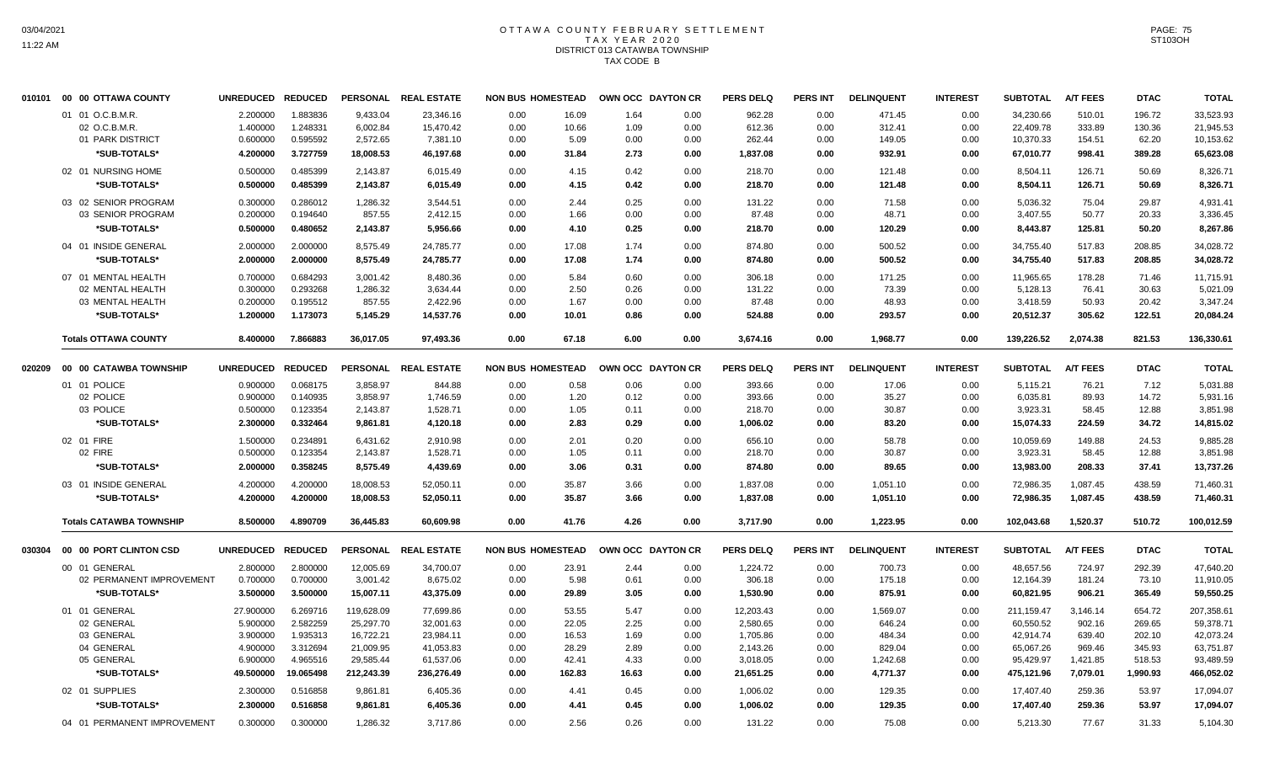# OTTAWA COUNTY FEBRUARY SETTLEMENT TAX YEAR 2020 DISTRICT 013 CATAWBA TOWNSHIP TAX CODE B

|        | 010101 00 00 OTTAWA COUNTY     | UNREDUCED REDUCED |           |            | PERSONAL REAL ESTATE | <b>NON BUS HOMESTEAD</b> |        | OWN OCC DAYTON CR |      | <b>PERS DELQ</b> | PERS INT        | <b>DELINQUENT</b> | <b>INTEREST</b> | <b>SUBTOTAL</b> | <b>A/T FEES</b> | <b>DTAC</b> | <b>TOTAL</b> |
|--------|--------------------------------|-------------------|-----------|------------|----------------------|--------------------------|--------|-------------------|------|------------------|-----------------|-------------------|-----------------|-----------------|-----------------|-------------|--------------|
|        | 01 01 O.C.B.M.R.               | 2.200000          | 1.883836  | 9.433.04   | 23,346.16            | 0.00                     | 16.09  | 1.64              | 0.00 | 962.28           | 0.00            | 471.45            | 0.00            | 34,230.66       | 510.01          | 196.72      | 33,523.93    |
|        | 02 O.C.B.M.R.                  | 1.400000          | 1.248331  | 6,002.84   | 15,470.42            | 0.00                     | 10.66  | 1.09              | 0.00 | 612.36           | 0.00            | 312.41            | 0.00            | 22,409.78       | 333.89          | 130.36      | 21,945.53    |
|        | 01 PARK DISTRICT               | 0.600000          | 0.595592  | 2,572.65   | 7,381.10             | 0.00                     | 5.09   | 0.00              | 0.00 | 262.44           | 0.00            | 149.05            | 0.00            | 10,370.33       | 154.51          | 62.20       | 10,153.62    |
|        | *SUB-TOTALS*                   | 4.200000          | 3.727759  | 18,008.53  | 46,197.68            | 0.00                     | 31.84  | 2.73              | 0.00 | 1,837.08         | 0.00            | 932.91            | 0.00            | 67,010.77       | 998.41          | 389.28      | 65,623.08    |
|        | 02 01 NURSING HOME             | 0.500000          | 0.485399  | 2,143.87   | 6,015.49             | 0.00                     | 4.15   | 0.42              | 0.00 | 218.70           | 0.00            | 121.48            | 0.00            | 8,504.11        | 126.71          | 50.69       | 8,326.71     |
|        | *SUB-TOTALS*                   | 0.500000          | 0.485399  | 2,143.87   | 6,015.49             | 0.00                     | 4.15   | 0.42              | 0.00 | 218.70           | 0.00            | 121.48            | 0.00            | 8,504.11        | 126.71          | 50.69       | 8,326.71     |
|        |                                |                   |           |            |                      |                          |        |                   |      |                  |                 |                   |                 |                 |                 |             |              |
|        | 03 02 SENIOR PROGRAM           | 0.300000          | 0.286012  | 1,286.32   | 3,544.51             | 0.00                     | 2.44   | 0.25              | 0.00 | 131.22           | 0.00            | 71.58             | 0.00            | 5,036.32        | 75.04           | 29.87       | 4,931.41     |
|        | 03 SENIOR PROGRAM              | 0.200000          | 0.194640  | 857.55     | 2,412.15             | 0.00                     | 1.66   | 0.00              | 0.00 | 87.48            | 0.00            | 48.71             | 0.00            | 3,407.55        | 50.77           | 20.33       | 3,336.45     |
|        | *SUB-TOTALS*                   | 0.500000          | 0.480652  | 2,143.87   | 5,956.66             | 0.00                     | 4.10   | 0.25              | 0.00 | 218.70           | 0.00            | 120.29            | 0.00            | 8,443.87        | 125.81          | 50.20       | 8,267.86     |
|        | 04 01 INSIDE GENERAL           | 2.000000          | 2.000000  | 8,575.49   | 24,785.77            | 0.00                     | 17.08  | 1.74              | 0.00 | 874.80           | 0.00            | 500.52            | 0.00            | 34,755.40       | 517.83          | 208.85      | 34,028.72    |
|        | *SUB-TOTALS*                   | 2.000000          | 2.000000  | 8,575.49   | 24,785.77            | 0.00                     | 17.08  | 1.74              | 0.00 | 874.80           | 0.00            | 500.52            | 0.00            | 34,755.40       | 517.83          | 208.85      | 34,028.72    |
|        | 07 01 MENTAL HEALTH            | 0.700000          | 0.684293  | 3,001.42   | 8.480.36             | 0.00                     | 5.84   | 0.60              | 0.00 | 306.18           | 0.00            | 171.25            | 0.00            | 11,965.65       | 178.28          | 71.46       | 11.715.91    |
|        | 02 MENTAL HEALTH               | 0.300000          | 0.293268  | 1,286.32   | 3.634.44             | 0.00                     | 2.50   | 0.26              | 0.00 | 131.22           | 0.00            | 73.39             | 0.00            | 5,128.13        | 76.41           | 30.63       | 5,021.09     |
|        | 03 MENTAL HEALTH               | 0.200000          | 0.195512  | 857.55     | 2,422.96             | 0.00                     | 1.67   | 0.00              | 0.00 | 87.48            | 0.00            | 48.93             | 0.00            | 3,418.59        | 50.93           | 20.42       | 3,347.24     |
|        | *SUB-TOTALS*                   | 1.200000          | 1.173073  | 5,145.29   | 14,537.76            | 0.00                     | 10.01  | 0.86              | 0.00 | 524.88           | 0.00            | 293.57            | 0.00            | 20,512.37       | 305.62          | 122.51      | 20,084.24    |
|        | <b>Totals OTTAWA COUNTY</b>    | 8.400000          | 7.866883  | 36,017.05  | 97.493.36            | 0.00                     | 67.18  | 6.00              | 0.00 | 3.674.16         | 0.00            | 1.968.77          | 0.00            | 139,226.52      | 2.074.38        | 821.53      | 136,330.61   |
| 020209 | 00 00 CATAWBA TOWNSHIP         | UNREDUCED REDUCED |           |            | PERSONAL REAL ESTATE | <b>NON BUS HOMESTEAD</b> |        | OWN OCC DAYTON CR |      | <b>PERS DELQ</b> | <b>PERS INT</b> | <b>DELINQUENT</b> | <b>INTEREST</b> | <b>SUBTOTAL</b> | <b>A/T FEES</b> | <b>DTAC</b> | <b>TOTAL</b> |
|        | 01 01 POLICE                   | 0.900000          | 0.068175  | 3,858.97   | 844.88               | 0.00                     | 0.58   | 0.06              | 0.00 | 393.66           | 0.00            | 17.06             | 0.00            | 5,115.21        | 76.21           | 7.12        | 5,031.88     |
|        | 02 POLICE                      | 0.900000          | 0.140935  | 3,858.97   | 1,746.59             | 0.00                     | 1.20   | 0.12              | 0.00 | 393.66           | 0.00            | 35.27             | 0.00            | 6,035.81        | 89.93           | 14.72       | 5,931.16     |
|        | 03 POLICE                      | 0.500000          | 0.123354  | 2,143.87   | 1,528.71             | 0.00                     | 1.05   | 0.11              | 0.00 | 218.70           | 0.00            | 30.87             | 0.00            | 3,923.31        | 58.45           | 12.88       | 3,851.98     |
|        | *SUB-TOTALS*                   | 2.300000          | 0.332464  | 9,861.81   | 4,120.18             | 0.00                     | 2.83   | 0.29              | 0.00 | 1,006.02         | 0.00            | 83.20             | 0.00            | 15,074.33       | 224.59          | 34.72       | 14,815.02    |
|        |                                |                   |           |            |                      |                          |        |                   |      |                  |                 |                   |                 |                 |                 |             |              |
|        | 02 01 FIRE                     | 1.500000          | 0.234891  | 6,431.62   | 2,910.98             | 0.00                     | 2.01   | 0.20              | 0.00 | 656.10           | 0.00            | 58.78             | 0.00            | 10,059.69       | 149.88          | 24.53       | 9,885.28     |
|        | 02 FIRE                        | 0.500000          | 0.123354  | 2,143.87   | 1,528.71             | 0.00                     | 1.05   | 0.11              | 0.00 | 218.70           | 0.00            | 30.87             | 0.00            | 3,923.31        | 58.45           | 12.88       | 3,851.98     |
|        | *SUB-TOTALS*                   | 2.000000          | 0.358245  | 8,575.49   | 4,439.69             | 0.00                     | 3.06   | 0.31              | 0.00 | 874.80           | 0.00            | 89.65             | 0.00            | 13,983.00       | 208.33          | 37.41       | 13,737.26    |
|        | 03 01 INSIDE GENERAL           | 4.200000          | 4.200000  | 18,008.53  | 52,050.11            | 0.00                     | 35.87  | 3.66              | 0.00 | 1,837.08         | 0.00            | 1,051.10          | 0.00            | 72,986.35       | 1,087.45        | 438.59      | 71,460.31    |
|        | *SUB-TOTALS*                   | 4.200000          | 4.200000  | 18,008.53  | 52,050.11            | 0.00                     | 35.87  | 3.66              | 0.00 | 1,837.08         | 0.00            | 1,051.10          | 0.00            | 72,986.35       | 1,087.45        | 438.59      | 71,460.31    |
|        | <b>Totals CATAWBA TOWNSHIP</b> | 8.500000          | 4.890709  | 36,445.83  | 60,609.98            | 0.00                     | 41.76  | 4.26              | 0.00 | 3,717.90         | 0.00            | 1,223.95          | 0.00            | 102,043.68      | 1,520.37        | 510.72      | 100,012.59   |
| 030304 | 00 00 PORT CLINTON CSD         | UNREDUCED REDUCED |           |            | PERSONAL REAL ESTATE | <b>NON BUS HOMESTEAD</b> |        | OWN OCC DAYTON CR |      | <b>PERS DELQ</b> | <b>PERS INT</b> | <b>DELINQUENT</b> | <b>INTEREST</b> | <b>SUBTOTAL</b> | <b>A/T FEES</b> | <b>DTAC</b> | <b>TOTAL</b> |
|        | 00 01 GENERAL                  | 2.800000          | 2.800000  | 12,005.69  | 34,700.07            | 0.00                     | 23.91  | 2.44              | 0.00 | 1,224.72         | 0.00            | 700.73            | 0.00            | 48,657.56       | 724.97          | 292.39      | 47,640.20    |
|        | 02 PERMANENT IMPROVEMENT       | 0.700000          | 0.700000  | 3,001.42   | 8,675.02             | 0.00                     | 5.98   | 0.61              | 0.00 | 306.18           | 0.00            | 175.18            | 0.00            | 12,164.39       | 181.24          | 73.10       | 11,910.05    |
|        | *SUB-TOTALS*                   | 3.500000          | 3.500000  | 15,007.11  | 43,375.09            | 0.00                     | 29.89  | 3.05              | 0.00 | 1,530.90         | 0.00            | 875.91            | 0.00            | 60,821.95       | 906.21          | 365.49      | 59,550.25    |
|        | 01 01 GENERAL                  | 27.900000         | 6.269716  | 119,628.09 | 77,699.86            | 0.00                     | 53.55  | 5.47              | 0.00 | 12,203.43        | 0.00            | 1,569.07          | 0.00            | 211,159.47      | 3,146.14        | 654.72      | 207,358.61   |
|        | 02 GENERAL                     | 5.900000          | 2.582259  | 25,297.70  | 32,001.63            | 0.00                     | 22.05  | 2.25              | 0.00 | 2,580.65         | 0.00            | 646.24            | 0.00            | 60,550.52       | 902.16          | 269.65      | 59,378.71    |
|        | 03 GENERAL                     | 3.900000          | 1.935313  | 16,722.21  | 23,984.11            | 0.00                     | 16.53  | 1.69              | 0.00 | 1,705.86         | 0.00            | 484.34            | 0.00            | 42,914.74       | 639.40          | 202.10      | 42,073.24    |
|        | 04 GENERAL                     | 4.900000          | 3.312694  | 21,009.95  | 41,053.83            | 0.00                     | 28.29  | 2.89              | 0.00 | 2,143.26         | 0.00            | 829.04            | 0.00            | 65,067.26       | 969.46          | 345.93      | 63,751.87    |
|        | 05 GENERAL                     | 6.900000          | 4.965516  | 29,585.44  | 61,537.06            | 0.00                     | 42.41  | 4.33              | 0.00 | 3,018.05         | 0.00            | 1,242.68          | 0.00            | 95,429.97       | 1,421.85        | 518.53      | 93,489.59    |
|        | *SUB-TOTALS*                   | 49.500000         | 19.065498 | 212,243.39 | 236,276.49           | 0.00                     | 162.83 | 16.63             | 0.00 | 21,651.25        | 0.00            | 4,771.37          | 0.00            | 475,121.96      | 7,079.01        | 1,990.93    | 466,052.02   |
|        | 02 01 SUPPLIES                 | 2.300000          | 0.516858  | 9,861.81   | 6,405.36             | 0.00                     | 4.41   | 0.45              | 0.00 | 1,006.02         | 0.00            | 129.35            | 0.00            | 17,407.40       | 259.36          | 53.97       | 17,094.07    |
|        | *SUB-TOTALS*                   | 2.300000          | 0.516858  | 9,861.81   | 6,405.36             | 0.00                     | 4.41   | 0.45              | 0.00 | 1,006.02         | 0.00            | 129.35            | 0.00            | 17,407.40       | 259.36          | 53.97       | 17,094.07    |
|        | 04 01 PERMANENT IMPROVEMENT    | 0.300000          | 0.300000  | 1,286.32   | 3.717.86             | 0.00                     | 2.56   | 0.26              | 0.00 | 131.22           | 0.00            | 75.08             | 0.00            | 5,213.30        | 77.67           | 31.33       | 5,104.30     |
|        |                                |                   |           |            |                      |                          |        |                   |      |                  |                 |                   |                 |                 |                 |             |              |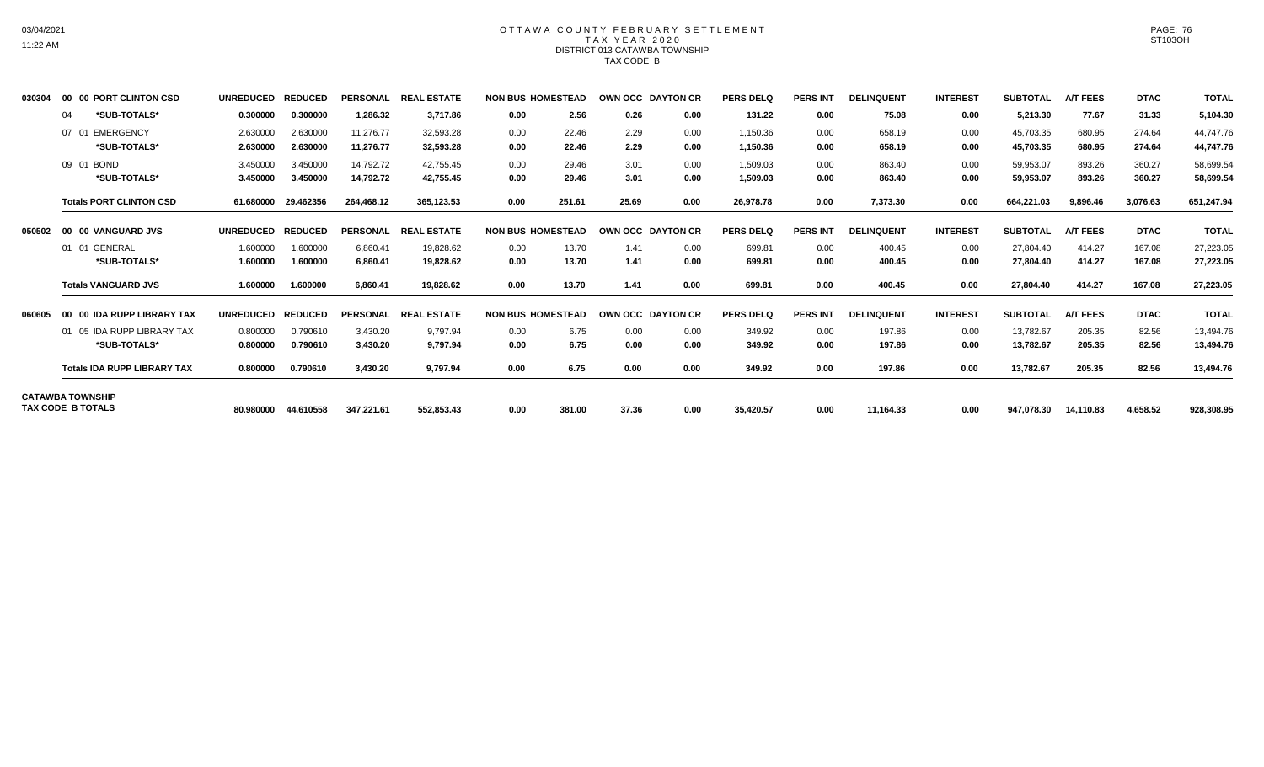## OTTAWA COUNTY FEBRUARY SETTLEMENT TAX YEAR 2020 DISTRICT 013 CATAWBA TOWNSHIP TAX CODE B

| 030304 | 00 00 PORT CLINTON CSD                         | <b>UNREDUCED</b>     | <b>REDUCED</b>       | <b>PERSONAL</b>        | <b>REAL ESTATE</b>     | <b>NON BUS HOMESTEAD</b> |                | OWN OCC DAYTON CR |              | <b>PERS DELQ</b>     | <b>PERS INT</b> | <b>DELINQUENT</b> | <b>INTEREST</b> | <b>SUBTOTAL</b>        | <b>A/T FEES</b>  | <b>DTAC</b>      | <b>TOTAL</b>           |
|--------|------------------------------------------------|----------------------|----------------------|------------------------|------------------------|--------------------------|----------------|-------------------|--------------|----------------------|-----------------|-------------------|-----------------|------------------------|------------------|------------------|------------------------|
|        | *SUB-TOTALS*<br>04                             | 0.300000             | 0.300000             | 1,286.32               | 3,717.86               | 0.00                     | 2.56           | 0.26              | 0.00         | 131.22               | 0.00            | 75.08             | 0.00            | 5,213.30               | 77.67            | 31.33            | 5,104.30               |
|        | <b>EMERGENCY</b><br>07<br>- 01<br>*SUB-TOTALS* | 2.630000<br>2.630000 | 2.630000<br>2.630000 | 11.276.77<br>11.276.77 | 32.593.28<br>32.593.28 | 0.00<br>0.00             | 22.46<br>22.46 | 2.29<br>2.29      | 0.00<br>0.00 | 1,150.36<br>1,150.36 | 0.00<br>0.00    | 658.19<br>658.19  | 0.00<br>0.00    | 45,703.35<br>45,703.35 | 680.95<br>680.95 | 274.64<br>274.64 | 44,747.76<br>44,747.76 |
|        | 09 01<br><b>BOND</b><br>*SUB-TOTALS*           | 3.450000<br>3.450000 | 3.450000<br>3.450000 | 14,792.72<br>14,792.72 | 42.755.45<br>42,755.45 | 0.00<br>0.00             | 29.46<br>29.46 | 3.01<br>3.01      | 0.00<br>0.00 | 1,509.03<br>1,509.03 | 0.00<br>0.00    | 863.40<br>863.40  | 0.00<br>0.00    | 59,953.07<br>59,953.07 | 893.26<br>893.26 | 360.27<br>360.27 | 58,699.54<br>58,699.54 |
|        | <b>Totals PORT CLINTON CSD</b>                 | 61.680000            | 29.462356            | 264,468.12             | 365,123.53             | 0.00                     | 251.61         | 25.69             | 0.00         | 26,978.78            | 0.00            | 7,373.30          | 0.00            | 664,221.03             | 9,896.46         | 3,076.63         | 651,247.94             |
| 050502 | 00 00 VANGUARD JVS                             | <b>UNREDUCED</b>     | <b>REDUCED</b>       | <b>PERSONAL</b>        | <b>REAL ESTATE</b>     | <b>NON BUS HOMESTEAD</b> |                | OWN OCC DAYTON CR |              | <b>PERS DELQ</b>     | <b>PERS INT</b> | <b>DELINQUENT</b> | <b>INTEREST</b> | <b>SUBTOTAL</b>        | <b>A/T FEES</b>  | <b>DTAC</b>      | <b>TOTAL</b>           |
|        | 01 GENERAL<br>01                               | 1.600000             | 1.600000             | 6,860.41               | 19,828.62              | 0.00                     | 13.70          | 1.41              | 0.00         | 699.81               | 0.00            | 400.45            | 0.00            | 27,804.40              | 414.27           | 167.08           | 27,223.05              |
|        | *SUB-TOTALS*                                   | 1.600000             | 1.600000             | 6,860.41               | 19,828.62              | 0.00                     | 13.70          | 1.41              | 0.00         | 699.81               | 0.00            | 400.45            | 0.00            | 27,804.40              | 414.27           | 167.08           | 27,223.05              |
|        | <b>Totals VANGUARD JVS</b>                     | 1.600000             | 1.600000             | 6.860.41               | 19.828.62              | 0.00                     | 13.70          | 1.41              | 0.00         | 699.81               | 0.00            | 400.45            | 0.00            | 27.804.40              | 414.27           | 167.08           | 27,223.05              |
| 060605 | 00 00 IDA RUPP LIBRARY TAX                     | <b>UNREDUCED</b>     | <b>REDUCED</b>       | <b>PERSONAL</b>        | <b>REAL ESTATE</b>     | <b>NON BUS HOMESTEAD</b> |                | OWN OCC DAYTON CR |              | <b>PERS DELQ</b>     | <b>PERS INT</b> | <b>DELINQUENT</b> | <b>INTEREST</b> | <b>SUBTOTAL</b>        | <b>A/T FEES</b>  | <b>DTAC</b>      | <b>TOTAL</b>           |
|        | 01 05 IDA RUPP LIBRARY TAX                     | 0.800000             | 0.790610             | 3,430.20               | 9,797.94               | 0.00                     | 6.75           | 0.00              | 0.00         | 349.92               | 0.00            | 197.86            | 0.00            | 13,782.67              | 205.35           | 82.56            | 13,494.76              |
|        | *SUB-TOTALS*                                   | 0.800000             | 0.790610             | 3,430.20               | 9,797.94               | 0.00                     | 6.75           | 0.00              | 0.00         | 349.92               | 0.00            | 197.86            | 0.00            | 13,782.67              | 205.35           | 82.56            | 13,494.76              |
|        | <b>Totals IDA RUPP LIBRARY TAX</b>             | 0.800000             | 0.790610             | 3,430.20               | 9,797.94               | 0.00                     | 6.75           | 0.00              | 0.00         | 349.92               | 0.00            | 197.86            | 0.00            | 13,782.67              | 205.35           | 82.56            | 13,494.76              |
|        | <b>CATAWBA TOWNSHIP</b><br>TAX CODE B TOTALS   | 80.980000            | 44.610558            | 347,221.61             | 552,853.43             | 0.00                     | 381.00         | 37.36             | 0.00         | 35,420.57            | 0.00            | 11,164.33         | 0.00            | 947,078.30             | 14.110.83        | 4,658.52         | 928,308.95             |
|        |                                                |                      |                      |                        |                        |                          |                |                   |              |                      |                 |                   |                 |                        |                  |                  |                        |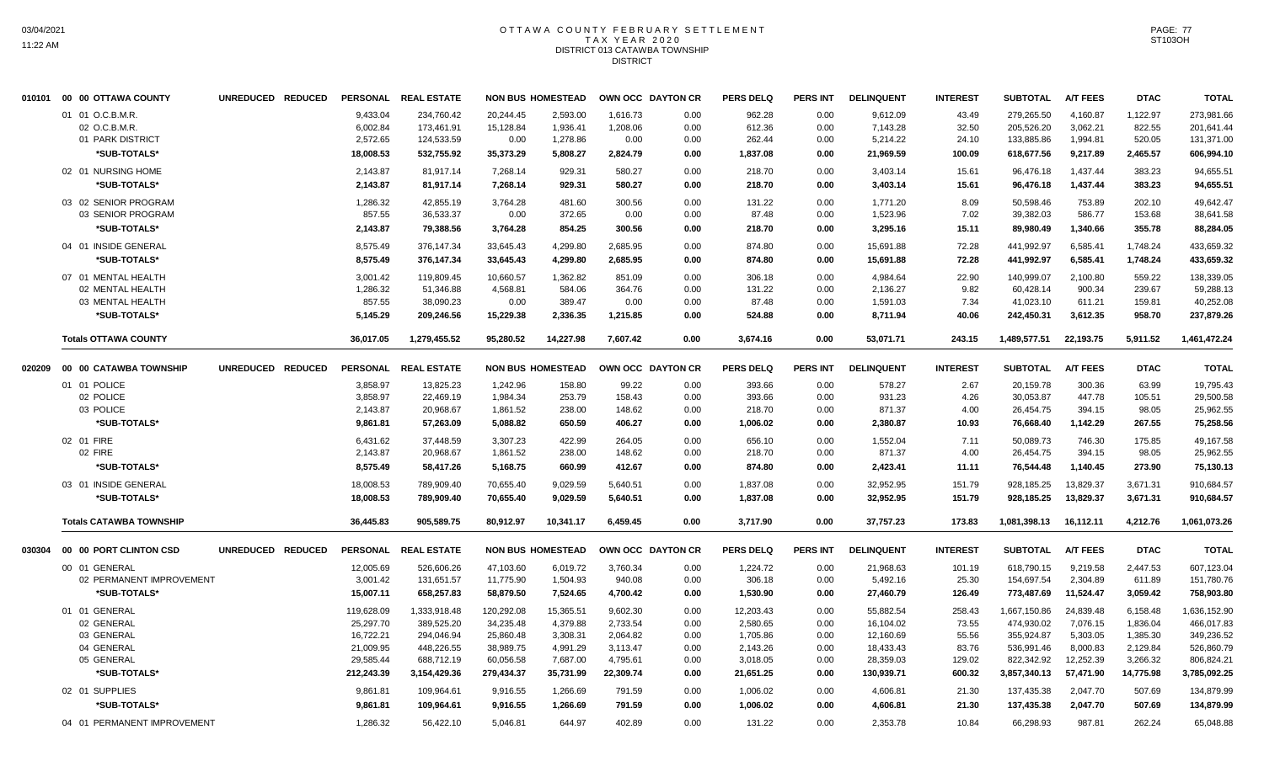#### OTTAWA COUNTY FEBRUARY SETTLEMENT T A X Y E A R 2 0 2 0 DISTRICT 013 CATAWBA TOWNSHIP DISTRICT

|        | 010101 00 00 OTTAWA COUNTY     | UNREDUCED REDUCED | <b>PERSONAL</b>      | <b>REAL ESTATE</b>     |                      | <b>NON BUS HOMESTEAD</b> |                 | OWN OCC DAYTON CR | <b>PERS DELQ</b> | <b>PERS INT</b> | <b>DELINQUENT</b> | <b>INTEREST</b> | <b>SUBTOTAL</b>        | <b>A/T FEES</b>  | <b>DTAC</b>     | <b>TOTAL</b>           |
|--------|--------------------------------|-------------------|----------------------|------------------------|----------------------|--------------------------|-----------------|-------------------|------------------|-----------------|-------------------|-----------------|------------------------|------------------|-----------------|------------------------|
|        | 01 01 O.C.B.M.R.               |                   | 9,433.04             | 234,760.42             | 20,244.45            | 2,593.00                 | 1,616.73        | 0.00              | 962.28           | 0.00            | 9,612.09          | 43.49           | 279,265.50             | 4,160.87         | 1,122.97        | 273,981.66             |
|        | 02 O.C.B.M.R.                  |                   | 6,002.84             | 173,461.91             | 15,128.84            | 1,936.41                 | 1,208.06        | 0.00              | 612.36           | 0.00            | 7,143.28          | 32.50           | 205,526.20             | 3,062.21         | 822.55          | 201,641.44             |
|        | 01 PARK DISTRICT               |                   | 2,572.65             | 124,533.59             | 0.00                 | 1,278.86                 | 0.00            | 0.00              | 262.44           | 0.00            | 5,214.22          | 24.10           | 133,885.86             | 1,994.81         | 520.05          | 131,371.00             |
|        | *SUB-TOTALS*                   |                   | 18,008.53            | 532,755.92             | 35,373.29            | 5,808.27                 | 2,824.79        | 0.00              | 1,837.08         | 0.00            | 21,969.59         | 100.09          | 618,677.56             | 9,217.89         | 2,465.57        | 606,994.10             |
|        | 02 01 NURSING HOME             |                   | 2,143.87             | 81,917.14              | 7,268.14             | 929.31                   | 580.27          | 0.00              | 218.70           | 0.00            | 3,403.14          | 15.61           | 96,476.18              | 1,437.44         | 383.23          | 94,655.51              |
|        | *SUB-TOTALS*                   |                   | 2,143.87             | 81,917.14              | 7,268.14             | 929.31                   | 580.27          | 0.00              | 218.70           | 0.00            | 3,403.14          | 15.61           | 96,476.18              | 1,437.44         | 383.23          | 94,655.51              |
|        |                                |                   |                      |                        |                      |                          |                 |                   |                  |                 |                   |                 |                        |                  |                 |                        |
|        | 03 02 SENIOR PROGRAM           |                   | 1,286.32             | 42,855.19              | 3,764.28             | 481.60                   | 300.56          | 0.00              | 131.22           | 0.00            | 1,771.20          | 8.09            | 50,598.46              | 753.89           | 202.10          | 49,642.47              |
|        | 03 SENIOR PROGRAM              |                   | 857.55               | 36,533.37              | 0.00                 | 372.65                   | 0.00            | 0.00              | 87.48            | 0.00            | 1,523.96          | 7.02            | 39,382.03              | 586.77           | 153.68          | 38,641.58              |
|        | *SUB-TOTALS*                   |                   | 2,143.87             | 79,388.56              | 3,764.28             | 854.25                   | 300.56          | 0.00              | 218.70           | 0.00            | 3,295.16          | 15.11           | 89,980.49              | 1,340.66         | 355.78          | 88,284.05              |
|        | 04 01 INSIDE GENERAL           |                   | 8,575.49             | 376.147.34             | 33,645.43            | 4,299.80                 | 2,685.95        | 0.00              | 874.80           | 0.00            | 15,691.88         | 72.28           | 441,992.97             | 6,585.41         | 1,748.24        | 433,659.32             |
|        | *SUB-TOTALS*                   |                   | 8,575.49             | 376,147.34             | 33,645.43            | 4,299.80                 | 2,685.95        | 0.00              | 874.80           | 0.00            | 15,691.88         | 72.28           | 441,992.97             | 6,585.41         | 1,748.24        | 433,659.32             |
|        | 07 01 MENTAL HEALTH            |                   | 3,001.42             | 119,809.45             | 10,660.57            | 1,362.82                 | 851.09          | 0.00              | 306.18           | 0.00            | 4,984.64          | 22.90           | 140,999.07             | 2,100.80         | 559.22          | 138,339.05             |
|        | 02 MENTAL HEALTH               |                   | 1,286.32             | 51,346.88              | 4,568.81             | 584.06                   | 364.76          | 0.00              | 131.22           | 0.00            | 2,136.27          | 9.82            | 60,428.14              | 900.34           | 239.67          | 59,288.13              |
|        | 03 MENTAL HEALTH               |                   | 857.55               | 38,090.23              | 0.00                 | 389.47                   | 0.00            | 0.00              | 87.48            | 0.00            | 1,591.03          | 7.34            | 41,023.10              | 611.21           | 159.81          | 40,252.08              |
|        | *SUB-TOTALS*                   |                   | 5,145.29             | 209,246.56             | 15,229.38            | 2,336.35                 | 1,215.85        | 0.00              | 524.88           | 0.00            | 8,711.94          | 40.06           | 242,450.31             | 3,612.35         | 958.70          | 237,879.26             |
|        | <b>Totals OTTAWA COUNTY</b>    |                   | 36,017.05            | 1,279,455.52           | 95,280.52            | 14,227.98                | 7,607.42        | 0.00              | 3,674.16         | 0.00            | 53,071.71         | 243.15          | 1,489,577.51           | 22,193.75        | 5,911.52        | 1,461,472.24           |
| 020209 | 00 00 CATAWBA TOWNSHIP         | UNREDUCED REDUCED |                      | PERSONAL REAL ESTATE   |                      | <b>NON BUS HOMESTEAD</b> |                 | OWN OCC DAYTON CR | <b>PERS DELQ</b> | <b>PERS INT</b> | <b>DELINQUENT</b> | <b>INTEREST</b> | <b>SUBTOTAL</b>        | <b>A/T FEES</b>  | <b>DTAC</b>     | <b>TOTAL</b>           |
|        |                                |                   |                      |                        |                      |                          |                 |                   |                  |                 |                   |                 |                        |                  |                 |                        |
|        | 01 01 POLICE<br>02 POLICE      |                   | 3,858.97<br>3,858.97 | 13,825.23<br>22,469.19 | 1,242.96<br>1,984.34 | 158.80<br>253.79         | 99.22<br>158.43 | 0.00<br>0.00      | 393.66<br>393.66 | 0.00<br>0.00    | 578.27<br>931.23  | 2.67<br>4.26    | 20,159.78<br>30,053.87 | 300.36<br>447.78 | 63.99<br>105.51 | 19,795.43<br>29,500.58 |
|        | 03 POLICE                      |                   | 2,143.87             | 20,968.67              | 1,861.52             | 238.00                   | 148.62          | 0.00              | 218.70           | 0.00            | 871.37            | 4.00            | 26,454.75              | 394.15           | 98.05           | 25,962.55              |
|        |                                |                   |                      |                        |                      |                          |                 |                   |                  |                 |                   |                 |                        |                  |                 |                        |
|        | *SUB-TOTALS*                   |                   | 9,861.81             | 57,263.09              | 5,088.82             | 650.59                   | 406.27          | 0.00              | 1,006.02         | 0.00            | 2,380.87          | 10.93           | 76,668.40              | 1,142.29         | 267.55          | 75,258.56              |
|        | 02 01 FIRE                     |                   | 6,431.62             | 37,448.59              | 3,307.23             | 422.99                   | 264.05          | 0.00              | 656.10           | 0.00            | 1,552.04          | 7.11            | 50,089.73              | 746.30           | 175.85          | 49,167.58              |
|        | 02 FIRE                        |                   | 2,143.87             | 20,968.67              | 1,861.52             | 238.00                   | 148.62          | 0.00              | 218.70           | 0.00            | 871.37            | 4.00            | 26,454.75              | 394.15           | 98.05           | 25,962.55              |
|        | *SUB-TOTALS*                   |                   | 8,575.49             | 58,417.26              | 5,168.75             | 660.99                   | 412.67          | 0.00              | 874.80           | 0.00            | 2,423.41          | 11.11           | 76,544.48              | 1,140.45         | 273.90          | 75,130.13              |
|        | 03 01 INSIDE GENERAL           |                   | 18,008.53            | 789,909.40             | 70,655.40            | 9,029.59                 | 5,640.51        | 0.00              | 1,837.08         | 0.00            | 32,952.95         | 151.79          | 928,185.25             | 13,829.37        | 3,671.31        | 910,684.57             |
|        | *SUB-TOTALS*                   |                   | 18,008.53            | 789.909.40             | 70.655.40            | 9,029.59                 | 5,640.51        | 0.00              | 1,837.08         | 0.00            | 32,952.95         | 151.79          | 928,185.25             | 13,829.37        | 3,671.31        | 910,684.57             |
|        | <b>Totals CATAWBA TOWNSHIP</b> |                   | 36,445.83            | 905,589.75             | 80,912.97            | 10,341.17                | 6,459.45        | 0.00              | 3,717.90         | 0.00            | 37,757.23         | 173.83          | 1,081,398.13           | 16,112.11        | 4,212.76        | 1,061,073.26           |
| 030304 | 00 00 PORT CLINTON CSD         | UNREDUCED REDUCED |                      | PERSONAL REAL ESTATE   |                      | <b>NON BUS HOMESTEAD</b> |                 | OWN OCC DAYTON CR | <b>PERS DELQ</b> | <b>PERS INT</b> | <b>DELINQUENT</b> | <b>INTEREST</b> | <b>SUBTOTAL</b>        | <b>A/T FEES</b>  | <b>DTAC</b>     | <b>TOTAL</b>           |
|        | 00 01 GENERAL                  |                   | 12,005.69            | 526,606.26             | 47,103.60            | 6,019.72                 | 3,760.34        | 0.00              | 1,224.72         | 0.00            | 21,968.63         | 101.19          | 618,790.15             | 9,219.58         | 2,447.53        | 607,123.04             |
|        | 02 PERMANENT IMPROVEMENT       |                   | 3,001.42             | 131,651.57             | 11,775.90            | 1,504.93                 | 940.08          | 0.00              | 306.18           | 0.00            | 5,492.16          | 25.30           | 154,697.54             | 2,304.89         | 611.89          | 151,780.76             |
|        | *SUB-TOTALS*                   |                   | 15,007.11            | 658,257.83             | 58,879.50            | 7,524.65                 | 4,700.42        | 0.00              | 1,530.90         | 0.00            | 27,460.79         | 126.49          | 773,487.69             | 11,524.47        | 3,059.42        | 758,903.80             |
|        |                                |                   |                      |                        |                      |                          |                 |                   |                  |                 |                   |                 |                        |                  |                 |                        |
|        | 01 01 GENERAL                  |                   | 119,628.09           | 1,333,918.48           | 120,292.08           | 15,365.51                | 9,602.30        | 0.00              | 12,203.43        | 0.00            | 55,882.54         | 258.43          | 1,667,150.86           | 24,839.48        | 6,158.48        | 1,636,152.90           |
|        | 02 GENERAL                     |                   | 25,297.70            | 389,525.20             | 34,235.48            | 4,379.88                 | 2,733.54        | 0.00              | 2,580.65         | 0.00            | 16,104.02         | 73.55           | 474,930.02             | 7,076.15         | 1,836.04        | 466,017.83             |
|        | 03 GENERAL                     |                   | 16,722.21            | 294,046.94             | 25,860.48            | 3,308.31                 | 2,064.82        | 0.00              | 1,705.86         | 0.00            | 12,160.69         | 55.56           | 355,924.87             | 5,303.05         | 1,385.30        | 349,236.52             |
|        | 04 GENERAL                     |                   | 21,009.95            | 448,226.55             | 38,989.75            | 4,991.29                 | 3,113.47        | 0.00              | 2,143.26         | 0.00            | 18,433.43         | 83.76           | 536,991.46             | 8,000.83         | 2,129.84        | 526,860.79             |
|        | 05 GENERAL                     |                   | 29,585.44            | 688,712.19             | 60,056.58            | 7,687.00                 | 4,795.61        | 0.00              | 3,018.05         | 0.00            | 28,359.03         | 129.02          | 822,342.92             | 12,252.39        | 3,266.32        | 806,824.21             |
|        | *SUB-TOTALS*                   |                   | 212,243.39           | 3,154,429.36           | 279,434.37           | 35,731.99                | 22,309.74       | 0.00              | 21,651.25        | 0.00            | 130,939.71        | 600.32          | 3,857,340.13           | 57,471.90        | 14,775.98       | 3,785,092.25           |
|        | 02 01 SUPPLIES                 |                   | 9,861.81             | 109,964.61             | 9,916.55             | 1,266.69                 | 791.59          | 0.00              | 1,006.02         | 0.00            | 4,606.81          | 21.30           | 137,435.38             | 2,047.70         | 507.69          | 134,879.99             |
|        | *SUB-TOTALS*                   |                   | 9,861.81             | 109,964.61             | 9,916.55             | 1,266.69                 | 791.59          | 0.00              | 1,006.02         | 0.00            | 4,606.81          | 21.30           | 137,435.38             | 2,047.70         | 507.69          | 134,879.99             |
|        | 04 01 PERMANENT IMPROVEMENT    |                   | 1,286.32             | 56,422.10              | 5,046.81             | 644.97                   | 402.89          | 0.00              | 131.22           | 0.00            | 2,353.78          | 10.84           | 66,298.93              | 987.81           | 262.24          | 65,048.88              |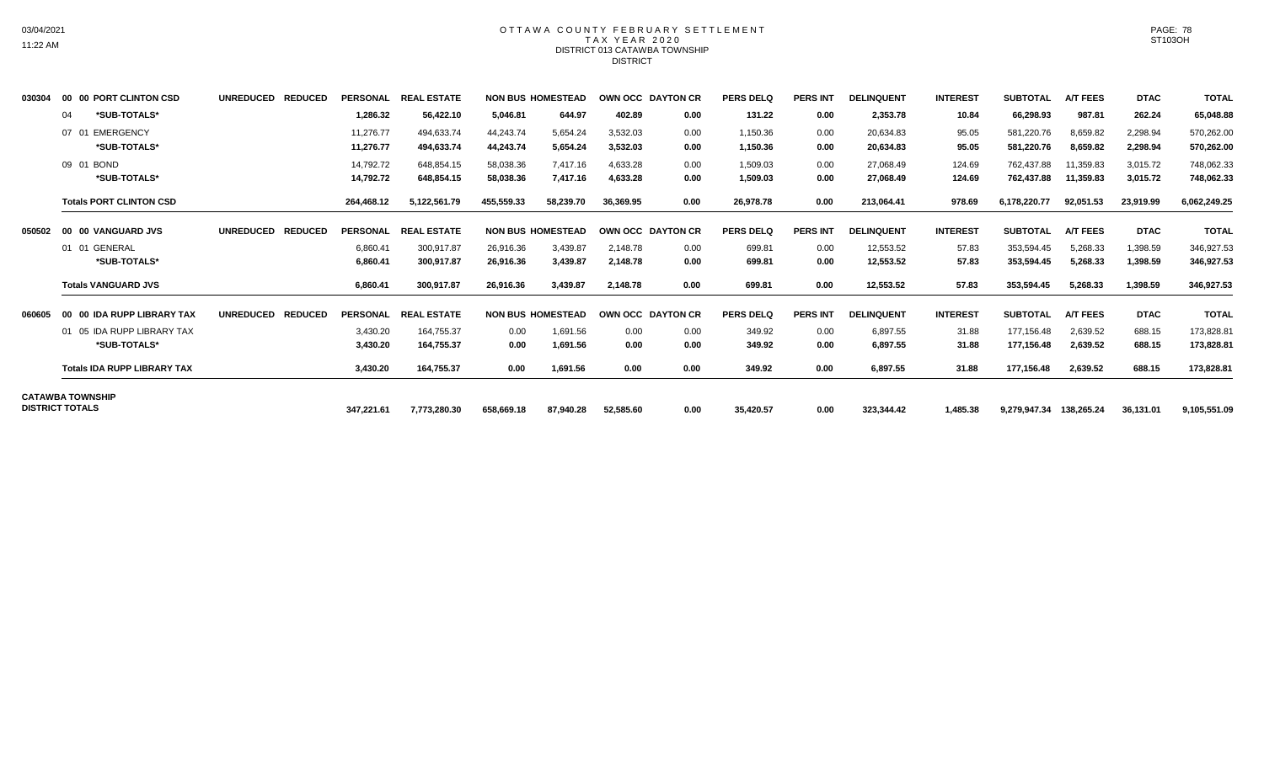## OTTAWA COUNTY FEBRUARY SETTLEMENT TAX YEAR 2020 DISTRICT 013 CATAWBA TOWNSHIP DISTRICT

| 030304 | 00 00 PORT CLINTON CSD                            | UNREDUCED REDUCED | <b>PERSONAL</b>        | <b>REAL ESTATE</b>       |                        | <b>NON BUS HOMESTEAD</b> | OWN OCC DAYTON CR    |              | <b>PERS DELQ</b>     | <b>PERS INT</b> | <b>DELINQUENT</b>      | <b>INTEREST</b>  | <b>SUBTOTAL</b>          | <b>A/T FEES</b>        | <b>DTAC</b>          | <b>TOTAL</b>             |
|--------|---------------------------------------------------|-------------------|------------------------|--------------------------|------------------------|--------------------------|----------------------|--------------|----------------------|-----------------|------------------------|------------------|--------------------------|------------------------|----------------------|--------------------------|
|        | *SUB-TOTALS*<br>04                                |                   | 1,286.32               | 56,422.10                | 5,046.81               | 644.97                   | 402.89               | 0.00         | 131.22               | 0.00            | 2,353.78               | 10.84            | 66,298.93                | 987.81                 | 262.24               | 65,048.88                |
|        | <b>EMERGENCY</b><br>07 01<br>*SUB-TOTALS*         |                   | 11,276.77<br>11,276.77 | 494,633.74<br>494,633.74 | 44.243.74<br>44,243.74 | 5.654.24<br>5,654.24     | 3.532.03<br>3,532.03 | 0.00<br>0.00 | 1,150.36<br>1,150.36 | 0.00<br>0.00    | 20,634.83<br>20,634.83 | 95.05<br>95.05   | 581,220.76<br>581,220.76 | 8,659.82<br>8,659.82   | 2,298.94<br>2,298.94 | 570,262.00<br>570,262.00 |
|        | 09 01 BOND<br>*SUB-TOTALS*                        |                   | 14,792.72<br>14,792.72 | 648,854.15<br>648,854.15 | 58,038.36<br>58,038.36 | 7,417.16<br>7,417.16     | 4,633.28<br>4,633.28 | 0.00<br>0.00 | 1,509.03<br>1,509.03 | 0.00<br>0.00    | 27,068.49<br>27,068.49 | 124.69<br>124.69 | 762,437.88<br>762,437.88 | 11,359.83<br>11,359.83 | 3,015.72<br>3,015.72 | 748,062.33<br>748,062.33 |
|        | <b>Totals PORT CLINTON CSD</b>                    |                   | 264.468.12             | 5,122,561.79             | 455,559.33             | 58,239.70                | 36.369.95            | 0.00         | 26,978.78            | 0.00            | 213,064.41             | 978.69           | 6,178,220.77             | 92,051.53              | 23,919.99            | 6,062,249.25             |
| 050502 | 00 00 VANGUARD JVS                                | UNREDUCED REDUCED | <b>PERSONAL</b>        | <b>REAL ESTATE</b>       |                        | <b>NON BUS HOMESTEAD</b> | OWN OCC DAYTON CR    |              | <b>PERS DELQ</b>     | <b>PERS INT</b> | <b>DELINQUENT</b>      | <b>INTEREST</b>  | <b>SUBTOTAL</b>          | <b>A/T FEES</b>        | <b>DTAC</b>          | <b>TOTAL</b>             |
|        | 01 01 GENERAL                                     |                   | 6,860.41               | 300,917.87               | 26,916.36              | 3,439.87                 | 2.148.78             | 0.00         | 699.81               | 0.00            | 12,553.52              | 57.83            | 353,594.45               | 5,268.33               | 1,398.59             | 346,927.53               |
|        | *SUB-TOTALS*                                      |                   | 6,860.41               | 300,917.87               | 26,916.36              | 3,439.87                 | 2,148.78             | 0.00         | 699.81               | 0.00            | 12,553.52              | 57.83            | 353,594.45               | 5,268.33               | 1,398.59             | 346,927.53               |
|        | <b>Totals VANGUARD JVS</b>                        |                   | 6,860.41               | 300,917.87               | 26,916.36              | 3,439.87                 | 2.148.78             | 0.00         | 699.81               | 0.00            | 12,553.52              | 57.83            | 353.594.45               | 5,268.33               | 1,398.59             | 346,927.53               |
| 060605 | 00 00 IDA RUPP LIBRARY TAX                        | UNREDUCED REDUCED | <b>PERSONAL</b>        | <b>REAL ESTATE</b>       |                        | <b>NON BUS HOMESTEAD</b> | OWN OCC DAYTON CR    |              | <b>PERS DELQ</b>     | <b>PERS INT</b> | <b>DELINQUENT</b>      | <b>INTEREST</b>  | <b>SUBTOTAL</b>          | <b>A/T FEES</b>        | <b>DTAC</b>          | <b>TOTAL</b>             |
|        | 05 IDA RUPP LIBRARY TAX                           |                   | 3,430.20               | 164.755.37               | 0.00                   | 1.691.56                 | 0.00                 | 0.00         | 349.92               | 0.00            | 6,897.55               | 31.88            | 177.156.48               | 2,639.52               | 688.15               | 173,828.81               |
|        | *SUB-TOTALS*                                      |                   | 3,430.20               | 164,755.37               | 0.00                   | 1,691.56                 | 0.00                 | 0.00         | 349.92               | 0.00            | 6,897.55               | 31.88            | 177,156.48               | 2,639.52               | 688.15               | 173,828.81               |
|        | <b>Totals IDA RUPP LIBRARY TAX</b>                |                   | 3,430.20               | 164,755.37               | 0.00                   | 1,691.56                 | 0.00                 | 0.00         | 349.92               | 0.00            | 6,897.55               | 31.88            | 177,156.48               | 2,639.52               | 688.15               | 173,828.81               |
|        | <b>CATAWBA TOWNSHIP</b><br><b>DISTRICT TOTALS</b> |                   |                        |                          |                        |                          |                      |              |                      |                 |                        |                  |                          |                        |                      |                          |
|        |                                                   |                   | 347,221.61             | 7,773,280.30             | 658,669.18             | 87,940.28                | 52,585.60            | 0.00         | 35,420.57            | 0.00            | 323,344.42             | 1,485.38         | 9,279,947.34 138,265.24  |                        | 36,131.01            | 9,105,551.09             |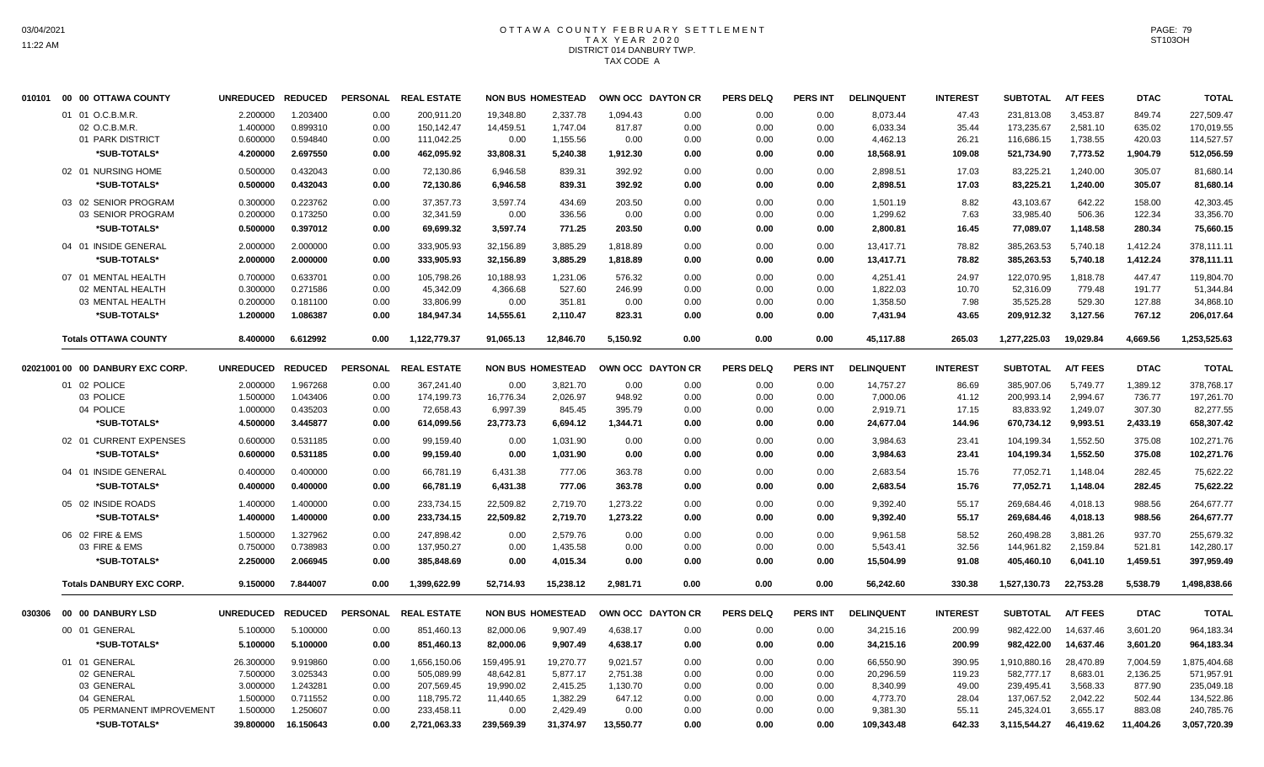# OTTAWA COUNTY FEBRUARY SETTLEMENT TAX YEAR 2020 DISTRICT 014 DANBURY TWP. TAX CODE A

|        | 010101 00 00 OTTAWA COUNTY       | <b>UNREDUCED</b>  | <b>REDUCED</b> | <b>PERSONAL</b> | <b>REAL ESTATE</b> |            | <b>NON BUS HOMESTEAD</b> | OWN OCC DAYTON CR |      | <b>PERS DELQ</b> | <b>PERS INT</b> | <b>DELINQUENT</b> | <b>INTEREST</b> | <b>SUBTOTAL</b> | <b>A/T FEES</b> | <b>DTAC</b> | <b>TOTAL</b> |
|--------|----------------------------------|-------------------|----------------|-----------------|--------------------|------------|--------------------------|-------------------|------|------------------|-----------------|-------------------|-----------------|-----------------|-----------------|-------------|--------------|
|        | 01 01 O.C.B.M.R.                 | 2.200000          | 1.203400       | 0.00            | 200.911.20         | 19.348.80  | 2.337.78                 | 1.094.43          | 0.00 | 0.00             | 0.00            | 8,073.44          | 47.43           | 231,813.08      | 3.453.87        | 849.74      | 227,509.47   |
|        | 02 O.C.B.M.R.                    | 1.400000          | 0.899310       | 0.00            | 150,142.47         | 14,459.51  | 1,747.04                 | 817.87            | 0.00 | 0.00             | 0.00            | 6,033.34          | 35.44           | 173,235.67      | 2,581.10        | 635.02      | 170,019.55   |
|        | 01 PARK DISTRICT                 | 0.600000          | 0.594840       | 0.00            | 111,042.25         | 0.00       | 1,155.56                 | 0.00              | 0.00 | 0.00             | 0.00            | 4,462.13          | 26.21           | 116,686.15      | 1,738.55        | 420.03      | 114,527.57   |
|        | *SUB-TOTALS*                     | 4.200000          | 2.697550       | 0.00            | 462,095.92         | 33,808.31  | 5,240.38                 | 1,912.30          | 0.00 | 0.00             | 0.00            | 18,568.91         | 109.08          | 521,734.90      | 7,773.52        | 1,904.79    | 512,056.59   |
|        | 02 01 NURSING HOME               | 0.500000          | 0.432043       | 0.00            | 72,130.86          | 6,946.58   | 839.31                   | 392.92            | 0.00 | 0.00             | 0.00            | 2,898.51          | 17.03           | 83,225.21       | 1,240.00        | 305.07      | 81,680.14    |
|        | *SUB-TOTALS*                     | 0.500000          | 0.432043       | 0.00            | 72,130.86          | 6,946.58   | 839.31                   | 392.92            | 0.00 | 0.00             | 0.00            | 2,898.51          | 17.03           | 83,225.21       | 1,240.00        | 305.07      | 81,680.14    |
|        | 03 02 SENIOR PROGRAM             | 0.300000          | 0.223762       | 0.00            | 37, 357. 73        | 3,597.74   | 434.69                   | 203.50            | 0.00 | 0.00             | 0.00            | 1,501.19          | 8.82            | 43,103.67       | 642.22          | 158.00      | 42.303.45    |
|        | 03 SENIOR PROGRAM                | 0.200000          | 0.173250       | 0.00            | 32,341.59          | 0.00       | 336.56                   | 0.00              | 0.00 | 0.00             | 0.00            | 1,299.62          | 7.63            | 33,985.40       | 506.36          | 122.34      | 33,356.70    |
|        | *SUB-TOTALS*                     | 0.500000          | 0.397012       | 0.00            | 69,699.32          | 3,597.74   | 771.25                   | 203.50            | 0.00 | 0.00             | 0.00            | 2,800.81          | 16.45           | 77,089.07       | 1,148.58        | 280.34      | 75,660.15    |
|        | 04 01 INSIDE GENERAL             | 2.000000          | 2.000000       | 0.00            | 333,905.93         | 32,156.89  | 3,885.29                 | 1,818.89          | 0.00 | 0.00             | 0.00            | 13,417.71         | 78.82           | 385,263.53      | 5,740.18        | 1,412.24    | 378,111.11   |
|        | *SUB-TOTALS*                     | 2.000000          | 2.000000       | 0.00            | 333,905.93         | 32,156.89  | 3,885.29                 | 1,818.89          | 0.00 | 0.00             | 0.00            | 13,417.71         | 78.82           | 385,263.53      | 5,740.18        | 1,412.24    | 378,111.11   |
|        | 07 01 MENTAL HEALTH              | 0.700000          | 0.633701       | 0.00            | 105,798.26         | 10,188.93  | 1,231.06                 | 576.32            | 0.00 | 0.00             | 0.00            | 4,251.41          | 24.97           | 122,070.95      | 1,818.78        | 447.47      | 119,804.70   |
|        | 02 MENTAL HEALTH                 | 0.300000          | 0.271586       | 0.00            | 45,342.09          | 4,366.68   | 527.60                   | 246.99            | 0.00 | 0.00             | 0.00            | 1,822.03          | 10.70           | 52,316.09       | 779.48          | 191.77      | 51,344.84    |
|        | 03 MENTAL HEALTH                 | 0.200000          | 0.181100       | 0.00            | 33,806.99          | 0.00       | 351.81                   | 0.00              | 0.00 | 0.00             | 0.00            | 1,358.50          | 7.98            | 35,525.28       | 529.30          | 127.88      | 34,868.10    |
|        | *SUB-TOTALS*                     | 1.200000          | 1.086387       | 0.00            | 184,947.34         | 14,555.61  | 2,110.47                 | 823.31            | 0.00 | 0.00             | 0.00            | 7,431.94          | 43.65           | 209,912.32      | 3,127.56        | 767.12      | 206,017.64   |
|        | <b>Totals OTTAWA COUNTY</b>      | 8.400000          | 6.612992       | 0.00            | 1,122,779.37       | 91,065.13  | 12,846.70                | 5,150.92          | 0.00 | 0.00             | 0.00            | 45,117.88         | 265.03          | 1,277,225.03    | 19,029.84       | 4,669.56    | 1,253,525.63 |
|        |                                  |                   |                |                 |                    |            |                          |                   |      |                  |                 |                   |                 |                 |                 |             |              |
|        | 02021001 00 00 DANBURY EXC CORP. | <b>UNREDUCED</b>  | <b>REDUCED</b> | <b>PERSONAL</b> | <b>REAL ESTATE</b> |            | <b>NON BUS HOMESTEAD</b> | OWN OCC DAYTON CR |      | <b>PERS DELQ</b> | <b>PERS INT</b> | <b>DELINQUENT</b> | <b>INTEREST</b> | <b>SUBTOTAL</b> | <b>A/T FEES</b> | <b>DTAC</b> | <b>TOTAL</b> |
|        | 01 02 POLICE                     | 2.000000          | 1.967268       | 0.00            | 367,241.40         | 0.00       | 3,821.70                 | 0.00              | 0.00 | 0.00             | 0.00            | 14,757.27         | 86.69           | 385,907.06      | 5,749.77        | 1,389.12    | 378,768.17   |
|        | 03 POLICE                        | 1.500000          | 1.043406       | 0.00            | 174,199.73         | 16,776.34  | 2.026.97                 | 948.92            | 0.00 | 0.00             | 0.00            | 7,000.06          | 41.12           | 200.993.14      | 2,994.67        | 736.77      | 197,261.70   |
|        | 04 POLICE                        | 1.000000          | 0.435203       | 0.00            | 72,658.43          | 6,997.39   | 845.45                   | 395.79            | 0.00 | 0.00             | 0.00            | 2,919.71          | 17.15           | 83,833.92       | 1,249.07        | 307.30      | 82,277.55    |
|        | *SUB-TOTALS*                     | 4.500000          | 3.445877       | 0.00            | 614,099.56         | 23,773.73  | 6,694.12                 | 1,344.71          | 0.00 | 0.00             | 0.00            | 24,677.04         | 144.96          | 670,734.12      | 9,993.51        | 2,433.19    | 658,307.42   |
|        | 02 01 CURRENT EXPENSES           | 0.600000          | 0.531185       | 0.00            | 99,159.40          | 0.00       | 1,031.90                 | 0.00              | 0.00 | 0.00             | 0.00            | 3,984.63          | 23.41           | 104,199.34      | 1,552.50        | 375.08      | 102,271.76   |
|        | *SUB-TOTALS*                     | 0.600000          | 0.531185       | 0.00            | 99,159.40          | 0.00       | 1,031.90                 | 0.00              | 0.00 | 0.00             | 0.00            | 3,984.63          | 23.41           | 104,199.34      | 1,552.50        | 375.08      | 102,271.76   |
|        | 04 01 INSIDE GENERAL             | 0.400000          | 0.400000       | 0.00            | 66,781.19          | 6,431.38   | 777.06                   | 363.78            | 0.00 | 0.00             | 0.00            | 2,683.54          | 15.76           | 77,052.71       | 1.148.04        | 282.45      | 75,622.22    |
|        | *SUB-TOTALS*                     | 0.400000          | 0.400000       | 0.00            | 66,781.19          | 6,431.38   | 777.06                   | 363.78            | 0.00 | 0.00             | 0.00            | 2,683.54          | 15.76           | 77,052.71       | 1,148.04        | 282.45      | 75,622.22    |
|        | 05 02 INSIDE ROADS               | 1.400000          | 1.400000       | 0.00            | 233,734.15         | 22,509.82  | 2,719.70                 | 1,273.22          | 0.00 | 0.00             | 0.00            | 9,392.40          | 55.17           | 269,684.46      | 4,018.13        | 988.56      | 264,677.77   |
|        | *SUB-TOTALS*                     | 1.400000          | 1.400000       | 0.00            | 233,734.15         | 22,509.82  | 2.719.70                 | 1,273.22          | 0.00 | 0.00             | 0.00            | 9,392.40          | 55.17           | 269.684.46      | 4,018.13        | 988.56      | 264,677.77   |
|        | 06 02 FIRE & EMS                 | 1.500000          | 1.327962       | 0.00            | 247,898.42         | 0.00       | 2,579.76                 | 0.00              | 0.00 | 0.00             | 0.00            | 9,961.58          | 58.52           | 260,498.28      | 3,881.26        | 937.70      | 255,679.32   |
|        | 03 FIRE & EMS                    | 0.750000          | 0.738983       | 0.00            | 137,950.27         | 0.00       | 1.435.58                 | 0.00              | 0.00 | 0.00             | 0.00            | 5,543.41          | 32.56           | 144,961.82      | 2,159.84        | 521.81      | 142,280.17   |
|        | *SUB-TOTALS*                     | 2.250000          | 2.066945       | 0.00            | 385,848.69         | 0.00       | 4,015.34                 | 0.00              | 0.00 | 0.00             | 0.00            | 15,504.99         | 91.08           | 405,460.10      | 6,041.10        | 1,459.51    | 397,959.49   |
|        | <b>Totals DANBURY EXC CORP.</b>  | 9.150000          | 7.844007       | 0.00            | 1,399,622.99       | 52,714.93  | 15,238.12                | 2,981.71          | 0.00 | 0.00             | 0.00            | 56,242.60         | 330.38          | 1,527,130.73    | 22,753.28       | 5,538.79    | 1,498,838.66 |
|        |                                  |                   |                |                 |                    |            |                          |                   |      |                  |                 |                   |                 |                 |                 |             |              |
| 030306 | 00 00 DANBURY LSD                | UNREDUCED REDUCED |                | <b>PERSONAL</b> | <b>REAL ESTATE</b> |            | <b>NON BUS HOMESTEAD</b> | OWN OCC DAYTON CR |      | <b>PERS DELQ</b> | <b>PERS INT</b> | <b>DELINQUENT</b> | <b>INTEREST</b> | <b>SUBTOTAL</b> | <b>A/T FEES</b> | <b>DTAC</b> | <b>TOTAL</b> |
|        | 00 01 GENERAL                    | 5.100000          | 5.100000       | 0.00            | 851,460.13         | 82,000.06  | 9,907.49                 | 4,638.17          | 0.00 | 0.00             | 0.00            | 34,215.16         | 200.99          | 982,422.00      | 14,637.46       | 3,601.20    | 964,183.34   |
|        | *SUB-TOTALS*                     | 5.100000          | 5.100000       | 0.00            | 851,460.13         | 82,000.06  | 9,907.49                 | 4,638.17          | 0.00 | 0.00             | 0.00            | 34,215.16         | 200.99          | 982,422.00      | 14,637.46       | 3,601.20    | 964,183.34   |
|        | 01 01 GENERAL                    | 26.300000         | 9.919860       | 0.00            | 1,656,150.06       | 159,495.91 | 19,270.77                | 9,021.57          | 0.00 | 0.00             | 0.00            | 66,550.90         | 390.95          | 1,910,880.16    | 28,470.89       | 7,004.59    | 1,875,404.68 |
|        | 02 GENERAL                       | 7.500000          | 3.025343       | 0.00            | 505,089.99         | 48,642.81  | 5,877.17                 | 2,751.38          | 0.00 | 0.00             | 0.00            | 20,296.59         | 119.23          | 582.777.17      | 8,683.01        | 2,136.25    | 571,957.91   |
|        | 03 GENERAL                       | 3.000000          | 1.243281       | 0.00            | 207,569.45         | 19,990.02  | 2,415.25                 | 1,130.70          | 0.00 | 0.00             | 0.00            | 8,340.99          | 49.00           | 239,495.41      | 3,568.33        | 877.90      | 235,049.18   |
|        | 04 GENERAL                       | 1.500000          | 0.711552       | 0.00            | 118,795.72         | 11,440.65  | 1,382.29                 | 647.12            | 0.00 | 0.00             | 0.00            | 4,773.70          | 28.04           | 137,067.52      | 2,042.22        | 502.44      | 134,522.86   |
|        | 05 PERMANENT IMPROVEMENT         | 1.500000          | 1.250607       | 0.00            | 233,458.11         | 0.00       | 2,429.49                 | 0.00              | 0.00 | 0.00             | 0.00            | 9,381.30          | 55.11           | 245,324.01      | 3,655.17        | 883.08      | 240,785.76   |
|        | *SUB-TOTALS*                     | 39.800000         | 16.150643      | 0.00            | 2,721,063.33       | 239,569.39 | 31,374.97                | 13,550.77         | 0.00 | 0.00             | 0.00            | 109,343.48        | 642.33          | 3,115,544.27    | 46,419.62       | 11,404.26   | 3,057,720.39 |
|        |                                  |                   |                |                 |                    |            |                          |                   |      |                  |                 |                   |                 |                 |                 |             |              |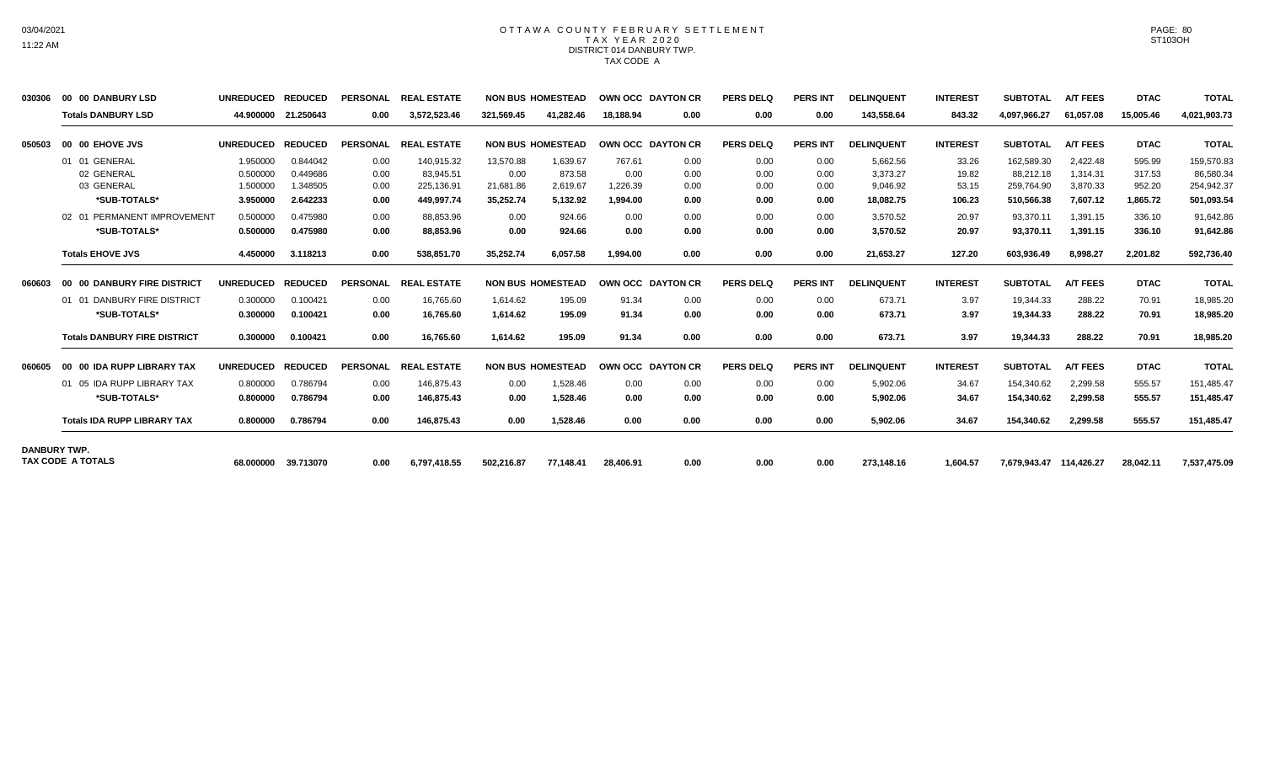## OTTAWA COUNTY FEBRUARY SETTLEMENT TAX YEAR 2020 DISTRICT 014 DANBURY TWP. TAX CODE A

| 030306              | 00 00 DANBURY LSD                   | <b>UNREDUCED</b> | <b>REDUCED</b> | <b>PERSONAL</b> | <b>REAL ESTATE</b> |            | <b>NON BUS HOMESTEAD</b> |           | OWN OCC DAYTON CR | <b>PERS DELQ</b> | <b>PERS INT</b> | <b>DELINQUENT</b> | <b>INTEREST</b> | <b>SUBTOTAL</b>         | <b>A/T FEES</b> | <b>DTAC</b> | <b>TOTAL</b> |
|---------------------|-------------------------------------|------------------|----------------|-----------------|--------------------|------------|--------------------------|-----------|-------------------|------------------|-----------------|-------------------|-----------------|-------------------------|-----------------|-------------|--------------|
|                     | <b>Totals DANBURY LSD</b>           | 44.900000        | 21.250643      | 0.00            | 3,572,523.46       | 321,569.45 | 41.282.46                | 18.188.94 | 0.00              | 0.00             | 0.00            | 143,558.64        | 843.32          | 4,097,966.27            | 61,057.08       | 15,005.46   | 4,021,903.73 |
| 050503              | 00 00 EHOVE JVS                     | <b>UNREDUCED</b> | <b>REDUCED</b> | <b>PERSONAL</b> | <b>REAL ESTATE</b> |            | <b>NON BUS HOMESTEAD</b> |           | OWN OCC DAYTON CR | <b>PERS DELQ</b> | <b>PERS INT</b> | <b>DELINQUENT</b> | <b>INTEREST</b> | <b>SUBTOTAL</b>         | <b>A/T FEES</b> | <b>DTAC</b> | <b>TOTAL</b> |
|                     | 01 01 GENERAL                       | 1.950000         | 0.844042       | 0.00            | 140,915.32         | 13,570.88  | 1,639.67                 | 767.61    | 0.00              | 0.00             | 0.00            | 5,662.56          | 33.26           | 162,589.30              | 2,422.48        | 595.99      | 159,570.83   |
|                     | 02 GENERAL                          | 0.500000         | 0.449686       | 0.00            | 83,945.51          | 0.00       | 873.58                   | 0.00      | 0.00              | 0.00             | 0.00            | 3,373.27          | 19.82           | 88,212.18               | 1.314.31        | 317.53      | 86,580.34    |
|                     | 03 GENERAL                          | 1.500000         | 1.348505       | 0.00            | 225,136.91         | 21,681.86  | 2,619.67                 | 1,226.39  | 0.00              | 0.00             | 0.00            | 9,046.92          | 53.15           | 259,764.90              | 3,870.33        | 952.20      | 254,942.37   |
|                     | *SUB-TOTALS*                        | 3.950000         | 2.642233       | 0.00            | 449,997.74         | 35,252.74  | 5,132.92                 | 1,994.00  | 0.00              | 0.00             | 0.00            | 18,082.75         | 106.23          | 510,566.38              | 7,607.12        | 1,865.72    | 501,093.54   |
|                     | 02 01 PERMANENT IMPROVEMENT         | 0.500000         | 0.475980       | 0.00            | 88.853.96          | 0.00       | 924.66                   | 0.00      | 0.00              | 0.00             | 0.00            | 3.570.52          | 20.97           | 93,370.11               | 1.391.15        | 336.10      | 91,642.86    |
|                     | *SUB-TOTALS*                        | 0.500000         | 0.475980       | 0.00            | 88,853.96          | 0.00       | 924.66                   | 0.00      | 0.00              | 0.00             | 0.00            | 3,570.52          | 20.97           | 93,370.11               | 1,391.15        | 336.10      | 91,642.86    |
|                     | <b>Totals EHOVE JVS</b>             | 4.450000         | 3.118213       | 0.00            | 538,851.70         | 35.252.74  | 6.057.58                 | 1.994.00  | 0.00              | 0.00             | 0.00            | 21,653.27         | 127.20          | 603,936.49              | 8,998.27        | 2,201.82    | 592,736.40   |
| 060603              | 00 00 DANBURY FIRE DISTRICT         | <b>UNREDUCED</b> | <b>REDUCED</b> | <b>PERSONAL</b> | <b>REAL ESTATE</b> |            | <b>NON BUS HOMESTEAD</b> |           | OWN OCC DAYTON CR | <b>PERS DELQ</b> | <b>PERS INT</b> | <b>DELINQUENT</b> | <b>INTEREST</b> | <b>SUBTOTAL</b>         | <b>A/T FEES</b> | <b>DTAC</b> | <b>TOTAL</b> |
|                     | 01 01 DANBURY FIRE DISTRICT         | 0.300000         | 0.100421       | 0.00            | 16.765.60          | 1.614.62   | 195.09                   | 91.34     | 0.00              | 0.00             | 0.00            | 673.71            | 3.97            | 19.344.33               | 288.22          | 70.91       | 18,985.20    |
|                     | *SUB-TOTALS*                        | 0.300000         | 0.100421       | 0.00            | 16,765.60          | 1.614.62   | 195.09                   | 91.34     | 0.00              | 0.00             | 0.00            | 673.71            | 3.97            | 19,344.33               | 288.22          | 70.91       | 18,985.20    |
|                     | <b>Totals DANBURY FIRE DISTRICT</b> | 0.300000         | 0.100421       | 0.00            | 16.765.60          | 1.614.62   | 195.09                   | 91.34     | 0.00              | 0.00             | 0.00            | 673.71            | 3.97            | 19,344.33               | 288.22          | 70.91       | 18,985.20    |
| 060605              | 00 00 IDA RUPP LIBRARY TAX          | <b>UNREDUCED</b> | <b>REDUCED</b> | <b>PERSONAL</b> | <b>REAL ESTATE</b> |            | <b>NON BUS HOMESTEAD</b> |           | OWN OCC DAYTON CR | <b>PERS DELQ</b> | <b>PERS INT</b> | <b>DELINQUENT</b> | <b>INTEREST</b> | <b>SUBTOTAL</b>         | <b>A/T FEES</b> | <b>DTAC</b> | <b>TOTAL</b> |
|                     | 01 05 IDA RUPP LIBRARY TAX          | 0.800000         | 0.786794       | 0.00            | 146,875.43         | 0.00       | 1,528.46                 | 0.00      | 0.00              | 0.00             | 0.00            | 5,902.06          | 34.67           | 154,340.62              | 2,299.58        | 555.57      | 151,485.47   |
|                     | *SUB-TOTALS*                        | 0.800000         | 0.786794       | 0.00            | 146,875.43         | 0.00       | 1,528.46                 | 0.00      | 0.00              | 0.00             | 0.00            | 5,902.06          | 34.67           | 154,340.62              | 2,299.58        | 555.57      | 151,485.47   |
|                     | <b>Totals IDA RUPP LIBRARY TAX</b>  | 0.800000         | 0.786794       | 0.00            | 146,875.43         | 0.00       | 1,528.46                 | 0.00      | 0.00              | 0.00             | 0.00            | 5,902.06          | 34.67           | 154,340.62              | 2,299.58        | 555.57      | 151,485.47   |
| <b>DANBURY TWP.</b> |                                     |                  |                |                 |                    |            |                          |           |                   |                  |                 |                   |                 |                         |                 |             |              |
|                     | <b>TAX CODE A TOTALS</b>            | 68.000000        | 39.713070      | 0.00            | 6,797,418.55       | 502,216.87 | 77,148.41                | 28,406.91 | 0.00              | 0.00             | 0.00            | 273,148.16        | 1,604.57        | 7,679,943.47 114,426.27 |                 | 28,042.11   | 7,537,475.09 |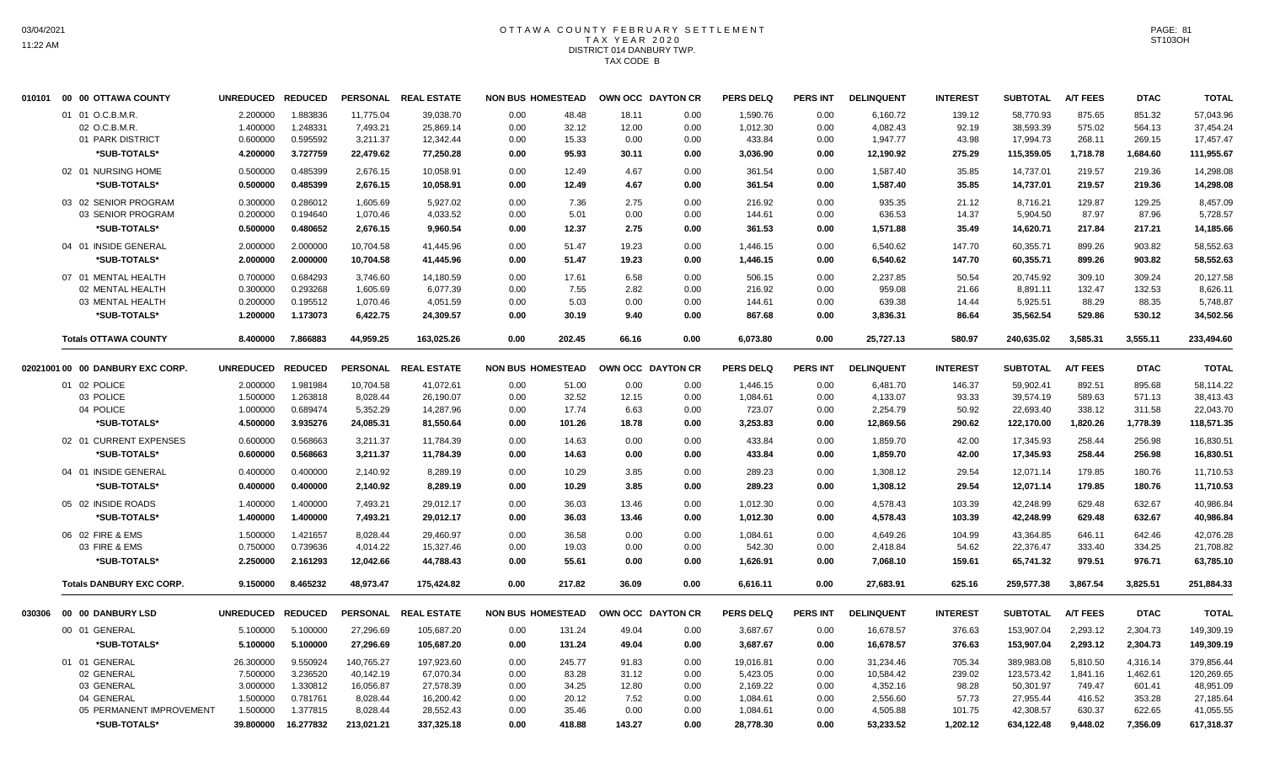# OTTAWA COUNTY FEBRUARY SETTLEMENT TAX YEAR 2020 DISTRICT 014 DANBURY TWP. TAX CODE B

| 010101 | 00 00 OTTAWA COUNTY              | <b>UNREDUCED</b> | <b>REDUCED</b> |                 | PERSONAL REAL ESTATE | <b>NON BUS HOMESTEAD</b> |        | OWN OCC DAYTON CR |      | <b>PERS DELQ</b> | <b>PERS INT</b> | <b>DELINQUENT</b> | <b>INTEREST</b> | <b>SUBTOTAL</b> | <b>A/T FEES</b> | <b>DTAC</b> | <b>TOTAL</b> |
|--------|----------------------------------|------------------|----------------|-----------------|----------------------|--------------------------|--------|-------------------|------|------------------|-----------------|-------------------|-----------------|-----------------|-----------------|-------------|--------------|
|        | 01 01 O.C.B.M.R.                 | 2.200000         | 1.883836       | 11,775.04       | 39,038.70            | 0.00                     | 48.48  | 18.11             | 0.00 | 1,590.76         | 0.00            | 6,160.72          | 139.12          | 58,770.93       | 875.65          | 851.32      | 57,043.96    |
|        | 02 O.C.B.M.R                     | 1.400000         | 1.248331       | 7,493.21        | 25,869.14            | 0.00                     | 32.12  | 12.00             | 0.00 | 1,012.30         | 0.00            | 4,082.43          | 92.19           | 38,593.39       | 575.02          | 564.13      | 37,454.24    |
|        | 01 PARK DISTRICT                 | 0.600000         | 0.595592       | 3,211.37        | 12,342.44            | 0.00                     | 15.33  | 0.00              | 0.00 | 433.84           | 0.00            | 1,947.77          | 43.98           | 17,994.73       | 268.11          | 269.15      | 17,457.47    |
|        | *SUB-TOTALS*                     | 4.200000         | 3.727759       | 22,479.62       | 77,250.28            | 0.00                     | 95.93  | 30.11             | 0.00 | 3,036.90         | 0.00            | 12,190.92         | 275.29          | 115,359.05      | 1,718.78        | 1,684.60    | 111,955.67   |
|        | 02 01 NURSING HOME               | 0.500000         | 0.485399       | 2,676.15        | 10,058.91            | 0.00                     | 12.49  | 4.67              | 0.00 | 361.54           | 0.00            | 1,587.40          | 35.85           | 14,737.01       | 219.57          | 219.36      | 14,298.08    |
|        | *SUB-TOTALS*                     | 0.500000         | 0.485399       | 2,676.15        | 10,058.91            | 0.00                     | 12.49  | 4.67              | 0.00 | 361.54           | 0.00            | 1,587.40          | 35.85           | 14,737.01       | 219.57          | 219.36      | 14,298.08    |
|        | 03 02 SENIOR PROGRAM             | 0.300000         | 0.286012       | 1,605.69        | 5,927.02             | 0.00                     | 7.36   | 2.75              | 0.00 | 216.92           | 0.00            | 935.35            | 21.12           | 8,716.21        | 129.87          | 129.25      | 8,457.09     |
|        | 03 SENIOR PROGRAM                | 0.200000         | 0.194640       | 1,070.46        | 4,033.52             | 0.00                     | 5.01   | 0.00              | 0.00 | 144.61           | 0.00            | 636.53            | 14.37           | 5,904.50        | 87.97           | 87.96       | 5,728.57     |
|        | *SUB-TOTALS*                     | 0.500000         | 0.480652       | 2,676.15        | 9,960.54             | 0.00                     | 12.37  | 2.75              | 0.00 | 361.53           | 0.00            | 1,571.88          | 35.49           | 14,620.71       | 217.84          | 217.21      | 14,185.66    |
|        | 04 01 INSIDE GENERAL             | 2.000000         | 2.000000       | 10,704.58       | 41,445.96            | 0.00                     | 51.47  | 19.23             | 0.00 | 1,446.15         | 0.00            | 6,540.62          | 147.70          | 60,355.71       | 899.26          | 903.82      | 58,552.63    |
|        | *SUB-TOTALS*                     | 2.000000         | 2.000000       | 10,704.58       | 41,445.96            | 0.00                     | 51.47  | 19.23             | 0.00 | 1,446.15         | 0.00            | 6,540.62          | 147.70          | 60,355.71       | 899.26          | 903.82      | 58,552.63    |
|        | 07 01 MENTAL HEALTH              | 0.700000         | 0.684293       | 3,746.60        | 14,180.59            | 0.00                     | 17.61  | 6.58              | 0.00 | 506.15           | 0.00            | 2,237.85          | 50.54           | 20,745.92       | 309.10          | 309.24      | 20,127.58    |
|        | 02 MENTAL HEALTH                 | 0.300000         | 0.293268       | 1,605.69        | 6,077.39             | 0.00                     | 7.55   | 2.82              | 0.00 | 216.92           | 0.00            | 959.08            | 21.66           | 8,891.11        | 132.47          | 132.53      | 8,626.11     |
|        | 03 MENTAL HEALTH                 | 0.200000         | 0.195512       | 1,070.46        | 4,051.59             | 0.00                     | 5.03   | 0.00              | 0.00 | 144.61           | 0.00            | 639.38            | 14.44           | 5,925.51        | 88.29           | 88.35       | 5,748.87     |
|        | *SUB-TOTALS*                     | 1.200000         | 1.173073       | 6,422.75        | 24,309.57            | 0.00                     | 30.19  | 9.40              | 0.00 | 867.68           | 0.00            | 3,836.31          | 86.64           | 35,562.54       | 529.86          | 530.12      | 34,502.56    |
|        | <b>Totals OTTAWA COUNTY</b>      | 8.400000         | 7.866883       | 44,959.25       | 163,025.26           | 0.00                     | 202.45 | 66.16             | 0.00 | 6,073.80         | 0.00            | 25,727.13         | 580.97          | 240,635.02      | 3,585.31        | 3,555.11    | 233,494.60   |
|        |                                  |                  |                |                 |                      |                          |        |                   |      |                  |                 |                   |                 |                 |                 |             |              |
|        | 02021001 00 00 DANBURY EXC CORP. | <b>UNREDUCED</b> | <b>REDUCED</b> |                 | PERSONAL REAL ESTATE | <b>NON BUS HOMESTEAD</b> |        | OWN OCC DAYTON CR |      | <b>PERS DELQ</b> | <b>PERS INT</b> | <b>DELINQUENT</b> | <b>INTEREST</b> | <b>SUBTOTAL</b> | <b>A/T FEES</b> | <b>DTAC</b> | <b>TOTAL</b> |
|        | 01 02 POLICE                     | 2.000000         | 1.981984       | 10,704.58       | 41,072.61            | 0.00                     | 51.00  | 0.00              | 0.00 | 1,446.15         | 0.00            | 6,481.70          | 146.37          | 59,902.41       | 892.51          | 895.68      | 58,114.22    |
|        | 03 POLICE                        | 1.500000         | 1.263818       | 8.028.44        | 26,190.07            | 0.00                     | 32.52  | 12.15             | 0.00 | 1,084.61         | 0.00            | 4,133.07          | 93.33           | 39.574.19       | 589.63          | 571.13      | 38,413.43    |
|        | 04 POLICE                        | 1.000000         | 0.689474       | 5,352.29        | 14,287.96            | 0.00                     | 17.74  | 6.63              | 0.00 | 723.07           | 0.00            | 2,254.79          | 50.92           | 22,693.40       | 338.12          | 311.58      | 22,043.70    |
|        | *SUB-TOTALS*                     | 4.500000         | 3.935276       | 24,085.31       | 81,550.64            | 0.00                     | 101.26 | 18.78             | 0.00 | 3,253.83         | 0.00            | 12,869.56         | 290.62          | 122,170.00      | 1,820.26        | 1,778.39    | 118,571.35   |
|        | 02 01 CURRENT EXPENSES           | 0.600000         | 0.568663       | 3,211.37        | 11,784.39            | 0.00                     | 14.63  | 0.00              | 0.00 | 433.84           | 0.00            | 1,859.70          | 42.00           | 17,345.93       | 258.44          | 256.98      | 16,830.51    |
|        | *SUB-TOTALS*                     | 0.600000         | 0.568663       | 3,211.37        | 11,784.39            | 0.00                     | 14.63  | 0.00              | 0.00 | 433.84           | 0.00            | 1,859.70          | 42.00           | 17,345.93       | 258.44          | 256.98      | 16,830.51    |
|        | 04 01 INSIDE GENERAL             |                  | 0.400000       |                 |                      |                          |        |                   |      |                  |                 |                   |                 |                 |                 |             |              |
|        |                                  | 0.400000         |                | 2,140.92        | 8,289.19             | 0.00                     | 10.29  | 3.85              | 0.00 | 289.23           | 0.00            | 1,308.12          | 29.54           | 12,071.14       | 179.85          | 180.76      | 11,710.53    |
|        | *SUB-TOTALS*                     | 0.400000         | 0.400000       | 2,140.92        | 8,289.19             | 0.00                     | 10.29  | 3.85              | 0.00 | 289.23           | 0.00            | 1,308.12          | 29.54           | 12,071.14       | 179.85          | 180.76      | 11,710.53    |
|        | 05 02 INSIDE ROADS               | 1.400000         | 1.400000       | 7,493.21        | 29,012.17            | 0.00                     | 36.03  | 13.46             | 0.00 | 1,012.30         | 0.00            | 4,578.43          | 103.39          | 42,248.99       | 629.48          | 632.67      | 40,986.84    |
|        | *SUB-TOTALS*                     | 1.400000         | 1.400000       | 7,493.21        | 29,012.17            | 0.00                     | 36.03  | 13.46             | 0.00 | 1,012.30         | 0.00            | 4,578.43          | 103.39          | 42,248.99       | 629.48          | 632.67      | 40,986.84    |
|        | 06 02 FIRE & EMS                 | 1.500000         | 1.421657       | 8,028.44        | 29,460.97            | 0.00                     | 36.58  | 0.00              | 0.00 | 1,084.61         | 0.00            | 4,649.26          | 104.99          | 43,364.85       | 646.11          | 642.46      | 42,076.28    |
|        | 03 FIRE & EMS                    | 0.750000         | 0.739636       | 4,014.22        | 15,327.46            | 0.00                     | 19.03  | 0.00              | 0.00 | 542.30           | 0.00            | 2,418.84          | 54.62           | 22,376.47       | 333.40          | 334.25      | 21,708.82    |
|        | *SUB-TOTALS*                     | 2.250000         | 2.161293       | 12,042.66       | 44,788.43            | 0.00                     | 55.61  | 0.00              | 0.00 | 1,626.91         | 0.00            | 7,068.10          | 159.61          | 65,741.32       | 979.51          | 976.71      | 63,785.10    |
|        | <b>Totals DANBURY EXC CORP.</b>  | 9.150000         | 8.465232       | 48,973.47       | 175,424.82           | 0.00                     | 217.82 | 36.09             | 0.00 | 6,616.11         | 0.00            | 27,683.91         | 625.16          | 259,577.38      | 3,867.54        | 3,825.51    | 251,884.33   |
|        |                                  |                  |                |                 |                      |                          |        |                   |      |                  |                 |                   |                 |                 |                 |             |              |
| 030306 | 00 00 DANBURY LSD                | <b>UNREDUCED</b> | <b>REDUCED</b> | <b>PERSONAL</b> | <b>REAL ESTATE</b>   | <b>NON BUS HOMESTEAD</b> |        | OWN OCC DAYTON CR |      | <b>PERS DELQ</b> | <b>PERS INT</b> | <b>DELINQUENT</b> | <b>INTEREST</b> | <b>SUBTOTAL</b> | <b>A/T FEES</b> | <b>DTAC</b> | <b>TOTAL</b> |
|        | 00 01 GENERAL                    | 5.100000         | 5.100000       | 27,296.69       | 105,687.20           | 0.00                     | 131.24 | 49.04             | 0.00 | 3,687.67         | 0.00            | 16,678.57         | 376.63          | 153,907.04      | 2,293.12        | 2,304.73    | 149,309.19   |
|        | *SUB-TOTALS*                     | 5.100000         | 5.100000       | 27,296.69       | 105,687.20           | 0.00                     | 131.24 | 49.04             | 0.00 | 3,687.67         | 0.00            | 16,678.57         | 376.63          | 153,907.04      | 2,293.12        | 2,304.73    | 149,309.19   |
|        | 01 01 GENERAL                    | 26.300000        | 9.550924       | 140,765.27      | 197,923.60           | 0.00                     | 245.77 | 91.83             | 0.00 | 19,016.81        | 0.00            | 31,234.46         | 705.34          | 389,983.08      | 5,810.50        | 4,316.14    | 379,856.44   |
|        | 02 GENERAL                       | 7.500000         | 3.236520       | 40,142.19       | 67,070.34            | 0.00                     | 83.28  | 31.12             | 0.00 | 5,423.05         | 0.00            | 10,584.42         | 239.02          | 123,573.42      | 1,841.16        | 1,462.61    | 120,269.65   |
|        | 03 GENERAL                       | 3.000000         | 1.330812       | 16,056.87       | 27,578.39            | 0.00                     | 34.25  | 12.80             | 0.00 | 2,169.22         | 0.00            | 4,352.16          | 98.28           | 50,301.97       | 749.47          | 601.41      | 48,951.09    |
|        | 04 GENERAL                       | 1.500000         | 0.781761       | 8,028.44        | 16,200.42            | 0.00                     | 20.12  | 7.52              | 0.00 | 1,084.61         | 0.00            | 2,556.60          | 57.73           | 27,955.44       | 416.52          | 353.28      | 27,185.64    |
|        | 05 PERMANENT IMPROVEMENT         | 1.500000         | 1.377815       | 8,028.44        | 28,552.43            | 0.00                     | 35.46  | 0.00              | 0.00 | 1,084.61         | 0.00            | 4,505.88          | 101.75          | 42,308.57       | 630.37          | 622.65      | 41,055.55    |
|        | *SUB-TOTALS*                     | 39.800000        | 16.277832      | 213,021.21      | 337,325.18           | 0.00                     | 418.88 | 143.27            | 0.00 | 28,778.30        | 0.00            | 53,233.52         | 1,202.12        | 634,122.48      | 9,448.02        | 7,356.09    | 617,318.37   |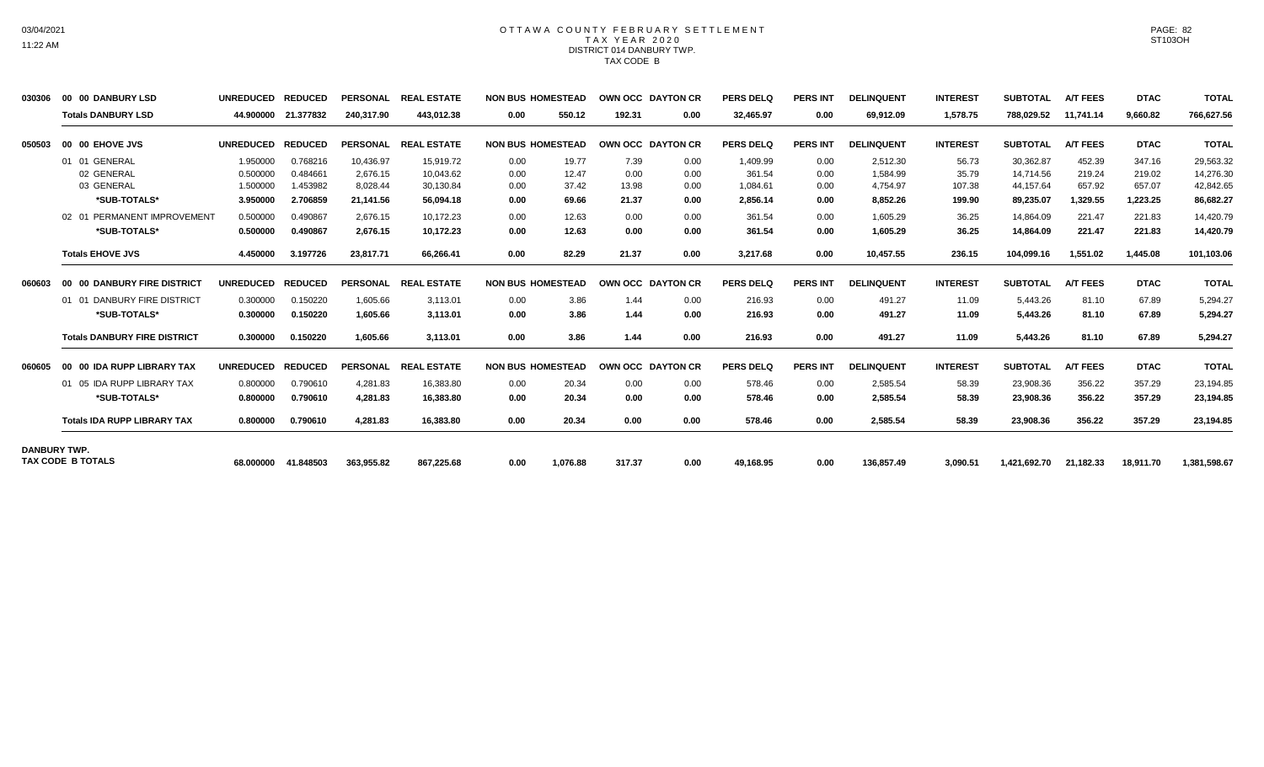## OTTAWA COUNTY FEBRUARY SETTLEMENT TAX YEAR 2020 DISTRICT 014 DANBURY TWP. TAX CODE B

| 030306              | 00 00 DANBURY LSD                   | <b>UNREDUCED</b> | <b>REDUCED</b> | <b>PERSONAL</b> | <b>REAL ESTATE</b> |      | <b>NON BUS HOMESTEAD</b> |        | OWN OCC DAYTON CR        | <b>PERS DELQ</b> | <b>PERS INT</b> | <b>DELINQUENT</b> | <b>INTEREST</b> | <b>SUBTOTAL</b> | <b>A/T FEES</b> | <b>DTAC</b> | <b>TOTAL</b> |
|---------------------|-------------------------------------|------------------|----------------|-----------------|--------------------|------|--------------------------|--------|--------------------------|------------------|-----------------|-------------------|-----------------|-----------------|-----------------|-------------|--------------|
|                     | <b>Totals DANBURY LSD</b>           | 44.900000        | 21.377832      | 240,317.90      | 443.012.38         | 0.00 | 550.12                   | 192.31 | 0.00                     | 32,465.97        | 0.00            | 69,912.09         | 1,578.75        | 788,029.52      | 11.741.14       | 9,660.82    | 766,627.56   |
| 050503              | 00 00 EHOVE JVS                     | <b>UNREDUCED</b> | <b>REDUCED</b> | <b>PERSONAL</b> | <b>REAL ESTATE</b> |      | <b>NON BUS HOMESTEAD</b> |        | OWN OCC DAYTON CR        | <b>PERS DELQ</b> | <b>PERS INT</b> | <b>DELINQUENT</b> | <b>INTEREST</b> | <b>SUBTOTAL</b> | <b>A/T FEES</b> | <b>DTAC</b> | <b>TOTAL</b> |
|                     | 01 01 GENERAL                       | 1.950000         | 0.768216       | 10.436.97       | 15.919.72          | 0.00 | 19.77                    | 7.39   | 0.00                     | 1,409.99         | 0.00            | 2,512.30          | 56.73           | 30.362.87       | 452.39          | 347.16      | 29,563.32    |
|                     | 02 GENERAL                          | 0.500000         | 0.484661       | 2.676.15        | 10.043.62          | 0.00 | 12.47                    | 0.00   | 0.00                     | 361.54           | 0.00            | 1.584.99          | 35.79           | 14.714.56       | 219.24          | 219.02      | 14,276.30    |
|                     | 03 GENERAL                          | 1.500000         | 1.453982       | 8,028.44        | 30,130.84          | 0.00 | 37.42                    | 13.98  | 0.00                     | 1,084.61         | 0.00            | 4,754.97          | 107.38          | 44,157.64       | 657.92          | 657.07      | 42,842.65    |
|                     | *SUB-TOTALS*                        | 3.950000         | 2.706859       | 21,141.56       | 56,094.18          | 0.00 | 69.66                    | 21.37  | 0.00                     | 2,856.14         | 0.00            | 8,852.26          | 199.90          | 89,235.07       | 1,329.55        | 1,223.25    | 86,682.27    |
|                     | 02 01 PERMANENT IMPROVEMENT         | 0.500000         | 0.490867       | 2.676.15        | 10.172.23          | 0.00 | 12.63                    | 0.00   | 0.00                     | 361.54           | 0.00            | 1.605.29          | 36.25           | 14.864.09       | 221.47          | 221.83      | 14,420.79    |
|                     | *SUB-TOTALS*                        | 0.500000         | 0.490867       | 2,676.15        | 10,172.23          | 0.00 | 12.63                    | 0.00   | 0.00                     | 361.54           | 0.00            | 1,605.29          | 36.25           | 14,864.09       | 221.47          | 221.83      | 14,420.79    |
|                     | <b>Totals EHOVE JVS</b>             | 4.450000         | 3.197726       | 23,817.71       | 66,266.41          | 0.00 | 82.29                    | 21.37  | 0.00                     | 3,217.68         | 0.00            | 10,457.55         | 236.15          | 104,099.16      | 1,551.02        | 1,445.08    | 101,103.06   |
| 060603              | 00 00 DANBURY FIRE DISTRICT         | <b>UNREDUCED</b> | <b>REDUCED</b> | <b>PERSONAL</b> | <b>REAL ESTATE</b> |      | <b>NON BUS HOMESTEAD</b> |        | <b>OWN OCC DAYTON CR</b> | <b>PERS DELQ</b> | <b>PERS INT</b> | <b>DELINQUENT</b> | <b>INTEREST</b> | <b>SUBTOTAL</b> | <b>A/T FEES</b> | <b>DTAC</b> | <b>TOTAL</b> |
|                     | 01 01 DANBURY FIRE DISTRICT         | 0.300000         | 0.150220       | 1.605.66        | 3,113.01           | 0.00 | 3.86                     | 1.44   | 0.00                     | 216.93           | 0.00            | 491.27            | 11.09           | 5.443.26        | 81.10           | 67.89       | 5,294.27     |
|                     | *SUB-TOTALS*                        | 0.300000         | 0.150220       | 1.605.66        | 3,113.01           | 0.00 | 3.86                     | 1.44   | 0.00                     | 216.93           | 0.00            | 491.27            | 11.09           | 5,443.26        | 81.10           | 67.89       | 5,294.27     |
|                     | <b>Totals DANBURY FIRE DISTRICT</b> | 0.300000         | 0.150220       | 1.605.66        | 3.113.01           | 0.00 | 3.86                     | 1.44   | 0.00                     | 216.93           | 0.00            | 491.27            | 11.09           | 5,443.26        | 81.10           | 67.89       | 5,294.27     |
| 060605              | 00 00 IDA RUPP LIBRARY TAX          | <b>UNREDUCED</b> | <b>REDUCED</b> | <b>PERSONAL</b> | <b>REAL ESTATE</b> |      | <b>NON BUS HOMESTEAD</b> |        | <b>OWN OCC DAYTON CR</b> | <b>PERS DELQ</b> | <b>PERS INT</b> | <b>DELINQUENT</b> | <b>INTEREST</b> | <b>SUBTOTAL</b> | <b>A/T FEES</b> | <b>DTAC</b> | <b>TOTAL</b> |
|                     | 01 05 IDA RUPP LIBRARY TAX          | 0.800000         | 0.790610       | 4.281.83        | 16.383.80          | 0.00 | 20.34                    | 0.00   | 0.00                     | 578.46           | 0.00            | 2,585.54          | 58.39           | 23,908.36       | 356.22          | 357.29      | 23,194.85    |
|                     | *SUB-TOTALS*                        | 0.800000         | 0.790610       | 4.281.83        | 16.383.80          | 0.00 | 20.34                    | 0.00   | 0.00                     | 578.46           | 0.00            | 2.585.54          | 58.39           | 23,908.36       | 356.22          | 357.29      | 23,194.85    |
|                     | <b>Totals IDA RUPP LIBRARY TAX</b>  | 0.800000         | 0.790610       | 4,281.83        | 16,383.80          | 0.00 | 20.34                    | 0.00   | 0.00                     | 578.46           | 0.00            | 2,585.54          | 58.39           | 23,908.36       | 356.22          | 357.29      | 23,194.85    |
| <b>DANBURY TWP.</b> |                                     |                  |                |                 |                    |      |                          |        |                          |                  |                 |                   |                 |                 |                 |             |              |
|                     | <b>TAX CODE B TOTALS</b>            | 68.000000        | 41.848503      | 363,955.82      | 867,225.68         | 0.00 | 1,076.88                 | 317.37 | 0.00                     | 49,168.95        | 0.00            | 136,857.49        | 3,090.51        | 1,421,692.70    | 21,182.33       | 18,911.70   | 1,381,598.67 |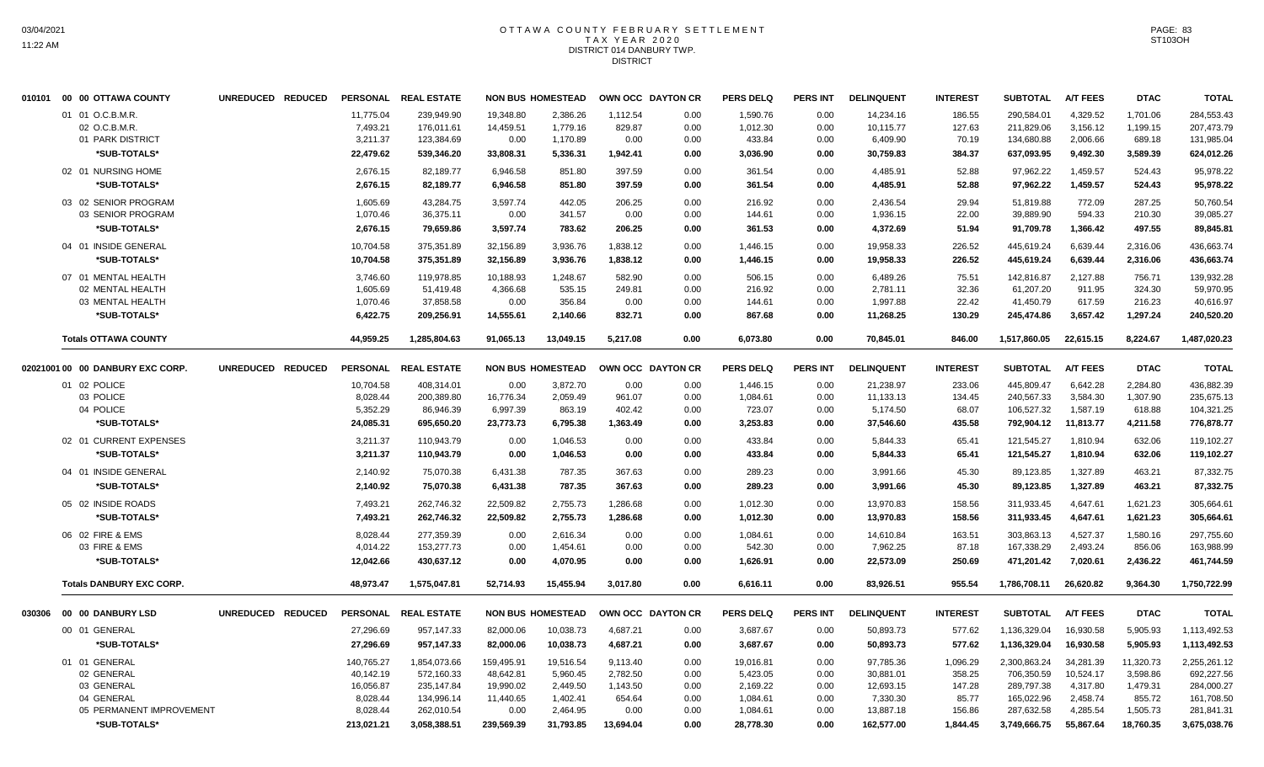### OTTAWA COUNTY FEBRUARY SETTLEMENT TAX YEAR 2020 DISTRICT 014 DANBURY TWP. **DISTRICT**

|  | 010101 00 00 OTTAWA COUNTY                            | UNREDUCED REDUCED |                                   | PERSONAL REAL ESTATE                   |                                | <b>NON BUS HOMESTEAD</b>         | OWN OCC DAYTON CR          |                      | <b>PERS DELQ</b>               | <b>PERS INT</b>      | <b>DELINQUENT</b>                  | <b>INTEREST</b>           | <b>SUBTOTAL</b>                        | <b>A/T FEES</b>                  | <b>DTAC</b>                    | <b>TOTAL</b>                           |
|--|-------------------------------------------------------|-------------------|-----------------------------------|----------------------------------------|--------------------------------|----------------------------------|----------------------------|----------------------|--------------------------------|----------------------|------------------------------------|---------------------------|----------------------------------------|----------------------------------|--------------------------------|----------------------------------------|
|  | 01 01 O.C.B.M.R.<br>02 O.C.B.M.R.<br>01 PARK DISTRICT |                   | 11.775.04<br>7,493.21<br>3,211.37 | 239.949.90<br>176,011.61<br>123,384.69 | 19.348.80<br>14,459.51<br>0.00 | 2,386.26<br>1,779.16<br>1,170.89 | 1,112.54<br>829.87<br>0.00 | 0.00<br>0.00<br>0.00 | 1,590.76<br>1,012.30<br>433.84 | 0.00<br>0.00<br>0.00 | 14,234.16<br>10,115.77<br>6,409.90 | 186.55<br>127.63<br>70.19 | 290.584.01<br>211,829.06<br>134,680.88 | 4.329.52<br>3,156.12<br>2,006.66 | 1,701.06<br>1,199.15<br>689.18 | 284,553.43<br>207,473.79<br>131,985.04 |
|  | *SUB-TOTALS*                                          |                   | 22,479.62                         | 539,346.20                             | 33,808.31                      | 5,336.31                         | 1,942.41                   | 0.00                 | 3,036.90                       | 0.00                 | 30,759.83                          | 384.37                    | 637,093.95                             | 9,492.30                         | 3,589.39                       | 624,012.26                             |
|  | 02 01 NURSING HOME<br>*SUB-TOTALS*                    |                   | 2,676.15<br>2,676.15              | 82,189.77<br>82,189.77                 | 6,946.58<br>6,946.58           | 851.80<br>851.80                 | 397.59<br>397.59           | 0.00<br>0.00         | 361.54<br>361.54               | 0.00<br>0.00         | 4,485.91<br>4,485.91               | 52.88<br>52.88            | 97,962.22<br>97,962.22                 | 1,459.57<br>1,459.57             | 524.43<br>524.43               | 95,978.22<br>95,978.22                 |
|  | 03 02 SENIOR PROGRAM                                  |                   | 1,605.69                          | 43,284.75                              | 3,597.74                       | 442.05                           | 206.25                     | 0.00                 | 216.92                         | 0.00                 | 2,436.54                           | 29.94                     | 51,819.88                              | 772.09                           | 287.25                         | 50,760.54                              |
|  | 03 SENIOR PROGRAM                                     |                   | 1,070.46                          | 36,375.11                              | 0.00                           | 341.57                           | 0.00                       | 0.00                 | 144.61                         | 0.00                 | 1,936.15                           | 22.00                     | 39,889.90                              | 594.33                           | 210.30                         | 39,085.27                              |
|  | *SUB-TOTALS*                                          |                   | 2,676.15                          | 79,659.86                              | 3,597.74                       | 783.62                           | 206.25                     | 0.00                 | 361.53                         | 0.00                 | 4,372.69                           | 51.94                     | 91,709.78                              | 1,366.42                         | 497.55                         | 89,845.81                              |
|  | 04 01 INSIDE GENERAL                                  |                   | 10,704.58                         | 375,351.89                             | 32,156.89                      | 3,936.76                         | 1,838.12                   | 0.00                 | 1,446.15                       | 0.00                 | 19,958.33                          | 226.52                    | 445,619.24                             | 6,639.44                         | 2,316.06                       | 436,663.74                             |
|  | *SUB-TOTALS*                                          |                   | 10,704.58                         | 375,351.89                             | 32,156.89                      | 3,936.76                         | 1,838.12                   | 0.00                 | 1,446.15                       | 0.00                 | 19,958.33                          | 226.52                    | 445,619.24                             | 6,639.44                         | 2,316.06                       | 436,663.74                             |
|  | 07 01 MENTAL HEALTH                                   |                   | 3,746.60                          | 119,978.85                             | 10,188.93                      | 1,248.67                         | 582.90                     | 0.00                 | 506.15                         | 0.00                 | 6,489.26                           | 75.51                     | 142,816.87                             | 2,127.88                         | 756.71                         | 139,932.28                             |
|  | 02 MENTAL HEALTH                                      |                   | 1,605.69                          | 51,419.48                              | 4,366.68                       | 535.15                           | 249.81                     | 0.00                 | 216.92                         | 0.00                 | 2,781.11                           | 32.36                     | 61,207.20                              | 911.95                           | 324.30                         | 59,970.95                              |
|  | 03 MENTAL HEALTH                                      |                   | 1,070.46                          | 37,858.58                              | 0.00                           | 356.84                           | 0.00                       | 0.00                 | 144.61                         | 0.00                 | 1,997.88                           | 22.42                     | 41,450.79                              | 617.59                           | 216.23                         | 40,616.97                              |
|  | *SUB-TOTALS*                                          |                   | 6,422.75                          | 209,256.91                             | 14,555.61                      | 2,140.66                         | 832.71                     | 0.00                 | 867.68                         | 0.00                 | 11,268.25                          | 130.29                    | 245,474.86                             | 3,657.42                         | 1,297.24                       | 240,520.20                             |
|  | <b>Totals OTTAWA COUNTY</b>                           |                   | 44,959.25                         | 1,285,804.63                           | 91,065.13                      | 13,049.15                        | 5,217.08                   | 0.00                 | 6,073.80                       | 0.00                 | 70,845.01                          | 846.00                    | 1,517,860.05                           | 22,615.15                        | 8,224.67                       | 1,487,020.23                           |
|  | 02021001 00 00 DANBURY EXC CORP.                      | UNREDUCED REDUCED |                                   | PERSONAL REAL ESTATE                   |                                | <b>NON BUS HOMESTEAD</b>         | OWN OCC DAYTON CR          |                      | <b>PERS DELQ</b>               | <b>PERS INT</b>      | <b>DELINQUENT</b>                  | <b>INTEREST</b>           | <b>SUBTOTAL</b>                        | <b>A/T FEES</b>                  | <b>DTAC</b>                    | <b>TOTAL</b>                           |
|  | 01 02 POLICE                                          |                   | 10,704.58                         | 408,314.01                             | 0.00                           | 3,872.70                         | 0.00                       | 0.00                 | 1,446.15                       | 0.00                 | 21,238.97                          | 233.06                    | 445,809.47                             | 6,642.28                         | 2,284.80                       | 436,882.39                             |
|  | 03 POLICE                                             |                   | 8,028.44                          | 200,389.80                             | 16,776.34                      | 2,059.49                         | 961.07                     | 0.00                 | 1,084.61                       | 0.00                 | 11,133.13                          | 134.45                    | 240,567.33                             | 3,584.30                         | 1,307.90                       | 235,675.13                             |
|  | 04 POLICE                                             |                   | 5,352.29                          | 86,946.39                              | 6,997.39                       | 863.19                           | 402.42                     | 0.00                 | 723.07                         | 0.00                 | 5,174.50                           | 68.07                     | 106,527.32                             | 1,587.19                         | 618.88                         | 104,321.25                             |
|  | *SUB-TOTALS*                                          |                   | 24,085.31                         | 695,650.20                             | 23,773.73                      | 6,795.38                         | 1,363.49                   | 0.00                 | 3,253.83                       | 0.00                 | 37,546.60                          | 435.58                    | 792,904.12                             | 11,813.77                        | 4,211.58                       | 776,878.77                             |
|  | 02 01 CURRENT EXPENSES                                |                   | 3,211.37                          | 110,943.79                             | 0.00                           | 1,046.53                         | 0.00                       | 0.00                 | 433.84                         | 0.00                 | 5,844.33                           | 65.41                     | 121,545.27                             | 1,810.94                         | 632.06                         | 119,102.27                             |
|  | *SUB-TOTALS*                                          |                   | 3,211.37                          | 110,943.79                             | 0.00                           | 1,046.53                         | 0.00                       | 0.00                 | 433.84                         | 0.00                 | 5,844.33                           | 65.41                     | 121,545.27                             | 1,810.94                         | 632.06                         | 119,102.27                             |
|  | 04 01 INSIDE GENERAL                                  |                   | 2,140.92                          | 75,070.38                              | 6,431.38                       | 787.35                           | 367.63                     | 0.00                 | 289.23                         | 0.00                 | 3,991.66                           | 45.30                     | 89,123.85                              | 1,327.89                         | 463.21                         | 87,332.75                              |
|  | *SUB-TOTALS*                                          |                   | 2,140.92                          | 75,070.38                              | 6,431.38                       | 787.35                           | 367.63                     | 0.00                 | 289.23                         | 0.00                 | 3,991.66                           | 45.30                     | 89,123.85                              | 1,327.89                         | 463.21                         | 87,332.75                              |
|  | 05 02 INSIDE ROADS                                    |                   | 7,493.21                          | 262,746.32                             | 22,509.82                      | 2,755.73                         | 1,286.68                   | 0.00                 | 1,012.30                       | 0.00                 | 13,970.83                          | 158.56                    | 311,933.45                             | 4,647.61                         | 1,621.23                       | 305,664.61                             |
|  | *SUB-TOTALS*                                          |                   | 7,493.21                          | 262,746.32                             | 22,509.82                      | 2,755.73                         | 1,286.68                   | 0.00                 | 1,012.30                       | 0.00                 | 13,970.83                          | 158.56                    | 311,933.45                             | 4,647.61                         | 1,621.23                       | 305,664.61                             |
|  | 06 02 FIRE & EMS                                      |                   | 8,028.44                          | 277,359.39                             | 0.00                           | 2,616.34                         | 0.00                       | 0.00                 | 1,084.61                       | 0.00                 | 14,610.84                          | 163.51                    | 303,863.13                             | 4,527.37                         | 1,580.16                       | 297,755.60                             |
|  | 03 FIRE & EMS                                         |                   | 4,014.22                          | 153,277.73                             | 0.00                           | 1,454.61                         | 0.00                       | 0.00                 | 542.30                         | 0.00                 | 7,962.25                           | 87.18                     | 167,338.29                             | 2,493.24                         | 856.06                         | 163,988.99                             |
|  | *SUB-TOTALS*                                          |                   | 12,042.66                         | 430,637.12                             | 0.00                           | 4,070.95                         | 0.00                       | 0.00                 | 1,626.91                       | 0.00                 | 22,573.09                          | 250.69                    | 471,201.42                             | 7,020.61                         | 2,436.22                       | 461,744.59                             |
|  | <b>Totals DANBURY EXC CORP.</b>                       |                   | 48,973.47                         | 1,575,047.81                           | 52,714.93                      | 15,455.94                        | 3,017.80                   | 0.00                 | 6,616.11                       | 0.00                 | 83,926.51                          | 955.54                    | 1,786,708.11                           | 26,620.82                        | 9,364.30                       | 1,750,722.99                           |
|  | 030306 00 00 DANBURY LSD                              | UNREDUCED REDUCED |                                   | PERSONAL REAL ESTATE                   |                                | <b>NON BUS HOMESTEAD</b>         | OWN OCC DAYTON CR          |                      | <b>PERS DELQ</b>               | <b>PERS INT</b>      | <b>DELINQUENT</b>                  | <b>INTEREST</b>           | <b>SUBTOTAL</b>                        | <b>A/T FEES</b>                  | <b>DTAC</b>                    | <b>TOTAL</b>                           |
|  | 00 01 GENERAL                                         |                   | 27,296.69                         | 957,147.33                             | 82,000.06                      | 10,038.73                        | 4,687.21                   | 0.00                 | 3,687.67                       | 0.00                 | 50,893.73                          | 577.62                    | 1,136,329.04                           | 16,930.58                        | 5,905.93                       | 1,113,492.53                           |
|  | *SUB-TOTALS*                                          |                   | 27,296.69                         | 957,147.33                             | 82,000.06                      | 10,038.73                        | 4,687.21                   | 0.00                 | 3,687.67                       | 0.00                 | 50,893.73                          | 577.62                    | 1,136,329.04                           | 16,930.58                        | 5,905.93                       | 1,113,492.53                           |
|  | 01 01 GENERAL                                         |                   | 140,765.27                        | 1,854,073.66                           | 159,495.91                     | 19,516.54                        | 9,113.40                   | 0.00                 | 19,016.81                      | 0.00                 | 97,785.36                          | 1,096.29                  | 2,300,863.24                           | 34,281.39                        | 11,320.73                      | 2,255,261.12                           |
|  | 02 GENERAL                                            |                   | 40,142.19                         | 572,160.33                             | 48,642.81                      | 5,960.45                         | 2,782.50                   | 0.00                 | 5,423.05                       | 0.00                 | 30,881.01                          | 358.25                    | 706,350.59                             | 10,524.17                        | 3,598.86                       | 692,227.56                             |
|  | 03 GENERAL                                            |                   | 16,056.87                         | 235, 147.84                            | 19,990.02                      | 2,449.50                         | 1,143.50                   | 0.00                 | 2,169.22                       | 0.00                 | 12,693.15                          | 147.28                    | 289,797.38                             | 4,317.80                         | 1,479.31                       | 284,000.27                             |
|  | 04 GENERAL                                            |                   | 8,028.44                          | 134,996.14                             | 11,440.65                      | 1,402.41                         | 654.64                     | 0.00                 | 1,084.61                       | 0.00                 | 7,330.30                           | 85.77                     | 165,022.96                             | 2,458.74                         | 855.72                         | 161,708.50                             |
|  | 05 PERMANENT IMPROVEMENT                              |                   | 8,028.44                          | 262,010.54                             | 0.00                           | 2,464.95                         | 0.00                       | 0.00                 | 1,084.61                       | 0.00                 | 13,887.18                          | 156.86                    | 287,632.58                             | 4,285.54                         | 1,505.73                       | 281,841.31                             |
|  | *SUB-TOTALS*                                          |                   | 213.021.21                        | 3.058.388.51                           | 239.569.39                     | 31.793.85                        | 13.694.04                  | 0.00                 | 28.778.30                      | 0.00                 | 162.577.00                         | 1.844.45                  | 3.749.666.75                           | 55.867.64                        | 18.760.35                      | 3.675.038.76                           |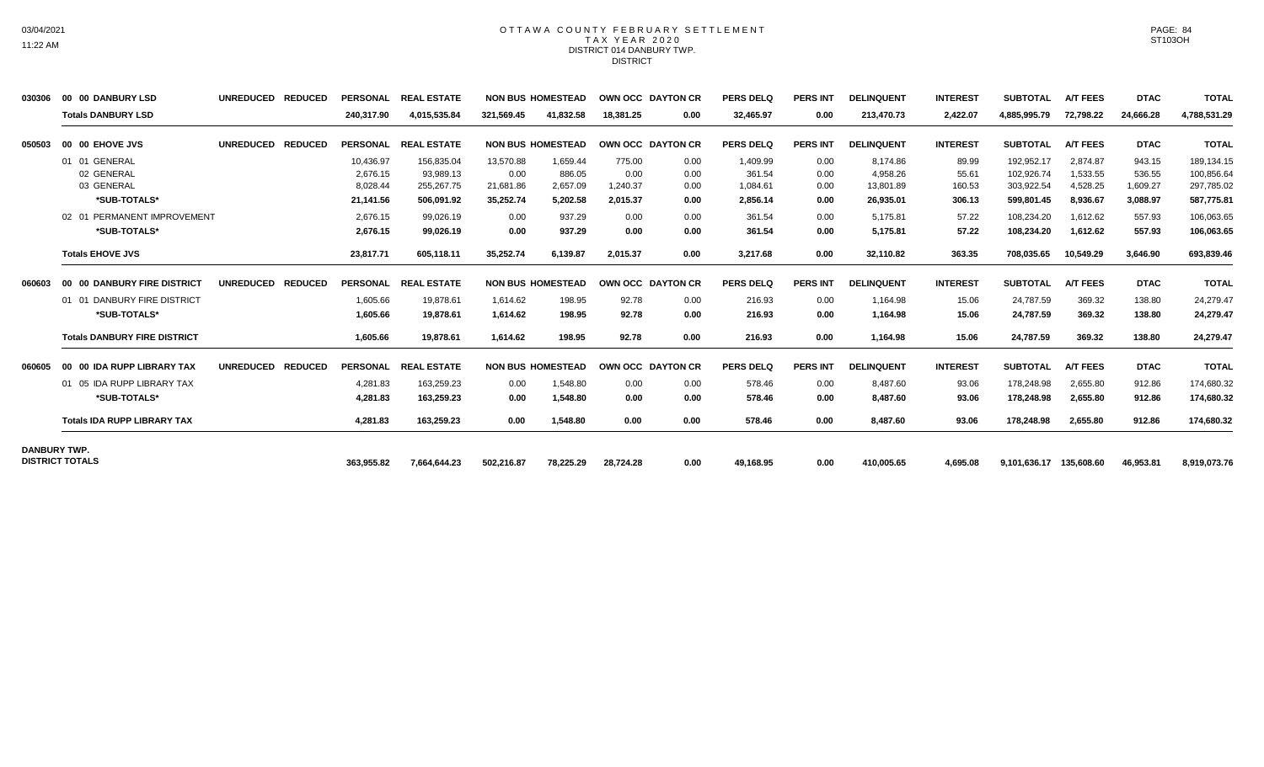#### OTTAWA COUNTY FEBRUARY SETTLEMENT TAX YEAR 2020 DISTRICT 014 DANBURY TWP. **DISTRICT**

| 030306              | 00 00 DANBURY LSD                   | <b>UNREDUCED</b> | <b>REDUCED</b> | <b>PERSONAL</b> | <b>REAL ESTATE</b> |            | <b>NON BUS HOMESTEAD</b> |           | <b>OWN OCC DAYTON CR</b> | <b>PERS DELQ</b> | <b>PERS INT</b> | <b>DELINQUENT</b> | <b>INTEREST</b> | <b>SUBTOTAL</b>         | <b>A/T FEES</b> | <b>DTAC</b> | <b>TOTAL</b> |
|---------------------|-------------------------------------|------------------|----------------|-----------------|--------------------|------------|--------------------------|-----------|--------------------------|------------------|-----------------|-------------------|-----------------|-------------------------|-----------------|-------------|--------------|
|                     | <b>Totals DANBURY LSD</b>           |                  |                | 240,317.90      | 4,015,535.84       | 321,569.45 | 41,832.58                | 18,381.25 | 0.00                     | 32,465.97        | 0.00            | 213,470.73        | 2,422.07        | 4,885,995.79            | 72,798.22       | 24,666.28   | 4,788,531.29 |
| 050503              | 00 00 EHOVE JVS                     | <b>UNREDUCED</b> | <b>REDUCED</b> | <b>PERSONAL</b> | <b>REAL ESTATE</b> |            | <b>NON BUS HOMESTEAD</b> |           | OWN OCC DAYTON CR        | <b>PERS DELQ</b> | <b>PERS INT</b> | <b>DELINQUENT</b> | <b>INTEREST</b> | <b>SUBTOTAL</b>         | <b>A/T FEES</b> | <b>DTAC</b> | <b>TOTAL</b> |
|                     | 01 01 GENERAL                       |                  |                | 10,436.97       | 156,835.04         | 13,570.88  | 1,659.44                 | 775.00    | 0.00                     | 1,409.99         | 0.00            | 8,174.86          | 89.99           | 192,952.17              | 2.874.87        | 943.15      | 189,134.15   |
|                     | 02 GENERAL                          |                  |                | 2,676.15        | 93,989.13          | 0.00       | 886.05                   | 0.00      | 0.00                     | 361.54           | 0.00            | 4,958.26          | 55.61           | 102,926.74              | 1,533.55        | 536.55      | 100,856.64   |
|                     | 03 GENERAL                          |                  |                | 8,028.44        | 255,267.75         | 21,681.86  | 2,657.09                 | 1,240.37  | 0.00                     | 1,084.61         | 0.00            | 13,801.89         | 160.53          | 303,922.54              | 4,528.25        | 1,609.27    | 297,785.02   |
|                     | *SUB-TOTALS*                        |                  |                | 21.141.56       | 506.091.92         | 35.252.74  | 5.202.58                 | 2,015.37  | 0.00                     | 2,856.14         | 0.00            | 26.935.01         | 306.13          | 599,801.45              | 8.936.67        | 3,088.97    | 587,775.81   |
|                     | 02 01 PERMANENT IMPROVEMENT         |                  |                | 2,676.15        | 99,026.19          | 0.00       | 937.29                   | 0.00      | 0.00                     | 361.54           | 0.00            | 5,175.81          | 57.22           | 108,234.20              | 1,612.62        | 557.93      | 106,063.65   |
|                     | *SUB-TOTALS*                        |                  |                | 2,676.15        | 99.026.19          | 0.00       | 937.29                   | 0.00      | 0.00                     | 361.54           | 0.00            | 5,175.81          | 57.22           | 108,234.20              | 1,612.62        | 557.93      | 106,063.65   |
|                     | <b>Totals EHOVE JVS</b>             |                  |                | 23,817.71       | 605,118.11         | 35,252.74  | 6,139.87                 | 2,015.37  | 0.00                     | 3,217.68         | 0.00            | 32,110.82         | 363.35          | 708,035.65              | 10,549.29       | 3,646.90    | 693,839.46   |
| 060603              | 00 00 DANBURY FIRE DISTRICT         | <b>UNREDUCED</b> | <b>REDUCED</b> | PERSONAL        | <b>REAL ESTATE</b> |            | <b>NON BUS HOMESTEAD</b> |           | OWN OCC DAYTON CR        | <b>PERS DELQ</b> | <b>PERS INT</b> | <b>DELINQUENT</b> | <b>INTEREST</b> | <b>SUBTOTAL</b>         | <b>A/T FEES</b> | <b>DTAC</b> | <b>TOTAL</b> |
|                     | 01 01 DANBURY FIRE DISTRICT         |                  |                | 1.605.66        | 19.878.61          | 1.614.62   | 198.95                   | 92.78     | 0.00                     | 216.93           | 0.00            | 1.164.98          | 15.06           | 24.787.59               | 369.32          | 138.80      | 24,279.47    |
|                     | *SUB-TOTALS*                        |                  |                | 1.605.66        | 19,878.61          | 1,614.62   | 198.95                   | 92.78     | 0.00                     | 216.93           | 0.00            | 1,164.98          | 15.06           | 24,787.59               | 369.32          | 138.80      | 24,279.47    |
|                     | <b>Totals DANBURY FIRE DISTRICT</b> |                  |                | 1,605.66        | 19.878.61          | 1.614.62   | 198.95                   | 92.78     | 0.00                     | 216.93           | 0.00            | 1,164.98          | 15.06           | 24,787.59               | 369.32          | 138.80      | 24,279.47    |
| 060605              | 00 00 IDA RUPP LIBRARY TAX          | <b>UNREDUCED</b> | <b>REDUCED</b> | <b>PERSONAL</b> | <b>REAL ESTATE</b> |            | <b>NON BUS HOMESTEAD</b> |           | OWN OCC DAYTON CR        | <b>PERS DELQ</b> | <b>PERS INT</b> | <b>DELINQUENT</b> | <b>INTEREST</b> | <b>SUBTOTAL</b>         | <b>A/T FEES</b> | <b>DTAC</b> | <b>TOTAL</b> |
|                     | 01 05 IDA RUPP LIBRARY TAX          |                  |                | 4,281.83        | 163.259.23         | 0.00       | 1.548.80                 | 0.00      | 0.00                     | 578.46           | 0.00            | 8,487.60          | 93.06           | 178,248.98              | 2,655.80        | 912.86      | 174,680.32   |
|                     | *SUB-TOTALS*                        |                  |                | 4.281.83        | 163.259.23         | 0.00       | 1.548.80                 | 0.00      | 0.00                     | 578.46           | 0.00            | 8.487.60          | 93.06           | 178,248.98              | 2.655.80        | 912.86      | 174,680.32   |
|                     | <b>Totals IDA RUPP LIBRARY TAX</b>  |                  |                | 4,281.83        | 163,259.23         | 0.00       | 1,548.80                 | 0.00      | 0.00                     | 578.46           | 0.00            | 8,487.60          | 93.06           | 178,248.98              | 2,655.80        | 912.86      | 174,680.32   |
| <b>DANBURY TWP.</b> |                                     |                  |                |                 |                    |            |                          |           |                          |                  |                 |                   |                 |                         |                 |             |              |
|                     | <b>DISTRICT TOTALS</b>              |                  |                | 363.955.82      | 7,664,644.23       | 502,216.87 | 78.225.29                | 28,724.28 | 0.00                     | 49,168.95        | 0.00            | 410,005.65        | 4.695.08        | 9,101,636.17 135,608.60 |                 | 46,953.81   | 8,919,073.76 |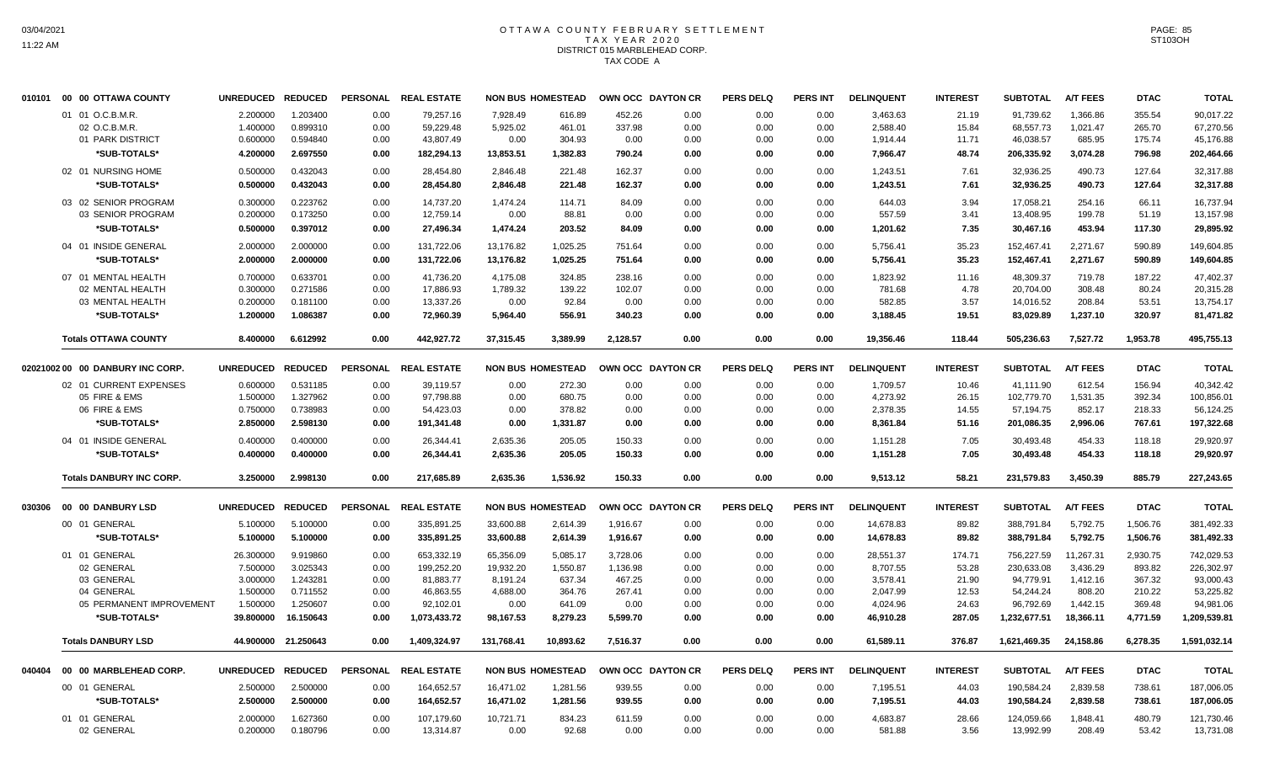## OTTAWA COUNTY FEBRUARY SETTLEMENT TAX YEAR 2020 DISTRICT 015 MARBLEHEAD CORP. TAX CODE A

|        |                                  | UNREDUCED REDUCED |                     | <b>PERSONAL</b> | <b>REAL ESTATE</b>   |            | <b>NON BUS HOMESTEAD</b> | <b>OWN OCC DAYTON CR</b> |      | <b>PERS DELQ</b> | <b>PERS INT</b> | <b>DELINQUENT</b> | <b>INTEREST</b> | <b>SUBTOTAL</b> | <b>A/T FEES</b> | <b>DTAC</b> | <b>TOTAL</b> |
|--------|----------------------------------|-------------------|---------------------|-----------------|----------------------|------------|--------------------------|--------------------------|------|------------------|-----------------|-------------------|-----------------|-----------------|-----------------|-------------|--------------|
|        | 01 01 O.C.B.M.R.                 | 2.200000          | 1.203400            | 0.00            | 79,257.16            | 7.928.49   | 616.89                   | 452.26                   | 0.00 | 0.00             | 0.00            | 3,463.63          | 21.19           | 91.739.62       | 1.366.86        | 355.54      | 90,017.22    |
|        | 02 O.C.B.M.R.                    | 1.400000          | 0.899310            | 0.00            | 59,229.48            | 5,925.02   | 461.01                   | 337.98                   | 0.00 | 0.00             | 0.00            | 2,588.40          | 15.84           | 68,557.73       | 1,021.47        | 265.70      | 67,270.56    |
|        | 01 PARK DISTRICT                 | 0.600000          | 0.594840            | 0.00            | 43,807.49            | 0.00       | 304.93                   | 0.00                     | 0.00 | 0.00             | 0.00            | 1,914.44          | 11.71           | 46,038.57       | 685.95          | 175.74      | 45,176.88    |
|        | *SUB-TOTALS*                     | 4.200000          | 2.697550            | 0.00            | 182,294.13           | 13,853.51  | 1,382.83                 | 790.24                   | 0.00 | 0.00             | 0.00            | 7,966.47          | 48.74           | 206,335.92      | 3,074.28        | 796.98      | 202,464.66   |
|        | 02 01 NURSING HOME               | 0.500000          | 0.432043            | 0.00            | 28,454.80            | 2,846.48   | 221.48                   | 162.37                   | 0.00 | 0.00             | 0.00            | 1,243.51          | 7.61            | 32,936.25       | 490.73          | 127.64      | 32,317.88    |
|        | *SUB-TOTALS*                     | 0.500000          | 0.432043            | 0.00            | 28.454.80            | 2,846.48   | 221.48                   | 162.37                   | 0.00 | 0.00             | 0.00            | 1,243.51          | 7.61            | 32,936.25       | 490.73          | 127.64      | 32.317.88    |
|        | 03 02 SENIOR PROGRAM             | 0.300000          | 0.223762            | 0.00            | 14.737.20            | 1.474.24   | 114.71                   | 84.09                    | 0.00 | 0.00             | 0.00            | 644.03            | 3.94            | 17.058.21       | 254.16          | 66.11       | 16.737.94    |
|        | 03 SENIOR PROGRAM                | 0.200000          | 0.173250            | 0.00            | 12,759.14            | 0.00       | 88.81                    | 0.00                     | 0.00 | 0.00             | 0.00            | 557.59            | 3.41            | 13,408.95       | 199.78          | 51.19       | 13,157.98    |
|        | *SUB-TOTALS*                     | 0.500000          | 0.397012            | 0.00            | 27,496.34            | 1,474.24   | 203.52                   | 84.09                    | 0.00 | 0.00             | 0.00            | 1,201.62          | 7.35            | 30,467.16       | 453.94          | 117.30      | 29,895.92    |
|        | 04 01 INSIDE GENERAL             | 2.000000          | 2.000000            | 0.00            | 131,722.06           | 13,176.82  | 1,025.25                 | 751.64                   | 0.00 | 0.00             | 0.00            | 5,756.41          | 35.23           | 152,467.41      | 2,271.67        | 590.89      | 149,604.85   |
|        | *SUB-TOTALS*                     | 2.000000          | 2.000000            | 0.00            | 131,722.06           | 13,176.82  | 1,025.25                 | 751.64                   | 0.00 | 0.00             | 0.00            | 5,756.41          | 35.23           | 152,467.41      | 2,271.67        | 590.89      | 149,604.85   |
|        | 07 01 MENTAL HEALTH              | 0.700000          | 0.633701            | 0.00            | 41,736.20            | 4,175.08   | 324.85                   | 238.16                   | 0.00 | 0.00             | 0.00            | 1,823.92          | 11.16           | 48,309.37       | 719.78          | 187.22      | 47,402.37    |
|        | 02 MENTAL HEALTH                 | 0.300000          | 0.271586            | 0.00            | 17,886.93            | 1,789.32   | 139.22                   | 102.07                   | 0.00 | 0.00             | 0.00            | 781.68            | 4.78            | 20,704.00       | 308.48          | 80.24       | 20,315.28    |
|        | 03 MENTAL HEALTH                 | 0.200000          | 0.181100            | 0.00            | 13,337.26            | 0.00       | 92.84                    | 0.00                     | 0.00 | 0.00             | 0.00            | 582.85            | 3.57            | 14,016.52       | 208.84          | 53.51       | 13,754.17    |
|        | *SUB-TOTALS*                     | 1.200000          | 1.086387            | 0.00            | 72,960.39            | 5,964.40   | 556.91                   | 340.23                   | 0.00 | 0.00             | 0.00            | 3,188.45          | 19.51           | 83,029.89       | 1,237.10        | 320.97      | 81,471.82    |
|        | <b>Totals OTTAWA COUNTY</b>      | 8.400000          | 6.612992            | 0.00            | 442.927.72           | 37,315.45  | 3.389.99                 | 2.128.57                 | 0.00 | 0.00             | 0.00            | 19.356.46         | 118.44          | 505,236.63      | 7,527.72        | 1,953.78    | 495,755.13   |
|        |                                  |                   |                     |                 |                      |            |                          |                          |      |                  |                 |                   |                 |                 |                 |             |              |
|        | 02021002 00 00 DANBURY INC CORP. | <b>UNREDUCED</b>  | <b>REDUCED</b>      |                 | PERSONAL REAL ESTATE |            | <b>NON BUS HOMESTEAD</b> | OWN OCC DAYTON CR        |      | <b>PERS DELQ</b> | PERS INT        | <b>DELINQUENT</b> | <b>INTEREST</b> | <b>SUBTOTAL</b> | <b>A/T FEES</b> | <b>DTAC</b> | <b>TOTAL</b> |
|        | 02 01 CURRENT EXPENSES           | 0.600000          | 0.531185            | 0.00            | 39,119.57            | 0.00       | 272.30                   | 0.00                     | 0.00 | 0.00             | 0.00            | 1,709.57          | 10.46           | 41.111.90       | 612.54          | 156.94      | 40,342.42    |
|        | 05 FIRE & EMS                    | 1.500000          | 1.327962            | 0.00            | 97,798.88            | 0.00       | 680.75                   | 0.00                     | 0.00 | 0.00             | 0.00            | 4,273.92          | 26.15           | 102,779.70      | 1,531.35        | 392.34      | 100,856.01   |
|        | 06 FIRE & EMS                    | 0.750000          | 0.738983            | 0.00            | 54,423.03            | 0.00       | 378.82                   | 0.00                     | 0.00 | 0.00             | 0.00            | 2,378.35          | 14.55           | 57,194.75       | 852.17          | 218.33      | 56,124.25    |
|        | *SUB-TOTALS*                     | 2.850000          | 2.598130            | 0.00            | 191,341.48           | 0.00       | 1,331.87                 | 0.00                     | 0.00 | 0.00             | 0.00            | 8,361.84          | 51.16           | 201,086.35      | 2,996.06        | 767.61      | 197,322.68   |
|        | 04 01 INSIDE GENERAL             | 0.400000          | 0.400000            | 0.00            | 26,344.41            | 2,635.36   | 205.05                   | 150.33                   | 0.00 | 0.00             | 0.00            | 1,151.28          | 7.05            | 30,493.48       | 454.33          | 118.18      | 29,920.97    |
|        | *SUB-TOTALS*                     | 0.400000          | 0.400000            | 0.00            | 26,344.41            | 2,635.36   | 205.05                   | 150.33                   | 0.00 | 0.00             | 0.00            | 1,151.28          | 7.05            | 30,493.48       | 454.33          | 118.18      | 29,920.97    |
|        | <b>Totals DANBURY INC CORP.</b>  | 3.250000          | 2.998130            | 0.00            | 217.685.89           | 2.635.36   | 1.536.92                 | 150.33                   | 0.00 | 0.00             | 0.00            | 9,513.12          | 58.21           | 231,579.83      | 3,450.39        | 885.79      | 227,243.65   |
| 030306 | 00 00 DANBURY LSD                | <b>UNREDUCED</b>  | <b>REDUCED</b>      | <b>PERSONAL</b> | <b>REAL ESTATE</b>   |            | <b>NON BUS HOMESTEAD</b> | OWN OCC DAYTON CR        |      | <b>PERS DELQ</b> | <b>PERS INT</b> | <b>DELINQUENT</b> | <b>INTEREST</b> | <b>SUBTOTAL</b> | <b>A/T FEES</b> | <b>DTAC</b> | <b>TOTAL</b> |
|        | 00 01 GENERAL                    | 5.100000          | 5.100000            | 0.00            | 335,891.25           | 33,600.88  | 2,614.39                 | 1,916.67                 | 0.00 | 0.00             | 0.00            | 14,678.83         | 89.82           | 388,791.84      | 5,792.75        | 1,506.76    | 381,492.33   |
|        | *SUB-TOTALS*                     | 5.100000          | 5.100000            | 0.00            | 335,891.25           | 33.600.88  | 2.614.39                 | 1.916.67                 | 0.00 | 0.00             | 0.00            | 14,678.83         | 89.82           | 388.791.84      | 5.792.75        | 1,506.76    | 381,492.33   |
|        | 01 01 GENERAL                    | 26.300000         | 9.919860            | 0.00            | 653.332.19           | 65.356.09  | 5.085.17                 | 3,728.06                 | 0.00 | 0.00             | 0.00            | 28.551.37         | 174.71          | 756.227.59      | 11.267.31       | 2,930.75    | 742.029.53   |
|        | 02 GENERAL                       | 7.500000          | 3.025343            | 0.00            | 199,252.20           | 19,932.20  | 1,550.87                 | 1,136.98                 | 0.00 | 0.00             | 0.00            | 8,707.55          | 53.28           | 230,633.08      | 3,436.29        | 893.82      | 226,302.97   |
|        | 03 GENERAL                       | 3.000000          | 1.243281            | 0.00            | 81,883.77            | 8,191.24   | 637.34                   | 467.25                   | 0.00 | 0.00             | 0.00            | 3,578.41          | 21.90           | 94,779.91       | 1,412.16        | 367.32      | 93,000.43    |
|        | 04 GENERAL                       | 1.500000          | 0.711552            | 0.00            | 46,863.55            | 4,688.00   | 364.76                   | 267.41                   | 0.00 | 0.00             | 0.00            | 2,047.99          | 12.53           | 54,244.24       | 808.20          | 210.22      | 53,225.82    |
|        | 05 PERMANENT IMPROVEMENT         | 1.500000          | 1.250607            | 0.00            | 92,102.01            | 0.00       | 641.09                   | 0.00                     | 0.00 | 0.00             | 0.00            | 4,024.96          | 24.63           | 96,792.69       | 1,442.15        | 369.48      | 94,981.06    |
|        | *SUB-TOTALS*                     | 39.800000         | 16.150643           | 0.00            | 1,073,433.72         | 98,167.53  | 8,279.23                 | 5,599.70                 | 0.00 | 0.00             | 0.00            | 46,910.28         | 287.05          | 1,232,677.51    | 18,366.11       | 4,771.59    | 1,209,539.81 |
|        | <b>Totals DANBURY LSD</b>        |                   | 44.900000 21.250643 | 0.00            | 1,409,324.97         | 131,768.41 | 10,893.62                | 7,516.37                 | 0.00 | 0.00             | 0.00            | 61,589.11         | 376.87          | 1,621,469.35    | 24,158.86       | 6,278.35    | 1,591,032.14 |
|        |                                  |                   |                     |                 |                      |            |                          |                          |      |                  |                 |                   |                 |                 |                 |             |              |
| 040404 | 00 00 MARBLEHEAD CORP.           | <b>UNREDUCED</b>  | <b>REDUCED</b>      | <b>PERSONAL</b> | <b>REAL ESTATE</b>   |            | <b>NON BUS HOMESTEAD</b> | OWN OCC DAYTON CR        |      | <b>PERS DELQ</b> | <b>PERS INT</b> | <b>DELINQUENT</b> | <b>INTEREST</b> | <b>SUBTOTAL</b> | <b>A/T FEES</b> | <b>DTAC</b> | <b>TOTAL</b> |
|        | 00 01 GENERAL                    | 2.500000          | 2.500000            | 0.00            | 164,652.57           | 16,471.02  | 1,281.56                 | 939.55                   | 0.00 | 0.00             | 0.00            | 7,195.51          | 44.03           | 190,584.24      | 2,839.58        | 738.61      | 187,006.05   |
|        | *SUB-TOTALS*                     | 2.500000          | 2.500000            | 0.00            | 164,652.57           | 16,471.02  | 1,281.56                 | 939.55                   | 0.00 | 0.00             | 0.00            | 7,195.51          | 44.03           | 190,584.24      | 2,839.58        | 738.61      | 187,006.05   |
|        | 01 01 GENERAL                    | 2.000000          | 1.627360            | 0.00            | 107,179.60           | 10,721.71  | 834.23                   | 611.59                   | 0.00 | 0.00             | 0.00            | 4,683.87          | 28.66           | 124,059.66      | 1,848.41        | 480.79      | 121,730.46   |
|        | 02 GENERAL                       | 0.200000          | 0.180796            | 0.00            | 13,314.87            | 0.00       | 92.68                    | 0.00                     | 0.00 | 0.00             | 0.00            | 581.88            | 3.56            | 13,992.99       | 208.49          | 53.42       | 13,731.08    |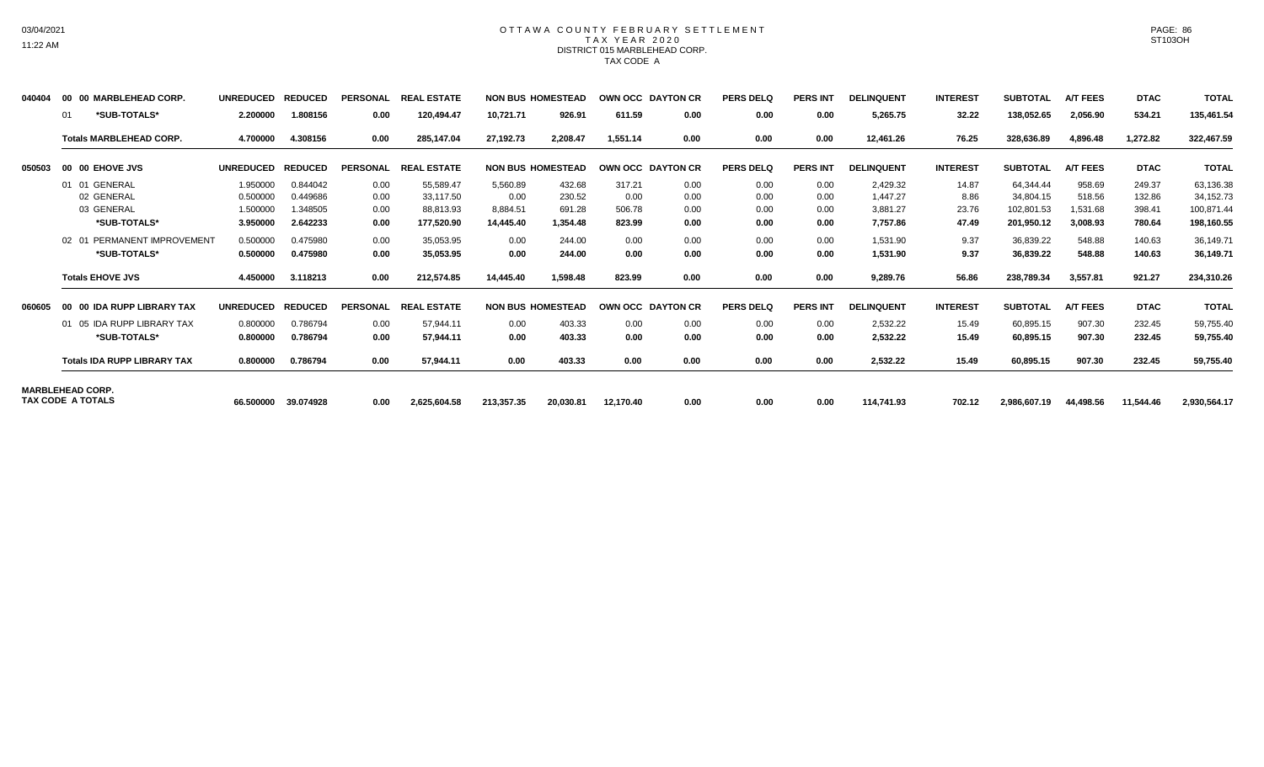### OTTAWA COUNTY FEBRUARY SETTLEMENT TAX YEAR 2020 DISTRICT 015 MARBLEHEAD CORP. TAX CODE A

| 040404                   | 00 | 00 MARBLEHEAD CORP.                | <b>UNREDUCED</b> | <b>REDUCED</b> | <b>PERSONAL</b> | <b>REAL ESTATE</b> |            | <b>NON BUS HOMESTEAD</b> | OWN OCC DAYTON CR |      | <b>PERS DELQ</b> | <b>PERS INT</b> | <b>DELINQUENT</b> | <b>INTEREST</b> | <b>SUBTOTAL</b> | <b>A/T FEES</b> | <b>DTAC</b> | <b>TOTAL</b> |
|--------------------------|----|------------------------------------|------------------|----------------|-----------------|--------------------|------------|--------------------------|-------------------|------|------------------|-----------------|-------------------|-----------------|-----------------|-----------------|-------------|--------------|
|                          | 01 | *SUB-TOTALS*                       | 2.200000         | 1.808156       | 0.00            | 120,494.47         | 10,721.71  | 926.91                   | 611.59            | 0.00 | 0.00             | 0.00            | 5,265.75          | 32.22           | 138,052.65      | 2,056.90        | 534.21      | 135,461.54   |
|                          |    | <b>Totals MARBLEHEAD CORP.</b>     | 4.700000         | 4.308156       | 0.00            | 285.147.04         | 27,192.73  | 2.208.47                 | 1.551.14          | 0.00 | 0.00             | 0.00            | 12,461.26         | 76.25           | 328,636.89      | 4.896.48        | 1.272.82    | 322,467.59   |
| 050503                   |    | 00 00 EHOVE JVS                    | <b>UNREDUCED</b> | <b>REDUCED</b> | <b>PERSONAL</b> | <b>REAL ESTATE</b> |            | <b>NON BUS HOMESTEAD</b> | OWN OCC DAYTON CR |      | <b>PERS DELQ</b> | <b>PERS INT</b> | <b>DELINQUENT</b> | <b>INTEREST</b> | <b>SUBTOTAL</b> | <b>A/T FEES</b> | <b>DTAC</b> | <b>TOTAL</b> |
|                          |    | 01 01 GENERAL                      | 1.950000         | 0.844042       | 0.00            | 55,589.47          | 5,560.89   | 432.68                   | 317.21            | 0.00 | 0.00             | 0.00            | 2,429.32          | 14.87           | 64,344.44       | 958.69          | 249.37      | 63,136.38    |
|                          |    | 02 GENERAL                         | 0.500000         | 0.449686       | 0.00            | 33.117.50          | 0.00       | 230.52                   | 0.00              | 0.00 | 0.00             | 0.00            | 1.447.27          | 8.86            | 34,804.15       | 518.56          | 132.86      | 34,152.73    |
|                          |    | 03 GENERAL                         | 1.500000         | 1.348505       | 0.00            | 88,813.93          | 8,884.51   | 691.28                   | 506.78            | 0.00 | 0.00             | 0.00            | 3,881.27          | 23.76           | 102,801.53      | 1,531.68        | 398.41      | 100,871.44   |
|                          |    | *SUB-TOTALS*                       | 3.950000         | 2.642233       | 0.00            | 177.520.90         | 14.445.40  | 1.354.48                 | 823.99            | 0.00 | 0.00             | 0.00            | 7,757.86          | 47.49           | 201,950.12      | 3,008.93        | 780.64      | 198,160.55   |
|                          |    | 02 01 PERMANENT IMPROVEMENT        | 0.500000         | 0.475980       | 0.00            | 35.053.95          | 0.00       | 244.00                   | 0.00              | 0.00 | 0.00             | 0.00            | 1.531.90          | 9.37            | 36,839.22       | 548.88          | 140.63      | 36,149.71    |
|                          |    | *SUB-TOTALS*                       | 0.500000         | 0.475980       | 0.00            | 35.053.95          | 0.00       | 244.00                   | 0.00              | 0.00 | 0.00             | 0.00            | 1,531.90          | 9.37            | 36,839.22       | 548.88          | 140.63      | 36,149.71    |
|                          |    | <b>Totals EHOVE JVS</b>            | 4.450000         | 3.118213       | 0.00            | 212,574.85         | 14,445.40  | 1,598.48                 | 823.99            | 0.00 | 0.00             | 0.00            | 9,289.76          | 56.86           | 238,789.34      | 3,557.81        | 921.27      | 234,310.26   |
| 060605                   |    | 00 00 IDA RUPP LIBRARY TAX         | <b>UNREDUCED</b> | <b>REDUCED</b> | <b>PERSONAL</b> | <b>REAL ESTATE</b> |            | <b>NON BUS HOMESTEAD</b> | OWN OCC DAYTON CR |      | <b>PERS DELQ</b> | <b>PERS INT</b> | <b>DELINQUENT</b> | <b>INTEREST</b> | <b>SUBTOTAL</b> | <b>A/T FEES</b> | <b>DTAC</b> | <b>TOTAL</b> |
|                          |    | 01 05 IDA RUPP LIBRARY TAX         | 0.800000         | 0.786794       | 0.00            | 57.944.11          | 0.00       | 403.33                   | 0.00              | 0.00 | 0.00             | 0.00            | 2,532.22          | 15.49           | 60.895.15       | 907.30          | 232.45      | 59,755.40    |
|                          |    | *SUB-TOTALS*                       | 0.800000         | 0.786794       | 0.00            | 57,944.11          | 0.00       | 403.33                   | 0.00              | 0.00 | 0.00             | 0.00            | 2,532.22          | 15.49           | 60,895.15       | 907.30          | 232.45      | 59,755.40    |
|                          |    | <b>Totals IDA RUPP LIBRARY TAX</b> | 0.800000         | 0.786794       | 0.00            | 57,944.11          | 0.00       | 403.33                   | 0.00              | 0.00 | 0.00             | 0.00            | 2,532.22          | 15.49           | 60,895.15       | 907.30          | 232.45      | 59,755.40    |
| <b>MARBLEHEAD CORP.</b>  |    |                                    |                  |                |                 |                    |            |                          |                   |      |                  |                 |                   |                 |                 |                 |             |              |
| <b>TAX CODE A TOTALS</b> |    |                                    | 66.500000        | 39.074928      | 0.00            | 2.625.604.58       | 213,357.35 | 20,030.81                | 12,170.40         | 0.00 | 0.00             | 0.00            | 114.741.93        | 702.12          | 2.986.607.19    | 44.498.56       | 11.544.46   | 2,930,564.17 |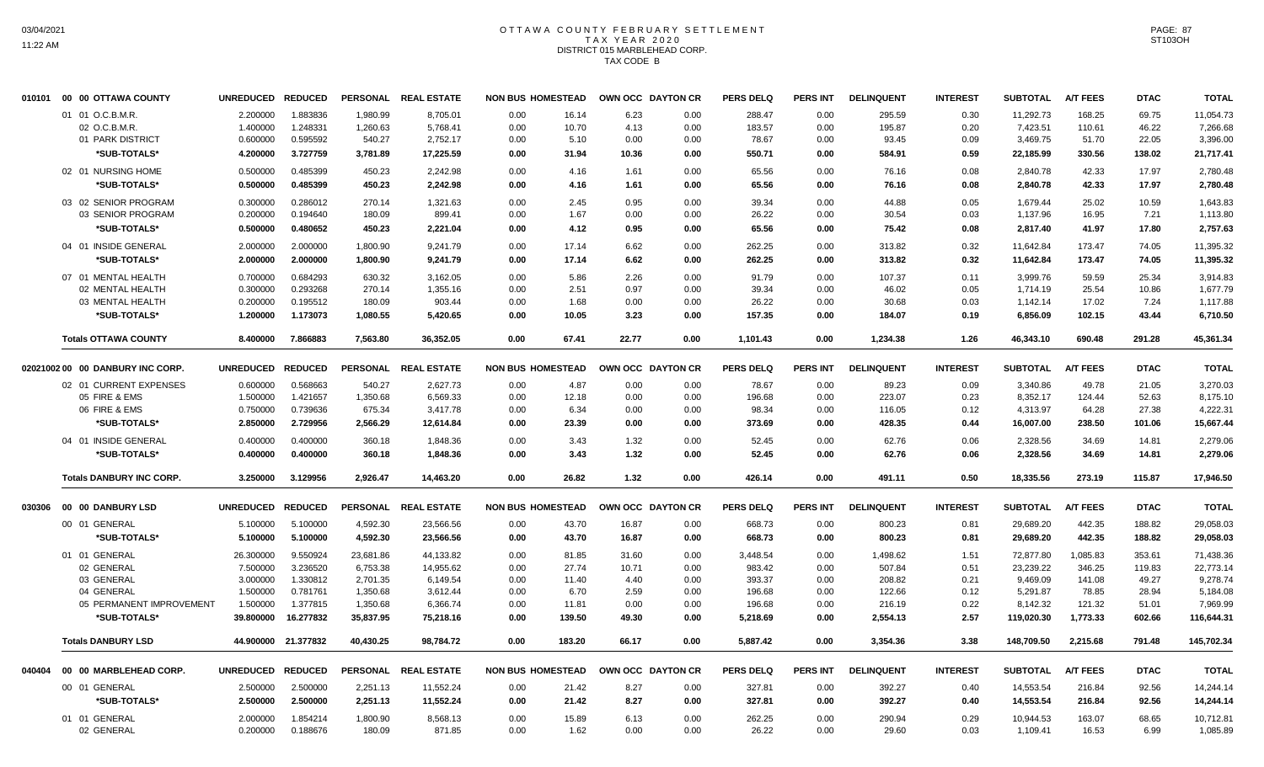## OTTAWA COUNTY FEBRUARY SETTLEMENT TAX YEAR 2020 DISTRICT 015 MARBLEHEAD CORP. TAX CODE B

|        | 010101 00 00 OTTAWA COUNTY       | UNREDUCED REDUCED |                     |           | PERSONAL REAL ESTATE | <b>NON BUS HOMESTEAD</b> |                          | OWN OCC DAYTON CR |      | <b>PERS DELQ</b> | <b>PERS INT</b> | <b>DELINQUENT</b> | <b>INTEREST</b> | <b>SUBTOTAL</b> | <b>A/T FEES</b> | <b>DTAC</b> | <b>TOTAL</b> |
|--------|----------------------------------|-------------------|---------------------|-----------|----------------------|--------------------------|--------------------------|-------------------|------|------------------|-----------------|-------------------|-----------------|-----------------|-----------------|-------------|--------------|
|        | 01 01 O.C.B.M.R.                 | 2.200000          | 1.883836            | 1,980.99  | 8,705.01             | 0.00                     | 16.14                    | 6.23              | 0.00 | 288.47           | 0.00            | 295.59            | 0.30            | 11,292.73       | 168.25          | 69.75       | 11,054.73    |
|        | 02 O.C.B.M.R.                    | 1.400000          | 1.248331            | 1,260.63  | 5,768.41             | 0.00                     | 10.70                    | 4.13              | 0.00 | 183.57           | 0.00            | 195.87            | 0.20            | 7,423.51        | 110.61          | 46.22       | 7,266.68     |
|        | 01 PARK DISTRICT                 | 0.600000          | 0.595592            | 540.27    | 2,752.17             | 0.00                     | 5.10                     | 0.00              | 0.00 | 78.67            | 0.00            | 93.45             | 0.09            | 3,469.75        | 51.70           | 22.05       | 3,396.00     |
|        | *SUB-TOTALS*                     | 4.200000          | 3.727759            | 3,781.89  | 17,225.59            | 0.00                     | 31.94                    | 10.36             | 0.00 | 550.71           | 0.00            | 584.91            | 0.59            | 22,185.99       | 330.56          | 138.02      | 21,717.41    |
|        | 02 01 NURSING HOME               | 0.500000          | 0.485399            | 450.23    | 2,242.98             | 0.00                     | 4.16                     | 1.61              | 0.00 | 65.56            | 0.00            | 76.16             | 0.08            | 2,840.78        | 42.33           | 17.97       | 2,780.48     |
|        | *SUB-TOTALS*                     | 0.500000          | 0.485399            | 450.23    | 2,242.98             | 0.00                     | 4.16                     | 1.61              | 0.00 | 65.56            | 0.00            | 76.16             | 0.08            | 2,840.78        | 42.33           | 17.97       | 2,780.48     |
|        | 03 02 SENIOR PROGRAM             | 0.300000          | 0.286012            | 270.14    | 1,321.63             | 0.00                     | 2.45                     | 0.95              | 0.00 | 39.34            | 0.00            | 44.88             | 0.05            | 1.679.44        | 25.02           | 10.59       | 1.643.83     |
|        | 03 SENIOR PROGRAM                | 0.200000          | 0.194640            | 180.09    | 899.41               | 0.00                     | 1.67                     | 0.00              | 0.00 | 26.22            | 0.00            | 30.54             | 0.03            | 1,137.96        | 16.95           | 7.21        | 1,113.80     |
|        | *SUB-TOTALS*                     | 0.500000          | 0.480652            | 450.23    | 2,221.04             | 0.00                     | 4.12                     | 0.95              | 0.00 | 65.56            | 0.00            | 75.42             | 0.08            | 2,817.40        | 41.97           | 17.80       | 2,757.63     |
|        | 04 01 INSIDE GENERAL             | 2.000000          | 2.000000            | 1,800.90  | 9,241.79             | 0.00                     | 17.14                    | 6.62              | 0.00 | 262.25           | 0.00            | 313.82            | 0.32            | 11,642.84       | 173.47          | 74.05       | 11,395.32    |
|        | *SUB-TOTALS*                     | 2.000000          | 2.000000            | 1,800.90  | 9,241.79             | 0.00                     | 17.14                    | 6.62              | 0.00 | 262.25           | 0.00            | 313.82            | 0.32            | 11,642.84       | 173.47          | 74.05       | 11,395.32    |
|        | 07 01 MENTAL HEALTH              | 0.700000          | 0.684293            | 630.32    | 3.162.05             | 0.00                     | 5.86                     | 2.26              | 0.00 | 91.79            | 0.00            | 107.37            | 0.11            | 3.999.76        | 59.59           | 25.34       | 3,914.83     |
|        | 02 MENTAL HEALTH                 | 0.300000          | 0.293268            | 270.14    | 1,355.16             | 0.00                     | 2.51                     | 0.97              | 0.00 | 39.34            | 0.00            | 46.02             | 0.05            | 1,714.19        | 25.54           | 10.86       | 1,677.79     |
|        | 03 MENTAL HEALTH                 | 0.200000          | 0.195512            | 180.09    | 903.44               | 0.00                     | 1.68                     | 0.00              | 0.00 | 26.22            | 0.00            | 30.68             | 0.03            | 1,142.14        | 17.02           | 7.24        | 1,117.88     |
|        | *SUB-TOTALS*                     | 1.200000          | 1.173073            | 1,080.55  | 5,420.65             | 0.00                     | 10.05                    | 3.23              | 0.00 | 157.35           | 0.00            | 184.07            | 0.19            | 6,856.09        | 102.15          | 43.44       | 6,710.50     |
|        |                                  |                   |                     |           |                      |                          |                          |                   |      |                  |                 |                   |                 |                 |                 |             |              |
|        | <b>Totals OTTAWA COUNTY</b>      | 8.400000          | 7.866883            | 7.563.80  | 36.352.05            | 0.00                     | 67.41                    | 22.77             | 0.00 | 1,101.43         | 0.00            | 1,234.38          | 1.26            | 46.343.10       | 690.48          | 291.28      | 45,361.34    |
|        | 02021002 00 00 DANBURY INC CORP. | UNREDUCED REDUCED |                     |           | PERSONAL REAL ESTATE | <b>NON BUS HOMESTEAD</b> |                          | OWN OCC DAYTON CR |      | <b>PERS DELQ</b> | <b>PERS INT</b> | <b>DELINQUENT</b> | <b>INTEREST</b> | <b>SUBTOTAL</b> | <b>A/T FEES</b> | <b>DTAC</b> | <b>TOTAL</b> |
|        | 02 01 CURRENT EXPENSES           | 0.600000          | 0.568663            | 540.27    | 2,627.73             | 0.00                     | 4.87                     | 0.00              | 0.00 | 78.67            | 0.00            | 89.23             | 0.09            | 3.340.86        | 49.78           | 21.05       | 3,270.03     |
|        | 05 FIRE & EMS                    | 1.500000          | 1.421657            | 1,350.68  | 6,569.33             | 0.00                     | 12.18                    | 0.00              | 0.00 | 196.68           | 0.00            | 223.07            | 0.23            | 8,352.17        | 124.44          | 52.63       | 8,175.10     |
|        | 06 FIRE & EMS                    | 0.750000          | 0.739636            | 675.34    | 3,417.78             | 0.00                     | 6.34                     | 0.00              | 0.00 | 98.34            | 0.00            | 116.05            | 0.12            | 4,313.97        | 64.28           | 27.38       | 4,222.31     |
|        | *SUB-TOTALS*                     | 2.850000          | 2.729956            | 2,566.29  | 12,614.84            | 0.00                     | 23.39                    | 0.00              | 0.00 | 373.69           | 0.00            | 428.35            | 0.44            | 16,007.00       | 238.50          | 101.06      | 15,667.44    |
|        | 04 01 INSIDE GENERAL             | 0.400000          | 0.400000            | 360.18    | 1,848.36             | 0.00                     | 3.43                     | 1.32              | 0.00 | 52.45            | 0.00            | 62.76             | 0.06            | 2,328.56        | 34.69           | 14.81       | 2,279.06     |
|        | *SUB-TOTALS*                     | 0.400000          | 0.400000            | 360.18    | 1,848.36             | 0.00                     | 3.43                     | 1.32              | 0.00 | 52.45            | 0.00            | 62.76             | 0.06            | 2,328.56        | 34.69           | 14.81       | 2,279.06     |
|        | <b>Totals DANBURY INC CORP.</b>  | 3.250000          | 3.129956            | 2,926.47  | 14,463.20            | 0.00                     | 26.82                    | 1.32              | 0.00 | 426.14           | 0.00            | 491.11            | 0.50            | 18,335.56       | 273.19          | 115.87      | 17,946.50    |
| 030306 | 00 00 DANBURY LSD                | UNREDUCED REDUCED |                     |           | PERSONAL REAL ESTATE | <b>NON BUS HOMESTEAD</b> |                          | OWN OCC DAYTON CR |      | <b>PERS DELQ</b> | <b>PERS INT</b> | <b>DELINQUENT</b> | <b>INTEREST</b> | <b>SUBTOTAL</b> | <b>A/T FEES</b> | <b>DTAC</b> | <b>TOTAL</b> |
|        | 00 01 GENERAL                    | 5.100000          | 5.100000            | 4,592.30  | 23,566.56            | 0.00                     | 43.70                    | 16.87             | 0.00 | 668.73           | 0.00            | 800.23            | 0.81            | 29,689.20       | 442.35          | 188.82      | 29,058.03    |
|        | *SUB-TOTALS*                     | 5.100000          | 5.100000            | 4,592.30  | 23,566.56            | 0.00                     | 43.70                    | 16.87             | 0.00 | 668.73           | 0.00            | 800.23            | 0.81            | 29,689.20       | 442.35          | 188.82      | 29,058.03    |
|        | 01 01 GENERAL                    | 26.300000         | 9.550924            | 23,681.86 | 44,133.82            | 0.00                     | 81.85                    | 31.60             | 0.00 | 3,448.54         | 0.00            | 1,498.62          | 1.51            | 72,877.80       | 1,085.83        | 353.61      | 71,438.36    |
|        | 02 GENERAL                       | 7.500000          | 3.236520            | 6,753.38  | 14.955.62            | 0.00                     | 27.74                    | 10.71             | 0.00 | 983.42           | 0.00            | 507.84            | 0.51            | 23,239.22       | 346.25          | 119.83      | 22.773.14    |
|        | 03 GENERAL                       | 3.000000          | 1.330812            | 2,701.35  | 6,149.54             | 0.00                     | 11.40                    | 4.40              | 0.00 | 393.37           | 0.00            | 208.82            | 0.21            | 9,469.09        | 141.08          | 49.27       | 9,278.74     |
|        | 04 GENERAL                       | 1.500000          | 0.781761            | 1,350.68  | 3,612.44             | 0.00                     | 6.70                     | 2.59              | 0.00 | 196.68           | 0.00            | 122.66            | 0.12            | 5,291.87        | 78.85           | 28.94       | 5,184.08     |
|        | 05 PERMANENT IMPROVEMENT         | 1.500000          | 1.377815            | 1,350.68  | 6,366.74             | 0.00                     | 11.81                    | 0.00              | 0.00 | 196.68           | 0.00            | 216.19            | 0.22            | 8,142.32        | 121.32          | 51.01       | 7,969.99     |
|        | *SUB-TOTALS*                     | 39.800000         | 16.277832           | 35,837.95 | 75,218.16            | 0.00                     | 139.50                   | 49.30             | 0.00 | 5,218.69         | 0.00            | 2,554.13          | 2.57            | 119,020.30      | 1,773.33        | 602.66      | 116,644.31   |
|        | <b>Totals DANBURY LSD</b>        |                   | 44.900000 21.377832 | 40,430.25 | 98,784.72            | 0.00                     | 183.20                   | 66.17             | 0.00 | 5,887.42         | 0.00            | 3,354.36          | 3.38            | 148,709.50      | 2,215.68        | 791.48      | 145,702.34   |
|        |                                  |                   |                     |           |                      |                          |                          |                   |      |                  |                 |                   |                 |                 |                 |             |              |
| 040404 | 00 00 MARBLEHEAD CORP.           | UNREDUCED REDUCED |                     |           | PERSONAL REAL ESTATE |                          | <b>NON BUS HOMESTEAD</b> | OWN OCC DAYTON CR |      | <b>PERS DELQ</b> | <b>PERS INT</b> | <b>DELINQUENT</b> | <b>INTEREST</b> | <b>SUBTOTAL</b> | <b>A/T FEES</b> | <b>DTAC</b> | <b>TOTAL</b> |
|        | 00 01 GENERAL                    | 2.500000          | 2.500000            | 2,251.13  | 11,552.24            | 0.00                     | 21.42                    | 8.27              | 0.00 | 327.81           | 0.00            | 392.27            | 0.40            | 14,553.54       | 216.84          | 92.56       | 14,244.14    |
|        | *SUB-TOTALS*                     | 2.500000          | 2.500000            | 2,251.13  | 11,552.24            | 0.00                     | 21.42                    | 8.27              | 0.00 | 327.81           | 0.00            | 392.27            | 0.40            | 14,553.54       | 216.84          | 92.56       | 14,244.14    |
|        | 01 01 GENERAL                    | 2.000000          | 1.854214            | 1,800.90  | 8,568.13             | 0.00                     | 15.89                    | 6.13              | 0.00 | 262.25           | 0.00            | 290.94            | 0.29            | 10,944.53       | 163.07          | 68.65       | 10,712.81    |
|        | 02 GENERAL                       | 0.200000          | 0.188676            | 180.09    | 871.85               | 0.00                     | 1.62                     | 0.00              | 0.00 | 26.22            | 0.00            | 29.60             | 0.03            | 1,109.41        | 16.53           | 6.99        | 1,085.89     |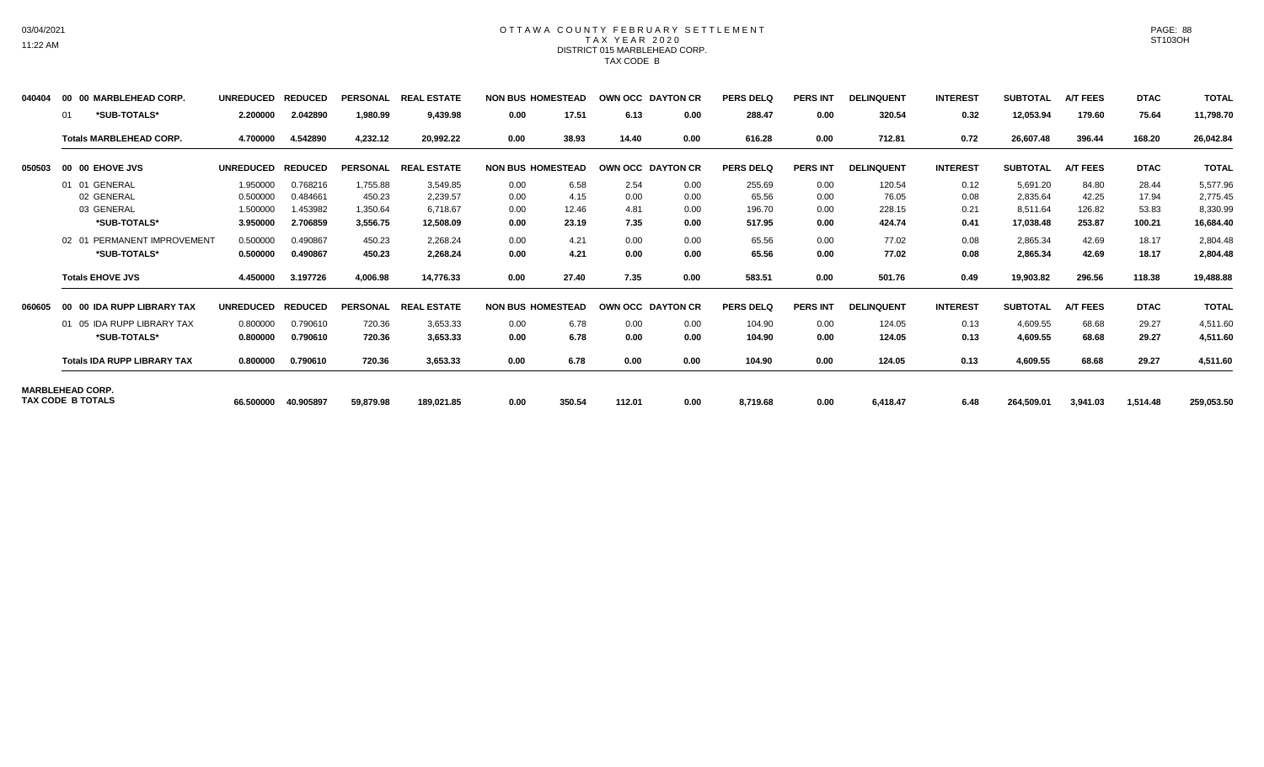### OTTAWA COUNTY FEBRUARY SETTLEMENT TAX YEAR 2020 DISTRICT 015 MARBLEHEAD CORP. TAX CODE B

| 040404                   |    | 00 00 MARBLEHEAD CORP.             | <b>UNREDUCED</b> | <b>REDUCED</b> | <b>PERSONAL</b> | <b>REAL ESTATE</b> | <b>NON BUS HOMESTEAD</b> |        | OWN OCC DAYTON CR        |      | <b>PERS DELQ</b> | <b>PERS INT</b> | <b>DELINQUENT</b> | <b>INTEREST</b> | <b>SUBTOTAL</b> | <b>A/T FEES</b> | <b>DTAC</b> | <b>TOTAL</b> |
|--------------------------|----|------------------------------------|------------------|----------------|-----------------|--------------------|--------------------------|--------|--------------------------|------|------------------|-----------------|-------------------|-----------------|-----------------|-----------------|-------------|--------------|
|                          | 01 | *SUB-TOTALS*                       | 2.200000         | 2.042890       | 1,980.99        | 9,439.98           | 0.00                     | 17.51  | 6.13                     | 0.00 | 288.47           | 0.00            | 320.54            | 0.32            | 12,053.94       | 179.60          | 75.64       | 11,798.70    |
|                          |    | <b>Totals MARBLEHEAD CORP.</b>     | 4.700000         | 4.542890       | 4,232.12        | 20.992.22          | 0.00                     | 38.93  | 14.40                    | 0.00 | 616.28           | 0.00            | 712.81            | 0.72            | 26,607.48       | 396.44          | 168.20      | 26,042.84    |
| 050503                   |    | 00 00 EHOVE JVS                    | <b>UNREDUCED</b> | <b>REDUCED</b> | <b>PERSONAL</b> | <b>REAL ESTATE</b> | <b>NON BUS HOMESTEAD</b> |        | <b>OWN OCC DAYTON CR</b> |      | <b>PERS DELQ</b> | <b>PERS INT</b> | <b>DELINQUENT</b> | <b>INTEREST</b> | <b>SUBTOTAL</b> | <b>A/T FEES</b> | <b>DTAC</b> | <b>TOTAL</b> |
|                          |    | 01 01 GENERAL                      | 1.950000         | 0.768216       | 1,755.88        | 3,549.85           | 0.00                     | 6.58   | 2.54                     | 0.00 | 255.69           | 0.00            | 120.54            | 0.12            | 5,691.20        | 84.80           | 28.44       | 5,577.96     |
|                          |    | 02 GENERAL                         | 0.500000         | 0.484661       | 450.23          | 2,239.57           | 0.00                     | 4.15   | 0.00                     | 0.00 | 65.56            | 0.00            | 76.05             | 0.08            | 2,835.64        | 42.25           | 17.94       | 2,775.45     |
|                          |    | 03 GENERAL                         | 1.500000         | 1.453982       | 1,350.64        | 6.718.67           | 0.00                     | 12.46  | 4.81                     | 0.00 | 196.70           | 0.00            | 228.15            | 0.21            | 8.511.64        | 126.82          | 53.83       | 8,330.99     |
|                          |    | *SUB-TOTALS*                       | 3.950000         | 2.706859       | 3,556.75        | 12,508.09          | 0.00                     | 23.19  | 7.35                     | 0.00 | 517.95           | 0.00            | 424.74            | 0.41            | 17,038.48       | 253.87          | 100.21      | 16,684.40    |
|                          |    | 02 01 PERMANENT IMPROVEMENT        | 0.500000         | 0.490867       | 450.23          | 2,268.24           | 0.00                     | 4.21   | 0.00                     | 0.00 | 65.56            | 0.00            | 77.02             | 0.08            | 2,865.34        | 42.69           | 18.17       | 2,804.48     |
|                          |    | *SUB-TOTALS*                       | 0.500000         | 0.490867       | 450.23          | 2,268.24           | 0.00                     | 4.21   | 0.00                     | 0.00 | 65.56            | 0.00            | 77.02             | 0.08            | 2,865.34        | 42.69           | 18.17       | 2,804.48     |
|                          |    | <b>Totals EHOVE JVS</b>            | 4.450000         | 3.197726       | 4,006.98        | 14.776.33          | 0.00                     | 27.40  | 7.35                     | 0.00 | 583.51           | 0.00            | 501.76            | 0.49            | 19,903.82       | 296.56          | 118.38      | 19,488.88    |
| 060605                   |    | 00 00 IDA RUPP LIBRARY TAX         | <b>UNREDUCED</b> | <b>REDUCED</b> | <b>PERSONAL</b> | <b>REAL ESTATE</b> | <b>NON BUS HOMESTEAD</b> |        | <b>OWN OCC DAYTON CR</b> |      | PERS DELQ        | <b>PERS INT</b> | <b>DELINQUENT</b> | <b>INTEREST</b> | <b>SUBTOTAL</b> | <b>A/T FEES</b> | <b>DTAC</b> | <b>TOTAL</b> |
|                          |    | 01 05 IDA RUPP LIBRARY TAX         | 0.800000         | 0.790610       | 720.36          | 3,653.33           | 0.00                     | 6.78   | 0.00                     | 0.00 | 104.90           | 0.00            | 124.05            | 0.13            | 4,609.55        | 68.68           | 29.27       | 4,511.60     |
|                          |    | *SUB-TOTALS*                       | 0.800000         | 0.790610       | 720.36          | 3,653.33           | 0.00                     | 6.78   | 0.00                     | 0.00 | 104.90           | 0.00            | 124.05            | 0.13            | 4,609.55        | 68.68           | 29.27       | 4,511.60     |
|                          |    | <b>Totals IDA RUPP LIBRARY TAX</b> | 0.800000         | 0.790610       | 720.36          | 3,653.33           | 0.00                     | 6.78   | 0.00                     | 0.00 | 104.90           | 0.00            | 124.05            | 0.13            | 4,609.55        | 68.68           | 29.27       | 4,511.60     |
| <b>MARBLEHEAD CORP.</b>  |    |                                    |                  |                |                 |                    |                          |        |                          |      |                  |                 |                   |                 |                 |                 |             |              |
| <b>TAX CODE B TOTALS</b> |    |                                    | 66.500000        | 40.905897      | 59,879.98       | 189,021.85         | 0.00                     | 350.54 | 112.01                   | 0.00 | 8,719.68         | 0.00            | 6,418.47          | 6.48            | 264,509.01      | 3,941.03        | 1,514.48    | 259,053.50   |

PAGE: 88 ST103OH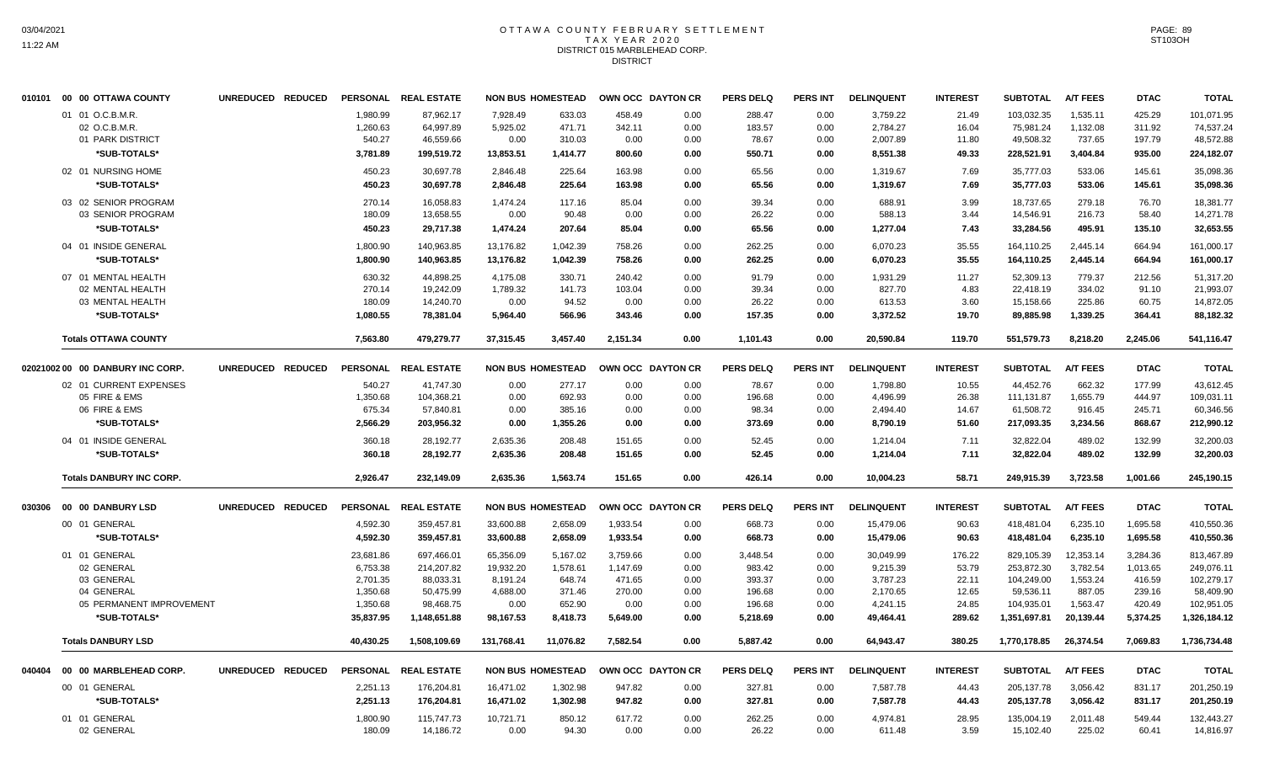## OTTAWA COUNTY FEBRUARY SETTLEMENT TAX YEAR 2020 DISTRICT 015 MARBLEHEAD CORP. DISTRICT

|        | 010101 00 00 OTTAWA COUNTY       | UNREDUCED REDUCED |                 | PERSONAL REAL ESTATE |            | <b>NON BUS HOMESTEAD</b> | OWN OCC DAYTON CR |      | <b>PERS DELQ</b> | <b>PERS INT</b> | <b>DELINQUENT</b> | <b>INTEREST</b> | <b>SUBTOTAL</b> | <b>A/T FEES</b> | <b>DTAC</b> | <b>TOTAL</b> |
|--------|----------------------------------|-------------------|-----------------|----------------------|------------|--------------------------|-------------------|------|------------------|-----------------|-------------------|-----------------|-----------------|-----------------|-------------|--------------|
|        | 01 01 O.C.B.M.R.                 |                   | 1,980.99        | 87,962.17            | 7,928.49   | 633.03                   | 458.49            | 0.00 | 288.47           | 0.00            | 3,759.22          | 21.49           | 103,032.35      | 1,535.11        | 425.29      | 101,071.95   |
|        | 02 O.C.B.M.R.                    |                   | 1,260.63        | 64,997.89            | 5,925.02   | 471.71                   | 342.11            | 0.00 | 183.57           | 0.00            | 2,784.27          | 16.04           | 75,981.24       | 1,132.08        | 311.92      | 74,537.24    |
|        | 01 PARK DISTRICT                 |                   | 540.27          | 46,559.66            | 0.00       | 310.03                   | 0.00              | 0.00 | 78.67            | 0.00            | 2,007.89          | 11.80           | 49,508.32       | 737.65          | 197.79      | 48,572.88    |
|        | *SUB-TOTALS*                     |                   | 3,781.89        | 199,519.72           | 13,853.51  | 1,414.77                 | 800.60            | 0.00 | 550.71           | 0.00            | 8,551.38          | 49.33           | 228,521.91      | 3,404.84        | 935.00      | 224,182.07   |
|        | 02 01 NURSING HOME               |                   | 450.23          | 30,697.78            | 2,846.48   | 225.64                   | 163.98            | 0.00 | 65.56            | 0.00            | 1,319.67          | 7.69            | 35,777.03       | 533.06          | 145.61      | 35,098.36    |
|        | *SUB-TOTALS*                     |                   | 450.23          | 30,697.78            | 2,846.48   | 225.64                   | 163.98            | 0.00 | 65.56            | 0.00            | 1,319.67          | 7.69            | 35,777.03       | 533.06          | 145.61      | 35,098.36    |
|        | 03 02 SENIOR PROGRAM             |                   | 270.14          | 16,058.83            | 1,474.24   | 117.16                   | 85.04             | 0.00 | 39.34            | 0.00            | 688.91            | 3.99            | 18,737.65       | 279.18          | 76.70       | 18,381.77    |
|        | 03 SENIOR PROGRAM                |                   | 180.09          | 13.658.55            | 0.00       | 90.48                    | 0.00              | 0.00 | 26.22            | 0.00            | 588.13            | 3.44            | 14,546.91       | 216.73          | 58.40       | 14,271.78    |
|        | *SUB-TOTALS*                     |                   | 450.23          | 29,717.38            | 1,474.24   | 207.64                   | 85.04             | 0.00 | 65.56            | 0.00            | 1,277.04          | 7.43            | 33,284.56       | 495.91          | 135.10      | 32,653.55    |
|        | 04 01 INSIDE GENERAL             |                   | 1,800.90        | 140.963.85           | 13,176.82  | 1,042.39                 | 758.26            | 0.00 | 262.25           | 0.00            | 6,070.23          | 35.55           | 164.110.25      | 2.445.14        | 664.94      | 161,000.17   |
|        | *SUB-TOTALS*                     |                   | 1.800.90        | 140.963.85           | 13.176.82  | 1.042.39                 | 758.26            | 0.00 | 262.25           | 0.00            | 6,070.23          | 35.55           | 164,110.25      | 2.445.14        | 664.94      | 161,000.17   |
|        | 07 01 MENTAL HEALTH              |                   | 630.32          | 44.898.25            | 4.175.08   | 330.71                   | 240.42            | 0.00 | 91.79            | 0.00            | 1.931.29          | 11.27           | 52.309.13       | 779.37          | 212.56      | 51.317.20    |
|        | 02 MENTAL HEALTH                 |                   | 270.14          | 19,242.09            | 1,789.32   | 141.73                   | 103.04            | 0.00 | 39.34            | 0.00            | 827.70            | 4.83            | 22,418.19       | 334.02          | 91.10       | 21,993.07    |
|        | 03 MENTAL HEALTH                 |                   | 180.09          | 14,240.70            | 0.00       | 94.52                    | 0.00              | 0.00 | 26.22            | 0.00            | 613.53            | 3.60            | 15,158.66       | 225.86          | 60.75       | 14,872.05    |
|        | *SUB-TOTALS*                     |                   | 1,080.55        | 78,381.04            | 5,964.40   | 566.96                   | 343.46            | 0.00 | 157.35           | 0.00            | 3,372.52          | 19.70           | 89,885.98       | 1,339.25        | 364.41      | 88,182.32    |
|        | <b>Totals OTTAWA COUNTY</b>      |                   | 7,563.80        | 479,279.77           | 37,315.45  | 3,457.40                 | 2,151.34          | 0.00 | 1,101.43         | 0.00            | 20,590.84         | 119.70          | 551,579.73      | 8,218.20        | 2,245.06    | 541,116.47   |
|        | 02021002 00 00 DANBURY INC CORP. | UNREDUCED REDUCED | <b>PERSONAL</b> | <b>REAL ESTATE</b>   |            | <b>NON BUS HOMESTEAD</b> | OWN OCC DAYTON CR |      | <b>PERS DELQ</b> | <b>PERS INT</b> | <b>DELINQUENT</b> | <b>INTEREST</b> | <b>SUBTOTAL</b> | <b>A/T FEES</b> | <b>DTAC</b> | <b>TOTAL</b> |
|        | 02 01 CURRENT EXPENSES           |                   | 540.27          | 41,747.30            | 0.00       | 277.17                   | 0.00              | 0.00 | 78.67            | 0.00            | 1,798.80          | 10.55           | 44,452.76       | 662.32          | 177.99      | 43,612.45    |
|        | 05 FIRE & EMS                    |                   | 1,350.68        | 104,368.21           | 0.00       | 692.93                   | 0.00              | 0.00 | 196.68           | 0.00            | 4,496.99          | 26.38           | 111,131.87      | 1,655.79        | 444.97      | 109,031.11   |
|        | 06 FIRE & EMS                    |                   | 675.34          | 57,840.81            | 0.00       | 385.16                   | 0.00              | 0.00 | 98.34            | 0.00            | 2,494.40          | 14.67           | 61,508.72       | 916.45          | 245.71      | 60,346.56    |
|        | *SUB-TOTALS*                     |                   | 2,566.29        | 203,956.32           | 0.00       | 1,355.26                 | 0.00              | 0.00 | 373.69           | 0.00            | 8,790.19          | 51.60           | 217,093.35      | 3,234.56        | 868.67      | 212,990.12   |
|        | 04 01 INSIDE GENERAL             |                   | 360.18          | 28,192.77            | 2,635.36   | 208.48                   | 151.65            | 0.00 | 52.45            | 0.00            | 1,214.04          | 7.11            | 32,822.04       | 489.02          | 132.99      | 32,200.03    |
|        | *SUB-TOTALS*                     |                   | 360.18          | 28,192.77            | 2,635.36   | 208.48                   | 151.65            | 0.00 | 52.45            | 0.00            | 1,214.04          | 7.11            | 32,822.04       | 489.02          | 132.99      | 32,200.03    |
|        | <b>Totals DANBURY INC CORP.</b>  |                   | 2,926.47        | 232,149.09           | 2,635.36   | 1,563.74                 | 151.65            | 0.00 | 426.14           | 0.00            | 10,004.23         | 58.71           | 249,915.39      | 3,723.58        | 1,001.66    | 245,190.15   |
|        | 030306 00 00 DANBURY LSD         | UNREDUCED REDUCED | <b>PERSONAL</b> | <b>REAL ESTATE</b>   |            | <b>NON BUS HOMESTEAD</b> | OWN OCC DAYTON CR |      | <b>PERS DELQ</b> | <b>PERS INT</b> | <b>DELINQUENT</b> | <b>INTEREST</b> | <b>SUBTOTAL</b> | <b>A/T FEES</b> | <b>DTAC</b> | <b>TOTAL</b> |
|        | 00 01 GENERAL                    |                   | 4,592.30        | 359,457.81           | 33,600.88  | 2,658.09                 | 1,933.54          | 0.00 | 668.73           | 0.00            | 15,479.06         | 90.63           | 418,481.04      | 6,235.10        | 1,695.58    | 410,550.36   |
|        | *SUB-TOTALS*                     |                   | 4,592.30        | 359,457.81           | 33,600.88  | 2,658.09                 | 1,933.54          | 0.00 | 668.73           | 0.00            | 15,479.06         | 90.63           | 418,481.04      | 6,235.10        | 1,695.58    | 410,550.36   |
|        | 01 01 GENERAL                    |                   | 23,681.86       | 697,466.01           | 65,356.09  | 5,167.02                 | 3,759.66          | 0.00 | 3,448.54         | 0.00            | 30,049.99         | 176.22          | 829,105.39      | 12,353.14       | 3,284.36    | 813,467.89   |
|        | 02 GENERAL                       |                   | 6,753.38        | 214,207.82           | 19,932.20  | 1,578.61                 | 1,147.69          | 0.00 | 983.42           | 0.00            | 9,215.39          | 53.79           | 253,872.30      | 3,782.54        | 1,013.65    | 249,076.11   |
|        | 03 GENERAL                       |                   | 2,701.35        | 88,033.31            | 8,191.24   | 648.74                   | 471.65            | 0.00 | 393.37           | 0.00            | 3,787.23          | 22.11           | 104,249.00      | 1,553.24        | 416.59      | 102,279.17   |
|        | 04 GENERAL                       |                   | 1,350.68        | 50,475.99            | 4,688.00   | 371.46                   | 270.00            | 0.00 | 196.68           | 0.00            | 2,170.65          | 12.65           | 59,536.11       | 887.05          | 239.16      | 58,409.90    |
|        | 05 PERMANENT IMPROVEMENT         |                   | 1,350.68        | 98,468.75            | 0.00       | 652.90                   | 0.00              | 0.00 | 196.68           | 0.00            | 4,241.15          | 24.85           | 104,935.01      | 1,563.47        | 420.49      | 102,951.05   |
|        | *SUB-TOTALS*                     |                   | 35,837.95       | 1,148,651.88         | 98,167.53  | 8,418.73                 | 5,649.00          | 0.00 | 5,218.69         | 0.00            | 49,464.41         | 289.62          | 1,351,697.81    | 20,139.44       | 5,374.25    | 1,326,184.12 |
|        | <b>Totals DANBURY LSD</b>        |                   | 40,430.25       | 1,508,109.69         | 131,768.41 | 11,076.82                | 7,582.54          | 0.00 | 5,887.42         | 0.00            | 64,943.47         | 380.25          | 1,770,178.85    | 26,374.54       | 7,069.83    | 1,736,734.48 |
| 040404 | 00 00 MARBLEHEAD CORP.           | UNREDUCED REDUCED | <b>PERSONAL</b> | <b>REAL ESTATE</b>   |            | <b>NON BUS HOMESTEAD</b> | OWN OCC DAYTON CR |      | <b>PERS DELQ</b> | <b>PERS INT</b> | <b>DELINQUENT</b> | <b>INTEREST</b> | <b>SUBTOTAL</b> | <b>A/T FEES</b> | <b>DTAC</b> | <b>TOTAL</b> |
|        | 00 01 GENERAL                    |                   | 2,251.13        | 176,204.81           | 16,471.02  | 1,302.98                 | 947.82            | 0.00 | 327.81           | 0.00            | 7,587.78          | 44.43           | 205, 137.78     | 3,056.42        | 831.17      | 201,250.19   |
|        | *SUB-TOTALS*                     |                   | 2,251.13        | 176,204.81           | 16,471.02  | 1,302.98                 | 947.82            | 0.00 | 327.81           | 0.00            | 7,587.78          | 44.43           | 205,137.78      | 3,056.42        | 831.17      | 201,250.19   |
|        | 01 01 GENERAL                    |                   | 1,800.90        | 115,747.73           | 10,721.71  | 850.12                   | 617.72            | 0.00 | 262.25           | 0.00            | 4.974.81          | 28.95           | 135,004.19      | 2.011.48        | 549.44      | 132.443.27   |
|        | 02 GENERAL                       |                   | 180.09          | 14,186.72            | 0.00       | 94.30                    | 0.00              | 0.00 | 26.22            | 0.00            | 611.48            | 3.59            | 15,102.40       | 225.02          | 60.41       | 14,816.97    |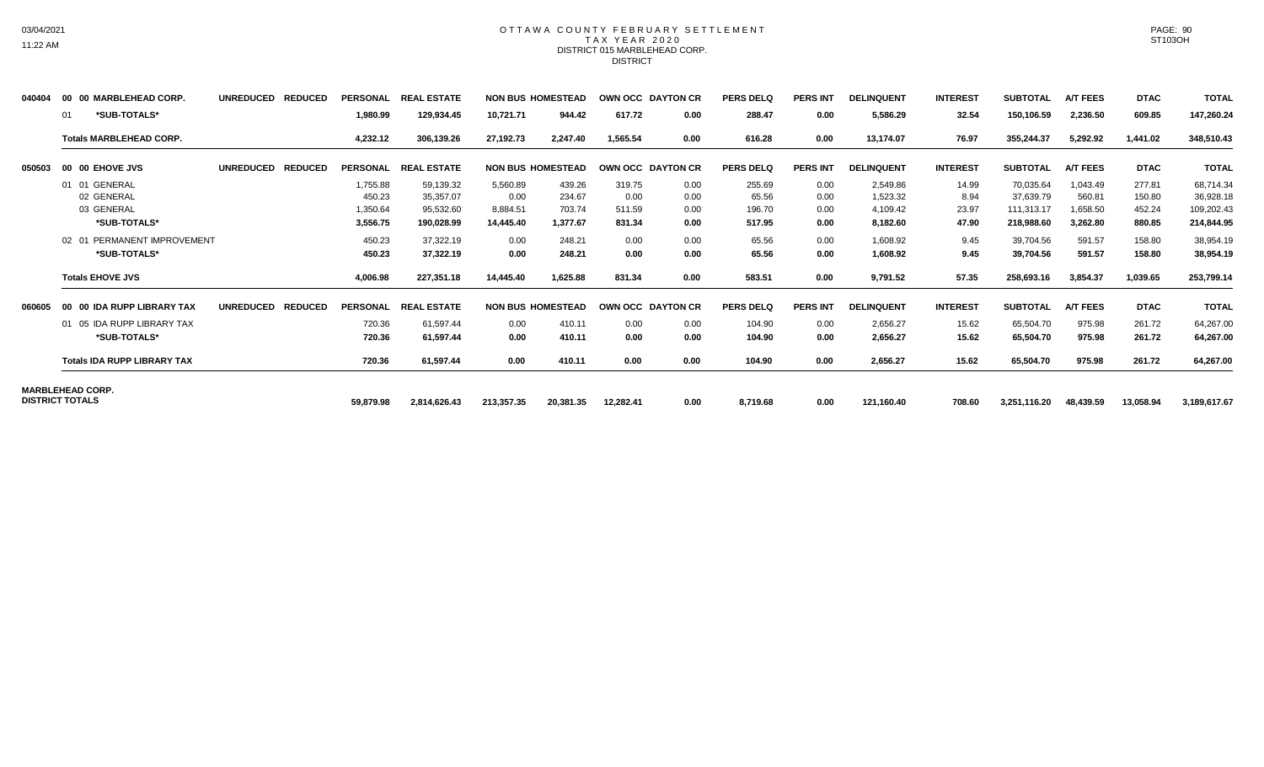### OTTAWA COUNTY FEBRUARY SETTLEMENT TAX YEAR 2020 DISTRICT 015 MARBLEHEAD CORP. DISTRICT

| 040404 | 00 00 MARBLEHEAD CORP.             | <b>UNREDUCED</b> | <b>REDUCED</b> | <b>PERSONAL</b> | <b>REAL ESTATE</b> |            | <b>NON BUS HOMESTEAD</b> | OWN OCC DAYTON CR |      | <b>PERS DELQ</b> | <b>PERS INT</b> | <b>DELINQUENT</b> | <b>INTEREST</b> | <b>SUBTOTAL</b> | <b>A/T FEES</b> | <b>DTAC</b> | <b>TOTAL</b> |
|--------|------------------------------------|------------------|----------------|-----------------|--------------------|------------|--------------------------|-------------------|------|------------------|-----------------|-------------------|-----------------|-----------------|-----------------|-------------|--------------|
|        | *SUB-TOTALS*<br>01                 |                  |                | 1,980.99        | 129,934.45         | 10,721.71  | 944.42                   | 617.72            | 0.00 | 288.47           | 0.00            | 5,586.29          | 32.54           | 150,106.59      | 2,236.50        | 609.85      | 147,260.24   |
|        | <b>Totals MARBLEHEAD CORP.</b>     |                  |                | 4,232.12        | 306,139.26         | 27,192.73  | 2.247.40                 | 1.565.54          | 0.00 | 616.28           | 0.00            | 13,174.07         | 76.97           | 355,244.37      | 5,292.92        | 1,441.02    | 348,510.43   |
| 050503 | 00 00 EHOVE JVS                    | <b>UNREDUCED</b> | <b>REDUCED</b> | <b>PERSONAL</b> | <b>REAL ESTATE</b> |            | <b>NON BUS HOMESTEAD</b> | OWN OCC DAYTON CR |      | <b>PERS DELQ</b> | <b>PERS INT</b> | <b>DELINQUENT</b> | <b>INTEREST</b> | <b>SUBTOTAL</b> | <b>A/T FEES</b> | <b>DTAC</b> | <b>TOTAL</b> |
|        | 01 01 GENERAL                      |                  |                | 1,755.88        | 59,139.32          | 5,560.89   | 439.26                   | 319.75            | 0.00 | 255.69           | 0.00            | 2,549.86          | 14.99           | 70,035.64       | 1,043.49        | 277.81      | 68,714.34    |
|        | 02 GENERAL                         |                  |                | 450.23          | 35,357.07          | 0.00       | 234.67                   | 0.00              | 0.00 | 65.56            | 0.00            | 1,523.32          | 8.94            | 37,639.79       | 560.81          | 150.80      | 36,928.18    |
|        | 03 GENERAL                         |                  |                | 1,350.64        | 95,532.60          | 8,884.51   | 703.74                   | 511.59            | 0.00 | 196.70           | 0.00            | 4,109.42          | 23.97           | 111,313.17      | 1,658.50        | 452.24      | 109,202.43   |
|        | *SUB-TOTALS*                       |                  |                | 3,556.75        | 190,028.99         | 14,445.40  | 1,377.67                 | 831.34            | 0.00 | 517.95           | 0.00            | 8,182.60          | 47.90           | 218,988.60      | 3,262.80        | 880.85      | 214,844.95   |
|        | 02 01 PERMANENT IMPROVEMENT        |                  |                | 450.23          | 37.322.19          | 0.00       | 248.21                   | 0.00              | 0.00 | 65.56            | 0.00            | 1,608.92          | 9.45            | 39,704.56       | 591.57          | 158.80      | 38,954.19    |
|        | *SUB-TOTALS*                       |                  |                | 450.23          | 37,322.19          | 0.00       | 248.21                   | 0.00              | 0.00 | 65.56            | 0.00            | 1,608.92          | 9.45            | 39,704.56       | 591.57          | 158.80      | 38,954.19    |
|        | <b>Totals EHOVE JVS</b>            |                  |                | 4,006.98        | 227,351.18         | 14,445.40  | 1,625.88                 | 831.34            | 0.00 | 583.51           | 0.00            | 9,791.52          | 57.35           | 258,693.16      | 3,854.37        | 1,039.65    | 253,799.14   |
| 060605 | 00 00 IDA RUPP LIBRARY TAX         | <b>UNREDUCED</b> | <b>REDUCED</b> | <b>PERSONAL</b> | <b>REAL ESTATE</b> |            | <b>NON BUS HOMESTEAD</b> | OWN OCC DAYTON CR |      | <b>PERS DELQ</b> | <b>PERS INT</b> | <b>DELINQUENT</b> | <b>INTEREST</b> | <b>SUBTOTAL</b> | <b>A/T FEES</b> | <b>DTAC</b> | <b>TOTAL</b> |
|        | 01 05 IDA RUPP LIBRARY TAX         |                  |                | 720.36          | 61,597.44          | 0.00       | 410.11                   | 0.00              | 0.00 | 104.90           | 0.00            | 2,656.27          | 15.62           | 65,504.70       | 975.98          | 261.72      | 64,267.00    |
|        | *SUB-TOTALS*                       |                  |                | 720.36          | 61,597.44          | 0.00       | 410.11                   | 0.00              | 0.00 | 104.90           | 0.00            | 2,656.27          | 15.62           | 65,504.70       | 975.98          | 261.72      | 64,267.00    |
|        | <b>Totals IDA RUPP LIBRARY TAX</b> |                  |                | 720.36          | 61,597.44          | 0.00       | 410.11                   | 0.00              | 0.00 | 104.90           | 0.00            | 2,656.27          | 15.62           | 65,504.70       | 975.98          | 261.72      | 64,267.00    |
|        | <b>MARBLEHEAD CORP.</b>            |                  |                |                 |                    |            |                          |                   |      |                  |                 |                   |                 |                 |                 |             |              |
|        | <b>DISTRICT TOTALS</b>             |                  |                | 59,879.98       | 2,814,626.43       | 213,357.35 | 20,381.35                | 12,282.41         | 0.00 | 8,719.68         | 0.00            | 121,160.40        | 708.60          | 3,251,116.20    | 48,439.59       | 13,058.94   | 3,189,617.67 |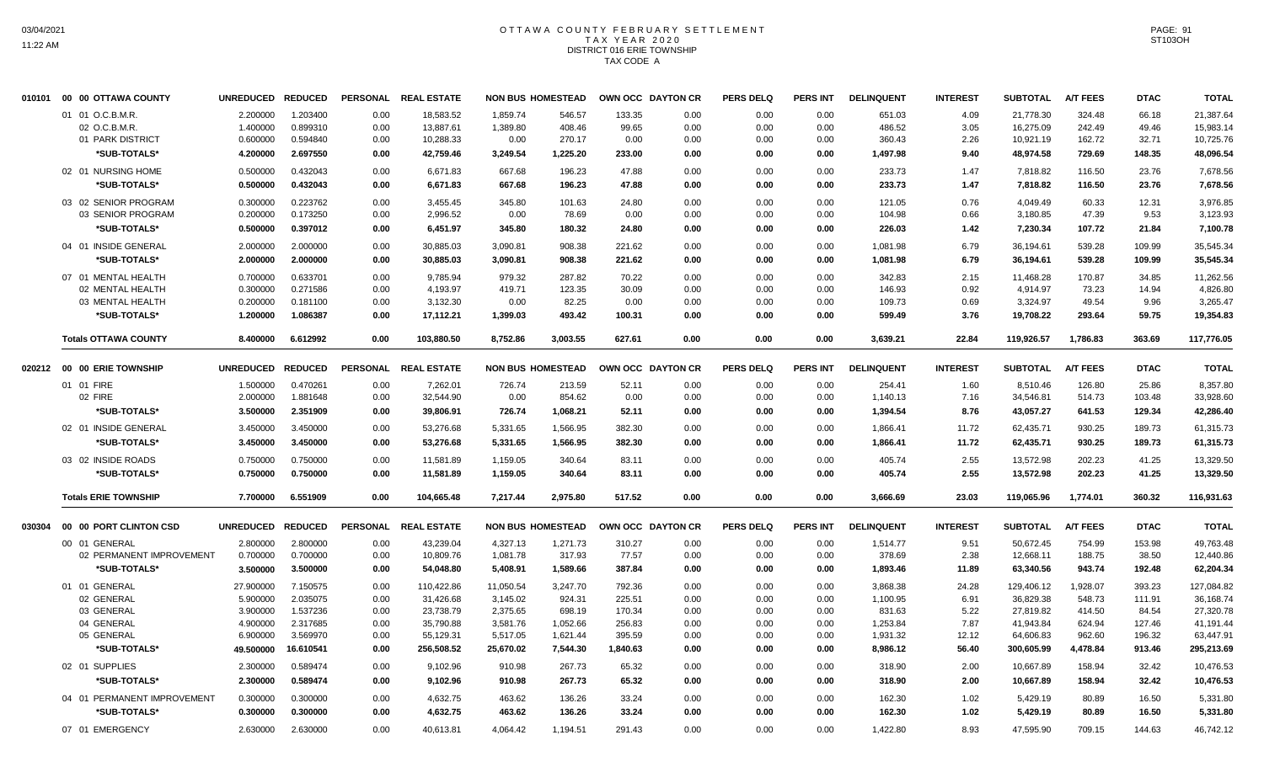# OTTAWA COUNTY FEBRUARY SETTLEMENT TAX YEAR 2020 DISTRICT 016 ERIE TOWNSHIP TAX CODE A

| 010101 | 00 00 OTTAWA COUNTY         | UNREDUCED REDUCED |                |                 | PERSONAL REAL ESTATE |           | <b>NON BUS HOMESTEAD</b> |          | OWN OCC DAYTON CR | <b>PERS DELQ</b> | <b>PERS INT</b> | <b>DELINQUENT</b> | <b>INTEREST</b> | <b>SUBTOTAL</b> | <b>A/T FEES</b> | <b>DTAC</b> | <b>TOTAL</b> |
|--------|-----------------------------|-------------------|----------------|-----------------|----------------------|-----------|--------------------------|----------|-------------------|------------------|-----------------|-------------------|-----------------|-----------------|-----------------|-------------|--------------|
|        | 01 01 O.C.B.M.R.            | 2.200000          | 1.203400       | 0.00            | 18,583.52            | 1,859.74  | 546.57                   | 133.35   | 0.00              | 0.00             | 0.00            | 651.03            | 4.09            | 21,778.30       | 324.48          | 66.18       | 21,387.64    |
|        | 02 O.C.B.M.R.               | 1.400000          | 0.899310       | 0.00            | 13,887.61            | 1,389.80  | 408.46                   | 99.65    | 0.00              | 0.00             | 0.00            | 486.52            | 3.05            | 16,275.09       | 242.49          | 49.46       | 15,983.14    |
|        | 01 PARK DISTRICT            | 0.600000          | 0.594840       | 0.00            | 10,288.33            | 0.00      | 270.17                   | 0.00     | 0.00              | 0.00             | 0.00            | 360.43            | 2.26            | 10,921.19       | 162.72          | 32.71       | 10,725.76    |
|        | *SUB-TOTALS*                | 4.200000          | 2.697550       | 0.00            | 42,759.46            | 3,249.54  | 1,225.20                 | 233.00   | 0.00              | 0.00             | 0.00            | 1,497.98          | 9.40            | 48,974.58       | 729.69          | 148.35      | 48,096.54    |
|        | 02 01 NURSING HOME          | 0.500000          | 0.432043       | 0.00            | 6,671.83             | 667.68    | 196.23                   | 47.88    | 0.00              | 0.00             | 0.00            | 233.73            | 1.47            | 7,818.82        | 116.50          | 23.76       | 7,678.56     |
|        | *SUB-TOTALS*                | 0.500000          | 0.432043       | 0.00            | 6,671.83             | 667.68    | 196.23                   | 47.88    | 0.00              | 0.00             | 0.00            | 233.73            | 1.47            | 7,818.82        | 116.50          | 23.76       | 7,678.56     |
|        | 03 02 SENIOR PROGRAM        | 0.300000          | 0.223762       | 0.00            | 3,455.45             | 345.80    | 101.63                   | 24.80    | 0.00              | 0.00             | 0.00            | 121.05            | 0.76            | 4,049.49        | 60.33           | 12.31       | 3,976.85     |
|        | 03 SENIOR PROGRAM           | 0.200000          | 0.173250       | 0.00            | 2,996.52             | 0.00      | 78.69                    | 0.00     | 0.00              | 0.00             | 0.00            | 104.98            | 0.66            | 3,180.85        | 47.39           | 9.53        | 3,123.93     |
|        | *SUB-TOTALS*                | 0.500000          | 0.397012       | 0.00            | 6,451.97             | 345.80    | 180.32                   | 24.80    | 0.00              | 0.00             | 0.00            | 226.03            | 1.42            | 7,230.34        | 107.72          | 21.84       | 7,100.78     |
|        | 04 01 INSIDE GENERAL        | 2.000000          | 2.000000       | 0.00            | 30,885.03            | 3,090.81  | 908.38                   | 221.62   | 0.00              | 0.00             | 0.00            | 1,081.98          | 6.79            | 36,194.61       | 539.28          | 109.99      | 35,545.34    |
|        | *SUB-TOTALS*                | 2.000000          | 2.000000       | 0.00            | 30,885.03            | 3,090.81  | 908.38                   | 221.62   | 0.00              | 0.00             | 0.00            | 1,081.98          | 6.79            | 36,194.61       | 539.28          | 109.99      | 35,545.34    |
|        | 07 01 MENTAL HEALTH         | 0.700000          | 0.633701       | 0.00            | 9,785.94             | 979.32    | 287.82                   | 70.22    | 0.00              | 0.00             | 0.00            | 342.83            | 2.15            | 11,468.28       | 170.87          | 34.85       | 11,262.56    |
|        | 02 MENTAL HEALTH            | 0.300000          | 0.271586       | 0.00            | 4,193.97             | 419.71    | 123.35                   | 30.09    | 0.00              | 0.00             | 0.00            | 146.93            | 0.92            | 4,914.97        | 73.23           | 14.94       | 4,826.80     |
|        | 03 MENTAL HEALTH            | 0.200000          | 0.181100       | 0.00            | 3,132.30             | 0.00      | 82.25                    | 0.00     | 0.00              | 0.00             | 0.00            | 109.73            | 0.69            | 3,324.97        | 49.54           | 9.96        | 3,265.47     |
|        | *SUB-TOTALS*                | 1.200000          | 1.086387       | 0.00            | 17,112.21            | 1,399.03  | 493.42                   | 100.31   | 0.00              | 0.00             | 0.00            | 599.49            | 3.76            | 19,708.22       | 293.64          | 59.75       | 19,354.83    |
|        | <b>Totals OTTAWA COUNTY</b> | 8.400000          | 6.612992       | 0.00            | 103,880.50           | 8,752.86  | 3,003.55                 | 627.61   | 0.00              | 0.00             | 0.00            | 3,639.21          | 22.84           | 119,926.57      | 1,786.83        | 363.69      | 117,776.05   |
|        |                             |                   |                |                 |                      |           |                          |          |                   |                  |                 |                   |                 |                 |                 |             |              |
|        |                             | <b>UNREDUCED</b>  | <b>REDUCED</b> | <b>PERSONAL</b> | <b>REAL ESTATE</b>   |           | <b>NON BUS HOMESTEAD</b> |          | OWN OCC DAYTON CR | <b>PERS DELQ</b> | <b>PERS INT</b> | <b>DELINQUENT</b> | <b>INTEREST</b> | <b>SUBTOTAL</b> | <b>A/T FEES</b> | <b>DTAC</b> | <b>TOTAL</b> |
|        | 01 01 FIRE                  | 1.500000          | 0.470261       | 0.00            | 7,262.01             | 726.74    | 213.59                   | 52.11    | 0.00              | 0.00             | 0.00            | 254.41            | 1.60            | 8,510.46        | 126.80          | 25.86       | 8,357.80     |
|        | 02 FIRE                     | 2.000000          | 1.881648       | 0.00            | 32,544.90            | 0.00      | 854.62                   | 0.00     | 0.00              | 0.00             | 0.00            | 1,140.13          | 7.16            | 34,546.81       | 514.73          | 103.48      | 33,928.60    |
|        | *SUB-TOTALS*                | 3.500000          | 2.351909       | 0.00            | 39,806.91            | 726.74    | 1,068.21                 | 52.11    | 0.00              | 0.00             | 0.00            | 1,394.54          | 8.76            | 43,057.27       | 641.53          | 129.34      | 42,286.40    |
|        | 02 01 INSIDE GENERAL        | 3.450000          | 3.450000       | 0.00            | 53,276.68            | 5,331.65  | 1,566.95                 | 382.30   | 0.00              | 0.00             | 0.00            | 1,866.41          | 11.72           | 62,435.71       | 930.25          | 189.73      | 61,315.73    |
|        | *SUB-TOTALS*                | 3.450000          | 3.450000       | 0.00            | 53,276.68            | 5,331.65  | 1,566.95                 | 382.30   | 0.00              | 0.00             | 0.00            | 1,866.41          | 11.72           | 62,435.71       | 930.25          | 189.73      | 61,315.73    |
|        | 03 02 INSIDE ROADS          | 0.750000          | 0.750000       | 0.00            | 11,581.89            | 1,159.05  | 340.64                   | 83.11    | 0.00              | 0.00             | 0.00            | 405.74            | 2.55            | 13,572.98       | 202.23          | 41.25       | 13,329.50    |
|        | *SUB-TOTALS*                | 0.750000          | 0.750000       | 0.00            | 11,581.89            | 1,159.05  | 340.64                   | 83.11    | 0.00              | 0.00             | 0.00            | 405.74            | 2.55            | 13,572.98       | 202.23          | 41.25       | 13,329.50    |
|        | <b>Totals ERIE TOWNSHIP</b> | 7.700000          | 6.551909       | 0.00            | 104,665.48           | 7,217.44  | 2,975.80                 | 517.52   | 0.00              | 0.00             | 0.00            | 3,666.69          | 23.03           | 119,065.96      | 1,774.01        | 360.32      | 116,931.63   |
| 030304 | 00 00 PORT CLINTON CSD      | <b>UNREDUCED</b>  | <b>REDUCED</b> |                 | PERSONAL REAL ESTATE |           | <b>NON BUS HOMESTEAD</b> |          | OWN OCC DAYTON CR | <b>PERS DELQ</b> | PERS INT        | <b>DELINQUENT</b> | <b>INTEREST</b> | <b>SUBTOTAL</b> | <b>A/T FEES</b> | <b>DTAC</b> | <b>TOTAL</b> |
|        | 00 01 GENERAL               | 2.800000          | 2.800000       | 0.00            | 43,239.04            | 4,327.13  | 1,271.73                 | 310.27   | 0.00              | 0.00             | 0.00            | 1,514.77          | 9.51            | 50,672.45       | 754.99          | 153.98      | 49,763.48    |
|        | 02 PERMANENT IMPROVEMENT    | 0.700000          | 0.700000       | 0.00            | 10,809.76            | 1,081.78  | 317.93                   | 77.57    | 0.00              | 0.00             | 0.00            | 378.69            | 2.38            | 12,668.11       | 188.75          | 38.50       | 12,440.86    |
|        | *SUB-TOTALS*                | 3.500000          | 3.500000       | 0.00            | 54,048.80            | 5,408.91  | 1,589.66                 | 387.84   | 0.00              | 0.00             | 0.00            | 1,893.46          | 11.89           | 63,340.56       | 943.74          | 192.48      | 62,204.34    |
|        | 01 01 GENERAL               | 27.900000         | 7.150575       | 0.00            | 110,422.86           | 11,050.54 | 3,247.70                 | 792.36   | 0.00              | 0.00             | 0.00            | 3,868.38          | 24.28           | 129,406.12      | 1,928.07        | 393.23      | 127,084.82   |
|        | 02 GENERAL                  | 5.900000          | 2.035075       | 0.00            | 31,426.68            | 3,145.02  | 924.31                   | 225.51   | 0.00              | 0.00             | 0.00            | 1,100.95          | 6.91            | 36,829.38       | 548.73          | 111.91      | 36,168.74    |
|        | 03 GENERAL                  | 3.900000          | 1.537236       | 0.00            | 23,738.79            | 2,375.65  | 698.19                   | 170.34   | 0.00              | 0.00             | 0.00            | 831.63            | 5.22            | 27,819.82       | 414.50          | 84.54       | 27,320.78    |
|        | 04 GENERAL                  | 4.900000          | 2.317685       | 0.00            | 35,790.88            | 3,581.76  | 1,052.66                 | 256.83   | 0.00              | 0.00             | 0.00            | 1,253.84          | 7.87            | 41,943.84       | 624.94          | 127.46      | 41,191.44    |
|        | 05 GENERAL                  | 6.900000          | 3.569970       | 0.00            | 55,129.31            | 5,517.05  | 1,621.44                 | 395.59   | 0.00              | 0.00             | 0.00            | 1,931.32          | 12.12           | 64,606.83       | 962.60          | 196.32      | 63,447.91    |
|        | *SUB-TOTALS*                | 49.500000         | 16.610541      | 0.00            | 256,508.52           | 25,670.02 | 7,544.30                 | 1,840.63 | 0.00              | 0.00             | 0.00            | 8,986.12          | 56.40           | 300,605.99      | 4,478.84        | 913.46      | 295,213.69   |
|        | 02 01 SUPPLIES              | 2.300000          | 0.589474       | 0.00            | 9,102.96             | 910.98    | 267.73                   | 65.32    | 0.00              | 0.00             | 0.00            | 318.90            | 2.00            | 10,667.89       | 158.94          | 32.42       | 10,476.53    |
|        | *SUB-TOTALS*                | 2.300000          | 0.589474       | 0.00            | 9,102.96             | 910.98    | 267.73                   | 65.32    | 0.00              | 0.00             | 0.00            | 318.90            | 2.00            | 10,667.89       | 158.94          | 32.42       | 10,476.53    |
|        | 04 01 PERMANENT IMPROVEMENT | 0.300000          | 0.300000       | 0.00            | 4,632.75             | 463.62    | 136.26                   | 33.24    | 0.00              | 0.00             | 0.00            | 162.30            | 1.02            | 5,429.19        | 80.89           | 16.50       | 5,331.80     |
|        | *SUB-TOTALS*                | 0.300000          | 0.300000       | 0.00            | 4,632.75             | 463.62    | 136.26                   | 33.24    | 0.00              | 0.00             | 0.00            | 162.30            | 1.02            | 5,429.19        | 80.89           | 16.50       | 5,331.80     |
|        | 07 01 EMERGENCY             | 2.630000          | 2.630000       | 0.00            | 40,613.81            | 4,064.42  | 1,194.51                 | 291.43   | 0.00              | 0.00             | 0.00            | 1,422.80          | 8.93            | 47,595.90       | 709.15          | 144.63      | 46,742.12    |
|        |                             |                   |                |                 |                      |           |                          |          |                   |                  |                 |                   |                 |                 |                 |             |              |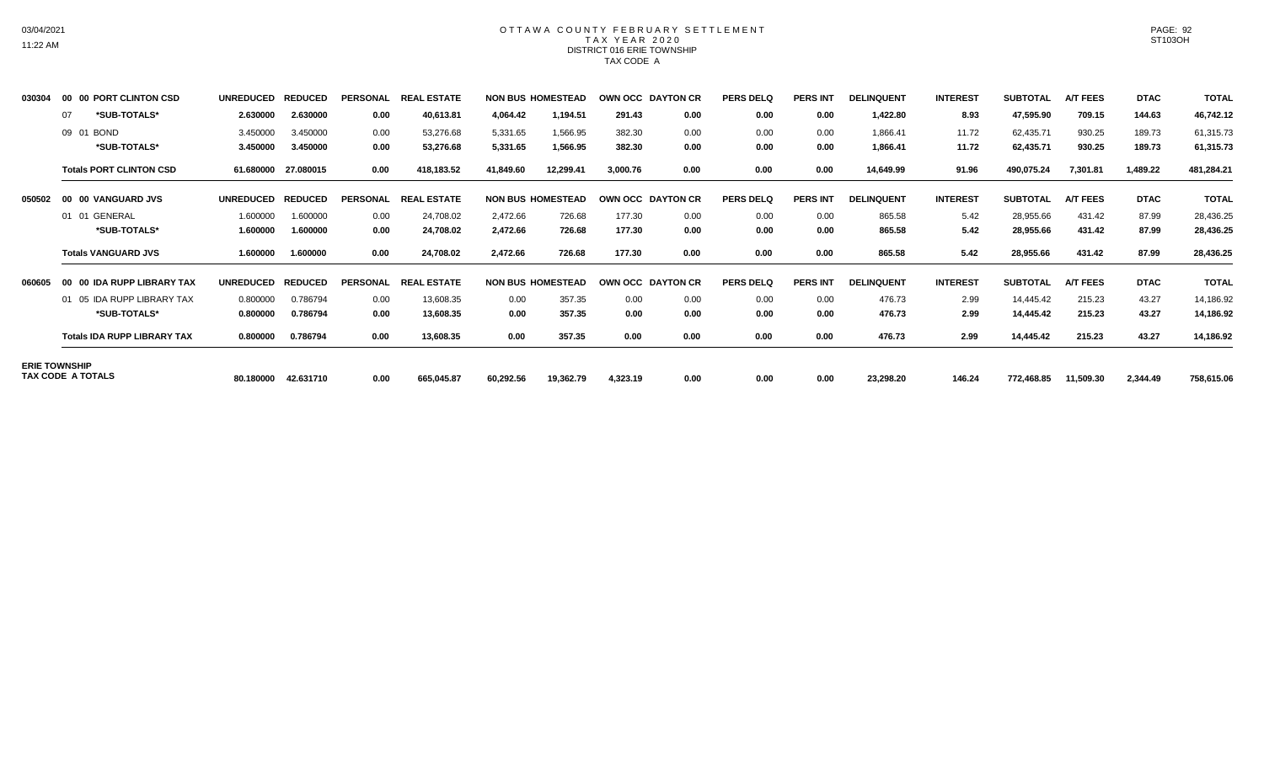## OTTAWA COUNTY FEBRUARY SETTLEMENT TAX YEAR 2020 DISTRICT 016 ERIE TOWNSHIP TAX CODE A

| 030304 | 00 00 PORT CLINTON CSD             | <b>UNREDUCED</b> | <b>REDUCED</b> | <b>PERSONAL</b> | <b>REAL ESTATE</b> |           | <b>NON BUS HOMESTEAD</b> |          | <b>OWN OCC DAYTON CR</b> | <b>PERS DELQ</b> | <b>PERS INT</b> | <b>DELINQUENT</b> | <b>INTEREST</b> | <b>SUBTOTAL</b> | <b>A/T FEES</b> | <b>DTAC</b> | <b>TOTAL</b> |
|--------|------------------------------------|------------------|----------------|-----------------|--------------------|-----------|--------------------------|----------|--------------------------|------------------|-----------------|-------------------|-----------------|-----------------|-----------------|-------------|--------------|
|        | *SUB-TOTALS*<br>07                 | 2.630000         | 2.630000       | 0.00            | 40,613.81          | 4,064.42  | 1,194.51                 | 291.43   | 0.00                     | 0.00             | 0.00            | 1,422.80          | 8.93            | 47,595.90       | 709.15          | 144.63      | 46,742.12    |
|        | 09 01 BOND                         | 3.450000         | 3.450000       | 0.00            | 53,276.68          | 5,331.65  | 1,566.95                 | 382.30   | 0.00                     | 0.00             | 0.00            | 1,866.41          | 11.72           | 62,435.71       | 930.25          | 189.73      | 61,315.73    |
|        | *SUB-TOTALS*                       | 3.450000         | 3.450000       | 0.00            | 53,276.68          | 5,331.65  | 1,566.95                 | 382.30   | 0.00                     | 0.00             | 0.00            | 1,866.41          | 11.72           | 62,435.71       | 930.25          | 189.73      | 61,315.73    |
|        | <b>Totals PORT CLINTON CSD</b>     | 61.680000        | 27.080015      | 0.00            | 418,183.52         | 41,849.60 | 12,299.41                | 3,000.76 | 0.00                     | 0.00             | 0.00            | 14,649.99         | 91.96           | 490,075.24      | 7,301.81        | 1,489.22    | 481,284.21   |
| 050502 | 00 00 VANGUARD JVS                 | <b>UNREDUCED</b> | <b>REDUCED</b> | <b>PERSONAL</b> | <b>REAL ESTATE</b> |           | <b>NON BUS HOMESTEAD</b> |          | OWN OCC DAYTON CR        | <b>PERS DELQ</b> | <b>PERS INT</b> | <b>DELINQUENT</b> | <b>INTEREST</b> | <b>SUBTOTAL</b> | A/T FEES        | <b>DTAC</b> | <b>TOTAL</b> |
|        | 01 01 GENERAL                      | 1.600000         | 1.600000       | 0.00            | 24,708.02          | 2,472.66  | 726.68                   | 177.30   | 0.00                     | 0.00             | 0.00            | 865.58            | 5.42            | 28,955.66       | 431.42          | 87.99       | 28,436.25    |
|        | *SUB-TOTALS*                       | 1.600000         | 1.600000       | 0.00            | 24,708.02          | 2,472.66  | 726.68                   | 177.30   | 0.00                     | 0.00             | 0.00            | 865.58            | 5.42            | 28,955.66       | 431.42          | 87.99       | 28,436.25    |
|        | <b>Totals VANGUARD JVS</b>         | 1.600000         | 1.600000       | 0.00            | 24,708.02          | 2,472.66  | 726.68                   | 177.30   | 0.00                     | 0.00             | 0.00            | 865.58            | 5.42            | 28,955.66       | 431.42          | 87.99       | 28,436.25    |
| 060605 | 00 00 IDA RUPP LIBRARY TAX         | <b>UNREDUCED</b> | <b>REDUCED</b> | <b>PERSONAL</b> | <b>REAL ESTATE</b> |           | <b>NON BUS HOMESTEAD</b> |          | OWN OCC DAYTON CR        | <b>PERS DELQ</b> | <b>PERS INT</b> | <b>DELINQUENT</b> | <b>INTEREST</b> | <b>SUBTOTAL</b> | <b>A/T FEES</b> | <b>DTAC</b> | <b>TOTAL</b> |
|        | 01 05 IDA RUPP LIBRARY TAX         | 0.800000         | 0.786794       | 0.00            | 13,608.35          | 0.00      | 357.35                   | 0.00     | 0.00                     | 0.00             | 0.00            | 476.73            | 2.99            | 14,445.42       | 215.23          | 43.27       | 14,186.92    |
|        | *SUB-TOTALS*                       | 0.800000         | 0.786794       | 0.00            | 13,608.35          | 0.00      | 357.35                   | 0.00     | 0.00                     | 0.00             | 0.00            | 476.73            | 2.99            | 14,445.42       | 215.23          | 43.27       | 14,186.92    |
|        | <b>Totals IDA RUPP LIBRARY TAX</b> | 0.800000         | 0.786794       | 0.00            | 13,608.35          | 0.00      | 357.35                   | 0.00     | 0.00                     | 0.00             | 0.00            | 476.73            | 2.99            | 14,445.42       | 215.23          | 43.27       | 14,186.92    |
|        | <b>ERIE TOWNSHIP</b>               |                  |                |                 |                    |           |                          |          |                          |                  |                 |                   |                 |                 |                 |             |              |
|        | <b>TAX CODE A TOTALS</b>           | 80.180000        | 42.631710      | 0.00            | 665,045.87         | 60,292.56 | 19,362.79                | 4,323.19 | 0.00                     | 0.00             | 0.00            | 23,298.20         | 146.24          | 772,468.85      | 11,509.30       | 2,344.49    | 758,615.06   |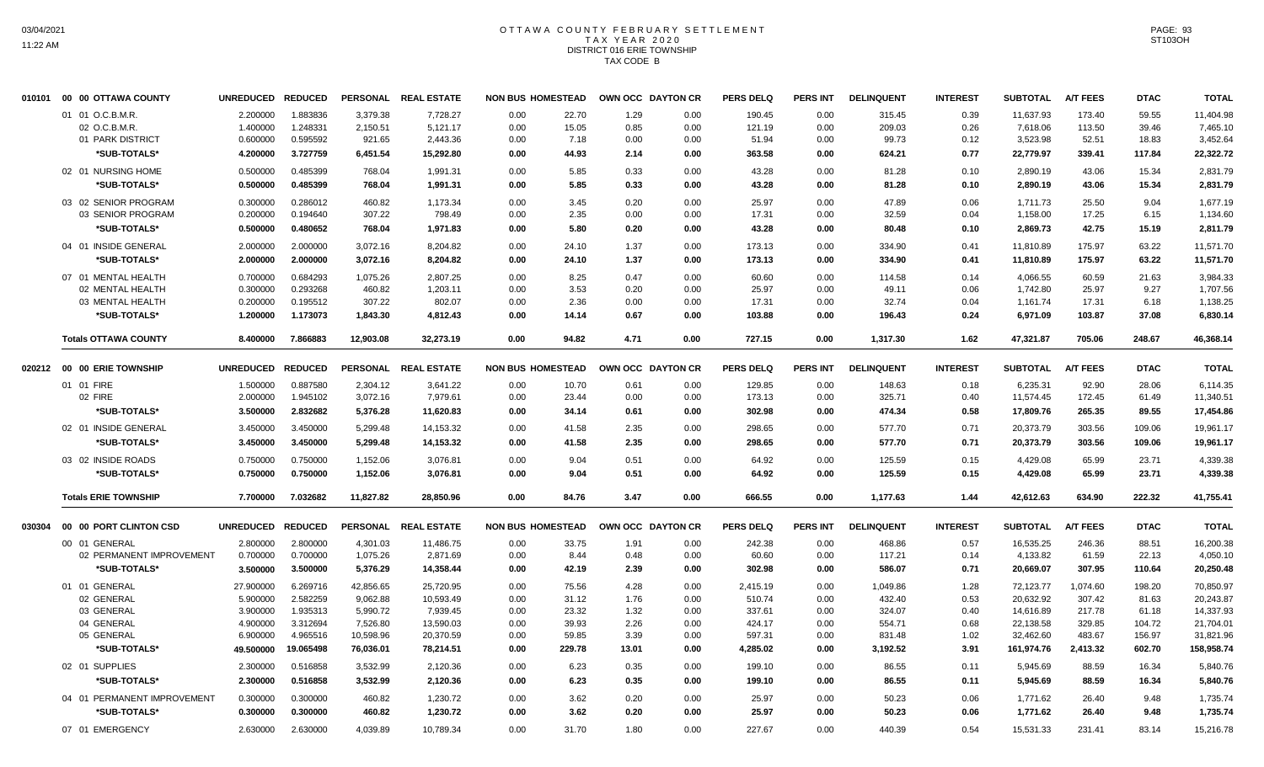# OTTAWA COUNTY FEBRUARY SETTLEMENT TAX YEAR 2020 DISTRICT 016 ERIE TOWNSHIP TAX CODE B

|        | 010101 00 00 OTTAWA COUNTY  | UNREDUCED REDUCED |           |           | PERSONAL REAL ESTATE | <b>NON BUS HOMESTEAD</b> |        | OWN OCC DAYTON CR |      | <b>PERS DELQ</b> | <b>PERS INT</b> | <b>DELINQUENT</b> | <b>INTEREST</b> | <b>SUBTOTAL</b> | <b>A/T FEES</b> | <b>DTAC</b> | <b>TOTAL</b> |
|--------|-----------------------------|-------------------|-----------|-----------|----------------------|--------------------------|--------|-------------------|------|------------------|-----------------|-------------------|-----------------|-----------------|-----------------|-------------|--------------|
|        | 01 01 O.C.B.M.R.            | 2.200000          | 1.883836  | 3.379.38  | 7.728.27             | 0.00                     | 22.70  | 1.29              | 0.00 | 190.45           | 0.00            | 315.45            | 0.39            | 11,637.93       | 173.40          | 59.55       | 11,404.98    |
|        | 02 O.C.B.M.R.               | 1.400000          | 1.248331  | 2,150.51  | 5,121.17             | 0.00                     | 15.05  | 0.85              | 0.00 | 121.19           | 0.00            | 209.03            | 0.26            | 7,618.06        | 113.50          | 39.46       | 7,465.10     |
|        | 01 PARK DISTRICT            | 0.600000          | 0.595592  | 921.65    | 2,443.36             | 0.00                     | 7.18   | 0.00              | 0.00 | 51.94            | 0.00            | 99.73             | 0.12            | 3,523.98        | 52.51           | 18.83       | 3,452.64     |
|        | *SUB-TOTALS*                | 4.200000          | 3.727759  | 6,451.54  | 15,292.80            | 0.00                     | 44.93  | 2.14              | 0.00 | 363.58           | 0.00            | 624.21            | 0.77            | 22,779.97       | 339.41          | 117.84      | 22,322.72    |
|        | 02 01 NURSING HOME          | 0.500000          | 0.485399  | 768.04    | 1,991.31             | 0.00                     | 5.85   | 0.33              | 0.00 | 43.28            | 0.00            | 81.28             | 0.10            | 2,890.19        | 43.06           | 15.34       | 2,831.79     |
|        | *SUB-TOTALS*                | 0.500000          | 0.485399  | 768.04    | 1,991.31             | 0.00                     | 5.85   | 0.33              | 0.00 | 43.28            | 0.00            | 81.28             | 0.10            | 2,890.19        | 43.06           | 15.34       | 2,831.79     |
|        | 03 02 SENIOR PROGRAM        | 0.300000          | 0.286012  | 460.82    | 1,173.34             | 0.00                     | 3.45   | 0.20              | 0.00 | 25.97            | 0.00            | 47.89             | 0.06            | 1,711.73        | 25.50           | 9.04        | 1,677.19     |
|        | 03 SENIOR PROGRAM           | 0.200000          | 0.194640  | 307.22    | 798.49               | 0.00                     | 2.35   | 0.00              | 0.00 | 17.31            | 0.00            | 32.59             | 0.04            | 1,158.00        | 17.25           | 6.15        | 1,134.60     |
|        | *SUB-TOTALS*                | 0.500000          | 0.480652  | 768.04    | 1,971.83             | 0.00                     | 5.80   | 0.20              | 0.00 | 43.28            | 0.00            | 80.48             | 0.10            | 2,869.73        | 42.75           | 15.19       | 2,811.79     |
|        | 04 01 INSIDE GENERAL        | 2.000000          | 2.000000  | 3,072.16  | 8,204.82             | 0.00                     | 24.10  | 1.37              | 0.00 | 173.13           | 0.00            | 334.90            | 0.41            | 11,810.89       | 175.97          | 63.22       | 11,571.70    |
|        | *SUB-TOTALS*                | 2.000000          | 2.000000  | 3,072.16  | 8,204.82             | 0.00                     | 24.10  | 1.37              | 0.00 | 173.13           | 0.00            | 334.90            | 0.41            | 11,810.89       | 175.97          | 63.22       | 11,571.70    |
|        | 07 01 MENTAL HEALTH         | 0.700000          | 0.684293  | 1.075.26  | 2.807.25             | 0.00                     | 8.25   | 0.47              | 0.00 | 60.60            | 0.00            | 114.58            | 0.14            | 4,066.55        | 60.59           | 21.63       | 3,984.33     |
|        | 02 MENTAL HEALTH            | 0.300000          | 0.293268  | 460.82    | 1,203.11             | 0.00                     | 3.53   | 0.20              | 0.00 | 25.97            | 0.00            | 49.11             | 0.06            | 1,742.80        | 25.97           | 9.27        | 1,707.56     |
|        | 03 MENTAL HEALTH            | 0.200000          | 0.195512  | 307.22    | 802.07               | 0.00                     | 2.36   | 0.00              | 0.00 | 17.31            | 0.00            | 32.74             | 0.04            | 1,161.74        | 17.31           | 6.18        | 1,138.25     |
|        | *SUB-TOTALS*                | 1.200000          | 1.173073  | 1,843.30  | 4,812.43             | 0.00                     | 14.14  | 0.67              | 0.00 | 103.88           | 0.00            | 196.43            | 0.24            | 6,971.09        | 103.87          | 37.08       | 6,830.14     |
|        | <b>Totals OTTAWA COUNTY</b> | 8.400000          | 7.866883  | 12,903.08 | 32,273.19            | 0.00                     | 94.82  | 4.71              | 0.00 | 727.15           | 0.00            | 1,317.30          | 1.62            | 47,321.87       | 705.06          | 248.67      | 46,368.14    |
|        |                             | UNREDUCED REDUCED |           |           | PERSONAL REAL ESTATE | <b>NON BUS HOMESTEAD</b> |        | OWN OCC DAYTON CR |      | <b>PERS DELQ</b> | <b>PERS INT</b> | <b>DELINQUENT</b> | <b>INTEREST</b> | <b>SUBTOTAL</b> | <b>A/T FEES</b> | <b>DTAC</b> |              |
|        | 020212 00 00 ERIE TOWNSHIP  |                   |           |           |                      |                          |        |                   |      |                  |                 |                   |                 |                 |                 |             | <b>TOTAL</b> |
|        | 01 01 FIRE                  | 1.500000          | 0.887580  | 2,304.12  | 3,641.22             | 0.00                     | 10.70  | 0.61              | 0.00 | 129.85           | 0.00            | 148.63            | 0.18            | 6,235.31        | 92.90           | 28.06       | 6,114.35     |
|        | 02 FIRE                     | 2.000000          | 1.945102  | 3,072.16  | 7,979.61             | 0.00                     | 23.44  | 0.00              | 0.00 | 173.13           | 0.00            | 325.71            | 0.40            | 11,574.45       | 172.45          | 61.49       | 11,340.51    |
|        | *SUB-TOTALS*                | 3.500000          | 2.832682  | 5,376.28  | 11,620.83            | 0.00                     | 34.14  | 0.61              | 0.00 | 302.98           | 0.00            | 474.34            | 0.58            | 17,809.76       | 265.35          | 89.55       | 17,454.86    |
|        | 02 01 INSIDE GENERAL        | 3.450000          | 3.450000  | 5,299.48  | 14,153.32            | 0.00                     | 41.58  | 2.35              | 0.00 | 298.65           | 0.00            | 577.70            | 0.71            | 20,373.79       | 303.56          | 109.06      | 19,961.17    |
|        | *SUB-TOTALS*                | 3.450000          | 3.450000  | 5,299.48  | 14,153.32            | 0.00                     | 41.58  | 2.35              | 0.00 | 298.65           | 0.00            | 577.70            | 0.71            | 20,373.79       | 303.56          | 109.06      | 19,961.17    |
|        | 03 02 INSIDE ROADS          | 0.750000          | 0.750000  | 1,152.06  | 3,076.81             | 0.00                     | 9.04   | 0.51              | 0.00 | 64.92            | 0.00            | 125.59            | 0.15            | 4,429.08        | 65.99           | 23.71       | 4,339.38     |
|        | *SUB-TOTALS*                | 0.750000          | 0.750000  | 1,152.06  | 3,076.81             | 0.00                     | 9.04   | 0.51              | 0.00 | 64.92            | 0.00            | 125.59            | 0.15            | 4,429.08        | 65.99           | 23.71       | 4,339.38     |
|        | <b>Totals ERIE TOWNSHIP</b> | 7.700000          | 7.032682  | 11,827.82 | 28.850.96            | 0.00                     | 84.76  | 3.47              | 0.00 | 666.55           | 0.00            | 1,177.63          | 1.44            | 42,612.63       | 634.90          | 222.32      | 41,755.41    |
| 030304 | 00 00 PORT CLINTON CSD      | UNREDUCED REDUCED |           |           | PERSONAL REAL ESTATE | <b>NON BUS HOMESTEAD</b> |        | OWN OCC DAYTON CR |      | <b>PERS DELQ</b> | <b>PERS INT</b> | <b>DELINQUENT</b> | <b>INTEREST</b> | <b>SUBTOTAL</b> | <b>A/T FEES</b> | <b>DTAC</b> | <b>TOTAL</b> |
|        | 00 01 GENERAL               | 2.800000          | 2.800000  | 4,301.03  | 11,486.75            | 0.00                     | 33.75  | 1.91              | 0.00 | 242.38           | 0.00            | 468.86            | 0.57            | 16,535.25       | 246.36          | 88.51       | 16,200.38    |
|        | 02 PERMANENT IMPROVEMENT    | 0.700000          | 0.700000  | 1,075.26  | 2,871.69             | 0.00                     | 8.44   | 0.48              | 0.00 | 60.60            | 0.00            | 117.21            | 0.14            | 4,133.82        | 61.59           | 22.13       | 4,050.10     |
|        | *SUB-TOTALS*                | 3.500000          | 3.500000  | 5,376.29  | 14,358.44            | 0.00                     | 42.19  | 2.39              | 0.00 | 302.98           | 0.00            | 586.07            | 0.71            | 20,669.07       | 307.95          | 110.64      | 20,250.48    |
|        | 01 01 GENERAL               | 27.900000         | 6.269716  | 42,856.65 | 25,720.95            | 0.00                     | 75.56  | 4.28              | 0.00 | 2,415.19         | 0.00            | 1,049.86          | 1.28            | 72,123.77       | 1,074.60        | 198.20      | 70,850.97    |
|        | 02 GENERAL                  | 5.900000          | 2.582259  | 9,062.88  | 10,593.49            | 0.00                     | 31.12  | 1.76              | 0.00 | 510.74           | 0.00            | 432.40            | 0.53            | 20,632.92       | 307.42          | 81.63       | 20,243.87    |
|        | 03 GENERAL                  | 3.900000          | 1.935313  | 5,990.72  | 7,939.45             | 0.00                     | 23.32  | 1.32              | 0.00 | 337.61           | 0.00            | 324.07            | 0.40            | 14,616.89       | 217.78          | 61.18       | 14,337.93    |
|        | 04 GENERAL                  | 4.900000          | 3.312694  | 7,526.80  | 13,590.03            | 0.00                     | 39.93  | 2.26              | 0.00 | 424.17           | 0.00            | 554.71            | 0.68            | 22,138.58       | 329.85          | 104.72      | 21,704.01    |
|        | 05 GENERAL                  | 6.900000          | 4.965516  | 10,598.96 | 20,370.59            | 0.00                     | 59.85  | 3.39              | 0.00 | 597.31           | 0.00            | 831.48            | 1.02            | 32,462.60       | 483.67          | 156.97      | 31,821.96    |
|        | *SUB-TOTALS*                | 49.500000         | 19.065498 | 76,036.01 | 78,214.51            | 0.00                     | 229.78 | 13.01             | 0.00 | 4,285.02         | 0.00            | 3,192.52          | 3.91            | 161,974.76      | 2,413.32        | 602.70      | 158,958.74   |
|        |                             |                   |           |           |                      |                          |        |                   |      |                  |                 |                   |                 |                 |                 |             |              |
|        | 02 01 SUPPLIES              | 2.300000          | 0.516858  | 3,532.99  | 2,120.36             | 0.00                     | 6.23   | 0.35              | 0.00 | 199.10           | 0.00            | 86.55             | 0.11            | 5,945.69        | 88.59           | 16.34       | 5,840.76     |
|        | *SUB-TOTALS*                | 2.300000          | 0.516858  | 3,532.99  | 2,120.36             | 0.00                     | 6.23   | 0.35              | 0.00 | 199.10           | 0.00            | 86.55             | 0.11            | 5,945.69        | 88.59           | 16.34       | 5,840.76     |
|        | 04 01 PERMANENT IMPROVEMENT | 0.300000          | 0.300000  | 460.82    | 1,230.72             | 0.00                     | 3.62   | 0.20              | 0.00 | 25.97            | 0.00            | 50.23             | 0.06            | 1,771.62        | 26.40           | 9.48        | 1,735.74     |
|        | *SUB-TOTALS*                | 0.300000          | 0.300000  | 460.82    | 1,230.72             | 0.00                     | 3.62   | 0.20              | 0.00 | 25.97            | 0.00            | 50.23             | 0.06            | 1,771.62        | 26.40           | 9.48        | 1,735.74     |
|        | 07 01 EMERGENCY             | 2.630000          | 2.630000  | 4,039.89  | 10,789.34            | 0.00                     | 31.70  | 1.80              | 0.00 | 227.67           | 0.00            | 440.39            | 0.54            | 15,531.33       | 231.41          | 83.14       | 15,216.78    |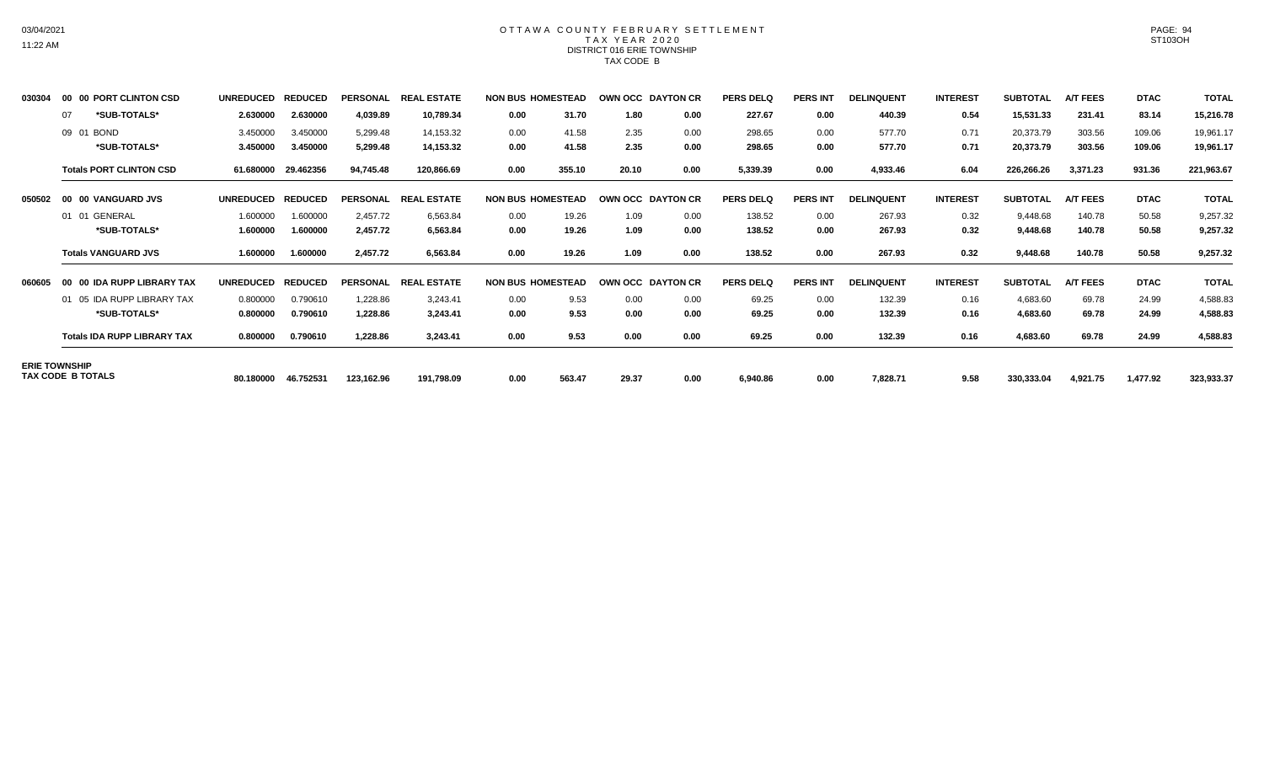## OTTAWA COUNTY FEBRUARY SETTLEMENT TAX YEAR 2020 DISTRICT 016 ERIE TOWNSHIP TAX CODE B

| 030304 | PORT CLINTON CSD<br>00 00          | <b>UNREDUCED</b> | <b>REDUCED</b> | <b>PERSONAL</b> | <b>REAI</b><br>. ESTATE       |      | <b>NON BUS HOMESTEAD</b> |       | OWN OCC DAYTON CR        | <b>PERS DELQ</b> | <b>PERS INT</b> | <b>DELINQUENT</b> | <b>INTEREST</b> | <b>SUBTOTAL</b> | <b>A/T FEES</b> | <b>DTAC</b> | <b>TOTAL</b> |
|--------|------------------------------------|------------------|----------------|-----------------|-------------------------------|------|--------------------------|-------|--------------------------|------------------|-----------------|-------------------|-----------------|-----------------|-----------------|-------------|--------------|
|        | *SUB-TOTALS*<br>07                 | 2.630000         | 2.630000       | 4,039.89        | 10,789.34                     | 0.00 | 31.70                    | 1.80  | 0.00                     | 227.67           | 0.00            | 440.39            | 0.54            | 15,531.33       | 231.41          | 83.14       | 15,216.78    |
|        | 09 01 BOND                         | 3.450000         | 3.450000       | 5,299.48        | 14,153.32                     | 0.00 | 41.58                    | 2.35  | 0.00                     | 298.65           | 0.00            | 577.70            | 0.71            | 20,373.79       | 303.56          | 109.06      | 19,961.17    |
|        | *SUB-TOTALS*                       | 3.450000         | 3.450000       | 5,299.48        | 14,153.32                     | 0.00 | 41.58                    | 2.35  | 0.00                     | 298.65           | 0.00            | 577.70            | 0.71            | 20,373.79       | 303.56          | 109.06      | 19,961.17    |
|        | <b>Totals PORT CLINTON CSD</b>     | 61.680000        | 29.462356      | 94,745.48       | 120,866.69                    | 0.00 | 355.10                   | 20.10 | 0.00                     | 5,339.39         | 0.00            | 4,933.46          | 6.04            | 226,266.26      | 3,371.23        | 931.36      | 221,963.67   |
| 050502 | 00 00 VANGUARD JVS                 | <b>UNREDUCED</b> | <b>REDUCED</b> | <b>PERSONAL</b> | <b>REAL ESTATE</b>            |      | <b>NON BUS HOMESTEAD</b> |       | OWN OCC DAYTON CR        | <b>PERS DELQ</b> | <b>PERS INT</b> | <b>DELINQUENT</b> | <b>INTEREST</b> | <b>SUBTOTAL</b> | <b>A/T FEES</b> | <b>DTAC</b> | <b>TOTAL</b> |
|        | 01 01 GENERAL                      | 1.600000         | 1.600000       | 2,457.72        | 6,563.84                      | 0.00 | 19.26                    | 1.09  | 0.00                     | 138.52           | 0.00            | 267.93            | 0.32            | 9,448.68        | 140.78          | 50.58       | 9,257.32     |
|        | *SUB-TOTALS*                       | 1.600000         | 1.600000       | 2,457.72        | 6,563.84                      | 0.00 | 19.26                    | 1.09  | 0.00                     | 138.52           | 0.00            | 267.93            | 0.32            | 9,448.68        | 140.78          | 50.58       | 9,257.32     |
|        | <b>Totals VANGUARD JVS</b>         | 1.600000         | 1.600000       | 2,457.72        | 6,563.84                      | 0.00 | 19.26                    | 1.09  | 0.00                     | 138.52           | 0.00            | 267.93            | 0.32            | 9,448.68        | 140.78          | 50.58       | 9,257.32     |
| 060605 | 00 00 IDA RUPP LIBRARY TAX         | <b>UNREDUCED</b> | <b>REDUCED</b> | <b>PERSONAL</b> | <b>REAL</b><br><b>LESTATE</b> |      | <b>NON BUS HOMESTEAD</b> |       | <b>OWN OCC DAYTON CR</b> | <b>PERS DELQ</b> | <b>PERS INT</b> | <b>DELINQUENT</b> | <b>INTEREST</b> | <b>SUBTOTAL</b> | <b>A/T FEES</b> | <b>DTAC</b> | <b>TOTAL</b> |
|        | 01 05 IDA RUPP LIBRARY TAX         | 0.800000         | 0.790610       | 1,228.86        | 3,243.41                      | 0.00 | 9.53                     | 0.00  | 0.00                     | 69.25            | 0.00            | 132.39            | 0.16            | 4,683.60        | 69.78           | 24.99       | 4,588.83     |
|        | *SUB-TOTALS*                       | 0.800000         | 0.790610       | 1,228.86        | 3,243.41                      | 0.00 | 9.53                     | 0.00  | 0.00                     | 69.25            | 0.00            | 132.39            | 0.16            | 4,683.60        | 69.78           | 24.99       | 4,588.83     |
|        | <b>Totals IDA RUPP LIBRARY TAX</b> | 0.800000         | 0.790610       | 1,228.86        | 3,243.41                      | 0.00 | 9.53                     | 0.00  | 0.00                     | 69.25            | 0.00            | 132.39            | 0.16            | 4,683.60        | 69.78           | 24.99       | 4,588.83     |
|        | <b>ERIE TOWNSHIP</b>               |                  |                |                 |                               |      |                          |       |                          |                  |                 |                   |                 |                 |                 |             |              |
|        | TAX CODE B TOTALS                  | 80.180000        | 46.752531      | 123.162.96      | 191.798.09                    | 0.00 | 563.47                   | 29.37 | 0.00                     | 6,940.86         | 0.00            | 7.828.71          | 9.58            | 330,333.04      | 4,921.75        | 1.477.92    | 323,933.37   |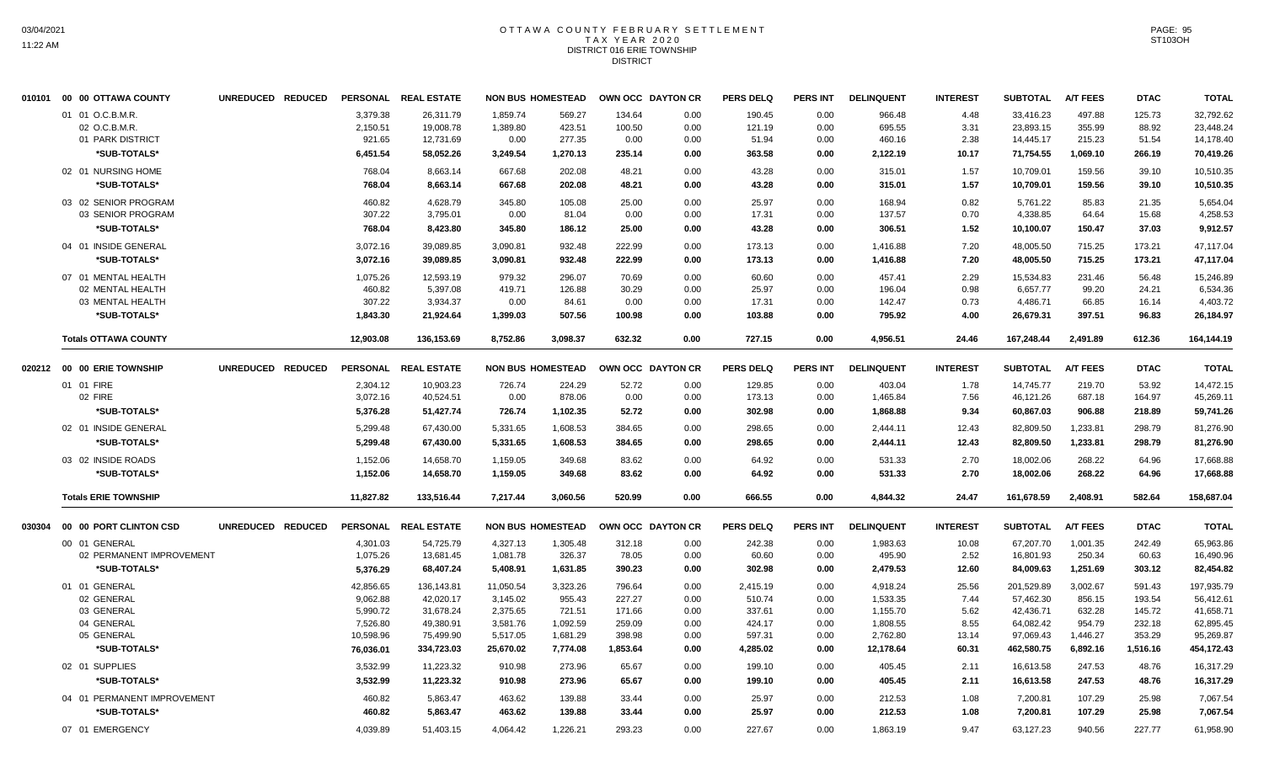## OTTAWA COUNTY FEBRUARY SETTLEMENT TAX YEAR 2020 DISTRICT 016 ERIE TOWNSHIP DISTRICT

|        | 010101 00 00 OTTAWA COUNTY  | UNREDUCED REDUCED |           | PERSONAL REAL ESTATE |           | <b>NON BUS HOMESTEAD</b> | OWN OCC DAYTON CR |      | <b>PERS DELQ</b> | <b>PERS INT</b> | <b>DELINQUENT</b> | <b>INTEREST</b> | <b>SUBTOTAL</b> | <b>A/T FEES</b> | <b>DTAC</b> | <b>TOTAL</b> |
|--------|-----------------------------|-------------------|-----------|----------------------|-----------|--------------------------|-------------------|------|------------------|-----------------|-------------------|-----------------|-----------------|-----------------|-------------|--------------|
|        | 01 01 O.C.B.M.R.            |                   | 3.379.38  | 26,311.79            | 1,859.74  | 569.27                   | 134.64            | 0.00 | 190.45           | 0.00            | 966.48            | 4.48            | 33.416.23       | 497.88          | 125.73      | 32,792.62    |
|        | 02 O.C.B.M.R.               |                   | 2,150.51  | 19,008.78            | 1,389.80  | 423.51                   | 100.50            | 0.00 | 121.19           | 0.00            | 695.55            | 3.31            | 23,893.15       | 355.99          | 88.92       | 23,448.24    |
|        | 01 PARK DISTRICT            |                   | 921.65    | 12,731.69            | 0.00      | 277.35                   | 0.00              | 0.00 | 51.94            | 0.00            | 460.16            | 2.38            | 14,445.17       | 215.23          | 51.54       | 14,178.40    |
|        | *SUB-TOTALS*                |                   | 6,451.54  | 58,052.26            | 3,249.54  | 1,270.13                 | 235.14            | 0.00 | 363.58           | 0.00            | 2,122.19          | 10.17           | 71,754.55       | 1,069.10        | 266.19      | 70,419.26    |
|        | 02 01 NURSING HOME          |                   | 768.04    | 8,663.14             | 667.68    | 202.08                   | 48.21             | 0.00 | 43.28            | 0.00            | 315.01            | 1.57            | 10,709.01       | 159.56          | 39.10       | 10,510.35    |
|        | *SUB-TOTALS*                |                   | 768.04    | 8,663.14             | 667.68    | 202.08                   | 48.21             | 0.00 | 43.28            | 0.00            | 315.01            | 1.57            | 10,709.01       | 159.56          | 39.10       | 10,510.35    |
|        | 03 02 SENIOR PROGRAM        |                   | 460.82    | 4,628.79             | 345.80    | 105.08                   | 25.00             | 0.00 | 25.97            | 0.00            | 168.94            | 0.82            | 5,761.22        | 85.83           | 21.35       | 5.654.04     |
|        | 03 SENIOR PROGRAM           |                   | 307.22    | 3,795.01             | 0.00      | 81.04                    | 0.00              | 0.00 | 17.31            | 0.00            | 137.57            | 0.70            | 4,338.85        | 64.64           | 15.68       | 4,258.53     |
|        | *SUB-TOTALS*                |                   | 768.04    | 8,423.80             | 345.80    | 186.12                   | 25.00             | 0.00 | 43.28            | 0.00            | 306.51            | 1.52            | 10,100.07       | 150.47          | 37.03       | 9.912.57     |
|        | 04 01 INSIDE GENERAL        |                   | 3,072.16  | 39,089.85            | 3,090.81  | 932.48                   | 222.99            | 0.00 | 173.13           | 0.00            | 1,416.88          | 7.20            | 48,005.50       | 715.25          | 173.21      | 47,117.04    |
|        | *SUB-TOTALS*                |                   | 3,072.16  | 39,089.85            | 3,090.81  | 932.48                   | 222.99            | 0.00 | 173.13           | 0.00            | 1,416.88          | 7.20            | 48,005.50       | 715.25          | 173.21      | 47,117.04    |
|        | 07 01 MENTAL HEALTH         |                   | 1.075.26  | 12.593.19            | 979.32    | 296.07                   | 70.69             | 0.00 | 60.60            | 0.00            | 457.41            | 2.29            | 15.534.83       | 231.46          | 56.48       | 15,246.89    |
|        | 02 MENTAL HEALTH            |                   | 460.82    | 5,397.08             | 419.71    | 126.88                   | 30.29             | 0.00 | 25.97            | 0.00            | 196.04            | 0.98            | 6,657.77        | 99.20           | 24.21       | 6,534.36     |
|        | 03 MENTAL HEALTH            |                   | 307.22    | 3,934.37             | 0.00      | 84.61                    | 0.00              | 0.00 | 17.31            | 0.00            | 142.47            | 0.73            | 4,486.71        | 66.85           | 16.14       | 4,403.72     |
|        | *SUB-TOTALS*                |                   | 1,843.30  | 21,924.64            | 1,399.03  | 507.56                   | 100.98            | 0.00 | 103.88           | 0.00            | 795.92            | 4.00            | 26,679.31       | 397.51          | 96.83       | 26,184.97    |
|        | <b>Totals OTTAWA COUNTY</b> |                   | 12,903.08 | 136.153.69           | 8,752.86  | 3.098.37                 | 632.32            | 0.00 | 727.15           | 0.00            | 4,956.51          | 24.46           | 167,248.44      | 2,491.89        | 612.36      | 164,144.19   |
|        | 020212 00 00 ERIE TOWNSHIP  | UNREDUCED REDUCED |           | PERSONAL REAL ESTATE |           | <b>NON BUS HOMESTEAD</b> | OWN OCC DAYTON CR |      | <b>PERS DELQ</b> | <b>PERS INT</b> | <b>DELINQUENT</b> | <b>INTEREST</b> | <b>SUBTOTAL</b> | <b>A/T FEES</b> | <b>DTAC</b> | <b>TOTAL</b> |
|        | 01 01 FIRE                  |                   | 2,304.12  | 10,903.23            | 726.74    | 224.29                   | 52.72             | 0.00 | 129.85           | 0.00            | 403.04            | 1.78            | 14,745.77       | 219.70          | 53.92       | 14,472.15    |
|        | 02 FIRE                     |                   | 3,072.16  | 40,524.51            | 0.00      | 878.06                   | 0.00              | 0.00 | 173.13           | 0.00            | 1,465.84          | 7.56            | 46,121.26       | 687.18          | 164.97      | 45,269.11    |
|        | *SUB-TOTALS*                |                   | 5,376.28  | 51,427.74            | 726.74    | 1,102.35                 | 52.72             | 0.00 | 302.98           | 0.00            | 1,868.88          | 9.34            | 60,867.03       | 906.88          | 218.89      | 59,741.26    |
|        | 02 01 INSIDE GENERAL        |                   | 5,299.48  | 67,430.00            | 5,331.65  | 1,608.53                 | 384.65            | 0.00 | 298.65           | 0.00            | 2,444.11          | 12.43           | 82,809.50       | 1,233.81        | 298.79      | 81,276.90    |
|        | *SUB-TOTALS*                |                   | 5,299.48  | 67.430.00            | 5,331.65  | 1.608.53                 | 384.65            | 0.00 | 298.65           | 0.00            | 2,444.11          | 12.43           | 82,809.50       | 1,233.81        | 298.79      | 81,276.90    |
|        | 03 02 INSIDE ROADS          |                   | 1,152.06  | 14,658.70            | 1,159.05  | 349.68                   | 83.62             | 0.00 | 64.92            | 0.00            | 531.33            | 2.70            | 18,002.06       | 268.22          | 64.96       | 17,668.88    |
|        | *SUB-TOTALS*                |                   | 1,152.06  | 14,658.70            | 1,159.05  | 349.68                   | 83.62             | 0.00 | 64.92            | 0.00            | 531.33            | 2.70            | 18,002.06       | 268.22          | 64.96       | 17,668.88    |
|        | <b>Totals ERIE TOWNSHIP</b> |                   | 11,827.82 | 133,516.44           | 7,217.44  | 3,060.56                 | 520.99            | 0.00 | 666.55           | 0.00            | 4,844.32          | 24.47           | 161,678.59      | 2,408.91        | 582.64      | 158,687.04   |
| 030304 | 00 00 PORT CLINTON CSD      | UNREDUCED REDUCED |           | PERSONAL REAL ESTATE |           | <b>NON BUS HOMESTEAD</b> | OWN OCC DAYTON CR |      | <b>PERS DELQ</b> | <b>PERS INT</b> | <b>DELINQUENT</b> | <b>INTEREST</b> | <b>SUBTOTAL</b> | <b>A/T FEES</b> | <b>DTAC</b> | <b>TOTAL</b> |
|        | 00 01 GENERAL               |                   | 4,301.03  | 54,725.79            | 4,327.13  | 1,305.48                 | 312.18            | 0.00 | 242.38           | 0.00            | 1,983.63          | 10.08           | 67,207.70       | 1,001.35        | 242.49      | 65,963.86    |
|        | 02 PERMANENT IMPROVEMENT    |                   | 1,075.26  | 13,681.45            | 1,081.78  | 326.37                   | 78.05             | 0.00 | 60.60            | 0.00            | 495.90            | 2.52            | 16,801.93       | 250.34          | 60.63       | 16,490.96    |
|        | *SUB-TOTALS*                |                   | 5,376.29  | 68,407.24            | 5,408.91  | 1,631.85                 | 390.23            | 0.00 | 302.98           | 0.00            | 2,479.53          | 12.60           | 84,009.63       | 1,251.69        | 303.12      | 82,454.82    |
|        | 01 01 GENERAL               |                   | 42,856.65 | 136,143.81           | 11,050.54 | 3,323.26                 | 796.64            | 0.00 | 2,415.19         | 0.00            | 4,918.24          | 25.56           | 201,529.89      | 3,002.67        | 591.43      | 197,935.79   |
|        | 02 GENERAL                  |                   | 9,062.88  | 42,020.17            | 3,145.02  | 955.43                   | 227.27            | 0.00 | 510.74           | 0.00            | 1,533.35          | 7.44            | 57,462.30       | 856.15          | 193.54      | 56,412.61    |
|        | 03 GENERAL                  |                   | 5,990.72  | 31,678.24            | 2,375.65  | 721.51                   | 171.66            | 0.00 | 337.61           | 0.00            | 1,155.70          | 5.62            | 42,436.71       | 632.28          | 145.72      | 41,658.71    |
|        | 04 GENERAL                  |                   | 7,526.80  | 49,380.91            | 3,581.76  | 1,092.59                 | 259.09            | 0.00 | 424.17           | 0.00            | 1,808.55          | 8.55            | 64,082.42       | 954.79          | 232.18      | 62,895.45    |
|        | 05 GENERAL                  |                   | 10,598.96 | 75,499.90            | 5,517.05  | 1,681.29                 | 398.98            | 0.00 | 597.31           | 0.00            | 2,762.80          | 13.14           | 97,069.43       | 1,446.27        | 353.29      | 95,269.87    |
|        | *SUB-TOTALS*                |                   | 76,036.01 | 334,723.03           | 25,670.02 | 7,774.08                 | 1,853.64          | 0.00 | 4,285.02         | 0.00            | 12,178.64         | 60.31           | 462,580.75      | 6,892.16        | 1,516.16    | 454,172.43   |
|        | 02 01 SUPPLIES              |                   | 3,532.99  | 11,223.32            | 910.98    | 273.96                   | 65.67             | 0.00 | 199.10           | 0.00            | 405.45            | 2.11            | 16,613.58       | 247.53          | 48.76       | 16,317.29    |
|        | *SUB-TOTALS*                |                   | 3,532.99  | 11,223.32            | 910.98    | 273.96                   | 65.67             | 0.00 | 199.10           | 0.00            | 405.45            | 2.11            | 16,613.58       | 247.53          | 48.76       | 16,317.29    |
|        | 04 01 PERMANENT IMPROVEMENT |                   | 460.82    | 5,863.47             | 463.62    | 139.88                   | 33.44             | 0.00 | 25.97            | 0.00            | 212.53            | 1.08            | 7,200.81        | 107.29          | 25.98       | 7,067.54     |
|        | *SUB-TOTALS*                |                   | 460.82    | 5,863.47             | 463.62    | 139.88                   | 33.44             | 0.00 | 25.97            | 0.00            | 212.53            | 1.08            | 7,200.81        | 107.29          | 25.98       | 7,067.54     |
|        | 07 01 EMERGENCY             |                   | 4,039.89  | 51,403.15            | 4,064.42  | 1,226.21                 | 293.23            | 0.00 | 227.67           | 0.00            | 1,863.19          | 9.47            | 63,127.23       | 940.56          | 227.77      | 61,958.90    |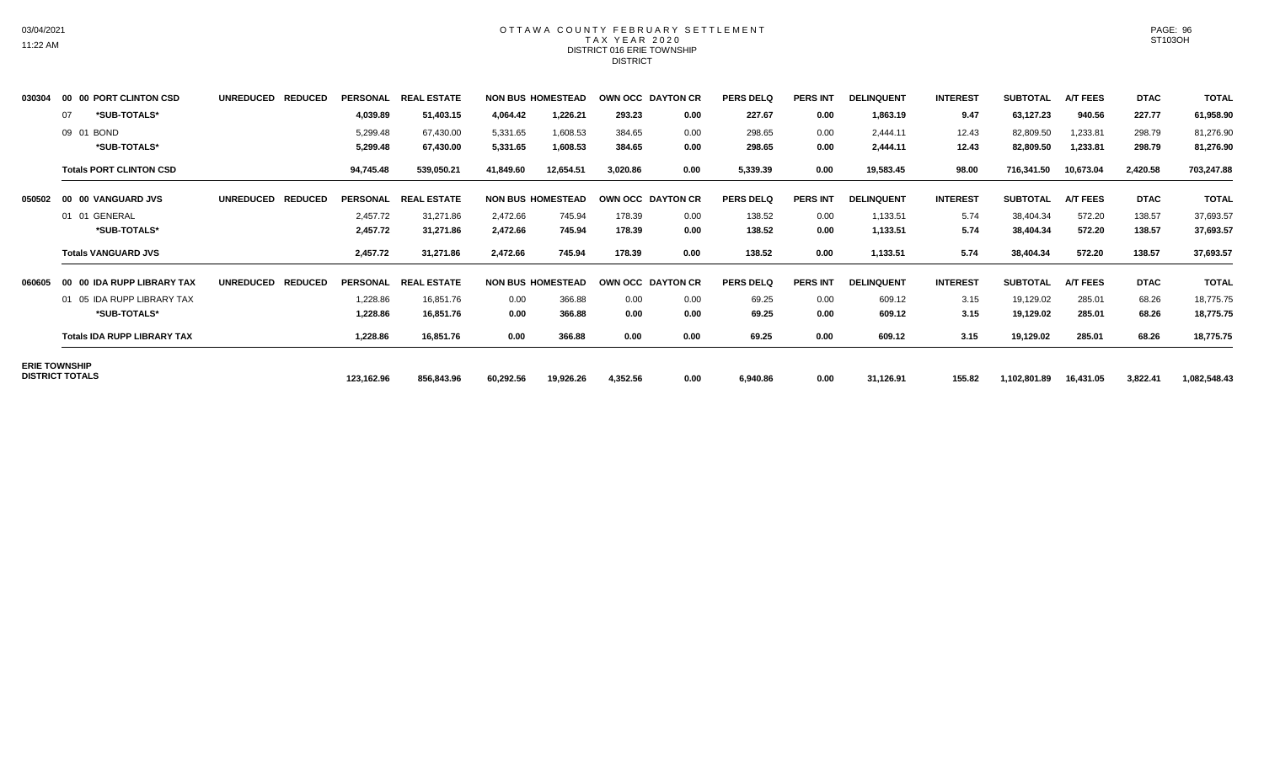## OTTAWA COUNTY FEBRUARY SETTLEMENT TAX YEAR 2020 DISTRICT 016 ERIE TOWNSHIP DISTRICT

| 030304 | 00 00 PORT CLINTON CSD             | <b>UNREDUCED</b><br><b>REDUCED</b> | <b>PERSONAL</b> | <b>REAL ESTATE</b> |           | <b>NON BUS HOMESTEAD</b> | OWN OCC DAYTON CR |      | <b>PERS DELQ</b> | <b>PERS INT</b> | <b>DELINQUENT</b> | <b>INTEREST</b> | <b>SUBTOTAL</b> | A/T FEES        | <b>DTAC</b> | <b>TOTAL</b> |
|--------|------------------------------------|------------------------------------|-----------------|--------------------|-----------|--------------------------|-------------------|------|------------------|-----------------|-------------------|-----------------|-----------------|-----------------|-------------|--------------|
|        | *SUB-TOTALS*<br>07                 |                                    | 4,039.89        | 51,403.15          | 4,064.42  | 1,226.21                 | 293.23            | 0.00 | 227.67           | 0.00            | 1,863.19          | 9.47            | 63,127.23       | 940.56          | 227.77      | 61,958.90    |
|        | 09 01 BOND                         |                                    | 5,299.48        | 67,430.00          | 5,331.65  | 1,608.53                 | 384.65            | 0.00 | 298.65           | 0.00            | 2,444.11          | 12.43           | 82,809.50       | 1,233.81        | 298.79      | 81,276.90    |
|        | *SUB-TOTALS*                       |                                    | 5,299.48        | 67,430.00          | 5,331.65  | 1,608.53                 | 384.65            | 0.00 | 298.65           | 0.00            | 2,444.11          | 12.43           | 82,809.50       | 1,233.81        | 298.79      | 81,276.90    |
|        | <b>Totals PORT CLINTON CSD</b>     |                                    | 94,745.48       | 539,050.21         | 41,849.60 | 12,654.51                | 3,020.86          | 0.00 | 5,339.39         | 0.00            | 19,583.45         | 98.00           | 716,341.50      | 10,673.04       | 2,420.58    | 703,247.88   |
| 050502 | 00 00 VANGUARD JVS                 | <b>UNREDUCED</b><br><b>REDUCED</b> | <b>PERSONAL</b> | <b>REAL ESTATE</b> |           | <b>NON BUS HOMESTEAD</b> | OWN OCC DAYTON CR |      | <b>PERS DELQ</b> | <b>PERS INT</b> | <b>DELINQUENT</b> | <b>INTEREST</b> | <b>SUBTOTAL</b> | <b>A/T FEES</b> | <b>DTAC</b> | <b>TOTAL</b> |
|        | 01 01 GENERAL                      |                                    | 2,457.72        | 31,271.86          | 2,472.66  | 745.94                   | 178.39            | 0.00 | 138.52           | 0.00            | 1,133.51          | 5.74            | 38,404.34       | 572.20          | 138.57      | 37,693.57    |
|        | *SUB-TOTALS*                       |                                    | 2,457.72        | 31,271.86          | 2,472.66  | 745.94                   | 178.39            | 0.00 | 138.52           | 0.00            | 1,133.51          | 5.74            | 38,404.34       | 572.20          | 138.57      | 37,693.57    |
|        | <b>Totals VANGUARD JVS</b>         |                                    | 2,457.72        | 31,271.86          | 2,472.66  | 745.94                   | 178.39            | 0.00 | 138.52           | 0.00            | 1,133.51          | 5.74            | 38,404.34       | 572.20          | 138.57      | 37,693.57    |
| 060605 | 00 IDA RUPP LIBRARY TAX<br>00      | <b>REDUCED</b><br><b>UNREDUCED</b> | <b>PERSONAL</b> | <b>REAL ESTATE</b> |           | <b>NON BUS HOMESTEAD</b> | OWN OCC DAYTON CR |      | <b>PERS DELQ</b> | <b>PERS INT</b> | <b>DELINQUENT</b> | <b>INTEREST</b> | <b>SUBTOTAL</b> | <b>A/T FEES</b> | <b>DTAC</b> | <b>TOTAL</b> |
|        | 01 05 IDA RUPP LIBRARY TAX         |                                    | 1,228.86        | 16,851.76          | 0.00      | 366.88                   | 0.00              | 0.00 | 69.25            | 0.00            | 609.12            | 3.15            | 19,129.02       | 285.01          | 68.26       | 18,775.75    |
|        | *SUB-TOTALS*                       |                                    | 1,228.86        | 16,851.76          | 0.00      | 366.88                   | 0.00              | 0.00 | 69.25            | 0.00            | 609.12            | 3.15            | 19,129.02       | 285.01          | 68.26       | 18,775.75    |
|        | <b>Totals IDA RUPP LIBRARY TAX</b> |                                    | 1,228.86        | 16,851.76          | 0.00      | 366.88                   | 0.00              | 0.00 | 69.25            | 0.00            | 609.12            | 3.15            | 19,129.02       | 285.01          | 68.26       | 18,775.75    |
|        | <b>ERIE TOWNSHIP</b>               |                                    |                 |                    |           |                          |                   |      |                  |                 |                   |                 |                 |                 |             |              |
|        | <b>DISTRICT TOTALS</b>             |                                    | 123,162.96      | 856,843.96         | 60,292.56 | 19,926.26                | 4,352.56          | 0.00 | 6,940.86         | 0.00            | 31,126.91         | 155.82          | 1,102,801.89    | 16,431.05       | 3,822.41    | 1,082,548.43 |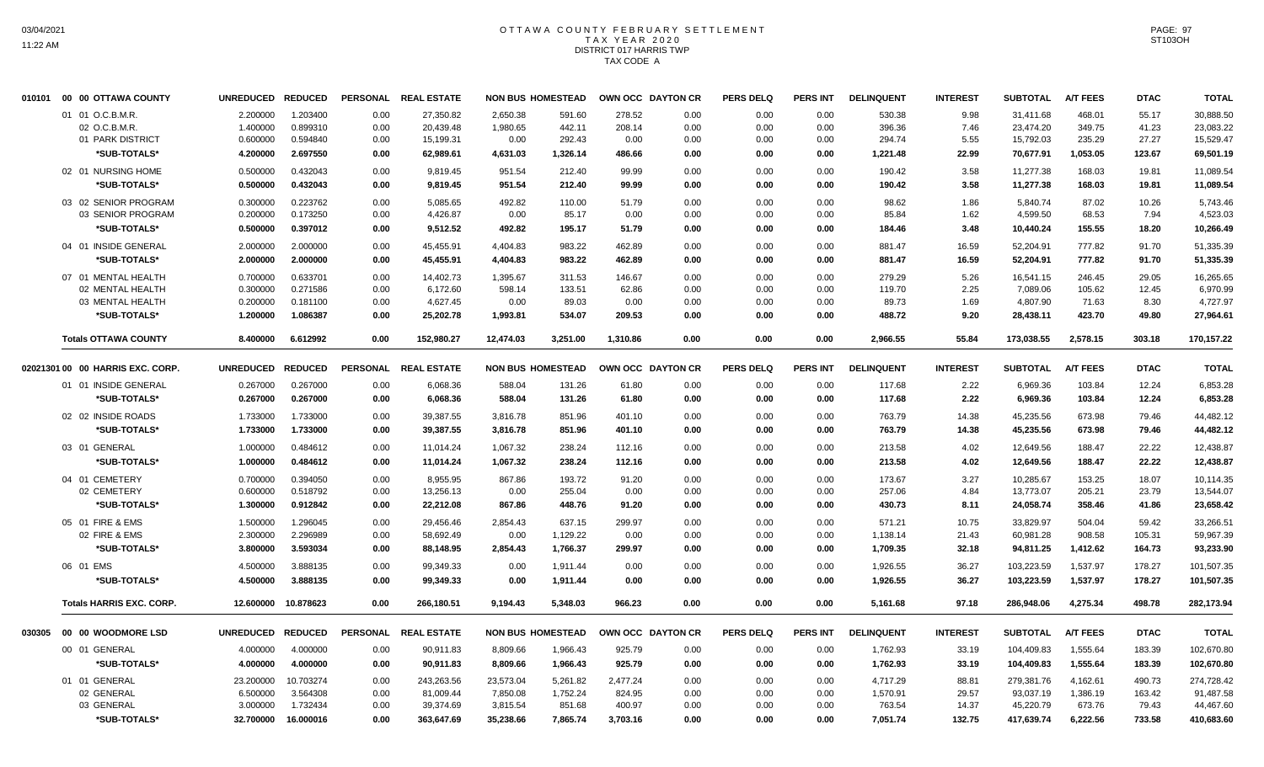### OTTAWA COUNTY FEBRUARY SETTLEMENT TAX YEAR 2020 DISTRICT 017 HARRIS TWP TAX CODE A

| 010101 00 00 OTTAWA COUNTY       | UNREDUCED REDUCED |           | <b>PERSONAL</b> | <b>REAL ESTATE</b>   |           | <b>NON BUS HOMESTEAD</b> |          | OWN OCC DAYTON CR | <b>PERS DELQ</b> | <b>PERS INT</b> | <b>DELINQUENT</b> | <b>INTEREST</b> | <b>SUBTOTAL</b> | <b>A/T FEES</b> | <b>DTAC</b> | <b>TOTAL</b> |
|----------------------------------|-------------------|-----------|-----------------|----------------------|-----------|--------------------------|----------|-------------------|------------------|-----------------|-------------------|-----------------|-----------------|-----------------|-------------|--------------|
| 01 01 O.C.B.M.R.                 | 2.200000          | 1.203400  | 0.00            | 27,350.82            | 2,650.38  | 591.60                   | 278.52   | 0.00              | 0.00             | 0.00            | 530.38            | 9.98            | 31,411.68       | 468.01          | 55.17       | 30,888.50    |
| 02 O.C.B.M.R                     | 1.400000          | 0.899310  | 0.00            | 20,439.48            | 1,980.65  | 442.11                   | 208.14   | 0.00              | 0.00             | 0.00            | 396.36            | 7.46            | 23,474.20       | 349.75          | 41.23       | 23,083.22    |
| 01 PARK DISTRICT                 | 0.600000          | 0.594840  | 0.00            | 15,199.31            | 0.00      | 292.43                   | 0.00     | 0.00              | 0.00             | 0.00            | 294.74            | 5.55            | 15,792.03       | 235.29          | 27.27       | 15,529.47    |
| *SUB-TOTALS*                     | 4.200000          | 2.697550  | 0.00            | 62,989.61            | 4,631.03  | 1,326.14                 | 486.66   | 0.00              | 0.00             | 0.00            | 1,221.48          | 22.99           | 70,677.91       | 1,053.05        | 123.67      | 69,501.19    |
| 02 01 NURSING HOME               | 0.500000          | 0.432043  | 0.00            | 9,819.45             | 951.54    | 212.40                   | 99.99    | 0.00              | 0.00             | 0.00            | 190.42            | 3.58            | 11,277.38       | 168.03          | 19.81       | 11,089.54    |
| *SUB-TOTALS*                     | 0.500000          | 0.432043  | 0.00            | 9,819.45             | 951.54    | 212.40                   | 99.99    | 0.00              | 0.00             | 0.00            | 190.42            | 3.58            | 11,277.38       | 168.03          | 19.81       | 11,089.54    |
| 03 02 SENIOR PROGRAM             | 0.300000          | 0.223762  | 0.00            | 5,085.65             | 492.82    | 110.00                   | 51.79    | 0.00              | 0.00             | 0.00            | 98.62             | 1.86            | 5,840.74        | 87.02           | 10.26       | 5,743.46     |
| 03 SENIOR PROGRAM                | 0.200000          | 0.173250  | 0.00            | 4,426.87             | 0.00      | 85.17                    | 0.00     | 0.00              | 0.00             | 0.00            | 85.84             | 1.62            | 4,599.50        | 68.53           | 7.94        | 4,523.03     |
| *SUB-TOTALS*                     | 0.500000          | 0.397012  | 0.00            | 9.512.52             | 492.82    | 195.17                   | 51.79    | 0.00              | 0.00             | 0.00            | 184.46            | 3.48            | 10,440.24       | 155.55          | 18.20       | 10,266.49    |
| 04 01 INSIDE GENERAL             | 2.000000          | 2.000000  | 0.00            | 45,455.91            | 4,404.83  | 983.22                   | 462.89   | 0.00              | 0.00             | 0.00            | 881.47            | 16.59           | 52,204.91       | 777.82          | 91.70       | 51,335.39    |
| *SUB-TOTALS*                     | 2.000000          | 2.000000  | 0.00            | 45,455.91            | 4,404.83  | 983.22                   | 462.89   | 0.00              | 0.00             | 0.00            | 881.47            | 16.59           | 52,204.91       | 777.82          | 91.70       | 51,335.39    |
| 07 01 MENTAL HEALTH              | 0.700000          | 0.633701  | 0.00            | 14,402.73            | 1,395.67  | 311.53                   | 146.67   | 0.00              | 0.00             | 0.00            | 279.29            | 5.26            | 16,541.15       | 246.45          | 29.05       | 16,265.65    |
| 02 MENTAL HEALTH                 | 0.300000          | 0.271586  | 0.00            | 6,172.60             | 598.14    | 133.51                   | 62.86    | 0.00              | 0.00             | 0.00            | 119.70            | 2.25            | 7,089.06        | 105.62          | 12.45       | 6,970.99     |
| 03 MENTAL HEALTH                 | 0.200000          | 0.181100  | 0.00            | 4,627.45             | 0.00      | 89.03                    | 0.00     | 0.00              | 0.00             | 0.00            | 89.73             | 1.69            | 4,807.90        | 71.63           | 8.30        | 4,727.97     |
| *SUB-TOTALS*                     | 1.200000          | 1.086387  | 0.00            | 25,202.78            | 1,993.81  | 534.07                   | 209.53   | 0.00              | 0.00             | 0.00            | 488.72            | 9.20            | 28,438.11       | 423.70          | 49.80       | 27,964.61    |
| <b>Totals OTTAWA COUNTY</b>      | 8.400000          | 6.612992  | 0.00            | 152,980.27           | 12,474.03 | 3,251.00                 | 1,310.86 | 0.00              | 0.00             | 0.00            | 2.966.55          | 55.84           | 173,038.55      | 2,578.15        | 303.18      | 170,157.22   |
|                                  |                   |           |                 |                      |           |                          |          |                   |                  |                 |                   |                 |                 |                 |             |              |
| 02021301 00 00 HARRIS EXC. CORP. | UNREDUCED REDUCED |           |                 | PERSONAL REAL ESTATE |           | <b>NON BUS HOMESTEAD</b> |          | OWN OCC DAYTON CR | <b>PERS DELQ</b> | <b>PERS INT</b> | <b>DELINQUENT</b> | <b>INTEREST</b> | <b>SUBTOTAL</b> | <b>A/T FEES</b> | <b>DTAC</b> | <b>TOTAL</b> |
| 01 01 INSIDE GENERAL             | 0.267000          | 0.267000  | 0.00            | 6,068.36             | 588.04    | 131.26                   | 61.80    | 0.00              | 0.00             | 0.00            | 117.68            | 2.22            | 6,969.36        | 103.84          | 12.24       | 6,853.28     |
| *SUB-TOTALS*                     | 0.267000          | 0.267000  | 0.00            | 6,068.36             | 588.04    | 131.26                   | 61.80    | 0.00              | 0.00             | 0.00            | 117.68            | 2.22            | 6,969.36        | 103.84          | 12.24       | 6,853.28     |
| 02 02 INSIDE ROADS               | 1.733000          | 1.733000  | 0.00            | 39,387.55            | 3,816.78  | 851.96                   | 401.10   | 0.00              | 0.00             | 0.00            | 763.79            | 14.38           | 45,235.56       | 673.98          | 79.46       | 44,482.12    |
| *SUB-TOTALS*                     | 1.733000          | 1.733000  | 0.00            | 39,387.55            | 3,816.78  | 851.96                   | 401.10   | 0.00              | 0.00             | 0.00            | 763.79            | 14.38           | 45,235.56       | 673.98          | 79.46       | 44,482.12    |
| 03 01 GENERAL                    | 1.000000          | 0.484612  | 0.00            | 11,014.24            | 1,067.32  | 238.24                   | 112.16   | 0.00              | 0.00             | 0.00            | 213.58            | 4.02            | 12,649.56       | 188.47          | 22.22       | 12,438.87    |
| *SUB-TOTALS*                     | 1.000000          | 0.484612  | 0.00            | 11,014.24            | 1,067.32  | 238.24                   | 112.16   | 0.00              | 0.00             | 0.00            | 213.58            | 4.02            | 12,649.56       | 188.47          | 22.22       | 12,438.87    |
| 04 01 CEMETERY                   | 0.700000          | 0.394050  | 0.00            | 8,955.95             | 867.86    | 193.72                   | 91.20    | 0.00              | 0.00             | 0.00            | 173.67            | 3.27            | 10,285.67       | 153.25          | 18.07       | 10,114.35    |
| 02 CEMETERY                      | 0.600000          | 0.518792  | 0.00            | 13,256.13            | 0.00      | 255.04                   | 0.00     | 0.00              | 0.00             | 0.00            | 257.06            | 4.84            | 13,773.07       | 205.21          | 23.79       | 13,544.07    |
| *SUB-TOTALS*                     | 1.300000          | 0.912842  | 0.00            | 22,212.08            | 867.86    | 448.76                   | 91.20    | 0.00              | 0.00             | 0.00            | 430.73            | 8.11            | 24,058.74       | 358.46          | 41.86       | 23,658.42    |
| 05 01 FIRE & EMS                 | 1.500000          | 1.296045  | 0.00            | 29,456.46            | 2,854.43  | 637.15                   | 299.97   | 0.00              | 0.00             | 0.00            | 571.21            | 10.75           | 33,829.97       | 504.04          | 59.42       | 33,266.51    |
| 02 FIRE & EMS                    | 2.300000          | 2.296989  | 0.00            | 58,692.49            | 0.00      | 1,129.22                 | 0.00     | 0.00              | 0.00             | 0.00            | 1,138.14          | 21.43           | 60,981.28       | 908.58          | 105.31      | 59,967.39    |
| *SUB-TOTALS*                     | 3.800000          | 3.593034  | 0.00            | 88,148.95            | 2,854.43  | 1,766.37                 | 299.97   | 0.00              | 0.00             | 0.00            | 1,709.35          | 32.18           | 94,811.25       | 1,412.62        | 164.73      | 93,233.90    |
| 06 01 EMS                        | 4.500000          | 3.888135  | 0.00            | 99,349.33            | 0.00      | 1,911.44                 | 0.00     | 0.00              | 0.00             | 0.00            | 1,926.55          | 36.27           | 103,223.59      | 1,537.97        | 178.27      | 101,507.35   |
| *SUB-TOTALS*                     | 4.500000          | 3.888135  | 0.00            | 99,349.33            | 0.00      | 1,911.44                 | 0.00     | 0.00              | 0.00             | 0.00            | 1,926.55          | 36.27           | 103,223.59      | 1,537.97        | 178.27      | 101,507.35   |
| <b>Totals HARRIS EXC. CORP.</b>  | 12.600000         | 10.878623 | 0.00            | 266.180.51           | 9.194.43  | 5.348.03                 | 966.23   | 0.00              | 0.00             | 0.00            | 5,161.68          | 97.18           | 286.948.06      | 4.275.34        | 498.78      | 282,173.94   |
|                                  |                   |           |                 |                      |           |                          |          |                   |                  |                 |                   |                 |                 |                 |             |              |
| 030305 00 00 WOODMORE LSD        | UNREDUCED REDUCED |           |                 | PERSONAL REAL ESTATE |           | <b>NON BUS HOMESTEAD</b> |          | OWN OCC DAYTON CR | <b>PERS DELQ</b> | <b>PERS INT</b> | <b>DELINQUENT</b> | <b>INTEREST</b> | <b>SUBTOTAL</b> | <b>A/T FEES</b> | <b>DTAC</b> | <b>TOTAL</b> |
| 00 01 GENERAL                    | 4.000000          | 4.000000  | 0.00            | 90,911.83            | 8,809.66  | 1,966.43                 | 925.79   | 0.00              | 0.00             | 0.00            | 1,762.93          | 33.19           | 104,409.83      | 1,555.64        | 183.39      | 102,670.80   |
| *SUB-TOTALS*                     | 4.000000          | 4.000000  | 0.00            | 90,911.83            | 8,809.66  | 1,966.43                 | 925.79   | 0.00              | 0.00             | 0.00            | 1,762.93          | 33.19           | 104,409.83      | 1,555.64        | 183.39      | 102,670.80   |
| 01 01 GENERAL                    | 23.200000         | 10.703274 | 0.00            | 243,263.56           | 23,573.04 | 5,261.82                 | 2,477.24 | 0.00              | 0.00             | 0.00            | 4,717.29          | 88.81           | 279,381.76      | 4,162.61        | 490.73      | 274,728.42   |
| 02 GENERAL                       | 6.500000          | 3.564308  | 0.00            | 81,009.44            | 7,850.08  | 1.752.24                 | 824.95   | 0.00              | 0.00             | 0.00            | 1,570.91          | 29.57           | 93.037.19       | 1,386.19        | 163.42      | 91,487.58    |
| 03 GENERAL                       | 3.000000          | 1.732434  | 0.00            | 39,374.69            | 3,815.54  | 851.68                   | 400.97   | 0.00              | 0.00             | 0.00            | 763.54            | 14.37           | 45,220.79       | 673.76          | 79.43       | 44,467.60    |
| *SUB-TOTALS*                     | 32.700000         | 16.000016 | 0.00            | 363,647.69           | 35,238.66 | 7,865.74                 | 3,703.16 | 0.00              | 0.00             | 0.00            | 7,051.74          | 132.75          | 417,639.74      | 6,222.56        | 733.58      | 410,683.60   |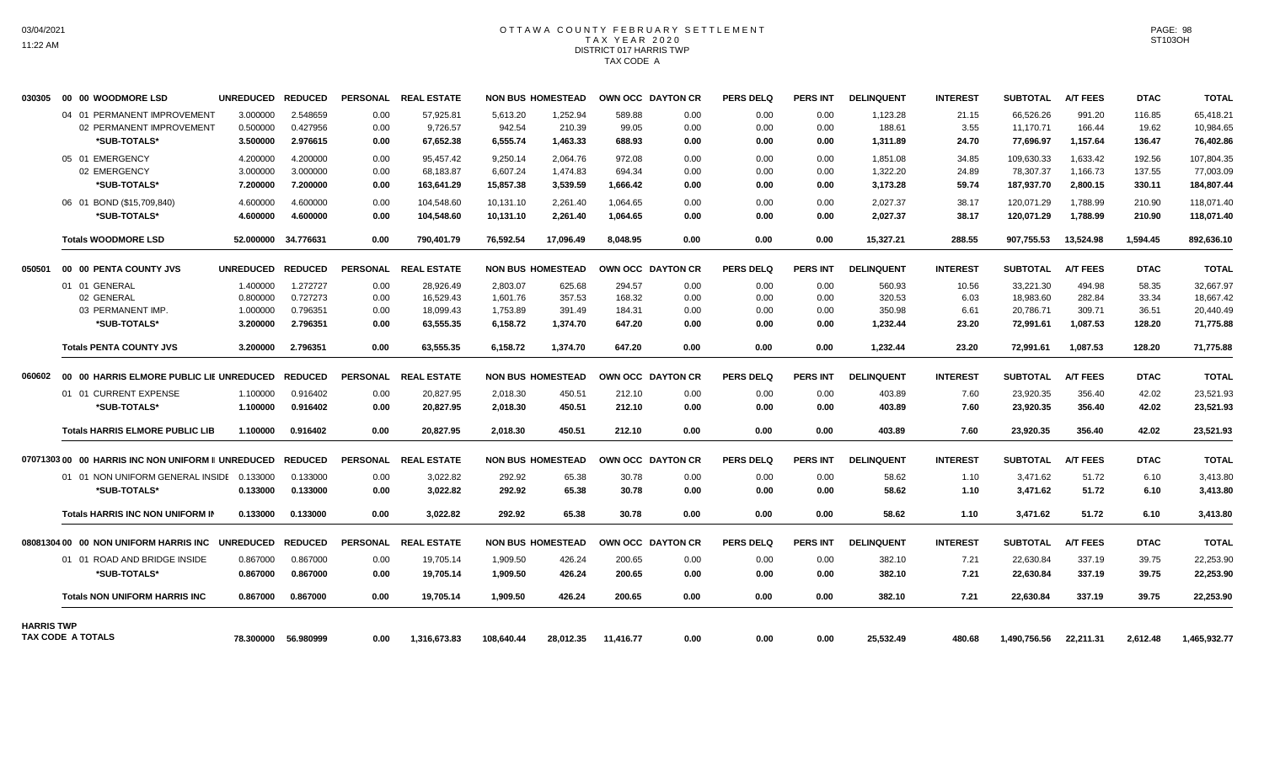#### OTTAWA COUNTY FEBRUARY SETTLEMENT T A X Y E A R 2 0 2 0 DISTRICT 017 HARRIS TWP TAX CODE A

| 030305            | 00 00 WOODMORE LSD                                        | <b>UNREDUCED</b> | <b>REDUCED</b> | <b>PERSONAL</b> | <b>REAL ESTATE</b>   |            | <b>NON BUS HOMESTEAD</b> |           | OWN OCC DAYTON CR | <b>PERS DELQ</b> | <b>PERS INT</b> | <b>DELINQUENT</b> | <b>INTEREST</b> | <b>SUBTOTAL</b> | <b>A/T FEES</b> | <b>DTAC</b> | <b>TOTAL</b> |
|-------------------|-----------------------------------------------------------|------------------|----------------|-----------------|----------------------|------------|--------------------------|-----------|-------------------|------------------|-----------------|-------------------|-----------------|-----------------|-----------------|-------------|--------------|
|                   | 04 01 PERMANENT IMPROVEMENT                               | 3.000000         | 2.548659       | 0.00            | 57,925.81            | 5,613.20   | 1,252.94                 | 589.88    | 0.00              | 0.00             | 0.00            | 1,123.28          | 21.15           | 66,526.26       | 991.20          | 116.85      | 65,418.21    |
|                   | 02 PERMANENT IMPROVEMENT                                  | 0.500000         | 0.427956       | 0.00            | 9,726.57             | 942.54     | 210.39                   | 99.05     | 0.00              | 0.00             | 0.00            | 188.61            | 3.55            | 11,170.71       | 166.44          | 19.62       | 10,984.65    |
|                   | *SUB-TOTALS*                                              | 3.500000         | 2.976615       | 0.00            | 67,652.38            | 6,555.74   | 1,463.33                 | 688.93    | 0.00              | 0.00             | 0.00            | 1,311.89          | 24.70           | 77,696.97       | 1.157.64        | 136.47      | 76,402.86    |
|                   | 05 01 EMERGENCY                                           | 4.200000         | 4.200000       | 0.00            | 95,457.42            | 9,250.14   | 2,064.76                 | 972.08    | 0.00              | 0.00             | 0.00            | 1,851.08          | 34.85           | 109,630.33      | 1,633.42        | 192.56      | 107,804.35   |
|                   | 02 EMERGENCY                                              | 3.000000         | 3.000000       | 0.00            | 68.183.87            | 6,607.24   | 1.474.83                 | 694.34    | 0.00              | 0.00             | 0.00            | 1,322.20          | 24.89           | 78,307.37       | 1.166.73        | 137.55      | 77,003.09    |
|                   | *SUB-TOTALS*                                              | 7.200000         | 7.200000       | 0.00            | 163,641.29           | 15,857.38  | 3,539.59                 | 1,666.42  | 0.00              | 0.00             | 0.00            | 3,173.28          | 59.74           | 187,937.70      | 2,800.15        | 330.11      | 184,807.44   |
|                   | 06 01 BOND (\$15,709,840)                                 | 4.600000         | 4.600000       | 0.00            | 104,548.60           | 10,131.10  | 2,261.40                 | 1,064.65  | 0.00              | 0.00             | 0.00            | 2,027.37          | 38.17           | 120,071.29      | 1,788.99        | 210.90      | 118,071.40   |
|                   | *SUB-TOTALS*                                              | 4.600000         | 4.600000       | 0.00            | 104,548.60           | 10,131.10  | 2,261.40                 | 1.064.65  | 0.00              | 0.00             | 0.00            | 2,027.37          | 38.17           | 120,071.29      | 1,788.99        | 210.90      | 118,071.40   |
|                   | <b>Totals WOODMORE LSD</b>                                | 52.000000        | 34.776631      | 0.00            | 790,401.79           | 76,592.54  | 17,096.49                | 8.048.95  | 0.00              | 0.00             | 0.00            | 15,327.21         | 288.55          | 907,755.53      | 13,524.98       | 1,594.45    | 892,636.10   |
| 050501            | 00 00 PENTA COUNTY JVS                                    | <b>UNREDUCED</b> | <b>REDUCED</b> | <b>PERSONAL</b> | <b>REAL ESTATE</b>   |            | <b>NON BUS HOMESTEAD</b> |           | OWN OCC DAYTON CR | <b>PERS DELQ</b> | <b>PERS INT</b> | <b>DELINQUENT</b> | <b>INTEREST</b> | <b>SUBTOTAL</b> | <b>A/T FEES</b> | <b>DTAC</b> | <b>TOTAL</b> |
|                   | 01 01 GENERAL                                             | 1.400000         | 1.272727       | 0.00            | 28.926.49            | 2.803.07   | 625.68                   | 294.57    | 0.00              | 0.00             | 0.00            | 560.93            | 10.56           | 33.221.30       | 494.98          | 58.35       | 32.667.97    |
|                   | 02 GENERAL                                                | 0.800000         | 0.727273       | 0.00            | 16.529.43            | 1.601.76   | 357.53                   | 168.32    | 0.00              | 0.00             | 0.00            | 320.53            | 6.03            | 18.983.60       | 282.84          | 33.34       | 18.667.42    |
|                   | 03 PERMANENT IMP.                                         | 1.000000         | 0.796351       | 0.00            | 18,099.43            | 1,753.89   | 391.49                   | 184.31    | 0.00              | 0.00             | 0.00            | 350.98            | 6.61            | 20,786.71       | 309.71          | 36.51       | 20,440.49    |
|                   | *SUB-TOTALS*                                              | 3.200000         | 2.796351       | 0.00            | 63,555.35            | 6,158.72   | 1,374.70                 | 647.20    | 0.00              | 0.00             | 0.00            | 1,232.44          | 23.20           | 72,991.61       | 1,087.53        | 128.20      | 71,775.88    |
|                   | <b>Totals PENTA COUNTY JVS</b>                            | 3.200000         | 2.796351       | 0.00            | 63.555.35            | 6,158.72   | 1.374.70                 | 647.20    | 0.00              | 0.00             | 0.00            | 1,232.44          | 23.20           | 72.991.61       | 1.087.53        | 128.20      | 71,775.88    |
| 060602            | 00 00 HARRIS ELMORE PUBLIC LIE UNREDUCED                  |                  | <b>REDUCED</b> | <b>PERSONAL</b> | <b>REAL ESTATE</b>   |            | <b>NON BUS HOMESTEAD</b> |           | OWN OCC DAYTON CR | <b>PERS DELQ</b> | <b>PERS INT</b> | <b>DELINQUENT</b> | <b>INTEREST</b> | <b>SUBTOTAL</b> | <b>A/T FEES</b> | <b>DTAC</b> | <b>TOTAL</b> |
|                   | 01 01 CURRENT EXPENSE                                     | 1.100000         | 0.916402       | 0.00            | 20,827.95            | 2,018.30   | 450.51                   | 212.10    | 0.00              | 0.00             | 0.00            | 403.89            | 7.60            | 23,920.35       | 356.40          | 42.02       | 23,521.93    |
|                   | *SUB-TOTALS*                                              | 1.100000         | 0.916402       | 0.00            | 20,827.95            | 2,018.30   | 450.51                   | 212.10    | 0.00              | 0.00             | 0.00            | 403.89            | 7.60            | 23,920.35       | 356.40          | 42.02       | 23,521.93    |
|                   | <b>Totals HARRIS ELMORE PUBLIC LIB</b>                    | 1.100000         | 0.916402       | 0.00            | 20,827.95            | 2,018.30   | 450.51                   | 212.10    | 0.00              | 0.00             | 0.00            | 403.89            | 7.60            | 23,920.35       | 356.40          | 42.02       | 23,521.93    |
|                   |                                                           |                  |                |                 |                      |            |                          |           |                   |                  |                 |                   |                 |                 |                 |             |              |
|                   | 0707130300 00 HARRIS INC NON UNIFORM II UNREDUCED REDUCED |                  |                |                 | PERSONAL REAL ESTATE |            | <b>NON BUS HOMESTEAD</b> |           | OWN OCC DAYTON CR | <b>PERS DELQ</b> | <b>PERS INT</b> | <b>DELINQUENT</b> | <b>INTEREST</b> | <b>SUBTOTAL</b> | <b>A/T FEES</b> | <b>DTAC</b> | <b>TOTAL</b> |
|                   | 01 01 NON UNIFORM GENERAL INSIDE                          | 0.133000         | 0.133000       | 0.00            | 3.022.82             | 292.92     | 65.38                    | 30.78     | 0.00              | 0.00             | 0.00            | 58.62             | 1.10            | 3.471.62        | 51.72           | 6.10        | 3,413.80     |
|                   | *SUB-TOTALS*                                              | 0.133000         | 0.133000       | 0.00            | 3,022.82             | 292.92     | 65.38                    | 30.78     | 0.00              | 0.00             | 0.00            | 58.62             | 1.10            | 3,471.62        | 51.72           | 6.10        | 3,413.80     |
|                   | <b>Totals HARRIS INC NON UNIFORM IN</b>                   | 0.133000         | 0.133000       | 0.00            | 3,022.82             | 292.92     | 65.38                    | 30.78     | 0.00              | 0.00             | 0.00            | 58.62             | 1.10            | 3,471.62        | 51.72           | 6.10        | 3,413.80     |
|                   | 08081304 00 00 NON UNIFORM HARRIS INC                     | <b>UNREDUCED</b> | <b>REDUCED</b> | <b>PERSONAL</b> | <b>REAL ESTATE</b>   |            | <b>NON BUS HOMESTEAD</b> |           | OWN OCC DAYTON CR | <b>PERS DELQ</b> | <b>PERS INT</b> | <b>DELINQUENT</b> | <b>INTEREST</b> | <b>SUBTOTAL</b> | <b>A/T FEES</b> | <b>DTAC</b> | <b>TOTAL</b> |
|                   | 01 01 ROAD AND BRIDGE INSIDE                              | 0.867000         | 0.867000       | 0.00            | 19,705.14            | 1,909.50   | 426.24                   | 200.65    | 0.00              | 0.00             | 0.00            | 382.10            | 7.21            | 22,630.84       | 337.19          | 39.75       | 22,253.90    |
|                   | *SUB-TOTALS*                                              | 0.867000         | 0.867000       | 0.00            | 19,705.14            | 1,909.50   | 426.24                   | 200.65    | 0.00              | 0.00             | 0.00            | 382.10            | 7.21            | 22,630.84       | 337.19          | 39.75       | 22,253.90    |
|                   | <b>Totals NON UNIFORM HARRIS INC</b>                      | 0.867000         | 0.867000       | 0.00            | 19,705.14            | 1,909.50   | 426.24                   | 200.65    | 0.00              | 0.00             | 0.00            | 382.10            | 7.21            | 22,630.84       | 337.19          | 39.75       | 22,253.90    |
|                   |                                                           |                  |                |                 |                      |            |                          |           |                   |                  |                 |                   |                 |                 |                 |             |              |
| <b>HARRIS TWP</b> | TAX CODE A TOTALS                                         | 78.300000        | 56.980999      | 0.00            | 1,316,673.83         | 108,640.44 | 28,012.35                | 11,416.77 | 0.00              | 0.00             | 0.00            | 25,532.49         | 480.68          | 1,490,756.56    | 22,211.31       | 2,612.48    | 1,465,932.77 |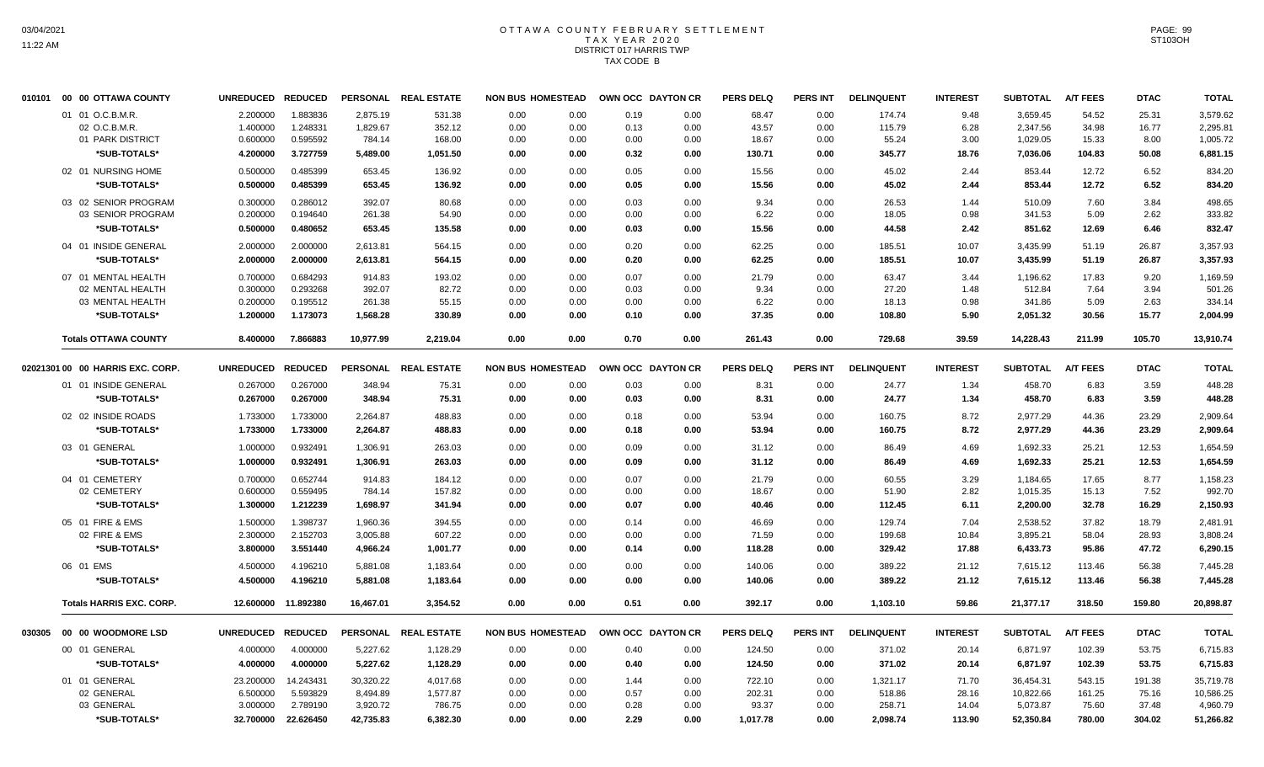### OTTAWA COUNTY FEBRUARY SETTLEMENT TAX YEAR 2020 DISTRICT 017 HARRIS TWP TAX CODE B

| 010101 00 00 OTTAWA COUNTY       | UNREDUCED REDUCED |                     |           | PERSONAL REAL ESTATE | <b>NON BUS HOMESTEAD</b> |              | OWN OCC DAYTON CR | <b>PERS DELQ</b> | <b>PERS INT</b> | <b>DELINQUENT</b> | <b>INTEREST</b> | <b>SUBTOTAL</b> | <b>A/T FEES</b> | <b>DTAC</b> | <b>TOTAL</b> |
|----------------------------------|-------------------|---------------------|-----------|----------------------|--------------------------|--------------|-------------------|------------------|-----------------|-------------------|-----------------|-----------------|-----------------|-------------|--------------|
| 01 01 O.C.B.M.R.                 | 2.200000          | 1.883836            | 2,875.19  | 531.38               | 0.00                     | 0.00<br>0.19 | 0.00              | 68.47            | 0.00            | 174.74            | 9.48            | 3,659.45        | 54.52           | 25.31       | 3,579.62     |
| 02 O.C.B.M.R                     | 1.400000          | 1.248331            | 1,829.67  | 352.12               | 0.00                     | 0.00<br>0.13 | 0.00              | 43.57            | 0.00            | 115.79            | 6.28            | 2,347.56        | 34.98           | 16.77       | 2,295.81     |
| 01 PARK DISTRICT                 | 0.600000          | 0.595592            | 784.14    | 168.00               | 0.00                     | 0.00<br>0.00 | 0.00              | 18.67            | 0.00            | 55.24             | 3.00            | 1,029.05        | 15.33           | 8.00        | 1,005.72     |
| *SUB-TOTALS*                     | 4.200000          | 3.727759            | 5,489.00  | 1,051.50             | 0.00                     | 0.32<br>0.00 | 0.00              | 130.71           | 0.00            | 345.77            | 18.76           | 7,036.06        | 104.83          | 50.08       | 6,881.15     |
| 02 01 NURSING HOME               | 0.500000          | 0.485399            | 653.45    | 136.92               | 0.00                     | 0.00<br>0.05 | 0.00              | 15.56            | 0.00            | 45.02             | 2.44            | 853.44          | 12.72           | 6.52        | 834.20       |
| *SUB-TOTALS*                     | 0.500000          | 0.485399            | 653.45    | 136.92               | 0.00                     | 0.00<br>0.05 | 0.00              | 15.56            | 0.00            | 45.02             | 2.44            | 853.44          | 12.72           | 6.52        | 834.20       |
|                                  |                   |                     |           |                      |                          |              |                   |                  |                 |                   |                 |                 |                 |             |              |
| 03 02 SENIOR PROGRAM             | 0.300000          | 0.286012            | 392.07    | 80.68                | 0.00                     | 0.00<br>0.03 | 0.00              | 9.34             | 0.00            | 26.53             | 1.44            | 510.09          | 7.60            | 3.84        | 498.65       |
| 03 SENIOR PROGRAM                | 0.200000          | 0.194640            | 261.38    | 54.90                | 0.00                     | 0.00<br>0.00 | 0.00              | 6.22             | 0.00            | 18.05             | 0.98            | 341.53          | 5.09            | 2.62        | 333.82       |
| *SUB-TOTALS*                     | 0.500000          | 0.480652            | 653.45    | 135.58               | 0.00                     | 0.00<br>0.03 | 0.00              | 15.56            | 0.00            | 44.58             | 2.42            | 851.62          | 12.69           | 6.46        | 832.47       |
| 04 01 INSIDE GENERAL             | 2.000000          | 2.000000            | 2,613.81  | 564.15               | 0.00                     | 0.00<br>0.20 | 0.00              | 62.25            | 0.00            | 185.51            | 10.07           | 3,435.99        | 51.19           | 26.87       | 3,357.93     |
| *SUB-TOTALS*                     | 2.000000          | 2.000000            | 2,613.81  | 564.15               | 0.00                     | 0.00<br>0.20 | 0.00              | 62.25            | 0.00            | 185.51            | 10.07           | 3,435.99        | 51.19           | 26.87       | 3,357.93     |
| 07 01 MENTAL HEALTH              | 0.700000          | 0.684293            | 914.83    | 193.02               | 0.00                     | 0.07<br>0.00 | 0.00              | 21.79            | 0.00            | 63.47             | 3.44            | 1.196.62        | 17.83           | 9.20        | 1,169.59     |
| 02 MENTAL HEALTH                 | 0.300000          | 0.293268            | 392.07    | 82.72                | 0.00                     | 0.00<br>0.03 | 0.00              | 9.34             | 0.00            | 27.20             | 1.48            | 512.84          | 7.64            | 3.94        | 501.26       |
| 03 MENTAL HEALTH                 | 0.200000          | 0.195512            | 261.38    | 55.15                | 0.00                     | 0.00<br>0.00 | 0.00              | 6.22             | 0.00            | 18.13             | 0.98            | 341.86          | 5.09            | 2.63        | 334.14       |
| *SUB-TOTALS*                     | 1.200000          | 1.173073            | 1,568.28  | 330.89               | 0.00                     | 0.00<br>0.10 | 0.00              | 37.35            | 0.00            | 108.80            | 5.90            | 2,051.32        | 30.56           | 15.77       | 2,004.99     |
| <b>Totals OTTAWA COUNTY</b>      | 8.400000          | 7.866883            | 10,977.99 | 2,219.04             | 0.00                     | 0.00<br>0.70 | 0.00              | 261.43           | 0.00            | 729.68            | 39.59           | 14,228.43       | 211.99          | 105.70      | 13,910.74    |
| 02021301 00 00 HARRIS EXC. CORP. | UNREDUCED REDUCED |                     |           | PERSONAL REAL ESTATE | <b>NON BUS HOMESTEAD</b> |              | OWN OCC DAYTON CR | <b>PERS DELQ</b> | <b>PERS INT</b> | <b>DELINQUENT</b> | <b>INTEREST</b> | <b>SUBTOTAL</b> | <b>A/T FEES</b> | <b>DTAC</b> | <b>TOTAL</b> |
| 01 01 INSIDE GENERAL             | 0.267000          | 0.267000            | 348.94    | 75.31                | 0.00                     | 0.00<br>0.03 | 0.00              | 8.31             | 0.00            | 24.77             | 1.34            | 458.70          | 6.83            | 3.59        | 448.28       |
| *SUB-TOTALS*                     | 0.267000          | 0.267000            | 348.94    | 75.31                | 0.00                     | 0.00<br>0.03 | 0.00              | 8.31             | 0.00            | 24.77             | 1.34            | 458.70          | 6.83            | 3.59        | 448.28       |
|                                  |                   |                     |           |                      |                          |              |                   |                  |                 |                   |                 |                 |                 |             |              |
| 02 02 INSIDE ROADS               | 1.733000          | 1.733000            | 2,264.87  | 488.83               | 0.00                     | 0.00<br>0.18 | 0.00              | 53.94            | 0.00            | 160.75            | 8.72            | 2,977.29        | 44.36           | 23.29       | 2,909.64     |
| *SUB-TOTALS*                     | 1.733000          | 1.733000            | 2,264.87  | 488.83               | 0.00                     | 0.00<br>0.18 | 0.00              | 53.94            | 0.00            | 160.75            | 8.72            | 2,977.29        | 44.36           | 23.29       | 2,909.64     |
| 03 01 GENERAL                    | 1.000000          | 0.932491            | 1,306.91  | 263.03               | 0.00                     | 0.00<br>0.09 | 0.00              | 31.12            | 0.00            | 86.49             | 4.69            | 1,692.33        | 25.21           | 12.53       | 1,654.59     |
| *SUB-TOTALS*                     | 1.000000          | 0.932491            | 1,306.91  | 263.03               | 0.00                     | 0.00<br>0.09 | 0.00              | 31.12            | 0.00            | 86.49             | 4.69            | 1,692.33        | 25.21           | 12.53       | 1,654.59     |
| 04 01 CEMETERY                   | 0.700000          | 0.652744            | 914.83    | 184.12               | 0.00                     | 0.00<br>0.07 | 0.00              | 21.79            | 0.00            | 60.55             | 3.29            | 1,184.65        | 17.65           | 8.77        | 1,158.23     |
| 02 CEMETERY                      | 0.600000          | 0.559495            | 784.14    | 157.82               | 0.00                     | 0.00<br>0.00 | 0.00              | 18.67            | 0.00            | 51.90             | 2.82            | 1,015.35        | 15.13           | 7.52        | 992.70       |
| *SUB-TOTALS*                     | 1.300000          | 1.212239            | 1.698.97  | 341.94               | 0.00                     | 0.00<br>0.07 | 0.00              | 40.46            | 0.00            | 112.45            | 6.11            | 2,200.00        | 32.78           | 16.29       | 2,150.93     |
| 05 01 FIRE & EMS                 | 1.500000          | 1.398737            | 1,960.36  | 394.55               | 0.00                     | 0.00<br>0.14 | 0.00              | 46.69            | 0.00            | 129.74            | 7.04            | 2,538.52        | 37.82           | 18.79       | 2,481.91     |
| 02 FIRE & EMS                    | 2.300000          | 2.152703            | 3,005.88  | 607.22               | 0.00                     | 0.00<br>0.00 | 0.00              | 71.59            | 0.00            | 199.68            | 10.84           | 3,895.21        | 58.04           | 28.93       | 3,808.24     |
| *SUB-TOTALS*                     | 3.800000          | 3.551440            | 4,966.24  | 1,001.77             | 0.00                     | 0.00<br>0.14 | 0.00              | 118.28           | 0.00            | 329.42            | 17.88           | 6,433.73        | 95.86           | 47.72       | 6,290.15     |
| 06 01 EMS                        | 4.500000          | 4.196210            | 5,881.08  | 1,183.64             | 0.00                     | 0.00<br>0.00 | 0.00              | 140.06           | 0.00            | 389.22            | 21.12           | 7,615.12        | 113.46          | 56.38       | 7,445.28     |
| *SUB-TOTALS*                     | 4.500000          | 4.196210            | 5,881.08  | 1,183.64             | 0.00                     | 0.00<br>0.00 | 0.00              | 140.06           | 0.00            | 389.22            | 21.12           | 7,615.12        | 113.46          | 56.38       | 7,445.28     |
| <b>Totals HARRIS EXC. CORP.</b>  |                   | 12.600000 11.892380 | 16,467.01 | 3,354.52             | 0.00                     | 0.00<br>0.51 | 0.00              | 392.17           | 0.00            | 1,103.10          | 59.86           | 21,377.17       | 318.50          | 159.80      | 20,898.87    |
|                                  |                   |                     |           |                      |                          |              |                   |                  |                 |                   |                 |                 |                 |             |              |
| 030305 00 00 WOODMORE LSD        | UNREDUCED REDUCED |                     |           | PERSONAL REAL ESTATE | <b>NON BUS HOMESTEAD</b> |              | OWN OCC DAYTON CR | <b>PERS DELQ</b> | PERS INT        | <b>DELINQUENT</b> | <b>INTEREST</b> | <b>SUBTOTAL</b> | <b>A/T FEES</b> | <b>DTAC</b> | <b>TOTAL</b> |
| 00 01 GENERAL                    | 4.000000          | 4.000000            | 5,227.62  | 1,128.29             | 0.00                     | 0.00<br>0.40 | 0.00              | 124.50           | 0.00            | 371.02            | 20.14           | 6,871.97        | 102.39          | 53.75       | 6,715.83     |
| *SUB-TOTALS*                     | 4.000000          | 4.000000            | 5,227.62  | 1,128.29             | 0.00                     | 0.00<br>0.40 | 0.00              | 124.50           | 0.00            | 371.02            | 20.14           | 6,871.97        | 102.39          | 53.75       | 6,715.83     |
| 01 01 GENERAL                    | 23.200000         | 14.243431           | 30,320.22 | 4,017.68             | 0.00                     | 0.00<br>1.44 | 0.00              | 722.10           | 0.00            | 1,321.17          | 71.70           | 36,454.31       | 543.15          | 191.38      | 35,719.78    |
| 02 GENERAL                       | 6.500000          | 5.593829            | 8,494.89  | 1,577.87             | 0.00                     | 0.00<br>0.57 | 0.00              | 202.31           | 0.00            | 518.86            | 28.16           | 10,822.66       | 161.25          | 75.16       | 10,586.25    |
| 03 GENERAL                       | 3.000000          | 2.789190            | 3,920.72  | 786.75               | 0.00                     | 0.00<br>0.28 | 0.00              | 93.37            | 0.00            | 258.71            | 14.04           | 5,073.87        | 75.60           | 37.48       | 4,960.79     |
| *SUB-TOTALS*                     | 32.700000         | 22.626450           | 42,735.83 | 6,382.30             | 0.00                     | 0.00<br>2.29 | 0.00              | 1,017.78         | 0.00            | 2,098.74          | 113.90          | 52,350.84       | 780.00          | 304.02      | 51,266.82    |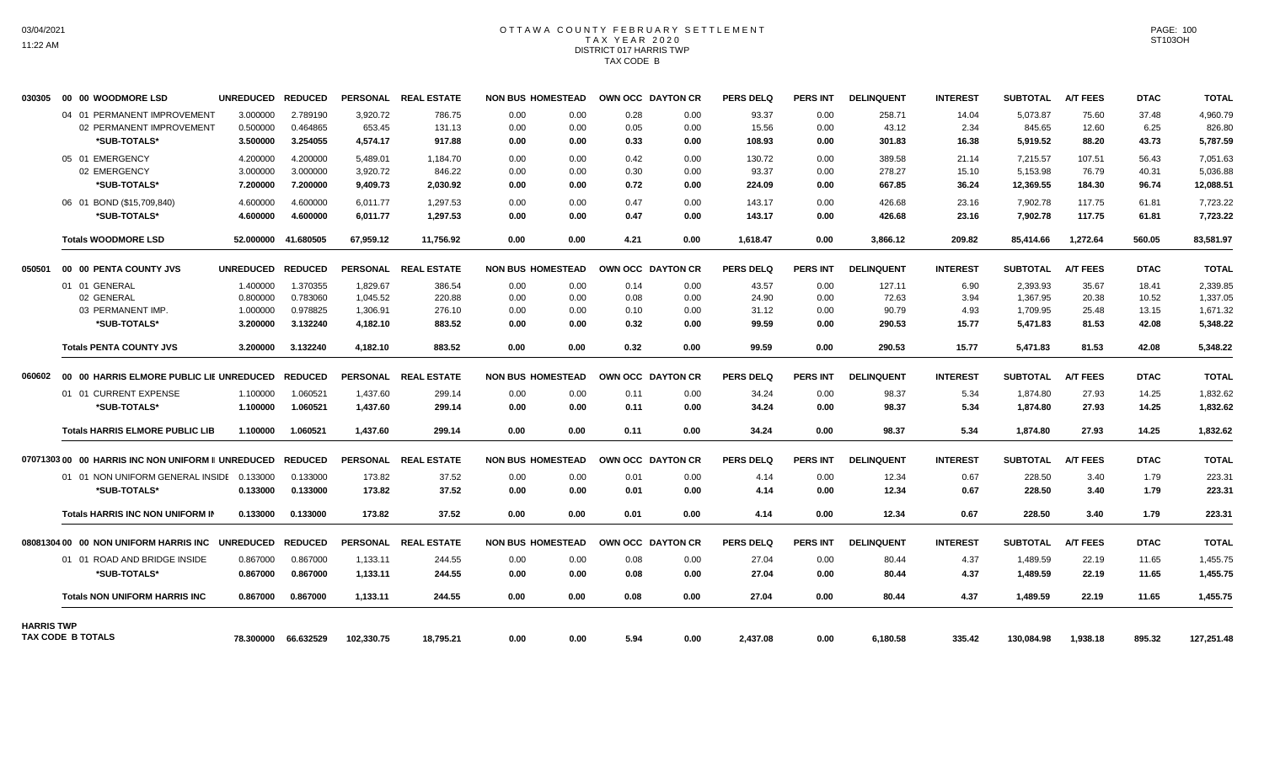### OTTAWA COUNTY FEBRUARY SETTLEMENT TAX YEAR 2020 DISTRICT 017 HARRIS TWP TAX CODE B

| 030305            | 00 00 WOODMORE LSD                                              |                                         | <b>UNREDUCED</b>  | <b>REDUCED</b>      |            | PERSONAL REAL ESTATE | <b>NON BUS HOMESTEAD</b> |      | OWN OCC DAYTON CR |      | <b>PERS DELQ</b> | <b>PERS INT</b> | <b>DELINQUENT</b> | <b>INTEREST</b> | <b>SUBTOTAL</b> | <b>A/T FEES</b> | <b>DTAC</b> | <b>TOTAL</b> |
|-------------------|-----------------------------------------------------------------|-----------------------------------------|-------------------|---------------------|------------|----------------------|--------------------------|------|-------------------|------|------------------|-----------------|-------------------|-----------------|-----------------|-----------------|-------------|--------------|
|                   |                                                                 | 04 01 PERMANENT IMPROVEMENT             | 3.000000          | 2.789190            | 3,920.72   | 786.75               | 0.00                     | 0.00 | 0.28              | 0.00 | 93.37            | 0.00            | 258.71            | 14.04           | 5,073.87        | 75.60           | 37.48       | 4,960.79     |
|                   |                                                                 | 02 PERMANENT IMPROVEMENT                | 0.500000          | 0.464865            | 653.45     | 131.13               | 0.00                     | 0.00 | 0.05              | 0.00 | 15.56            | 0.00            | 43.12             | 2.34            | 845.65          | 12.60           | 6.25        | 826.80       |
|                   | *SUB-TOTALS*                                                    |                                         | 3.500000          | 3.254055            | 4,574.17   | 917.88               | 0.00                     | 0.00 | 0.33              | 0.00 | 108.93           | 0.00            | 301.83            | 16.38           | 5,919.52        | 88.20           | 43.73       | 5,787.59     |
|                   | 05 01 EMERGENCY                                                 |                                         | 4.200000          | 4.200000            | 5,489.01   | 1.184.70             | 0.00                     | 0.00 | 0.42              | 0.00 | 130.72           | 0.00            | 389.58            | 21.14           | 7.215.57        | 107.51          | 56.43       | 7.051.63     |
|                   | 02 EMERGENCY                                                    |                                         | 3.000000          | 3.000000            | 3,920.72   | 846.22               | 0.00                     | 0.00 | 0.30              | 0.00 | 93.37            | 0.00            | 278.27            | 15.10           | 5,153.98        | 76.79           | 40.31       | 5,036.88     |
|                   | *SUB-TOTALS*                                                    |                                         | 7.200000          | 7.200000            | 9,409.73   | 2,030.92             | 0.00                     | 0.00 | 0.72              | 0.00 | 224.09           | 0.00            | 667.85            | 36.24           | 12,369.55       | 184.30          | 96.74       | 12,088.51    |
|                   | 06 01 BOND (\$15,709,840)                                       |                                         | 4.600000          | 4.600000            | 6,011.77   | 1,297.53             | 0.00                     | 0.00 | 0.47              | 0.00 | 143.17           | 0.00            | 426.68            | 23.16           | 7,902.78        | 117.75          | 61.81       | 7,723.22     |
|                   | *SUB-TOTALS*                                                    |                                         | 4.600000          | 4.600000            | 6,011.77   | 1,297.53             | 0.00                     | 0.00 | 0.47              | 0.00 | 143.17           | 0.00            | 426.68            | 23.16           | 7,902.78        | 117.75          | 61.81       | 7,723.22     |
|                   | <b>Totals WOODMORE LSD</b>                                      |                                         |                   | 52.000000 41.680505 | 67.959.12  | 11.756.92            | 0.00                     | 0.00 | 4.21              | 0.00 | 1.618.47         | 0.00            | 3.866.12          | 209.82          | 85.414.66       | 1.272.64        | 560.05      | 83.581.97    |
|                   | 050501 00 00 PENTA COUNTY JVS                                   |                                         | UNREDUCED REDUCED |                     |            | PERSONAL REAL ESTATE | <b>NON BUS HOMESTEAD</b> |      | OWN OCC DAYTON CR |      | <b>PERS DELQ</b> | <b>PERS INT</b> | <b>DELINQUENT</b> | <b>INTEREST</b> | <b>SUBTOTAL</b> | <b>A/T FEES</b> | <b>DTAC</b> | <b>TOTAL</b> |
|                   | 01 01 GENERAL                                                   |                                         | 1.400000          | 1.370355            | 1,829.67   | 386.54               | 0.00                     | 0.00 | 0.14              | 0.00 | 43.57            | 0.00            | 127.11            | 6.90            | 2,393.93        | 35.67           | 18.41       | 2,339.85     |
|                   | 02 GENERAL                                                      |                                         | 0.800000          | 0.783060            | 1.045.52   | 220.88               | 0.00                     | 0.00 | 0.08              | 0.00 | 24.90            | 0.00            | 72.63             | 3.94            | 1.367.95        | 20.38           | 10.52       | 1,337.05     |
|                   | 03 PERMANENT IMP.                                               |                                         | 1.000000          | 0.978825            | 1,306.91   | 276.10               | 0.00                     | 0.00 | 0.10              | 0.00 | 31.12            | 0.00            | 90.79             | 4.93            | 1,709.95        | 25.48           | 13.15       | 1,671.32     |
|                   | *SUB-TOTALS*                                                    |                                         | 3.200000          | 3.132240            | 4,182.10   | 883.52               | 0.00                     | 0.00 | 0.32              | 0.00 | 99.59            | 0.00            | 290.53            | 15.77           | 5,471.83        | 81.53           | 42.08       | 5,348.22     |
|                   | <b>Totals PENTA COUNTY JVS</b>                                  |                                         | 3.200000          | 3.132240            | 4,182.10   | 883.52               | 0.00                     | 0.00 | 0.32              | 0.00 | 99.59            | 0.00            | 290.53            | 15.77           | 5,471.83        | 81.53           | 42.08       | 5,348.22     |
| 060602            | 00 00 HARRIS ELMORE PUBLIC LIE UNREDUCED                        |                                         |                   | <b>REDUCED</b>      |            | PERSONAL REAL ESTATE | <b>NON BUS HOMESTEAD</b> |      | OWN OCC DAYTON CR |      | <b>PERS DELQ</b> | <b>PERS INT</b> | <b>DELINQUENT</b> | <b>INTEREST</b> | <b>SUBTOTAL</b> | <b>A/T FEES</b> | <b>DTAC</b> | <b>TOTAL</b> |
|                   | 01 01 CURRENT EXPENSE                                           |                                         | 1.100000          | 1.060521            | 1,437.60   | 299.14               | 0.00                     | 0.00 | 0.11              | 0.00 | 34.24            | 0.00            | 98.37             | 5.34            | 1,874.80        | 27.93           | 14.25       | 1,832.62     |
|                   | *SUB-TOTALS*                                                    |                                         | 1.100000          | 1.060521            | 1,437.60   | 299.14               | 0.00                     | 0.00 | 0.11              | 0.00 | 34.24            | 0.00            | 98.37             | 5.34            | 1,874.80        | 27.93           | 14.25       | 1,832.62     |
|                   |                                                                 | <b>Totals HARRIS ELMORE PUBLIC LIB</b>  | 1.100000          | 1.060521            | 1,437.60   | 299.14               | 0.00                     | 0.00 | 0.11              | 0.00 | 34.24            | 0.00            | 98.37             | 5.34            | 1,874.80        | 27.93           | 14.25       | 1,832.62     |
|                   | 07071303 00   00  HARRIS INC NON UNIFORM II UNREDUCED   REDUCED |                                         |                   |                     |            | PERSONAL REAL ESTATE | <b>NON BUS HOMESTEAD</b> |      | OWN OCC DAYTON CR |      | <b>PERS DELQ</b> | <b>PERS INT</b> | <b>DELINQUENT</b> | <b>INTEREST</b> | <b>SUBTOTAL</b> | <b>A/T FEES</b> | <b>DTAC</b> | <b>TOTAL</b> |
|                   |                                                                 | 01 01 NON UNIFORM GENERAL INSIDE        | 0.133000          | 0.133000            | 173.82     | 37.52                | 0.00                     | 0.00 | 0.01              | 0.00 | 4.14             | 0.00            | 12.34             | 0.67            | 228.50          | 3.40            | 1.79        | 223.31       |
|                   | *SUB-TOTALS*                                                    |                                         | 0.133000          | 0.133000            | 173.82     | 37.52                | 0.00                     | 0.00 | 0.01              | 0.00 | 4.14             | 0.00            | 12.34             | 0.67            | 228.50          | 3.40            | 1.79        | 223.31       |
|                   |                                                                 | <b>Totals HARRIS INC NON UNIFORM IN</b> | 0.133000          | 0.133000            | 173.82     | 37.52                | 0.00                     | 0.00 | 0.01              | 0.00 | 4.14             | 0.00            | 12.34             | 0.67            | 228.50          | 3.40            | 1.79        | 223.31       |
|                   | 08081304 00 00 NON UNIFORM HARRIS INC                           |                                         | <b>UNREDUCED</b>  | <b>REDUCED</b>      |            | PERSONAL REAL ESTATE | <b>NON BUS HOMESTEAD</b> |      | OWN OCC DAYTON CR |      | <b>PERS DELQ</b> | <b>PERS INT</b> | <b>DELINQUENT</b> | <b>INTEREST</b> | <b>SUBTOTAL</b> | <b>A/T FEES</b> | <b>DTAC</b> | <b>TOTAL</b> |
|                   | 01 01 ROAD AND BRIDGE INSIDE                                    |                                         | 0.867000          | 0.867000            | 1,133.11   | 244.55               | 0.00                     | 0.00 | 0.08              | 0.00 | 27.04            | 0.00            | 80.44             | 4.37            | 1,489.59        | 22.19           | 11.65       | 1,455.75     |
|                   | *SUB-TOTALS*                                                    |                                         | 0.867000          | 0.867000            | 1,133.11   | 244.55               | 0.00                     | 0.00 | 0.08              | 0.00 | 27.04            | 0.00            | 80.44             | 4.37            | 1,489.59        | 22.19           | 11.65       | 1,455.75     |
|                   | <b>Totals NON UNIFORM HARRIS INC</b>                            |                                         | 0.867000          | 0.867000            | 1,133.11   | 244.55               | 0.00                     | 0.00 | 0.08              | 0.00 | 27.04            | 0.00            | 80.44             | 4.37            | 1,489.59        | 22.19           | 11.65       | 1,455.75     |
| <b>HARRIS TWP</b> |                                                                 |                                         |                   |                     |            |                      |                          |      |                   |      |                  |                 |                   |                 |                 |                 |             |              |
|                   | TAX CODE B TOTALS                                               |                                         |                   | 78.300000 66.632529 | 102,330.75 | 18,795.21            | 0.00                     | 0.00 | 5.94              | 0.00 | 2,437.08         | 0.00            | 6,180.58          | 335.42          | 130,084.98      | 1,938.18        | 895.32      | 127,251.48   |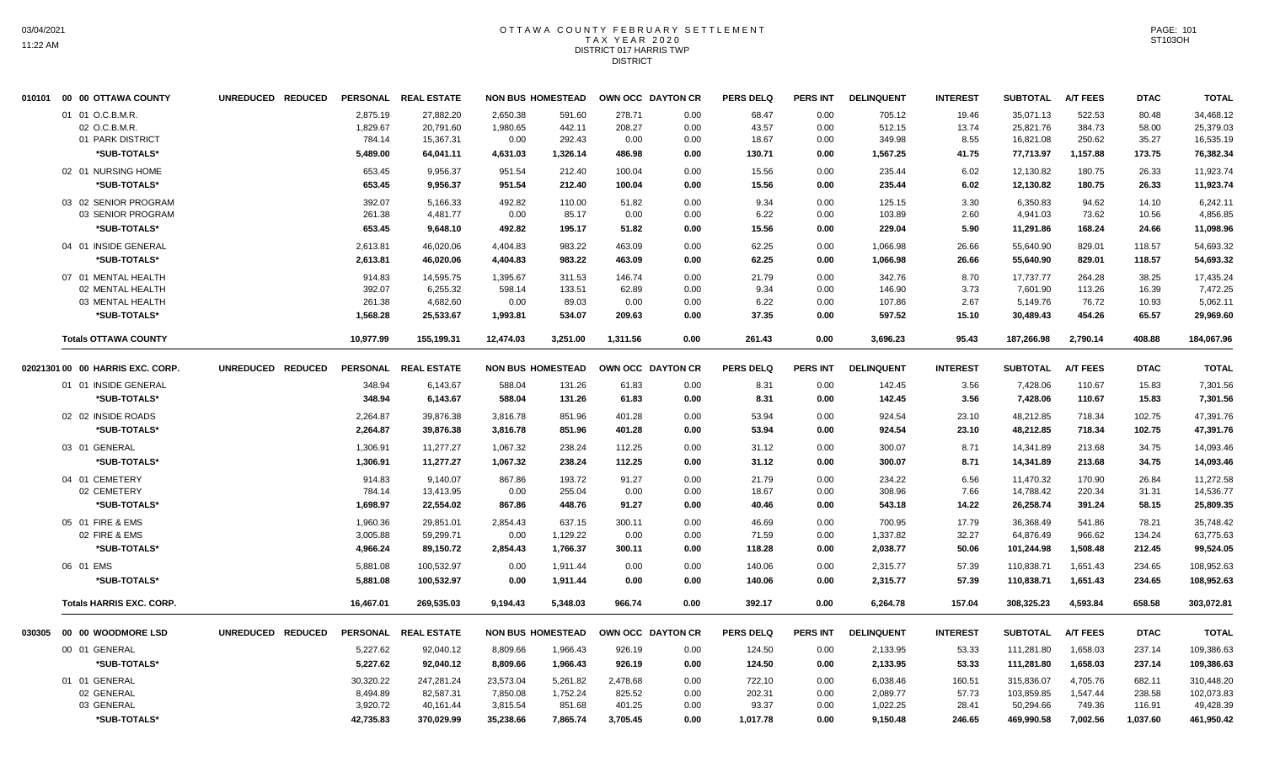### OTTAWA COUNTY FEBRUARY SETTLEMENT TAX YEAR 2020 DISTRICT 017 HARRIS TWP DISTRICT

| 010101 00 00 OTTAWA COUNTY        | UNREDUCED REDUCED |                      | PERSONAL REAL ESTATE   |                      | <b>NON BUS HOMESTEAD</b> |                  | OWN OCC DAYTON CR | <b>PERS DELQ</b> | <b>PERS INT</b> | <b>DELINQUENT</b>    | <b>INTEREST</b> | <b>SUBTOTAL</b>         | <b>A/T FEES</b>    | <b>DTAC</b>      | <b>TOTAL</b>            |
|-----------------------------------|-------------------|----------------------|------------------------|----------------------|--------------------------|------------------|-------------------|------------------|-----------------|----------------------|-----------------|-------------------------|--------------------|------------------|-------------------------|
| 01 01 O.C.B.M.R.<br>02 O.C.B.M.R. |                   | 2,875.19<br>1,829.67 | 27,882.20<br>20,791.60 | 2,650.38<br>1,980.65 | 591.60<br>442.11         | 278.71<br>208.27 | 0.00<br>0.00      | 68.47<br>43.57   | 0.00<br>0.00    | 705.12<br>512.15     | 19.46<br>13.74  | 35,071.13<br>25,821.76  | 522.53<br>384.73   | 80.48<br>58.00   | 34,468.12<br>25,379.03  |
| 01 PARK DISTRICT<br>*SUB-TOTALS*  |                   | 784.14<br>5,489.00   | 15,367.31<br>64,041.11 | 0.00<br>4,631.03     | 292.43<br>1,326.14       | 0.00<br>486.98   | 0.00<br>0.00      | 18.67<br>130.71  | 0.00<br>0.00    | 349.98<br>1,567.25   | 8.55<br>41.75   | 16,821.08<br>77,713.97  | 250.62<br>1,157.88 | 35.27<br>173.75  | 16,535.19<br>76,382.34  |
| 02 01 NURSING HOME                |                   | 653.45               | 9,956.37               | 951.54               | 212.40                   | 100.04           | 0.00              | 15.56            | 0.00            | 235.44               | 6.02            | 12,130.82               | 180.75             | 26.33            | 11,923.74               |
| *SUB-TOTALS*                      |                   | 653.45               | 9,956.37               | 951.54               | 212.40                   | 100.04           | 0.00              | 15.56            | 0.00            | 235.44               | 6.02            | 12,130.82               | 180.75             | 26.33            | 11,923.74               |
| 03 02 SENIOR PROGRAM              |                   | 392.07               | 5.166.33               | 492.82               | 110.00                   | 51.82            | 0.00              | 9.34             | 0.00            | 125.15               | 3.30            | 6,350.83                | 94.62              | 14.10            | 6.242.11                |
| 03 SENIOR PROGRAM<br>*SUB-TOTALS* |                   | 261.38<br>653.45     | 4,481.77<br>9,648.10   | 0.00<br>492.82       | 85.17<br>195.17          | 0.00<br>51.82    | 0.00<br>0.00      | 6.22<br>15.56    | 0.00<br>0.00    | 103.89<br>229.04     | 2.60<br>5.90    | 4,941.03<br>11,291.86   | 73.62<br>168.24    | 10.56<br>24.66   | 4,856.85<br>11,098.96   |
| 04 01 INSIDE GENERAL              |                   | 2,613.81             | 46,020.06              | 4,404.83             | 983.22                   | 463.09           | 0.00              | 62.25            | 0.00            | 1,066.98             | 26.66           | 55,640.90               | 829.01             | 118.57           | 54,693.32               |
| *SUB-TOTALS*                      |                   | 2,613.81             | 46,020.06              | 4,404.83             | 983.22                   | 463.09           | 0.00              | 62.25            | 0.00            | 1,066.98             | 26.66           | 55,640.90               | 829.01             | 118.57           | 54,693.32               |
| 07 01 MENTAL HEALTH               |                   | 914.83               | 14,595.75              | 1,395.67             | 311.53                   | 146.74           | 0.00              | 21.79            | 0.00            | 342.76               | 8.70            | 17,737.77               | 264.28             | 38.25            | 17,435.24               |
| 02 MENTAL HEALTH                  |                   | 392.07               | 6,255.32               | 598.14               | 133.51                   | 62.89            | 0.00              | 9.34             | 0.00            | 146.90               | 3.73            | 7,601.90                | 113.26             | 16.39            | 7,472.25                |
| 03 MENTAL HEALTH<br>*SUB-TOTALS*  |                   | 261.38<br>1,568.28   | 4,682.60<br>25,533.67  | 0.00<br>1,993.81     | 89.03<br>534.07          | 0.00<br>209.63   | 0.00<br>0.00      | 6.22<br>37.35    | 0.00<br>0.00    | 107.86<br>597.52     | 2.67<br>15.10   | 5,149.76<br>30,489.43   | 76.72<br>454.26    | 10.93<br>65.57   | 5,062.11<br>29,969.60   |
| <b>Totals OTTAWA COUNTY</b>       |                   | 10,977.99            | 155.199.31             | 12,474.03            | 3.251.00                 | 1.311.56         | 0.00              | 261.43           | 0.00            | 3,696.23             | 95.43           | 187.266.98              | 2,790.14           | 408.88           | 184,067.96              |
| 02021301 00 00 HARRIS EXC. CORP.  | UNREDUCED REDUCED |                      | PERSONAL REAL ESTATE   |                      | <b>NON BUS HOMESTEAD</b> |                  | OWN OCC DAYTON CR | <b>PERS DELQ</b> | <b>PERS INT</b> | <b>DELINQUENT</b>    | <b>INTEREST</b> | <b>SUBTOTAL</b>         | <b>A/T FEES</b>    | <b>DTAC</b>      | <b>TOTAL</b>            |
| 01 01 INSIDE GENERAL              |                   | 348.94               | 6,143.67               | 588.04               | 131.26                   | 61.83            | 0.00              | 8.31             | 0.00            | 142.45               | 3.56            | 7,428.06                | 110.67             | 15.83            | 7,301.56                |
| *SUB-TOTALS*                      |                   | 348.94               | 6,143.67               | 588.04               | 131.26                   | 61.83            | 0.00              | 8.31             | 0.00            | 142.45               | 3.56            | 7,428.06                | 110.67             | 15.83            | 7,301.56                |
| 02 02 INSIDE ROADS                |                   | 2,264.87             | 39,876.38              | 3,816.78             | 851.96                   | 401.28           | 0.00              | 53.94            | 0.00            | 924.54               | 23.10           | 48,212.85               | 718.34             | 102.75           | 47,391.76               |
| *SUB-TOTALS*                      |                   | 2,264.87             | 39,876.38              | 3,816.78             | 851.96                   | 401.28           | 0.00              | 53.94            | 0.00            | 924.54               | 23.10           | 48,212.85               | 718.34             | 102.75           | 47,391.76               |
| 03 01 GENERAL                     |                   | 1,306.91             | 11.277.27              | 1.067.32             | 238.24                   | 112.25           | 0.00              | 31.12            | 0.00            | 300.07               | 8.71            | 14,341.89               | 213.68             | 34.75            | 14,093.46               |
| *SUB-TOTALS*                      |                   | 1,306.91             | 11,277.27              | 1,067.32             | 238.24                   | 112.25           | 0.00              | 31.12            | 0.00            | 300.07               | 8.71            | 14,341.89               | 213.68             | 34.75            | 14,093.46               |
| 04 01 CEMETERY                    |                   | 914.83               | 9,140.07               | 867.86               | 193.72                   | 91.27            | 0.00              | 21.79            | 0.00            | 234.22               | 6.56            | 11,470.32               | 170.90             | 26.84            | 11,272.58               |
| 02 CEMETERY<br>*SUB-TOTALS*       |                   | 784.14<br>1,698.97   | 13,413.95<br>22,554.02 | 0.00<br>867.86       | 255.04<br>448.76         | 0.00<br>91.27    | 0.00<br>0.00      | 18.67<br>40.46   | 0.00<br>0.00    | 308.96<br>543.18     | 7.66<br>14.22   | 14,788.42<br>26,258.74  | 220.34<br>391.24   | 31.31<br>58.15   | 14,536.77<br>25,809.35  |
|                                   |                   |                      |                        |                      |                          |                  |                   |                  |                 |                      |                 |                         |                    |                  |                         |
| 05 01 FIRE & EMS<br>02 FIRE & EMS |                   | 1.960.36<br>3,005.88 | 29.851.01<br>59,299.71 | 2.854.43<br>0.00     | 637.15<br>1,129.22       | 300.11<br>0.00   | 0.00<br>0.00      | 46.69<br>71.59   | 0.00<br>0.00    | 700.95<br>1,337.82   | 17.79<br>32.27  | 36,368.49<br>64,876.49  | 541.86<br>966.62   | 78.21<br>134.24  | 35,748.42<br>63,775.63  |
| *SUB-TOTALS*                      |                   | 4,966.24             | 89,150.72              | 2,854.43             | 1,766.37                 | 300.11           | 0.00              | 118.28           | 0.00            | 2,038.77             | 50.06           | 101,244.98              | 1,508.48           | 212.45           | 99,524.05               |
| 06 01 EMS                         |                   | 5,881.08             | 100,532.97             | 0.00                 | 1,911.44                 | 0.00             | 0.00              | 140.06           | 0.00            | 2,315.77             | 57.39           | 110,838.71              | 1,651.43           | 234.65           | 108,952.63              |
| *SUB-TOTALS*                      |                   | 5,881.08             | 100,532.97             | 0.00                 | 1,911.44                 | 0.00             | 0.00              | 140.06           | 0.00            | 2,315.77             | 57.39           | 110,838.71              | 1,651.43           | 234.65           | 108,952.63              |
| <b>Totals HARRIS EXC. CORP.</b>   |                   | 16,467.01            | 269.535.03             | 9,194.43             | 5.348.03                 | 966.74           | 0.00              | 392.17           | 0.00            | 6,264.78             | 157.04          | 308,325.23              | 4,593.84           | 658.58           | 303,072.81              |
| 030305 00 00 WOODMORE LSD         | UNREDUCED REDUCED |                      | PERSONAL REAL ESTATE   |                      | <b>NON BUS HOMESTEAD</b> |                  | OWN OCC DAYTON CR | <b>PERS DELQ</b> | <b>PERS INT</b> | <b>DELINQUENT</b>    | <b>INTEREST</b> | <b>SUBTOTAL</b>         | <b>A/T FEES</b>    | <b>DTAC</b>      | <b>TOTAL</b>            |
| 00 01 GENERAL                     |                   | 5,227.62             | 92,040.12              | 8,809.66             | 1,966.43                 | 926.19           | 0.00              | 124.50           | 0.00            | 2,133.95             | 53.33           | 111,281.80              | 1,658.03           | 237.14           | 109,386.63              |
| *SUB-TOTALS*                      |                   | 5,227.62             | 92,040.12              | 8.809.66             | 1,966.43                 | 926.19           | 0.00              | 124.50           | 0.00            | 2,133.95             | 53.33           | 111,281.80              | 1,658.03           | 237.14           | 109,386.63              |
| 01 01 GENERAL                     |                   | 30,320.22            | 247,281.24             | 23,573.04            | 5,261.82                 | 2,478.68         | 0.00              | 722.10           | 0.00            | 6,038.46             | 160.51          | 315,836.07              | 4,705.76           | 682.11           | 310,448.20              |
| 02 GENERAL<br>03 GENERAL          |                   | 8,494.89<br>3,920.72 | 82,587.31<br>40,161.44 | 7,850.08<br>3,815.54 | 1,752.24<br>851.68       | 825.52<br>401.25 | 0.00<br>0.00      | 202.31<br>93.37  | 0.00<br>0.00    | 2,089.77<br>1,022.25 | 57.73<br>28.41  | 103,859.85<br>50,294.66 | 1,547.44<br>749.36 | 238.58<br>116.91 | 102,073.83<br>49,428.39 |
| *SUB-TOTALS*                      |                   | 42,735.83            | 370,029.99             | 35,238.66            | 7,865.74                 | 3,705.45         | 0.00              | 1,017.78         | 0.00            | 9,150.48             | 246.65          | 469,990.58              | 7,002.56           | 1,037.60         | 461,950.42              |
|                                   |                   |                      |                        |                      |                          |                  |                   |                  |                 |                      |                 |                         |                    |                  |                         |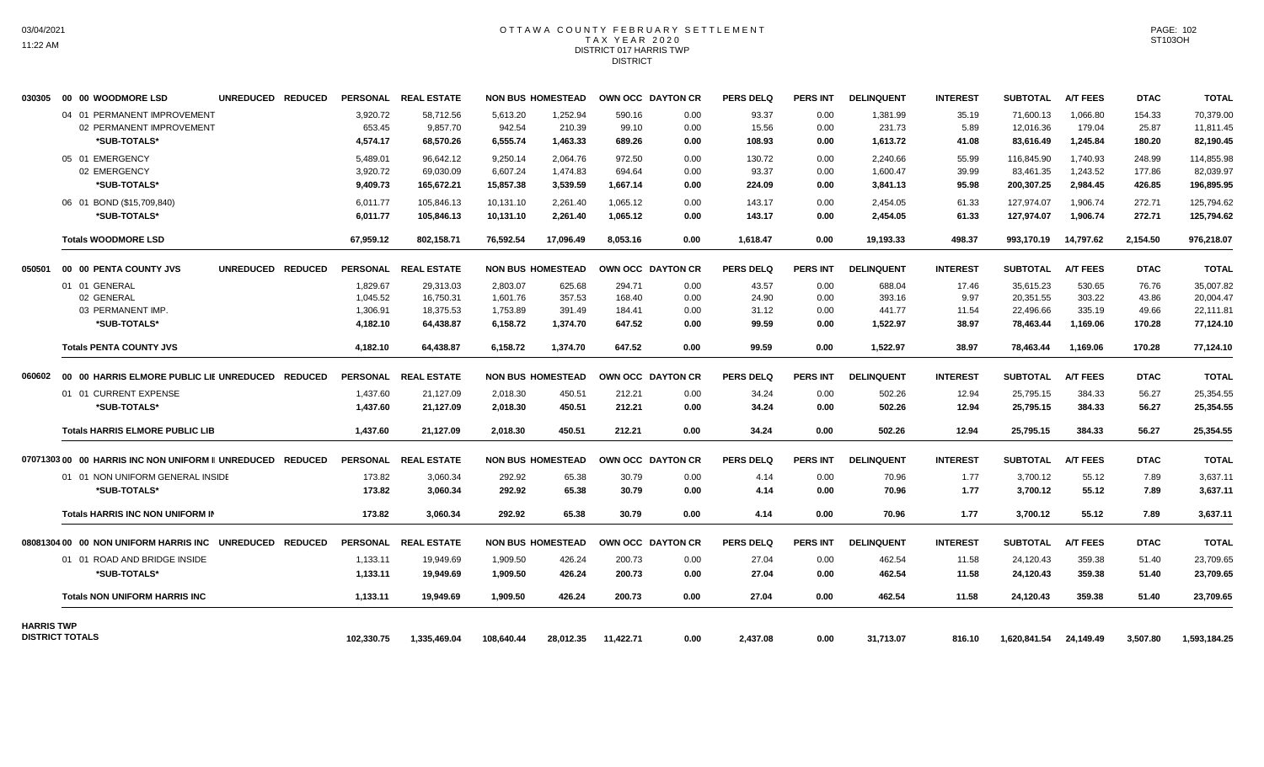#### OTTAWA COUNTY FEBRUARY SETTLEMENT T A X Y E A R 2 0 2 0 DISTRICT 017 HARRIS TWP DISTRICT

| 030305            | 00 00 WOODMORE LSD                                        | UNREDUCED REDUCED |            | PERSONAL REAL ESTATE |            | <b>NON BUS HOMESTEAD</b> |           | OWN OCC DAYTON CR | <b>PERS DELQ</b> | <b>PERS INT</b> | <b>DELINQUENT</b> | <b>INTEREST</b> | <b>SUBTOTAL</b> | <b>A/T FEES</b> | <b>DTAC</b> | <b>TOTAL</b> |
|-------------------|-----------------------------------------------------------|-------------------|------------|----------------------|------------|--------------------------|-----------|-------------------|------------------|-----------------|-------------------|-----------------|-----------------|-----------------|-------------|--------------|
|                   | 04 01 PERMANENT IMPROVEMENT                               |                   | 3,920.72   | 58.712.56            | 5.613.20   | 1,252.94                 | 590.16    | 0.00              | 93.37            | 0.00            | 1.381.99          | 35.19           | 71.600.13       | 1.066.80        | 154.33      | 70.379.00    |
|                   | 02 PERMANENT IMPROVEMENT                                  |                   | 653.45     | 9,857.70             | 942.54     | 210.39                   | 99.10     | 0.00              | 15.56            | 0.00            | 231.73            | 5.89            | 12.016.36       | 179.04          | 25.87       | 11,811.45    |
|                   | *SUB-TOTALS*                                              |                   | 4.574.17   | 68,570.26            | 6,555.74   | 1,463.33                 | 689.26    | 0.00              | 108.93           | 0.00            | 1,613.72          | 41.08           | 83,616.49       | 1,245.84        | 180.20      | 82,190.45    |
|                   | 05 01 EMERGENCY                                           |                   | 5,489.01   | 96,642.12            | 9,250.14   | 2,064.76                 | 972.50    | 0.00              | 130.72           | 0.00            | 2.240.66          | 55.99           | 116,845.90      | 1.740.93        | 248.99      | 114,855.98   |
|                   | 02 EMERGENCY                                              |                   | 3,920.72   | 69.030.09            | 6,607.24   | 1.474.83                 | 694.64    | 0.00              | 93.37            | 0.00            | 1.600.47          | 39.99           | 83,461.35       | 1.243.52        | 177.86      | 82,039.97    |
|                   | *SUB-TOTALS*                                              |                   | 9,409.73   | 165,672.21           | 15,857.38  | 3,539.59                 | 1,667.14  | 0.00              | 224.09           | 0.00            | 3,841.13          | 95.98           | 200,307.25      | 2,984.45        | 426.85      | 196,895.95   |
|                   | 06 01 BOND (\$15,709,840)                                 |                   | 6,011.77   | 105.846.13           | 10,131.10  | 2.261.40                 | 1.065.12  | 0.00              | 143.17           | 0.00            | 2.454.05          | 61.33           | 127.974.07      | 1.906.74        | 272.71      | 125,794.62   |
|                   | *SUB-TOTALS*                                              |                   | 6,011.77   | 105.846.13           | 10,131.10  | 2,261.40                 | 1,065.12  | 0.00              | 143.17           | 0.00            | 2,454.05          | 61.33           | 127,974.07      | 1,906.74        | 272.71      | 125,794.62   |
|                   | <b>Totals WOODMORE LSD</b>                                |                   | 67,959.12  | 802,158.71           | 76,592.54  | 17,096.49                | 8,053.16  | 0.00              | 1,618.47         | 0.00            | 19,193.33         | 498.37          | 993,170.19      | 14,797.62       | 2,154.50    | 976,218.07   |
| 050501            | 00 00 PENTA COUNTY JVS                                    | UNREDUCED REDUCED |            | PERSONAL REAL ESTATE |            | <b>NON BUS HOMESTEAD</b> |           | OWN OCC DAYTON CR | <b>PERS DELQ</b> | <b>PERS INT</b> | <b>DELINQUENT</b> | <b>INTEREST</b> | <b>SUBTOTAL</b> | <b>A/T FEES</b> | <b>DTAC</b> | <b>TOTAL</b> |
|                   | 01 01 GENERAL                                             |                   | 1,829.67   | 29,313.03            | 2,803.07   | 625.68                   | 294.71    | 0.00              | 43.57            | 0.00            | 688.04            | 17.46           | 35,615.23       | 530.65          | 76.76       | 35,007.82    |
|                   | 02 GENERAL                                                |                   | 1.045.52   | 16.750.31            | 1.601.76   | 357.53                   | 168.40    | 0.00              | 24.90            | 0.00            | 393.16            | 9.97            | 20.351.55       | 303.22          | 43.86       | 20.004.47    |
|                   | 03 PERMANENT IMP.                                         |                   | 1,306.91   | 18,375.53            | 1,753.89   | 391.49                   | 184.41    | 0.00              | 31.12            | 0.00            | 441.77            | 11.54           | 22,496.66       | 335.19          | 49.66       | 22,111.81    |
|                   | *SUB-TOTALS*                                              |                   | 4,182.10   | 64,438.87            | 6,158.72   | 1,374.70                 | 647.52    | 0.00              | 99.59            | 0.00            | 1,522.97          | 38.97           | 78,463.44       | 1,169.06        | 170.28      | 77,124.10    |
|                   | <b>Totals PENTA COUNTY JVS</b>                            |                   | 4.182.10   | 64,438.87            | 6.158.72   | 1.374.70                 | 647.52    | 0.00              | 99.59            | 0.00            | 1,522.97          | 38.97           | 78,463.44       | 1.169.06        | 170.28      | 77,124.10    |
| 060602            | 00 00 HARRIS ELMORE PUBLIC LIE UNREDUCED REDUCED          |                   |            | PERSONAL REAL ESTATE |            | <b>NON BUS HOMESTEAD</b> |           | OWN OCC DAYTON CR | <b>PERS DELQ</b> | <b>PERS INT</b> | <b>DELINQUENT</b> | <b>INTEREST</b> | <b>SUBTOTAL</b> | <b>A/T FEES</b> | <b>DTAC</b> | <b>TOTAL</b> |
|                   | 01 01 CURRENT EXPENSE                                     |                   | 1,437.60   | 21,127.09            | 2,018.30   | 450.51                   | 212.21    | 0.00              | 34.24            | 0.00            | 502.26            | 12.94           | 25,795.15       | 384.33          | 56.27       | 25,354.55    |
|                   | *SUB-TOTALS*                                              |                   | 1,437.60   | 21,127.09            | 2,018.30   | 450.51                   | 212.21    | 0.00              | 34.24            | 0.00            | 502.26            | 12.94           | 25,795.15       | 384.33          | 56.27       | 25,354.55    |
|                   | <b>Totals HARRIS ELMORE PUBLIC LIB</b>                    |                   | 1,437.60   | 21,127.09            | 2,018.30   | 450.51                   | 212.21    | 0.00              | 34.24            | 0.00            | 502.26            | 12.94           | 25,795.15       | 384.33          | 56.27       | 25,354.55    |
|                   | 0707130300 00 HARRIS INC NON UNIFORM II UNREDUCED REDUCED |                   |            | PERSONAL REAL ESTATE |            | <b>NON BUS HOMESTEAD</b> |           | OWN OCC DAYTON CR | <b>PERS DELQ</b> | <b>PERS INT</b> | <b>DELINQUENT</b> | <b>INTEREST</b> | <b>SUBTOTAL</b> | <b>A/T FEES</b> | <b>DTAC</b> | <b>TOTAL</b> |
|                   | 01 01 NON UNIFORM GENERAL INSIDE                          |                   | 173.82     | 3,060.34             | 292.92     | 65.38                    | 30.79     | 0.00              | 4.14             | 0.00            | 70.96             | 1.77            | 3.700.12        | 55.12           | 7.89        | 3.637.11     |
|                   | *SUB-TOTALS*                                              |                   | 173.82     | 3,060.34             | 292.92     | 65.38                    | 30.79     | 0.00              | 4.14             | 0.00            | 70.96             | 1.77            | 3,700.12        | 55.12           | 7.89        | 3,637.11     |
|                   | <b>Totals HARRIS INC NON UNIFORM IN</b>                   |                   | 173.82     | 3.060.34             | 292.92     | 65.38                    | 30.79     | 0.00              | 4.14             | 0.00            | 70.96             | 1.77            | 3.700.12        | 55.12           | 7.89        | 3.637.11     |
|                   | 08081304 00 00 NON UNIFORM HARRIS INC                     | UNREDUCED REDUCED |            | PERSONAL REAL ESTATE |            | <b>NON BUS HOMESTEAD</b> |           | OWN OCC DAYTON CR | <b>PERS DELQ</b> | <b>PERS INT</b> | <b>DELINQUENT</b> | <b>INTEREST</b> | <b>SUBTOTAL</b> | <b>A/T FEES</b> | <b>DTAC</b> | <b>TOTAL</b> |
|                   | 01 01 ROAD AND BRIDGE INSIDE                              |                   | 1,133.11   | 19,949.69            | 1,909.50   | 426.24                   | 200.73    | 0.00              | 27.04            | 0.00            | 462.54            | 11.58           | 24,120.43       | 359.38          | 51.40       | 23,709.65    |
|                   | *SUB-TOTALS*                                              |                   | 1,133.11   | 19,949.69            | 1.909.50   | 426.24                   | 200.73    | 0.00              | 27.04            | 0.00            | 462.54            | 11.58           | 24,120.43       | 359.38          | 51.40       | 23,709.65    |
|                   | <b>Totals NON UNIFORM HARRIS INC</b>                      |                   | 1,133.11   | 19,949.69            | 1,909.50   | 426.24                   | 200.73    | 0.00              | 27.04            | 0.00            | 462.54            | 11.58           | 24,120.43       | 359.38          | 51.40       | 23,709.65    |
| <b>HARRIS TWP</b> |                                                           |                   |            |                      |            |                          |           |                   |                  |                 |                   |                 |                 |                 |             |              |
|                   | <b>DISTRICT TOTALS</b>                                    |                   | 102,330.75 | 1,335,469.04         | 108,640.44 | 28,012.35                | 11,422.71 | 0.00              | 2,437.08         | 0.00            | 31,713.07         | 816.10          | 1,620,841.54    | 24,149.49       | 3,507.80    | 1,593,184.25 |

PAGE: 102 ST103OH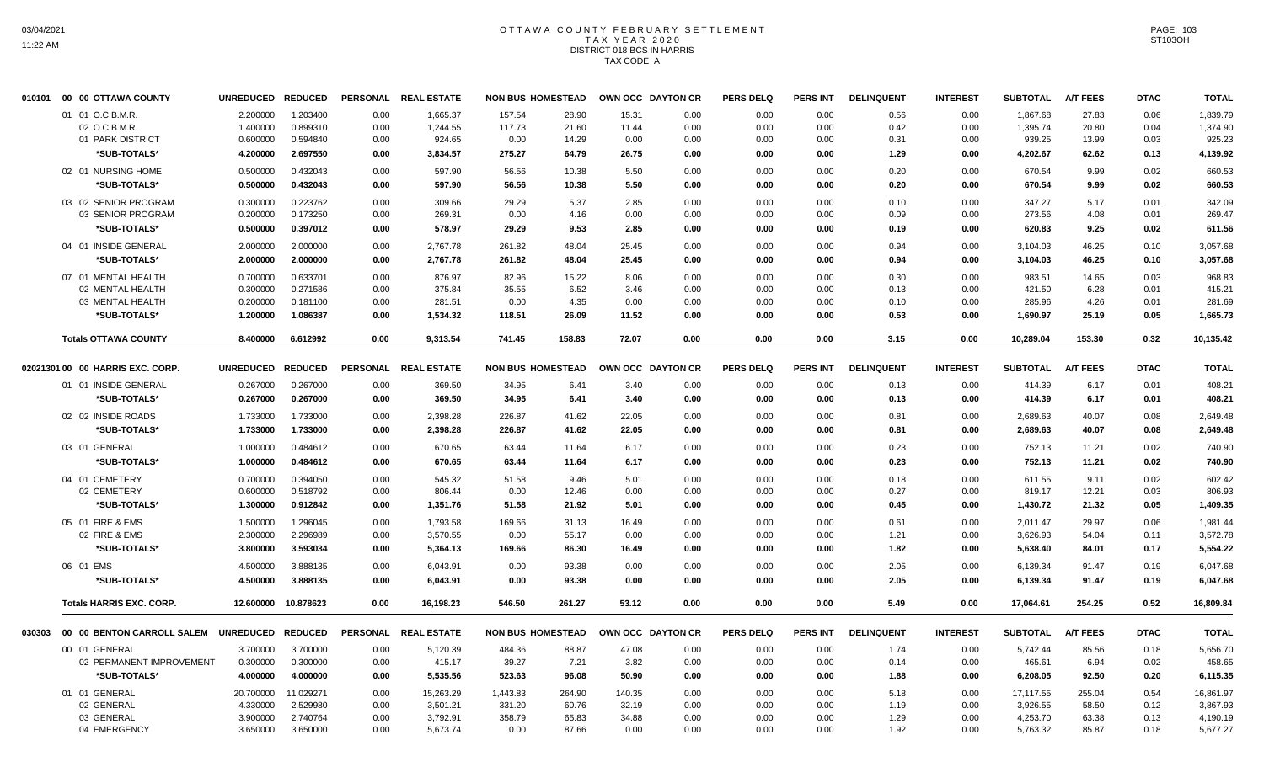# OTTAWA COUNTY FEBRUARY SETTLEMENT TAX YEAR 2020 DISTRICT 018 BCS IN HARRIS TAX CODE A

| 01 01 O.C.B.M.R.<br>02 O.C.B.M.R.<br>01 PARK DISTRICT<br>*SUB-TOTALS*<br>02 01 NURSING HOME<br>*SUB-TOTALS*<br>03 02 SENIOR PROGRAM<br>03 SENIOR PROGRAM<br>*SUB-TOTALS*<br>04 01 INSIDE GENERAL<br>*SUB-TOTALS*<br>07 01 MENTAL HEALTH<br>02 MENTAL HEALTH<br>03 MENTAL HEALTH<br>*SUB-TOTALS*<br><b>Totals OTTAWA COUNTY</b><br>02021301 00 00 HARRIS EXC. CORP. | 2.200000<br>1.400000<br>0.600000<br>4.200000<br>0.500000<br>0.500000<br>0.300000<br>0.200000<br>0.500000<br>2.000000<br>2.000000<br>0.700000<br>0.300000<br>0.200000<br>1.200000<br>8.400000 | 1.203400<br>0.899310<br>0.594840<br>2.697550<br>0.432043<br>0.432043<br>0.223762<br>0.173250<br>0.397012<br>2.000000<br>2.000000<br>0.633701<br>0.271586<br>0.181100<br>1.086387<br>6.612992 | 0.00<br>0.00<br>0.00<br>0.00<br>0.00<br>0.00<br>0.00<br>0.00<br>0.00<br>0.00<br>0.00<br>0.00<br>0.00<br>0.00<br>0.00      | 1,665.37<br>1,244.55<br>924.65<br>3,834.57<br>597.90<br>597.90<br>309.66<br>269.31<br>578.97<br>2,767.78<br>2,767.78<br>876.97<br>375.84<br>281.51<br>1,534.32 | 157.54<br>117.73<br>0.00<br>275.27<br>56.56<br>56.56<br>29.29<br>0.00<br>29.29<br>261.82<br>261.82<br>82.96<br>35.55<br>0.00<br>118.51 | 28.90<br>21.60<br>14.29<br>64.79<br>10.38<br>10.38<br>5.37<br>4.16<br>9.53<br>48.04<br>48.04<br>15.22<br>6.52 | 15.31<br>11.44<br>0.00<br>26.75<br>5.50<br>5.50<br>2.85<br>0.00<br>2.85<br>25.45<br>25.45<br>8.06          | 0.00<br>0.00<br>0.00<br>0.00<br>0.00<br>0.00<br>0.00<br>0.00<br>0.00<br>0.00<br>0.00 | 0.00<br>0.00<br>0.00<br>0.00<br>0.00<br>0.00<br>0.00<br>0.00<br>0.00<br>0.00<br>0.00   | 0.00<br>0.00<br>0.00<br>0.00<br>0.00<br>0.00<br>0.00<br>0.00<br>0.00<br>0.00<br>0.00 | 0.56<br>0.42<br>0.31<br>1.29<br>0.20<br>0.20<br>0.10<br>0.09<br>0.19<br>0.94 | 0.00<br>0.00<br>0.00<br>0.00<br>0.00<br>0.00<br>0.00<br>0.00<br>0.00<br>0.00 | 1,867.68<br>1,395.74<br>939.25<br>4,202.67<br>670.54<br>670.54<br>347.27<br>273.56<br>620.83<br>3,104.03 | 27.83<br>20.80<br>13.99<br>62.62<br>9.99<br>9.99<br>5.17<br>4.08<br>9.25<br>46.25 | 0.06<br>0.04<br>0.03<br>0.13<br>0.02<br>0.02<br>0.01<br>0.01<br>0.02<br>0.10 | 1,839.79<br>1,374.90<br>925.23<br>4,139.92<br>660.53<br>660.53<br>342.09<br>269.47<br>611.56<br>3,057.68                  |
|--------------------------------------------------------------------------------------------------------------------------------------------------------------------------------------------------------------------------------------------------------------------------------------------------------------------------------------------------------------------|----------------------------------------------------------------------------------------------------------------------------------------------------------------------------------------------|----------------------------------------------------------------------------------------------------------------------------------------------------------------------------------------------|---------------------------------------------------------------------------------------------------------------------------|----------------------------------------------------------------------------------------------------------------------------------------------------------------|----------------------------------------------------------------------------------------------------------------------------------------|---------------------------------------------------------------------------------------------------------------|------------------------------------------------------------------------------------------------------------|--------------------------------------------------------------------------------------|----------------------------------------------------------------------------------------|--------------------------------------------------------------------------------------|------------------------------------------------------------------------------|------------------------------------------------------------------------------|----------------------------------------------------------------------------------------------------------|-----------------------------------------------------------------------------------|------------------------------------------------------------------------------|---------------------------------------------------------------------------------------------------------------------------|
|                                                                                                                                                                                                                                                                                                                                                                    |                                                                                                                                                                                              |                                                                                                                                                                                              |                                                                                                                           |                                                                                                                                                                |                                                                                                                                        |                                                                                                               |                                                                                                            |                                                                                      |                                                                                        |                                                                                      |                                                                              |                                                                              |                                                                                                          |                                                                                   |                                                                              |                                                                                                                           |
|                                                                                                                                                                                                                                                                                                                                                                    |                                                                                                                                                                                              |                                                                                                                                                                                              |                                                                                                                           |                                                                                                                                                                |                                                                                                                                        |                                                                                                               |                                                                                                            |                                                                                      |                                                                                        |                                                                                      |                                                                              |                                                                              |                                                                                                          |                                                                                   |                                                                              |                                                                                                                           |
|                                                                                                                                                                                                                                                                                                                                                                    |                                                                                                                                                                                              |                                                                                                                                                                                              |                                                                                                                           |                                                                                                                                                                |                                                                                                                                        |                                                                                                               |                                                                                                            |                                                                                      |                                                                                        |                                                                                      |                                                                              |                                                                              |                                                                                                          |                                                                                   |                                                                              |                                                                                                                           |
|                                                                                                                                                                                                                                                                                                                                                                    |                                                                                                                                                                                              |                                                                                                                                                                                              |                                                                                                                           |                                                                                                                                                                |                                                                                                                                        |                                                                                                               |                                                                                                            |                                                                                      |                                                                                        |                                                                                      |                                                                              |                                                                              |                                                                                                          |                                                                                   |                                                                              |                                                                                                                           |
|                                                                                                                                                                                                                                                                                                                                                                    |                                                                                                                                                                                              |                                                                                                                                                                                              |                                                                                                                           |                                                                                                                                                                |                                                                                                                                        |                                                                                                               |                                                                                                            |                                                                                      |                                                                                        |                                                                                      |                                                                              |                                                                              |                                                                                                          |                                                                                   |                                                                              |                                                                                                                           |
|                                                                                                                                                                                                                                                                                                                                                                    |                                                                                                                                                                                              |                                                                                                                                                                                              |                                                                                                                           |                                                                                                                                                                |                                                                                                                                        |                                                                                                               |                                                                                                            |                                                                                      |                                                                                        |                                                                                      |                                                                              |                                                                              |                                                                                                          |                                                                                   |                                                                              |                                                                                                                           |
|                                                                                                                                                                                                                                                                                                                                                                    |                                                                                                                                                                                              |                                                                                                                                                                                              |                                                                                                                           |                                                                                                                                                                |                                                                                                                                        |                                                                                                               |                                                                                                            |                                                                                      |                                                                                        |                                                                                      |                                                                              |                                                                              |                                                                                                          |                                                                                   |                                                                              |                                                                                                                           |
|                                                                                                                                                                                                                                                                                                                                                                    |                                                                                                                                                                                              |                                                                                                                                                                                              |                                                                                                                           |                                                                                                                                                                |                                                                                                                                        |                                                                                                               |                                                                                                            |                                                                                      |                                                                                        |                                                                                      |                                                                              |                                                                              |                                                                                                          |                                                                                   |                                                                              |                                                                                                                           |
|                                                                                                                                                                                                                                                                                                                                                                    |                                                                                                                                                                                              |                                                                                                                                                                                              |                                                                                                                           |                                                                                                                                                                |                                                                                                                                        |                                                                                                               |                                                                                                            |                                                                                      |                                                                                        |                                                                                      |                                                                              |                                                                              |                                                                                                          |                                                                                   |                                                                              |                                                                                                                           |
|                                                                                                                                                                                                                                                                                                                                                                    |                                                                                                                                                                                              |                                                                                                                                                                                              |                                                                                                                           |                                                                                                                                                                |                                                                                                                                        |                                                                                                               |                                                                                                            |                                                                                      |                                                                                        |                                                                                      |                                                                              |                                                                              |                                                                                                          |                                                                                   |                                                                              |                                                                                                                           |
|                                                                                                                                                                                                                                                                                                                                                                    |                                                                                                                                                                                              |                                                                                                                                                                                              |                                                                                                                           |                                                                                                                                                                |                                                                                                                                        |                                                                                                               |                                                                                                            |                                                                                      |                                                                                        |                                                                                      | 0.94                                                                         | 0.00                                                                         | 3,104.03                                                                                                 | 46.25                                                                             | 0.10                                                                         | 3,057.68                                                                                                                  |
|                                                                                                                                                                                                                                                                                                                                                                    |                                                                                                                                                                                              |                                                                                                                                                                                              |                                                                                                                           |                                                                                                                                                                |                                                                                                                                        |                                                                                                               |                                                                                                            | 0.00                                                                                 | 0.00                                                                                   | 0.00                                                                                 | 0.30                                                                         | 0.00                                                                         | 983.51                                                                                                   | 14.65                                                                             | 0.03                                                                         | 968.83                                                                                                                    |
|                                                                                                                                                                                                                                                                                                                                                                    |                                                                                                                                                                                              |                                                                                                                                                                                              |                                                                                                                           |                                                                                                                                                                |                                                                                                                                        |                                                                                                               | 3.46                                                                                                       | 0.00                                                                                 | 0.00                                                                                   | 0.00                                                                                 | 0.13                                                                         | 0.00                                                                         | 421.50                                                                                                   | 6.28                                                                              | 0.01                                                                         | 415.21                                                                                                                    |
|                                                                                                                                                                                                                                                                                                                                                                    |                                                                                                                                                                                              |                                                                                                                                                                                              |                                                                                                                           |                                                                                                                                                                |                                                                                                                                        | 4.35                                                                                                          | 0.00                                                                                                       | 0.00                                                                                 | 0.00                                                                                   | 0.00                                                                                 | 0.10                                                                         | 0.00                                                                         | 285.96                                                                                                   | 4.26                                                                              | 0.01                                                                         | 281.69                                                                                                                    |
|                                                                                                                                                                                                                                                                                                                                                                    |                                                                                                                                                                                              |                                                                                                                                                                                              |                                                                                                                           |                                                                                                                                                                |                                                                                                                                        | 26.09                                                                                                         | 11.52                                                                                                      | 0.00                                                                                 | 0.00                                                                                   | 0.00                                                                                 | 0.53                                                                         | 0.00                                                                         | 1,690.97                                                                                                 | 25.19                                                                             | 0.05                                                                         | 1,665.73                                                                                                                  |
|                                                                                                                                                                                                                                                                                                                                                                    |                                                                                                                                                                                              |                                                                                                                                                                                              |                                                                                                                           | 9,313.54                                                                                                                                                       | 741.45                                                                                                                                 | 158.83                                                                                                        | 72.07                                                                                                      | 0.00                                                                                 | 0.00                                                                                   | 0.00                                                                                 | 3.15                                                                         | 0.00                                                                         | 10,289.04                                                                                                | 153.30                                                                            | 0.32                                                                         | 10,135.42                                                                                                                 |
|                                                                                                                                                                                                                                                                                                                                                                    |                                                                                                                                                                                              |                                                                                                                                                                                              |                                                                                                                           |                                                                                                                                                                |                                                                                                                                        |                                                                                                               |                                                                                                            |                                                                                      |                                                                                        |                                                                                      |                                                                              |                                                                              |                                                                                                          |                                                                                   |                                                                              |                                                                                                                           |
|                                                                                                                                                                                                                                                                                                                                                                    |                                                                                                                                                                                              |                                                                                                                                                                                              |                                                                                                                           |                                                                                                                                                                |                                                                                                                                        |                                                                                                               |                                                                                                            |                                                                                      | <b>PERS DELQ</b>                                                                       | <b>PERS INT</b>                                                                      | <b>DELINQUENT</b>                                                            | <b>INTEREST</b>                                                              | <b>SUBTOTAL</b>                                                                                          | <b>A/T FEES</b>                                                                   | <b>DTAC</b>                                                                  | <b>TOTAL</b>                                                                                                              |
|                                                                                                                                                                                                                                                                                                                                                                    | 0.267000                                                                                                                                                                                     | 0.267000                                                                                                                                                                                     | 0.00                                                                                                                      | 369.50                                                                                                                                                         | 34.95                                                                                                                                  | 6.41                                                                                                          | 3.40                                                                                                       | 0.00                                                                                 | 0.00                                                                                   | 0.00                                                                                 | 0.13                                                                         | 0.00                                                                         | 414.39                                                                                                   | 6.17                                                                              | 0.01                                                                         | 408.21                                                                                                                    |
| *SUB-TOTALS*                                                                                                                                                                                                                                                                                                                                                       | 0.267000                                                                                                                                                                                     | 0.267000                                                                                                                                                                                     | 0.00                                                                                                                      | 369.50                                                                                                                                                         | 34.95                                                                                                                                  | 6.41                                                                                                          | 3.40                                                                                                       | 0.00                                                                                 | 0.00                                                                                   | 0.00                                                                                 | 0.13                                                                         | 0.00                                                                         | 414.39                                                                                                   | 6.17                                                                              | 0.01                                                                         | 408.21                                                                                                                    |
| 02 02 INSIDE ROADS                                                                                                                                                                                                                                                                                                                                                 | 1.733000                                                                                                                                                                                     | 1.733000                                                                                                                                                                                     | 0.00                                                                                                                      | 2,398.28                                                                                                                                                       | 226.87                                                                                                                                 | 41.62                                                                                                         | 22.05                                                                                                      | 0.00                                                                                 | 0.00                                                                                   | 0.00                                                                                 | 0.81                                                                         | 0.00                                                                         | 2,689.63                                                                                                 | 40.07                                                                             | 0.08                                                                         | 2,649.48                                                                                                                  |
| *SUB-TOTALS*                                                                                                                                                                                                                                                                                                                                                       | 1.733000                                                                                                                                                                                     | 1.733000                                                                                                                                                                                     | 0.00                                                                                                                      | 2,398.28                                                                                                                                                       | 226.87                                                                                                                                 | 41.62                                                                                                         | 22.05                                                                                                      | 0.00                                                                                 | 0.00                                                                                   | 0.00                                                                                 | 0.81                                                                         | 0.00                                                                         | 2,689.63                                                                                                 | 40.07                                                                             | 0.08                                                                         | 2,649.48                                                                                                                  |
| 03 01 GENERAL                                                                                                                                                                                                                                                                                                                                                      |                                                                                                                                                                                              | 0.484612                                                                                                                                                                                     |                                                                                                                           | 670.65                                                                                                                                                         | 63.44                                                                                                                                  | 11.64                                                                                                         | 6.17                                                                                                       | 0.00                                                                                 |                                                                                        |                                                                                      |                                                                              | 0.00                                                                         | 752.13                                                                                                   | 11.21                                                                             |                                                                              | 740.90                                                                                                                    |
| *SUB-TOTALS*                                                                                                                                                                                                                                                                                                                                                       | 1.000000                                                                                                                                                                                     | 0.484612                                                                                                                                                                                     | 0.00                                                                                                                      | 670.65                                                                                                                                                         | 63.44                                                                                                                                  | 11.64                                                                                                         | 6.17                                                                                                       | 0.00                                                                                 | 0.00                                                                                   | 0.00                                                                                 | 0.23                                                                         | 0.00                                                                         | 752.13                                                                                                   | 11.21                                                                             | 0.02                                                                         | 740.90                                                                                                                    |
|                                                                                                                                                                                                                                                                                                                                                                    |                                                                                                                                                                                              |                                                                                                                                                                                              |                                                                                                                           |                                                                                                                                                                |                                                                                                                                        |                                                                                                               |                                                                                                            |                                                                                      |                                                                                        |                                                                                      |                                                                              |                                                                              |                                                                                                          |                                                                                   |                                                                              | 602.42                                                                                                                    |
|                                                                                                                                                                                                                                                                                                                                                                    |                                                                                                                                                                                              |                                                                                                                                                                                              |                                                                                                                           |                                                                                                                                                                |                                                                                                                                        |                                                                                                               |                                                                                                            |                                                                                      |                                                                                        |                                                                                      |                                                                              |                                                                              |                                                                                                          |                                                                                   |                                                                              | 806.93                                                                                                                    |
| *SUB-TOTALS*                                                                                                                                                                                                                                                                                                                                                       | 1.300000                                                                                                                                                                                     | 0.912842                                                                                                                                                                                     | 0.00                                                                                                                      | 1,351.76                                                                                                                                                       | 51.58                                                                                                                                  | 21.92                                                                                                         | 5.01                                                                                                       | 0.00                                                                                 | 0.00                                                                                   | 0.00                                                                                 | 0.45                                                                         | 0.00                                                                         | 1,430.72                                                                                                 | 21.32                                                                             | 0.05                                                                         | 1,409.35                                                                                                                  |
|                                                                                                                                                                                                                                                                                                                                                                    |                                                                                                                                                                                              |                                                                                                                                                                                              |                                                                                                                           |                                                                                                                                                                |                                                                                                                                        |                                                                                                               |                                                                                                            |                                                                                      |                                                                                        |                                                                                      |                                                                              |                                                                              |                                                                                                          |                                                                                   |                                                                              | 1,981.44                                                                                                                  |
|                                                                                                                                                                                                                                                                                                                                                                    |                                                                                                                                                                                              |                                                                                                                                                                                              |                                                                                                                           |                                                                                                                                                                |                                                                                                                                        |                                                                                                               |                                                                                                            |                                                                                      |                                                                                        |                                                                                      |                                                                              |                                                                              |                                                                                                          |                                                                                   |                                                                              | 3,572.78                                                                                                                  |
| *SUB-TOTALS*                                                                                                                                                                                                                                                                                                                                                       | 3.800000                                                                                                                                                                                     | 3.593034                                                                                                                                                                                     | 0.00                                                                                                                      | 5,364.13                                                                                                                                                       | 169.66                                                                                                                                 | 86.30                                                                                                         | 16.49                                                                                                      | 0.00                                                                                 | 0.00                                                                                   | 0.00                                                                                 | 1.82                                                                         | 0.00                                                                         | 5,638.40                                                                                                 | 84.01                                                                             | 0.17                                                                         | 5,554.22                                                                                                                  |
|                                                                                                                                                                                                                                                                                                                                                                    |                                                                                                                                                                                              |                                                                                                                                                                                              |                                                                                                                           |                                                                                                                                                                |                                                                                                                                        |                                                                                                               |                                                                                                            |                                                                                      |                                                                                        |                                                                                      |                                                                              |                                                                              |                                                                                                          |                                                                                   |                                                                              | 6,047.68                                                                                                                  |
|                                                                                                                                                                                                                                                                                                                                                                    | 4.500000                                                                                                                                                                                     | 3.888135                                                                                                                                                                                     | 0.00                                                                                                                      | 6,043.91                                                                                                                                                       | 0.00                                                                                                                                   | 93.38                                                                                                         | 0.00                                                                                                       | 0.00                                                                                 | 0.00                                                                                   | 0.00                                                                                 | 2.05                                                                         | 0.00                                                                         |                                                                                                          | 91.47                                                                             | 0.19                                                                         | 6,047.68                                                                                                                  |
|                                                                                                                                                                                                                                                                                                                                                                    |                                                                                                                                                                                              |                                                                                                                                                                                              |                                                                                                                           |                                                                                                                                                                |                                                                                                                                        |                                                                                                               |                                                                                                            |                                                                                      |                                                                                        |                                                                                      |                                                                              |                                                                              |                                                                                                          |                                                                                   |                                                                              |                                                                                                                           |
|                                                                                                                                                                                                                                                                                                                                                                    |                                                                                                                                                                                              |                                                                                                                                                                                              |                                                                                                                           |                                                                                                                                                                |                                                                                                                                        |                                                                                                               |                                                                                                            |                                                                                      |                                                                                        |                                                                                      |                                                                              |                                                                              |                                                                                                          |                                                                                   |                                                                              | 16,809.84                                                                                                                 |
| 00 00 BENTON CARROLL SALEM                                                                                                                                                                                                                                                                                                                                         |                                                                                                                                                                                              |                                                                                                                                                                                              |                                                                                                                           |                                                                                                                                                                |                                                                                                                                        |                                                                                                               |                                                                                                            |                                                                                      | <b>PERS DELQ</b>                                                                       | <b>PERS INT</b>                                                                      | <b>DELINQUENT</b>                                                            | <b>INTEREST</b>                                                              | <b>SUBTOTAL</b>                                                                                          | <b>A/T FEES</b>                                                                   | <b>DTAC</b>                                                                  | <b>TOTAL</b>                                                                                                              |
| 00 01 GENERAL                                                                                                                                                                                                                                                                                                                                                      | 3.700000                                                                                                                                                                                     | 3.700000                                                                                                                                                                                     | 0.00                                                                                                                      | 5,120.39                                                                                                                                                       | 484.36                                                                                                                                 | 88.87                                                                                                         | 47.08                                                                                                      | 0.00                                                                                 | 0.00                                                                                   | 0.00                                                                                 | 1.74                                                                         | 0.00                                                                         | 5,742.44                                                                                                 | 85.56                                                                             | 0.18                                                                         | 5,656.70                                                                                                                  |
|                                                                                                                                                                                                                                                                                                                                                                    | 0.300000                                                                                                                                                                                     | 0.300000                                                                                                                                                                                     | 0.00                                                                                                                      | 415.17                                                                                                                                                         | 39.27                                                                                                                                  | 7.21                                                                                                          | 3.82                                                                                                       | 0.00                                                                                 | 0.00                                                                                   | 0.00                                                                                 | 0.14                                                                         | 0.00                                                                         | 465.61                                                                                                   | 6.94                                                                              | 0.02                                                                         | 458.65                                                                                                                    |
| *SUB-TOTALS*                                                                                                                                                                                                                                                                                                                                                       | 4.000000                                                                                                                                                                                     | 4.000000                                                                                                                                                                                     | 0.00                                                                                                                      | 5,535.56                                                                                                                                                       | 523.63                                                                                                                                 | 96.08                                                                                                         | 50.90                                                                                                      | 0.00                                                                                 | 0.00                                                                                   | 0.00                                                                                 | 1.88                                                                         | 0.00                                                                         | 6,208.05                                                                                                 | 92.50                                                                             | 0.20                                                                         | 6,115.35                                                                                                                  |
| 01 01 GENERAL                                                                                                                                                                                                                                                                                                                                                      | 20.700000                                                                                                                                                                                    | 11.029271                                                                                                                                                                                    | 0.00                                                                                                                      | 15,263.29                                                                                                                                                      | 1,443.83                                                                                                                               | 264.90                                                                                                        | 140.35                                                                                                     | 0.00                                                                                 | 0.00                                                                                   | 0.00                                                                                 | 5.18                                                                         | 0.00                                                                         | 17,117.55                                                                                                | 255.04                                                                            | 0.54                                                                         | 16,861.97                                                                                                                 |
| 02 GENERAL                                                                                                                                                                                                                                                                                                                                                         | 4.330000                                                                                                                                                                                     | 2.529980                                                                                                                                                                                     | 0.00                                                                                                                      | 3,501.21                                                                                                                                                       | 331.20                                                                                                                                 | 60.76                                                                                                         | 32.19                                                                                                      | 0.00                                                                                 | 0.00                                                                                   | 0.00                                                                                 | 1.19                                                                         | 0.00                                                                         | 3,926.55                                                                                                 | 58.50                                                                             | 0.12                                                                         | 3,867.93                                                                                                                  |
| 03 GENERAL                                                                                                                                                                                                                                                                                                                                                         | 3.900000                                                                                                                                                                                     | 2.740764                                                                                                                                                                                     | 0.00                                                                                                                      | 3,792.91                                                                                                                                                       | 358.79                                                                                                                                 | 65.83                                                                                                         | 34.88                                                                                                      | 0.00                                                                                 | 0.00                                                                                   | 0.00                                                                                 | 1.29                                                                         | 0.00                                                                         | 4,253.70                                                                                                 | 63.38                                                                             | 0.13                                                                         | 4,190.19                                                                                                                  |
|                                                                                                                                                                                                                                                                                                                                                                    |                                                                                                                                                                                              | 3.650000                                                                                                                                                                                     | 0.00                                                                                                                      |                                                                                                                                                                | 0.00                                                                                                                                   | 87.66                                                                                                         | 0.00                                                                                                       |                                                                                      |                                                                                        |                                                                                      |                                                                              |                                                                              |                                                                                                          |                                                                                   |                                                                              | 5,677.27                                                                                                                  |
|                                                                                                                                                                                                                                                                                                                                                                    | 01 01 INSIDE GENERAL<br>04 01 CEMETERY<br>02 CEMETERY<br>05 01 FIRE & EMS<br>02 FIRE & EMS<br>06 01 EMS<br>*SUB-TOTALS*<br><b>Totals HARRIS EXC. CORP.</b>                                   | 1.000000<br>0.700000<br>0.600000<br>1.500000<br>2.300000<br>4.500000<br>02 PERMANENT IMPROVEMENT<br>04 EMERGENCY<br>3.650000                                                                 | UNREDUCED REDUCED<br>0.394050<br>0.518792<br>1.296045<br>2.296989<br>3.888135<br>12.600000 10.878623<br>UNREDUCED REDUCED | 0.00<br>0.00<br>0.00<br>0.00<br>0.00<br>0.00<br>0.00<br>0.00                                                                                                   | PERSONAL REAL ESTATE<br>545.32<br>806.44<br>1,793.58<br>3,570.55<br>6,043.91<br>16,198.23<br>PERSONAL REAL ESTATE<br>5,673.74          | 51.58<br>0.00<br>169.66<br>0.00<br>0.00<br>546.50                                                             | <b>NON BUS HOMESTEAD</b><br>9.46<br>12.46<br>31.13<br>55.17<br>93.38<br>261.27<br><b>NON BUS HOMESTEAD</b> | 5.01<br>0.00<br>16.49<br>0.00<br>0.00<br>53.12                                       | OWN OCC DAYTON CR<br>0.00<br>0.00<br>0.00<br>0.00<br>0.00<br>0.00<br>OWN OCC DAYTON CR | 0.00<br>0.00<br>0.00<br>0.00<br>0.00<br>0.00<br>0.00                                 | 0.00<br>0.00<br>0.00<br>0.00<br>0.00<br>0.00<br>0.00                         | 0.23<br>0.18<br>0.27<br>0.61<br>1.21<br>2.05<br>5.49                         | 0.00<br>0.00<br>0.00<br>0.00<br>0.00<br>0.00                                                             | 611.55<br>819.17<br>2,011.47<br>3,626.93<br>6,139.34<br>6,139.34<br>17,064.61     | 9.11<br>12.21<br>29.97<br>54.04<br>91.47<br>254.25                           | 0.02<br>0.02<br>0.03<br>0.06<br>0.11<br>0.19<br>0.52<br>0.00<br>0.00<br>0.00<br>1.92<br>0.00<br>5,763.32<br>85.87<br>0.18 |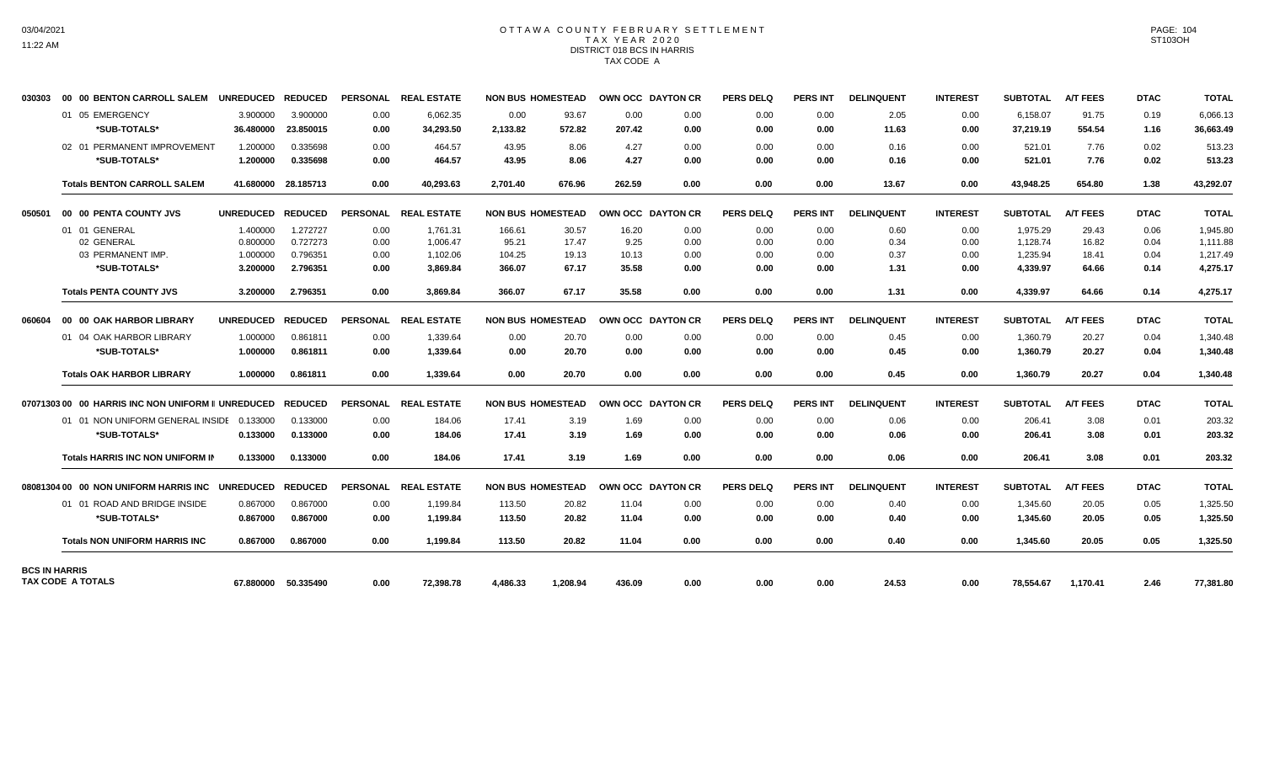## OTTAWA COUNTY FEBRUARY SETTLEMENT TAX YEAR 2020 DISTRICT 018 BCS IN HARRIS TAX CODE A

| 030303               | 00 00 BENTON CARROLL SALEM                        | <b>UNREDUCED</b> | <b>REDUCED</b>      |                 | PERSONAL REAL ESTATE |          | <b>NON BUS HOMESTEAD</b> |                   | OWN OCC DAYTON CR | <b>PERS DELQ</b> | <b>PERS INT</b> | <b>DELINQUENT</b> | <b>INTEREST</b> | <b>SUBTOTAL</b> | <b>A/T FEES</b> | <b>DTAC</b> | <b>TOTAL</b> |
|----------------------|---------------------------------------------------|------------------|---------------------|-----------------|----------------------|----------|--------------------------|-------------------|-------------------|------------------|-----------------|-------------------|-----------------|-----------------|-----------------|-------------|--------------|
|                      | 01 05 EMERGENCY                                   | 3.900000         | 3.900000            | 0.00            | 6.062.35             | 0.00     | 93.67                    | 0.00              | 0.00              | 0.00             | 0.00            | 2.05              | 0.00            | 6,158.07        | 91.75           | 0.19        | 6,066.13     |
|                      | *SUB-TOTALS*                                      | 36.480000        | 23.850015           | 0.00            | 34,293.50            | 2,133.82 | 572.82                   | 207.42            | 0.00              | 0.00             | 0.00            | 11.63             | 0.00            | 37,219.19       | 554.54          | 1.16        | 36,663.49    |
|                      | 02 01 PERMANENT IMPROVEMENT                       | 1.200000         | 0.335698            | 0.00            | 464.57               | 43.95    | 8.06                     | 4.27              | 0.00              | 0.00             | 0.00            | 0.16              | 0.00            | 521.01          | 7.76            | 0.02        | 513.23       |
|                      | *SUB-TOTALS*                                      | 1.200000         | 0.335698            | 0.00            | 464.57               | 43.95    | 8.06                     | 4.27              | 0.00              | 0.00             | 0.00            | 0.16              | 0.00            | 521.01          | 7.76            | 0.02        | 513.23       |
|                      | <b>Totals BENTON CARROLL SALEM</b>                |                  | 41.680000 28.185713 | 0.00            | 40,293.63            | 2.701.40 | 676.96                   | 262.59            | 0.00              | 0.00             | 0.00            | 13.67             | 0.00            | 43,948.25       | 654.80          | 1.38        | 43,292.07    |
| 050501               | 00 00 PENTA COUNTY JVS                            | <b>UNREDUCED</b> | <b>REDUCED</b>      |                 | PERSONAL REAL ESTATE |          | <b>NON BUS HOMESTEAD</b> |                   | OWN OCC DAYTON CR | <b>PERS DELQ</b> | <b>PERS INT</b> | <b>DELINQUENT</b> | <b>INTEREST</b> | <b>SUBTOTAL</b> | <b>A/T FEES</b> | <b>DTAC</b> | <b>TOTAL</b> |
|                      | 01 01 GENERAL                                     | 1.400000         | 1.272727            | 0.00            | 1,761.31             | 166.61   | 30.57                    | 16.20             | 0.00              | 0.00             | 0.00            | 0.60              | 0.00            | 1,975.29        | 29.43           | 0.06        | 1,945.80     |
|                      | 02 GENERAL                                        | 0.800000         | 0.727273            | 0.00            | 1,006.47             | 95.21    | 17.47                    | 9.25              | 0.00              | 0.00             | 0.00            | 0.34              | 0.00            | 1,128.74        | 16.82           | 0.04        | 1,111.88     |
|                      | 03 PERMANENT IMP.                                 | 1.000000         | 0.796351            | 0.00            | 1,102.06             | 104.25   | 19.13                    | 10.13             | 0.00              | 0.00             | 0.00            | 0.37              | 0.00            | 1,235.94        | 18.41           | 0.04        | 1,217.49     |
|                      | *SUB-TOTALS*                                      | 3.200000         | 2.796351            | 0.00            | 3,869.84             | 366.07   | 67.17                    | 35.58             | 0.00              | 0.00             | 0.00            | 1.31              | 0.00            | 4,339.97        | 64.66           | 0.14        | 4.275.17     |
|                      | <b>Totals PENTA COUNTY JVS</b>                    | 3.200000         | 2.796351            | 0.00            | 3,869.84             | 366.07   | 67.17                    | 35.58             | 0.00              | 0.00             | 0.00            | 1.31              | 0.00            | 4,339.97        | 64.66           | 0.14        | 4,275.17     |
| 060604               | 00 00 OAK HARBOR LIBRARY                          | <b>UNREDUCED</b> | <b>REDUCED</b>      | <b>PERSONAL</b> | <b>REAL ESTATE</b>   |          | <b>NON BUS HOMESTEAD</b> | OWN OCC DAYTON CR |                   | <b>PERS DELQ</b> | <b>PERS INT</b> | <b>DELINQUENT</b> | <b>INTEREST</b> | <b>SUBTOTAL</b> | <b>A/T FEES</b> | <b>DTAC</b> | <b>TOTAL</b> |
|                      | 01 04 OAK HARBOR LIBRARY                          | 1.000000         | 0.861811            | 0.00            | 1,339.64             | 0.00     | 20.70                    | 0.00              | 0.00              | 0.00             | 0.00            | 0.45              | 0.00            | 1,360.79        | 20.27           | 0.04        | 1,340.48     |
|                      | *SUB-TOTALS*                                      | 1.000000         | 0.861811            | 0.00            | 1,339.64             | 0.00     | 20.70                    | 0.00              | 0.00              | 0.00             | 0.00            | 0.45              | 0.00            | 1,360.79        | 20.27           | 0.04        | 1,340.48     |
|                      | <b>Totals OAK HARBOR LIBRARY</b>                  | 1.000000         | 0.861811            | 0.00            | 1.339.64             | 0.00     | 20.70                    | 0.00              | 0.00              | 0.00             | 0.00            | 0.45              | 0.00            | 1.360.79        | 20.27           | 0.04        | 1.340.48     |
|                      | 0707130300 00 HARRIS INC NON UNIFORM II UNREDUCED |                  | <b>REDUCED</b>      | <b>PERSONAL</b> | <b>REAL ESTATE</b>   |          | <b>NON BUS HOMESTEAD</b> |                   | OWN OCC DAYTON CR | <b>PERS DELO</b> | <b>PERS INT</b> | <b>DELINQUENT</b> | <b>INTEREST</b> | <b>SUBTOTAL</b> | <b>A/T FEES</b> | <b>DTAC</b> | <b>TOTAL</b> |
|                      | 01 01 NON UNIFORM GENERAL INSIDE 0.133000         |                  | 0.133000            | 0.00            | 184.06               | 17.41    | 3.19                     | 1.69              | 0.00              | 0.00             | 0.00            | 0.06              | 0.00            | 206.41          | 3.08            | 0.01        | 203.32       |
|                      | *SUB-TOTALS*                                      | 0.133000         | 0.133000            | 0.00            | 184.06               | 17.41    | 3.19                     | 1.69              | 0.00              | 0.00             | 0.00            | 0.06              | 0.00            | 206.41          | 3.08            | 0.01        | 203.32       |
|                      | <b>Totals HARRIS INC NON UNIFORM IN</b>           | 0.133000         | 0.133000            | 0.00            | 184.06               | 17.41    | 3.19                     | 1.69              | 0.00              | 0.00             | 0.00            | 0.06              | 0.00            | 206.41          | 3.08            | 0.01        | 203.32       |
|                      | 08081304 00 00 NON UNIFORM HARRIS INC UNREDUCED   |                  | <b>REDUCED</b>      | <b>PERSONAL</b> | <b>REAL ESTATE</b>   |          | <b>NON BUS HOMESTEAD</b> |                   | OWN OCC DAYTON CR | <b>PERS DELQ</b> | <b>PERS INT</b> | <b>DELINQUENT</b> | <b>INTEREST</b> | <b>SUBTOTAL</b> | <b>A/T FEES</b> | <b>DTAC</b> | <b>TOTAL</b> |
|                      | 01 01 ROAD AND BRIDGE INSIDE                      | 0.867000         | 0.867000            | 0.00            | 1,199.84             | 113.50   | 20.82                    | 11.04             | 0.00              | 0.00             | 0.00            | 0.40              | 0.00            | 1,345.60        | 20.05           | 0.05        | 1,325.50     |
|                      | *SUB-TOTALS*                                      | 0.867000         | 0.867000            | 0.00            | 1,199.84             | 113.50   | 20.82                    | 11.04             | 0.00              | 0.00             | 0.00            | 0.40              | 0.00            | 1,345.60        | 20.05           | 0.05        | 1,325.50     |
|                      | <b>Totals NON UNIFORM HARRIS INC</b>              | 0.867000         | 0.867000            | 0.00            | 1.199.84             | 113.50   | 20.82                    | 11.04             | 0.00              | 0.00             | 0.00            | 0.40              | 0.00            | 1.345.60        | 20.05           | 0.05        | 1,325.50     |
| <b>BCS IN HARRIS</b> | TAX CODE A TOTALS                                 | 67.880000        | 50.335490           | 0.00            | 72,398.78            | 4,486.33 | 1,208.94                 | 436.09            | 0.00              | 0.00             | 0.00            | 24.53             | 0.00            | 78,554.67       | 1,170.41        | 2.46        | 77,381.80    |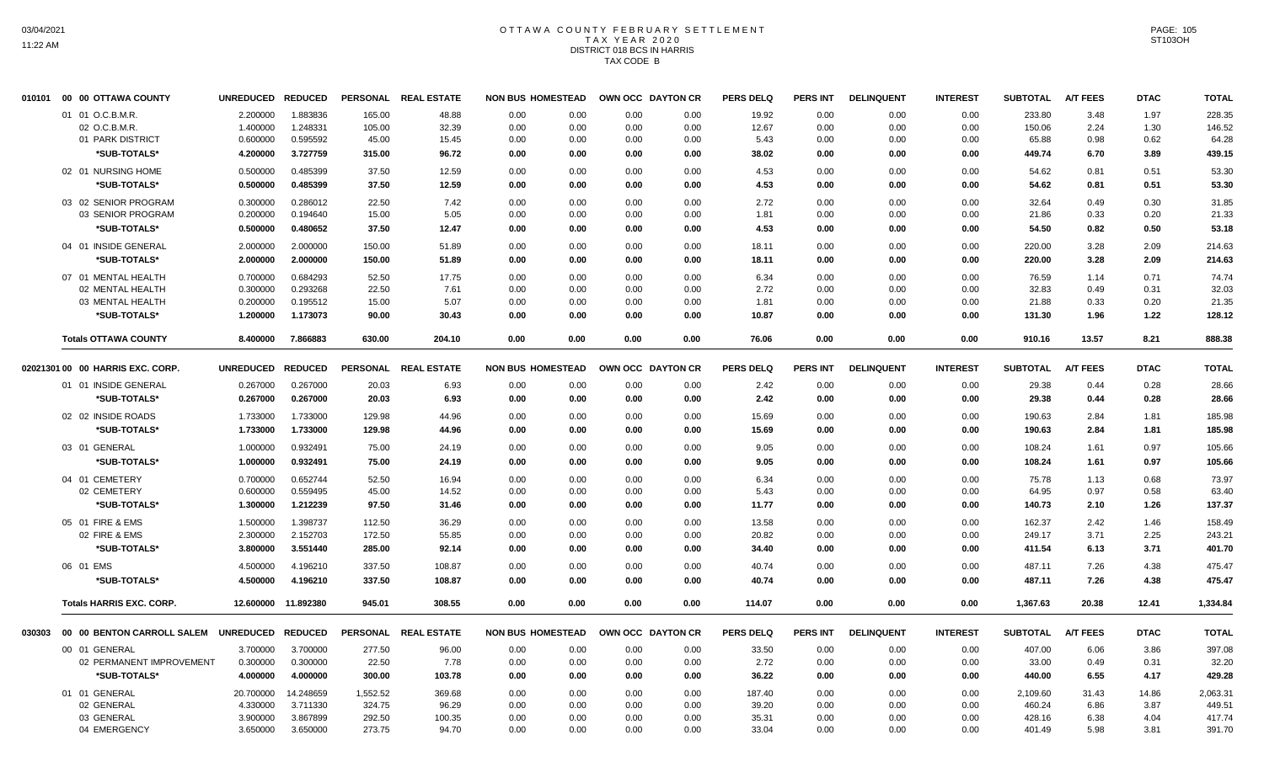# OTTAWA COUNTY FEBRUARY SETTLEMENT TAX YEAR 2020 DISTRICT 018 BCS IN HARRIS TAX CODE B

|        | 010101 00 00 OTTAWA COUNTY                | UNREDUCED REDUCED |                     |                 | PERSONAL REAL ESTATE | <b>NON BUS HOMESTEAD</b> |      | OWN OCC DAYTON CR |      | <b>PERS DELQ</b> | <b>PERS INT</b> | <b>DELINQUENT</b> | <b>INTEREST</b> | <b>SUBTOTAL</b> | <b>A/T FEES</b> | <b>DTAC</b> | <b>TOTAL</b> |
|--------|-------------------------------------------|-------------------|---------------------|-----------------|----------------------|--------------------------|------|-------------------|------|------------------|-----------------|-------------------|-----------------|-----------------|-----------------|-------------|--------------|
|        | 01 01 O.C.B.M.R.                          | 2.200000          | 1.883836            | 165.00          | 48.88                | 0.00                     | 0.00 | 0.00              | 0.00 | 19.92            | 0.00            | 0.00              | 0.00            | 233.80          | 3.48            | 1.97        | 228.35       |
|        | 02 O.C.B.M.R.                             | 1.400000          | 1.248331            | 105.00          | 32.39                | 0.00                     | 0.00 | 0.00              | 0.00 | 12.67            | 0.00            | 0.00              | 0.00            | 150.06          | 2.24            | 1.30        | 146.52       |
|        | 01 PARK DISTRICT                          | 0.600000          | 0.595592            | 45.00           | 15.45                | 0.00                     | 0.00 | 0.00              | 0.00 | 5.43             | 0.00            | 0.00              | 0.00            | 65.88           | 0.98            | 0.62        | 64.28        |
|        | *SUB-TOTALS*                              | 4.200000          | 3.727759            | 315.00          | 96.72                | 0.00                     | 0.00 | 0.00              | 0.00 | 38.02            | 0.00            | 0.00              | 0.00            | 449.74          | 6.70            | 3.89        | 439.15       |
|        | 02 01 NURSING HOME                        | 0.500000          | 0.485399            | 37.50           | 12.59                | 0.00                     | 0.00 | 0.00              | 0.00 | 4.53             | 0.00            | 0.00              | 0.00            | 54.62           | 0.81            | 0.51        | 53.30        |
|        | *SUB-TOTALS*                              | 0.500000          | 0.485399            | 37.50           | 12.59                | 0.00                     | 0.00 | 0.00              | 0.00 | 4.53             | 0.00            | 0.00              | 0.00            | 54.62           | 0.81            | 0.51        | 53.30        |
|        | 03 02 SENIOR PROGRAM                      | 0.300000          | 0.286012            | 22.50           | 7.42                 | 0.00                     | 0.00 | 0.00              | 0.00 | 2.72             | 0.00            | 0.00              | 0.00            | 32.64           | 0.49            | 0.30        | 31.85        |
|        | 03 SENIOR PROGRAM                         | 0.200000          | 0.194640            | 15.00           | 5.05                 | 0.00                     | 0.00 | 0.00              | 0.00 | 1.81             | 0.00            | 0.00              | 0.00            | 21.86           | 0.33            | 0.20        | 21.33        |
|        | *SUB-TOTALS*                              | 0.500000          | 0.480652            | 37.50           | 12.47                | 0.00                     | 0.00 | 0.00              | 0.00 | 4.53             | 0.00            | 0.00              | 0.00            | 54.50           | 0.82            | 0.50        | 53.18        |
|        | 04 01 INSIDE GENERAL                      | 2.000000          | 2.000000            | 150.00          | 51.89                | 0.00                     | 0.00 | 0.00              | 0.00 | 18.11            | 0.00            | 0.00              | 0.00            | 220.00          | 3.28            | 2.09        | 214.63       |
|        | *SUB-TOTALS*                              | 2.000000          | 2.000000            | 150.00          | 51.89                | 0.00                     | 0.00 | 0.00              | 0.00 | 18.11            | 0.00            | 0.00              | 0.00            | 220.00          | 3.28            | 2.09        | 214.63       |
|        | 07 01 MENTAL HEALTH                       | 0.700000          | 0.684293            | 52.50           | 17.75                | 0.00                     | 0.00 | 0.00              | 0.00 | 6.34             | 0.00            | 0.00              | 0.00            | 76.59           | 1.14            | 0.71        | 74.74        |
|        | 02 MENTAL HEALTH                          | 0.300000          | 0.293268            | 22.50           | 7.61                 | 0.00                     | 0.00 | 0.00              | 0.00 | 2.72             | 0.00            | 0.00              | 0.00            | 32.83           | 0.49            | 0.31        | 32.03        |
|        | 03 MENTAL HEALTH                          | 0.200000          | 0.195512            | 15.00           | 5.07                 | 0.00                     | 0.00 | 0.00              | 0.00 | 1.81             | 0.00            | 0.00              | 0.00            | 21.88           | 0.33            | 0.20        | 21.35        |
|        | *SUB-TOTALS*                              | 1.200000          | 1.173073            | 90.00           | 30.43                | 0.00                     | 0.00 | 0.00              | 0.00 | 10.87            | 0.00            | 0.00              | 0.00            | 131.30          | 1.96            | 1.22        | 128.12       |
|        | <b>Totals OTTAWA COUNTY</b>               | 8.400000          | 7.866883            | 630.00          | 204.10               | 0.00                     | 0.00 | 0.00              | 0.00 | 76.06            | 0.00            | 0.00              | 0.00            | 910.16          | 13.57           | 8.21        | 888.38       |
|        |                                           |                   |                     |                 |                      |                          |      |                   |      |                  |                 |                   |                 |                 |                 |             |              |
|        | 02021301 00 00 HARRIS EXC. CORP.          | <b>UNREDUCED</b>  | <b>REDUCED</b>      | <b>PERSONAL</b> | <b>REAL ESTATE</b>   | <b>NON BUS HOMESTEAD</b> |      | OWN OCC DAYTON CR |      | <b>PERS DELQ</b> | PERS INT        | <b>DELINQUENT</b> | <b>INTEREST</b> | <b>SUBTOTAL</b> | <b>A/T FEES</b> | <b>DTAC</b> | <b>TOTAL</b> |
|        | 01 01 INSIDE GENERAL                      | 0.267000          | 0.267000            | 20.03           | 6.93                 | 0.00                     | 0.00 | 0.00              | 0.00 | 2.42             | 0.00            | 0.00              | 0.00            | 29.38           | 0.44            | 0.28        | 28.66        |
|        | *SUB-TOTALS*                              | 0.267000          | 0.267000            | 20.03           | 6.93                 | 0.00                     | 0.00 | 0.00              | 0.00 | 2.42             | 0.00            | 0.00              | 0.00            | 29.38           | 0.44            | 0.28        | 28.66        |
|        | 02 02 INSIDE ROADS                        | 1.733000          | 1.733000            | 129.98          | 44.96                | 0.00                     | 0.00 | 0.00              | 0.00 | 15.69            | 0.00            | 0.00              | 0.00            | 190.63          | 2.84            | 1.81        | 185.98       |
|        | *SUB-TOTALS*                              | 1.733000          | 1.733000            | 129.98          | 44.96                | 0.00                     | 0.00 | 0.00              | 0.00 | 15.69            | 0.00            | 0.00              | 0.00            | 190.63          | 2.84            | 1.81        | 185.98       |
|        | 03 01 GENERAL                             | 1.000000          | 0.932491            | 75.00           | 24.19                | 0.00                     | 0.00 | 0.00              | 0.00 | 9.05             | 0.00            | 0.00              | 0.00            | 108.24          | 1.61            | 0.97        | 105.66       |
|        | *SUB-TOTALS*                              | 1.000000          | 0.932491            | 75.00           | 24.19                | 0.00                     | 0.00 | 0.00              | 0.00 | 9.05             | 0.00            | 0.00              | 0.00            | 108.24          | 1.61            | 0.97        | 105.66       |
|        | 04 01 CEMETERY                            | 0.700000          | 0.652744            | 52.50           | 16.94                | 0.00                     | 0.00 | 0.00              | 0.00 | 6.34             | 0.00            | 0.00              | 0.00            | 75.78           | 1.13            | 0.68        | 73.97        |
|        | 02 CEMETERY                               | 0.600000          | 0.559495            | 45.00           | 14.52                | 0.00                     | 0.00 | 0.00              | 0.00 | 5.43             | 0.00            | 0.00              | 0.00            | 64.95           | 0.97            | 0.58        | 63.40        |
|        | *SUB-TOTALS*                              | 1.300000          | 1.212239            | 97.50           | 31.46                | 0.00                     | 0.00 | 0.00              | 0.00 | 11.77            | 0.00            | 0.00              | 0.00            | 140.73          | 2.10            | 1.26        | 137.37       |
|        | 05 01 FIRE & EMS                          | 1.500000          | 1.398737            | 112.50          | 36.29                | 0.00                     | 0.00 | 0.00              | 0.00 | 13.58            | 0.00            | 0.00              | 0.00            | 162.37          | 2.42            | 1.46        | 158.49       |
|        | 02 FIRE & EMS                             | 2.300000          | 2.152703            | 172.50          | 55.85                | 0.00                     | 0.00 | 0.00              | 0.00 | 20.82            | 0.00            | 0.00              | 0.00            | 249.17          | 3.71            | 2.25        | 243.21       |
|        | *SUB-TOTALS*                              | 3.800000          | 3.551440            | 285.00          | 92.14                | 0.00                     | 0.00 | 0.00              | 0.00 | 34.40            | 0.00            | 0.00              | 0.00            | 411.54          | 6.13            | 3.71        | 401.70       |
|        | 06 01 EMS                                 | 4.500000          | 4.196210            | 337.50          | 108.87               | 0.00                     | 0.00 | 0.00              | 0.00 | 40.74            | 0.00            | 0.00              | 0.00            | 487.11          | 7.26            | 4.38        | 475.47       |
|        | *SUB-TOTALS*                              | 4.500000          | 4.196210            | 337.50          | 108.87               | 0.00                     | 0.00 | 0.00              | 0.00 | 40.74            | 0.00            | 0.00              | 0.00            | 487.11          | 7.26            | 4.38        | 475.47       |
|        | <b>Totals HARRIS EXC. CORP.</b>           |                   | 12.600000 11.892380 | 945.01          | 308.55               | 0.00                     | 0.00 | 0.00              | 0.00 | 114.07           | 0.00            | 0.00              | 0.00            | 1,367.63        | 20.38           | 12.41       | 1,334.84     |
| 030303 | 00 00 BENTON CARROLL SALEM                | UNREDUCED REDUCED |                     |                 | PERSONAL REAL ESTATE | <b>NON BUS HOMESTEAD</b> |      | OWN OCC DAYTON CR |      | <b>PERS DELQ</b> | PERS INT        | <b>DELINQUENT</b> | <b>INTEREST</b> | <b>SUBTOTAL</b> | <b>A/T FEES</b> | <b>DTAC</b> | <b>TOTAL</b> |
|        |                                           |                   |                     |                 |                      |                          |      |                   |      |                  |                 |                   |                 |                 |                 |             |              |
|        | 00 01 GENERAL<br>02 PERMANENT IMPROVEMENT | 3.700000          | 3.700000            | 277.50          | 96.00                | 0.00                     | 0.00 | 0.00              | 0.00 | 33.50            | 0.00            | 0.00              | 0.00            | 407.00          | 6.06<br>0.49    | 3.86        | 397.08       |
|        |                                           | 0.300000          | 0.300000            | 22.50           | 7.78                 | 0.00                     | 0.00 | 0.00              | 0.00 | 2.72             | 0.00            | 0.00              | 0.00            | 33.00           |                 | 0.31        | 32.20        |
|        | *SUB-TOTALS*                              | 4.000000          | 4.000000            | 300.00          | 103.78               | 0.00                     | 0.00 | 0.00              | 0.00 | 36.22            | 0.00            | 0.00              | 0.00            | 440.00          | 6.55            | 4.17        | 429.28       |
|        | 01 01 GENERAL                             | 20.700000         | 14.248659           | 1,552.52        | 369.68               | 0.00                     | 0.00 | 0.00              | 0.00 | 187.40           | 0.00            | 0.00              | 0.00            | 2,109.60        | 31.43           | 14.86       | 2,063.31     |
|        | 02 GENERAL                                | 4.330000          | 3.711330            | 324.75          | 96.29                | 0.00                     | 0.00 | 0.00              | 0.00 | 39.20            | 0.00            | 0.00              | 0.00            | 460.24          | 6.86            | 3.87        | 449.51       |
|        | 03 GENERAL                                | 3.900000          | 3.867899            | 292.50          | 100.35               | 0.00                     | 0.00 | 0.00              | 0.00 | 35.31            | 0.00            | 0.00              | 0.00            | 428.16          | 6.38            | 4.04        | 417.74       |
|        | 04 EMERGENCY                              | 3.650000          | 3.650000            | 273.75          | 94.70                | 0.00                     | 0.00 | 0.00              | 0.00 | 33.04            | 0.00            | 0.00              | 0.00            | 401.49          | 5.98            | 3.81        | 391.70       |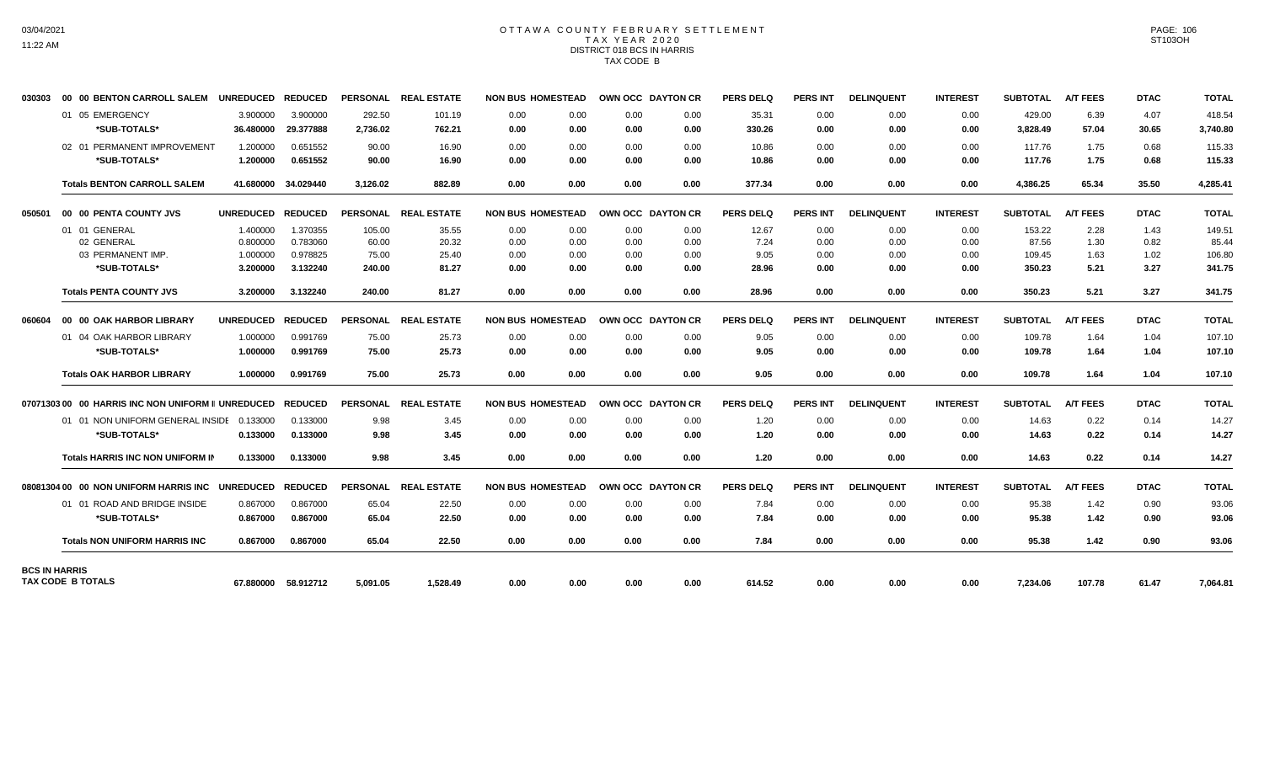# OTTAWA COUNTY FEBRUARY SETTLEMENT TAX YEAR 2020 DISTRICT 018 BCS IN HARRIS TAX CODE B

| 030303               | 00 00 BENTON CARROLL SALEM                        | <b>UNREDUCED</b> | <b>REDUCED</b>      |                 | PERSONAL REAL ESTATE | <b>NON BUS HOMESTEAD</b> |      | OWN OCC DAYTON CR |      | <b>PERS DELQ</b> | <b>PERS INT</b> | <b>DELINQUENT</b> | <b>INTEREST</b> | <b>SUBTOTAL</b> | <b>A/T FEES</b> | <b>DTAC</b> | <b>TOTAL</b> |
|----------------------|---------------------------------------------------|------------------|---------------------|-----------------|----------------------|--------------------------|------|-------------------|------|------------------|-----------------|-------------------|-----------------|-----------------|-----------------|-------------|--------------|
|                      | 01 05 EMERGENCY                                   | 3.900000         | 3.900000            | 292.50          | 101.19               | 0.00                     | 0.00 | 0.00              | 0.00 | 35.31            | 0.00            | 0.00              | 0.00            | 429.00          | 6.39            | 4.07        | 418.54       |
|                      | *SUB-TOTALS*                                      | 36.480000        | 29.377888           | 2,736.02        | 762.21               | 0.00                     | 0.00 | 0.00              | 0.00 | 330.26           | 0.00            | 0.00              | 0.00            | 3,828.49        | 57.04           | 30.65       | 3,740.80     |
|                      | 02 01 PERMANENT IMPROVEMENT                       | 1.200000         | 0.651552            | 90.00           | 16.90                | 0.00                     | 0.00 | 0.00              | 0.00 | 10.86            | 0.00            | 0.00              | 0.00            | 117.76          | 1.75            | 0.68        | 115.33       |
|                      | *SUB-TOTALS*                                      | 1.200000         | 0.651552            | 90.00           | 16.90                | 0.00                     | 0.00 | 0.00              | 0.00 | 10.86            | 0.00            | 0.00              | 0.00            | 117.76          | 1.75            | 0.68        | 115.33       |
|                      | <b>Totals BENTON CARROLL SALEM</b>                | 41.680000        | 34.029440           | 3,126.02        | 882.89               | 0.00                     | 0.00 | 0.00              | 0.00 | 377.34           | 0.00            | 0.00              | 0.00            | 4,386.25        | 65.34           | 35.50       | 4,285.41     |
| 050501               | 00 00 PENTA COUNTY JVS                            | <b>UNREDUCED</b> | <b>REDUCED</b>      |                 | PERSONAL REAL ESTATE | <b>NON BUS HOMESTEAD</b> |      | OWN OCC DAYTON CR |      | <b>PERS DELQ</b> | PERS INT        | <b>DELINQUENT</b> | <b>INTEREST</b> | <b>SUBTOTAL</b> | <b>A/T FEES</b> | <b>DTAC</b> | <b>TOTAL</b> |
|                      | 01 01 GENERAL                                     | 1.400000         | 1.370355            | 105.00          | 35.55                | 0.00                     | 0.00 | 0.00              | 0.00 | 12.67            | 0.00            | 0.00              | 0.00            | 153.22          | 2.28            | 1.43        | 149.51       |
|                      | 02 GENERAL                                        | 0.800000         | 0.783060            | 60.00           | 20.32                | 0.00                     | 0.00 | 0.00              | 0.00 | 7.24             | 0.00            | 0.00              | 0.00            | 87.56           | 1.30            | 0.82        | 85.44        |
|                      | 03 PERMANENT IMP.                                 | 1.000000         | 0.978825            | 75.00           | 25.40                | 0.00                     | 0.00 | 0.00              | 0.00 | 9.05             | 0.00            | 0.00              | 0.00            | 109.45          | 1.63            | 1.02        | 106.80       |
|                      | *SUB-TOTALS*                                      | 3.200000         | 3.132240            | 240.00          | 81.27                | 0.00                     | 0.00 | 0.00              | 0.00 | 28.96            | 0.00            | 0.00              | 0.00            | 350.23          | 5.21            | 3.27        | 341.75       |
|                      | <b>Totals PENTA COUNTY JVS</b>                    | 3.200000         | 3.132240            | 240.00          | 81.27                | 0.00                     | 0.00 | 0.00              | 0.00 | 28.96            | 0.00            | 0.00              | 0.00            | 350.23          | 5.21            | 3.27        | 341.75       |
| 060604               | 00 00 OAK HARBOR LIBRARY                          | <b>UNREDUCED</b> | <b>REDUCED</b>      | <b>PERSONAL</b> | <b>REAL ESTATE</b>   | <b>NON BUS HOMESTEAD</b> |      | OWN OCC DAYTON CR |      | <b>PERS DELQ</b> | <b>PERS INT</b> | <b>DELINQUENT</b> | <b>INTEREST</b> | <b>SUBTOTAL</b> | <b>A/T FEES</b> | <b>DTAC</b> | <b>TOTAL</b> |
|                      | 01 04 OAK HARBOR LIBRARY                          | 1.000000         | 0.991769            | 75.00           | 25.73                | 0.00                     | 0.00 | 0.00              | 0.00 | 9.05             | 0.00            | 0.00              | 0.00            | 109.78          | 1.64            | 1.04        | 107.10       |
|                      | *SUB-TOTALS*                                      | 1.000000         | 0.991769            | 75.00           | 25.73                | 0.00                     | 0.00 | 0.00              | 0.00 | 9.05             | 0.00            | 0.00              | 0.00            | 109.78          | 1.64            | 1.04        | 107.10       |
|                      | <b>Totals OAK HARBOR LIBRARY</b>                  | 1.000000         | 0.991769            | 75.00           | 25.73                | 0.00                     | 0.00 | 0.00              | 0.00 | 9.05             | 0.00            | 0.00              | 0.00            | 109.78          | 1.64            | 1.04        | 107.10       |
|                      | 0707130300 00 HARRIS INC NON UNIFORM II UNREDUCED |                  | <b>REDUCED</b>      | <b>PERSONAL</b> | <b>REAL ESTATE</b>   | <b>NON BUS HOMESTEAD</b> |      | OWN OCC DAYTON CR |      | <b>PERS DELQ</b> | <b>PERS INT</b> | <b>DELINQUENT</b> | <b>INTEREST</b> | <b>SUBTOTAL</b> | <b>A/T FEES</b> | <b>DTAC</b> | <b>TOTAL</b> |
|                      | 01 01 NON UNIFORM GENERAL INSIDE 0.133000         |                  | 0.133000            | 9.98            | 3.45                 | 0.00                     | 0.00 | 0.00              | 0.00 | 1.20             | 0.00            | 0.00              | 0.00            | 14.63           | 0.22            | 0.14        | 14.27        |
|                      | *SUB-TOTALS*                                      | 0.133000         | 0.133000            | 9.98            | 3.45                 | 0.00                     | 0.00 | 0.00              | 0.00 | 1.20             | 0.00            | 0.00              | 0.00            | 14.63           | 0.22            | 0.14        | 14.27        |
|                      | <b>Totals HARRIS INC NON UNIFORM IN</b>           | 0.133000         | 0.133000            | 9.98            | 3.45                 | 0.00                     | 0.00 | 0.00              | 0.00 | 1.20             | 0.00            | 0.00              | 0.00            | 14.63           | 0.22            | 0.14        | 14.27        |
|                      | 08081304 00 00 NON UNIFORM HARRIS INC UNREDUCED   |                  | <b>REDUCED</b>      | <b>PERSONAL</b> | <b>REAL ESTATE</b>   | <b>NON BUS HOMESTEAD</b> |      | OWN OCC DAYTON CR |      | <b>PERS DELO</b> | <b>PERS INT</b> | <b>DELINQUENT</b> | <b>INTEREST</b> | <b>SUBTOTAL</b> | <b>A/T FEES</b> | <b>DTAC</b> | <b>TOTAL</b> |
|                      | 01 01 ROAD AND BRIDGE INSIDE                      | 0.867000         | 0.867000            | 65.04           | 22.50                | 0.00                     | 0.00 | 0.00              | 0.00 | 7.84             | 0.00            | 0.00              | 0.00            | 95.38           | 1.42            | 0.90        | 93.06        |
|                      | *SUB-TOTALS*                                      | 0.867000         | 0.867000            | 65.04           | 22.50                | 0.00                     | 0.00 | 0.00              | 0.00 | 7.84             | 0.00            | 0.00              | 0.00            | 95.38           | 1.42            | 0.90        | 93.06        |
|                      | <b>Totals NON UNIFORM HARRIS INC</b>              | 0.867000         | 0.867000            | 65.04           | 22.50                | 0.00                     | 0.00 | 0.00              | 0.00 | 7.84             | 0.00            | 0.00              | 0.00            | 95.38           | 1.42            | 0.90        | 93.06        |
| <b>BCS IN HARRIS</b> | <b>TAX CODE B TOTALS</b>                          |                  | 67.880000 58.912712 | 5,091.05        | 1,528.49             | 0.00                     | 0.00 | 0.00              | 0.00 | 614.52           | 0.00            | 0.00              | 0.00            | 7,234.06        | 107.78          | 61.47       | 7,064.81     |
|                      |                                                   |                  |                     |                 |                      |                          |      |                   |      |                  |                 |                   |                 |                 |                 |             |              |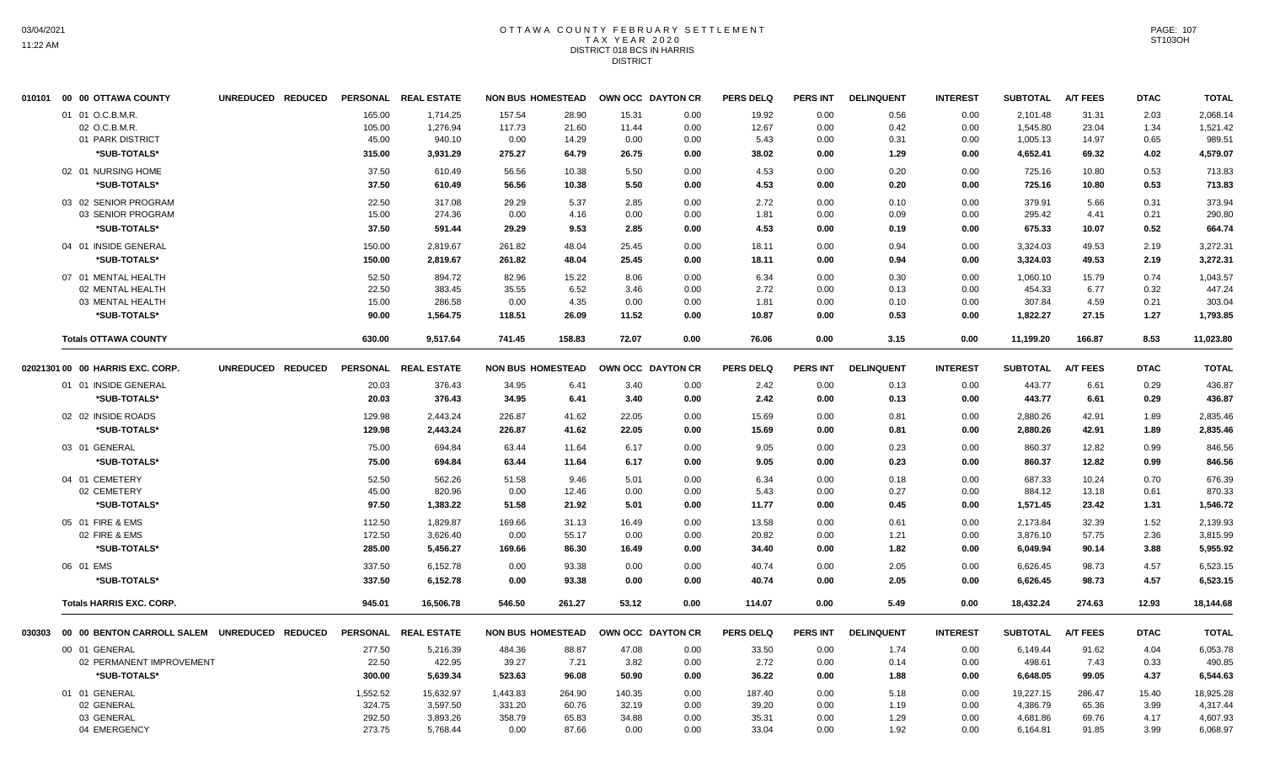### OTTAWA COUNTY FEBRUARY SETTLEMENT TAX YEAR 2020 DISTRICT 018 BCS IN HARRIS DISTRICT

| 010101 00 00 OTTAWA COUNTY       |                   |          | UNREDUCED REDUCED PERSONAL REALESTATE |          | <b>NON BUS HOMESTEAD</b> | OWN OCC DAYTON CR |      | <b>PERS DELQ</b> | <b>PERS INT</b> | <b>DELINQUENT</b> | <b>INTEREST</b> | <b>SUBTOTAL</b> | <b>A/T FEES</b> | <b>DTAC</b>  | <b>TOTAL</b> |
|----------------------------------|-------------------|----------|---------------------------------------|----------|--------------------------|-------------------|------|------------------|-----------------|-------------------|-----------------|-----------------|-----------------|--------------|--------------|
| 01 01 O.C.B.M.R.                 |                   | 165.00   | 1,714.25                              | 157.54   | 28.90                    | 15.31             | 0.00 | 19.92            | 0.00            | 0.56              | 0.00            | 2,101.48        | 31.31           | 2.03         | 2,068.14     |
| 02 O.C.B.M.R.                    |                   | 105.00   | 1,276.94                              | 117.73   | 21.60                    | 11.44             | 0.00 | 12.67            | 0.00            | 0.42              | 0.00            | 1,545.80        | 23.04           | 1.34         | 1,521.42     |
| 01 PARK DISTRICT                 |                   | 45.00    | 940.10                                | 0.00     | 14.29                    | 0.00              | 0.00 | 5.43             | 0.00            | 0.31              | 0.00            | 1,005.13        | 14.97           | 0.65         | 989.51       |
| *SUB-TOTALS*                     |                   | 315.00   | 3,931.29                              | 275.27   | 64.79                    | 26.75             | 0.00 | 38.02            | 0.00            | 1.29              | 0.00            | 4,652.41        | 69.32           | 4.02         | 4,579.07     |
| 02 01 NURSING HOME               |                   | 37.50    | 610.49                                | 56.56    | 10.38                    | 5.50              | 0.00 | 4.53             | 0.00            | 0.20              | 0.00            | 725.16          | 10.80           | 0.53         | 713.83       |
| *SUB-TOTALS*                     |                   | 37.50    | 610.49                                | 56.56    | 10.38                    | 5.50              | 0.00 | 4.53             | 0.00            | 0.20              | 0.00            | 725.16          | 10.80           | 0.53         | 713.83       |
| 03 02 SENIOR PROGRAM             |                   | 22.50    | 317.08                                | 29.29    | 5.37                     | 2.85              | 0.00 | 2.72             | 0.00            | 0.10              | 0.00            | 379.91          | 5.66            | 0.31         | 373.94       |
| 03 SENIOR PROGRAM                |                   | 15.00    | 274.36                                | 0.00     | 4.16                     | 0.00              | 0.00 | 1.81             | 0.00            | 0.09              | 0.00            | 295.42          | 4.41            | 0.21         | 290.80       |
| *SUB-TOTALS*                     |                   | 37.50    | 591.44                                | 29.29    | 9.53                     | 2.85              | 0.00 | 4.53             | 0.00            | 0.19              | 0.00            | 675.33          | 10.07           | 0.52         | 664.74       |
| 04 01 INSIDE GENERAL             |                   | 150.00   | 2.819.67                              | 261.82   | 48.04                    | 25.45             | 0.00 | 18.11            | 0.00            | 0.94              | 0.00            | 3.324.03        | 49.53           | 2.19         | 3.272.31     |
| *SUB-TOTALS*                     |                   | 150.00   | 2,819.67                              | 261.82   | 48.04                    | 25.45             | 0.00 | 18.11            | 0.00            | 0.94              | 0.00            | 3,324.03        | 49.53           | 2.19         | 3,272.31     |
| 07 01 MENTAL HEALTH              |                   | 52.50    | 894.72                                | 82.96    | 15.22                    | 8.06              | 0.00 | 6.34             | 0.00            | 0.30              | 0.00            | 1,060.10        | 15.79           | 0.74         | 1,043.57     |
| 02 MENTAL HEALTH                 |                   | 22.50    | 383.45                                | 35.55    | 6.52                     | 3.46              | 0.00 | 2.72             | 0.00            | 0.13              | 0.00            | 454.33          | 6.77            | 0.32         | 447.24       |
| 03 MENTAL HEALTH                 |                   | 15.00    | 286.58                                | 0.00     | 4.35                     | 0.00              | 0.00 | 1.81             | 0.00            | 0.10              | 0.00            | 307.84          | 4.59            | 0.21         | 303.04       |
| *SUB-TOTALS*                     |                   | 90.00    | 1,564.75                              | 118.51   | 26.09                    | 11.52             | 0.00 | 10.87            | 0.00            | 0.53              | 0.00            | 1,822.27        | 27.15           | 1.27         | 1,793.85     |
| <b>Totals OTTAWA COUNTY</b>      |                   | 630.00   | 9,517.64                              | 741.45   | 158.83                   | 72.07             | 0.00 | 76.06            | 0.00            | 3.15              | 0.00            | 11,199.20       | 166.87          | 8.53         | 11,023.80    |
| 02021301 00 00 HARRIS EXC. CORP. | UNREDUCED REDUCED |          | PERSONAL REAL ESTATE                  |          | <b>NON BUS HOMESTEAD</b> | OWN OCC DAYTON CR |      | <b>PERS DELQ</b> | <b>PERS INT</b> | <b>DELINQUENT</b> | <b>INTEREST</b> | <b>SUBTOTAL</b> | <b>A/T FEES</b> | <b>DTAC</b>  | <b>TOTAL</b> |
| 01 01 INSIDE GENERAL             |                   | 20.03    | 376.43                                | 34.95    | 6.41                     | 3.40              | 0.00 | 2.42             | 0.00            | 0.13              | 0.00            | 443.77          | 6.61            | 0.29         | 436.87       |
| *SUB-TOTALS*                     |                   | 20.03    | 376.43                                | 34.95    | 6.41                     | 3.40              | 0.00 | 2.42             | 0.00            | 0.13              | 0.00            | 443.77          | 6.61            | 0.29         | 436.87       |
| 02 02 INSIDE ROADS               |                   | 129.98   | 2,443.24                              | 226.87   | 41.62                    | 22.05             | 0.00 | 15.69            | 0.00            | 0.81              | 0.00            | 2,880.26        | 42.91           | 1.89         | 2,835.46     |
| *SUB-TOTALS*                     |                   | 129.98   | 2,443.24                              | 226.87   | 41.62                    | 22.05             | 0.00 | 15.69            | 0.00            | 0.81              | 0.00            | 2,880.26        | 42.91           | 1.89         | 2,835.46     |
| 03 01 GENERAL                    |                   | 75.00    | 694.84                                | 63.44    | 11.64                    | 6.17              | 0.00 | 9.05             | 0.00            | 0.23              | 0.00            | 860.37          | 12.82           | 0.99         | 846.56       |
| *SUB-TOTALS*                     |                   | 75.00    | 694.84                                | 63.44    | 11.64                    | 6.17              | 0.00 | 9.05             | 0.00            | 0.23              | 0.00            | 860.37          | 12.82           | 0.99         | 846.56       |
| 04 01 CEMETERY                   |                   | 52.50    | 562.26                                | 51.58    | 9.46                     | 5.01              | 0.00 | 6.34             | 0.00            | 0.18              | 0.00            | 687.33          | 10.24           | 0.70         | 676.39       |
| 02 CEMETERY                      |                   | 45.00    | 820.96                                | 0.00     | 12.46                    | 0.00              | 0.00 | 5.43             | 0.00            | 0.27              | 0.00            | 884.12          | 13.18           | 0.61         | 870.33       |
| *SUB-TOTALS*                     |                   | 97.50    | 1,383.22                              | 51.58    | 21.92                    | 5.01              | 0.00 | 11.77            | 0.00            | 0.45              | 0.00            | 1,571.45        | 23.42           | 1.31         | 1,546.72     |
| 05 01 FIRE & EMS                 |                   | 112.50   | 1,829.87                              | 169.66   |                          | 16.49             | 0.00 | 13.58            | 0.00            | 0.61              | 0.00            | 2,173.84        | 32.39           |              | 2,139.93     |
| 02 FIRE & EMS                    |                   | 172.50   | 3,626.40                              | 0.00     | 31.13<br>55.17           | 0.00              | 0.00 | 20.82            | 0.00            | 1.21              | 0.00            | 3,876.10        | 57.75           | 1.52<br>2.36 | 3,815.99     |
| *SUB-TOTALS*                     |                   | 285.00   | 5,456.27                              | 169.66   | 86.30                    | 16.49             | 0.00 | 34.40            | 0.00            | 1.82              | 0.00            | 6,049.94        | 90.14           | 3.88         | 5,955.92     |
| 06 01 EMS                        |                   | 337.50   | 6,152.78                              | 0.00     | 93.38                    | 0.00              | 0.00 | 40.74            | 0.00            | 2.05              | 0.00            | 6,626.45        | 98.73           | 4.57         | 6,523.15     |
| *SUB-TOTALS*                     |                   | 337.50   | 6,152.78                              | 0.00     | 93.38                    | 0.00              | 0.00 | 40.74            | 0.00            | 2.05              | 0.00            | 6,626.45        | 98.73           | 4.57         | 6,523.15     |
|                                  |                   |          |                                       |          |                          |                   |      |                  |                 |                   |                 |                 |                 |              |              |
| <b>Totals HARRIS EXC. CORP.</b>  |                   | 945.01   | 16,506.78                             | 546.50   | 261.27                   | 53.12             | 0.00 | 114.07           | 0.00            | 5.49              | 0.00            | 18,432.24       | 274.63          | 12.93        | 18,144.68    |
|                                  |                   |          | PERSONAL REAL ESTATE                  |          | <b>NON BUS HOMESTEAD</b> | OWN OCC DAYTON CR |      | <b>PERS DELQ</b> | PERS INT        | <b>DELINQUENT</b> | <b>INTEREST</b> | <b>SUBTOTAL</b> | <b>A/T FEES</b> | <b>DTAC</b>  | <b>TOTAL</b> |
| 00 01 GENERAL                    |                   | 277.50   | 5,216.39                              | 484.36   | 88.87                    | 47.08             | 0.00 | 33.50            | 0.00            | 1.74              | 0.00            | 6,149.44        | 91.62           | 4.04         | 6,053.78     |
| 02 PERMANENT IMPROVEMENT         |                   | 22.50    | 422.95                                | 39.27    | 7.21                     | 3.82              | 0.00 | 2.72             | 0.00            | 0.14              | 0.00            | 498.61          | 7.43            | 0.33         | 490.85       |
| *SUB-TOTALS*                     |                   | 300.00   | 5,639.34                              | 523.63   | 96.08                    | 50.90             | 0.00 | 36.22            | 0.00            | 1.88              | 0.00            | 6,648.05        | 99.05           | 4.37         | 6,544.63     |
| 01 01 GENERAL                    |                   | 1,552.52 | 15,632.97                             | 1,443.83 | 264.90                   | 140.35            | 0.00 | 187.40           | 0.00            | 5.18              | 0.00            | 19,227.15       | 286.47          | 15.40        | 18,925.28    |
| 02 GENERAL                       |                   | 324.75   | 3,597.50                              | 331.20   | 60.76                    | 32.19             | 0.00 | 39.20            | 0.00            | 1.19              | 0.00            | 4,386.79        | 65.36           | 3.99         | 4,317.44     |
| 03 GENERAL                       |                   | 292.50   | 3,893.26                              | 358.79   | 65.83                    | 34.88             | 0.00 | 35.31            | 0.00            | 1.29              | 0.00            | 4,681.86        | 69.76           | 4.17         | 4,607.93     |
| 04 EMERGENCY                     |                   | 273.75   | 5,768.44                              | 0.00     | 87.66                    | 0.00              | 0.00 | 33.04            | 0.00            | 1.92              | 0.00            | 6,164.81        | 91.85           | 3.99         | 6,068.97     |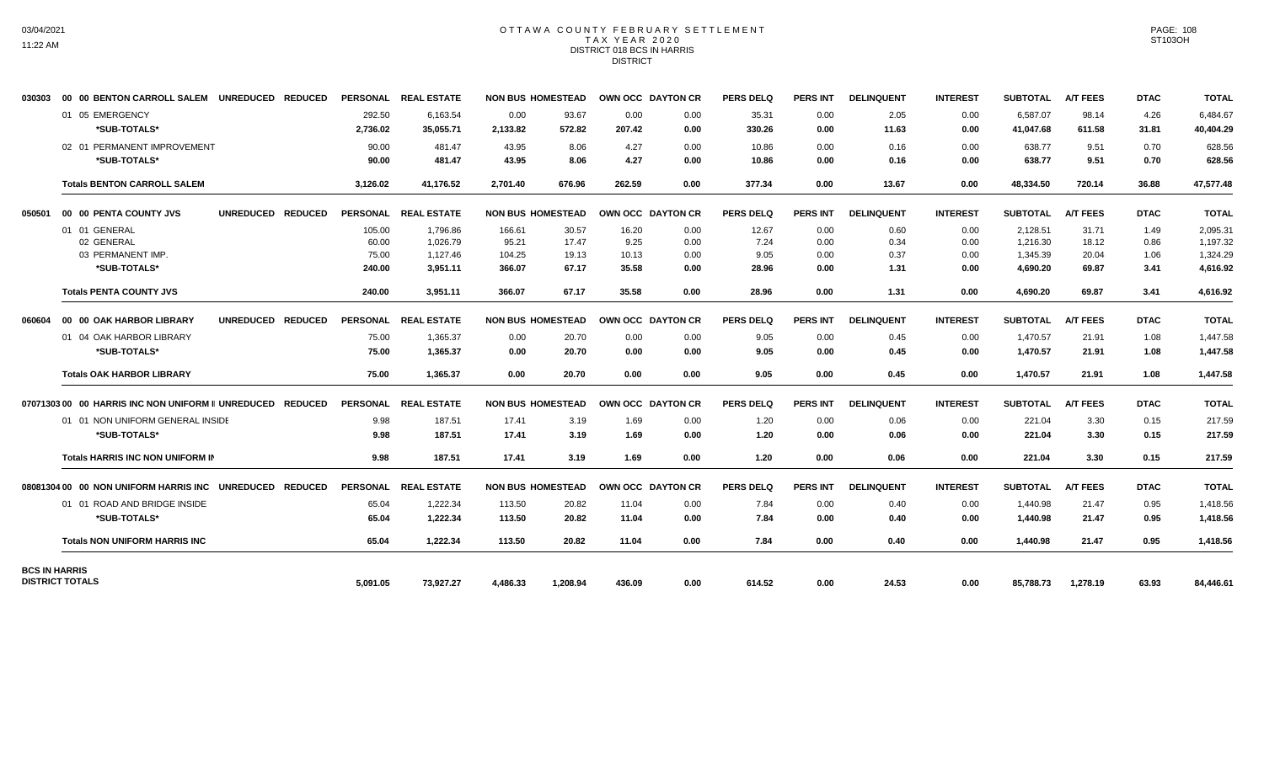## OTTAWA COUNTY FEBRUARY SETTLEMENT TAX YEAR 2020 DISTRICT 018 BCS IN HARRIS DISTRICT

| 030303               | 00 00 BENTON CARROLL SALEM UNREDUCED REDUCED                    |          | PERSONAL REAL ESTATE | <b>NON BUS HOMESTEAD</b> |          | OWN OCC DAYTON CR |      | <b>PERS DELQ</b> | <b>PERS INT</b> | <b>DELINQUENT</b> | <b>INTEREST</b> | <b>SUBTOTAL</b> | <b>A/T FEES</b> | <b>DTAC</b> | <b>TOTAL</b> |
|----------------------|-----------------------------------------------------------------|----------|----------------------|--------------------------|----------|-------------------|------|------------------|-----------------|-------------------|-----------------|-----------------|-----------------|-------------|--------------|
|                      | 01 05 EMERGENCY                                                 | 292.50   | 6.163.54             | 0.00                     | 93.67    | 0.00              | 0.00 | 35.31            | 0.00            | 2.05              | 0.00            | 6.587.07        | 98.14           | 4.26        | 6.484.67     |
|                      | *SUB-TOTALS*                                                    | 2,736.02 | 35,055.71            | 2,133.82                 | 572.82   | 207.42            | 0.00 | 330.26           | 0.00            | 11.63             | 0.00            | 41.047.68       | 611.58          | 31.81       | 40,404.29    |
|                      | 02 01 PERMANENT IMPROVEMENT                                     | 90.00    | 481.47               | 43.95                    | 8.06     | 4.27              | 0.00 | 10.86            | 0.00            | 0.16              | 0.00            | 638.77          | 9.51            | 0.70        | 628.56       |
|                      | *SUB-TOTALS*                                                    | 90.00    | 481.47               | 43.95                    | 8.06     | 4.27              | 0.00 | 10.86            | 0.00            | 0.16              | 0.00            | 638.77          | 9.51            | 0.70        | 628.56       |
|                      | <b>Totals BENTON CARROLL SALEM</b>                              | 3,126.02 | 41,176.52            | 2.701.40                 | 676.96   | 262.59            | 0.00 | 377.34           | 0.00            | 13.67             | 0.00            | 48.334.50       | 720.14          | 36.88       | 47,577.48    |
| 050501               | UNREDUCED REDUCED<br>00 00 PENTA COUNTY JVS                     |          | PERSONAL REAL ESTATE | <b>NON BUS HOMESTEAD</b> |          | OWN OCC DAYTON CR |      | <b>PERS DELQ</b> | <b>PERS INT</b> | <b>DELINQUENT</b> | <b>INTEREST</b> | <b>SUBTOTAL</b> | <b>A/T FEES</b> | <b>DTAC</b> | <b>TOTAL</b> |
|                      | 01 01 GENERAL                                                   | 105.00   | 1,796.86             | 166.61                   | 30.57    | 16.20             | 0.00 | 12.67            | 0.00            | 0.60              | 0.00            | 2,128.51        | 31.71           | 1.49        | 2,095.31     |
|                      | 02 GENERAL                                                      | 60.00    | 1.026.79             | 95.21                    | 17.47    | 9.25              | 0.00 | 7.24             | 0.00            | 0.34              | 0.00            | 1.216.30        | 18.12           | 0.86        | 1,197.32     |
|                      | 03 PERMANENT IMP.                                               | 75.00    | 1,127.46             | 104.25                   | 19.13    | 10.13             | 0.00 | 9.05             | 0.00            | 0.37              | 0.00            | 1,345.39        | 20.04           | 1.06        | 1,324.29     |
|                      | *SUB-TOTALS*                                                    | 240.00   | 3,951.11             | 366.07                   | 67.17    | 35.58             | 0.00 | 28.96            | 0.00            | 1.31              | 0.00            | 4,690.20        | 69.87           | 3.41        | 4,616.92     |
|                      | <b>Totals PENTA COUNTY JVS</b>                                  | 240.00   | 3.951.11             | 366.07                   | 67.17    | 35.58             | 0.00 | 28.96            | 0.00            | 1.31              | 0.00            | 4.690.20        | 69.87           | 3.41        | 4.616.92     |
| 060604               | UNREDUCED REDUCED<br>00 00 OAK HARBOR LIBRARY                   |          | PERSONAL REAL ESTATE | <b>NON BUS HOMESTEAD</b> |          | OWN OCC DAYTON CR |      | <b>PERS DELQ</b> | <b>PERS INT</b> | <b>DELINQUENT</b> | <b>INTEREST</b> | <b>SUBTOTAL</b> | <b>A/T FEES</b> | <b>DTAC</b> | <b>TOTAL</b> |
|                      | 01 04 OAK HARBOR LIBRARY                                        | 75.00    | 1,365.37             | 0.00                     | 20.70    | 0.00              | 0.00 | 9.05             | 0.00            | 0.45              | 0.00            | 1,470.57        | 21.91           | 1.08        | 1,447.58     |
|                      | *SUB-TOTALS*                                                    | 75.00    | 1,365.37             | 0.00                     | 20.70    | 0.00              | 0.00 | 9.05             | 0.00            | 0.45              | 0.00            | 1,470.57        | 21.91           | 1.08        | 1,447.58     |
|                      | <b>Totals OAK HARBOR LIBRARY</b>                                | 75.00    | 1,365.37             | 0.00                     | 20.70    | 0.00              | 0.00 | 9.05             | 0.00            | 0.45              | 0.00            | 1,470.57        | 21.91           | 1.08        | 1,447.58     |
|                      | 07071303 00 00 HARRIS INC NON UNIFORM II UNREDUCED REDUCED      |          | PERSONAL REAL ESTATE | <b>NON BUS HOMESTEAD</b> |          | OWN OCC DAYTON CR |      | <b>PERS DELQ</b> | <b>PERS INT</b> | <b>DELINQUENT</b> | <b>INTEREST</b> | <b>SUBTOTAL</b> | <b>A/T FEES</b> | <b>DTAC</b> | <b>TOTAL</b> |
|                      | 01 01 NON UNIFORM GENERAL INSIDE                                | 9.98     | 187.51               | 17.41                    | 3.19     | 1.69              | 0.00 | 1.20             | 0.00            | 0.06              | 0.00            | 221.04          | 3.30            | 0.15        | 217.59       |
|                      | *SUB-TOTALS*                                                    | 9.98     | 187.51               | 17.41                    | 3.19     | 1.69              | 0.00 | 1.20             | 0.00            | 0.06              | 0.00            | 221.04          | 3.30            | 0.15        | 217.59       |
|                      | <b>Totals HARRIS INC NON UNIFORM IN</b>                         | 9.98     | 187.51               | 17.41                    | 3.19     | 1.69              | 0.00 | 1.20             | 0.00            | 0.06              | 0.00            | 221.04          | 3.30            | 0.15        | 217.59       |
|                      | 08081304 00   00  NON UNIFORM HARRIS INC    UNREDUCED   REDUCED |          | PERSONAL REAL ESTATE | <b>NON BUS HOMESTEAD</b> |          | OWN OCC DAYTON CR |      | <b>PERS DELQ</b> | <b>PERS INT</b> | <b>DELINQUENT</b> | <b>INTEREST</b> | <b>SUBTOTAL</b> | <b>A/T FEES</b> | <b>DTAC</b> | <b>TOTAL</b> |
|                      | 01 01 ROAD AND BRIDGE INSIDE                                    | 65.04    | 1,222.34             | 113.50                   | 20.82    | 11.04             | 0.00 | 7.84             | 0.00            | 0.40              | 0.00            | 1,440.98        | 21.47           | 0.95        | 1,418.56     |
|                      | *SUB-TOTALS*                                                    | 65.04    | 1,222.34             | 113.50                   | 20.82    | 11.04             | 0.00 | 7.84             | 0.00            | 0.40              | 0.00            | 1,440.98        | 21.47           | 0.95        | 1,418.56     |
|                      | <b>Totals NON UNIFORM HARRIS INC</b>                            | 65.04    | 1,222.34             | 113.50                   | 20.82    | 11.04             | 0.00 | 7.84             | 0.00            | 0.40              | 0.00            | 1,440.98        | 21.47           | 0.95        | 1,418.56     |
| <b>BCS IN HARRIS</b> | <b>DISTRICT TOTALS</b>                                          | 5,091.05 | 73,927.27            | 4,486.33                 | 1,208.94 | 436.09            | 0.00 | 614.52           | 0.00            | 24.53             | 0.00            | 85,788.73       | 1,278.19        | 63.93       | 84,446.61    |
|                      |                                                                 |          |                      |                          |          |                   |      |                  |                 |                   |                 |                 |                 |             |              |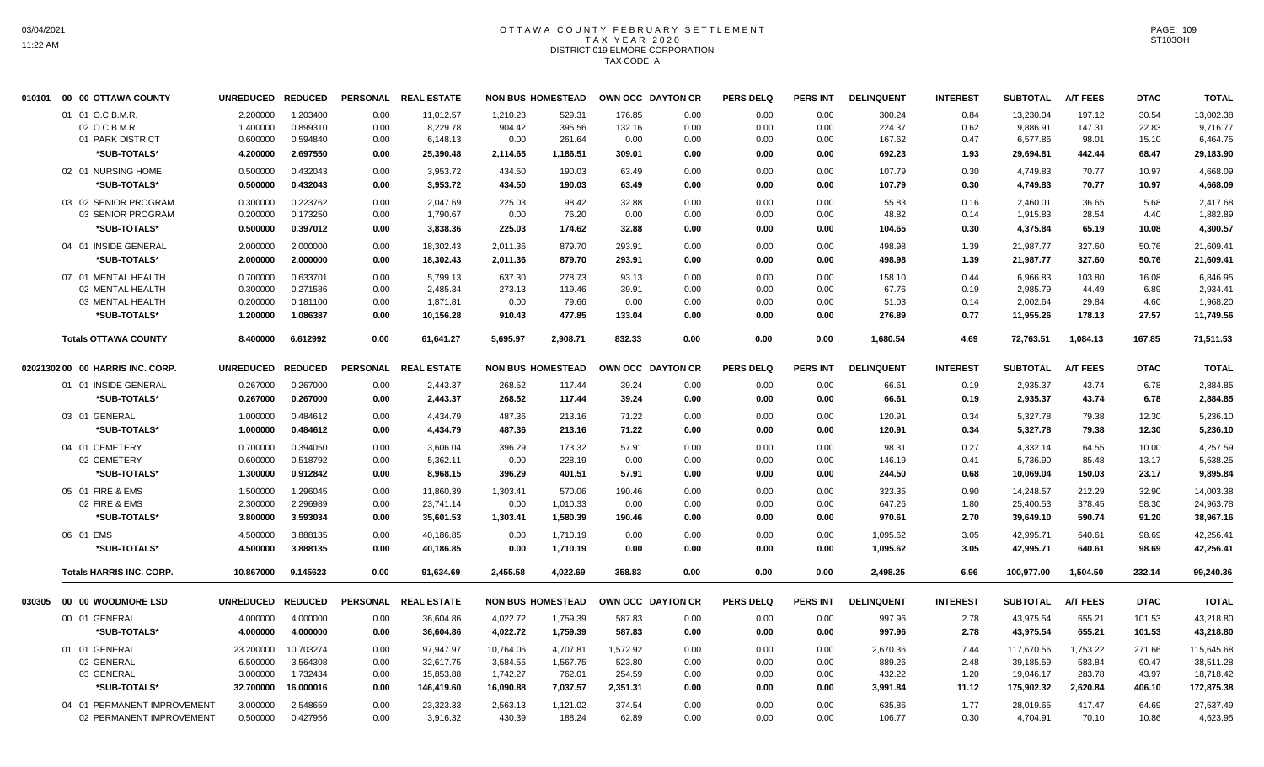# OTTAWA COUNTY FEBRUARY SETTLEMENT TAX YEAR 2020 DISTRICT 019 ELMORE CORPORATION TAX CODE A

|        | 010101 00 00 OTTAWA COUNTY       | <b>UNREDUCED</b>  | <b>REDUCED</b> | <b>PERSONAL</b> | <b>REAL ESTATE</b>   |           | <b>NON BUS HOMESTEAD</b> |          | OWN OCC DAYTON CR | <b>PERS DELQ</b> | <b>PERS INT</b> | <b>DELINQUENT</b> | <b>INTEREST</b> | <b>SUBTOTAL</b> | <b>A/T FEES</b> | <b>DTAC</b> | <b>TOTAL</b> |
|--------|----------------------------------|-------------------|----------------|-----------------|----------------------|-----------|--------------------------|----------|-------------------|------------------|-----------------|-------------------|-----------------|-----------------|-----------------|-------------|--------------|
|        | 01 01 O.C.B.M.R                  | 2.200000          | 1.203400       | 0.00            | 11,012.57            | 1,210.23  | 529.31                   | 176.85   | 0.00              | 0.00             | 0.00            | 300.24            | 0.84            | 13,230.04       | 197.12          | 30.54       | 13,002.38    |
|        | 02 O.C.B.M.R                     | 1.400000          | 0.899310       | 0.00            | 8,229.78             | 904.42    | 395.56                   | 132.16   | 0.00              | 0.00             | 0.00            | 224.37            | 0.62            | 9,886.91        | 147.31          | 22.83       | 9,716.77     |
|        | 01 PARK DISTRICT                 | 0.600000          | 0.594840       | 0.00            | 6,148.13             | 0.00      | 261.64                   | 0.00     | 0.00              | 0.00             | 0.00            | 167.62            | 0.47            | 6,577.86        | 98.01           | 15.10       | 6,464.75     |
|        | *SUB-TOTALS*                     | 4.200000          | 2.697550       | 0.00            | 25,390.48            | 2,114.65  | 1,186.51                 | 309.01   | 0.00              | 0.00             | 0.00            | 692.23            | 1.93            | 29,694.81       | 442.44          | 68.47       | 29,183.90    |
|        | 02 01 NURSING HOME               | 0.500000          | 0.432043       | 0.00            | 3,953.72             | 434.50    | 190.03                   | 63.49    | 0.00              | 0.00             | 0.00            | 107.79            | 0.30            | 4,749.83        | 70.77           | 10.97       | 4,668.09     |
|        | <b><i><b>SUB-TOTALS*</b></i></b> | 0.500000          | 0.432043       | 0.00            | 3,953.72             | 434.50    | 190.03                   | 63.49    | 0.00              | 0.00             | 0.00            | 107.79            | 0.30            | 4,749.83        | 70.77           | 10.97       | 4,668.09     |
|        | 03 02 SENIOR PROGRAM             | 0.300000          | 0.223762       | 0.00            | 2,047.69             | 225.03    | 98.42                    | 32.88    | 0.00              | 0.00             | 0.00            | 55.83             | 0.16            | 2,460.01        | 36.65           | 5.68        | 2,417.68     |
|        | 03 SENIOR PROGRAM                | 0.200000          | 0.173250       | 0.00            | 1,790.67             | 0.00      | 76.20                    | 0.00     | 0.00              | 0.00             | 0.00            | 48.82             | 0.14            | 1,915.83        | 28.54           | 4.40        | 1,882.89     |
|        | *SUB-TOTALS*                     | 0.500000          | 0.397012       | 0.00            | 3,838.36             | 225.03    | 174.62                   | 32.88    | 0.00              | 0.00             | 0.00            | 104.65            | 0.30            | 4,375.84        | 65.19           | 10.08       | 4.300.57     |
|        | 04 01 INSIDE GENERAL             | 2.000000          | 2.000000       | 0.00            | 18,302.43            | 2,011.36  | 879.70                   | 293.91   | 0.00              | 0.00             | 0.00            | 498.98            | 1.39            | 21,987.77       | 327.60          | 50.76       | 21,609.41    |
|        | *SUB-TOTALS*                     | 2.000000          | 2.000000       | 0.00            | 18,302.43            | 2,011.36  | 879.70                   | 293.91   | 0.00              | 0.00             | 0.00            | 498.98            | 1.39            | 21,987.77       | 327.60          | 50.76       | 21,609.41    |
|        | 07 01 MENTAL HEALTH              | 0.700000          | 0.633701       | 0.00            | 5.799.13             | 637.30    | 278.73                   | 93.13    | 0.00              | 0.00             | 0.00            | 158.10            | 0.44            | 6,966.83        | 103.80          | 16.08       | 6,846.95     |
|        | 02 MENTAL HEALTH                 | 0.300000          | 0.271586       | 0.00            | 2,485.34             | 273.13    | 119.46                   | 39.91    | 0.00              | 0.00             | 0.00            | 67.76             | 0.19            | 2,985.79        | 44.49           | 6.89        | 2,934.41     |
|        | 03 MENTAL HEALTH                 | 0.200000          | 0.181100       | 0.00            | 1,871.81             | 0.00      | 79.66                    | 0.00     | 0.00              | 0.00             | 0.00            | 51.03             | 0.14            | 2,002.64        | 29.84           | 4.60        | 1,968.20     |
|        | *SUB-TOTALS*                     | 1.200000          | 1.086387       | 0.00            | 10,156.28            | 910.43    | 477.85                   | 133.04   | 0.00              | 0.00             | 0.00            | 276.89            | 0.77            | 11,955.26       | 178.13          | 27.57       | 11,749.56    |
|        | <b>Totals OTTAWA COUNTY</b>      | 8.400000          | 6.612992       | 0.00            | 61,641.27            | 5.695.97  | 2,908.71                 | 832.33   | 0.00              | 0.00             | 0.00            | 1,680.54          | 4.69            | 72,763.51       | 1,084.13        | 167.85      | 71,511.53    |
|        | 02021302 00 00 HARRIS INC. CORP. | UNREDUCED REDUCED |                |                 | PERSONAL REAL ESTATE |           | <b>NON BUS HOMESTEAD</b> |          | OWN OCC DAYTON CR | <b>PERS DELQ</b> | <b>PERS INT</b> | <b>DELINQUENT</b> | <b>INTEREST</b> | <b>SUBTOTAL</b> | <b>A/T FEES</b> | <b>DTAC</b> | <b>TOTAL</b> |
|        | 01 01 INSIDE GENERAL             | 0.267000          | 0.267000       | 0.00            | 2,443.37             | 268.52    | 117.44                   | 39.24    | 0.00              | 0.00             | 0.00            | 66.61             | 0.19            | 2,935.37        | 43.74           | 6.78        | 2,884.85     |
|        | *SUB-TOTALS*                     | 0.267000          | 0.267000       | 0.00            | 2,443.37             | 268.52    | 117.44                   | 39.24    | 0.00              | 0.00             | 0.00            | 66.61             | 0.19            | 2,935.37        | 43.74           | 6.78        | 2,884.85     |
|        |                                  |                   |                |                 |                      |           |                          |          |                   |                  |                 |                   |                 |                 |                 |             |              |
|        | 03 01 GENERAL                    | 1.000000          | 0.484612       | 0.00            | 4,434.79             | 487.36    | 213.16                   | 71.22    | 0.00              | 0.00             | 0.00            | 120.91            | 0.34            | 5,327.78        | 79.38           | 12.30       | 5,236.10     |
|        | *SUB-TOTALS*                     | 1.000000          | 0.484612       | 0.00            | 4,434.79             | 487.36    | 213.16                   | 71.22    | 0.00              | 0.00             | 0.00            | 120.91            | 0.34            | 5,327.78        | 79.38           | 12.30       | 5,236.10     |
|        | 04 01 CEMETERY                   | 0.700000          | 0.394050       | 0.00            | 3,606.04             | 396.29    | 173.32                   | 57.91    | 0.00              | 0.00             | 0.00            | 98.31             | 0.27            | 4,332.14        | 64.55           | 10.00       | 4,257.59     |
|        | 02 CEMETERY                      | 0.600000          | 0.518792       | 0.00            | 5,362.11             | 0.00      | 228.19                   | 0.00     | 0.00              | 0.00             | 0.00            | 146.19            | 0.41            | 5,736.90        | 85.48           | 13.17       | 5,638.25     |
|        | *SUB-TOTALS*                     | 1.300000          | 0.912842       | 0.00            | 8,968.15             | 396.29    | 401.51                   | 57.91    | 0.00              | 0.00             | 0.00            | 244.50            | 0.68            | 10,069.04       | 150.03          | 23.17       | 9,895.84     |
|        | 05 01 FIRE & EMS                 | 1.500000          | 1.296045       | 0.00            | 11,860.39            | 1,303.41  | 570.06                   | 190.46   | 0.00              | 0.00             | 0.00            | 323.35            | 0.90            | 14,248.57       | 212.29          | 32.90       | 14,003.38    |
|        | 02 FIRE & EMS                    | 2.300000          | 2.296989       | 0.00            | 23,741.14            | 0.00      | 1,010.33                 | 0.00     | 0.00              | 0.00             | 0.00            | 647.26            | 1.80            | 25,400.53       | 378.45          | 58.30       | 24,963.78    |
|        | *SUB-TOTALS*                     | 3.800000          | 3.593034       | 0.00            | 35,601.53            | 1,303.41  | 1,580.39                 | 190.46   | 0.00              | 0.00             | 0.00            | 970.61            | 2.70            | 39,649.10       | 590.74          | 91.20       | 38,967.16    |
|        | 06 01 EMS                        | 4.500000          | 3.888135       | 0.00            | 40,186.85            | 0.00      | 1,710.19                 | 0.00     | 0.00              | 0.00             | 0.00            | 1,095.62          | 3.05            | 42,995.71       | 640.61          | 98.69       | 42,256.41    |
|        | *SUB-TOTALS*                     | 4.500000          | 3.888135       | 0.00            | 40,186.85            | 0.00      | 1,710.19                 | 0.00     | 0.00              | 0.00             | 0.00            | 1,095.62          | 3.05            | 42,995.71       | 640.61          | 98.69       | 42,256.41    |
|        | <b>Totals HARRIS INC. CORP.</b>  | 10.867000         | 9.145623       | 0.00            | 91.634.69            | 2.455.58  | 4.022.69                 | 358.83   | 0.00              | 0.00             | 0.00            | 2,498.25          | 6.96            | 100.977.00      | 1.504.50        | 232.14      | 99,240.36    |
| 030305 | 00 00 WOODMORE LSD               | UNREDUCED REDUCED |                |                 | PERSONAL REAL ESTATE |           | <b>NON BUS HOMESTEAD</b> |          | OWN OCC DAYTON CR | <b>PERS DELQ</b> | <b>PERS INT</b> | <b>DELINQUENT</b> | <b>INTEREST</b> | <b>SUBTOTAL</b> | <b>A/T FEES</b> | <b>DTAC</b> | <b>TOTAL</b> |
|        | 00 01 GENERAL                    | 4.000000          | 4.000000       | 0.00            | 36,604.86            | 4,022.72  | 1,759.39                 | 587.83   | 0.00              | 0.00             | 0.00            | 997.96            | 2.78            | 43,975.54       | 655.21          | 101.53      | 43,218.80    |
|        | *SUB-TOTALS*                     | 4.000000          | 4.000000       | 0.00            | 36,604.86            | 4,022.72  | 1,759.39                 | 587.83   | 0.00              | 0.00             | 0.00            | 997.96            | 2.78            | 43,975.54       | 655.21          | 101.53      |              |
|        |                                  |                   |                |                 |                      |           |                          |          |                   |                  |                 |                   |                 |                 |                 |             | 43,218.80    |
|        | 01 01 GENERAL                    | 23.200000         | 10.703274      | 0.00            | 97,947.97            | 10,764.06 | 4,707.81                 | 1,572.92 | 0.00              | 0.00             | 0.00            | 2,670.36          | 7.44            | 117,670.56      | 1,753.22        | 271.66      | 115,645.68   |
|        | 02 GENERAL                       | 6.500000          | 3.564308       | 0.00            | 32,617.75            | 3,584.55  | 1,567.75                 | 523.80   | 0.00              | 0.00             | 0.00            | 889.26            | 2.48            | 39,185.59       | 583.84          | 90.47       | 38,511.28    |
|        | 03 GENERAL                       | 3.000000          | 1.732434       | 0.00            | 15,853.88            | 1,742.27  | 762.01                   | 254.59   | 0.00              | 0.00             | 0.00            | 432.22            | 1.20            | 19,046.17       | 283.78          | 43.97       | 18,718.42    |
|        | *SUB-TOTALS*                     | 32.700000         | 16.000016      | 0.00            | 146,419.60           | 16,090.88 | 7,037.57                 | 2,351.31 | 0.00              | 0.00             | 0.00            | 3,991.84          | 11.12           | 175,902.32      | 2,620.84        | 406.10      | 172,875.38   |
|        | 04 01 PERMANENT IMPROVEMENT      | 3.000000          | 2.548659       | 0.00            | 23,323.33            | 2,563.13  | 1,121.02                 | 374.54   | 0.00              | 0.00             | 0.00            | 635.86            | 1.77            | 28,019.65       | 417.47          | 64.69       | 27,537.49    |
|        | 02 PERMANENT IMPROVEMENT         | 0.500000          | 0.427956       | 0.00            | 3,916.32             | 430.39    | 188.24                   | 62.89    | 0.00              | 0.00             | 0.00            | 106.77            | 0.30            | 4,704.91        | 70.10           | 10.86       | 4,623.95     |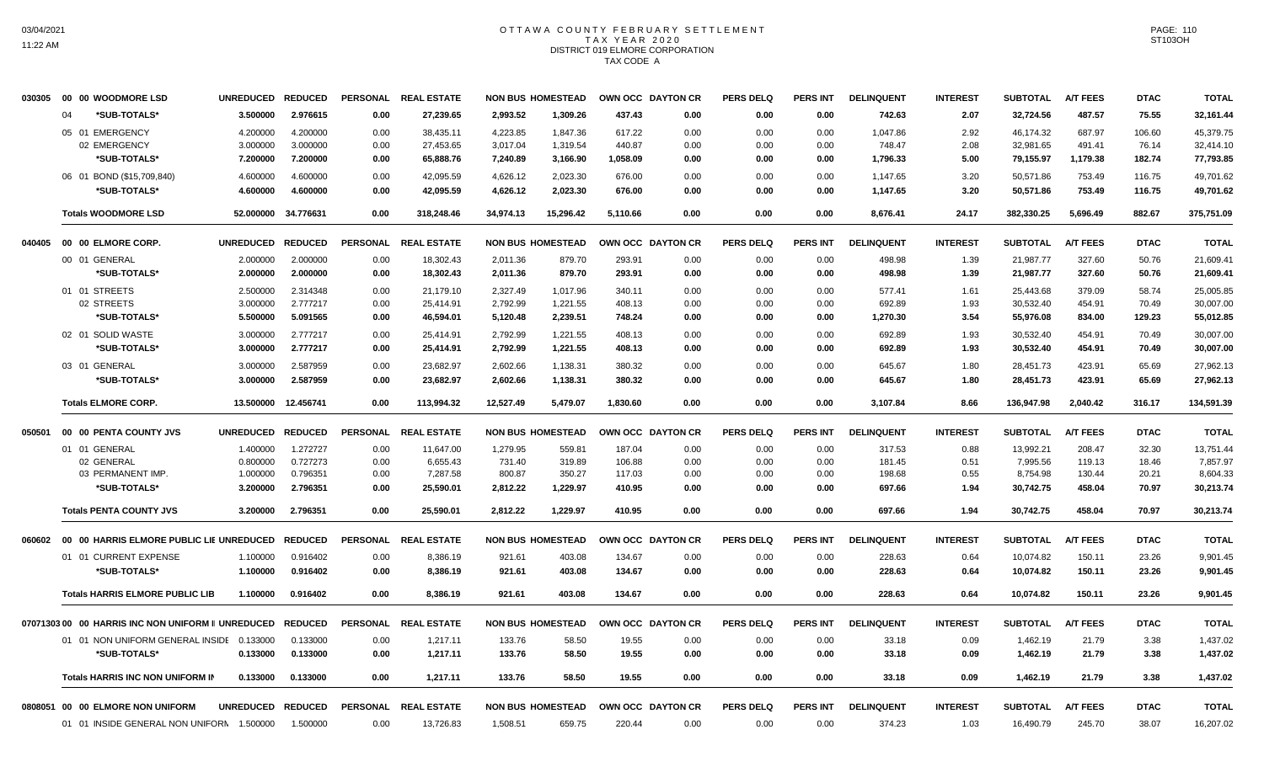# OTTAWA COUNTY FEBRUARY SETTLEMENT TAX YEAR 2020 DISTRICT 019 ELMORE CORPORATION TAX CODE A

| 030305 | 00 00 WOODMORE LSD                                | UNREDUCED REDUCED |                |      | PERSONAL REAL ESTATE |           | <b>NON BUS HOMESTEAD</b> |          | OWN OCC DAYTON CR | <b>PERS DELQ</b> | <b>PERS INT</b> | <b>DELINQUENT</b> | <b>INTEREST</b> | <b>SUBTOTAL</b> | <b>A/T FEES</b> | <b>DTAC</b> | <b>TOTAL</b> |
|--------|---------------------------------------------------|-------------------|----------------|------|----------------------|-----------|--------------------------|----------|-------------------|------------------|-----------------|-------------------|-----------------|-----------------|-----------------|-------------|--------------|
|        | *SUB-TOTALS*<br>04                                | 3.500000          | 2.976615       | 0.00 | 27,239.65            | 2,993.52  | 1,309.26                 | 437.43   | 0.00              | 0.00             | 0.00            | 742.63            | 2.07            | 32,724.56       | 487.57          | 75.55       | 32,161.44    |
|        | 05 01 EMERGENCY                                   | 4.200000          | 4.200000       | 0.00 | 38,435.11            | 4,223.85  | 1,847.36                 | 617.22   | 0.00              | 0.00             | 0.00            | 1,047.86          | 2.92            | 46,174.32       | 687.97          | 106.60      | 45,379.75    |
|        | 02 EMERGENCY                                      | 3.000000          | 3.000000       | 0.00 | 27,453.65            | 3,017.04  | 1,319.54                 | 440.87   | 0.00              | 0.00             | 0.00            | 748.47            | 2.08            | 32,981.65       | 491.41          | 76.14       | 32,414.10    |
|        | *SUB-TOTALS*                                      | 7.200000          | 7.200000       | 0.00 | 65,888.76            | 7,240.89  | 3,166.90                 | 1,058.09 | 0.00              | 0.00             | 0.00            | 1,796.33          | 5.00            | 79,155.97       | 1,179.38        | 182.74      | 77,793.85    |
|        | 06 01 BOND (\$15,709,840)                         | 4.600000          | 4.600000       | 0.00 | 42,095.59            | 4,626.12  | 2,023.30                 | 676.00   | 0.00              | 0.00             | 0.00            | 1,147.65          | 3.20            | 50,571.86       | 753.49          | 116.75      | 49,701.62    |
|        | *SUB-TOTALS*                                      | 4.600000          | 4.600000       | 0.00 | 42,095.59            | 4,626.12  | 2,023.30                 | 676.00   | 0.00              | 0.00             | 0.00            | 1,147.65          | 3.20            | 50,571.86       | 753.49          | 116.75      | 49,701.62    |
|        | <b>Totals WOODMORE LSD</b>                        | 52.000000         | 34.776631      | 0.00 | 318,248.46           | 34,974.13 | 15,296.42                | 5,110.66 | 0.00              | 0.00             | 0.00            | 8,676.41          | 24.17           | 382,330.25      | 5,696.49        | 882.67      | 375,751.09   |
| 040405 | 00 00 ELMORE CORP.                                | <b>UNREDUCED</b>  | <b>REDUCED</b> |      | PERSONAL REAL ESTATE |           | <b>NON BUS HOMESTEAD</b> |          | OWN OCC DAYTON CR | <b>PERS DELQ</b> | PERS INT        | <b>DELINQUENT</b> | <b>INTEREST</b> | <b>SUBTOTAL</b> | <b>A/T FEES</b> | <b>DTAC</b> | <b>TOTAL</b> |
|        | 00 01 GENERAL                                     | 2.000000          | 2.000000       | 0.00 | 18,302.43            | 2.011.36  | 879.70                   | 293.91   | 0.00              | 0.00             | 0.00            | 498.98            | 1.39            | 21,987.77       | 327.60          | 50.76       | 21,609.41    |
|        | *SUB-TOTALS*                                      | 2.000000          | 2.000000       | 0.00 | 18,302.43            | 2,011.36  | 879.70                   | 293.91   | 0.00              | 0.00             | 0.00            | 498.98            | 1.39            | 21,987.77       | 327.60          | 50.76       | 21,609.41    |
|        | 01 01 STREETS                                     | 2.500000          | 2.314348       | 0.00 | 21,179.10            | 2,327.49  | 1,017.96                 | 340.11   | 0.00              | 0.00             | 0.00            | 577.41            | 1.61            | 25,443.68       | 379.09          | 58.74       | 25,005.85    |
|        | 02 STREETS                                        | 3.000000          | 2.777217       | 0.00 | 25,414.91            | 2,792.99  | 1,221.55                 | 408.13   | 0.00              | 0.00             | 0.00            | 692.89            | 1.93            | 30,532.40       | 454.91          | 70.49       | 30,007.00    |
|        | *SUB-TOTALS*                                      | 5.500000          | 5.091565       | 0.00 | 46,594.01            | 5,120.48  | 2,239.51                 | 748.24   | 0.00              | 0.00             | 0.00            | 1,270.30          | 3.54            | 55,976.08       | 834.00          | 129.23      | 55,012.85    |
|        | 02 01 SOLID WASTE                                 | 3.000000          | 2.777217       | 0.00 | 25,414.91            | 2,792.99  | 1,221.55                 | 408.13   | 0.00              | 0.00             | 0.00            | 692.89            | 1.93            | 30,532.40       | 454.91          | 70.49       | 30,007.00    |
|        | *SUB-TOTALS*                                      | 3.000000          | 2.777217       | 0.00 | 25,414.91            | 2,792.99  | 1,221.55                 | 408.13   | 0.00              | 0.00             | 0.00            | 692.89            | 1.93            | 30,532.40       | 454.91          | 70.49       | 30,007.00    |
|        | 03 01 GENERAL                                     | 3.000000          | 2.587959       | 0.00 | 23,682.97            | 2,602.66  | 1,138.31                 | 380.32   | 0.00              | 0.00             | 0.00            | 645.67            | 1.80            | 28,451.73       | 423.91          | 65.69       | 27,962.13    |
|        | *SUB-TOTALS*                                      | 3.000000          | 2.587959       | 0.00 | 23,682.97            | 2,602.66  | 1,138.31                 | 380.32   | 0.00              | 0.00             | 0.00            | 645.67            | 1.80            | 28,451.73       | 423.91          | 65.69       | 27,962.13    |
|        |                                                   |                   |                |      |                      |           |                          |          |                   |                  |                 |                   |                 |                 |                 |             |              |
|        | <b>Totals ELMORE CORP.</b>                        | 13.500000         | 12.456741      | 0.00 | 113,994.32           | 12,527.49 | 5,479.07                 | 1,830.60 | 0.00              | 0.00             | 0.00            | 3,107.84          | 8.66            | 136,947.98      | 2,040.42        | 316.17      | 134,591.39   |
| 050501 | 00 00 PENTA COUNTY JVS                            | <b>UNREDUCED</b>  | <b>REDUCED</b> |      | PERSONAL REAL ESTATE |           | <b>NON BUS HOMESTEAD</b> |          | OWN OCC DAYTON CR | <b>PERS DELQ</b> | <b>PERS INT</b> | <b>DELINQUENT</b> | <b>INTEREST</b> | <b>SUBTOTAL</b> | <b>A/T FEES</b> | <b>DTAC</b> | <b>TOTAL</b> |
|        | 01 01 GENERAL                                     | 1.400000          | 1.272727       | 0.00 | 11,647.00            | 1,279.95  | 559.81                   | 187.04   | 0.00              | 0.00             | 0.00            | 317.53            | 0.88            | 13,992.21       | 208.47          | 32.30       | 13,751.44    |
|        | 02 GENERAL                                        | 0.800000          | 0.727273       | 0.00 | 6,655.43             | 731.40    | 319.89                   | 106.88   | 0.00              | 0.00             | 0.00            | 181.45            | 0.51            | 7,995.56        | 119.13          | 18.46       | 7,857.97     |
|        | 03 PERMANENT IMP.                                 | 1.000000          | 0.796351       | 0.00 | 7,287.58             | 800.87    | 350.27                   | 117.03   | 0.00              | 0.00             | 0.00            | 198.68            | 0.55            | 8,754.98        | 130.44          | 20.21       | 8,604.33     |
|        | *SUB-TOTALS*                                      | 3.200000          | 2.796351       | 0.00 | 25,590.01            | 2,812.22  | 1,229.97                 | 410.95   | 0.00              | 0.00             | 0.00            | 697.66            | 1.94            | 30,742.75       | 458.04          | 70.97       | 30,213.74    |
|        | <b>Totals PENTA COUNTY JVS</b>                    | 3.200000          | 2.796351       | 0.00 | 25,590.01            | 2,812.22  | 1,229.97                 | 410.95   | 0.00              | 0.00             | 0.00            | 697.66            | 1.94            | 30,742.75       | 458.04          | 70.97       | 30,213.74    |
| 060602 | 00 00 HARRIS ELMORE PUBLIC LIE UNREDUCED          |                   | <b>REDUCED</b> |      | PERSONAL REAL ESTATE |           | <b>NON BUS HOMESTEAD</b> |          | OWN OCC DAYTON CR | <b>PERS DELQ</b> | <b>PERS INT</b> | <b>DELINQUENT</b> | <b>INTEREST</b> | <b>SUBTOTAL</b> | <b>A/T FEES</b> | <b>DTAC</b> | <b>TOTAL</b> |
|        | 01 01 CURRENT EXPENSE                             | 1.100000          | 0.916402       | 0.00 | 8,386.19             | 921.61    | 403.08                   | 134.67   | 0.00              | 0.00             | 0.00            | 228.63            | 0.64            | 10,074.82       | 150.11          | 23.26       | 9,901.45     |
|        | *SUB-TOTALS*                                      | 1.100000          | 0.916402       | 0.00 | 8,386.19             | 921.61    | 403.08                   | 134.67   | 0.00              | 0.00             | 0.00            | 228.63            | 0.64            | 10,074.82       | 150.11          | 23.26       | 9,901.45     |
|        | <b>Totals HARRIS ELMORE PUBLIC LIB</b>            | 1.100000          | 0.916402       | 0.00 | 8,386.19             | 921.61    | 403.08                   | 134.67   | 0.00              | 0.00             | 0.00            | 228.63            | 0.64            | 10,074.82       | 150.11          | 23.26       | 9,901.45     |
|        | 0707130300 00 HARRIS INC NON UNIFORM II UNREDUCED |                   | <b>REDUCED</b> |      | PERSONAL REAL ESTATE |           | <b>NON BUS HOMESTEAD</b> |          | OWN OCC DAYTON CR | <b>PERS DELQ</b> | PERS INT        | <b>DELINQUENT</b> | <b>INTEREST</b> | <b>SUBTOTAL</b> | <b>A/T FEES</b> | <b>DTAC</b> | <b>TOTAL</b> |
|        | 01 01 NON UNIFORM GENERAL INSIDE 0.133000         |                   | 0.133000       | 0.00 | 1,217.11             | 133.76    | 58.50                    | 19.55    | 0.00              | 0.00             | 0.00            | 33.18             | 0.09            | 1,462.19        | 21.79           | 3.38        | 1,437.02     |
|        | *SUB-TOTALS*                                      | 0.133000          | 0.133000       | 0.00 | 1,217.11             | 133.76    | 58.50                    | 19.55    | 0.00              | 0.00             | 0.00            | 33.18             | 0.09            | 1,462.19        | 21.79           | 3.38        | 1,437.02     |
|        |                                                   |                   |                |      |                      |           |                          |          |                   |                  |                 |                   |                 |                 |                 |             |              |
|        |                                                   |                   |                |      |                      |           |                          |          |                   |                  |                 |                   |                 |                 |                 |             |              |
|        | <b>Totals HARRIS INC NON UNIFORM IN</b>           | 0.133000          | 0.133000       | 0.00 | 1,217.11             | 133.76    | 58.50                    | 19.55    | 0.00              | 0.00             | 0.00            | 33.18             | 0.09            | 1,462.19        | 21.79           | 3.38        | 1,437.02     |
|        | 0808051 00 00 ELMORE NON UNIFORM                  | <b>UNREDUCED</b>  | <b>REDUCED</b> |      | PERSONAL REAL ESTATE |           | <b>NON BUS HOMESTEAD</b> |          | OWN OCC DAYTON CR | <b>PERS DELQ</b> | <b>PERS INT</b> | <b>DELINQUENT</b> | <b>INTEREST</b> | <b>SUBTOTAL</b> | <b>A/T FEES</b> | <b>DTAC</b> | <b>TOTAL</b> |

PAGE: 110 ST103OH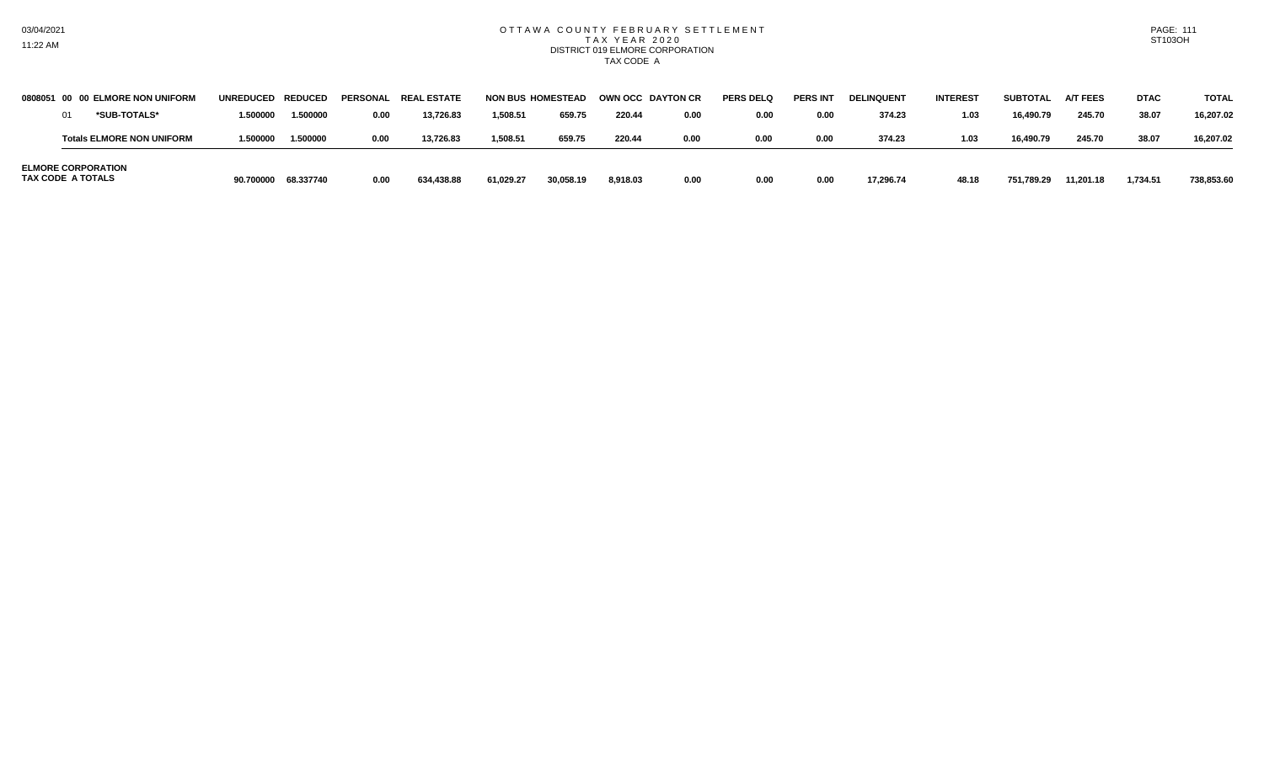#### OTTAWA COUNTY FEBRUARY SETTLEMENT T A X Y E A R 2 0 2 0 DISTRICT 019 ELMORE CORPORATION TAX CODE A

| 0808051 00               | <b>00 ELMORE NON UNIFORM</b>     | UNREDUCED REDUCED |           |      | PERSONAL REAL ESTATE | <b>NON BUS HOMESTEAD</b> |           |          | OWN OCC DAYTON CR | <b>PERS DELQ</b> | <b>PERS IN</b> | <b>DELINQUENT</b> | <b>INTEREST</b> | SUBTOTAL   | <b>A/T FEES</b> | <b>DTAC</b> | <b>TOTAL</b> |
|--------------------------|----------------------------------|-------------------|-----------|------|----------------------|--------------------------|-----------|----------|-------------------|------------------|----------------|-------------------|-----------------|------------|-----------------|-------------|--------------|
|                          | *SUB-TOTALS*                     | 1.500000          | 1.500000  | 0.00 | 13.726.83            | 1,508.51                 | 659.75    | 220.44   | 0.00              | 0.00             | 0.00           | 374.23            | 1.03            | 16,490.79  | 245.70          | 38.07       | 16.207.02    |
|                          | <b>Totals ELMORE NON UNIFORM</b> | 1.500000          | 1.500000  | 0.00 | 13,726.83            | 1,508.51                 | 659.75    | 220.44   | 0.00              | 0.00             | 0.00           | 374.23            | 1.03            | 16.490.79  | 245.70          | 38.07       | 16.207.02    |
| <b>TAX CODE A TOTALS</b> | <b>ELMORE CORPORATION</b>        | 90.700000         | 68.337740 | 0.00 | 634,438.88           | 61,029.27                | 30,058.19 | 8.918.03 | 0.00              | 0.00             | 0.00           | 17,296.74         | 48.18           | 751,789.29 | 11,201.18       | 1,734.51    | 738.853.60   |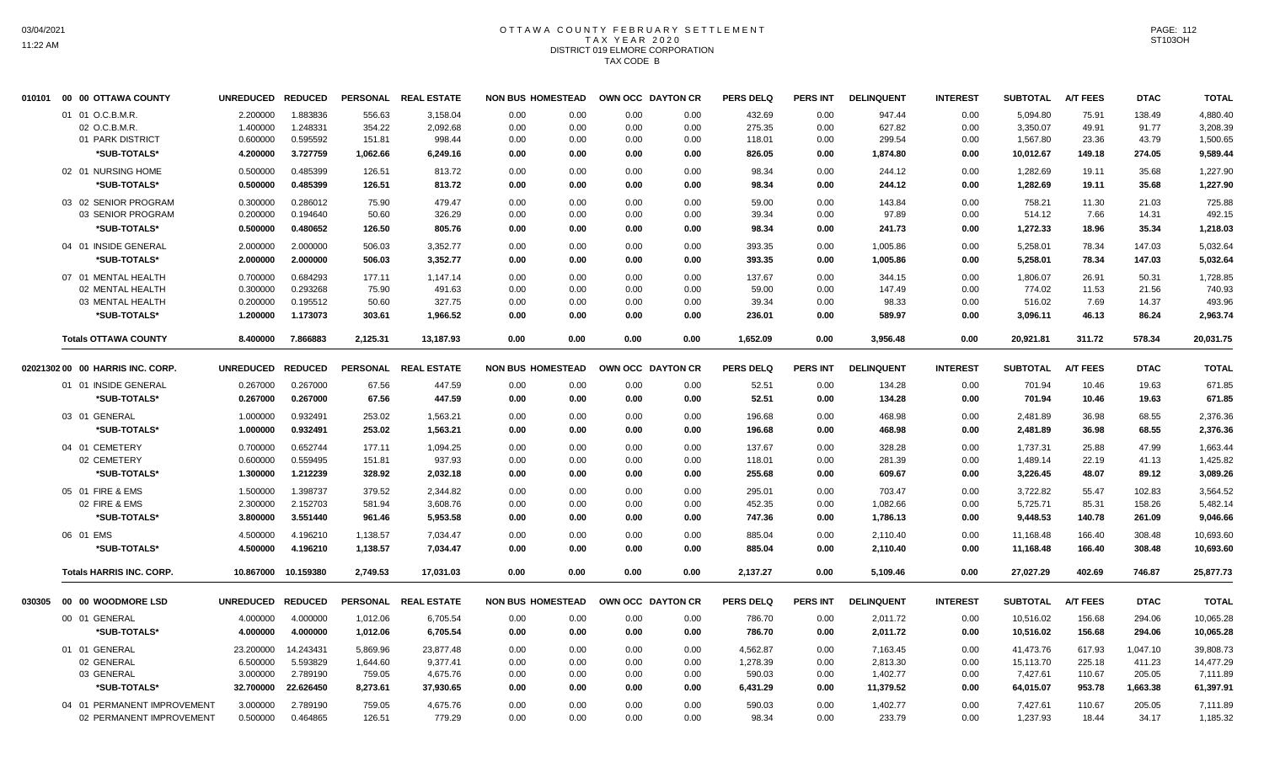# OTTAWA COUNTY FEBRUARY SETTLEMENT TAX YEAR 2020 DISTRICT 019 ELMORE CORPORATION TAX CODE B

| 010101 | 00 00 OTTAWA COUNTY              | UNREDUCED REDUCED |                     | <b>PERSONAL</b> | <b>REAL ESTATE</b>   | <b>NON BUS HOMESTEAD</b> |      | OWN OCC DAYTON CR | <b>PERS DELQ</b> | <b>PERS INT</b> | <b>DELINQUENT</b> | <b>INTEREST</b> | <b>SUBTOTAL</b> | <b>A/T FEES</b> | <b>DTAC</b> | <b>TOTAL</b> |
|--------|----------------------------------|-------------------|---------------------|-----------------|----------------------|--------------------------|------|-------------------|------------------|-----------------|-------------------|-----------------|-----------------|-----------------|-------------|--------------|
|        | 01 01 O.C.B.M.R.                 | 2.200000          | 1.883836            | 556.63          | 3,158.04             | 0.00<br>0.00             | 0.00 | 0.00              | 432.69           | 0.00            | 947.44            | 0.00            | 5,094.80        | 75.91           | 138.49      | 4,880.40     |
|        | 02 O.C.B.M.R.                    | 1.400000          | 1.248331            | 354.22          | 2,092.68             | 0.00<br>0.00             | 0.00 | 0.00              | 275.35           | 0.00            | 627.82            | 0.00            | 3,350.07        | 49.91           | 91.77       | 3,208.39     |
|        | 01 PARK DISTRICT                 | 0.600000          | 0.595592            | 151.81          | 998.44               | 0.00<br>0.00             | 0.00 | 0.00              | 118.01           | 0.00            | 299.54            | 0.00            | 1,567.80        | 23.36           | 43.79       | 1,500.65     |
|        | *SUB-TOTALS*                     | 4.200000          | 3.727759            | 1,062.66        | 6,249.16             | 0.00<br>0.00             | 0.00 | 0.00              | 826.05           | 0.00            | 1,874.80          | 0.00            | 10,012.67       | 149.18          | 274.05      | 9,589.44     |
|        | 02 01 NURSING HOME               | 0.500000          | 0.485399            | 126.51          | 813.72               | 0.00<br>0.00             | 0.00 | 0.00              | 98.34            | 0.00            | 244.12            | 0.00            | 1,282.69        | 19.11           | 35.68       | 1,227.90     |
|        | *SUB-TOTALS*                     | 0.500000          | 0.485399            | 126.51          | 813.72               | 0.00<br>0.00             | 0.00 | 0.00              | 98.34            | 0.00            | 244.12            | 0.00            | 1,282.69        | 19.11           | 35.68       | 1,227.90     |
|        | 03 02 SENIOR PROGRAM             | 0.300000          | 0.286012            | 75.90           | 479.47               | 0.00<br>0.00             | 0.00 | 0.00              | 59.00            | 0.00            | 143.84            | 0.00            | 758.21          | 11.30           | 21.03       | 725.88       |
|        | 03 SENIOR PROGRAM                | 0.200000          | 0.194640            | 50.60           | 326.29               | 0.00<br>0.00             | 0.00 | 0.00              | 39.34            | 0.00            | 97.89             | 0.00            | 514.12          | 7.66            | 14.31       | 492.15       |
|        | *SUB-TOTALS*                     | 0.500000          | 0.480652            | 126.50          | 805.76               | 0.00<br>0.00             | 0.00 | 0.00              | 98.34            | 0.00            | 241.73            | 0.00            | 1,272.33        | 18.96           | 35.34       | 1,218.03     |
|        | 04 01 INSIDE GENERAL             | 2.000000          | 2.000000            | 506.03          | 3,352.77             | 0.00<br>0.00             | 0.00 | 0.00              | 393.35           | 0.00            | 1,005.86          | 0.00            | 5,258.01        | 78.34           | 147.03      | 5,032.64     |
|        | *SUB-TOTALS*                     | 2.000000          | 2.000000            | 506.03          | 3,352.77             | 0.00<br>0.00             | 0.00 | 0.00              | 393.35           | 0.00            | 1,005.86          | 0.00            | 5,258.01        | 78.34           | 147.03      | 5,032.64     |
|        | 07 01 MENTAL HEALTH              | 0.700000          | 0.684293            | 177.11          | 1,147.14             | 0.00<br>0.00             | 0.00 | 0.00              | 137.67           | 0.00            | 344.15            | 0.00            | 1,806.07        | 26.91           | 50.31       | 1,728.85     |
|        | 02 MENTAL HEALTH                 | 0.300000          | 0.293268            | 75.90           | 491.63               | 0.00<br>0.00             | 0.00 | 0.00              | 59.00            | 0.00            | 147.49            | 0.00            | 774.02          | 11.53           | 21.56       | 740.93       |
|        | 03 MENTAL HEALTH                 | 0.200000          | 0.195512            | 50.60           | 327.75               | 0.00<br>0.00             | 0.00 | 0.00              | 39.34            | 0.00            | 98.33             | 0.00            | 516.02          | 7.69            | 14.37       | 493.96       |
|        | *SUB-TOTALS*                     | 1.200000          | 1.173073            | 303.61          | 1,966.52             | 0.00<br>0.00             | 0.00 | 0.00              | 236.01           | 0.00            | 589.97            | 0.00            | 3,096.11        | 46.13           | 86.24       | 2,963.74     |
|        | <b>Totals OTTAWA COUNTY</b>      | 8.400000          | 7.866883            | 2,125.31        | 13,187.93            | 0.00<br>0.00             | 0.00 | 0.00              | 1,652.09         | 0.00            | 3,956.48          | 0.00            | 20,921.81       | 311.72          | 578.34      | 20,031.75    |
|        |                                  |                   |                     |                 |                      |                          |      |                   |                  |                 |                   |                 |                 |                 |             |              |
|        | 02021302 00 00 HARRIS INC. CORP. | UNREDUCED REDUCED |                     |                 | PERSONAL REAL ESTATE | <b>NON BUS HOMESTEAD</b> |      | OWN OCC DAYTON CR | <b>PERS DELQ</b> | <b>PERS INT</b> | <b>DELINQUENT</b> | <b>INTEREST</b> | <b>SUBTOTAL</b> | <b>A/T FEES</b> | <b>DTAC</b> | <b>TOTAL</b> |
|        | 01 01 INSIDE GENERAL             | 0.267000          | 0.267000            | 67.56           | 447.59               | 0.00<br>0.00             | 0.00 | 0.00              | 52.51            | 0.00            | 134.28            | 0.00            | 701.94          | 10.46           | 19.63       | 671.85       |
|        | *SUB-TOTALS*                     | 0.267000          | 0.267000            | 67.56           | 447.59               | 0.00<br>0.00             | 0.00 | 0.00              | 52.51            | 0.00            | 134.28            | 0.00            | 701.94          | 10.46           | 19.63       | 671.85       |
|        | 03 01 GENERAL                    | 1.000000          | 0.932491            | 253.02          | 1,563.21             | 0.00<br>0.00             | 0.00 | 0.00              | 196.68           | 0.00            | 468.98            | 0.00            | 2,481.89        | 36.98           | 68.55       | 2,376.36     |
|        |                                  |                   |                     |                 |                      |                          |      |                   |                  |                 |                   |                 |                 |                 |             |              |
|        | *SUB-TOTALS*                     | 1.000000          | 0.932491            | 253.02          | 1,563.21             | 0.00<br>0.00             | 0.00 | 0.00              | 196.68           | 0.00            | 468.98            | 0.00            | 2,481.89        | 36.98           | 68.55       | 2,376.36     |
|        | 04 01 CEMETERY                   | 0.700000          | 0.652744            | 177.11          | 1,094.25             | 0.00<br>0.00             | 0.00 | 0.00              | 137.67           | 0.00            | 328.28            | 0.00            | 1,737.31        | 25.88           | 47.99       | 1,663.44     |
|        | 02 CEMETERY                      | 0.600000          | 0.559495            | 151.81          | 937.93               | 0.00<br>0.00             | 0.00 | 0.00              | 118.01           | 0.00            | 281.39            | 0.00            | 1,489.14        | 22.19           | 41.13       | 1,425.82     |
|        | *SUB-TOTALS*                     | 1.300000          | 1.212239            | 328.92          | 2,032.18             | 0.00<br>0.00             | 0.00 | 0.00              | 255.68           | 0.00            | 609.67            | 0.00            | 3,226.45        | 48.07           | 89.12       | 3,089.26     |
|        | 05 01 FIRE & EMS                 | 1.500000          | 1.398737            | 379.52          | 2,344.82             | 0.00<br>0.00             | 0.00 | 0.00              | 295.01           | 0.00            | 703.47            | 0.00            | 3,722.82        | 55.47           | 102.83      | 3,564.52     |
|        | 02 FIRE & EMS                    | 2.300000          | 2.152703            | 581.94          | 3,608.76             | 0.00<br>0.00             | 0.00 | 0.00              | 452.35           | 0.00            | 1,082.66          | 0.00            | 5,725.71        | 85.31           | 158.26      | 5,482.14     |
|        | *SUB-TOTALS*                     | 3.800000          | 3.551440            | 961.46          | 5,953.58             | 0.00<br>0.00             | 0.00 | 0.00              | 747.36           | 0.00            | 1,786.13          | 0.00            | 9,448.53        | 140.78          | 261.09      | 9,046.66     |
|        | 06 01 EMS                        | 4.500000          | 4.196210            | 1,138.57        | 7,034.47             | 0.00<br>0.00             | 0.00 | 0.00              | 885.04           | 0.00            | 2,110.40          | 0.00            | 11,168.48       | 166.40          | 308.48      | 10,693.60    |
|        | *SUB-TOTALS*                     | 4.500000          | 4.196210            | 1,138.57        | 7,034.47             | 0.00<br>0.00             | 0.00 | 0.00              | 885.04           | 0.00            | 2,110.40          | 0.00            | 11,168.48       | 166.40          | 308.48      | 10,693.60    |
|        | <b>Totals HARRIS INC. CORP.</b>  |                   | 10.867000 10.159380 | 2.749.53        | 17.031.03            | 0.00<br>0.00             | 0.00 | 0.00              | 2,137.27         | 0.00            | 5,109.46          | 0.00            | 27,027.29       | 402.69          | 746.87      | 25,877.73    |
|        |                                  |                   |                     |                 |                      |                          |      |                   |                  |                 |                   |                 |                 |                 |             |              |
| 030305 | 00 00 WOODMORE LSD               | UNREDUCED REDUCED |                     |                 | PERSONAL REAL ESTATE | <b>NON BUS HOMESTEAD</b> |      | OWN OCC DAYTON CR | <b>PERS DELQ</b> | <b>PERS INT</b> | <b>DELINQUENT</b> | <b>INTEREST</b> | <b>SUBTOTAL</b> | <b>A/T FEES</b> | <b>DTAC</b> | <b>TOTAL</b> |
|        | 00 01 GENERAL                    | 4.000000          | 4.000000            | 1,012.06        | 6,705.54             | 0.00<br>0.00             | 0.00 | 0.00              | 786.70           | 0.00            | 2,011.72          | 0.00            | 10,516.02       | 156.68          | 294.06      | 10,065.28    |
|        | *SUB-TOTALS*                     | 4.000000          | 4.000000            | 1,012.06        | 6,705.54             | 0.00<br>0.00             | 0.00 | 0.00              | 786.70           | 0.00            | 2,011.72          | 0.00            | 10,516.02       | 156.68          | 294.06      | 10,065.28    |
|        | 01 01 GENERAL                    | 23.200000         | 14.243431           | 5,869.96        | 23,877.48            | 0.00<br>0.00             | 0.00 | 0.00              | 4,562.87         | 0.00            | 7,163.45          | 0.00            | 41,473.76       | 617.93          | 1,047.10    | 39,808.73    |
|        | 02 GENERAL                       | 6.500000          | 5.593829            | 1,644.60        | 9,377.41             | 0.00<br>0.00             | 0.00 | 0.00              | 1,278.39         | 0.00            | 2,813.30          | 0.00            | 15,113.70       | 225.18          | 411.23      | 14,477.29    |
|        | 03 GENERAL                       | 3.000000          | 2.789190            | 759.05          | 4,675.76             | 0.00<br>0.00             | 0.00 | 0.00              | 590.03           | 0.00            | 1,402.77          | 0.00            | 7,427.61        | 110.67          | 205.05      | 7,111.89     |
|        | *SUB-TOTALS*                     | 32.700000         | 22.626450           | 8,273.61        | 37,930.65            | 0.00<br>0.00             | 0.00 | 0.00              | 6,431.29         | 0.00            | 11,379.52         | 0.00            | 64,015.07       | 953.78          | 1,663.38    | 61,397.91    |
|        | 04 01 PERMANENT IMPROVEMENT      | 3.000000          | 2.789190            | 759.05          | 4,675.76             | 0.00<br>0.00             | 0.00 | 0.00              | 590.03           | 0.00            | 1,402.77          | 0.00            | 7,427.61        | 110.67          | 205.05      | 7,111.89     |
|        | 02 PERMANENT IMPROVEMENT         | 0.500000          | 0.464865            | 126.51          | 779.29               | 0.00<br>0.00             | 0.00 | 0.00              | 98.34            | 0.00            | 233.79            | 0.00            | 1,237.93        | 18.44           | 34.17       | 1,185.32     |
|        |                                  |                   |                     |                 |                      |                          |      |                   |                  |                 |                   |                 |                 |                 |             |              |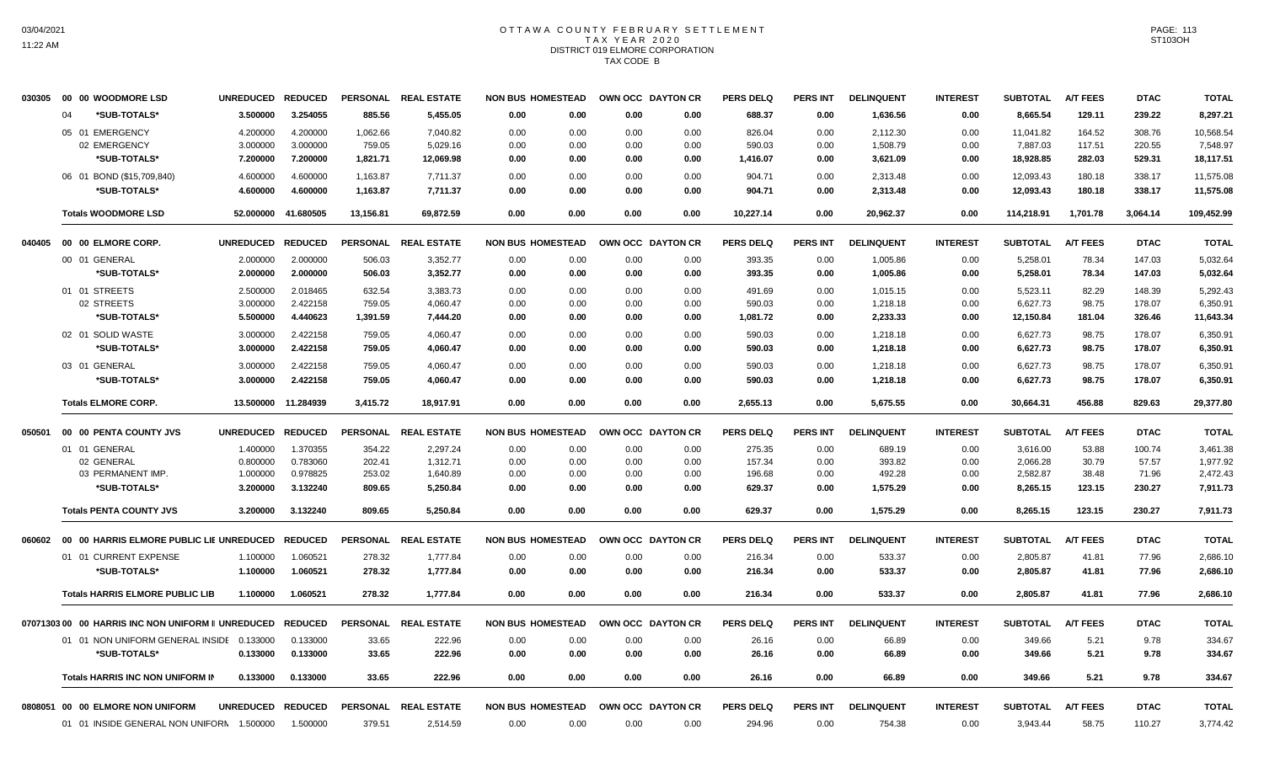# OTTAWA COUNTY FEBRUARY SETTLEMENT TAX YEAR 2020 DISTRICT 019 ELMORE CORPORATION TAX CODE B

| 030305 | 00 00 WOODMORE LSD                                | <b>UNREDUCED</b> | <b>REDUCED</b> |                 | PERSONAL REAL ESTATE | <b>NON BUS HOMESTEAD</b> |      |      | OWN OCC DAYTON CR | <b>PERS DELQ</b> | <b>PERS INT</b> | <b>DELINQUENT</b> | <b>INTEREST</b> | <b>SUBTOTAL</b> | <b>A/T FEES</b> | <b>DTAC</b> | <b>TOTAL</b> |
|--------|---------------------------------------------------|------------------|----------------|-----------------|----------------------|--------------------------|------|------|-------------------|------------------|-----------------|-------------------|-----------------|-----------------|-----------------|-------------|--------------|
|        | *SUB-TOTALS*<br>04                                | 3.500000         | 3.254055       | 885.56          | 5,455.05             | 0.00                     | 0.00 | 0.00 | 0.00              | 688.37           | 0.00            | 1,636.56          | 0.00            | 8,665.54        | 129.11          | 239.22      | 8,297.21     |
|        | 05 01 EMERGENCY                                   | 4.200000         | 4.200000       | 1,062.66        | 7,040.82             | 0.00                     | 0.00 | 0.00 | 0.00              | 826.04           | 0.00            | 2,112.30          | 0.00            | 11,041.82       | 164.52          | 308.76      | 10,568.54    |
|        | 02 EMERGENCY                                      | 3.000000         | 3.000000       | 759.05          | 5,029.16             | 0.00                     | 0.00 | 0.00 | 0.00              | 590.03           | 0.00            | 1,508.79          | 0.00            | 7,887.03        | 117.51          | 220.55      | 7,548.97     |
|        | *SUB-TOTALS*                                      | 7.200000         | 7.200000       | 1,821.71        | 12,069.98            | 0.00                     | 0.00 | 0.00 | 0.00              | 1,416.07         | 0.00            | 3,621.09          | 0.00            | 18,928.85       | 282.03          | 529.31      | 18,117.51    |
|        | 06 01 BOND (\$15,709,840)                         | 4.600000         | 4.600000       | 1,163.87        | 7,711.37             | 0.00                     | 0.00 | 0.00 | 0.00              | 904.71           | 0.00            | 2,313.48          | 0.00            | 12,093.43       | 180.18          | 338.17      | 11,575.08    |
|        | *SUB-TOTALS*                                      | 4.600000         | 4.600000       | 1,163.87        | 7,711.37             | 0.00                     | 0.00 | 0.00 | 0.00              | 904.71           | 0.00            | 2,313.48          | 0.00            | 12,093.43       | 180.18          | 338.17      | 11,575.08    |
|        | <b>Totals WOODMORE LSD</b>                        | 52.000000        | 41.680505      | 13,156.81       | 69,872.59            | 0.00                     | 0.00 | 0.00 | 0.00              | 10,227.14        | 0.00            | 20,962.37         | 0.00            | 114,218.91      | 1,701.78        | 3,064.14    | 109,452.99   |
| 040405 | 00 00 ELMORE CORP.                                | <b>UNREDUCED</b> | <b>REDUCED</b> |                 | PERSONAL REAL ESTATE | <b>NON BUS HOMESTEAD</b> |      |      | OWN OCC DAYTON CR | <b>PERS DELQ</b> | <b>PERS INT</b> | <b>DELINQUENT</b> | <b>INTEREST</b> | <b>SUBTOTAL</b> | <b>A/T FEES</b> | <b>DTAC</b> | <b>TOTAL</b> |
|        | 00 01 GENERAL                                     | 2.000000         | 2.000000       | 506.03          | 3,352.77             | 0.00                     | 0.00 | 0.00 | 0.00              | 393.35           | 0.00            | 1,005.86          | 0.00            | 5,258.01        | 78.34           | 147.03      | 5,032.64     |
|        | *SUB-TOTALS*                                      | 2.000000         | 2.000000       | 506.03          | 3,352.77             | 0.00                     | 0.00 | 0.00 | 0.00              | 393.35           | 0.00            | 1,005.86          | 0.00            | 5,258.01        | 78.34           | 147.03      | 5,032.64     |
|        | 01 01 STREETS                                     | 2.500000         | 2.018465       | 632.54          | 3,383.73             | 0.00                     | 0.00 | 0.00 | 0.00              | 491.69           | 0.00            | 1,015.15          | 0.00            | 5,523.11        | 82.29           | 148.39      | 5,292.43     |
|        | 02 STREETS                                        | 3.000000         | 2.422158       | 759.05          | 4,060.47             | 0.00                     | 0.00 | 0.00 | 0.00              | 590.03           | 0.00            | 1,218.18          | 0.00            | 6,627.73        | 98.75           | 178.07      | 6,350.91     |
|        | *SUB-TOTALS*                                      | 5.500000         | 4.440623       | 1,391.59        | 7,444.20             | 0.00                     | 0.00 | 0.00 | 0.00              | 1,081.72         | 0.00            | 2,233.33          | 0.00            | 12,150.84       | 181.04          | 326.46      | 11,643.34    |
|        | 02 01 SOLID WASTE                                 | 3.000000         | 2.422158       | 759.05          | 4,060.47             | 0.00                     | 0.00 | 0.00 | 0.00              | 590.03           | 0.00            | 1,218.18          | 0.00            | 6,627.73        | 98.75           | 178.07      | 6,350.91     |
|        | *SUB-TOTALS*                                      | 3.000000         | 2.422158       | 759.05          | 4,060.47             | 0.00                     | 0.00 | 0.00 | 0.00              | 590.03           | 0.00            | 1,218.18          | 0.00            | 6,627.73        | 98.75           | 178.07      | 6,350.91     |
|        | 03 01 GENERAL                                     | 3.000000         | 2.422158       | 759.05          | 4,060.47             | 0.00                     | 0.00 | 0.00 | 0.00              | 590.03           | 0.00            | 1,218.18          | 0.00            | 6,627.73        | 98.75           | 178.07      | 6,350.91     |
|        | *SUB-TOTALS*                                      | 3.000000         | 2.422158       | 759.05          | 4,060.47             | 0.00                     | 0.00 | 0.00 | 0.00              | 590.03           | 0.00            | 1,218.18          | 0.00            | 6,627.73        | 98.75           | 178.07      | 6,350.91     |
|        | <b>Totals ELMORE CORP.</b>                        | 13.500000        | 11.284939      | 3,415.72        | 18,917.91            | 0.00                     | 0.00 | 0.00 | 0.00              | 2,655.13         | 0.00            | 5,675.55          | 0.00            | 30,664.31       | 456.88          | 829.63      | 29,377.80    |
| 050501 | 00 00 PENTA COUNTY JVS                            | <b>UNREDUCED</b> | <b>REDUCED</b> |                 | PERSONAL REAL ESTATE | <b>NON BUS HOMESTEAD</b> |      |      | OWN OCC DAYTON CR | <b>PERS DELQ</b> | PERS INT        | <b>DELINQUENT</b> | <b>INTEREST</b> | <b>SUBTOTAL</b> | <b>A/T FEES</b> | <b>DTAC</b> | <b>TOTAL</b> |
|        | 01 01 GENERAL                                     | 1.400000         | 1.370355       | 354.22          | 2,297.24             | 0.00                     | 0.00 | 0.00 | 0.00              | 275.35           | 0.00            | 689.19            | 0.00            | 3,616.00        | 53.88           | 100.74      | 3,461.38     |
|        | 02 GENERAL                                        | 0.800000         | 0.783060       | 202.41          | 1,312.71             | 0.00                     | 0.00 | 0.00 | 0.00              | 157.34           | 0.00            | 393.82            | 0.00            | 2,066.28        | 30.79           | 57.57       | 1,977.92     |
|        | 03 PERMANENT IMP.                                 | 1.000000         | 0.978825       | 253.02          | 1,640.89             | 0.00                     | 0.00 | 0.00 | 0.00              | 196.68           | 0.00            | 492.28            | 0.00            | 2,582.87        | 38.48           | 71.96       | 2,472.43     |
|        | *SUB-TOTALS*                                      | 3.200000         | 3.132240       | 809.65          | 5,250.84             | 0.00                     | 0.00 | 0.00 | 0.00              | 629.37           | 0.00            | 1,575.29          | 0.00            | 8,265.15        | 123.15          | 230.27      | 7,911.73     |
|        | <b>Totals PENTA COUNTY JVS</b>                    | 3.200000         | 3.132240       | 809.65          | 5,250.84             | 0.00                     | 0.00 | 0.00 | 0.00              | 629.37           | 0.00            | 1,575.29          | 0.00            | 8,265.15        | 123.15          | 230.27      | 7,911.73     |
| 060602 | 00 00 HARRIS ELMORE PUBLIC LIE UNREDUCED          |                  | <b>REDUCED</b> | <b>PERSONAL</b> | <b>REAL ESTATE</b>   | <b>NON BUS HOMESTEAD</b> |      |      | OWN OCC DAYTON CR | <b>PERS DELQ</b> | <b>PERS INT</b> | <b>DELINQUENT</b> | <b>INTEREST</b> | <b>SUBTOTAL</b> | <b>A/T FEES</b> | <b>DTAC</b> | <b>TOTAL</b> |
|        | 01 01 CURRENT EXPENSE                             | 1.100000         | 1.060521       | 278.32          | 1,777.84             | 0.00                     | 0.00 | 0.00 | 0.00              | 216.34           | 0.00            | 533.37            | 0.00            | 2,805.87        | 41.81           | 77.96       | 2,686.10     |
|        | *SUB-TOTALS*                                      | 1.100000         | 1.060521       | 278.32          | 1,777.84             | 0.00                     | 0.00 | 0.00 | 0.00              | 216.34           | 0.00            | 533.37            | 0.00            | 2,805.87        | 41.81           | 77.96       | 2,686.10     |
|        | <b>Totals HARRIS ELMORE PUBLIC LIB</b>            | 1.100000         | 1.060521       | 278.32          | 1,777.84             | 0.00                     | 0.00 | 0.00 | 0.00              | 216.34           | 0.00            | 533.37            | 0.00            | 2,805.87        | 41.81           | 77.96       | 2,686.10     |
|        | 0707130300 00 HARRIS INC NON UNIFORM II UNREDUCED |                  | <b>REDUCED</b> | <b>PERSONAL</b> | <b>REAL ESTATE</b>   | <b>NON BUS HOMESTEAD</b> |      |      | OWN OCC DAYTON CR | <b>PERS DELQ</b> | PERS INT        | <b>DELINQUENT</b> | <b>INTEREST</b> | <b>SUBTOTAL</b> | <b>A/T FEES</b> | <b>DTAC</b> | <b>TOTAL</b> |
|        | 01 01 NON UNIFORM GENERAL INSIDE 0.133000         |                  | 0.133000       | 33.65           | 222.96               | 0.00                     | 0.00 | 0.00 | 0.00              | 26.16            | 0.00            | 66.89             | 0.00            | 349.66          | 5.21            | 9.78        | 334.67       |
|        | *SUB-TOTALS*                                      | 0.133000         | 0.133000       | 33.65           | 222.96               | 0.00                     | 0.00 | 0.00 | 0.00              | 26.16            | 0.00            | 66.89             | 0.00            | 349.66          | 5.21            | 9.78        | 334.67       |
|        |                                                   |                  |                |                 |                      |                          |      |      |                   |                  |                 |                   |                 |                 |                 |             |              |
|        | <b>Totals HARRIS INC NON UNIFORM IN</b>           | 0.133000         | 0.133000       | 33.65           | 222.96               | 0.00                     | 0.00 | 0.00 | 0.00              | 26.16            | 0.00            | 66.89             | 0.00            | 349.66          | 5.21            | 9.78        | 334.67       |
|        | 0808051 00 00 ELMORE NON UNIFORM                  |                  |                |                 |                      |                          |      |      |                   |                  |                 |                   |                 |                 |                 |             |              |
|        |                                                   | <b>UNREDUCED</b> | <b>REDUCED</b> |                 | PERSONAL REAL ESTATE | <b>NON BUS HOMESTEAD</b> |      |      | OWN OCC DAYTON CR | <b>PERS DELQ</b> | <b>PERS INT</b> | <b>DELINQUENT</b> | <b>INTEREST</b> | <b>SUBTOTAL</b> | <b>A/T FEES</b> | <b>DTAC</b> | <b>TOTAL</b> |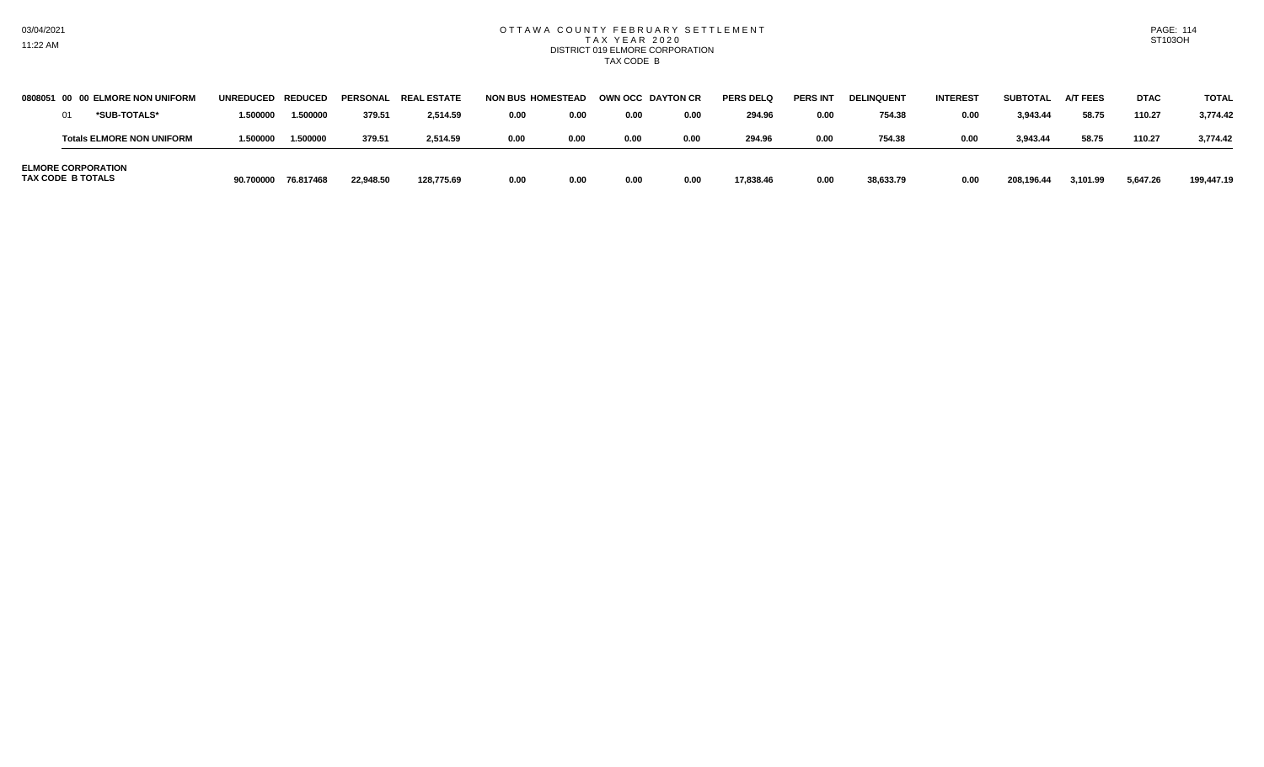#### OTTAWA COUNTY FEBRUARY SETTLEMENT T A X Y E A R 2 0 2 0 DISTRICT 019 ELMORE CORPORATION TAX CODE B

| 0808051 00               | <b>00 ELMORE NON UNIFORM</b>     | UNREDUCED REDUCED |           |           | PERSONAL REAL ESTATE | <b>NON BUS HOMESTEAD</b> |      |      | OWN OCC DAYTON CR | <b>PERS DELQ</b> | <b>PERS IN</b> | <b>DELINQUENT</b> | <b>INTEREST</b> | SUBTOTAL   | <b>A/T FEES</b> | <b>DTAC</b> | <b>TOTAL</b> |
|--------------------------|----------------------------------|-------------------|-----------|-----------|----------------------|--------------------------|------|------|-------------------|------------------|----------------|-------------------|-----------------|------------|-----------------|-------------|--------------|
|                          | *SUB-TOTALS*                     | 1.500000          | 1.500000  | 379.5     | 2.514.59             | 0.00                     | 0.00 | 0.00 | 0.00              | 294.96           | 0.00           | 754.38            | 0.00            | 3,943.44   | 58.75           | 110.27      | 3.774.42     |
|                          | <b>Totals ELMORE NON UNIFORM</b> | 1.500000          | 1,500000  | 379.51    | 2.514.59             | 0.00                     | 0.00 | 0.00 | 0.00              | 294.96           | 0.00           | 754.38            | 0.00            | 3,943.44   | 58.75           | 110.27      | 3.774.42     |
| <b>TAX CODE B TOTALS</b> | <b>ELMORE CORPORATION</b>        | 90.700000         | 76.817468 | 22.948.50 | 128.775.69           | 0.00                     | 0.00 | 0.00 | 0.00              | 17,838.46        | 0.00           | 38,633.79         | 0.00            | 208.196.44 | 3,101.99        | 5,647.26    | 199,447.19   |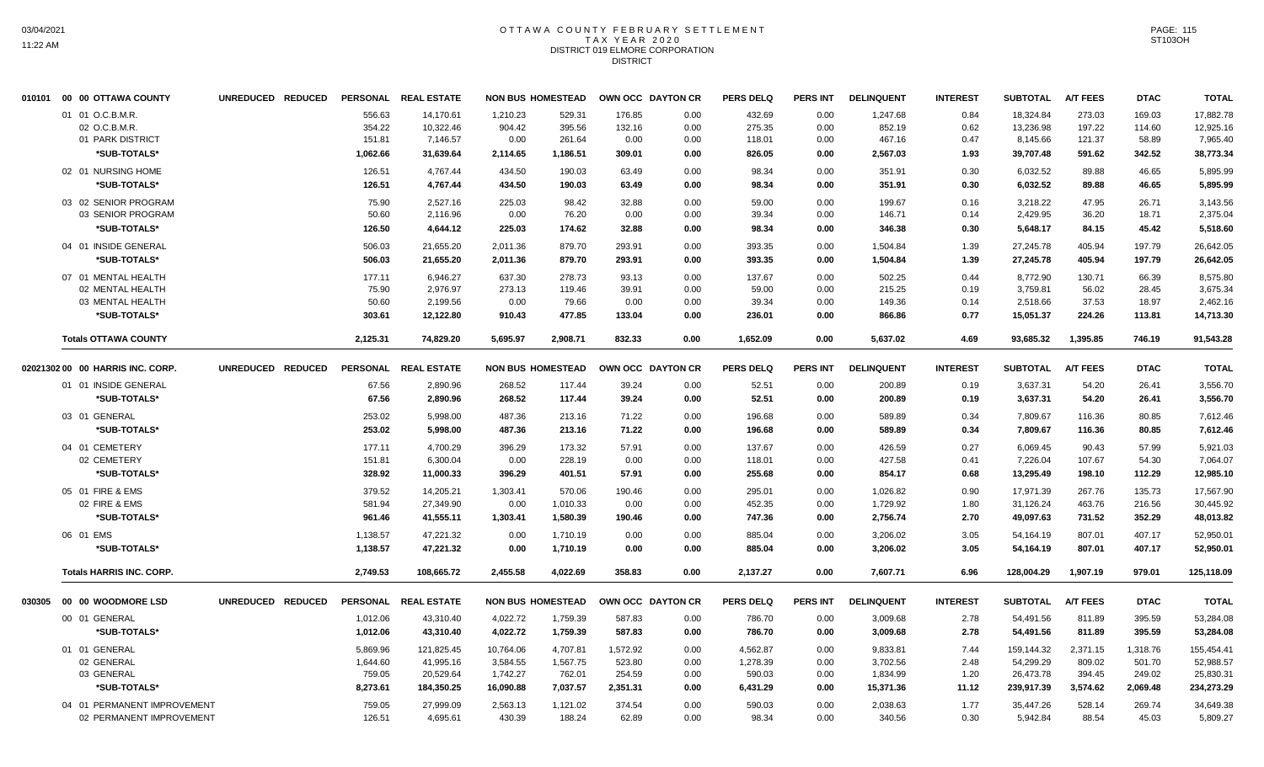# OTTAWA COUNTY FEBRUARY SETTLEMENT TAX YEAR 2020 DISTRICT 019 ELMORE CORPORATION DISTRICT

|        | 010101 00 00 OTTAWA COUNTY       | UNREDUCED REDUCED |          | PERSONAL REAL ESTATE |           | <b>NON BUS HOMESTEAD</b> | OWN OCC DAYTON CR |      | <b>PERS DELQ</b> | <b>PERS INT</b> | <b>DELINQUENT</b> | <b>INTEREST</b> | <b>SUBTOTAL</b> | <b>A/T FEES</b> | <b>DTAC</b> | <b>TOTAL</b> |
|--------|----------------------------------|-------------------|----------|----------------------|-----------|--------------------------|-------------------|------|------------------|-----------------|-------------------|-----------------|-----------------|-----------------|-------------|--------------|
|        | 01 01 O.C.B.M.R.                 |                   | 556.63   | 14.170.61            | 1.210.23  | 529.31                   | 176.85            | 0.00 | 432.69           | 0.00            | 1,247.68          | 0.84            | 18.324.84       | 273.03          | 169.03      | 17.882.78    |
|        | 02 O.C.B.M.R.                    |                   | 354.22   | 10,322.46            | 904.42    | 395.56                   | 132.16            | 0.00 | 275.35           | 0.00            | 852.19            | 0.62            | 13,236.98       | 197.22          | 114.60      | 12,925.16    |
|        | 01 PARK DISTRICT                 |                   | 151.81   | 7,146.57             | 0.00      | 261.64                   | 0.00              | 0.00 | 118.01           | 0.00            | 467.16            | 0.47            | 8,145.66        | 121.37          | 58.89       | 7,965.40     |
|        | *SUB-TOTALS*                     |                   | 1,062.66 | 31,639.64            | 2,114.65  | 1,186.51                 | 309.01            | 0.00 | 826.05           | 0.00            | 2,567.03          | 1.93            | 39,707.48       | 591.62          | 342.52      | 38,773.34    |
|        | 02 01 NURSING HOME               |                   | 126.51   | 4,767.44             | 434.50    | 190.03                   | 63.49             | 0.00 | 98.34            | 0.00            | 351.91            | 0.30            | 6,032.52        | 89.88           | 46.65       | 5,895.99     |
|        | *SUB-TOTALS*                     |                   | 126.51   | 4.767.44             | 434.50    | 190.03                   | 63.49             | 0.00 | 98.34            | 0.00            | 351.91            | 0.30            | 6,032.52        | 89.88           | 46.65       | 5.895.99     |
|        | 03 02 SENIOR PROGRAM             |                   | 75.90    | 2,527.16             | 225.03    | 98.42                    | 32.88             | 0.00 | 59.00            | 0.00            | 199.67            | 0.16            | 3,218.22        | 47.95           | 26.71       | 3,143.56     |
|        | 03 SENIOR PROGRAM                |                   | 50.60    | 2.116.96             | 0.00      | 76.20                    | 0.00              | 0.00 | 39.34            | 0.00            | 146.71            | 0.14            | 2,429.95        | 36.20           | 18.71       | 2,375.04     |
|        | *SUB-TOTALS*                     |                   | 126.50   | 4,644.12             | 225.03    | 174.62                   | 32.88             | 0.00 | 98.34            | 0.00            | 346.38            | 0.30            | 5,648.17        | 84.15           | 45.42       | 5,518.60     |
|        | 04 01 INSIDE GENERAL             |                   | 506.03   | 21,655.20            | 2,011.36  | 879.70                   | 293.91            | 0.00 | 393.35           | 0.00            | 1,504.84          | 1.39            | 27,245.78       | 405.94          | 197.79      | 26,642.05    |
|        | *SUB-TOTALS*                     |                   | 506.03   | 21,655.20            | 2,011.36  | 879.70                   | 293.91            | 0.00 | 393.35           | 0.00            | 1,504.84          | 1.39            | 27,245.78       | 405.94          | 197.79      | 26,642.05    |
|        | 07 01 MENTAL HEALTH              |                   | 177.11   | 6,946.27             | 637.30    | 278.73                   | 93.13             | 0.00 | 137.67           | 0.00            | 502.25            | 0.44            | 8,772.90        | 130.71          | 66.39       | 8,575.80     |
|        | 02 MENTAL HEALTH                 |                   | 75.90    | 2,976.97             | 273.13    | 119.46                   | 39.91             | 0.00 | 59.00            | 0.00            | 215.25            | 0.19            | 3,759.81        | 56.02           | 28.45       | 3,675.34     |
|        | 03 MENTAL HEALTH                 |                   | 50.60    | 2,199.56             | 0.00      | 79.66                    | 0.00              | 0.00 | 39.34            | 0.00            | 149.36            | 0.14            | 2,518.66        | 37.53           | 18.97       | 2,462.16     |
|        | *SUB-TOTALS*                     |                   | 303.61   | 12,122.80            | 910.43    | 477.85                   | 133.04            | 0.00 | 236.01           | 0.00            | 866.86            | 0.77            | 15,051.37       | 224.26          | 113.81      | 14,713.30    |
|        | <b>Totals OTTAWA COUNTY</b>      |                   | 2,125.31 | 74.829.20            | 5.695.97  | 2.908.71                 | 832.33            | 0.00 | 1.652.09         | 0.00            | 5.637.02          | 4.69            | 93.685.32       | 1.395.85        | 746.19      | 91.543.28    |
|        | 02021302 00 00 HARRIS INC. CORP. | UNREDUCED REDUCED |          | PERSONAL REAL ESTATE |           | <b>NON BUS HOMESTEAD</b> | OWN OCC DAYTON CR |      | <b>PERS DELQ</b> | <b>PERS INT</b> | <b>DELINQUENT</b> | <b>INTEREST</b> | <b>SUBTOTAL</b> | <b>A/T FEES</b> | <b>DTAC</b> | <b>TOTAL</b> |
|        | 01 01 INSIDE GENERAL             |                   | 67.56    | 2,890.96             | 268.52    | 117.44                   | 39.24             | 0.00 | 52.51            | 0.00            | 200.89            | 0.19            | 3,637.31        | 54.20           | 26.41       | 3,556.70     |
|        | *SUB-TOTALS*                     |                   | 67.56    | 2,890.96             | 268.52    | 117.44                   | 39.24             | 0.00 | 52.51            | 0.00            | 200.89            | 0.19            | 3,637.31        | 54.20           | 26.41       | 3,556.70     |
|        | 03 01 GENERAL                    |                   | 253.02   | 5,998.00             | 487.36    | 213.16                   | 71.22             | 0.00 | 196.68           | 0.00            | 589.89            | 0.34            | 7,809.67        | 116.36          | 80.85       | 7,612.46     |
|        | *SUB-TOTALS*                     |                   | 253.02   | 5,998.00             | 487.36    | 213.16                   | 71.22             | 0.00 | 196.68           | 0.00            | 589.89            | 0.34            | 7,809.67        | 116.36          | 80.85       | 7,612.46     |
|        | 04 01 CEMETERY                   |                   | 177.11   | 4,700.29             | 396.29    | 173.32                   | 57.91             | 0.00 | 137.67           | 0.00            | 426.59            | 0.27            | 6,069.45        | 90.43           | 57.99       | 5,921.03     |
|        | 02 CEMETERY                      |                   | 151.81   | 6,300.04             | 0.00      | 228.19                   | 0.00              | 0.00 | 118.01           | 0.00            | 427.58            | 0.41            | 7,226.04        | 107.67          | 54.30       | 7,064.07     |
|        | *SUB-TOTALS*                     |                   | 328.92   | 11,000.33            | 396.29    | 401.51                   | 57.91             | 0.00 | 255.68           | 0.00            | 854.17            | 0.68            | 13,295.49       | 198.10          | 112.29      | 12,985.10    |
|        | 05 01 FIRE & EMS                 |                   | 379.52   | 14,205.21            | 1,303.41  | 570.06                   | 190.46            | 0.00 | 295.01           | 0.00            | 1,026.82          | 0.90            | 17,971.39       | 267.76          | 135.73      | 17,567.90    |
|        | 02 FIRE & EMS                    |                   | 581.94   | 27,349.90            | 0.00      | 1,010.33                 | 0.00              | 0.00 | 452.35           | 0.00            | 1,729.92          | 1.80            | 31,126.24       | 463.76          | 216.56      | 30,445.92    |
|        | *SUB-TOTALS*                     |                   | 961.46   | 41,555.11            | 1,303.41  | 1,580.39                 | 190.46            | 0.00 | 747.36           | 0.00            | 2,756.74          | 2.70            | 49,097.63       | 731.52          | 352.29      | 48,013.82    |
|        | 06 01 EMS                        |                   | 1,138.57 | 47,221.32            | 0.00      | 1,710.19                 | 0.00              | 0.00 | 885.04           | 0.00            | 3,206.02          | 3.05            | 54,164.19       | 807.01          | 407.17      | 52,950.01    |
|        | *SUB-TOTALS*                     |                   | 1,138.57 | 47,221.32            | 0.00      | 1,710.19                 | 0.00              | 0.00 | 885.04           | 0.00            | 3,206.02          | 3.05            | 54,164.19       | 807.01          | 407.17      | 52,950.01    |
|        | <b>Totals HARRIS INC. CORP.</b>  |                   | 2,749.53 | 108,665.72           | 2.455.58  | 4.022.69                 | 358.83            | 0.00 | 2,137.27         | 0.00            | 7,607.71          | 6.96            | 128,004.29      | 1.907.19        | 979.01      | 125,118.09   |
| 030305 | 00 00 WOODMORE LSD               | UNREDUCED REDUCED |          | PERSONAL REAL ESTATE |           | <b>NON BUS HOMESTEAD</b> | OWN OCC DAYTON CR |      | <b>PERS DELQ</b> | <b>PERS INT</b> | <b>DELINQUENT</b> | <b>INTEREST</b> | <b>SUBTOTAL</b> | <b>A/T FEES</b> | <b>DTAC</b> | <b>TOTAL</b> |
|        | 00 01 GENERAL                    |                   | 1,012.06 | 43,310.40            | 4,022.72  | 1,759.39                 | 587.83            | 0.00 | 786.70           | 0.00            | 3,009.68          | 2.78            | 54,491.56       | 811.89          | 395.59      | 53,284.08    |
|        | *SUB-TOTALS*                     |                   | 1,012.06 | 43,310.40            | 4,022.72  | 1,759.39                 | 587.83            | 0.00 | 786.70           | 0.00            | 3,009.68          | 2.78            | 54,491.56       | 811.89          | 395.59      | 53,284.08    |
|        | 01 01 GENERAL                    |                   | 5,869.96 | 121,825.45           | 10,764.06 | 4,707.81                 | 1,572.92          | 0.00 | 4,562.87         | 0.00            | 9,833.81          | 7.44            | 159,144.32      | 2,371.15        | 1,318.76    | 155,454.41   |
|        | 02 GENERAL                       |                   | 1,644.60 | 41,995.16            | 3,584.55  | 1,567.75                 | 523.80            | 0.00 | 1,278.39         | 0.00            | 3,702.56          | 2.48            | 54,299.29       | 809.02          | 501.70      | 52,988.57    |
|        | 03 GENERAL                       |                   | 759.05   | 20,529.64            | 1,742.27  | 762.01                   | 254.59            | 0.00 | 590.03           | 0.00            | 1,834.99          | 1.20            | 26,473.78       | 394.45          | 249.02      | 25,830.31    |
|        | *SUB-TOTALS*                     |                   | 8,273.61 | 184,350.25           | 16,090.88 | 7,037.57                 | 2,351.31          | 0.00 | 6,431.29         | 0.00            | 15,371.36         | 11.12           | 239,917.39      | 3,574.62        | 2,069.48    | 234,273.29   |
|        | 04 01 PERMANENT IMPROVEMENT      |                   | 759.05   | 27,999.09            | 2,563.13  | 1,121.02                 | 374.54            | 0.00 | 590.03           | 0.00            | 2,038.63          | 1.77            | 35,447.26       | 528.14          | 269.74      | 34,649.38    |
|        | 02 PERMANENT IMPROVEMENT         |                   | 126.51   | 4,695.61             | 430.39    | 188.24                   | 62.89             | 0.00 | 98.34            | 0.00            | 340.56            | 0.30            | 5,942.84        | 88.54           | 45.03       | 5,809.27     |
|        |                                  |                   |          |                      |           |                          |                   |      |                  |                 |                   |                 |                 |                 |             |              |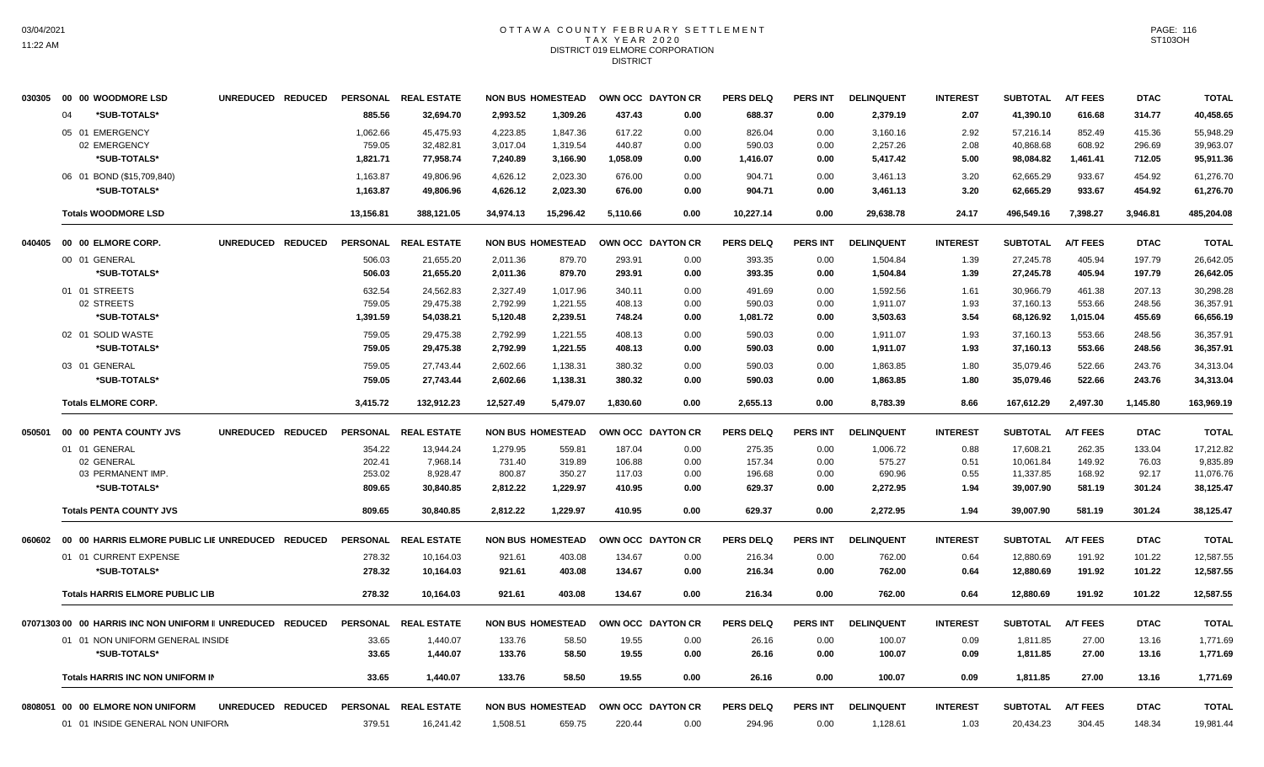# OTTAWA COUNTY FEBRUARY SETTLEMENT TAX YEAR 2020 DISTRICT 019 ELMORE CORPORATION DISTRICT

| 030305  | 00 00 WOODMORE LSD                                         | UNREDUCED REDUCED | PERSONAL        | <b>REAL ESTATE</b> |           | <b>NON BUS HOMESTEAD</b> |          | OWN OCC DAYTON CR | <b>PERS DELQ</b> | <b>PERS INT</b> | <b>DELINQUENT</b> | <b>INTEREST</b> | <b>SUBTOTAL</b> | <b>A/T FEES</b> | <b>DTAC</b> | <b>TOTAL</b> |
|---------|------------------------------------------------------------|-------------------|-----------------|--------------------|-----------|--------------------------|----------|-------------------|------------------|-----------------|-------------------|-----------------|-----------------|-----------------|-------------|--------------|
|         | *SUB-TOTALS*<br>04                                         |                   | 885.56          | 32,694.70          | 2,993.52  | 1,309.26                 | 437.43   | 0.00              | 688.37           | 0.00            | 2,379.19          | 2.07            | 41,390.10       | 616.68          | 314.77      | 40,458.65    |
|         | 05 01 EMERGENCY                                            |                   | 1,062.66        | 45,475.93          | 4,223.85  | 1,847.36                 | 617.22   | 0.00              | 826.04           | 0.00            | 3,160.16          | 2.92            | 57,216.14       | 852.49          | 415.36      | 55,948.29    |
|         | 02 EMERGENCY                                               |                   | 759.05          | 32,482.81          | 3,017.04  | 1,319.54                 | 440.87   | 0.00              | 590.03           | 0.00            | 2,257.26          | 2.08            | 40,868.68       | 608.92          | 296.69      | 39,963.07    |
|         | *SUB-TOTALS*                                               |                   | 1,821.71        | 77,958.74          | 7,240.89  | 3,166.90                 | 1,058.09 | 0.00              | 1,416.07         | 0.00            | 5,417.42          | 5.00            | 98,084.82       | 1,461.41        | 712.05      | 95,911.36    |
|         | 06 01 BOND (\$15,709,840)                                  |                   | 1,163.87        | 49,806.96          | 4,626.12  | 2,023.30                 | 676.00   | 0.00              | 904.71           | 0.00            | 3,461.13          | 3.20            | 62,665.29       | 933.67          | 454.92      | 61,276.70    |
|         | *SUB-TOTALS*                                               |                   | 1,163.87        | 49.806.96          | 4,626.12  | 2.023.30                 | 676.00   | 0.00              | 904.71           | 0.00            | 3,461.13          | 3.20            | 62.665.29       | 933.67          | 454.92      | 61,276.70    |
|         | <b>Totals WOODMORE LSD</b>                                 |                   | 13,156.81       | 388,121.05         | 34,974.13 | 15,296.42                | 5,110.66 | 0.00              | 10,227.14        | 0.00            | 29,638.78         | 24.17           | 496,549.16      | 7,398.27        | 3,946.81    | 485,204.08   |
| 040405  | 00 00 ELMORE CORP.                                         | UNREDUCED REDUCED | <b>PERSONAL</b> | <b>REAL ESTATE</b> |           | <b>NON BUS HOMESTEAD</b> |          | OWN OCC DAYTON CR | <b>PERS DELQ</b> | <b>PERS INT</b> | <b>DELINQUENT</b> | <b>INTEREST</b> | <b>SUBTOTAL</b> | <b>A/T FEES</b> | <b>DTAC</b> | <b>TOTAL</b> |
|         | 00 01 GENERAL                                              |                   | 506.03          | 21,655.20          | 2.011.36  | 879.70                   | 293.91   | 0.00              | 393.35           | 0.00            | 1,504.84          | 1.39            | 27,245.78       | 405.94          | 197.79      | 26,642.05    |
|         | *SUB-TOTALS*                                               |                   | 506.03          | 21,655.20          | 2,011.36  | 879.70                   | 293.91   | 0.00              | 393.35           | 0.00            | 1,504.84          | 1.39            | 27,245.78       | 405.94          | 197.79      | 26,642.05    |
|         | 01 01 STREETS                                              |                   | 632.54          | 24,562.83          | 2,327.49  | 1,017.96                 | 340.11   | 0.00              | 491.69           | 0.00            | 1,592.56          | 1.61            | 30,966.79       | 461.38          | 207.13      | 30,298.28    |
|         | 02 STREETS                                                 |                   | 759.05          | 29,475.38          | 2,792.99  | 1,221.55                 | 408.13   | 0.00              | 590.03           | 0.00            | 1,911.07          | 1.93            | 37,160.13       | 553.66          | 248.56      | 36,357.91    |
|         | *SUB-TOTALS*                                               |                   | 1,391.59        | 54,038.21          | 5,120.48  | 2,239.51                 | 748.24   | 0.00              | 1,081.72         | 0.00            | 3,503.63          | 3.54            | 68,126.92       | 1,015.04        | 455.69      | 66,656.19    |
|         | 02 01 SOLID WASTE                                          |                   | 759.05          | 29,475.38          | 2,792.99  | 1,221.55                 | 408.13   | 0.00              | 590.03           | 0.00            | 1,911.07          | 1.93            | 37,160.13       | 553.66          | 248.56      | 36,357.91    |
|         | *SUB-TOTALS*                                               |                   | 759.05          | 29,475.38          | 2,792.99  | 1,221.55                 | 408.13   | 0.00              | 590.03           | 0.00            | 1,911.07          | 1.93            | 37,160.13       | 553.66          | 248.56      | 36,357.91    |
|         | 03 01 GENERAL                                              |                   | 759.05          | 27,743.44          | 2,602.66  | 1,138.31                 | 380.32   | 0.00              | 590.03           | 0.00            | 1,863.85          | 1.80            | 35,079.46       | 522.66          | 243.76      | 34,313.04    |
|         | *SUB-TOTALS*                                               |                   | 759.05          | 27.743.44          | 2.602.66  | 1,138.31                 | 380.32   | 0.00              | 590.03           | 0.00            | 1,863.85          | 1.80            | 35.079.46       | 522.66          | 243.76      | 34,313.04    |
|         | <b>Totals ELMORE CORP.</b>                                 |                   | 3,415.72        | 132,912.23         | 12,527.49 | 5,479.07                 | 1,830.60 | 0.00              | 2,655.13         | 0.00            | 8,783.39          | 8.66            | 167,612.29      | 2,497.30        | 1,145.80    | 163,969.19   |
| 050501  | 00 00 PENTA COUNTY JVS                                     | UNREDUCED REDUCED | <b>PERSONAL</b> | <b>REAL ESTATE</b> |           | <b>NON BUS HOMESTEAD</b> |          | OWN OCC DAYTON CR | <b>PERS DELQ</b> | <b>PERS INT</b> | <b>DELINQUENT</b> | <b>INTEREST</b> | <b>SUBTOTAL</b> | <b>A/T FEES</b> | <b>DTAC</b> | <b>TOTAL</b> |
|         | 01 01 GENERAL                                              |                   | 354.22          | 13,944.24          | 1,279.95  | 559.81                   | 187.04   | 0.00              | 275.35           | 0.00            | 1,006.72          | 0.88            | 17,608.21       | 262.35          | 133.04      | 17,212.82    |
|         | 02 GENERAL                                                 |                   | 202.41          | 7,968.14           | 731.40    | 319.89                   | 106.88   | 0.00              | 157.34           | 0.00            | 575.27            | 0.51            | 10,061.84       | 149.92          | 76.03       | 9,835.89     |
|         | 03 PERMANENT IMP.                                          |                   | 253.02          | 8,928.47           | 800.87    | 350.27                   | 117.03   | 0.00              | 196.68           | 0.00            | 690.96            | 0.55            | 11,337.85       | 168.92          | 92.17       | 11,076.76    |
|         | *SUB-TOTALS*                                               |                   | 809.65          | 30,840.85          | 2,812.22  | 1,229.97                 | 410.95   | 0.00              | 629.37           | 0.00            | 2,272.95          | 1.94            | 39,007.90       | 581.19          | 301.24      | 38,125.47    |
|         | <b>Totals PENTA COUNTY JVS</b>                             |                   | 809.65          | 30.840.85          | 2.812.22  | 1.229.97                 | 410.95   | 0.00              | 629.37           | 0.00            | 2,272.95          | 1.94            | 39,007.90       | 581.19          | 301.24      | 38,125.47    |
| 060602  | 00 00 HARRIS ELMORE PUBLIC LIE UNREDUCED REDUCED           |                   | <b>PERSONAL</b> | <b>REAL ESTATE</b> |           | <b>NON BUS HOMESTEAD</b> |          | OWN OCC DAYTON CR | <b>PERS DELQ</b> | <b>PERS INT</b> | <b>DELINQUENT</b> | <b>INTEREST</b> | <b>SUBTOTAL</b> | <b>A/T FEES</b> | <b>DTAC</b> | <b>TOTAL</b> |
|         | 01 01 CURRENT EXPENSE                                      |                   | 278.32          | 10,164.03          | 921.61    | 403.08                   | 134.67   | 0.00              | 216.34           | 0.00            | 762.00            | 0.64            | 12,880.69       | 191.92          | 101.22      | 12,587.55    |
|         | *SUB-TOTALS*                                               |                   | 278.32          | 10,164.03          | 921.61    | 403.08                   | 134.67   | 0.00              | 216.34           | 0.00            | 762.00            | 0.64            | 12,880.69       | 191.92          | 101.22      | 12,587.55    |
|         | <b>Totals HARRIS ELMORE PUBLIC LIB</b>                     |                   | 278.32          | 10.164.03          | 921.61    | 403.08                   | 134.67   | 0.00              | 216.34           | 0.00            | 762.00            | 0.64            | 12.880.69       | 191.92          | 101.22      | 12,587.55    |
|         | 07071303 00 00 HARRIS INC NON UNIFORM II UNREDUCED REDUCED |                   | <b>PERSONAL</b> | <b>REAL ESTATE</b> |           | <b>NON BUS HOMESTEAD</b> |          | OWN OCC DAYTON CR | <b>PERS DELQ</b> | <b>PERS INT</b> | <b>DELINQUENT</b> | <b>INTEREST</b> | <b>SUBTOTAL</b> | <b>A/T FEES</b> | <b>DTAC</b> | <b>TOTAL</b> |
|         | 01 01 NON UNIFORM GENERAL INSIDE                           |                   | 33.65           | 1,440.07           | 133.76    | 58.50                    | 19.55    | 0.00              | 26.16            | 0.00            | 100.07            | 0.09            | 1,811.85        | 27.00           | 13.16       | 1,771.69     |
|         | *SUB-TOTALS*                                               |                   | 33.65           | 1,440.07           | 133.76    | 58.50                    | 19.55    | 0.00              | 26.16            | 0.00            | 100.07            | 0.09            | 1,811.85        | 27.00           | 13.16       | 1,771.69     |
|         | <b>Totals HARRIS INC NON UNIFORM IN</b>                    |                   | 33.65           | 1,440.07           | 133.76    | 58.50                    | 19.55    | 0.00              | 26.16            | 0.00            | 100.07            | 0.09            | 1,811.85        | 27.00           | 13.16       | 1,771.69     |
| 0808051 | 00 00 ELMORE NON UNIFORM                                   | UNREDUCED REDUCED | <b>PERSONAL</b> | <b>REAL ESTATE</b> |           | <b>NON BUS HOMESTEAD</b> |          | OWN OCC DAYTON CR | <b>PERS DELQ</b> | <b>PERS INT</b> | <b>DELINQUENT</b> | <b>INTEREST</b> | <b>SUBTOTAL</b> | <b>A/T FEES</b> | <b>DTAC</b> | <b>TOTAL</b> |
|         | 01 01 INSIDE GENERAL NON UNIFORM                           |                   | 379.51          | 16,241.42          | 1,508.51  | 659.75                   | 220.44   | 0.00              | 294.96           | 0.00            | 1,128.61          | 1.03            | 20,434.23       | 304.45          | 148.34      | 19,981.44    |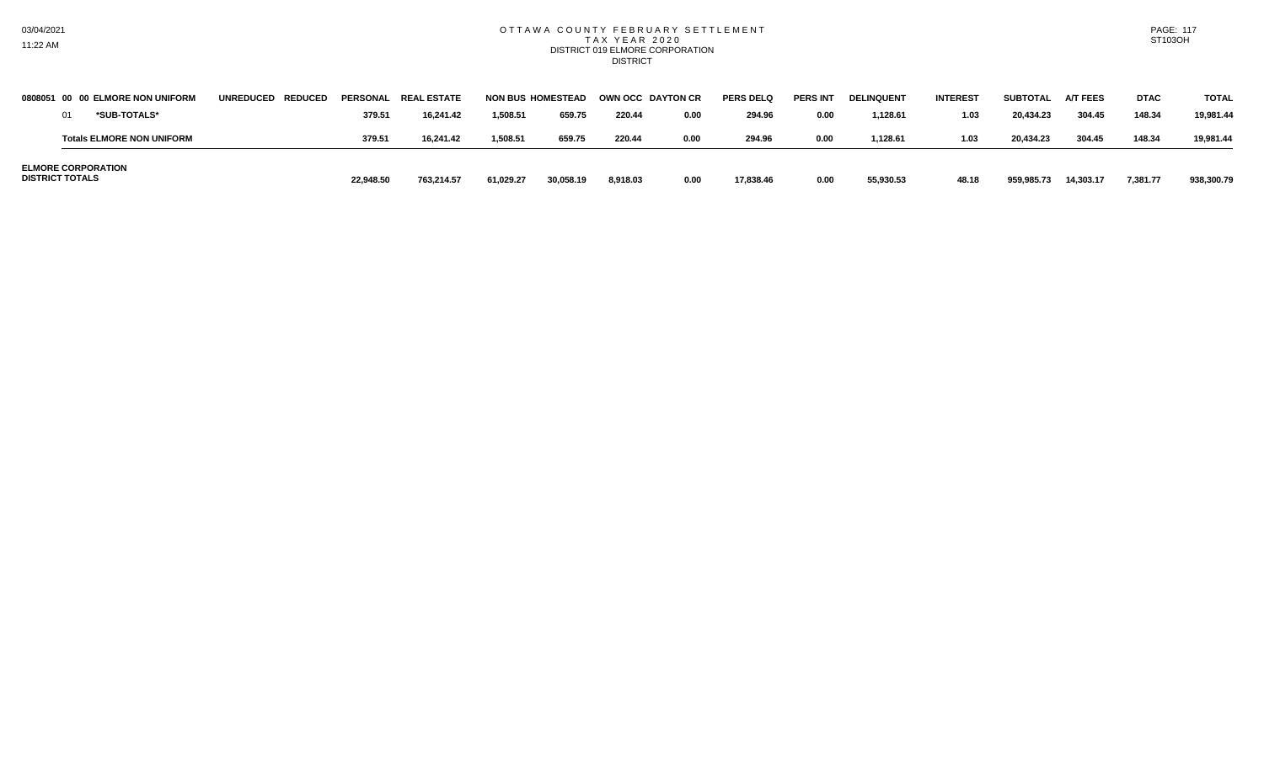#### OTTAWA COUNTY FEBRUARY SETTLEMENT T A X Y E A R 2 0 2 0 DISTRICT 019 ELMORE CORPORATION **DISTRICT**

| <b>DISTRICT TOTALS</b> | <b>ELMORE CORPORATION</b>        |                   | 22.948.50       | 763.214.57         | 61,029.27                | 30,058.19 | 8,918.03                 | 0.00 | 17,838.46        | 0.00            | 55,930.53         | 48.18           | 959,985.73      | 14,303.17       | 7,381.77    | 938,300.79   |
|------------------------|----------------------------------|-------------------|-----------------|--------------------|--------------------------|-----------|--------------------------|------|------------------|-----------------|-------------------|-----------------|-----------------|-----------------|-------------|--------------|
|                        | <b>Totals ELMORE NON UNIFORM</b> |                   | 379.51          | 16.241.42          | 1,508.51                 | 659.75    | 220.44                   | 0.00 | 294.96           | 0.00            | 1,128.61          | 1.03            | 20.434.23       | 304.45          | 148.34      | 19.981.44    |
|                        | *SUB-TOTALS*                     |                   | 379.5           | 16.241.42          | 1.508.51                 | 659.75    | 220.44                   | 0.00 | 294.96           | 0.00            | 1.128.61          | 1.03            | 20,434.23       | 304.45          | 148.34      | 19.981.44    |
|                        | 0808051 00 00 ELMORE NON UNIFORM | UNREDUCED REDUCED | <b>PERSONAL</b> | <b>REAL ESTATE</b> | <b>NON BUS HOMESTEAD</b> |           | <b>OWN OCC DAYTON CR</b> |      | <b>PERS DELQ</b> | <b>PERS INT</b> | <b>DELINQUENT</b> | <b>INTEREST</b> | <b>SUBTOTAL</b> | <b>A/T FEES</b> | <b>DTAC</b> | <b>TOTAL</b> |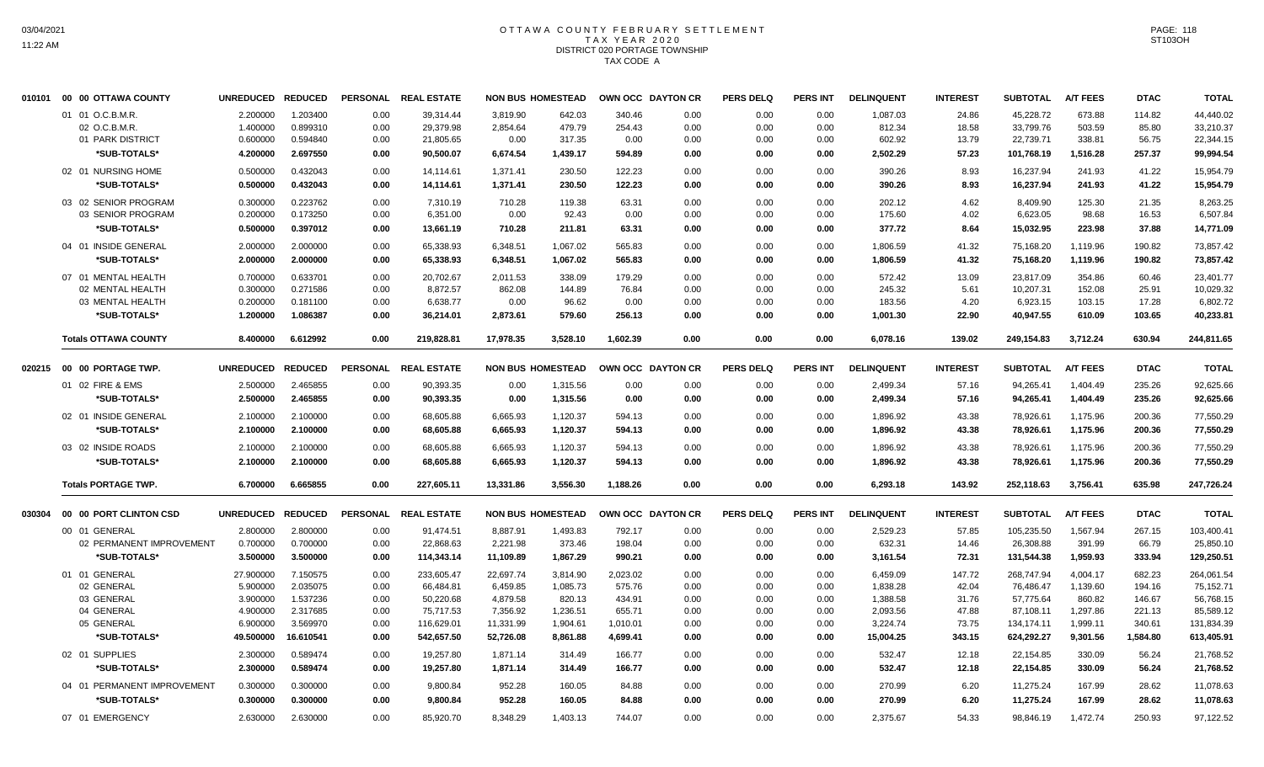# OTTAWA COUNTY FEBRUARY SETTLEMENT TAX YEAR 2020 DISTRICT 020 PORTAGE TOWNSHIP TAX CODE A

| 010101 | 00 00 OTTAWA COUNTY         | UNREDUCED REDUCED |           |      | PERSONAL REAL ESTATE |           | <b>NON BUS HOMESTEAD</b> | OWN OCC DAYTON CR |      | <b>PERS DELQ</b> | <b>PERS INT</b> | <b>DELINQUENT</b> | <b>INTEREST</b> | <b>SUBTOTAL</b> | <b>A/T FEES</b> | <b>DTAC</b> | <b>TOTAL</b> |
|--------|-----------------------------|-------------------|-----------|------|----------------------|-----------|--------------------------|-------------------|------|------------------|-----------------|-------------------|-----------------|-----------------|-----------------|-------------|--------------|
|        | 01 01 O.C.B.M.R.            | 2.200000          | 1.203400  | 0.00 | 39,314.44            | 3,819.90  | 642.03                   | 340.46            | 0.00 | 0.00             | 0.00            | 1,087.03          | 24.86           | 45,228.72       | 673.88          | 114.82      | 44,440.02    |
|        | 02 O.C.B.M.R.               | 1.400000          | 0.899310  | 0.00 | 29,379.98            | 2,854.64  | 479.79                   | 254.43            | 0.00 | 0.00             | 0.00            | 812.34            | 18.58           | 33,799.76       | 503.59          | 85.80       | 33,210.37    |
|        | 01 PARK DISTRICT            | 0.600000          | 0.594840  | 0.00 | 21,805.65            | 0.00      | 317.35                   | 0.00              | 0.00 | 0.00             | 0.00            | 602.92            | 13.79           | 22,739.71       | 338.81          | 56.75       | 22,344.15    |
|        | *SUB-TOTALS*                | 4.200000          | 2.697550  | 0.00 | 90,500.07            | 6,674.54  | 1,439.17                 | 594.89            | 0.00 | 0.00             | 0.00            | 2,502.29          | 57.23           | 101,768.19      | 1,516.28        | 257.37      | 99,994.54    |
|        | 02 01 NURSING HOME          | 0.500000          | 0.432043  | 0.00 | 14,114.61            | 1,371.41  | 230.50                   | 122.23            | 0.00 | 0.00             | 0.00            | 390.26            | 8.93            | 16,237.94       | 241.93          | 41.22       | 15,954.79    |
|        | *SUB-TOTALS*                | 0.500000          | 0.432043  | 0.00 | 14,114.61            | 1,371.41  | 230.50                   | 122.23            | 0.00 | 0.00             | 0.00            | 390.26            | 8.93            | 16,237.94       | 241.93          | 41.22       | 15.954.79    |
|        | 03 02 SENIOR PROGRAM        | 0.300000          | 0.223762  | 0.00 | 7,310.19             | 710.28    | 119.38                   | 63.31             | 0.00 | 0.00             | 0.00            | 202.12            | 4.62            | 8,409.90        | 125.30          | 21.35       | 8,263.25     |
|        | 03 SENIOR PROGRAM           | 0.200000          | 0.173250  | 0.00 | 6,351.00             | 0.00      | 92.43                    | 0.00              | 0.00 | 0.00             | 0.00            | 175.60            | 4.02            | 6,623.05        | 98.68           | 16.53       | 6,507.84     |
|        | *SUB-TOTALS*                | 0.500000          | 0.397012  | 0.00 | 13,661.19            | 710.28    | 211.81                   | 63.31             | 0.00 | 0.00             | 0.00            | 377.72            | 8.64            | 15,032.95       | 223.98          | 37.88       | 14,771.09    |
|        | 04 01 INSIDE GENERAL        | 2.000000          | 2.000000  | 0.00 | 65,338.93            | 6,348.51  | 1,067.02                 | 565.83            | 0.00 | 0.00             | 0.00            | 1,806.59          | 41.32           | 75,168.20       | 1,119.96        | 190.82      | 73,857.42    |
|        | *SUB-TOTALS*                | 2.000000          | 2.000000  | 0.00 | 65,338.93            | 6,348.51  | 1,067.02                 | 565.83            | 0.00 | 0.00             | 0.00            | 1,806.59          | 41.32           | 75,168.20       | 1,119.96        | 190.82      | 73,857.42    |
|        | 07 01 MENTAL HEALTH         | 0.700000          | 0.633701  | 0.00 | 20,702.67            | 2,011.53  | 338.09                   | 179.29            | 0.00 | 0.00             | 0.00            | 572.42            | 13.09           | 23,817.09       | 354.86          | 60.46       | 23,401.77    |
|        | 02 MENTAL HEALTH            | 0.300000          | 0.271586  | 0.00 | 8,872.57             | 862.08    | 144.89                   | 76.84             | 0.00 | 0.00             | 0.00            | 245.32            | 5.61            | 10,207.31       | 152.08          | 25.91       | 10,029.32    |
|        | 03 MENTAL HEALTH            | 0.200000          | 0.181100  | 0.00 | 6,638.77             | 0.00      | 96.62                    | 0.00              | 0.00 | 0.00             | 0.00            | 183.56            | 4.20            | 6,923.15        | 103.15          | 17.28       | 6,802.72     |
|        | *SUB-TOTALS*                | 1.200000          | 1.086387  | 0.00 | 36,214.01            | 2,873.61  | 579.60                   | 256.13            | 0.00 | 0.00             | 0.00            | 1,001.30          | 22.90           | 40,947.55       | 610.09          | 103.65      | 40,233.81    |
|        | <b>Totals OTTAWA COUNTY</b> | 8.400000          | 6.612992  | 0.00 | 219,828.81           | 17,978.35 | 3,528.10                 | 1,602.39          | 0.00 | 0.00             | 0.00            | 6,078.16          | 139.02          | 249,154.83      | 3,712.24        | 630.94      | 244,811.65   |
|        |                             |                   |           |      |                      |           |                          |                   |      |                  |                 |                   |                 |                 |                 |             |              |
| 020215 | 00 00 PORTAGE TWP.          | UNREDUCED REDUCED |           |      | PERSONAL REAL ESTATE |           | <b>NON BUS HOMESTEAD</b> | OWN OCC DAYTON CR |      | <b>PERS DELQ</b> | <b>PERS INT</b> | <b>DELINQUENT</b> | <b>INTEREST</b> | <b>SUBTOTAL</b> | <b>A/T FEES</b> | <b>DTAC</b> | <b>TOTAL</b> |
|        | 01 02 FIRE & EMS            | 2.500000          | 2.465855  | 0.00 | 90,393.35            | 0.00      | 1,315.56                 | 0.00              | 0.00 | 0.00             | 0.00            | 2,499.34          | 57.16           | 94,265.41       | 1,404.49        | 235.26      | 92,625.66    |
|        | *SUB-TOTALS*                | 2.500000          | 2.465855  | 0.00 | 90,393.35            | 0.00      | 1,315.56                 | 0.00              | 0.00 | 0.00             | 0.00            | 2,499.34          | 57.16           | 94,265.41       | 1,404.49        | 235.26      | 92,625.66    |
|        | 02 01 INSIDE GENERAL        | 2.100000          | 2.100000  | 0.00 | 68,605.88            | 6,665.93  | 1,120.37                 | 594.13            | 0.00 | 0.00             | 0.00            | 1,896.92          | 43.38           | 78,926.61       | 1,175.96        | 200.36      | 77,550.29    |
|        | *SUB-TOTALS*                | 2.100000          | 2.100000  | 0.00 | 68,605.88            | 6,665.93  | 1,120.37                 | 594.13            | 0.00 | 0.00             | 0.00            | 1,896.92          | 43.38           | 78,926.61       | 1,175.96        | 200.36      | 77,550.29    |
|        | 03 02 INSIDE ROADS          | 2.100000          | 2.100000  | 0.00 | 68,605.88            | 6,665.93  | 1,120.37                 | 594.13            | 0.00 | 0.00             | 0.00            | 1,896.92          | 43.38           | 78,926.61       | 1,175.96        | 200.36      | 77,550.29    |
|        | *SUB-TOTALS*                | 2.100000          | 2.100000  | 0.00 | 68,605.88            | 6,665.93  | 1,120.37                 | 594.13            | 0.00 | 0.00             | 0.00            | 1,896.92          | 43.38           | 78,926.61       | 1,175.96        | 200.36      | 77,550.29    |
|        | <b>Totals PORTAGE TWP.</b>  | 6.700000          | 6.665855  | 0.00 | 227,605.11           | 13,331.86 | 3,556.30                 | 1,188.26          | 0.00 | 0.00             | 0.00            | 6,293.18          | 143.92          | 252,118.63      | 3,756.41        | 635.98      | 247,726.24   |
| 030304 | 00 00 PORT CLINTON CSD      | UNREDUCED REDUCED |           |      | PERSONAL REAL ESTATE |           | <b>NON BUS HOMESTEAD</b> | OWN OCC DAYTON CR |      | <b>PERS DELQ</b> | PERS INT        | <b>DELINQUENT</b> | <b>INTEREST</b> | <b>SUBTOTAL</b> | <b>A/T FEES</b> | <b>DTAC</b> | <b>TOTAL</b> |
|        | 00 01 GENERAL               | 2.800000          | 2.800000  | 0.00 | 91,474.51            | 8,887.91  | 1,493.83                 | 792.17            | 0.00 | 0.00             | 0.00            | 2,529.23          | 57.85           | 105,235.50      | 1,567.94        | 267.15      | 103,400.41   |
|        | 02 PERMANENT IMPROVEMENT    | 0.700000          | 0.700000  | 0.00 | 22,868.63            | 2,221.98  | 373.46                   | 198.04            | 0.00 | 0.00             | 0.00            | 632.31            | 14.46           | 26,308.88       | 391.99          | 66.79       | 25,850.10    |
|        | *SUB-TOTALS*                | 3.500000          | 3.500000  | 0.00 | 114,343.14           | 11,109.89 | 1,867.29                 | 990.21            | 0.00 | 0.00             | 0.00            | 3,161.54          | 72.31           | 131,544.38      | 1,959.93        | 333.94      | 129,250.51   |
|        | 01 01 GENERAL               | 27.900000         | 7.150575  | 0.00 | 233,605.47           | 22,697.74 | 3,814.90                 | 2,023.02          | 0.00 | 0.00             | 0.00            | 6,459.09          | 147.72          | 268,747.94      | 4,004.17        | 682.23      | 264,061.54   |
|        | 02 GENERAL                  | 5.900000          | 2.035075  | 0.00 | 66,484.81            | 6,459.85  | 1,085.73                 | 575.76            | 0.00 | 0.00             | 0.00            | 1,838.28          | 42.04           | 76,486.47       | 1,139.60        | 194.16      | 75,152.71    |
|        | 03 GENERAL                  | 3.900000          | 1.537236  | 0.00 | 50,220.68            | 4,879.58  | 820.13                   | 434.91            | 0.00 | 0.00             | 0.00            | 1,388.58          | 31.76           | 57,775.64       | 860.82          | 146.67      | 56,768.15    |
|        | 04 GENERAL                  | 4.900000          | 2.317685  | 0.00 | 75,717.53            | 7,356.92  | 1,236.51                 | 655.71            | 0.00 | 0.00             | 0.00            | 2,093.56          | 47.88           | 87,108.11       | 1,297.86        | 221.13      | 85,589.12    |
|        | 05 GENERAL                  | 6.900000          | 3.569970  | 0.00 | 116,629.01           | 11,331.99 | 1,904.61                 | 1,010.01          | 0.00 | 0.00             | 0.00            | 3,224.74          | 73.75           | 134,174.11      | 1,999.11        | 340.61      | 131,834.39   |
|        | *SUB-TOTALS*                | 49.500000         | 16.610541 | 0.00 | 542,657.50           | 52,726.08 | 8,861.88                 | 4,699.41          | 0.00 | 0.00             | 0.00            | 15,004.25         | 343.15          | 624,292.27      | 9,301.56        | 1,584.80    | 613,405.91   |
|        | 02 01 SUPPLIES              | 2.300000          | 0.589474  | 0.00 | 19,257.80            | 1,871.14  | 314.49                   | 166.77            | 0.00 | 0.00             | 0.00            | 532.47            | 12.18           | 22,154.85       | 330.09          | 56.24       | 21,768.52    |
|        | *SUB-TOTALS*                | 2.300000          | 0.589474  | 0.00 | 19,257.80            | 1,871.14  | 314.49                   | 166.77            | 0.00 | 0.00             | 0.00            | 532.47            | 12.18           | 22,154.85       | 330.09          | 56.24       | 21,768.52    |
|        | 04 01 PERMANENT IMPROVEMENT | 0.300000          | 0.300000  | 0.00 | 9,800.84             | 952.28    | 160.05                   | 84.88             | 0.00 | 0.00             | 0.00            | 270.99            | 6.20            | 11,275.24       | 167.99          | 28.62       | 11,078.63    |
|        | *SUB-TOTALS*                | 0.300000          | 0.300000  | 0.00 | 9,800.84             | 952.28    | 160.05                   | 84.88             | 0.00 | 0.00             | 0.00            | 270.99            | 6.20            | 11,275.24       | 167.99          | 28.62       | 11,078.63    |
|        | 07 01 EMERGENCY             | 2.630000          | 2.630000  | 0.00 | 85,920.70            | 8,348.29  | 1,403.13                 | 744.07            | 0.00 | 0.00             | 0.00            | 2,375.67          | 54.33           | 98,846.19       | 1,472.74        | 250.93      | 97,122.52    |
|        |                             |                   |           |      |                      |           |                          |                   |      |                  |                 |                   |                 |                 |                 |             |              |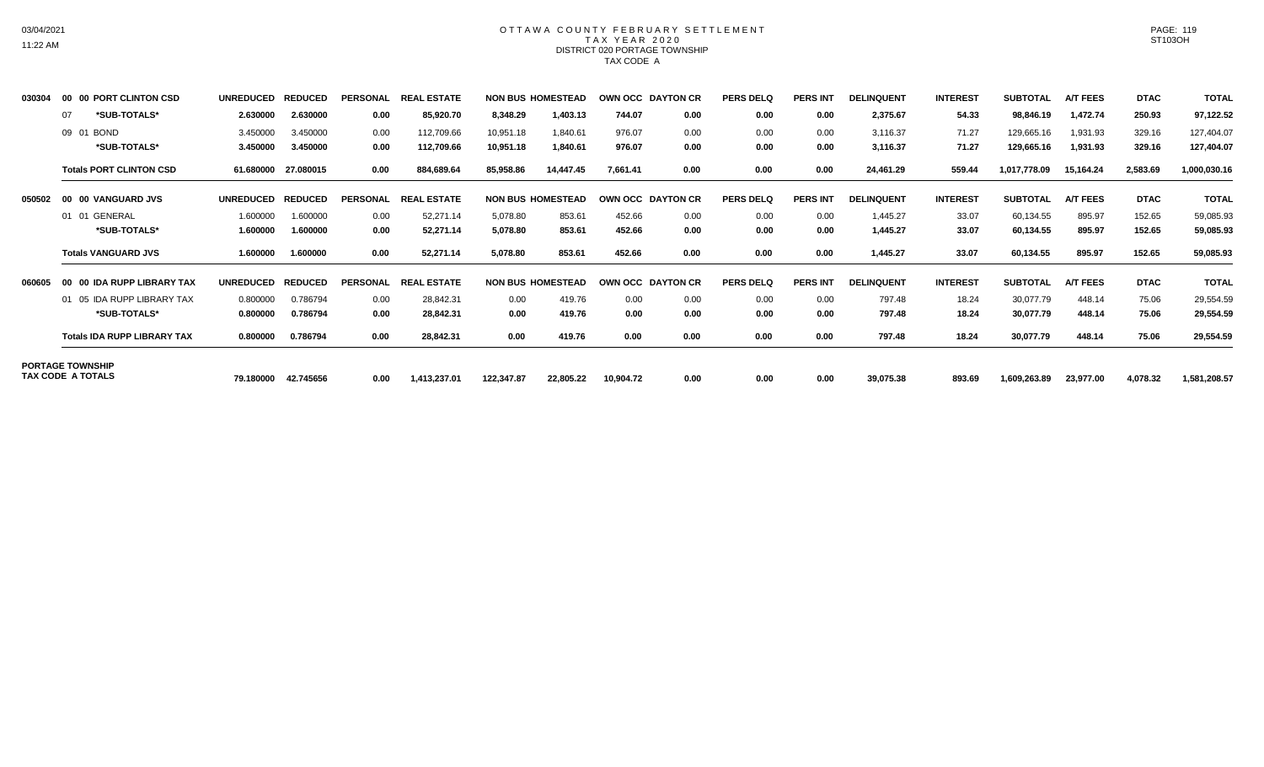### OTTAWA COUNTY FEBRUARY SETTLEMENT TAX YEAR 2020 DISTRICT 020 PORTAGE TOWNSHIP TAX CODE A

| 030304                   | 00 00 | PORT CLINTON CSD                   | <b>UNREDUCED</b> | <b>REDUCED</b> | <b>PERSONAL</b> | <b>REAI</b><br>. ESTATE |            | <b>NON BUS HOMESTEAD</b> |           | OWN OCC DAYTON CR | <b>PERS DELQ</b> | <b>PERS INT</b> | <b>DELINQUENT</b> | <b>INTEREST</b> | <b>SUBTOTAL</b> | <b>A/T FEES</b> | <b>DTAC</b> | <b>TOTAL</b> |
|--------------------------|-------|------------------------------------|------------------|----------------|-----------------|-------------------------|------------|--------------------------|-----------|-------------------|------------------|-----------------|-------------------|-----------------|-----------------|-----------------|-------------|--------------|
|                          | 07    | *SUB-TOTALS*                       | 2.630000         | 2.630000       | 0.00            | 85,920.70               | 8,348.29   | 1,403.13                 | 744.07    | 0.00              | 0.00             | 0.00            | 2,375.67          | 54.33           | 98,846.19       | 1,472.74        | 250.93      | 97,122.52    |
|                          | 09 01 | <b>BOND</b>                        | 3.450000         | 3.450000       | 0.00            | 112,709.66              | 10,951.18  | 1,840.61                 | 976.07    | 0.00              | 0.00             | 0.00            | 3,116.37          | 71.27           | 129,665.16      | 1,931.93        | 329.16      | 127,404.07   |
|                          |       | *SUB-TOTALS*                       | 3.450000         | 3.450000       | 0.00            | 112,709.66              | 10,951.18  | 1,840.61                 | 976.07    | 0.00              | 0.00             | 0.00            | 3,116.37          | 71.27           | 129,665.16      | 1,931.93        | 329.16      | 127,404.07   |
|                          |       | <b>Totals PORT CLINTON CSD</b>     | 61.680000        | 27.080015      | 0.00            | 884,689.64              | 85,958.86  | 14.447.45                | 7,661.41  | 0.00              | 0.00             | 0.00            | 24,461.29         | 559.44          | 1,017,778.09    | 15,164.24       | 2,583.69    | 1,000,030.16 |
| 050502                   |       | 00 00 VANGUARD JVS                 | <b>UNREDUCED</b> | <b>REDUCED</b> | <b>PERSONAL</b> | <b>REAL ESTATE</b>      |            | <b>NON BUS HOMESTEAD</b> |           | OWN OCC DAYTON CR | <b>PERS DELQ</b> | <b>PERS INT</b> | <b>DELINQUENT</b> | <b>INTEREST</b> | <b>SUBTOTAL</b> | <b>A/T FEES</b> | <b>DTAC</b> | <b>TOTAL</b> |
|                          |       | 01 01 GENERAL                      | 1.600000         | 1.600000       | 0.00            | 52,271.14               | 5,078.80   | 853.61                   | 452.66    | 0.00              | 0.00             | 0.00            | 1,445.27          | 33.07           | 60,134.55       | 895.97          | 152.65      | 59,085.93    |
|                          |       | *SUB-TOTALS*                       | 1.600000         | 1.600000       | 0.00            | 52,271.14               | 5,078.80   | 853.61                   | 452.66    | 0.00              | 0.00             | 0.00            | 1,445.27          | 33.07           | 60,134.55       | 895.97          | 152.65      | 59,085.93    |
|                          |       | <b>Totals VANGUARD JVS</b>         | 1.600000         | 1.600000       | 0.00            | 52,271.14               | 5,078.80   | 853.61                   | 452.66    | 0.00              | 0.00             | 0.00            | 1,445.27          | 33.07           | 60,134.55       | 895.97          | 152.65      | 59,085.93    |
| 060605                   |       | 00 00 IDA RUPP LIBRARY TAX         | <b>UNREDUCED</b> | <b>REDUCED</b> | <b>PERSONAL</b> | L ESTATE<br><b>REAL</b> |            | <b>NON BUS HOMESTEAD</b> |           | OWN OCC DAYTON CR | <b>PERS DELQ</b> | <b>PERS INT</b> | <b>DELINQUENT</b> | <b>INTEREST</b> | <b>SUBTOTAL</b> | <b>A/T FEES</b> | <b>DTAC</b> | <b>TOTAL</b> |
|                          |       | 01 05 IDA RUPP LIBRARY TAX         | 0.800000         | 0.786794       | 0.00            | 28,842.31               | 0.00       | 419.76                   | 0.00      | 0.00              | 0.00             | 0.00            | 797.48            | 18.24           | 30,077.79       | 448.14          | 75.06       | 29,554.59    |
|                          |       | *SUB-TOTALS*                       | 0.800000         | 0.786794       | 0.00            | 28,842.31               | 0.00       | 419.76                   | 0.00      | 0.00              | 0.00             | 0.00            | 797.48            | 18.24           | 30,077.79       | 448.14          | 75.06       | 29,554.59    |
|                          |       | <b>Totals IDA RUPP LIBRARY TAX</b> | 0.800000         | 0.786794       | 0.00            | 28,842.31               | 0.00       | 419.76                   | 0.00      | 0.00              | 0.00             | 0.00            | 797.48            | 18.24           | 30,077.79       | 448.14          | 75.06       | 29,554.59    |
| <b>PORTAGE TOWNSHIP</b>  |       |                                    |                  |                |                 |                         |            |                          |           |                   |                  |                 |                   |                 |                 |                 |             |              |
| <b>TAX CODE A TOTALS</b> |       |                                    | 79.180000        | 42.745656      | 0.00            | 1,413,237.01            | 122,347.87 | 22,805.22                | 10,904.72 | 0.00              | 0.00             | 0.00            | 39,075.38         | 893.69          | 1,609,263.89    | 23,977.00       | 4,078.32    | 1,581,208.57 |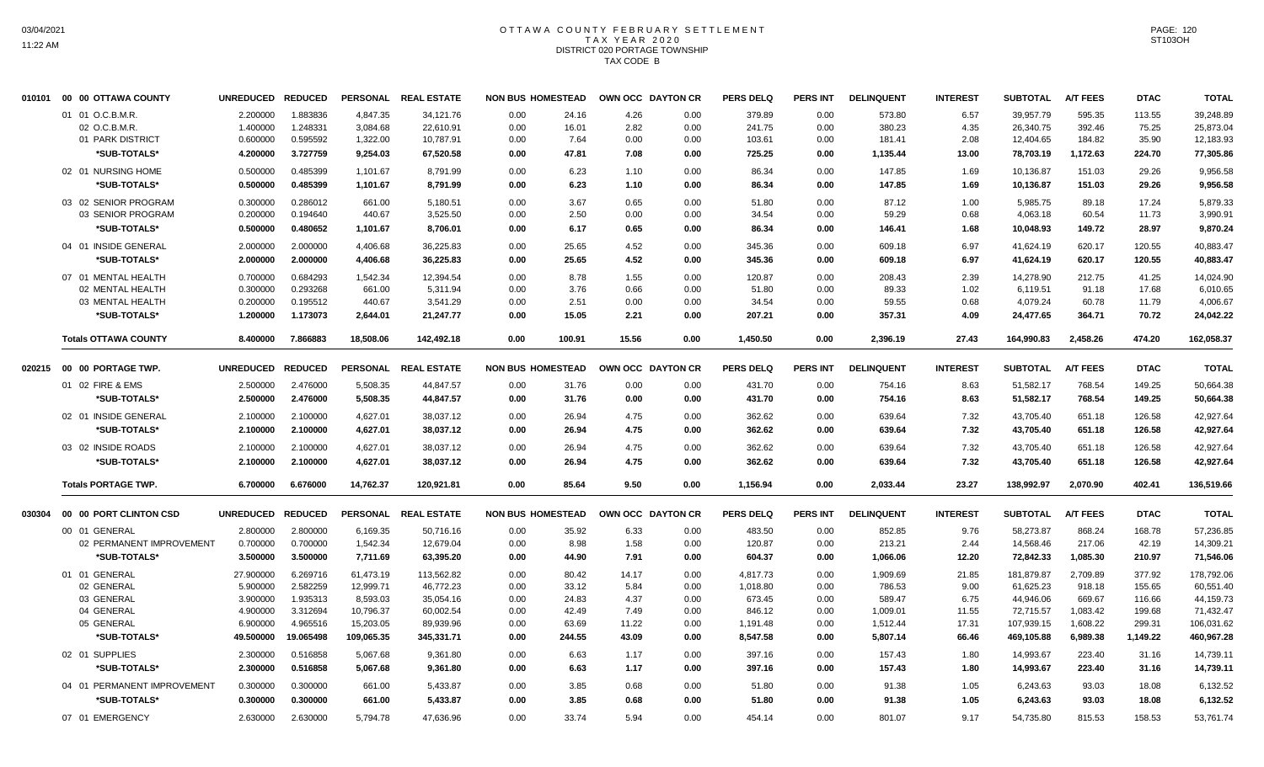# OTTAWA COUNTY FEBRUARY SETTLEMENT TAX YEAR 2020 DISTRICT 020 PORTAGE TOWNSHIP TAX CODE B

|        | 010101 00 00 OTTAWA COUNTY         | <b>UNREDUCED</b> | <b>REDUCED</b> |            | PERSONAL REAL ESTATE | <b>NON BUS HOMESTEAD</b> |        | OWN OCC DAYTON CR |      | <b>PERS DELQ</b> | PERS INT        | <b>DELINQUENT</b> | <b>INTEREST</b> | <b>SUBTOTAL</b> | <b>A/T FEES</b> | <b>DTAC</b> | <b>TOTAL</b> |
|--------|------------------------------------|------------------|----------------|------------|----------------------|--------------------------|--------|-------------------|------|------------------|-----------------|-------------------|-----------------|-----------------|-----------------|-------------|--------------|
|        | 01 01 O.C.B.M.R.                   | 2.200000         | 1.883836       | 4.847.35   | 34.121.76            | 0.00                     | 24.16  | 4.26              | 0.00 | 379.89           | 0.00            | 573.80            | 6.57            | 39.957.79       | 595.35          | 113.55      | 39.248.89    |
|        | 02 O.C.B.M.R.                      | 1.400000         | 1.248331       | 3,084.68   | 22,610.91            | 0.00                     | 16.01  | 2.82              | 0.00 | 241.75           | 0.00            | 380.23            | 4.35            | 26,340.75       | 392.46          | 75.25       | 25,873.04    |
|        | 01 PARK DISTRICT                   | 0.600000         | 0.595592       | 1,322.00   | 10,787.91            | 0.00                     | 7.64   | 0.00              | 0.00 | 103.61           | 0.00            | 181.41            | 2.08            | 12,404.65       | 184.82          | 35.90       | 12,183.93    |
|        | *SUB-TOTALS*                       | 4.200000         | 3.727759       | 9,254.03   | 67,520.58            | 0.00                     | 47.81  | 7.08              | 0.00 | 725.25           | 0.00            | 1,135.44          | 13.00           | 78,703.19       | 1,172.63        | 224.70      | 77,305.86    |
|        | 02 01 NURSING HOME                 | 0.500000         | 0.485399       | 1,101.67   | 8,791.99             | 0.00                     | 6.23   | 1.10              | 0.00 | 86.34            | 0.00            | 147.85            | 1.69            | 10,136.87       | 151.03          | 29.26       | 9,956.58     |
|        | *SUB-TOTALS*                       | 0.500000         | 0.485399       | 1,101.67   | 8,791.99             | 0.00                     | 6.23   | 1.10              | 0.00 | 86.34            | 0.00            | 147.85            | 1.69            | 10,136.87       | 151.03          | 29.26       | 9,956.58     |
|        |                                    |                  |                |            |                      |                          |        |                   |      |                  |                 |                   |                 |                 |                 |             |              |
|        | 03 02 SENIOR PROGRAM               | 0.300000         | 0.286012       | 661.00     | 5,180.51             | 0.00                     | 3.67   | 0.65              | 0.00 | 51.80            | 0.00            | 87.12             | 1.00            | 5,985.75        | 89.18           | 17.24       | 5,879.33     |
|        | 03 SENIOR PROGRAM                  | 0.200000         | 0.194640       | 440.67     | 3,525.50             | 0.00                     | 2.50   | 0.00              | 0.00 | 34.54            | 0.00            | 59.29             | 0.68            | 4,063.18        | 60.54           | 11.73       | 3,990.91     |
|        | *SUB-TOTALS*                       | 0.500000         | 0.480652       | 1,101.67   | 8,706.01             | 0.00                     | 6.17   | 0.65              | 0.00 | 86.34            | 0.00            | 146.41            | 1.68            | 10,048.93       | 149.72          | 28.97       | 9,870.24     |
|        | 04 01 INSIDE GENERAL               | 2.000000         | 2.000000       | 4,406.68   | 36,225.83            | 0.00                     | 25.65  | 4.52              | 0.00 | 345.36           | 0.00            | 609.18            | 6.97            | 41,624.19       | 620.17          | 120.55      | 40,883.47    |
|        | *SUB-TOTALS*                       | 2.000000         | 2.000000       | 4,406.68   | 36,225.83            | 0.00                     | 25.65  | 4.52              | 0.00 | 345.36           | 0.00            | 609.18            | 6.97            | 41,624.19       | 620.17          | 120.55      | 40,883.47    |
|        | 07 01 MENTAL HEALTH                | 0.700000         | 0.684293       | 1,542.34   | 12,394.54            | 0.00                     | 8.78   | 1.55              | 0.00 | 120.87           | 0.00            | 208.43            | 2.39            | 14,278.90       | 212.75          | 41.25       | 14,024.90    |
|        | 02 MENTAL HEALTH                   | 0.300000         | 0.293268       | 661.00     | 5,311.94             | 0.00                     | 3.76   | 0.66              | 0.00 | 51.80            | 0.00            | 89.33             | 1.02            | 6,119.51        | 91.18           | 17.68       | 6,010.65     |
|        | 03 MENTAL HEALTH                   | 0.200000         | 0.195512       | 440.67     | 3,541.29             | 0.00                     | 2.51   | 0.00              | 0.00 | 34.54            | 0.00            | 59.55             | 0.68            | 4,079.24        | 60.78           | 11.79       | 4,006.67     |
|        | *SUB-TOTALS*                       | 1.200000         | 1.173073       | 2,644.01   | 21,247.77            | 0.00                     | 15.05  | 2.21              | 0.00 | 207.21           | 0.00            | 357.31            | 4.09            | 24,477.65       | 364.71          | 70.72       | 24,042.22    |
|        | <b>Totals OTTAWA COUNTY</b>        | 8.400000         | 7.866883       | 18,508.06  | 142,492.18           | 0.00                     | 100.91 | 15.56             | 0.00 | 1,450.50         | 0.00            | 2,396.19          | 27.43           | 164,990.83      | 2,458.26        | 474.20      | 162,058.37   |
|        |                                    |                  |                |            |                      |                          |        |                   |      |                  |                 |                   |                 |                 |                 |             |              |
|        | 020215    00    00    PORTAGE TWP. | <b>UNREDUCED</b> | <b>REDUCED</b> |            | PERSONAL REAL ESTATE | <b>NON BUS HOMESTEAD</b> |        | OWN OCC DAYTON CR |      | <b>PERS DELQ</b> | <b>PERS INT</b> | <b>DELINQUENT</b> | <b>INTEREST</b> | <b>SUBTOTAL</b> | <b>A/T FEES</b> | <b>DTAC</b> | <b>TOTAL</b> |
|        | 01 02 FIRE & EMS                   | 2.500000         | 2.476000       | 5,508.35   | 44,847.57            | 0.00                     | 31.76  | 0.00              | 0.00 | 431.70           | 0.00            | 754.16            | 8.63            | 51,582.17       | 768.54          | 149.25      | 50,664.38    |
|        | *SUB-TOTALS*                       | 2.500000         | 2.476000       | 5,508.35   | 44,847.57            | 0.00                     | 31.76  | 0.00              | 0.00 | 431.70           | 0.00            | 754.16            | 8.63            | 51,582.17       | 768.54          | 149.25      | 50,664.38    |
|        | 02 01 INSIDE GENERAL               | 2.100000         | 2.100000       | 4,627.01   | 38,037.12            | 0.00                     | 26.94  | 4.75              | 0.00 | 362.62           | 0.00            | 639.64            | 7.32            | 43,705.40       | 651.18          | 126.58      | 42,927.64    |
|        | *SUB-TOTALS*                       | 2.100000         | 2.100000       | 4,627.01   | 38,037.12            | 0.00                     | 26.94  | 4.75              | 0.00 | 362.62           | 0.00            | 639.64            | 7.32            | 43,705.40       | 651.18          | 126.58      | 42,927.64    |
|        | 03 02 INSIDE ROADS                 | 2.100000         | 2.100000       | 4,627.01   | 38,037.12            | 0.00                     | 26.94  | 4.75              | 0.00 | 362.62           | 0.00            | 639.64            | 7.32            | 43,705.40       | 651.18          | 126.58      | 42,927.64    |
|        | *SUB-TOTALS*                       | 2.100000         | 2.100000       | 4,627.01   | 38,037.12            | 0.00                     | 26.94  | 4.75              | 0.00 | 362.62           | 0.00            | 639.64            | 7.32            | 43,705.40       | 651.18          | 126.58      | 42,927.64    |
|        | <b>Totals PORTAGE TWP.</b>         | 6.700000         | 6.676000       | 14,762.37  | 120,921.81           | 0.00                     | 85.64  | 9.50              | 0.00 | 1,156.94         | 0.00            | 2,033.44          | 23.27           | 138,992.97      | 2,070.90        | 402.41      | 136,519.66   |
| 030304 | 00 00 PORT CLINTON CSD             | <b>UNREDUCED</b> | <b>REDUCED</b> |            | PERSONAL REAL ESTATE | <b>NON BUS HOMESTEAD</b> |        | OWN OCC DAYTON CR |      | <b>PERS DELQ</b> | <b>PERS INT</b> | <b>DELINQUENT</b> | <b>INTEREST</b> | <b>SUBTOTAL</b> | <b>A/T FEES</b> | <b>DTAC</b> | <b>TOTAL</b> |
|        | 00 01 GENERAL                      | 2.800000         | 2.800000       | 6,169.35   | 50,716.16            | 0.00                     | 35.92  | 6.33              | 0.00 | 483.50           | 0.00            | 852.85            | 9.76            | 58,273.87       | 868.24          | 168.78      | 57,236.85    |
|        | 02 PERMANENT IMPROVEMENT           | 0.700000         | 0.700000       | 1,542.34   | 12,679.04            | 0.00                     | 8.98   | 1.58              | 0.00 | 120.87           | 0.00            | 213.21            | 2.44            | 14,568.46       | 217.06          | 42.19       | 14,309.21    |
|        | *SUB-TOTALS*                       | 3.500000         | 3.500000       | 7,711.69   | 63,395.20            | 0.00                     | 44.90  | 7.91              | 0.00 | 604.37           | 0.00            | 1,066.06          | 12.20           | 72,842.33       | 1,085.30        | 210.97      | 71,546.06    |
|        | 01 01 GENERAL                      | 27.900000        | 6.269716       | 61,473.19  | 113,562.82           | 0.00                     | 80.42  | 14.17             | 0.00 | 4,817.73         | 0.00            | 1,909.69          | 21.85           | 181,879.87      | 2,709.89        | 377.92      | 178,792.06   |
|        | 02 GENERAL                         | 5.900000         | 2.582259       | 12,999.71  | 46,772.23            | 0.00                     | 33.12  | 5.84              | 0.00 | 1,018.80         | 0.00            | 786.53            | 9.00            | 61,625.23       | 918.18          | 155.65      | 60,551.40    |
|        | 03 GENERAL                         | 3.900000         | 1.935313       | 8,593.03   | 35,054.16            | 0.00                     | 24.83  | 4.37              | 0.00 | 673.45           | 0.00            | 589.47            | 6.75            | 44,946.06       | 669.67          | 116.66      | 44,159.73    |
|        | 04 GENERAL                         | 4.900000         | 3.312694       | 10,796.37  | 60,002.54            | 0.00                     | 42.49  | 7.49              | 0.00 | 846.12           | 0.00            | 1,009.01          | 11.55           | 72,715.57       | 1,083.42        | 199.68      | 71,432.47    |
|        | 05 GENERAL                         | 6.900000         | 4.965516       | 15,203.05  | 89,939.96            | 0.00                     | 63.69  | 11.22             | 0.00 | 1,191.48         | 0.00            | 1,512.44          | 17.31           | 107,939.15      | 1,608.22        | 299.31      | 106,031.62   |
|        | *SUB-TOTALS*                       | 49.500000        | 19.065498      | 109,065.35 | 345,331.71           | 0.00                     | 244.55 | 43.09             | 0.00 | 8,547.58         | 0.00            | 5,807.14          | 66.46           | 469,105.88      | 6,989.38        | 1,149.22    | 460,967.28   |
|        | 02 01 SUPPLIES                     | 2.300000         | 0.516858       | 5,067.68   | 9,361.80             | 0.00                     | 6.63   | 1.17              | 0.00 | 397.16           | 0.00            | 157.43            | 1.80            | 14,993.67       | 223.40          | 31.16       | 14,739.11    |
|        | *SUB-TOTALS*                       | 2.300000         | 0.516858       | 5,067.68   | 9,361.80             | 0.00                     | 6.63   | 1.17              | 0.00 | 397.16           | 0.00            | 157.43            | 1.80            | 14,993.67       | 223.40          | 31.16       | 14,739.11    |
|        | 04 01 PERMANENT IMPROVEMENT        | 0.300000         | 0.300000       | 661.00     | 5,433.87             | 0.00                     | 3.85   | 0.68              | 0.00 | 51.80            | 0.00            | 91.38             | 1.05            | 6,243.63        | 93.03           | 18.08       | 6,132.52     |
|        | *SUB-TOTALS*                       | 0.300000         | 0.300000       | 661.00     | 5,433.87             | 0.00                     | 3.85   | 0.68              | 0.00 | 51.80            | 0.00            | 91.38             | 1.05            | 6,243.63        | 93.03           | 18.08       | 6,132.52     |
|        | 07 01 EMERGENCY                    | 2.630000         | 2.630000       | 5,794.78   | 47,636.96            | 0.00                     | 33.74  | 5.94              | 0.00 | 454.14           | 0.00            | 801.07            | 9.17            | 54,735.80       | 815.53          | 158.53      | 53,761.74    |
|        |                                    |                  |                |            |                      |                          |        |                   |      |                  |                 |                   |                 |                 |                 |             |              |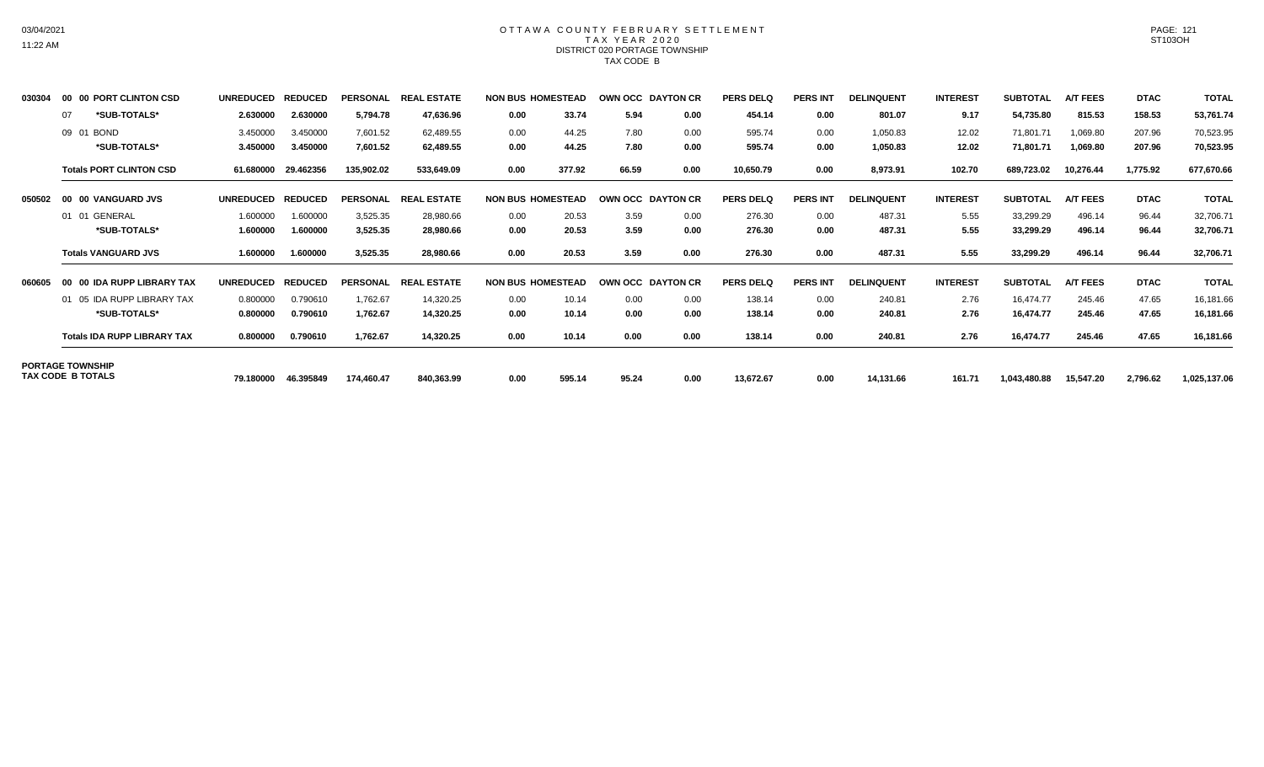### OTTAWA COUNTY FEBRUARY SETTLEMENT TAX YEAR 2020 DISTRICT 020 PORTAGE TOWNSHIP TAX CODE B

| 030304                                              |    | 00 00 PORT CLINTON CSD             | <b>UNREDUCED</b> | <b>REDUCED</b> | <b>PERSONAL</b> | <b>REAL ESTATE</b> |      | <b>NON BUS HOMESTEAD</b> |       | OWN OCC DAYTON CR | <b>PERS DELQ</b> | <b>PERS INT</b> | <b>DELINQUENT</b> | <b>INTEREST</b> | <b>SUBTOTAL</b> | <b>A/T FEES</b> | <b>DTAC</b> | <b>TOTAL</b> |
|-----------------------------------------------------|----|------------------------------------|------------------|----------------|-----------------|--------------------|------|--------------------------|-------|-------------------|------------------|-----------------|-------------------|-----------------|-----------------|-----------------|-------------|--------------|
|                                                     | 07 | *SUB-TOTALS*                       | 2.630000         | 2.630000       | 5,794.78        | 47,636.96          | 0.00 | 33.74                    | 5.94  | 0.00              | 454.14           | 0.00            | 801.07            | 9.17            | 54,735.80       | 815.53          | 158.53      | 53,761.74    |
|                                                     |    | 09 01 BOND                         | 3.450000         | 3.450000       | 7,601.52        | 62,489.55          | 0.00 | 44.25                    | 7.80  | 0.00              | 595.74           | 0.00            | 1,050.83          | 12.02           | 71,801.71       | 1,069.80        | 207.96      | 70,523.95    |
|                                                     |    | *SUB-TOTALS*                       | 3.450000         | 3.450000       | 7,601.52        | 62,489.55          | 0.00 | 44.25                    | 7.80  | 0.00              | 595.74           | 0.00            | 1,050.83          | 12.02           | 71,801.71       | 1,069.80        | 207.96      | 70,523.95    |
|                                                     |    | <b>Totals PORT CLINTON CSD</b>     | 61.680000        | 29.462356      | 135,902.02      | 533,649.09         | 0.00 | 377.92                   | 66.59 | 0.00              | 10,650.79        | 0.00            | 8,973.91          | 102.70          | 689,723.02      | 10,276.44       | 1,775.92    | 677,670.66   |
| 050502                                              |    | 00 00 VANGUARD JVS                 | <b>UNREDUCED</b> | <b>REDUCED</b> | <b>PERSONAL</b> | <b>REAL ESTATE</b> |      | <b>NON BUS HOMESTEAD</b> |       | OWN OCC DAYTON CR | <b>PERS DELQ</b> | <b>PERS INT</b> | <b>DELINQUENT</b> | <b>INTEREST</b> | <b>SUBTOTAL</b> | <b>A/T FEES</b> | <b>DTAC</b> | <b>TOTAL</b> |
|                                                     |    | 01 01 GENERAL                      | 1.600000         | 1.600000       | 3,525.35        | 28,980.66          | 0.00 | 20.53                    | 3.59  | 0.00              | 276.30           | 0.00            | 487.31            | 5.55            | 33,299.29       | 496.14          | 96.44       | 32,706.71    |
|                                                     |    | *SUB-TOTALS*                       | 1.600000         | 1.600000       | 3,525.35        | 28,980.66          | 0.00 | 20.53                    | 3.59  | 0.00              | 276.30           | 0.00            | 487.31            | 5.55            | 33,299.29       | 496.14          | 96.44       | 32,706.71    |
|                                                     |    | <b>Totals VANGUARD JVS</b>         | 1.600000         | 1.600000       | 3,525.35        | 28,980.66          | 0.00 | 20.53                    | 3.59  | 0.00              | 276.30           | 0.00            | 487.31            | 5.55            | 33,299.29       | 496.14          | 96.44       | 32,706.71    |
| 060605                                              |    | 00 00 IDA RUPP LIBRARY TAX         | <b>UNREDUCED</b> | <b>REDUCED</b> | <b>PERSONAL</b> | <b>REAL ESTATE</b> |      | <b>NON BUS HOMESTEAD</b> |       | OWN OCC DAYTON CR | PERS DELO        | <b>PERS INT</b> | <b>DELINQUENT</b> | <b>INTEREST</b> | <b>SUBTOTAL</b> | <b>A/T FEES</b> | <b>DTAC</b> | <b>TOTAL</b> |
|                                                     |    | 01 05 IDA RUPP LIBRARY TAX         | 0.800000         | 0.790610       | 1,762.67        | 14,320.25          | 0.00 | 10.14                    | 0.00  | 0.00              | 138.14           | 0.00            | 240.81            | 2.76            | 16,474.77       | 245.46          | 47.65       | 16,181.66    |
|                                                     |    | *SUB-TOTALS*                       | 0.800000         | 0.790610       | 1,762.67        | 14,320.25          | 0.00 | 10.14                    | 0.00  | 0.00              | 138.14           | 0.00            | 240.81            | 2.76            | 16,474.77       | 245.46          | 47.65       | 16,181.66    |
|                                                     |    | <b>Totals IDA RUPP LIBRARY TAX</b> | 0.800000         | 0.790610       | 1,762.67        | 14,320.25          | 0.00 | 10.14                    | 0.00  | 0.00              | 138.14           | 0.00            | 240.81            | 2.76            | 16,474.77       | 245.46          | 47.65       | 16,181.66    |
| <b>PORTAGE TOWNSHIP</b><br><b>TAX CODE B TOTALS</b> |    |                                    |                  |                |                 |                    |      |                          |       |                   |                  |                 |                   |                 |                 |                 |             |              |
|                                                     |    |                                    | 79.180000        | 46.395849      | 174.460.47      | 840,363.99         | 0.00 | 595.14                   | 95.24 | 0.00              | 13,672.67        | 0.00            | 14,131.66         | 161.71          | 1,043,480.88    | 15.547.20       | 2,796.62    | 1,025,137.06 |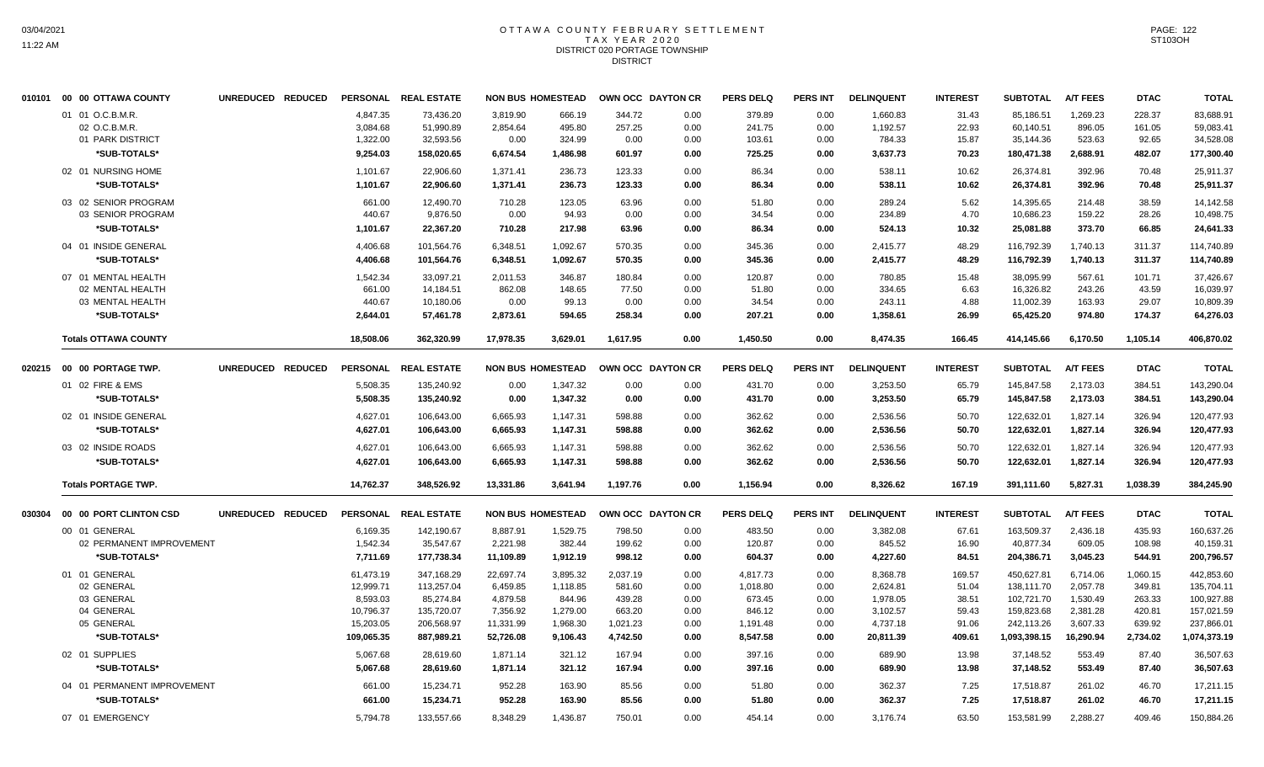#### OTTAWA COUNTY FEBRUARY SETTLEMENT T A X Y E A R 2 0 2 0 DISTRICT 020 PORTAGE TOWNSHIP **DISTRICT**

|        | 010101 00 00 OTTAWA COUNTY                              | UNREDUCED REDUCED                  |                                  | PERSONAL REAL ESTATE                 |                                | <b>NON BUS HOMESTEAD</b>     |                           | OWN OCC DAYTON CR    | <b>PERS DELQ</b>           | <b>PERS INT</b>      | <b>DELINQUENT</b>              | <b>INTEREST</b>         | <b>SUBTOTAL</b>                      | <b>A/T FEES</b>              | <b>DTAC</b>               | <b>TOTAL</b>                         |
|--------|---------------------------------------------------------|------------------------------------|----------------------------------|--------------------------------------|--------------------------------|------------------------------|---------------------------|----------------------|----------------------------|----------------------|--------------------------------|-------------------------|--------------------------------------|------------------------------|---------------------------|--------------------------------------|
|        | 01 01 O.C.B.M.R.<br>02 O.C.B.M.R.<br>01 PARK DISTRICT   |                                    | 4,847.35<br>3,084.68<br>1,322.00 | 73,436.20<br>51,990.89<br>32,593.56  | 3,819.90<br>2,854.64<br>0.00   | 666.19<br>495.80<br>324.99   | 344.72<br>257.25<br>0.00  | 0.00<br>0.00<br>0.00 | 379.89<br>241.75<br>103.61 | 0.00<br>0.00<br>0.00 | 1,660.83<br>1,192.57<br>784.33 | 31.43<br>22.93<br>15.87 | 85,186.51<br>60,140.51<br>35,144.36  | 1,269.23<br>896.05<br>523.63 | 228.37<br>161.05<br>92.65 | 83,688.91<br>59,083.41<br>34,528.08  |
|        | *SUB-TOTALS*                                            |                                    | 9.254.03                         | 158,020.65                           | 6,674.54                       | 1,486.98                     | 601.97                    | 0.00                 | 725.25                     | 0.00                 | 3,637.73                       | 70.23                   | 180,471.38                           | 2.688.91                     | 482.07                    | 177,300.40                           |
|        | 02 01 NURSING HOME<br>*SUB-TOTALS*                      |                                    | 1,101.67<br>1,101.67             | 22,906.60<br>22,906.60               | 1,371.41<br>1,371.41           | 236.73<br>236.73             | 123.33<br>123.33          | 0.00<br>0.00         | 86.34<br>86.34             | 0.00<br>0.00         | 538.11<br>538.11               | 10.62<br>10.62          | 26,374.81<br>26,374.81               | 392.96<br>392.96             | 70.48<br>70.48            | 25,911.37<br>25,911.37               |
|        | 03 02 SENIOR PROGRAM<br>03 SENIOR PROGRAM               |                                    | 661.00<br>440.67                 | 12,490.70<br>9,876.50                | 710.28<br>0.00                 | 123.05<br>94.93              | 63.96<br>0.00             | 0.00<br>0.00         | 51.80<br>34.54             | 0.00<br>0.00         | 289.24<br>234.89               | 5.62<br>4.70            | 14,395.65<br>10,686.23               | 214.48<br>159.22             | 38.59<br>28.26            | 14,142.58<br>10,498.75               |
|        | *SUB-TOTALS*<br>04 01 INSIDE GENERAL                    |                                    | 1,101.67<br>4,406.68             | 22,367.20<br>101,564.76              | 710.28<br>6,348.51             | 217.98<br>1,092.67           | 63.96<br>570.35           | 0.00<br>0.00         | 86.34<br>345.36            | 0.00<br>0.00         | 524.13<br>2,415.77             | 10.32<br>48.29          | 25,081.88<br>116,792.39              | 373.70<br>1,740.13           | 66.85<br>311.37           | 24,641.33<br>114,740.89              |
|        | *SUB-TOTALS*<br>07 01 MENTAL HEALTH<br>02 MENTAL HEALTH |                                    | 4,406.68<br>1,542.34<br>661.00   | 101,564.76<br>33,097.21<br>14,184.51 | 6,348.51<br>2,011.53<br>862.08 | 1,092.67<br>346.87<br>148.65 | 570.35<br>180.84<br>77.50 | 0.00<br>0.00<br>0.00 | 345.36<br>120.87<br>51.80  | 0.00<br>0.00<br>0.00 | 2,415.77<br>780.85<br>334.65   | 48.29<br>15.48<br>6.63  | 116,792.39<br>38,095.99<br>16,326.82 | 1,740.13<br>567.61<br>243.26 | 311.37<br>101.71<br>43.59 | 114,740.89<br>37,426.67<br>16.039.97 |
|        | 03 MENTAL HEALTH<br>*SUB-TOTALS*                        |                                    | 440.67<br>2,644.01               | 10,180.06<br>57,461.78               | 0.00<br>2,873.61               | 99.13<br>594.65              | 0.00<br>258.34            | 0.00<br>0.00         | 34.54<br>207.21            | 0.00<br>0.00         | 243.11<br>1,358.61             | 4.88<br>26.99           | 11,002.39<br>65,425.20               | 163.93<br>974.80             | 29.07<br>174.37           | 10,809.39<br>64,276.03               |
|        | <b>Totals OTTAWA COUNTY</b>                             |                                    | 18,508.06                        | 362,320.99                           | 17,978.35                      | 3,629.01                     | 1,617.95                  | 0.00                 | 1,450.50                   | 0.00                 | 8,474.35                       | 166.45                  | 414,145.66                           | 6,170.50                     | 1,105.14                  | 406,870.02                           |
| 020215 | 00 00 PORTAGE TWP.                                      | <b>REDUCED</b><br><b>UNREDUCED</b> | <b>PERSONAL</b>                  | <b>REAL ESTATE</b>                   |                                | <b>NON BUS HOMESTEAD</b>     |                           | OWN OCC DAYTON CR    | <b>PERS DELQ</b>           | PERS INT             | <b>DELINQUENT</b>              | <b>INTEREST</b>         | <b>SUBTOTAL</b>                      | <b>A/T FEES</b>              | <b>DTAC</b>               | <b>TOTAL</b>                         |
|        | 01 02 FIRE & EMS                                        |                                    | 5.508.35                         | 135.240.92                           | 0.00                           | 1,347.32                     | 0.00                      | 0.00                 | 431.70                     | 0.00                 | 3,253.50                       | 65.79                   | 145.847.58                           | 2,173.03                     | 384.51                    | 143,290.04                           |
|        | *SUB-TOTALS*                                            |                                    | 5,508.35                         | 135,240.92                           | 0.00                           | 1,347.32                     | 0.00                      | 0.00                 | 431.70                     | 0.00                 | 3,253.50                       | 65.79                   | 145,847.58                           | 2,173.03                     | 384.51                    | 143,290.04                           |
|        | 02 01 INSIDE GENERAL                                    |                                    | 4,627.01                         | 106,643.00                           | 6,665.93                       | 1,147.31                     | 598.88                    | 0.00                 | 362.62                     | 0.00                 | 2,536.56                       | 50.70                   | 122,632.01                           | 1,827.14                     | 326.94                    | 120,477.93                           |
|        | *SUB-TOTALS*                                            |                                    | 4,627.01                         | 106,643.00                           | 6,665.93                       | 1,147.31                     | 598.88                    | 0.00                 | 362.62                     | 0.00                 | 2,536.56                       | 50.70                   | 122,632.01                           | 1,827.14                     | 326.94                    | 120,477.93                           |
|        | 03 02 INSIDE ROADS                                      |                                    | 4,627.01                         | 106,643.00                           | 6,665.93                       | 1,147.31                     | 598.88                    | 0.00                 | 362.62                     | 0.00                 | 2,536.56                       | 50.70                   | 122,632.01                           | 1,827.14                     | 326.94                    | 120,477.93                           |
|        | *SUB-TOTALS*                                            |                                    | 4,627.01                         | 106,643.00                           | 6,665.93                       | 1,147.31                     | 598.88                    | 0.00                 | 362.62                     | 0.00                 | 2,536.56                       | 50.70                   | 122,632.01                           | 1,827.14                     | 326.94                    | 120,477.93                           |
|        | <b>Totals PORTAGE TWP.</b>                              |                                    | 14,762.37                        | 348,526.92                           | 13,331.86                      | 3,641.94                     | 1,197.76                  | 0.00                 | 1,156.94                   | 0.00                 | 8,326.62                       | 167.19                  | 391,111.60                           | 5,827.31                     | 1,038.39                  | 384,245.90                           |
| 030304 | 00 00 PORT CLINTON CSD                                  | UNREDUCED REDUCED                  | <b>PERSONAL</b>                  | <b>REAL ESTATE</b>                   |                                | <b>NON BUS HOMESTEAD</b>     |                           | OWN OCC DAYTON CR    | <b>PERS DELQ</b>           | <b>PERS INT</b>      | <b>DELINQUENT</b>              | <b>INTEREST</b>         | <b>SUBTOTAL</b>                      | <b>A/T FEES</b>              | <b>DTAC</b>               | <b>TOTAL</b>                         |
|        | 00 01 GENERAL<br>02 PERMANENT IMPROVEMENT               |                                    | 6,169.35<br>1,542.34             | 142,190.67<br>35,547.67              | 8,887.91<br>2,221.98           | 1,529.75<br>382.44           | 798.50<br>199.62          | 0.00<br>0.00         | 483.50<br>120.87           | 0.00<br>0.00         | 3,382.08<br>845.52             | 67.61<br>16.90          | 163,509.37<br>40,877.34              | 2,436.18<br>609.05           | 435.93<br>108.98          | 160,637.26<br>40,159.31              |
|        | *SUB-TOTALS*                                            |                                    | 7,711.69                         | 177,738.34                           | 11,109.89                      | 1,912.19                     | 998.12                    | 0.00                 | 604.37                     | 0.00                 | 4,227.60                       | 84.51                   | 204,386.71                           | 3,045.23                     | 544.91                    | 200,796.57                           |
|        | 01 01 GENERAL<br>02 GENERAL                             |                                    | 61,473.19<br>12,999.71           | 347,168.29<br>113,257.04             | 22,697.74<br>6,459.85          | 3,895.32<br>1,118.85         | 2,037.19<br>581.60        | 0.00<br>0.00         | 4,817.73<br>1,018.80       | 0.00<br>0.00         | 8,368.78<br>2,624.81           | 169.57<br>51.04         | 450,627.81<br>138,111.70             | 6,714.06<br>2,057.78         | 1,060.15<br>349.81        | 442,853.60<br>135,704.11             |
|        | 03 GENERAL                                              |                                    | 8,593.03                         | 85,274.84                            | 4,879.58                       | 844.96                       | 439.28                    | 0.00                 | 673.45                     | 0.00                 | 1,978.05                       | 38.51                   | 102,721.70                           | 1,530.49                     | 263.33                    | 100,927.88                           |
|        | 04 GENERAL                                              |                                    | 10,796.37                        | 135,720.07                           | 7,356.92                       | 1,279.00                     | 663.20                    | 0.00                 | 846.12                     | 0.00                 | 3,102.57                       | 59.43                   | 159,823.68                           | 2,381.28                     | 420.81                    | 157,021.59                           |
|        | 05 GENERAL                                              |                                    | 15,203.05                        | 206,568.97                           | 11,331.99                      | 1,968.30                     | 1,021.23                  | 0.00                 | 1,191.48                   | 0.00                 | 4,737.18                       | 91.06                   | 242,113.26                           | 3,607.33                     | 639.92                    | 237,866.01                           |
|        | *SUB-TOTALS*                                            |                                    | 109,065.35                       | 887,989.21                           | 52,726.08                      | 9,106.43                     | 4,742.50                  | 0.00                 | 8,547.58                   | 0.00                 | 20,811.39                      | 409.61                  | 1,093,398.15                         | 16,290.94                    | 2,734.02                  | 1,074,373.19                         |
|        | 02 01 SUPPLIES<br>*SUB-TOTALS*                          |                                    | 5,067.68<br>5,067.68             | 28,619.60<br>28.619.60               | 1,871.14<br>1,871.14           | 321.12<br>321.12             | 167.94<br>167.94          | 0.00<br>0.00         | 397.16<br>397.16           | 0.00<br>0.00         | 689.90<br>689.90               | 13.98<br>13.98          | 37,148.52<br>37,148.52               | 553.49<br>553.49             | 87.40<br>87.40            | 36,507.63<br>36,507.63               |
|        | 04 01 PERMANENT IMPROVEMENT                             |                                    | 661.00                           | 15,234.71                            | 952.28                         | 163.90                       | 85.56                     | 0.00                 | 51.80                      | 0.00                 | 362.37                         | 7.25                    | 17,518.87                            | 261.02                       | 46.70                     | 17,211.15                            |
|        | *SUB-TOTALS*                                            |                                    | 661.00                           | 15,234.71                            | 952.28                         | 163.90                       | 85.56                     | 0.00                 | 51.80                      | 0.00                 | 362.37                         | 7.25                    | 17,518.87                            | 261.02                       | 46.70                     | 17,211.15                            |
|        | 07 01 EMERGENCY                                         |                                    | 5,794.78                         | 133,557.66                           | 8,348.29                       | 1,436.87                     | 750.01                    | 0.00                 | 454.14                     | 0.00                 | 3,176.74                       | 63.50                   | 153,581.99                           | 2,288.27                     | 409.46                    | 150,884.26                           |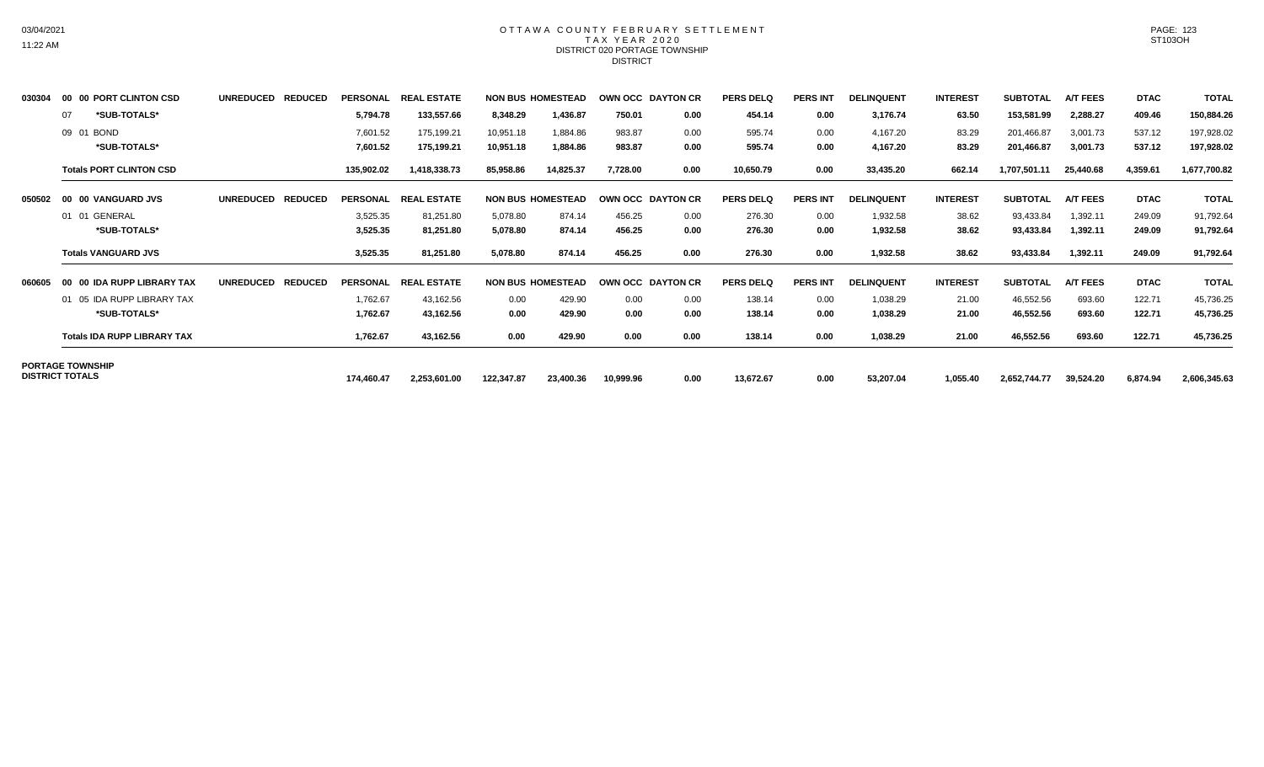## OTTAWA COUNTY FEBRUARY SETTLEMENT TAX YEAR 2020 DISTRICT 020 PORTAGE TOWNSHIP **DISTRICT**

| 030304 | 00 00 PORT CLINTON CSD             | <b>UNREDUCED</b><br><b>REDUCED</b> | <b>PERSONAL</b> | <b>REAL ESTATE</b>   |            | <b>NON BUS HOMESTEAD</b> | OWN OCC DAYTON CR |      | <b>PERS DELQ</b> | <b>PERS INT</b> | <b>DELINQUENT</b> | <b>INTEREST</b> | <b>SUBTOTAL</b> | <b>A/T FEES</b> | <b>DTAC</b> | <b>TOTAL</b> |
|--------|------------------------------------|------------------------------------|-----------------|----------------------|------------|--------------------------|-------------------|------|------------------|-----------------|-------------------|-----------------|-----------------|-----------------|-------------|--------------|
|        | *SUB-TOTALS*<br>07                 |                                    | 5,794.78        | 133,557.66           | 8,348.29   | 1,436.87                 | 750.01            | 0.00 | 454.14           | 0.00            | 3,176.74          | 63.50           | 153,581.99      | 2,288.27        | 409.46      | 150,884.26   |
|        | 09 01 BOND                         |                                    | 7,601.52        | 175,199.21           | 10,951.18  | 1,884.86                 | 983.87            | 0.00 | 595.74           | 0.00            | 4,167.20          | 83.29           | 201,466.87      | 3,001.73        | 537.12      | 197,928.02   |
|        | *SUB-TOTALS*                       |                                    | 7,601.52        | 175,199.21           | 10,951.18  | 1,884.86                 | 983.87            | 0.00 | 595.74           | 0.00            | 4,167.20          | 83.29           | 201,466.87      | 3,001.73        | 537.12      | 197,928.02   |
|        | <b>Totals PORT CLINTON CSD</b>     |                                    | 135,902.02      | 1,418,338.73         | 85,958.86  | 14,825.37                | 7,728.00          | 0.00 | 10,650.79        | 0.00            | 33,435.20         | 662.14          | 1,707,501.11    | 25,440.68       | 4,359.61    | 1,677,700.82 |
| 050502 | 00 00 VANGUARD JVS                 | <b>UNREDUCED</b><br><b>REDUCED</b> |                 | PERSONAL REAL ESTATE |            | <b>NON BUS HOMESTEAD</b> | OWN OCC DAYTON CR |      | <b>PERS DELQ</b> | <b>PERS INT</b> | <b>DELINQUENT</b> | <b>INTEREST</b> | <b>SUBTOTAL</b> | <b>A/T FEES</b> | <b>DTAC</b> | <b>TOTAL</b> |
|        | 01 01 GENERAL                      |                                    | 3,525.35        | 81,251.80            | 5,078.80   | 874.14                   | 456.25            | 0.00 | 276.30           | 0.00            | 1,932.58          | 38.62           | 93,433.84       | 1,392.11        | 249.09      | 91,792.64    |
|        | *SUB-TOTALS*                       |                                    | 3,525.35        | 81,251.80            | 5,078.80   | 874.14                   | 456.25            | 0.00 | 276.30           | 0.00            | 1,932.58          | 38.62           | 93,433.84       | 1,392.11        | 249.09      | 91,792.64    |
|        | <b>Totals VANGUARD JVS</b>         |                                    | 3,525.35        | 81,251.80            | 5,078.80   | 874.14                   | 456.25            | 0.00 | 276.30           | 0.00            | 1,932.58          | 38.62           | 93,433.84       | 1,392.11        | 249.09      | 91,792.64    |
| 060605 | 00 IDA RUPP LIBRARY TAX<br>00      | <b>UNREDUCED</b><br><b>REDUCED</b> | <b>PERSONAL</b> | <b>REAL ESTATE</b>   |            | <b>NON BUS HOMESTEAD</b> | OWN OCC DAYTON CR |      | <b>PERS DELQ</b> | <b>PERS INT</b> | <b>DELINQUENT</b> | <b>INTEREST</b> | <b>SUBTOTAL</b> | <b>A/T FEES</b> | <b>DTAC</b> | <b>TOTAL</b> |
|        | 01 05 IDA RUPP LIBRARY TAX         |                                    | 1,762.67        | 43,162.56            | 0.00       | 429.90                   | 0.00              | 0.00 | 138.14           | 0.00            | 1,038.29          | 21.00           | 46,552.56       | 693.60          | 122.71      | 45,736.25    |
|        | *SUB-TOTALS*                       |                                    | 1,762.67        | 43,162.56            | 0.00       | 429.90                   | 0.00              | 0.00 | 138.14           | 0.00            | 1,038.29          | 21.00           | 46,552.56       | 693.60          | 122.71      | 45,736.25    |
|        | <b>Totals IDA RUPP LIBRARY TAX</b> |                                    | 1,762.67        | 43,162.56            | 0.00       | 429.90                   | 0.00              | 0.00 | 138.14           | 0.00            | 1,038.29          | 21.00           | 46,552.56       | 693.60          | 122.71      | 45,736.25    |
|        | <b>PORTAGE TOWNSHIP</b>            |                                    |                 |                      |            |                          |                   |      |                  |                 |                   |                 |                 |                 |             |              |
|        | <b>DISTRICT TOTALS</b>             |                                    | 174,460.47      | 2,253,601.00         | 122,347.87 | 23,400.36                | 10,999.96         | 0.00 | 13,672.67        | 0.00            | 53,207.04         | 1,055.40        | 2,652,744.77    | 39,524.20       | 6,874.94    | 2,606,345.63 |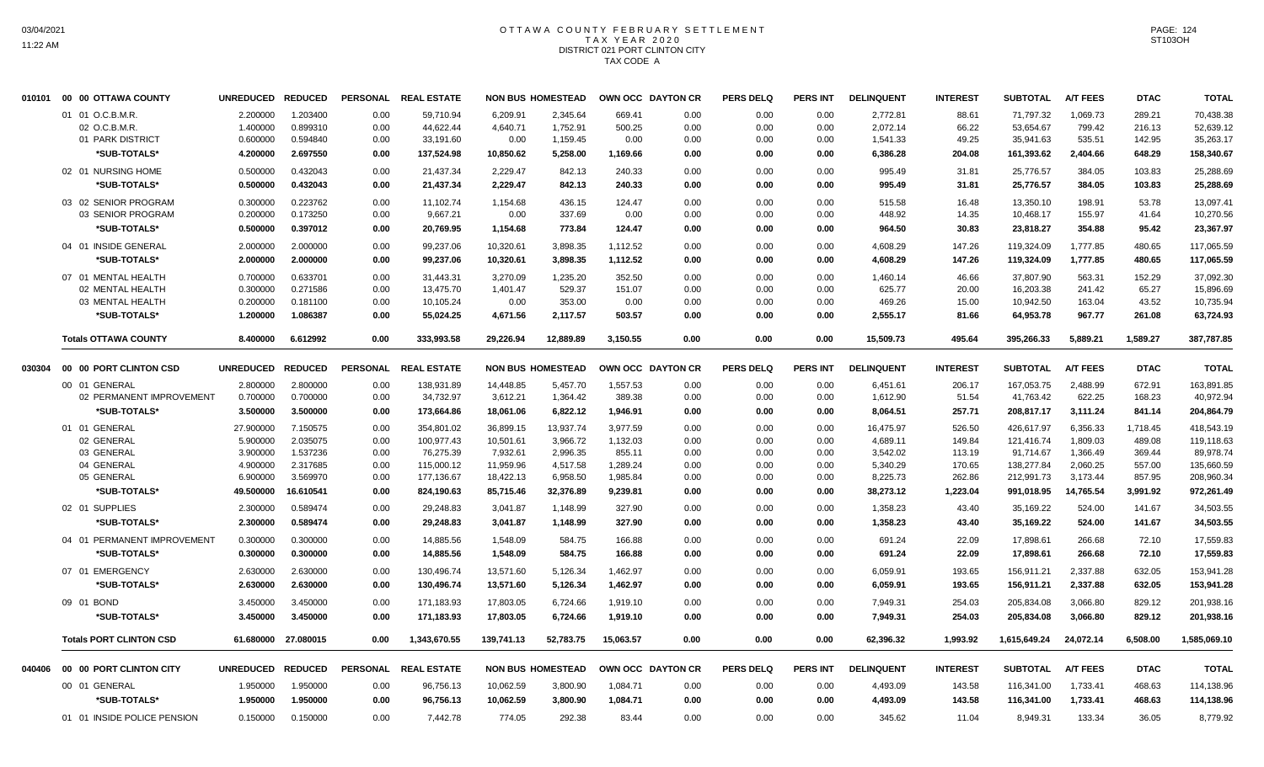# OTTAWA COUNTY FEBRUARY SETTLEMENT TAX YEAR 2020 DISTRICT 021 PORT CLINTON CITY TAX CODE A

| 010101 | 00 00 OTTAWA COUNTY            | <b>UNREDUCED</b> | <b>REDUCED</b>      | <b>PERSONAL</b> | <b>REAL ESTATE</b> |            | <b>NON BUS HOMESTEAD</b> | OWN OCC DAYTON CR |      | <b>PERS DELQ</b> | PERS INT        | <b>DELINQUENT</b> | <b>INTEREST</b> | <b>SUBTOTAL</b> | <b>A/T FEES</b> | <b>DTAC</b> | <b>TOTAL</b> |
|--------|--------------------------------|------------------|---------------------|-----------------|--------------------|------------|--------------------------|-------------------|------|------------------|-----------------|-------------------|-----------------|-----------------|-----------------|-------------|--------------|
|        | 01 01 O.C.B.M.R.               | 2.200000         | 1.203400            | 0.00            | 59,710.94          | 6,209.91   | 2,345.64                 | 669.41            | 0.00 | 0.00             | 0.00            | 2,772.81          | 88.61           | 71,797.32       | 1,069.73        | 289.21      | 70,438.38    |
|        | 02 O.C.B.M.R                   | 1.400000         | 0.899310            | 0.00            | 44,622.44          | 4,640.71   | 1,752.91                 | 500.25            | 0.00 | 0.00             | 0.00            | 2,072.14          | 66.22           | 53,654.67       | 799.42          | 216.13      | 52,639.12    |
|        | 01 PARK DISTRICT               | 0.600000         | 0.594840            | 0.00            | 33,191.60          | 0.00       | 1,159.45                 | 0.00              | 0.00 | 0.00             | 0.00            | 1,541.33          | 49.25           | 35,941.63       | 535.51          | 142.95      | 35,263.17    |
|        | *SUB-TOTALS*                   | 4.200000         | 2.697550            | 0.00            | 137,524.98         | 10,850.62  | 5,258.00                 | 1,169.66          | 0.00 | 0.00             | 0.00            | 6,386.28          | 204.08          | 161,393.62      | 2,404.66        | 648.29      | 158,340.67   |
|        | 02 01 NURSING HOME             | 0.500000         | 0.432043            | 0.00            | 21,437.34          | 2,229.47   | 842.13                   | 240.33            | 0.00 | 0.00             | 0.00            | 995.49            | 31.81           | 25,776.57       | 384.05          | 103.83      | 25,288.69    |
|        | *SUB-TOTALS*                   | 0.500000         | 0.432043            | 0.00            | 21,437.34          | 2,229.47   | 842.13                   | 240.33            | 0.00 | 0.00             | 0.00            | 995.49            | 31.81           | 25,776.57       | 384.05          | 103.83      | 25,288.69    |
|        | 03 02 SENIOR PROGRAM           | 0.300000         | 0.223762            | 0.00            | 11,102.74          | 1,154.68   | 436.15                   | 124.47            | 0.00 | 0.00             | 0.00            | 515.58            | 16.48           | 13,350.10       | 198.91          | 53.78       | 13,097.41    |
|        | 03 SENIOR PROGRAM              | 0.200000         | 0.173250            | 0.00            | 9,667.21           | 0.00       | 337.69                   | 0.00              | 0.00 | 0.00             | 0.00            | 448.92            | 14.35           | 10,468.17       | 155.97          | 41.64       | 10,270.56    |
|        | *SUB-TOTALS*                   | 0.500000         | 0.397012            | 0.00            | 20,769.95          | 1,154.68   | 773.84                   | 124.47            | 0.00 | 0.00             | 0.00            | 964.50            | 30.83           | 23,818.27       | 354.88          | 95.42       | 23,367.97    |
|        | 04 01 INSIDE GENERAL           | 2.000000         | 2.000000            | 0.00            | 99,237.06          | 10,320.61  | 3,898.35                 | 1,112.52          | 0.00 | 0.00             | 0.00            | 4,608.29          | 147.26          | 119,324.09      | 1,777.85        | 480.65      | 117,065.59   |
|        | *SUB-TOTALS*                   | 2.000000         | 2.000000            | 0.00            | 99,237.06          | 10,320.61  | 3,898.35                 | 1,112.52          | 0.00 | 0.00             | 0.00            | 4,608.29          | 147.26          | 119,324.09      | 1,777.85        | 480.65      | 117,065.59   |
|        | 07 01 MENTAL HEALTH            | 0.700000         | 0.633701            | 0.00            | 31,443.31          | 3,270.09   | 1,235.20                 | 352.50            | 0.00 | 0.00             | 0.00            | 1,460.14          | 46.66           | 37,807.90       | 563.31          | 152.29      | 37,092.30    |
|        | 02 MENTAL HEALTH               | 0.300000         | 0.271586            | 0.00            | 13,475.70          | 1,401.47   | 529.37                   | 151.07            | 0.00 | 0.00             | 0.00            | 625.77            | 20.00           | 16,203.38       | 241.42          | 65.27       | 15,896.69    |
|        | 03 MENTAL HEALTH               | 0.200000         | 0.181100            | 0.00            | 10,105.24          | 0.00       | 353.00                   | 0.00              | 0.00 | 0.00             | 0.00            | 469.26            | 15.00           | 10,942.50       | 163.04          | 43.52       | 10,735.94    |
|        | *SUB-TOTALS*                   | 1.200000         | 1.086387            | 0.00            | 55,024.25          | 4,671.56   | 2,117.57                 | 503.57            | 0.00 | 0.00             | 0.00            | 2,555.17          | 81.66           | 64,953.78       | 967.77          | 261.08      | 63,724.93    |
|        | <b>Totals OTTAWA COUNTY</b>    | 8.400000         | 6.612992            | 0.00            | 333,993.58         | 29,226.94  | 12,889.89                | 3,150.55          | 0.00 | 0.00             | 0.00            | 15,509.73         | 495.64          | 395,266.33      | 5,889.21        | 1,589.27    | 387,787.85   |
| 030304 | 00 00 PORT CLINTON CSD         | <b>UNREDUCED</b> | <b>REDUCED</b>      | <b>PERSONAL</b> | <b>REAL ESTATE</b> |            | <b>NON BUS HOMESTEAD</b> | OWN OCC DAYTON CR |      | <b>PERS DELQ</b> | <b>PERS INT</b> | <b>DELINQUENT</b> | <b>INTEREST</b> | <b>SUBTOTAL</b> | <b>A/T FEES</b> | <b>DTAC</b> | <b>TOTAL</b> |
|        | 00 01 GENERAL                  | 2.800000         | 2.800000            | 0.00            | 138,931.89         | 14,448.85  | 5,457.70                 | 1,557.53          | 0.00 | 0.00             | 0.00            | 6,451.61          | 206.17          | 167,053.75      | 2,488.99        | 672.91      | 163,891.85   |
|        | 02 PERMANENT IMPROVEMENT       | 0.700000         | 0.700000            | 0.00            | 34,732.97          | 3,612.21   | 1,364.42                 | 389.38            | 0.00 | 0.00             | 0.00            | 1,612.90          | 51.54           | 41,763.42       | 622.25          | 168.23      | 40,972.94    |
|        | *SUB-TOTALS*                   | 3.500000         | 3.500000            | 0.00            | 173,664.86         | 18,061.06  | 6,822.12                 | 1,946.91          | 0.00 | 0.00             | 0.00            | 8,064.51          | 257.71          | 208,817.17      | 3,111.24        | 841.14      | 204,864.79   |
|        | 01 01 GENERAL                  | 27.900000        | 7.150575            | 0.00            | 354,801.02         | 36,899.15  | 13,937.74                | 3,977.59          | 0.00 | 0.00             | 0.00            | 16,475.97         | 526.50          | 426,617.97      | 6,356.33        | 1,718.45    | 418,543.19   |
|        | 02 GENERAL                     | 5.900000         | 2.035075            | 0.00            | 100,977.43         | 10,501.61  | 3,966.72                 | 1,132.03          | 0.00 | 0.00             | 0.00            | 4,689.11          | 149.84          | 121,416.74      | 1,809.03        | 489.08      | 119,118.63   |
|        | 03 GENERAL                     | 3.900000         | 1.537236            | 0.00            | 76,275.39          | 7,932.61   | 2,996.35                 | 855.11            | 0.00 | 0.00             | 0.00            | 3,542.02          | 113.19          | 91,714.67       | 1,366.49        | 369.44      | 89,978.74    |
|        | 04 GENERAL                     | 4.900000         | 2.317685            | 0.00            | 115,000.12         | 11,959.96  | 4,517.58                 | 1,289.24          | 0.00 | 0.00             | 0.00            | 5,340.29          | 170.65          | 138,277.84      | 2,060.25        | 557.00      | 135,660.59   |
|        | 05 GENERAL                     | 6.900000         | 3.569970            | 0.00            | 177,136.67         | 18,422.13  | 6,958.50                 | 1,985.84          | 0.00 | 0.00             | 0.00            | 8,225.73          | 262.86          | 212,991.73      | 3,173.44        | 857.95      | 208,960.34   |
|        | *SUB-TOTALS*                   | 49.500000        | 16.610541           | 0.00            | 824,190.63         | 85,715.46  | 32,376.89                | 9,239.81          | 0.00 | 0.00             | 0.00            | 38,273.12         | 1,223.04        | 991,018.95      | 14,765.54       | 3,991.92    | 972,261.49   |
|        | 02 01 SUPPLIES                 | 2.300000         | 0.589474            | 0.00            | 29,248.83          | 3,041.87   | 1,148.99                 | 327.90            | 0.00 | 0.00             | 0.00            | 1,358.23          | 43.40           | 35,169.22       | 524.00          | 141.67      | 34,503.55    |
|        | *SUB-TOTALS*                   | 2.300000         | 0.589474            | 0.00            | 29,248.83          | 3,041.87   | 1,148.99                 | 327.90            | 0.00 | 0.00             | 0.00            | 1,358.23          | 43.40           | 35,169.22       | 524.00          | 141.67      | 34,503.55    |
|        | 04 01 PERMANENT IMPROVEMENT    | 0.300000         | 0.300000            | 0.00            | 14,885.56          | 1,548.09   | 584.75                   | 166.88            | 0.00 | 0.00             | 0.00            | 691.24            | 22.09           | 17,898.61       | 266.68          | 72.10       | 17,559.83    |
|        | *SUB-TOTALS*                   | 0.300000         | 0.300000            | 0.00            | 14,885.56          | 1,548.09   | 584.75                   | 166.88            | 0.00 | 0.00             | 0.00            | 691.24            | 22.09           | 17,898.61       | 266.68          | 72.10       | 17,559.83    |
|        | 07 01 EMERGENCY                | 2.630000         | 2.630000            | 0.00            | 130,496.74         | 13,571.60  | 5,126.34                 | 1,462.97          | 0.00 | 0.00             | 0.00            | 6,059.91          | 193.65          | 156,911.21      | 2,337.88        | 632.05      | 153,941.28   |
|        | *SUB-TOTALS*                   | 2.630000         | 2.630000            | 0.00            | 130,496.74         | 13,571.60  | 5,126.34                 | 1,462.97          | 0.00 | 0.00             | 0.00            | 6,059.91          | 193.65          | 156,911.21      | 2,337.88        | 632.05      | 153,941.28   |
|        | 09 01 BOND                     | 3.450000         | 3.450000            | 0.00            | 171,183.93         | 17,803.05  | 6,724.66                 | 1,919.10          | 0.00 | 0.00             | 0.00            | 7,949.31          | 254.03          | 205,834.08      | 3,066.80        | 829.12      | 201,938.16   |
|        | *SUB-TOTALS*                   | 3.450000         | 3.450000            | 0.00            | 171,183.93         | 17,803.05  | 6,724.66                 | 1,919.10          | 0.00 | 0.00             | 0.00            | 7,949.31          | 254.03          | 205,834.08      | 3,066.80        | 829.12      | 201,938.16   |
|        | <b>Totals PORT CLINTON CSD</b> |                  | 61.680000 27.080015 | 0.00            | 1,343,670.55       | 139,741.13 | 52,783.75                | 15,063.57         | 0.00 | 0.00             | 0.00            | 62,396.32         | 1,993.92        | 1,615,649.24    | 24,072.14       | 6,508.00    | 1,585,069.10 |
| 040406 | 00 00 PORT CLINTON CITY        | <b>UNREDUCED</b> | <b>REDUCED</b>      | <b>PERSONAL</b> | <b>REAL ESTATE</b> |            | <b>NON BUS HOMESTEAD</b> | OWN OCC DAYTON CR |      | <b>PERS DELQ</b> | <b>PERS INT</b> | <b>DELINQUENT</b> | <b>INTEREST</b> | <b>SUBTOTAL</b> | <b>A/T FEES</b> | <b>DTAC</b> | <b>TOTAL</b> |
|        | 00 01 GENERAL                  | 1.950000         | 1.950000            | 0.00            | 96,756.13          | 10,062.59  | 3,800.90                 | 1,084.71          | 0.00 | 0.00             | 0.00            | 4,493.09          | 143.58          | 116,341.00      | 1,733.41        | 468.63      | 114,138.96   |
|        | *SUB-TOTALS*                   | 1.950000         | 1.950000            | 0.00            | 96,756.13          | 10,062.59  | 3,800.90                 | 1,084.71          | 0.00 | 0.00             | 0.00            | 4,493.09          | 143.58          | 116,341.00      | 1,733.41        | 468.63      | 114,138.96   |
|        | 01 01 INSIDE POLICE PENSION    | 0.150000         | 0.150000            | 0.00            | 7,442.78           | 774.05     | 292.38                   | 83.44             | 0.00 | 0.00             | 0.00            | 345.62            | 11.04           | 8,949.31        | 133.34          | 36.05       | 8,779.92     |
|        |                                |                  |                     |                 |                    |            |                          |                   |      |                  |                 |                   |                 |                 |                 |             |              |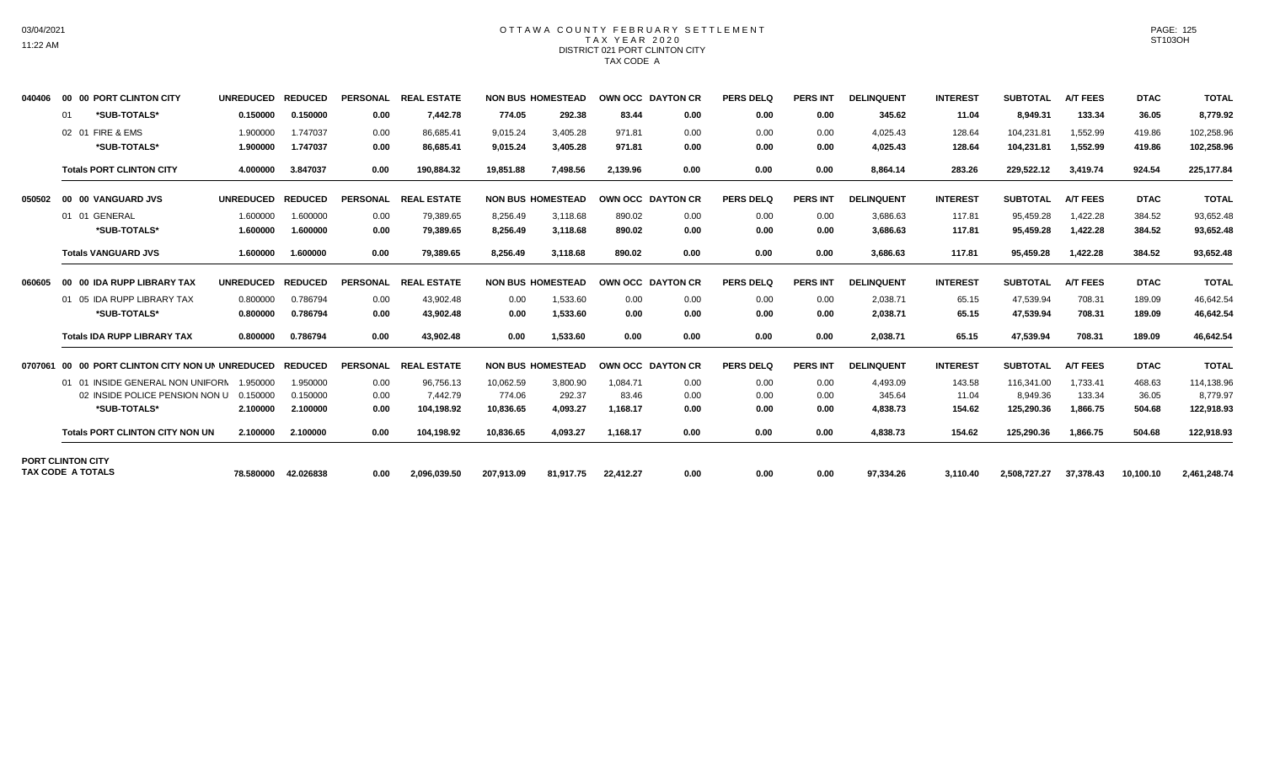## OTTAWA COUNTY FEBRUARY SETTLEMENT TAX YEAR 2020 DISTRICT 021 PORT CLINTON CITY TAX CODE A

| 040406  | 00 00 PORT CLINTON CITY                              | <b>UNREDUCED</b> | <b>REDUCED</b> | <b>PERSONAL</b> | <b>REAL ESTATE</b> |            | <b>NON BUS HOMESTEAD</b> | OWN OCC DAYTON CR |      | <b>PERS DELQ</b> | <b>PERS INT</b> | <b>DELINQUENT</b> | <b>INTEREST</b> | <b>SUBTOTAL</b> | <b>A/T FEES</b> | <b>DTAC</b> | <b>TOTAL</b> |
|---------|------------------------------------------------------|------------------|----------------|-----------------|--------------------|------------|--------------------------|-------------------|------|------------------|-----------------|-------------------|-----------------|-----------------|-----------------|-------------|--------------|
|         | *SUB-TOTALS*<br>01                                   | 0.150000         | 0.150000       | 0.00            | 7.442.78           | 774.05     | 292.38                   | 83.44             | 0.00 | 0.00             | 0.00            | 345.62            | 11.04           | 8,949.31        | 133.34          | 36.05       | 8,779.92     |
|         | 02 01 FIRE & EMS                                     | 1.900000         | 1.747037       | 0.00            | 86.685.41          | 9,015.24   | 3,405.28                 | 971.81            | 0.00 | 0.00             | 0.00            | 4,025.43          | 128.64          | 104,231.8       | 1,552.99        | 419.86      | 102,258.96   |
|         | *SUB-TOTALS*                                         | 1.900000         | 1.747037       | 0.00            | 86.685.41          | 9,015.24   | 3,405.28                 | 971.81            | 0.00 | 0.00             | 0.00            | 4,025.43          | 128.64          | 104,231.81      | 1,552.99        | 419.86      | 102,258.96   |
|         | <b>Totals PORT CLINTON CITY</b>                      | 4.000000         | 3.847037       | 0.00            | 190,884.32         | 19,851.88  | 7,498.56                 | 2,139.96          | 0.00 | 0.00             | 0.00            | 8,864.14          | 283.26          | 229,522.12      | 3,419.74        | 924.54      | 225,177.84   |
| 050502  | 00 00 VANGUARD JVS                                   | <b>UNREDUCED</b> | <b>REDUCED</b> | <b>PERSONAL</b> | <b>REAL ESTATE</b> |            | <b>NON BUS HOMESTEAD</b> | OWN OCC DAYTON CR |      | <b>PERS DELQ</b> | <b>PERS INT</b> | <b>DELINQUENT</b> | <b>INTEREST</b> | <b>SUBTOTAL</b> | <b>A/T FEES</b> | <b>DTAC</b> | <b>TOTAL</b> |
|         | 01 01 GENERAL                                        | 1.600000         | 1.600000       | 0.00            | 79,389.65          | 8,256.49   | 3,118.68                 | 890.02            | 0.00 | 0.00             | 0.00            | 3,686.63          | 117.81          | 95,459.28       | 1,422.28        | 384.52      | 93,652.48    |
|         | *SUB-TOTALS*                                         | 1.600000         | 1.600000       | 0.00            | 79,389.65          | 8,256.49   | 3,118.68                 | 890.02            | 0.00 | 0.00             | 0.00            | 3,686.63          | 117.81          | 95,459.28       | 1,422.28        | 384.52      | 93,652.48    |
|         | <b>Totals VANGUARD JVS</b>                           | 1.600000         | 1.600000       | 0.00            | 79,389.65          | 8,256.49   | 3,118.68                 | 890.02            | 0.00 | 0.00             | 0.00            | 3.686.63          | 117.81          | 95,459.28       | 1,422.28        | 384.52      | 93,652.48    |
| 060605  | 00 00 IDA RUPP LIBRARY TAX                           | <b>UNREDUCED</b> | <b>REDUCED</b> | <b>PERSONAL</b> | <b>REAL ESTATE</b> |            | <b>NON BUS HOMESTEAD</b> | OWN OCC DAYTON CR |      | <b>PERS DELQ</b> | <b>PERS INT</b> | <b>DELINQUENT</b> | <b>INTEREST</b> | <b>SUBTOTAL</b> | <b>A/T FEES</b> | <b>DTAC</b> | <b>TOTAL</b> |
|         | 01 05 IDA RUPP LIBRARY TAX                           | 0.800000         | 0.786794       | 0.00            | 43,902.48          | 0.00       | 1,533.60                 | 0.00              | 0.00 | 0.00             | 0.00            | 2,038.71          | 65.15           | 47,539.94       | 708.31          | 189.09      | 46,642.54    |
|         | *SUB-TOTALS*                                         | 0.800000         | 0.786794       | 0.00            | 43,902.48          | 0.00       | 1,533.60                 | 0.00              | 0.00 | 0.00             | 0.00            | 2,038.71          | 65.15           | 47,539.94       | 708.31          | 189.09      | 46,642.54    |
|         | <b>Totals IDA RUPP LIBRARY TAX</b>                   | 0.800000         | 0.786794       | 0.00            | 43.902.48          | 0.00       | 1,533.60                 | 0.00              | 0.00 | 0.00             | 0.00            | 2,038.71          | 65.15           | 47,539.94       | 708.31          | 189.09      | 46,642.54    |
| 0707061 | 00 00 PORT CLINTON CITY NON UN UNREDUCED             |                  | <b>REDUCED</b> | <b>PERSONAL</b> | <b>REAL ESTATE</b> |            | <b>NON BUS HOMESTEAD</b> | OWN OCC DAYTON CR |      | <b>PERS DELQ</b> | <b>PERS INT</b> | <b>DELINQUENT</b> | <b>INTEREST</b> | <b>SUBTOTAL</b> | <b>A/T FEES</b> | <b>DTAC</b> | <b>TOTAL</b> |
|         | 01 01 INSIDE GENERAL NON UNIFORN                     | 1.950000         | 1.950000       | 0.00            | 96,756.13          | 10,062.59  | 3,800.90                 | 1.084.71          | 0.00 | 0.00             | 0.00            | 4.493.09          | 143.58          | 116.341.00      | 1,733.41        | 468.63      | 114,138.96   |
|         | 02 INSIDE POLICE PENSION NON U                       | 0.150000         | 0.150000       | 0.00            | 7.442.79           | 774.06     | 292.37                   | 83.46             | 0.00 | 0.00             | 0.00            | 345.64            | 11.04           | 8,949.36        | 133.34          | 36.05       | 8,779.97     |
|         | *SUB-TOTALS*                                         | 2.100000         | 2.100000       | 0.00            | 104,198.92         | 10,836.65  | 4,093.27                 | 1,168.17          | 0.00 | 0.00             | 0.00            | 4,838.73          | 154.62          | 125,290.36      | 1,866.75        | 504.68      | 122,918.93   |
|         | <b>Totals PORT CLINTON CITY NON UN</b>               | 2.100000         | 2.100000       | 0.00            | 104.198.92         | 10.836.65  | 4.093.27                 | 1.168.17          | 0.00 | 0.00             | 0.00            | 4.838.73          | 154.62          | 125.290.36      | 1.866.75        | 504.68      | 122,918.93   |
|         | <b>PORT CLINTON CITY</b><br><b>TAX CODE A TOTALS</b> | 78.580000        | 42.026838      | 0.00            | 2,096,039.50       | 207.913.09 | 81,917.75                | 22,412.27         | 0.00 | 0.00             | 0.00            | 97,334.26         | 3,110.40        | 2,508,727.27    | 37,378.43       | 10,100.10   | 2,461,248.74 |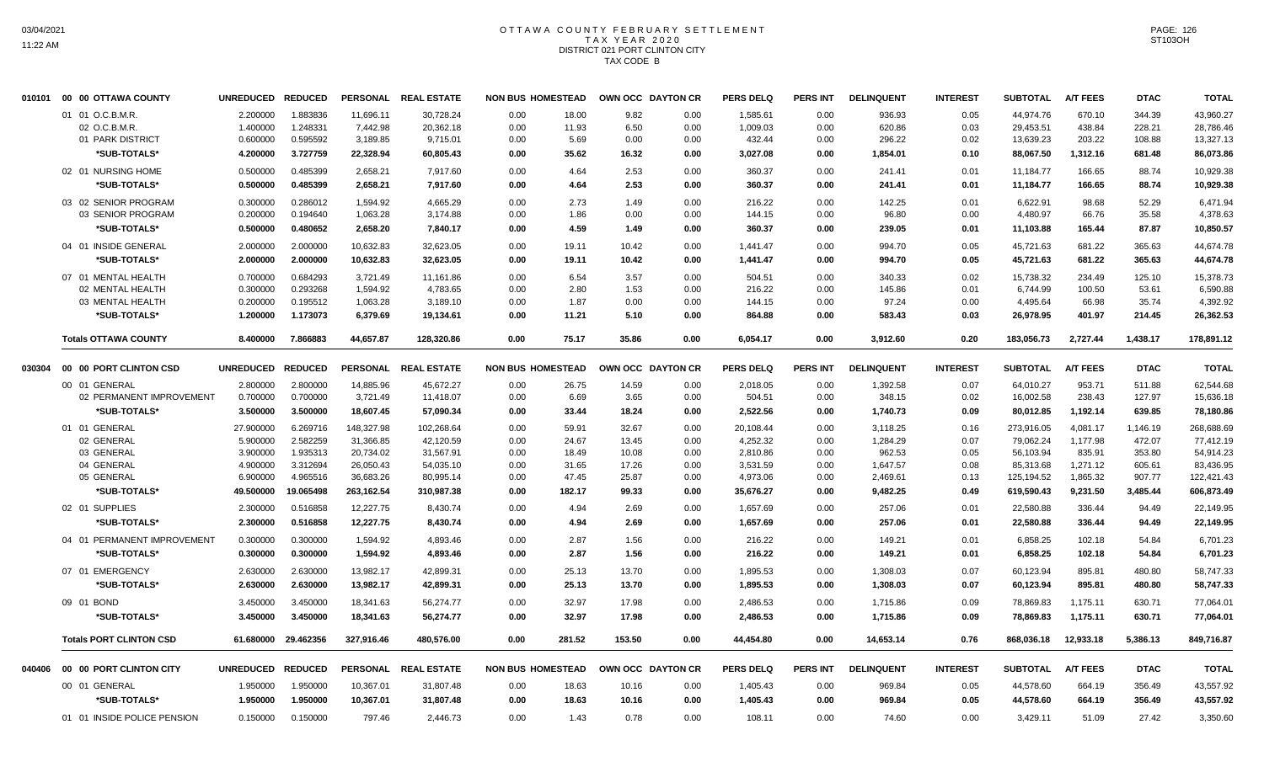# OTTAWA COUNTY FEBRUARY SETTLEMENT TAX YEAR 2020 DISTRICT 021 PORT CLINTON CITY TAX CODE B

| 010101 | 00 00 OTTAWA COUNTY            | <b>UNREDUCED</b>  | <b>REDUCED</b>      |            | PERSONAL REAL ESTATE | <b>NON BUS HOMESTEAD</b> |        | OWN OCC DAYTON CR |      | <b>PERS DELQ</b> | <b>PERS INT</b> | <b>DELINQUENT</b> | <b>INTEREST</b> | <b>SUBTOTAL</b> | <b>A/T FEES</b> | <b>DTAC</b> | <b>TOTAL</b> |
|--------|--------------------------------|-------------------|---------------------|------------|----------------------|--------------------------|--------|-------------------|------|------------------|-----------------|-------------------|-----------------|-----------------|-----------------|-------------|--------------|
|        | 01 01 O.C.B.M.R.               | 2.200000          | 1.883836            | 11,696.11  | 30,728.24            | 0.00                     | 18.00  | 9.82              | 0.00 | 1,585.61         | 0.00            | 936.93            | 0.05            | 44,974.76       | 670.10          | 344.39      | 43,960.27    |
|        | 02 O.C.B.M.R.                  | 1.400000          | 1.248331            | 7,442.98   | 20,362.18            | 0.00                     | 11.93  | 6.50              | 0.00 | 1,009.03         | 0.00            | 620.86            | 0.03            | 29,453.51       | 438.84          | 228.21      | 28,786.46    |
|        | 01 PARK DISTRICT               | 0.600000          | 0.595592            | 3,189.85   | 9,715.01             | 0.00                     | 5.69   | 0.00              | 0.00 | 432.44           | 0.00            | 296.22            | 0.02            | 13,639.23       | 203.22          | 108.88      | 13,327.13    |
|        | *SUB-TOTALS*                   | 4.200000          | 3.727759            | 22,328.94  | 60,805.43            | 0.00                     | 35.62  | 16.32             | 0.00 | 3,027.08         | 0.00            | 1,854.01          | 0.10            | 88,067.50       | 1,312.16        | 681.48      | 86,073.86    |
|        | 02 01 NURSING HOME             | 0.500000          | 0.485399            | 2.658.21   | 7.917.60             | 0.00                     | 4.64   | 2.53              | 0.00 | 360.37           | 0.00            | 241.41            | 0.01            | 11,184.77       | 166.65          | 88.74       | 10.929.38    |
|        | *SUB-TOTALS*                   | 0.500000          | 0.485399            | 2,658.21   | 7,917.60             | 0.00                     | 4.64   | 2.53              | 0.00 | 360.37           | 0.00            | 241.41            | 0.01            | 11,184.77       | 166.65          | 88.74       | 10,929.38    |
|        | 03 02 SENIOR PROGRAM           | 0.300000          | 0.286012            | 1,594.92   | 4,665.29             | 0.00                     | 2.73   | 1.49              | 0.00 | 216.22           | 0.00            | 142.25            | 0.01            | 6,622.91        | 98.68           | 52.29       | 6.471.94     |
|        | 03 SENIOR PROGRAM              | 0.200000          | 0.194640            | 1,063.28   | 3,174.88             | 0.00                     | 1.86   | 0.00              | 0.00 | 144.15           | 0.00            | 96.80             | 0.00            | 4,480.97        | 66.76           | 35.58       | 4,378.63     |
|        | *SUB-TOTALS*                   | 0.500000          | 0.480652            | 2,658.20   | 7,840.17             | 0.00                     | 4.59   | 1.49              | 0.00 | 360.37           | 0.00            | 239.05            | 0.01            | 11,103.88       | 165.44          | 87.87       | 10,850.57    |
|        | 04 01 INSIDE GENERAL           | 2.000000          | 2.000000            | 10,632.83  | 32,623.05            | 0.00                     | 19.11  | 10.42             | 0.00 | 1,441.47         | 0.00            | 994.70            | 0.05            | 45,721.63       | 681.22          | 365.63      | 44,674.78    |
|        | *SUB-TOTALS*                   | 2.000000          | 2.000000            | 10,632.83  | 32,623.05            | 0.00                     | 19.11  | 10.42             | 0.00 | 1,441.47         | 0.00            | 994.70            | 0.05            | 45,721.63       | 681.22          | 365.63      | 44,674.78    |
|        | 07 01 MENTAL HEALTH            | 0.700000          | 0.684293            | 3,721.49   | 11,161.86            | 0.00                     | 6.54   | 3.57              | 0.00 | 504.51           | 0.00            | 340.33            | 0.02            | 15,738.32       | 234.49          | 125.10      | 15,378.73    |
|        | 02 MENTAL HEALTH               | 0.300000          | 0.293268            | 1,594.92   | 4,783.65             | 0.00                     | 2.80   | 1.53              | 0.00 | 216.22           | 0.00            | 145.86            | 0.01            | 6,744.99        | 100.50          | 53.61       | 6,590.88     |
|        | 03 MENTAL HEALTH               | 0.200000          | 0.195512            | 1,063.28   | 3,189.10             | 0.00                     | 1.87   | 0.00              | 0.00 | 144.15           | 0.00            | 97.24             | 0.00            | 4,495.64        | 66.98           | 35.74       | 4,392.92     |
|        | *SUB-TOTALS*                   | 1.200000          | 1.173073            | 6,379.69   | 19,134.61            | 0.00                     | 11.21  | 5.10              | 0.00 | 864.88           | 0.00            | 583.43            | 0.03            | 26,978.95       | 401.97          | 214.45      | 26,362.53    |
|        | <b>Totals OTTAWA COUNTY</b>    | 8.400000          | 7.866883            | 44,657.87  | 128,320.86           | 0.00                     | 75.17  | 35.86             | 0.00 | 6,054.17         | 0.00            | 3,912.60          | 0.20            | 183,056.73      | 2,727.44        | 1,438.17    | 178,891.12   |
|        |                                |                   |                     |            |                      |                          |        |                   |      |                  |                 |                   |                 |                 |                 |             |              |
| 030304 | 00 00 PORT CLINTON CSD         | UNREDUCED REDUCED |                     |            | PERSONAL REAL ESTATE | <b>NON BUS HOMESTEAD</b> |        | OWN OCC DAYTON CR |      | <b>PERS DELQ</b> | <b>PERS INT</b> | <b>DELINQUENT</b> | <b>INTEREST</b> | <b>SUBTOTAL</b> | <b>A/T FEES</b> | <b>DTAC</b> | <b>TOTAL</b> |
|        | 00 01 GENERAL                  | 2.800000          | 2.800000            | 14,885.96  | 45,672.27            | 0.00                     | 26.75  | 14.59             | 0.00 | 2,018.05         | 0.00            | 1,392.58          | 0.07            | 64,010.27       | 953.71          | 511.88      | 62,544.68    |
|        | 02 PERMANENT IMPROVEMENT       | 0.700000          | 0.700000            | 3,721.49   | 11,418.07            | 0.00                     | 6.69   | 3.65              | 0.00 | 504.51           | 0.00            | 348.15            | 0.02            | 16,002.58       | 238.43          | 127.97      | 15,636.18    |
|        | *SUB-TOTALS*                   | 3.500000          | 3.500000            | 18,607.45  | 57,090.34            | 0.00                     | 33.44  | 18.24             | 0.00 | 2,522.56         | 0.00            | 1,740.73          | 0.09            | 80,012.85       | 1,192.14        | 639.85      | 78,180.86    |
|        | 01 01 GENERAL                  | 27.900000         | 6.269716            | 148,327.98 | 102,268.64           | 0.00                     | 59.91  | 32.67             | 0.00 | 20,108.44        | 0.00            | 3,118.25          | 0.16            | 273,916.05      | 4,081.17        | 1,146.19    | 268,688.69   |
|        | 02 GENERAL                     | 5.900000          | 2.582259            | 31,366.85  | 42,120.59            | 0.00                     | 24.67  | 13.45             | 0.00 | 4,252.32         | 0.00            | 1,284.29          | 0.07            | 79,062.24       | 1,177.98        | 472.07      | 77,412.19    |
|        | 03 GENERAL                     | 3.900000          | 1.935313            | 20,734.02  | 31,567.91            | 0.00                     | 18.49  | 10.08             | 0.00 | 2,810.86         | 0.00            | 962.53            | 0.05            | 56,103.94       | 835.91          | 353.80      | 54,914.23    |
|        | 04 GENERAL                     | 4.900000          | 3.312694            | 26,050.43  | 54,035.10            | 0.00                     | 31.65  | 17.26             | 0.00 | 3,531.59         | 0.00            | 1,647.57          | 0.08            | 85,313.68       | 1,271.12        | 605.61      | 83,436.95    |
|        | 05 GENERAL                     | 6.900000          | 4.965516            | 36,683.26  | 80,995.14            | 0.00                     | 47.45  | 25.87             | 0.00 | 4,973.06         | 0.00            | 2,469.61          | 0.13            | 125,194.52      | 1,865.32        | 907.77      | 122,421.43   |
|        | *SUB-TOTALS*                   | 49.500000         | 19.065498           | 263,162.54 | 310,987.38           | 0.00                     | 182.17 | 99.33             | 0.00 | 35,676.27        | 0.00            | 9,482.25          | 0.49            | 619,590.43      | 9,231.50        | 3,485.44    | 606,873.49   |
|        | 02 01 SUPPLIES                 | 2.300000          | 0.516858            | 12,227.75  | 8,430.74             | 0.00                     | 4.94   | 2.69              | 0.00 | 1,657.69         | 0.00            | 257.06            | 0.01            | 22,580.88       | 336.44          | 94.49       | 22,149.95    |
|        | *SUB-TOTALS*                   | 2.300000          | 0.516858            | 12,227.75  | 8,430.74             | 0.00                     | 4.94   | 2.69              | 0.00 | 1,657.69         | 0.00            | 257.06            | 0.01            | 22,580.88       | 336.44          | 94.49       | 22,149.95    |
|        | 04 01 PERMANENT IMPROVEMENT    | 0.300000          | 0.300000            | 1,594.92   | 4,893.46             | 0.00                     | 2.87   | 1.56              | 0.00 | 216.22           | 0.00            | 149.21            | 0.01            | 6,858.25        | 102.18          | 54.84       | 6,701.23     |
|        | *SUB-TOTALS*                   | 0.300000          | 0.300000            | 1,594.92   | 4,893.46             | 0.00                     | 2.87   | 1.56              | 0.00 | 216.22           | 0.00            | 149.21            | 0.01            | 6,858.25        | 102.18          | 54.84       | 6,701.23     |
|        | 07 01 EMERGENCY                | 2.630000          | 2.630000            | 13,982.17  | 42,899.31            | 0.00                     | 25.13  | 13.70             | 0.00 | 1,895.53         | 0.00            | 1,308.03          | 0.07            | 60,123.94       | 895.81          | 480.80      | 58,747.33    |
|        | *SUB-TOTALS*                   | 2.630000          | 2.630000            | 13,982.17  | 42,899.31            | 0.00                     | 25.13  | 13.70             | 0.00 | 1,895.53         | 0.00            | 1,308.03          | 0.07            | 60,123.94       | 895.81          | 480.80      | 58,747.33    |
|        | 09 01 BOND                     | 3.450000          | 3.450000            | 18,341.63  | 56,274.77            | 0.00                     | 32.97  | 17.98             | 0.00 | 2,486.53         | 0.00            | 1,715.86          | 0.09            | 78,869.83       | 1,175.11        | 630.71      | 77,064.01    |
|        | *SUB-TOTALS*                   | 3.450000          | 3.450000            | 18,341.63  | 56,274.77            | 0.00                     | 32.97  | 17.98             | 0.00 | 2,486.53         | 0.00            | 1,715.86          | 0.09            | 78,869.83       | 1,175.11        | 630.71      | 77,064.01    |
|        | <b>Totals PORT CLINTON CSD</b> |                   | 61.680000 29.462356 | 327,916.46 | 480,576.00           | 0.00                     | 281.52 | 153.50            | 0.00 | 44,454.80        | 0.00            | 14,653.14         | 0.76            | 868,036.18      | 12,933.18       | 5,386.13    | 849,716.87   |
| 040406 | 00 00 PORT CLINTON CITY        | UNREDUCED REDUCED |                     |            | PERSONAL REAL ESTATE | <b>NON BUS HOMESTEAD</b> |        | OWN OCC DAYTON CR |      | <b>PERS DELQ</b> | <b>PERS INT</b> | <b>DELINQUENT</b> | <b>INTEREST</b> | <b>SUBTOTAL</b> | <b>A/T FEES</b> | <b>DTAC</b> | <b>TOTAL</b> |
|        | 00 01 GENERAL                  | 1.950000          | 1.950000            | 10,367.01  | 31,807.48            | 0.00                     | 18.63  |                   | 0.00 | 1,405.43         | 0.00            | 969.84            |                 | 44,578.60       | 664.19          | 356.49      | 43,557.92    |
|        | *SUB-TOTALS*                   | 1.950000          | 1.950000            | 10,367.01  | 31,807.48            | 0.00                     | 18.63  | 10.16<br>10.16    | 0.00 | 1,405.43         | 0.00            | 969.84            | 0.05<br>0.05    | 44,578.60       | 664.19          | 356.49      | 43,557.92    |
|        | 01 01 INSIDE POLICE PENSION    |                   |                     |            |                      |                          |        |                   |      |                  |                 |                   |                 |                 |                 |             |              |
|        |                                | 0.150000          | 0.150000            | 797.46     | 2,446.73             | 0.00                     | 1.43   | 0.78              | 0.00 | 108.11           | 0.00            | 74.60             | 0.00            | 3,429.11        | 51.09           | 27.42       | 3,350.60     |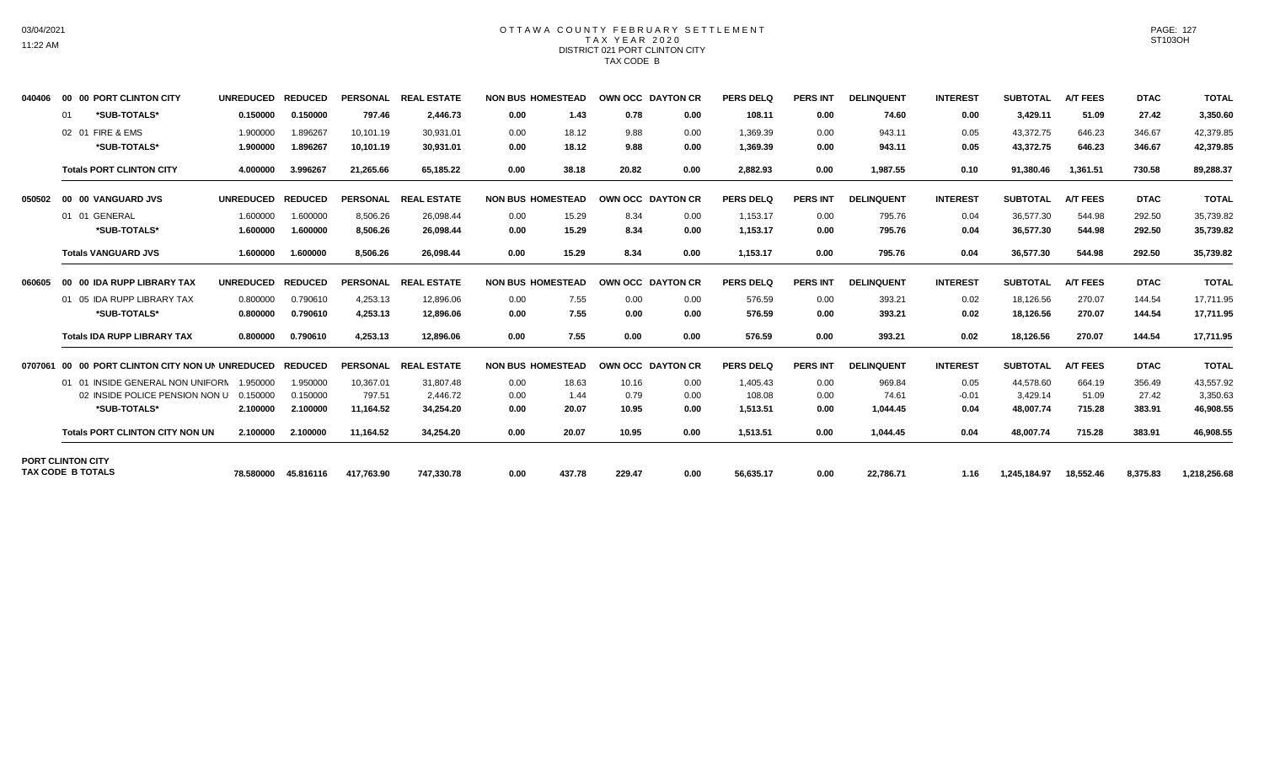## OTTAWA COUNTY FEBRUARY SETTLEMENT TAX YEAR 2020 DISTRICT 021 PORT CLINTON CITY TAX CODE B

| 040406  | 00 00 PORT CLINTON CITY                              | <b>UNREDUCED</b> | <b>REDUCED</b> | <b>PERSONAL</b> | <b>REAL ESTATE</b> | <b>NON BUS HOMESTEAD</b> |        |        | OWN OCC DAYTON CR | PERS DELO        | <b>PERS INT</b> | <b>DELINQUENT</b> | <b>INTEREST</b> | <b>SUBTOTAL</b> | <b>A/T FEES</b> | <b>DTAC</b> | <b>TOTAL</b> |
|---------|------------------------------------------------------|------------------|----------------|-----------------|--------------------|--------------------------|--------|--------|-------------------|------------------|-----------------|-------------------|-----------------|-----------------|-----------------|-------------|--------------|
|         | *SUB-TOTALS*<br>01                                   | 0.150000         | 0.150000       | 797.46          | 2,446.73           | 0.00                     | 1.43   | 0.78   | 0.00              | 108.11           | 0.00            | 74.60             | 0.00            | 3,429.11        | 51.09           | 27.42       | 3,350.60     |
|         | 02 01 FIRE & EMS                                     | 1.900000         | 1.896267       | 10.101.19       | 30.931.01          | 0.00                     | 18.12  | 9.88   | 0.00              | 1.369.39         | 0.00            | 943.11            | 0.05            | 43.372.75       | 646.23          | 346.67      | 42,379.85    |
|         | *SUB-TOTALS*                                         | 1.900000         | 1.896267       | 10,101.19       | 30.931.01          | 0.00                     | 18.12  | 9.88   | 0.00              | 1,369.39         | 0.00            | 943.11            | 0.05            | 43,372.75       | 646.23          | 346.67      | 42,379.85    |
|         | <b>Totals PORT CLINTON CITY</b>                      | 4.000000         | 3.996267       | 21,265.66       | 65,185.22          | 0.00                     | 38.18  | 20.82  | 0.00              | 2,882.93         | 0.00            | 1,987.55          | 0.10            | 91,380.46       | 1,361.51        | 730.58      | 89,288.37    |
| 050502  | 00 00 VANGUARD JVS                                   | <b>UNREDUCED</b> | <b>REDUCED</b> | <b>PERSONAL</b> | <b>REAL ESTATE</b> | <b>NON BUS HOMESTEAD</b> |        |        | OWN OCC DAYTON CR | <b>PERS DELQ</b> | <b>PERS INT</b> | <b>DELINQUENT</b> | <b>INTEREST</b> | <b>SUBTOTAL</b> | <b>A/T FEES</b> | <b>DTAC</b> | <b>TOTAL</b> |
|         | 01 01 GENERAL                                        | 1.600000         | 1.600000       | 8.506.26        | 26.098.44          | 0.00                     | 15.29  | 8.34   | 0.00              | 1,153.17         | 0.00            | 795.76            | 0.04            | 36.577.30       | 544.98          | 292.50      | 35,739.82    |
|         | *SUB-TOTALS*                                         | 1.600000         | 1.600000       | 8.506.26        | 26.098.44          | 0.00                     | 15.29  | 8.34   | 0.00              | 1.153.17         | 0.00            | 795.76            | 0.04            | 36.577.30       | 544.98          | 292.50      | 35,739.82    |
|         | <b>Totals VANGUARD JVS</b>                           | 1.600000         | 1.600000       | 8,506.26        | 26,098.44          | 0.00                     | 15.29  | 8.34   | 0.00              | 1,153.17         | 0.00            | 795.76            | 0.04            | 36,577.30       | 544.98          | 292.50      | 35,739.82    |
| 060605  | 00 00 IDA RUPP LIBRARY TAX                           | <b>UNREDUCED</b> | <b>REDUCED</b> | <b>PERSONAL</b> | <b>REAL ESTATE</b> | <b>NON BUS HOMESTEAD</b> |        |        | OWN OCC DAYTON CR | PERS DELO        | <b>PERS INT</b> | <b>DELINQUENT</b> | <b>INTEREST</b> | <b>SUBTOTAL</b> | <b>A/T FEES</b> | <b>DTAC</b> | <b>TOTAL</b> |
|         | 01 05 IDA RUPP LIBRARY TAX                           | 0.800000         | 0.790610       | 4,253.13        | 12.896.06          | 0.00                     | 7.55   | 0.00   | 0.00              | 576.59           | 0.00            | 393.21            | 0.02            | 18,126.56       | 270.07          | 144.54      | 17,711.95    |
|         | *SUB-TOTALS*                                         | 0.800000         | 0.790610       | 4,253.13        | 12,896.06          | 0.00                     | 7.55   | 0.00   | 0.00              | 576.59           | 0.00            | 393.21            | 0.02            | 18,126.56       | 270.07          | 144.54      | 17,711.95    |
|         | <b>Totals IDA RUPP LIBRARY TAX</b>                   | 0.800000         | 0.790610       | 4.253.13        | 12.896.06          | 0.00                     | 7.55   | 0.00   | 0.00              | 576.59           | 0.00            | 393.21            | 0.02            | 18.126.56       | 270.07          | 144.54      | 17.711.95    |
| 0707061 | 00 00 PORT CLINTON CITY NON UN UNREDUCED             |                  | <b>REDUCED</b> | <b>PERSONAL</b> | <b>REAL ESTATE</b> | <b>NON BUS HOMESTEAD</b> |        |        | OWN OCC DAYTON CR | <b>PERS DELQ</b> | <b>PERS INT</b> | <b>DELINQUENT</b> | <b>INTEREST</b> | <b>SUBTOTAL</b> | <b>A/T FEES</b> | <b>DTAC</b> | <b>TOTAL</b> |
|         | 01 01 INSIDE GENERAL NON UNIFORN                     | 1.950000         | 1.950000       | 10.367.01       | 31.807.48          | 0.00                     | 18.63  | 10.16  | 0.00              | 1,405.43         | 0.00            | 969.84            | 0.05            | 44.578.60       | 664.19          | 356.49      | 43,557.92    |
|         | 02 INSIDE POLICE PENSION NON U                       | 0.150000         | 0.150000       | 797.51          | 2.446.72           | 0.00                     | 1.44   | 0.79   | 0.00              | 108.08           | 0.00            | 74.61             | $-0.01$         | 3,429.14        | 51.09           | 27.42       | 3,350.63     |
|         | *SUB-TOTALS*                                         | 2.100000         | 2.100000       | 11,164.52       | 34,254.20          | 0.00                     | 20.07  | 10.95  | 0.00              | 1,513.51         | 0.00            | 1,044.45          | 0.04            | 48,007.74       | 715.28          | 383.91      | 46,908.55    |
|         | <b>Totals PORT CLINTON CITY NON UN</b>               | 2.100000         | 2.100000       | 11,164.52       | 34.254.20          | 0.00                     | 20.07  | 10.95  | 0.00              | 1.513.51         | 0.00            | 1.044.45          | 0.04            | 48,007.74       | 715.28          | 383.91      | 46,908.55    |
|         | <b>PORT CLINTON CITY</b><br><b>TAX CODE B TOTALS</b> | 78,580000        | 45.816116      | 417.763.90      | 747.330.78         | 0.00                     | 437.78 | 229.47 | 0.00              | 56.635.17        | 0.00            | 22.786.71         | 1.16            | 1.245.184.97    | 18.552.46       | 8.375.83    | 1,218,256.68 |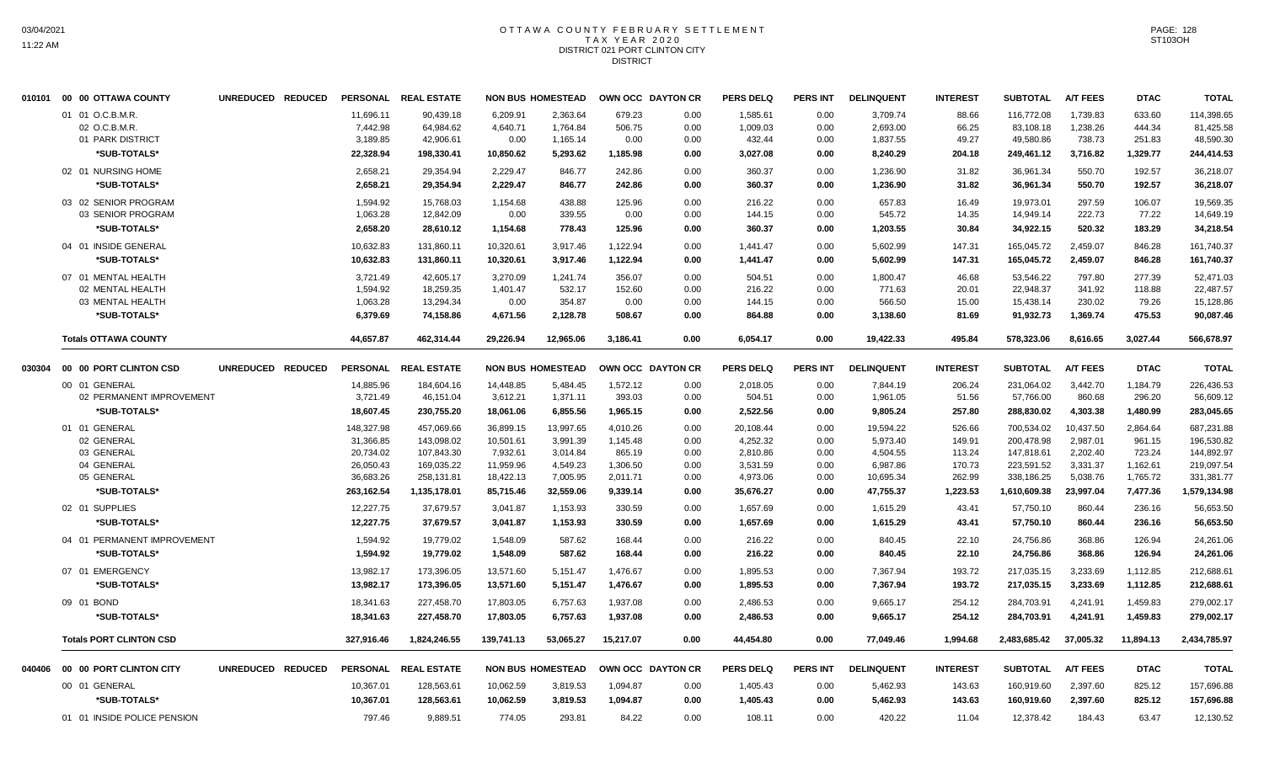#### OTTAWA COUNTY FEBRUARY SETTLEMENT T A X Y E A R 2 0 2 0 DISTRICT 021 PORT CLINTON CITY **DISTRICT**

|        | 010101 00 00 OTTAWA COUNTY       | UNREDUCED REDUCED |                        | PERSONAL REAL ESTATE     |                        | <b>NON BUS HOMESTEAD</b> |                      | OWN OCC DAYTON CR | <b>PERS DELQ</b>     | <b>PERS INT</b> | <b>DELINQUENT</b>     | <b>INTEREST</b>  | <b>SUBTOTAL</b>          | <b>A/T FEES</b>      | <b>DTAC</b>          | <b>TOTAL</b>             |
|--------|----------------------------------|-------------------|------------------------|--------------------------|------------------------|--------------------------|----------------------|-------------------|----------------------|-----------------|-----------------------|------------------|--------------------------|----------------------|----------------------|--------------------------|
|        | 01 01 O.C.B.M.R<br>02 O.C.B.M.R. |                   | 11,696.11<br>7,442.98  | 90,439.18<br>64,984.62   | 6.209.91<br>4,640.71   | 2,363.64<br>1,764.84     | 679.23<br>506.75     | 0.00<br>0.00      | 1,585.61<br>1,009.03 | 0.00<br>0.00    | 3,709.74<br>2,693.00  | 88.66<br>66.25   | 116,772.08<br>83,108.18  | 1,739.83<br>1,238.26 | 633.60<br>444.34     | 114,398.65<br>81,425.58  |
|        | 01 PARK DISTRICT                 |                   | 3,189.85               | 42,906.61                | 0.00                   | 1,165.14                 | 0.00                 | 0.00              | 432.44               | 0.00            | 1,837.55              | 49.27            | 49,580.86                | 738.73               | 251.83               | 48,590.30                |
|        | *SUB-TOTALS*                     |                   | 22,328.94              | 198,330.41               | 10,850.62              | 5,293.62                 | 1,185.98             | 0.00              | 3,027.08             | 0.00            | 8,240.29              | 204.18           | 249,461.12               | 3,716.82             | 1,329.77             | 244,414.53               |
|        | 02 01 NURSING HOME               |                   | 2,658.21               | 29,354.94                | 2,229.47               | 846.77                   | 242.86               | 0.00              | 360.37               | 0.00            | 1,236.90              | 31.82            | 36,961.34                | 550.70               | 192.57               | 36,218.07                |
|        | *SUB-TOTALS*                     |                   | 2,658.21               | 29,354.94                | 2,229.47               | 846.77                   | 242.86               | 0.00              | 360.37               | 0.00            | 1,236.90              | 31.82            | 36,961.34                | 550.70               | 192.57               | 36,218.07                |
|        | 03 02 SENIOR PROGRAM             |                   | 1.594.92               | 15,768.03                | 1,154.68               | 438.88                   | 125.96               | 0.00              | 216.22               | 0.00            | 657.83                | 16.49            | 19.973.01                | 297.59               | 106.07               | 19,569.35                |
|        | 03 SENIOR PROGRAM                |                   | 1,063.28               | 12,842.09                | 0.00                   | 339.55                   | 0.00                 | 0.00              | 144.15               | 0.00            | 545.72                | 14.35            | 14,949.14                | 222.73               | 77.22                | 14,649.19                |
|        | *SUB-TOTALS*                     |                   | 2,658.20               | 28,610.12                | 1,154.68               | 778.43                   | 125.96               | 0.00              | 360.37               | 0.00            | 1,203.55              | 30.84            | 34,922.15                | 520.32               | 183.29               | 34,218.54                |
|        | 04 01 INSIDE GENERAL             |                   | 10,632.83              | 131,860.11               | 10,320.61              | 3,917.46                 | 1,122.94             | 0.00              | 1,441.47             | 0.00            | 5,602.99              | 147.31           | 165,045.72               | 2,459.07             | 846.28               | 161,740.37               |
|        | *SUB-TOTALS*                     |                   | 10,632.83              | 131,860.11               | 10,320.61              | 3,917.46                 | 1,122.94             | 0.00              | 1,441.47             | 0.00            | 5,602.99              | 147.31           | 165,045.72               | 2,459.07             | 846.28               | 161,740.37               |
|        | 07 01 MENTAL HEALTH              |                   | 3,721.49               | 42.605.17                | 3,270.09               | 1.241.74                 | 356.07               | 0.00              | 504.51               | 0.00            | 1,800.47              | 46.68            | 53.546.22                | 797.80               | 277.39               | 52.471.03                |
|        | 02 MENTAL HEALTH                 |                   | 1,594.92               | 18,259.35                | 1,401.47               | 532.17                   | 152.60               | 0.00              | 216.22               | 0.00            | 771.63                | 20.01            | 22,948.37                | 341.92               | 118.88               | 22,487.57                |
|        | 03 MENTAL HEALTH                 |                   | 1,063.28               | 13,294.34                | 0.00                   | 354.87                   | 0.00                 | 0.00              | 144.15               | 0.00            | 566.50                | 15.00            | 15,438.14                | 230.02               | 79.26                | 15,128.86                |
|        | *SUB-TOTALS*                     |                   | 6,379.69               | 74,158.86                | 4,671.56               | 2,128.78                 | 508.67               | 0.00              | 864.88               | 0.00            | 3,138.60              | 81.69            | 91,932.73                | 1,369.74             | 475.53               | 90,087.46                |
|        | <b>Totals OTTAWA COUNTY</b>      |                   | 44,657.87              | 462,314.44               | 29,226.94              | 12,965.06                | 3,186.41             | 0.00              | 6,054.17             | 0.00            | 19,422.33             | 495.84           | 578,323.06               | 8,616.65             | 3,027.44             | 566,678.97               |
| 030304 | 00 00 PORT CLINTON CSD           | UNREDUCED REDUCED |                        | PERSONAL REAL ESTATE     |                        | <b>NON BUS HOMESTEAD</b> |                      | OWN OCC DAYTON CR | <b>PERS DELQ</b>     | <b>PERS INT</b> | <b>DELINQUENT</b>     | <b>INTEREST</b>  | <b>SUBTOTAL</b>          | <b>A/T FEES</b>      | <b>DTAC</b>          | <b>TOTAL</b>             |
|        | 00 01 GENERAL                    |                   | 14,885.96              | 184,604.16               | 14,448.85              | 5,484.45                 | 1,572.12             | 0.00              | 2,018.05             | 0.00            | 7,844.19              | 206.24           | 231,064.02               | 3,442.70             | 1,184.79             | 226,436.53               |
|        | 02 PERMANENT IMPROVEMENT         |                   | 3,721.49               | 46,151.04                | 3,612.21               | 1,371.11                 | 393.03               | 0.00              | 504.51               | 0.00            | 1,961.05              | 51.56            | 57,766.00                | 860.68               | 296.20               | 56,609.12                |
|        | *SUB-TOTALS*                     |                   | 18,607.45              | 230,755.20               | 18,061.06              | 6,855.56                 | 1,965.15             | 0.00              | 2,522.56             | 0.00            | 9,805.24              | 257.80           | 288,830.02               | 4,303.38             | 1,480.99             | 283,045.65               |
|        | 01 01 GENERAL                    |                   | 148,327.98             | 457,069.66               | 36,899.15              | 13,997.65                | 4,010.26             | 0.00              | 20,108.44            | 0.00            | 19,594.22             | 526.66           | 700,534.02               | 10,437.50            | 2,864.64             | 687,231.88               |
|        | 02 GENERAL                       |                   | 31,366.85              | 143,098.02               | 10,501.61              | 3,991.39                 | 1,145.48             | 0.00              | 4,252.32             | 0.00            | 5,973.40              | 149.91           | 200,478.98               | 2,987.01             | 961.15               | 196,530.82               |
|        | 03 GENERAL                       |                   | 20,734.02              | 107,843.30               | 7,932.61               | 3,014.84                 | 865.19               | 0.00              | 2,810.86             | 0.00            | 4,504.55              | 113.24           | 147,818.61               | 2,202.40             | 723.24               | 144,892.97               |
|        | 04 GENERAL<br>05 GENERAL         |                   | 26,050.43<br>36,683.26 | 169,035.22<br>258,131.81 | 11,959.96<br>18,422.13 | 4,549.23<br>7,005.95     | 1,306.50<br>2,011.71 | 0.00<br>0.00      | 3,531.59<br>4,973.06 | 0.00<br>0.00    | 6,987.86<br>10,695.34 | 170.73<br>262.99 | 223,591.52<br>338,186.25 | 3,331.37<br>5,038.76 | 1,162.61<br>1,765.72 | 219,097.54<br>331,381.77 |
|        | *SUB-TOTALS*                     |                   | 263,162.54             | 1,135,178.01             | 85,715.46              | 32,559.06                | 9,339.14             | 0.00              | 35,676.27            | 0.00            | 47,755.37             | 1,223.53         | 1,610,609.38             | 23,997.04            | 7,477.36             | 1,579,134.98             |
|        | 02 01 SUPPLIES                   |                   | 12,227.75              | 37,679.57                | 3,041.87               | 1,153.93                 | 330.59               | 0.00              | 1,657.69             | 0.00            | 1,615.29              | 43.41            | 57,750.10                | 860.44               | 236.16               | 56,653.50                |
|        | *SUB-TOTALS*                     |                   | 12,227.75              | 37,679.57                | 3,041.87               | 1,153.93                 | 330.59               | 0.00              | 1,657.69             | 0.00            | 1,615.29              | 43.41            | 57,750.10                | 860.44               | 236.16               | 56,653.50                |
|        | 04 01 PERMANENT IMPROVEMENT      |                   |                        |                          |                        |                          |                      |                   |                      |                 |                       |                  |                          |                      |                      |                          |
|        | *SUB-TOTALS*                     |                   | 1,594.92<br>1,594.92   | 19,779.02<br>19,779.02   | 1,548.09<br>1,548.09   | 587.62<br>587.62         | 168.44<br>168.44     | 0.00<br>0.00      | 216.22<br>216.22     | 0.00<br>0.00    | 840.45<br>840.45      | 22.10<br>22.10   | 24,756.86<br>24,756.86   | 368.86<br>368.86     | 126.94<br>126.94     | 24,261.06<br>24,261.06   |
|        |                                  |                   |                        |                          |                        |                          |                      |                   |                      |                 |                       |                  |                          |                      |                      |                          |
|        | 07 01 EMERGENCY                  |                   | 13,982.17              | 173,396.05               | 13,571.60              | 5,151.47                 | 1,476.67             | 0.00              | 1,895.53             | 0.00            | 7,367.94              | 193.72           | 217,035.15               | 3,233.69             | 1,112.85             | 212,688.61               |
|        | *SUB-TOTALS*                     |                   | 13,982.17              | 173,396.05               | 13,571.60              | 5,151.47                 | 1,476.67             | 0.00              | 1,895.53             | 0.00            | 7,367.94              | 193.72           | 217,035.15               | 3,233.69             | 1,112.85             | 212,688.61               |
|        | 09 01 BOND                       |                   | 18,341.63              | 227,458.70               | 17,803.05              | 6,757.63                 | 1,937.08             | 0.00              | 2,486.53             | 0.00            | 9,665.17              | 254.12           | 284,703.91               | 4,241.91             | 1,459.83             | 279,002.17               |
|        | *SUB-TOTALS*                     |                   | 18,341.63              | 227,458.70               | 17,803.05              | 6,757.63                 | 1,937.08             | 0.00              | 2,486.53             | 0.00            | 9,665.17              | 254.12           | 284,703.91               | 4,241.91             | 1,459.83             | 279,002.17               |
|        | <b>Totals PORT CLINTON CSD</b>   |                   | 327,916.46             | 1,824,246.55             | 139,741.13             | 53,065.27                | 15,217.07            | 0.00              | 44,454.80            | 0.00            | 77,049.46             | 1.994.68         | 2,483,685.42             | 37,005.32            | 11,894.13            | 2,434,785.97             |
| 040406 | 00 00 PORT CLINTON CITY          | UNREDUCED REDUCED | <b>PERSONAL</b>        | <b>REAL ESTATE</b>       |                        | <b>NON BUS HOMESTEAD</b> |                      | OWN OCC DAYTON CR | <b>PERS DELQ</b>     | <b>PERS INT</b> | <b>DELINQUENT</b>     | <b>INTEREST</b>  | <b>SUBTOTAL</b>          | <b>A/T FEES</b>      | <b>DTAC</b>          | <b>TOTAL</b>             |
|        | 00 01 GENERAL                    |                   | 10,367.01              | 128,563.61               | 10,062.59              | 3,819.53                 | 1,094.87             | 0.00              | 1,405.43             | 0.00            | 5,462.93              | 143.63           | 160,919.60               | 2,397.60             | 825.12               | 157,696.88               |
|        | *SUB-TOTALS*                     |                   | 10,367.01              | 128,563.61               | 10,062.59              | 3,819.53                 | 1,094.87             | 0.00              | 1,405.43             | 0.00            | 5,462.93              | 143.63           | 160,919.60               | 2,397.60             | 825.12               | 157,696.88               |
|        | 01 01 INSIDE POLICE PENSION      |                   | 797.46                 | 9.889.51                 | 774.05                 | 293.81                   | 84.22                | 0.00              | 108.11               | 0.00            | 420.22                | 11.04            | 12,378.42                | 184.43               | 63.47                | 12,130.52                |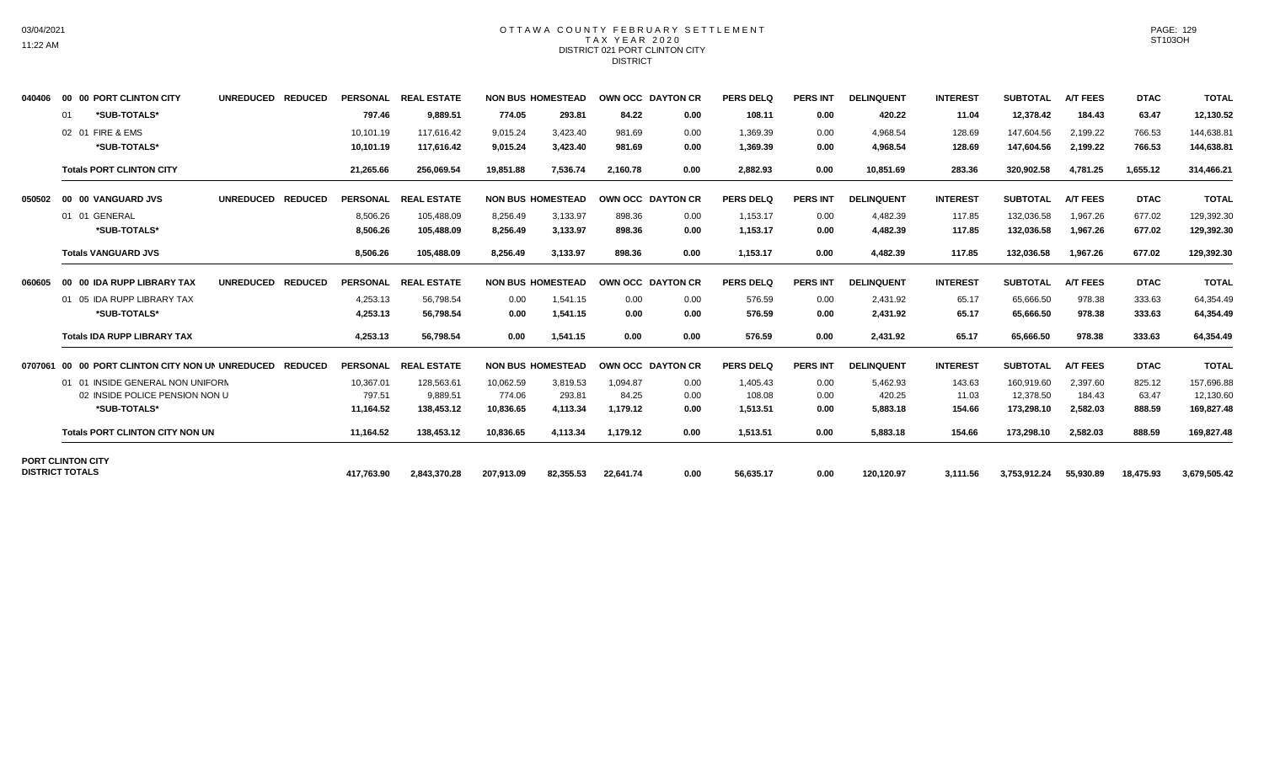## OTTAWA COUNTY FEBRUARY SETTLEMENT TAX YEAR 2020 DISTRICT 021 PORT CLINTON CITY **DISTRICT**

| 040406  | 00 00 PORT CLINTON CITY                            | <b>UNREDUCED</b><br><b>REDUCED</b> | <b>PERSONAL</b> | <b>REAL ESTATE</b> |            | <b>NON BUS HOMESTEAD</b> | OWN OCC DAYTON CR |      | <b>PERS DELQ</b> | <b>PERS INT</b> | <b>DELINQUENT</b> | <b>INTEREST</b> | <b>SUBTOTAL</b> | <b>A/T FEES</b> | <b>DTAC</b> | <b>TOTAL</b> |
|---------|----------------------------------------------------|------------------------------------|-----------------|--------------------|------------|--------------------------|-------------------|------|------------------|-----------------|-------------------|-----------------|-----------------|-----------------|-------------|--------------|
|         | *SUB-TOTALS*<br>01                                 |                                    | 797.46          | 9,889.51           | 774.05     | 293.81                   | 84.22             | 0.00 | 108.11           | 0.00            | 420.22            | 11.04           | 12,378.42       | 184.43          | 63.47       | 12,130.52    |
|         | 02 01 FIRE & EMS                                   |                                    | 10,101.19       | 117,616.42         | 9,015.24   | 3,423.40                 | 981.69            | 0.00 | 1,369.39         | 0.00            | 4,968.54          | 128.69          | 147,604.56      | 2,199.22        | 766.53      | 144,638.81   |
|         | *SUB-TOTALS*                                       |                                    | 10,101.19       | 117.616.42         | 9,015.24   | 3,423.40                 | 981.69            | 0.00 | 1,369.39         | 0.00            | 4.968.54          | 128.69          | 147,604.56      | 2,199.22        | 766.53      | 144,638.81   |
|         | <b>Totals PORT CLINTON CITY</b>                    |                                    | 21,265.66       | 256,069.54         | 19,851.88  | 7,536.74                 | 2.160.78          | 0.00 | 2,882.93         | 0.00            | 10.851.69         | 283.36          | 320,902.58      | 4.781.25        | 1,655.12    | 314,466.21   |
| 050502  | 00 00 VANGUARD JVS                                 | <b>UNREDUCED</b><br><b>REDUCED</b> | <b>PERSONAL</b> | <b>REAL ESTATE</b> |            | <b>NON BUS HOMESTEAD</b> | OWN OCC DAYTON CR |      | <b>PERS DELQ</b> | <b>PERS INT</b> | <b>DELINQUENT</b> | <b>INTEREST</b> | <b>SUBTOTAL</b> | <b>A/T FEES</b> | <b>DTAC</b> | <b>TOTAL</b> |
|         | 01 01 GENERAL                                      |                                    | 8.506.26        | 105,488.09         | 8,256.49   | 3.133.97                 | 898.36            | 0.00 | 1,153.17         | 0.00            | 4,482.39          | 117.85          | 132,036.58      | 1.967.26        | 677.02      | 129,392.30   |
|         | *SUB-TOTALS*                                       |                                    | 8,506.26        | 105,488.09         | 8,256.49   | 3,133.97                 | 898.36            | 0.00 | 1,153.17         | 0.00            | 4,482.39          | 117.85          | 132,036.58      | 1,967.26        | 677.02      | 129,392.30   |
|         | <b>Totals VANGUARD JVS</b>                         |                                    | 8,506.26        | 105,488.09         | 8,256.49   | 3,133.97                 | 898.36            | 0.00 | 1,153.17         | 0.00            | 4,482.39          | 117.85          | 132,036.58      | 1,967.26        | 677.02      | 129,392.30   |
| 060605  | 00 00 IDA RUPP LIBRARY TAX                         | <b>UNREDUCED</b><br><b>REDUCED</b> | <b>PERSONAL</b> | <b>REAL ESTATE</b> |            | <b>NON BUS HOMESTEAD</b> | OWN OCC DAYTON CR |      | <b>PERS DELQ</b> | <b>PERS INT</b> | <b>DELINQUENT</b> | <b>INTEREST</b> | <b>SUBTOTAL</b> | <b>A/T FEES</b> | <b>DTAC</b> | <b>TOTAL</b> |
|         | 01 05 IDA RUPP LIBRARY TAX                         |                                    | 4,253.13        | 56,798.54          | 0.00       | 1,541.15                 | 0.00              | 0.00 | 576.59           | 0.00            | 2,431.92          | 65.17           | 65,666.50       | 978.38          | 333.63      | 64,354.49    |
|         | *SUB-TOTALS*                                       |                                    | 4.253.13        | 56.798.54          | 0.00       | 1,541.15                 | 0.00              | 0.00 | 576.59           | 0.00            | 2,431.92          | 65.17           | 65.666.50       | 978.38          | 333.63      | 64,354.49    |
|         | <b>Totals IDA RUPP LIBRARY TAX</b>                 |                                    | 4,253.13        | 56.798.54          | 0.00       | 1,541.15                 | 0.00              | 0.00 | 576.59           | 0.00            | 2.431.92          | 65.17           | 65,666.50       | 978.38          | 333.63      | 64,354.49    |
| 0707061 | 00 00 PORT CLINTON CITY NON UN UNREDUCED           | <b>REDUCED</b>                     | <b>PERSONAL</b> | <b>REAL ESTATE</b> |            | <b>NON BUS HOMESTEAD</b> | OWN OCC DAYTON CR |      | <b>PERS DELQ</b> | <b>PERS INT</b> | <b>DELINQUENT</b> | <b>INTEREST</b> | <b>SUBTOTAL</b> | <b>A/T FEES</b> | <b>DTAC</b> | <b>TOTAL</b> |
|         | 01 01 INSIDE GENERAL NON UNIFORM                   |                                    | 10.367.01       | 128.563.61         | 10.062.59  | 3.819.53                 | 1.094.87          | 0.00 | 1.405.43         | 0.00            | 5,462.93          | 143.63          | 160.919.60      | 2.397.60        | 825.12      | 157,696.88   |
|         | 02 INSIDE POLICE PENSION NON U                     |                                    | 797.51          | 9,889.51           | 774.06     | 293.81                   | 84.25             | 0.00 | 108.08           | 0.00            | 420.25            | 11.03           | 12,378.50       | 184.43          | 63.47       | 12,130.60    |
|         | *SUB-TOTALS*                                       |                                    | 11.164.52       | 138.453.12         | 10.836.65  | 4.113.34                 | 1,179.12          | 0.00 | 1,513.51         | 0.00            | 5,883.18          | 154.66          | 173,298.10      | 2,582.03        | 888.59      | 169,827.48   |
|         | <b>Totals PORT CLINTON CITY NON UN</b>             |                                    | 11,164.52       | 138,453.12         | 10,836.65  | 4,113.34                 | 1,179.12          | 0.00 | 1,513.51         | 0.00            | 5,883.18          | 154.66          | 173,298.10      | 2,582.03        | 888.59      | 169,827.48   |
|         | <b>PORT CLINTON CITY</b><br><b>DISTRICT TOTALS</b> |                                    |                 |                    |            |                          |                   |      |                  |                 |                   |                 |                 |                 |             |              |
|         |                                                    |                                    | 417.763.90      | 2,843,370.28       | 207.913.09 | 82.355.53                | 22,641.74         | 0.00 | 56,635.17        | 0.00            | 120,120.97        | 3.111.56        | 3.753.912.24    | 55.930.89       | 18,475.93   | 3,679,505.42 |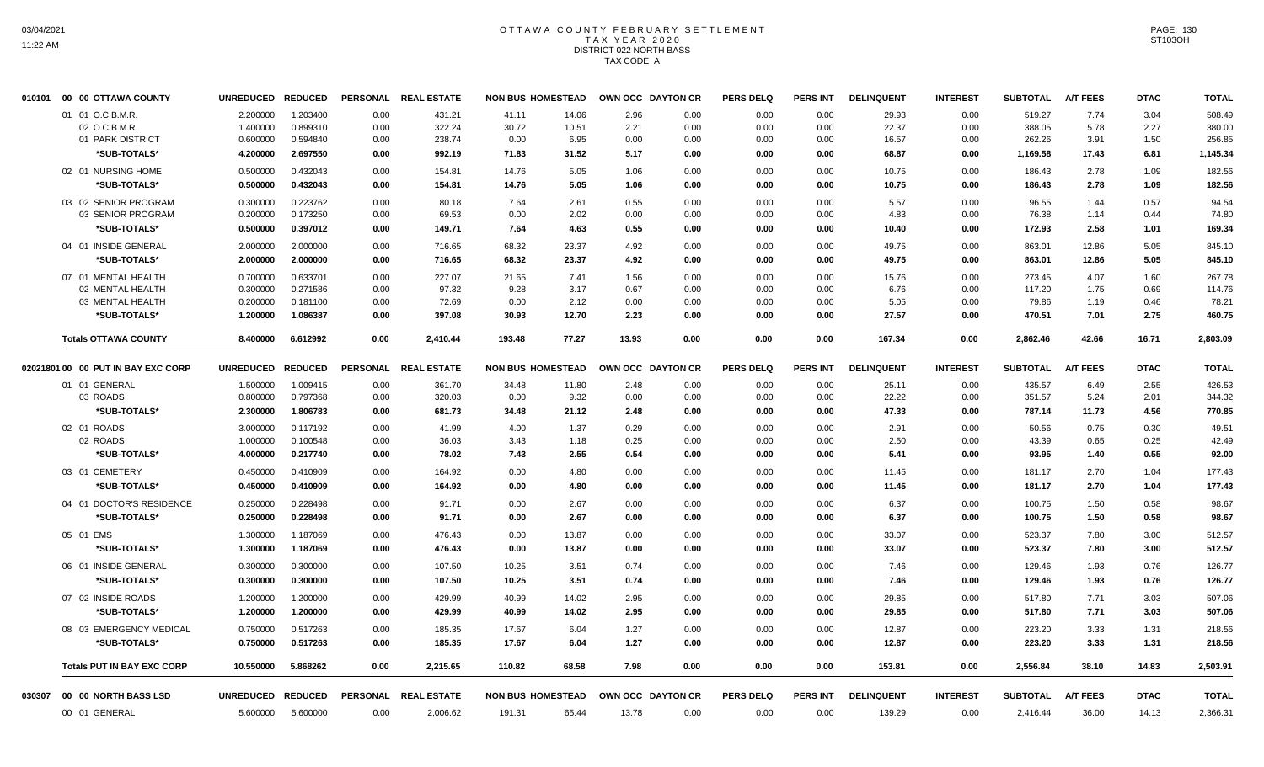# OTTAWA COUNTY FEBRUARY SETTLEMENT TAX YEAR 2020 DISTRICT 022 NORTH BASS TAX CODE A

| 010101 | 00 00 OTTAWA COUNTY                | <b>UNREDUCED</b> | <b>REDUCED</b> | <b>PERSONAL</b> | <b>REAL ESTATE</b>   | <b>NON BUS HOMESTEAD</b> |       |       | OWN OCC DAYTON CR | <b>PERS DELQ</b> | <b>PERS INT</b> | <b>DELINQUENT</b> | <b>INTEREST</b> | <b>SUBTOTAL</b> | <b>A/T FEES</b> | <b>DTAC</b> | <b>TOTAL</b> |
|--------|------------------------------------|------------------|----------------|-----------------|----------------------|--------------------------|-------|-------|-------------------|------------------|-----------------|-------------------|-----------------|-----------------|-----------------|-------------|--------------|
|        | 01 01 O.C.B.M.R.                   | 2.200000         | 1.203400       | 0.00            | 431.21               | 41.11                    | 14.06 | 2.96  | 0.00              | 0.00             | 0.00            | 29.93             | 0.00            | 519.27          | 7.74            | 3.04        | 508.49       |
|        | 02 O.C.B.M.R.                      | 1.400000         | 0.899310       | 0.00            | 322.24               | 30.72                    | 10.51 | 2.21  | 0.00              | 0.00             | 0.00            | 22.37             | 0.00            | 388.05          | 5.78            | 2.27        | 380.00       |
|        | 01 PARK DISTRICT                   | 0.600000         | 0.594840       | 0.00            | 238.74               | 0.00                     | 6.95  | 0.00  | 0.00              | 0.00             | 0.00            | 16.57             | 0.00            | 262.26          | 3.91            | 1.50        | 256.85       |
|        | *SUB-TOTALS*                       | 4.200000         | 2.697550       | 0.00            | 992.19               | 71.83                    | 31.52 | 5.17  | 0.00              | 0.00             | 0.00            | 68.87             | 0.00            | 1,169.58        | 17.43           | 6.81        | 1,145.34     |
|        | 02 01 NURSING HOME                 | 0.500000         | 0.432043       | 0.00            | 154.81               | 14.76                    | 5.05  | 1.06  | 0.00              | 0.00             | 0.00            | 10.75             | 0.00            | 186.43          | 2.78            | 1.09        | 182.56       |
|        | *SUB-TOTALS*                       | 0.500000         | 0.432043       | 0.00            | 154.81               | 14.76                    | 5.05  | 1.06  | 0.00              | 0.00             | 0.00            | 10.75             | 0.00            | 186.43          | 2.78            | 1.09        | 182.56       |
|        | 03 02 SENIOR PROGRAM               | 0.300000         | 0.223762       | 0.00            | 80.18                | 7.64                     | 2.61  | 0.55  | 0.00              | 0.00             | 0.00            | 5.57              | 0.00            | 96.55           | 1.44            | 0.57        | 94.54        |
|        | 03 SENIOR PROGRAM                  | 0.200000         | 0.173250       | 0.00            | 69.53                | 0.00                     | 2.02  | 0.00  | 0.00              | 0.00             | 0.00            | 4.83              | 0.00            | 76.38           | 1.14            | 0.44        | 74.80        |
|        | *SUB-TOTALS*                       | 0.500000         | 0.397012       | 0.00            | 149.71               | 7.64                     | 4.63  | 0.55  | 0.00              | 0.00             | 0.00            | 10.40             | 0.00            | 172.93          | 2.58            | 1.01        | 169.34       |
|        | 04 01 INSIDE GENERAL               | 2.000000         | 2.000000       | 0.00            | 716.65               | 68.32                    | 23.37 | 4.92  | 0.00              | 0.00             | 0.00            | 49.75             | 0.00            | 863.01          | 12.86           | 5.05        | 845.10       |
|        | *SUB-TOTALS*                       | 2.000000         | 2.000000       | 0.00            | 716.65               | 68.32                    | 23.37 | 4.92  | 0.00              | 0.00             | 0.00            | 49.75             | 0.00            | 863.01          | 12.86           | 5.05        | 845.10       |
|        | 07 01 MENTAL HEALTH                | 0.700000         | 0.633701       | 0.00            | 227.07               | 21.65                    | 7.41  | 1.56  | 0.00              | 0.00             | 0.00            | 15.76             | 0.00            | 273.45          | 4.07            | 1.60        | 267.78       |
|        | 02 MENTAL HEALTH                   | 0.300000         | 0.271586       | 0.00            | 97.32                | 9.28                     | 3.17  | 0.67  | 0.00              | 0.00             | 0.00            | 6.76              | 0.00            | 117.20          | 1.75            | 0.69        | 114.76       |
|        | 03 MENTAL HEALTH                   | 0.200000         | 0.181100       | 0.00            | 72.69                | 0.00                     | 2.12  | 0.00  | 0.00              | 0.00             | 0.00            | 5.05              | 0.00            | 79.86           | 1.19            | 0.46        | 78.21        |
|        | *SUB-TOTALS*                       | 1.200000         | 1.086387       | 0.00            | 397.08               | 30.93                    | 12.70 | 2.23  | 0.00              | 0.00             | 0.00            | 27.57             | 0.00            | 470.51          | 7.01            | 2.75        | 460.75       |
|        | <b>Totals OTTAWA COUNTY</b>        | 8.400000         | 6.612992       | 0.00            | 2,410.44             | 193.48                   | 77.27 | 13.93 | 0.00              | 0.00             | 0.00            | 167.34            | 0.00            | 2,862.46        | 42.66           | 16.71       | 2,803.09     |
|        | 02021801 00 00 PUT IN BAY EXC CORP | <b>UNREDUCED</b> | <b>REDUCED</b> | <b>PERSONAL</b> | <b>REAL ESTATE</b>   | <b>NON BUS HOMESTEAD</b> |       |       | OWN OCC DAYTON CR | <b>PERS DELQ</b> | <b>PERS INT</b> | <b>DELINQUENT</b> | <b>INTEREST</b> | <b>SUBTOTAL</b> | <b>A/T FEES</b> | <b>DTAC</b> | <b>TOTAL</b> |
|        | 01 01 GENERAL                      | 1.500000         | 1.009415       | 0.00            | 361.70               | 34.48                    | 11.80 | 2.48  | 0.00              | 0.00             | 0.00            | 25.11             | 0.00            | 435.57          | 6.49            | 2.55        | 426.53       |
|        | 03 ROADS                           | 0.800000         | 0.797368       | 0.00            | 320.03               | 0.00                     | 9.32  | 0.00  | 0.00              | 0.00             | 0.00            | 22.22             | 0.00            | 351.57          | 5.24            | 2.01        | 344.32       |
|        | *SUB-TOTALS*                       | 2.300000         | 1.806783       | 0.00            | 681.73               | 34.48                    | 21.12 | 2.48  | 0.00              | 0.00             | 0.00            | 47.33             | 0.00            | 787.14          | 11.73           | 4.56        | 770.85       |
|        | 02 01 ROADS                        | 3.000000         | 0.117192       | 0.00            | 41.99                | 4.00                     | 1.37  | 0.29  | 0.00              | 0.00             | 0.00            | 2.91              | 0.00            | 50.56           | 0.75            | 0.30        | 49.51        |
|        | 02 ROADS                           | 1.000000         | 0.100548       | 0.00            | 36.03                | 3.43                     | 1.18  | 0.25  | 0.00              | 0.00             | 0.00            | 2.50              | 0.00            | 43.39           | 0.65            | 0.25        | 42.49        |
|        | *SUB-TOTALS*                       | 4.000000         | 0.217740       | 0.00            | 78.02                | 7.43                     | 2.55  | 0.54  | 0.00              | 0.00             | 0.00            | 5.41              | 0.00            | 93.95           | 1.40            | 0.55        | 92.00        |
|        | 03 01 CEMETERY                     | 0.450000         | 0.410909       | 0.00            | 164.92               | 0.00                     | 4.80  | 0.00  | 0.00              | 0.00             | 0.00            | 11.45             | 0.00            | 181.17          | 2.70            | 1.04        | 177.43       |
|        | *SUB-TOTALS*                       | 0.450000         | 0.410909       | 0.00            | 164.92               | 0.00                     | 4.80  | 0.00  | 0.00              | 0.00             | 0.00            | 11.45             | 0.00            | 181.17          | 2.70            | 1.04        | 177.43       |
|        | 04 01 DOCTOR'S RESIDENCE           | 0.250000         | 0.228498       | 0.00            | 91.71                | 0.00                     | 2.67  | 0.00  | 0.00              | 0.00             | 0.00            | 6.37              | 0.00            | 100.75          | 1.50            | 0.58        | 98.67        |
|        | *SUB-TOTALS*                       | 0.250000         | 0.228498       | 0.00            | 91.71                | 0.00                     | 2.67  | 0.00  | 0.00              | 0.00             | 0.00            | 6.37              | 0.00            | 100.75          | 1.50            | 0.58        | 98.67        |
|        | 05 01 EMS                          | 1.300000         | 1.187069       | 0.00            | 476.43               | 0.00                     | 13.87 | 0.00  | 0.00              | 0.00             | 0.00            | 33.07             | 0.00            | 523.37          | 7.80            | 3.00        | 512.57       |
|        | *SUB-TOTALS*                       | 1.300000         | 1.187069       | 0.00            | 476.43               | 0.00                     | 13.87 | 0.00  | 0.00              | 0.00             | 0.00            | 33.07             | 0.00            | 523.37          | 7.80            | 3.00        | 512.57       |
|        | 06 01 INSIDE GENERAL               | 0.300000         | 0.300000       | 0.00            | 107.50               | 10.25                    | 3.51  | 0.74  | 0.00              | 0.00             | 0.00            | 7.46              | 0.00            | 129.46          | 1.93            | 0.76        | 126.77       |
|        | *SUB-TOTALS*                       | 0.300000         | 0.300000       | 0.00            | 107.50               | 10.25                    | 3.51  | 0.74  | 0.00              | 0.00             | 0.00            | 7.46              | 0.00            | 129.46          | 1.93            | 0.76        | 126.77       |
|        | 07 02 INSIDE ROADS                 | 1.200000         | 1.200000       | 0.00            | 429.99               | 40.99                    | 14.02 | 2.95  | 0.00              | 0.00             | 0.00            | 29.85             | 0.00            | 517.80          | 7.71            | 3.03        | 507.06       |
|        | *SUB-TOTALS*                       | 1.200000         | 1.200000       | 0.00            | 429.99               | 40.99                    | 14.02 | 2.95  | 0.00              | 0.00             | 0.00            | 29.85             | 0.00            | 517.80          | 7.71            | 3.03        | 507.06       |
|        | 08 03 EMERGENCY MEDICAL            | 0.750000         | 0.517263       | 0.00            | 185.35               | 17.67                    | 6.04  | 1.27  | 0.00              | 0.00             | 0.00            | 12.87             | 0.00            | 223.20          | 3.33            | 1.31        | 218.56       |
|        | *SUB-TOTALS*                       | 0.750000         | 0.517263       | 0.00            | 185.35               | 17.67                    | 6.04  | 1.27  | 0.00              | 0.00             | 0.00            | 12.87             | 0.00            | 223.20          | 3.33            | 1.31        | 218.56       |
|        | <b>Totals PUT IN BAY EXC CORP</b>  | 10.550000        | 5.868262       | 0.00            | 2,215.65             | 110.82                   | 68.58 | 7.98  | 0.00              | 0.00             | 0.00            | 153.81            | 0.00            | 2,556.84        | 38.10           | 14.83       | 2,503.91     |
|        |                                    |                  |                |                 |                      |                          |       |       |                   |                  |                 |                   |                 |                 |                 |             |              |
| 030307 | 00 00 NORTH BASS LSD               | <b>UNREDUCED</b> | <b>REDUCED</b> |                 | PERSONAL REAL ESTATE | <b>NON BUS HOMESTEAD</b> |       |       | OWN OCC DAYTON CR | <b>PERS DELQ</b> | <b>PERS INT</b> | <b>DELINQUENT</b> | <b>INTEREST</b> | <b>SUBTOTAL</b> | <b>A/T FEES</b> | <b>DTAC</b> | <b>TOTAL</b> |
|        | 00 01 GENERAL                      | 5.600000         | 5.600000       | 0.00            | 2,006.62             | 191.31                   | 65.44 | 13.78 | 0.00              | 0.00             | 0.00            | 139.29            | 0.00            | 2,416.44        | 36.00           | 14.13       | 2,366.31     |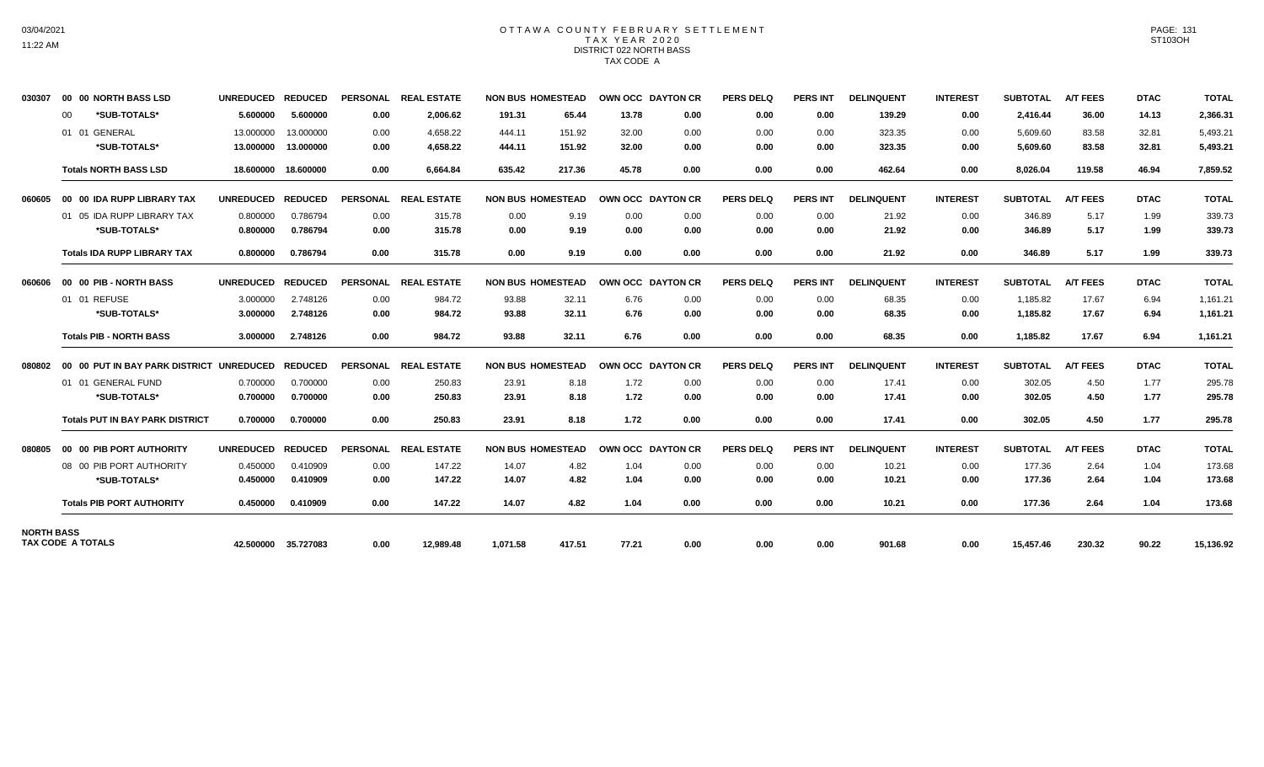# OTTAWA COUNTY FEBRUARY SETTLEMENT TAX YEAR 2020 DISTRICT 022 NORTH BASS TAX CODE A

| 030307            | 00 00 NORTH BASS LSD                     | <b>UNREDUCED</b> | <b>REDUCED</b>      |                 | PERSONAL REAL ESTATE | <b>NON BUS HOMESTEAD</b> |              | <b>OWN OCC DAYTON CR</b> | <b>PERS DELQ</b> | <b>PERS INT</b> | <b>DELINQUENT</b> | <b>INTEREST</b> | <b>SUBTOTAL</b> | <b>A/T FEES</b> | <b>DTAC</b> | <b>TOTAL</b> |
|-------------------|------------------------------------------|------------------|---------------------|-----------------|----------------------|--------------------------|--------------|--------------------------|------------------|-----------------|-------------------|-----------------|-----------------|-----------------|-------------|--------------|
|                   | *SUB-TOTALS*<br>$00 \,$                  | 5.600000         | 5.600000            | 0.00            | 2,006.62             | 191.31<br>65.44          | 13.78        | 0.00                     | 0.00             | 0.00            | 139.29            | 0.00            | 2,416.44        | 36.00           | 14.13       | 2,366.31     |
|                   | 01 01 GENERAL                            | 13.000000        | 13.000000           | 0.00            | 4.658.22             | 444.11<br>151.92         | 32.00        | 0.00                     | 0.00             | 0.00            | 323.35            | 0.00            | 5,609.60        | 83.58           | 32.81       | 5,493.21     |
|                   | *SUB-TOTALS*                             | 13.000000        | 13.000000           | 0.00            | 4,658.22             | 444.11<br>151.92         | 32.00        | 0.00                     | 0.00             | 0.00            | 323.35            | 0.00            | 5,609.60        | 83.58           | 32.81       | 5,493.21     |
|                   | <b>Totals NORTH BASS LSD</b>             | 18.600000        | 18,600000           | 0.00            | 6,664.84             | 635.42<br>217.36         | 45.78        | 0.00                     | 0.00             | 0.00            | 462.64            | 0.00            | 8,026.04        | 119.58          | 46.94       | 7,859.52     |
| 060605            | 00 00 IDA RUPP LIBRARY TAX               | <b>UNREDUCED</b> | <b>REDUCED</b>      | <b>PERSONAL</b> | <b>REAL ESTATE</b>   | <b>NON BUS HOMESTEAD</b> |              | OWN OCC DAYTON CR        | <b>PERS DELQ</b> | <b>PERS INT</b> | <b>DELINQUENT</b> | <b>INTEREST</b> | <b>SUBTOTAL</b> | <b>A/T FEES</b> | <b>DTAC</b> | <b>TOTAL</b> |
|                   | 01 05 IDA RUPP LIBRARY TAX               | 0.800000         | 0.786794            | 0.00            | 315.78               | 0.00                     | 9.19<br>0.00 | 0.00                     | 0.00             | 0.00            | 21.92             | 0.00            | 346.89          | 5.17            | 1.99        | 339.73       |
|                   | *SUB-TOTALS*                             | 0.800000         | 0.786794            | 0.00            | 315.78               | 0.00                     | 9.19<br>0.00 | 0.00                     | 0.00             | 0.00            | 21.92             | 0.00            | 346.89          | 5.17            | 1.99        | 339.73       |
|                   | <b>Totals IDA RUPP LIBRARY TAX</b>       | 0.800000         | 0.786794            | 0.00            | 315.78               | 0.00<br>9.19             | 0.00         | 0.00                     | 0.00             | 0.00            | 21.92             | 0.00            | 346.89          | 5.17            | 1.99        | 339.73       |
| 060606            | 00 00 PIB - NORTH BASS                   | <b>UNREDUCED</b> | <b>REDUCED</b>      |                 | PERSONAL REAL ESTATE | <b>NON BUS HOMESTEAD</b> |              | OWN OCC DAYTON CR        | <b>PERS DELO</b> | <b>PERS INT</b> | <b>DELINQUENT</b> | <b>INTEREST</b> | <b>SUBTOTAL</b> | <b>A/T FEES</b> | <b>DTAC</b> | <b>TOTAL</b> |
|                   | 01 01 REFUSE                             | 3.000000         | 2.748126            | 0.00            | 984.72               | 93.88<br>32.11           | 6.76         | 0.00                     | 0.00             | 0.00            | 68.35             | 0.00            | 1,185.82        | 17.67           | 6.94        | 1,161.21     |
|                   | *SUB-TOTALS*                             | 3.000000         | 2.748126            | 0.00            | 984.72               | 93.88<br>32.11           | 6.76         | 0.00                     | 0.00             | 0.00            | 68.35             | 0.00            | 1,185.82        | 17.67           | 6.94        | 1,161.21     |
|                   | <b>Totals PIB - NORTH BASS</b>           | 3.000000         | 2.748126            | 0.00            | 984.72               | 93.88<br>32.11           | 6.76         | 0.00                     | 0.00             | 0.00            | 68.35             | 0.00            | 1,185.82        | 17.67           | 6.94        | 1,161.21     |
| 080802            | 00 00 PUT IN BAY PARK DISTRICT UNREDUCED |                  | <b>REDUCED</b>      | <b>PERSONAL</b> | <b>REAL ESTATE</b>   | <b>NON BUS HOMESTEAD</b> |              | OWN OCC DAYTON CR        | <b>PERS DELQ</b> | <b>PERS INT</b> | <b>DELINQUENT</b> | <b>INTEREST</b> | <b>SUBTOTAL</b> | <b>A/T FEES</b> | <b>DTAC</b> | <b>TOTAL</b> |
|                   | 01 01 GENERAL FUND                       | 0.700000         | 0.700000            | 0.00            | 250.83               | 23.91                    | 8.18<br>1.72 | 0.00                     | 0.00             | 0.00            | 17.41             | 0.00            | 302.05          | 4.50            | 1.77        | 295.78       |
|                   | *SUB-TOTALS*                             | 0.700000         | 0.700000            | 0.00            | 250.83               | 23.91                    | 8.18<br>1.72 | 0.00                     | 0.00             | 0.00            | 17.41             | 0.00            | 302.05          | 4.50            | 1.77        | 295.78       |
|                   | <b>Totals PUT IN BAY PARK DISTRICT</b>   | 0.700000         | 0.700000            | 0.00            | 250.83               | 23.91<br>8.18            | 1.72         | 0.00                     | 0.00             | 0.00            | 17.41             | 0.00            | 302.05          | 4.50            | 1.77        | 295.78       |
| 080805            | 00 00 PIB PORT AUTHORITY                 | <b>UNREDUCED</b> | <b>REDUCED</b>      | <b>PERSONAL</b> | <b>REAL ESTATE</b>   | <b>NON BUS HOMESTEAD</b> |              | OWN OCC DAYTON CR        | <b>PERS DELQ</b> | <b>PERS INT</b> | <b>DELINQUENT</b> | <b>INTEREST</b> | <b>SUBTOTAL</b> | <b>A/T FEES</b> | <b>DTAC</b> | <b>TOTAL</b> |
|                   | 08 00 PIB PORT AUTHORITY                 | 0.450000         | 0.410909            | 0.00            | 147.22               | 14.07                    | 4.82<br>1.04 | 0.00                     | 0.00             | 0.00            | 10.21             | 0.00            | 177.36          | 2.64            | 1.04        | 173.68       |
|                   | *SUB-TOTALS*                             | 0.450000         | 0.410909            | 0.00            | 147.22               | 14.07                    | 4.82<br>1.04 | 0.00                     | 0.00             | 0.00            | 10.21             | 0.00            | 177.36          | 2.64            | 1.04        | 173.68       |
|                   | <b>Totals PIB PORT AUTHORITY</b>         | 0.450000         | 0.410909            | 0.00            | 147.22               | 14.07                    | 4.82<br>1.04 | 0.00                     | 0.00             | 0.00            | 10.21             | 0.00            | 177.36          | 2.64            | 1.04        | 173.68       |
| <b>NORTH BASS</b> |                                          |                  |                     |                 |                      |                          |              |                          |                  |                 |                   |                 |                 |                 |             |              |
|                   | <b>TAX CODE A TOTALS</b>                 |                  | 42.500000 35.727083 | 0.00            | 12.989.48            | 1.071.58<br>417.51       | 77.21        | 0.00                     | 0.00             | 0.00            | 901.68            | 0.00            | 15.457.46       | 230.32          | 90.22       | 15,136.92    |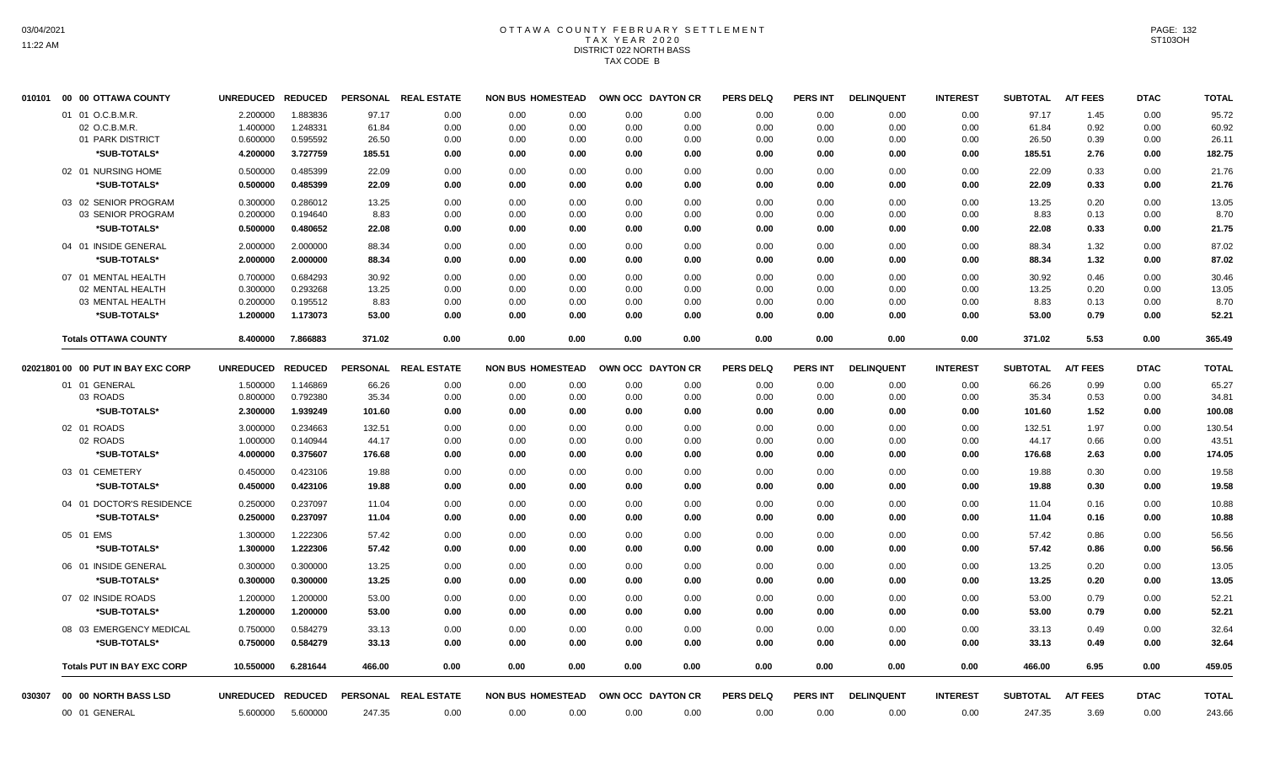# OTTAWA COUNTY FEBRUARY SETTLEMENT TAX YEAR 2020 DISTRICT 022 NORTH BASS TAX CODE B

| 010101 | 00<br>00 OTTAWA COUNTY             | <b>UNREDUCED</b> | <b>REDUCED</b> | <b>PERSONAL</b> | <b>REAL ESTATE</b> | <b>NON BUS HOMESTEAD</b> |      | OWN OCC DAYTON CR | <b>PERS DELQ</b> | <b>PERS INT</b> | <b>DELINQUENT</b> | <b>INTEREST</b> | <b>SUBTOTAL</b> | <b>A/T FEES</b> | <b>DTAC</b> | <b>TOTAL</b> |
|--------|------------------------------------|------------------|----------------|-----------------|--------------------|--------------------------|------|-------------------|------------------|-----------------|-------------------|-----------------|-----------------|-----------------|-------------|--------------|
|        | 01 01 O.C.B.M.R.                   | 2.200000         | 1.883836       | 97.17           | 0.00               | 0.00<br>0.00             | 0.00 | 0.00              | 0.00             | 0.00            | 0.00              | 0.00            | 97.17           | 1.45            | 0.00        | 95.72        |
|        | 02 O.C.B.M.R.                      | 1.400000         | 1.248331       | 61.84           | 0.00               | 0.00<br>0.00             | 0.00 | 0.00              | 0.00             | 0.00            | 0.00              | 0.00            | 61.84           | 0.92            | 0.00        | 60.92        |
|        | 01 PARK DISTRICT                   | 0.600000         | 0.595592       | 26.50           | 0.00               | 0.00<br>0.00             | 0.00 | 0.00              | 0.00             | 0.00            | 0.00              | 0.00            | 26.50           | 0.39            | 0.00        | 26.11        |
|        | *SUB-TOTALS*                       | 4.200000         | 3.727759       | 185.51          | 0.00               | 0.00<br>0.00             | 0.00 | 0.00              | 0.00             | 0.00            | 0.00              | 0.00            | 185.51          | 2.76            | 0.00        | 182.75       |
|        | 02 01 NURSING HOME                 | 0.500000         | 0.485399       | 22.09           | 0.00               | 0.00<br>0.00             | 0.00 | 0.00              | 0.00             | 0.00            | 0.00              | 0.00            | 22.09           | 0.33            | 0.00        | 21.76        |
|        | *SUB-TOTALS*                       | 0.500000         | 0.485399       | 22.09           | 0.00               | 0.00<br>0.00             | 0.00 | 0.00              | 0.00             | 0.00            | 0.00              | 0.00            | 22.09           | 0.33            | 0.00        | 21.76        |
|        | 03 02 SENIOR PROGRAM               | 0.300000         | 0.286012       | 13.25           | 0.00               | 0.00<br>0.00             | 0.00 | 0.00              | 0.00             | 0.00            | 0.00              | 0.00            | 13.25           | 0.20            | 0.00        | 13.05        |
|        | 03 SENIOR PROGRAM                  | 0.200000         | 0.194640       | 8.83            | 0.00               | 0.00<br>0.00             | 0.00 | 0.00              | 0.00             | 0.00            | 0.00              | 0.00            | 8.83            | 0.13            | 0.00        | 8.70         |
|        | *SUB-TOTALS*                       | 0.500000         | 0.480652       | 22.08           | 0.00               | 0.00<br>0.00             | 0.00 | 0.00              | 0.00             | 0.00            | 0.00              | 0.00            | 22.08           | 0.33            | 0.00        | 21.75        |
|        | 04 01 INSIDE GENERAL               | 2.000000         | 2.000000       | 88.34           | 0.00               | 0.00<br>0.00             | 0.00 | 0.00              | 0.00             | 0.00            | 0.00              | 0.00            | 88.34           | 1.32            | 0.00        | 87.02        |
|        | *SUB-TOTALS*                       | 2.000000         | 2.000000       | 88.34           | 0.00               | 0.00<br>0.00             | 0.00 | 0.00              | 0.00             | 0.00            | 0.00              | 0.00            | 88.34           | 1.32            | 0.00        | 87.02        |
|        | 07 01 MENTAL HEALTH                | 0.700000         | 0.684293       | 30.92           | 0.00               | 0.00<br>0.00             | 0.00 | 0.00              | 0.00             | 0.00            | 0.00              | 0.00            | 30.92           | 0.46            | 0.00        | 30.46        |
|        | 02 MENTAL HEALTH                   | 0.300000         | 0.293268       | 13.25           | 0.00               | 0.00<br>0.00             | 0.00 | 0.00              | 0.00             | 0.00            | 0.00              | 0.00            | 13.25           | 0.20            | 0.00        | 13.05        |
|        | 03 MENTAL HEALTH                   | 0.200000         | 0.195512       | 8.83            | 0.00               | 0.00<br>0.00             | 0.00 | 0.00              | 0.00             | 0.00            | 0.00              | 0.00            | 8.83            | 0.13            | 0.00        | 8.70         |
|        | *SUB-TOTALS*                       | 1.200000         | 1.173073       | 53.00           | 0.00               | 0.00<br>0.00             | 0.00 | 0.00              | 0.00             | 0.00            | 0.00              | 0.00            | 53.00           | 0.79            | 0.00        | 52.21        |
|        | <b>Totals OTTAWA COUNTY</b>        | 8.400000         | 7.866883       | 371.02          | 0.00               | 0.00<br>0.00             | 0.00 | 0.00              | 0.00             | 0.00            | 0.00              | 0.00            | 371.02          | 5.53            | 0.00        | 365.49       |
|        | 02021801 00 00 PUT IN BAY EXC CORP | <b>UNREDUCED</b> | <b>REDUCED</b> | <b>PERSONAL</b> | <b>REAL ESTATE</b> | <b>NON BUS HOMESTEAD</b> |      | OWN OCC DAYTON CR | <b>PERS DELQ</b> | <b>PERS INT</b> | <b>DELINQUENT</b> | <b>INTEREST</b> | <b>SUBTOTAL</b> | <b>A/T FEES</b> | <b>DTAC</b> | <b>TOTAL</b> |
|        | 01 01 GENERAL                      | 1.500000         | 1.146869       | 66.26           | 0.00               | 0.00<br>0.00             | 0.00 | 0.00              | 0.00             | 0.00            | 0.00              | 0.00            | 66.26           | 0.99            | 0.00        | 65.27        |
|        | 03 ROADS                           | 0.800000         | 0.792380       | 35.34           | 0.00               | 0.00<br>0.00             | 0.00 | 0.00              | 0.00             | 0.00            | 0.00              | 0.00            | 35.34           | 0.53            | 0.00        | 34.81        |
|        | *SUB-TOTALS*                       | 2.300000         | 1.939249       | 101.60          | 0.00               | 0.00<br>0.00             | 0.00 | 0.00              | 0.00             | 0.00            | 0.00              | 0.00            | 101.60          | 1.52            | 0.00        | 100.08       |
|        | 02 01 ROADS                        | 3.000000         | 0.234663       | 132.51          | 0.00               | 0.00<br>0.00             | 0.00 | 0.00              | 0.00             | 0.00            | 0.00              | 0.00            | 132.51          | 1.97            | 0.00        | 130.54       |
|        | 02 ROADS                           | 1.000000         | 0.140944       | 44.17           | 0.00               | 0.00<br>0.00             | 0.00 | 0.00              | 0.00             | 0.00            | 0.00              | 0.00            | 44.17           | 0.66            | 0.00        | 43.51        |
|        | *SUB-TOTALS*                       | 4.000000         | 0.375607       | 176.68          | 0.00               | 0.00<br>0.00             | 0.00 | 0.00              | 0.00             | 0.00            | 0.00              | 0.00            | 176.68          | 2.63            | 0.00        | 174.05       |
|        | 03 01 CEMETERY                     | 0.450000         | 0.423106       | 19.88           | 0.00               | 0.00<br>0.00             | 0.00 | 0.00              | 0.00             | 0.00            | 0.00              | 0.00            | 19.88           | 0.30            | 0.00        | 19.58        |
|        | *SUB-TOTALS*                       | 0.450000         | 0.423106       | 19.88           | 0.00               | 0.00<br>0.00             | 0.00 | 0.00              | 0.00             | 0.00            | 0.00              | 0.00            | 19.88           | 0.30            | 0.00        | 19.58        |
|        | 04 01 DOCTOR'S RESIDENCE           | 0.250000         | 0.237097       | 11.04           | 0.00               | 0.00<br>0.00             | 0.00 | 0.00              | 0.00             | 0.00            | 0.00              | 0.00            | 11.04           | 0.16            | 0.00        | 10.88        |
|        | *SUB-TOTALS*                       | 0.250000         | 0.237097       | 11.04           | 0.00               | 0.00<br>0.00             | 0.00 | 0.00              | 0.00             | 0.00            | 0.00              | 0.00            | 11.04           | 0.16            | 0.00        | 10.88        |
|        | 05 01 EMS                          | 1.300000         | 1.222306       | 57.42           | 0.00               | 0.00<br>0.00             | 0.00 | 0.00              | 0.00             | 0.00            | 0.00              | 0.00            | 57.42           | 0.86            | 0.00        | 56.56        |
|        | *SUB-TOTALS*                       | 1.300000         | 1.222306       | 57.42           | 0.00               | 0.00<br>0.00             | 0.00 | 0.00              | 0.00             | 0.00            | 0.00              | 0.00            | 57.42           | 0.86            | 0.00        | 56.56        |
|        | 06 01 INSIDE GENERAL               | 0.300000         | 0.300000       | 13.25           | 0.00               | 0.00<br>0.00             | 0.00 | 0.00              | 0.00             | 0.00            | 0.00              | 0.00            | 13.25           | 0.20            | 0.00        | 13.05        |
|        | *SUB-TOTALS*                       | 0.300000         | 0.300000       | 13.25           | 0.00               | 0.00<br>0.00             | 0.00 | 0.00              | 0.00             | 0.00            | 0.00              | 0.00            | 13.25           | 0.20            | 0.00        | 13.05        |
|        | 07 02 INSIDE ROADS                 | 1.200000         | 1.200000       | 53.00           | 0.00               | 0.00<br>0.00             | 0.00 | 0.00              | 0.00             | 0.00            | 0.00              | 0.00            | 53.00           | 0.79            | 0.00        | 52.21        |
|        | *SUB-TOTALS*                       | 1.200000         | 1.200000       | 53.00           | 0.00               | 0.00<br>0.00             | 0.00 | 0.00              | 0.00             | 0.00            | 0.00              | 0.00            | 53.00           | 0.79            | 0.00        | 52.21        |
|        | 08 03 EMERGENCY MEDICAL            | 0.750000         | 0.584279       | 33.13           | 0.00               | 0.00<br>0.00             | 0.00 | 0.00              | 0.00             | 0.00            | 0.00              | 0.00            | 33.13           | 0.49            | 0.00        | 32.64        |
|        | *SUB-TOTALS*                       | 0.750000         | 0.584279       | 33.13           | 0.00               | 0.00<br>0.00             | 0.00 | 0.00              | 0.00             | 0.00            | 0.00              | 0.00            | 33.13           | 0.49            | 0.00        | 32.64        |
|        | <b>Totals PUT IN BAY EXC CORP</b>  | 10.550000        | 6.281644       | 466.00          | 0.00               | 0.00<br>0.00             | 0.00 | 0.00              | 0.00             | 0.00            | 0.00              | 0.00            | 466.00          | 6.95            | 0.00        | 459.05       |
| 030307 | 00 00 NORTH BASS LSD               | <b>UNREDUCED</b> | <b>REDUCED</b> | <b>PERSONAL</b> | <b>REAL ESTATE</b> | <b>NON BUS HOMESTEAD</b> |      | OWN OCC DAYTON CR | <b>PERS DELQ</b> | <b>PERS INT</b> | <b>DELINQUENT</b> | <b>INTEREST</b> | <b>SUBTOTAL</b> | <b>A/T FEES</b> | <b>DTAC</b> | <b>TOTAL</b> |
|        | 00 01 GENERAL                      | 5.600000         | 5.600000       | 247.35          | 0.00               | 0.00<br>0.00             | 0.00 | 0.00              | 0.00             | 0.00            | 0.00              | 0.00            | 247.35          | 3.69            | 0.00        | 243.66       |
|        |                                    |                  |                |                 |                    |                          |      |                   |                  |                 |                   |                 |                 |                 |             |              |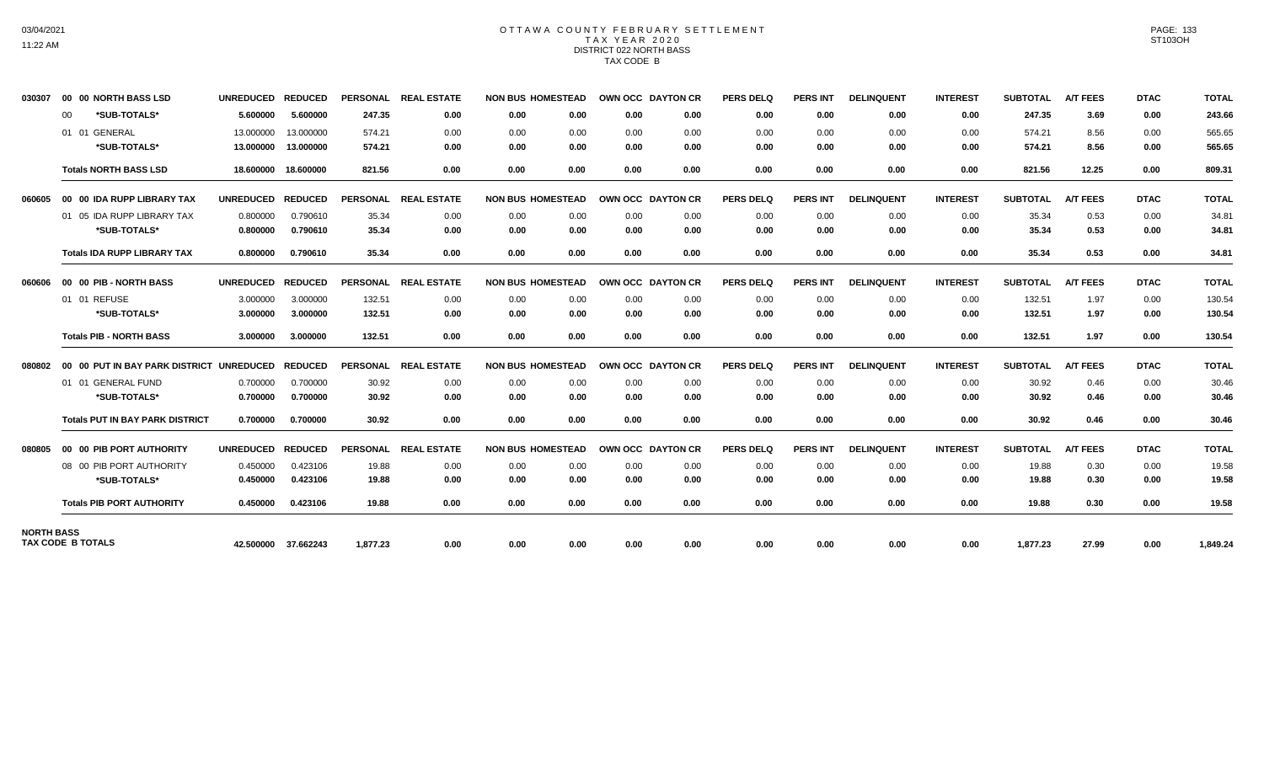# OTTAWA COUNTY FEBRUARY SETTLEMENT TAX YEAR 2020 DISTRICT 022 NORTH BASS TAX CODE B

| 030307            | 00 00 NORTH BASS LSD                     | <b>UNREDUCED</b> | <b>REDUCED</b>      |                 | PERSONAL REAL ESTATE | <b>NON BUS HOMESTEAD</b> |      | OWN OCC DAYTON CR | <b>PERS DELQ</b> | <b>PERS INT</b> | <b>DELINQUENT</b> | <b>INTEREST</b> | <b>SUBTOTAL</b> | <b>A/T FEES</b> | <b>DTAC</b> | <b>TOTAL</b> |
|-------------------|------------------------------------------|------------------|---------------------|-----------------|----------------------|--------------------------|------|-------------------|------------------|-----------------|-------------------|-----------------|-----------------|-----------------|-------------|--------------|
|                   | *SUB-TOTALS*<br>00                       | 5.600000         | 5.600000            | 247.35          | 0.00                 | 0.00<br>0.00             | 0.00 | 0.00              | 0.00             | 0.00            | 0.00              | 0.00            | 247.35          | 3.69            | 0.00        | 243.66       |
|                   | 01 01 GENERAL                            | 13.000000        | 13.000000           | 574.21          | 0.00                 | 0.00<br>0.00             | 0.00 | 0.00              | 0.00             | 0.00            | 0.00              | 0.00            | 574.21          | 8.56            | 0.00        | 565.65       |
|                   | *SUB-TOTALS*                             | 13.000000        | 13.000000           | 574.21          | 0.00                 | 0.00<br>0.00             | 0.00 | 0.00              | 0.00             | 0.00            | 0.00              | 0.00            | 574.21          | 8.56            | 0.00        | 565.65       |
|                   | <b>Totals NORTH BASS LSD</b>             | 18.600000        | 18.600000           | 821.56          | 0.00                 | 0.00<br>0.00             | 0.00 | 0.00              | 0.00             | 0.00            | 0.00              | 0.00            | 821.56          | 12.25           | 0.00        | 809.31       |
| 060605            | 00 00 IDA RUPP LIBRARY TAX               | <b>UNREDUCED</b> | <b>REDUCED</b>      | <b>PERSONAL</b> | <b>REAL ESTATE</b>   | <b>NON BUS HOMESTEAD</b> |      | OWN OCC DAYTON CR | <b>PERS DELQ</b> | <b>PERS INT</b> | <b>DELINQUENT</b> | <b>INTEREST</b> | <b>SUBTOTAL</b> | <b>A/T FEES</b> | <b>DTAC</b> | <b>TOTAL</b> |
|                   | 01 05 IDA RUPP LIBRARY TAX               | 0.800000         | 0.790610            | 35.34           | 0.00                 | 0.00<br>0.00             | 0.00 | 0.00              | 0.00             | 0.00            | 0.00              | 0.00            | 35.34           | 0.53            | 0.00        | 34.81        |
|                   | *SUB-TOTALS*                             | 0.800000         | 0.790610            | 35.34           | 0.00                 | 0.00<br>0.00             | 0.00 | 0.00              | 0.00             | 0.00            | 0.00              | 0.00            | 35.34           | 0.53            | 0.00        | 34.81        |
|                   | <b>Totals IDA RUPP LIBRARY TAX</b>       | 0.800000         | 0.790610            | 35.34           | 0.00                 | 0.00<br>0.00             | 0.00 | 0.00              | 0.00             | 0.00            | 0.00              | 0.00            | 35.34           | 0.53            | 0.00        | 34.81        |
| 060606            | 00 00 PIB - NORTH BASS                   | <b>UNREDUCED</b> | <b>REDUCED</b>      |                 | PERSONAL REAL ESTATE | <b>NON BUS HOMESTEAD</b> |      | OWN OCC DAYTON CR | <b>PERS DELQ</b> | <b>PERS INT</b> | <b>DELINQUENT</b> | <b>INTEREST</b> | <b>SUBTOTAL</b> | <b>A/T FEES</b> | <b>DTAC</b> | <b>TOTAL</b> |
|                   | 01 01 REFUSE                             | 3.000000         | 3.000000            | 132.51          | 0.00                 | 0.00<br>0.00             | 0.00 | 0.00              | 0.00             | 0.00            | 0.00              | 0.00            | 132.51          | 1.97            | 0.00        | 130.54       |
|                   | *SUB-TOTALS*                             | 3.000000         | 3.000000            | 132.51          | 0.00                 | 0.00<br>0.00             | 0.00 | 0.00              | 0.00             | 0.00            | 0.00              | 0.00            | 132.51          | 1.97            | 0.00        | 130.54       |
|                   | <b>Totals PIB - NORTH BASS</b>           | 3.000000         | 3.000000            | 132.51          | 0.00                 | 0.00<br>0.00             | 0.00 | 0.00              | 0.00             | 0.00            | 0.00              | 0.00            | 132.51          | 1.97            | 0.00        | 130.54       |
| 080802            | 00 00 PUT IN BAY PARK DISTRICT UNREDUCED |                  | <b>REDUCED</b>      | <b>PERSONAL</b> | <b>REAL ESTATE</b>   | <b>NON BUS HOMESTEAD</b> |      | OWN OCC DAYTON CR | <b>PERS DELQ</b> | <b>PERS INT</b> | <b>DELINQUENT</b> | <b>INTEREST</b> | <b>SUBTOTAL</b> | <b>A/T FEES</b> | <b>DTAC</b> | <b>TOTAL</b> |
|                   | 01 01 GENERAL FUND                       | 0.700000         | 0.700000            | 30.92           | 0.00                 | 0.00<br>0.00             | 0.00 | 0.00              | 0.00             | 0.00            | 0.00              | 0.00            | 30.92           | 0.46            | 0.00        | 30.46        |
|                   | *SUB-TOTALS*                             | 0.700000         | 0.700000            | 30.92           | 0.00                 | 0.00<br>0.00             | 0.00 | 0.00              | 0.00             | 0.00            | 0.00              | 0.00            | 30.92           | 0.46            | 0.00        | 30.46        |
|                   | <b>Totals PUT IN BAY PARK DISTRICT</b>   | 0.700000         | 0.700000            | 30.92           | 0.00                 | 0.00<br>0.00             | 0.00 | 0.00              | 0.00             | 0.00            | 0.00              | 0.00            | 30.92           | 0.46            | 0.00        | 30.46        |
| 080805            | 00 00 PIB PORT AUTHORITY                 | <b>UNREDUCED</b> | <b>REDUCED</b>      | <b>PERSONAL</b> | <b>REAL ESTATE</b>   | <b>NON BUS HOMESTEAD</b> |      | OWN OCC DAYTON CR | <b>PERS DELQ</b> | <b>PERS INT</b> | <b>DELINQUENT</b> | <b>INTEREST</b> | <b>SUBTOTAL</b> | <b>A/T FEES</b> | <b>DTAC</b> | <b>TOTAL</b> |
|                   | 08 00 PIB PORT AUTHORITY                 | 0.450000         | 0.423106            | 19.88           | 0.00                 | 0.00<br>0.00             | 0.00 | 0.00              | 0.00             | 0.00            | 0.00              | 0.00            | 19.88           | 0.30            | 0.00        | 19.58        |
|                   | *SUB-TOTALS*                             | 0.450000         | 0.423106            | 19.88           | 0.00                 | 0.00<br>0.00             | 0.00 | 0.00              | 0.00             | 0.00            | 0.00              | 0.00            | 19.88           | 0.30            | 0.00        | 19.58        |
|                   | <b>Totals PIB PORT AUTHORITY</b>         | 0.450000         | 0.423106            | 19.88           | 0.00                 | 0.00<br>0.00             | 0.00 | 0.00              | 0.00             | 0.00            | 0.00              | 0.00            | 19.88           | 0.30            | 0.00        | 19.58        |
| <b>NORTH BASS</b> |                                          |                  |                     |                 |                      |                          |      |                   |                  |                 |                   |                 |                 |                 |             |              |
|                   | <b>TAX CODE B TOTALS</b>                 |                  | 42.500000 37.662243 | 1.877.23        | 0.00                 | 0.00<br>0.00             | 0.00 | 0.00              | 0.00             | 0.00            | 0.00              | 0.00            | 1,877.23        | 27.99           | 0.00        | 1,849.24     |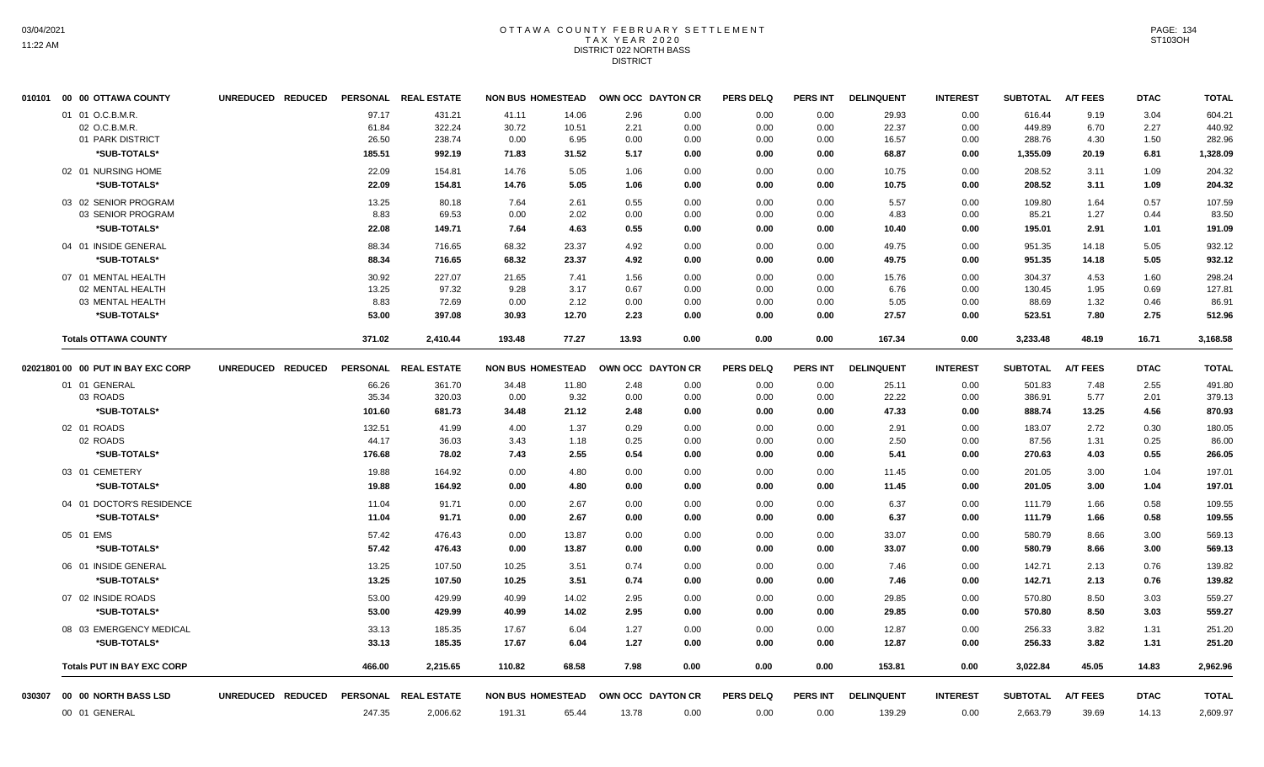## OTTAWA COUNTY FEBRUARY SETTLEMENT TAX YEAR 2020 DISTRICT 022 NORTH BASS DISTRICT

| 010101 00 00 OTTAWA COUNTY         | UNREDUCED REDUCED |                | PERSONAL REAL ESTATE | <b>NON BUS HOMESTEAD</b> |                | OWN OCC DAYTON CR |              | <b>PERS DELQ</b> | <b>PERS INT</b> | <b>DELINQUENT</b> | <b>INTEREST</b> | <b>SUBTOTAL</b>   | <b>A/T FEES</b> | <b>DTAC</b>  | <b>TOTAL</b>     |
|------------------------------------|-------------------|----------------|----------------------|--------------------------|----------------|-------------------|--------------|------------------|-----------------|-------------------|-----------------|-------------------|-----------------|--------------|------------------|
| 01 01 O.C.B.M.R.<br>02 O.C.B.M.R.  |                   | 97.17<br>61.84 | 431.21<br>322.24     | 41.11<br>30.72           | 14.06<br>10.51 | 2.96<br>2.21      | 0.00<br>0.00 | 0.00<br>0.00     | 0.00<br>0.00    | 29.93<br>22.37    | 0.00<br>0.00    | 616.44<br>449.89  | 9.19<br>6.70    | 3.04<br>2.27 | 604.21<br>440.92 |
| 01 PARK DISTRICT                   |                   | 26.50          | 238.74               | 0.00                     | 6.95           | 0.00              | 0.00         | 0.00             | 0.00            | 16.57             | 0.00            | 288.76            | 4.30            | 1.50         | 282.96           |
| *SUB-TOTALS*                       |                   | 185.51         | 992.19               | 71.83                    | 31.52          | 5.17              | 0.00         | 0.00             | 0.00            | 68.87             | 0.00            | 1,355.09          | 20.19           | 6.81         | 1,328.09         |
| 02 01 NURSING HOME                 |                   | 22.09          | 154.81               | 14.76                    | 5.05           | 1.06              | 0.00         | 0.00             | 0.00            | 10.75             | 0.00            | 208.52            | 3.11            | 1.09         | 204.32           |
| *SUB-TOTALS*                       |                   | 22.09          | 154.81               | 14.76                    | 5.05           | 1.06              | 0.00         | 0.00             | 0.00            | 10.75             | 0.00            | 208.52            | 3.11            | 1.09         | 204.32           |
| 03 02 SENIOR PROGRAM               |                   | 13.25          | 80.18                | 7.64                     | 2.61           | 0.55              | 0.00         | 0.00             | 0.00            | 5.57              | 0.00            | 109.80            | 1.64            | 0.57         | 107.59           |
| 03 SENIOR PROGRAM                  |                   | 8.83           | 69.53                | 0.00                     | 2.02           | 0.00              | 0.00         | 0.00             | 0.00            | 4.83              | 0.00            | 85.21             | 1.27            | 0.44         | 83.50            |
| *SUB-TOTALS*                       |                   | 22.08          | 149.71               | 7.64                     | 4.63           | 0.55              | 0.00         | 0.00             | 0.00            | 10.40             | 0.00            | 195.01            | 2.91            | 1.01         | 191.09           |
| 04 01 INSIDE GENERAL               |                   | 88.34          | 716.65               | 68.32                    | 23.37          | 4.92              | 0.00         | 0.00             | 0.00            | 49.75             | 0.00            | 951.35            | 14.18           | 5.05         | 932.12           |
| *SUB-TOTALS*                       |                   | 88.34          | 716.65               | 68.32                    | 23.37          | 4.92              | 0.00         | 0.00             | 0.00            | 49.75             | 0.00            | 951.35            | 14.18           | 5.05         | 932.12           |
| 07 01 MENTAL HEALTH                |                   | 30.92          | 227.07               | 21.65                    | 7.41           | 1.56              | 0.00         | 0.00             | 0.00            | 15.76             | 0.00            | 304.37            | 4.53            | 1.60         | 298.24           |
| 02 MENTAL HEALTH                   |                   | 13.25          | 97.32                | 9.28                     | 3.17           | 0.67              | 0.00         | 0.00             | 0.00            | 6.76              | 0.00            | 130.45            | 1.95            | 0.69         | 127.81           |
| 03 MENTAL HEALTH                   |                   | 8.83           | 72.69                | 0.00                     | 2.12           | 0.00              | 0.00         | 0.00             | 0.00            | 5.05              | 0.00            | 88.69<br>523.51   | 1.32            | 0.46         | 86.91            |
| *SUB-TOTALS*                       |                   | 53.00          | 397.08               | 30.93                    | 12.70          | 2.23              | 0.00         | 0.00             | 0.00            | 27.57             | 0.00            |                   | 7.80            | 2.75         | 512.96           |
| <b>Totals OTTAWA COUNTY</b>        |                   | 371.02         | 2,410.44             | 193.48                   | 77.27          | 13.93             | 0.00         | 0.00             | 0.00            | 167.34            | 0.00            | 3,233.48          | 48.19           | 16.71        | 3,168.58         |
| 02021801 00 00 PUT IN BAY EXC CORP | UNREDUCED REDUCED |                | PERSONAL REAL ESTATE | <b>NON BUS HOMESTEAD</b> |                | OWN OCC DAYTON CR |              | <b>PERS DELQ</b> | <b>PERS INT</b> | <b>DELINQUENT</b> | <b>INTEREST</b> | <b>SUBTOTAL</b>   | <b>A/T FEES</b> | <b>DTAC</b>  | <b>TOTAL</b>     |
| 01 01 GENERAL                      |                   | 66.26          | 361.70               | 34.48                    | 11.80          | 2.48              | 0.00         | 0.00             | 0.00            | 25.11             | 0.00            | 501.83            | 7.48            | 2.55         | 491.80           |
| 03 ROADS                           |                   | 35.34          | 320.03               | 0.00                     | 9.32           | 0.00              | 0.00         | 0.00             | 0.00            | 22.22             | 0.00            | 386.91            | 5.77            | 2.01         | 379.13           |
| *SUB-TOTALS*                       |                   | 101.60         | 681.73               | 34.48                    | 21.12          | 2.48              | 0.00         | 0.00             | 0.00            | 47.33             | 0.00            | 888.74            | 13.25           | 4.56         | 870.93           |
| 02 01 ROADS                        |                   | 132.51         | 41.99                | 4.00                     | 1.37           | 0.29              | 0.00         | 0.00             | 0.00            | 2.91              | 0.00            | 183.07            | 2.72            | 0.30         | 180.05           |
| 02 ROADS                           |                   | 44.17          | 36.03                | 3.43                     | 1.18           | 0.25              | 0.00         | 0.00             | 0.00            | 2.50              | 0.00            | 87.56             | 1.31            | 0.25         | 86.00            |
| *SUB-TOTALS*                       |                   | 176.68         | 78.02                | 7.43                     | 2.55           | 0.54              | 0.00         | 0.00             | 0.00            | 5.41              | 0.00            | 270.63            | 4.03            | 0.55         | 266.05           |
| 03 01 CEMETERY                     |                   | 19.88          | 164.92               | 0.00                     | 4.80           | 0.00              | 0.00         | 0.00             | 0.00            | 11.45             | 0.00            | 201.05            | 3.00            | 1.04         | 197.01           |
| *SUB-TOTALS*                       |                   | 19.88          | 164.92               | 0.00                     | 4.80           | 0.00              | 0.00         | 0.00             | 0.00            | 11.45             | 0.00            | 201.05            | 3.00            | 1.04         | 197.01           |
| 04 01 DOCTOR'S RESIDENCE           |                   | 11.04          | 91.71                | 0.00                     | 2.67           | 0.00              | 0.00         | 0.00             | 0.00            | 6.37              | 0.00            | 111.79            | 1.66            | 0.58         | 109.55           |
| *SUB-TOTALS*                       |                   | 11.04          | 91.71                | 0.00                     | 2.67           | 0.00              | 0.00         | 0.00             | 0.00            | 6.37              | 0.00            | 111.79            | 1.66            | 0.58         | 109.55           |
| 05 01 EMS                          |                   | 57.42          | 476.43               | 0.00                     | 13.87          | 0.00              | 0.00         | 0.00             | 0.00            | 33.07             | 0.00            | 580.79            | 8.66            | 3.00         | 569.13           |
| *SUB-TOTALS*                       |                   | 57.42          | 476.43               | 0.00                     | 13.87          | 0.00              | 0.00         | 0.00             | 0.00            | 33.07             | 0.00            | 580.79            | 8.66            | 3.00         | 569.13           |
| 06 01 INSIDE GENERAL               |                   | 13.25          | 107.50               | 10.25                    | 3.51           | 0.74              | 0.00         | 0.00             | 0.00            | 7.46              | 0.00            | 142.71            | 2.13            | 0.76         | 139.82           |
| *SUB-TOTALS*                       |                   | 13.25          | 107.50               | 10.25                    | 3.51           | 0.74              | 0.00         | 0.00             | 0.00            | 7.46              | 0.00            | 142.71            | 2.13            | 0.76         | 139.82           |
| 07 02 INSIDE ROADS                 |                   | 53.00          | 429.99               | 40.99                    | 14.02          | 2.95              | 0.00         | 0.00             | 0.00            | 29.85             | 0.00            | 570.80            | 8.50            | 3.03         | 559.27           |
| *SUB-TOTALS*                       |                   | 53.00          | 429.99               | 40.99                    | 14.02          | 2.95              | 0.00         | 0.00             | 0.00            | 29.85             | 0.00            | 570.80            | 8.50            | 3.03         | 559.27           |
| 08 03 EMERGENCY MEDICAL            |                   | 33.13          | 185.35               | 17.67                    | 6.04           | 1.27              | 0.00         | 0.00             | 0.00            | 12.87             | 0.00            | 256.33            | 3.82            | 1.31         | 251.20           |
| *SUB-TOTALS*                       |                   | 33.13          | 185.35               | 17.67                    | 6.04           | 1.27              | 0.00         | 0.00             | 0.00            | 12.87             | 0.00            | 256.33            | 3.82            | 1.31         | 251.20           |
| <b>Totals PUT IN BAY EXC CORP</b>  |                   | 466.00         | 2.215.65             | 110.82                   | 68.58          | 7.98              | 0.00         | 0.00             | 0.00            | 153.81            | 0.00            | 3,022.84          | 45.05           | 14.83        | 2,962.96         |
|                                    | UNREDUCED REDUCED |                | PERSONAL REAL ESTATE | <b>NON BUS HOMESTEAD</b> |                | OWN OCC DAYTON CR |              | <b>PERS DELQ</b> | PERS INT        | <b>DELINQUENT</b> | <b>INTEREST</b> | SUBTOTAL A/T FEES |                 | <b>DTAC</b>  | <b>TOTAL</b>     |
| 00 01 GENERAL                      |                   | 247.35         | 2,006.62             | 191.31                   | 65.44          | 13.78             | 0.00         | 0.00             | 0.00            | 139.29            | 0.00            | 2,663.79          | 39.69           | 14.13        | 2,609.97         |
|                                    |                   |                |                      |                          |                |                   |              |                  |                 |                   |                 |                   |                 |              |                  |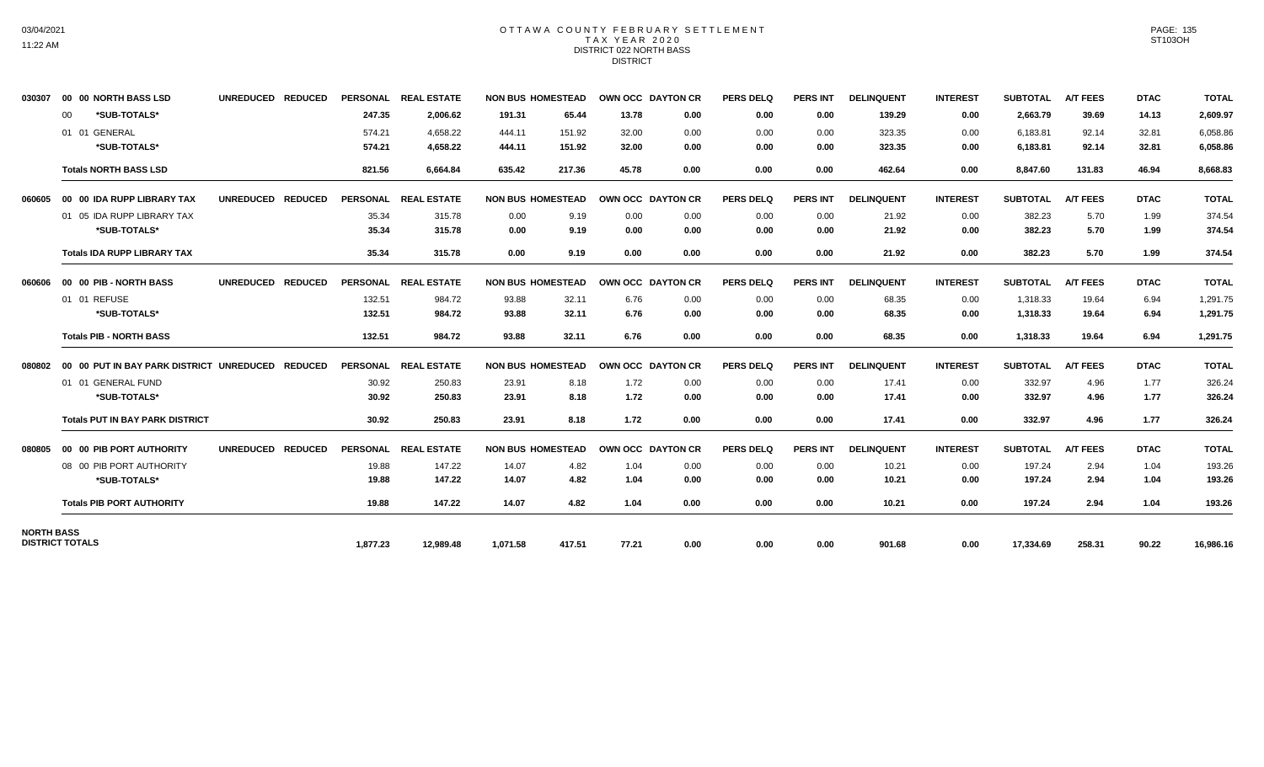## OTTAWA COUNTY FEBRUARY SETTLEMENT TAX YEAR 2020 DISTRICT 022 NORTH BASS DISTRICT

| 030307            | 00 00 NORTH BASS LSD                     | UNREDUCED REDUCED |                 | PERSONAL REAL ESTATE | <b>NON BUS HOMESTEAD</b> |        | OWN OCC DAYTON CR        |      | <b>PERS DELQ</b> | <b>PERS INT</b> | <b>DELINQUENT</b> | <b>INTEREST</b> | <b>SUBTOTAL</b> | <b>A/T FEES</b> | <b>DTAC</b> | <b>TOTAL</b> |
|-------------------|------------------------------------------|-------------------|-----------------|----------------------|--------------------------|--------|--------------------------|------|------------------|-----------------|-------------------|-----------------|-----------------|-----------------|-------------|--------------|
|                   | *SUB-TOTALS*<br>00                       |                   | 247.35          | 2,006.62             | 191.31                   | 65.44  | 13.78                    | 0.00 | 0.00             | 0.00            | 139.29            | 0.00            | 2,663.79        | 39.69           | 14.13       | 2,609.97     |
|                   | 01 01 GENERAL                            |                   | 574.21          | 4.658.22             | 444.11                   | 151.92 | 32.00                    | 0.00 | 0.00             | 0.00            | 323.35            | 0.00            | 6,183.81        | 92.14           | 32.81       | 6,058.86     |
|                   | *SUB-TOTALS*                             |                   | 574.21          | 4,658.22             | 444.11                   | 151.92 | 32.00                    | 0.00 | 0.00             | 0.00            | 323.35            | 0.00            | 6,183.81        | 92.14           | 32.81       | 6,058.86     |
|                   | <b>Totals NORTH BASS LSD</b>             |                   | 821.56          | 6,664.84             | 635.42                   | 217.36 | 45.78                    | 0.00 | 0.00             | 0.00            | 462.64            | 0.00            | 8,847.60        | 131.83          | 46.94       | 8,668.83     |
| 060605            | 00 00 IDA RUPP LIBRARY TAX               | UNREDUCED REDUCED |                 | PERSONAL REAL ESTATE | <b>NON BUS HOMESTEAD</b> |        | OWN OCC DAYTON CR        |      | <b>PERS DELQ</b> | <b>PERS INT</b> | <b>DELINQUENT</b> | <b>INTEREST</b> | <b>SUBTOTAL</b> | <b>A/T FEES</b> | <b>DTAC</b> | <b>TOTAL</b> |
|                   | 01 05 IDA RUPP LIBRARY TAX               |                   | 35.34           | 315.78               | 0.00                     | 9.19   | 0.00                     | 0.00 | 0.00             | 0.00            | 21.92             | 0.00            | 382.23          | 5.70            | 1.99        | 374.54       |
|                   | *SUB-TOTALS*                             |                   | 35.34           | 315.78               | 0.00                     | 9.19   | 0.00                     | 0.00 | 0.00             | 0.00            | 21.92             | 0.00            | 382.23          | 5.70            | 1.99        | 374.54       |
|                   | <b>Totals IDA RUPP LIBRARY TAX</b>       |                   | 35.34           | 315.78               | 0.00                     | 9.19   | 0.00                     | 0.00 | 0.00             | 0.00            | 21.92             | 0.00            | 382.23          | 5.70            | 1.99        | 374.54       |
| 060606            | 00 00 PIB - NORTH BASS                   | UNREDUCED REDUCED |                 | PERSONAL REAL ESTATE | <b>NON BUS HOMESTEAD</b> |        | OWN OCC DAYTON CR        |      | <b>PERS DELQ</b> | <b>PERS INT</b> | <b>DELINQUENT</b> | <b>INTEREST</b> | <b>SUBTOTAL</b> | <b>A/T FEES</b> | <b>DTAC</b> | <b>TOTAL</b> |
|                   | 01 01 REFUSE                             |                   | 132.51          | 984.72               | 93.88                    | 32.11  | 6.76                     | 0.00 | 0.00             | 0.00            | 68.35             | 0.00            | 1,318.33        | 19.64           | 6.94        | 1,291.75     |
|                   | *SUB-TOTALS*                             |                   | 132.51          | 984.72               | 93.88                    | 32.11  | 6.76                     | 0.00 | 0.00             | 0.00            | 68.35             | 0.00            | 1,318.33        | 19.64           | 6.94        | 1,291.75     |
|                   | <b>Totals PIB - NORTH BASS</b>           |                   | 132.51          | 984.72               | 93.88                    | 32.11  | 6.76                     | 0.00 | 0.00             | 0.00            | 68.35             | 0.00            | 1,318.33        | 19.64           | 6.94        | 1,291.75     |
| 080802            | 00 00 PUT IN BAY PARK DISTRICT UNREDUCED | <b>REDUCED</b>    |                 | PERSONAL REAL ESTATE | <b>NON BUS HOMESTEAD</b> |        | OWN OCC DAYTON CR        |      | <b>PERS DELQ</b> | <b>PERS INT</b> | <b>DELINQUENT</b> | <b>INTEREST</b> | <b>SUBTOTAL</b> | <b>A/T FEES</b> | <b>DTAC</b> | <b>TOTAL</b> |
|                   | 01 01 GENERAL FUND                       |                   | 30.92           | 250.83               | 23.91                    | 8.18   | 1.72                     | 0.00 | 0.00             | 0.00            | 17.41             | 0.00            | 332.97          | 4.96            | 1.77        | 326.24       |
|                   | *SUB-TOTALS*                             |                   | 30.92           | 250.83               | 23.91                    | 8.18   | 1.72                     | 0.00 | 0.00             | 0.00            | 17.41             | 0.00            | 332.97          | 4.96            | 1.77        | 326.24       |
|                   | <b>Totals PUT IN BAY PARK DISTRICT</b>   |                   | 30.92           | 250.83               | 23.91                    | 8.18   | 1.72                     | 0.00 | 0.00             | 0.00            | 17.41             | 0.00            | 332.97          | 4.96            | 1.77        | 326.24       |
| 080805            | 00 00 PIB PORT AUTHORITY                 | UNREDUCED REDUCED | <b>PERSONAL</b> | <b>REAL ESTATE</b>   | <b>NON BUS HOMESTEAD</b> |        | <b>OWN OCC DAYTON CR</b> |      | <b>PERS DELO</b> | <b>PERS INT</b> | <b>DELINQUENT</b> | <b>INTEREST</b> | <b>SUBTOTAL</b> | <b>A/T FEES</b> | <b>DTAC</b> | <b>TOTAL</b> |
|                   | 08 00 PIB PORT AUTHORITY                 |                   | 19.88           | 147.22               | 14.07                    | 4.82   | 1.04                     | 0.00 | 0.00             | 0.00            | 10.21             | 0.00            | 197.24          | 2.94            | 1.04        | 193.26       |
|                   | *SUB-TOTALS*                             |                   | 19.88           | 147.22               | 14.07                    | 4.82   | 1.04                     | 0.00 | 0.00             | 0.00            | 10.21             | 0.00            | 197.24          | 2.94            | 1.04        | 193.26       |
|                   | <b>Totals PIB PORT AUTHORITY</b>         |                   | 19.88           | 147.22               | 14.07                    | 4.82   | 1.04                     | 0.00 | 0.00             | 0.00            | 10.21             | 0.00            | 197.24          | 2.94            | 1.04        | 193.26       |
| <b>NORTH BASS</b> |                                          |                   |                 |                      |                          |        |                          |      |                  |                 |                   |                 |                 |                 |             |              |
|                   | <b>DISTRICT TOTALS</b>                   |                   | 1,877.23        | 12,989.48            | 1,071.58                 | 417.51 | 77.21                    | 0.00 | 0.00             | 0.00            | 901.68            | 0.00            | 17,334.69       | 258.31          | 90.22       | 16,986.16    |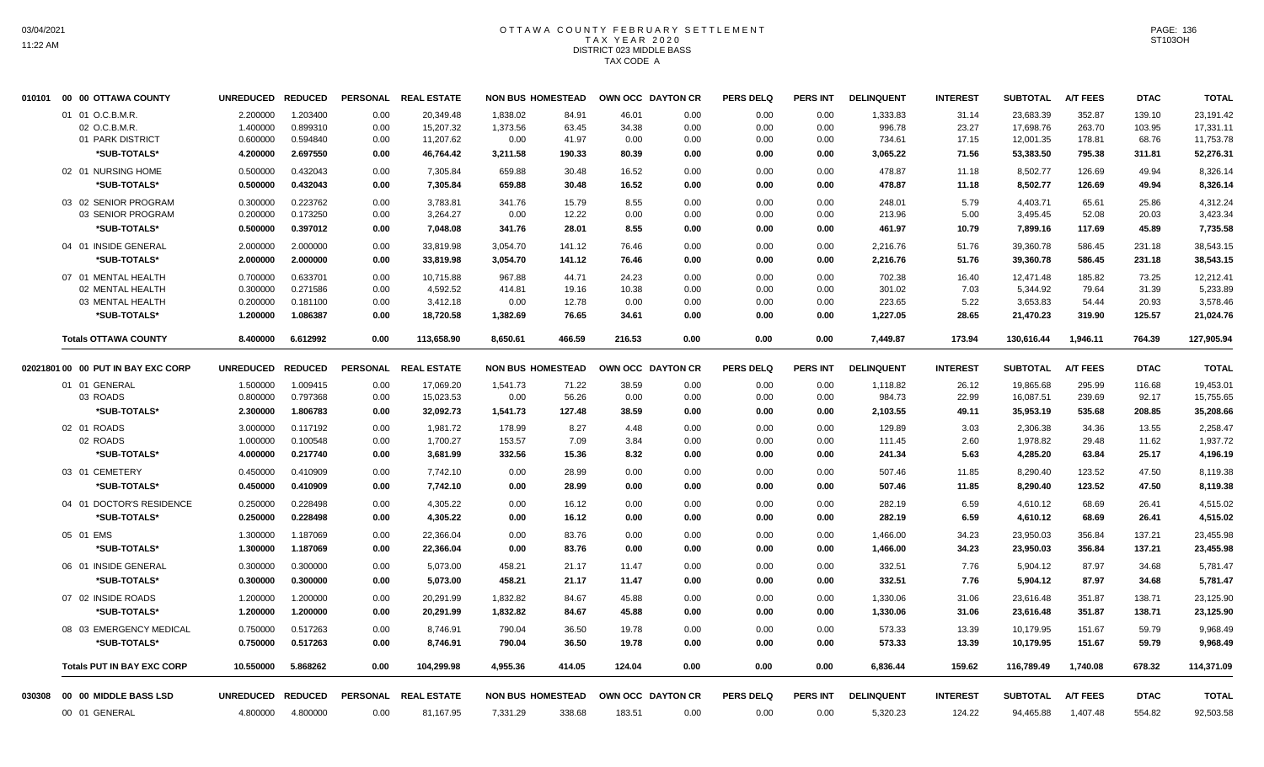# OTTAWA COUNTY FEBRUARY SETTLEMENT TAX YEAR 2020 DISTRICT 023 MIDDLE BASS TAX CODE A

| 010101 | 00 00 OTTAWA COUNTY                | <b>UNREDUCED</b>     | <b>REDUCED</b>       | <b>PERSONAL</b> | <b>REAL ESTATE</b>     | <b>NON BUS HOMESTEAD</b> |                |                | OWN OCC DAYTON CR | <b>PERS DELQ</b> | PERS INT        | <b>DELINQUENT</b>  | <b>INTEREST</b> | <b>SUBTOTAL</b>        | <b>A/T FEES</b>  | <b>DTAC</b>      | <b>TOTAL</b>           |
|--------|------------------------------------|----------------------|----------------------|-----------------|------------------------|--------------------------|----------------|----------------|-------------------|------------------|-----------------|--------------------|-----------------|------------------------|------------------|------------------|------------------------|
|        | 01 01 O.C.B.M.R.<br>02 O.C.B.M.R.  | 2.200000<br>1.400000 | 1.203400<br>0.899310 | 0.00<br>0.00    | 20.349.48<br>15,207.32 | 1.838.02<br>1,373.56     | 84.91<br>63.45 | 46.01<br>34.38 | 0.00<br>0.00      | 0.00<br>0.00     | 0.00<br>0.00    | 1,333.83<br>996.78 | 31.14<br>23.27  | 23,683.39<br>17,698.76 | 352.87<br>263.70 | 139.10<br>103.95 | 23,191.42<br>17,331.11 |
|        | 01 PARK DISTRICT                   | 0.600000             | 0.594840             | 0.00            | 11,207.62              | 0.00                     | 41.97          | 0.00           | 0.00              | 0.00             | 0.00            | 734.61             | 17.15           | 12,001.35              | 178.81           | 68.76            | 11,753.78              |
|        | *SUB-TOTALS*                       | 4.200000             | 2.697550             | 0.00            | 46,764.42              | 3,211.58                 | 190.33         | 80.39          | 0.00              | 0.00             | 0.00            | 3,065.22           | 71.56           | 53,383.50              | 795.38           | 311.81           | 52,276.31              |
|        | 02 01 NURSING HOME                 | 0.500000             | 0.432043             | 0.00            | 7,305.84               | 659.88                   | 30.48          | 16.52          | 0.00              | 0.00             | 0.00            | 478.87             | 11.18           | 8,502.77               | 126.69           | 49.94            | 8,326.14               |
|        | *SUB-TOTALS*                       | 0.500000             | 0.432043             | 0.00            | 7,305.84               | 659.88                   | 30.48          | 16.52          | 0.00              | 0.00             | 0.00            | 478.87             | 11.18           | 8,502.77               | 126.69           | 49.94            | 8,326.14               |
|        | 03 02 SENIOR PROGRAM               | 0.300000             | 0.223762             | 0.00            | 3,783.81               | 341.76                   | 15.79          | 8.55           | 0.00              | 0.00             | 0.00            | 248.01             | 5.79            | 4,403.71               | 65.61            | 25.86            | 4,312.24               |
|        | 03 SENIOR PROGRAM                  | 0.200000             | 0.173250             | 0.00            | 3,264.27               | 0.00                     | 12.22          | 0.00           | 0.00              | 0.00             | 0.00            | 213.96             | 5.00            | 3,495.45               | 52.08            | 20.03            | 3,423.34               |
|        | *SUB-TOTALS*                       | 0.500000             | 0.397012             | 0.00            | 7,048.08               | 341.76                   | 28.01          | 8.55           | 0.00              | 0.00             | 0.00            | 461.97             | 10.79           | 7,899.16               | 117.69           | 45.89            | 7,735.58               |
|        | 04 01 INSIDE GENERAL               | 2.000000             | 2.000000             | 0.00            | 33,819.98              | 3,054.70                 | 141.12         | 76.46          | 0.00              | 0.00             | 0.00            | 2,216.76           | 51.76           | 39,360.78              | 586.45           | 231.18           | 38,543.15              |
|        | *SUB-TOTALS*                       | 2.000000             | 2.000000             | 0.00            | 33,819.98              | 3,054.70                 | 141.12         | 76.46          | 0.00              | 0.00             | 0.00            | 2,216.76           | 51.76           | 39,360.78              | 586.45           | 231.18           | 38,543.15              |
|        | 07 01 MENTAL HEALTH                | 0.700000             | 0.633701             | 0.00            | 10,715.88              | 967.88                   | 44.71          | 24.23          | 0.00              | 0.00             | 0.00            | 702.38             | 16.40           | 12,471.48              | 185.82           | 73.25            | 12,212.41              |
|        | 02 MENTAL HEALTH                   | 0.300000             | 0.271586             | 0.00            | 4,592.52               | 414.81                   | 19.16          | 10.38          | 0.00              | 0.00             | 0.00            | 301.02             | 7.03            | 5,344.92               | 79.64            | 31.39            | 5,233.89               |
|        | 03 MENTAL HEALTH                   | 0.200000             | 0.181100             | 0.00            | 3,412.18               | 0.00                     | 12.78          | 0.00           | 0.00              | 0.00             | 0.00            | 223.65             | 5.22            | 3,653.83               | 54.44            | 20.93            | 3,578.46               |
|        | *SUB-TOTALS*                       | 1.200000             | 1.086387             | 0.00            | 18,720.58              | 1,382.69                 | 76.65          | 34.61          | 0.00              | 0.00             | 0.00            | 1,227.05           | 28.65           | 21,470.23              | 319.90           | 125.57           | 21,024.76              |
|        | <b>Totals OTTAWA COUNTY</b>        | 8.400000             | 6.612992             | 0.00            | 113,658.90             | 8,650.61                 | 466.59         | 216.53         | 0.00              | 0.00             | 0.00            | 7,449.87           | 173.94          | 130,616.44             | 1,946.11         | 764.39           | 127,905.94             |
|        | 02021801 00 00 PUT IN BAY EXC CORP | <b>UNREDUCED</b>     | <b>REDUCED</b>       | <b>PERSONAL</b> | <b>REAL ESTATE</b>     | <b>NON BUS HOMESTEAD</b> |                |                | OWN OCC DAYTON CR | <b>PERS DELQ</b> | <b>PERS INT</b> | <b>DELINQUENT</b>  | <b>INTEREST</b> | <b>SUBTOTAL</b>        | <b>A/T FEES</b>  | <b>DTAC</b>      | <b>TOTAL</b>           |
|        | 01 01 GENERAL                      | 1.500000             | 1.009415             | 0.00            | 17,069.20              | 1,541.73                 | 71.22          | 38.59          | 0.00              | 0.00             | 0.00            | 1,118.82           | 26.12           | 19,865.68              | 295.99           | 116.68           | 19,453.01              |
|        | 03 ROADS                           | 0.800000             | 0.797368             | 0.00            | 15,023.53              | 0.00                     | 56.26          | 0.00           | 0.00              | 0.00             | 0.00            | 984.73             | 22.99           | 16,087.51              | 239.69           | 92.17            | 15,755.65              |
|        | *SUB-TOTALS*                       | 2.300000             | 1.806783             | 0.00            | 32,092.73              | 1,541.73                 | 127.48         | 38.59          | 0.00              | 0.00             | 0.00            | 2,103.55           | 49.11           | 35,953.19              | 535.68           | 208.85           | 35,208.66              |
|        | 02 01 ROADS                        | 3.000000             | 0.117192             | 0.00            | 1,981.72               | 178.99                   | 8.27           | 4.48           | 0.00              | 0.00             | 0.00            | 129.89             | 3.03            | 2,306.38               | 34.36            | 13.55            | 2,258.47               |
|        | 02 ROADS                           | 1.000000             | 0.100548             | 0.00            | 1,700.27               | 153.57                   | 7.09           | 3.84           | 0.00              | 0.00             | 0.00            | 111.45             | 2.60            | 1,978.82               | 29.48            | 11.62            | 1,937.72               |
|        | *SUB-TOTALS*                       | 4.000000             | 0.217740             | 0.00            | 3,681.99               | 332.56                   | 15.36          | 8.32           | 0.00              | 0.00             | 0.00            | 241.34             | 5.63            | 4,285.20               | 63.84            | 25.17            | 4,196.19               |
|        | 03 01 CEMETERY                     | 0.450000             | 0.410909             | 0.00            | 7,742.10               | 0.00                     | 28.99          | 0.00           | 0.00              | 0.00             | 0.00            | 507.46             | 11.85           | 8,290.40               | 123.52           | 47.50            | 8,119.38               |
|        | *SUB-TOTALS*                       | 0.450000             | 0.410909             | 0.00            | 7,742.10               | 0.00                     | 28.99          | 0.00           | 0.00              | 0.00             | 0.00            | 507.46             | 11.85           | 8,290.40               | 123.52           | 47.50            | 8,119.38               |
|        | 04 01 DOCTOR'S RESIDENCE           | 0.250000             | 0.228498             | 0.00            | 4,305.22               | 0.00                     | 16.12          | 0.00           | 0.00              | 0.00             | 0.00            | 282.19             | 6.59            | 4,610.12               | 68.69            | 26.41            | 4,515.02               |
|        | *SUB-TOTALS*                       | 0.250000             | 0.228498             | 0.00            | 4,305.22               | 0.00                     | 16.12          | 0.00           | 0.00              | 0.00             | 0.00            | 282.19             | 6.59            | 4,610.12               | 68.69            | 26.41            | 4,515.02               |
|        | 05 01 EMS                          | 1.300000             | 1.187069             | 0.00            | 22,366.04              | 0.00                     | 83.76          | 0.00           | 0.00              | 0.00             | 0.00            | 1,466.00           | 34.23           | 23,950.03              | 356.84           | 137.21           | 23,455.98              |
|        | *SUB-TOTALS*                       | 1.300000             | 1.187069             | 0.00            | 22,366.04              | 0.00                     | 83.76          | 0.00           | 0.00              | 0.00             | 0.00            | 1,466.00           | 34.23           | 23,950.03              | 356.84           | 137.21           | 23,455.98              |
|        | 06 01 INSIDE GENERAL               | 0.300000             | 0.300000             | 0.00            | 5,073.00               | 458.21                   | 21.17          | 11.47          | 0.00              | 0.00             | 0.00            | 332.51             | 7.76            | 5,904.12               | 87.97            | 34.68            | 5,781.47               |
|        | *SUB-TOTALS*                       | 0.300000             | 0.300000             | 0.00            | 5,073.00               | 458.21                   | 21.17          | 11.47          | 0.00              | 0.00             | 0.00            | 332.51             | 7.76            | 5,904.12               | 87.97            | 34.68            | 5,781.47               |
|        | 07 02 INSIDE ROADS                 | 1.200000             | 1.200000             | 0.00            | 20,291.99              | 1,832.82                 | 84.67          | 45.88          | 0.00              | 0.00             | 0.00            | 1,330.06           | 31.06           | 23,616.48              | 351.87           | 138.71           | 23,125.90              |
|        | *SUB-TOTALS*                       | 1.200000             | 1.200000             | 0.00            | 20,291.99              | 1,832.82                 | 84.67          | 45.88          | 0.00              | 0.00             | 0.00            | 1,330.06           | 31.06           | 23,616.48              | 351.87           | 138.71           | 23,125.90              |
|        | 08 03 EMERGENCY MEDICAL            | 0.750000             | 0.517263             | 0.00            | 8,746.91               | 790.04                   | 36.50          | 19.78          | 0.00              | 0.00             | 0.00            | 573.33             | 13.39           | 10,179.95              | 151.67           | 59.79            | 9,968.49               |
|        | *SUB-TOTALS*                       | 0.750000             | 0.517263             | 0.00            | 8,746.91               | 790.04                   | 36.50          | 19.78          | 0.00              | 0.00             | 0.00            | 573.33             | 13.39           | 10,179.95              | 151.67           | 59.79            | 9,968.49               |
|        | <b>Totals PUT IN BAY EXC CORP</b>  | 10.550000            | 5.868262             | 0.00            | 104,299.98             | 4,955.36                 | 414.05         | 124.04         | 0.00              | 0.00             | 0.00            | 6,836.44           | 159.62          | 116,789.49             | 1,740.08         | 678.32           | 114,371.09             |
| 030308 | 00 00 MIDDLE BASS LSD              | <b>UNREDUCED</b>     | <b>REDUCED</b>       |                 | PERSONAL REAL ESTATE   | <b>NON BUS HOMESTEAD</b> |                |                | OWN OCC DAYTON CR | <b>PERS DELQ</b> | PERS INT        | <b>DELINQUENT</b>  | <b>INTEREST</b> | <b>SUBTOTAL</b>        | <b>A/T FEES</b>  | <b>DTAC</b>      | <b>TOTAL</b>           |
|        | 00 01 GENERAL                      | 4.800000             | 4.800000             | 0.00            | 81,167.95              | 7,331.29                 | 338.68         | 183.51         | 0.00              | 0.00             | 0.00            | 5,320.23           | 124.22          | 94,465.88              | 1,407.48         | 554.82           | 92,503.58              |
|        |                                    |                      |                      |                 |                        |                          |                |                |                   |                  |                 |                    |                 |                        |                  |                  |                        |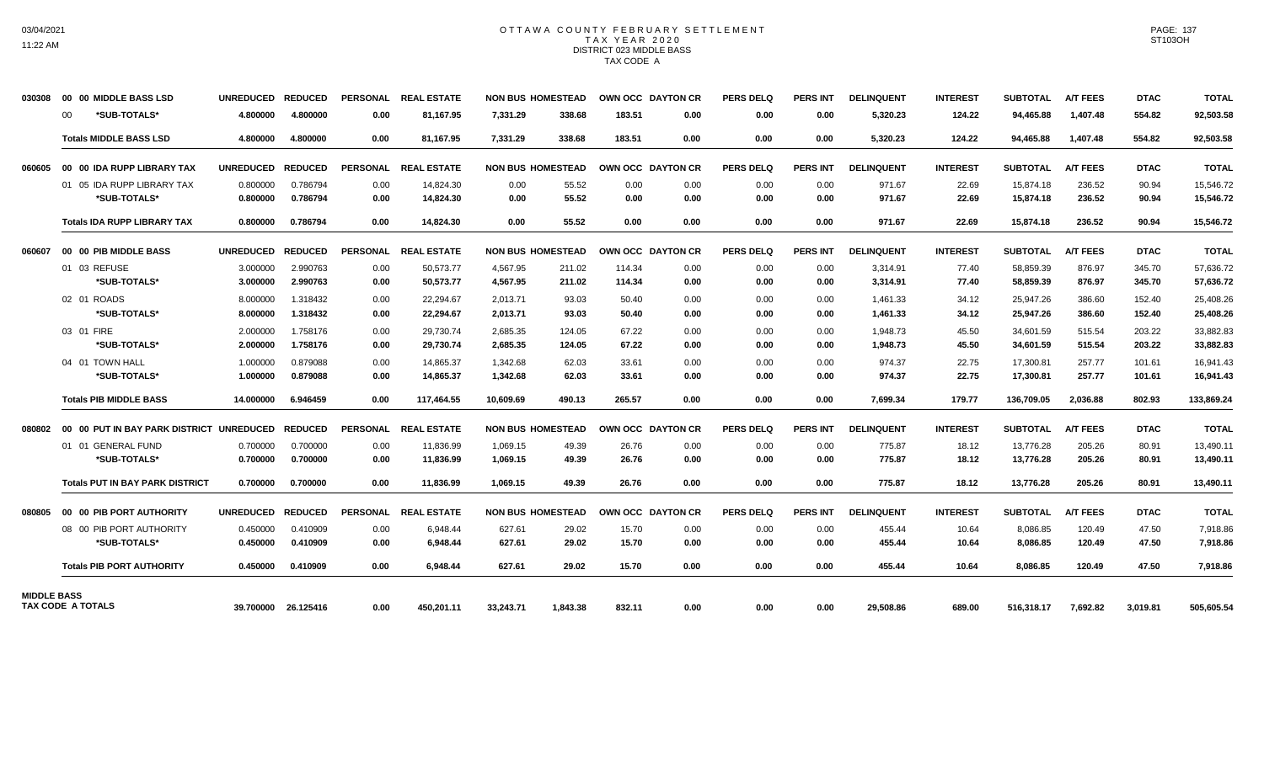## OTTAWA COUNTY FEBRUARY SETTLEMENT TAX YEAR 2020 DISTRICT 023 MIDDLE BASS TAX CODE A

| 030308             |         | 00 00 MIDDLE BASS LSD                    | UNREDUCED REDUCED |                | <b>PERSONAL</b> | <b>REAL ESTATE</b>   |           | <b>NON BUS HOMESTEAD</b> |        | OWN OCC DAYTON CR | <b>PERS DELQ</b> | <b>PERS INT</b> | <b>DELINQUENT</b> | <b>INTEREST</b> | <b>SUBTOTAL</b> | <b>A/T FEES</b> | <b>DTAC</b> | <b>TOTAL</b> |
|--------------------|---------|------------------------------------------|-------------------|----------------|-----------------|----------------------|-----------|--------------------------|--------|-------------------|------------------|-----------------|-------------------|-----------------|-----------------|-----------------|-------------|--------------|
|                    | $00 \,$ | *SUB-TOTALS*                             | 4.800000          | 4.800000       | 0.00            | 81,167.95            | 7,331.29  | 338.68                   | 183.51 | 0.00              | 0.00             | 0.00            | 5,320.23          | 124.22          | 94,465.88       | 1,407.48        | 554.82      | 92,503.58    |
|                    |         | <b>Totals MIDDLE BASS LSD</b>            | 4.800000          | 4.800000       | 0.00            | 81,167.95            | 7,331.29  | 338.68                   | 183.51 | 0.00              | 0.00             | 0.00            | 5,320.23          | 124.22          | 94,465.88       | 1,407.48        | 554.82      | 92,503.58    |
| 060605             |         | 00 00 IDA RUPP LIBRARY TAX               | <b>UNREDUCED</b>  | <b>REDUCED</b> | <b>PERSONAL</b> | <b>REAL ESTATE</b>   |           | <b>NON BUS HOMESTEAD</b> |        | OWN OCC DAYTON CR | <b>PERS DELQ</b> | <b>PERS INT</b> | <b>DELINQUENT</b> | <b>INTEREST</b> | <b>SUBTOTAL</b> | <b>A/T FEES</b> | <b>DTAC</b> | <b>TOTAL</b> |
|                    |         | 01 05 IDA RUPP LIBRARY TAX               | 0.800000          | 0.786794       | 0.00            | 14,824.30            | 0.00      | 55.52                    | 0.00   | 0.00              | 0.00             | 0.00            | 971.67            | 22.69           | 15,874.18       | 236.52          | 90.94       | 15,546.72    |
|                    |         | *SUB-TOTALS*                             | 0.800000          | 0.786794       | 0.00            | 14,824.30            | 0.00      | 55.52                    | 0.00   | 0.00              | 0.00             | 0.00            | 971.67            | 22.69           | 15,874.18       | 236.52          | 90.94       | 15,546.72    |
|                    |         | <b>Totals IDA RUPP LIBRARY TAX</b>       | 0.800000          | 0.786794       | 0.00            | 14.824.30            | 0.00      | 55.52                    | 0.00   | 0.00              | 0.00             | 0.00            | 971.67            | 22.69           | 15,874.18       | 236.52          | 90.94       | 15,546.72    |
| 060607             |         | 00 00 PIB MIDDLE BASS                    | <b>UNREDUCED</b>  | <b>REDUCED</b> | <b>PERSONAL</b> | <b>REAL ESTATE</b>   |           | <b>NON BUS HOMESTEAD</b> |        | OWN OCC DAYTON CR | <b>PERS DELQ</b> | <b>PERS INT</b> | <b>DELINQUENT</b> | <b>INTEREST</b> | <b>SUBTOTAL</b> | <b>A/T FEES</b> | <b>DTAC</b> | <b>TOTAL</b> |
|                    |         | 01 03 REFUSE                             | 3.000000          | 2.990763       | 0.00            | 50.573.77            | 4,567.95  | 211.02                   | 114.34 | 0.00              | 0.00             | 0.00            | 3,314.91          | 77.40           | 58,859.39       | 876.97          | 345.70      | 57,636.72    |
|                    |         | *SUB-TOTALS*                             | 3.000000          | 2.990763       | 0.00            | 50,573.77            | 4,567.95  | 211.02                   | 114.34 | 0.00              | 0.00             | 0.00            | 3,314.91          | 77.40           | 58,859.39       | 876.97          | 345.70      | 57,636.72    |
|                    |         | 02 01 ROADS                              | 8.000000          | 1.318432       | 0.00            | 22,294.67            | 2,013.71  | 93.03                    | 50.40  | 0.00              | 0.00             | 0.00            | 1,461.33          | 34.12           | 25,947.26       | 386.60          | 152.40      | 25,408.26    |
|                    |         | *SUB-TOTALS*                             | 8.000000          | 1.318432       | 0.00            | 22,294.67            | 2,013.71  | 93.03                    | 50.40  | 0.00              | 0.00             | 0.00            | 1,461.33          | 34.12           | 25,947.26       | 386.60          | 152.40      | 25,408.26    |
|                    |         | 03 01 FIRE                               | 2.000000          | 1.758176       | 0.00            | 29,730.74            | 2,685.35  | 124.05                   | 67.22  | 0.00              | 0.00             | 0.00            | 1,948.73          | 45.50           | 34,601.59       | 515.54          | 203.22      | 33,882.83    |
|                    |         | *SUB-TOTALS*                             | 2.000000          | 1.758176       | 0.00            | 29,730.74            | 2,685.35  | 124.05                   | 67.22  | 0.00              | 0.00             | 0.00            | 1,948.73          | 45.50           | 34,601.59       | 515.54          | 203.22      | 33,882.83    |
|                    |         | 04 01 TOWN HALL                          | 1.000000          | 0.879088       | 0.00            | 14,865.37            | 1,342.68  | 62.03                    | 33.61  | 0.00              | 0.00             | 0.00            | 974.37            | 22.75           | 17,300.81       | 257.77          | 101.61      | 16,941.43    |
|                    |         | *SUB-TOTALS*                             | 1.000000          | 0.879088       | 0.00            | 14,865.37            | 1,342.68  | 62.03                    | 33.61  | 0.00              | 0.00             | 0.00            | 974.37            | 22.75           | 17,300.81       | 257.77          | 101.61      | 16,941.43    |
|                    |         | <b>Totals PIB MIDDLE BASS</b>            | 14.000000         | 6.946459       | 0.00            | 117.464.55           | 10.609.69 | 490.13                   | 265.57 | 0.00              | 0.00             | 0.00            | 7,699.34          | 179.77          | 136,709.05      | 2.036.88        | 802.93      | 133,869.24   |
| 080802             |         | 00 00 PUT IN BAY PARK DISTRICT UNREDUCED |                   | <b>REDUCED</b> |                 | PERSONAL REAL ESTATE |           | <b>NON BUS HOMESTEAD</b> |        | OWN OCC DAYTON CR | <b>PERS DELQ</b> | <b>PERS INT</b> | <b>DELINQUENT</b> | <b>INTEREST</b> | <b>SUBTOTAL</b> | <b>A/T FEES</b> | <b>DTAC</b> | <b>TOTAL</b> |
|                    |         | 01 01 GENERAL FUND                       | 0.700000          | 0.700000       | 0.00            | 11,836.99            | 1,069.15  | 49.39                    | 26.76  | 0.00              | 0.00             | 0.00            | 775.87            | 18.12           | 13,776.28       | 205.26          | 80.91       | 13,490.11    |
|                    |         | *SUB-TOTALS*                             | 0.700000          | 0.700000       | 0.00            | 11,836.99            | 1,069.15  | 49.39                    | 26.76  | 0.00              | 0.00             | 0.00            | 775.87            | 18.12           | 13,776.28       | 205.26          | 80.91       | 13,490.11    |
|                    |         | <b>Totals PUT IN BAY PARK DISTRICT</b>   | 0.700000          | 0.700000       | 0.00            | 11,836.99            | 1,069.15  | 49.39                    | 26.76  | 0.00              | 0.00             | 0.00            | 775.87            | 18.12           | 13,776.28       | 205.26          | 80.91       | 13,490.11    |
| 080805             |         | 00 00 PIB PORT AUTHORITY                 | <b>UNREDUCED</b>  | <b>REDUCED</b> |                 | PERSONAL REAL ESTATE |           | <b>NON BUS HOMESTEAD</b> |        | OWN OCC DAYTON CR | <b>PERS DELQ</b> | <b>PERS INT</b> | <b>DELINQUENT</b> | <b>INTEREST</b> | <b>SUBTOTAL</b> | <b>A/T FEES</b> | <b>DTAC</b> | <b>TOTAL</b> |
|                    |         | 08 00 PIB PORT AUTHORITY                 | 0.450000          | 0.410909       | 0.00            | 6,948.44             | 627.61    | 29.02                    | 15.70  | 0.00              | 0.00             | 0.00            | 455.44            | 10.64           | 8,086.85        | 120.49          | 47.50       | 7,918.86     |
|                    |         | *SUB-TOTALS*                             | 0.450000          | 0.410909       | 0.00            | 6.948.44             | 627.61    | 29.02                    | 15.70  | 0.00              | 0.00             | 0.00            | 455.44            | 10.64           | 8,086.85        | 120.49          | 47.50       | 7,918.86     |
|                    |         | <b>Totals PIB PORT AUTHORITY</b>         | 0.450000          | 0.410909       | 0.00            | 6,948.44             | 627.61    | 29.02                    | 15.70  | 0.00              | 0.00             | 0.00            | 455.44            | 10.64           | 8,086.85        | 120.49          | 47.50       | 7,918.86     |
| <b>MIDDLE BASS</b> |         |                                          |                   |                |                 |                      |           |                          |        |                   |                  |                 |                   |                 |                 |                 |             |              |
|                    |         | TAX CODE A TOTALS                        | 39.700000         | 26.125416      | 0.00            | 450,201.11           | 33,243.71 | 1,843.38                 | 832.11 | 0.00              | 0.00             | 0.00            | 29,508.86         | 689.00          | 516,318.17      | 7,692.82        | 3,019.81    | 505,605.54   |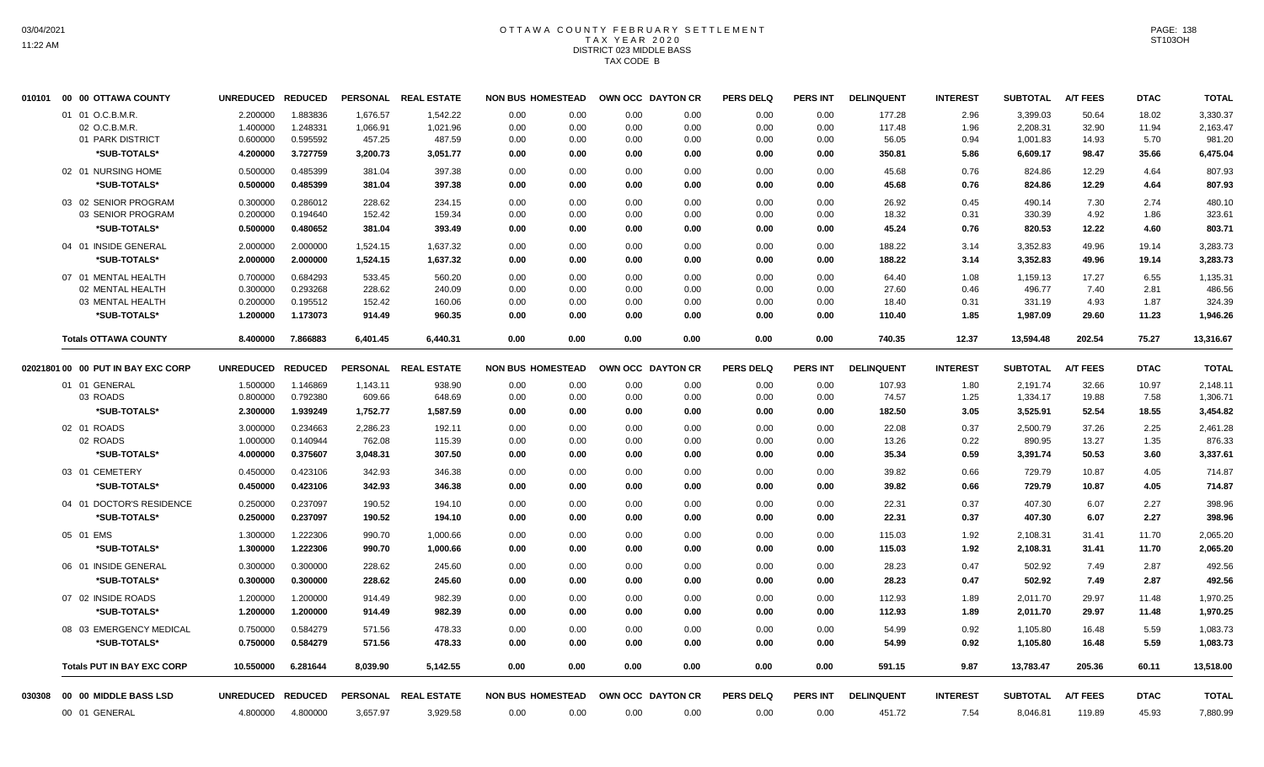# OTTAWA COUNTY FEBRUARY SETTLEMENT TAX YEAR 2020 DISTRICT 023 MIDDLE BASS TAX CODE B

| 010101 | 00 00 OTTAWA COUNTY                     | <b>UNREDUCED</b>     | <b>REDUCED</b>       | <b>PERSONAL</b>  | <b>REAL ESTATE</b>   | <b>NON BUS HOMESTEAD</b> |              |              | OWN OCC DAYTON CR | <b>PERS DELQ</b> | PERS INT        | <b>DELINQUENT</b> | <b>INTEREST</b> | <b>SUBTOTAL</b>      | <b>A/T FEES</b> | <b>DTAC</b>  | <b>TOTAL</b>         |
|--------|-----------------------------------------|----------------------|----------------------|------------------|----------------------|--------------------------|--------------|--------------|-------------------|------------------|-----------------|-------------------|-----------------|----------------------|-----------------|--------------|----------------------|
|        | 01 01 O.C.B.M.R.                        | 2.200000             | 1.883836             | 1.676.57         | 1,542.22             | 0.00                     | 0.00         | 0.00         | 0.00              | 0.00             | 0.00            | 177.28            | 2.96            | 3.399.03             | 50.64           | 18.02        | 3,330.37             |
|        | 02 O.C.B.M.R.                           | 1.400000             | 1.248331             | 1,066.91         | 1,021.96             | 0.00                     | 0.00         | 0.00         | 0.00              | 0.00             | 0.00            | 117.48            | 1.96            | 2,208.31             | 32.90           | 11.94        | 2,163.47             |
|        | 01 PARK DISTRICT                        | 0.600000             | 0.595592             | 457.25           | 487.59               | 0.00                     | 0.00         | 0.00         | 0.00              | 0.00             | 0.00            | 56.05             | 0.94            | 1,001.83             | 14.93           | 5.70         | 981.20               |
|        | *SUB-TOTALS*                            | 4.200000             | 3.727759             | 3,200.73         | 3,051.77             | 0.00                     | 0.00         | 0.00         | 0.00              | 0.00             | 0.00            | 350.81            | 5.86            | 6,609.17             | 98.47           | 35.66        | 6,475.04             |
|        | 02 01 NURSING HOME                      | 0.500000             | 0.485399             | 381.04           | 397.38               | 0.00                     | 0.00         | 0.00         | 0.00              | 0.00             | 0.00            | 45.68             | 0.76            | 824.86               | 12.29           | 4.64         | 807.93               |
|        | *SUB-TOTALS*                            | 0.500000             | 0.485399             | 381.04           | 397.38               | 0.00                     | 0.00         | 0.00         | 0.00              | 0.00             | 0.00            | 45.68             | 0.76            | 824.86               | 12.29           | 4.64         | 807.93               |
|        | 03 02 SENIOR PROGRAM                    | 0.300000             | 0.286012             | 228.62           | 234.15               | 0.00                     | 0.00         | 0.00         | 0.00              | 0.00             | 0.00            | 26.92             | 0.45            | 490.14               | 7.30            | 2.74         | 480.10               |
|        | 03 SENIOR PROGRAM                       | 0.200000             | 0.194640             | 152.42           | 159.34               | 0.00                     | 0.00         | 0.00         | 0.00              | 0.00             | 0.00            | 18.32             | 0.31            | 330.39               | 4.92            | 1.86         | 323.61               |
|        | *SUB-TOTALS*                            | 0.500000             | 0.480652             | 381.04           | 393.49               | 0.00                     | 0.00         | 0.00         | 0.00              | 0.00             | 0.00            | 45.24             | 0.76            | 820.53               | 12.22           | 4.60         | 803.71               |
|        | 04 01 INSIDE GENERAL                    | 2.000000             | 2.000000             | 1,524.15         | 1,637.32             | 0.00                     | 0.00         | 0.00         | 0.00              | 0.00             | 0.00            | 188.22            | 3.14            | 3,352.83             | 49.96           | 19.14        | 3,283.73             |
|        | *SUB-TOTALS*                            | 2.000000             | 2.000000             | 1,524.15         | 1,637.32             | 0.00                     | 0.00         | 0.00         | 0.00              | 0.00             | 0.00            | 188.22            | 3.14            | 3,352.83             | 49.96           | 19.14        | 3,283.73             |
|        | 07 01 MENTAL HEALTH                     | 0.700000             | 0.684293             | 533.45           | 560.20               | 0.00                     | 0.00         | 0.00         | 0.00              | 0.00             | 0.00            | 64.40             | 1.08            | 1,159.13             | 17.27           | 6.55         | 1,135.31             |
|        | 02 MENTAL HEALTH                        | 0.300000             | 0.293268             | 228.62           | 240.09               | 0.00                     | 0.00         | 0.00         | 0.00              | 0.00             | 0.00            | 27.60             | 0.46            | 496.77               | 7.40            | 2.81         | 486.56               |
|        | 03 MENTAL HEALTH                        | 0.200000             | 0.195512             | 152.42           | 160.06               | 0.00                     | 0.00         | 0.00         | 0.00              | 0.00             | 0.00            | 18.40             | 0.31            | 331.19               | 4.93            | 1.87         | 324.39               |
|        | *SUB-TOTALS*                            | 1.200000             | 1.173073             | 914.49           | 960.35               | 0.00                     | 0.00         | 0.00         | 0.00              | 0.00             | 0.00            | 110.40            | 1.85            | 1,987.09             | 29.60           | 11.23        | 1,946.26             |
|        | <b>Totals OTTAWA COUNTY</b>             | 8.400000             | 7.866883             | 6,401.45         | 6,440.31             | 0.00                     | 0.00         | 0.00         | 0.00              | 0.00             | 0.00            | 740.35            | 12.37           | 13,594.48            | 202.54          | 75.27        | 13,316.67            |
|        | 02021801 00 00 PUT IN BAY EXC CORP      | <b>UNREDUCED</b>     | <b>REDUCED</b>       | <b>PERSONAL</b>  | <b>REAL ESTATE</b>   | <b>NON BUS HOMESTEAD</b> |              |              | OWN OCC DAYTON CR | <b>PERS DELQ</b> | <b>PERS INT</b> | <b>DELINQUENT</b> | <b>INTEREST</b> | <b>SUBTOTAL</b>      | <b>A/T FEES</b> | <b>DTAC</b>  | <b>TOTAL</b>         |
|        | 01 01 GENERAL                           | 1.500000             | 1.146869             | 1,143.11         | 938.90               | 0.00                     | 0.00         | 0.00         | 0.00              | 0.00             | 0.00            | 107.93            | 1.80            | 2,191.74             | 32.66           | 10.97        | 2,148.11             |
|        | 03 ROADS                                | 0.800000             | 0.792380             | 609.66           | 648.69               | 0.00                     | 0.00         | 0.00         | 0.00              | 0.00             | 0.00            | 74.57             | 1.25            | 1,334.17             | 19.88           | 7.58         | 1,306.71             |
|        | *SUB-TOTALS*                            | 2.300000             | 1.939249             | 1,752.77         | 1,587.59             | 0.00                     | 0.00         | 0.00         | 0.00              | 0.00             | 0.00            | 182.50            | 3.05            | 3,525.91             | 52.54           | 18.55        | 3,454.82             |
|        | 02 01 ROADS                             | 3.000000             | 0.234663             | 2,286.23         | 192.11               | 0.00                     | 0.00         | 0.00         | 0.00              | 0.00             | 0.00            | 22.08             | 0.37            | 2,500.79             | 37.26           | 2.25         | 2,461.28             |
|        | 02 ROADS                                | 1.000000             | 0.140944             | 762.08           | 115.39               | 0.00                     | 0.00         | 0.00         | 0.00              | 0.00             | 0.00            | 13.26             | 0.22            | 890.95               | 13.27           | 1.35         | 876.33               |
|        | *SUB-TOTALS*                            | 4.000000             | 0.375607             | 3,048.31         | 307.50               | 0.00                     | 0.00         | 0.00         | 0.00              | 0.00             | 0.00            | 35.34             | 0.59            | 3,391.74             | 50.53           | 3.60         | 3,337.61             |
|        | 03 01 CEMETERY                          | 0.450000             | 0.423106             | 342.93           | 346.38               | 0.00                     | 0.00         | 0.00         | 0.00              | 0.00             | 0.00            | 39.82             | 0.66            | 729.79               | 10.87           | 4.05         | 714.87               |
|        | *SUB-TOTALS*                            | 0.450000             | 0.423106             | 342.93           | 346.38               | 0.00                     | 0.00         | 0.00         | 0.00              | 0.00             | 0.00            | 39.82             | 0.66            | 729.79               | 10.87           | 4.05         | 714.87               |
|        | 04 01 DOCTOR'S RESIDENCE                | 0.250000             | 0.237097             | 190.52           | 194.10               | 0.00                     | 0.00         | 0.00         | 0.00              | 0.00             | 0.00            | 22.31             | 0.37            | 407.30               | 6.07            | 2.27         | 398.96               |
|        | *SUB-TOTALS*                            | 0.250000             | 0.237097             | 190.52           | 194.10               | 0.00                     | 0.00         | 0.00         | 0.00              | 0.00             | 0.00            | 22.31             | 0.37            | 407.30               | 6.07            | 2.27         | 398.96               |
|        | 05 01 EMS                               | 1.300000             | 1.222306             | 990.70           | 1,000.66             | 0.00                     | 0.00         | 0.00         | 0.00              | 0.00             | 0.00            | 115.03            | 1.92            | 2,108.31             | 31.41           | 11.70        | 2,065.20             |
|        | *SUB-TOTALS*                            | 1.300000             | 1.222306             | 990.70           | 1,000.66             | 0.00                     | 0.00         | 0.00         | 0.00              | 0.00             | 0.00            | 115.03            | 1.92            | 2,108.31             | 31.41           | 11.70        | 2,065.20             |
|        | 06 01 INSIDE GENERAL                    | 0.300000             | 0.300000             | 228.62           | 245.60               | 0.00                     | 0.00         | 0.00         | 0.00              | 0.00             | 0.00            | 28.23             | 0.47            | 502.92               | 7.49            | 2.87         | 492.56               |
|        | *SUB-TOTALS*                            | 0.300000             | 0.300000             | 228.62           | 245.60               | 0.00                     | 0.00         | 0.00         | 0.00              | 0.00             | 0.00            | 28.23             | 0.47            | 502.92               | 7.49            | 2.87         | 492.56               |
|        | 07 02 INSIDE ROADS                      | 1.200000             | 1.200000             | 914.49           | 982.39               | 0.00                     | 0.00         | 0.00         | 0.00              | 0.00             | 0.00            | 112.93            | 1.89            | 2,011.70             | 29.97           | 11.48        | 1,970.25             |
|        | *SUB-TOTALS*                            | 1.200000             | 1.200000             | 914.49           | 982.39               | 0.00                     | 0.00         | 0.00         | 0.00              | 0.00             | 0.00            | 112.93            | 1.89            | 2,011.70             | 29.97           | 11.48        | 1,970.25             |
|        |                                         |                      |                      |                  |                      |                          |              |              |                   |                  |                 |                   |                 |                      |                 |              |                      |
|        | 08 03 EMERGENCY MEDICAL<br>*SUB-TOTALS* | 0.750000<br>0.750000 | 0.584279<br>0.584279 | 571.56<br>571.56 | 478.33<br>478.33     | 0.00<br>0.00             | 0.00<br>0.00 | 0.00<br>0.00 | 0.00<br>0.00      | 0.00<br>0.00     | 0.00<br>0.00    | 54.99<br>54.99    | 0.92<br>0.92    | 1,105.80<br>1,105.80 | 16.48<br>16.48  | 5.59<br>5.59 | 1,083.73<br>1,083.73 |
|        |                                         |                      |                      |                  |                      |                          |              |              |                   |                  |                 |                   |                 |                      |                 |              |                      |
|        | <b>Totals PUT IN BAY EXC CORP</b>       | 10.550000            | 6.281644             | 8.039.90         | 5,142.55             | 0.00                     | 0.00         | 0.00         | 0.00              | 0.00             | 0.00            | 591.15            | 9.87            | 13,783.47            | 205.36          | 60.11        | 13,518.00            |
| 030308 | 00 00 MIDDLE BASS LSD                   | <b>UNREDUCED</b>     | <b>REDUCED</b>       |                  | PERSONAL REAL ESTATE | <b>NON BUS HOMESTEAD</b> |              |              | OWN OCC DAYTON CR | <b>PERS DELQ</b> | <b>PERS INT</b> | <b>DELINQUENT</b> | <b>INTEREST</b> | <b>SUBTOTAL</b>      | <b>A/T FEES</b> | <b>DTAC</b>  | <b>TOTAL</b>         |
|        | 00 01 GENERAL                           | 4.800000             | 4.800000             | 3,657.97         | 3,929.58             | 0.00                     | 0.00         | 0.00         | 0.00              | 0.00             | 0.00            | 451.72            | 7.54            | 8,046.81             | 119.89          | 45.93        | 7,880.99             |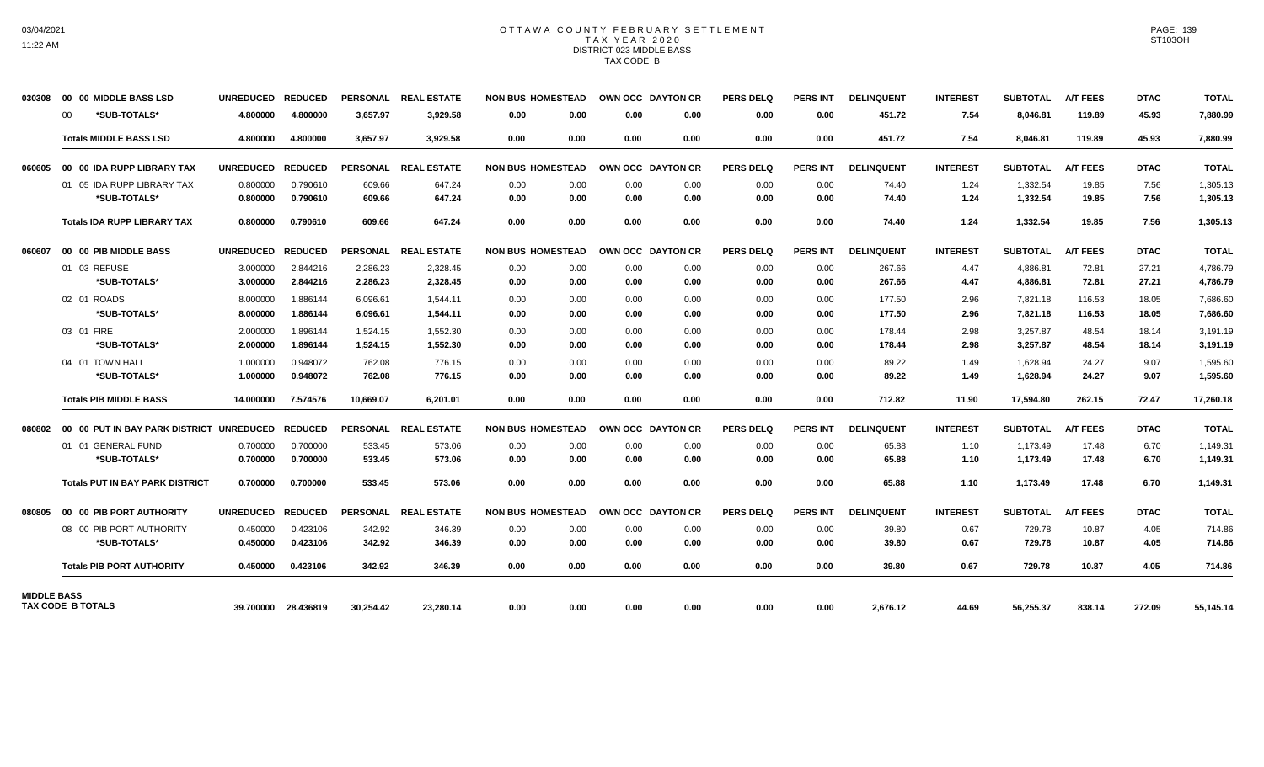### OTTAWA COUNTY FEBRUARY SETTLEMENT TAX YEAR 2020 DISTRICT 023 MIDDLE BASS TAX CODE B

| 030308             |         | 00 00 MIDDLE BASS LSD                    | UNREDUCED REDUCED |                |                 | PERSONAL REAL ESTATE |      | <b>NON BUS HOMESTEAD</b> |      | OWN OCC DAYTON CR | <b>PERS DELQ</b> | <b>PERS INT</b> | <b>DELINQUENT</b> | <b>INTEREST</b> | <b>SUBTOTAL</b> | <b>A/T FEES</b> | <b>DTAC</b> | <b>TOTAL</b> |
|--------------------|---------|------------------------------------------|-------------------|----------------|-----------------|----------------------|------|--------------------------|------|-------------------|------------------|-----------------|-------------------|-----------------|-----------------|-----------------|-------------|--------------|
|                    | $00 \,$ | *SUB-TOTALS*                             | 4.800000          | 4.800000       | 3,657.97        | 3,929.58             | 0.00 | 0.00                     | 0.00 | 0.00              | 0.00             | 0.00            | 451.72            | 7.54            | 8,046.81        | 119.89          | 45.93       | 7,880.99     |
|                    |         | <b>Totals MIDDLE BASS LSD</b>            | 4.800000          | 4.800000       | 3,657.97        | 3,929.58             | 0.00 | 0.00                     | 0.00 | 0.00              | 0.00             | 0.00            | 451.72            | 7.54            | 8,046.81        | 119.89          | 45.93       | 7,880.99     |
| 060605             |         | 00 00 IDA RUPP LIBRARY TAX               | <b>UNREDUCED</b>  | <b>REDUCED</b> | <b>PERSONAL</b> | <b>REAL ESTATE</b>   |      | <b>NON BUS HOMESTEAD</b> |      | OWN OCC DAYTON CR | <b>PERS DELQ</b> | <b>PERS INT</b> | <b>DELINQUENT</b> | <b>INTEREST</b> | <b>SUBTOTAL</b> | <b>A/T FEES</b> | <b>DTAC</b> | <b>TOTAL</b> |
|                    |         | 01 05 IDA RUPP LIBRARY TAX               | 0.800000          | 0.790610       | 609.66          | 647.24               | 0.00 | 0.00                     | 0.00 | 0.00              | 0.00             | 0.00            | 74.40             | 1.24            | 1,332.54        | 19.85           | 7.56        | 1,305.13     |
|                    |         | *SUB-TOTALS*                             | 0.800000          | 0.790610       | 609.66          | 647.24               | 0.00 | 0.00                     | 0.00 | 0.00              | 0.00             | 0.00            | 74.40             | 1.24            | 1,332.54        | 19.85           | 7.56        | 1,305.13     |
|                    |         | <b>Totals IDA RUPP LIBRARY TAX</b>       | 0.800000          | 0.790610       | 609.66          | 647.24               | 0.00 | 0.00                     | 0.00 | 0.00              | 0.00             | 0.00            | 74.40             | 1.24            | 1,332.54        | 19.85           | 7.56        | 1,305.13     |
| 060607             |         | 00 00 PIB MIDDLE BASS                    | <b>UNREDUCED</b>  | <b>REDUCED</b> |                 | PERSONAL REAL ESTATE |      | <b>NON BUS HOMESTEAD</b> |      | OWN OCC DAYTON CR | PERS DELO        | <b>PERS INT</b> | <b>DELINQUENT</b> | <b>INTEREST</b> | <b>SUBTOTAL</b> | <b>A/T FEES</b> | <b>DTAC</b> | <b>TOTAL</b> |
|                    |         | 01 03 REFUSE                             | 3.000000          | 2.844216       | 2,286.23        | 2,328.45             | 0.00 | 0.00                     | 0.00 | 0.00              | 0.00             | 0.00            | 267.66            | 4.47            | 4,886.81        | 72.81           | 27.21       | 4,786.79     |
|                    |         | *SUB-TOTALS*                             | 3.000000          | 2.844216       | 2,286.23        | 2,328.45             | 0.00 | 0.00                     | 0.00 | 0.00              | 0.00             | 0.00            | 267.66            | 4.47            | 4,886.81        | 72.81           | 27.21       | 4,786.79     |
|                    |         | 02 01 ROADS                              | 8.000000          | 1.886144       | 6,096.61        | 1,544.11             | 0.00 | 0.00                     | 0.00 | 0.00              | 0.00             | 0.00            | 177.50            | 2.96            | 7,821.18        | 116.53          | 18.05       | 7,686.60     |
|                    |         | *SUB-TOTALS*                             | 8.000000          | 1.886144       | 6,096.61        | 1,544.11             | 0.00 | 0.00                     | 0.00 | 0.00              | 0.00             | 0.00            | 177.50            | 2.96            | 7,821.18        | 116.53          | 18.05       | 7,686.60     |
|                    |         | 03 01 FIRE                               | 2.000000          | 1.896144       | 1,524.15        | 1,552.30             | 0.00 | 0.00                     | 0.00 | 0.00              | 0.00             | 0.00            | 178.44            | 2.98            | 3,257.87        | 48.54           | 18.14       | 3,191.19     |
|                    |         | *SUB-TOTALS*                             | 2.000000          | 1.896144       | 1,524.15        | 1,552.30             | 0.00 | 0.00                     | 0.00 | 0.00              | 0.00             | 0.00            | 178.44            | 2.98            | 3,257.87        | 48.54           | 18.14       | 3,191.19     |
|                    |         | 04 01 TOWN HALL                          | 1.000000          | 0.948072       | 762.08          | 776.15               | 0.00 | 0.00                     | 0.00 | 0.00              | 0.00             | 0.00            | 89.22             | 1.49            | 1,628.94        | 24.27           | 9.07        | 1,595.60     |
|                    |         | *SUB-TOTALS*                             | 1.000000          | 0.948072       | 762.08          | 776.15               | 0.00 | 0.00                     | 0.00 | 0.00              | 0.00             | 0.00            | 89.22             | 1.49            | 1,628.94        | 24.27           | 9.07        | 1,595.60     |
|                    |         | <b>Totals PIB MIDDLE BASS</b>            | 14.000000         | 7.574576       | 10.669.07       | 6,201.01             | 0.00 | 0.00                     | 0.00 | 0.00              | 0.00             | 0.00            | 712.82            | 11.90           | 17,594.80       | 262.15          | 72.47       | 17,260.18    |
| 080802             |         | 00 00 PUT IN BAY PARK DISTRICT UNREDUCED |                   | <b>REDUCED</b> |                 | PERSONAL REAL ESTATE |      | <b>NON BUS HOMESTEAD</b> |      | OWN OCC DAYTON CR | <b>PERS DELQ</b> | <b>PERS INT</b> | <b>DELINQUENT</b> | <b>INTEREST</b> | <b>SUBTOTAL</b> | <b>A/T FEES</b> | <b>DTAC</b> | <b>TOTAL</b> |
|                    |         | 01 01 GENERAL FUND                       | 0.700000          | 0.700000       | 533.45          | 573.06               | 0.00 | 0.00                     | 0.00 | 0.00              | 0.00             | 0.00            | 65.88             | 1.10            | 1,173.49        | 17.48           | 6.70        | 1,149.31     |
|                    |         | *SUB-TOTALS*                             | 0.700000          | 0.700000       | 533.45          | 573.06               | 0.00 | 0.00                     | 0.00 | 0.00              | 0.00             | 0.00            | 65.88             | 1.10            | 1,173.49        | 17.48           | 6.70        | 1,149.31     |
|                    |         | <b>Totals PUT IN BAY PARK DISTRICT</b>   | 0.700000          | 0.700000       | 533.45          | 573.06               | 0.00 | 0.00                     | 0.00 | 0.00              | 0.00             | 0.00            | 65.88             | 1.10            | 1,173.49        | 17.48           | 6.70        | 1,149.31     |
| 080805             |         | 00 00 PIB PORT AUTHORITY                 | <b>UNREDUCED</b>  | <b>REDUCED</b> |                 | PERSONAL REAL ESTATE |      | <b>NON BUS HOMESTEAD</b> |      | OWN OCC DAYTON CR | <b>PERS DELQ</b> | <b>PERS INT</b> | <b>DELINQUENT</b> | <b>INTEREST</b> | <b>SUBTOTAL</b> | <b>A/T FEES</b> | <b>DTAC</b> | <b>TOTAL</b> |
|                    |         | 08 00 PIB PORT AUTHORITY                 | 0.450000          | 0.423106       | 342.92          | 346.39               | 0.00 | 0.00                     | 0.00 | 0.00              | 0.00             | 0.00            | 39.80             | 0.67            | 729.78          | 10.87           | 4.05        | 714.86       |
|                    |         | *SUB-TOTALS*                             | 0.450000          | 0.423106       | 342.92          | 346.39               | 0.00 | 0.00                     | 0.00 | 0.00              | 0.00             | 0.00            | 39.80             | 0.67            | 729.78          | 10.87           | 4.05        | 714.86       |
|                    |         | <b>Totals PIB PORT AUTHORITY</b>         | 0.450000          | 0.423106       | 342.92          | 346.39               | 0.00 | 0.00                     | 0.00 | 0.00              | 0.00             | 0.00            | 39.80             | 0.67            | 729.78          | 10.87           | 4.05        | 714.86       |
| <b>MIDDLE BASS</b> |         |                                          |                   |                |                 |                      |      |                          |      |                   |                  |                 |                   |                 |                 |                 |             |              |
|                    |         | TAX CODE B TOTALS                        | 39.700000         | 28.436819      | 30,254.42       | 23,280.14            | 0.00 | 0.00                     | 0.00 | 0.00              | 0.00             | 0.00            | 2,676.12          | 44.69           | 56,255.37       | 838.14          | 272.09      | 55,145.14    |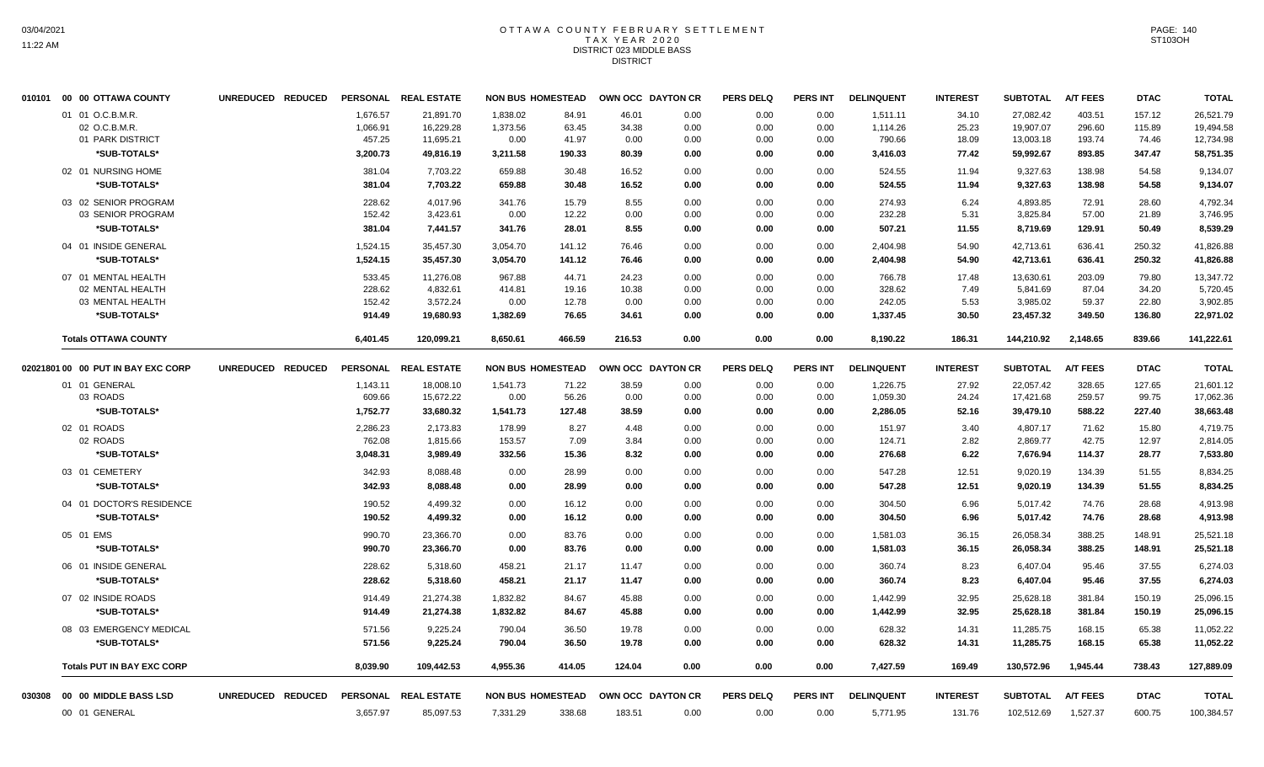## OTTAWA COUNTY FEBRUARY SETTLEMENT TAX YEAR 2020 DISTRICT 023 MIDDLE BASS **DISTRICT**

|        | 010101 00 00 OTTAWA COUNTY                            | UNREDUCED REDUCED | <b>PERSONAL</b>                | <b>REAL ESTATE</b>                  | <b>NON BUS HOMESTEAD</b>     |                         |                        | OWN OCC DAYTON CR    | <b>PERS DELQ</b>     | <b>PERS INT</b>      | <b>DELINQUENT</b>              | <b>INTEREST</b>         | <b>SUBTOTAL</b>                     | <b>A/T FEES</b>            | <b>DTAC</b>               | <b>TOTAL</b>                        |
|--------|-------------------------------------------------------|-------------------|--------------------------------|-------------------------------------|------------------------------|-------------------------|------------------------|----------------------|----------------------|----------------------|--------------------------------|-------------------------|-------------------------------------|----------------------------|---------------------------|-------------------------------------|
|        | 01 01 O.C.B.M.R.<br>02 O.C.B.M.R.<br>01 PARK DISTRICT |                   | 1.676.57<br>1,066.91<br>457.25 | 21,891.70<br>16,229.28<br>11,695.21 | 1.838.02<br>1,373.56<br>0.00 | 84.91<br>63.45<br>41.97 | 46.01<br>34.38<br>0.00 | 0.00<br>0.00<br>0.00 | 0.00<br>0.00<br>0.00 | 0.00<br>0.00<br>0.00 | 1.511.11<br>1,114.26<br>790.66 | 34.10<br>25.23<br>18.09 | 27.082.42<br>19,907.07<br>13,003.18 | 403.51<br>296.60<br>193.74 | 157.12<br>115.89<br>74.46 | 26,521.79<br>19,494.58<br>12,734.98 |
|        | *SUB-TOTALS*                                          |                   | 3,200.73                       | 49,816.19                           | 3,211.58                     | 190.33                  | 80.39                  | 0.00                 | 0.00                 | 0.00                 | 3,416.03                       | 77.42                   | 59,992.67                           | 893.85                     | 347.47                    | 58,751.35                           |
|        | 02 01 NURSING HOME<br>*SUB-TOTALS*                    |                   | 381.04<br>381.04               | 7,703.22<br>7,703.22                | 659.88<br>659.88             | 30.48<br>30.48          | 16.52<br>16.52         | 0.00<br>0.00         | 0.00<br>0.00         | 0.00<br>0.00         | 524.55<br>524.55               | 11.94<br>11.94          | 9,327.63<br>9,327.63                | 138.98<br>138.98           | 54.58<br>54.58            | 9,134.07<br>9,134.07                |
|        | 03 02 SENIOR PROGRAM<br>03 SENIOR PROGRAM             |                   | 228.62<br>152.42               | 4,017.96<br>3,423.61                | 341.76<br>0.00               | 15.79<br>12.22          | 8.55<br>0.00           | 0.00<br>0.00         | 0.00<br>0.00         | 0.00<br>0.00         | 274.93<br>232.28               | 6.24<br>5.31            | 4,893.85<br>3,825.84                | 72.91<br>57.00             | 28.60<br>21.89            | 4,792.34<br>3,746.95                |
|        | *SUB-TOTALS*                                          |                   | 381.04                         | 7,441.57                            | 341.76                       | 28.01                   | 8.55                   | 0.00                 | 0.00                 | 0.00                 | 507.21                         | 11.55                   | 8,719.69                            | 129.91                     | 50.49                     | 8,539.29                            |
|        | 04 01 INSIDE GENERAL<br>*SUB-TOTALS*                  |                   | 1,524.15<br>1,524.15           | 35,457.30<br>35,457.30              | 3,054.70<br>3,054.70         | 141.12<br>141.12        | 76.46<br>76.46         | 0.00<br>0.00         | 0.00<br>0.00         | 0.00<br>0.00         | 2,404.98<br>2,404.98           | 54.90<br>54.90          | 42,713.61<br>42,713.61              | 636.41<br>636.41           | 250.32<br>250.32          | 41,826.88<br>41,826.88              |
|        | 07 01 MENTAL HEALTH<br>02 MENTAL HEALTH               |                   | 533.45<br>228.62               | 11,276.08<br>4,832.61               | 967.88<br>414.81             | 44.71<br>19.16          | 24.23<br>10.38         | 0.00<br>0.00         | 0.00<br>0.00         | 0.00<br>0.00         | 766.78<br>328.62               | 17.48<br>7.49           | 13,630.61<br>5,841.69               | 203.09<br>87.04            | 79.80<br>34.20            | 13,347.72<br>5,720.45               |
|        | 03 MENTAL HEALTH<br>*SUB-TOTALS*                      |                   | 152.42<br>914.49               | 3,572.24<br>19,680.93               | 0.00<br>1,382.69             | 12.78<br>76.65          | 0.00<br>34.61          | 0.00<br>0.00         | 0.00<br>0.00         | 0.00<br>0.00         | 242.05<br>1,337.45             | 5.53<br>30.50           | 3,985.02<br>23,457.32               | 59.37<br>349.50            | 22.80<br>136.80           | 3,902.85<br>22,971.02               |
|        | <b>Totals OTTAWA COUNTY</b>                           |                   | 6,401.45                       | 120,099.21                          | 8,650.61                     | 466.59                  | 216.53                 | 0.00                 | 0.00                 | 0.00                 | 8,190.22                       | 186.31                  | 144,210.92                          | 2,148.65                   | 839.66                    | 141,222.61                          |
|        | 02021801 00 00 PUT IN BAY EXC CORP                    | UNREDUCED REDUCED |                                | PERSONAL REAL ESTATE                | <b>NON BUS HOMESTEAD</b>     |                         |                        | OWN OCC DAYTON CR    | <b>PERS DELQ</b>     | <b>PERS INT</b>      | <b>DELINQUENT</b>              | <b>INTEREST</b>         | <b>SUBTOTAL</b>                     | <b>A/T FEES</b>            | <b>DTAC</b>               | <b>TOTAL</b>                        |
|        | 01 01 GENERAL                                         |                   | 1,143.11                       | 18,008.10                           | 1,541.73                     | 71.22                   | 38.59                  | 0.00                 | 0.00                 | 0.00                 | 1,226.75                       | 27.92                   | 22,057.42                           | 328.65                     | 127.65                    | 21,601.12                           |
|        | 03 ROADS                                              |                   | 609.66                         | 15,672.22                           | 0.00                         | 56.26                   | 0.00                   | 0.00                 | 0.00                 | 0.00                 | 1,059.30                       | 24.24                   | 17,421.68                           | 259.57                     | 99.75                     | 17,062.36                           |
|        | *SUB-TOTALS*                                          |                   | 1,752.77                       | 33,680.32                           | 1,541.73                     | 127.48                  | 38.59                  | 0.00                 | 0.00                 | 0.00                 | 2,286.05                       | 52.16                   | 39,479.10                           | 588.22                     | 227.40                    | 38,663.48                           |
|        | 02 01 ROADS<br>02 ROADS                               |                   | 2,286.23<br>762.08             | 2,173.83<br>1,815.66                | 178.99<br>153.57             | 8.27<br>7.09            | 4.48<br>3.84           | 0.00<br>0.00         | 0.00<br>0.00         | 0.00<br>0.00         | 151.97<br>124.71               | 3.40<br>2.82            | 4,807.17<br>2,869.77                | 71.62<br>42.75             | 15.80<br>12.97            | 4,719.75<br>2,814.05                |
|        | *SUB-TOTALS*                                          |                   | 3,048.31                       | 3,989.49                            | 332.56                       | 15.36                   | 8.32                   | 0.00                 | 0.00                 | 0.00                 | 276.68                         | 6.22                    | 7,676.94                            | 114.37                     | 28.77                     | 7,533.80                            |
|        | 03 01 CEMETERY                                        |                   | 342.93                         | 8,088.48                            | 0.00                         | 28.99                   | 0.00                   | 0.00                 | 0.00                 | 0.00                 | 547.28                         | 12.51                   | 9,020.19                            | 134.39                     | 51.55                     | 8,834.25                            |
|        | *SUB-TOTALS*                                          |                   | 342.93                         | 8,088.48                            | 0.00                         | 28.99                   | 0.00                   | 0.00                 | 0.00                 | 0.00                 | 547.28                         | 12.51                   | 9,020.19                            | 134.39                     | 51.55                     | 8,834.25                            |
|        | 04 01 DOCTOR'S RESIDENCE                              |                   | 190.52                         | 4,499.32                            | 0.00                         | 16.12                   | 0.00                   | 0.00                 | 0.00                 | 0.00                 | 304.50                         | 6.96                    | 5,017.42                            | 74.76                      | 28.68                     | 4,913.98                            |
|        | *SUB-TOTALS*                                          |                   | 190.52                         | 4,499.32                            | 0.00                         | 16.12                   | 0.00                   | 0.00                 | 0.00                 | 0.00                 | 304.50                         | 6.96                    | 5,017.42                            | 74.76                      | 28.68                     | 4,913.98                            |
|        | 05 01 EMS                                             |                   | 990.70                         | 23,366.70                           | 0.00                         | 83.76                   | 0.00                   | 0.00                 | 0.00                 | 0.00                 | 1,581.03                       | 36.15                   | 26,058.34                           | 388.25                     | 148.91                    | 25,521.18                           |
|        | *SUB-TOTALS*                                          |                   | 990.70                         | 23,366.70                           | 0.00                         | 83.76                   | 0.00                   | 0.00                 | 0.00                 | 0.00                 | 1,581.03                       | 36.15                   | 26,058.34                           | 388.25                     | 148.91                    | 25,521.18                           |
|        | 06 01 INSIDE GENERAL                                  |                   | 228.62                         | 5,318.60                            | 458.21                       | 21.17                   | 11.47                  | 0.00                 | 0.00                 | 0.00                 | 360.74                         | 8.23                    | 6,407.04                            | 95.46                      | 37.55                     | 6,274.03                            |
|        | *SUB-TOTALS*                                          |                   | 228.62                         | 5,318.60                            | 458.21                       | 21.17                   | 11.47                  | 0.00                 | 0.00                 | 0.00                 | 360.74                         | 8.23                    | 6,407.04                            | 95.46                      | 37.55                     | 6,274.03                            |
|        | 07 02 INSIDE ROADS                                    |                   | 914.49                         | 21,274.38                           | 1,832.82                     | 84.67                   | 45.88                  | 0.00                 | 0.00                 | 0.00                 | 1,442.99                       | 32.95                   | 25,628.18                           | 381.84                     | 150.19                    | 25,096.15                           |
|        | *SUB-TOTALS*                                          |                   | 914.49                         | 21,274.38                           | 1,832.82                     | 84.67                   | 45.88                  | 0.00                 | 0.00                 | 0.00                 | 1,442.99                       | 32.95                   | 25,628.18                           | 381.84                     | 150.19                    | 25,096.15                           |
|        | 08 03 EMERGENCY MEDICAL<br>*SUB-TOTALS*               |                   | 571.56<br>571.56               | 9,225.24<br>9,225.24                | 790.04<br>790.04             | 36.50<br>36.50          | 19.78<br>19.78         | 0.00<br>0.00         | 0.00<br>0.00         | 0.00<br>0.00         | 628.32<br>628.32               | 14.31<br>14.31          | 11,285.75<br>11,285.75              | 168.15<br>168.15           | 65.38<br>65.38            | 11,052.22<br>11,052.22              |
|        | <b>Totals PUT IN BAY EXC CORP</b>                     |                   | 8,039.90                       | 109,442.53                          | 4,955.36                     | 414.05                  | 124.04                 | 0.00                 | 0.00                 | 0.00                 | 7,427.59                       | 169.49                  | 130,572.96                          | 1.945.44                   | 738.43                    | 127,889.09                          |
| 030308 | 00 00 MIDDLE BASS LSD                                 | UNREDUCED REDUCED |                                | PERSONAL REAL ESTATE                | <b>NON BUS HOMESTEAD</b>     |                         |                        | OWN OCC DAYTON CR    | <b>PERS DELQ</b>     | PERS INT             | <b>DELINQUENT</b>              | <b>INTEREST</b>         | <b>SUBTOTAL</b>                     | <b>A/T FEES</b>            | <b>DTAC</b>               | <b>TOTAL</b>                        |
|        | 00 01 GENERAL                                         |                   | 3,657.97                       | 85,097.53                           | 7,331.29                     | 338.68                  | 183.51                 | 0.00                 | 0.00                 | 0.00                 | 5,771.95                       | 131.76                  | 102,512.69                          | 1,527.37                   | 600.75                    | 100,384.57                          |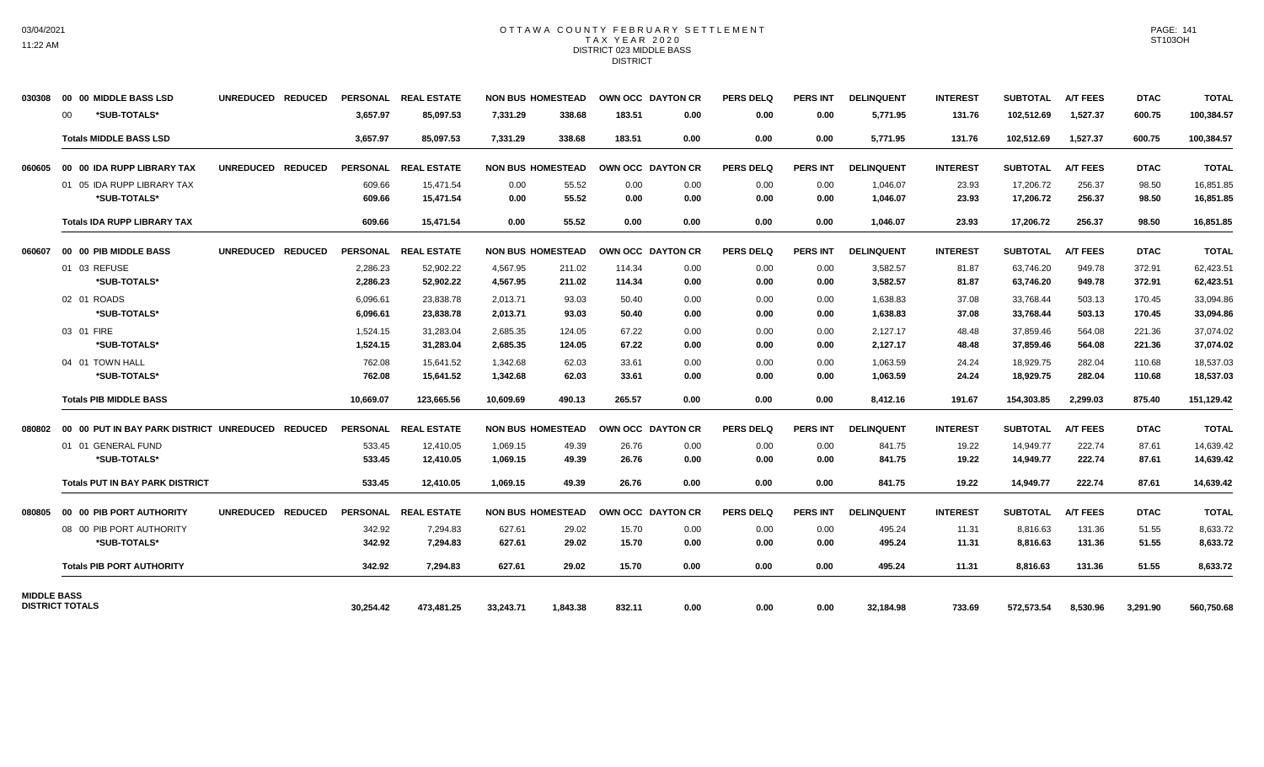### OTTAWA COUNTY FEBRUARY SETTLEMENT TAX YEAR 2020 DISTRICT 023 MIDDLE BASS **DISTRICT**

| 030308             | 00 00 MIDDLE BASS LSD                    | UNREDUCED REDUCED                  |                 | PERSONAL REAL ESTATE |           | <b>NON BUS HOMESTEAD</b> |        | OWN OCC DAYTON CR | <b>PERS DELQ</b> | <b>PERS INT</b> | <b>DELINQUENT</b> | <b>INTEREST</b> | SUBTOTAL        | <b>A/T FEES</b> | <b>DTAC</b> | <b>TOTAL</b> |
|--------------------|------------------------------------------|------------------------------------|-----------------|----------------------|-----------|--------------------------|--------|-------------------|------------------|-----------------|-------------------|-----------------|-----------------|-----------------|-------------|--------------|
|                    | *SUB-TOTALS*<br>00                       |                                    | 3.657.97        | 85.097.53            | 7,331.29  | 338.68                   | 183.51 | 0.00              | 0.00             | 0.00            | 5,771.95          | 131.76          | 102,512.69      | 1,527.37        | 600.75      | 100,384.57   |
|                    | <b>Totals MIDDLE BASS LSD</b>            |                                    | 3,657.97        | 85,097.53            | 7,331.29  | 338.68                   | 183.51 | 0.00              | 0.00             | 0.00            | 5,771.95          | 131.76          | 102,512.69      | 1,527.37        | 600.75      | 100,384.57   |
| 060605             | 00 00 IDA RUPP LIBRARY TAX               | <b>REDUCED</b><br><b>UNREDUCED</b> | <b>PERSONAL</b> | <b>REAL ESTATE</b>   |           | <b>NON BUS HOMESTEAD</b> |        | OWN OCC DAYTON CR | <b>PERS DELQ</b> | <b>PERS INT</b> | <b>DELINQUENT</b> | <b>INTEREST</b> | <b>SUBTOTAL</b> | <b>A/T FEES</b> | <b>DTAC</b> | <b>TOTAL</b> |
|                    | 01 05 IDA RUPP LIBRARY TAX               |                                    | 609.66          | 15,471.54            | 0.00      | 55.52                    | 0.00   | 0.00              | 0.00             | 0.00            | 1,046.07          | 23.93           | 17,206.72       | 256.37          | 98.50       | 16,851.85    |
|                    | *SUB-TOTALS*                             |                                    | 609.66          | 15.471.54            | 0.00      | 55.52                    | 0.00   | 0.00              | 0.00             | 0.00            | 1,046.07          | 23.93           | 17,206.72       | 256.37          | 98.50       | 16,851.85    |
|                    | <b>Totals IDA RUPP LIBRARY TAX</b>       |                                    | 609.66          | 15,471.54            | 0.00      | 55.52                    | 0.00   | 0.00              | 0.00             | 0.00            | 1,046.07          | 23.93           | 17,206.72       | 256.37          | 98.50       | 16,851.85    |
| 060607             | 00 00 PIB MIDDLE BASS                    | <b>UNREDUCED</b><br><b>REDUCED</b> |                 | PERSONAL REAL ESTATE |           | <b>NON BUS HOMESTEAD</b> |        | OWN OCC DAYTON CR | <b>PERS DELQ</b> | <b>PERS INT</b> | <b>DELINQUENT</b> | <b>INTEREST</b> | <b>SUBTOTAL</b> | <b>A/T FEES</b> | <b>DTAC</b> | <b>TOTAL</b> |
|                    | 01 03 REFUSE                             |                                    | 2,286.23        | 52,902.22            | 4,567.95  | 211.02                   | 114.34 | 0.00              | 0.00             | 0.00            | 3,582.57          | 81.87           | 63,746.20       | 949.78          | 372.91      | 62,423.51    |
|                    | *SUB-TOTALS*                             |                                    | 2,286.23        | 52,902.22            | 4,567.95  | 211.02                   | 114.34 | 0.00              | 0.00             | 0.00            | 3,582.57          | 81.87           | 63,746.20       | 949.78          | 372.91      | 62,423.51    |
|                    | 02 01 ROADS                              |                                    | 6.096.61        | 23.838.78            | 2,013.71  | 93.03                    | 50.40  | 0.00              | 0.00             | 0.00            | 1,638.83          | 37.08           | 33,768.44       | 503.13          | 170.45      | 33,094.86    |
|                    | *SUB-TOTALS*                             |                                    | 6,096.61        | 23,838.78            | 2,013.71  | 93.03                    | 50.40  | 0.00              | 0.00             | 0.00            | 1,638.83          | 37.08           | 33,768.44       | 503.13          | 170.45      | 33,094.86    |
|                    | 03 01 FIRE                               |                                    | 1,524.15        | 31,283.04            | 2,685.35  | 124.05                   | 67.22  | 0.00              | 0.00             | 0.00            | 2,127.17          | 48.48           | 37,859.46       | 564.08          | 221.36      | 37,074.02    |
|                    | *SUB-TOTALS*                             |                                    | 1,524.15        | 31,283.04            | 2,685.35  | 124.05                   | 67.22  | 0.00              | 0.00             | 0.00            | 2,127.17          | 48.48           | 37,859.46       | 564.08          | 221.36      | 37,074.02    |
|                    | 04 01 TOWN HALL                          |                                    | 762.08          | 15.641.52            | 1,342.68  | 62.03                    | 33.61  | 0.00              | 0.00             | 0.00            | 1,063.59          | 24.24           | 18,929.75       | 282.04          | 110.68      | 18,537.03    |
|                    | *SUB-TOTALS*                             |                                    | 762.08          | 15,641.52            | 1,342.68  | 62.03                    | 33.61  | 0.00              | 0.00             | 0.00            | 1,063.59          | 24.24           | 18,929.75       | 282.04          | 110.68      | 18,537.03    |
|                    | <b>Totals PIB MIDDLE BASS</b>            |                                    | 10,669.07       | 123,665.56           | 10,609.69 | 490.13                   | 265.57 | 0.00              | 0.00             | 0.00            | 8,412.16          | 191.67          | 154,303.85      | 2,299.03        | 875.40      | 151,129.42   |
| 080802             | 00 00 PUT IN BAY PARK DISTRICT UNREDUCED | <b>REDUCED</b>                     |                 | PERSONAL REAL ESTATE |           | <b>NON BUS HOMESTEAD</b> |        | OWN OCC DAYTON CR | <b>PERS DELQ</b> | PERS INT        | <b>DELINQUENT</b> | <b>INTEREST</b> | <b>SUBTOTAL</b> | <b>A/T FEES</b> | <b>DTAC</b> | <b>TOTAL</b> |
|                    | 01 01 GENERAL FUND                       |                                    | 533.45          | 12,410.05            | 1,069.15  | 49.39                    | 26.76  | 0.00              | 0.00             | 0.00            | 841.75            | 19.22           | 14,949.77       | 222.74          | 87.61       | 14,639.42    |
|                    | *SUB-TOTALS*                             |                                    | 533.45          | 12,410.05            | 1,069.15  | 49.39                    | 26.76  | 0.00              | 0.00             | 0.00            | 841.75            | 19.22           | 14,949.77       | 222.74          | 87.61       | 14,639.42    |
|                    | <b>Totals PUT IN BAY PARK DISTRICT</b>   |                                    | 533.45          | 12.410.05            | 1.069.15  | 49.39                    | 26.76  | 0.00              | 0.00             | 0.00            | 841.75            | 19.22           | 14,949.77       | 222.74          | 87.61       | 14,639.42    |
| 080805             | 00 00 PIB PORT AUTHORITY                 | <b>UNREDUCED</b><br><b>REDUCED</b> |                 | PERSONAL REAL ESTATE |           | <b>NON BUS HOMESTEAD</b> |        | OWN OCC DAYTON CR | <b>PERS DELQ</b> | <b>PERS INT</b> | <b>DELINQUENT</b> | <b>INTEREST</b> | SUBTOTAL        | <b>A/T FEES</b> | <b>DTAC</b> | <b>TOTAL</b> |
|                    | 08 00 PIB PORT AUTHORITY                 |                                    | 342.92          | 7,294.83             | 627.61    | 29.02                    | 15.70  | 0.00              | 0.00             | 0.00            | 495.24            | 11.31           | 8,816.63        | 131.36          | 51.55       | 8,633.72     |
|                    | *SUB-TOTALS*                             |                                    | 342.92          | 7,294.83             | 627.61    | 29.02                    | 15.70  | 0.00              | 0.00             | 0.00            | 495.24            | 11.31           | 8,816.63        | 131.36          | 51.55       | 8,633.72     |
|                    | <b>Totals PIB PORT AUTHORITY</b>         |                                    | 342.92          | 7.294.83             | 627.61    | 29.02                    | 15.70  | 0.00              | 0.00             | 0.00            | 495.24            | 11.31           | 8.816.63        | 131.36          | 51.55       | 8,633.72     |
| <b>MIDDLE BASS</b> |                                          |                                    |                 |                      |           |                          |        |                   |                  |                 |                   |                 |                 |                 |             |              |
|                    | <b>DISTRICT TOTALS</b>                   |                                    | 30,254.42       | 473,481.25           | 33,243.71 | 1,843.38                 | 832.11 | 0.00              | 0.00             | 0.00            | 32,184.98         | 733.69          | 572,573.54      | 8,530.96        | 3,291.90    | 560,750.68   |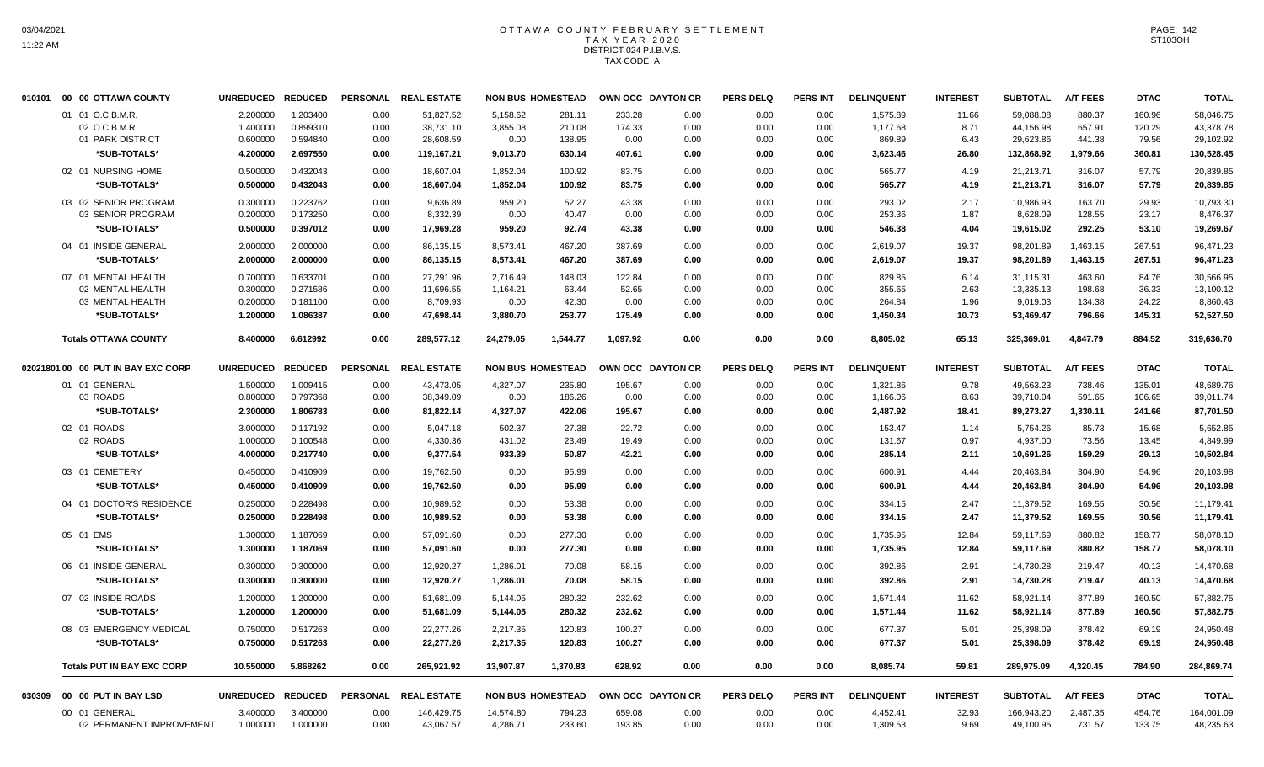## OTTAWA COUNTY FEBRUARY SETTLEMENT TAX YEAR 2020 DISTRICT 024 P.I.B.V.S. TAX CODE A

| 010101 | 00 00 OTTAWA COUNTY                | <b>UNREDUCED</b> | <b>REDUCED</b> |                 | PERSONAL REAL ESTATE | <b>NON BUS HOMESTEAD</b> |          |          | OWN OCC DAYTON CR | <b>PERS DELQ</b> | <b>PERS INT</b> | <b>DELINQUENT</b> | <b>INTEREST</b> | <b>SUBTOTAL</b> | <b>A/T FEES</b> | <b>DTAC</b> | <b>TOTAL</b> |
|--------|------------------------------------|------------------|----------------|-----------------|----------------------|--------------------------|----------|----------|-------------------|------------------|-----------------|-------------------|-----------------|-----------------|-----------------|-------------|--------------|
|        | 01 01 O.C.B.M.R.                   | 2.200000         | 1.203400       | 0.00            | 51,827.52            | 5,158.62                 | 281.11   | 233.28   | 0.00              | 0.00             | 0.00            | 1,575.89          | 11.66           | 59,088.08       | 880.37          | 160.96      | 58,046.75    |
|        | 02 O.C.B.M.R                       | 1.400000         | 0.899310       | 0.00            | 38,731.10            | 3,855.08                 | 210.08   | 174.33   | 0.00              | 0.00             | 0.00            | 1,177.68          | 8.71            | 44,156.98       | 657.91          | 120.29      | 43,378.78    |
|        | 01 PARK DISTRICT                   | 0.600000         | 0.594840       | 0.00            | 28,608.59            | 0.00                     | 138.95   | 0.00     | 0.00              | 0.00             | 0.00            | 869.89            | 6.43            | 29,623.86       | 441.38          | 79.56       | 29,102.92    |
|        | *SUB-TOTALS*                       | 4.200000         | 2.697550       | 0.00            | 119,167.21           | 9,013.70                 | 630.14   | 407.61   | 0.00              | 0.00             | 0.00            | 3,623.46          | 26.80           | 132,868.92      | 1,979.66        | 360.81      | 130,528.45   |
|        | 02 01 NURSING HOME                 | 0.500000         | 0.432043       | 0.00            | 18,607.04            | 1,852.04                 | 100.92   | 83.75    | 0.00              | 0.00             | 0.00            | 565.77            | 4.19            | 21,213.71       | 316.07          | 57.79       | 20,839.85    |
|        | *SUB-TOTALS*                       | 0.500000         | 0.432043       | 0.00            | 18,607.04            | 1,852.04                 | 100.92   | 83.75    | 0.00              | 0.00             | 0.00            | 565.77            | 4.19            | 21,213.71       | 316.07          | 57.79       | 20,839.85    |
|        | 03 02 SENIOR PROGRAM               | 0.300000         | 0.223762       | 0.00            | 9.636.89             | 959.20                   | 52.27    | 43.38    | 0.00              | 0.00             | 0.00            | 293.02            | 2.17            | 10.986.93       | 163.70          | 29.93       | 10,793.30    |
|        | 03 SENIOR PROGRAM                  | 0.200000         | 0.173250       | 0.00            | 8,332.39             | 0.00                     | 40.47    | 0.00     | 0.00              | 0.00             | 0.00            | 253.36            | 1.87            | 8,628.09        | 128.55          | 23.17       | 8,476.37     |
|        | *SUB-TOTALS*                       | 0.500000         | 0.397012       | 0.00            | 17,969.28            | 959.20                   | 92.74    | 43.38    | 0.00              | 0.00             | 0.00            | 546.38            | 4.04            | 19,615.02       | 292.25          | 53.10       | 19,269.67    |
|        | 04 01 INSIDE GENERAL               | 2.000000         | 2.000000       | 0.00            | 86,135.15            | 8,573.41                 | 467.20   | 387.69   | 0.00              | 0.00             | 0.00            | 2,619.07          | 19.37           | 98,201.89       | 1,463.15        | 267.51      | 96,471.23    |
|        | *SUB-TOTALS*                       | 2.000000         | 2.000000       | 0.00            | 86,135.15            | 8,573.41                 | 467.20   | 387.69   | 0.00              | 0.00             | 0.00            | 2,619.07          | 19.37           | 98,201.89       | 1,463.15        | 267.51      | 96,471.23    |
|        | 07 01 MENTAL HEALTH                | 0.700000         | 0.633701       | 0.00            | 27,291.96            | 2,716.49                 | 148.03   | 122.84   | 0.00              | 0.00             | 0.00            | 829.85            | 6.14            | 31,115.31       | 463.60          | 84.76       | 30,566.95    |
|        | 02 MENTAL HEALTH                   | 0.300000         | 0.271586       | 0.00            | 11,696.55            | 1,164.21                 | 63.44    | 52.65    | 0.00              | 0.00             | 0.00            | 355.65            | 2.63            | 13,335.13       | 198.68          | 36.33       | 13,100.12    |
|        | 03 MENTAL HEALTH                   | 0.200000         | 0.181100       | 0.00            | 8,709.93             | 0.00                     | 42.30    | 0.00     | 0.00              | 0.00             | 0.00            | 264.84            | 1.96            | 9,019.03        | 134.38          | 24.22       | 8,860.43     |
|        | *SUB-TOTALS*                       | 1.200000         | 1.086387       | 0.00            | 47,698.44            | 3,880.70                 | 253.77   | 175.49   | 0.00              | 0.00             | 0.00            | 1,450.34          | 10.73           | 53,469.47       | 796.66          | 145.31      | 52,527.50    |
|        | <b>Totals OTTAWA COUNTY</b>        | 8.400000         | 6.612992       | 0.00            | 289,577.12           | 24,279.05                | 1,544.77 | 1,097.92 | 0.00              | 0.00             | 0.00            | 8,805.02          | 65.13           | 325,369.01      | 4,847.79        | 884.52      | 319,636.70   |
|        | 02021801 00 00 PUT IN BAY EXC CORP | <b>UNREDUCED</b> | <b>REDUCED</b> | <b>PERSONAL</b> | <b>REAL ESTATE</b>   | <b>NON BUS HOMESTEAD</b> |          |          | OWN OCC DAYTON CR | <b>PERS DELQ</b> | <b>PERS INT</b> | <b>DELINQUENT</b> | <b>INTEREST</b> | <b>SUBTOTAL</b> | A/T FEES        | <b>DTAC</b> | <b>TOTAL</b> |
|        | 01 01 GENERAL                      | 1.500000         | 1.009415       | 0.00            | 43.473.05            | 4,327.07                 | 235.80   | 195.67   | 0.00              | 0.00             | 0.00            | 1,321.86          | 9.78            | 49.563.23       | 738.46          | 135.01      | 48,689.76    |
|        | 03 ROADS                           | 0.800000         | 0.797368       | 0.00            | 38,349.09            | 0.00                     | 186.26   | 0.00     | 0.00              | 0.00             | 0.00            | 1,166.06          | 8.63            | 39,710.04       | 591.65          | 106.65      | 39,011.74    |
|        | *SUB-TOTALS*                       | 2.300000         | 1.806783       | 0.00            | 81,822.14            | 4,327.07                 | 422.06   | 195.67   | 0.00              | 0.00             | 0.00            | 2,487.92          | 18.41           | 89,273.27       | 1,330.11        | 241.66      | 87,701.50    |
|        | 02 01 ROADS                        | 3.000000         | 0.117192       | 0.00            | 5,047.18             | 502.37                   | 27.38    | 22.72    | 0.00              | 0.00             | 0.00            | 153.47            | 1.14            | 5,754.26        | 85.73           | 15.68       | 5,652.85     |
|        | 02 ROADS                           | 1.000000         | 0.100548       | 0.00            | 4,330.36             | 431.02                   | 23.49    | 19.49    | 0.00              | 0.00             | 0.00            | 131.67            | 0.97            | 4,937.00        | 73.56           | 13.45       | 4,849.99     |
|        | *SUB-TOTALS*                       | 4.000000         | 0.217740       | 0.00            | 9,377.54             | 933.39                   | 50.87    | 42.21    | 0.00              | 0.00             | 0.00            | 285.14            | 2.11            | 10,691.26       | 159.29          | 29.13       | 10,502.84    |
|        | 03 01 CEMETERY                     | 0.450000         | 0.410909       | 0.00            | 19,762.50            | 0.00                     | 95.99    | 0.00     | 0.00              | 0.00             | 0.00            | 600.91            | 4.44            | 20,463.84       | 304.90          | 54.96       | 20,103.98    |
|        | *SUB-TOTALS*                       | 0.450000         | 0.410909       | 0.00            | 19,762.50            | 0.00                     | 95.99    | 0.00     | 0.00              | 0.00             | 0.00            | 600.91            | 4.44            | 20,463.84       | 304.90          | 54.96       | 20,103.98    |
|        | 04 01 DOCTOR'S RESIDENCE           | 0.250000         | 0.228498       | 0.00            | 10,989.52            | 0.00                     | 53.38    | 0.00     | 0.00              | 0.00             | 0.00            | 334.15            | 2.47            | 11,379.52       | 169.55          | 30.56       | 11,179.41    |
|        | *SUB-TOTALS*                       | 0.250000         | 0.228498       | 0.00            | 10,989.52            | 0.00                     | 53.38    | 0.00     | 0.00              | 0.00             | 0.00            | 334.15            | 2.47            | 11,379.52       | 169.55          | 30.56       | 11,179.41    |
|        | 05 01 EMS                          | 1.300000         | 1.187069       | 0.00            | 57,091.60            | 0.00                     | 277.30   | 0.00     | 0.00              | 0.00             | 0.00            | 1,735.95          | 12.84           | 59,117.69       | 880.82          | 158.77      | 58,078.10    |
|        | *SUB-TOTALS*                       | 1.300000         | 1.187069       | 0.00            | 57,091.60            | 0.00                     | 277.30   | 0.00     | 0.00              | 0.00             | 0.00            | 1,735.95          | 12.84           | 59,117.69       | 880.82          | 158.77      | 58,078.10    |
|        | 06 01 INSIDE GENERAL               | 0.300000         | 0.300000       | 0.00            | 12,920.27            | 1,286.01                 | 70.08    | 58.15    | 0.00              | 0.00             | 0.00            | 392.86            | 2.91            | 14,730.28       | 219.47          | 40.13       | 14,470.68    |
|        | *SUB-TOTALS*                       | 0.300000         | 0.300000       | 0.00            | 12,920.27            | 1,286.01                 | 70.08    | 58.15    | 0.00              | 0.00             | 0.00            | 392.86            | 2.91            | 14,730.28       | 219.47          | 40.13       | 14,470.68    |
|        | 07 02 INSIDE ROADS                 | 1.200000         | 1.200000       | 0.00            | 51.681.09            | 5,144.05                 | 280.32   | 232.62   | 0.00              | 0.00             | 0.00            | 1.571.44          | 11.62           | 58,921.14       | 877.89          | 160.50      | 57,882.75    |
|        | *SUB-TOTALS*                       | 1.200000         | 1.200000       | 0.00            | 51,681.09            | 5,144.05                 | 280.32   | 232.62   | 0.00              | 0.00             | 0.00            | 1,571.44          | 11.62           | 58,921.14       | 877.89          | 160.50      | 57,882.75    |
|        | 08 03 EMERGENCY MEDICAL            | 0.750000         | 0.517263       | 0.00            | 22,277.26            | 2,217.35                 | 120.83   | 100.27   | 0.00              | 0.00             | 0.00            | 677.37            | 5.01            | 25,398.09       | 378.42          | 69.19       | 24,950.48    |
|        | *SUB-TOTALS*                       | 0.750000         | 0.517263       | 0.00            | 22,277.26            | 2,217.35                 | 120.83   | 100.27   | 0.00              | 0.00             | 0.00            | 677.37            | 5.01            | 25,398.09       | 378.42          | 69.19       | 24,950.48    |
|        | <b>Totals PUT IN BAY EXC CORP</b>  | 10.550000        | 5.868262       | 0.00            | 265,921.92           | 13,907.87                | 1,370.83 | 628.92   | 0.00              | 0.00             | 0.00            | 8,085.74          | 59.81           | 289,975.09      | 4,320.45        | 784.90      | 284,869.74   |
| 030309 | 00 00 PUT IN BAY LSD               | <b>UNREDUCED</b> | <b>REDUCED</b> | <b>PERSONAL</b> | <b>REAL ESTATE</b>   | <b>NON BUS HOMESTEAD</b> |          |          | OWN OCC DAYTON CR | <b>PERS DELQ</b> | <b>PERS INT</b> | <b>DELINQUENT</b> | <b>INTEREST</b> | <b>SUBTOTAL</b> | <b>A/T FEES</b> | <b>DTAC</b> | <b>TOTAL</b> |
|        | 00 01 GENERAL                      | 3.400000         | 3.400000       | 0.00            | 146,429.75           | 14,574.80                | 794.23   | 659.08   | 0.00              | 0.00             | 0.00            | 4,452.41          | 32.93           | 166,943.20      | 2,487.35        | 454.76      | 164,001.09   |
|        | 02 PERMANENT IMPROVEMENT           | 1.000000         | 1.000000       | 0.00            | 43,067.57            | 4,286.71                 | 233.60   | 193.85   | 0.00              | 0.00             | 0.00            | 1,309.53          | 9.69            | 49,100.95       | 731.57          | 133.75      | 48,235.63    |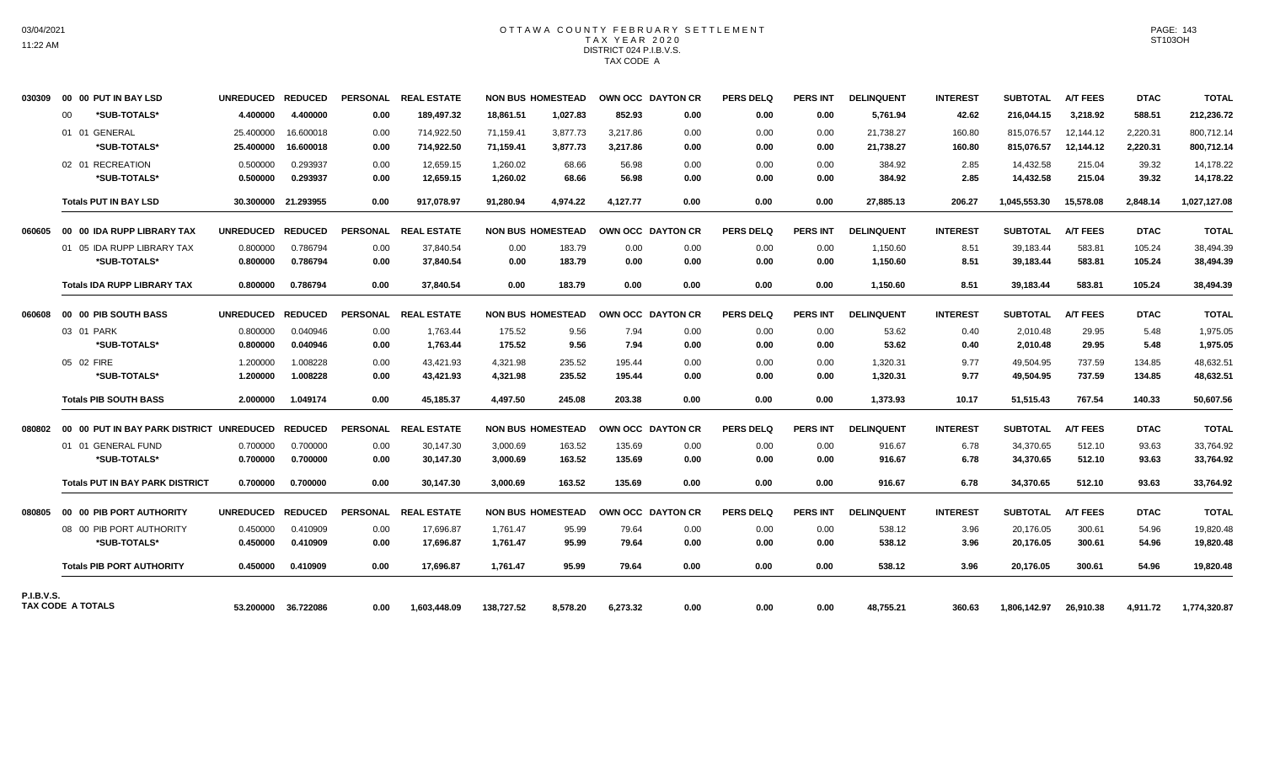## OTTAWA COUNTY FEBRUARY SETTLEMENT TAX YEAR 2020 DISTRICT 024 P.I.B.V.S. TAX CODE A

| 030309            |    | 00 00 PUT IN BAY LSD                                    | UNREDUCED REDUCED |                |                 | PERSONAL REAL ESTATE |            | <b>NON BUS HOMESTEAD</b> |          | OWN OCC DAYTON CR | <b>PERS DELQ</b> | <b>PERS INT</b> | <b>DELINQUENT</b> | <b>INTEREST</b> | <b>SUBTOTAL</b> | <b>A/T FEES</b> | <b>DTAC</b> | <b>TOTAL</b> |
|-------------------|----|---------------------------------------------------------|-------------------|----------------|-----------------|----------------------|------------|--------------------------|----------|-------------------|------------------|-----------------|-------------------|-----------------|-----------------|-----------------|-------------|--------------|
|                   | 00 | *SUB-TOTALS*                                            | 4.400000          | 4.400000       | 0.00            | 189,497.32           | 18.861.51  | 1.027.83                 | 852.93   | 0.00              | 0.00             | 0.00            | 5,761.94          | 42.62           | 216,044.15      | 3,218.92        | 588.51      | 212,236.72   |
|                   |    | 01 01 GENERAL                                           | 25.400000         | 16.600018      | 0.00            | 714,922.50           | 71,159.41  | 3,877.73                 | 3,217.86 | 0.00              | 0.00             | 0.00            | 21,738.27         | 160.80          | 815,076.57      | 12,144.12       | 2,220.31    | 800,712.14   |
|                   |    | *SUB-TOTALS*                                            | 25.400000         | 16.600018      | 0.00            | 714,922.50           | 71,159.41  | 3,877.73                 | 3,217.86 | 0.00              | 0.00             | 0.00            | 21,738.27         | 160.80          | 815,076.57      | 12,144.12       | 2,220.31    | 800,712.14   |
|                   |    | 02 01 RECREATION                                        | 0.500000          | 0.293937       | 0.00            | 12,659.15            | 1,260.02   | 68.66                    | 56.98    | 0.00              | 0.00             | 0.00            | 384.92            | 2.85            | 14,432.58       | 215.04          | 39.32       | 14,178.22    |
|                   |    | *SUB-TOTALS*                                            | 0.500000          | 0.293937       | 0.00            | 12,659.15            | 1,260.02   | 68.66                    | 56.98    | 0.00              | 0.00             | 0.00            | 384.92            | 2.85            | 14,432.58       | 215.04          | 39.32       | 14,178.22    |
|                   |    | <b>Totals PUT IN BAY LSD</b>                            | 30.300000         | 21.293955      | 0.00            | 917,078.97           | 91.280.94  | 4,974.22                 | 4.127.77 | 0.00              | 0.00             | 0.00            | 27,885.13         | 206.27          | 1,045,553.30    | 15,578.08       | 2.848.14    | 1,027,127.08 |
|                   |    | 060605 00 00 IDA RUPP LIBRARY TAX                       | UNREDUCED REDUCED |                | <b>PERSONAL</b> | <b>REAL ESTATE</b>   |            | <b>NON BUS HOMESTEAD</b> |          | OWN OCC DAYTON CR | <b>PERS DELQ</b> | <b>PERS INT</b> | <b>DELINQUENT</b> | <b>INTEREST</b> | <b>SUBTOTAL</b> | <b>A/T FEES</b> | <b>DTAC</b> | <b>TOTAL</b> |
|                   |    | 01 05 IDA RUPP LIBRARY TAX                              | 0.800000          | 0.786794       | 0.00            | 37.840.54            | 0.00       | 183.79                   | 0.00     | 0.00              | 0.00             | 0.00            | 1,150.60          | 8.51            | 39,183.44       | 583.81          | 105.24      | 38,494.39    |
|                   |    | *SUB-TOTALS*                                            | 0.800000          | 0.786794       | 0.00            | 37,840.54            | 0.00       | 183.79                   | 0.00     | 0.00              | 0.00             | 0.00            | 1,150.60          | 8.51            | 39,183.44       | 583.81          | 105.24      | 38,494.39    |
|                   |    | <b>Totals IDA RUPP LIBRARY TAX</b>                      | 0.800000          | 0.786794       | 0.00            | 37,840.54            | 0.00       | 183.79                   | 0.00     | 0.00              | 0.00             | 0.00            | 1,150.60          | 8.51            | 39,183.44       | 583.81          | 105.24      | 38,494.39    |
|                   |    | 060608 00 00 PIB SOUTH BASS                             | <b>UNREDUCED</b>  | <b>REDUCED</b> |                 | PERSONAL REAL ESTATE |            | <b>NON BUS HOMESTEAD</b> |          | OWN OCC DAYTON CR | <b>PERS DELQ</b> | <b>PERS INT</b> | <b>DELINQUENT</b> | <b>INTEREST</b> | <b>SUBTOTAL</b> | <b>A/T FEES</b> | <b>DTAC</b> | <b>TOTAL</b> |
|                   |    | 03 01 PARK                                              | 0.800000          | 0.040946       | 0.00            | 1,763.44             | 175.52     | 9.56                     | 7.94     | 0.00              | 0.00             | 0.00            | 53.62             | 0.40            | 2,010.48        | 29.95           | 5.48        | 1,975.05     |
|                   |    | *SUB-TOTALS*                                            | 0.800000          | 0.040946       | 0.00            | 1,763.44             | 175.52     | 9.56                     | 7.94     | 0.00              | 0.00             | 0.00            | 53.62             | 0.40            | 2.010.48        | 29.95           | 5.48        | 1,975.05     |
|                   |    | 05 02 FIRE                                              | 1.200000          | 1.008228       | 0.00            | 43,421.93            | 4,321.98   | 235.52                   | 195.44   | 0.00              | 0.00             | 0.00            | 1,320.31          | 9.77            | 49,504.95       | 737.59          | 134.85      | 48,632.51    |
|                   |    | *SUB-TOTALS*                                            | 1.200000          | 1.008228       | 0.00            | 43,421.93            | 4,321.98   | 235.52                   | 195.44   | 0.00              | 0.00             | 0.00            | 1,320.31          | 9.77            | 49.504.95       | 737.59          | 134.85      | 48,632.51    |
|                   |    | <b>Totals PIB SOUTH BASS</b>                            | 2.000000          | 1.049174       | 0.00            | 45,185.37            | 4,497.50   | 245.08                   | 203.38   | 0.00              | 0.00             | 0.00            | 1,373.93          | 10.17           | 51,515.43       | 767.54          | 140.33      | 50,607.56    |
|                   |    | 080802     00   00  PUT IN BAY PARK DISTRICT  UNREDUCED |                   | <b>REDUCED</b> | <b>PERSONAL</b> | <b>REAL ESTATE</b>   |            | <b>NON BUS HOMESTEAD</b> |          | OWN OCC DAYTON CR | <b>PERS DELQ</b> | <b>PERS INT</b> | <b>DELINQUENT</b> | <b>INTEREST</b> | <b>SUBTOTAL</b> | <b>A/T FEES</b> | <b>DTAC</b> | <b>TOTAL</b> |
|                   |    | 01 01 GENERAL FUND                                      | 0.700000          | 0.700000       | 0.00            | 30,147.30            | 3,000.69   | 163.52                   | 135.69   | 0.00              | 0.00             | 0.00            | 916.67            | 6.78            | 34,370.65       | 512.10          | 93.63       | 33,764.92    |
|                   |    | *SUB-TOTALS*                                            | 0.700000          | 0.700000       | 0.00            | 30,147.30            | 3,000.69   | 163.52                   | 135.69   | 0.00              | 0.00             | 0.00            | 916.67            | 6.78            | 34,370.65       | 512.10          | 93.63       | 33,764.92    |
|                   |    | <b>Totals PUT IN BAY PARK DISTRICT</b>                  | 0.700000          | 0.700000       | 0.00            | 30.147.30            | 3.000.69   | 163.52                   | 135.69   | 0.00              | 0.00             | 0.00            | 916.67            | 6.78            | 34,370.65       | 512.10          | 93.63       | 33,764.92    |
| 080805            |    | 00 00 PIB PORT AUTHORITY                                | <b>UNREDUCED</b>  | <b>REDUCED</b> | <b>PERSONAL</b> | <b>REAL ESTATE</b>   |            | <b>NON BUS HOMESTEAD</b> |          | OWN OCC DAYTON CR | <b>PERS DELQ</b> | <b>PERS INT</b> | <b>DELINQUENT</b> | <b>INTEREST</b> | <b>SUBTOTAL</b> | <b>A/T FEES</b> | <b>DTAC</b> | <b>TOTAL</b> |
|                   |    | 08 00 PIB PORT AUTHORITY                                | 0.450000          | 0.410909       | 0.00            | 17,696.87            | 1,761.47   | 95.99                    | 79.64    | 0.00              | 0.00             | 0.00            | 538.12            | 3.96            | 20,176.05       | 300.61          | 54.96       | 19,820.48    |
|                   |    | *SUB-TOTALS*                                            | 0.450000          | 0.410909       | 0.00            | 17,696.87            | 1,761.47   | 95.99                    | 79.64    | 0.00              | 0.00             | 0.00            | 538.12            | 3.96            | 20,176.05       | 300.61          | 54.96       | 19,820.48    |
|                   |    | <b>Totals PIB PORT AUTHORITY</b>                        | 0.450000          | 0.410909       | 0.00            | 17.696.87            | 1.761.47   | 95.99                    | 79.64    | 0.00              | 0.00             | 0.00            | 538.12            | 3.96            | 20.176.05       | 300.61          | 54.96       | 19,820.48    |
| <b>P.I.B.V.S.</b> |    |                                                         |                   |                |                 |                      |            |                          |          |                   |                  |                 |                   |                 |                 |                 |             |              |
|                   |    | TAX CODE A TOTALS                                       | 53.200000         | 36.722086      | 0.00            | 1,603,448.09         | 138,727.52 | 8,578.20                 | 6,273.32 | 0.00              | 0.00             | 0.00            | 48,755.21         | 360.63          | 1,806,142.97    | 26,910.38       | 4.911.72    | 1,774,320.87 |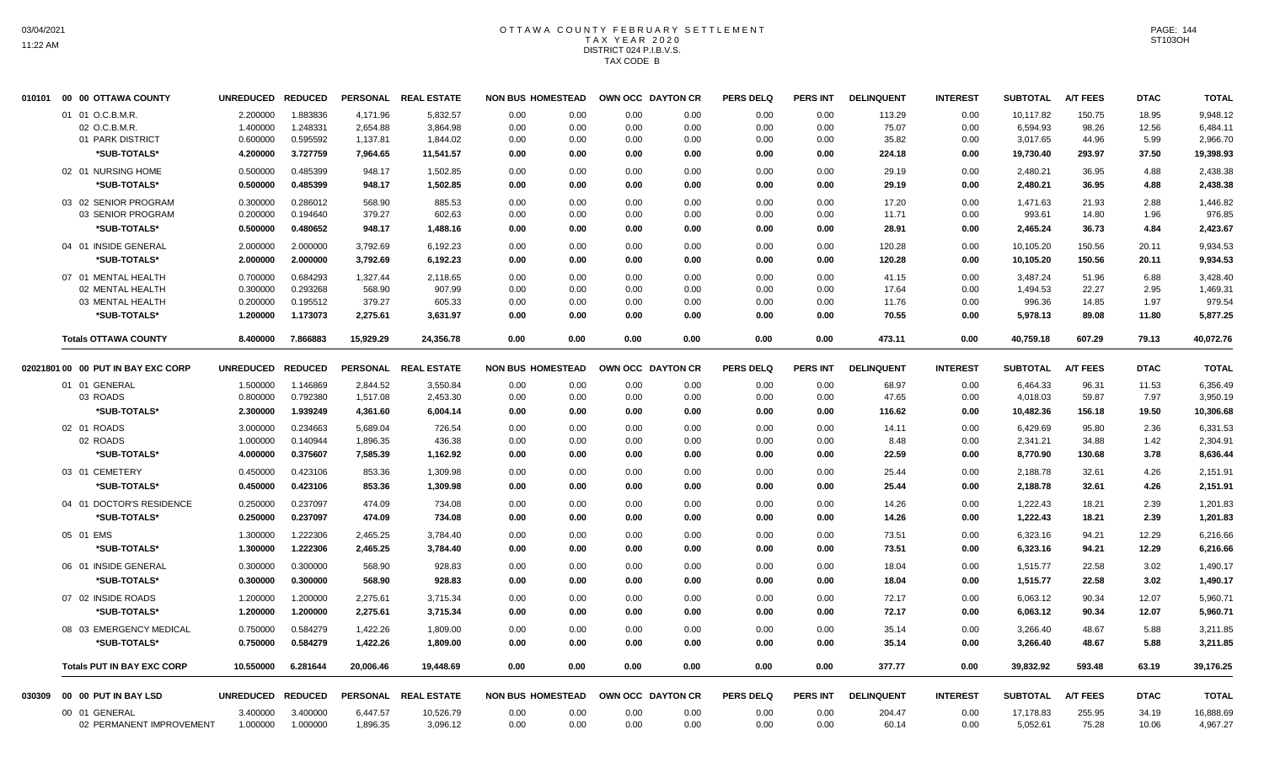# OTTAWA COUNTY FEBRUARY SETTLEMENT TAX YEAR 2020 DISTRICT 024 P.I.B.V.S. TAX CODE B

| 010101 | 00 00 OTTAWA COUNTY                | <b>UNREDUCED</b> | <b>REDUCED</b>       |           | PERSONAL REAL ESTATE | <b>NON BUS HOMESTEAD</b> |              | OWN OCC DAYTON CR    | <b>PERS DELQ</b> | <b>PERS INT</b> | <b>DELINQUENT</b> | <b>INTEREST</b> | <b>SUBTOTAL</b> | <b>A/T FEES</b> | <b>DTAC</b> | <b>TOTAL</b> |
|--------|------------------------------------|------------------|----------------------|-----------|----------------------|--------------------------|--------------|----------------------|------------------|-----------------|-------------------|-----------------|-----------------|-----------------|-------------|--------------|
|        | 01 01 O.C.B.M.R.                   | 2.200000         | 1.883836             | 4,171.96  | 5,832.57             | 0.00                     | 0.00         | 0.00<br>0.00         | 0.00             | 0.00            | 113.29            | 0.00            | 10,117.82       | 150.75          | 18.95       | 9,948.12     |
|        | 02 O.C.B.M.R                       | 1.400000         | 1.248331             | 2,654.88  | 3,864.98             | 0.00                     | 0.00         | 0.00<br>0.00         | 0.00             | 0.00            | 75.07             | 0.00            | 6,594.93        | 98.26           | 12.56       | 6,484.11     |
|        | 01 PARK DISTRICT                   | 0.600000         | 0.595592             | 1,137.81  | 1,844.02             | 0.00                     | 0.00         | 0.00<br>0.00         | 0.00             | 0.00            | 35.82             | 0.00            | 3,017.65        | 44.96           | 5.99        | 2,966.70     |
|        | *SUB-TOTALS*                       | 4.200000         | 3.727759             | 7,964.65  | 11,541.57            | 0.00                     | 0.00         | 0.00<br>0.00         | 0.00             | 0.00            | 224.18            | 0.00            | 19,730.40       | 293.97          | 37.50       | 19,398.93    |
|        | 02 01 NURSING HOME                 | 0.500000         | 0.485399             | 948.17    | 1,502.85             | 0.00                     | 0.00         | 0.00<br>0.00         | 0.00             | 0.00            | 29.19             | 0.00            | 2,480.21        | 36.95           | 4.88        | 2,438.38     |
|        | *SUB-TOTALS*                       | 0.500000         | 0.485399             | 948.17    | 1,502.85             | 0.00                     | 0.00         | 0.00<br>0.00         | 0.00             | 0.00            | 29.19             | 0.00            | 2,480.21        | 36.95           | 4.88        | 2,438.38     |
|        | 03 02 SENIOR PROGRAM               | 0.300000         | 0.286012             | 568.90    | 885.53               | 0.00                     | 0.00         | 0.00<br>0.00         | 0.00             | 0.00            | 17.20             | 0.00            | 1.471.63        | 21.93           | 2.88        | 1,446.82     |
|        | 03 SENIOR PROGRAM                  | 0.200000         | 0.194640             | 379.27    | 602.63               | 0.00                     | 0.00         | 0.00<br>0.00         | 0.00             | 0.00            | 11.71             | 0.00            | 993.61          | 14.80           | 1.96        | 976.85       |
|        | *SUB-TOTALS*                       | 0.500000         | 0.480652             | 948.17    | 1,488.16             | 0.00                     | 0.00         | 0.00<br>0.00         | 0.00             | 0.00            | 28.91             | 0.00            | 2,465.24        | 36.73           | 4.84        | 2,423.67     |
|        | 04 01 INSIDE GENERAL               | 2.000000         | 2.000000             | 3,792.69  | 6,192.23             | 0.00                     | 0.00         | 0.00<br>0.00         | 0.00             | 0.00            | 120.28            | 0.00            | 10,105.20       | 150.56          | 20.11       | 9,934.53     |
|        | *SUB-TOTALS*                       | 2.000000         | 2.000000             | 3,792.69  | 6,192.23             | 0.00                     | 0.00         | 0.00<br>0.00         | 0.00             | 0.00            | 120.28            | 0.00            | 10,105.20       | 150.56          | 20.11       | 9,934.53     |
|        | 07 01 MENTAL HEALTH                | 0.700000         | 0.684293             | 1,327.44  | 2,118.65             | 0.00                     | 0.00         | 0.00<br>0.00         | 0.00             | 0.00            | 41.15             | 0.00            | 3,487.24        | 51.96           | 6.88        | 3,428.40     |
|        | 02 MENTAL HEALTH                   | 0.300000         | 0.293268             | 568.90    | 907.99               | 0.00                     | 0.00         | 0.00<br>0.00         | 0.00             | 0.00            | 17.64             | 0.00            | 1,494.53        | 22.27           | 2.95        | 1,469.31     |
|        | 03 MENTAL HEALTH                   | 0.200000         | 0.195512             | 379.27    | 605.33               | 0.00                     | 0.00         | 0.00<br>0.00         | 0.00             | 0.00            | 11.76             | 0.00            | 996.36          | 14.85           | 1.97        | 979.54       |
|        | *SUB-TOTALS*                       | 1.200000         | 1.173073             | 2,275.61  | 3,631.97             | 0.00                     | 0.00         | 0.00                 | 0.00<br>0.00     | 0.00            | 70.55             | 0.00            | 5,978.13        | 89.08           | 11.80       | 5,877.25     |
|        | <b>Totals OTTAWA COUNTY</b>        | 8.400000         | 7.866883             | 15,929.29 | 24,356.78            | 0.00                     | 0.00         | 0.00<br>0.00         | 0.00             | 0.00            | 473.11            | 0.00            | 40,759.18       | 607.29          | 79.13       | 40,072.76    |
|        | 02021801 00 00 PUT IN BAY EXC CORP | <b>UNREDUCED</b> | <b>REDUCED</b>       |           | PERSONAL REAL ESTATE | <b>NON BUS HOMESTEAD</b> |              | OWN OCC DAYTON CR    | <b>PERS DELQ</b> | <b>PERS INT</b> | <b>DELINQUENT</b> | <b>INTEREST</b> | <b>SUBTOTAL</b> | <b>A/T FEES</b> | <b>DTAC</b> | <b>TOTAL</b> |
|        |                                    |                  |                      |           |                      |                          |              |                      |                  |                 |                   |                 |                 |                 |             |              |
|        | 01 01 GENERAL<br>03 ROADS          | 1.500000         | 1.146869<br>0.792380 | 2,844.52  | 3,550.84<br>2,453.30 | 0.00<br>0.00             | 0.00<br>0.00 | 0.00<br>0.00<br>0.00 | 0.00             | 0.00<br>0.00    | 68.97             | 0.00<br>0.00    | 6,464.33        | 96.31<br>59.87  | 11.53       | 6,356.49     |
|        |                                    | 0.800000         |                      | 1,517.08  |                      |                          |              | 0.00                 | 0.00             |                 | 47.65             |                 | 4,018.03        |                 | 7.97        | 3,950.19     |
|        | *SUB-TOTALS*                       | 2.300000         | 1.939249             | 4,361.60  | 6,004.14             | 0.00                     | 0.00         | 0.00<br>0.00         | 0.00             | 0.00            | 116.62            | 0.00            | 10,482.36       | 156.18          | 19.50       | 10,306.68    |
|        | 02 01 ROADS                        | 3.000000         | 0.234663             | 5,689.04  | 726.54               | 0.00                     | 0.00         | 0.00<br>0.00         | 0.00             | 0.00            | 14.11             | 0.00            | 6,429.69        | 95.80           | 2.36        | 6,331.53     |
|        | 02 ROADS                           | 1.000000         | 0.140944             | 1,896.35  | 436.38               | 0.00                     | 0.00         | 0.00<br>0.00         | 0.00             | 0.00            | 8.48              | 0.00            | 2,341.21        | 34.88           | 1.42        | 2,304.91     |
|        | *SUB-TOTALS*                       | 4.000000         | 0.375607             | 7,585.39  | 1,162.92             | 0.00                     | 0.00         | 0.00<br>0.00         | 0.00             | 0.00            | 22.59             | 0.00            | 8,770.90        | 130.68          | 3.78        | 8,636.44     |
|        | 03 01 CEMETERY                     | 0.450000         | 0.423106             | 853.36    | 1,309.98             | 0.00                     | 0.00         | 0.00<br>0.00         | 0.00             | 0.00            | 25.44             | 0.00            | 2,188.78        | 32.61           | 4.26        | 2,151.91     |
|        | *SUB-TOTALS*                       | 0.450000         | 0.423106             | 853.36    | 1,309.98             | 0.00                     | 0.00         | 0.00<br>0.00         | 0.00             | 0.00            | 25.44             | 0.00            | 2,188.78        | 32.61           | 4.26        | 2,151.91     |
|        | 04 01 DOCTOR'S RESIDENCE           | 0.250000         | 0.237097             | 474.09    | 734.08               | 0.00                     | 0.00         | 0.00<br>0.00         | 0.00             | 0.00            | 14.26             | 0.00            | 1,222.43        | 18.21           | 2.39        | 1,201.83     |
|        | *SUB-TOTALS*                       | 0.250000         | 0.237097             | 474.09    | 734.08               | 0.00                     | 0.00         | 0.00                 | 0.00<br>0.00     | 0.00            | 14.26             | 0.00            | 1,222.43        | 18.21           | 2.39        | 1,201.83     |
|        | 05 01 EMS                          | 1.300000         | 1.222306             | 2,465.25  | 3,784.40             | 0.00                     | 0.00         | 0.00<br>0.00         | 0.00             | 0.00            | 73.51             | 0.00            | 6,323.16        | 94.21           | 12.29       | 6,216.66     |
|        | *SUB-TOTALS*                       | 1.300000         | 1.222306             | 2,465.25  | 3,784.40             | 0.00                     | 0.00         | 0.00<br>0.00         | 0.00             | 0.00            | 73.51             | 0.00            | 6,323.16        | 94.21           | 12.29       | 6,216.66     |
|        | 06 01 INSIDE GENERAL               | 0.300000         | 0.300000             | 568.90    | 928.83               | 0.00                     | 0.00         | 0.00<br>0.00         | 0.00             | 0.00            | 18.04             | 0.00            | 1,515.77        | 22.58           | 3.02        | 1,490.17     |
|        | *SUB-TOTALS*                       | 0.300000         | 0.300000             | 568.90    | 928.83               | 0.00                     | 0.00         | 0.00<br>0.00         | 0.00             | 0.00            | 18.04             | 0.00            | 1,515.77        | 22.58           | 3.02        | 1,490.17     |
|        | 07 02 INSIDE ROADS                 | 1.200000         | 1.200000             | 2.275.61  | 3,715.34             | 0.00                     | 0.00         | 0.00<br>0.00         | 0.00             | 0.00            | 72.17             | 0.00            | 6,063.12        | 90.34           | 12.07       | 5.960.71     |
|        | *SUB-TOTALS*                       | 1.200000         | 1.200000             | 2,275.61  | 3,715.34             | 0.00                     | 0.00         | 0.00                 | 0.00<br>0.00     | 0.00            | 72.17             | 0.00            | 6,063.12        | 90.34           | 12.07       | 5,960.71     |
|        |                                    |                  |                      |           |                      |                          |              |                      |                  |                 |                   |                 |                 |                 |             |              |
|        | 08 03 EMERGENCY MEDICAL            | 0.750000         | 0.584279             | 1,422.26  | 1,809.00             | 0.00                     | 0.00         | 0.00<br>0.00         | 0.00             | 0.00            | 35.14             | 0.00            | 3,266.40        | 48.67           | 5.88        | 3,211.85     |
|        | *SUB-TOTALS*                       | 0.750000         | 0.584279             | 1,422.26  | 1,809.00             | 0.00                     | 0.00         | 0.00                 | 0.00<br>0.00     | 0.00            | 35.14             | 0.00            | 3,266.40        | 48.67           | 5.88        | 3,211.85     |
|        | <b>Totals PUT IN BAY EXC CORP</b>  | 10.550000        | 6.281644             | 20,006.46 | 19,448.69            | 0.00                     | 0.00         | 0.00<br>0.00         | 0.00             | 0.00            | 377.77            | 0.00            | 39,832.92       | 593.48          | 63.19       | 39,176.25    |
| 030309 | 00 00 PUT IN BAY LSD               | <b>UNREDUCED</b> | <b>REDUCED</b>       |           | PERSONAL REAL ESTATE | <b>NON BUS HOMESTEAD</b> |              | OWN OCC DAYTON CR    | <b>PERS DELQ</b> | <b>PERS INT</b> | <b>DELINQUENT</b> | <b>INTEREST</b> | <b>SUBTOTAL</b> | <b>A/T FEES</b> | <b>DTAC</b> | <b>TOTAL</b> |
|        | 00 01 GENERAL                      | 3.400000         | 3.400000             | 6,447.57  | 10,526.79            | 0.00                     | 0.00         | 0.00<br>0.00         | 0.00             | 0.00            | 204.47            | 0.00            | 17,178.83       | 255.95          | 34.19       | 16,888.69    |
|        | 02 PERMANENT IMPROVEMENT           | 1.000000         | 1.000000             | 1,896.35  | 3,096.12             | 0.00                     | 0.00         | 0.00<br>0.00         | 0.00             | 0.00            | 60.14             | 0.00            | 5,052.61        | 75.28           | 10.06       | 4,967.27     |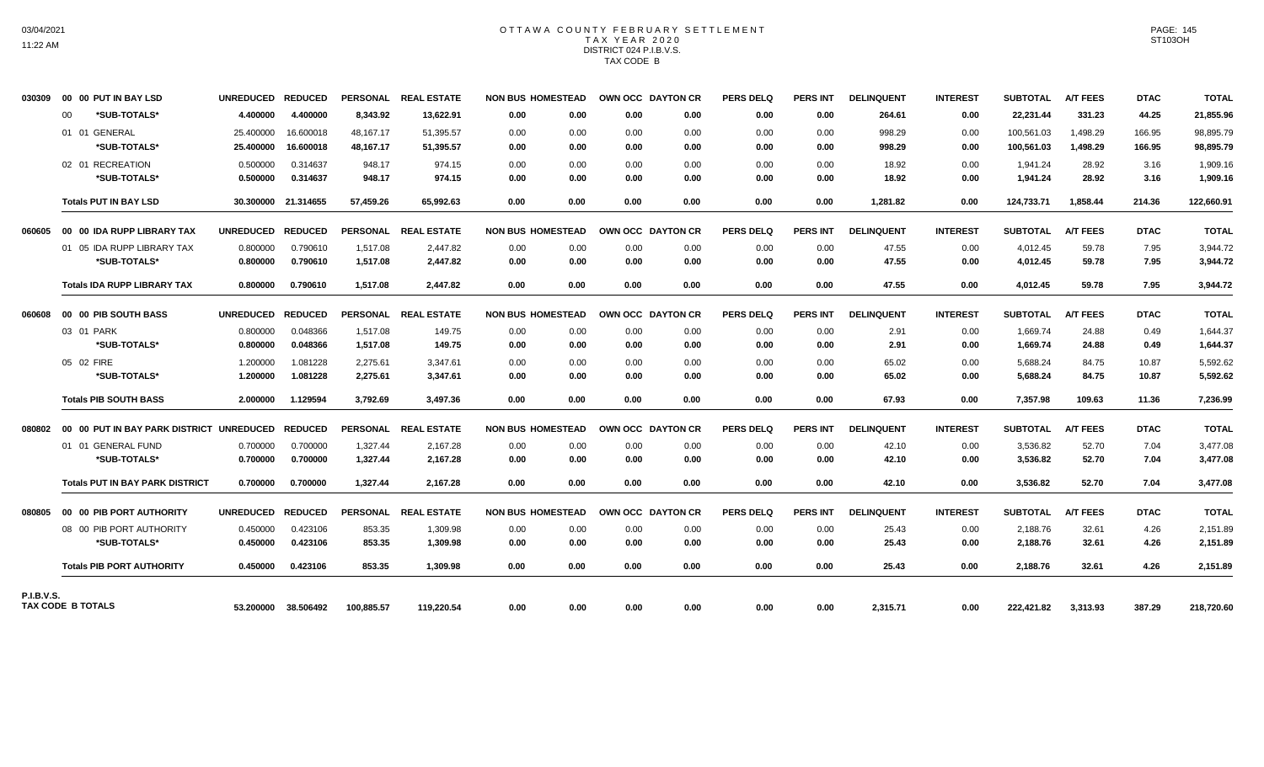### OTTAWA COUNTY FEBRUARY SETTLEMENT TAX YEAR 2020 DISTRICT 024 P.I.B.V.S. TAX CODE B

| 030309            |    | 00 00 PUT IN BAY LSD                               | UNREDUCED REDUCED |                     |                 | PERSONAL REAL ESTATE | <b>NON BUS HOMESTEAD</b> |      | OWN OCC DAYTON CR |      | <b>PERS DELQ</b> | <b>PERS INT</b> | <b>DELINQUENT</b> | <b>INTEREST</b> | <b>SUBTOTAL</b> | <b>A/T FEES</b> | <b>DTAC</b> | <b>TOTAL</b> |
|-------------------|----|----------------------------------------------------|-------------------|---------------------|-----------------|----------------------|--------------------------|------|-------------------|------|------------------|-----------------|-------------------|-----------------|-----------------|-----------------|-------------|--------------|
|                   | 00 | *SUB-TOTALS*                                       | 4.400000          | 4.400000            | 8,343.92        | 13,622.91            | 0.00                     | 0.00 | 0.00              | 0.00 | 0.00             | 0.00            | 264.61            | 0.00            | 22,231.44       | 331.23          | 44.25       | 21,855.96    |
|                   |    | 01 01 GENERAL                                      | 25.400000         | 16.600018           | 48,167.17       | 51,395.57            | 0.00                     | 0.00 | 0.00              | 0.00 | 0.00             | 0.00            | 998.29            | 0.00            | 100,561.03      | 1,498.29        | 166.95      | 98,895.79    |
|                   |    | *SUB-TOTALS*                                       | 25.400000         | 16.600018           | 48,167.17       | 51,395.57            | 0.00                     | 0.00 | 0.00              | 0.00 | 0.00             | 0.00            | 998.29            | 0.00            | 100,561.03      | 1,498.29        | 166.95      | 98,895.79    |
|                   |    | 02 01 RECREATION                                   | 0.500000          | 0.314637            | 948.17          | 974.15               | 0.00                     | 0.00 | 0.00              | 0.00 | 0.00             | 0.00            | 18.92             | 0.00            | 1,941.24        | 28.92           | 3.16        | 1,909.16     |
|                   |    | *SUB-TOTALS*                                       | 0.500000          | 0.314637            | 948.17          | 974.15               | 0.00                     | 0.00 | 0.00              | 0.00 | 0.00             | 0.00            | 18.92             | 0.00            | 1,941.24        | 28.92           | 3.16        | 1,909.16     |
|                   |    | <b>Totals PUT IN BAY LSD</b>                       |                   | 30.300000 21.314655 | 57,459.26       | 65.992.63            | 0.00                     | 0.00 | 0.00              | 0.00 | 0.00             | 0.00            | 1,281.82          | 0.00            | 124,733.71      | 1.858.44        | 214.36      | 122,660.91   |
| 060605            |    | 00 00 IDA RUPP LIBRARY TAX                         | UNREDUCED REDUCED |                     |                 | PERSONAL REAL ESTATE | <b>NON BUS HOMESTEAD</b> |      | OWN OCC DAYTON CR |      | <b>PERS DELQ</b> | <b>PERS INT</b> | <b>DELINQUENT</b> | <b>INTEREST</b> | <b>SUBTOTAL</b> | <b>A/T FEES</b> | <b>DTAC</b> | <b>TOTAL</b> |
|                   |    | 01 05 IDA RUPP LIBRARY TAX                         | 0.800000          | 0.790610            | 1,517.08        | 2,447.82             | 0.00                     | 0.00 | 0.00              | 0.00 | 0.00             | 0.00            | 47.55             | 0.00            | 4,012.45        | 59.78           | 7.95        | 3,944.72     |
|                   |    | *SUB-TOTALS*                                       | 0.800000          | 0.790610            | 1,517.08        | 2,447.82             | 0.00                     | 0.00 | 0.00              | 0.00 | 0.00             | 0.00            | 47.55             | 0.00            | 4,012.45        | 59.78           | 7.95        | 3,944.72     |
|                   |    | <b>Totals IDA RUPP LIBRARY TAX</b>                 | 0.800000          | 0.790610            | 1,517.08        | 2,447.82             | 0.00                     | 0.00 | 0.00              | 0.00 | 0.00             | 0.00            | 47.55             | 0.00            | 4,012.45        | 59.78           | 7.95        | 3,944.72     |
| 060608            |    | 00 00 PIB SOUTH BASS                               | <b>UNREDUCED</b>  | <b>REDUCED</b>      |                 | PERSONAL REAL ESTATE | <b>NON BUS HOMESTEAD</b> |      | OWN OCC DAYTON CR |      | <b>PERS DELQ</b> | <b>PERS INT</b> | <b>DELINQUENT</b> | <b>INTEREST</b> | <b>SUBTOTAL</b> | <b>A/T FEES</b> | <b>DTAC</b> | <b>TOTAL</b> |
|                   |    | 03 01 PARK                                         | 0.800000          | 0.048366            | 1,517.08        | 149.75               | 0.00                     | 0.00 | 0.00              | 0.00 | 0.00             | 0.00            | 2.91              | 0.00            | 1,669.74        | 24.88           | 0.49        | 1,644.37     |
|                   |    | *SUB-TOTALS*                                       | 0.800000          | 0.048366            | 1,517.08        | 149.75               | 0.00                     | 0.00 | 0.00              | 0.00 | 0.00             | 0.00            | 2.91              | 0.00            | 1,669.74        | 24.88           | 0.49        | 1,644.37     |
|                   |    | 05 02 FIRE                                         | 1.200000          | 1.081228            | 2.275.61        | 3.347.61             | 0.00                     | 0.00 | 0.00              | 0.00 | 0.00             | 0.00            | 65.02             | 0.00            | 5,688.24        | 84.75           | 10.87       | 5,592.62     |
|                   |    | *SUB-TOTALS*                                       | 1.200000          | 1.081228            | 2,275.61        | 3.347.61             | 0.00                     | 0.00 | 0.00              | 0.00 | 0.00             | 0.00            | 65.02             | 0.00            | 5,688.24        | 84.75           | 10.87       | 5,592.62     |
|                   |    | <b>Totals PIB SOUTH BASS</b>                       | 2.000000          | 1.129594            | 3,792.69        | 3,497.36             | 0.00                     | 0.00 | 0.00              | 0.00 | 0.00             | 0.00            | 67.93             | 0.00            | 7,357.98        | 109.63          | 11.36       | 7,236.99     |
|                   |    | 080802  00  00  PUT IN BAY PARK DISTRICT UNREDUCED |                   | <b>REDUCED</b>      | <b>PERSONAL</b> | <b>REAL ESTATE</b>   | <b>NON BUS HOMESTEAD</b> |      | OWN OCC DAYTON CR |      | <b>PERS DELQ</b> | <b>PERS INT</b> | <b>DELINQUENT</b> | <b>INTEREST</b> | <b>SUBTOTAL</b> | <b>A/T FEES</b> | <b>DTAC</b> | <b>TOTAL</b> |
|                   |    | 01 01 GENERAL FUND                                 | 0.700000          | 0.700000            | 1,327.44        | 2,167.28             | 0.00                     | 0.00 | 0.00              | 0.00 | 0.00             | 0.00            | 42.10             | 0.00            | 3,536.82        | 52.70           | 7.04        | 3,477.08     |
|                   |    | *SUB-TOTALS*                                       | 0.700000          | 0.700000            | 1,327.44        | 2,167.28             | 0.00                     | 0.00 | 0.00              | 0.00 | 0.00             | 0.00            | 42.10             | 0.00            | 3,536.82        | 52.70           | 7.04        | 3,477.08     |
|                   |    | <b>Totals PUT IN BAY PARK DISTRICT</b>             | 0.700000          | 0.700000            | 1.327.44        | 2.167.28             | 0.00                     | 0.00 | 0.00              | 0.00 | 0.00             | 0.00            | 42.10             | 0.00            | 3,536.82        | 52.70           | 7.04        | 3,477.08     |
| 080805            |    | 00 00 PIB PORT AUTHORITY                           | <b>UNREDUCED</b>  | <b>REDUCED</b>      |                 | PERSONAL REAL ESTATE | <b>NON BUS HOMESTEAD</b> |      | OWN OCC DAYTON CR |      | <b>PERS DELQ</b> | <b>PERS INT</b> | <b>DELINQUENT</b> | <b>INTEREST</b> | <b>SUBTOTAL</b> | <b>A/T FEES</b> | <b>DTAC</b> | <b>TOTAL</b> |
|                   |    | 08 00 PIB PORT AUTHORITY                           | 0.450000          | 0.423106            | 853.35          | 1,309.98             | 0.00                     | 0.00 | 0.00              | 0.00 | 0.00             | 0.00            | 25.43             | 0.00            | 2,188.76        | 32.61           | 4.26        | 2,151.89     |
|                   |    | *SUB-TOTALS*                                       | 0.450000          | 0.423106            | 853.35          | 1,309.98             | 0.00                     | 0.00 | 0.00              | 0.00 | 0.00             | 0.00            | 25.43             | 0.00            | 2,188.76        | 32.61           | 4.26        | 2,151.89     |
|                   |    | <b>Totals PIB PORT AUTHORITY</b>                   | 0.450000          | 0.423106            | 853.35          | 1.309.98             | 0.00                     | 0.00 | 0.00              | 0.00 | 0.00             | 0.00            | 25.43             | 0.00            | 2,188.76        | 32.61           | 4.26        | 2,151.89     |
| <b>P.I.B.V.S.</b> |    |                                                    |                   |                     |                 |                      |                          |      |                   |      |                  |                 |                   |                 |                 |                 |             |              |
| TAX CODE B TOTALS |    |                                                    |                   | 53.200000 38.506492 | 100,885.57      | 119,220.54           | 0.00                     | 0.00 | 0.00              | 0.00 | 0.00             | 0.00            | 2,315.71          | 0.00            | 222,421.82      | 3,313.93        | 387.29      | 218,720.60   |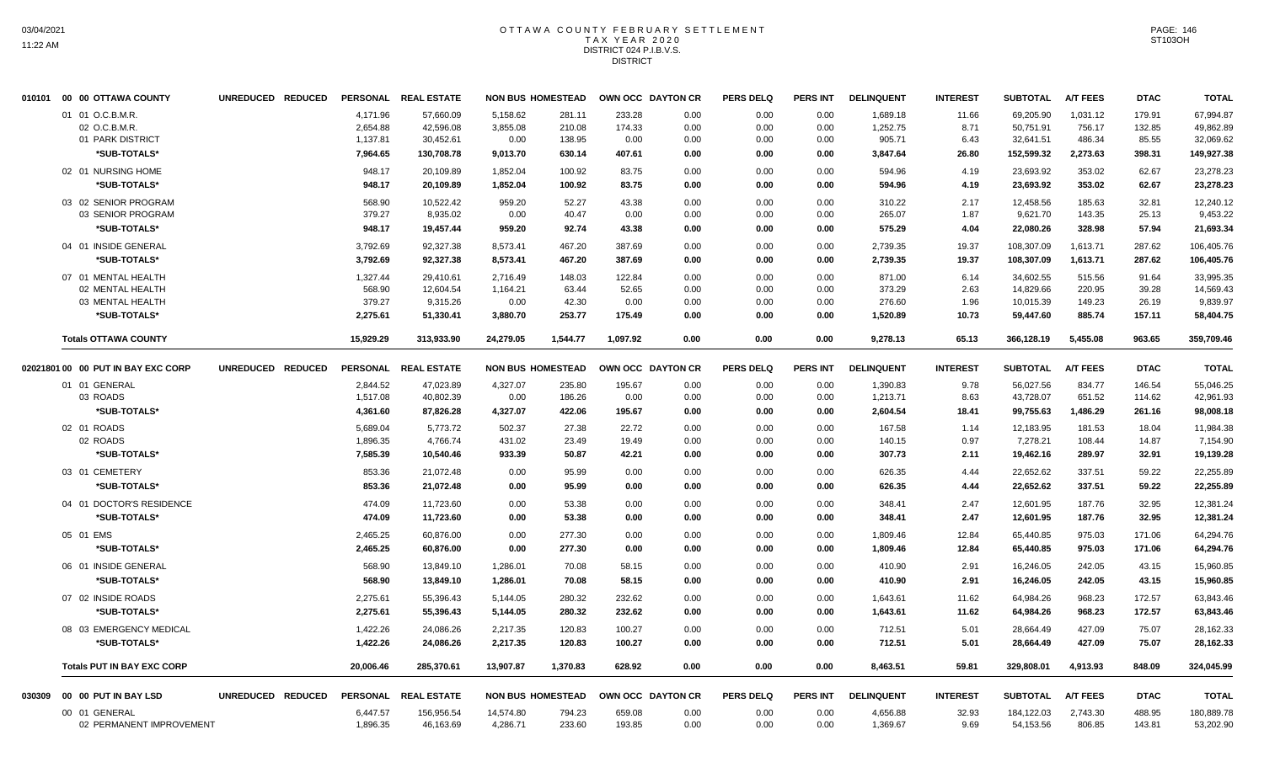#### OTTAWA COUNTY FEBRUARY SETTLEMENT TAX YEAR 2020 DISTRICT 024 P.I.B.V.S. **DISTRICT**

|        | 010101 00 00 OTTAWA COUNTY         | UNREDUCED REDUCED |                 | PERSONAL REAL ESTATE | <b>NON BUS HOMESTEAD</b> |          |          | OWN OCC DAYTON CR | <b>PERS DELQ</b> | <b>PERS INT</b> | <b>DELINQUENT</b> | <b>INTEREST</b> | <b>SUBTOTAL</b> | <b>A/T FEES</b> | <b>DTAC</b> | <b>TOTAL</b> |
|--------|------------------------------------|-------------------|-----------------|----------------------|--------------------------|----------|----------|-------------------|------------------|-----------------|-------------------|-----------------|-----------------|-----------------|-------------|--------------|
|        | 01 01 O.C.B.M.R.                   |                   | 4,171.96        | 57,660.09            | 5,158.62                 | 281.11   | 233.28   | 0.00              | 0.00             | 0.00            | 1,689.18          | 11.66           | 69,205.90       | 1,031.12        | 179.91      | 67,994.87    |
|        | 02 O.C.B.M.R                       |                   | 2,654.88        | 42,596.08            | 3,855.08                 | 210.08   | 174.33   | 0.00              | 0.00             | 0.00            | 1,252.75          | 8.71            | 50,751.91       | 756.17          | 132.85      | 49,862.89    |
|        | 01 PARK DISTRICT                   |                   | 1,137.81        | 30,452.61            | 0.00                     | 138.95   | 0.00     | 0.00              | 0.00             | 0.00            | 905.71            | 6.43            | 32,641.51       | 486.34          | 85.55       | 32,069.62    |
|        | *SUB-TOTALS*                       |                   | 7,964.65        | 130,708.78           | 9,013.70                 | 630.14   | 407.61   | 0.00              | 0.00             | 0.00            | 3,847.64          | 26.80           | 152,599.32      | 2,273.63        | 398.31      | 149,927.38   |
|        | 02 01 NURSING HOME                 |                   | 948.17          | 20,109.89            | 1,852.04                 | 100.92   | 83.75    | 0.00              | 0.00             | 0.00            | 594.96            | 4.19            | 23,693.92       | 353.02          | 62.67       | 23,278.23    |
|        | *SUB-TOTALS*                       |                   | 948.17          | 20.109.89            | 1,852.04                 | 100.92   | 83.75    | 0.00              | 0.00             | 0.00            | 594.96            | 4.19            | 23,693.92       | 353.02          | 62.67       | 23,278.23    |
|        | 03 02 SENIOR PROGRAM               |                   | 568.90          | 10.522.42            | 959.20                   | 52.27    | 43.38    | 0.00              | 0.00             | 0.00            | 310.22            | 2.17            | 12.458.56       | 185.63          | 32.81       | 12.240.12    |
|        | 03 SENIOR PROGRAM                  |                   | 379.27          | 8,935.02             | 0.00                     | 40.47    | 0.00     | 0.00              | 0.00             | 0.00            | 265.07            | 1.87            | 9,621.70        | 143.35          | 25.13       | 9,453.22     |
|        | *SUB-TOTALS*                       |                   | 948.17          | 19,457.44            | 959.20                   | 92.74    | 43.38    | 0.00              | 0.00             | 0.00            | 575.29            | 4.04            | 22,080.26       | 328.98          | 57.94       | 21,693.34    |
|        | 04 01 INSIDE GENERAL               |                   | 3,792.69        | 92,327.38            | 8,573.41                 | 467.20   | 387.69   | 0.00              | 0.00             | 0.00            | 2,739.35          | 19.37           | 108,307.09      | 1,613.71        | 287.62      | 106,405.76   |
|        | *SUB-TOTALS*                       |                   | 3,792.69        | 92,327.38            | 8,573.41                 | 467.20   | 387.69   | 0.00              | 0.00             | 0.00            | 2,739.35          | 19.37           | 108,307.09      | 1,613.71        | 287.62      | 106,405.76   |
|        | 07 01 MENTAL HEALTH                |                   | 1,327.44        | 29.410.61            | 2.716.49                 | 148.03   | 122.84   | 0.00              | 0.00             | 0.00            | 871.00            | 6.14            | 34.602.55       | 515.56          | 91.64       | 33,995.35    |
|        | 02 MENTAL HEALTH                   |                   | 568.90          | 12,604.54            | 1,164.21                 | 63.44    | 52.65    | 0.00              | 0.00             | 0.00            | 373.29            | 2.63            | 14,829.66       | 220.95          | 39.28       | 14,569.43    |
|        | 03 MENTAL HEALTH                   |                   | 379.27          | 9,315.26             | 0.00                     | 42.30    | 0.00     | 0.00              | 0.00             | 0.00            | 276.60            | 1.96            | 10,015.39       | 149.23          | 26.19       | 9,839.97     |
|        | *SUB-TOTALS*                       |                   | 2,275.61        | 51,330.41            | 3,880.70                 | 253.77   | 175.49   | 0.00              | 0.00             | 0.00            | 1,520.89          | 10.73           | 59,447.60       | 885.74          | 157.11      | 58,404.75    |
|        | <b>Totals OTTAWA COUNTY</b>        |                   | 15,929.29       | 313,933.90           | 24,279.05                | 1,544.77 | 1,097.92 | 0.00              | 0.00             | 0.00            | 9,278.13          | 65.13           | 366,128.19      | 5,455.08        | 963.65      | 359,709.46   |
|        | 02021801 00 00 PUT IN BAY EXC CORP | UNREDUCED REDUCED |                 | PERSONAL REAL ESTATE | <b>NON BUS HOMESTEAD</b> |          |          | OWN OCC DAYTON CR | <b>PERS DELQ</b> | <b>PERS INT</b> | <b>DELINQUENT</b> | <b>INTEREST</b> | <b>SUBTOTAL</b> | <b>A/T FEES</b> | <b>DTAC</b> | <b>TOTAL</b> |
|        | 01 01 GENERAL                      |                   | 2,844.52        | 47,023.89            | 4,327.07                 | 235.80   | 195.67   | 0.00              | 0.00             | 0.00            | 1,390.83          | 9.78            | 56,027.56       | 834.77          | 146.54      | 55,046.25    |
|        | 03 ROADS                           |                   | 1,517.08        | 40,802.39            | 0.00                     | 186.26   | 0.00     | 0.00              | 0.00             | 0.00            | 1,213.71          | 8.63            | 43,728.07       | 651.52          | 114.62      | 42,961.93    |
|        | *SUB-TOTALS*                       |                   | 4,361.60        | 87,826.28            | 4,327.07                 | 422.06   | 195.67   | 0.00              | 0.00             | 0.00            | 2,604.54          | 18.41           | 99,755.63       | 1,486.29        | 261.16      | 98,008.18    |
|        | 02 01 ROADS                        |                   | 5,689.04        | 5,773.72             | 502.37                   | 27.38    | 22.72    | 0.00              | 0.00             | 0.00            | 167.58            | 1.14            | 12,183.95       | 181.53          | 18.04       | 11,984.38    |
|        | 02 ROADS                           |                   | 1,896.35        | 4,766.74             | 431.02                   | 23.49    | 19.49    | 0.00              | 0.00             | 0.00            | 140.15            | 0.97            | 7,278.21        | 108.44          | 14.87       | 7,154.90     |
|        | *SUB-TOTALS*                       |                   | 7,585.39        | 10,540.46            | 933.39                   | 50.87    | 42.21    | 0.00              | 0.00             | 0.00            | 307.73            | 2.11            | 19,462.16       | 289.97          | 32.91       | 19,139.28    |
|        | 03 01 CEMETERY                     |                   | 853.36          | 21,072.48            | 0.00                     | 95.99    | 0.00     | 0.00              | 0.00             | 0.00            | 626.35            | 4.44            | 22,652.62       | 337.51          | 59.22       | 22,255.89    |
|        | *SUB-TOTALS*                       |                   | 853.36          | 21,072.48            | 0.00                     | 95.99    | 0.00     | 0.00              | 0.00             | 0.00            | 626.35            | 4.44            | 22,652.62       | 337.51          | 59.22       | 22,255.89    |
|        | 04 01 DOCTOR'S RESIDENCE           |                   | 474.09          | 11,723.60            | 0.00                     | 53.38    | 0.00     | 0.00              | 0.00             | 0.00            | 348.41            | 2.47            | 12,601.95       | 187.76          | 32.95       | 12,381.24    |
|        | *SUB-TOTALS*                       |                   | 474.09          | 11,723.60            | 0.00                     | 53.38    | 0.00     | 0.00              | 0.00             | 0.00            | 348.41            | 2.47            | 12,601.95       | 187.76          | 32.95       | 12,381.24    |
|        | 05 01 EMS                          |                   | 2,465.25        | 60,876.00            | 0.00                     | 277.30   | 0.00     | 0.00              | 0.00             | 0.00            | 1,809.46          | 12.84           | 65,440.85       | 975.03          | 171.06      | 64,294.76    |
|        | *SUB-TOTALS*                       |                   | 2,465.25        | 60,876.00            | 0.00                     | 277.30   | 0.00     | 0.00              | 0.00             | 0.00            | 1,809.46          | 12.84           | 65,440.85       | 975.03          | 171.06      | 64,294.76    |
|        | 06 01 INSIDE GENERAL               |                   | 568.90          | 13,849.10            | 1,286.01                 | 70.08    | 58.15    | 0.00              | 0.00             | 0.00            | 410.90            | 2.91            | 16,246.05       | 242.05          | 43.15       | 15,960.85    |
|        | *SUB-TOTALS*                       |                   | 568.90          | 13,849.10            | 1,286.01                 | 70.08    | 58.15    | 0.00              | 0.00             | 0.00            | 410.90            | 2.91            | 16,246.05       | 242.05          | 43.15       | 15,960.85    |
|        | 07 02 INSIDE ROADS                 |                   | 2,275.61        | 55,396.43            | 5,144.05                 | 280.32   | 232.62   | 0.00              | 0.00             | 0.00            | 1,643.61          | 11.62           | 64,984.26       | 968.23          | 172.57      | 63,843.46    |
|        | *SUB-TOTALS*                       |                   | 2,275.61        | 55,396.43            | 5,144.05                 | 280.32   | 232.62   | 0.00              | 0.00             | 0.00            | 1,643.61          | 11.62           | 64,984.26       | 968.23          | 172.57      | 63,843.46    |
|        | 08 03 EMERGENCY MEDICAL            |                   | 1,422.26        | 24,086.26            | 2,217.35                 | 120.83   | 100.27   | 0.00              | 0.00             | 0.00            | 712.51            | 5.01            | 28,664.49       | 427.09          | 75.07       | 28,162.33    |
|        | *SUB-TOTALS*                       |                   | 1,422.26        | 24,086.26            | 2,217.35                 | 120.83   | 100.27   | 0.00              | 0.00             | 0.00            | 712.51            | 5.01            | 28,664.49       | 427.09          | 75.07       | 28,162.33    |
|        | <b>Totals PUT IN BAY EXC CORP</b>  |                   | 20,006.46       | 285.370.61           | 13,907.87                | 1,370.83 | 628.92   | 0.00              | 0.00             | 0.00            | 8,463.51          | 59.81           | 329,808.01      | 4,913.93        | 848.09      | 324,045.99   |
| 030309 | 00 00 PUT IN BAY LSD               | UNREDUCED REDUCED | <b>PERSONAL</b> | <b>REAL ESTATE</b>   | <b>NON BUS HOMESTEAD</b> |          |          | OWN OCC DAYTON CR | <b>PERS DELQ</b> | <b>PERS INT</b> | <b>DELINQUENT</b> | <b>INTEREST</b> | <b>SUBTOTAL</b> | <b>A/T FEES</b> | <b>DTAC</b> | <b>TOTAL</b> |
|        | 00 01 GENERAL                      |                   | 6,447.57        | 156,956.54           | 14,574.80                | 794.23   | 659.08   | 0.00              | 0.00             | 0.00            | 4,656.88          | 32.93           | 184,122.03      | 2,743.30        | 488.95      | 180,889.78   |
|        | 02 PERMANENT IMPROVEMENT           |                   | 1,896.35        | 46,163.69            | 4,286.71                 | 233.60   | 193.85   | 0.00              | 0.00             | 0.00            | 1,369.67          | 9.69            | 54,153.56       | 806.85          | 143.81      | 53,202.90    |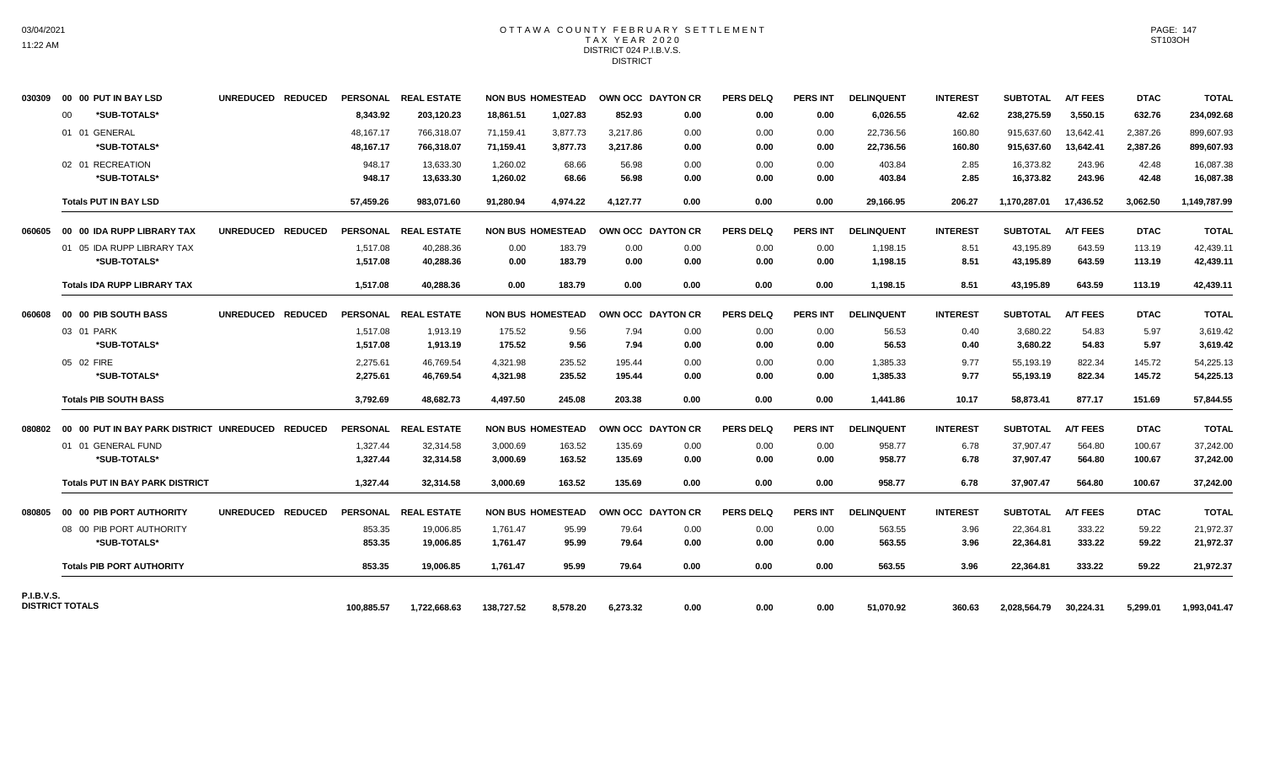#### OTTAWA COUNTY FEBRUARY SETTLEMENT TAX YEAR 2020 DISTRICT 024 P.I.B.V.S. **DISTRICT**

| 030309                 |    | 00 00 PUT IN BAY LSD                                    | UNREDUCED REDUCED |            | PERSONAL REAL ESTATE |            | <b>NON BUS HOMESTEAD</b> |          | OWN OCC DAYTON CR | <b>PERS DELQ</b> | <b>PERS INT</b> | <b>DELINQUENT</b> | <b>INTEREST</b> | <b>SUBTOTAL</b> | <b>A/T FEES</b> | <b>DTAC</b> | <b>TOTAL</b> |
|------------------------|----|---------------------------------------------------------|-------------------|------------|----------------------|------------|--------------------------|----------|-------------------|------------------|-----------------|-------------------|-----------------|-----------------|-----------------|-------------|--------------|
|                        | 00 | *SUB-TOTALS*                                            |                   | 8,343.92   | 203,120.23           | 18,861.51  | 1,027.83                 | 852.93   | 0.00              | 0.00             | 0.00            | 6,026.55          | 42.62           | 238,275.59      | 3,550.15        | 632.76      | 234,092.68   |
|                        |    | 01 01 GENERAL                                           |                   | 48,167.17  | 766,318.07           | 71,159.41  | 3,877.73                 | 3.217.86 | 0.00              | 0.00             | 0.00            | 22,736.56         | 160.80          | 915.637.60      | 13,642.41       | 2,387.26    | 899,607.93   |
|                        |    | *SUB-TOTALS*                                            |                   | 48,167.17  | 766,318.07           | 71,159.41  | 3,877.73                 | 3,217.86 | 0.00              | 0.00             | 0.00            | 22,736.56         | 160.80          | 915,637.60      | 13,642.41       | 2,387.26    | 899,607.93   |
|                        |    | 02 01 RECREATION                                        |                   | 948.17     | 13,633.30            | 1,260.02   | 68.66                    | 56.98    | 0.00              | 0.00             | 0.00            | 403.84            | 2.85            | 16,373.82       | 243.96          | 42.48       | 16,087.38    |
|                        |    | *SUB-TOTALS*                                            |                   | 948.17     | 13,633.30            | 1,260.02   | 68.66                    | 56.98    | 0.00              | 0.00             | 0.00            | 403.84            | 2.85            | 16,373.82       | 243.96          | 42.48       | 16,087.38    |
|                        |    | <b>Totals PUT IN BAY LSD</b>                            |                   | 57,459.26  | 983,071.60           | 91,280.94  | 4,974.22                 | 4,127.77 | 0.00              | 0.00             | 0.00            | 29,166.95         | 206.27          | 1,170,287.01    | 17,436.52       | 3,062.50    | 1,149,787.99 |
|                        |    | 060605 00 00 IDA RUPP LIBRARY TAX                       | UNREDUCED REDUCED |            | PERSONAL REAL ESTATE |            | <b>NON BUS HOMESTEAD</b> |          | OWN OCC DAYTON CR | <b>PERS DELQ</b> | <b>PERS INT</b> | <b>DELINQUENT</b> | <b>INTEREST</b> | <b>SUBTOTAL</b> | <b>A/T FEES</b> | <b>DTAC</b> | <b>TOTAL</b> |
|                        |    | 01 05 IDA RUPP LIBRARY TAX                              |                   | 1,517.08   | 40,288.36            | 0.00       | 183.79                   | 0.00     | 0.00              | 0.00             | 0.00            | 1,198.15          | 8.51            | 43,195.89       | 643.59          | 113.19      | 42,439.11    |
|                        |    | *SUB-TOTALS*                                            |                   | 1,517.08   | 40,288.36            | 0.00       | 183.79                   | 0.00     | 0.00              | 0.00             | 0.00            | 1,198.15          | 8.51            | 43,195.89       | 643.59          | 113.19      | 42,439.11    |
|                        |    | <b>Totals IDA RUPP LIBRARY TAX</b>                      |                   | 1,517.08   | 40,288.36            | 0.00       | 183.79                   | 0.00     | 0.00              | 0.00             | 0.00            | 1,198.15          | 8.51            | 43,195.89       | 643.59          | 113.19      | 42,439.11    |
| 060608                 |    | <b>00 00 PIB SOUTH BASS</b>                             | UNREDUCED REDUCED |            | PERSONAL REAL ESTATE |            | <b>NON BUS HOMESTEAD</b> |          | OWN OCC DAYTON CR | <b>PERS DELQ</b> | <b>PERS INT</b> | <b>DELINQUENT</b> | <b>INTEREST</b> | <b>SUBTOTAL</b> | <b>A/T FEES</b> | <b>DTAC</b> | <b>TOTAL</b> |
|                        |    | 03 01 PARK                                              |                   | 1,517.08   | 1,913.19             | 175.52     | 9.56                     | 7.94     | 0.00              | 0.00             | 0.00            | 56.53             | 0.40            | 3,680.22        | 54.83           | 5.97        | 3,619.42     |
|                        |    | *SUB-TOTALS*                                            |                   | 1,517.08   | 1,913.19             | 175.52     | 9.56                     | 7.94     | 0.00              | 0.00             | 0.00            | 56.53             | 0.40            | 3,680.22        | 54.83           | 5.97        | 3,619.42     |
|                        |    | 05 02 FIRE                                              |                   | 2,275.61   | 46,769.54            | 4,321.98   | 235.52                   | 195.44   | 0.00              | 0.00             | 0.00            | 1,385.33          | 9.77            | 55,193.19       | 822.34          | 145.72      | 54,225.13    |
|                        |    | *SUB-TOTALS*                                            |                   | 2,275.61   | 46,769.54            | 4,321.98   | 235.52                   | 195.44   | 0.00              | 0.00             | 0.00            | 1,385.33          | 9.77            | 55,193.19       | 822.34          | 145.72      | 54,225.13    |
|                        |    | <b>Totals PIB SOUTH BASS</b>                            |                   | 3,792.69   | 48,682.73            | 4.497.50   | 245.08                   | 203.38   | 0.00              | 0.00             | 0.00            | 1,441.86          | 10.17           | 58,873.41       | 877.17          | 151.69      | 57,844.55    |
|                        |    | 080802 00 00 PUT IN BAY PARK DISTRICT UNREDUCED REDUCED |                   |            | PERSONAL REAL ESTATE |            | <b>NON BUS HOMESTEAD</b> |          | OWN OCC DAYTON CR | <b>PERS DELQ</b> | <b>PERS INT</b> | <b>DELINQUENT</b> | <b>INTEREST</b> | <b>SUBTOTAL</b> | <b>A/T FEES</b> | <b>DTAC</b> | <b>TOTAL</b> |
|                        |    | 01 01 GENERAL FUND                                      |                   | 1,327.44   | 32,314.58            | 3,000.69   | 163.52                   | 135.69   | 0.00              | 0.00             | 0.00            | 958.77            | 6.78            | 37,907.47       | 564.80          | 100.67      | 37,242.00    |
|                        |    | *SUB-TOTALS*                                            |                   | 1,327.44   | 32,314.58            | 3,000.69   | 163.52                   | 135.69   | 0.00              | 0.00             | 0.00            | 958.77            | 6.78            | 37,907.47       | 564.80          | 100.67      | 37,242.00    |
|                        |    | <b>Totals PUT IN BAY PARK DISTRICT</b>                  |                   | 1,327.44   | 32,314.58            | 3.000.69   | 163.52                   | 135.69   | 0.00              | 0.00             | 0.00            | 958.77            | 6.78            | 37,907.47       | 564.80          | 100.67      | 37,242.00    |
| 080805                 |    | 00 00 PIB PORT AUTHORITY                                | UNREDUCED REDUCED |            | PERSONAL REAL ESTATE |            | <b>NON BUS HOMESTEAD</b> |          | OWN OCC DAYTON CR | <b>PERS DELQ</b> | <b>PERS INT</b> | <b>DELINQUENT</b> | <b>INTEREST</b> | SUBTOTAL        | <b>A/T FEES</b> | <b>DTAC</b> | <b>TOTAL</b> |
|                        |    | 08 00 PIB PORT AUTHORITY                                |                   | 853.35     | 19,006.85            | 1.761.47   | 95.99                    | 79.64    | 0.00              | 0.00             | 0.00            | 563.55            | 3.96            | 22,364.81       | 333.22          | 59.22       | 21,972.37    |
|                        |    | *SUB-TOTALS*                                            |                   | 853.35     | 19,006.85            | 1,761.47   | 95.99                    | 79.64    | 0.00              | 0.00             | 0.00            | 563.55            | 3.96            | 22,364.81       | 333.22          | 59.22       | 21,972.37    |
|                        |    | <b>Totals PIB PORT AUTHORITY</b>                        |                   | 853.35     | 19.006.85            | 1.761.47   | 95.99                    | 79.64    | 0.00              | 0.00             | 0.00            | 563.55            | 3.96            | 22,364.81       | 333.22          | 59.22       | 21,972.37    |
| <b>P.I.B.V.S.</b>      |    |                                                         |                   |            |                      |            |                          |          |                   |                  |                 |                   |                 |                 |                 |             |              |
| <b>DISTRICT TOTALS</b> |    |                                                         |                   | 100,885.57 | 1,722,668.63         | 138,727.52 | 8,578.20                 | 6,273.32 | 0.00              | 0.00             | 0.00            | 51,070.92         | 360.63          | 2,028,564.79    | 30,224.31       | 5,299.01    | 1,993,041.47 |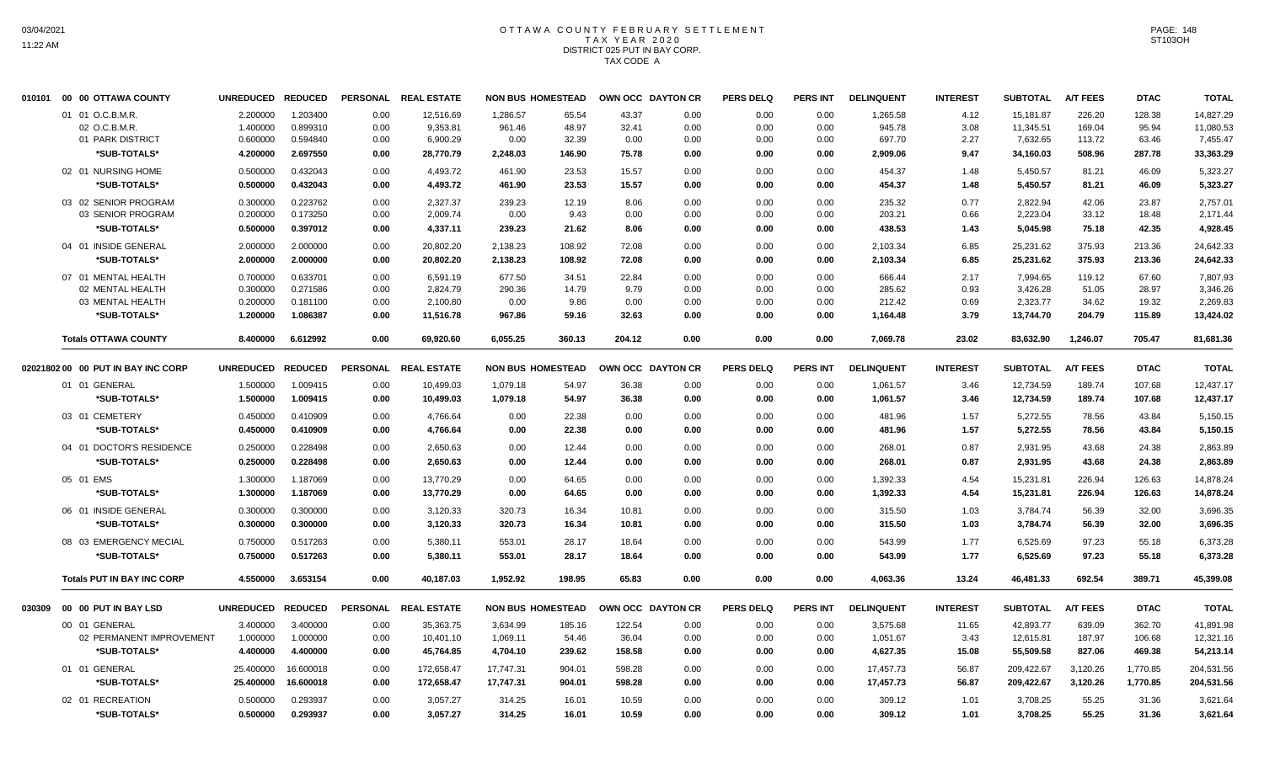# OTTAWA COUNTY FEBRUARY SETTLEMENT TAX YEAR 2020 DISTRICT 025 PUT IN BAY CORP. TAX CODE A

|        | 010101 00 00 OTTAWA COUNTY                                  | UNREDUCED REDUCED                |                                  |                      | PERSONAL REAL ESTATE              |                            | <b>NON BUS HOMESTEAD</b> | OWN OCC DAYTON CR      |                      | <b>PERS DELQ</b>     | <b>PERS INT</b>      | <b>DELINQUENT</b>            | <b>INTEREST</b>      | <b>SUBTOTAL</b>                    | <b>A/T FEES</b>            | <b>DTAC</b>              | <b>TOTAL</b>                       |
|--------|-------------------------------------------------------------|----------------------------------|----------------------------------|----------------------|-----------------------------------|----------------------------|--------------------------|------------------------|----------------------|----------------------|----------------------|------------------------------|----------------------|------------------------------------|----------------------------|--------------------------|------------------------------------|
|        | 01 01 O.C.B.M.R.<br>02 O.C.B.M.R.<br>01 PARK DISTRICT       | 2.200000<br>1.400000<br>0.600000 | 1.203400<br>0.899310<br>0.594840 | 0.00<br>0.00<br>0.00 | 12,516.69<br>9,353.81<br>6,900.29 | 1,286.57<br>961.46<br>0.00 | 65.54<br>48.97<br>32.39  | 43.37<br>32.41<br>0.00 | 0.00<br>0.00<br>0.00 | 0.00<br>0.00<br>0.00 | 0.00<br>0.00<br>0.00 | 1,265.58<br>945.78<br>697.70 | 4.12<br>3.08<br>2.27 | 15,181.87<br>11,345.51<br>7,632.65 | 226.20<br>169.04<br>113.72 | 128.38<br>95.94<br>63.46 | 14,827.29<br>11,080.53<br>7,455.47 |
|        | *SUB-TOTALS*                                                | 4.200000                         | 2.697550                         | 0.00                 | 28,770.79                         | 2,248.03                   | 146.90                   | 75.78                  | 0.00                 | 0.00                 | 0.00                 | 2,909.06                     | 9.47                 | 34,160.03                          | 508.96                     | 287.78                   | 33,363.29                          |
|        | 02 01 NURSING HOME<br>*SUB-TOTALS*                          | 0.500000<br>0.500000             | 0.432043<br>0.432043             | 0.00<br>0.00         | 4,493.72<br>4,493.72              | 461.90<br>461.90           | 23.53<br>23.53           | 15.57<br>15.57         | 0.00<br>0.00         | 0.00<br>0.00         | 0.00<br>0.00         | 454.37<br>454.37             | 1.48<br>1.48         | 5,450.57<br>5,450.57               | 81.21<br>81.21             | 46.09<br>46.09           | 5,323.27<br>5,323.27               |
|        | 03 02 SENIOR PROGRAM<br>03 SENIOR PROGRAM                   | 0.300000<br>0.200000             | 0.223762<br>0.173250             | 0.00<br>0.00         | 2.327.37<br>2.009.74              | 239.23<br>0.00             | 12.19<br>9.43            | 8.06<br>0.00           | 0.00<br>0.00         | 0.00<br>0.00         | 0.00<br>0.00         | 235.32<br>203.21             | 0.77<br>0.66         | 2,822.94<br>2.223.04               | 42.06<br>33.12             | 23.87<br>18.48           | 2.757.01<br>2.171.44               |
|        | *SUB-TOTALS*                                                | 0.500000                         | 0.397012                         | 0.00                 | 4,337.11                          | 239.23                     | 21.62                    | 8.06                   | 0.00                 | 0.00                 | 0.00                 | 438.53                       | 1.43                 | 5,045.98                           | 75.18                      | 42.35                    | 4,928.45                           |
|        | 04 01 INSIDE GENERAL<br>*SUB-TOTALS*                        | 2.000000<br>2.000000             | 2.000000<br>2.000000             | 0.00<br>0.00         | 20,802.20<br>20,802.20            | 2,138.23<br>2,138.23       | 108.92<br>108.92         | 72.08<br>72.08         | 0.00<br>0.00         | 0.00<br>0.00         | 0.00<br>0.00         | 2,103.34<br>2,103.34         | 6.85<br>6.85         | 25,231.62<br>25,231.62             | 375.93<br>375.93           | 213.36<br>213.36         | 24,642.33<br>24,642.33             |
|        | 07 01 MENTAL HEALTH<br>02 MENTAL HEALTH<br>03 MENTAL HEALTH | 0.700000<br>0.300000<br>0.200000 | 0.633701<br>0.271586<br>0.181100 | 0.00<br>0.00<br>0.00 | 6,591.19<br>2,824.79<br>2,100.80  | 677.50<br>290.36<br>0.00   | 34.51<br>14.79<br>9.86   | 22.84<br>9.79<br>0.00  | 0.00<br>0.00<br>0.00 | 0.00<br>0.00<br>0.00 | 0.00<br>0.00<br>0.00 | 666.44<br>285.62<br>212.42   | 2.17<br>0.93<br>0.69 | 7,994.65<br>3,426.28<br>2,323.77   | 119.12<br>51.05<br>34.62   | 67.60<br>28.97<br>19.32  | 7,807.93<br>3,346.26<br>2.269.83   |
|        | *SUB-TOTALS*                                                | 1.200000                         | 1.086387                         | 0.00                 | 11,516.78                         | 967.86                     | 59.16                    | 32.63                  | 0.00                 | 0.00                 | 0.00                 | 1,164.48                     | 3.79                 | 13,744.70                          | 204.79                     | 115.89                   | 13,424.02                          |
|        | <b>Totals OTTAWA COUNTY</b>                                 | 8.400000                         | 6.612992                         | 0.00                 | 69,920.60                         | 6,055.25                   | 360.13                   | 204.12                 | 0.00                 | 0.00                 | 0.00                 | 7,069.78                     | 23.02                | 83,632.90                          | 1,246.07                   | 705.47                   | 81,681.36                          |
|        | 02021802 00 00 PUT IN BAY INC CORP                          | <b>UNREDUCED</b>                 | <b>REDUCED</b>                   |                      | PERSONAL REAL ESTATE              |                            | <b>NON BUS HOMESTEAD</b> | OWN OCC DAYTON CR      |                      | <b>PERS DELQ</b>     | <b>PERS INT</b>      | <b>DELINQUENT</b>            | <b>INTEREST</b>      | <b>SUBTOTAL</b>                    | <b>A/T FEES</b>            | <b>DTAC</b>              | <b>TOTAL</b>                       |
|        | 01 01 GENERAL<br>*SUB-TOTALS*                               | 1.500000<br>1.500000             | 1.009415<br>1.009415             | 0.00<br>0.00         | 10.499.03<br>10,499.03            | 1,079.18<br>1,079.18       | 54.97<br>54.97           | 36.38<br>36.38         | 0.00<br>0.00         | 0.00<br>0.00         | 0.00<br>0.00         | 1,061.57<br>1,061.57         | 3.46<br>3.46         | 12,734.59<br>12,734.59             | 189.74<br>189.74           | 107.68<br>107.68         | 12,437.17<br>12,437.17             |
|        | 03 01 CEMETERY<br>*SUB-TOTALS*                              | 0.450000<br>0.450000             | 0.410909<br>0.410909             | 0.00<br>0.00         | 4,766.64<br>4,766.64              | 0.00<br>0.00               | 22.38<br>22.38           | 0.00<br>0.00           | 0.00<br>0.00         | 0.00<br>0.00         | 0.00<br>0.00         | 481.96<br>481.96             | 1.57<br>1.57         | 5,272.55<br>5,272.55               | 78.56<br>78.56             | 43.84<br>43.84           | 5,150.15<br>5.150.15               |
|        | 04 01 DOCTOR'S RESIDENCE<br>*SUB-TOTALS*                    | 0.250000<br>0.250000             | 0.228498<br>0.228498             | 0.00<br>0.00         | 2.650.63<br>2,650.63              | 0.00<br>0.00               | 12.44<br>12.44           | 0.00<br>0.00           | 0.00<br>0.00         | 0.00<br>0.00         | 0.00<br>0.00         | 268.01<br>268.01             | 0.87<br>0.87         | 2.931.95<br>2,931.95               | 43.68<br>43.68             | 24.38<br>24.38           | 2.863.89<br>2,863.89               |
|        | 05 01 EMS                                                   | 1.300000                         | 1.187069                         | 0.00                 | 13,770.29                         | 0.00                       | 64.65                    | 0.00                   | 0.00                 | 0.00                 | 0.00                 | 1,392.33                     | 4.54                 | 15,231.81                          | 226.94                     | 126.63                   | 14,878.24                          |
|        | *SUB-TOTALS*                                                | 1.300000                         | 1.187069<br>0.300000             | 0.00                 | 13,770.29                         | 0.00                       | 64.65                    | 0.00                   | 0.00                 | 0.00                 | 0.00                 | 1,392.33                     | 4.54                 | 15,231.81                          | 226.94                     | 126.63                   | 14,878.24                          |
|        | 06 01 INSIDE GENERAL<br>*SUB-TOTALS*                        | 0.300000<br>0.300000             | 0.300000                         | 0.00<br>0.00         | 3,120.33<br>3,120.33              | 320.73<br>320.73           | 16.34<br>16.34           | 10.81<br>10.81         | 0.00<br>0.00         | 0.00<br>0.00         | 0.00<br>0.00         | 315.50<br>315.50             | 1.03<br>1.03         | 3,784.74<br>3,784.74               | 56.39<br>56.39             | 32.00<br>32.00           | 3,696.35<br>3,696.35               |
|        | 08 03 EMERGENCY MECIAL<br>*SUB-TOTALS*                      | 0.750000<br>0.750000             | 0.517263<br>0.517263             | 0.00<br>0.00         | 5,380.11<br>5.380.11              | 553.01<br>553.01           | 28.17<br>28.17           | 18.64<br>18.64         | 0.00<br>0.00         | 0.00<br>0.00         | 0.00<br>0.00         | 543.99<br>543.99             | 1.77<br>1.77         | 6,525.69<br>6,525.69               | 97.23<br>97.23             | 55.18<br>55.18           | 6,373.28<br>6.373.28               |
|        | <b>Totals PUT IN BAY INC CORP</b>                           | 4.550000                         | 3.653154                         | 0.00                 | 40.187.03                         | 1,952.92                   | 198.95                   | 65.83                  | 0.00                 | 0.00                 | 0.00                 | 4,063.36                     | 13.24                | 46,481.33                          | 692.54                     | 389.71                   | 45,399.08                          |
| 030309 | 00 00 PUT IN BAY LSD                                        | UNREDUCED REDUCED                |                                  |                      | PERSONAL REAL ESTATE              |                            | <b>NON BUS HOMESTEAD</b> | OWN OCC DAYTON CR      |                      | <b>PERS DELQ</b>     | <b>PERS INT</b>      | <b>DELINQUENT</b>            | <b>INTEREST</b>      | <b>SUBTOTAL</b>                    | <b>A/T FEES</b>            | <b>DTAC</b>              | <b>TOTAL</b>                       |
|        | 00 01 GENERAL                                               | 3.400000                         | 3.400000                         | 0.00                 | 35,363.75                         | 3,634.99                   | 185.16                   | 122.54                 | 0.00                 | 0.00                 | 0.00                 | 3,575.68                     | 11.65                | 42,893.77                          | 639.09                     | 362.70                   | 41,891.98                          |
|        | 02 PERMANENT IMPROVEMENT<br>*SUB-TOTALS*                    | 1.000000<br>4.400000             | 1.000000<br>4.400000             | 0.00<br>0.00         | 10,401.10<br>45.764.85            | 1,069.11<br>4,704.10       | 54.46<br>239.62          | 36.04<br>158.58        | 0.00<br>0.00         | 0.00<br>0.00         | 0.00<br>0.00         | 1,051.67<br>4,627.35         | 3.43<br>15.08        | 12,615.81<br>55,509.58             | 187.97<br>827.06           | 106.68<br>469.38         | 12,321.16<br>54,213.14             |
|        | 01 01 GENERAL                                               | 25.400000                        | 16.600018                        | 0.00                 | 172,658.47                        | 17,747.31                  | 904.01                   | 598.28                 | 0.00                 | 0.00                 | 0.00                 | 17,457.73                    | 56.87                | 209,422.67                         | 3,120.26                   | 1,770.85                 | 204,531.56                         |
|        | *SUB-TOTALS*                                                | 25.400000                        | 16.600018                        | 0.00                 | 172,658.47                        | 17,747.31                  | 904.01                   | 598.28                 | 0.00                 | 0.00                 | 0.00                 | 17,457.73                    | 56.87                | 209,422.67                         | 3,120.26                   | 1,770.85                 | 204,531.56                         |
|        | 02 01 RECREATION<br>*SUB-TOTALS*                            | 0.500000<br>0.500000             | 0.293937<br>0.293937             | 0.00<br>0.00         | 3,057.27<br>3,057.27              | 314.25<br>314.25           | 16.01<br>16.01           | 10.59<br>10.59         | 0.00<br>0.00         | 0.00<br>0.00         | 0.00<br>0.00         | 309.12<br>309.12             | 1.01<br>1.01         | 3,708.25<br>3,708.25               | 55.25<br>55.25             | 31.36<br>31.36           | 3.621.64<br>3,621.64               |
|        |                                                             |                                  |                                  |                      |                                   |                            |                          |                        |                      |                      |                      |                              |                      |                                    |                            |                          |                                    |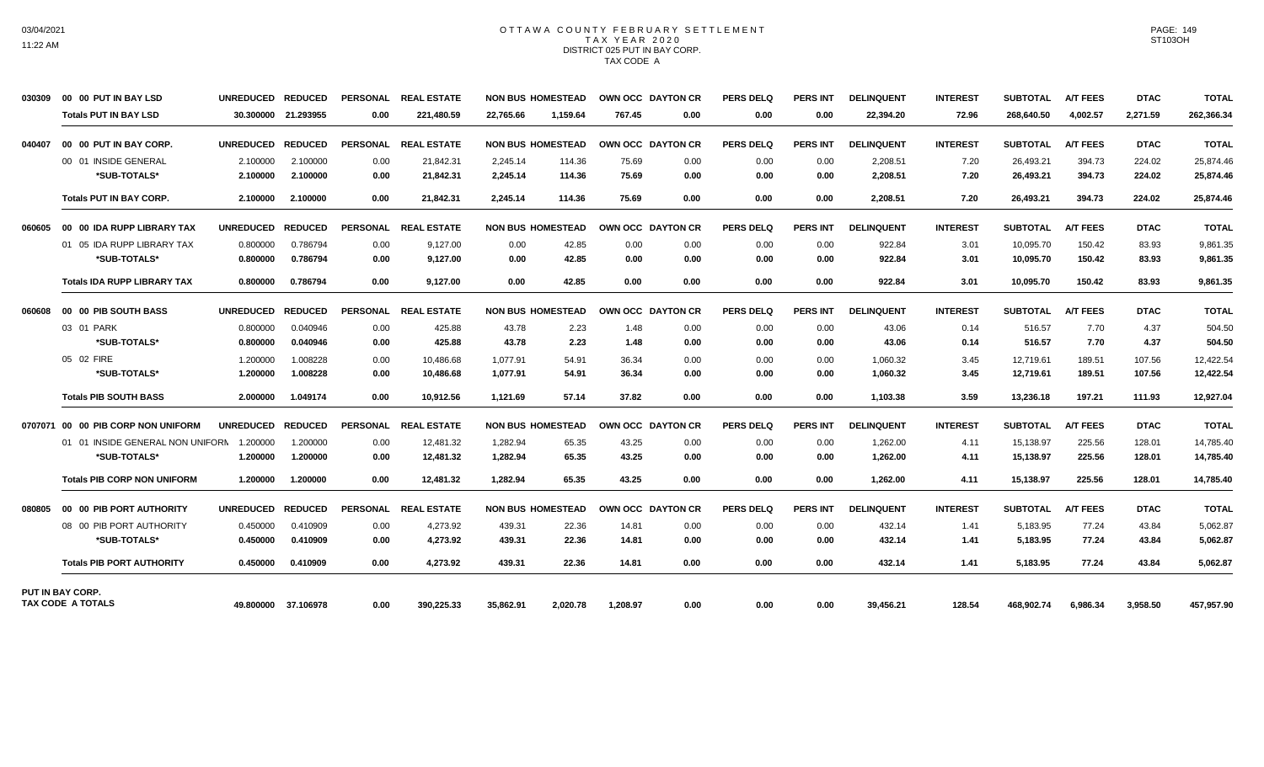## OTTAWA COUNTY FEBRUARY SETTLEMENT TAX YEAR 2020 DISTRICT 025 PUT IN BAY CORP. TAX CODE A

| 030309 | 00 00 PUT IN BAY LSD               | UNREDUCED REDUCED |                     | <b>PERSONAL</b> | <b>REAL ESTATE</b>   | <b>NON BUS HOMESTEAD</b> |          | OWN OCC DAYTON CR |      | <b>PERS DELQ</b> | <b>PERS INT</b> | <b>DELINQUENT</b> | <b>INTEREST</b> | <b>SUBTOTAL</b> | <b>A/T FEES</b> | <b>DTAC</b> | <b>TOTAL</b> |
|--------|------------------------------------|-------------------|---------------------|-----------------|----------------------|--------------------------|----------|-------------------|------|------------------|-----------------|-------------------|-----------------|-----------------|-----------------|-------------|--------------|
|        | <b>Totals PUT IN BAY LSD</b>       |                   | 30.300000 21.293955 | 0.00            | 221.480.59           | 22.765.66                | 1.159.64 | 767.45            | 0.00 | 0.00             | 0.00            | 22,394.20         | 72.96           | 268.640.50      | 4.002.57        | 2.271.59    | 262,366.34   |
| 040407 | 00 00 PUT IN BAY CORP.             | <b>UNREDUCED</b>  | <b>REDUCED</b>      | <b>PERSONAL</b> | <b>REAL ESTATE</b>   | <b>NON BUS HOMESTEAD</b> |          | OWN OCC DAYTON CR |      | <b>PERS DELQ</b> | <b>PERS INT</b> | <b>DELINQUENT</b> | <b>INTEREST</b> | <b>SUBTOTAL</b> | <b>A/T FEES</b> | <b>DTAC</b> | <b>TOTAL</b> |
|        | 00 01 INSIDE GENERAL               | 2.100000          | 2.100000            | 0.00            | 21.842.31            | 2,245.14                 | 114.36   | 75.69             | 0.00 | 0.00             | 0.00            | 2,208.51          | 7.20            | 26,493.21       | 394.73          | 224.02      | 25,874.46    |
|        | *SUB-TOTALS*                       | 2.100000          | 2.100000            | 0.00            | 21.842.31            | 2,245.14                 | 114.36   | 75.69             | 0.00 | 0.00             | 0.00            | 2.208.51          | 7.20            | 26,493.21       | 394.73          | 224.02      | 25,874.46    |
|        | <b>Totals PUT IN BAY CORP.</b>     | 2.100000          | 2.100000            | 0.00            | 21,842.31            | 2,245.14                 | 114.36   | 75.69             | 0.00 | 0.00             | 0.00            | 2,208.51          | 7.20            | 26,493.21       | 394.73          | 224.02      | 25,874.46    |
| 060605 | 00 00 IDA RUPP LIBRARY TAX         | <b>UNREDUCED</b>  | <b>REDUCED</b>      |                 | PERSONAL REAL ESTATE | <b>NON BUS HOMESTEAD</b> |          | OWN OCC DAYTON CR |      | <b>PERS DELQ</b> | <b>PERS INT</b> | <b>DELINQUENT</b> | <b>INTEREST</b> | <b>SUBTOTAL</b> | <b>A/T FEES</b> | <b>DTAC</b> | <b>TOTAL</b> |
|        | 01 05 IDA RUPP LIBRARY TAX         | 0.800000          | 0.786794            | 0.00            | 9,127.00             | 0.00                     | 42.85    | 0.00              | 0.00 | 0.00             | 0.00            | 922.84            | 3.01            | 10,095.70       | 150.42          | 83.93       | 9,861.35     |
|        | *SUB-TOTALS*                       | 0.800000          | 0.786794            | 0.00            | 9,127.00             | 0.00                     | 42.85    | 0.00              | 0.00 | 0.00             | 0.00            | 922.84            | 3.01            | 10,095.70       | 150.42          | 83.93       | 9,861.35     |
|        | <b>Totals IDA RUPP LIBRARY TAX</b> | 0.800000          | 0.786794            | 0.00            | 9.127.00             | 0.00                     | 42.85    | 0.00              | 0.00 | 0.00             | 0.00            | 922.84            | 3.01            | 10.095.70       | 150.42          | 83.93       | 9.861.35     |
| 060608 | 00 00 PIB SOUTH BASS               | <b>UNREDUCED</b>  | <b>REDUCED</b>      |                 | PERSONAL REAL ESTATE | <b>NON BUS HOMESTEAD</b> |          | OWN OCC DAYTON CR |      | <b>PERS DELQ</b> | <b>PERS INT</b> | <b>DELINQUENT</b> | <b>INTEREST</b> | <b>SUBTOTAL</b> | <b>A/T FEES</b> | <b>DTAC</b> | <b>TOTAL</b> |
|        | 03 01 PARK                         | 0.800000          | 0.040946            | 0.00            | 425.88               | 43.78                    | 2.23     | 1.48              | 0.00 | 0.00             | 0.00            | 43.06             | 0.14            | 516.57          | 7.70            | 4.37        | 504.50       |
|        | *SUB-TOTALS*                       | 0.800000          | 0.040946            | 0.00            | 425.88               | 43.78                    | 2.23     | 1.48              | 0.00 | 0.00             | 0.00            | 43.06             | 0.14            | 516.57          | 7.70            | 4.37        | 504.50       |
|        | 05 02 FIRE                         | 1.200000          | 1.008228            | 0.00            | 10,486.68            | 1,077.91                 | 54.91    | 36.34             | 0.00 | 0.00             | 0.00            | 1,060.32          | 3.45            | 12,719.61       | 189.51          | 107.56      | 12,422.54    |
|        | *SUB-TOTALS*                       | 1.200000          | 1.008228            | 0.00            | 10,486.68            | 1,077.91                 | 54.91    | 36.34             | 0.00 | 0.00             | 0.00            | 1,060.32          | 3.45            | 12,719.61       | 189.51          | 107.56      | 12,422.54    |
|        | <b>Totals PIB SOUTH BASS</b>       | 2.000000          | 1.049174            | 0.00            | 10,912.56            | 1,121.69                 | 57.14    | 37.82             | 0.00 | 0.00             | 0.00            | 1,103.38          | 3.59            | 13,236.18       | 197.21          | 111.93      | 12,927.04    |
|        | 0707071 00 00 PIB CORP NON UNIFORM | <b>UNREDUCED</b>  | <b>REDUCED</b>      | <b>PERSONAL</b> | <b>REAL ESTATE</b>   | <b>NON BUS HOMESTEAD</b> |          | OWN OCC DAYTON CR |      | <b>PERS DELQ</b> | <b>PERS INT</b> | <b>DELINQUENT</b> | <b>INTEREST</b> | <b>SUBTOTAL</b> | <b>A/T FEES</b> | <b>DTAC</b> | <b>TOTAL</b> |
|        | 01 01 INSIDE GENERAL NON UNIFORM   | 1.200000          | 1.200000            | 0.00            | 12.481.32            | 1,282.94                 | 65.35    | 43.25             | 0.00 | 0.00             | 0.00            | 1,262.00          | 4.11            | 15,138.97       | 225.56          | 128.01      | 14,785.40    |
|        | *SUB-TOTALS*                       | 1.200000          | 1.200000            | 0.00            | 12,481.32            | 1,282.94                 | 65.35    | 43.25             | 0.00 | 0.00             | 0.00            | 1,262.00          | 4.11            | 15,138.97       | 225.56          | 128.01      | 14,785.40    |
|        | <b>Totals PIB CORP NON UNIFORM</b> | 1.200000          | 1.200000            | 0.00            | 12,481.32            | 1,282.94                 | 65.35    | 43.25             | 0.00 | 0.00             | 0.00            | 1,262.00          | 4.11            | 15,138.97       | 225.56          | 128.01      | 14,785.40    |
| 080805 | 00 00 PIB PORT AUTHORITY           | <b>UNREDUCED</b>  | <b>REDUCED</b>      | PERSONAL        | <b>REAL ESTATE</b>   | <b>NON BUS HOMESTEAD</b> |          | OWN OCC DAYTON CR |      | <b>PERS DELQ</b> | <b>PERS INT</b> | <b>DELINQUENT</b> | <b>INTEREST</b> | <b>SUBTOTAL</b> | <b>A/T FEES</b> | <b>DTAC</b> | <b>TOTAL</b> |
|        | 08 00 PIB PORT AUTHORITY           | 0.450000          | 0.410909            | 0.00            | 4,273.92             | 439.31                   | 22.36    | 14.81             | 0.00 | 0.00             | 0.00            | 432.14            | 1.41            | 5,183.95        | 77.24           | 43.84       | 5,062.87     |
|        | *SUB-TOTALS*                       | 0.450000          | 0.410909            | 0.00            | 4,273.92             | 439.31                   | 22.36    | 14.81             | 0.00 | 0.00             | 0.00            | 432.14            | 1.41            | 5,183.95        | 77.24           | 43.84       | 5,062.87     |
|        | <b>Totals PIB PORT AUTHORITY</b>   | 0.450000          | 0.410909            | 0.00            | 4.273.92             | 439.31                   | 22.36    | 14.81             | 0.00 | 0.00             | 0.00            | 432.14            | 1.41            | 5.183.95        | 77.24           | 43.84       | 5,062.87     |
|        | PUT IN BAY CORP.                   |                   |                     |                 |                      |                          |          |                   |      |                  |                 |                   |                 |                 |                 |             |              |
|        | <b>TAX CODE A TOTALS</b>           |                   | 49.800000 37.106978 | 0.00            | 390,225.33           | 35,862.91                | 2.020.78 | 1.208.97          | 0.00 | 0.00             | 0.00            | 39,456.21         | 128.54          | 468.902.74      | 6.986.34        | 3,958.50    | 457,957.90   |

PAGE: 149 ST103OH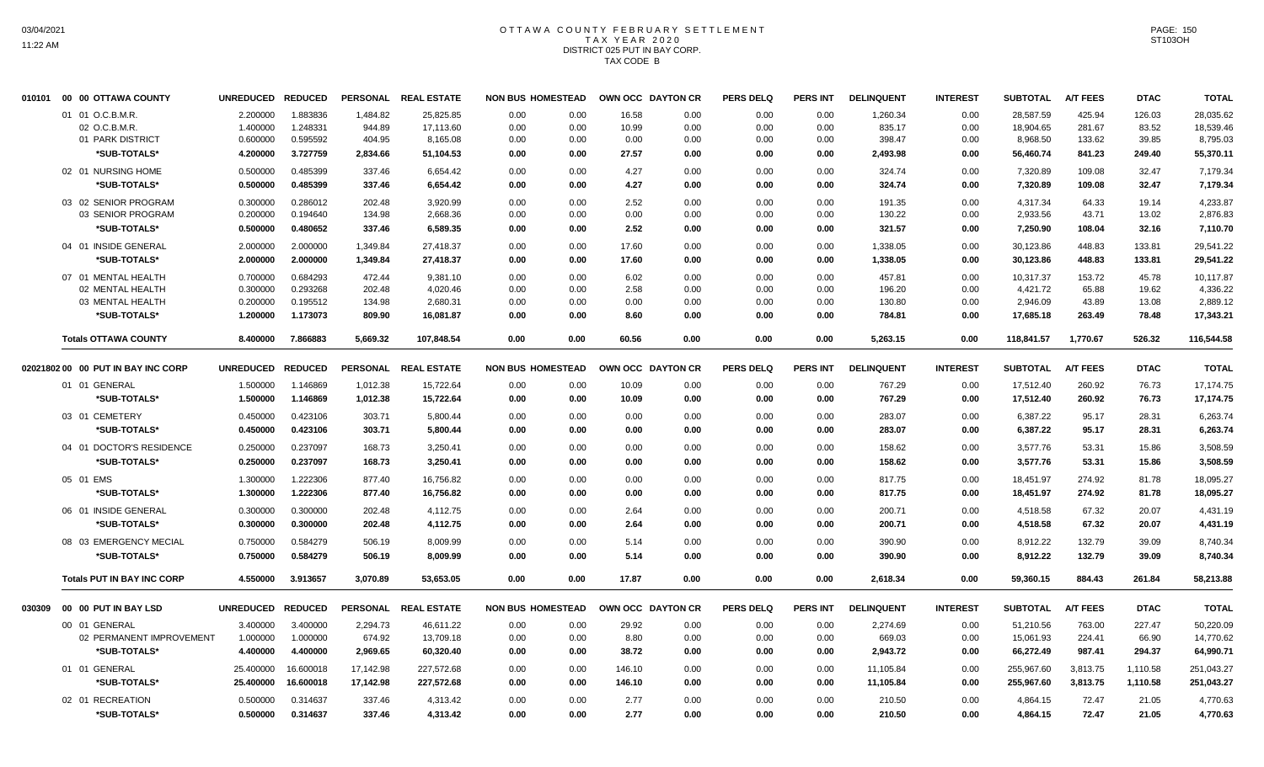#### OTTAWA COUNTY FEBRUARY SETTLEMENT T A X Y E A R 2 0 2 0 DISTRICT 025 PUT IN BAY CORP. TAX CODE B

|        | 010101 00 00 OTTAWA COUNTY                           | <b>UNREDUCED</b>                 | <b>REDUCED</b>                   |                                | PERSONAL REAL ESTATE             | <b>NON BUS HOMESTEAD</b> |                      |                      | OWN OCC DAYTON CR    | <b>PERS DELQ</b>     | <b>PERS INT</b>      | <b>DELINQUENT</b>          | <b>INTEREST</b>      | <b>SUBTOTAL</b>                  | <b>A/T FEES</b>          | <b>DTAC</b>             | <b>TOTAL</b>                       |
|--------|------------------------------------------------------|----------------------------------|----------------------------------|--------------------------------|----------------------------------|--------------------------|----------------------|----------------------|----------------------|----------------------|----------------------|----------------------------|----------------------|----------------------------------|--------------------------|-------------------------|------------------------------------|
|        | 01 01 O.C.B.M.R                                      | 2.200000                         | 1.883836                         | 1,484.82                       | 25,825.85                        | 0.00                     | 0.00                 | 16.58                | 0.00                 | 0.00                 | 0.00                 | 1,260.34                   | 0.00                 | 28,587.59                        | 425.94                   | 126.03                  | 28,035.62                          |
|        | 02 O.C.B.M.R.                                        | 1.400000                         | 1.248331                         | 944.89                         | 17,113.60                        | 0.00                     | 0.00                 | 10.99                | 0.00                 | 0.00                 | 0.00                 | 835.17                     | 0.00                 | 18,904.65                        | 281.67                   | 83.52                   | 18,539.46                          |
|        | 01 PARK DISTRICT                                     | 0.600000                         | 0.595592                         | 404.95                         | 8,165.08                         | 0.00                     | 0.00                 | 0.00                 | 0.00                 | 0.00                 | 0.00                 | 398.47                     | 0.00                 | 8,968.50                         | 133.62                   | 39.85                   | 8,795.03                           |
|        | *SUB-TOTALS*                                         | 4.200000                         | 3.727759                         | 2,834.66                       | 51,104.53                        | 0.00                     | 0.00                 | 27.57                | 0.00                 | 0.00                 | 0.00                 | 2,493.98                   | 0.00                 | 56,460.74                        | 841.23                   | 249.40                  | 55,370.11                          |
|        | 02 01 NURSING HOME                                   | 0.500000                         | 0.485399                         | 337.46                         | 6,654.42                         | 0.00                     | 0.00                 | 4.27                 | 0.00                 | 0.00                 | 0.00                 | 324.74                     | 0.00                 | 7,320.89                         | 109.08                   | 32.47                   | 7,179.34                           |
|        | *SUB-TOTALS*                                         | 0.500000                         | 0.485399                         | 337.46                         | 6,654.42                         | 0.00                     | 0.00                 | 4.27                 | 0.00                 | 0.00                 | 0.00                 | 324.74                     | 0.00                 | 7,320.89                         | 109.08                   | 32.47                   | 7,179.34                           |
|        | 03 02 SENIOR PROGRAM<br>03 SENIOR PROGRAM            | 0.300000<br>0.200000<br>0.500000 | 0.286012<br>0.194640<br>0.480652 | 202.48<br>134.98               | 3,920.99<br>2,668.36<br>6,589.35 | 0.00<br>0.00<br>0.00     | 0.00<br>0.00<br>0.00 | 2.52<br>0.00<br>2.52 | 0.00<br>0.00<br>0.00 | 0.00<br>0.00<br>0.00 | 0.00<br>0.00<br>0.00 | 191.35<br>130.22<br>321.57 | 0.00<br>0.00<br>0.00 | 4,317.34<br>2,933.56<br>7,250.90 | 64.33<br>43.71<br>108.04 | 19.14<br>13.02<br>32.16 | 4,233.87<br>2,876.83               |
|        | *SUB-TOTALS*<br>04 01 INSIDE GENERAL<br>*SUB-TOTALS* | 2.000000<br>2.000000             | 2.000000<br>2.000000             | 337.46<br>1,349.84<br>1,349.84 | 27,418.37<br>27,418.37           | 0.00<br>0.00             | 0.00<br>0.00         | 17.60<br>17.60       | 0.00<br>0.00         | 0.00<br>0.00         | 0.00<br>0.00         | 1,338.05<br>1,338.05       | 0.00<br>0.00         | 30,123.86<br>30,123.86           | 448.83<br>448.83         | 133.81<br>133.81        | 7,110.70<br>29,541.22<br>29,541.22 |
|        | 07 01 MENTAL HEALTH                                  | 0.700000                         | 0.684293                         | 472.44                         | 9,381.10                         | 0.00                     | 0.00                 | 6.02                 | 0.00                 | 0.00                 | 0.00                 | 457.81                     | 0.00                 | 10.317.37                        | 153.72                   | 45.78                   | 10.117.87                          |
|        | 02 MENTAL HEALTH                                     | 0.300000                         | 0.293268                         | 202.48                         | 4,020.46                         | 0.00                     | 0.00                 | 2.58                 | 0.00                 | 0.00                 | 0.00                 | 196.20                     | 0.00                 | 4,421.72                         | 65.88                    | 19.62                   | 4,336.22                           |
|        | 03 MENTAL HEALTH                                     | 0.200000                         | 0.195512                         | 134.98                         | 2,680.31                         | 0.00                     | 0.00                 | 0.00                 | 0.00                 | 0.00                 | 0.00                 | 130.80                     | 0.00                 | 2,946.09                         | 43.89                    | 13.08                   | 2,889.12                           |
|        | *SUB-TOTALS*                                         | 1.200000                         | 1.173073                         | 809.90                         | 16,081.87                        | 0.00                     | 0.00                 | 8.60                 | 0.00                 | 0.00                 | 0.00                 | 784.81                     | 0.00                 | 17,685.18                        | 263.49                   | 78.48                   | 17,343.21                          |
|        | <b>Totals OTTAWA COUNTY</b>                          | 8.400000                         | 7.866883                         | 5,669.32                       | 107,848.54                       | 0.00                     | 0.00                 | 60.56                | 0.00                 | 0.00                 | 0.00                 | 5,263.15                   | 0.00                 | 118,841.57                       | 1,770.67                 | 526.32                  | 116,544.58                         |
|        | 02021802 00 00 PUT IN BAY INC CORP                   | <b>UNREDUCED</b>                 | <b>REDUCED</b>                   | <b>PERSONAL</b>                | <b>REAL ESTATE</b>               | <b>NON BUS HOMESTEAD</b> |                      |                      | OWN OCC DAYTON CR    | <b>PERS DELQ</b>     | <b>PERS INT</b>      | <b>DELINQUENT</b>          | <b>INTEREST</b>      | <b>SUBTOTAL</b>                  | <b>A/T FEES</b>          | <b>DTAC</b>             | <b>TOTAL</b>                       |
|        | 01 01 GENERAL                                        | 1.500000                         | 1.146869                         | 1,012.38                       | 15,722.64                        | 0.00                     | 0.00                 | 10.09                | 0.00                 | 0.00                 | 0.00                 | 767.29                     | 0.00                 | 17,512.40                        | 260.92                   | 76.73                   | 17,174.75                          |
|        | *SUB-TOTALS*                                         | 1.500000                         | 1.146869                         | 1,012.38                       | 15,722.64                        | 0.00                     | 0.00                 | 10.09                | 0.00                 | 0.00                 | 0.00                 | 767.29                     | 0.00                 | 17,512.40                        | 260.92                   | 76.73                   | 17,174.75                          |
|        | 03 01 CEMETERY                                       | 0.450000                         | 0.423106                         | 303.71                         | 5,800.44                         | 0.00                     | 0.00                 | 0.00                 | 0.00                 | 0.00                 | 0.00                 | 283.07                     | 0.00                 | 6,387.22                         | 95.17                    | 28.31                   | 6,263.74                           |
|        | *SUB-TOTALS*                                         | 0.450000                         | 0.423106                         | 303.71                         | 5,800.44                         | 0.00                     | 0.00                 | 0.00                 | 0.00                 | 0.00                 | 0.00                 | 283.07                     | 0.00                 | 6,387.22                         | 95.17                    | 28.31                   | 6.263.74                           |
|        | 04 01 DOCTOR'S RESIDENCE                             | 0.250000                         | 0.237097                         | 168.73                         | 3,250.41                         | 0.00                     | 0.00                 | 0.00                 | 0.00                 | 0.00                 | 0.00                 | 158.62                     | 0.00                 | 3,577.76                         | 53.31                    | 15.86                   | 3,508.59                           |
|        | *SUB-TOTALS*                                         | 0.250000                         | 0.237097                         | 168.73                         | 3,250.41                         | 0.00                     | 0.00                 | 0.00                 | 0.00                 | 0.00                 | 0.00                 | 158.62                     | 0.00                 | 3,577.76                         | 53.31                    | 15.86                   | 3,508.59                           |
|        | 05 01 EMS                                            | 1.300000                         | 1.222306                         | 877.40                         | 16,756.82                        | 0.00                     | 0.00                 | 0.00                 | 0.00                 | 0.00                 | 0.00                 | 817.75                     | 0.00                 | 18,451.97                        | 274.92                   | 81.78                   | 18,095.27                          |
|        | *SUB-TOTALS*                                         | 1.300000                         | 1.222306                         | 877.40                         | 16,756.82                        | 0.00                     | 0.00                 | 0.00                 | 0.00                 | 0.00                 | 0.00                 | 817.75                     | 0.00                 | 18,451.97                        | 274.92                   | 81.78                   | 18,095.27                          |
|        | 06 01 INSIDE GENERAL                                 | 0.300000                         | 0.300000                         | 202.48                         | 4,112.75                         | 0.00                     | 0.00                 | 2.64                 | 0.00                 | 0.00                 | 0.00                 | 200.71                     | 0.00                 | 4,518.58                         | 67.32                    | 20.07                   | 4,431.19                           |
|        | *SUB-TOTALS*                                         | 0.300000                         | 0.300000                         | 202.48                         | 4,112.75                         | 0.00                     | 0.00                 | 2.64                 | 0.00                 | 0.00                 | 0.00                 | 200.71                     | 0.00                 | 4.518.58                         | 67.32                    | 20.07                   | 4,431.19                           |
|        | 08 03 EMERGENCY MECIAL                               | 0.750000                         | 0.584279                         | 506.19                         | 8,009.99                         | 0.00                     | 0.00                 | 5.14                 | 0.00                 | 0.00                 | 0.00                 | 390.90                     | 0.00                 | 8,912.22                         | 132.79                   | 39.09                   | 8,740.34                           |
|        | *SUB-TOTALS*                                         | 0.750000                         | 0.584279                         | 506.19                         | 8,009.99                         | 0.00                     | 0.00                 | 5.14                 | 0.00                 | 0.00                 | 0.00                 | 390.90                     | 0.00                 | 8,912.22                         | 132.79                   | 39.09                   | 8,740.34                           |
|        | <b>Totals PUT IN BAY INC CORP</b>                    | 4.550000                         | 3.913657                         | 3,070.89                       | 53,653.05                        | 0.00                     | 0.00                 | 17.87                | 0.00                 | 0.00                 | 0.00                 | 2,618.34                   | 0.00                 | 59,360.15                        | 884.43                   | 261.84                  | 58,213.88                          |
| 030309 | 00 00 PUT IN BAY LSD                                 | <b>UNREDUCED</b>                 | <b>REDUCED</b>                   |                                | PERSONAL REAL ESTATE             | <b>NON BUS HOMESTEAD</b> |                      |                      | OWN OCC DAYTON CR    | <b>PERS DELQ</b>     | <b>PERS INT</b>      | <b>DELINQUENT</b>          | <b>INTEREST</b>      | <b>SUBTOTAL</b>                  | <b>A/T FEES</b>          | <b>DTAC</b>             | <b>TOTAL</b>                       |
|        | 00 01 GENERAL                                        | 3.400000                         | 3.400000                         | 2,294.73                       | 46,611.22                        | 0.00                     | 0.00                 | 29.92                | 0.00                 | 0.00                 | 0.00                 | 2,274.69                   | 0.00                 | 51,210.56                        | 763.00                   | 227.47                  | 50,220.09                          |
|        | 02 PERMANENT IMPROVEMENT                             | 1.000000                         | 1.000000                         | 674.92                         | 13,709.18                        | 0.00                     | 0.00                 | 8.80                 | 0.00                 | 0.00                 | 0.00                 | 669.03                     | 0.00                 | 15,061.93                        | 224.41                   | 66.90                   | 14,770.62                          |
|        | *SUB-TOTALS*                                         | 4.400000                         | 4.400000                         | 2,969.65                       | 60,320.40                        | 0.00                     | 0.00                 | 38.72                | 0.00                 | 0.00                 | 0.00                 | 2,943.72                   | 0.00                 | 66,272.49                        | 987.41                   | 294.37                  | 64,990.71                          |
|        | 01 01 GENERAL                                        | 25.400000                        | 16.600018                        | 17.142.98                      | 227.572.68                       | 0.00                     | 0.00                 | 146.10               | 0.00                 | 0.00                 | 0.00                 | 11,105.84                  | 0.00                 | 255,967.60                       | 3,813.75                 | 1,110.58                | 251.043.27                         |
|        | *SUB-TOTALS*                                         | 25.400000                        | 16.600018                        | 17,142.98                      | 227,572.68                       | 0.00                     | 0.00                 | 146.10               | 0.00                 | 0.00                 | 0.00                 | 11,105.84                  | 0.00                 | 255,967.60                       | 3,813.75                 | 1,110.58                | 251,043.27                         |
|        | 02 01 RECREATION                                     | 0.500000                         | 0.314637                         | 337.46                         | 4,313.42                         | 0.00                     | 0.00                 | 2.77                 | 0.00                 | 0.00                 | 0.00                 | 210.50                     | 0.00                 | 4.864.15                         | 72.47                    | 21.05                   | 4,770.63                           |
|        | *SUB-TOTALS*                                         | 0.500000                         | 0.314637                         | 337.46                         | 4,313.42                         | 0.00                     | 0.00                 | 2.77                 | 0.00                 | 0.00                 | 0.00                 | 210.50                     | 0.00                 | 4.864.15                         | 72.47                    | 21.05                   | 4,770.63                           |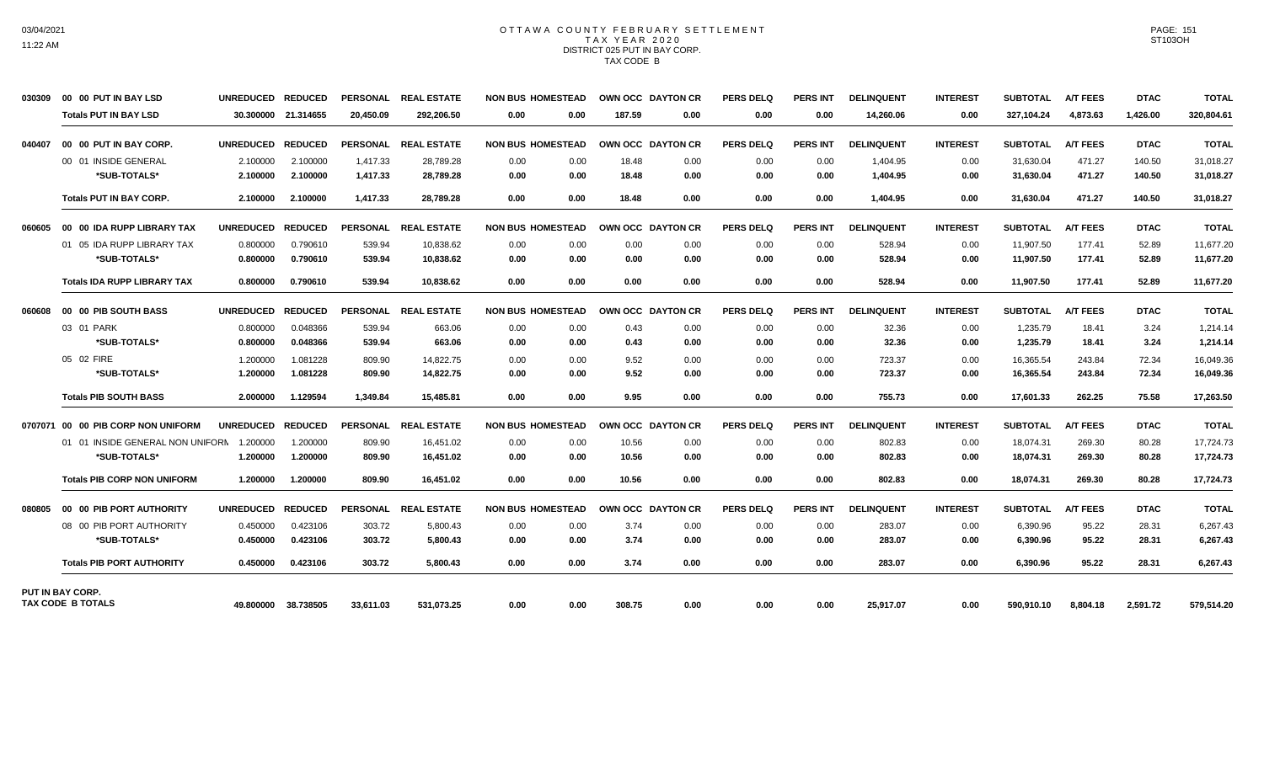### OTTAWA COUNTY FEBRUARY SETTLEMENT TAX YEAR 2020 DISTRICT 025 PUT IN BAY CORP. TAX CODE B

| 030309 | 00 00 PUT IN BAY LSD                                | UNREDUCED REDUCED |                | <b>PERSONAL</b> | <b>REAL ESTATE</b>   | <b>NON BUS HOMESTEAD</b> |        | OWN OCC DAYTON CR | <b>PERS DELQ</b> | <b>PERS INT</b> | <b>DELINQUENT</b> | <b>INTEREST</b> | <b>SUBTOTAL</b> | <b>A/T FEES</b> | <b>DTAC</b> | <b>TOTAL</b> |
|--------|-----------------------------------------------------|-------------------|----------------|-----------------|----------------------|--------------------------|--------|-------------------|------------------|-----------------|-------------------|-----------------|-----------------|-----------------|-------------|--------------|
|        | <b>Totals PUT IN BAY LSD</b>                        | 30.300000         | 21.314655      | 20.450.09       | 292.206.50           | 0.00<br>0.00             | 187.59 | 0.00              | 0.00             | 0.00            | 14,260.06         | 0.00            | 327.104.24      | 4,873.63        | 1.426.00    | 320,804.61   |
| 040407 | 00 00 PUT IN BAY CORP.                              | <b>UNREDUCED</b>  | <b>REDUCED</b> |                 | PERSONAL REAL ESTATE | <b>NON BUS HOMESTEAD</b> |        | OWN OCC DAYTON CR | <b>PERS DELQ</b> | <b>PERS INT</b> | <b>DELINQUENT</b> | <b>INTEREST</b> | <b>SUBTOTAL</b> | <b>A/T FEES</b> | <b>DTAC</b> | <b>TOTAL</b> |
|        | 00 01 INSIDE GENERAL                                | 2.100000          | 2.100000       | 1,417.33        | 28,789.28            | 0.00<br>0.00             | 18.48  | 0.00              | 0.00             | 0.00            | 1,404.95          | 0.00            | 31,630.04       | 471.27          | 140.50      | 31,018.27    |
|        | *SUB-TOTALS*                                        | 2.100000          | 2.100000       | 1,417.33        | 28,789.28            | 0.00<br>0.00             | 18.48  | 0.00              | 0.00             | 0.00            | 1,404.95          | 0.00            | 31,630.04       | 471.27          | 140.50      | 31,018.27    |
|        | <b>Totals PUT IN BAY CORP.</b>                      | 2.100000          | 2.100000       | 1.417.33        | 28,789.28            | 0.00<br>0.00             | 18.48  | 0.00              | 0.00             | 0.00            | 1.404.95          | 0.00            | 31,630.04       | 471.27          | 140.50      | 31,018.27    |
| 060605 | 00 00 IDA RUPP LIBRARY TAX                          | <b>UNREDUCED</b>  | <b>REDUCED</b> | <b>PERSONAL</b> | <b>REAL ESTATE</b>   | <b>NON BUS HOMESTEAD</b> |        | OWN OCC DAYTON CR | <b>PERS DELQ</b> | <b>PERS INT</b> | <b>DELINQUENT</b> | <b>INTEREST</b> | <b>SUBTOTAL</b> | <b>A/T FEES</b> | <b>DTAC</b> | <b>TOTAL</b> |
|        | 01 05 IDA RUPP LIBRARY TAX                          | 0.800000          | 0.790610       | 539.94          | 10,838.62            | 0.00<br>0.00             | 0.00   | 0.00              | 0.00             | 0.00            | 528.94            | 0.00            | 11,907.50       | 177.41          | 52.89       | 11,677.20    |
|        | *SUB-TOTALS*                                        | 0.800000          | 0.790610       | 539.94          | 10.838.62            | 0.00<br>0.00             | 0.00   | 0.00              | 0.00             | 0.00            | 528.94            | 0.00            | 11.907.50       | 177.41          | 52.89       | 11,677.20    |
|        | <b>Totals IDA RUPP LIBRARY TAX</b>                  | 0.800000          | 0.790610       | 539.94          | 10.838.62            | 0.00<br>0.00             | 0.00   | 0.00              | 0.00             | 0.00            | 528.94            | 0.00            | 11.907.50       | 177.41          | 52.89       | 11,677.20    |
| 060608 | 00 00 PIB SOUTH BASS                                | <b>UNREDUCED</b>  | <b>REDUCED</b> |                 | PERSONAL REAL ESTATE | <b>NON BUS HOMESTEAD</b> |        | OWN OCC DAYTON CR | <b>PERS DELQ</b> | <b>PERS INT</b> | <b>DELINQUENT</b> | <b>INTEREST</b> | <b>SUBTOTAL</b> | <b>A/T FEES</b> | <b>DTAC</b> | <b>TOTAL</b> |
|        | 03 01 PARK                                          | 0.800000          | 0.048366       | 539.94          | 663.06               | 0.00<br>0.00             | 0.43   | 0.00              | 0.00             | 0.00            | 32.36             | 0.00            | 1.235.79        | 18.41           | 3.24        | 1.214.14     |
|        | *SUB-TOTALS*                                        | 0.800000          | 0.048366       | 539.94          | 663.06               | 0.00<br>0.00             | 0.43   | 0.00              | 0.00             | 0.00            | 32.36             | 0.00            | 1.235.79        | 18.41           | 3.24        | 1,214.14     |
|        | 05 02 FIRE                                          | 1.200000          | 1.081228       | 809.90          | 14.822.75            | 0.00<br>0.00             | 9.52   | 0.00              | 0.00             | 0.00            | 723.37            | 0.00            | 16,365.54       | 243.84          | 72.34       | 16,049.36    |
|        | *SUB-TOTALS*                                        | 1.200000          | 1.081228       | 809.90          | 14,822.75            | 0.00<br>0.00             | 9.52   | 0.00              | 0.00             | 0.00            | 723.37            | 0.00            | 16,365.54       | 243.84          | 72.34       | 16,049.36    |
|        | <b>Totals PIB SOUTH BASS</b>                        | 2.000000          | 1.129594       | 1.349.84        | 15.485.81            | 0.00<br>0.00             | 9.95   | 0.00              | 0.00             | 0.00            | 755.73            | 0.00            | 17.601.33       | 262.25          | 75.58       | 17.263.50    |
|        | 0707071 00 00 PIB CORP NON UNIFORM                  | <b>UNREDUCED</b>  | <b>REDUCED</b> | <b>PERSONAL</b> | <b>REAL ESTATE</b>   | <b>NON BUS HOMESTEAD</b> |        | OWN OCC DAYTON CR | <b>PERS DELQ</b> | <b>PERS INT</b> | <b>DELINQUENT</b> | <b>INTEREST</b> | <b>SUBTOTAL</b> | <b>A/T FEES</b> | <b>DTAC</b> | <b>TOTAL</b> |
|        | 01 01 INSIDE GENERAL NON UNIFORM                    | 1.200000          | 1.200000       | 809.90          | 16,451.02            | 0.00<br>0.00             | 10.56  | 0.00              | 0.00             | 0.00            | 802.83            | 0.00            | 18,074.31       | 269.30          | 80.28       | 17,724.73    |
|        | *SUB-TOTALS*                                        | 1.200000          | 1.200000       | 809.90          | 16,451.02            | 0.00<br>0.00             | 10.56  | 0.00              | 0.00             | 0.00            | 802.83            | 0.00            | 18,074.31       | 269.30          | 80.28       | 17,724.73    |
|        | <b>Totals PIB CORP NON UNIFORM</b>                  | 1.200000          | 1.200000       | 809.90          | 16,451.02            | 0.00<br>0.00             | 10.56  | 0.00              | 0.00             | 0.00            | 802.83            | 0.00            | 18,074.31       | 269.30          | 80.28       | 17,724.73    |
| 080805 | 00 00 PIB PORT AUTHORITY                            | <b>UNREDUCED</b>  | <b>REDUCED</b> |                 | PERSONAL REAL ESTATE | <b>NON BUS HOMESTEAD</b> |        | OWN OCC DAYTON CR | <b>PERS DELQ</b> | <b>PERS INT</b> | <b>DELINQUENT</b> | <b>INTEREST</b> | <b>SUBTOTAL</b> | <b>A/T FEES</b> | <b>DTAC</b> | <b>TOTAL</b> |
|        | 08 00 PIB PORT AUTHORITY                            | 0.450000          | 0.423106       | 303.72          | 5.800.43             | 0.00<br>0.00             | 3.74   | 0.00              | 0.00             | 0.00            | 283.07            | 0.00            | 6.390.96        | 95.22           | 28.31       | 6.267.43     |
|        | *SUB-TOTALS*                                        | 0.450000          | 0.423106       | 303.72          | 5,800.43             | 0.00<br>0.00             | 3.74   | 0.00              | 0.00             | 0.00            | 283.07            | 0.00            | 6,390.96        | 95.22           | 28.31       | 6,267.43     |
|        | <b>Totals PIB PORT AUTHORITY</b>                    | 0.450000          | 0.423106       | 303.72          | 5.800.43             | 0.00<br>0.00             | 3.74   | 0.00              | 0.00             | 0.00            | 283.07            | 0.00            | 6,390.96        | 95.22           | 28.31       | 6,267.43     |
|        | <b>PUT IN BAY CORP.</b><br><b>TAX CODE B TOTALS</b> |                   |                |                 |                      |                          |        |                   |                  |                 |                   |                 |                 |                 |             |              |
|        |                                                     | 49.800000         | 38.738505      | 33,611.03       | 531,073.25           | 0.00<br>0.00             | 308.75 | 0.00              | 0.00             | 0.00            | 25,917.07         | 0.00            | 590,910.10      | 8,804.18        | 2,591.72    | 579,514.20   |

PAGE: 151 ST103OH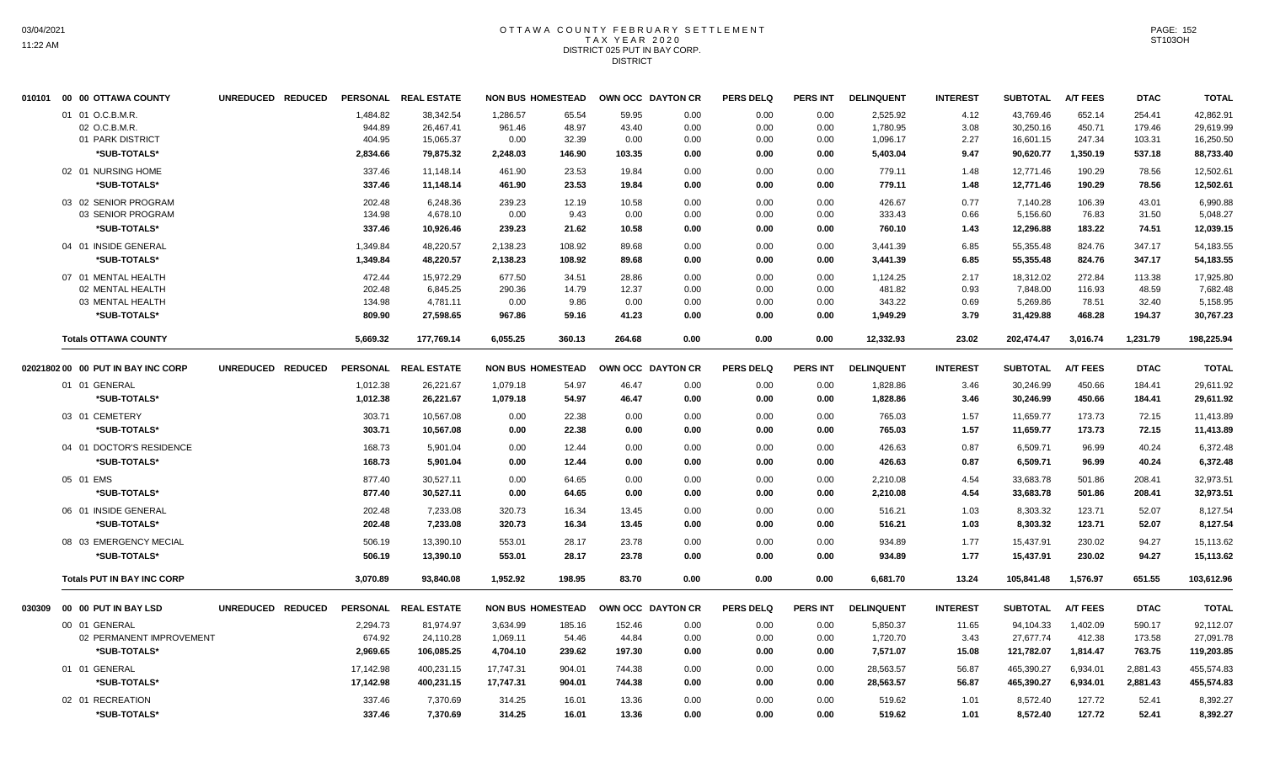## OTTAWA COUNTY FEBRUARY SETTLEMENT TAX YEAR 2020 DISTRICT 025 PUT IN BAY CORP. DISTRICT

| 010101 00 00 OTTAWA COUNTY                            | UNREDUCED REDUCED |                              | PERSONAL REAL ESTATE                |                            | <b>NON BUS HOMESTEAD</b> | OWN OCC DAYTON CR      |                      | <b>PERS DELQ</b>     | <b>PERS INT</b>      | <b>DELINQUENT</b>                | <b>INTEREST</b>      | <b>SUBTOTAL</b>                     | <b>A/T FEES</b>            | <b>DTAC</b>                | <b>TOTAL</b>                        |
|-------------------------------------------------------|-------------------|------------------------------|-------------------------------------|----------------------------|--------------------------|------------------------|----------------------|----------------------|----------------------|----------------------------------|----------------------|-------------------------------------|----------------------------|----------------------------|-------------------------------------|
| 01 01 O.C.B.M.R.<br>02 O.C.B.M.R.<br>01 PARK DISTRICT |                   | 1,484.82<br>944.89<br>404.95 | 38,342.54<br>26,467.41<br>15,065.37 | 1,286.57<br>961.46<br>0.00 | 65.54<br>48.97<br>32.39  | 59.95<br>43.40<br>0.00 | 0.00<br>0.00<br>0.00 | 0.00<br>0.00<br>0.00 | 0.00<br>0.00<br>0.00 | 2,525.92<br>1,780.95<br>1,096.17 | 4.12<br>3.08<br>2.27 | 43,769.46<br>30,250.16<br>16,601.15 | 652.14<br>450.71<br>247.34 | 254.41<br>179.46<br>103.31 | 42,862.91<br>29,619.99<br>16,250.50 |
| *SUB-TOTALS*                                          |                   | 2,834.66                     | 79,875.32                           | 2,248.03                   | 146.90                   | 103.35                 | 0.00                 | 0.00                 | 0.00                 | 5,403.04                         | 9.47                 | 90,620.77                           | 1,350.19                   | 537.18                     | 88,733.40                           |
| 02 01 NURSING HOME<br>*SUB-TOTALS*                    |                   | 337.46<br>337.46             | 11.148.14<br>11.148.14              | 461.90<br>461.90           | 23.53<br>23.53           | 19.84<br>19.84         | 0.00<br>0.00         | 0.00<br>0.00         | 0.00<br>0.00         | 779.11<br>779.11                 | 1.48<br>1.48         | 12,771.46<br>12,771.46              | 190.29<br>190.29           | 78.56<br>78.56             | 12,502.61<br>12.502.61              |
| 03 02 SENIOR PROGRAM<br>03 SENIOR PROGRAM             |                   | 202.48<br>134.98             | 6,248.36<br>4,678.10                | 239.23<br>0.00             | 12.19<br>9.43            | 10.58<br>0.00          | 0.00<br>0.00         | 0.00<br>0.00         | 0.00<br>0.00         | 426.67<br>333.43                 | 0.77<br>0.66         | 7,140.28<br>5,156.60                | 106.39<br>76.83            | 43.01<br>31.50             | 6,990.88<br>5,048.27                |
| *SUB-TOTALS*                                          |                   | 337.46                       | 10,926.46                           | 239.23                     | 21.62                    | 10.58                  | 0.00                 | 0.00                 | 0.00                 | 760.10                           | 1.43                 | 12,296.88                           | 183.22                     | 74.51                      | 12,039.15                           |
| 04 01 INSIDE GENERAL<br>*SUB-TOTALS*                  |                   | 1.349.84<br>1,349.84         | 48.220.57<br>48,220.57              | 2,138.23<br>2,138.23       | 108.92<br>108.92         | 89.68<br>89.68         | 0.00<br>0.00         | 0.00<br>0.00         | 0.00<br>0.00         | 3,441.39<br>3,441.39             | 6.85<br>6.85         | 55,355.48<br>55,355.48              | 824.76<br>824.76           | 347.17<br>347.17           | 54,183.55<br>54,183.55              |
| 07 01 MENTAL HEALTH<br>02 MENTAL HEALTH               |                   | 472.44<br>202.48             | 15.972.29<br>6,845.25               | 677.50<br>290.36           | 34.51<br>14.79           | 28.86<br>12.37         | 0.00<br>0.00         | 0.00<br>0.00         | 0.00<br>0.00         | 1.124.25<br>481.82               | 2.17<br>0.93         | 18.312.02<br>7,848.00               | 272.84<br>116.93           | 113.38<br>48.59            | 17,925.80<br>7,682.48               |
| 03 MENTAL HEALTH                                      |                   | 134.98                       | 4,781.11                            | 0.00                       | 9.86                     | 0.00                   | 0.00                 | 0.00                 | 0.00                 | 343.22                           | 0.69                 | 5,269.86                            | 78.51                      | 32.40                      | 5,158.95                            |
| *SUB-TOTALS*                                          |                   | 809.90                       | 27.598.65                           | 967.86                     | 59.16                    | 41.23                  | 0.00                 | 0.00                 | 0.00                 | 1,949.29                         | 3.79                 | 31,429.88                           | 468.28                     | 194.37                     | 30,767.23                           |
| <b>Totals OTTAWA COUNTY</b>                           |                   | 5,669.32                     | 177,769.14                          | 6,055.25                   | 360.13                   | 264.68                 | 0.00                 | 0.00                 | 0.00                 | 12,332.93                        | 23.02                | 202,474.47                          | 3,016.74                   | 1,231.79                   | 198,225.94                          |
| 02021802 00 00 PUT IN BAY INC CORP                    | UNREDUCED REDUCED |                              | PERSONAL REAL ESTATE                |                            | <b>NON BUS HOMESTEAD</b> | OWN OCC DAYTON CR      |                      | <b>PERS DELQ</b>     | <b>PERS INT</b>      | <b>DELINQUENT</b>                | <b>INTEREST</b>      | <b>SUBTOTAL</b>                     | <b>A/T FEES</b>            | <b>DTAC</b>                | <b>TOTAL</b>                        |
| 01 01 GENERAL<br>*SUB-TOTALS*                         |                   | 1,012.38<br>1,012.38         | 26,221.67<br>26,221.67              | 1,079.18<br>1,079.18       | 54.97<br>54.97           | 46.47<br>46.47         | 0.00<br>0.00         | 0.00<br>0.00         | 0.00<br>0.00         | 1,828.86<br>1,828.86             | 3.46<br>3.46         | 30,246.99<br>30,246.99              | 450.66<br>450.66           | 184.41<br>184.41           | 29,611.92<br>29,611.92              |
| 03 01 CEMETERY                                        |                   | 303.71                       | 10,567.08                           | 0.00                       | 22.38                    | 0.00                   | 0.00                 | 0.00                 | 0.00                 | 765.03                           | 1.57                 | 11,659.77                           | 173.73                     | 72.15                      | 11,413.89                           |
| *SUB-TOTALS*                                          |                   | 303.71                       | 10,567.08                           | 0.00                       | 22.38                    | 0.00                   | 0.00                 | 0.00                 | 0.00                 | 765.03                           | 1.57                 | 11,659.77                           | 173.73                     | 72.15                      | 11,413.89                           |
| 04 01 DOCTOR'S RESIDENCE                              |                   | 168.73                       | 5.901.04                            | 0.00                       | 12.44                    | 0.00                   | 0.00                 | 0.00                 | 0.00                 | 426.63                           | 0.87                 | 6,509.71                            | 96.99                      | 40.24                      | 6,372.48                            |
| *SUB-TOTALS*                                          |                   | 168.73                       | 5,901.04                            | 0.00                       | 12.44                    | 0.00                   | 0.00                 | 0.00                 | 0.00                 | 426.63                           | 0.87                 | 6,509.71                            | 96.99                      | 40.24                      | 6,372.48                            |
| 05 01 EMS<br>*SUB-TOTALS*                             |                   | 877.40<br>877.40             | 30,527.11<br>30.527.11              | 0.00<br>0.00               | 64.65<br>64.65           | 0.00<br>0.00           | 0.00<br>0.00         | 0.00<br>0.00         | 0.00<br>0.00         | 2,210.08<br>2,210.08             | 4.54<br>4.54         | 33,683.78<br>33,683.78              | 501.86<br>501.86           | 208.41<br>208.41           | 32,973.51<br>32,973.51              |
| 06 01 INSIDE GENERAL                                  |                   | 202.48                       | 7.233.08                            | 320.73                     | 16.34                    | 13.45                  | 0.00                 | 0.00                 | 0.00                 | 516.21                           | 1.03                 | 8.303.32                            | 123.71                     | 52.07                      | 8.127.54                            |
| *SUB-TOTALS*                                          |                   | 202.48                       | 7,233.08                            | 320.73                     | 16.34                    | 13.45                  | 0.00                 | 0.00                 | 0.00                 | 516.21                           | 1.03                 | 8,303.32                            | 123.71                     | 52.07                      | 8,127.54                            |
| 08 03 EMERGENCY MECIAL<br>*SUB-TOTALS*                |                   | 506.19<br>506.19             | 13,390.10<br>13,390.10              | 553.01<br>553.01           | 28.17<br>28.17           | 23.78<br>23.78         | 0.00<br>0.00         | 0.00<br>0.00         | 0.00<br>0.00         | 934.89<br>934.89                 | 1.77<br>1.77         | 15,437.91<br>15,437.91              | 230.02<br>230.02           | 94.27<br>94.27             | 15,113.62<br>15,113.62              |
| <b>Totals PUT IN BAY INC CORP</b>                     |                   | 3,070.89                     | 93.840.08                           | 1,952.92                   | 198.95                   | 83.70                  | 0.00                 | 0.00                 | 0.00                 | 6,681.70                         | 13.24                | 105,841.48                          | 1,576.97                   | 651.55                     | 103,612.96                          |
|                                                       | UNREDUCED REDUCED |                              | PERSONAL REAL ESTATE                |                            | <b>NON BUS HOMESTEAD</b> | OWN OCC DAYTON CR      |                      | <b>PERS DELQ</b>     | <b>PERS INT</b>      | <b>DELINQUENT</b>                | <b>INTEREST</b>      | <b>SUBTOTAL</b>                     | <b>A/T FEES</b>            | <b>DTAC</b>                | <b>TOTAL</b>                        |
| 00 01 GENERAL                                         |                   | 2.294.73                     | 81,974.97                           | 3.634.99                   | 185.16                   | 152.46                 | 0.00                 | 0.00                 | 0.00                 | 5,850.37                         | 11.65                | 94,104.33                           | 1.402.09                   | 590.17                     | 92.112.07                           |
| 02 PERMANENT IMPROVEMENT                              |                   | 674.92                       | 24,110.28                           | 1,069.11                   | 54.46                    | 44.84                  | 0.00                 | 0.00                 | 0.00                 | 1,720.70                         | 3.43                 | 27,677.74                           | 412.38                     | 173.58                     | 27,091.78                           |
| *SUB-TOTALS*                                          |                   | 2,969.65                     | 106,085.25                          | 4.704.10                   | 239.62                   | 197.30                 | 0.00                 | 0.00                 | 0.00                 | 7,571.07                         | 15.08                | 121,782.07                          | 1,814.47                   | 763.75                     | 119,203.85                          |
| 01 01 GENERAL<br>*SUB-TOTALS*                         |                   | 17,142.98<br>17,142.98       | 400,231.15<br>400,231.15            | 17,747.31<br>17,747.31     | 904.01<br>904.01         | 744.38<br>744.38       | 0.00<br>0.00         | 0.00<br>0.00         | 0.00<br>0.00         | 28,563.57<br>28,563.57           | 56.87<br>56.87       | 465,390.27<br>465,390.27            | 6,934.01<br>6,934.01       | 2,881.43<br>2,881.43       | 455,574.83<br>455,574.83            |
| 02 01 RECREATION                                      |                   | 337.46                       | 7,370.69                            | 314.25                     | 16.01                    | 13.36                  | 0.00                 | 0.00                 | 0.00                 | 519.62                           | 1.01                 | 8,572.40                            | 127.72                     | 52.41                      | 8.392.27                            |
| *SUB-TOTALS*                                          |                   | 337.46                       | 7,370.69                            | 314.25                     | 16.01                    | 13.36                  | 0.00                 | 0.00                 | 0.00                 | 519.62                           | 1.01                 | 8,572.40                            | 127.72                     | 52.41                      | 8,392.27                            |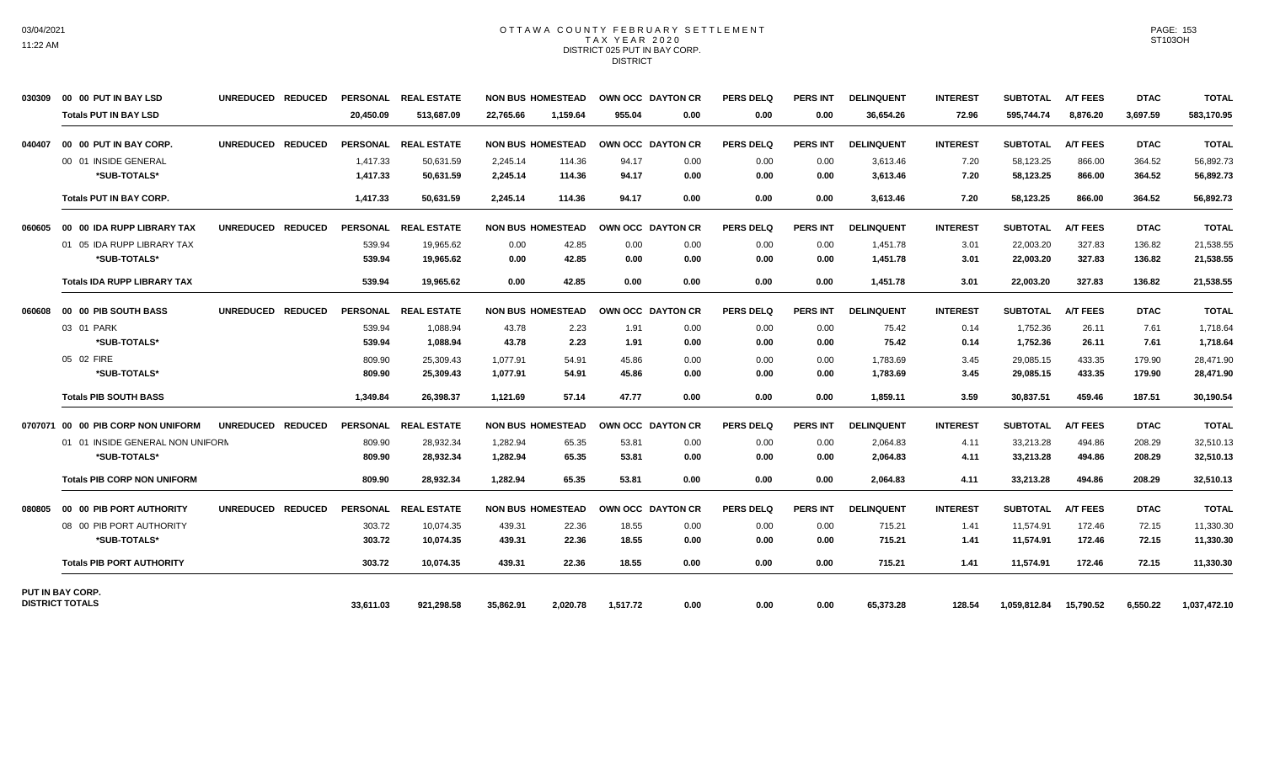## OTTAWA COUNTY FEBRUARY SETTLEMENT TAX YEAR 2020 DISTRICT 025 PUT IN BAY CORP. **DISTRICT**

| 030309 | 00 00 PUT IN BAY LSD               | UNREDUCED REDUCED                  | <b>PERSONAL</b> | <b>REAL ESTATE</b>   |           | <b>NON BUS HOMESTEAD</b> |          | OWN OCC DAYTON CR        | <b>PERS DELQ</b> | <b>PERS INT</b> | <b>DELINQUENT</b> | <b>INTEREST</b> | <b>SUBTOTAL</b> | <b>A/T FEES</b> | <b>DTAC</b> | <b>TOTAL</b> |
|--------|------------------------------------|------------------------------------|-----------------|----------------------|-----------|--------------------------|----------|--------------------------|------------------|-----------------|-------------------|-----------------|-----------------|-----------------|-------------|--------------|
|        | <b>Totals PUT IN BAY LSD</b>       |                                    | 20.450.09       | 513.687.09           | 22.765.66 | 1.159.64                 | 955.04   | 0.00                     | 0.00             | 0.00            | 36,654.26         | 72.96           | 595.744.74      | 8,876.20        | 3.697.59    | 583,170.95   |
| 040407 | 00 00 PUT IN BAY CORP.             | UNREDUCED REDUCED                  |                 | PERSONAL REAL ESTATE |           | <b>NON BUS HOMESTEAD</b> |          | <b>OWN OCC DAYTON CR</b> | <b>PERS DELQ</b> | <b>PERS INT</b> | <b>DELINQUENT</b> | <b>INTEREST</b> | <b>SUBTOTAL</b> | <b>A/T FEES</b> | <b>DTAC</b> | <b>TOTAL</b> |
|        | 00 01 INSIDE GENERAL               |                                    | 1,417.33        | 50,631.59            | 2,245.14  | 114.36                   | 94.17    | 0.00                     | 0.00             | 0.00            | 3,613.46          | 7.20            | 58,123.25       | 866.00          | 364.52      | 56,892.73    |
|        | *SUB-TOTALS*                       |                                    | 1,417.33        | 50,631.59            | 2,245.14  | 114.36                   | 94.17    | 0.00                     | 0.00             | 0.00            | 3,613.46          | 7.20            | 58,123.25       | 866.00          | 364.52      | 56,892.73    |
|        | <b>Totals PUT IN BAY CORP.</b>     |                                    | 1,417.33        | 50.631.59            | 2.245.14  | 114.36                   | 94.17    | 0.00                     | 0.00             | 0.00            | 3,613.46          | 7.20            | 58,123.25       | 866.00          | 364.52      | 56,892.73    |
| 060605 | 00 00 IDA RUPP LIBRARY TAX         | UNREDUCED REDUCED                  |                 | PERSONAL REAL ESTATE |           | <b>NON BUS HOMESTEAD</b> |          | OWN OCC DAYTON CR        | <b>PERS DELO</b> | <b>PERS INT</b> | <b>DELINQUENT</b> | <b>INTEREST</b> | <b>SUBTOTAL</b> | <b>A/T FEES</b> | <b>DTAC</b> | <b>TOTAL</b> |
|        | 01 05 IDA RUPP LIBRARY TAX         |                                    | 539.94          | 19,965.62            | 0.00      | 42.85                    | 0.00     | 0.00                     | 0.00             | 0.00            | 1,451.78          | 3.01            | 22,003.20       | 327.83          | 136.82      | 21,538.55    |
|        | *SUB-TOTALS*                       |                                    | 539.94          | 19,965.62            | 0.00      | 42.85                    | 0.00     | 0.00                     | 0.00             | 0.00            | 1,451.78          | 3.01            | 22,003.20       | 327.83          | 136.82      | 21,538.55    |
|        | <b>Totals IDA RUPP LIBRARY TAX</b> |                                    | 539.94          | 19,965.62            | 0.00      | 42.85                    | 0.00     | 0.00                     | 0.00             | 0.00            | 1,451.78          | 3.01            | 22,003.20       | 327.83          | 136.82      | 21,538.55    |
| 060608 | 00 00 PIB SOUTH BASS               | UNREDUCED REDUCED                  |                 | PERSONAL REAL ESTATE |           | <b>NON BUS HOMESTEAD</b> |          | <b>OWN OCC DAYTON CR</b> | <b>PERS DELQ</b> | <b>PERS INT</b> | <b>DELINQUENT</b> | <b>INTEREST</b> | <b>SUBTOTAL</b> | <b>A/T FEES</b> | <b>DTAC</b> | <b>TOTAL</b> |
|        | 03 01 PARK                         |                                    | 539.94          | 1,088.94             | 43.78     | 2.23                     | 1.91     | 0.00                     | 0.00             | 0.00            | 75.42             | 0.14            | 1,752.36        | 26.11           | 7.61        | 1,718.64     |
|        | *SUB-TOTALS*                       |                                    | 539.94          | 1,088.94             | 43.78     | 2.23                     | 1.91     | 0.00                     | 0.00             | 0.00            | 75.42             | 0.14            | 1,752.36        | 26.11           | 7.61        | 1,718.64     |
|        | 05 02 FIRE                         |                                    | 809.90          | 25.309.43            | 1.077.91  | 54.91                    | 45.86    | 0.00                     | 0.00             | 0.00            | 1.783.69          | 3.45            | 29.085.15       | 433.35          | 179.90      | 28.471.90    |
|        | *SUB-TOTALS*                       |                                    | 809.90          | 25,309.43            | 1,077.91  | 54.91                    | 45.86    | 0.00                     | 0.00             | 0.00            | 1,783.69          | 3.45            | 29,085.15       | 433.35          | 179.90      | 28,471.90    |
|        | <b>Totals PIB SOUTH BASS</b>       |                                    | 1.349.84        | 26,398.37            | 1,121.69  | 57.14                    | 47.77    | 0.00                     | 0.00             | 0.00            | 1,859.11          | 3.59            | 30,837.51       | 459.46          | 187.51      | 30,190.54    |
|        | 0707071 00 00 PIB CORP NON UNIFORM | <b>UNREDUCED</b><br><b>REDUCED</b> | <b>PERSONAL</b> | <b>REAL ESTATE</b>   |           | <b>NON BUS HOMESTEAD</b> |          | OWN OCC DAYTON CR        | <b>PERS DELQ</b> | <b>PERS INT</b> | <b>DELINQUENT</b> | <b>INTEREST</b> | <b>SUBTOTAL</b> | <b>A/T FEES</b> | <b>DTAC</b> | <b>TOTAL</b> |
|        | 01 01 INSIDE GENERAL NON UNIFORN   |                                    | 809.90          | 28,932.34            | 1,282.94  | 65.35                    | 53.81    | 0.00                     | 0.00             | 0.00            | 2,064.83          | 4.11            | 33,213.28       | 494.86          | 208.29      | 32,510.13    |
|        | *SUB-TOTALS*                       |                                    | 809.90          | 28,932.34            | 1,282.94  | 65.35                    | 53.81    | 0.00                     | 0.00             | 0.00            | 2.064.83          | 4.11            | 33,213.28       | 494.86          | 208.29      | 32,510.13    |
|        | <b>Totals PIB CORP NON UNIFORM</b> |                                    | 809.90          | 28,932.34            | 1,282.94  | 65.35                    | 53.81    | 0.00                     | 0.00             | 0.00            | 2,064.83          | 4.11            | 33,213.28       | 494.86          | 208.29      | 32,510.13    |
| 080805 | 00 00 PIB PORT AUTHORITY           | UNREDUCED REDUCED                  |                 | PERSONAL REAL ESTATE |           | <b>NON BUS HOMESTEAD</b> |          | <b>OWN OCC DAYTON CR</b> | <b>PERS DELQ</b> | <b>PERS INT</b> | <b>DELINQUENT</b> | <b>INTEREST</b> | <b>SUBTOTAL</b> | <b>A/T FEES</b> | <b>DTAC</b> | <b>TOTAL</b> |
|        | 08 00 PIB PORT AUTHORITY           |                                    | 303.72          | 10.074.35            | 439.31    | 22.36                    | 18.55    | 0.00                     | 0.00             | 0.00            | 715.21            | 1.41            | 11.574.91       | 172.46          | 72.15       | 11,330.30    |
|        | *SUB-TOTALS*                       |                                    | 303.72          | 10.074.35            | 439.31    | 22.36                    | 18.55    | 0.00                     | 0.00             | 0.00            | 715.21            | 1.41            | 11,574.91       | 172.46          | 72.15       | 11,330.30    |
|        | <b>Totals PIB PORT AUTHORITY</b>   |                                    | 303.72          | 10.074.35            | 439.31    | 22.36                    | 18.55    | 0.00                     | 0.00             | 0.00            | 715.21            | 1.41            | 11,574.91       | 172.46          | 72.15       | 11,330.30    |
|        | PUT IN BAY CORP.                   |                                    |                 |                      |           |                          |          |                          |                  |                 |                   |                 |                 |                 |             |              |
|        | <b>DISTRICT TOTALS</b>             |                                    | 33.611.03       | 921.298.58           | 35,862.91 | 2.020.78                 | 1.517.72 | 0.00                     | 0.00             | 0.00            | 65,373.28         | 128.54          | 1,059,812.84    | 15.790.52       | 6.550.22    | 1,037,472.10 |

PAGE: 153 ST103OH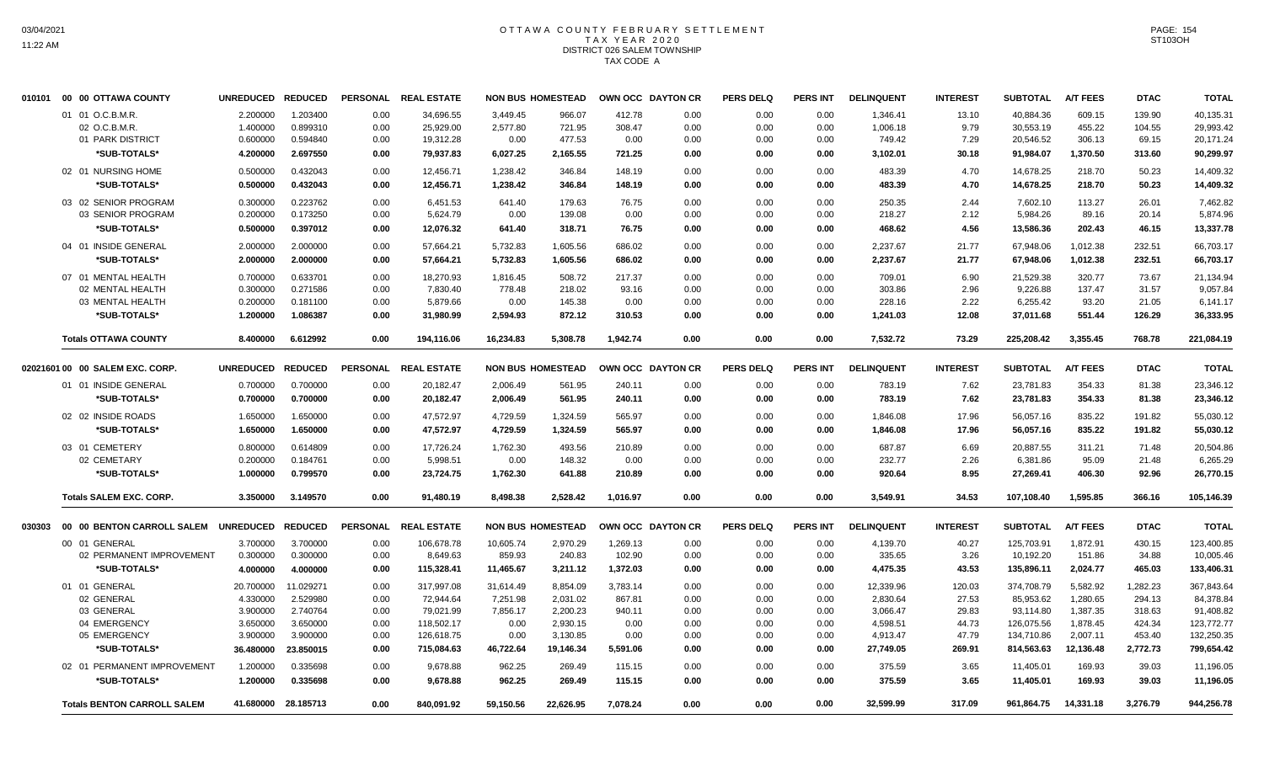# OTTAWA COUNTY FEBRUARY SETTLEMENT TAX YEAR 2020 DISTRICT 026 SALEM TOWNSHIP TAX CODE A

| 010101 | 00 OTTAWA COUNTY<br>00               | <b>UNREDUCED</b> | <b>REDUCED</b>      | <b>PERSONAL</b> | <b>REAL ESTATE</b> |           | <b>NON BUS HOMESTEAD</b> |          | OWN OCC DAYTON CR        | <b>PERS DELQ</b> | <b>PERS INT</b> | <b>DELINQUENT</b> | <b>INTEREST</b> | <b>SUBTOTAL</b> | <b>A/T FEES</b> | <b>DTAC</b> | <b>TOTAL</b> |
|--------|--------------------------------------|------------------|---------------------|-----------------|--------------------|-----------|--------------------------|----------|--------------------------|------------------|-----------------|-------------------|-----------------|-----------------|-----------------|-------------|--------------|
|        | 01 01 O.C.B.M.R.                     | 2.200000         | 1.203400            | 0.00            | 34,696.55          | 3,449.45  | 966.07                   | 412.78   | 0.00                     | 0.00             | 0.00            | 1,346.41          | 13.10           | 40,884.36       | 609.15          | 139.90      | 40,135.31    |
|        | 02 O.C.B.M.R                         | 1.400000         | 0.899310            | 0.00            | 25,929.00          | 2,577.80  | 721.95                   | 308.47   | 0.00                     | 0.00             | 0.00            | 1,006.18          | 9.79            | 30,553.19       | 455.22          | 104.55      | 29,993.42    |
|        | 01 PARK DISTRICT                     | 0.600000         | 0.594840            | 0.00            | 19,312.28          | 0.00      | 477.53                   | 0.00     | 0.00                     | 0.00             | 0.00            | 749.42            | 7.29            | 20,546.52       | 306.13          | 69.15       | 20,171.24    |
|        | *SUB-TOTALS*                         | 4.200000         | 2.697550            | 0.00            | 79,937.83          | 6,027.25  | 2,165.55                 | 721.25   | 0.00                     | 0.00             | 0.00            | 3,102.01          | 30.18           | 91,984.07       | 1,370.50        | 313.60      | 90,299.97    |
|        | 02 01 NURSING HOME                   | 0.500000         | 0.432043            | 0.00            | 12,456.71          | 1,238.42  | 346.84                   | 148.19   | 0.00                     | 0.00             | 0.00            | 483.39            | 4.70            | 14,678.25       | 218.70          | 50.23       | 14,409.32    |
|        | *SUB-TOTALS*                         | 0.500000         | 0.432043            | 0.00            | 12,456.71          | 1,238.42  | 346.84                   | 148.19   | 0.00                     | 0.00             | 0.00            | 483.39            | 4.70            | 14,678.25       | 218.70          | 50.23       | 14,409.32    |
|        |                                      |                  |                     |                 |                    |           |                          |          |                          |                  |                 |                   |                 |                 |                 |             |              |
|        | 03 02 SENIOR PROGRAM                 | 0.300000         | 0.223762            | 0.00            | 6,451.53           | 641.40    | 179.63                   | 76.75    | 0.00                     | 0.00             | 0.00            | 250.35            | 2.44            | 7,602.10        | 113.27          | 26.01       | 7,462.82     |
|        | 03 SENIOR PROGRAM                    | 0.200000         | 0.173250            | 0.00            | 5,624.79           | 0.00      | 139.08                   | 0.00     | 0.00                     | 0.00             | 0.00            | 218.27            | 2.12            | 5,984.26        | 89.16           | 20.14       | 5,874.96     |
|        | *SUB-TOTALS*                         | 0.500000         | 0.397012            | 0.00            | 12,076.32          | 641.40    | 318.71                   | 76.75    | 0.00                     | 0.00             | 0.00            | 468.62            | 4.56            | 13,586.36       | 202.43          | 46.15       | 13,337.78    |
|        | 04 01 INSIDE GENERAL                 | 2.000000         | 2.000000            | 0.00            | 57,664.21          | 5,732.83  | 1,605.56                 | 686.02   | 0.00                     | 0.00             | 0.00            | 2,237.67          | 21.77           | 67.948.06       | 1.012.38        | 232.51      | 66,703.17    |
|        | *SUB-TOTALS*                         | 2.000000         | 2.000000            | 0.00            | 57,664.21          | 5,732.83  | 1,605.56                 | 686.02   | 0.00                     | 0.00             | 0.00            | 2,237.67          | 21.77           | 67,948.06       | 1,012.38        | 232.51      | 66,703.17    |
|        | 07 01 MENTAL HEALTH                  | 0.700000         | 0.633701            | 0.00            | 18.270.93          | 1.816.45  | 508.72                   | 217.37   | 0.00                     | 0.00             | 0.00            | 709.01            | 6.90            | 21,529.38       | 320.77          | 73.67       | 21,134.94    |
|        | 02 MENTAL HEALTH                     | 0.300000         | 0.271586            | 0.00            | 7,830.40           | 778.48    | 218.02                   | 93.16    | 0.00                     | 0.00             | 0.00            | 303.86            | 2.96            | 9,226.88        | 137.47          | 31.57       | 9,057.84     |
|        | 03 MENTAL HEALTH                     | 0.200000         | 0.181100            | 0.00            | 5,879.66           | 0.00      | 145.38                   | 0.00     | 0.00                     | 0.00             | 0.00            | 228.16            | 2.22            | 6,255.42        | 93.20           | 21.05       | 6,141.17     |
|        | *SUB-TOTALS*                         | 1.200000         | 1.086387            | 0.00            | 31,980.99          | 2,594.93  | 872.12                   | 310.53   | 0.00                     | 0.00             | 0.00            | 1,241.03          | 12.08           | 37,011.68       | 551.44          | 126.29      | 36,333.95    |
|        | <b>Totals OTTAWA COUNTY</b>          | 8.400000         | 6.612992            | 0.00            | 194,116.06         | 16,234.83 | 5,308.78                 | 1,942.74 | 0.00                     | 0.00             | 0.00            | 7,532.72          | 73.29           | 225,208.42      | 3,355.45        | 768.78      | 221,084.19   |
|        | 02021601 00 00 SALEM EXC, CORP.      | <b>UNREDUCED</b> | <b>REDUCED</b>      | <b>PERSONAL</b> | <b>REAL ESTATE</b> |           | <b>NON BUS HOMESTEAD</b> |          | <b>OWN OCC DAYTON CR</b> | <b>PERS DELQ</b> | <b>PERS INT</b> | <b>DELINQUENT</b> | <b>INTEREST</b> | <b>SUBTOTAL</b> | <b>A/T FEES</b> | <b>DTAC</b> | <b>TOTAL</b> |
|        | 01 01 INSIDE GENERAL                 | 0.700000         | 0.700000            | 0.00            | 20,182.47          | 2,006.49  | 561.95                   | 240.11   | 0.00                     | 0.00             | 0.00            | 783.19            | 7.62            | 23,781.83       | 354.33          | 81.38       | 23,346.12    |
|        | *SUB-TOTALS*                         | 0.700000         | 0.700000            | 0.00            | 20,182.47          | 2,006.49  | 561.95                   | 240.11   | 0.00                     | 0.00             | 0.00            | 783.19            | 7.62            | 23,781.83       | 354.33          | 81.38       | 23,346.12    |
|        |                                      |                  |                     |                 |                    |           |                          |          |                          |                  | 0.00            |                   |                 |                 |                 |             |              |
|        | 02 02 INSIDE ROADS                   | 1.650000         | 1.650000            | 0.00            | 47,572.97          | 4,729.59  | 1,324.59                 | 565.97   | 0.00                     | 0.00             |                 | 1,846.08          | 17.96           | 56,057.16       | 835.22          | 191.82      | 55,030.12    |
|        | *SUB-TOTALS*                         | 1.650000         | 1.650000            | 0.00            | 47,572.97          | 4,729.59  | 1,324.59                 | 565.97   | 0.00                     | 0.00             | 0.00            | 1,846.08          | 17.96           | 56,057.16       | 835.22          | 191.82      | 55,030.12    |
|        | 03 01 CEMETERY                       | 0.800000         | 0.614809            | 0.00            | 17,726.24          | 1,762.30  | 493.56                   | 210.89   | 0.00                     | 0.00             | 0.00            | 687.87            | 6.69            | 20,887.55       | 311.21          | 71.48       | 20,504.86    |
|        | 02 CEMETARY                          | 0.200000         | 0.184761            | 0.00            | 5,998.51           | 0.00      | 148.32                   | 0.00     | 0.00                     | 0.00             | 0.00            | 232.77            | 2.26            | 6,381.86        | 95.09           | 21.48       | 6,265.29     |
|        | *SUB-TOTALS*                         | 1.000000         | 0.799570            | 0.00            | 23,724.75          | 1,762.30  | 641.88                   | 210.89   | 0.00                     | 0.00             | 0.00            | 920.64            | 8.95            | 27,269.41       | 406.30          | 92.96       | 26,770.15    |
|        | <b>Totals SALEM EXC. CORP.</b>       | 3.350000         | 3.149570            | 0.00            | 91.480.19          | 8.498.38  | 2,528.42                 | 1,016.97 | 0.00                     | 0.00             | 0.00            | 3,549.91          | 34.53           | 107,108.40      | 1.595.85        | 366.16      | 105,146.39   |
| 030303 | 00 00 BENTON CARROLL SALEM UNREDUCED |                  | <b>REDUCED</b>      | <b>PERSONAL</b> | <b>REAL ESTATE</b> |           | <b>NON BUS HOMESTEAD</b> |          | OWN OCC DAYTON CR        | <b>PERS DELQ</b> | <b>PERS INT</b> | <b>DELINQUENT</b> | <b>INTEREST</b> | <b>SUBTOTAL</b> | <b>A/T FEES</b> | <b>DTAC</b> | <b>TOTAL</b> |
|        | 00 01 GENERAL                        | 3.700000         | 3.700000            | 0.00            | 106,678.78         | 10,605.74 | 2,970.29                 | 1,269.13 | 0.00                     | 0.00             | 0.00            | 4,139.70          | 40.27           | 125,703.91      | 1,872.91        | 430.15      | 123,400.85   |
|        | 02 PERMANENT IMPROVEMENT             | 0.300000         | 0.300000            | 0.00            | 8,649.63           | 859.93    | 240.83                   | 102.90   | 0.00                     | 0.00             | 0.00            | 335.65            | 3.26            | 10,192.20       | 151.86          | 34.88       | 10,005.46    |
|        | *SUB-TOTALS*                         | 4.000000         | 4.000000            | 0.00            | 115,328.41         | 11,465.67 | 3,211.12                 | 1,372.03 | 0.00                     | 0.00             | 0.00            | 4,475.35          | 43.53           | 135,896.11      | 2,024.77        | 465.03      | 133,406.31   |
|        | 01 01 GENERAL                        | 20.700000        | 11.029271           | 0.00            | 317,997.08         | 31,614.49 | 8,854.09                 | 3,783.14 | 0.00                     | 0.00             | 0.00            | 12,339.96         | 120.03          | 374,708.79      | 5,582.92        | 1,282.23    | 367,843.64   |
|        | 02 GENERAL                           | 4.330000         | 2.529980            | 0.00            | 72,944.64          | 7,251.98  | 2,031.02                 | 867.81   | 0.00                     | 0.00             | 0.00            | 2,830.64          | 27.53           | 85,953.62       | 1,280.65        | 294.13      | 84,378.84    |
|        | 03 GENERAL                           | 3.900000         | 2.740764            | 0.00            | 79,021.99          | 7,856.17  | 2,200.23                 | 940.11   | 0.00                     | 0.00             | 0.00            | 3,066.47          | 29.83           | 93,114.80       | 1,387.35        | 318.63      | 91,408.82    |
|        | 04 EMERGENCY                         | 3.650000         | 3.650000            | 0.00            | 118,502.17         | 0.00      | 2,930.15                 | 0.00     | 0.00                     | 0.00             | 0.00            | 4,598.51          | 44.73           | 126,075.56      | 1,878.45        | 424.34      | 123,772.77   |
|        | 05 EMERGENCY                         | 3.900000         | 3.900000            | 0.00            | 126,618.75         | 0.00      | 3,130.85                 | 0.00     | 0.00                     | 0.00             | 0.00            | 4,913.47          | 47.79           | 134,710.86      | 2,007.11        | 453.40      | 132,250.35   |
|        | *SUB-TOTALS*                         | 36.480000        | 23.850015           | 0.00            | 715,084.63         | 46,722.64 | 19,146.34                | 5,591.06 | 0.00                     | 0.00             | 0.00            | 27,749.05         | 269.91          | 814,563.63      | 12,136.48       | 2,772.73    | 799,654.42   |
|        | 02 01 PERMANENT IMPROVEMENT          | 1.200000         | 0.335698            | 0.00            | 9,678.88           | 962.25    | 269.49                   | 115.15   | 0.00                     | 0.00             | 0.00            | 375.59            | 3.65            | 11,405.01       | 169.93          | 39.03       | 11,196.05    |
|        | *SUB-TOTALS*                         | 1.200000         | 0.335698            | 0.00            | 9,678.88           | 962.25    | 269.49                   | 115.15   | 0.00                     | 0.00             | 0.00            | 375.59            | 3.65            | 11,405.01       | 169.93          | 39.03       | 11,196.05    |
|        | <b>Totals BENTON CARROLL SALEM</b>   |                  | 41.680000 28.185713 | 0.00            | 840,091.92         | 59,150.56 | 22,626.95                | 7,078.24 | 0.00                     | 0.00             | 0.00            | 32,599.99         | 317.09          | 961,864.75      | 14,331.18       | 3,276.79    | 944,256.78   |
|        |                                      |                  |                     |                 |                    |           |                          |          |                          |                  |                 |                   |                 |                 |                 |             |              |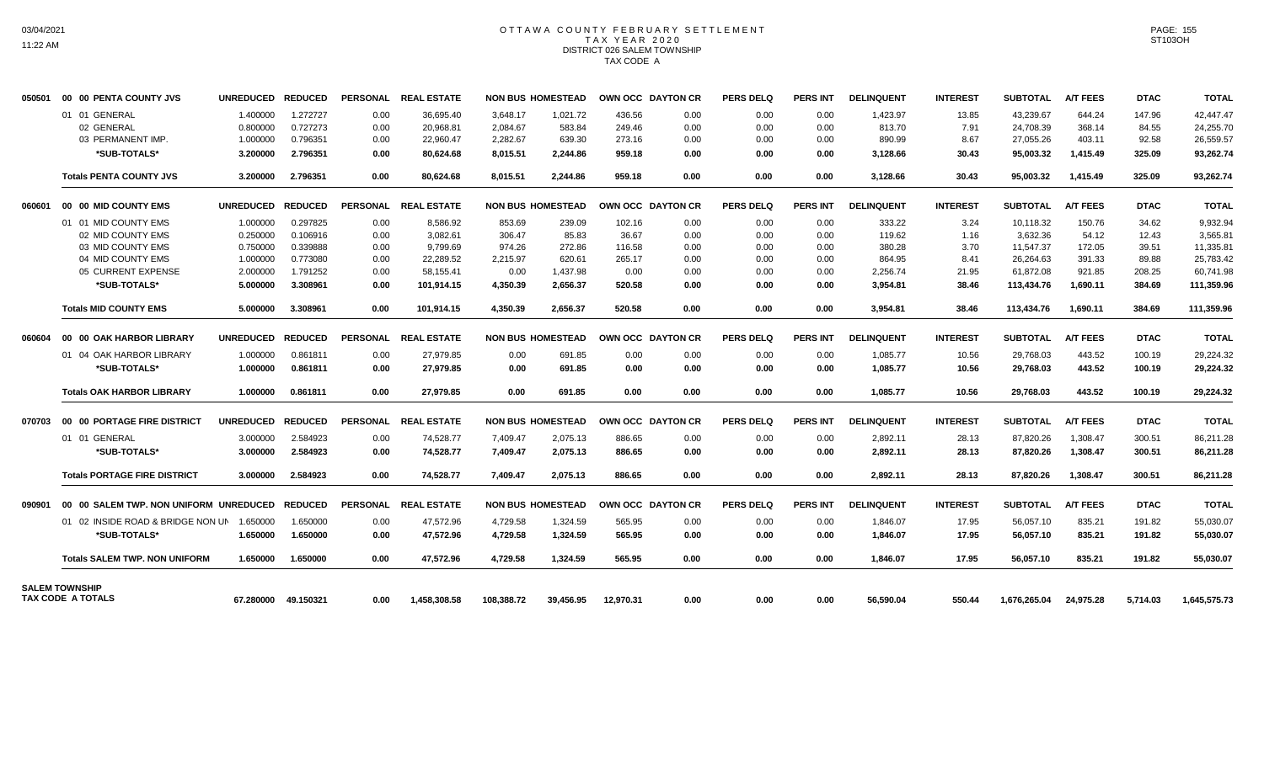## OTTAWA COUNTY FEBRUARY SETTLEMENT TAX YEAR 2020 DISTRICT 026 SALEM TOWNSHIP TAX CODE A

| 050501 | 00 00 PENTA COUNTY JVS                            | <b>UNREDUCED</b> | <b>REDUCED</b> |                 | PERSONAL REAL ESTATE |            | <b>NON BUS HOMESTEAD</b> |           | OWN OCC DAYTON CR | <b>PERS DELQ</b> | <b>PERS INT</b> | <b>DELINQUENT</b> | <b>INTEREST</b> | <b>SUBTOTAL</b> | <b>A/T FEES</b> | <b>DTAC</b> | <b>TOTAL</b> |
|--------|---------------------------------------------------|------------------|----------------|-----------------|----------------------|------------|--------------------------|-----------|-------------------|------------------|-----------------|-------------------|-----------------|-----------------|-----------------|-------------|--------------|
|        | 01 01 GENERAL                                     | 1.400000         | 1.272727       | 0.00            | 36.695.40            | 3.648.17   | 1.021.72                 | 436.56    | 0.00              | 0.00             | 0.00            | 1,423.97          | 13.85           | 43.239.67       | 644.24          | 147.96      | 42.447.47    |
|        | 02 GENERAL                                        | 0.800000         | 0.727273       | 0.00            | 20,968.81            | 2,084.67   | 583.84                   | 249.46    | 0.00              | 0.00             | 0.00            | 813.70            | 7.91            | 24,708.39       | 368.14          | 84.55       | 24,255.70    |
|        | 03 PERMANENT IMP.                                 | 1.000000         | 0.796351       | 0.00            | 22,960.47            | 2,282.67   | 639.30                   | 273.16    | 0.00              | 0.00             | 0.00            | 890.99            | 8.67            | 27,055.26       | 403.11          | 92.58       | 26,559.57    |
|        | *SUB-TOTALS*                                      | 3.200000         | 2.796351       | 0.00            | 80,624.68            | 8,015.51   | 2,244.86                 | 959.18    | 0.00              | 0.00             | 0.00            | 3,128.66          | 30.43           | 95,003.32       | 1,415.49        | 325.09      | 93,262.74    |
|        | <b>Totals PENTA COUNTY JVS</b>                    | 3.200000         | 2.796351       | 0.00            | 80.624.68            | 8.015.51   | 2.244.86                 | 959.18    | 0.00              | 0.00             | 0.00            | 3,128.66          | 30.43           | 95.003.32       | 1,415.49        | 325.09      | 93,262.74    |
| 060601 | 00 00 MID COUNTY EMS                              | <b>UNREDUCED</b> | <b>REDUCED</b> | <b>PERSONAL</b> | <b>REAL ESTATE</b>   |            | <b>NON BUS HOMESTEAD</b> |           | OWN OCC DAYTON CR | <b>PERS DELO</b> | <b>PERS INT</b> | <b>DELINQUENT</b> | <b>INTEREST</b> | <b>SUBTOTAL</b> | <b>A/T FEES</b> | <b>DTAC</b> | <b>TOTAL</b> |
|        | 01 01 MID COUNTY EMS                              | 1.000000         | 0.297825       | 0.00            | 8,586.92             | 853.69     | 239.09                   | 102.16    | 0.00              | 0.00             | 0.00            | 333.22            | 3.24            | 10,118.32       | 150.76          | 34.62       | 9,932.94     |
|        | 02 MID COUNTY EMS                                 | 0.250000         | 0.106916       | 0.00            | 3,082.61             | 306.47     | 85.83                    | 36.67     | 0.00              | 0.00             | 0.00            | 119.62            | 1.16            | 3,632.36        | 54.12           | 12.43       | 3,565.81     |
|        | 03 MID COUNTY EMS                                 | 0.750000         | 0.339888       | 0.00            | 9,799.69             | 974.26     | 272.86                   | 116.58    | 0.00              | 0.00             | 0.00            | 380.28            | 3.70            | 11,547.37       | 172.05          | 39.51       | 11,335.81    |
|        | 04 MID COUNTY EMS                                 | 1.000000         | 0.773080       | 0.00            | 22.289.52            | 2,215.97   | 620.61                   | 265.17    | 0.00              | 0.00             | 0.00            | 864.95            | 8.41            | 26,264.63       | 391.33          | 89.88       | 25,783.42    |
|        | 05 CURRENT EXPENSE                                | 2.000000         | 1.791252       | 0.00            | 58,155.41            | 0.00       | 1,437.98                 | 0.00      | 0.00              | 0.00             | 0.00            | 2,256.74          | 21.95           | 61,872.08       | 921.85          | 208.25      | 60.741.98    |
|        | *SUB-TOTALS*                                      | 5.000000         | 3.308961       | 0.00            | 101,914.15           | 4,350.39   | 2,656.37                 | 520.58    | 0.00              | 0.00             | 0.00            | 3,954.81          | 38.46           | 113,434.76      | 1,690.11        | 384.69      | 111,359.96   |
|        | <b>Totals MID COUNTY EMS</b>                      | 5.000000         | 3.308961       | 0.00            | 101,914.15           | 4,350.39   | 2,656.37                 | 520.58    | 0.00              | 0.00             | 0.00            | 3,954.81          | 38.46           | 113,434.76      | 1,690.11        | 384.69      | 111,359.96   |
| 060604 | 00 00 OAK HARBOR LIBRARY                          | <b>UNREDUCED</b> | <b>REDUCED</b> | <b>PERSONAL</b> | <b>REAL ESTATE</b>   |            | <b>NON BUS HOMESTEAD</b> |           | OWN OCC DAYTON CR | <b>PERS DELO</b> | <b>PERS INT</b> | <b>DELINQUENT</b> | <b>INTEREST</b> | <b>SUBTOTAL</b> | <b>A/T FEES</b> | <b>DTAC</b> | <b>TOTAL</b> |
|        | 01 04 OAK HARBOR LIBRARY                          | 1.000000         | 0.861811       | 0.00            | 27,979.85            | 0.00       | 691.85                   | 0.00      | 0.00              | 0.00             | 0.00            | 1,085.77          | 10.56           | 29,768.03       | 443.52          | 100.19      | 29,224.32    |
|        | *SUB-TOTALS*                                      | 1.000000         | 0.861811       | 0.00            | 27.979.85            | 0.00       | 691.85                   | 0.00      | 0.00              | 0.00             | 0.00            | 1.085.77          | 10.56           | 29,768.03       | 443.52          | 100.19      | 29,224.32    |
|        | <b>Totals OAK HARBOR LIBRARY</b>                  | 1.000000         | 0.861811       | 0.00            | 27,979.85            | 0.00       | 691.85                   | 0.00      | 0.00              | 0.00             | 0.00            | 1,085.77          | 10.56           | 29,768.03       | 443.52          | 100.19      | 29,224.32    |
| 070703 | 00 00 PORTAGE FIRE DISTRICT                       | <b>UNREDUCED</b> | <b>REDUCED</b> |                 | PERSONAL REAL ESTATE |            | <b>NON BUS HOMESTEAD</b> |           | OWN OCC DAYTON CR | <b>PERS DELQ</b> | <b>PERS INT</b> | <b>DELINQUENT</b> | <b>INTEREST</b> | <b>SUBTOTAL</b> | <b>A/T FEES</b> | <b>DTAC</b> | <b>TOTAL</b> |
|        | 01 01 GENERAL                                     | 3.000000         | 2.584923       | 0.00            | 74,528.77            | 7.409.47   | 2,075.13                 | 886.65    | 0.00              | 0.00             | 0.00            | 2,892.11          | 28.13           | 87,820.26       | 1,308.47        | 300.51      | 86,211.28    |
|        | *SUB-TOTALS*                                      | 3.000000         | 2.584923       | 0.00            | 74,528.77            | 7,409.47   | 2,075.13                 | 886.65    | 0.00              | 0.00             | 0.00            | 2,892.11          | 28.13           | 87,820.26       | 1,308.47        | 300.51      | 86,211.28    |
|        | <b>Totals PORTAGE FIRE DISTRICT</b>               | 3.000000         | 2.584923       | 0.00            | 74.528.77            | 7.409.47   | 2.075.13                 | 886.65    | 0.00              | 0.00             | 0.00            | 2.892.11          | 28.13           | 87.820.26       | 1.308.47        | 300.51      | 86.211.28    |
| 090901 | 00 00 SALEM TWP. NON UNIFORM UNREDUCED            |                  | <b>REDUCED</b> |                 | PERSONAL REAL ESTATE |            | <b>NON BUS HOMESTEAD</b> |           | OWN OCC DAYTON CR | <b>PERS DELQ</b> | <b>PERS INT</b> | <b>DELINQUENT</b> | <b>INTEREST</b> | <b>SUBTOTAL</b> | <b>A/T FEES</b> | <b>DTAC</b> | <b>TOTAL</b> |
|        | 01 02 INSIDE ROAD & BRIDGE NON UN                 | 1.650000         | 1.650000       | 0.00            | 47,572.96            | 4,729.58   | 1,324.59                 | 565.95    | 0.00              | 0.00             | 0.00            | 1,846.07          | 17.95           | 56,057.10       | 835.21          | 191.82      | 55,030.07    |
|        | *SUB-TOTALS*                                      | 1.650000         | 1.650000       | 0.00            | 47,572.96            | 4,729.58   | 1,324.59                 | 565.95    | 0.00              | 0.00             | 0.00            | 1,846.07          | 17.95           | 56,057.10       | 835.21          | 191.82      | 55,030.07    |
|        | <b>Totals SALEM TWP, NON UNIFORM</b>              | 1.650000         | 1.650000       | 0.00            | 47.572.96            | 4,729.58   | 1,324.59                 | 565.95    | 0.00              | 0.00             | 0.00            | 1.846.07          | 17.95           | 56,057.10       | 835.21          | 191.82      | 55,030.07    |
|        | <b>SALEM TOWNSHIP</b><br><b>TAX CODE A TOTALS</b> | 67.280000        | 49.150321      | 0.00            | 1.458.308.58         | 108.388.72 | 39.456.95                | 12.970.31 | 0.00              | 0.00             | 0.00            | 56.590.04         | 550.44          | 1.676.265.04    | 24.975.28       | 5.714.03    | 1,645,575.73 |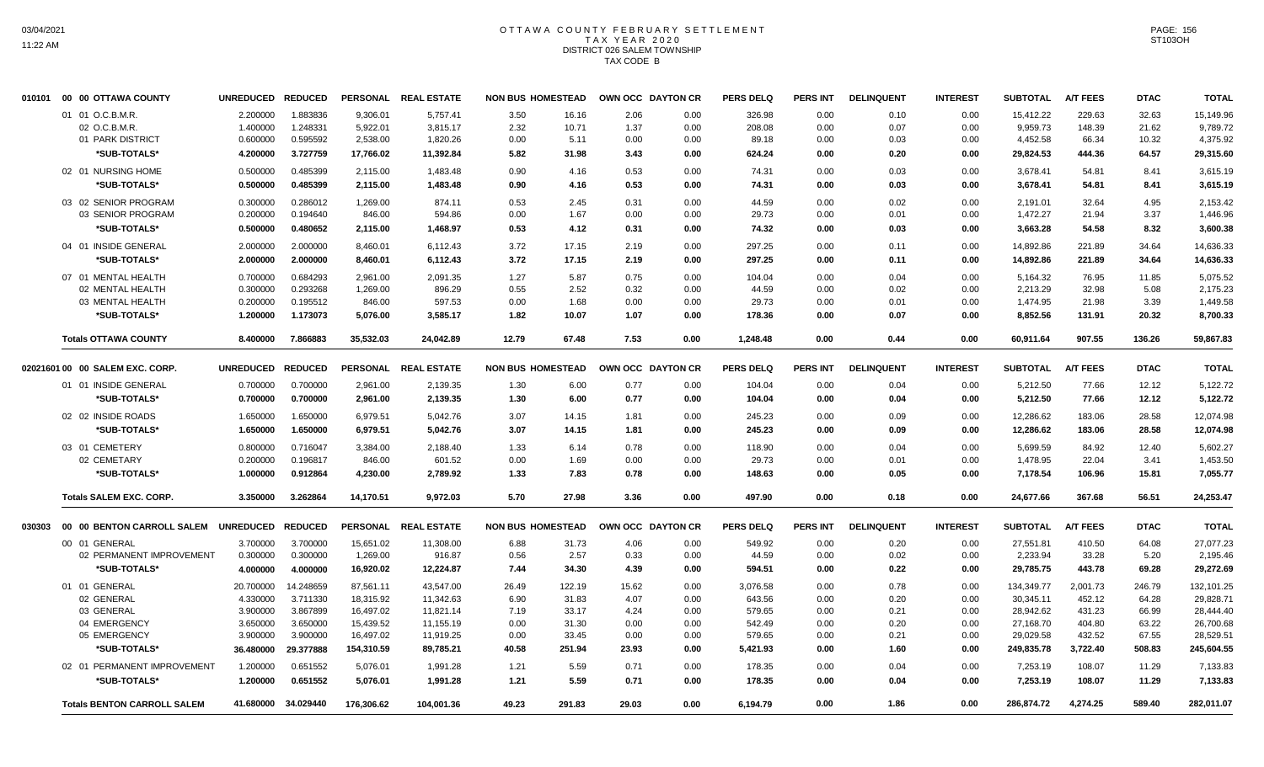#### OTTAWA COUNTY FEBRUARY SETTLEMENT T A X Y E A R 2 0 2 0 DISTRICT 026 SALEM TOWNSHIP TAX CODE B

| 010101 | 00 00 OTTAWA COUNTY                | <b>UNREDUCED</b> | <b>REDUCED</b>      | <b>PERSONAL</b> | <b>REAL ESTATE</b>   | <b>NON BUS HOMESTEAD</b> |        |       | OWN OCC DAYTON CR | <b>PERS DELQ</b> | <b>PERS INT</b> | <b>DELINQUENT</b> | <b>INTEREST</b> | <b>SUBTOTAL</b> | <b>A/T FEES</b> | <b>DTAC</b> | <b>TOTAL</b> |
|--------|------------------------------------|------------------|---------------------|-----------------|----------------------|--------------------------|--------|-------|-------------------|------------------|-----------------|-------------------|-----------------|-----------------|-----------------|-------------|--------------|
|        | 01 01 O.C.B.M.R.                   | 2.200000         | 1.883836            | 9,306.01        | 5,757.41             | 3.50                     | 16.16  | 2.06  | 0.00              | 326.98           | 0.00            | 0.10              | 0.00            | 15,412.22       | 229.63          | 32.63       | 15,149.96    |
|        | 02 O.C.B.M.R.                      | 1.400000         | 1.248331            | 5,922.01        | 3,815.17             | 2.32                     | 10.71  | 1.37  | 0.00              | 208.08           | 0.00            | 0.07              | 0.00            | 9,959.73        | 148.39          | 21.62       | 9,789.72     |
|        | 01 PARK DISTRICT                   | 0.600000         | 0.595592            | 2,538.00        | 1,820.26             | 0.00                     | 5.11   | 0.00  | 0.00              | 89.18            | 0.00            | 0.03              | 0.00            | 4,452.58        | 66.34           | 10.32       | 4,375.92     |
|        | *SUB-TOTALS*                       | 4.200000         | 3.727759            | 17,766.02       | 11,392.84            | 5.82                     | 31.98  | 3.43  | 0.00              | 624.24           | 0.00            | 0.20              | 0.00            | 29,824.53       | 444.36          | 64.57       | 29,315.60    |
|        | 02 01 NURSING HOME                 | 0.500000         | 0.485399            | 2,115.00        | 1,483.48             | 0.90                     | 4.16   | 0.53  | 0.00              | 74.31            | 0.00            | 0.03              | 0.00            | 3,678.41        | 54.81           | 8.41        | 3,615.19     |
|        | *SUB-TOTALS*                       | 0.500000         | 0.485399            | 2,115.00        | 1,483.48             | 0.90                     | 4.16   | 0.53  | 0.00              | 74.31            | 0.00            | 0.03              | 0.00            | 3,678.41        | 54.81           | 8.41        | 3,615.19     |
|        | 03 02 SENIOR PROGRAM               | 0.300000         | 0.286012            | 1,269.00        | 874.11               | 0.53                     | 2.45   | 0.31  | 0.00              | 44.59            | 0.00            | 0.02              | 0.00            | 2,191.01        | 32.64           | 4.95        | 2,153.42     |
|        | 03 SENIOR PROGRAM                  | 0.200000         | 0.194640            | 846.00          | 594.86               | 0.00                     | 1.67   | 0.00  | 0.00              | 29.73            | 0.00            | 0.01              | 0.00            | 1,472.27        | 21.94           | 3.37        | 1,446.96     |
|        | *SUB-TOTALS*                       | 0.500000         | 0.480652            | 2,115.00        | 1,468.97             | 0.53                     | 4.12   | 0.31  | 0.00              | 74.32            | 0.00            | 0.03              | 0.00            | 3,663.28        | 54.58           | 8.32        | 3,600.38     |
|        | 04 01 INSIDE GENERAL               | 2.000000         | 2.000000            | 8,460.01        | 6,112.43             | 3.72                     | 17.15  | 2.19  | 0.00              | 297.25           | 0.00            | 0.11              | 0.00            | 14,892.86       | 221.89          | 34.64       | 14,636.33    |
|        | *SUB-TOTALS*                       | 2.000000         | 2.000000            | 8,460.01        | 6,112.43             | 3.72                     | 17.15  | 2.19  | 0.00              | 297.25           | 0.00            | 0.11              | 0.00            | 14,892.86       | 221.89          | 34.64       | 14,636.33    |
|        | 07 01 MENTAL HEALTH                | 0.700000         | 0.684293            | 2,961.00        | 2,091.35             | 1.27                     | 5.87   | 0.75  | 0.00              | 104.04           | 0.00            | 0.04              | 0.00            | 5,164.32        | 76.95           | 11.85       | 5,075.52     |
|        | 02 MENTAL HEALTH                   | 0.300000         | 0.293268            | 1,269.00        | 896.29               | 0.55                     | 2.52   | 0.32  | 0.00              | 44.59            | 0.00            | 0.02              | 0.00            | 2,213.29        | 32.98           | 5.08        | 2,175.23     |
|        | 03 MENTAL HEALTH                   | 0.200000         | 0.195512            | 846.00          | 597.53               | 0.00                     | 1.68   | 0.00  | 0.00              | 29.73            | 0.00            | 0.01              | 0.00            | 1,474.95        | 21.98           | 3.39        | 1,449.58     |
|        | *SUB-TOTALS*                       | 1.200000         | 1.173073            | 5,076.00        | 3,585.17             | 1.82                     | 10.07  | 1.07  | 0.00              | 178.36           | 0.00            | 0.07              | 0.00            | 8,852.56        | 131.91          | 20.32       | 8,700.33     |
|        | <b>Totals OTTAWA COUNTY</b>        | 8.400000         | 7.866883            | 35,532.03       | 24,042.89            | 12.79                    | 67.48  | 7.53  | 0.00              | 1,248.48         | 0.00            | 0.44              | 0.00            | 60,911.64       | 907.55          | 136.26      | 59,867.83    |
|        | 02021601 00 00 SALEM EXC. CORP.    | <b>UNREDUCED</b> | <b>REDUCED</b>      | <b>PERSONAL</b> | <b>REAL ESTATE</b>   | <b>NON BUS HOMESTEAD</b> |        |       | OWN OCC DAYTON CR | <b>PERS DELQ</b> | <b>PERS INT</b> | <b>DELINQUENT</b> | <b>INTEREST</b> | <b>SUBTOTAL</b> | <b>A/T FEES</b> | <b>DTAC</b> | <b>TOTAL</b> |
|        | 01 01 INSIDE GENERAL               | 0.700000         | 0.700000            | 2,961.00        | 2,139.35             | 1.30                     | 6.00   | 0.77  | 0.00              | 104.04           | 0.00            | 0.04              | 0.00            | 5,212.50        | 77.66           | 12.12       | 5,122.72     |
|        | *SUB-TOTALS*                       | 0.700000         | 0.700000            | 2,961.00        | 2,139.35             | 1.30                     | 6.00   | 0.77  | 0.00              | 104.04           | 0.00            | 0.04              | 0.00            | 5,212.50        | 77.66           | 12.12       | 5,122.72     |
|        | 02 02 INSIDE ROADS                 | 1.650000         | 1.650000            | 6,979.51        | 5,042.76             | 3.07                     | 14.15  | 1.81  | 0.00              | 245.23           | 0.00            | 0.09              | 0.00            | 12,286.62       | 183.06          | 28.58       | 12,074.98    |
|        | *SUB-TOTALS*                       | 1.650000         | 1.650000            | 6,979.51        | 5,042.76             | 3.07                     | 14.15  | 1.81  | 0.00              | 245.23           | 0.00            | 0.09              | 0.00            | 12,286.62       | 183.06          | 28.58       | 12,074.98    |
|        | 03 01 CEMETERY                     | 0.800000         | 0.716047            | 3,384.00        | 2,188.40             | 1.33                     | 6.14   | 0.78  | 0.00              | 118.90           | 0.00            | 0.04              | 0.00            | 5,699.59        | 84.92           | 12.40       | 5.602.27     |
|        | 02 CEMETARY                        | 0.200000         | 0.196817            | 846.00          | 601.52               | 0.00                     | 1.69   | 0.00  | 0.00              | 29.73            | 0.00            | 0.01              | 0.00            | 1,478.95        | 22.04           | 3.41        | 1,453.50     |
|        | *SUB-TOTALS*                       | 1.000000         | 0.912864            | 4,230.00        | 2,789.92             | 1.33                     | 7.83   | 0.78  | 0.00              | 148.63           | 0.00            | 0.05              | 0.00            | 7,178.54        | 106.96          | 15.81       | 7,055.77     |
|        | <b>Totals SALEM EXC. CORP.</b>     | 3.350000         | 3.262864            | 14,170.51       | 9,972.03             | 5.70                     | 27.98  | 3.36  | 0.00              | 497.90           | 0.00            | 0.18              | 0.00            | 24,677.66       | 367.68          | 56.51       | 24,253.47    |
| 030303 | 00 00 BENTON CARROLL SALEM         | <b>UNREDUCED</b> | <b>REDUCED</b>      |                 | PERSONAL REAL ESTATE | <b>NON BUS HOMESTEAD</b> |        |       | OWN OCC DAYTON CR | <b>PERS DELQ</b> | <b>PERS INT</b> | <b>DELINQUENT</b> | <b>INTEREST</b> | <b>SUBTOTAL</b> | <b>A/T FEES</b> | <b>DTAC</b> | <b>TOTAL</b> |
|        | 00 01 GENERAL                      | 3.700000         | 3.700000            | 15,651.02       | 11,308.00            | 6.88                     | 31.73  | 4.06  | 0.00              | 549.92           | 0.00            | 0.20              | 0.00            | 27,551.81       | 410.50          | 64.08       | 27,077.23    |
|        | 02 PERMANENT IMPROVEMENT           | 0.300000         | 0.300000            | 1,269.00        | 916.87               | 0.56                     | 2.57   | 0.33  | 0.00              | 44.59            | 0.00            | 0.02              | 0.00            | 2,233.94        | 33.28           | 5.20        | 2,195.46     |
|        | *SUB-TOTALS*                       | 4.000000         | 4.000000            | 16,920.02       | 12,224.87            | 7.44                     | 34.30  | 4.39  | 0.00              | 594.51           | 0.00            | 0.22              | 0.00            | 29,785.75       | 443.78          | 69.28       | 29,272.69    |
|        | 01 01 GENERAL                      | 20.700000        | 14.248659           | 87,561.11       | 43,547.00            | 26.49                    | 122.19 | 15.62 | 0.00              | 3,076.58         | 0.00            | 0.78              | 0.00            | 134,349.77      | 2,001.73        | 246.79      | 132,101.25   |
|        | 02 GENERAL                         | 4.330000         | 3.711330            | 18,315.92       | 11,342.63            | 6.90                     | 31.83  | 4.07  | 0.00              | 643.56           | 0.00            | 0.20              | 0.00            | 30,345.11       | 452.12          | 64.28       | 29,828.71    |
|        | 03 GENERAL                         | 3.900000         | 3.867899            | 16,497.02       | 11,821.14            | 7.19                     | 33.17  | 4.24  | 0.00              | 579.65           | 0.00            | 0.21              | 0.00            | 28,942.62       | 431.23          | 66.99       | 28,444.40    |
|        | 04 EMERGENCY                       | 3.650000         | 3.650000            | 15,439.52       | 11,155.19            | 0.00                     | 31.30  | 0.00  | 0.00              | 542.49           | 0.00            | 0.20              | 0.00            | 27,168.70       | 404.80          | 63.22       | 26,700.68    |
|        | 05 EMERGENCY                       | 3.900000         | 3.900000            | 16,497.02       | 11,919.25            | 0.00                     | 33.45  | 0.00  | 0.00              | 579.65           | 0.00            | 0.21              | 0.00            | 29,029.58       | 432.52          | 67.55       | 28,529.51    |
|        | *SUB-TOTALS*                       | 36.480000        | 29.377888           | 154,310.59      | 89,785.21            | 40.58                    | 251.94 | 23.93 | 0.00              | 5,421.93         | 0.00            | 1.60              | 0.00            | 249,835.78      | 3,722.40        | 508.83      | 245,604.55   |
|        | 02 01 PERMANENT IMPROVEMENT        | 1.200000         | 0.651552            | 5,076.01        | 1,991.28             | 1.21                     | 5.59   | 0.71  | 0.00              | 178.35           | 0.00            | 0.04              | 0.00            | 7,253.19        | 108.07          | 11.29       | 7,133.83     |
|        | *SUB-TOTALS*                       | 1.200000         | 0.651552            | 5,076.01        | 1,991.28             | 1.21                     | 5.59   | 0.71  | 0.00              | 178.35           | 0.00            | 0.04              | 0.00            | 7,253.19        | 108.07          | 11.29       | 7,133.83     |
|        | <b>Totals BENTON CARROLL SALEM</b> |                  | 41.680000 34.029440 | 176,306.62      | 104,001.36           | 49.23                    | 291.83 | 29.03 | 0.00              | 6,194.79         | 0.00            | 1.86              | 0.00            | 286,874.72      | 4,274.25        | 589.40      | 282,011.07   |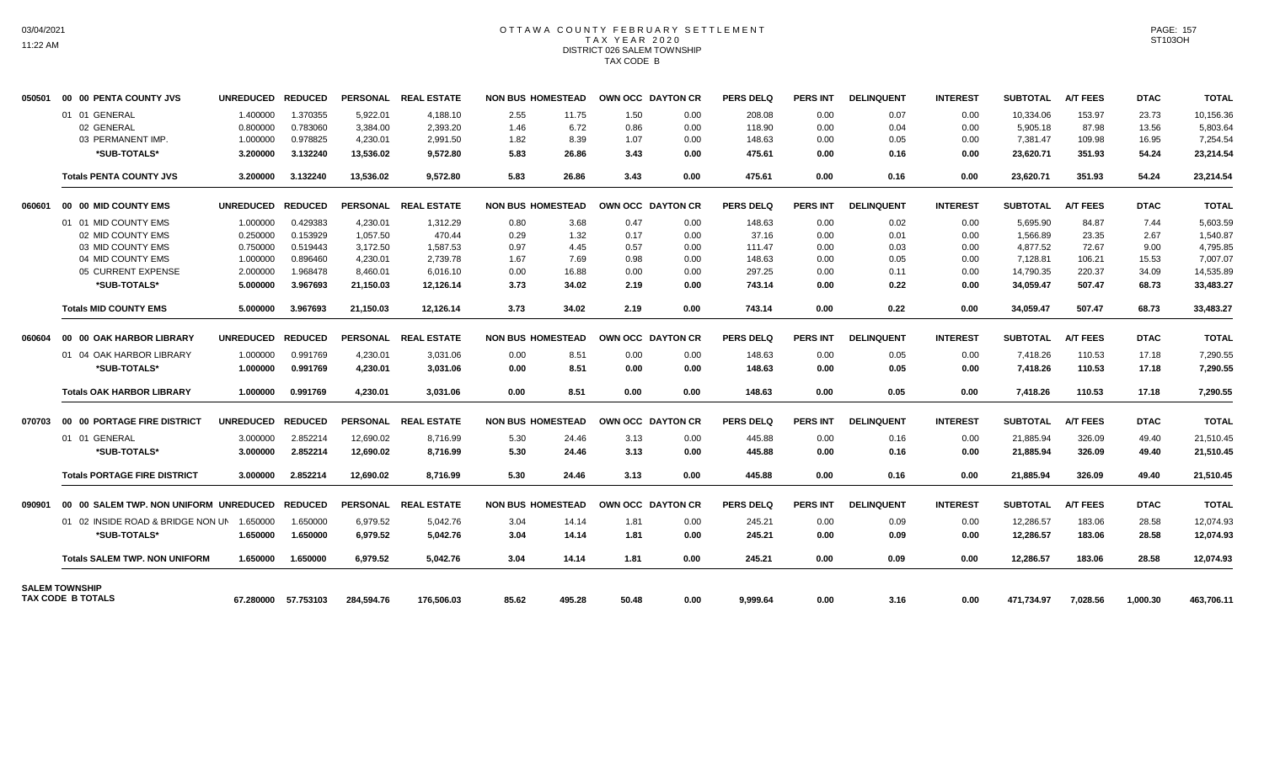## OTTAWA COUNTY FEBRUARY SETTLEMENT TAX YEAR 2020 DISTRICT 026 SALEM TOWNSHIP TAX CODE B

| 050501 | 00 00 PENTA COUNTY JVS                     | <b>UNREDUCED</b> | <b>REDUCED</b> |                 | PERSONAL REAL ESTATE |       | <b>NON BUS HOMESTEAD</b> | <b>OWN OCC DAYTON CR</b> |      | <b>PERS DELQ</b> | <b>PERS INT</b> | <b>DELINQUENT</b> | <b>INTEREST</b> | <b>SUBTOTAL</b> | <b>A/T FEES</b> | <b>DTAC</b> | <b>TOTAL</b> |
|--------|--------------------------------------------|------------------|----------------|-----------------|----------------------|-------|--------------------------|--------------------------|------|------------------|-----------------|-------------------|-----------------|-----------------|-----------------|-------------|--------------|
|        | 01 01 GENERAL                              | 1.400000         | 1.370355       | 5.922.01        | 4,188.10             | 2.55  | 11.75                    | 1.50                     | 0.00 | 208.08           | 0.00            | 0.07              | 0.00            | 10,334.06       | 153.97          | 23.73       | 10,156.36    |
|        | 02 GENERAL                                 | 0.800000         | 0.783060       | 3,384.00        | 2,393.20             | 1.46  | 6.72                     | 0.86                     | 0.00 | 118.90           | 0.00            | 0.04              | 0.00            | 5,905.18        | 87.98           | 13.56       | 5,803.64     |
|        | 03 PERMANENT IMP.                          | 1.000000         | 0.978825       | 4,230.01        | 2,991.50             | 1.82  | 8.39                     | 1.07                     | 0.00 | 148.63           | 0.00            | 0.05              | 0.00            | 7,381.47        | 109.98          | 16.95       | 7,254.54     |
|        | *SUB-TOTALS*                               | 3.200000         | 3.132240       | 13,536.02       | 9,572.80             | 5.83  | 26.86                    | 3.43                     | 0.00 | 475.61           | 0.00            | 0.16              | 0.00            | 23,620.71       | 351.93          | 54.24       | 23,214.54    |
|        | <b>Totals PENTA COUNTY JVS</b>             | 3.200000         | 3.132240       | 13,536.02       | 9,572.80             | 5.83  | 26.86                    | 3.43                     | 0.00 | 475.61           | 0.00            | 0.16              | 0.00            | 23,620.71       | 351.93          | 54.24       | 23,214.54    |
| 060601 | 00 00 MID COUNTY EMS                       | <b>UNREDUCED</b> | <b>REDUCED</b> | <b>PERSONAL</b> | <b>REAL ESTATE</b>   |       | <b>NON BUS HOMESTEAD</b> | OWN OCC DAYTON CR        |      | <b>PERS DELQ</b> | <b>PERS INT</b> | <b>DELINQUENT</b> | <b>INTEREST</b> | <b>SUBTOTAL</b> | <b>A/T FEES</b> | <b>DTAC</b> | <b>TOTAL</b> |
|        | 01 01 MID COUNTY EMS                       | 1.000000         | 0.429383       | 4,230.01        | 1,312.29             | 0.80  | 3.68                     | 0.47                     | 0.00 | 148.63           | 0.00            | 0.02              | 0.00            | 5.695.90        | 84.87           | 7.44        | 5.603.59     |
|        | 02 MID COUNTY EMS                          | 0.250000         | 0.153929       | 1.057.50        | 470.44               | 0.29  | 1.32                     | 0.17                     | 0.00 | 37.16            | 0.00            | 0.01              | 0.00            | 1.566.89        | 23.35           | 2.67        | 1,540.87     |
|        | 03 MID COUNTY EMS                          | 0.750000         | 0.519443       | 3,172.50        | 1,587.53             | 0.97  | 4.45                     | 0.57                     | 0.00 | 111.47           | 0.00            | 0.03              | 0.00            | 4,877.52        | 72.67           | 9.00        | 4,795.85     |
|        | 04 MID COUNTY EMS                          | 1.000000         | 0.896460       | 4.230.01        | 2.739.78             | 1.67  | 7.69                     | 0.98                     | 0.00 | 148.63           | 0.00            | 0.05              | 0.00            | 7,128.81        | 106.21          | 15.53       | 7,007.07     |
|        | 05 CURRENT EXPENSE                         | 2.000000         | 1.968478       | 8,460.01        | 6.016.10             | 0.00  | 16.88                    | 0.00                     | 0.00 | 297.25           | 0.00            | 0.11              | 0.00            | 14,790.35       | 220.37          | 34.09       | 14,535.89    |
|        | *SUB-TOTALS*                               | 5.000000         | 3.967693       | 21,150.03       | 12,126.14            | 3.73  | 34.02                    | 2.19                     | 0.00 | 743.14           | 0.00            | 0.22              | 0.00            | 34,059.47       | 507.47          | 68.73       | 33,483.27    |
|        | <b>Totals MID COUNTY EMS</b>               | 5.000000         | 3.967693       | 21,150.03       | 12,126.14            | 3.73  | 34.02                    | 2.19                     | 0.00 | 743.14           | 0.00            | 0.22              | 0.00            | 34,059.47       | 507.47          | 68.73       | 33,483.27    |
| 060604 | 00 00 OAK HARBOR LIBRARY                   | <b>UNREDUCED</b> | <b>REDUCED</b> |                 | PERSONAL REAL ESTATE |       | <b>NON BUS HOMESTEAD</b> | OWN OCC DAYTON CR        |      | <b>PERS DELQ</b> | <b>PERS INT</b> | <b>DELINQUENT</b> | <b>INTEREST</b> | <b>SUBTOTAL</b> | <b>A/T FEES</b> | <b>DTAC</b> | <b>TOTAL</b> |
|        | 01 04 OAK HARBOR LIBRARY                   | 1.000000         | 0.991769       | 4.230.01        | 3.031.06             | 0.00  | 8.51                     | 0.00                     | 0.00 | 148.63           | 0.00            | 0.05              | 0.00            | 7.418.26        | 110.53          | 17.18       | 7.290.55     |
|        | *SUB-TOTALS*                               | 1.000000         | 0.991769       | 4.230.01        | 3.031.06             | 0.00  | 8.51                     | 0.00                     | 0.00 | 148.63           | 0.00            | 0.05              | 0.00            | 7,418.26        | 110.53          | 17.18       | 7,290.55     |
|        | <b>Totals OAK HARBOR LIBRARY</b>           | 1.000000         | 0.991769       | 4.230.01        | 3.031.06             | 0.00  | 8.51                     | 0.00                     | 0.00 | 148.63           | 0.00            | 0.05              | 0.00            | 7.418.26        | 110.53          | 17.18       | 7.290.55     |
| 070703 | 00 00 PORTAGE FIRE DISTRICT                | <b>UNREDUCED</b> | <b>REDUCED</b> |                 | PERSONAL REAL ESTATE |       | <b>NON BUS HOMESTEAD</b> | OWN OCC DAYTON CR        |      | <b>PERS DELQ</b> | <b>PERS INT</b> | <b>DELINQUENT</b> | <b>INTEREST</b> | <b>SUBTOTAL</b> | <b>A/T FEES</b> | <b>DTAC</b> | <b>TOTAL</b> |
|        | 01 01 GENERAL                              | 3.000000         | 2.852214       | 12,690.02       | 8,716.99             | 5.30  | 24.46                    | 3.13                     | 0.00 | 445.88           | 0.00            | 0.16              | 0.00            | 21,885.94       | 326.09          | 49.40       | 21,510.45    |
|        | *SUB-TOTALS*                               | 3.000000         | 2.852214       | 12,690.02       | 8,716.99             | 5.30  | 24.46                    | 3.13                     | 0.00 | 445.88           | 0.00            | 0.16              | 0.00            | 21,885.94       | 326.09          | 49.40       | 21,510.45    |
|        | <b>Totals PORTAGE FIRE DISTRICT</b>        | 3.000000         | 2.852214       | 12,690.02       | 8,716.99             | 5.30  | 24.46                    | 3.13                     | 0.00 | 445.88           | 0.00            | 0.16              | 0.00            | 21,885.94       | 326.09          | 49.40       | 21,510.45    |
| 090901 | 00 00 SALEM TWP, NON UNIFORM UNREDUCED     |                  | <b>REDUCED</b> |                 | PERSONAL REAL ESTATE |       | <b>NON BUS HOMESTEAD</b> | OWN OCC DAYTON CR        |      | <b>PERS DELQ</b> | <b>PERS INT</b> | <b>DELINQUENT</b> | <b>INTEREST</b> | <b>SUBTOTAL</b> | <b>A/T FEES</b> | <b>DTAC</b> | <b>TOTAL</b> |
|        | 01 02 INSIDE ROAD & BRIDGE NON UN          | 1.650000         | 1.650000       | 6,979.52        | 5,042.76             | 3.04  | 14.14                    | 1.81                     | 0.00 | 245.21           | 0.00            | 0.09              | 0.00            | 12,286.57       | 183.06          | 28.58       | 12,074.93    |
|        | *SUB-TOTALS*                               | 1.650000         | 1.650000       | 6,979.52        | 5,042.76             | 3.04  | 14.14                    | 1.81                     | 0.00 | 245.21           | 0.00            | 0.09              | 0.00            | 12,286.57       | 183.06          | 28.58       | 12,074.93    |
|        | <b>Totals SALEM TWP, NON UNIFORM</b>       | 1.650000         | 1.650000       | 6.979.52        | 5.042.76             | 3.04  | 14.14                    | 1.81                     | 0.00 | 245.21           | 0.00            | 0.09              | 0.00            | 12,286.57       | 183.06          | 28.58       | 12,074.93    |
|        | <b>SALEM TOWNSHIP</b><br>TAX CODE B TOTALS | 67.280000        | 57.753103      | 284,594.76      | 176,506.03           | 85.62 | 495.28                   | 50.48                    | 0.00 | 9.999.64         | 0.00            | 3.16              | 0.00            | 471.734.97      | 7.028.56        | 1.000.30    | 463,706.11   |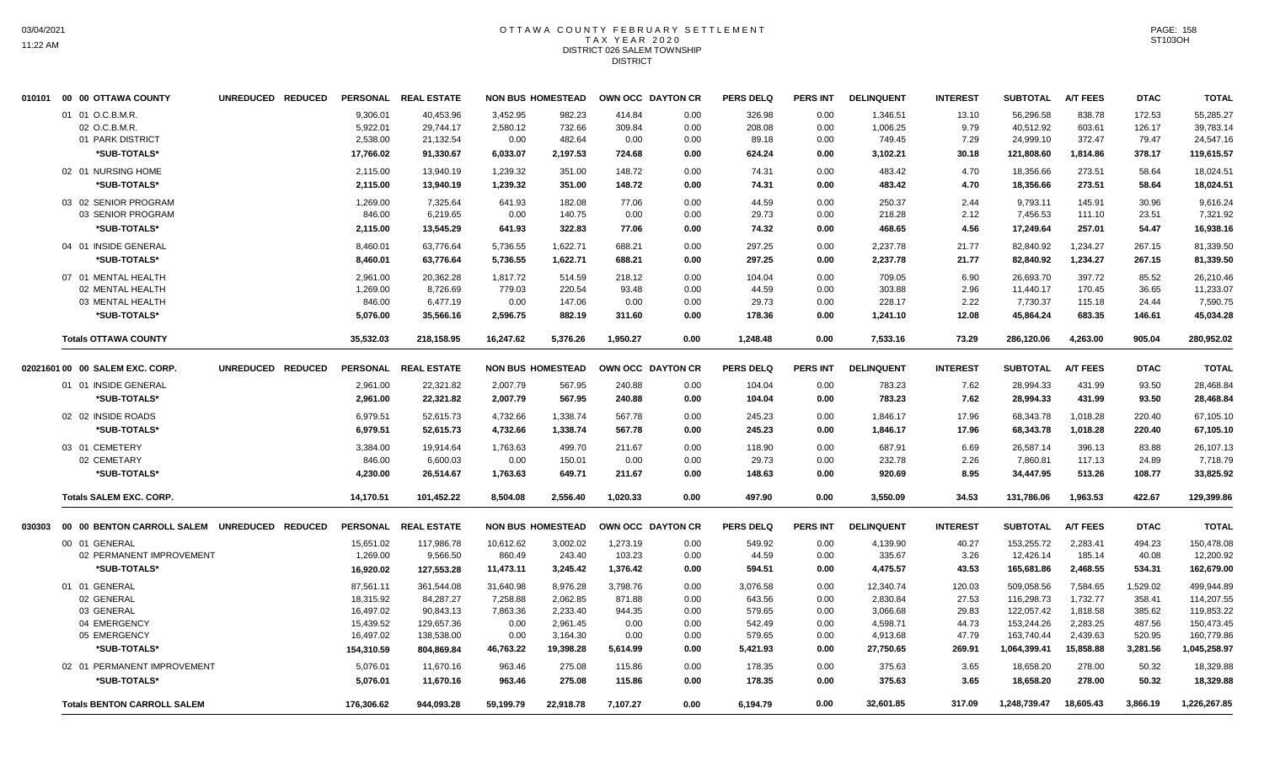#### OTTAWA COUNTY FEBRUARY SETTLEMENT T A X Y E A R 2 0 2 0 DISTRICT 026 SALEM TOWNSHIP DISTRICT

| 01 01 O.C.B.M.R.<br>9,306.01<br>40,453.96<br>3.452.95<br>982.23<br>414.84<br>0.00<br>326.98<br>0.00<br>1,346.51<br>13.10<br>56,296.58<br>838.78<br>172.53<br>55,285.27<br>2,580.12<br>732.66<br>309.84<br>208.08<br>40,512.92<br>603.61<br>126.17<br>02 O.C.B.M.R.<br>5,922.01<br>29,744.17<br>0.00<br>0.00<br>1,006.25<br>9.79<br>39,783.14<br>01 PARK DISTRICT<br>2,538.00<br>482.64<br>372.47<br>21,132.54<br>0.00<br>0.00<br>0.00<br>89.18<br>0.00<br>749.45<br>7.29<br>24,999.10<br>79.47<br>24,547.16<br>*SUB-TOTALS*<br>17,766.02<br>6,033.07<br>2,197.53<br>724.68<br>121,808.60<br>378.17<br>91,330.67<br>0.00<br>624.24<br>0.00<br>3,102.21<br>30.18<br>1,814.86<br>119,615.57<br>02 01 NURSING HOME<br>148.72<br>2,115.00<br>13,940.19<br>1,239.32<br>351.00<br>0.00<br>74.31<br>0.00<br>483.42<br>4.70<br>18,356.66<br>273.51<br>58.64<br>18,024.51<br>*SUB-TOTALS*<br>2,115.00<br>13,940.19<br>1,239.32<br>351.00<br>148.72<br>0.00<br>74.31<br>0.00<br>483.42<br>4.70<br>18,356.66<br>273.51<br>58.64<br>18,024.51<br>03 02 SENIOR PROGRAM<br>7,325.64<br>641.93<br>182.08<br>77.06<br>0.00<br>44.59<br>0.00<br>250.37<br>9,793.11<br>145.91<br>30.96<br>1,269.00<br>2.44<br>9,616.24<br>03 SENIOR PROGRAM<br>846.00<br>0.00<br>140.75<br>2.12<br>23.51<br>6,219.65<br>0.00<br>0.00<br>29.73<br>0.00<br>218.28<br>7,456.53<br>111.10<br>7,321.92<br>*SUB-TOTALS*<br>2,115.00<br>13,545.29<br>641.93<br>322.83<br>77.06<br>0.00<br>74.32<br>0.00<br>468.65<br>4.56<br>17,249.64<br>257.01<br>54.47<br>16,938.16<br>04 01 INSIDE GENERAL<br>63,776.64<br>297.25<br>2,237.78<br>1,234.27<br>267.15<br>8,460.01<br>5,736.55<br>1,622.71<br>688.21<br>0.00<br>0.00<br>21.77<br>82,840.92<br>81,339.50<br>*SUB-TOTALS*<br>8,460.01<br>63,776.64<br>5,736.55<br>1,622.71<br>688.21<br>0.00<br>297.25<br>0.00<br>2,237.78<br>21.77<br>82,840.92<br>1,234.27<br>267.15<br>81,339.50<br>07 01 MENTAL HEALTH<br>2,961.00<br>20,362.28<br>1,817.72<br>514.59<br>218.12<br>0.00<br>0.00<br>6.90<br>26,693.70<br>397.72<br>85.52<br>104.04<br>709.05<br>26,210.46<br>1,269.00<br>8,726.69<br>779.03<br>220.54<br>93.48<br>0.00<br>44.59<br>0.00<br>303.88<br>2.96<br>11,440.17<br>170.45<br>36.65<br>11,233.07<br>02 MENTAL HEALTH<br>6,477.19<br>03 MENTAL HEALTH<br>846.00<br>0.00<br>147.06<br>0.00<br>0.00<br>29.73<br>0.00<br>228.17<br>2.22<br>7,730.37<br>115.18<br>24.44<br>7,590.75<br>683.35<br>*SUB-TOTALS*<br>5,076.00<br>35,566.16<br>2,596.75<br>882.19<br>0.00<br>178.36<br>12.08<br>45,864.24<br>146.61<br>45.034.28<br>311.60<br>0.00<br>1.241.10<br>35,532.03<br>1,950.27<br>1,248.48<br><b>Totals OTTAWA COUNTY</b><br>218,158.95<br>16,247.62<br>5,376.26<br>0.00<br>0.00<br>7,533.16<br>73.29<br>286,120.06<br>4,263.00<br>905.04<br>280,952.02<br>PERSONAL REAL ESTATE<br><b>PERS DELQ</b><br>PERS INT<br><b>DELINQUENT</b><br><b>A/T FEES</b><br>02021601 00 00 SALEM EXC. CORP.<br>UNREDUCED REDUCED<br><b>NON BUS HOMESTEAD</b><br>OWN OCC DAYTON CR<br><b>INTEREST</b><br><b>SUBTOTAL</b><br><b>DTAC</b><br><b>TOTAL</b><br>22,321.82<br>2,007.79<br>567.95<br>7.62<br>28,994.33<br>431.99<br>93.50<br>01 01 INSIDE GENERAL<br>2,961.00<br>240.88<br>0.00<br>104.04<br>0.00<br>783.23<br>28,468.84<br>22,321.82<br>2,007.79<br>567.95<br>240.88<br>783.23<br>7.62<br>431.99<br>93.50<br>*SUB-TOTALS*<br>2,961.00<br>0.00<br>104.04<br>0.00<br>28,994.33<br>28,468.84<br>02 02 INSIDE ROADS<br>6,979.51<br>52,615.73<br>4,732.66<br>1,338.74<br>567.78<br>0.00<br>245.23<br>0.00<br>1,846.17<br>17.96<br>68,343.78<br>1,018.28<br>220.40<br>67,105.10<br>*SUB-TOTALS*<br>6,979.51<br>52,615.73<br>4,732.66<br>1,338.74<br>567.78<br>0.00<br>245.23<br>0.00<br>17.96<br>68,343.78<br>1,018.28<br>220.40<br>1,846.17<br>67,105.10<br>03 01 CEMETERY<br>3,384.00<br>19,914.64<br>1,763.63<br>499.70<br>211.67<br>0.00<br>118.90<br>0.00<br>687.91<br>6.69<br>26,587.14<br>396.13<br>83.88<br>26,107.13<br>02 CEMETARY<br>846.00<br>6,600.03<br>0.00<br>150.01<br>0.00<br>0.00<br>29.73<br>0.00<br>232.78<br>2.26<br>7,860.81<br>117.13<br>24.89<br>7,718.79<br>*SUB-TOTALS*<br>8.95<br>108.77<br>4,230.00<br>26,514.67<br>1,763.63<br>649.71<br>211.67<br>0.00<br>148.63<br>0.00<br>920.69<br>34,447.95<br>513.26<br>33,825.92<br><b>Totals SALEM EXC. CORP.</b><br>101,452.22<br>8.504.08<br>2.556.40<br>1.020.33<br>0.00<br>497.90<br>0.00<br>3,550.09<br>34.53<br>1.963.53<br>422.67<br>129,399.86<br>14,170.51<br>131,786.06<br><b>REAL ESTATE</b><br><b>NON BUS HOMESTEAD</b><br><b>PERS DELQ</b><br>PERS INT<br><b>DELINQUENT</b><br><b>SUBTOTAL</b><br><b>A/T FEES</b><br><b>DTAC</b><br>00 00 BENTON CARROLL SALEM UNREDUCED<br><b>REDUCED</b><br><b>PERSONAL</b><br>OWN OCC DAYTON CR<br><b>INTEREST</b><br><b>TOTAL</b><br>030303<br>494.23<br>117,986.78<br>10,612.62<br>3,002.02<br>1,273.19<br>549.92<br>40.27<br>153,255.72<br>2,283.41<br>150,478.08<br>00 01 GENERAL<br>15,651.02<br>0.00<br>0.00<br>4,139.90<br>02 PERMANENT IMPROVEMENT<br>1,269.00<br>9,566.50<br>860.49<br>243.40<br>103.23<br>44.59<br>335.67<br>3.26<br>12,426.14<br>185.14<br>40.08<br>0.00<br>0.00<br>12,200.92<br>2.468.55<br>*SUB-TOTALS*<br>16,920.02<br>127,553.28<br>11,473.11<br>3,245.42<br>1,376.42<br>0.00<br>594.51<br>0.00<br>4,475.57<br>43.53<br>165,681.86<br>534.31<br>162,679.00<br>3.798.76<br>7.584.65<br>1,529.02<br>01 01 GENERAL<br>87,561.11<br>361.544.08<br>31.640.98<br>8.976.28<br>0.00<br>3,076.58<br>0.00<br>12,340.74<br>120.03<br>509.058.56<br>499,944.89<br>02 GENERAL<br>18,315.92<br>84,287.27<br>7,258.88<br>2,062.85<br>871.88<br>0.00<br>643.56<br>0.00<br>2,830.84<br>27.53<br>116,298.73<br>1,732.77<br>358.41<br>114,207.55<br>90,843.13<br>7,863.36<br>2,233.40<br>122,057.42<br>1,818.58<br>385.62<br>03 GENERAL<br>16,497.02<br>944.35<br>0.00<br>579.65<br>0.00<br>3,066.68<br>29.83<br>119,853.22<br>153,244.26<br>04 EMERGENCY<br>15,439.52<br>129,657.36<br>0.00<br>2,961.45<br>0.00<br>0.00<br>542.49<br>0.00<br>4,598.71<br>44.73<br>2,283.25<br>487.56<br>150,473.45<br>05 EMERGENCY<br>16,497.02<br>138,538.00<br>0.00<br>3,164.30<br>47.79<br>163,740.44<br>2,439.63<br>520.95<br>160,779.86<br>0.00<br>0.00<br>579.65<br>0.00<br>4,913.68<br>*SUB-TOTALS*<br>15,858.88<br>154,310.59<br>804.869.84<br>46,763.22<br>19.398.28<br>5.614.99<br>0.00<br>5,421.93<br>0.00<br>27,750.65<br>269.91<br>1,064,399.41<br>3,281.56<br>1,045,258.97<br>02 01 PERMANENT IMPROVEMENT<br>11.670.16<br>963.46<br>275.08<br>115.86<br>0.00<br>178.35<br>0.00<br>375.63<br>3.65<br>18.658.20<br>278.00<br>50.32<br>18.329.88<br>5,076.01<br>18,658.20<br>50.32<br>*SUB-TOTALS*<br>5,076.01<br>11,670.16<br>963.46<br>275.08<br>115.86<br>0.00<br>178.35<br>0.00<br>375.63<br>3.65<br>278.00<br>18,329.88<br>7,107.27<br>18,605.43<br><b>Totals BENTON CARROLL SALEM</b><br>176,306.62<br>944,093.28<br>59,199.79<br>22,918.78<br>0.00<br>6,194.79<br>0.00<br>32,601.85<br>317.09<br>1,248,739.47<br>3,866.19<br>1,226,267.85 | 010101 00 00 OTTAWA COUNTY | UNREDUCED REDUCED | PERSONAL REAL ESTATE | <b>NON BUS HOMESTEAD</b> | OWN OCC DAYTON CR | <b>PERS DELQ</b> | <b>PERS INT</b> | <b>DELINQUENT</b> | <b>INTEREST</b> | <b>SUBTOTAL</b> | <b>A/T FEES</b> | <b>DTAC</b> | <b>TOTAL</b> |
|-------------------------------------------------------------------------------------------------------------------------------------------------------------------------------------------------------------------------------------------------------------------------------------------------------------------------------------------------------------------------------------------------------------------------------------------------------------------------------------------------------------------------------------------------------------------------------------------------------------------------------------------------------------------------------------------------------------------------------------------------------------------------------------------------------------------------------------------------------------------------------------------------------------------------------------------------------------------------------------------------------------------------------------------------------------------------------------------------------------------------------------------------------------------------------------------------------------------------------------------------------------------------------------------------------------------------------------------------------------------------------------------------------------------------------------------------------------------------------------------------------------------------------------------------------------------------------------------------------------------------------------------------------------------------------------------------------------------------------------------------------------------------------------------------------------------------------------------------------------------------------------------------------------------------------------------------------------------------------------------------------------------------------------------------------------------------------------------------------------------------------------------------------------------------------------------------------------------------------------------------------------------------------------------------------------------------------------------------------------------------------------------------------------------------------------------------------------------------------------------------------------------------------------------------------------------------------------------------------------------------------------------------------------------------------------------------------------------------------------------------------------------------------------------------------------------------------------------------------------------------------------------------------------------------------------------------------------------------------------------------------------------------------------------------------------------------------------------------------------------------------------------------------------------------------------------------------------------------------------------------------------------------------------------------------------------------------------------------------------------------------------------------------------------------------------------------------------------------------------------------------------------------------------------------------------------------------------------------------------------------------------------------------------------------------------------------------------------------------------------------------------------------------------------------------------------------------------------------------------------------------------------------------------------------------------------------------------------------------------------------------------------------------------------------------------------------------------------------------------------------------------------------------------------------------------------------------------------------------------------------------------------------------------------------------------------------------------------------------------------------------------------------------------------------------------------------------------------------------------------------------------------------------------------------------------------------------------------------------------------------------------------------------------------------------------------------------------------------------------------------------------------------------------------------------------------------------------------------------------------------------------------------------------------------------------------------------------------------------------------------------------------------------------------------------------------------------------------------------------------------------------------------------------------------------------------------------------------------------------------------------------------------------------------------------------------------------------------------------------------------------------------------------------------------------------------------------------------------------------------------------------------------------------------------------------------------------------------------------------------------------------------------------------------------------------------------------------------------------------------------------------------------------------------------------------------------------------------------------------------------------------------------------------------------------------------------------------------------------------------------------------------------------------------------------------------------------------------------------------------------------------------------------------------------------------------------------------------------------------------------------------------------------------------------------------------------------------------------------------------------------------------------------------------------------------------------------------------------------------------------------------------------------------------------------------------------------------------------------------------------------------------------------------------------------------------------------------------------------------------------------------------------------------------------------------------------------------------------------------------------------------------------------------------------------------------------------------------------------|----------------------------|-------------------|----------------------|--------------------------|-------------------|------------------|-----------------|-------------------|-----------------|-----------------|-----------------|-------------|--------------|
|                                                                                                                                                                                                                                                                                                                                                                                                                                                                                                                                                                                                                                                                                                                                                                                                                                                                                                                                                                                                                                                                                                                                                                                                                                                                                                                                                                                                                                                                                                                                                                                                                                                                                                                                                                                                                                                                                                                                                                                                                                                                                                                                                                                                                                                                                                                                                                                                                                                                                                                                                                                                                                                                                                                                                                                                                                                                                                                                                                                                                                                                                                                                                                                                                                                                                                                                                                                                                                                                                                                                                                                                                                                                                                                                                                                                                                                                                                                                                                                                                                                                                                                                                                                                                                                                                                                                                                                                                                                                                                                                                                                                                                                                                                                                                                                                                                                                                                                                                                                                                                                                                                                                                                                                                                                                                                                                                                                                                                                                                                                                                                                                                                                                                                                                                                                                                                                                                                                                                                                                                                                                                                                                                                                                                                                                                                                                                                                                                                                                                                                                                                                                                                                                                                                                                                                                                                                                                                                                                                               |                            |                   |                      |                          |                   |                  |                 |                   |                 |                 |                 |             |              |
|                                                                                                                                                                                                                                                                                                                                                                                                                                                                                                                                                                                                                                                                                                                                                                                                                                                                                                                                                                                                                                                                                                                                                                                                                                                                                                                                                                                                                                                                                                                                                                                                                                                                                                                                                                                                                                                                                                                                                                                                                                                                                                                                                                                                                                                                                                                                                                                                                                                                                                                                                                                                                                                                                                                                                                                                                                                                                                                                                                                                                                                                                                                                                                                                                                                                                                                                                                                                                                                                                                                                                                                                                                                                                                                                                                                                                                                                                                                                                                                                                                                                                                                                                                                                                                                                                                                                                                                                                                                                                                                                                                                                                                                                                                                                                                                                                                                                                                                                                                                                                                                                                                                                                                                                                                                                                                                                                                                                                                                                                                                                                                                                                                                                                                                                                                                                                                                                                                                                                                                                                                                                                                                                                                                                                                                                                                                                                                                                                                                                                                                                                                                                                                                                                                                                                                                                                                                                                                                                                                               |                            |                   |                      |                          |                   |                  |                 |                   |                 |                 |                 |             |              |
|                                                                                                                                                                                                                                                                                                                                                                                                                                                                                                                                                                                                                                                                                                                                                                                                                                                                                                                                                                                                                                                                                                                                                                                                                                                                                                                                                                                                                                                                                                                                                                                                                                                                                                                                                                                                                                                                                                                                                                                                                                                                                                                                                                                                                                                                                                                                                                                                                                                                                                                                                                                                                                                                                                                                                                                                                                                                                                                                                                                                                                                                                                                                                                                                                                                                                                                                                                                                                                                                                                                                                                                                                                                                                                                                                                                                                                                                                                                                                                                                                                                                                                                                                                                                                                                                                                                                                                                                                                                                                                                                                                                                                                                                                                                                                                                                                                                                                                                                                                                                                                                                                                                                                                                                                                                                                                                                                                                                                                                                                                                                                                                                                                                                                                                                                                                                                                                                                                                                                                                                                                                                                                                                                                                                                                                                                                                                                                                                                                                                                                                                                                                                                                                                                                                                                                                                                                                                                                                                                                               |                            |                   |                      |                          |                   |                  |                 |                   |                 |                 |                 |             |              |
|                                                                                                                                                                                                                                                                                                                                                                                                                                                                                                                                                                                                                                                                                                                                                                                                                                                                                                                                                                                                                                                                                                                                                                                                                                                                                                                                                                                                                                                                                                                                                                                                                                                                                                                                                                                                                                                                                                                                                                                                                                                                                                                                                                                                                                                                                                                                                                                                                                                                                                                                                                                                                                                                                                                                                                                                                                                                                                                                                                                                                                                                                                                                                                                                                                                                                                                                                                                                                                                                                                                                                                                                                                                                                                                                                                                                                                                                                                                                                                                                                                                                                                                                                                                                                                                                                                                                                                                                                                                                                                                                                                                                                                                                                                                                                                                                                                                                                                                                                                                                                                                                                                                                                                                                                                                                                                                                                                                                                                                                                                                                                                                                                                                                                                                                                                                                                                                                                                                                                                                                                                                                                                                                                                                                                                                                                                                                                                                                                                                                                                                                                                                                                                                                                                                                                                                                                                                                                                                                                                               |                            |                   |                      |                          |                   |                  |                 |                   |                 |                 |                 |             |              |
|                                                                                                                                                                                                                                                                                                                                                                                                                                                                                                                                                                                                                                                                                                                                                                                                                                                                                                                                                                                                                                                                                                                                                                                                                                                                                                                                                                                                                                                                                                                                                                                                                                                                                                                                                                                                                                                                                                                                                                                                                                                                                                                                                                                                                                                                                                                                                                                                                                                                                                                                                                                                                                                                                                                                                                                                                                                                                                                                                                                                                                                                                                                                                                                                                                                                                                                                                                                                                                                                                                                                                                                                                                                                                                                                                                                                                                                                                                                                                                                                                                                                                                                                                                                                                                                                                                                                                                                                                                                                                                                                                                                                                                                                                                                                                                                                                                                                                                                                                                                                                                                                                                                                                                                                                                                                                                                                                                                                                                                                                                                                                                                                                                                                                                                                                                                                                                                                                                                                                                                                                                                                                                                                                                                                                                                                                                                                                                                                                                                                                                                                                                                                                                                                                                                                                                                                                                                                                                                                                                               |                            |                   |                      |                          |                   |                  |                 |                   |                 |                 |                 |             |              |
|                                                                                                                                                                                                                                                                                                                                                                                                                                                                                                                                                                                                                                                                                                                                                                                                                                                                                                                                                                                                                                                                                                                                                                                                                                                                                                                                                                                                                                                                                                                                                                                                                                                                                                                                                                                                                                                                                                                                                                                                                                                                                                                                                                                                                                                                                                                                                                                                                                                                                                                                                                                                                                                                                                                                                                                                                                                                                                                                                                                                                                                                                                                                                                                                                                                                                                                                                                                                                                                                                                                                                                                                                                                                                                                                                                                                                                                                                                                                                                                                                                                                                                                                                                                                                                                                                                                                                                                                                                                                                                                                                                                                                                                                                                                                                                                                                                                                                                                                                                                                                                                                                                                                                                                                                                                                                                                                                                                                                                                                                                                                                                                                                                                                                                                                                                                                                                                                                                                                                                                                                                                                                                                                                                                                                                                                                                                                                                                                                                                                                                                                                                                                                                                                                                                                                                                                                                                                                                                                                                               |                            |                   |                      |                          |                   |                  |                 |                   |                 |                 |                 |             |              |
|                                                                                                                                                                                                                                                                                                                                                                                                                                                                                                                                                                                                                                                                                                                                                                                                                                                                                                                                                                                                                                                                                                                                                                                                                                                                                                                                                                                                                                                                                                                                                                                                                                                                                                                                                                                                                                                                                                                                                                                                                                                                                                                                                                                                                                                                                                                                                                                                                                                                                                                                                                                                                                                                                                                                                                                                                                                                                                                                                                                                                                                                                                                                                                                                                                                                                                                                                                                                                                                                                                                                                                                                                                                                                                                                                                                                                                                                                                                                                                                                                                                                                                                                                                                                                                                                                                                                                                                                                                                                                                                                                                                                                                                                                                                                                                                                                                                                                                                                                                                                                                                                                                                                                                                                                                                                                                                                                                                                                                                                                                                                                                                                                                                                                                                                                                                                                                                                                                                                                                                                                                                                                                                                                                                                                                                                                                                                                                                                                                                                                                                                                                                                                                                                                                                                                                                                                                                                                                                                                                               |                            |                   |                      |                          |                   |                  |                 |                   |                 |                 |                 |             |              |
|                                                                                                                                                                                                                                                                                                                                                                                                                                                                                                                                                                                                                                                                                                                                                                                                                                                                                                                                                                                                                                                                                                                                                                                                                                                                                                                                                                                                                                                                                                                                                                                                                                                                                                                                                                                                                                                                                                                                                                                                                                                                                                                                                                                                                                                                                                                                                                                                                                                                                                                                                                                                                                                                                                                                                                                                                                                                                                                                                                                                                                                                                                                                                                                                                                                                                                                                                                                                                                                                                                                                                                                                                                                                                                                                                                                                                                                                                                                                                                                                                                                                                                                                                                                                                                                                                                                                                                                                                                                                                                                                                                                                                                                                                                                                                                                                                                                                                                                                                                                                                                                                                                                                                                                                                                                                                                                                                                                                                                                                                                                                                                                                                                                                                                                                                                                                                                                                                                                                                                                                                                                                                                                                                                                                                                                                                                                                                                                                                                                                                                                                                                                                                                                                                                                                                                                                                                                                                                                                                                               |                            |                   |                      |                          |                   |                  |                 |                   |                 |                 |                 |             |              |
|                                                                                                                                                                                                                                                                                                                                                                                                                                                                                                                                                                                                                                                                                                                                                                                                                                                                                                                                                                                                                                                                                                                                                                                                                                                                                                                                                                                                                                                                                                                                                                                                                                                                                                                                                                                                                                                                                                                                                                                                                                                                                                                                                                                                                                                                                                                                                                                                                                                                                                                                                                                                                                                                                                                                                                                                                                                                                                                                                                                                                                                                                                                                                                                                                                                                                                                                                                                                                                                                                                                                                                                                                                                                                                                                                                                                                                                                                                                                                                                                                                                                                                                                                                                                                                                                                                                                                                                                                                                                                                                                                                                                                                                                                                                                                                                                                                                                                                                                                                                                                                                                                                                                                                                                                                                                                                                                                                                                                                                                                                                                                                                                                                                                                                                                                                                                                                                                                                                                                                                                                                                                                                                                                                                                                                                                                                                                                                                                                                                                                                                                                                                                                                                                                                                                                                                                                                                                                                                                                                               |                            |                   |                      |                          |                   |                  |                 |                   |                 |                 |                 |             |              |
|                                                                                                                                                                                                                                                                                                                                                                                                                                                                                                                                                                                                                                                                                                                                                                                                                                                                                                                                                                                                                                                                                                                                                                                                                                                                                                                                                                                                                                                                                                                                                                                                                                                                                                                                                                                                                                                                                                                                                                                                                                                                                                                                                                                                                                                                                                                                                                                                                                                                                                                                                                                                                                                                                                                                                                                                                                                                                                                                                                                                                                                                                                                                                                                                                                                                                                                                                                                                                                                                                                                                                                                                                                                                                                                                                                                                                                                                                                                                                                                                                                                                                                                                                                                                                                                                                                                                                                                                                                                                                                                                                                                                                                                                                                                                                                                                                                                                                                                                                                                                                                                                                                                                                                                                                                                                                                                                                                                                                                                                                                                                                                                                                                                                                                                                                                                                                                                                                                                                                                                                                                                                                                                                                                                                                                                                                                                                                                                                                                                                                                                                                                                                                                                                                                                                                                                                                                                                                                                                                                               |                            |                   |                      |                          |                   |                  |                 |                   |                 |                 |                 |             |              |
|                                                                                                                                                                                                                                                                                                                                                                                                                                                                                                                                                                                                                                                                                                                                                                                                                                                                                                                                                                                                                                                                                                                                                                                                                                                                                                                                                                                                                                                                                                                                                                                                                                                                                                                                                                                                                                                                                                                                                                                                                                                                                                                                                                                                                                                                                                                                                                                                                                                                                                                                                                                                                                                                                                                                                                                                                                                                                                                                                                                                                                                                                                                                                                                                                                                                                                                                                                                                                                                                                                                                                                                                                                                                                                                                                                                                                                                                                                                                                                                                                                                                                                                                                                                                                                                                                                                                                                                                                                                                                                                                                                                                                                                                                                                                                                                                                                                                                                                                                                                                                                                                                                                                                                                                                                                                                                                                                                                                                                                                                                                                                                                                                                                                                                                                                                                                                                                                                                                                                                                                                                                                                                                                                                                                                                                                                                                                                                                                                                                                                                                                                                                                                                                                                                                                                                                                                                                                                                                                                                               |                            |                   |                      |                          |                   |                  |                 |                   |                 |                 |                 |             |              |
|                                                                                                                                                                                                                                                                                                                                                                                                                                                                                                                                                                                                                                                                                                                                                                                                                                                                                                                                                                                                                                                                                                                                                                                                                                                                                                                                                                                                                                                                                                                                                                                                                                                                                                                                                                                                                                                                                                                                                                                                                                                                                                                                                                                                                                                                                                                                                                                                                                                                                                                                                                                                                                                                                                                                                                                                                                                                                                                                                                                                                                                                                                                                                                                                                                                                                                                                                                                                                                                                                                                                                                                                                                                                                                                                                                                                                                                                                                                                                                                                                                                                                                                                                                                                                                                                                                                                                                                                                                                                                                                                                                                                                                                                                                                                                                                                                                                                                                                                                                                                                                                                                                                                                                                                                                                                                                                                                                                                                                                                                                                                                                                                                                                                                                                                                                                                                                                                                                                                                                                                                                                                                                                                                                                                                                                                                                                                                                                                                                                                                                                                                                                                                                                                                                                                                                                                                                                                                                                                                                               |                            |                   |                      |                          |                   |                  |                 |                   |                 |                 |                 |             |              |
|                                                                                                                                                                                                                                                                                                                                                                                                                                                                                                                                                                                                                                                                                                                                                                                                                                                                                                                                                                                                                                                                                                                                                                                                                                                                                                                                                                                                                                                                                                                                                                                                                                                                                                                                                                                                                                                                                                                                                                                                                                                                                                                                                                                                                                                                                                                                                                                                                                                                                                                                                                                                                                                                                                                                                                                                                                                                                                                                                                                                                                                                                                                                                                                                                                                                                                                                                                                                                                                                                                                                                                                                                                                                                                                                                                                                                                                                                                                                                                                                                                                                                                                                                                                                                                                                                                                                                                                                                                                                                                                                                                                                                                                                                                                                                                                                                                                                                                                                                                                                                                                                                                                                                                                                                                                                                                                                                                                                                                                                                                                                                                                                                                                                                                                                                                                                                                                                                                                                                                                                                                                                                                                                                                                                                                                                                                                                                                                                                                                                                                                                                                                                                                                                                                                                                                                                                                                                                                                                                                               |                            |                   |                      |                          |                   |                  |                 |                   |                 |                 |                 |             |              |
|                                                                                                                                                                                                                                                                                                                                                                                                                                                                                                                                                                                                                                                                                                                                                                                                                                                                                                                                                                                                                                                                                                                                                                                                                                                                                                                                                                                                                                                                                                                                                                                                                                                                                                                                                                                                                                                                                                                                                                                                                                                                                                                                                                                                                                                                                                                                                                                                                                                                                                                                                                                                                                                                                                                                                                                                                                                                                                                                                                                                                                                                                                                                                                                                                                                                                                                                                                                                                                                                                                                                                                                                                                                                                                                                                                                                                                                                                                                                                                                                                                                                                                                                                                                                                                                                                                                                                                                                                                                                                                                                                                                                                                                                                                                                                                                                                                                                                                                                                                                                                                                                                                                                                                                                                                                                                                                                                                                                                                                                                                                                                                                                                                                                                                                                                                                                                                                                                                                                                                                                                                                                                                                                                                                                                                                                                                                                                                                                                                                                                                                                                                                                                                                                                                                                                                                                                                                                                                                                                                               |                            |                   |                      |                          |                   |                  |                 |                   |                 |                 |                 |             |              |
|                                                                                                                                                                                                                                                                                                                                                                                                                                                                                                                                                                                                                                                                                                                                                                                                                                                                                                                                                                                                                                                                                                                                                                                                                                                                                                                                                                                                                                                                                                                                                                                                                                                                                                                                                                                                                                                                                                                                                                                                                                                                                                                                                                                                                                                                                                                                                                                                                                                                                                                                                                                                                                                                                                                                                                                                                                                                                                                                                                                                                                                                                                                                                                                                                                                                                                                                                                                                                                                                                                                                                                                                                                                                                                                                                                                                                                                                                                                                                                                                                                                                                                                                                                                                                                                                                                                                                                                                                                                                                                                                                                                                                                                                                                                                                                                                                                                                                                                                                                                                                                                                                                                                                                                                                                                                                                                                                                                                                                                                                                                                                                                                                                                                                                                                                                                                                                                                                                                                                                                                                                                                                                                                                                                                                                                                                                                                                                                                                                                                                                                                                                                                                                                                                                                                                                                                                                                                                                                                                                               |                            |                   |                      |                          |                   |                  |                 |                   |                 |                 |                 |             |              |
|                                                                                                                                                                                                                                                                                                                                                                                                                                                                                                                                                                                                                                                                                                                                                                                                                                                                                                                                                                                                                                                                                                                                                                                                                                                                                                                                                                                                                                                                                                                                                                                                                                                                                                                                                                                                                                                                                                                                                                                                                                                                                                                                                                                                                                                                                                                                                                                                                                                                                                                                                                                                                                                                                                                                                                                                                                                                                                                                                                                                                                                                                                                                                                                                                                                                                                                                                                                                                                                                                                                                                                                                                                                                                                                                                                                                                                                                                                                                                                                                                                                                                                                                                                                                                                                                                                                                                                                                                                                                                                                                                                                                                                                                                                                                                                                                                                                                                                                                                                                                                                                                                                                                                                                                                                                                                                                                                                                                                                                                                                                                                                                                                                                                                                                                                                                                                                                                                                                                                                                                                                                                                                                                                                                                                                                                                                                                                                                                                                                                                                                                                                                                                                                                                                                                                                                                                                                                                                                                                                               |                            |                   |                      |                          |                   |                  |                 |                   |                 |                 |                 |             |              |
|                                                                                                                                                                                                                                                                                                                                                                                                                                                                                                                                                                                                                                                                                                                                                                                                                                                                                                                                                                                                                                                                                                                                                                                                                                                                                                                                                                                                                                                                                                                                                                                                                                                                                                                                                                                                                                                                                                                                                                                                                                                                                                                                                                                                                                                                                                                                                                                                                                                                                                                                                                                                                                                                                                                                                                                                                                                                                                                                                                                                                                                                                                                                                                                                                                                                                                                                                                                                                                                                                                                                                                                                                                                                                                                                                                                                                                                                                                                                                                                                                                                                                                                                                                                                                                                                                                                                                                                                                                                                                                                                                                                                                                                                                                                                                                                                                                                                                                                                                                                                                                                                                                                                                                                                                                                                                                                                                                                                                                                                                                                                                                                                                                                                                                                                                                                                                                                                                                                                                                                                                                                                                                                                                                                                                                                                                                                                                                                                                                                                                                                                                                                                                                                                                                                                                                                                                                                                                                                                                                               |                            |                   |                      |                          |                   |                  |                 |                   |                 |                 |                 |             |              |
|                                                                                                                                                                                                                                                                                                                                                                                                                                                                                                                                                                                                                                                                                                                                                                                                                                                                                                                                                                                                                                                                                                                                                                                                                                                                                                                                                                                                                                                                                                                                                                                                                                                                                                                                                                                                                                                                                                                                                                                                                                                                                                                                                                                                                                                                                                                                                                                                                                                                                                                                                                                                                                                                                                                                                                                                                                                                                                                                                                                                                                                                                                                                                                                                                                                                                                                                                                                                                                                                                                                                                                                                                                                                                                                                                                                                                                                                                                                                                                                                                                                                                                                                                                                                                                                                                                                                                                                                                                                                                                                                                                                                                                                                                                                                                                                                                                                                                                                                                                                                                                                                                                                                                                                                                                                                                                                                                                                                                                                                                                                                                                                                                                                                                                                                                                                                                                                                                                                                                                                                                                                                                                                                                                                                                                                                                                                                                                                                                                                                                                                                                                                                                                                                                                                                                                                                                                                                                                                                                                               |                            |                   |                      |                          |                   |                  |                 |                   |                 |                 |                 |             |              |
|                                                                                                                                                                                                                                                                                                                                                                                                                                                                                                                                                                                                                                                                                                                                                                                                                                                                                                                                                                                                                                                                                                                                                                                                                                                                                                                                                                                                                                                                                                                                                                                                                                                                                                                                                                                                                                                                                                                                                                                                                                                                                                                                                                                                                                                                                                                                                                                                                                                                                                                                                                                                                                                                                                                                                                                                                                                                                                                                                                                                                                                                                                                                                                                                                                                                                                                                                                                                                                                                                                                                                                                                                                                                                                                                                                                                                                                                                                                                                                                                                                                                                                                                                                                                                                                                                                                                                                                                                                                                                                                                                                                                                                                                                                                                                                                                                                                                                                                                                                                                                                                                                                                                                                                                                                                                                                                                                                                                                                                                                                                                                                                                                                                                                                                                                                                                                                                                                                                                                                                                                                                                                                                                                                                                                                                                                                                                                                                                                                                                                                                                                                                                                                                                                                                                                                                                                                                                                                                                                                               |                            |                   |                      |                          |                   |                  |                 |                   |                 |                 |                 |             |              |
|                                                                                                                                                                                                                                                                                                                                                                                                                                                                                                                                                                                                                                                                                                                                                                                                                                                                                                                                                                                                                                                                                                                                                                                                                                                                                                                                                                                                                                                                                                                                                                                                                                                                                                                                                                                                                                                                                                                                                                                                                                                                                                                                                                                                                                                                                                                                                                                                                                                                                                                                                                                                                                                                                                                                                                                                                                                                                                                                                                                                                                                                                                                                                                                                                                                                                                                                                                                                                                                                                                                                                                                                                                                                                                                                                                                                                                                                                                                                                                                                                                                                                                                                                                                                                                                                                                                                                                                                                                                                                                                                                                                                                                                                                                                                                                                                                                                                                                                                                                                                                                                                                                                                                                                                                                                                                                                                                                                                                                                                                                                                                                                                                                                                                                                                                                                                                                                                                                                                                                                                                                                                                                                                                                                                                                                                                                                                                                                                                                                                                                                                                                                                                                                                                                                                                                                                                                                                                                                                                                               |                            |                   |                      |                          |                   |                  |                 |                   |                 |                 |                 |             |              |
|                                                                                                                                                                                                                                                                                                                                                                                                                                                                                                                                                                                                                                                                                                                                                                                                                                                                                                                                                                                                                                                                                                                                                                                                                                                                                                                                                                                                                                                                                                                                                                                                                                                                                                                                                                                                                                                                                                                                                                                                                                                                                                                                                                                                                                                                                                                                                                                                                                                                                                                                                                                                                                                                                                                                                                                                                                                                                                                                                                                                                                                                                                                                                                                                                                                                                                                                                                                                                                                                                                                                                                                                                                                                                                                                                                                                                                                                                                                                                                                                                                                                                                                                                                                                                                                                                                                                                                                                                                                                                                                                                                                                                                                                                                                                                                                                                                                                                                                                                                                                                                                                                                                                                                                                                                                                                                                                                                                                                                                                                                                                                                                                                                                                                                                                                                                                                                                                                                                                                                                                                                                                                                                                                                                                                                                                                                                                                                                                                                                                                                                                                                                                                                                                                                                                                                                                                                                                                                                                                                               |                            |                   |                      |                          |                   |                  |                 |                   |                 |                 |                 |             |              |
|                                                                                                                                                                                                                                                                                                                                                                                                                                                                                                                                                                                                                                                                                                                                                                                                                                                                                                                                                                                                                                                                                                                                                                                                                                                                                                                                                                                                                                                                                                                                                                                                                                                                                                                                                                                                                                                                                                                                                                                                                                                                                                                                                                                                                                                                                                                                                                                                                                                                                                                                                                                                                                                                                                                                                                                                                                                                                                                                                                                                                                                                                                                                                                                                                                                                                                                                                                                                                                                                                                                                                                                                                                                                                                                                                                                                                                                                                                                                                                                                                                                                                                                                                                                                                                                                                                                                                                                                                                                                                                                                                                                                                                                                                                                                                                                                                                                                                                                                                                                                                                                                                                                                                                                                                                                                                                                                                                                                                                                                                                                                                                                                                                                                                                                                                                                                                                                                                                                                                                                                                                                                                                                                                                                                                                                                                                                                                                                                                                                                                                                                                                                                                                                                                                                                                                                                                                                                                                                                                                               |                            |                   |                      |                          |                   |                  |                 |                   |                 |                 |                 |             |              |
|                                                                                                                                                                                                                                                                                                                                                                                                                                                                                                                                                                                                                                                                                                                                                                                                                                                                                                                                                                                                                                                                                                                                                                                                                                                                                                                                                                                                                                                                                                                                                                                                                                                                                                                                                                                                                                                                                                                                                                                                                                                                                                                                                                                                                                                                                                                                                                                                                                                                                                                                                                                                                                                                                                                                                                                                                                                                                                                                                                                                                                                                                                                                                                                                                                                                                                                                                                                                                                                                                                                                                                                                                                                                                                                                                                                                                                                                                                                                                                                                                                                                                                                                                                                                                                                                                                                                                                                                                                                                                                                                                                                                                                                                                                                                                                                                                                                                                                                                                                                                                                                                                                                                                                                                                                                                                                                                                                                                                                                                                                                                                                                                                                                                                                                                                                                                                                                                                                                                                                                                                                                                                                                                                                                                                                                                                                                                                                                                                                                                                                                                                                                                                                                                                                                                                                                                                                                                                                                                                                               |                            |                   |                      |                          |                   |                  |                 |                   |                 |                 |                 |             |              |
|                                                                                                                                                                                                                                                                                                                                                                                                                                                                                                                                                                                                                                                                                                                                                                                                                                                                                                                                                                                                                                                                                                                                                                                                                                                                                                                                                                                                                                                                                                                                                                                                                                                                                                                                                                                                                                                                                                                                                                                                                                                                                                                                                                                                                                                                                                                                                                                                                                                                                                                                                                                                                                                                                                                                                                                                                                                                                                                                                                                                                                                                                                                                                                                                                                                                                                                                                                                                                                                                                                                                                                                                                                                                                                                                                                                                                                                                                                                                                                                                                                                                                                                                                                                                                                                                                                                                                                                                                                                                                                                                                                                                                                                                                                                                                                                                                                                                                                                                                                                                                                                                                                                                                                                                                                                                                                                                                                                                                                                                                                                                                                                                                                                                                                                                                                                                                                                                                                                                                                                                                                                                                                                                                                                                                                                                                                                                                                                                                                                                                                                                                                                                                                                                                                                                                                                                                                                                                                                                                                               |                            |                   |                      |                          |                   |                  |                 |                   |                 |                 |                 |             |              |
|                                                                                                                                                                                                                                                                                                                                                                                                                                                                                                                                                                                                                                                                                                                                                                                                                                                                                                                                                                                                                                                                                                                                                                                                                                                                                                                                                                                                                                                                                                                                                                                                                                                                                                                                                                                                                                                                                                                                                                                                                                                                                                                                                                                                                                                                                                                                                                                                                                                                                                                                                                                                                                                                                                                                                                                                                                                                                                                                                                                                                                                                                                                                                                                                                                                                                                                                                                                                                                                                                                                                                                                                                                                                                                                                                                                                                                                                                                                                                                                                                                                                                                                                                                                                                                                                                                                                                                                                                                                                                                                                                                                                                                                                                                                                                                                                                                                                                                                                                                                                                                                                                                                                                                                                                                                                                                                                                                                                                                                                                                                                                                                                                                                                                                                                                                                                                                                                                                                                                                                                                                                                                                                                                                                                                                                                                                                                                                                                                                                                                                                                                                                                                                                                                                                                                                                                                                                                                                                                                                               |                            |                   |                      |                          |                   |                  |                 |                   |                 |                 |                 |             |              |
|                                                                                                                                                                                                                                                                                                                                                                                                                                                                                                                                                                                                                                                                                                                                                                                                                                                                                                                                                                                                                                                                                                                                                                                                                                                                                                                                                                                                                                                                                                                                                                                                                                                                                                                                                                                                                                                                                                                                                                                                                                                                                                                                                                                                                                                                                                                                                                                                                                                                                                                                                                                                                                                                                                                                                                                                                                                                                                                                                                                                                                                                                                                                                                                                                                                                                                                                                                                                                                                                                                                                                                                                                                                                                                                                                                                                                                                                                                                                                                                                                                                                                                                                                                                                                                                                                                                                                                                                                                                                                                                                                                                                                                                                                                                                                                                                                                                                                                                                                                                                                                                                                                                                                                                                                                                                                                                                                                                                                                                                                                                                                                                                                                                                                                                                                                                                                                                                                                                                                                                                                                                                                                                                                                                                                                                                                                                                                                                                                                                                                                                                                                                                                                                                                                                                                                                                                                                                                                                                                                               |                            |                   |                      |                          |                   |                  |                 |                   |                 |                 |                 |             |              |
|                                                                                                                                                                                                                                                                                                                                                                                                                                                                                                                                                                                                                                                                                                                                                                                                                                                                                                                                                                                                                                                                                                                                                                                                                                                                                                                                                                                                                                                                                                                                                                                                                                                                                                                                                                                                                                                                                                                                                                                                                                                                                                                                                                                                                                                                                                                                                                                                                                                                                                                                                                                                                                                                                                                                                                                                                                                                                                                                                                                                                                                                                                                                                                                                                                                                                                                                                                                                                                                                                                                                                                                                                                                                                                                                                                                                                                                                                                                                                                                                                                                                                                                                                                                                                                                                                                                                                                                                                                                                                                                                                                                                                                                                                                                                                                                                                                                                                                                                                                                                                                                                                                                                                                                                                                                                                                                                                                                                                                                                                                                                                                                                                                                                                                                                                                                                                                                                                                                                                                                                                                                                                                                                                                                                                                                                                                                                                                                                                                                                                                                                                                                                                                                                                                                                                                                                                                                                                                                                                                               |                            |                   |                      |                          |                   |                  |                 |                   |                 |                 |                 |             |              |
|                                                                                                                                                                                                                                                                                                                                                                                                                                                                                                                                                                                                                                                                                                                                                                                                                                                                                                                                                                                                                                                                                                                                                                                                                                                                                                                                                                                                                                                                                                                                                                                                                                                                                                                                                                                                                                                                                                                                                                                                                                                                                                                                                                                                                                                                                                                                                                                                                                                                                                                                                                                                                                                                                                                                                                                                                                                                                                                                                                                                                                                                                                                                                                                                                                                                                                                                                                                                                                                                                                                                                                                                                                                                                                                                                                                                                                                                                                                                                                                                                                                                                                                                                                                                                                                                                                                                                                                                                                                                                                                                                                                                                                                                                                                                                                                                                                                                                                                                                                                                                                                                                                                                                                                                                                                                                                                                                                                                                                                                                                                                                                                                                                                                                                                                                                                                                                                                                                                                                                                                                                                                                                                                                                                                                                                                                                                                                                                                                                                                                                                                                                                                                                                                                                                                                                                                                                                                                                                                                                               |                            |                   |                      |                          |                   |                  |                 |                   |                 |                 |                 |             |              |
|                                                                                                                                                                                                                                                                                                                                                                                                                                                                                                                                                                                                                                                                                                                                                                                                                                                                                                                                                                                                                                                                                                                                                                                                                                                                                                                                                                                                                                                                                                                                                                                                                                                                                                                                                                                                                                                                                                                                                                                                                                                                                                                                                                                                                                                                                                                                                                                                                                                                                                                                                                                                                                                                                                                                                                                                                                                                                                                                                                                                                                                                                                                                                                                                                                                                                                                                                                                                                                                                                                                                                                                                                                                                                                                                                                                                                                                                                                                                                                                                                                                                                                                                                                                                                                                                                                                                                                                                                                                                                                                                                                                                                                                                                                                                                                                                                                                                                                                                                                                                                                                                                                                                                                                                                                                                                                                                                                                                                                                                                                                                                                                                                                                                                                                                                                                                                                                                                                                                                                                                                                                                                                                                                                                                                                                                                                                                                                                                                                                                                                                                                                                                                                                                                                                                                                                                                                                                                                                                                                               |                            |                   |                      |                          |                   |                  |                 |                   |                 |                 |                 |             |              |
|                                                                                                                                                                                                                                                                                                                                                                                                                                                                                                                                                                                                                                                                                                                                                                                                                                                                                                                                                                                                                                                                                                                                                                                                                                                                                                                                                                                                                                                                                                                                                                                                                                                                                                                                                                                                                                                                                                                                                                                                                                                                                                                                                                                                                                                                                                                                                                                                                                                                                                                                                                                                                                                                                                                                                                                                                                                                                                                                                                                                                                                                                                                                                                                                                                                                                                                                                                                                                                                                                                                                                                                                                                                                                                                                                                                                                                                                                                                                                                                                                                                                                                                                                                                                                                                                                                                                                                                                                                                                                                                                                                                                                                                                                                                                                                                                                                                                                                                                                                                                                                                                                                                                                                                                                                                                                                                                                                                                                                                                                                                                                                                                                                                                                                                                                                                                                                                                                                                                                                                                                                                                                                                                                                                                                                                                                                                                                                                                                                                                                                                                                                                                                                                                                                                                                                                                                                                                                                                                                                               |                            |                   |                      |                          |                   |                  |                 |                   |                 |                 |                 |             |              |
|                                                                                                                                                                                                                                                                                                                                                                                                                                                                                                                                                                                                                                                                                                                                                                                                                                                                                                                                                                                                                                                                                                                                                                                                                                                                                                                                                                                                                                                                                                                                                                                                                                                                                                                                                                                                                                                                                                                                                                                                                                                                                                                                                                                                                                                                                                                                                                                                                                                                                                                                                                                                                                                                                                                                                                                                                                                                                                                                                                                                                                                                                                                                                                                                                                                                                                                                                                                                                                                                                                                                                                                                                                                                                                                                                                                                                                                                                                                                                                                                                                                                                                                                                                                                                                                                                                                                                                                                                                                                                                                                                                                                                                                                                                                                                                                                                                                                                                                                                                                                                                                                                                                                                                                                                                                                                                                                                                                                                                                                                                                                                                                                                                                                                                                                                                                                                                                                                                                                                                                                                                                                                                                                                                                                                                                                                                                                                                                                                                                                                                                                                                                                                                                                                                                                                                                                                                                                                                                                                                               |                            |                   |                      |                          |                   |                  |                 |                   |                 |                 |                 |             |              |
|                                                                                                                                                                                                                                                                                                                                                                                                                                                                                                                                                                                                                                                                                                                                                                                                                                                                                                                                                                                                                                                                                                                                                                                                                                                                                                                                                                                                                                                                                                                                                                                                                                                                                                                                                                                                                                                                                                                                                                                                                                                                                                                                                                                                                                                                                                                                                                                                                                                                                                                                                                                                                                                                                                                                                                                                                                                                                                                                                                                                                                                                                                                                                                                                                                                                                                                                                                                                                                                                                                                                                                                                                                                                                                                                                                                                                                                                                                                                                                                                                                                                                                                                                                                                                                                                                                                                                                                                                                                                                                                                                                                                                                                                                                                                                                                                                                                                                                                                                                                                                                                                                                                                                                                                                                                                                                                                                                                                                                                                                                                                                                                                                                                                                                                                                                                                                                                                                                                                                                                                                                                                                                                                                                                                                                                                                                                                                                                                                                                                                                                                                                                                                                                                                                                                                                                                                                                                                                                                                                               |                            |                   |                      |                          |                   |                  |                 |                   |                 |                 |                 |             |              |
|                                                                                                                                                                                                                                                                                                                                                                                                                                                                                                                                                                                                                                                                                                                                                                                                                                                                                                                                                                                                                                                                                                                                                                                                                                                                                                                                                                                                                                                                                                                                                                                                                                                                                                                                                                                                                                                                                                                                                                                                                                                                                                                                                                                                                                                                                                                                                                                                                                                                                                                                                                                                                                                                                                                                                                                                                                                                                                                                                                                                                                                                                                                                                                                                                                                                                                                                                                                                                                                                                                                                                                                                                                                                                                                                                                                                                                                                                                                                                                                                                                                                                                                                                                                                                                                                                                                                                                                                                                                                                                                                                                                                                                                                                                                                                                                                                                                                                                                                                                                                                                                                                                                                                                                                                                                                                                                                                                                                                                                                                                                                                                                                                                                                                                                                                                                                                                                                                                                                                                                                                                                                                                                                                                                                                                                                                                                                                                                                                                                                                                                                                                                                                                                                                                                                                                                                                                                                                                                                                                               |                            |                   |                      |                          |                   |                  |                 |                   |                 |                 |                 |             |              |
|                                                                                                                                                                                                                                                                                                                                                                                                                                                                                                                                                                                                                                                                                                                                                                                                                                                                                                                                                                                                                                                                                                                                                                                                                                                                                                                                                                                                                                                                                                                                                                                                                                                                                                                                                                                                                                                                                                                                                                                                                                                                                                                                                                                                                                                                                                                                                                                                                                                                                                                                                                                                                                                                                                                                                                                                                                                                                                                                                                                                                                                                                                                                                                                                                                                                                                                                                                                                                                                                                                                                                                                                                                                                                                                                                                                                                                                                                                                                                                                                                                                                                                                                                                                                                                                                                                                                                                                                                                                                                                                                                                                                                                                                                                                                                                                                                                                                                                                                                                                                                                                                                                                                                                                                                                                                                                                                                                                                                                                                                                                                                                                                                                                                                                                                                                                                                                                                                                                                                                                                                                                                                                                                                                                                                                                                                                                                                                                                                                                                                                                                                                                                                                                                                                                                                                                                                                                                                                                                                                               |                            |                   |                      |                          |                   |                  |                 |                   |                 |                 |                 |             |              |
|                                                                                                                                                                                                                                                                                                                                                                                                                                                                                                                                                                                                                                                                                                                                                                                                                                                                                                                                                                                                                                                                                                                                                                                                                                                                                                                                                                                                                                                                                                                                                                                                                                                                                                                                                                                                                                                                                                                                                                                                                                                                                                                                                                                                                                                                                                                                                                                                                                                                                                                                                                                                                                                                                                                                                                                                                                                                                                                                                                                                                                                                                                                                                                                                                                                                                                                                                                                                                                                                                                                                                                                                                                                                                                                                                                                                                                                                                                                                                                                                                                                                                                                                                                                                                                                                                                                                                                                                                                                                                                                                                                                                                                                                                                                                                                                                                                                                                                                                                                                                                                                                                                                                                                                                                                                                                                                                                                                                                                                                                                                                                                                                                                                                                                                                                                                                                                                                                                                                                                                                                                                                                                                                                                                                                                                                                                                                                                                                                                                                                                                                                                                                                                                                                                                                                                                                                                                                                                                                                                               |                            |                   |                      |                          |                   |                  |                 |                   |                 |                 |                 |             |              |
|                                                                                                                                                                                                                                                                                                                                                                                                                                                                                                                                                                                                                                                                                                                                                                                                                                                                                                                                                                                                                                                                                                                                                                                                                                                                                                                                                                                                                                                                                                                                                                                                                                                                                                                                                                                                                                                                                                                                                                                                                                                                                                                                                                                                                                                                                                                                                                                                                                                                                                                                                                                                                                                                                                                                                                                                                                                                                                                                                                                                                                                                                                                                                                                                                                                                                                                                                                                                                                                                                                                                                                                                                                                                                                                                                                                                                                                                                                                                                                                                                                                                                                                                                                                                                                                                                                                                                                                                                                                                                                                                                                                                                                                                                                                                                                                                                                                                                                                                                                                                                                                                                                                                                                                                                                                                                                                                                                                                                                                                                                                                                                                                                                                                                                                                                                                                                                                                                                                                                                                                                                                                                                                                                                                                                                                                                                                                                                                                                                                                                                                                                                                                                                                                                                                                                                                                                                                                                                                                                                               |                            |                   |                      |                          |                   |                  |                 |                   |                 |                 |                 |             |              |
|                                                                                                                                                                                                                                                                                                                                                                                                                                                                                                                                                                                                                                                                                                                                                                                                                                                                                                                                                                                                                                                                                                                                                                                                                                                                                                                                                                                                                                                                                                                                                                                                                                                                                                                                                                                                                                                                                                                                                                                                                                                                                                                                                                                                                                                                                                                                                                                                                                                                                                                                                                                                                                                                                                                                                                                                                                                                                                                                                                                                                                                                                                                                                                                                                                                                                                                                                                                                                                                                                                                                                                                                                                                                                                                                                                                                                                                                                                                                                                                                                                                                                                                                                                                                                                                                                                                                                                                                                                                                                                                                                                                                                                                                                                                                                                                                                                                                                                                                                                                                                                                                                                                                                                                                                                                                                                                                                                                                                                                                                                                                                                                                                                                                                                                                                                                                                                                                                                                                                                                                                                                                                                                                                                                                                                                                                                                                                                                                                                                                                                                                                                                                                                                                                                                                                                                                                                                                                                                                                                               |                            |                   |                      |                          |                   |                  |                 |                   |                 |                 |                 |             |              |
|                                                                                                                                                                                                                                                                                                                                                                                                                                                                                                                                                                                                                                                                                                                                                                                                                                                                                                                                                                                                                                                                                                                                                                                                                                                                                                                                                                                                                                                                                                                                                                                                                                                                                                                                                                                                                                                                                                                                                                                                                                                                                                                                                                                                                                                                                                                                                                                                                                                                                                                                                                                                                                                                                                                                                                                                                                                                                                                                                                                                                                                                                                                                                                                                                                                                                                                                                                                                                                                                                                                                                                                                                                                                                                                                                                                                                                                                                                                                                                                                                                                                                                                                                                                                                                                                                                                                                                                                                                                                                                                                                                                                                                                                                                                                                                                                                                                                                                                                                                                                                                                                                                                                                                                                                                                                                                                                                                                                                                                                                                                                                                                                                                                                                                                                                                                                                                                                                                                                                                                                                                                                                                                                                                                                                                                                                                                                                                                                                                                                                                                                                                                                                                                                                                                                                                                                                                                                                                                                                                               |                            |                   |                      |                          |                   |                  |                 |                   |                 |                 |                 |             |              |
|                                                                                                                                                                                                                                                                                                                                                                                                                                                                                                                                                                                                                                                                                                                                                                                                                                                                                                                                                                                                                                                                                                                                                                                                                                                                                                                                                                                                                                                                                                                                                                                                                                                                                                                                                                                                                                                                                                                                                                                                                                                                                                                                                                                                                                                                                                                                                                                                                                                                                                                                                                                                                                                                                                                                                                                                                                                                                                                                                                                                                                                                                                                                                                                                                                                                                                                                                                                                                                                                                                                                                                                                                                                                                                                                                                                                                                                                                                                                                                                                                                                                                                                                                                                                                                                                                                                                                                                                                                                                                                                                                                                                                                                                                                                                                                                                                                                                                                                                                                                                                                                                                                                                                                                                                                                                                                                                                                                                                                                                                                                                                                                                                                                                                                                                                                                                                                                                                                                                                                                                                                                                                                                                                                                                                                                                                                                                                                                                                                                                                                                                                                                                                                                                                                                                                                                                                                                                                                                                                                               |                            |                   |                      |                          |                   |                  |                 |                   |                 |                 |                 |             |              |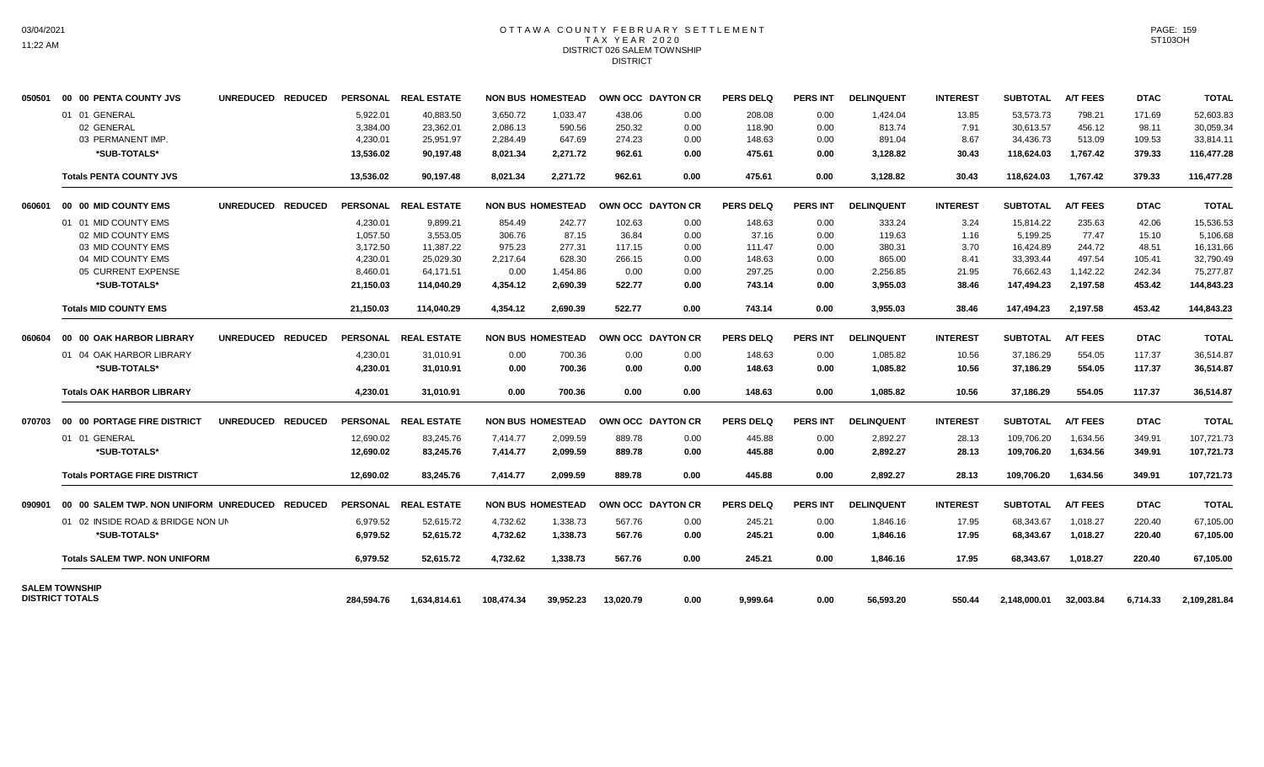## OTTAWA COUNTY FEBRUARY SETTLEMENT TAX YEAR 2020 DISTRICT 026 SALEM TOWNSHIP DISTRICT

| 050501 | 00 00 PENTA COUNTY JVS                          | UNREDUCED REDUCED                  |            | PERSONAL REAL ESTATE |            | <b>NON BUS HOMESTEAD</b> | OWN OCC DAYTON CR |      | <b>PERS DELQ</b> | <b>PERS INT</b> | <b>DELINQUENT</b> | <b>INTEREST</b> | <b>SUBTOTAL</b> | <b>A/T FEES</b> | <b>DTAC</b> | <b>TOTAL</b> |
|--------|-------------------------------------------------|------------------------------------|------------|----------------------|------------|--------------------------|-------------------|------|------------------|-----------------|-------------------|-----------------|-----------------|-----------------|-------------|--------------|
|        | 01 01 GENERAL                                   |                                    | 5,922.01   | 40,883.50            | 3,650.72   | 1,033.47                 | 438.06            | 0.00 | 208.08           | 0.00            | 1,424.04          | 13.85           | 53,573.73       | 798.21          | 171.69      | 52,603.83    |
|        | 02 GENERAL                                      |                                    | 3,384.00   | 23,362.01            | 2,086.13   | 590.56                   | 250.32            | 0.00 | 118.90           | 0.00            | 813.74            | 7.91            | 30,613.57       | 456.12          | 98.11       | 30,059.34    |
|        | 03 PERMANENT IMP.                               |                                    | 4,230.01   | 25,951.97            | 2,284.49   | 647.69                   | 274.23            | 0.00 | 148.63           | 0.00            | 891.04            | 8.67            | 34,436.73       | 513.09          | 109.53      | 33,814.11    |
|        | *SUB-TOTALS*                                    |                                    | 13.536.02  | 90.197.48            | 8,021.34   | 2.271.72                 | 962.61            | 0.00 | 475.61           | 0.00            | 3,128.82          | 30.43           | 118.624.03      | 1,767.42        | 379.33      | 116,477.28   |
|        | <b>Totals PENTA COUNTY JVS</b>                  |                                    | 13,536.02  | 90,197.48            | 8,021.34   | 2,271.72                 | 962.61            | 0.00 | 475.61           | 0.00            | 3,128.82          | 30.43           | 118,624.03      | 1,767.42        | 379.33      | 116,477.28   |
| 060601 | 00 00 MID COUNTY EMS                            | <b>UNREDUCED</b><br><b>REDUCED</b> |            | PERSONAL REAL ESTATE |            | <b>NON BUS HOMESTEAD</b> | OWN OCC DAYTON CR |      | PERS DELQ        | <b>PERS INT</b> | <b>DELINQUENT</b> | <b>INTEREST</b> | <b>SUBTOTAL</b> | <b>A/T FEES</b> | <b>DTAC</b> | <b>TOTAL</b> |
|        | 01 01 MID COUNTY EMS                            |                                    | 4.230.01   | 9.899.21             | 854.49     | 242.77                   | 102.63            | 0.00 | 148.63           | 0.00            | 333.24            | 3.24            | 15.814.22       | 235.63          | 42.06       | 15.536.53    |
|        | 02 MID COUNTY EMS                               |                                    | 1,057.50   | 3.553.05             | 306.76     | 87.15                    | 36.84             | 0.00 | 37.16            | 0.00            | 119.63            | 1.16            | 5,199.25        | 77.47           | 15.10       | 5.106.68     |
|        | 03 MID COUNTY EMS                               |                                    | 3.172.50   | 11.387.22            | 975.23     | 277.31                   | 117.15            | 0.00 | 111.47           | 0.00            | 380.31            | 3.70            | 16.424.89       | 244.72          | 48.51       | 16.131.66    |
|        | 04 MID COUNTY EMS                               |                                    | 4,230.01   | 25,029.30            | 2,217.64   | 628.30                   | 266.15            | 0.00 | 148.63           | 0.00            | 865.00            | 8.41            | 33,393.44       | 497.54          | 105.41      | 32,790.49    |
|        | 05 CURRENT EXPENSE                              |                                    | 8,460.01   | 64.171.51            | 0.00       | 1,454.86                 | 0.00              | 0.00 | 297.25           | 0.00            | 2,256.85          | 21.95           | 76.662.43       | 1,142.22        | 242.34      | 75,277.87    |
|        | *SUB-TOTALS*                                    |                                    | 21,150.03  | 114,040.29           | 4,354.12   | 2,690.39                 | 522.77            | 0.00 | 743.14           | 0.00            | 3,955.03          | 38.46           | 147,494.23      | 2,197.58        | 453.42      | 144,843.23   |
|        | <b>Totals MID COUNTY EMS</b>                    |                                    | 21.150.03  | 114.040.29           | 4.354.12   | 2.690.39                 | 522.77            | 0.00 | 743.14           | 0.00            | 3.955.03          | 38.46           | 147.494.23      | 2.197.58        | 453.42      | 144,843.23   |
| 060604 | 00 00 OAK HARBOR LIBRARY                        | UNREDUCED REDUCED                  |            | PERSONAL REAL ESTATE |            | <b>NON BUS HOMESTEAD</b> | OWN OCC DAYTON CR |      | <b>PERS DELQ</b> | <b>PERS INT</b> | <b>DELINQUENT</b> | <b>INTEREST</b> | <b>SUBTOTAL</b> | <b>A/T FEES</b> | <b>DTAC</b> | <b>TOTAL</b> |
|        | 01 04 OAK HARBOR LIBRARY                        |                                    | 4,230.01   | 31,010.91            | 0.00       | 700.36                   | 0.00              | 0.00 | 148.63           | 0.00            | 1,085.82          | 10.56           | 37,186.29       | 554.05          | 117.37      | 36,514.87    |
|        | *SUB-TOTALS*                                    |                                    | 4,230.01   | 31,010.91            | 0.00       | 700.36                   | 0.00              | 0.00 | 148.63           | 0.00            | 1,085.82          | 10.56           | 37,186.29       | 554.05          | 117.37      | 36,514.87    |
|        | <b>Totals OAK HARBOR LIBRARY</b>                |                                    | 4,230.01   | 31,010.91            | 0.00       | 700.36                   | 0.00              | 0.00 | 148.63           | 0.00            | 1,085.82          | 10.56           | 37,186.29       | 554.05          | 117.37      | 36,514.87    |
| 070703 | 00 00 PORTAGE FIRE DISTRICT                     | UNREDUCED REDUCED                  |            | PERSONAL REAL ESTATE |            | <b>NON BUS HOMESTEAD</b> | OWN OCC DAYTON CR |      | PERS DELO        | <b>PERS INT</b> | <b>DELINQUENT</b> | <b>INTEREST</b> | <b>SUBTOTAL</b> | <b>A/T FEES</b> | <b>DTAC</b> | <b>TOTAL</b> |
|        | 01 01 GENERAL                                   |                                    | 12,690.02  | 83.245.76            | 7.414.77   | 2.099.59                 | 889.78            | 0.00 | 445.88           | 0.00            | 2,892.27          | 28.13           | 109.706.20      | 1.634.56        | 349.91      | 107.721.73   |
|        | *SUB-TOTALS*                                    |                                    | 12,690.02  | 83,245.76            | 7,414.77   | 2,099.59                 | 889.78            | 0.00 | 445.88           | 0.00            | 2,892.27          | 28.13           | 109,706.20      | 1,634.56        | 349.91      | 107,721.73   |
|        | <b>Totals PORTAGE FIRE DISTRICT</b>             |                                    | 12,690.02  | 83,245.76            | 7,414.77   | 2,099.59                 | 889.78            | 0.00 | 445.88           | 0.00            | 2,892.27          | 28.13           | 109,706.20      | 1,634.56        | 349.91      | 107,721.73   |
| 090901 | 00 00 SALEM TWP. NON UNIFORM UNREDUCED REDUCED  |                                    |            | PERSONAL REAL ESTATE |            | <b>NON BUS HOMESTEAD</b> | OWN OCC DAYTON CR |      | <b>PERS DELQ</b> | <b>PERS INT</b> | <b>DELINQUENT</b> | <b>INTEREST</b> | <b>SUBTOTAL</b> | <b>A/T FEES</b> | <b>DTAC</b> | <b>TOTAL</b> |
|        | 01 02 INSIDE ROAD & BRIDGE NON UN               |                                    | 6,979.52   | 52,615.72            | 4,732.62   | 1,338.73                 | 567.76            | 0.00 | 245.21           | 0.00            | 1,846.16          | 17.95           | 68,343.67       | 1,018.27        | 220.40      | 67,105.00    |
|        | *SUB-TOTALS*                                    |                                    | 6,979.52   | 52,615.72            | 4,732.62   | 1,338.73                 | 567.76            | 0.00 | 245.21           | 0.00            | 1,846.16          | 17.95           | 68,343.67       | 1,018.27        | 220.40      | 67,105.00    |
|        | <b>Totals SALEM TWP, NON UNIFORM</b>            |                                    | 6,979.52   | 52,615.72            | 4,732.62   | 1,338.73                 | 567.76            | 0.00 | 245.21           | 0.00            | 1,846.16          | 17.95           | 68.343.67       | 1,018.27        | 220.40      | 67,105.00    |
|        | <b>SALEM TOWNSHIP</b><br><b>DISTRICT TOTALS</b> |                                    | 284.594.76 |                      | 108.474.34 | 39.952.23                | 13.020.79         | 0.00 | 9,999.64         | 0.00            |                   | 550.44          | 2.148.000.01    | 32,003.84       | 6.714.33    | 2,109,281.84 |
|        |                                                 |                                    |            | 1,634,814.61         |            |                          |                   |      |                  |                 | 56,593.20         |                 |                 |                 |             |              |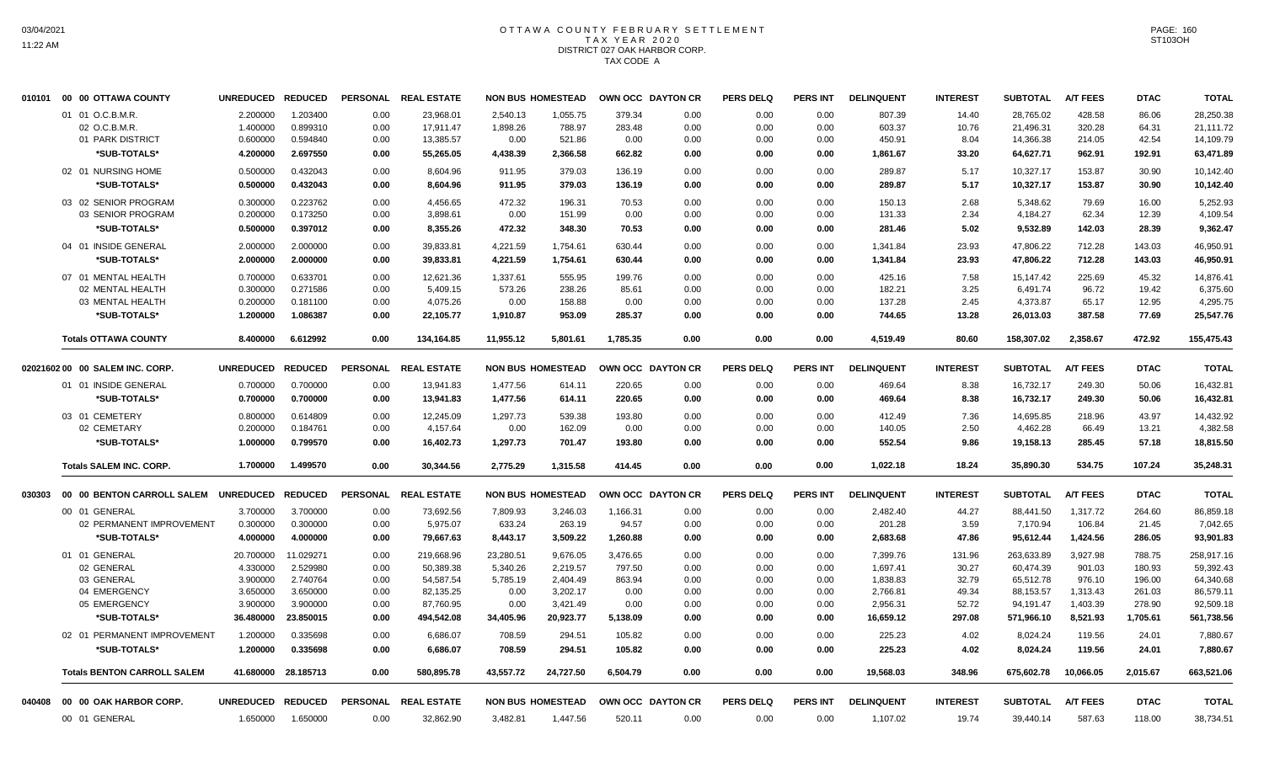# OTTAWA COUNTY FEBRUARY SETTLEMENT TAX YEAR 2020 DISTRICT 027 OAK HARBOR CORP. TAX CODE A

|        | 010101 00 00 OTTAWA COUNTY         | <b>UNREDUCED</b>  | <b>REDUCED</b> |      | PERSONAL REAL ESTATE |           | <b>NON BUS HOMESTEAD</b> | OWN OCC DAYTON CR |      | <b>PERS DELQ</b> | <b>PERS INT</b> | <b>DELINQUENT</b> | <b>INTEREST</b> | <b>SUBTOTAL</b> | <b>A/T FEES</b> | <b>DTAC</b> | <b>TOTAL</b> |
|--------|------------------------------------|-------------------|----------------|------|----------------------|-----------|--------------------------|-------------------|------|------------------|-----------------|-------------------|-----------------|-----------------|-----------------|-------------|--------------|
|        | 01 01 O.C.B.M.R.                   | 2.200000          | 1.203400       | 0.00 | 23.968.01            | 2.540.13  | 1.055.75                 | 379.34            | 0.00 | 0.00             | 0.00            | 807.39            | 14.40           | 28,765.02       | 428.58          | 86.06       | 28,250.38    |
|        | 02 O.C.B.M.R.                      | 1.400000          | 0.899310       | 0.00 | 17,911.47            | 1,898.26  | 788.97                   | 283.48            | 0.00 | 0.00             | 0.00            | 603.37            | 10.76           | 21,496.31       | 320.28          | 64.31       | 21,111.72    |
|        | 01 PARK DISTRICT                   | 0.600000          | 0.594840       | 0.00 | 13,385.57            | 0.00      | 521.86                   | 0.00              | 0.00 | 0.00             | 0.00            | 450.91            | 8.04            | 14,366.38       | 214.05          | 42.54       | 14,109.79    |
|        | *SUB-TOTALS*                       | 4.200000          | 2.697550       | 0.00 | 55,265.05            | 4,438.39  | 2,366.58                 | 662.82            | 0.00 | 0.00             | 0.00            | 1,861.67          | 33.20           | 64,627.71       | 962.91          | 192.91      | 63,471.89    |
|        | 02 01 NURSING HOME                 | 0.500000          | 0.432043       | 0.00 | 8,604.96             | 911.95    | 379.03                   | 136.19            | 0.00 | 0.00             | 0.00            | 289.87            | 5.17            | 10,327.17       | 153.87          | 30.90       | 10,142.40    |
|        | *SUB-TOTALS*                       | 0.500000          | 0.432043       | 0.00 | 8,604.96             | 911.95    | 379.03                   | 136.19            | 0.00 | 0.00             | 0.00            | 289.87            | 5.17            | 10,327.17       | 153.87          | 30.90       | 10,142.40    |
|        | 03 02 SENIOR PROGRAM               | 0.300000          | 0.223762       | 0.00 | 4,456.65             | 472.32    | 196.31                   | 70.53             | 0.00 | 0.00             | 0.00            | 150.13            | 2.68            | 5,348.62        | 79.69           | 16.00       | 5,252.93     |
|        | 03 SENIOR PROGRAM                  | 0.200000          | 0.173250       | 0.00 | 3,898.61             | 0.00      | 151.99                   | 0.00              | 0.00 | 0.00             | 0.00            | 131.33            | 2.34            | 4,184.27        | 62.34           | 12.39       | 4,109.54     |
|        | *SUB-TOTALS*                       | 0.500000          | 0.397012       | 0.00 | 8,355.26             | 472.32    | 348.30                   | 70.53             | 0.00 | 0.00             | 0.00            | 281.46            | 5.02            | 9,532.89        | 142.03          | 28.39       | 9,362.47     |
|        | 04 01 INSIDE GENERAL               | 2.000000          | 2.000000       | 0.00 | 39,833.81            | 4,221.59  | 1,754.61                 | 630.44            | 0.00 | 0.00             | 0.00            | 1,341.84          | 23.93           | 47,806.22       | 712.28          | 143.03      | 46,950.91    |
|        | *SUB-TOTALS*                       | 2.000000          | 2.000000       | 0.00 | 39,833.81            | 4,221.59  | 1,754.61                 | 630.44            | 0.00 | 0.00             | 0.00            | 1,341.84          | 23.93           | 47,806.22       | 712.28          | 143.03      | 46,950.91    |
|        | 07 01 MENTAL HEALTH                | 0.700000          | 0.633701       | 0.00 | 12,621.36            | 1,337.61  | 555.95                   | 199.76            | 0.00 | 0.00             | 0.00            | 425.16            | 7.58            | 15,147.42       | 225.69          | 45.32       | 14,876.41    |
|        | 02 MENTAL HEALTH                   | 0.300000          | 0.271586       | 0.00 | 5,409.15             | 573.26    | 238.26                   | 85.61             | 0.00 | 0.00             | 0.00            | 182.21            | 3.25            | 6,491.74        | 96.72           | 19.42       | 6,375.60     |
|        | 03 MENTAL HEALTH                   | 0.200000          | 0.181100       | 0.00 | 4,075.26             | 0.00      | 158.88                   | 0.00              | 0.00 | 0.00             | 0.00            | 137.28            | 2.45            | 4,373.87        | 65.17           | 12.95       | 4,295.75     |
|        | *SUB-TOTALS*                       | 1.200000          | 1.086387       | 0.00 | 22,105.77            | 1,910.87  | 953.09                   | 285.37            | 0.00 | 0.00             | 0.00            | 744.65            | 13.28           | 26,013.03       | 387.58          | 77.69       | 25,547.76    |
|        | <b>Totals OTTAWA COUNTY</b>        | 8.400000          | 6.612992       | 0.00 | 134,164.85           | 11,955.12 | 5,801.61                 | 1,785.35          | 0.00 | 0.00             | 0.00            | 4,519.49          | 80.60           | 158,307.02      | 2,358.67        | 472.92      | 155,475.43   |
|        | 02021602 00 00 SALEM INC. CORP.    | <b>UNREDUCED</b>  | <b>REDUCED</b> |      | PERSONAL REAL ESTATE |           | <b>NON BUS HOMESTEAD</b> | OWN OCC DAYTON CR |      | <b>PERS DELQ</b> | <b>PERS INT</b> | <b>DELINQUENT</b> | <b>INTEREST</b> | <b>SUBTOTAL</b> | <b>A/T FEES</b> | <b>DTAC</b> | <b>TOTAL</b> |
|        | 01 01 INSIDE GENERAL               | 0.700000          | 0.700000       | 0.00 | 13,941.83            | 1,477.56  | 614.11                   | 220.65            | 0.00 | 0.00             | 0.00            | 469.64            | 8.38            | 16,732.17       | 249.30          | 50.06       | 16,432.81    |
|        | *SUB-TOTALS*                       | 0.700000          | 0.700000       | 0.00 | 13,941.83            | 1,477.56  | 614.11                   | 220.65            | 0.00 | 0.00             | 0.00            | 469.64            | 8.38            | 16,732.17       | 249.30          | 50.06       | 16,432.81    |
|        | 03 01 CEMETERY                     | 0.800000          | 0.614809       | 0.00 | 12,245.09            | 1,297.73  | 539.38                   | 193.80            | 0.00 | 0.00             | 0.00            | 412.49            | 7.36            | 14,695.85       | 218.96          | 43.97       | 14,432.92    |
|        | 02 CEMETARY                        | 0.200000          | 0.184761       | 0.00 | 4,157.64             | 0.00      | 162.09                   | 0.00              | 0.00 | 0.00             | 0.00            | 140.05            | 2.50            | 4,462.28        | 66.49           | 13.21       | 4,382.58     |
|        | *SUB-TOTALS*                       | 1.000000          | 0.799570       | 0.00 | 16,402.73            | 1,297.73  | 701.47                   | 193.80            | 0.00 | 0.00             | 0.00            | 552.54            | 9.86            | 19,158.13       | 285.45          | 57.18       | 18,815.50    |
|        | <b>Totals SALEM INC. CORP.</b>     | 1.700000          | 1.499570       | 0.00 | 30,344.56            | 2,775.29  | 1,315.58                 | 414.45            | 0.00 | 0.00             | 0.00            | 1,022.18          | 18.24           | 35,890.30       | 534.75          | 107.24      | 35,248.31    |
|        |                                    |                   |                |      |                      |           |                          |                   |      |                  |                 |                   |                 |                 |                 |             |              |
| 030303 | 00 00 BENTON CARROLL SALEM         | <b>UNREDUCED</b>  | <b>REDUCED</b> |      | PERSONAL REAL ESTATE |           | <b>NON BUS HOMESTEAD</b> | OWN OCC DAYTON CR |      | <b>PERS DELQ</b> | <b>PERS INT</b> | <b>DELINQUENT</b> | <b>INTEREST</b> | <b>SUBTOTAL</b> | <b>A/T FEES</b> | <b>DTAC</b> | <b>TOTAL</b> |
|        | 00 01 GENERAL                      | 3.700000          | 3.700000       | 0.00 | 73,692.56            | 7,809.93  | 3,246.03                 | 1,166.31          | 0.00 | 0.00             | 0.00            | 2,482.40          | 44.27           | 88,441.50       | 1,317.72        | 264.60      | 86,859.18    |
|        | 02 PERMANENT IMPROVEMENT           | 0.300000          | 0.300000       | 0.00 | 5,975.07             | 633.24    | 263.19                   | 94.57             | 0.00 | 0.00             | 0.00            | 201.28            | 3.59            | 7,170.94        | 106.84          | 21.45       | 7,042.65     |
|        | *SUB-TOTALS*                       | 4.000000          | 4.000000       | 0.00 | 79,667.63            | 8,443.17  | 3,509.22                 | 1,260.88          | 0.00 | 0.00             | 0.00            | 2,683.68          | 47.86           | 95,612.44       | 1,424.56        | 286.05      | 93,901.83    |
|        | 01 01 GENERAL                      | 20.700000         | 11.029271      | 0.00 | 219,668.96           | 23,280.51 | 9,676.05                 | 3,476.65          | 0.00 | 0.00             | 0.00            | 7,399.76          | 131.96          | 263,633.89      | 3,927.98        | 788.75      | 258,917.16   |
|        | 02 GENERAL                         | 4.330000          | 2.529980       | 0.00 | 50,389.38            | 5,340.26  | 2,219.57                 | 797.50            | 0.00 | 0.00             | 0.00            | 1,697.41          | 30.27           | 60.474.39       | 901.03          | 180.93      | 59,392.43    |
|        | 03 GENERAL                         | 3.900000          | 2.740764       | 0.00 | 54,587.54            | 5,785.19  | 2,404.49                 | 863.94            | 0.00 | 0.00             | 0.00            | 1,838.83          | 32.79           | 65,512.78       | 976.10          | 196.00      | 64,340.68    |
|        | 04 EMERGENCY                       | 3.650000          | 3.650000       | 0.00 | 82,135.25            | 0.00      | 3,202.17                 | 0.00              | 0.00 | 0.00             | 0.00            | 2,766.81          | 49.34           | 88,153.57       | 1,313.43        | 261.03      | 86,579.11    |
|        | 05 EMERGENCY                       | 3.900000          | 3.900000       | 0.00 | 87,760.95            | 0.00      | 3,421.49                 | 0.00              | 0.00 | 0.00             | 0.00            | 2,956.31          | 52.72           | 94,191.47       | 1,403.39        | 278.90      | 92,509.18    |
|        | *SUB-TOTALS*                       | 36.480000         | 23.850015      | 0.00 | 494,542.08           | 34,405.96 | 20,923.77                | 5,138.09          | 0.00 | 0.00             | 0.00            | 16,659.12         | 297.08          | 571,966.10      | 8,521.93        | 1,705.61    | 561,738.56   |
|        | 02 01 PERMANENT IMPROVEMENT        | 1.200000          | 0.335698       | 0.00 | 6,686.07             | 708.59    | 294.51                   | 105.82            | 0.00 | 0.00             | 0.00            | 225.23            | 4.02            | 8,024.24        | 119.56          | 24.01       | 7,880.67     |
|        | *SUB-TOTALS*                       | 1.200000          | 0.335698       | 0.00 | 6,686.07             | 708.59    | 294.51                   | 105.82            | 0.00 | 0.00             | 0.00            | 225.23            | 4.02            | 8,024.24        | 119.56          | 24.01       | 7,880.67     |
|        | <b>Totals BENTON CARROLL SALEM</b> | 41.680000         | 28.185713      | 0.00 | 580,895.78           | 43,557.72 | 24,727.50                | 6.504.79          | 0.00 | 0.00             | 0.00            | 19,568.03         | 348.96          | 675,602.78      | 10,066.05       | 2,015.67    | 663,521.06   |
| 040408 | 00 00 OAK HARBOR CORP.             | UNREDUCED REDUCED |                |      | PERSONAL REAL ESTATE |           | <b>NON BUS HOMESTEAD</b> | OWN OCC DAYTON CR |      | <b>PERS DELQ</b> | <b>PERS INT</b> | <b>DELINQUENT</b> | <b>INTEREST</b> | <b>SUBTOTAL</b> | A/T FEES        | <b>DTAC</b> | <b>TOTAL</b> |
|        | 00 01 GENERAL                      | 1.650000          | 1.650000       | 0.00 | 32,862.90            | 3,482.81  | 1,447.56                 | 520.11            | 0.00 | 0.00             | 0.00            | 1,107.02          | 19.74           | 39,440.14       | 587.63          | 118.00      | 38,734.51    |
|        |                                    |                   |                |      |                      |           |                          |                   |      |                  |                 |                   |                 |                 |                 |             |              |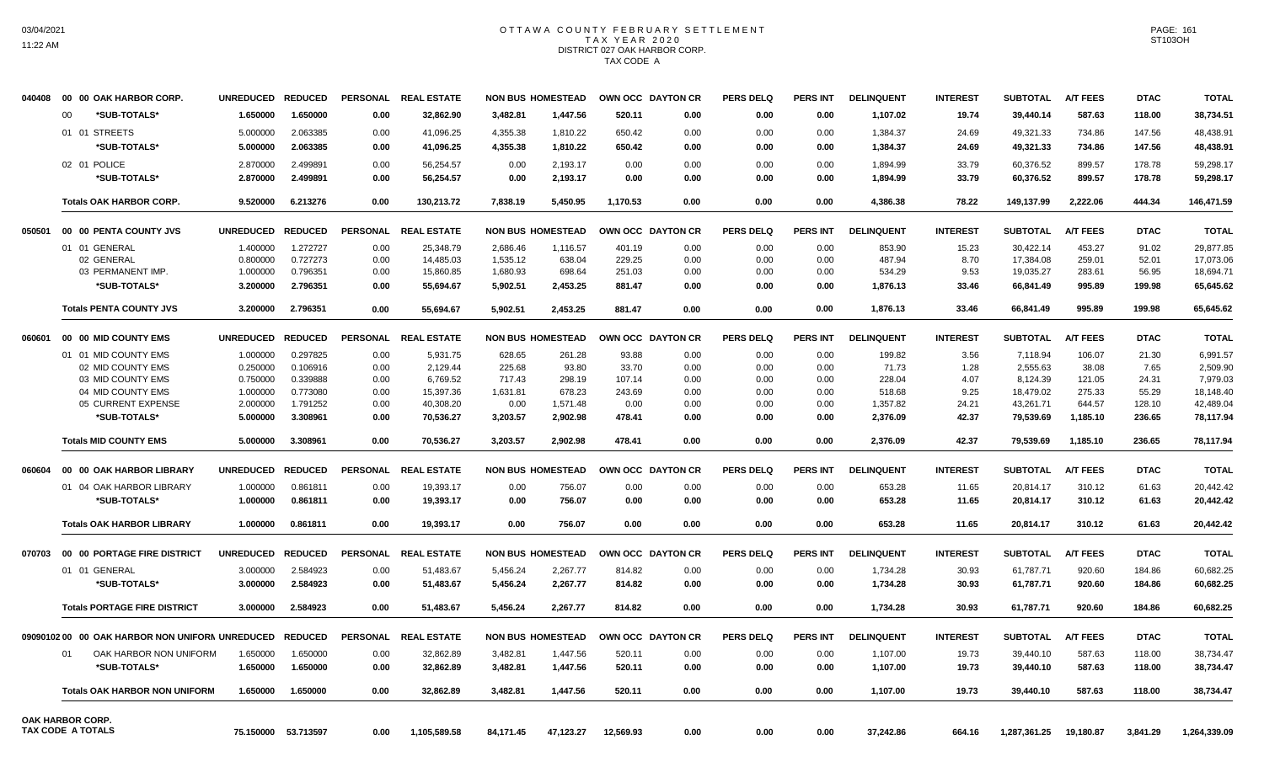## OTTAWA COUNTY FEBRUARY SETTLEMENT TAX YEAR 2020 DISTRICT 027 OAK HARBOR CORP. TAX CODE A

| 040408 | 00 00 OAK HARBOR CORP.                                  | <b>UNREDUCED</b> | <b>REDUCED</b>      | <b>PERSONAL</b> | <b>REAL ESTATE</b>   |           | <b>NON BUS HOMESTEAD</b> | OWN OCC DAYTON CR |                   | <b>PERS DELQ</b> | <b>PERS INT</b> | <b>DELINQUENT</b> | <b>INTEREST</b> | <b>SUBTOTAL</b> | <b>A/T FEES</b> | <b>DTAC</b> | <b>TOTAL</b> |
|--------|---------------------------------------------------------|------------------|---------------------|-----------------|----------------------|-----------|--------------------------|-------------------|-------------------|------------------|-----------------|-------------------|-----------------|-----------------|-----------------|-------------|--------------|
|        | *SUB-TOTALS*<br>00                                      | 1.650000         | 1.650000            | 0.00            | 32,862.90            | 3,482.81  | 1,447.56                 | 520.11            | 0.00              | 0.00             | 0.00            | 1,107.02          | 19.74           | 39,440.14       | 587.63          | 118.00      | 38,734.51    |
|        | 01 01 STREETS                                           | 5.000000         | 2.063385            | 0.00            | 41,096.25            | 4,355.38  | 1,810.22                 | 650.42            | 0.00              | 0.00             | 0.00            | 1,384.37          | 24.69           | 49,321.33       | 734.86          | 147.56      | 48,438.91    |
|        | *SUB-TOTALS*                                            | 5.000000         | 2.063385            | 0.00            | 41,096.25            | 4,355.38  | 1,810.22                 | 650.42            | 0.00              | 0.00             | 0.00            | 1,384.37          | 24.69           | 49,321.33       | 734.86          | 147.56      | 48,438.91    |
|        | 02 01 POLICE                                            | 2.870000         | 2.499891            | 0.00            | 56,254.57            | 0.00      | 2,193.17                 | 0.00              | 0.00              | 0.00             | 0.00            | 1,894.99          | 33.79           | 60,376.52       | 899.57          | 178.78      | 59,298.17    |
|        | *SUB-TOTALS*                                            | 2.870000         | 2.499891            | 0.00            | 56,254.57            | 0.00      | 2,193.17                 | 0.00              | 0.00              | 0.00             | 0.00            | 1,894.99          | 33.79           | 60,376.52       | 899.57          | 178.78      | 59,298.17    |
|        |                                                         |                  |                     |                 |                      |           |                          |                   |                   |                  |                 |                   |                 |                 |                 |             |              |
|        | <b>Totals OAK HARBOR CORP.</b>                          | 9.520000         | 6.213276            | 0.00            | 130,213.72           | 7,838.19  | 5,450.95                 | 1.170.53          | 0.00              | 0.00             | 0.00            | 4,386.38          | 78.22           | 149,137.99      | 2,222.06        | 444.34      | 146,471.59   |
| 050501 | 00 00 PENTA COUNTY JVS                                  | <b>UNREDUCED</b> | <b>REDUCED</b>      | <b>PERSONAL</b> | <b>REAL ESTATE</b>   |           | <b>NON BUS HOMESTEAD</b> |                   | OWN OCC DAYTON CR | <b>PERS DELO</b> | <b>PERS INT</b> | <b>DELINQUENT</b> | <b>INTEREST</b> | <b>SUBTOTAL</b> | <b>A/T FEES</b> | <b>DTAC</b> | <b>TOTAL</b> |
|        | 01 01 GENERAL                                           | 1.400000         | 1.272727            | 0.00            | 25,348.79            | 2,686.46  | 1,116.57                 | 401.19            | 0.00              | 0.00             | 0.00            | 853.90            | 15.23           | 30,422.14       | 453.27          | 91.02       | 29,877.85    |
|        | 02 GENERAL                                              | 0.800000         | 0.727273            | 0.00            | 14,485.03            | 1,535.12  | 638.04                   | 229.25            | 0.00              | 0.00             | 0.00            | 487.94            | 8.70            | 17,384.08       | 259.01          | 52.01       | 17,073.06    |
|        | 03 PERMANENT IMP.                                       | 1.000000         | 0.796351            | 0.00            | 15,860.85            | 1,680.93  | 698.64                   | 251.03            | 0.00              | 0.00             | 0.00            | 534.29            | 9.53            | 19,035.27       | 283.61          | 56.95       | 18,694.71    |
|        | *SUB-TOTALS*                                            | 3.200000         | 2.796351            | 0.00            | 55,694.67            | 5,902.51  | 2,453.25                 | 881.47            | 0.00              | 0.00             | 0.00            | 1,876.13          | 33.46           | 66,841.49       | 995.89          | 199.98      | 65,645.62    |
|        | <b>Totals PENTA COUNTY JVS</b>                          | 3.200000         | 2.796351            | 0.00            | 55,694.67            | 5,902.51  | 2,453.25                 | 881.47            | 0.00              | 0.00             | 0.00            | 1,876.13          | 33.46           | 66,841.49       | 995.89          | 199.98      | 65,645.62    |
| 060601 | 00 00 MID COUNTY EMS                                    | <b>UNREDUCED</b> | <b>REDUCED</b>      |                 | PERSONAL REAL ESTATE |           | <b>NON BUS HOMESTEAD</b> |                   | OWN OCC DAYTON CR | PERS DELO        | <b>PERS INT</b> | <b>DELINQUENT</b> | <b>INTEREST</b> | <b>SUBTOTAL</b> | <b>A/T FEES</b> | <b>DTAC</b> | <b>TOTAL</b> |
|        | 01 01 MID COUNTY EMS                                    | 1.000000         | 0.297825            | 0.00            | 5,931.75             | 628.65    | 261.28                   | 93.88             | 0.00              | 0.00             | 0.00            | 199.82            | 3.56            | 7,118.94        | 106.07          | 21.30       | 6,991.57     |
|        | 02 MID COUNTY EMS                                       | 0.250000         | 0.106916            | 0.00            | 2,129.44             | 225.68    | 93.80                    | 33.70             | 0.00              | 0.00             | 0.00            | 71.73             | 1.28            | 2,555.63        | 38.08           | 7.65        | 2,509.90     |
|        | 03 MID COUNTY EMS                                       | 0.750000         | 0.339888            | 0.00            | 6,769.52             | 717.43    | 298.19                   | 107.14            | 0.00              | 0.00             | 0.00            | 228.04            | 4.07            | 8,124.39        | 121.05          | 24.31       | 7,979.03     |
|        | 04 MID COUNTY EMS                                       | 1.000000         | 0.773080            | 0.00            | 15,397.36            | 1,631.81  | 678.23                   | 243.69            | 0.00              | 0.00             | 0.00            | 518.68            | 9.25            | 18,479.02       | 275.33          | 55.29       | 18,148.40    |
|        | 05 CURRENT EXPENSE                                      | 2.000000         | 1.791252            | 0.00            | 40,308.20            | 0.00      | 1,571.48                 | 0.00              | 0.00              | 0.00             | 0.00            | 1,357.82          | 24.21           | 43,261.71       | 644.57          | 128.10      | 42,489.04    |
|        | *SUB-TOTALS*                                            | 5.000000         | 3.308961            | 0.00            | 70,536.27            | 3,203.57  | 2,902.98                 | 478.41            | 0.00              | 0.00             | 0.00            | 2,376.09          | 42.37           | 79,539.69       | 1,185.10        | 236.65      | 78,117.94    |
|        | <b>Totals MID COUNTY EMS</b>                            | 5.000000         | 3.308961            | 0.00            | 70,536.27            | 3,203.57  | 2,902.98                 | 478.41            | 0.00              | 0.00             | 0.00            | 2,376.09          | 42.37           | 79,539.69       | 1,185.10        | 236.65      | 78,117.94    |
| 060604 | 00 00 OAK HARBOR LIBRARY                                | <b>UNREDUCED</b> | <b>REDUCED</b>      | <b>PERSONAL</b> | <b>REAL ESTATE</b>   |           | <b>NON BUS HOMESTEAD</b> |                   | OWN OCC DAYTON CR | <b>PERS DELQ</b> | <b>PERS INT</b> | <b>DELINQUENT</b> | <b>INTEREST</b> | <b>SUBTOTAL</b> | <b>A/T FEES</b> | <b>DTAC</b> | <b>TOTAL</b> |
|        | 01 04 OAK HARBOR LIBRARY                                | 1.000000         | 0.861811            | 0.00            | 19,393.17            | 0.00      | 756.07                   | 0.00              | 0.00              | 0.00             | 0.00            | 653.28            | 11.65           | 20,814.17       | 310.12          | 61.63       | 20,442.42    |
|        | *SUB-TOTALS*                                            | 1.000000         | 0.861811            |                 |                      | 0.00      | 756.07                   | 0.00              | 0.00              | 0.00             | 0.00            | 653.28            | 11.65           |                 | 310.12          | 61.63       | 20,442.42    |
|        |                                                         |                  |                     | 0.00            | 19,393.17            |           |                          |                   |                   |                  |                 |                   |                 | 20,814.17       |                 |             |              |
|        | <b>Totals OAK HARBOR LIBRARY</b>                        | 1.000000         | 0.861811            | 0.00            | 19,393.17            | 0.00      | 756.07                   | 0.00              | 0.00              | 0.00             | 0.00            | 653.28            | 11.65           | 20,814.17       | 310.12          | 61.63       | 20,442.42    |
| 070703 | 00 00 PORTAGE FIRE DISTRICT                             | <b>UNREDUCED</b> | <b>REDUCED</b>      | <b>PERSONAL</b> | <b>REAL ESTATE</b>   |           | <b>NON BUS HOMESTEAD</b> |                   | OWN OCC DAYTON CR | <b>PERS DELQ</b> | <b>PERS INT</b> | <b>DELINQUENT</b> | <b>INTEREST</b> | <b>SUBTOTAL</b> | <b>A/T FEES</b> | <b>DTAC</b> | <b>TOTAL</b> |
|        | 01 01 GENERAL                                           | 3.000000         | 2.584923            | 0.00            | 51,483.67            | 5,456.24  | 2,267.77                 | 814.82            | 0.00              | 0.00             | 0.00            | 1,734.28          | 30.93           | 61,787.71       | 920.60          | 184.86      | 60,682.25    |
|        | *SUB-TOTALS*                                            | 3.000000         | 2.584923            | 0.00            | 51,483.67            | 5,456.24  | 2,267.77                 | 814.82            | 0.00              | 0.00             | 0.00            | 1,734.28          | 30.93           | 61,787.71       | 920.60          | 184.86      | 60,682.25    |
|        | <b>Totals PORTAGE FIRE DISTRICT</b>                     | 3.000000         | 2.584923            | 0.00            | 51,483.67            | 5,456.24  | 2.267.77                 | 814.82            | 0.00              | 0.00             | 0.00            | 1,734.28          | 30.93           | 61,787.71       | 920.60          | 184.86      | 60,682.25    |
|        | 09090102 00 00 OAK HARBOR NON UNIFORN UNREDUCED REDUCED |                  |                     |                 | PERSONAL REAL ESTATE |           | <b>NON BUS HOMESTEAD</b> | OWN OCC DAYTON CR |                   | <b>PERS DELQ</b> | <b>PERS INT</b> | <b>DELINQUENT</b> | <b>INTEREST</b> | <b>SUBTOTAL</b> | <b>A/T FEES</b> | <b>DTAC</b> | <b>TOTAL</b> |
|        | OAK HARBOR NON UNIFORM                                  | 1.650000         | 1.650000            | 0.00            | 32,862.89            | 3,482.81  | 1,447.56                 | 520.11            | 0.00              | 0.00             | 0.00            | 1,107.00          | 19.73           | 39,440.10       | 587.63          | 118.00      | 38,734.47    |
|        | *SUB-TOTALS*                                            | 1.650000         | 1.650000            | 0.00            | 32,862.89            | 3,482.81  | 1,447.56                 | 520.11            | 0.00              | 0.00             | 0.00            | 1,107.00          | 19.73           | 39,440.10       | 587.63          | 118.00      | 38,734.47    |
|        |                                                         |                  |                     |                 |                      |           |                          |                   |                   |                  |                 |                   |                 |                 |                 |             |              |
|        | <b>Totals OAK HARBOR NON UNIFORM</b>                    | 1.650000         | 1.650000            | 0.00            | 32,862.89            | 3,482.81  | 1,447.56                 | 520.11            | 0.00              | 0.00             | 0.00            | 1,107.00          | 19.73           | 39,440.10       | 587.63          | 118.00      | 38,734.47    |
|        | OAK HARBOR CORP.                                        |                  |                     |                 |                      |           |                          |                   |                   |                  |                 |                   |                 |                 |                 |             |              |
|        | <b>TAX CODE A TOTALS</b>                                |                  | 75.150000 53.713597 | 0.00            | 1,105,589.58         | 84,171.45 | 47,123.27                | 12,569.93         | 0.00              | 0.00             | 0.00            | 37,242.86         | 664.16          | 1,287,361.25    | 19,180.87       | 3,841.29    | 1,264,339.09 |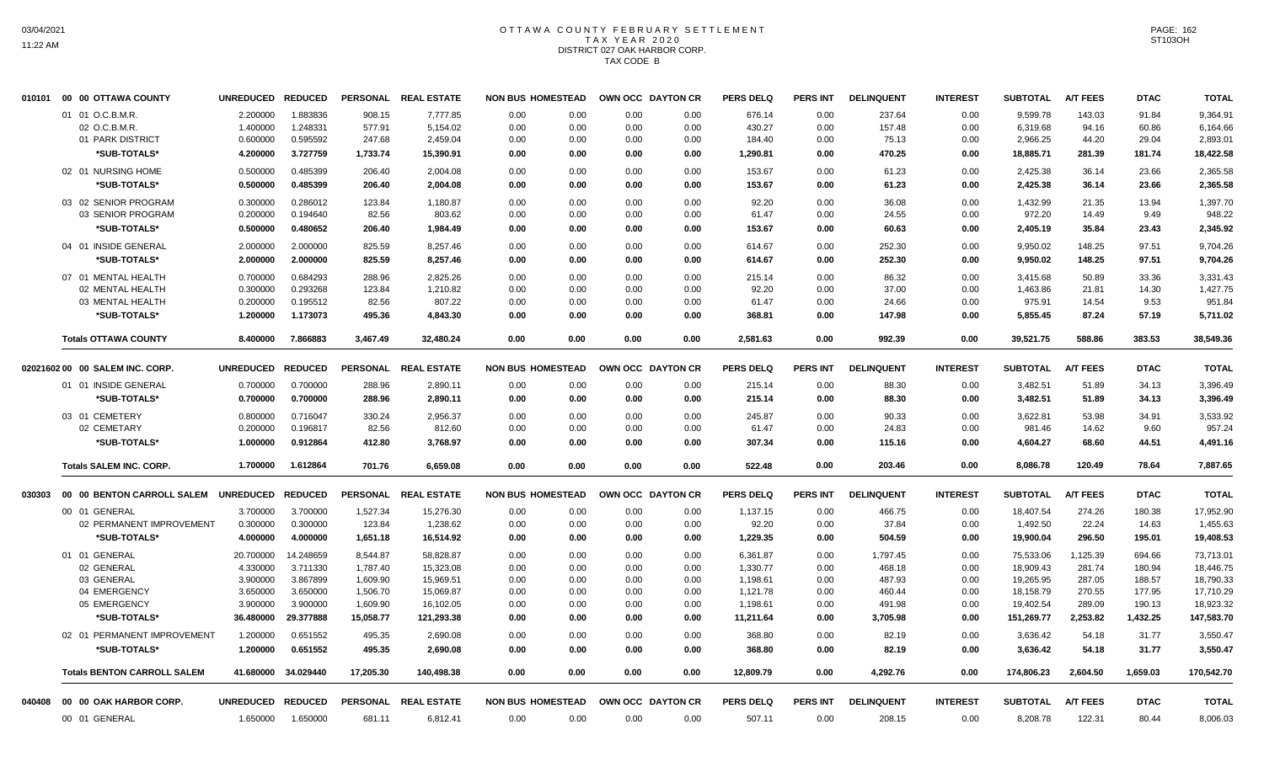# OTTAWA COUNTY FEBRUARY SETTLEMENT TAX YEAR 2020 DISTRICT 027 OAK HARBOR CORP. TAX CODE B

|        | 010101 00 00 OTTAWA COUNTY         | UNREDUCED REDUCED |           | <b>PERSONAL</b> | <b>REAL ESTATE</b>   | <b>NON BUS HOMESTEAD</b> |      | OWN OCC DAYTON CR |      | <b>PERS DELQ</b> | <b>PERS INT</b> | <b>DELINQUENT</b> | <b>INTEREST</b> | <b>SUBTOTAL</b> | <b>A/T FEES</b> | <b>DTAC</b> | <b>TOTAL</b> |
|--------|------------------------------------|-------------------|-----------|-----------------|----------------------|--------------------------|------|-------------------|------|------------------|-----------------|-------------------|-----------------|-----------------|-----------------|-------------|--------------|
|        | 01 01 O.C.B.M.R.                   | 2.200000          | 1.883836  | 908.15          | 7.777.85             | 0.00                     | 0.00 | 0.00              | 0.00 | 676.14           | 0.00            | 237.64            | 0.00            | 9.599.78        | 143.03          | 91.84       | 9,364.91     |
|        | 02 O.C.B.M.R.                      | 1.400000          | 1.248331  | 577.91          | 5,154.02             | 0.00                     | 0.00 | 0.00              | 0.00 | 430.27           | 0.00            | 157.48            | 0.00            | 6,319.68        | 94.16           | 60.86       | 6,164.66     |
|        | 01 PARK DISTRICT                   | 0.600000          | 0.595592  | 247.68          | 2,459.04             | 0.00                     | 0.00 | 0.00              | 0.00 | 184.40           | 0.00            | 75.13             | 0.00            | 2,966.25        | 44.20           | 29.04       | 2,893.01     |
|        | *SUB-TOTALS*                       | 4.200000          | 3.727759  | 1,733.74        | 15,390.91            | 0.00                     | 0.00 | 0.00              | 0.00 | 1,290.81         | 0.00            | 470.25            | 0.00            | 18,885.71       | 281.39          | 181.74      | 18,422.58    |
|        | 02 01 NURSING HOME                 | 0.500000          | 0.485399  | 206.40          | 2.004.08             | 0.00                     | 0.00 | 0.00              | 0.00 | 153.67           | 0.00            | 61.23             | 0.00            | 2,425.38        | 36.14           | 23.66       | 2,365.58     |
|        | *SUB-TOTALS*                       | 0.500000          | 0.485399  | 206.40          | 2,004.08             | 0.00                     | 0.00 | 0.00              | 0.00 | 153.67           | 0.00            | 61.23             | 0.00            | 2,425.38        | 36.14           | 23.66       | 2,365.58     |
|        | 03 02 SENIOR PROGRAM               | 0.300000          | 0.286012  | 123.84          | 1,180.87             | 0.00                     | 0.00 | 0.00              | 0.00 | 92.20            | 0.00            | 36.08             | 0.00            | 1,432.99        | 21.35           | 13.94       | 1,397.70     |
|        | 03 SENIOR PROGRAM                  | 0.200000          | 0.194640  | 82.56           | 803.62               | 0.00                     | 0.00 | 0.00              | 0.00 | 61.47            | 0.00            | 24.55             | 0.00            | 972.20          | 14.49           | 9.49        | 948.22       |
|        | *SUB-TOTALS*                       | 0.500000          | 0.480652  | 206.40          | 1,984.49             | 0.00                     | 0.00 | 0.00              | 0.00 | 153.67           | 0.00            | 60.63             | 0.00            | 2,405.19        | 35.84           | 23.43       | 2,345.92     |
|        | 04 01 INSIDE GENERAL               | 2.000000          | 2.000000  | 825.59          | 8,257.46             | 0.00                     | 0.00 | 0.00              | 0.00 | 614.67           | 0.00            | 252.30            | 0.00            | 9,950.02        | 148.25          | 97.51       | 9,704.26     |
|        | *SUB-TOTALS*                       | 2.000000          | 2.000000  | 825.59          | 8,257.46             | 0.00                     | 0.00 | 0.00              | 0.00 | 614.67           | 0.00            | 252.30            | 0.00            | 9,950.02        | 148.25          | 97.51       | 9,704.26     |
|        | 07 01 MENTAL HEALTH                | 0.700000          | 0.684293  | 288.96          | 2,825.26             | 0.00                     | 0.00 | 0.00              | 0.00 | 215.14           | 0.00            | 86.32             | 0.00            | 3,415.68        | 50.89           | 33.36       | 3,331.43     |
|        | 02 MENTAL HEALTH                   | 0.300000          | 0.293268  | 123.84          | 1,210.82             | 0.00                     | 0.00 | 0.00              | 0.00 | 92.20            | 0.00            | 37.00             | 0.00            | 1,463.86        | 21.81           | 14.30       | 1,427.75     |
|        | 03 MENTAL HEALTH                   | 0.200000          | 0.195512  | 82.56           | 807.22               | 0.00                     | 0.00 | 0.00              | 0.00 | 61.47            | 0.00            | 24.66             | 0.00            | 975.91          | 14.54           | 9.53        | 951.84       |
|        | *SUB-TOTALS*                       | 1.200000          | 1.173073  | 495.36          | 4,843.30             | 0.00                     | 0.00 | 0.00              | 0.00 | 368.81           | 0.00            | 147.98            | 0.00            | 5,855.45        | 87.24           | 57.19       | 5,711.02     |
|        | <b>Totals OTTAWA COUNTY</b>        | 8.400000          | 7.866883  | 3,467.49        | 32,480.24            | 0.00                     | 0.00 | 0.00              | 0.00 | 2,581.63         | 0.00            | 992.39            | 0.00            | 39,521.75       | 588.86          | 383.53      | 38,549.36    |
|        |                                    |                   |           |                 |                      |                          |      |                   |      |                  |                 |                   |                 |                 |                 |             |              |
|        | 0202160200 00 SALEM INC. CORP.     | UNREDUCED REDUCED |           |                 | PERSONAL REAL ESTATE | <b>NON BUS HOMESTEAD</b> |      | OWN OCC DAYTON CR |      | <b>PERS DELO</b> | <b>PERS INT</b> | <b>DELINQUENT</b> | <b>INTEREST</b> | <b>SUBTOTAL</b> | <b>A/T FEES</b> | <b>DTAC</b> | <b>TOTAL</b> |
|        | 01 01 INSIDE GENERAL               | 0.700000          | 0.700000  | 288.96          | 2,890.11             | 0.00                     | 0.00 | 0.00              | 0.00 | 215.14           | 0.00            | 88.30             | 0.00            | 3,482.51        | 51.89           | 34.13       | 3,396.49     |
|        | *SUB-TOTALS*                       | 0.700000          | 0.700000  | 288.96          | 2,890.11             | 0.00                     | 0.00 | 0.00              | 0.00 | 215.14           | 0.00            | 88.30             | 0.00            | 3,482.51        | 51.89           | 34.13       | 3,396.49     |
|        | 03 01 CEMETERY                     | 0.800000          | 0.716047  | 330.24          | 2,956.37             | 0.00                     | 0.00 | 0.00              | 0.00 | 245.87           | 0.00            | 90.33             | 0.00            | 3,622.81        | 53.98           | 34.91       | 3,533.92     |
|        | 02 CEMETARY                        | 0.200000          | 0.196817  | 82.56           | 812.60               | 0.00                     | 0.00 | 0.00              | 0.00 | 61.47            | 0.00            | 24.83             | 0.00            | 981.46          | 14.62           | 9.60        | 957.24       |
|        | *SUB-TOTALS*                       | 1.000000          | 0.912864  | 412.80          | 3,768.97             | 0.00                     | 0.00 | 0.00              | 0.00 | 307.34           | 0.00            | 115.16            | 0.00            | 4,604.27        | 68.60           | 44.51       | 4,491.16     |
|        | <b>Totals SALEM INC. CORP.</b>     | 1.700000          | 1.612864  | 701.76          | 6,659.08             | 0.00                     | 0.00 | 0.00              | 0.00 | 522.48           | 0.00            | 203.46            | 0.00            | 8,086.78        | 120.49          | 78.64       | 7,887.65     |
| 030303 | 00 00 BENTON CARROLL SALEM         | UNREDUCED REDUCED |           |                 | PERSONAL REAL ESTATE | <b>NON BUS HOMESTEAD</b> |      | OWN OCC DAYTON CR |      | <b>PERS DELQ</b> | <b>PERS INT</b> | <b>DELINQUENT</b> | <b>INTEREST</b> | <b>SUBTOTAL</b> | <b>A/T FEES</b> | <b>DTAC</b> | <b>TOTAL</b> |
|        | 00 01 GENERAL                      | 3.700000          | 3.700000  | 1,527.34        | 15,276.30            | 0.00                     | 0.00 | 0.00              | 0.00 | 1,137.15         | 0.00            | 466.75            | 0.00            | 18,407.54       | 274.26          | 180.38      | 17,952.90    |
|        | 02 PERMANENT IMPROVEMENT           | 0.300000          | 0.300000  | 123.84          | 1,238.62             | 0.00                     | 0.00 | 0.00              | 0.00 | 92.20            | 0.00            | 37.84             | 0.00            | 1,492.50        | 22.24           | 14.63       | 1,455.63     |
|        | *SUB-TOTALS*                       | 4.000000          | 4.000000  | 1,651.18        | 16,514.92            | 0.00                     | 0.00 | 0.00              | 0.00 | 1,229.35         | 0.00            | 504.59            | 0.00            | 19,900.04       | 296.50          | 195.01      | 19,408.53    |
|        | 01 01 GENERAL                      | 20.700000         | 14.248659 | 8,544.87        | 58,828.87            | 0.00                     | 0.00 | 0.00              | 0.00 | 6,361.87         | 0.00            | 1,797.45          | 0.00            | 75,533.06       | 1,125.39        | 694.66      | 73,713.01    |
|        | 02 GENERAL                         | 4.330000          | 3.711330  | 1,787.40        | 15,323.08            | 0.00                     | 0.00 | 0.00              | 0.00 | 1,330.77         | 0.00            | 468.18            | 0.00            | 18,909.43       | 281.74          | 180.94      | 18,446.75    |
|        | 03 GENERAL                         | 3.900000          | 3.867899  | 1,609.90        | 15,969.51            | 0.00                     | 0.00 | 0.00              | 0.00 | 1,198.61         | 0.00            | 487.93            | 0.00            | 19,265.95       | 287.05          | 188.57      | 18,790.33    |
|        | 04 EMERGENCY                       | 3.650000          | 3.650000  | 1,506.70        | 15,069.87            | 0.00                     | 0.00 | 0.00              | 0.00 | 1,121.78         | 0.00            | 460.44            | 0.00            | 18,158.79       | 270.55          | 177.95      | 17,710.29    |
|        | 05 EMERGENCY                       | 3.900000          | 3.900000  | 1,609.90        | 16,102.05            | 0.00                     | 0.00 | 0.00              | 0.00 | 1,198.61         | 0.00            | 491.98            | 0.00            | 19,402.54       | 289.09          | 190.13      | 18,923.32    |
|        | *SUB-TOTALS*                       | 36.480000         | 29.377888 | 15,058.77       | 121,293.38           | 0.00                     | 0.00 | 0.00              | 0.00 | 11,211.64        | 0.00            | 3,705.98          | 0.00            | 151,269.77      | 2,253.82        | 1,432.25    | 147,583.70   |
|        | 02 01 PERMANENT IMPROVEMENT        | 1.200000          | 0.651552  | 495.35          | 2.690.08             | 0.00                     | 0.00 | 0.00              | 0.00 | 368.80           | 0.00            | 82.19             | 0.00            | 3,636.42        | 54.18           | 31.77       | 3.550.47     |
|        | *SUB-TOTALS*                       | 1.200000          | 0.651552  | 495.35          | 2,690.08             | 0.00                     | 0.00 | 0.00              | 0.00 | 368.80           | 0.00            | 82.19             | 0.00            | 3,636.42        | 54.18           | 31.77       | 3,550.47     |
|        | <b>Totals BENTON CARROLL SALEM</b> | 41.680000         | 34.029440 | 17,205.30       | 140,498.38           | 0.00                     | 0.00 | 0.00              | 0.00 | 12,809.79        | 0.00            | 4,292.76          | 0.00            | 174,806.23      | 2.604.50        | 1,659.03    | 170,542.70   |
| 040408 | 00 00 OAK HARBOR CORP.             | UNREDUCED REDUCED |           |                 | PERSONAL REAL ESTATE | <b>NON BUS HOMESTEAD</b> |      | OWN OCC DAYTON CR |      | <b>PERS DELQ</b> | PERS INT        | <b>DELINQUENT</b> | <b>INTEREST</b> | <b>SUBTOTAL</b> | <b>A/T FEES</b> | <b>DTAC</b> | <b>TOTAL</b> |
|        | 00 01 GENERAL                      | 1.650000          | 1.650000  | 681.11          | 6,812.41             | 0.00                     | 0.00 | 0.00              | 0.00 | 507.11           | 0.00            | 208.15            | 0.00            | 8,208.78        | 122.31          | 80.44       | 8,006.03     |
|        |                                    |                   |           |                 |                      |                          |      |                   |      |                  |                 |                   |                 |                 |                 |             |              |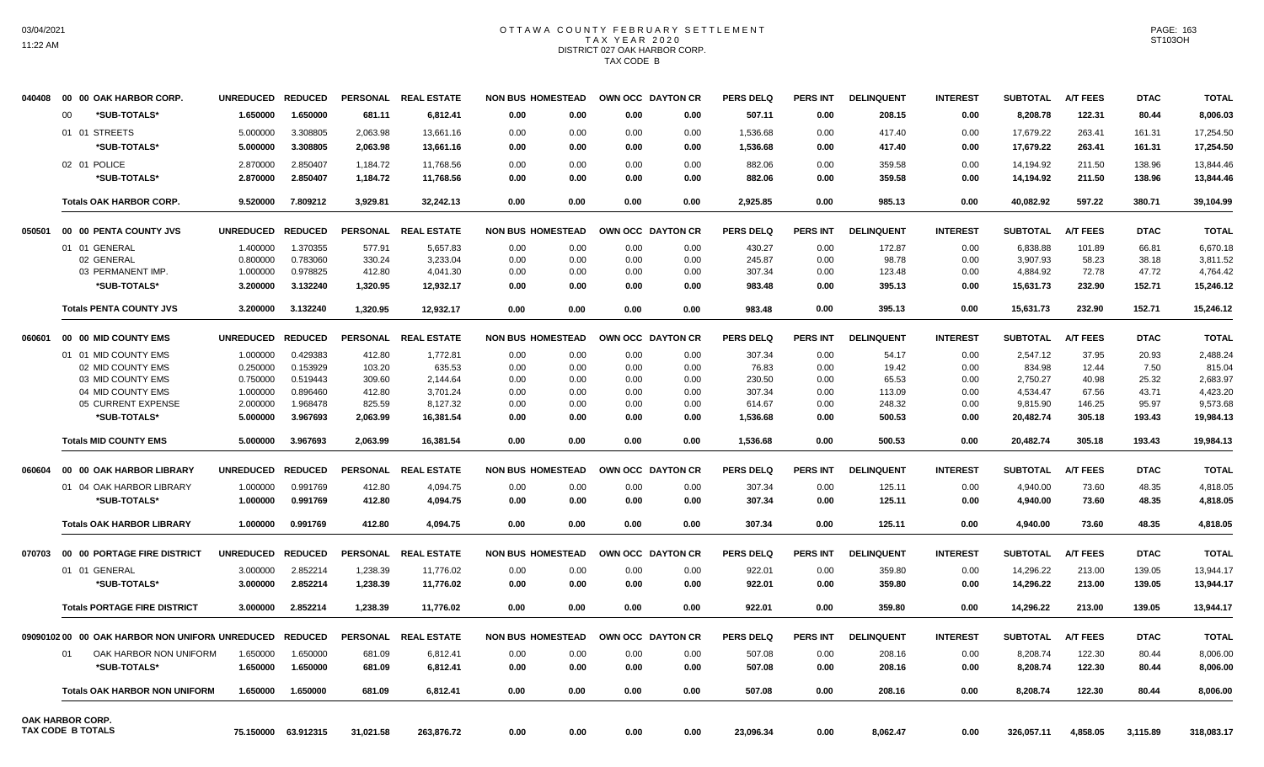## OTTAWA COUNTY FEBRUARY SETTLEMENT TAX YEAR 2020 DISTRICT 027 OAK HARBOR CORP. TAX CODE B

| 040408 | 00 00 OAK HARBOR CORP.                         | <b>UNREDUCED</b> | <b>REDUCED</b> |                 | PERSONAL REAL ESTATE |      | <b>NON BUS HOMESTEAD</b> |      | OWN OCC DAYTON CR | <b>PERS DELQ</b> | <b>PERS INT</b> | <b>DELINQUENT</b> | <b>INTEREST</b> | <b>SUBTOTAL</b> | <b>A/T FEES</b> | <b>DTAC</b> | <b>TOTAL</b> |
|--------|------------------------------------------------|------------------|----------------|-----------------|----------------------|------|--------------------------|------|-------------------|------------------|-----------------|-------------------|-----------------|-----------------|-----------------|-------------|--------------|
|        | 00<br>*SUB-TOTALS*                             | 1.650000         | 1.650000       | 681.11          | 6,812.41             | 0.00 | 0.00                     | 0.00 | 0.00              | 507.11           | 0.00            | 208.15            | 0.00            | 8,208.78        | 122.31          | 80.44       | 8,006.03     |
|        | 01 01 STREETS                                  | 5.000000         | 3.308805       | 2,063.98        | 13,661.16            | 0.00 | 0.00                     | 0.00 | 0.00              | 1,536.68         | 0.00            | 417.40            | 0.00            | 17,679.22       | 263.41          | 161.31      | 17,254.50    |
|        | *SUB-TOTALS*                                   | 5.000000         | 3.308805       | 2,063.98        | 13,661.16            | 0.00 | 0.00                     | 0.00 | 0.00              | 1,536.68         | 0.00            | 417.40            | 0.00            | 17,679.22       | 263.41          | 161.31      | 17,254.50    |
|        | 02 01 POLICE                                   | 2.870000         | 2.850407       | 1,184.72        | 11,768.56            | 0.00 | 0.00                     | 0.00 | 0.00              | 882.06           | 0.00            | 359.58            | 0.00            | 14,194.92       | 211.50          | 138.96      | 13,844.46    |
|        | *SUB-TOTALS*                                   | 2.870000         | 2.850407       | 1,184.72        | 11,768.56            | 0.00 | 0.00                     | 0.00 | 0.00              | 882.06           | 0.00            | 359.58            | 0.00            | 14,194.92       | 211.50          | 138.96      | 13,844.46    |
|        |                                                |                  |                |                 |                      |      |                          |      |                   |                  |                 |                   |                 |                 |                 |             |              |
|        | <b>Totals OAK HARBOR CORP.</b>                 | 9.520000         | 7.809212       | 3,929.81        | 32,242.13            | 0.00 | 0.00                     | 0.00 | 0.00              | 2,925.85         | 0.00            | 985.13            | 0.00            | 40,082.92       | 597.22          | 380.71      | 39,104.99    |
| 050501 | 00 00 PENTA COUNTY JVS                         | <b>UNREDUCED</b> | <b>REDUCED</b> | <b>PERSONAL</b> | <b>REAL ESTATE</b>   |      | <b>NON BUS HOMESTEAD</b> |      | OWN OCC DAYTON CR | <b>PERS DELQ</b> | <b>PERS INT</b> | <b>DELINQUENT</b> | <b>INTEREST</b> | <b>SUBTOTAL</b> | <b>A/T FEES</b> | <b>DTAC</b> | <b>TOTAL</b> |
|        | 01 01 GENERAL                                  | 1.400000         | 1.370355       | 577.91          | 5,657.83             | 0.00 | 0.00                     | 0.00 | 0.00              | 430.27           | 0.00            | 172.87            | 0.00            | 6,838.88        | 101.89          | 66.81       | 6,670.18     |
|        | 02 GENERAL                                     | 0.800000         | 0.783060       | 330.24          | 3,233.04             | 0.00 | 0.00                     | 0.00 | 0.00              | 245.87           | 0.00            | 98.78             | 0.00            | 3,907.93        | 58.23           | 38.18       | 3,811.52     |
|        | 03 PERMANENT IMP.                              | 1.000000         | 0.978825       | 412.80          | 4,041.30             | 0.00 | 0.00                     | 0.00 | 0.00              | 307.34           | 0.00            | 123.48            | 0.00            | 4,884.92        | 72.78           | 47.72       | 4,764.42     |
|        | *SUB-TOTALS*                                   | 3.200000         | 3.132240       | 1,320.95        | 12,932.17            | 0.00 | 0.00                     | 0.00 | 0.00              | 983.48           | 0.00            | 395.13            | 0.00            | 15,631.73       | 232.90          | 152.71      | 15,246.12    |
|        | <b>Totals PENTA COUNTY JVS</b>                 | 3.200000         | 3.132240       | 1.320.95        | 12.932.17            | 0.00 | 0.00                     | 0.00 | 0.00              | 983.48           | 0.00            | 395.13            | 0.00            | 15.631.73       | 232.90          | 152.71      | 15.246.12    |
|        |                                                |                  |                |                 |                      |      |                          |      |                   |                  |                 |                   |                 |                 |                 |             |              |
| 060601 | 00 00 MID COUNTY EMS                           | <b>UNREDUCED</b> | <b>REDUCED</b> |                 | PERSONAL REAL ESTATE |      | <b>NON BUS HOMESTEAD</b> |      | OWN OCC DAYTON CR | <b>PERS DELQ</b> | <b>PERS INT</b> | <b>DELINQUENT</b> | <b>INTEREST</b> | <b>SUBTOTAL</b> | <b>A/T FEES</b> | <b>DTAC</b> | <b>TOTAL</b> |
|        | 01 01 MID COUNTY EMS                           | 1.000000         | 0.429383       | 412.80          | 1,772.81             | 0.00 | 0.00                     | 0.00 | 0.00              | 307.34           | 0.00            | 54.17             | 0.00            | 2.547.12        | 37.95           | 20.93       | 2.488.24     |
|        | 02 MID COUNTY EMS                              | 0.250000         | 0.153929       | 103.20          | 635.53               | 0.00 | 0.00                     | 0.00 | 0.00              | 76.83            | 0.00            | 19.42             | 0.00            | 834.98          | 12.44           | 7.50        | 815.04       |
|        | 03 MID COUNTY EMS                              | 0.750000         | 0.519443       | 309.60          | 2,144.64             | 0.00 | 0.00                     | 0.00 | 0.00              | 230.50           | 0.00            | 65.53             | 0.00            | 2,750.27        | 40.98           | 25.32       | 2,683.97     |
|        | 04 MID COUNTY EMS                              | 1.000000         | 0.896460       | 412.80          | 3,701.24             | 0.00 | 0.00                     | 0.00 | 0.00              | 307.34           | 0.00            | 113.09            | 0.00            | 4,534.47        | 67.56           | 43.71       | 4,423.20     |
|        | 05 CURRENT EXPENSE                             | 2.000000         | 1.968478       | 825.59          | 8,127.32             | 0.00 | 0.00                     | 0.00 | 0.00              | 614.67           | 0.00            | 248.32            | 0.00            | 9,815.90        | 146.25          | 95.97       | 9,573.68     |
|        | *SUB-TOTALS*                                   | 5.000000         | 3.967693       | 2,063.99        | 16,381.54            | 0.00 | 0.00                     | 0.00 | 0.00              | 1,536.68         | 0.00            | 500.53            | 0.00            | 20,482.74       | 305.18          | 193.43      | 19,984.13    |
|        | <b>Totals MID COUNTY EMS</b>                   | 5.000000         | 3.967693       | 2.063.99        | 16.381.54            | 0.00 | 0.00                     | 0.00 | 0.00              | 1,536.68         | 0.00            | 500.53            | 0.00            | 20.482.74       | 305.18          | 193.43      | 19.984.13    |
| 060604 | 00 00 OAK HARBOR LIBRARY                       | <b>UNREDUCED</b> | <b>REDUCED</b> |                 | PERSONAL REAL ESTATE |      | <b>NON BUS HOMESTEAD</b> |      | OWN OCC DAYTON CR | <b>PERS DELQ</b> | <b>PERS INT</b> | <b>DELINQUENT</b> | <b>INTEREST</b> | <b>SUBTOTAL</b> | <b>A/T FEES</b> | <b>DTAC</b> | <b>TOTAL</b> |
|        | 01 04 OAK HARBOR LIBRARY                       | 1.000000         | 0.991769       | 412.80          | 4,094.75             | 0.00 | 0.00                     | 0.00 | 0.00              | 307.34           | 0.00            | 125.11            | 0.00            | 4,940.00        | 73.60           | 48.35       | 4.818.05     |
|        | *SUB-TOTALS*                                   | 1.000000         | 0.991769       | 412.80          | 4,094.75             | 0.00 | 0.00                     | 0.00 | 0.00              | 307.34           | 0.00            | 125.11            | 0.00            | 4,940.00        | 73.60           | 48.35       | 4,818.05     |
|        |                                                |                  |                |                 |                      |      |                          |      |                   |                  |                 |                   |                 |                 |                 |             |              |
|        | <b>Totals OAK HARBOR LIBRARY</b>               | 1.000000         | 0.991769       | 412.80          | 4,094.75             | 0.00 | 0.00                     | 0.00 | 0.00              | 307.34           | 0.00            | 125.11            | 0.00            | 4,940.00        | 73.60           | 48.35       | 4,818.05     |
| 070703 | 00 00 PORTAGE FIRE DISTRICT                    | <b>UNREDUCED</b> | <b>REDUCED</b> |                 | PERSONAL REAL ESTATE |      | <b>NON BUS HOMESTEAD</b> |      | OWN OCC DAYTON CR | <b>PERS DELQ</b> | <b>PERS INT</b> | <b>DELINQUENT</b> | <b>INTEREST</b> | <b>SUBTOTAL</b> | <b>A/T FEES</b> | <b>DTAC</b> | <b>TOTAL</b> |
|        | 01 01 GENERAL                                  | 3.000000         | 2.852214       | 1,238.39        | 11,776.02            | 0.00 | 0.00                     | 0.00 | 0.00              | 922.01           | 0.00            | 359.80            | 0.00            | 14,296.22       | 213.00          | 139.05      | 13,944.17    |
|        | *SUB-TOTALS*                                   | 3.000000         | 2.852214       | 1,238.39        | 11,776.02            | 0.00 | 0.00                     | 0.00 | 0.00              | 922.01           | 0.00            | 359.80            | 0.00            | 14,296.22       | 213.00          | 139.05      | 13,944.17    |
|        | <b>Totals PORTAGE FIRE DISTRICT</b>            | 3.000000         | 2.852214       | 1.238.39        | 11.776.02            | 0.00 | 0.00                     | 0.00 | 0.00              | 922.01           | 0.00            | 359.80            | 0.00            | 14.296.22       | 213.00          | 139.05      | 13,944.17    |
|        | 0909010200 00 OAK HARBOR NON UNIFORM UNREDUCED |                  | <b>REDUCED</b> |                 | PERSONAL REAL ESTATE |      | <b>NON BUS HOMESTEAD</b> |      | OWN OCC DAYTON CR | <b>PERS DELQ</b> | <b>PERS INT</b> | <b>DELINQUENT</b> | <b>INTEREST</b> | <b>SUBTOTAL</b> | <b>A/T FEES</b> | <b>DTAC</b> | <b>TOTAL</b> |
|        |                                                |                  |                |                 |                      |      |                          |      |                   |                  |                 |                   |                 |                 |                 |             |              |
|        | OAK HARBOR NON UNIFORM<br>01                   | 1.650000         | 1.650000       | 681.09          | 6,812.41             | 0.00 | 0.00                     | 0.00 | 0.00              | 507.08           | 0.00            | 208.16            | 0.00            | 8,208.74        | 122.30          | 80.44       | 8,006.00     |
|        | *SUB-TOTALS*                                   | 1.650000         | 1.650000       | 681.09          | 6,812.41             | 0.00 | 0.00                     | 0.00 | 0.00              | 507.08           | 0.00            | 208.16            | 0.00            | 8,208.74        | 122.30          | 80.44       | 8,006.00     |
|        | <b>Totals OAK HARBOR NON UNIFORM</b>           | 1.650000         | 1.650000       | 681.09          | 6.812.41             | 0.00 | 0.00                     | 0.00 | 0.00              | 507.08           | 0.00            | 208.16            | 0.00            | 8.208.74        | 122.30          | 80.44       | 8.006.00     |
|        | OAK HARBOR CORP.<br><b>TAX CODE B TOTALS</b>   | 75.150000        | 63.912315      | 31,021.58       | 263,876.72           | 0.00 | 0.00                     | 0.00 | 0.00              | 23,096.34        | 0.00            | 8,062.47          | 0.00            | 326,057.11      | 4,858.05        | 3,115.89    | 318,083.17   |
|        |                                                |                  |                |                 |                      |      |                          |      |                   |                  |                 |                   |                 |                 |                 |             |              |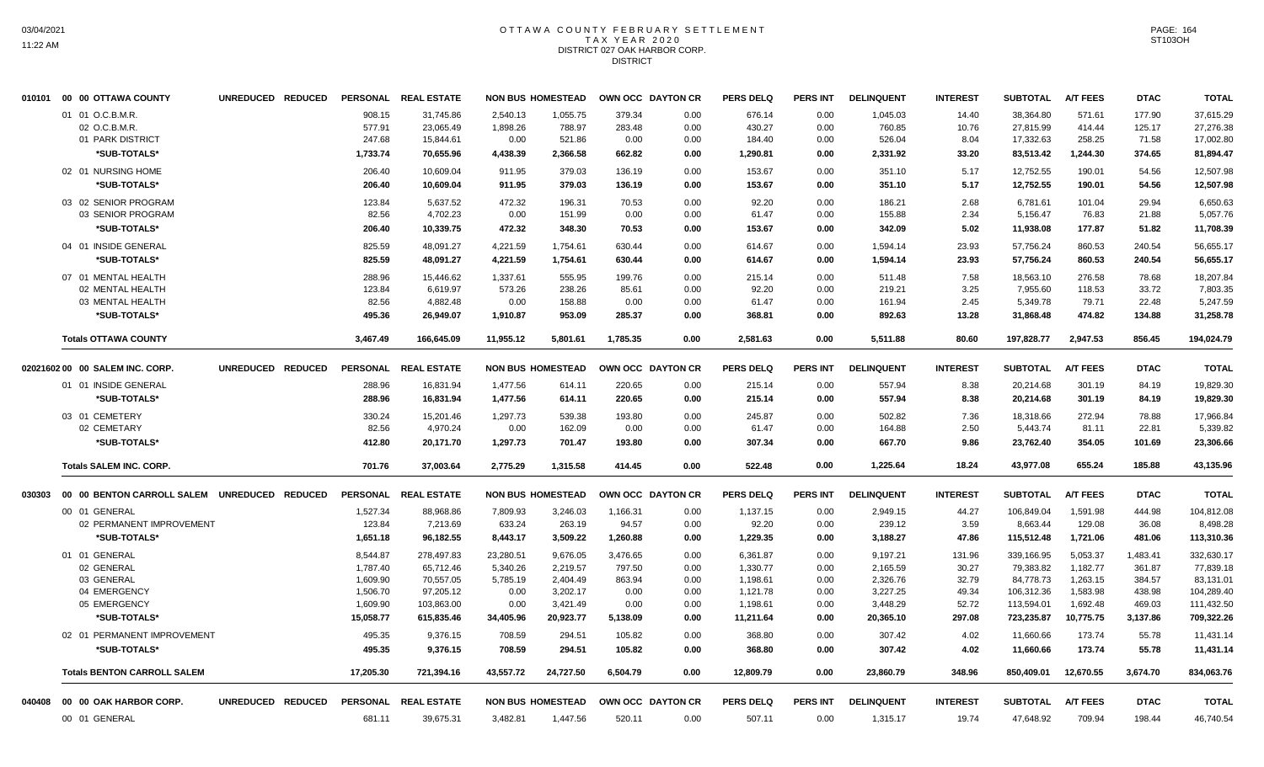# OTTAWA COUNTY FEBRUARY SETTLEMENT TAX YEAR 2020 DISTRICT 027 OAK HARBOR CORP. **DISTRICT**

|        | 010101 00 00 OTTAWA COUNTY         | UNREDUCED REDUCED PERSONAL REALESTATE               |                 |                      |           | <b>NON BUS HOMESTEAD</b> |          | OWN OCC DAYTON CR | <b>PERS DELQ</b> | PERS INT        | <b>DELINQUENT</b> | <b>INTEREST</b> | <b>SUBTOTAL</b> | <b>A/T FEES</b> | <b>DTAC</b> | <b>TOTAL</b> |
|--------|------------------------------------|-----------------------------------------------------|-----------------|----------------------|-----------|--------------------------|----------|-------------------|------------------|-----------------|-------------------|-----------------|-----------------|-----------------|-------------|--------------|
|        | 01 01 O.C.B.M.R.                   |                                                     | 908.15          | 31,745.86            | 2,540.13  | 1,055.75                 | 379.34   | 0.00              | 676.14           | 0.00            | 1,045.03          | 14.40           | 38,364.80       | 571.61          | 177.90      | 37,615.29    |
|        | 02 O.C.B.M.R.                      |                                                     | 577.91          | 23,065.49            | 1,898.26  | 788.97                   | 283.48   | 0.00              | 430.27           | 0.00            | 760.85            | 10.76           | 27,815.99       | 414.44          | 125.17      | 27,276.38    |
|        | 01 PARK DISTRICT                   |                                                     | 247.68          | 15,844.61            | 0.00      | 521.86                   | 0.00     | 0.00              | 184.40           | 0.00            | 526.04            | 8.04            | 17,332.63       | 258.25          | 71.58       | 17,002.80    |
|        | *SUB-TOTALS*                       |                                                     | 1,733.74        | 70,655.96            | 4,438.39  | 2,366.58                 | 662.82   | 0.00              | 1,290.81         | 0.00            | 2,331.92          | 33.20           | 83,513.42       | 1,244.30        | 374.65      | 81,894.47    |
|        | 02 01 NURSING HOME                 |                                                     | 206.40          | 10,609.04            | 911.95    | 379.03                   | 136.19   | 0.00              | 153.67           | 0.00            | 351.10            | 5.17            | 12,752.55       | 190.01          | 54.56       | 12,507.98    |
|        | *SUB-TOTALS*                       |                                                     | 206.40          | 10,609.04            | 911.95    | 379.03                   | 136.19   | 0.00              | 153.67           | 0.00            | 351.10            | 5.17            | 12,752.55       | 190.01          | 54.56       | 12,507.98    |
|        | 03 02 SENIOR PROGRAM               |                                                     | 123.84          | 5,637.52             | 472.32    | 196.31                   | 70.53    | 0.00              | 92.20            | 0.00            | 186.21            | 2.68            | 6,781.61        | 101.04          | 29.94       | 6,650.63     |
|        | 03 SENIOR PROGRAM                  |                                                     | 82.56           | 4,702.23             | 0.00      | 151.99                   | 0.00     | 0.00              | 61.47            | 0.00            | 155.88            | 2.34            | 5,156.47        | 76.83           | 21.88       | 5,057.76     |
|        | *SUB-TOTALS*                       |                                                     | 206.40          | 10,339.75            | 472.32    | 348.30                   | 70.53    | 0.00              | 153.67           | 0.00            | 342.09            | 5.02            | 11,938.08       | 177.87          | 51.82       | 11,708.39    |
|        | 04 01 INSIDE GENERAL               |                                                     | 825.59          | 48,091.27            | 4,221.59  | 1,754.61                 | 630.44   | 0.00              | 614.67           | 0.00            | 1,594.14          | 23.93           | 57,756.24       | 860.53          | 240.54      | 56,655.17    |
|        | *SUB-TOTALS*                       |                                                     | 825.59          | 48,091.27            | 4,221.59  | 1,754.61                 | 630.44   | 0.00              | 614.67           | 0.00            | 1,594.14          | 23.93           | 57,756.24       | 860.53          | 240.54      | 56,655.17    |
|        | 07 01 MENTAL HEALTH                |                                                     | 288.96          | 15.446.62            | 1,337.61  | 555.95                   | 199.76   | 0.00              | 215.14           | 0.00            | 511.48            | 7.58            | 18,563.10       | 276.58          | 78.68       | 18.207.84    |
|        | 02 MENTAL HEALTH                   |                                                     | 123.84          | 6,619.97             | 573.26    | 238.26                   | 85.61    | 0.00              | 92.20            | 0.00            | 219.21            | 3.25            | 7,955.60        | 118.53          | 33.72       | 7,803.35     |
|        | 03 MENTAL HEALTH                   |                                                     | 82.56           | 4,882.48             | 0.00      | 158.88                   | 0.00     | 0.00              | 61.47            | 0.00            | 161.94            | 2.45            | 5,349.78        | 79.71           | 22.48       | 5,247.59     |
|        | *SUB-TOTALS*                       |                                                     | 495.36          | 26,949.07            | 1,910.87  | 953.09                   | 285.37   | 0.00              | 368.81           | 0.00            | 892.63            | 13.28           | 31,868.48       | 474.82          | 134.88      | 31,258.78    |
|        | <b>Totals OTTAWA COUNTY</b>        |                                                     | 3,467.49        | 166,645.09           | 11,955.12 | 5,801.61                 | 1,785.35 | 0.00              | 2,581.63         | 0.00            | 5,511.88          | 80.60           | 197,828.77      | 2,947.53        | 856.45      | 194,024.79   |
|        | 02021602 00 00 SALEM INC. CORP.    | UNREDUCED REDUCED                                   | <b>PERSONAL</b> | <b>REAL ESTATE</b>   |           | <b>NON BUS HOMESTEAD</b> |          | OWN OCC DAYTON CR | <b>PERS DELQ</b> | <b>PERS INT</b> | <b>DELINQUENT</b> | <b>INTEREST</b> | <b>SUBTOTAL</b> | <b>A/T FEES</b> | <b>DTAC</b> | <b>TOTAL</b> |
|        | 01 01 INSIDE GENERAL               |                                                     | 288.96          | 16,831.94            | 1,477.56  | 614.11                   | 220.65   | 0.00              | 215.14           | 0.00            | 557.94            | 8.38            | 20,214.68       | 301.19          | 84.19       | 19,829.30    |
|        | *SUB-TOTALS*                       |                                                     | 288.96          | 16,831.94            | 1,477.56  | 614.11                   | 220.65   | 0.00              | 215.14           | 0.00            | 557.94            | 8.38            | 20,214.68       | 301.19          | 84.19       | 19,829.30    |
|        |                                    |                                                     |                 |                      |           |                          |          |                   |                  |                 |                   |                 |                 |                 |             |              |
|        | 03 01 CEMETERY                     |                                                     | 330.24          | 15,201.46            | 1,297.73  | 539.38                   | 193.80   | 0.00              | 245.87           | 0.00            | 502.82            | 7.36            | 18,318.66       | 272.94          | 78.88       | 17,966.84    |
|        | 02 CEMETARY                        |                                                     | 82.56           | 4,970.24             | 0.00      | 162.09                   | 0.00     | 0.00              | 61.47            | 0.00            | 164.88            | 2.50            | 5,443.74        | 81.11           | 22.81       | 5,339.82     |
|        | *SUB-TOTALS*                       |                                                     | 412.80          | 20,171.70            | 1,297.73  | 701.47                   | 193.80   | 0.00              | 307.34           | 0.00            | 667.70            | 9.86            | 23,762.40       | 354.05          | 101.69      | 23,306.66    |
|        | <b>Totals SALEM INC. CORP.</b>     |                                                     | 701.76          | 37,003.64            | 2,775.29  | 1,315.58                 | 414.45   | 0.00              | 522.48           | 0.00            | 1,225.64          | 18.24           | 43,977.08       | 655.24          | 185.88      | 43,135.96    |
|        |                                    | 030303 00 00 BENTON CARROLL SALEM UNREDUCED REDUCED |                 | PERSONAL REAL ESTATE |           | <b>NON BUS HOMESTEAD</b> |          | OWN OCC DAYTON CR | <b>PERS DELQ</b> | <b>PERS INT</b> | <b>DELINQUENT</b> | <b>INTEREST</b> | <b>SUBTOTAL</b> | <b>A/T FEES</b> | <b>DTAC</b> | <b>TOTAL</b> |
|        | 00 01 GENERAL                      |                                                     | 1,527.34        | 88,968.86            | 7,809.93  | 3,246.03                 | 1,166.31 | 0.00              | 1,137.15         | 0.00            | 2,949.15          | 44.27           | 106,849.04      | 1,591.98        | 444.98      | 104,812.08   |
|        | 02 PERMANENT IMPROVEMENT           |                                                     | 123.84          | 7,213.69             | 633.24    | 263.19                   | 94.57    | 0.00              | 92.20            | 0.00            | 239.12            | 3.59            | 8,663.44        | 129.08          | 36.08       | 8,498.28     |
|        | *SUB-TOTALS*                       |                                                     | 1,651.18        | 96,182.55            | 8,443.17  | 3,509.22                 | 1,260.88 | 0.00              | 1,229.35         | 0.00            | 3,188.27          | 47.86           | 115,512.48      | 1,721.06        | 481.06      | 113,310.36   |
|        | 01 01 GENERAL                      |                                                     | 8,544.87        | 278,497.83           | 23,280.51 | 9,676.05                 | 3,476.65 | 0.00              | 6,361.87         | 0.00            | 9,197.21          | 131.96          | 339,166.95      | 5,053.37        | 1,483.41    | 332,630.17   |
|        | 02 GENERAL                         |                                                     | 1,787.40        | 65,712.46            | 5,340.26  | 2,219.57                 | 797.50   | 0.00              | 1,330.77         | 0.00            | 2,165.59          | 30.27           | 79,383.82       | 1,182.77        | 361.87      | 77,839.18    |
|        | 03 GENERAL                         |                                                     | 1,609.90        | 70,557.05            | 5,785.19  | 2.404.49                 | 863.94   | 0.00              | 1,198.61         | 0.00            | 2,326.76          | 32.79           | 84,778.73       | 1,263.15        | 384.57      | 83,131.01    |
|        | 04 EMERGENCY                       |                                                     | 1,506.70        | 97,205.12            | 0.00      | 3,202.17                 | 0.00     | 0.00              | 1,121.78         | 0.00            | 3,227.25          | 49.34           | 106,312.36      | 1,583.98        | 438.98      | 104,289.40   |
|        | 05 EMERGENCY                       |                                                     | 1,609.90        | 103,863.00           | 0.00      | 3,421.49                 | 0.00     | 0.00              | 1,198.61         | 0.00            | 3,448.29          | 52.72           | 113,594.01      | 1,692.48        | 469.03      | 111,432.50   |
|        | *SUB-TOTALS*                       |                                                     | 15,058.77       | 615,835.46           | 34,405.96 | 20,923.77                | 5,138.09 | 0.00              | 11,211.64        | 0.00            | 20,365.10         | 297.08          | 723,235.87      | 10,775.75       | 3,137.86    | 709,322.26   |
|        | 02 01 PERMANENT IMPROVEMENT        |                                                     | 495.35          | 9,376.15             | 708.59    | 294.51                   | 105.82   | 0.00              | 368.80           | 0.00            | 307.42            | 4.02            | 11,660.66       | 173.74          | 55.78       | 11,431.14    |
|        | *SUB-TOTALS*                       |                                                     | 495.35          | 9,376.15             | 708.59    | 294.51                   | 105.82   | 0.00              | 368.80           | 0.00            | 307.42            | 4.02            | 11,660.66       | 173.74          | 55.78       | 11,431.14    |
|        | <b>Totals BENTON CARROLL SALEM</b> |                                                     | 17,205.30       | 721,394.16           | 43,557.72 | 24,727.50                | 6,504.79 | 0.00              | 12,809.79        | 0.00            | 23,860.79         | 348.96          | 850,409.01      | 12,670.55       | 3,674.70    | 834,063.76   |
| 040408 | 00 00 OAK HARBOR CORP.             | UNREDUCED REDUCED                                   |                 | PERSONAL REAL ESTATE |           | <b>NON BUS HOMESTEAD</b> |          | OWN OCC DAYTON CR | <b>PERS DELQ</b> | <b>PERS INT</b> | <b>DELINQUENT</b> | <b>INTEREST</b> | <b>SUBTOTAL</b> | <b>A/T FEES</b> | <b>DTAC</b> | <b>TOTAL</b> |
|        | 00 01 GENERAL                      |                                                     | 681.11          | 39,675.31            | 3,482.81  | 1,447.56                 | 520.11   | 0.00              | 507.11           | 0.00            | 1,315.17          | 19.74           | 47,648.92       | 709.94          | 198.44      | 46,740.54    |
|        |                                    |                                                     |                 |                      |           |                          |          |                   |                  |                 |                   |                 |                 |                 |             |              |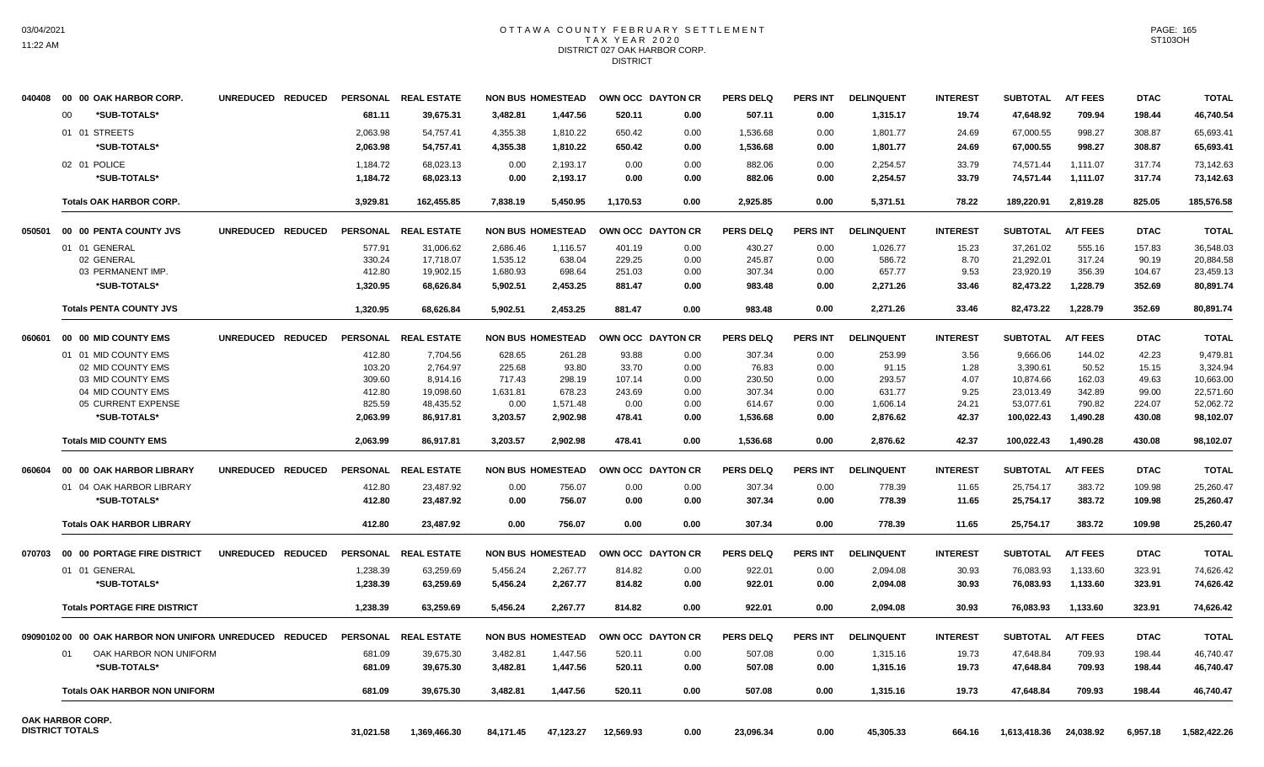# OTTAWA COUNTY FEBRUARY SETTLEMENT TAX YEAR 2020 DISTRICT 027 OAK HARBOR CORP. **DISTRICT**

| 040408 | 00 00 OAK HARBOR CORP.                                  | UNREDUCED REDUCED |           | PERSONAL REAL ESTATE |           | <b>NON BUS HOMESTEAD</b>            |           | OWN OCC DAYTON CR        | <b>PERS DELQ</b> | <b>PERS INT</b> | <b>DELINQUENT</b> | <b>INTEREST</b> | <b>SUBTOTAL</b> | <b>A/T FEES</b> | <b>DTAC</b> | <b>TOTAL</b> |
|--------|---------------------------------------------------------|-------------------|-----------|----------------------|-----------|-------------------------------------|-----------|--------------------------|------------------|-----------------|-------------------|-----------------|-----------------|-----------------|-------------|--------------|
|        | *SUB-TOTALS*<br>00                                      |                   | 681.11    | 39,675.31            | 3,482.81  | 1,447.56                            | 520.11    | 0.00                     | 507.11           | 0.00            | 1,315.17          | 19.74           | 47,648.92       | 709.94          | 198.44      | 46,740.54    |
|        | 01 01 STREETS                                           |                   | 2,063.98  | 54,757.41            | 4,355.38  | 1,810.22                            | 650.42    | 0.00                     | 1,536.68         | 0.00            | 1,801.77          | 24.69           | 67,000.55       | 998.27          | 308.87      | 65,693.41    |
|        | *SUB-TOTALS*                                            |                   | 2,063.98  | 54,757.41            | 4,355.38  | 1,810.22                            | 650.42    | 0.00                     | 1,536.68         | 0.00            | 1,801.77          | 24.69           | 67,000.55       | 998.27          | 308.87      | 65,693.41    |
|        | 02 01 POLICE                                            |                   | 1,184.72  | 68,023.13            | 0.00      | 2,193.17                            | 0.00      | 0.00                     | 882.06           | 0.00            | 2,254.57          | 33.79           | 74,571.44       | 1,111.07        | 317.74      | 73,142.63    |
|        | *SUB-TOTALS*                                            |                   | 1,184.72  | 68,023.13            | 0.00      | 2,193.17                            | 0.00      | 0.00                     | 882.06           | 0.00            | 2,254.57          | 33.79           | 74,571.44       | 1,111.07        | 317.74      | 73,142.63    |
|        | <b>Totals OAK HARBOR CORP.</b>                          |                   | 3,929.81  | 162,455.85           | 7,838.19  | 5,450.95                            | 1,170.53  | 0.00                     | 2,925.85         | 0.00            | 5,371.51          | 78.22           | 189,220.91      | 2.819.28        | 825.05      | 185,576.58   |
| 050501 | 00 00 PENTA COUNTY JVS                                  | UNREDUCED REDUCED |           | PERSONAL REAL ESTATE |           | <b>NON BUS HOMESTEAD</b>            |           | OWN OCC DAYTON CR        | <b>PERS DELQ</b> | <b>PERS INT</b> | <b>DELINQUENT</b> | <b>INTEREST</b> | <b>SUBTOTAL</b> | <b>A/T FEES</b> | <b>DTAC</b> | <b>TOTAL</b> |
|        | 01 01 GENERAL                                           |                   | 577.91    | 31,006.62            | 2,686.46  | 1,116.57                            | 401.19    | 0.00                     | 430.27           | 0.00            | 1,026.77          | 15.23           | 37,261.02       | 555.16          | 157.83      | 36,548.03    |
|        | 02 GENERAL                                              |                   | 330.24    | 17,718.07            | 1,535.12  | 638.04                              | 229.25    | 0.00                     | 245.87           | 0.00            | 586.72            | 8.70            | 21,292.01       | 317.24          | 90.19       | 20,884.58    |
|        | 03 PERMANENT IMP.                                       |                   | 412.80    | 19,902.15            | 1,680.93  | 698.64                              | 251.03    | 0.00                     | 307.34           | 0.00            | 657.77            | 9.53            | 23,920.19       | 356.39          | 104.67      | 23,459.13    |
|        | *SUB-TOTALS*                                            |                   | 1,320.95  | 68,626.84            | 5,902.51  | 2,453.25                            | 881.47    | 0.00                     | 983.48           | 0.00            | 2,271.26          | 33.46           | 82,473.22       | 1,228.79        | 352.69      | 80,891.74    |
|        | <b>Totals PENTA COUNTY JVS</b>                          |                   | 1,320.95  | 68,626.84            | 5,902.51  | 2,453.25                            | 881.47    | 0.00                     | 983.48           | 0.00            | 2,271.26          | 33.46           | 82,473.22       | 1,228.79        | 352.69      | 80,891.74    |
| 060601 | 00 00 MID COUNTY EMS                                    | UNREDUCED REDUCED |           | PERSONAL REAL ESTATE |           | <b>NON BUS HOMESTEAD</b>            |           | <b>OWN OCC DAYTON CR</b> | <b>PERS DELQ</b> | <b>PERS INT</b> | <b>DELINQUENT</b> | <b>INTEREST</b> | <b>SUBTOTAL</b> | <b>A/T FEES</b> | <b>DTAC</b> | <b>TOTAL</b> |
|        | 01 01 MID COUNTY EMS                                    |                   | 412.80    | 7,704.56             | 628.65    | 261.28                              | 93.88     | 0.00                     | 307.34           | 0.00            | 253.99            | 3.56            | 9,666.06        | 144.02          | 42.23       | 9,479.81     |
|        | 02 MID COUNTY EMS                                       |                   | 103.20    | 2,764.97             | 225.68    | 93.80                               | 33.70     | 0.00                     | 76.83            | 0.00            | 91.15             | 1.28            | 3,390.61        | 50.52           | 15.15       | 3,324.94     |
|        | 03 MID COUNTY EMS                                       |                   | 309.60    | 8,914.16             | 717.43    | 298.19                              | 107.14    | 0.00                     | 230.50           | 0.00            | 293.57            | 4.07            | 10,874.66       | 162.03          | 49.63       | 10,663.00    |
|        | 04 MID COUNTY EMS                                       |                   | 412.80    | 19,098.60            | 1,631.81  | 678.23                              | 243.69    | 0.00                     | 307.34           | 0.00            | 631.77            | 9.25            | 23,013.49       | 342.89          | 99.00       | 22,571.60    |
|        | 05 CURRENT EXPENSE                                      |                   | 825.59    | 48,435.52            | 0.00      | 1,571.48                            | 0.00      | 0.00                     | 614.67           | 0.00            | 1,606.14          | 24.21           | 53,077.61       | 790.82          | 224.07      | 52,062.72    |
|        | *SUB-TOTALS*                                            |                   | 2,063.99  | 86,917.81            | 3,203.57  | 2,902.98                            | 478.41    | 0.00                     | 1,536.68         | 0.00            | 2,876.62          | 42.37           | 100,022.43      | 1,490.28        | 430.08      | 98,102.07    |
|        | <b>Totals MID COUNTY EMS</b>                            |                   | 2,063.99  | 86,917.81            | 3,203.57  | 2,902.98                            | 478.41    | 0.00                     | 1,536.68         | 0.00            | 2,876.62          | 42.37           | 100,022.43      | 1,490.28        | 430.08      | 98,102.07    |
| 060604 | 00 00 OAK HARBOR LIBRARY                                | UNREDUCED REDUCED |           | PERSONAL REAL ESTATE |           | <b>NON BUS HOMESTEAD</b>            |           | OWN OCC DAYTON CR        | <b>PERS DELQ</b> | <b>PERS INT</b> | <b>DELINQUENT</b> | <b>INTEREST</b> | <b>SUBTOTAL</b> | <b>A/T FEES</b> | <b>DTAC</b> | <b>TOTAL</b> |
|        | 01 04 OAK HARBOR LIBRARY                                |                   | 412.80    | 23,487.92            | 0.00      | 756.07                              | 0.00      | 0.00                     | 307.34           | 0.00            | 778.39            | 11.65           | 25,754.17       | 383.72          | 109.98      | 25,260.47    |
|        | *SUB-TOTALS*                                            |                   | 412.80    | 23,487.92            | 0.00      | 756.07                              | 0.00      | 0.00                     | 307.34           | 0.00            | 778.39            | 11.65           | 25,754.17       | 383.72          | 109.98      | 25,260.47    |
|        | <b>Totals OAK HARBOR LIBRARY</b>                        |                   | 412.80    | 23,487.92            | 0.00      | 756.07                              | 0.00      | 0.00                     | 307.34           | 0.00            | 778.39            | 11.65           | 25,754.17       | 383.72          | 109.98      | 25,260.47    |
| 070703 | 00 00 PORTAGE FIRE DISTRICT                             | UNREDUCED REDUCED |           | PERSONAL REAL ESTATE |           | <b>NON BUS HOMESTEAD</b>            |           | <b>OWN OCC DAYTON CR</b> | <b>PERS DELQ</b> | <b>PERS INT</b> | <b>DELINQUENT</b> | <b>INTEREST</b> | <b>SUBTOTAL</b> | <b>A/T FEES</b> | <b>DTAC</b> | <b>TOTAL</b> |
|        | 01 01 GENERAL                                           |                   | 1,238.39  | 63,259.69            | 5,456.24  | 2,267.77                            | 814.82    | 0.00                     | 922.01           | 0.00            | 2,094.08          | 30.93           | 76,083.93       | 1,133.60        | 323.91      | 74,626.42    |
|        | *SUB-TOTALS*                                            |                   | 1,238.39  | 63,259.69            | 5,456.24  | 2,267.77                            | 814.82    | 0.00                     | 922.01           | 0.00            | 2,094.08          | 30.93           | 76,083.93       | 1,133.60        | 323.91      | 74,626.42    |
|        | <b>Totals PORTAGE FIRE DISTRICT</b>                     |                   | 1,238.39  | 63,259.69            | 5,456.24  | 2,267.77                            | 814.82    | 0.00                     | 922.01           | 0.00            | 2,094.08          | 30.93           | 76,083.93       | 1,133.60        | 323.91      | 74,626.42    |
|        | 09090102 00 00 OAK HARBOR NON UNIFORN UNREDUCED REDUCED |                   |           | PERSONAL REAL ESTATE |           | NON BUS HOMESTEAD OWN OCC DAYTON CR |           |                          | <b>PERS DELQ</b> | <b>PERS INT</b> | <b>DELINQUENT</b> | <b>INTEREST</b> | <b>SUBTOTAL</b> | <b>A/T FEES</b> | <b>DTAC</b> | <b>TOTAL</b> |
|        | OAK HARBOR NON UNIFORM                                  |                   | 681.09    | 39,675.30            | 3,482.81  | 1,447.56                            | 520.11    | 0.00                     | 507.08           | 0.00            | 1,315.16          | 19.73           | 47,648.84       | 709.93          | 198.44      | 46,740.47    |
|        | *SUB-TOTALS*                                            |                   | 681.09    | 39,675.30            | 3,482.81  | 1,447.56                            | 520.11    | 0.00                     | 507.08           | 0.00            | 1,315.16          | 19.73           | 47,648.84       | 709.93          | 198.44      | 46,740.47    |
|        | <b>Totals OAK HARBOR NON UNIFORM</b>                    |                   | 681.09    | 39,675.30            | 3,482.81  | 1,447.56                            | 520.11    | 0.00                     | 507.08           | 0.00            | 1,315.16          | 19.73           | 47,648.84       | 709.93          | 198.44      | 46,740.47    |
|        | OAK HARBOR CORP.                                        |                   |           |                      |           |                                     |           |                          |                  |                 |                   |                 |                 |                 |             |              |
|        | <b>DISTRICT TOTALS</b>                                  |                   | 31,021.58 | 1,369,466.30         | 84,171.45 | 47,123.27                           | 12,569.93 | 0.00                     | 23,096.34        | 0.00            | 45,305.33         | 664.16          | 1,613,418.36    | 24,038.92       | 6,957.18    | 1,582,422.26 |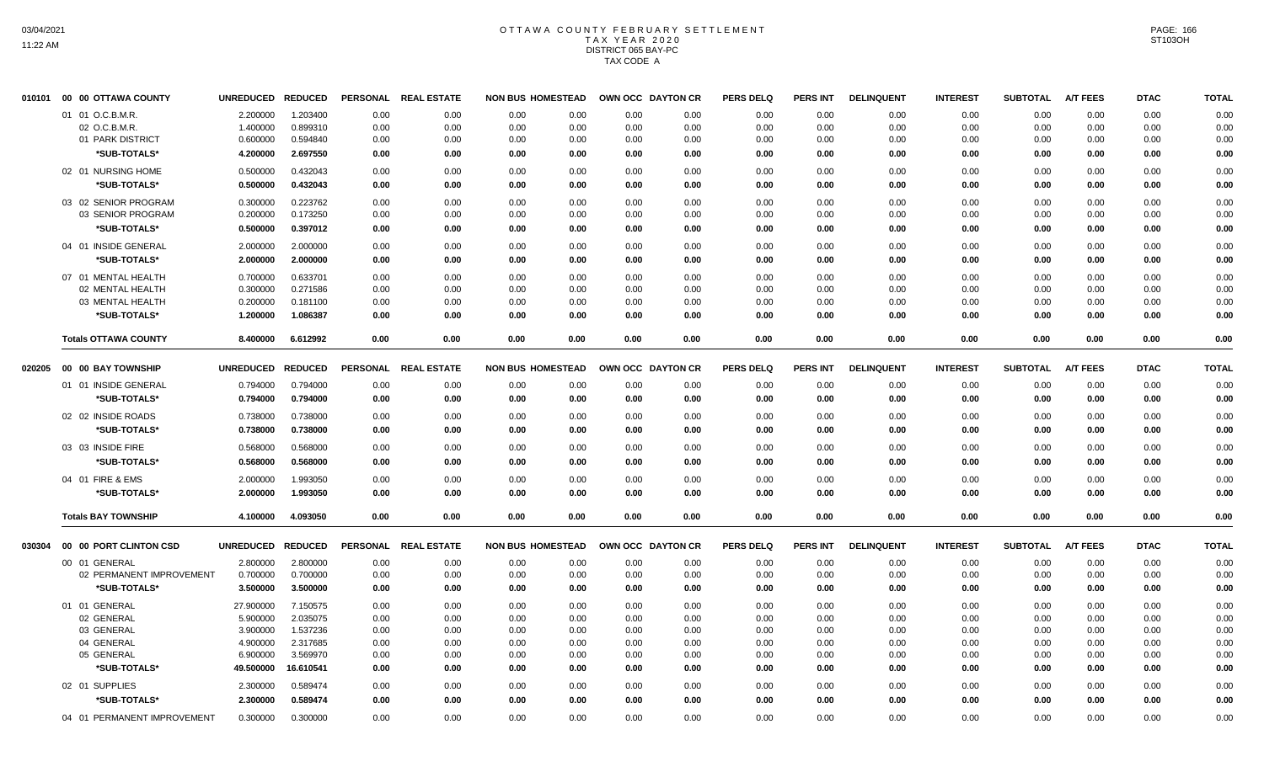## OTTAWA COUNTY FEBRUARY SETTLEMENT TAX YEAR 2020 DISTRICT 065 BAY-PC TAX CODE A

| 010101 | 00 00 OTTAWA COUNTY         | <b>UNREDUCED</b> | <b>REDUCED</b> | <b>PERSONAL</b> | <b>REAL ESTATE</b> | <b>NON BUS HOMESTEAD</b> |      |      | OWN OCC DAYTON CR | <b>PERS DELQ</b> | <b>PERS INT</b> | <b>DELINQUENT</b> | <b>INTEREST</b> | <b>SUBTOTAL</b> | <b>A/T FEES</b> | <b>DTAC</b> | <b>TOTAL</b> |
|--------|-----------------------------|------------------|----------------|-----------------|--------------------|--------------------------|------|------|-------------------|------------------|-----------------|-------------------|-----------------|-----------------|-----------------|-------------|--------------|
|        | 01 01 O.C.B.M.R.            | 2.200000         | 1.203400       | 0.00            | 0.00               | 0.00                     | 0.00 | 0.00 | 0.00              | 0.00             | 0.00            | 0.00              | 0.00            | 0.00            | 0.00            | 0.00        | 0.00         |
|        | 02 O.C.B.M.R.               | 1.400000         | 0.899310       | 0.00            | 0.00               | 0.00                     | 0.00 | 0.00 | 0.00              | 0.00             | 0.00            | 0.00              | 0.00            | 0.00            | 0.00            | 0.00        | 0.00         |
|        | 01 PARK DISTRICT            | 0.600000         | 0.594840       | 0.00            | 0.00               | 0.00                     | 0.00 | 0.00 | 0.00              | 0.00             | 0.00            | 0.00              | 0.00            | 0.00            | 0.00            | 0.00        | 0.00         |
|        | *SUB-TOTALS*                | 4.200000         | 2.697550       | 0.00            | 0.00               | 0.00                     | 0.00 | 0.00 | 0.00              | 0.00             | 0.00            | 0.00              | 0.00            | 0.00            | 0.00            | 0.00        | 0.00         |
|        | 02 01 NURSING HOME          | 0.500000         | 0.432043       | 0.00            | 0.00               | 0.00                     | 0.00 | 0.00 | 0.00              | 0.00             | 0.00            | 0.00              | 0.00            | 0.00            | 0.00            | 0.00        | 0.00         |
|        | *SUB-TOTALS*                | 0.500000         | 0.432043       | 0.00            | 0.00               | 0.00                     | 0.00 | 0.00 | 0.00              | 0.00             | 0.00            | 0.00              | 0.00            | 0.00            | 0.00            | 0.00        | 0.00         |
|        | 03 02 SENIOR PROGRAM        | 0.300000         | 0.223762       | 0.00            | 0.00               | 0.00                     | 0.00 | 0.00 | 0.00              | 0.00             | 0.00            | 0.00              | 0.00            | 0.00            | 0.00            | 0.00        | 0.00         |
|        | 03 SENIOR PROGRAM           | 0.200000         | 0.173250       | 0.00            | 0.00               | 0.00                     | 0.00 | 0.00 | 0.00              | 0.00             | 0.00            | 0.00              | 0.00            | 0.00            | 0.00            | 0.00        | 0.00         |
|        | *SUB-TOTALS*                | 0.500000         | 0.397012       | 0.00            | 0.00               | 0.00                     | 0.00 | 0.00 | 0.00              | 0.00             | 0.00            | 0.00              | 0.00            | 0.00            | 0.00            | 0.00        | 0.00         |
|        | 04 01 INSIDE GENERAL        | 2.000000         | 2.000000       | 0.00            | 0.00               | 0.00                     | 0.00 | 0.00 | 0.00              | 0.00             | 0.00            | 0.00              | 0.00            | 0.00            | 0.00            | 0.00        | 0.00         |
|        | *SUB-TOTALS*                | 2.000000         | 2.000000       | 0.00            | 0.00               | 0.00                     | 0.00 | 0.00 | 0.00              | 0.00             | 0.00            | 0.00              | 0.00            | 0.00            | 0.00            | 0.00        | 0.00         |
|        | 07 01 MENTAL HEALTH         | 0.700000         | 0.633701       | 0.00            | 0.00               | 0.00                     | 0.00 | 0.00 | 0.00              | 0.00             | 0.00            | 0.00              | 0.00            | 0.00            | 0.00            | 0.00        | 0.00         |
|        | 02 MENTAL HEALTH            | 0.300000         | 0.271586       | 0.00            | 0.00               | 0.00                     | 0.00 | 0.00 | 0.00              | 0.00             | 0.00            | 0.00              | 0.00            | 0.00            | 0.00            | 0.00        | 0.00         |
|        | 03 MENTAL HEALTH            | 0.200000         | 0.181100       | 0.00            | 0.00               | 0.00                     | 0.00 | 0.00 | 0.00              | 0.00             | 0.00            | 0.00              | 0.00            | 0.00            | 0.00            | 0.00        | 0.00         |
|        | *SUB-TOTALS*                | 1.200000         | 1.086387       | 0.00            | 0.00               | 0.00                     | 0.00 | 0.00 | 0.00              | 0.00             | 0.00            | 0.00              | 0.00            | 0.00            | 0.00            | 0.00        | 0.00         |
|        | <b>Totals OTTAWA COUNTY</b> | 8.400000         | 6.612992       | 0.00            | 0.00               | 0.00                     | 0.00 | 0.00 | 0.00              | 0.00             | 0.00            | 0.00              | 0.00            | 0.00            | 0.00            | 0.00        | 0.00         |
| 020205 | 00 00 BAY TOWNSHIP          | <b>UNREDUCED</b> | <b>REDUCED</b> | <b>PERSONAL</b> | <b>REAL ESTATE</b> | <b>NON BUS HOMESTEAD</b> |      |      | OWN OCC DAYTON CR | <b>PERS DELQ</b> | <b>PERS INT</b> | <b>DELINQUENT</b> | <b>INTEREST</b> | <b>SUBTOTAL</b> | <b>A/T FEES</b> | <b>DTAC</b> | <b>TOTAL</b> |
|        | 01 01 INSIDE GENERAL        | 0.794000         | 0.794000       | 0.00            | 0.00               | 0.00                     | 0.00 | 0.00 | 0.00              | 0.00             | 0.00            | 0.00              | 0.00            | 0.00            | 0.00            | 0.00        | 0.00         |
|        | *SUB-TOTALS*                | 0.794000         | 0.794000       | 0.00            | 0.00               | 0.00                     | 0.00 | 0.00 | 0.00              | 0.00             | 0.00            | 0.00              | 0.00            | 0.00            | 0.00            | 0.00        | 0.00         |
|        |                             |                  |                |                 |                    |                          |      |      |                   |                  |                 |                   |                 |                 |                 |             |              |
|        | 02 02 INSIDE ROADS          | 0.738000         | 0.738000       | 0.00            | 0.00               | 0.00                     | 0.00 | 0.00 | 0.00              | 0.00             | 0.00            | 0.00              | 0.00            | 0.00            | 0.00            | 0.00        | 0.00         |
|        | *SUB-TOTALS*                | 0.738000         | 0.738000       | 0.00            | 0.00               | 0.00                     | 0.00 | 0.00 | 0.00              | 0.00             | 0.00            | 0.00              | 0.00            | 0.00            | 0.00            | 0.00        | 0.00         |
|        | 03 03 INSIDE FIRE           | 0.568000         | 0.568000       | 0.00            | 0.00               | 0.00                     | 0.00 | 0.00 | 0.00              | 0.00             | 0.00            | 0.00              | 0.00            | 0.00            | 0.00            | 0.00        | 0.00         |
|        | *SUB-TOTALS*                | 0.568000         | 0.568000       | 0.00            | 0.00               | 0.00                     | 0.00 | 0.00 | 0.00              | 0.00             | 0.00            | 0.00              | 0.00            | 0.00            | 0.00            | 0.00        | 0.00         |
|        | 04 01 FIRE & EMS            | 2.000000         | 1.993050       | 0.00            | 0.00               | 0.00                     | 0.00 | 0.00 | 0.00              | 0.00             | 0.00            | 0.00              | 0.00            | 0.00            | 0.00            | 0.00        | 0.00         |
|        | *SUB-TOTALS*                | 2.000000         | 1.993050       | 0.00            | 0.00               | 0.00                     | 0.00 | 0.00 | 0.00              | 0.00             | 0.00            | 0.00              | 0.00            | 0.00            | 0.00            | 0.00        | 0.00         |
|        | <b>Totals BAY TOWNSHIP</b>  | 4.100000         | 4.093050       | 0.00            | 0.00               | 0.00                     | 0.00 | 0.00 | 0.00              | 0.00             | 0.00            | 0.00              | 0.00            | 0.00            | 0.00            | 0.00        | 0.00         |
| 030304 | 00 00 PORT CLINTON CSD      | <b>UNREDUCED</b> | <b>REDUCED</b> | <b>PERSONAL</b> | <b>REAL ESTATE</b> | <b>NON BUS HOMESTEAD</b> |      |      | OWN OCC DAYTON CR | <b>PERS DELQ</b> | <b>PERS INT</b> | <b>DELINQUENT</b> | <b>INTEREST</b> | <b>SUBTOTAL</b> | <b>A/T FEES</b> | <b>DTAC</b> | <b>TOTAL</b> |
|        | 00 01 GENERAL               | 2.800000         | 2.800000       | 0.00            | 0.00               | 0.00                     | 0.00 | 0.00 | 0.00              | 0.00             | 0.00            | 0.00              | 0.00            | 0.00            | 0.00            | 0.00        | 0.00         |
|        | 02 PERMANENT IMPROVEMENT    | 0.700000         | 0.700000       | 0.00            | 0.00               | 0.00                     | 0.00 | 0.00 | 0.00              | 0.00             | 0.00            | 0.00              | 0.00            | 0.00            | 0.00            | 0.00        | 0.00         |
|        | *SUB-TOTALS*                | 3.500000         | 3.500000       | 0.00            | 0.00               | 0.00                     | 0.00 | 0.00 | 0.00              | 0.00             | 0.00            | 0.00              | 0.00            | 0.00            | 0.00            | 0.00        | 0.00         |
|        | 01 01 GENERAL               | 27.900000        | 7.150575       | 0.00            | 0.00               | 0.00                     | 0.00 | 0.00 | 0.00              | 0.00             | 0.00            | 0.00              | 0.00            | 0.00            | 0.00            | 0.00        | 0.00         |
|        | 02 GENERAL                  | 5.900000         | 2.035075       | 0.00            | 0.00               | 0.00                     | 0.00 | 0.00 | 0.00              | 0.00             | 0.00            | 0.00              | 0.00            | 0.00            | 0.00            | 0.00        | 0.00         |
|        | 03 GENERAL                  | 3.900000         | 1.537236       | 0.00            | 0.00               | 0.00                     | 0.00 | 0.00 | 0.00              | 0.00             | 0.00            | 0.00              | 0.00            | 0.00            | 0.00            | 0.00        | 0.00         |
|        | 04 GENERAL                  | 4.900000         | 2.317685       | 0.00            | 0.00               | 0.00                     | 0.00 | 0.00 | 0.00              | 0.00             | 0.00            | 0.00              | 0.00            | 0.00            | 0.00            | 0.00        | 0.00         |
|        | 05 GENERAL                  | 6.900000         | 3.569970       | 0.00            | 0.00               | 0.00                     | 0.00 | 0.00 | 0.00              | 0.00             | 0.00            | 0.00              | 0.00            | 0.00            | 0.00            | 0.00        | 0.00         |
|        | *SUB-TOTALS*                | 49.500000        | 16.610541      | 0.00            | 0.00               | 0.00                     | 0.00 | 0.00 | 0.00              | 0.00             | 0.00            | 0.00              | 0.00            | 0.00            | 0.00            | 0.00        | 0.00         |
|        | 02 01 SUPPLIES              | 2.300000         | 0.589474       | 0.00            | 0.00               | 0.00                     | 0.00 | 0.00 | 0.00              | 0.00             | 0.00            | 0.00              | 0.00            | 0.00            | 0.00            | 0.00        | 0.00         |
|        | *SUB-TOTALS*                | 2.300000         | 0.589474       | 0.00            | 0.00               | 0.00                     | 0.00 | 0.00 | 0.00              | 0.00             | 0.00            | 0.00              | 0.00            | 0.00            | 0.00            | 0.00        | 0.00         |
|        | 04 01 PERMANENT IMPROVEMENT | 0.300000         | 0.300000       | 0.00            | 0.00               | 0.00                     | 0.00 | 0.00 | 0.00              | 0.00             | 0.00            | 0.00              | 0.00            | 0.00            | 0.00            | 0.00        | 0.00         |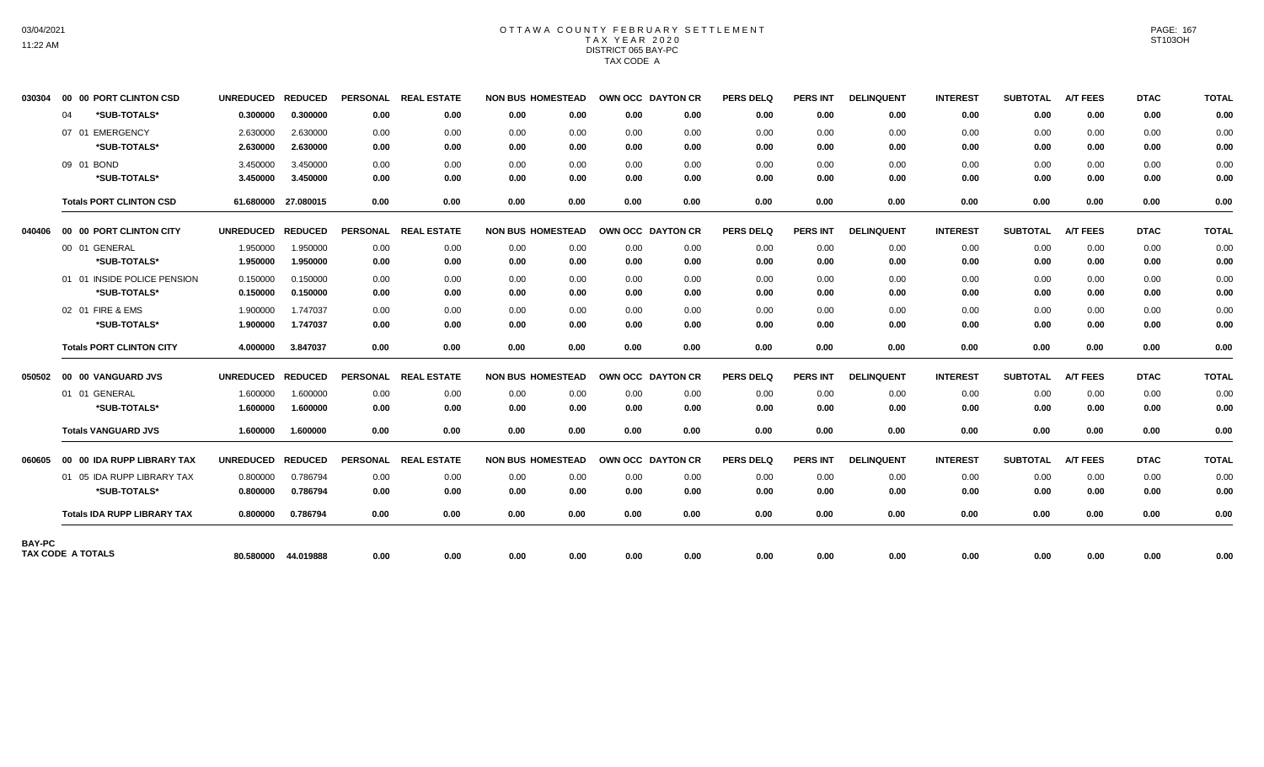## OTTAWA COUNTY FEBRUARY SETTLEMENT TAX YEAR 2020 DISTRICT 065 BAY-PC TAX CODE A

| 030304 |    | 00 00 PORT CLINTON CSD             | UNREDUCED REDUCED |                     |                 | PERSONAL REAL ESTATE | <b>NON BUS HOMESTEAD</b> |      | OWN OCC DAYTON CR |      | <b>PERS DELQ</b> | PERS INT        | <b>DELINQUENT</b> | <b>INTEREST</b> | <b>SUBTOTAL</b> | <b>A/T FEES</b> | <b>DTAC</b> | <b>TOTAL</b> |
|--------|----|------------------------------------|-------------------|---------------------|-----------------|----------------------|--------------------------|------|-------------------|------|------------------|-----------------|-------------------|-----------------|-----------------|-----------------|-------------|--------------|
|        | 04 | *SUB-TOTALS*                       | 0.300000          | 0.300000            | 0.00            | 0.00                 | 0.00                     | 0.00 | 0.00              | 0.00 | 0.00             | 0.00            | 0.00              | 0.00            | 0.00            | 0.00            | 0.00        | 0.00         |
|        |    | 07 01 EMERGENCY                    | 2.630000          | 2.630000            | 0.00            | 0.00                 | 0.00                     | 0.00 | 0.00              | 0.00 | 0.00             | 0.00            | 0.00              | 0.00            | 0.00            | 0.00            | 0.00        | 0.00         |
|        |    | *SUB-TOTALS*                       | 2.630000          | 2.630000            | 0.00            | 0.00                 | 0.00                     | 0.00 | 0.00              | 0.00 | 0.00             | 0.00            | 0.00              | 0.00            | 0.00            | 0.00            | 0.00        | 0.00         |
|        |    | 09 01 BOND                         | 3.450000          | 3.450000            | 0.00            | 0.00                 | 0.00                     | 0.00 | 0.00              | 0.00 | 0.00             | 0.00            | 0.00              | 0.00            | 0.00            | 0.00            | 0.00        | 0.00         |
|        |    | *SUB-TOTALS*                       | 3.450000          | 3.450000            | 0.00            | 0.00                 | 0.00                     | 0.00 | 0.00              | 0.00 | 0.00             | 0.00            | 0.00              | 0.00            | 0.00            | 0.00            | 0.00        | 0.00         |
|        |    | <b>Totals PORT CLINTON CSD</b>     |                   | 61.680000 27.080015 | 0.00            | 0.00                 | 0.00                     | 0.00 | 0.00              | 0.00 | 0.00             | 0.00            | 0.00              | 0.00            | 0.00            | 0.00            | 0.00        | 0.00         |
| 040406 |    | 00 00 PORT CLINTON CITY            | UNREDUCED REDUCED |                     | <b>PERSONAL</b> | <b>REAL ESTATE</b>   | <b>NON BUS HOMESTEAD</b> |      | OWN OCC DAYTON CR |      | <b>PERS DELQ</b> | <b>PERS INT</b> | <b>DELINQUENT</b> | <b>INTEREST</b> | <b>SUBTOTAL</b> | <b>A/T FEES</b> | <b>DTAC</b> | <b>TOTAL</b> |
|        |    | 00 01 GENERAL                      | 1.950000          | 1.950000            | 0.00            | 0.00                 | 0.00                     | 0.00 | 0.00              | 0.00 | 0.00             | 0.00            | 0.00              | 0.00            | 0.00            | 0.00            | 0.00        | 0.00         |
|        |    | *SUB-TOTALS*                       | 1.950000          | 1.950000            | 0.00            | 0.00                 | 0.00                     | 0.00 | 0.00              | 0.00 | 0.00             | 0.00            | 0.00              | 0.00            | 0.00            | 0.00            | 0.00        | 0.00         |
|        |    | 01 01 INSIDE POLICE PENSION        | 0.150000          | 0.150000            | 0.00            | 0.00                 | 0.00                     | 0.00 | 0.00              | 0.00 | 0.00             | 0.00            | 0.00              | 0.00            | 0.00            | 0.00            | 0.00        | 0.00         |
|        |    | *SUB-TOTALS*                       | 0.150000          | 0.150000            | 0.00            | 0.00                 | 0.00                     | 0.00 | 0.00              | 0.00 | 0.00             | 0.00            | 0.00              | 0.00            | 0.00            | 0.00            | 0.00        | 0.00         |
|        |    | 02 01 FIRE & EMS                   | 1.900000          | 1.747037            | 0.00            | 0.00                 | 0.00                     | 0.00 | 0.00              | 0.00 | 0.00             | 0.00            | 0.00              | 0.00            | 0.00            | 0.00            | 0.00        | 0.00         |
|        |    | *SUB-TOTALS*                       | 1.900000          | 1.747037            | 0.00            | 0.00                 | 0.00                     | 0.00 | 0.00              | 0.00 | 0.00             | 0.00            | 0.00              | 0.00            | 0.00            | 0.00            | 0.00        | 0.00         |
|        |    | <b>Totals PORT CLINTON CITY</b>    | 4.000000          | 3.847037            | 0.00            | 0.00                 | 0.00                     | 0.00 | 0.00              | 0.00 | 0.00             | 0.00            | 0.00              | 0.00            | 0.00            | 0.00            | 0.00        | 0.00         |
|        |    | 050502 00 00 VANGUARD JVS          | UNREDUCED REDUCED |                     | <b>PERSONAL</b> | <b>REAL ESTATE</b>   | <b>NON BUS HOMESTEAD</b> |      | OWN OCC DAYTON CR |      | <b>PERS DELQ</b> | PERS INT        | <b>DELINQUENT</b> | <b>INTEREST</b> | <b>SUBTOTAL</b> | <b>A/T FEES</b> | <b>DTAC</b> | <b>TOTAL</b> |
|        |    | 01 01 GENERAL                      | 1.600000          | 1.600000            | 0.00            | 0.00                 | 0.00                     | 0.00 | 0.00              | 0.00 | 0.00             | 0.00            | 0.00              | 0.00            | 0.00            | 0.00            | 0.00        | 0.00         |
|        |    | *SUB-TOTALS*                       | 1.600000          | 1.600000            | 0.00            | 0.00                 | 0.00                     | 0.00 | 0.00              | 0.00 | 0.00             | 0.00            | 0.00              | 0.00            | 0.00            | 0.00            | 0.00        | 0.00         |
|        |    | <b>Totals VANGUARD JVS</b>         | 1.600000          | 1.600000            | 0.00            | 0.00                 | 0.00                     | 0.00 | 0.00              | 0.00 | 0.00             | 0.00            | 0.00              | 0.00            | 0.00            | 0.00            | 0.00        | 0.00         |
| 060605 |    | 00 00 IDA RUPP LIBRARY TAX         | UNREDUCED REDUCED |                     | <b>PERSONAL</b> | <b>REAL ESTATE</b>   | <b>NON BUS HOMESTEAD</b> |      | OWN OCC DAYTON CR |      | <b>PERS DELQ</b> | PERS INT        | <b>DELINQUENT</b> | <b>INTEREST</b> | <b>SUBTOTAL</b> | <b>A/T FEES</b> | <b>DTAC</b> | <b>TOTAL</b> |
|        |    | 01 05 IDA RUPP LIBRARY TAX         | 0.800000          | 0.786794            | 0.00            | 0.00                 | 0.00                     | 0.00 | 0.00              | 0.00 | 0.00             | 0.00            | 0.00              | 0.00            | 0.00            | 0.00            | 0.00        | 0.00         |
|        |    | *SUB-TOTALS*                       | 0.800000          | 0.786794            | 0.00            | 0.00                 | 0.00                     | 0.00 | 0.00              | 0.00 | 0.00             | 0.00            | 0.00              | 0.00            | 0.00            | 0.00            | 0.00        | 0.00         |
|        |    | <b>Totals IDA RUPP LIBRARY TAX</b> | 0.800000          | 0.786794            | 0.00            | 0.00                 | 0.00                     | 0.00 | 0.00              | 0.00 | 0.00             | 0.00            | 0.00              | 0.00            | 0.00            | 0.00            | 0.00        | 0.00         |
| BAY-PC |    |                                    |                   |                     |                 |                      |                          |      |                   |      |                  |                 |                   |                 |                 |                 |             |              |
|        |    | TAX CODE A TOTALS                  |                   | 80.580000 44.019888 | 0.00            | 0.00                 | 0.00                     | 0.00 | 0.00              | 0.00 | 0.00             | 0.00            | 0.00              | 0.00            | 0.00            | 0.00            | 0.00        | 0.00         |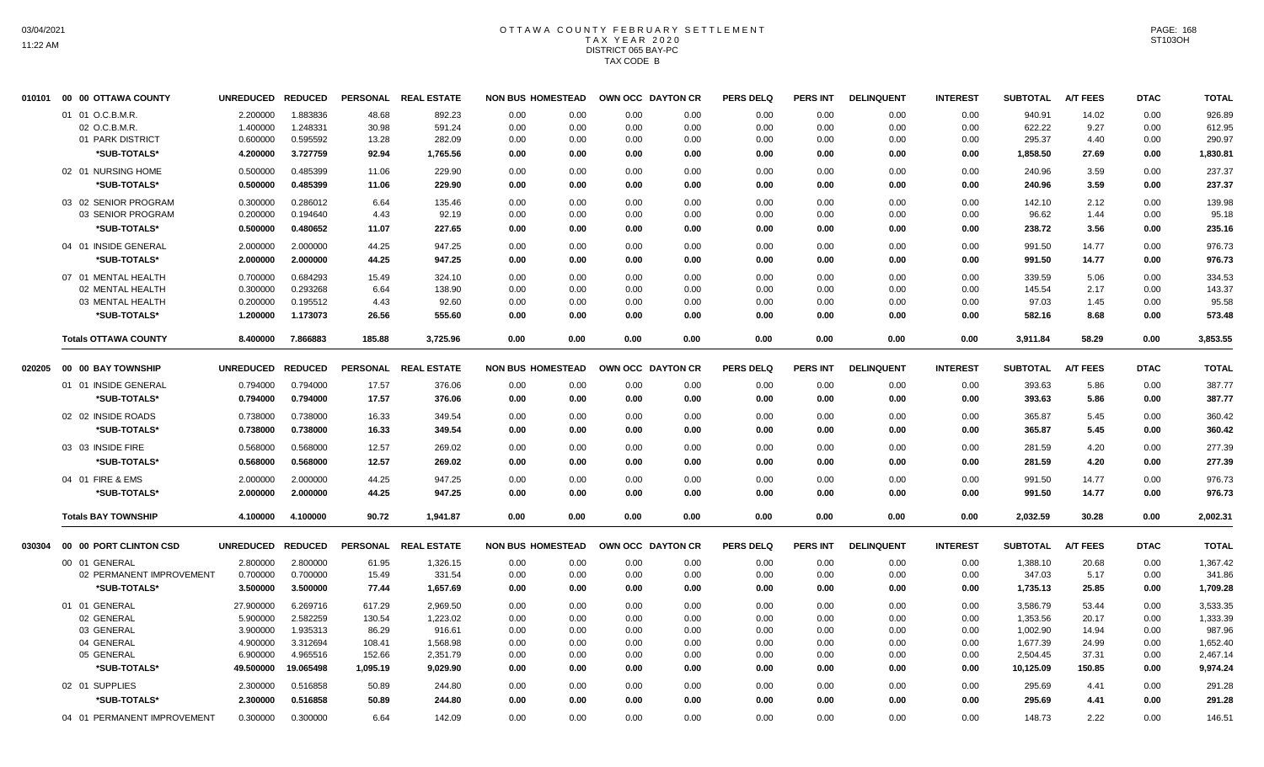#### OTTAWA COUNTY FEBRUARY SETTLEMENT T A X Y E A R 2 0 2 0 DISTRICT 065 BAY-PC TAX CODE B

|        | 010101 00 00 OTTAWA COUNTY  | <b>UNREDUCED</b>  | <b>REDUCED</b> | <b>PERSONAL</b> | <b>REAL ESTATE</b> | <b>NON BUS HOMESTEAD</b> |      |      | OWN OCC DAYTON CR | <b>PERS DELQ</b> | <b>PERS INT</b> | <b>DELINQUENT</b> | <b>INTEREST</b> | <b>SUBTOTAL</b> | <b>A/T FEES</b> | <b>DTAC</b> | <b>TOTAL</b> |
|--------|-----------------------------|-------------------|----------------|-----------------|--------------------|--------------------------|------|------|-------------------|------------------|-----------------|-------------------|-----------------|-----------------|-----------------|-------------|--------------|
|        | 01 01 O.C.B.M.R.            | 2.200000          | 1.883836       | 48.68           | 892.23             | 0.00                     | 0.00 | 0.00 | 0.00              | 0.00             | 0.00            | 0.00              | 0.00            | 940.91          | 14.02           | 0.00        | 926.89       |
|        | 02 O.C.B.M.R.               | 1.400000          | 1.248331       | 30.98           | 591.24             | 0.00                     | 0.00 | 0.00 | 0.00              | 0.00             | 0.00            | 0.00              | 0.00            | 622.22          | 9.27            | 0.00        | 612.95       |
|        | 01 PARK DISTRICT            | 0.600000          | 0.595592       | 13.28           | 282.09             | 0.00                     | 0.00 | 0.00 | 0.00              | 0.00             | 0.00            | 0.00              | 0.00            | 295.37          | 4.40            | 0.00        | 290.97       |
|        | *SUB-TOTALS*                | 4.200000          | 3.727759       | 92.94           | 1,765.56           | 0.00                     | 0.00 | 0.00 | 0.00              | 0.00             | 0.00            | 0.00              | 0.00            | 1,858.50        | 27.69           | 0.00        | 1,830.81     |
|        | 02 01 NURSING HOME          | 0.500000          | 0.485399       | 11.06           | 229.90             | 0.00                     | 0.00 | 0.00 | 0.00              | 0.00             | 0.00            | 0.00              | 0.00            | 240.96          | 3.59            | 0.00        | 237.37       |
|        | *SUB-TOTALS*                | 0.500000          | 0.485399       | 11.06           | 229.90             | 0.00                     | 0.00 | 0.00 | 0.00              | 0.00             | 0.00            | 0.00              | 0.00            | 240.96          | 3.59            | 0.00        | 237.37       |
|        | 03 02 SENIOR PROGRAM        | 0.300000          | 0.286012       | 6.64            | 135.46             | 0.00                     | 0.00 | 0.00 | 0.00              | 0.00             | 0.00            | 0.00              | 0.00            | 142.10          | 2.12            | 0.00        | 139.98       |
|        | 03 SENIOR PROGRAM           | 0.200000          | 0.194640       | 4.43            | 92.19              | 0.00                     | 0.00 | 0.00 | 0.00              | 0.00             | 0.00            | 0.00              | 0.00            | 96.62           | 1.44            | 0.00        | 95.18        |
|        | *SUB-TOTALS*                | 0.500000          | 0.480652       | 11.07           | 227.65             | 0.00                     | 0.00 | 0.00 | 0.00              | 0.00             | 0.00            | 0.00              | 0.00            | 238.72          | 3.56            | 0.00        | 235.16       |
|        | 04 01 INSIDE GENERAL        | 2.000000          | 2.000000       | 44.25           | 947.25             | 0.00                     | 0.00 | 0.00 | 0.00              | 0.00             | 0.00            | 0.00              | 0.00            | 991.50          | 14.77           | 0.00        | 976.73       |
|        | *SUB-TOTALS*                | 2.000000          | 2.000000       | 44.25           | 947.25             | 0.00                     | 0.00 | 0.00 | 0.00              | 0.00             | 0.00            | 0.00              | 0.00            | 991.50          | 14.77           | 0.00        | 976.73       |
|        | 07 01 MENTAL HEALTH         | 0.700000          | 0.684293       | 15.49           | 324.10             | 0.00                     | 0.00 | 0.00 | 0.00              | 0.00             | 0.00            | 0.00              | 0.00            | 339.59          | 5.06            | 0.00        | 334.53       |
|        | 02 MENTAL HEALTH            | 0.300000          | 0.293268       | 6.64            | 138.90             | 0.00                     | 0.00 | 0.00 | 0.00              | 0.00             | 0.00            | 0.00              | 0.00            | 145.54          | 2.17            | 0.00        | 143.37       |
|        | 03 MENTAL HEALTH            | 0.200000          | 0.195512       | 4.43            | 92.60              | 0.00                     | 0.00 | 0.00 | 0.00              | 0.00             | 0.00            | 0.00              | 0.00            | 97.03           | 1.45            | 0.00        | 95.58        |
|        | *SUB-TOTALS*                | 1.200000          | 1.173073       | 26.56           | 555.60             | 0.00                     | 0.00 | 0.00 | 0.00              | 0.00             | 0.00            | 0.00              | 0.00            | 582.16          | 8.68            | 0.00        | 573.48       |
|        | <b>Totals OTTAWA COUNTY</b> | 8.400000          | 7.866883       | 185.88          | 3,725.96           | 0.00                     | 0.00 | 0.00 | 0.00              | 0.00             | 0.00            | 0.00              | 0.00            | 3,911.84        | 58.29           | 0.00        | 3,853.55     |
| 020205 | 00 00 BAY TOWNSHIP          | <b>UNREDUCED</b>  | <b>REDUCED</b> | <b>PERSONAL</b> | <b>REAL ESTATE</b> | <b>NON BUS HOMESTEAD</b> |      |      | OWN OCC DAYTON CR | <b>PERS DELQ</b> | PERS INT        | <b>DELINQUENT</b> | <b>INTEREST</b> | <b>SUBTOTAL</b> | <b>A/T FEES</b> | <b>DTAC</b> | <b>TOTAL</b> |
|        | 01 01 INSIDE GENERAL        | 0.794000          | 0.794000       | 17.57           | 376.06             | 0.00                     | 0.00 | 0.00 | 0.00              | 0.00             | 0.00            | 0.00              | 0.00            | 393.63          | 5.86            | 0.00        | 387.77       |
|        | *SUB-TOTALS*                | 0.794000          | 0.794000       | 17.57           | 376.06             | 0.00                     | 0.00 | 0.00 | 0.00              | 0.00             | 0.00            | 0.00              | 0.00            | 393.63          | 5.86            | 0.00        | 387.77       |
|        |                             |                   |                |                 |                    |                          |      |      |                   |                  |                 |                   |                 |                 |                 |             |              |
|        | 02 02 INSIDE ROADS          | 0.738000          | 0.738000       | 16.33           | 349.54             | 0.00                     | 0.00 | 0.00 | 0.00              | 0.00             | 0.00            | 0.00              | 0.00            | 365.87          | 5.45            | 0.00        | 360.42       |
|        | *SUB-TOTALS*                | 0.738000          | 0.738000       | 16.33           | 349.54             | 0.00                     | 0.00 | 0.00 | 0.00              | 0.00             | 0.00            | 0.00              | 0.00            | 365.87          | 5.45            | 0.00        | 360.42       |
|        | 03 03 INSIDE FIRE           | 0.568000          | 0.568000       | 12.57           | 269.02             | 0.00                     | 0.00 | 0.00 | 0.00              | 0.00             | 0.00            | 0.00              | 0.00            | 281.59          | 4.20            | 0.00        | 277.39       |
|        | *SUB-TOTALS*                | 0.568000          | 0.568000       | 12.57           | 269.02             | 0.00                     | 0.00 | 0.00 | 0.00              | 0.00             | 0.00            | 0.00              | 0.00            | 281.59          | 4.20            | 0.00        | 277.39       |
|        | 04 01 FIRE & EMS            | 2.000000          | 2.000000       | 44.25           | 947.25             | 0.00                     | 0.00 | 0.00 | 0.00              | 0.00             | 0.00            | 0.00              | 0.00            | 991.50          | 14.77           | 0.00        | 976.73       |
|        | *SUB-TOTALS*                | 2.000000          | 2.000000       | 44.25           | 947.25             | 0.00                     | 0.00 | 0.00 | 0.00              | 0.00             | 0.00            | 0.00              | 0.00            | 991.50          | 14.77           | 0.00        | 976.73       |
|        | <b>Totals BAY TOWNSHIP</b>  | 4.100000          | 4.100000       | 90.72           | 1.941.87           | 0.00                     | 0.00 | 0.00 | 0.00              | 0.00             | 0.00            | 0.00              | 0.00            | 2,032.59        | 30.28           | 0.00        | 2,002.31     |
| 030304 | 00 00 PORT CLINTON CSD      | UNREDUCED REDUCED |                | <b>PERSONAL</b> | <b>REAL ESTATE</b> | <b>NON BUS HOMESTEAD</b> |      |      | OWN OCC DAYTON CR | <b>PERS DELQ</b> | <b>PERS INT</b> | <b>DELINQUENT</b> | <b>INTEREST</b> | <b>SUBTOTAL</b> | <b>A/T FEES</b> | <b>DTAC</b> | <b>TOTAL</b> |
|        | 00 01 GENERAL               | 2.800000          | 2.800000       | 61.95           | 1,326.15           | 0.00                     | 0.00 | 0.00 | 0.00              | 0.00             | 0.00            | 0.00              | 0.00            | 1,388.10        | 20.68           | 0.00        | 1,367.42     |
|        | 02 PERMANENT IMPROVEMENT    | 0.700000          | 0.700000       | 15.49           | 331.54             | 0.00                     | 0.00 | 0.00 | 0.00              | 0.00             | 0.00            | 0.00              | 0.00            | 347.03          | 5.17            | 0.00        | 341.86       |
|        | *SUB-TOTALS*                | 3.500000          | 3.500000       | 77.44           | 1,657.69           | 0.00                     | 0.00 | 0.00 | 0.00              | 0.00             | 0.00            | 0.00              | 0.00            | 1,735.13        | 25.85           | 0.00        | 1,709.28     |
|        | 01 01 GENERAL               | 27.900000         | 6.269716       | 617.29          | 2,969.50           | 0.00                     | 0.00 | 0.00 | 0.00              | 0.00             | 0.00            | 0.00              | 0.00            | 3,586.79        | 53.44           | 0.00        | 3,533.35     |
|        | 02 GENERAL                  | 5.900000          | 2.582259       | 130.54          | 1,223.02           | 0.00                     | 0.00 | 0.00 | 0.00              | 0.00             | 0.00            | 0.00              | 0.00            | 1,353.56        | 20.17           | 0.00        | 1,333.39     |
|        | 03 GENERAL                  | 3.900000          | 1.935313       | 86.29           | 916.61             | 0.00                     | 0.00 | 0.00 | 0.00              | 0.00             | 0.00            | 0.00              | 0.00            | 1,002.90        | 14.94           | 0.00        | 987.96       |
|        | 04 GENERAL                  | 4.900000          | 3.312694       | 108.41          | 1,568.98           | 0.00                     | 0.00 | 0.00 | 0.00              | 0.00             | 0.00            | 0.00              | 0.00            | 1,677.39        | 24.99           | 0.00        | 1,652.40     |
|        | 05 GENERAL                  | 6.900000          | 4.965516       | 152.66          | 2,351.79           | 0.00                     | 0.00 | 0.00 | 0.00              | 0.00             | 0.00            | 0.00              | 0.00            | 2,504.45        | 37.31           | 0.00        | 2,467.14     |
|        | *SUB-TOTALS*                | 49.500000         | 19.065498      | 1,095.19        | 9,029.90           | 0.00                     | 0.00 | 0.00 | 0.00              | 0.00             | 0.00            | 0.00              | 0.00            | 10,125.09       | 150.85          | 0.00        | 9,974.24     |
|        | 02 01 SUPPLIES              | 2.300000          | 0.516858       | 50.89           | 244.80             | 0.00                     | 0.00 | 0.00 | 0.00              | 0.00             | 0.00            | 0.00              | 0.00            | 295.69          | 4.41            | 0.00        | 291.28       |
|        | *SUB-TOTALS*                | 2.300000          | 0.516858       | 50.89           | 244.80             | 0.00                     | 0.00 | 0.00 | 0.00              | 0.00             | 0.00            | 0.00              | 0.00            | 295.69          | 4.41            | 0.00        | 291.28       |
|        | 04 01 PERMANENT IMPROVEMENT | 0.300000          | 0.300000       | 6.64            | 142.09             | 0.00                     | 0.00 | 0.00 | 0.00              | 0.00             | 0.00            | 0.00              | 0.00            | 148.73          | 2.22            | 0.00        | 146.51       |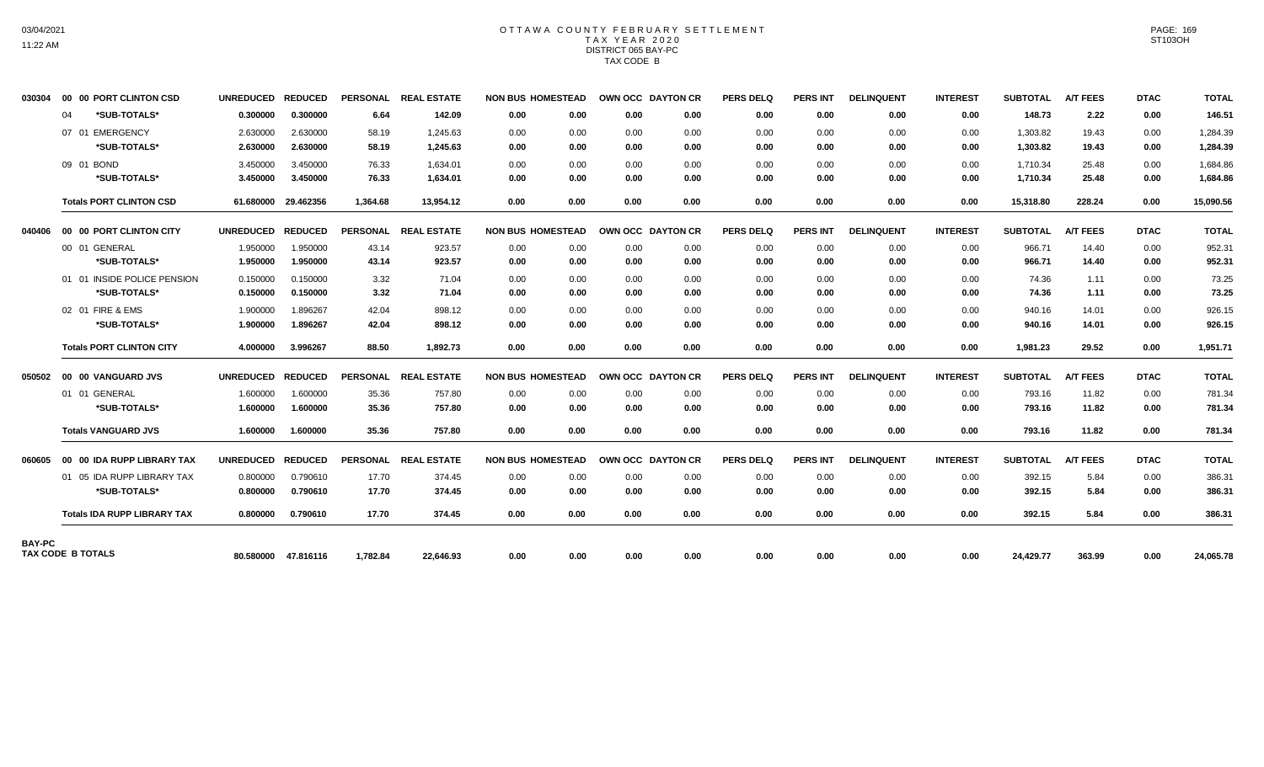### OTTAWA COUNTY FEBRUARY SETTLEMENT TAX YEAR 2020 DISTRICT 065 BAY-PC TAX CODE B

| 030304        |    | 00 00 PORT CLINTON CSD             | UNREDUCED REDUCED   |                     |          | PERSONAL REAL ESTATE | <b>NON BUS HOMESTEAD</b> |      | OWN OCC DAYTON CR |      | <b>PERS DELQ</b> | <b>PERS INT</b> | <b>DELINQUENT</b> | <b>INTEREST</b> | <b>SUBTOTAL</b> | <b>A/T FEES</b> | <b>DTAC</b> | <b>TOTAL</b> |
|---------------|----|------------------------------------|---------------------|---------------------|----------|----------------------|--------------------------|------|-------------------|------|------------------|-----------------|-------------------|-----------------|-----------------|-----------------|-------------|--------------|
|               | 04 | *SUB-TOTALS*                       | 0.300000            | 0.300000            | 6.64     | 142.09               | 0.00                     | 0.00 | 0.00              | 0.00 | 0.00             | 0.00            | 0.00              | 0.00            | 148.73          | 2.22            | 0.00        | 146.51       |
|               |    | 07 01 EMERGENCY                    | 2.630000            | 2.630000            | 58.19    | 1.245.63             | 0.00                     | 0.00 | 0.00              | 0.00 | 0.00             | 0.00            | 0.00              | 0.00            | 1,303.82        | 19.43           | 0.00        | 1,284.39     |
|               |    | *SUB-TOTALS*                       | 2.630000            | 2.630000            | 58.19    | 1,245.63             | 0.00                     | 0.00 | 0.00              | 0.00 | 0.00             | 0.00            | 0.00              | 0.00            | 1,303.82        | 19.43           | 0.00        | 1,284.39     |
|               |    | 09 01 BOND                         | 3.450000            | 3.450000            | 76.33    | 1.634.01             | 0.00                     | 0.00 | 0.00              | 0.00 | 0.00             | 0.00            | 0.00              | 0.00            | 1.710.34        | 25.48           | 0.00        | 1,684.86     |
|               |    | *SUB-TOTALS*                       | 3.450000            | 3.450000            | 76.33    | 1,634.01             | 0.00                     | 0.00 | 0.00              | 0.00 | 0.00             | 0.00            | 0.00              | 0.00            | 1,710.34        | 25.48           | 0.00        | 1,684.86     |
|               |    | <b>Totals PORT CLINTON CSD</b>     | 61.680000 29.462356 |                     | 1,364.68 | 13,954.12            | 0.00                     | 0.00 | 0.00              | 0.00 | 0.00             | 0.00            | 0.00              | 0.00            | 15,318.80       | 228.24          | 0.00        | 15,090.56    |
| 040406        |    | 00 00 PORT CLINTON CITY            | UNREDUCED REDUCED   |                     |          | PERSONAL REAL ESTATE | <b>NON BUS HOMESTEAD</b> |      | OWN OCC DAYTON CR |      | <b>PERS DELQ</b> | <b>PERS INT</b> | <b>DELINQUENT</b> | <b>INTEREST</b> | <b>SUBTOTAL</b> | <b>A/T FEES</b> | <b>DTAC</b> | <b>TOTAL</b> |
|               |    | 00 01 GENERAL                      | 1.950000            | 1.950000            | 43.14    | 923.57               | 0.00                     | 0.00 | 0.00              | 0.00 | 0.00             | 0.00            | 0.00              | 0.00            | 966.71          | 14.40           | 0.00        | 952.31       |
|               |    | *SUB-TOTALS*                       | 1.950000            | 1.950000            | 43.14    | 923.57               | 0.00                     | 0.00 | 0.00              | 0.00 | 0.00             | 0.00            | 0.00              | 0.00            | 966.71          | 14.40           | 0.00        | 952.31       |
|               |    | 01 01 INSIDE POLICE PENSION        | 0.150000            | 0.150000            | 3.32     | 71.04                | 0.00                     | 0.00 | 0.00              | 0.00 | 0.00             | 0.00            | 0.00              | 0.00            | 74.36           | 1.11            | 0.00        | 73.25        |
|               |    | *SUB-TOTALS*                       | 0.150000            | 0.150000            | 3.32     | 71.04                | 0.00                     | 0.00 | 0.00              | 0.00 | 0.00             | 0.00            | 0.00              | 0.00            | 74.36           | 1.11            | 0.00        | 73.25        |
|               |    | 02 01 FIRE & EMS                   | 1.900000            | 1.896267            | 42.04    | 898.12               | 0.00                     | 0.00 | 0.00              | 0.00 | 0.00             | 0.00            | 0.00              | 0.00            | 940.16          | 14.01           | 0.00        | 926.15       |
|               |    | *SUB-TOTALS*                       | 1.900000            | 1.896267            | 42.04    | 898.12               | 0.00                     | 0.00 | 0.00              | 0.00 | 0.00             | 0.00            | 0.00              | 0.00            | 940.16          | 14.01           | 0.00        | 926.15       |
|               |    | <b>Totals PORT CLINTON CITY</b>    | 4.000000            | 3.996267            | 88.50    | 1.892.73             | 0.00                     | 0.00 | 0.00              | 0.00 | 0.00             | 0.00            | 0.00              | 0.00            | 1.981.23        | 29.52           | 0.00        | 1,951.71     |
|               |    | 050502 00 00 VANGUARD JVS          | UNREDUCED REDUCED   |                     |          | PERSONAL REAL ESTATE | <b>NON BUS HOMESTEAD</b> |      | OWN OCC DAYTON CR |      | <b>PERS DELQ</b> | <b>PERS INT</b> | <b>DELINQUENT</b> | <b>INTEREST</b> | <b>SUBTOTAL</b> | <b>A/T FEES</b> | <b>DTAC</b> | <b>TOTAL</b> |
|               |    | 01 01 GENERAL                      | 1.600000            | 1.600000            | 35.36    | 757.80               | 0.00                     | 0.00 | 0.00              | 0.00 | 0.00             | 0.00            | 0.00              | 0.00            | 793.16          | 11.82           | 0.00        | 781.34       |
|               |    | *SUB-TOTALS*                       | 1.600000            | 1.600000            | 35.36    | 757.80               | 0.00                     | 0.00 | 0.00              | 0.00 | 0.00             | 0.00            | 0.00              | 0.00            | 793.16          | 11.82           | 0.00        | 781.34       |
|               |    | <b>Totals VANGUARD JVS</b>         | 1.600000            | 1.600000            | 35.36    | 757.80               | 0.00                     | 0.00 | 0.00              | 0.00 | 0.00             | 0.00            | 0.00              | 0.00            | 793.16          | 11.82           | 0.00        | 781.34       |
| 060605        |    | 00 00 IDA RUPP LIBRARY TAX         | UNREDUCED REDUCED   |                     |          | PERSONAL REAL ESTATE | <b>NON BUS HOMESTEAD</b> |      | OWN OCC DAYTON CR |      | <b>PERS DELQ</b> | <b>PERS INT</b> | <b>DELINQUENT</b> | <b>INTEREST</b> | SUBTOTAL        | <b>A/T FEES</b> | <b>DTAC</b> | <b>TOTAL</b> |
|               |    | 01 05 IDA RUPP LIBRARY TAX         | 0.800000            | 0.790610            | 17.70    | 374.45               | 0.00                     | 0.00 | 0.00              | 0.00 | 0.00             | 0.00            | 0.00              | 0.00            | 392.15          | 5.84            | 0.00        | 386.31       |
|               |    | *SUB-TOTALS*                       | 0.800000            | 0.790610            | 17.70    | 374.45               | 0.00                     | 0.00 | 0.00              | 0.00 | 0.00             | 0.00            | 0.00              | 0.00            | 392.15          | 5.84            | 0.00        | 386.31       |
|               |    | <b>Totals IDA RUPP LIBRARY TAX</b> | 0.800000            | 0.790610            | 17.70    | 374.45               | 0.00                     | 0.00 | 0.00              | 0.00 | 0.00             | 0.00            | 0.00              | 0.00            | 392.15          | 5.84            | 0.00        | 386.31       |
| <b>BAY-PC</b> |    |                                    |                     |                     |          |                      |                          |      |                   |      |                  |                 |                   |                 |                 |                 |             |              |
|               |    | <b>TAX CODE B TOTALS</b>           |                     | 80.580000 47.816116 | 1.782.84 | 22.646.93            | 0.00                     | 0.00 | 0.00              | 0.00 | 0.00             | 0.00            | 0.00              | 0.00            | 24,429.77       | 363.99          | 0.00        | 24,065.78    |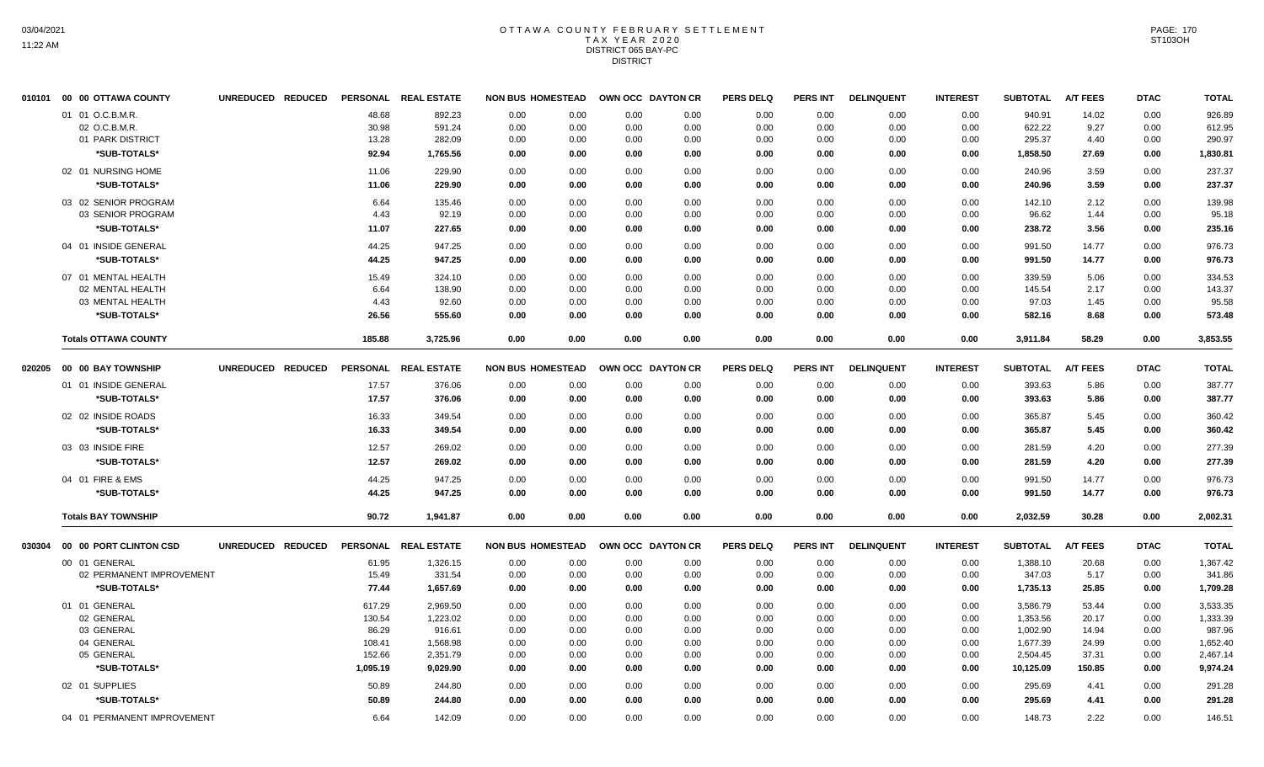#### OTTAWA COUNTY FEBRUARY SETTLEMENT T A X Y E A R 2 0 2 0 DISTRICT 065 BAY-PC DISTRICT

|        | 010101 00 00 OTTAWA COUNTY                | UNREDUCED REDUCED | <b>PERSONAL</b> | <b>REAL ESTATE</b> | <b>NON BUS HOMESTEAD</b> |      |      | OWN OCC DAYTON CR | <b>PERS DELQ</b> | <b>PERS INT</b> | <b>DELINQUENT</b> | <b>INTEREST</b> | <b>SUBTOTAL</b> | <b>A/T FEES</b> | <b>DTAC</b> | <b>TOTAL</b> |
|--------|-------------------------------------------|-------------------|-----------------|--------------------|--------------------------|------|------|-------------------|------------------|-----------------|-------------------|-----------------|-----------------|-----------------|-------------|--------------|
|        | 01 01 O.C.B.M.R.                          |                   | 48.68           | 892.23             | 0.00                     | 0.00 | 0.00 | 0.00              | 0.00             | 0.00            | 0.00              | 0.00            | 940.91          | 14.02           | 0.00        | 926.89       |
|        | 02 O.C.B.M.R.                             |                   | 30.98           | 591.24             | 0.00                     | 0.00 | 0.00 | 0.00              | 0.00             | 0.00            | 0.00              | 0.00            | 622.22          | 9.27            | 0.00        | 612.95       |
|        | 01 PARK DISTRICT                          |                   | 13.28           | 282.09             | 0.00                     | 0.00 | 0.00 | 0.00              | 0.00             | 0.00            | 0.00              | 0.00            | 295.37          | 4.40            | 0.00        | 290.97       |
|        | *SUB-TOTALS*                              |                   | 92.94           | 1,765.56           | 0.00                     | 0.00 | 0.00 | 0.00              | 0.00             | 0.00            | 0.00              | 0.00            | 1,858.50        | 27.69           | 0.00        | 1,830.81     |
|        | 02 01 NURSING HOME                        |                   | 11.06           | 229.90             | 0.00                     | 0.00 | 0.00 | 0.00              | 0.00             | 0.00            | 0.00              | 0.00            | 240.96          | 3.59            | 0.00        | 237.37       |
|        | *SUB-TOTALS*                              |                   | 11.06           | 229.90             | 0.00                     | 0.00 | 0.00 | 0.00              | 0.00             | 0.00            | 0.00              | 0.00            | 240.96          | 3.59            | 0.00        | 237.37       |
|        |                                           |                   |                 |                    |                          |      |      |                   |                  |                 |                   |                 |                 |                 |             |              |
|        | 03 02 SENIOR PROGRAM<br>03 SENIOR PROGRAM |                   | 6.64            | 135.46             | 0.00                     | 0.00 | 0.00 | 0.00              | 0.00             | 0.00            | 0.00              | 0.00            | 142.10          | 2.12<br>1.44    | 0.00        | 139.98       |
|        |                                           |                   | 4.43            | 92.19              | 0.00                     | 0.00 | 0.00 | 0.00              | 0.00             | 0.00            | 0.00              | 0.00            | 96.62           |                 | 0.00        | 95.18        |
|        | *SUB-TOTALS*                              |                   | 11.07           | 227.65             | 0.00                     | 0.00 | 0.00 | 0.00              | 0.00             | 0.00            | 0.00              | 0.00            | 238.72          | 3.56            | 0.00        | 235.16       |
|        | 04 01 INSIDE GENERAL                      |                   | 44.25           | 947.25             | 0.00                     | 0.00 | 0.00 | 0.00              | 0.00             | 0.00            | 0.00              | 0.00            | 991.50          | 14.77           | 0.00        | 976.73       |
|        | *SUB-TOTALS*                              |                   | 44.25           | 947.25             | 0.00                     | 0.00 | 0.00 | 0.00              | 0.00             | 0.00            | 0.00              | 0.00            | 991.50          | 14.77           | 0.00        | 976.73       |
|        | 07 01 MENTAL HEALTH                       |                   | 15.49           | 324.10             | 0.00                     | 0.00 | 0.00 | 0.00              | 0.00             | 0.00            | 0.00              | 0.00            | 339.59          | 5.06            | 0.00        | 334.53       |
|        | 02 MENTAL HEALTH                          |                   | 6.64            | 138.90             | 0.00                     | 0.00 | 0.00 | 0.00              | 0.00             | 0.00            | 0.00              | 0.00            | 145.54          | 2.17            | 0.00        | 143.37       |
|        | 03 MENTAL HEALTH                          |                   | 4.43            | 92.60              | 0.00                     | 0.00 | 0.00 | 0.00              | 0.00             | 0.00            | 0.00              | 0.00            | 97.03           | 1.45            | 0.00        | 95.58        |
|        | *SUB-TOTALS*                              |                   | 26.56           | 555.60             | 0.00                     | 0.00 | 0.00 | 0.00              | 0.00             | 0.00            | 0.00              | 0.00            | 582.16          | 8.68            | 0.00        | 573.48       |
|        | <b>Totals OTTAWA COUNTY</b>               |                   | 185.88          | 3,725.96           | 0.00                     | 0.00 | 0.00 | 0.00              | 0.00             | 0.00            | 0.00              | 0.00            | 3,911.84        | 58.29           | 0.00        | 3,853.55     |
| 020205 | 00 00 BAY TOWNSHIP                        | UNREDUCED REDUCED | <b>PERSONAL</b> | <b>REAL ESTATE</b> | <b>NON BUS HOMESTEAD</b> |      |      | OWN OCC DAYTON CR | <b>PERS DELQ</b> | <b>PERS INT</b> | <b>DELINQUENT</b> | <b>INTEREST</b> | <b>SUBTOTAL</b> | <b>A/T FEES</b> | <b>DTAC</b> | <b>TOTAL</b> |
|        | 01 01 INSIDE GENERAL                      |                   | 17.57           | 376.06             | 0.00                     | 0.00 | 0.00 | 0.00              | 0.00             | 0.00            | 0.00              | 0.00            | 393.63          | 5.86            | 0.00        | 387.77       |
|        | *SUB-TOTALS*                              |                   | 17.57           | 376.06             | 0.00                     | 0.00 | 0.00 | 0.00              | 0.00             | 0.00            | 0.00              | 0.00            | 393.63          | 5.86            | 0.00        | 387.77       |
|        |                                           |                   |                 |                    |                          |      |      |                   |                  |                 |                   |                 |                 |                 |             |              |
|        | 02 02 INSIDE ROADS                        |                   | 16.33           | 349.54             | 0.00                     | 0.00 | 0.00 | 0.00              | 0.00             | 0.00            | 0.00              | 0.00            | 365.87          | 5.45            | 0.00        | 360.42       |
|        | *SUB-TOTALS*                              |                   | 16.33           | 349.54             | 0.00                     | 0.00 | 0.00 | 0.00              | 0.00             | 0.00            | 0.00              | 0.00            | 365.87          | 5.45            | 0.00        | 360.42       |
|        | 03 03 INSIDE FIRE                         |                   | 12.57           | 269.02             | 0.00                     | 0.00 | 0.00 | 0.00              | 0.00             | 0.00            | 0.00              | 0.00            | 281.59          | 4.20            | 0.00        | 277.39       |
|        | *SUB-TOTALS*                              |                   | 12.57           | 269.02             | 0.00                     | 0.00 | 0.00 | 0.00              | 0.00             | 0.00            | 0.00              | 0.00            | 281.59          | 4.20            | 0.00        | 277.39       |
|        | 04 01 FIRE & EMS                          |                   | 44.25           | 947.25             | 0.00                     | 0.00 | 0.00 | 0.00              | 0.00             | 0.00            | 0.00              | 0.00            | 991.50          | 14.77           | 0.00        | 976.73       |
|        | *SUB-TOTALS*                              |                   | 44.25           | 947.25             | 0.00                     | 0.00 | 0.00 | 0.00              | 0.00             | 0.00            | 0.00              | 0.00            | 991.50          | 14.77           | 0.00        | 976.73       |
|        |                                           |                   |                 |                    |                          |      |      |                   |                  |                 |                   |                 |                 |                 |             |              |
|        | <b>Totals BAY TOWNSHIP</b>                |                   | 90.72           | 1.941.87           | 0.00                     | 0.00 | 0.00 | 0.00              | 0.00             | 0.00            | 0.00              | 0.00            | 2.032.59        | 30.28           | 0.00        | 2,002.31     |
| 030304 | 00 00 PORT CLINTON CSD                    | UNREDUCED REDUCED | <b>PERSONAL</b> | <b>REAL ESTATE</b> | <b>NON BUS HOMESTEAD</b> |      |      | OWN OCC DAYTON CR | <b>PERS DELQ</b> | <b>PERS INT</b> | <b>DELINQUENT</b> | <b>INTEREST</b> | <b>SUBTOTAL</b> | <b>A/T FEES</b> | <b>DTAC</b> | <b>TOTAL</b> |
|        | 00 01 GENERAL                             |                   | 61.95           | 1,326.15           | 0.00                     | 0.00 | 0.00 | 0.00              | 0.00             | 0.00            | 0.00              | 0.00            | 1,388.10        | 20.68           | 0.00        | 1,367.42     |
|        | 02 PERMANENT IMPROVEMENT                  |                   | 15.49           | 331.54             | 0.00                     | 0.00 | 0.00 | 0.00              | 0.00             | 0.00            | 0.00              | 0.00            | 347.03          | 5.17            | 0.00        | 341.86       |
|        | *SUB-TOTALS*                              |                   | 77.44           | 1,657.69           | 0.00                     | 0.00 | 0.00 | 0.00              | 0.00             | 0.00            | 0.00              | 0.00            | 1,735.13        | 25.85           | 0.00        | 1,709.28     |
|        | 01 01 GENERAL                             |                   | 617.29          | 2,969.50           | 0.00                     | 0.00 | 0.00 | 0.00              | 0.00             | 0.00            | 0.00              | 0.00            | 3,586.79        | 53.44           | 0.00        | 3,533.35     |
|        | 02 GENERAL                                |                   | 130.54          | 1,223.02           | 0.00                     | 0.00 | 0.00 | 0.00              | 0.00             | 0.00            | 0.00              | 0.00            | 1,353.56        | 20.17           | 0.00        | 1,333.39     |
|        | 03 GENERAL                                |                   | 86.29           | 916.61             | 0.00                     | 0.00 | 0.00 | 0.00              | 0.00             | 0.00            | 0.00              | 0.00            | 1,002.90        | 14.94           | 0.00        | 987.96       |
|        | 04 GENERAL                                |                   | 108.41          | 1,568.98           | 0.00                     | 0.00 | 0.00 | 0.00              | 0.00             | 0.00            | 0.00              | 0.00            | 1,677.39        | 24.99           | 0.00        | 1,652.40     |
|        | 05 GENERAL                                |                   | 152.66          | 2,351.79           | 0.00                     | 0.00 | 0.00 | 0.00              | 0.00             | 0.00            | 0.00              | 0.00            | 2,504.45        | 37.31           | 0.00        | 2,467.14     |
|        | *SUB-TOTALS*                              |                   | 1,095.19        | 9,029.90           | 0.00                     | 0.00 | 0.00 | 0.00              | 0.00             | 0.00            | 0.00              | 0.00            | 10,125.09       | 150.85          | 0.00        | 9,974.24     |
|        | 02 01 SUPPLIES                            |                   | 50.89           | 244.80             | 0.00                     | 0.00 | 0.00 | 0.00              | 0.00             | 0.00            | 0.00              | 0.00            | 295.69          | 4.41            | 0.00        | 291.28       |
|        |                                           |                   |                 |                    |                          |      |      |                   |                  |                 |                   |                 |                 |                 |             |              |
|        | *SUB-TOTALS*                              |                   | 50.89           | 244.80             | 0.00                     | 0.00 | 0.00 | 0.00              | 0.00             | 0.00            | 0.00              | 0.00            | 295.69          | 4.41            | 0.00        | 291.28       |
|        | 04 01 PERMANENT IMPROVEMENT               |                   | 6.64            | 142.09             | 0.00                     | 0.00 | 0.00 | 0.00              | 0.00             | 0.00            | 0.00              | 0.00            | 148.73          | 2.22            | 0.00        | 146.51       |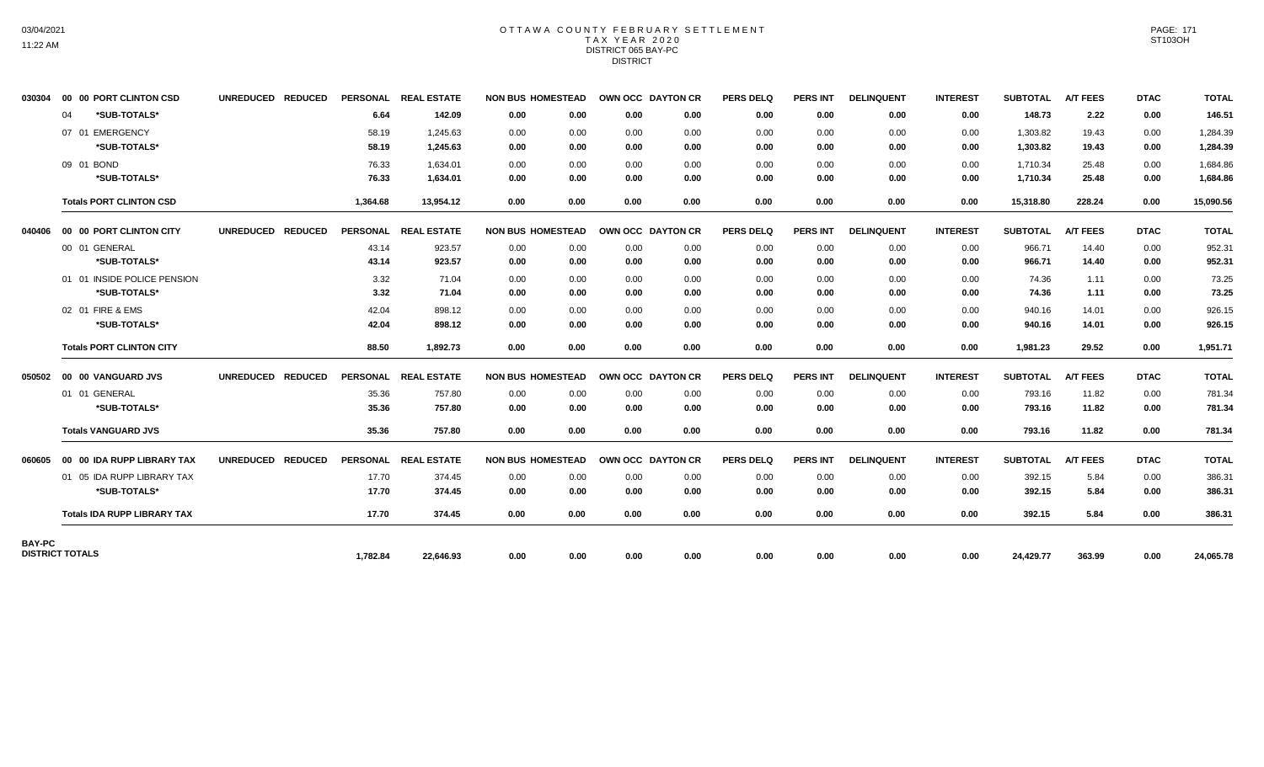## OTTAWA COUNTY FEBRUARY SETTLEMENT TAX YEAR 2020 DISTRICT 065 BAY-PC DISTRICT

| 030304                 |    | 00 00 PORT CLINTON CSD             | UNREDUCED REDUCED |          | PERSONAL REAL ESTATE | <b>NON BUS HOMESTEAD</b> |      | OWN OCC DAYTON CR |      | <b>PERS DELQ</b> | <b>PERS INT</b> | <b>DELINQUENT</b> | <b>INTEREST</b> | <b>SUBTOTAL</b> | <b>A/T FEES</b> | <b>DTAC</b> | <b>TOTAL</b> |
|------------------------|----|------------------------------------|-------------------|----------|----------------------|--------------------------|------|-------------------|------|------------------|-----------------|-------------------|-----------------|-----------------|-----------------|-------------|--------------|
|                        | 04 | *SUB-TOTALS*                       |                   | 6.64     | 142.09               | 0.00                     | 0.00 | 0.00              | 0.00 | 0.00             | 0.00            | 0.00              | 0.00            | 148.73          | 2.22            | 0.00        | 146.51       |
|                        |    | 07 01 EMERGENCY                    |                   | 58.19    | 1.245.63             | 0.00                     | 0.00 | 0.00              | 0.00 | 0.00             | 0.00            | 0.00              | 0.00            | 1,303.82        | 19.43           | 0.00        | 1,284.39     |
|                        |    | *SUB-TOTALS*                       |                   | 58.19    | 1,245.63             | 0.00                     | 0.00 | 0.00              | 0.00 | 0.00             | 0.00            | 0.00              | 0.00            | 1,303.82        | 19.43           | 0.00        | 1,284.39     |
|                        |    | 09 01 BOND                         |                   | 76.33    | 1.634.01             | 0.00                     | 0.00 | 0.00              | 0.00 | 0.00             | 0.00            | 0.00              | 0.00            | 1.710.34        | 25.48           | 0.00        | 1,684.86     |
|                        |    | *SUB-TOTALS*                       |                   | 76.33    | 1,634.01             | 0.00                     | 0.00 | 0.00              | 0.00 | 0.00             | 0.00            | 0.00              | 0.00            | 1,710.34        | 25.48           | 0.00        | 1,684.86     |
|                        |    | <b>Totals PORT CLINTON CSD</b>     |                   | 1,364.68 | 13,954.12            | 0.00                     | 0.00 | 0.00              | 0.00 | 0.00             | 0.00            | 0.00              | 0.00            | 15,318.80       | 228.24          | 0.00        | 15,090.56    |
| 040406                 |    | 00 00 PORT CLINTON CITY            | UNREDUCED REDUCED |          | PERSONAL REAL ESTATE | <b>NON BUS HOMESTEAD</b> |      | OWN OCC DAYTON CR |      | <b>PERS DELQ</b> | PERS INT        | <b>DELINQUENT</b> | <b>INTEREST</b> | <b>SUBTOTAL</b> | <b>A/T FEES</b> | <b>DTAC</b> | <b>TOTAL</b> |
|                        |    | 00 01 GENERAL                      |                   | 43.14    | 923.57               | 0.00                     | 0.00 | 0.00              | 0.00 | 0.00             | 0.00            | 0.00              | 0.00            | 966.71          | 14.40           | 0.00        | 952.31       |
|                        |    | *SUB-TOTALS*                       |                   | 43.14    | 923.57               | 0.00                     | 0.00 | 0.00              | 0.00 | 0.00             | 0.00            | 0.00              | 0.00            | 966.71          | 14.40           | 0.00        | 952.31       |
|                        |    | 01 01 INSIDE POLICE PENSION        |                   | 3.32     | 71.04                | 0.00                     | 0.00 | 0.00              | 0.00 | 0.00             | 0.00            | 0.00              | 0.00            | 74.36           | 1.11            | 0.00        | 73.25        |
|                        |    | *SUB-TOTALS*                       |                   | 3.32     | 71.04                | 0.00                     | 0.00 | 0.00              | 0.00 | 0.00             | 0.00            | 0.00              | 0.00            | 74.36           | 1.11            | 0.00        | 73.25        |
|                        |    | 02 01 FIRE & EMS                   |                   | 42.04    | 898.12               | 0.00                     | 0.00 | 0.00              | 0.00 | 0.00             | 0.00            | 0.00              | 0.00            | 940.16          | 14.01           | 0.00        | 926.15       |
|                        |    | *SUB-TOTALS*                       |                   | 42.04    | 898.12               | 0.00                     | 0.00 | 0.00              | 0.00 | 0.00             | 0.00            | 0.00              | 0.00            | 940.16          | 14.01           | 0.00        | 926.15       |
|                        |    | <b>Totals PORT CLINTON CITY</b>    |                   | 88.50    | 1,892.73             | 0.00                     | 0.00 | 0.00              | 0.00 | 0.00             | 0.00            | 0.00              | 0.00            | 1,981.23        | 29.52           | 0.00        | 1,951.71     |
|                        |    |                                    | UNREDUCED REDUCED |          | PERSONAL REAL ESTATE | <b>NON BUS HOMESTEAD</b> |      | OWN OCC DAYTON CR |      | <b>PERS DELQ</b> | <b>PERS INT</b> | <b>DELINQUENT</b> | <b>INTEREST</b> | <b>SUBTOTAL</b> | <b>A/T FEES</b> | <b>DTAC</b> | <b>TOTAL</b> |
|                        |    | 01 01 GENERAL                      |                   | 35.36    | 757.80               | 0.00                     | 0.00 | 0.00              | 0.00 | 0.00             | 0.00            | 0.00              | 0.00            | 793.16          | 11.82           | 0.00        | 781.34       |
|                        |    | *SUB-TOTALS*                       |                   | 35.36    | 757.80               | 0.00                     | 0.00 | 0.00              | 0.00 | 0.00             | 0.00            | 0.00              | 0.00            | 793.16          | 11.82           | 0.00        | 781.34       |
|                        |    | <b>Totals VANGUARD JVS</b>         |                   | 35.36    | 757.80               | 0.00                     | 0.00 | 0.00              | 0.00 | 0.00             | 0.00            | 0.00              | 0.00            | 793.16          | 11.82           | 0.00        | 781.34       |
| 060605                 |    | 00 00 IDA RUPP LIBRARY TAX         | UNREDUCED REDUCED |          | PERSONAL REAL ESTATE | <b>NON BUS HOMESTEAD</b> |      | OWN OCC DAYTON CR |      | <b>PERS DELQ</b> | <b>PERS INT</b> | <b>DELINQUENT</b> | <b>INTEREST</b> | <b>SUBTOTAL</b> | <b>A/T FEES</b> | <b>DTAC</b> | <b>TOTAL</b> |
|                        |    | 01 05 IDA RUPP LIBRARY TAX         |                   | 17.70    | 374.45               | 0.00                     | 0.00 | 0.00              | 0.00 | 0.00             | 0.00            | 0.00              | 0.00            | 392.15          | 5.84            | 0.00        | 386.31       |
|                        |    | *SUB-TOTALS*                       |                   | 17.70    | 374.45               | 0.00                     | 0.00 | 0.00              | 0.00 | 0.00             | 0.00            | 0.00              | 0.00            | 392.15          | 5.84            | 0.00        | 386.31       |
|                        |    | <b>Totals IDA RUPP LIBRARY TAX</b> |                   | 17.70    | 374.45               | 0.00                     | 0.00 | 0.00              | 0.00 | 0.00             | 0.00            | 0.00              | 0.00            | 392.15          | 5.84            | 0.00        | 386.31       |
| BAY-PC                 |    |                                    |                   |          |                      |                          |      |                   |      |                  |                 |                   |                 |                 |                 |             |              |
| <b>DISTRICT TOTALS</b> |    |                                    |                   | 1,782.84 | 22,646.93            | 0.00                     | 0.00 | 0.00              | 0.00 | 0.00             | 0.00            | 0.00              | 0.00            | 24,429.77       | 363.99          | 0.00        | 24,065.78    |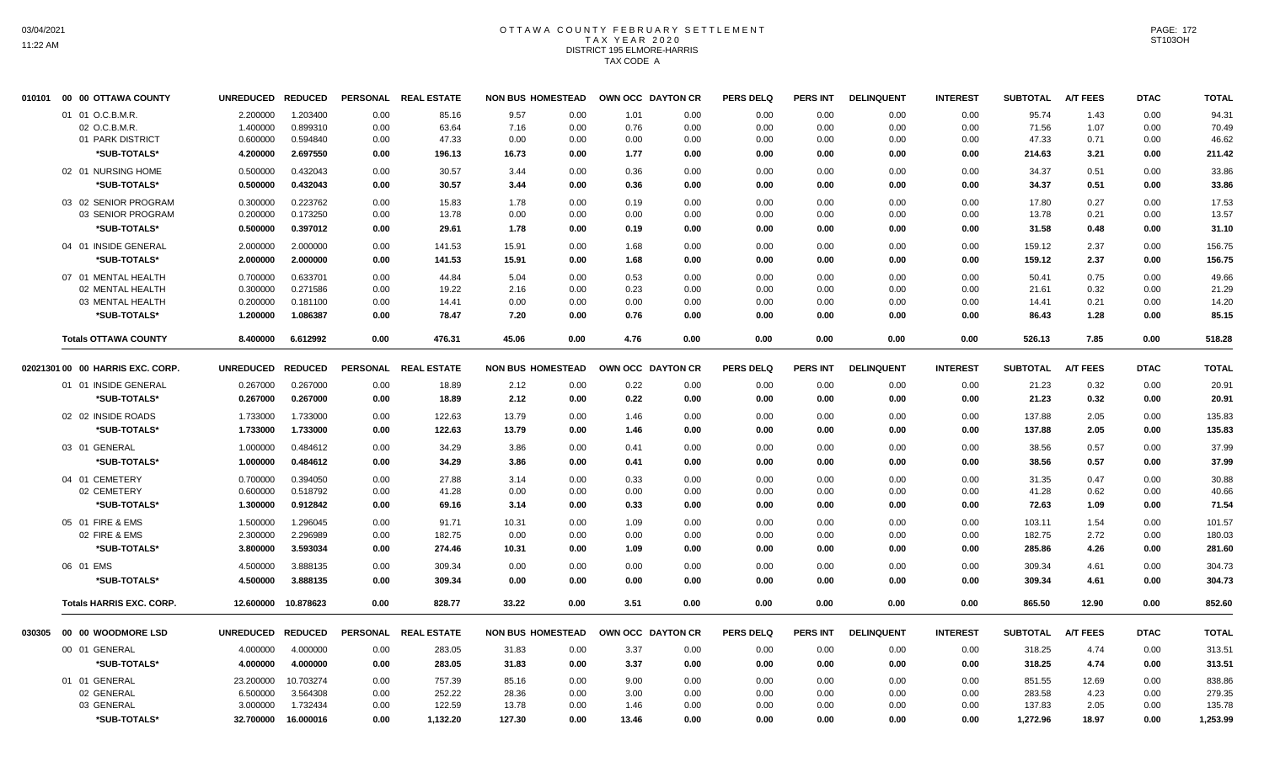## OTTAWA COUNTY FEBRUARY SETTLEMENT TAX YEAR 2020 DISTRICT 195 ELMORE-HARRIS TAX CODE A

|                    | <b>UNREDUCED</b>                                                                                                                                                                                                                                                                                                                                                                                                                                          | <b>REDUCED</b>                                           |                                                                                                                 |                      |                                                                                                 |                                      |                                                                                                                                                                                                                                                                                                                                                                                                                  | <b>PERS DELQ</b>                                                                    | PERS INT                     | <b>DELINQUENT</b>            | <b>INTEREST</b>      | <b>SUBTOTAL</b>      | A/T FEES                          | <b>DTAC</b>                  | <b>TOTAL</b>                 |
|--------------------|-----------------------------------------------------------------------------------------------------------------------------------------------------------------------------------------------------------------------------------------------------------------------------------------------------------------------------------------------------------------------------------------------------------------------------------------------------------|----------------------------------------------------------|-----------------------------------------------------------------------------------------------------------------|----------------------|-------------------------------------------------------------------------------------------------|--------------------------------------|------------------------------------------------------------------------------------------------------------------------------------------------------------------------------------------------------------------------------------------------------------------------------------------------------------------------------------------------------------------------------------------------------------------|-------------------------------------------------------------------------------------|------------------------------|------------------------------|----------------------|----------------------|-----------------------------------|------------------------------|------------------------------|
|                    | 2.200000                                                                                                                                                                                                                                                                                                                                                                                                                                                  | 1.203400                                                 | 0.00                                                                                                            | 85.16                | 9.57                                                                                            | 1.01                                 | 0.00                                                                                                                                                                                                                                                                                                                                                                                                             | 0.00                                                                                | 0.00                         | 0.00                         | 0.00                 | 95.74                | 1.43                              | 0.00                         | 94.31                        |
| 02 O.C.B.M.R       | 1.400000                                                                                                                                                                                                                                                                                                                                                                                                                                                  | 0.899310                                                 | 0.00                                                                                                            | 63.64                | 7.16                                                                                            | 0.76                                 | 0.00                                                                                                                                                                                                                                                                                                                                                                                                             | 0.00                                                                                | 0.00                         | 0.00                         | 0.00                 | 71.56                | 1.07                              | 0.00                         | 70.49                        |
| 01 PARK DISTRICT   | 0.600000                                                                                                                                                                                                                                                                                                                                                                                                                                                  | 0.594840                                                 | 0.00                                                                                                            | 47.33                | 0.00                                                                                            | 0.00                                 | 0.00                                                                                                                                                                                                                                                                                                                                                                                                             | 0.00                                                                                | 0.00                         | 0.00                         | 0.00                 | 47.33                | 0.71                              | 0.00                         | 46.62                        |
| *SUB-TOTALS*       | 4.200000                                                                                                                                                                                                                                                                                                                                                                                                                                                  | 2.697550                                                 | 0.00                                                                                                            | 196.13               | 16.73                                                                                           | 1.77                                 | 0.00                                                                                                                                                                                                                                                                                                                                                                                                             | 0.00                                                                                | 0.00                         | 0.00                         | 0.00                 | 214.63               | 3.21                              | 0.00                         | 211.42                       |
|                    | 0.500000                                                                                                                                                                                                                                                                                                                                                                                                                                                  | 0.432043                                                 | 0.00                                                                                                            | 30.57                | 3.44                                                                                            | 0.36                                 | 0.00                                                                                                                                                                                                                                                                                                                                                                                                             | 0.00                                                                                | 0.00                         | 0.00                         | 0.00                 | 34.37                | 0.51                              | 0.00                         | 33.86                        |
| *SUB-TOTALS*       | 0.500000                                                                                                                                                                                                                                                                                                                                                                                                                                                  | 0.432043                                                 | 0.00                                                                                                            | 30.57                | 3.44                                                                                            | 0.36                                 | 0.00                                                                                                                                                                                                                                                                                                                                                                                                             | 0.00                                                                                | 0.00                         | 0.00                         | 0.00                 | 34.37                | 0.51                              | 0.00                         | 33.86                        |
|                    | 0.300000                                                                                                                                                                                                                                                                                                                                                                                                                                                  | 0.223762                                                 | 0.00                                                                                                            | 15.83                | 1.78                                                                                            | 0.19                                 | 0.00                                                                                                                                                                                                                                                                                                                                                                                                             | 0.00                                                                                | 0.00                         | 0.00                         | 0.00                 | 17.80                | 0.27                              | 0.00                         | 17.53                        |
| 03 SENIOR PROGRAM  | 0.200000                                                                                                                                                                                                                                                                                                                                                                                                                                                  | 0.173250                                                 | 0.00                                                                                                            | 13.78                | 0.00                                                                                            | 0.00                                 | 0.00                                                                                                                                                                                                                                                                                                                                                                                                             | 0.00                                                                                | 0.00                         | 0.00                         | 0.00                 | 13.78                | 0.21                              | 0.00                         | 13.57                        |
| *SUB-TOTALS*       | 0.500000                                                                                                                                                                                                                                                                                                                                                                                                                                                  | 0.397012                                                 | 0.00                                                                                                            | 29.61                | 1.78                                                                                            | 0.19                                 | 0.00                                                                                                                                                                                                                                                                                                                                                                                                             | 0.00                                                                                | 0.00                         | 0.00                         | 0.00                 | 31.58                | 0.48                              | 0.00                         | 31.10                        |
|                    | 2.000000                                                                                                                                                                                                                                                                                                                                                                                                                                                  | 2.000000                                                 | 0.00                                                                                                            | 141.53               | 15.91                                                                                           | 1.68                                 | 0.00                                                                                                                                                                                                                                                                                                                                                                                                             | 0.00                                                                                | 0.00                         | 0.00                         | 0.00                 | 159.12               | 2.37                              | 0.00                         | 156.75                       |
| *SUB-TOTALS*       | 2.000000                                                                                                                                                                                                                                                                                                                                                                                                                                                  | 2.000000                                                 | 0.00                                                                                                            | 141.53               | 15.91                                                                                           | 1.68                                 | 0.00                                                                                                                                                                                                                                                                                                                                                                                                             | 0.00                                                                                | 0.00                         | 0.00                         | 0.00                 | 159.12               | 2.37                              | 0.00                         | 156.75                       |
|                    | 0.700000                                                                                                                                                                                                                                                                                                                                                                                                                                                  | 0.633701                                                 | 0.00                                                                                                            | 44.84                | 5.04                                                                                            |                                      | 0.00                                                                                                                                                                                                                                                                                                                                                                                                             | 0.00                                                                                | 0.00                         | 0.00                         | 0.00                 | 50.41                | 0.75                              | 0.00                         | 49.66                        |
| 02 MENTAL HEALTH   |                                                                                                                                                                                                                                                                                                                                                                                                                                                           |                                                          | 0.00                                                                                                            | 19.22                | 2.16                                                                                            |                                      | 0.00                                                                                                                                                                                                                                                                                                                                                                                                             |                                                                                     |                              | 0.00                         | 0.00                 | 21.61                | 0.32                              |                              | 21.29                        |
|                    |                                                                                                                                                                                                                                                                                                                                                                                                                                                           |                                                          |                                                                                                                 |                      |                                                                                                 |                                      |                                                                                                                                                                                                                                                                                                                                                                                                                  |                                                                                     |                              |                              |                      |                      |                                   |                              | 14.20                        |
| *SUB-TOTALS*       | 1.200000                                                                                                                                                                                                                                                                                                                                                                                                                                                  | 1.086387                                                 | 0.00                                                                                                            | 78.47                | 7.20                                                                                            | 0.76                                 | 0.00                                                                                                                                                                                                                                                                                                                                                                                                             | 0.00                                                                                | 0.00                         | 0.00                         | 0.00                 | 86.43                | 1.28                              | 0.00                         | 85.15                        |
|                    | 8.400000                                                                                                                                                                                                                                                                                                                                                                                                                                                  | 6.612992                                                 | 0.00                                                                                                            | 476.31               | 45.06                                                                                           | 4.76                                 | 0.00                                                                                                                                                                                                                                                                                                                                                                                                             | 0.00                                                                                | 0.00                         | 0.00                         | 0.00                 | 526.13               | 7.85                              | 0.00                         | 518.28                       |
|                    |                                                                                                                                                                                                                                                                                                                                                                                                                                                           |                                                          |                                                                                                                 |                      |                                                                                                 |                                      |                                                                                                                                                                                                                                                                                                                                                                                                                  | <b>PERS DELQ</b>                                                                    | PERS INT                     | <b>DELINQUENT</b>            | <b>INTEREST</b>      | <b>SUBTOTAL</b>      | <b>A/T FEES</b>                   | <b>DTAC</b>                  | <b>TOTAL</b>                 |
|                    |                                                                                                                                                                                                                                                                                                                                                                                                                                                           |                                                          |                                                                                                                 |                      |                                                                                                 |                                      |                                                                                                                                                                                                                                                                                                                                                                                                                  |                                                                                     |                              |                              |                      |                      |                                   |                              | 20.91                        |
|                    |                                                                                                                                                                                                                                                                                                                                                                                                                                                           |                                                          |                                                                                                                 |                      |                                                                                                 |                                      |                                                                                                                                                                                                                                                                                                                                                                                                                  |                                                                                     |                              |                              |                      |                      |                                   |                              |                              |
|                    |                                                                                                                                                                                                                                                                                                                                                                                                                                                           |                                                          |                                                                                                                 |                      |                                                                                                 |                                      |                                                                                                                                                                                                                                                                                                                                                                                                                  |                                                                                     |                              |                              |                      |                      |                                   |                              | 20.91                        |
| 02 02 INSIDE ROADS | 1.733000                                                                                                                                                                                                                                                                                                                                                                                                                                                  | 1.733000                                                 | 0.00                                                                                                            | 122.63               | 13.79                                                                                           | 1.46                                 | 0.00                                                                                                                                                                                                                                                                                                                                                                                                             | 0.00                                                                                | 0.00                         | 0.00                         | 0.00                 | 137.88               | 2.05                              | 0.00                         | 135.83                       |
|                    |                                                                                                                                                                                                                                                                                                                                                                                                                                                           |                                                          | 0.00                                                                                                            | 122.63               | 13.79                                                                                           | 1.46                                 | 0.00                                                                                                                                                                                                                                                                                                                                                                                                             | 0.00                                                                                | 0.00                         | 0.00                         | 0.00                 |                      |                                   | 0.00                         | 135.83                       |
|                    | 1.000000                                                                                                                                                                                                                                                                                                                                                                                                                                                  | 0.484612                                                 | 0.00                                                                                                            | 34.29                | 3.86                                                                                            | 0.41                                 | 0.00                                                                                                                                                                                                                                                                                                                                                                                                             | 0.00                                                                                | 0.00                         | 0.00                         | 0.00                 | 38.56                | 0.57                              | 0.00                         | 37.99                        |
| *SUB-TOTALS*       | 1.000000                                                                                                                                                                                                                                                                                                                                                                                                                                                  | 0.484612                                                 | 0.00                                                                                                            | 34.29                | 3.86                                                                                            | 0.41                                 | 0.00                                                                                                                                                                                                                                                                                                                                                                                                             | 0.00                                                                                | 0.00                         | 0.00                         | 0.00                 | 38.56                | 0.57                              | 0.00                         | 37.99                        |
|                    | 0.700000                                                                                                                                                                                                                                                                                                                                                                                                                                                  | 0.394050                                                 | 0.00                                                                                                            | 27.88                | 3.14                                                                                            | 0.33                                 | 0.00                                                                                                                                                                                                                                                                                                                                                                                                             | 0.00                                                                                | 0.00                         | 0.00                         | 0.00                 | 31.35                | 0.47                              | 0.00                         | 30.88                        |
| 02 CEMETERY        | 0.600000                                                                                                                                                                                                                                                                                                                                                                                                                                                  | 0.518792                                                 | 0.00                                                                                                            | 41.28                | 0.00                                                                                            | 0.00                                 | 0.00                                                                                                                                                                                                                                                                                                                                                                                                             | 0.00                                                                                | 0.00                         | 0.00                         | 0.00                 | 41.28                | 0.62                              | 0.00                         | 40.66                        |
| *SUB-TOTALS*       | 1.300000                                                                                                                                                                                                                                                                                                                                                                                                                                                  | 0.912842                                                 | 0.00                                                                                                            | 69.16                | 3.14                                                                                            | 0.33                                 | 0.00                                                                                                                                                                                                                                                                                                                                                                                                             | 0.00                                                                                | 0.00                         | 0.00                         | 0.00                 | 72.63                | 1.09                              | 0.00                         | 71.54                        |
|                    | 1.500000                                                                                                                                                                                                                                                                                                                                                                                                                                                  | 1.296045                                                 | 0.00                                                                                                            | 91.71                | 10.31                                                                                           | 1.09                                 | 0.00                                                                                                                                                                                                                                                                                                                                                                                                             | 0.00                                                                                | 0.00                         | 0.00                         | 0.00                 | 103.11               | 1.54                              | 0.00                         | 101.57                       |
| 02 FIRE & EMS      | 2.300000                                                                                                                                                                                                                                                                                                                                                                                                                                                  | 2.296989                                                 | 0.00                                                                                                            | 182.75               | 0.00                                                                                            | 0.00                                 | 0.00                                                                                                                                                                                                                                                                                                                                                                                                             | 0.00                                                                                | 0.00                         | 0.00                         | 0.00                 | 182.75               | 2.72                              | 0.00                         | 180.03                       |
| *SUB-TOTALS*       | 3.800000                                                                                                                                                                                                                                                                                                                                                                                                                                                  | 3.593034                                                 | 0.00                                                                                                            | 274.46               | 10.31                                                                                           | 1.09                                 | 0.00                                                                                                                                                                                                                                                                                                                                                                                                             | 0.00                                                                                | 0.00                         | 0.00                         | 0.00                 | 285.86               | 4.26                              | 0.00                         | 281.60                       |
|                    | 4.500000                                                                                                                                                                                                                                                                                                                                                                                                                                                  | 3.888135                                                 | 0.00                                                                                                            | 309.34               | 0.00                                                                                            | 0.00                                 | 0.00                                                                                                                                                                                                                                                                                                                                                                                                             | 0.00                                                                                | 0.00                         | 0.00                         | 0.00                 | 309.34               | 4.61                              | 0.00                         | 304.73                       |
| *SUB-TOTALS*       | 4.500000                                                                                                                                                                                                                                                                                                                                                                                                                                                  | 3.888135                                                 | 0.00                                                                                                            | 309.34               | 0.00                                                                                            | 0.00                                 | 0.00                                                                                                                                                                                                                                                                                                                                                                                                             | 0.00                                                                                | 0.00                         | 0.00                         | 0.00                 | 309.34               | 4.61                              | 0.00                         | 304.73                       |
|                    |                                                                                                                                                                                                                                                                                                                                                                                                                                                           | 10.878623                                                | 0.00                                                                                                            | 828.77               | 33.22                                                                                           | 3.51                                 | 0.00                                                                                                                                                                                                                                                                                                                                                                                                             | 0.00                                                                                | 0.00                         | 0.00                         | 0.00                 | 865.50               | 12.90                             | 0.00                         | 852.60                       |
|                    |                                                                                                                                                                                                                                                                                                                                                                                                                                                           |                                                          |                                                                                                                 |                      |                                                                                                 |                                      |                                                                                                                                                                                                                                                                                                                                                                                                                  | <b>PERS DELQ</b>                                                                    | PERS INT                     | <b>DELINQUENT</b>            | <b>INTEREST</b>      | <b>SUBTOTAL</b>      | <b>A/T FEES</b>                   | <b>DTAC</b>                  | <b>TOTAL</b>                 |
|                    | 4.000000                                                                                                                                                                                                                                                                                                                                                                                                                                                  | 4.000000                                                 | 0.00                                                                                                            | 283.05               | 31.83                                                                                           | 3.37                                 | 0.00                                                                                                                                                                                                                                                                                                                                                                                                             | 0.00                                                                                | 0.00                         | 0.00                         | 0.00                 | 318.25               | 4.74                              | 0.00                         | 313.51                       |
| *SUB-TOTALS*       | 4.000000                                                                                                                                                                                                                                                                                                                                                                                                                                                  | 4.000000                                                 | 0.00                                                                                                            | 283.05               | 31.83                                                                                           | 3.37                                 | 0.00                                                                                                                                                                                                                                                                                                                                                                                                             | 0.00                                                                                | 0.00                         | 0.00                         | 0.00                 | 318.25               | 4.74                              | 0.00                         | 313.51                       |
|                    | 23.200000                                                                                                                                                                                                                                                                                                                                                                                                                                                 | 10.703274                                                | 0.00                                                                                                            | 757.39               | 85.16                                                                                           | 9.00                                 | 0.00                                                                                                                                                                                                                                                                                                                                                                                                             | 0.00                                                                                | 0.00                         | 0.00                         | 0.00                 | 851.55               | 12.69                             | 0.00                         | 838.86                       |
| 02 GENERAL         | 6.500000                                                                                                                                                                                                                                                                                                                                                                                                                                                  | 3.564308                                                 | 0.00                                                                                                            | 252.22               | 28.36                                                                                           | 3.00                                 | 0.00                                                                                                                                                                                                                                                                                                                                                                                                             | 0.00                                                                                | 0.00                         | 0.00                         | 0.00                 | 283.58               | 4.23                              | 0.00                         | 279.35                       |
| 03 GENERAL         | 3.000000                                                                                                                                                                                                                                                                                                                                                                                                                                                  | 1.732434                                                 | 0.00                                                                                                            | 122.59               | 13.78                                                                                           | 1.46                                 | 0.00                                                                                                                                                                                                                                                                                                                                                                                                             | 0.00                                                                                | 0.00                         | 0.00                         | 0.00                 | 137.83               | 2.05                              | 0.00                         | 135.78                       |
| *SUB-TOTALS*       | 32.700000                                                                                                                                                                                                                                                                                                                                                                                                                                                 | 16.000016                                                | 0.00                                                                                                            | 1,132.20             | 127.30                                                                                          | 13.46                                | 0.00                                                                                                                                                                                                                                                                                                                                                                                                             | 0.00                                                                                | 0.00                         | 0.00                         | 0.00                 | 1,272.96             | 18.97                             | 0.00                         | 1,253.99                     |
|                    | 00 00 OTTAWA COUNTY<br>01 01 O.C.B.M.R.<br>02 01 NURSING HOME<br>03 02 SENIOR PROGRAM<br>04 01 INSIDE GENERAL<br>07 01 MENTAL HEALTH<br>03 MENTAL HEALTH<br><b>Totals OTTAWA COUNTY</b><br>02021301 00 00 HARRIS EXC. CORP.<br>01 01 INSIDE GENERAL<br>*SUB-TOTALS*<br>*SUB-TOTALS*<br>03 01 GENERAL<br>04 01 CEMETERY<br>05 01 FIRE & EMS<br>06 01 EMS<br><b>Totals HARRIS EXC. CORP.</b><br>030305 00 00 WOODMORE LSD<br>00 01 GENERAL<br>01 01 GENERAL | 0.300000<br>0.200000<br>0.267000<br>0.267000<br>1.733000 | 0.271586<br>0.181100<br>UNREDUCED REDUCED<br>0.267000<br>0.267000<br>1.733000<br>12.600000<br>UNREDUCED REDUCED | 0.00<br>0.00<br>0.00 | PERSONAL REAL ESTATE<br>14.41<br>PERSONAL REAL ESTATE<br>18.89<br>18.89<br>PERSONAL REAL ESTATE | 0.00<br>0.00<br>2.12<br>2.12<br>0.00 | <b>NON BUS HOMESTEAD</b><br>0.00<br>0.00<br>0.00<br>0.00<br>0.00<br>0.00<br>0.00<br>0.00<br>0.00<br>0.00<br>0.00<br>0.53<br>0.00<br>0.00<br>0.23<br>0.00<br>0.00<br>0.00<br><b>NON BUS HOMESTEAD</b><br>0.00<br>0.22<br>0.22<br>0.00<br>0.00<br>0.00<br>0.00<br>0.00<br>0.00<br>0.00<br>0.00<br>0.00<br>0.00<br>0.00<br>0.00<br>0.00<br><b>NON BUS HOMESTEAD</b><br>0.00<br>0.00<br>0.00<br>0.00<br>0.00<br>0.00 | OWN OCC DAYTON CR<br>0.00<br>OWN OCC DAYTON CR<br>0.00<br>0.00<br>OWN OCC DAYTON CR | 0.00<br>0.00<br>0.00<br>0.00 | 0.00<br>0.00<br>0.00<br>0.00 | 0.00<br>0.00<br>0.00 | 0.00<br>0.00<br>0.00 | 14.41<br>21.23<br>21.23<br>137.88 | 0.21<br>0.32<br>0.32<br>2.05 | 0.00<br>0.00<br>0.00<br>0.00 |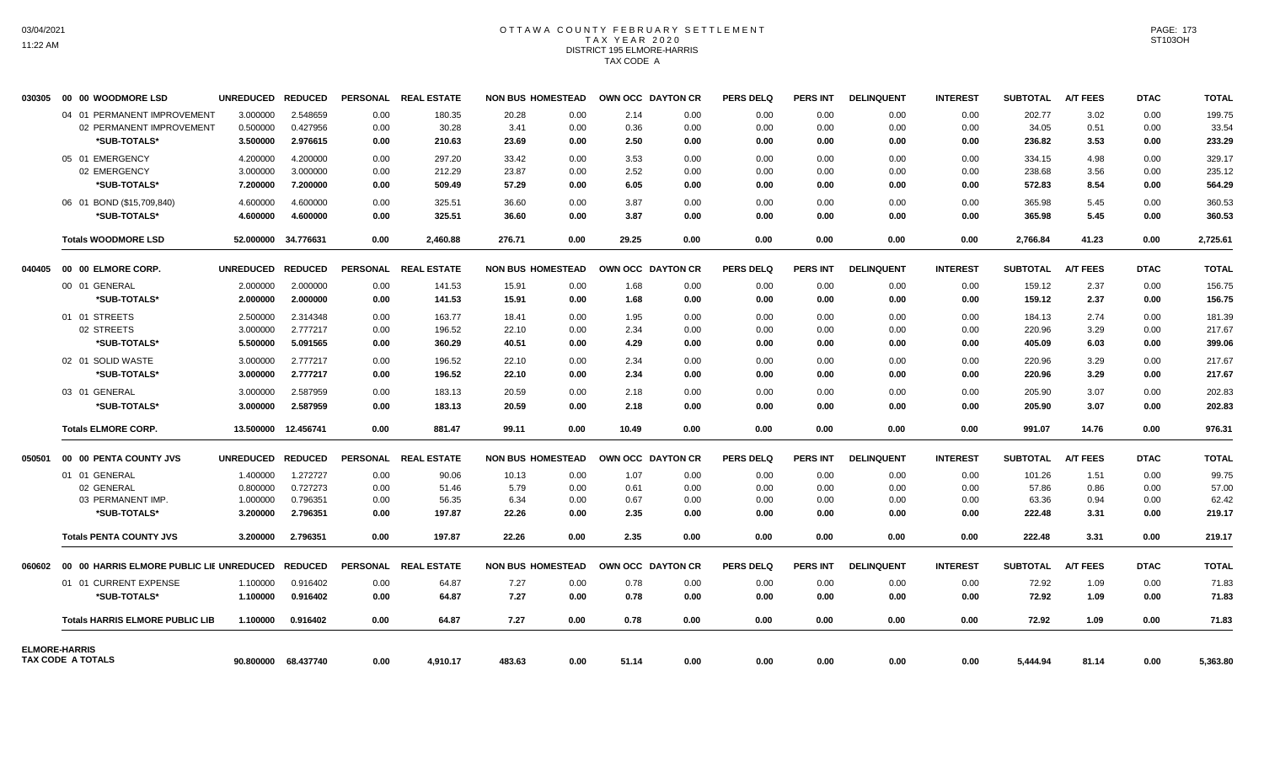## OTTAWA COUNTY FEBRUARY SETTLEMENT TAX YEAR 2020 DISTRICT 195 ELMORE-HARRIS TAX CODE A

| 030305 | 00 00 WOODMORE LSD                                      | UNREDUCED REDUCED |                     |                 | PERSONAL REAL ESTATE | <b>NON BUS HOMESTEAD</b> |      |       | OWN OCC DAYTON CR | <b>PERS DELQ</b> | <b>PERS INT</b> | <b>DELINQUENT</b> | <b>INTEREST</b> | <b>SUBTOTAL</b> | <b>A/T FEES</b> | <b>DTAC</b> | <b>TOTAL</b> |
|--------|---------------------------------------------------------|-------------------|---------------------|-----------------|----------------------|--------------------------|------|-------|-------------------|------------------|-----------------|-------------------|-----------------|-----------------|-----------------|-------------|--------------|
|        | 04 01 PERMANENT IMPROVEMENT                             | 3.000000          | 2.548659            | 0.00            | 180.35               | 20.28                    | 0.00 | 2.14  | 0.00              | 0.00             | 0.00            | 0.00              | 0.00            | 202.77          | 3.02            | 0.00        | 199.75       |
|        | 02 PERMANENT IMPROVEMENT                                | 0.500000          | 0.427956            | 0.00            | 30.28                | 3.41                     | 0.00 | 0.36  | 0.00              | 0.00             | 0.00            | 0.00              | 0.00            | 34.05           | 0.51            | 0.00        | 33.54        |
|        | *SUB-TOTALS*                                            | 3.500000          | 2.976615            | 0.00            | 210.63               | 23.69                    | 0.00 | 2.50  | 0.00              | 0.00             | 0.00            | 0.00              | 0.00            | 236.82          | 3.53            | 0.00        | 233.29       |
|        | 05 01 EMERGENCY                                         | 4.200000          | 4.200000            | 0.00            | 297.20               | 33.42                    | 0.00 | 3.53  | 0.00              | 0.00             | 0.00            | 0.00              | 0.00            | 334.15          | 4.98            | 0.00        | 329.17       |
|        | 02 EMERGENCY                                            | 3.000000          | 3.000000            | 0.00            | 212.29               | 23.87                    | 0.00 | 2.52  | 0.00              | 0.00             | 0.00            | 0.00              | 0.00            | 238.68          | 3.56            | 0.00        | 235.12       |
|        | *SUB-TOTALS*                                            | 7.200000          | 7.200000            | 0.00            | 509.49               | 57.29                    | 0.00 | 6.05  | 0.00              | 0.00             | 0.00            | 0.00              | 0.00            | 572.83          | 8.54            | 0.00        | 564.29       |
|        | 06 01 BOND (\$15,709,840)                               | 4.600000          | 4.600000            | 0.00            | 325.51               | 36.60                    | 0.00 | 3.87  | 0.00              | 0.00             | 0.00            | 0.00              | 0.00            | 365.98          | 5.45            | 0.00        | 360.53       |
|        | *SUB-TOTALS*                                            | 4.600000          | 4.600000            | 0.00            | 325.51               | 36.60                    | 0.00 | 3.87  | 0.00              | 0.00             | 0.00            | 0.00              | 0.00            | 365.98          | 5.45            | 0.00        | 360.53       |
|        | <b>Totals WOODMORE LSD</b>                              |                   | 52.000000 34.776631 | 0.00            | 2.460.88             | 276.71                   | 0.00 | 29.25 | 0.00              | 0.00             | 0.00            | 0.00              | 0.00            | 2,766.84        | 41.23           | 0.00        | 2,725.61     |
| 040405 | 00 00 ELMORE CORP.                                      | <b>UNREDUCED</b>  | <b>REDUCED</b>      | <b>PERSONAL</b> | <b>REAL ESTATE</b>   | <b>NON BUS HOMESTEAD</b> |      |       | OWN OCC DAYTON CR | <b>PERS DELQ</b> | <b>PERS INT</b> | <b>DELINQUENT</b> | <b>INTEREST</b> | <b>SUBTOTAL</b> | <b>A/T FEES</b> | <b>DTAC</b> | <b>TOTAL</b> |
|        | 00 01 GENERAL                                           | 2.000000          | 2.000000            | 0.00            | 141.53               | 15.91                    | 0.00 | 1.68  | 0.00              | 0.00             | 0.00            | 0.00              | 0.00            | 159.12          | 2.37            | 0.00        | 156.75       |
|        | *SUB-TOTALS*                                            | 2.000000          | 2.000000            | 0.00            | 141.53               | 15.91                    | 0.00 | 1.68  | 0.00              | 0.00             | 0.00            | 0.00              | 0.00            | 159.12          | 2.37            | 0.00        | 156.75       |
|        | 01 01 STREETS                                           | 2.500000          | 2.314348            | 0.00            | 163.77               | 18.41                    | 0.00 | 1.95  | 0.00              | 0.00             | 0.00            | 0.00              | 0.00            | 184.13          | 2.74            | 0.00        | 181.39       |
|        | 02 STREETS                                              | 3.000000          | 2.777217            | 0.00            | 196.52               | 22.10                    | 0.00 | 2.34  | 0.00              | 0.00             | 0.00            | 0.00              | 0.00            | 220.96          | 3.29            | 0.00        | 217.67       |
|        | *SUB-TOTALS*                                            | 5.500000          | 5.091565            | 0.00            | 360.29               | 40.51                    | 0.00 | 4.29  | 0.00              | 0.00             | 0.00            | 0.00              | 0.00            | 405.09          | 6.03            | 0.00        | 399.06       |
|        | 02 01 SOLID WASTE                                       | 3.000000          | 2.777217            | 0.00            | 196.52               | 22.10                    | 0.00 | 2.34  | 0.00              | 0.00             | 0.00            | 0.00              | 0.00            | 220.96          | 3.29            | 0.00        | 217.67       |
|        | *SUB-TOTALS*                                            | 3.000000          | 2.777217            | 0.00            | 196.52               | 22.10                    | 0.00 | 2.34  | 0.00              | 0.00             | 0.00            | 0.00              | 0.00            | 220.96          | 3.29            | 0.00        | 217.67       |
|        | 03 01 GENERAL                                           | 3.000000          | 2.587959            | 0.00            | 183.13               | 20.59                    | 0.00 | 2.18  | 0.00              | 0.00             | 0.00            | 0.00              | 0.00            | 205.90          | 3.07            | 0.00        | 202.83       |
|        | *SUB-TOTALS*                                            | 3.000000          | 2.587959            | 0.00            | 183.13               | 20.59                    | 0.00 | 2.18  | 0.00              | 0.00             | 0.00            | 0.00              | 0.00            | 205.90          | 3.07            | 0.00        | 202.83       |
|        | <b>Totals ELMORE CORP.</b>                              |                   | 13.500000 12.456741 | 0.00            | 881.47               | 99.11                    | 0.00 | 10.49 | 0.00              | 0.00             | 0.00            | 0.00              | 0.00            | 991.07          | 14.76           | 0.00        | 976.31       |
| 050501 | 00 00 PENTA COUNTY JVS                                  | UNREDUCED REDUCED |                     |                 | PERSONAL REAL ESTATE | <b>NON BUS HOMESTEAD</b> |      |       | OWN OCC DAYTON CR | <b>PERS DELQ</b> | <b>PERS INT</b> | <b>DELINQUENT</b> | <b>INTEREST</b> | <b>SUBTOTAL</b> | <b>A/T FEES</b> | <b>DTAC</b> | <b>TOTAL</b> |
|        | 01 01 GENERAL                                           | 1.400000          | 1.272727            | 0.00            | 90.06                | 10.13                    | 0.00 | 1.07  | 0.00              | 0.00             | 0.00            | 0.00              | 0.00            | 101.26          | 1.51            | 0.00        | 99.75        |
|        | 02 GENERAL                                              | 0.800000          | 0.727273            | 0.00            | 51.46                | 5.79                     | 0.00 | 0.61  | 0.00              | 0.00             | 0.00            | 0.00              | 0.00            | 57.86           | 0.86            | 0.00        | 57.00        |
|        | 03 PERMANENT IMP.                                       | 1.000000          | 0.796351            | 0.00            | 56.35                | 6.34                     | 0.00 | 0.67  | 0.00              | 0.00             | 0.00            | 0.00              | 0.00            | 63.36           | 0.94            | 0.00        | 62.42        |
|        | *SUB-TOTALS*                                            | 3.200000          | 2.796351            | 0.00            | 197.87               | 22.26                    | 0.00 | 2.35  | 0.00              | 0.00             | 0.00            | 0.00              | 0.00            | 222.48          | 3.31            | 0.00        | 219.17       |
|        | <b>Totals PENTA COUNTY JVS</b>                          | 3.200000          | 2.796351            | 0.00            | 197.87               | 22.26                    | 0.00 | 2.35  | 0.00              | 0.00             | 0.00            | 0.00              | 0.00            | 222.48          | 3.31            | 0.00        | 219.17       |
|        | 060602 00 00 HARRIS ELMORE PUBLIC LIE UNREDUCED REDUCED |                   |                     | <b>PERSONAL</b> | <b>REAL ESTATE</b>   | <b>NON BUS HOMESTEAD</b> |      |       | OWN OCC DAYTON CR | <b>PERS DELQ</b> | <b>PERS INT</b> | <b>DELINQUENT</b> | <b>INTEREST</b> | <b>SUBTOTAL</b> | <b>A/T FEES</b> | <b>DTAC</b> | <b>TOTAL</b> |
|        | 01 01 CURRENT EXPENSE                                   | 1.100000          | 0.916402            | 0.00            | 64.87                | 7.27                     | 0.00 | 0.78  | 0.00              | 0.00             | 0.00            | 0.00              | 0.00            | 72.92           | 1.09            | 0.00        | 71.83        |
|        | *SUB-TOTALS*                                            | 1.100000          | 0.916402            | 0.00            | 64.87                | 7.27                     | 0.00 | 0.78  | 0.00              | 0.00             | 0.00            | 0.00              | 0.00            | 72.92           | 1.09            | 0.00        | 71.83        |
|        | <b>Totals HARRIS ELMORE PUBLIC LIB</b>                  | 1.100000          | 0.916402            | 0.00            | 64.87                | 7.27                     | 0.00 | 0.78  | 0.00              | 0.00             | 0.00            | 0.00              | 0.00            | 72.92           | 1.09            | 0.00        | 71.83        |
|        | <b>ELMORE-HARRIS</b>                                    |                   |                     |                 |                      |                          |      |       |                   |                  |                 |                   |                 |                 |                 |             |              |
|        | TAX CODE A TOTALS                                       | 90.800000         | 68.437740           | 0.00            | 4,910.17             | 483.63                   | 0.00 | 51.14 | 0.00              | 0.00             | 0.00            | 0.00              | 0.00            | 5,444.94        | 81.14           | 0.00        | 5,363.80     |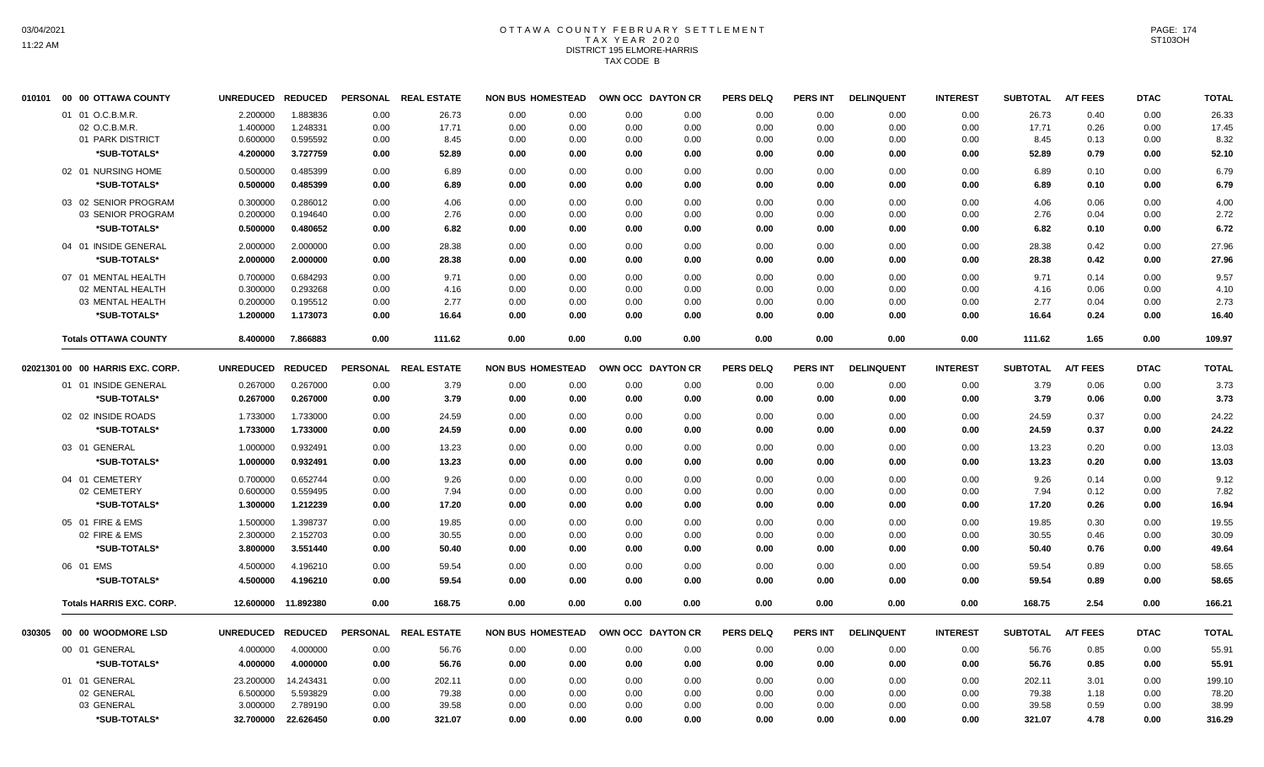## OTTAWA COUNTY FEBRUARY SETTLEMENT TAX YEAR 2020 DISTRICT 195 ELMORE-HARRIS TAX CODE B

| 010101 | 00 00 OTTAWA COUNTY              | UNREDUCED REDUCED |                     |      | PERSONAL REAL ESTATE | <b>NON BUS HOMESTEAD</b> | OWN OCC DAYTON CR |      | <b>PERS DELQ</b> | <b>PERS INT</b> | <b>DELINQUENT</b> | <b>INTEREST</b> | <b>SUBTOTAL</b> | A/T FEES        | <b>DTAC</b> | <b>TOTAL</b> |
|--------|----------------------------------|-------------------|---------------------|------|----------------------|--------------------------|-------------------|------|------------------|-----------------|-------------------|-----------------|-----------------|-----------------|-------------|--------------|
|        | 01 01 O.C.B.M.R.                 | 2.200000          | 1.883836            | 0.00 | 26.73                | 0.00<br>0.00             | 0.00              | 0.00 | 0.00             | 0.00            | 0.00              | 0.00            | 26.73           | 0.40            | 0.00        | 26.33        |
|        | 02 O.C.B.M.R                     | 1.400000          | 1.248331            | 0.00 | 17.71                | 0.00<br>0.00             | 0.00              | 0.00 | 0.00             | 0.00            | 0.00              | 0.00            | 17.71           | 0.26            | 0.00        | 17.45        |
|        | 01 PARK DISTRICT                 | 0.600000          | 0.595592            | 0.00 | 8.45                 | 0.00<br>0.00             | 0.00              | 0.00 | 0.00             | 0.00            | 0.00              | 0.00            | 8.45            | 0.13            | 0.00        | 8.32         |
|        | *SUB-TOTALS*                     | 4.200000          | 3.727759            | 0.00 | 52.89                | 0.00<br>0.00             | 0.00              | 0.00 | 0.00             | 0.00            | 0.00              | 0.00            | 52.89           | 0.79            | 0.00        | 52.10        |
|        | 02 01 NURSING HOME               | 0.500000          | 0.485399            | 0.00 | 6.89                 | 0.00<br>0.00             | 0.00              | 0.00 | 0.00             | 0.00            | 0.00              | 0.00            | 6.89            | 0.10            | 0.00        | 6.79         |
|        | *SUB-TOTALS*                     | 0.500000          | 0.485399            | 0.00 | 6.89                 | 0.00<br>0.00             | 0.00              | 0.00 | 0.00             | 0.00            | 0.00              | 0.00            | 6.89            | 0.10            | 0.00        | 6.79         |
|        | 03 02 SENIOR PROGRAM             | 0.300000          | 0.286012            | 0.00 | 4.06                 | 0.00<br>0.00             | 0.00              | 0.00 | 0.00             | 0.00            | 0.00              | 0.00            | 4.06            | 0.06            | 0.00        | 4.00         |
|        | 03 SENIOR PROGRAM                | 0.200000          | 0.194640            | 0.00 | 2.76                 | 0.00<br>0.00             | 0.00              | 0.00 | 0.00             | 0.00            | 0.00              | 0.00            | 2.76            | 0.04            | 0.00        | 2.72         |
|        | *SUB-TOTALS*                     | 0.500000          | 0.480652            | 0.00 | 6.82                 | 0.00<br>0.00             | 0.00              | 0.00 | 0.00             | 0.00            | 0.00              | 0.00            | 6.82            | 0.10            | 0.00        | 6.72         |
|        | 04 01 INSIDE GENERAL             | 2.000000          | 2.000000            | 0.00 | 28.38                | 0.00<br>0.00             | 0.00              | 0.00 | 0.00             | 0.00            | 0.00              | 0.00            | 28.38           | 0.42            | 0.00        | 27.96        |
|        | *SUB-TOTALS*                     | 2.000000          | 2.000000            | 0.00 | 28.38                | 0.00<br>0.00             | 0.00              | 0.00 | 0.00             | 0.00            | 0.00              | 0.00            | 28.38           | 0.42            | 0.00        | 27.96        |
|        | 07 01 MENTAL HEALTH              | 0.700000          | 0.684293            | 0.00 | 9.71                 | 0.00<br>0.00             | 0.00              | 0.00 | 0.00             | 0.00            | 0.00              | 0.00            | 9.71            | 0.14            | 0.00        | 9.57         |
|        | 02 MENTAL HEALTH                 | 0.300000          | 0.293268            | 0.00 | 4.16                 | 0.00<br>0.00             | 0.00              | 0.00 | 0.00             | 0.00            | 0.00              | 0.00            | 4.16            | 0.06            | 0.00        | 4.10         |
|        | 03 MENTAL HEALTH                 | 0.200000          | 0.195512            | 0.00 | 2.77                 | 0.00<br>0.00             | 0.00              | 0.00 | 0.00             | 0.00            | 0.00              | 0.00            | 2.77            | 0.04            | 0.00        | 2.73         |
|        | *SUB-TOTALS*                     | 1.200000          | 1.173073            | 0.00 | 16.64                | 0.00<br>0.00             | 0.00              | 0.00 | 0.00             | 0.00            | 0.00              | 0.00            | 16.64           | 0.24            | 0.00        | 16.40        |
|        | <b>Totals OTTAWA COUNTY</b>      | 8.400000          | 7.866883            | 0.00 | 111.62               | 0.00<br>0.00             | 0.00              | 0.00 | 0.00             | 0.00            | 0.00              | 0.00            | 111.62          | 1.65            | 0.00        | 109.97       |
|        |                                  |                   |                     |      |                      |                          |                   |      |                  |                 |                   |                 |                 |                 |             |              |
|        | 02021301 00 00 HARRIS EXC. CORP. | UNREDUCED REDUCED |                     |      | PERSONAL REAL ESTATE | <b>NON BUS HOMESTEAD</b> | OWN OCC DAYTON CR |      | <b>PERS DELQ</b> | <b>PERS INT</b> | <b>DELINQUENT</b> | <b>INTEREST</b> | <b>SUBTOTAL</b> | <b>A/T FEES</b> | <b>DTAC</b> | <b>TOTAL</b> |
|        | 01 01 INSIDE GENERAL             | 0.267000          | 0.267000            | 0.00 | 3.79                 | 0.00<br>0.00             | 0.00              | 0.00 | 0.00             | 0.00            | 0.00              | 0.00            | 3.79            | 0.06            | 0.00        | 3.73         |
|        | *SUB-TOTALS*                     | 0.267000          | 0.267000            | 0.00 | 3.79                 | 0.00<br>0.00             | 0.00              | 0.00 | 0.00             | 0.00            | 0.00              | 0.00            | 3.79            | 0.06            | 0.00        | 3.73         |
|        | 02 02 INSIDE ROADS               | 1.733000          | 1.733000            | 0.00 | 24.59                | 0.00<br>0.00             | 0.00              | 0.00 | 0.00             | 0.00            | 0.00              | 0.00            | 24.59           | 0.37            | 0.00        | 24.22        |
|        | *SUB-TOTALS*                     | 1.733000          | 1.733000            | 0.00 | 24.59                | 0.00<br>0.00             | 0.00              | 0.00 | 0.00             | 0.00            | 0.00              | 0.00            | 24.59           | 0.37            | 0.00        | 24.22        |
|        | 03 01 GENERAL                    | 1.000000          | 0.932491            | 0.00 | 13.23                | 0.00<br>0.00             | 0.00              | 0.00 | 0.00             | 0.00            | 0.00              | 0.00            | 13.23           | 0.20            | 0.00        | 13.03        |
|        | *SUB-TOTALS*                     | 1.000000          | 0.932491            | 0.00 | 13.23                | 0.00<br>0.00             | 0.00              | 0.00 | 0.00             | 0.00            | 0.00              | 0.00            | 13.23           | 0.20            | 0.00        | 13.03        |
|        | 04 01 CEMETERY                   | 0.700000          | 0.652744            | 0.00 | 9.26                 | 0.00<br>0.00             | 0.00              | 0.00 | 0.00             | 0.00            | 0.00              | 0.00            | 9.26            | 0.14            | 0.00        | 9.12         |
|        | 02 CEMETERY                      | 0.600000          | 0.559495            | 0.00 | 7.94                 | 0.00<br>0.00             | 0.00              | 0.00 | 0.00             | 0.00            | 0.00              | 0.00            | 7.94            | 0.12            | 0.00        | 7.82         |
|        | *SUB-TOTALS*                     | 1.300000          | 1.212239            | 0.00 | 17.20                | 0.00<br>0.00             | 0.00              | 0.00 | 0.00             | 0.00            | 0.00              | 0.00            | 17.20           | 0.26            | 0.00        | 16.94        |
|        | 05 01 FIRE & EMS                 | 1.500000          | 1.398737            | 0.00 | 19.85                | 0.00<br>0.00             | 0.00              | 0.00 | 0.00             | 0.00            | 0.00              | 0.00            | 19.85           | 0.30            | 0.00        | 19.55        |
|        | 02 FIRE & EMS                    | 2.300000          | 2.152703            | 0.00 | 30.55                | 0.00<br>0.00             | 0.00              | 0.00 | 0.00             | 0.00            | 0.00              | 0.00            | 30.55           | 0.46            | 0.00        | 30.09        |
|        | *SUB-TOTALS*                     | 3.800000          | 3.551440            | 0.00 | 50.40                | 0.00<br>0.00             | 0.00              | 0.00 | 0.00             | 0.00            | 0.00              | 0.00            | 50.40           | 0.76            | 0.00        | 49.64        |
|        | 06 01 EMS                        | 4.500000          | 4.196210            | 0.00 | 59.54                | 0.00<br>0.00             | 0.00              | 0.00 | 0.00             | 0.00            | 0.00              | 0.00            | 59.54           | 0.89            | 0.00        | 58.65        |
|        | *SUB-TOTALS*                     | 4.500000          | 4.196210            | 0.00 | 59.54                | 0.00<br>0.00             | 0.00              | 0.00 | 0.00             | 0.00            | 0.00              | 0.00            | 59.54           | 0.89            | 0.00        | 58.65        |
|        | <b>Totals HARRIS EXC. CORP.</b>  |                   | 12.600000 11.892380 | 0.00 | 168.75               | 0.00<br>0.00             | 0.00              | 0.00 | 0.00             | 0.00            | 0.00              | 0.00            | 168.75          | 2.54            | 0.00        | 166.21       |
|        | 030305 00 00 WOODMORE LSD        | UNREDUCED REDUCED |                     |      | PERSONAL REAL ESTATE | <b>NON BUS HOMESTEAD</b> | OWN OCC DAYTON CR |      | <b>PERS DELQ</b> | PERS INT        | <b>DELINQUENT</b> | <b>INTEREST</b> | <b>SUBTOTAL</b> | <b>A/T FEES</b> | <b>DTAC</b> | <b>TOTAL</b> |
|        | 00 01 GENERAL                    | 4.000000          | 4.000000            | 0.00 | 56.76                | 0.00<br>0.00             | 0.00              | 0.00 | 0.00             | 0.00            | 0.00              | 0.00            | 56.76           | 0.85            | 0.00        | 55.91        |
|        | *SUB-TOTALS*                     | 4.000000          | 4.000000            | 0.00 | 56.76                | 0.00<br>0.00             | 0.00              | 0.00 | 0.00             | 0.00            | 0.00              | 0.00            | 56.76           | 0.85            | 0.00        | 55.91        |
|        | 01 01 GENERAL                    | 23.200000         | 14.243431           | 0.00 | 202.11               | 0.00<br>0.00             | 0.00              | 0.00 | 0.00             | 0.00            | 0.00              | 0.00            | 202.11          | 3.01            | 0.00        | 199.10       |
|        | 02 GENERAL                       | 6.500000          | 5.593829            | 0.00 | 79.38                | 0.00<br>0.00             | 0.00              | 0.00 | 0.00             | 0.00            | 0.00              | 0.00            | 79.38           | 1.18            | 0.00        | 78.20        |
|        | 03 GENERAL                       | 3.000000          | 2.789190            | 0.00 | 39.58                | 0.00<br>0.00             | 0.00              | 0.00 | 0.00             | 0.00            | 0.00              | 0.00            | 39.58           | 0.59            | 0.00        | 38.99        |
|        | *SUB-TOTALS*                     | 32.700000         | 22.626450           | 0.00 | 321.07               | 0.00<br>0.00             | 0.00              | 0.00 | 0.00             | 0.00            | 0.00              | 0.00            | 321.07          | 4.78            | 0.00        | 316.29       |
|        |                                  |                   |                     |      |                      |                          |                   |      |                  |                 |                   |                 |                 |                 |             |              |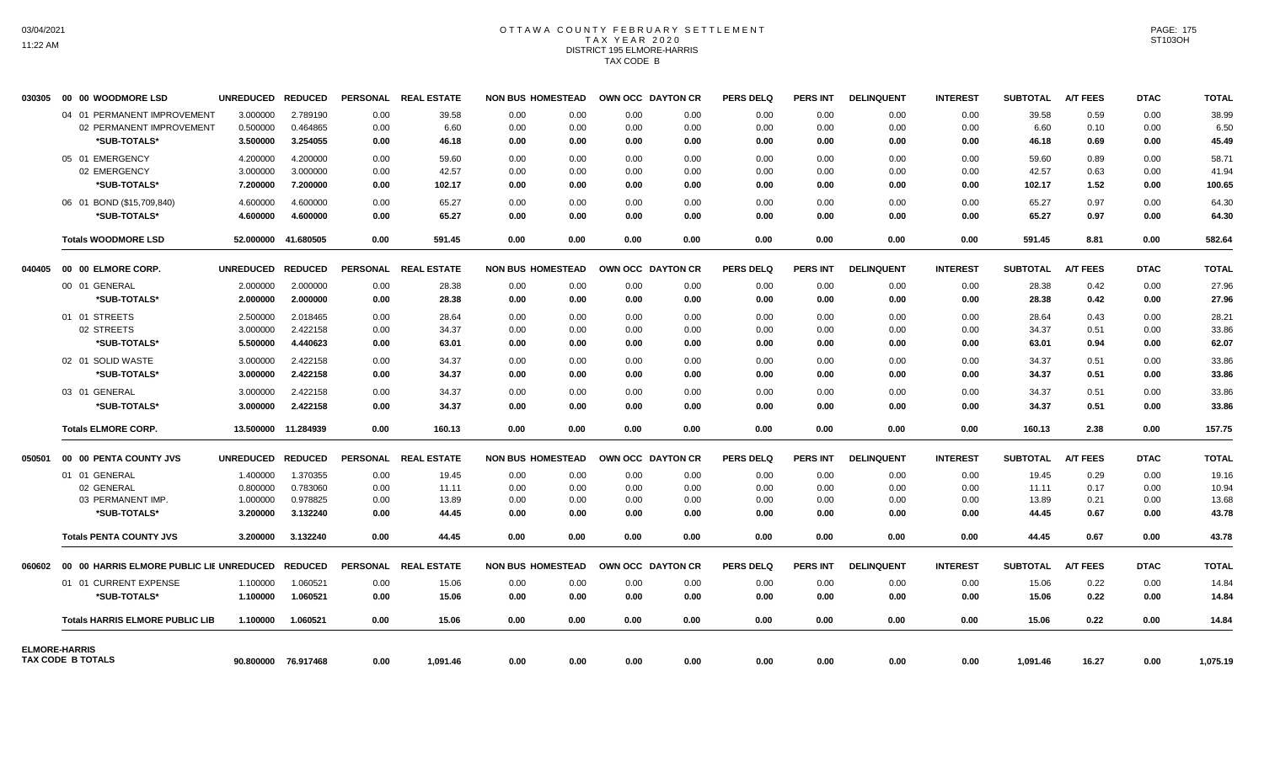## OTTAWA COUNTY FEBRUARY SETTLEMENT TAX YEAR 2020 DISTRICT 195 ELMORE-HARRIS TAX CODE B

|        |                                        | UNREDUCED REDUCED |                     |                 | PERSONAL REAL ESTATE | <b>NON BUS HOMESTEAD</b> |      | OWN OCC DAYTON CR | <b>PERS DELQ</b> | <b>PERS INT</b> | <b>DELINQUENT</b> | <b>INTEREST</b> | <b>SUBTOTAL</b> | <b>A/T FEES</b> | <b>DTAC</b> | <b>TOTAL</b> |
|--------|----------------------------------------|-------------------|---------------------|-----------------|----------------------|--------------------------|------|-------------------|------------------|-----------------|-------------------|-----------------|-----------------|-----------------|-------------|--------------|
|        | 04 01 PERMANENT IMPROVEMENT            | 3.000000          | 2.789190            | 0.00            | 39.58                | 0.00<br>0.00             | 0.00 | 0.00              | 0.00             | 0.00            | 0.00              | 0.00            | 39.58           | 0.59            | 0.00        | 38.99        |
|        | 02 PERMANENT IMPROVEMENT               | 0.500000          | 0.464865            | 0.00            | 6.60                 | 0.00<br>0.00             | 0.00 | 0.00              | 0.00             | 0.00            | 0.00              | 0.00            | 6.60            | 0.10            | 0.00        | 6.50         |
|        | *SUB-TOTALS*                           | 3.500000          | 3.254055            | 0.00            | 46.18                | 0.00<br>0.00             | 0.00 | 0.00              | 0.00             | 0.00            | 0.00              | 0.00            | 46.18           | 0.69            | 0.00        | 45.49        |
|        | 05 01 EMERGENCY                        | 4.200000          | 4.200000            | 0.00            | 59.60                | 0.00<br>0.00             | 0.00 | 0.00              | 0.00             | 0.00            | 0.00              | 0.00            | 59.60           | 0.89            | 0.00        | 58.71        |
|        | 02 EMERGENCY                           | 3.000000          | 3.000000            | 0.00            | 42.57                | 0.00<br>0.00             | 0.00 | 0.00              | 0.00             | 0.00            | 0.00              | 0.00            | 42.57           | 0.63            | 0.00        | 41.94        |
|        | *SUB-TOTALS*                           | 7.200000          | 7.200000            | 0.00            | 102.17               | 0.00<br>0.00             | 0.00 | 0.00              | 0.00             | 0.00            | 0.00              | 0.00            | 102.17          | 1.52            | 0.00        | 100.65       |
|        | 06 01 BOND (\$15,709,840)              | 4.600000          | 4.600000            | 0.00            | 65.27                | 0.00<br>0.00             | 0.00 | 0.00              | 0.00             | 0.00            | 0.00              | 0.00            | 65.27           | 0.97            | 0.00        | 64.30        |
|        | *SUB-TOTALS*                           | 4.600000          | 4.600000            | 0.00            | 65.27                | 0.00<br>0.00             | 0.00 | 0.00              | 0.00             | 0.00            | 0.00              | 0.00            | 65.27           | 0.97            | 0.00        | 64.30        |
|        | <b>Totals WOODMORE LSD</b>             | 52.000000         | 41.680505           | 0.00            | 591.45               | 0.00<br>0.00             | 0.00 | 0.00              | 0.00             | 0.00            | 0.00              | 0.00            | 591.45          | 8.81            | 0.00        | 582.64       |
|        |                                        | <b>UNREDUCED</b>  | <b>REDUCED</b>      | <b>PERSONAL</b> | <b>REAL ESTATE</b>   | <b>NON BUS HOMESTEAD</b> |      | OWN OCC DAYTON CR | <b>PERS DELQ</b> | <b>PERS INT</b> | <b>DELINQUENT</b> | <b>INTEREST</b> | <b>SUBTOTAL</b> | <b>A/T FEES</b> | <b>DTAC</b> | <b>TOTAL</b> |
|        | 00 01 GENERAL                          | 2.000000          | 2.000000            | 0.00            | 28.38                | 0.00<br>0.00             | 0.00 | 0.00              | 0.00             | 0.00            | 0.00              | 0.00            | 28.38           | 0.42            | 0.00        | 27.96        |
|        | *SUB-TOTALS*                           | 2.000000          | 2.000000            | 0.00            | 28.38                | 0.00<br>0.00             | 0.00 | 0.00              | 0.00             | 0.00            | 0.00              | 0.00            | 28.38           | 0.42            | 0.00        | 27.96        |
|        | 01 01 STREETS                          | 2.500000          | 2.018465            | 0.00            | 28.64                | 0.00<br>0.00             | 0.00 | 0.00              | 0.00             | 0.00            | 0.00              | 0.00            | 28.64           | 0.43            | 0.00        | 28.21        |
|        | 02 STREETS                             | 3.000000          | 2.422158            | 0.00            | 34.37                | 0.00<br>0.00             | 0.00 | 0.00              | 0.00             | 0.00            | 0.00              | 0.00            | 34.37           | 0.51            | 0.00        | 33.86        |
|        | *SUB-TOTALS*                           | 5.500000          | 4.440623            | 0.00            | 63.01                | 0.00<br>0.00             | 0.00 | 0.00              | 0.00             | 0.00            | 0.00              | 0.00            | 63.01           | 0.94            | 0.00        | 62.07        |
|        | 02 01 SOLID WASTE                      | 3.000000          | 2.422158            | 0.00            | 34.37                | 0.00<br>0.00             | 0.00 | 0.00              | 0.00             | 0.00            | 0.00              | 0.00            | 34.37           | 0.51            | 0.00        | 33.86        |
|        | *SUB-TOTALS*                           | 3.000000          | 2.422158            | 0.00            | 34.37                | 0.00<br>0.00             | 0.00 | 0.00              | 0.00             | 0.00            | 0.00              | 0.00            | 34.37           | 0.51            | 0.00        | 33.86        |
|        | 03 01 GENERAL                          | 3.000000          | 2.422158            | 0.00            | 34.37                | 0.00<br>0.00             | 0.00 | 0.00              | 0.00             | 0.00            | 0.00              | 0.00            | 34.37           | 0.51            | 0.00        | 33.86        |
|        | *SUB-TOTALS*                           | 3.000000          | 2.422158            | 0.00            | 34.37                | 0.00<br>0.00             | 0.00 | 0.00              | 0.00             | 0.00            | 0.00              | 0.00            | 34.37           | 0.51            | 0.00        | 33.86        |
|        | <b>Totals ELMORE CORP.</b>             |                   | 13.500000 11.284939 | 0.00            | 160.13               | 0.00<br>0.00             | 0.00 | 0.00              | 0.00             | 0.00            | 0.00              | 0.00            | 160.13          | 2.38            | 0.00        | 157.75       |
| 050501 | 00 00 PENTA COUNTY JVS                 | UNREDUCED REDUCED |                     |                 | PERSONAL REAL ESTATE | <b>NON BUS HOMESTEAD</b> |      | OWN OCC DAYTON CR | <b>PERS DELQ</b> | <b>PERS INT</b> | <b>DELINQUENT</b> | <b>INTEREST</b> | <b>SUBTOTAL</b> | <b>A/T FEES</b> | <b>DTAC</b> | <b>TOTAL</b> |
|        | 01 01 GENERAL                          | 1.400000          | 1.370355            | 0.00            | 19.45                | 0.00<br>0.00             | 0.00 | 0.00              | 0.00             | 0.00            | 0.00              | 0.00            | 19.45           | 0.29            | 0.00        | 19.16        |
|        | 02 GENERAL                             | 0.800000          | 0.783060            | 0.00            | 11.11                | 0.00<br>0.00             | 0.00 | 0.00              | 0.00             | 0.00            | 0.00              | 0.00            | 11.11           | 0.17            | 0.00        | 10.94        |
|        | 03 PERMANENT IMP.                      | 1.000000          | 0.978825            | 0.00            | 13.89                | 0.00<br>0.00             | 0.00 | 0.00              | 0.00             | 0.00            | 0.00              | 0.00            | 13.89           | 0.21            | 0.00        | 13.68        |
|        | *SUB-TOTALS*                           | 3.200000          | 3.132240            | 0.00            | 44.45                | 0.00<br>0.00             | 0.00 | 0.00              | 0.00             | 0.00            | 0.00              | 0.00            | 44.45           | 0.67            | 0.00        | 43.78        |
|        | <b>Totals PENTA COUNTY JVS</b>         | 3.200000          | 3.132240            | 0.00            | 44.45                | 0.00<br>0.00             | 0.00 | 0.00              | 0.00             | 0.00            | 0.00              | 0.00            | 44.45           | 0.67            | 0.00        | 43.78        |
|        |                                        |                   |                     | <b>PERSONAL</b> | <b>REAL ESTATE</b>   | <b>NON BUS HOMESTEAD</b> |      | OWN OCC DAYTON CR | <b>PERS DELQ</b> | <b>PERS INT</b> | <b>DELINQUENT</b> | <b>INTEREST</b> | <b>SUBTOTAL</b> | <b>A/T FEES</b> | <b>DTAC</b> | <b>TOTAL</b> |
|        | 01 01 CURRENT EXPENSE                  | 1.100000          | 1.060521            | 0.00            | 15.06                | 0.00<br>0.00             | 0.00 | 0.00              | 0.00             | 0.00            | 0.00              | 0.00            | 15.06           | 0.22            | 0.00        | 14.84        |
|        | *SUB-TOTALS*                           | 1.100000          | 1.060521            | 0.00            | 15.06                | 0.00<br>0.00             | 0.00 | 0.00              | 0.00             | 0.00            | 0.00              | 0.00            | 15.06           | 0.22            | 0.00        | 14.84        |
|        | <b>Totals HARRIS ELMORE PUBLIC LIB</b> | 1.100000          | 1.060521            | 0.00            | 15.06                | 0.00<br>0.00             | 0.00 | 0.00              | 0.00             | 0.00            | 0.00              | 0.00            | 15.06           | 0.22            | 0.00        | 14.84        |
|        | <b>ELMORE-HARRIS</b>                   |                   |                     |                 |                      |                          |      |                   |                  |                 |                   |                 |                 |                 |             |              |
|        | TAX CODE B TOTALS                      |                   | 90.800000 76.917468 | 0.00            | 1,091.46             | 0.00<br>0.00             | 0.00 | 0.00              | 0.00             | 0.00            | 0.00              | 0.00            | 1,091.46        | 16.27           | 0.00        | 1,075.19     |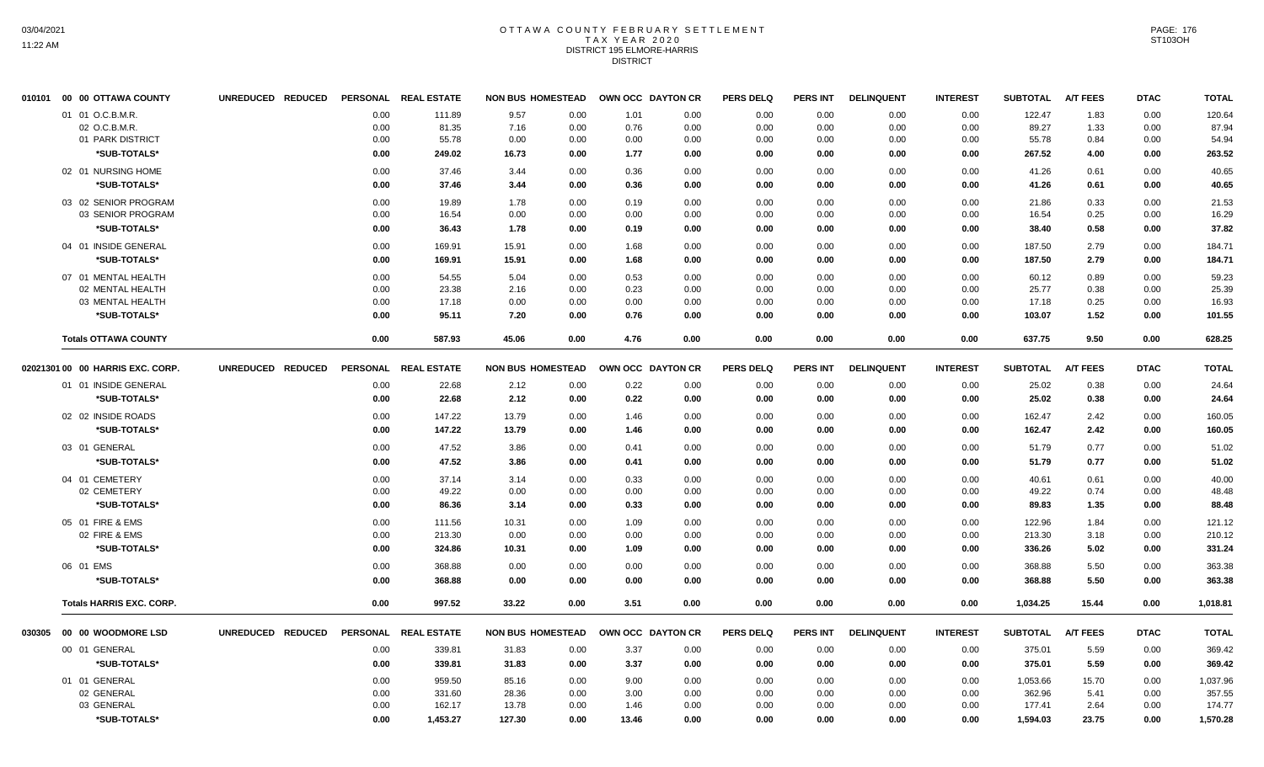#### OTTAWA COUNTY FEBRUARY SETTLEMENT T A X Y E A R 2 0 2 0 DISTRICT 195 ELMORE-HARRIS **DISTRICT**

|        | 010101 00 00 OTTAWA COUNTY       | UNREDUCED REDUCED |      | PERSONAL REAL ESTATE | <b>NON BUS HOMESTEAD</b> |      |       | OWN OCC DAYTON CR | <b>PERS DELQ</b> | <b>PERS INT</b> | <b>DELINQUENT</b> | <b>INTEREST</b> | <b>SUBTOTAL</b> | <b>A/T FEES</b> | <b>DTAC</b> | <b>TOTAL</b> |
|--------|----------------------------------|-------------------|------|----------------------|--------------------------|------|-------|-------------------|------------------|-----------------|-------------------|-----------------|-----------------|-----------------|-------------|--------------|
|        | 01 01 O.C.B.M.R.                 |                   | 0.00 | 111.89               | 9.57                     | 0.00 | 1.01  | 0.00              | 0.00             | 0.00            | 0.00              | 0.00            | 122.47          | 1.83            | 0.00        | 120.64       |
|        | 02 O.C.B.M.R.                    |                   | 0.00 | 81.35                | 7.16                     | 0.00 | 0.76  | 0.00              | 0.00             | 0.00            | 0.00              | 0.00            | 89.27           | 1.33            | 0.00        | 87.94        |
|        | 01 PARK DISTRICT                 |                   | 0.00 | 55.78                | 0.00                     | 0.00 | 0.00  | 0.00              | 0.00             | 0.00            | 0.00              | 0.00            | 55.78           | 0.84            | 0.00        | 54.94        |
|        | *SUB-TOTALS*                     |                   | 0.00 | 249.02               | 16.73                    | 0.00 | 1.77  | 0.00              | 0.00             | 0.00            | 0.00              | 0.00            | 267.52          | 4.00            | 0.00        | 263.52       |
|        | 02 01 NURSING HOME               |                   | 0.00 | 37.46                | 3.44                     | 0.00 | 0.36  | 0.00              | 0.00             | 0.00            | 0.00              | 0.00            | 41.26           | 0.61            | 0.00        | 40.65        |
|        | *SUB-TOTALS*                     |                   | 0.00 | 37.46                | 3.44                     | 0.00 | 0.36  | 0.00              | 0.00             | 0.00            | 0.00              | 0.00            | 41.26           | 0.61            | 0.00        | 40.65        |
|        | 03 02 SENIOR PROGRAM             |                   | 0.00 | 19.89                | 1.78                     | 0.00 | 0.19  | 0.00              | 0.00             | 0.00            | 0.00              | 0.00            | 21.86           | 0.33            | 0.00        | 21.53        |
|        | 03 SENIOR PROGRAM                |                   | 0.00 | 16.54                | 0.00                     | 0.00 | 0.00  | 0.00              | 0.00             | 0.00            | 0.00              | 0.00            | 16.54           | 0.25            | 0.00        | 16.29        |
|        | *SUB-TOTALS*                     |                   | 0.00 | 36.43                | 1.78                     | 0.00 | 0.19  | 0.00              | 0.00             | 0.00            | 0.00              | 0.00            | 38.40           | 0.58            | 0.00        | 37.82        |
|        | 04 01 INSIDE GENERAL             |                   | 0.00 | 169.91               | 15.91                    | 0.00 | 1.68  | 0.00              | 0.00             | 0.00            | 0.00              | 0.00            | 187.50          | 2.79            | 0.00        | 184.71       |
|        | *SUB-TOTALS*                     |                   | 0.00 | 169.91               | 15.91                    | 0.00 | 1.68  | 0.00              | 0.00             | 0.00            | 0.00              | 0.00            | 187.50          | 2.79            | 0.00        | 184.71       |
|        | 07 01 MENTAL HEALTH              |                   | 0.00 | 54.55                | 5.04                     | 0.00 | 0.53  | 0.00              | 0.00             | 0.00            | 0.00              | 0.00            | 60.12           | 0.89            | 0.00        | 59.23        |
|        | 02 MENTAL HEALTH                 |                   | 0.00 | 23.38                | 2.16                     | 0.00 | 0.23  | 0.00              | 0.00             | 0.00            | 0.00              | 0.00            | 25.77           | 0.38            | 0.00        | 25.39        |
|        | 03 MENTAL HEALTH                 |                   | 0.00 | 17.18                | 0.00                     | 0.00 | 0.00  | 0.00              | 0.00             | 0.00            | 0.00              | 0.00            | 17.18           | 0.25            | 0.00        | 16.93        |
|        | *SUB-TOTALS*                     |                   | 0.00 | 95.11                | 7.20                     | 0.00 | 0.76  | 0.00              | 0.00             | 0.00            | 0.00              | 0.00            | 103.07          | 1.52            | 0.00        | 101.55       |
|        | <b>Totals OTTAWA COUNTY</b>      |                   | 0.00 | 587.93               | 45.06                    | 0.00 | 4.76  | 0.00              | 0.00             | 0.00            | 0.00              | 0.00            | 637.75          | 9.50            | 0.00        | 628.25       |
|        | 02021301 00 00 HARRIS EXC. CORP. | UNREDUCED REDUCED |      | PERSONAL REAL ESTATE | <b>NON BUS HOMESTEAD</b> |      |       | OWN OCC DAYTON CR | <b>PERS DELQ</b> | <b>PERS INT</b> | <b>DELINQUENT</b> | <b>INTEREST</b> | <b>SUBTOTAL</b> | <b>A/T FEES</b> | <b>DTAC</b> | <b>TOTAL</b> |
|        | 01 01 INSIDE GENERAL             |                   | 0.00 | 22.68                | 2.12                     | 0.00 | 0.22  | 0.00              | 0.00             | 0.00            | 0.00              | 0.00            | 25.02           | 0.38            | 0.00        | 24.64        |
|        | *SUB-TOTALS*                     |                   | 0.00 | 22.68                | 2.12                     | 0.00 | 0.22  | 0.00              | 0.00             | 0.00            | 0.00              | 0.00            | 25.02           | 0.38            | 0.00        | 24.64        |
|        | 02 02 INSIDE ROADS               |                   | 0.00 | 147.22               | 13.79                    | 0.00 | 1.46  | 0.00              | 0.00             | 0.00            | 0.00              | 0.00            | 162.47          | 2.42            | 0.00        | 160.05       |
|        | *SUB-TOTALS*                     |                   | 0.00 | 147.22               | 13.79                    | 0.00 | 1.46  | 0.00              | 0.00             | 0.00            | 0.00              | 0.00            | 162.47          | 2.42            | 0.00        | 160.05       |
|        | 03 01 GENERAL                    |                   | 0.00 | 47.52                | 3.86                     | 0.00 | 0.41  | 0.00              | 0.00             | 0.00            | 0.00              | 0.00            | 51.79           | 0.77            | 0.00        | 51.02        |
|        | *SUB-TOTALS*                     |                   | 0.00 | 47.52                | 3.86                     | 0.00 | 0.41  | 0.00              | 0.00             | 0.00            | 0.00              | 0.00            | 51.79           | 0.77            | 0.00        | 51.02        |
|        | 04 01 CEMETERY                   |                   | 0.00 | 37.14                | 3.14                     | 0.00 | 0.33  | 0.00              | 0.00             | 0.00            | 0.00              | 0.00            | 40.61           | 0.61            | 0.00        | 40.00        |
|        | 02 CEMETERY                      |                   | 0.00 | 49.22                | 0.00                     | 0.00 | 0.00  | 0.00              | 0.00             | 0.00            | 0.00              | 0.00            | 49.22           | 0.74            | 0.00        | 48.48        |
|        | *SUB-TOTALS*                     |                   | 0.00 | 86.36                | 3.14                     | 0.00 | 0.33  | 0.00              | 0.00             | 0.00            | 0.00              | 0.00            | 89.83           | 1.35            | 0.00        | 88.48        |
|        | 05 01 FIRE & EMS                 |                   | 0.00 | 111.56               | 10.31                    | 0.00 | 1.09  | 0.00              | 0.00             | 0.00            | 0.00              | 0.00            | 122.96          | 1.84            | 0.00        | 121.12       |
|        | 02 FIRE & EMS                    |                   | 0.00 | 213.30               | 0.00                     | 0.00 | 0.00  | 0.00              | 0.00             | 0.00            | 0.00              | 0.00            | 213.30          | 3.18            | 0.00        | 210.12       |
|        | *SUB-TOTALS*                     |                   | 0.00 | 324.86               | 10.31                    | 0.00 | 1.09  | 0.00              | 0.00             | 0.00            | 0.00              | 0.00            | 336.26          | 5.02            | 0.00        | 331.24       |
|        | 06 01 EMS                        |                   | 0.00 | 368.88               | 0.00                     | 0.00 | 0.00  | 0.00              | 0.00             | 0.00            | 0.00              | 0.00            | 368.88          | 5.50            | 0.00        | 363.38       |
|        | *SUB-TOTALS*                     |                   | 0.00 | 368.88               | 0.00                     | 0.00 | 0.00  | 0.00              | 0.00             | 0.00            | 0.00              | 0.00            | 368.88          | 5.50            | 0.00        | 363.38       |
|        | <b>Totals HARRIS EXC. CORP.</b>  |                   | 0.00 | 997.52               | 33.22                    | 0.00 | 3.51  | 0.00              | 0.00             | 0.00            | 0.00              | 0.00            | 1,034.25        | 15.44           | 0.00        | 1,018.81     |
| 030305 | 00 00 WOODMORE LSD               | UNREDUCED REDUCED |      | PERSONAL REAL ESTATE | <b>NON BUS HOMESTEAD</b> |      |       | OWN OCC DAYTON CR | <b>PERS DELQ</b> | PERS INT        | <b>DELINQUENT</b> | <b>INTEREST</b> | <b>SUBTOTAL</b> | <b>A/T FEES</b> | <b>DTAC</b> | <b>TOTAL</b> |
|        | 00 01 GENERAL                    |                   | 0.00 | 339.81               | 31.83                    | 0.00 | 3.37  | 0.00              | 0.00             | 0.00            | 0.00              | 0.00            | 375.01          | 5.59            | 0.00        | 369.42       |
|        | *SUB-TOTALS*                     |                   | 0.00 | 339.81               | 31.83                    | 0.00 | 3.37  | 0.00              | 0.00             | 0.00            | 0.00              | 0.00            | 375.01          | 5.59            | 0.00        | 369.42       |
|        | 01 01 GENERAL                    |                   | 0.00 | 959.50               | 85.16                    | 0.00 | 9.00  | 0.00              | 0.00             | 0.00            | 0.00              | 0.00            | 1,053.66        | 15.70           | 0.00        | 1,037.96     |
|        | 02 GENERAL                       |                   | 0.00 | 331.60               | 28.36                    | 0.00 | 3.00  | 0.00              | 0.00             | 0.00            | 0.00              | 0.00            | 362.96          | 5.41            | 0.00        | 357.55       |
|        | 03 GENERAL                       |                   | 0.00 | 162.17               | 13.78                    | 0.00 | 1.46  | 0.00              | 0.00             | 0.00            | 0.00              | 0.00            | 177.41          | 2.64            | 0.00        | 174.77       |
|        | *SUB-TOTALS*                     |                   | 0.00 | 1,453.27             | 127.30                   | 0.00 | 13.46 | 0.00              | 0.00             | 0.00            | 0.00              | 0.00            | 1,594.03        | 23.75           | 0.00        | 1,570.28     |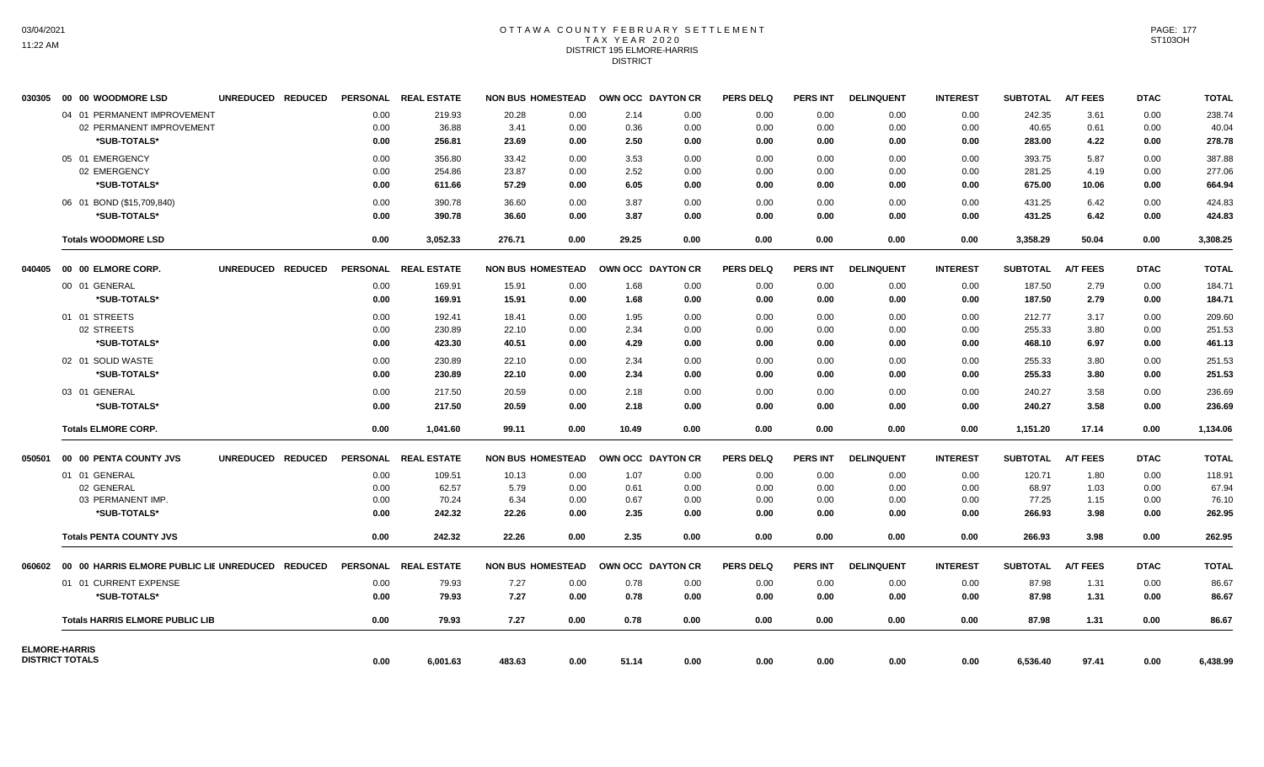## OTTAWA COUNTY FEBRUARY SETTLEMENT TAX YEAR 2020 DISTRICT 195 ELMORE-HARRIS DISTRICT

| 030305 | 00 00 WOODMORE LSD                                      | UNREDUCED REDUCED |      | PERSONAL REAL ESTATE |        | <b>NON BUS HOMESTEAD</b> | OWN OCC DAYTON CR |      | <b>PERS DELQ</b> | <b>PERS INT</b> | <b>DELINQUENT</b> | <b>INTEREST</b> | <b>SUBTOTAL</b> | <b>A/T FEES</b> | <b>DTAC</b> | <b>TOTAL</b> |
|--------|---------------------------------------------------------|-------------------|------|----------------------|--------|--------------------------|-------------------|------|------------------|-----------------|-------------------|-----------------|-----------------|-----------------|-------------|--------------|
|        | 04 01 PERMANENT IMPROVEMENT                             |                   | 0.00 | 219.93               | 20.28  | 0.00                     | 2.14              | 0.00 | 0.00             | 0.00            | 0.00              | 0.00            | 242.35          | 3.61            | 0.00        | 238.74       |
|        | 02 PERMANENT IMPROVEMENT                                |                   | 0.00 | 36.88                | 3.41   | 0.00                     | 0.36              | 0.00 | 0.00             | 0.00            | 0.00              | 0.00            | 40.65           | 0.61            | 0.00        | 40.04        |
|        | *SUB-TOTALS*                                            |                   | 0.00 | 256.81               | 23.69  | 0.00                     | 2.50              | 0.00 | 0.00             | 0.00            | 0.00              | 0.00            | 283.00          | 4.22            | 0.00        | 278.78       |
|        | 05 01 EMERGENCY                                         |                   | 0.00 | 356.80               | 33.42  | 0.00                     | 3.53              | 0.00 | 0.00             | 0.00            | 0.00              | 0.00            | 393.75          | 5.87            | 0.00        | 387.88       |
|        | 02 EMERGENCY                                            |                   | 0.00 | 254.86               | 23.87  | 0.00                     | 2.52              | 0.00 | 0.00             | 0.00            | 0.00              | 0.00            | 281.25          | 4.19            | 0.00        | 277.06       |
|        | *SUB-TOTALS*                                            |                   | 0.00 | 611.66               | 57.29  | 0.00                     | 6.05              | 0.00 | 0.00             | 0.00            | 0.00              | 0.00            | 675.00          | 10.06           | 0.00        | 664.94       |
|        | 06 01 BOND (\$15,709,840)                               |                   | 0.00 | 390.78               | 36.60  | 0.00                     | 3.87              | 0.00 | 0.00             | 0.00            | 0.00              | 0.00            | 431.25          | 6.42            | 0.00        | 424.83       |
|        | *SUB-TOTALS*                                            |                   | 0.00 | 390.78               | 36.60  | 0.00                     | 3.87              | 0.00 | 0.00             | 0.00            | 0.00              | 0.00            | 431.25          | 6.42            | 0.00        | 424.83       |
|        | <b>Totals WOODMORE LSD</b>                              |                   | 0.00 | 3,052.33             | 276.71 | 0.00                     | 29.25             | 0.00 | 0.00             | 0.00            | 0.00              | 0.00            | 3,358.29        | 50.04           | 0.00        | 3,308.25     |
|        |                                                         | UNREDUCED REDUCED |      | PERSONAL REAL ESTATE |        | <b>NON BUS HOMESTEAD</b> | OWN OCC DAYTON CR |      | <b>PERS DELQ</b> | <b>PERS INT</b> | <b>DELINQUENT</b> | <b>INTEREST</b> | <b>SUBTOTAL</b> | <b>A/T FEES</b> | <b>DTAC</b> | <b>TOTAL</b> |
|        | 00 01 GENERAL                                           |                   | 0.00 | 169.91               | 15.91  | 0.00                     | 1.68              | 0.00 | 0.00             | 0.00            | 0.00              | 0.00            | 187.50          | 2.79            | 0.00        | 184.71       |
|        | *SUB-TOTALS*                                            |                   | 0.00 | 169.91               | 15.91  | 0.00                     | 1.68              | 0.00 | 0.00             | 0.00            | 0.00              | 0.00            | 187.50          | 2.79            | 0.00        | 184.71       |
|        | 01 01 STREETS                                           |                   | 0.00 | 192.41               | 18.41  | 0.00                     | 1.95              | 0.00 | 0.00             | 0.00            | 0.00              | 0.00            | 212.77          | 3.17            | 0.00        | 209.60       |
|        | 02 STREETS                                              |                   | 0.00 | 230.89               | 22.10  | 0.00                     | 2.34              | 0.00 | 0.00             | 0.00            | 0.00              | 0.00            | 255.33          | 3.80            | 0.00        | 251.53       |
|        | *SUB-TOTALS*                                            |                   | 0.00 | 423.30               | 40.51  | 0.00                     | 4.29              | 0.00 | 0.00             | 0.00            | 0.00              | 0.00            | 468.10          | 6.97            | 0.00        | 461.13       |
|        | 02 01 SOLID WASTE                                       |                   | 0.00 | 230.89               | 22.10  | 0.00                     | 2.34              | 0.00 | 0.00             | 0.00            | 0.00              | 0.00            | 255.33          | 3.80            | 0.00        | 251.53       |
|        | *SUB-TOTALS*                                            |                   | 0.00 | 230.89               | 22.10  | 0.00                     | 2.34              | 0.00 | 0.00             | 0.00            | 0.00              | 0.00            | 255.33          | 3.80            | 0.00        | 251.53       |
|        | 03 01 GENERAL                                           |                   | 0.00 | 217.50               | 20.59  | 0.00                     | 2.18              | 0.00 | 0.00             | 0.00            | 0.00              | 0.00            | 240.27          | 3.58            | 0.00        | 236.69       |
|        | *SUB-TOTALS*                                            |                   | 0.00 | 217.50               | 20.59  | 0.00                     | 2.18              | 0.00 | 0.00             | 0.00            | 0.00              | 0.00            | 240.27          | 3.58            | 0.00        | 236.69       |
|        | <b>Totals ELMORE CORP.</b>                              |                   | 0.00 | 1,041.60             | 99.11  | 0.00                     | 10.49             | 0.00 | 0.00             | 0.00            | 0.00              | 0.00            | 1,151.20        | 17.14           | 0.00        | 1,134.06     |
| 050501 | 00 00 PENTA COUNTY JVS                                  | UNREDUCED REDUCED |      | PERSONAL REAL ESTATE |        | <b>NON BUS HOMESTEAD</b> | OWN OCC DAYTON CR |      | <b>PERS DELQ</b> | <b>PERS INT</b> | <b>DELINQUENT</b> | <b>INTEREST</b> | <b>SUBTOTAL</b> | <b>A/T FEES</b> | <b>DTAC</b> | <b>TOTAL</b> |
|        | 01 01 GENERAL                                           |                   | 0.00 | 109.51               | 10.13  | 0.00                     | 1.07              | 0.00 | 0.00             | 0.00            | 0.00              | 0.00            | 120.71          | 1.80            | 0.00        | 118.91       |
|        | 02 GENERAL                                              |                   | 0.00 | 62.57                | 5.79   | 0.00                     | 0.61              | 0.00 | 0.00             | 0.00            | 0.00              | 0.00            | 68.97           | 1.03            | 0.00        | 67.94        |
|        | 03 PERMANENT IMP.                                       |                   | 0.00 | 70.24                | 6.34   | 0.00                     | 0.67              | 0.00 | 0.00             | 0.00            | 0.00              | 0.00            | 77.25           | 1.15            | 0.00        | 76.10        |
|        | *SUB-TOTALS*                                            |                   | 0.00 | 242.32               | 22.26  | 0.00                     | 2.35              | 0.00 | 0.00             | 0.00            | 0.00              | 0.00            | 266.93          | 3.98            | 0.00        | 262.95       |
|        | <b>Totals PENTA COUNTY JVS</b>                          |                   | 0.00 | 242.32               | 22.26  | 0.00                     | 2.35              | 0.00 | 0.00             | 0.00            | 0.00              | 0.00            | 266.93          | 3.98            | 0.00        | 262.95       |
|        | 060602 00 00 HARRIS ELMORE PUBLIC LIE UNREDUCED REDUCED |                   |      | PERSONAL REAL ESTATE |        | <b>NON BUS HOMESTEAD</b> | OWN OCC DAYTON CR |      | <b>PERS DELQ</b> | <b>PERS INT</b> | <b>DELINQUENT</b> | <b>INTEREST</b> | <b>SUBTOTAL</b> | <b>A/T FEES</b> | <b>DTAC</b> | <b>TOTAL</b> |
|        | 01 01 CURRENT EXPENSE                                   |                   | 0.00 | 79.93                | 7.27   | 0.00                     | 0.78              | 0.00 | 0.00             | 0.00            | 0.00              | 0.00            | 87.98           | 1.31            | 0.00        | 86.67        |
|        | *SUB-TOTALS*                                            |                   | 0.00 | 79.93                | 7.27   | 0.00                     | 0.78              | 0.00 | 0.00             | 0.00            | 0.00              | 0.00            | 87.98           | 1.31            | 0.00        | 86.67        |
|        | <b>Totals HARRIS ELMORE PUBLIC LIB</b>                  |                   | 0.00 | 79.93                | 7.27   | 0.00                     | 0.78              | 0.00 | 0.00             | 0.00            | 0.00              | 0.00            | 87.98           | 1.31            | 0.00        | 86.67        |
|        | <b>ELMORE-HARRIS</b><br><b>DISTRICT TOTALS</b>          |                   |      |                      |        |                          |                   |      |                  |                 |                   |                 |                 |                 |             |              |
|        |                                                         |                   | 0.00 | 6,001.63             | 483.63 | 0.00                     | 51.14             | 0.00 | 0.00             | 0.00            | 0.00              | 0.00            | 6,536.40        | 97.41           | 0.00        | 6,438.99     |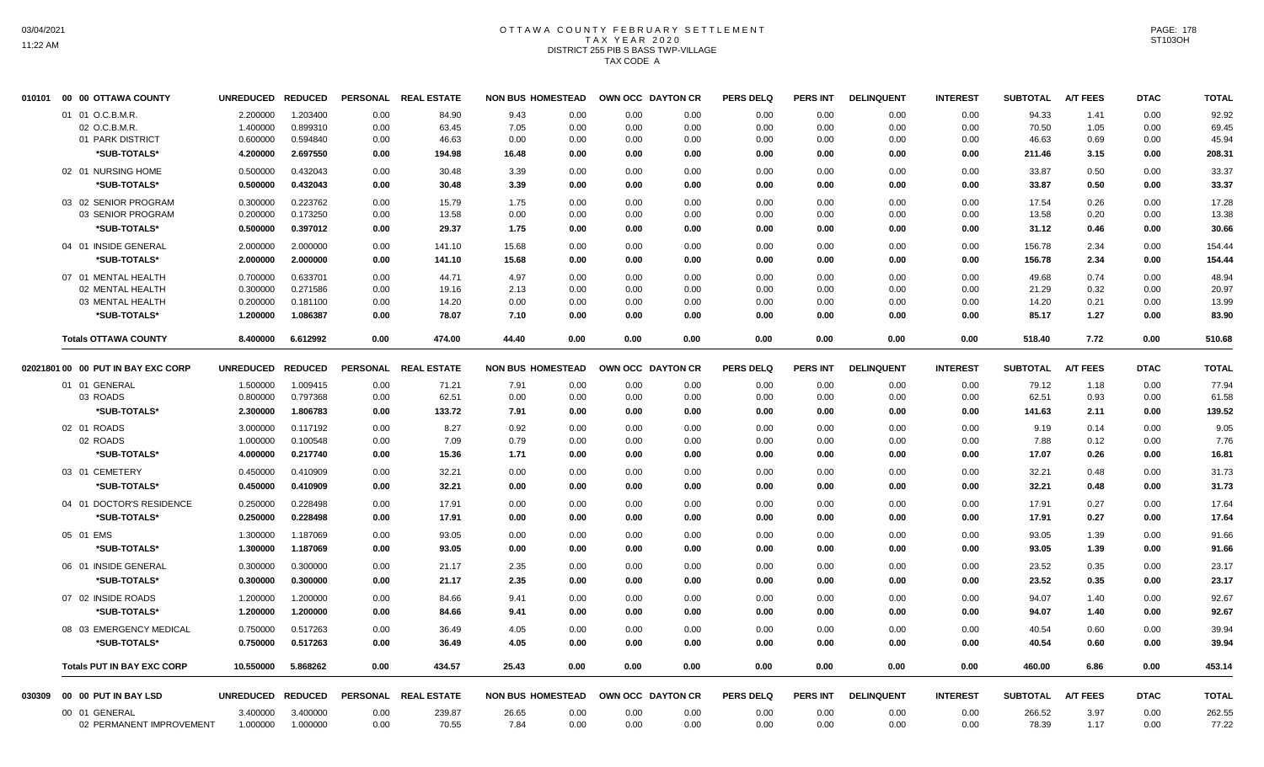# OTTAWA COUNTY FEBRUARY SETTLEMENT TAX YEAR 2020 DISTRICT 255 PIB S BASS TWP-VILLAGE TAX CODE A

| 010101 | 00 00 OTTAWA COUNTY                | <b>UNREDUCED</b> | <b>REDUCED</b> | <b>PERSONAL</b> | <b>REAL ESTATE</b> | <b>NON BUS HOMESTEAD</b> |      |      | OWN OCC DAYTON CR | <b>PERS DELQ</b> | <b>PERS INT</b> | <b>DELINQUENT</b> | <b>INTEREST</b> | <b>SUBTOTAL</b> | <b>A/T FEES</b> | <b>DTAC</b> | <b>TOTAL</b> |
|--------|------------------------------------|------------------|----------------|-----------------|--------------------|--------------------------|------|------|-------------------|------------------|-----------------|-------------------|-----------------|-----------------|-----------------|-------------|--------------|
|        | 01 01 O.C.B.M.R.                   | 2.200000         | 1.203400       | 0.00            | 84.90              | 9.43                     | 0.00 | 0.00 | 0.00              | 0.00             | 0.00            | 0.00              | 0.00            | 94.33           | 1.41            | 0.00        | 92.92        |
|        | 02 O.C.B.M.R.                      | 1.400000         | 0.899310       | 0.00            | 63.45              | 7.05                     | 0.00 | 0.00 | 0.00              | 0.00             | 0.00            | 0.00              | 0.00            | 70.50           | 1.05            | 0.00        | 69.45        |
|        | 01 PARK DISTRICT                   | 0.600000         | 0.594840       | 0.00            | 46.63              | 0.00                     | 0.00 | 0.00 | 0.00              | 0.00             | 0.00            | 0.00              | 0.00            | 46.63           | 0.69            | 0.00        | 45.94        |
|        | *SUB-TOTALS*                       | 4.200000         | 2.697550       | 0.00            | 194.98             | 16.48                    | 0.00 | 0.00 | 0.00              | 0.00             | 0.00            | 0.00              | 0.00            | 211.46          | 3.15            | 0.00        | 208.31       |
|        | 02 01 NURSING HOME                 | 0.500000         | 0.432043       | 0.00            | 30.48              | 3.39                     | 0.00 | 0.00 | 0.00              | 0.00             | 0.00            | 0.00              | 0.00            | 33.87           | 0.50            | 0.00        | 33.37        |
|        | *SUB-TOTALS*                       | 0.500000         | 0.432043       | 0.00            | 30.48              | 3.39                     | 0.00 | 0.00 | 0.00              | 0.00             | 0.00            | 0.00              | 0.00            | 33.87           | 0.50            | 0.00        | 33.37        |
|        | 03 02 SENIOR PROGRAM               | 0.300000         | 0.223762       | 0.00            | 15.79              | 1.75                     | 0.00 | 0.00 | 0.00              | 0.00             | 0.00            | 0.00              | 0.00            | 17.54           | 0.26            | 0.00        | 17.28        |
|        | 03 SENIOR PROGRAM                  | 0.200000         | 0.173250       | 0.00            | 13.58              | 0.00                     | 0.00 | 0.00 | 0.00              | 0.00             | 0.00            | 0.00              | 0.00            | 13.58           | 0.20            | 0.00        | 13.38        |
|        | *SUB-TOTALS*                       | 0.500000         | 0.397012       | 0.00            | 29.37              | 1.75                     | 0.00 | 0.00 | 0.00              | 0.00             | 0.00            | 0.00              | 0.00            | 31.12           | 0.46            | 0.00        | 30.66        |
|        | 04 01 INSIDE GENERAL               | 2.000000         | 2.000000       | 0.00            | 141.10             | 15.68                    | 0.00 | 0.00 | 0.00              | 0.00             | 0.00            | 0.00              | 0.00            | 156.78          | 2.34            | 0.00        | 154.44       |
|        | *SUB-TOTALS*                       | 2.000000         | 2.000000       | 0.00            | 141.10             | 15.68                    | 0.00 | 0.00 | 0.00              | 0.00             | 0.00            | 0.00              | 0.00            | 156.78          | 2.34            | 0.00        | 154.44       |
|        | 07 01 MENTAL HEALTH                | 0.700000         | 0.633701       | 0.00            | 44.71              | 4.97                     | 0.00 | 0.00 | 0.00              | 0.00             | 0.00            | 0.00              | 0.00            | 49.68           | 0.74            | 0.00        | 48.94        |
|        | 02 MENTAL HEALTH                   | 0.300000         | 0.271586       | 0.00            | 19.16              | 2.13                     | 0.00 | 0.00 | 0.00              | 0.00             | 0.00            | 0.00              | 0.00            | 21.29           | 0.32            | 0.00        | 20.97        |
|        | 03 MENTAL HEALTH                   | 0.200000         | 0.181100       | 0.00            | 14.20              | 0.00                     | 0.00 | 0.00 | 0.00              | 0.00             | 0.00            | 0.00              | 0.00            | 14.20           | 0.21            | 0.00        | 13.99        |
|        | *SUB-TOTALS*                       | 1.200000         | 1.086387       | 0.00            | 78.07              | 7.10                     | 0.00 | 0.00 | 0.00              | 0.00             | 0.00            | 0.00              | 0.00            | 85.17           | 1.27            | 0.00        | 83.90        |
|        | <b>Totals OTTAWA COUNTY</b>        | 8.400000         | 6.612992       | 0.00            | 474.00             | 44.40                    | 0.00 | 0.00 | 0.00              | 0.00             | 0.00            | 0.00              | 0.00            | 518.40          | 7.72            | 0.00        | 510.68       |
|        | 02021801 00 00 PUT IN BAY EXC CORP | <b>UNREDUCED</b> | <b>REDUCED</b> | <b>PERSONAL</b> | <b>REAL ESTATE</b> | <b>NON BUS HOMESTEAD</b> |      |      | OWN OCC DAYTON CR | <b>PERS DELQ</b> | PERS INT        | <b>DELINQUENT</b> | <b>INTEREST</b> | <b>SUBTOTAL</b> | <b>A/T FEES</b> | <b>DTAC</b> | <b>TOTAL</b> |
|        | 01 01 GENERAL                      | 1.500000         | 1.009415       | 0.00            | 71.21              | 7.91                     | 0.00 | 0.00 | 0.00              | 0.00             | 0.00            | 0.00              | 0.00            | 79.12           | 1.18            | 0.00        | 77.94        |
|        | 03 ROADS                           | 0.800000         | 0.797368       | 0.00            | 62.51              | 0.00                     | 0.00 | 0.00 | 0.00              | 0.00             | 0.00            | 0.00              | 0.00            | 62.51           | 0.93            | 0.00        | 61.58        |
|        | *SUB-TOTALS*                       | 2.300000         | 1.806783       | 0.00            | 133.72             | 7.91                     | 0.00 | 0.00 | 0.00              | 0.00             | 0.00            | 0.00              | 0.00            | 141.63          | 2.11            | 0.00        | 139.52       |
|        | 02 01 ROADS                        | 3.000000         | 0.117192       | 0.00            | 8.27               | 0.92                     | 0.00 | 0.00 | 0.00              | 0.00             | 0.00            | 0.00              | 0.00            | 9.19            | 0.14            | 0.00        | 9.05         |
|        | 02 ROADS                           | 1.000000         | 0.100548       | 0.00            | 7.09               | 0.79                     | 0.00 | 0.00 | 0.00              | 0.00             | 0.00            | 0.00              | 0.00            | 7.88            | 0.12            | 0.00        | 7.76         |
|        | *SUB-TOTALS*                       | 4.000000         | 0.217740       | 0.00            | 15.36              | 1.71                     | 0.00 | 0.00 | 0.00              | 0.00             | 0.00            | 0.00              | 0.00            | 17.07           | 0.26            | 0.00        | 16.81        |
|        | 03 01 CEMETERY                     | 0.450000         | 0.410909       | 0.00            | 32.21              | 0.00                     | 0.00 | 0.00 | 0.00              | 0.00             | 0.00            | 0.00              | 0.00            | 32.21           | 0.48            | 0.00        | 31.73        |
|        | *SUB-TOTALS*                       | 0.450000         | 0.410909       | 0.00            | 32.21              | 0.00                     | 0.00 | 0.00 | 0.00              | 0.00             | 0.00            | 0.00              | 0.00            | 32.21           | 0.48            | 0.00        | 31.73        |
|        | 04 01 DOCTOR'S RESIDENCE           | 0.250000         | 0.228498       | 0.00            | 17.91              | 0.00                     | 0.00 | 0.00 | 0.00              | 0.00             | 0.00            | 0.00              | 0.00            | 17.91           | 0.27            | 0.00        | 17.64        |
|        | *SUB-TOTALS*                       | 0.250000         | 0.228498       | 0.00            | 17.91              | 0.00                     | 0.00 | 0.00 | 0.00              | 0.00             | 0.00            | 0.00              | 0.00            | 17.91           | 0.27            | 0.00        | 17.64        |
|        | 05 01 EMS                          | 1.300000         | 1.187069       | 0.00            | 93.05              | 0.00                     | 0.00 | 0.00 | 0.00              | 0.00             | 0.00            | 0.00              | 0.00            | 93.05           | 1.39            | 0.00        | 91.66        |
|        | *SUB-TOTALS*                       | 1.300000         | 1.187069       | 0.00            | 93.05              | 0.00                     | 0.00 | 0.00 | 0.00              | 0.00             | 0.00            | 0.00              | 0.00            | 93.05           | 1.39            | 0.00        | 91.66        |
|        | 06 01 INSIDE GENERAL               | 0.300000         | 0.300000       | 0.00            | 21.17              | 2.35                     | 0.00 | 0.00 | 0.00              | 0.00             | 0.00            | 0.00              | 0.00            | 23.52           | 0.35            | 0.00        | 23.17        |
|        | *SUB-TOTALS*                       | 0.300000         | 0.300000       | 0.00            | 21.17              | 2.35                     | 0.00 | 0.00 | 0.00              | 0.00             | 0.00            | 0.00              | 0.00            | 23.52           | 0.35            | 0.00        | 23.17        |
|        | 07 02 INSIDE ROADS                 | 1.200000         | 1.200000       | 0.00            | 84.66              | 9.41                     | 0.00 | 0.00 | 0.00              | 0.00             | 0.00            | 0.00              | 0.00            | 94.07           | 1.40            | 0.00        | 92.67        |
|        | *SUB-TOTALS*                       | 1.200000         | 1.200000       | 0.00            | 84.66              | 9.41                     | 0.00 | 0.00 | 0.00              | 0.00             | 0.00            | 0.00              | 0.00            | 94.07           | 1.40            | 0.00        | 92.67        |
|        |                                    |                  |                |                 |                    |                          |      |      |                   |                  |                 |                   |                 |                 |                 |             |              |
|        | 08 03 EMERGENCY MEDICAL            | 0.750000         | 0.517263       | 0.00            | 36.49              | 4.05                     | 0.00 | 0.00 | 0.00              | 0.00             | 0.00            | 0.00              | 0.00            | 40.54           | 0.60            | 0.00        | 39.94        |
|        | *SUB-TOTALS*                       | 0.750000         | 0.517263       | 0.00            | 36.49              | 4.05                     | 0.00 | 0.00 | 0.00              | 0.00             | 0.00            | 0.00              | 0.00            | 40.54           | 0.60            | 0.00        | 39.94        |
|        | <b>Totals PUT IN BAY EXC CORP</b>  | 10.550000        | 5.868262       | 0.00            | 434.57             | 25.43                    | 0.00 | 0.00 | 0.00              | 0.00             | 0.00            | 0.00              | 0.00            | 460.00          | 6.86            | 0.00        | 453.14       |
| 030309 | 00 00 PUT IN BAY LSD               | <b>UNREDUCED</b> | <b>REDUCED</b> | <b>PERSONAL</b> | <b>REAL ESTATE</b> | <b>NON BUS HOMESTEAD</b> |      |      | OWN OCC DAYTON CR | <b>PERS DELQ</b> | <b>PERS INT</b> | <b>DELINQUENT</b> | <b>INTEREST</b> | <b>SUBTOTAL</b> | <b>A/T FEES</b> | <b>DTAC</b> | <b>TOTAL</b> |
|        | 00 01 GENERAL                      | 3.400000         | 3.400000       | 0.00            | 239.87             | 26.65                    | 0.00 | 0.00 | 0.00              | 0.00             | 0.00            | 0.00              | 0.00            | 266.52          | 3.97            | 0.00        | 262.55       |
|        | 02 PERMANENT IMPROVEMENT           | 1.000000         | 1.000000       | 0.00            | 70.55              | 7.84                     | 0.00 | 0.00 | 0.00              | 0.00             | 0.00            | 0.00              | 0.00            | 78.39           | 1.17            | 0.00        | 77.22        |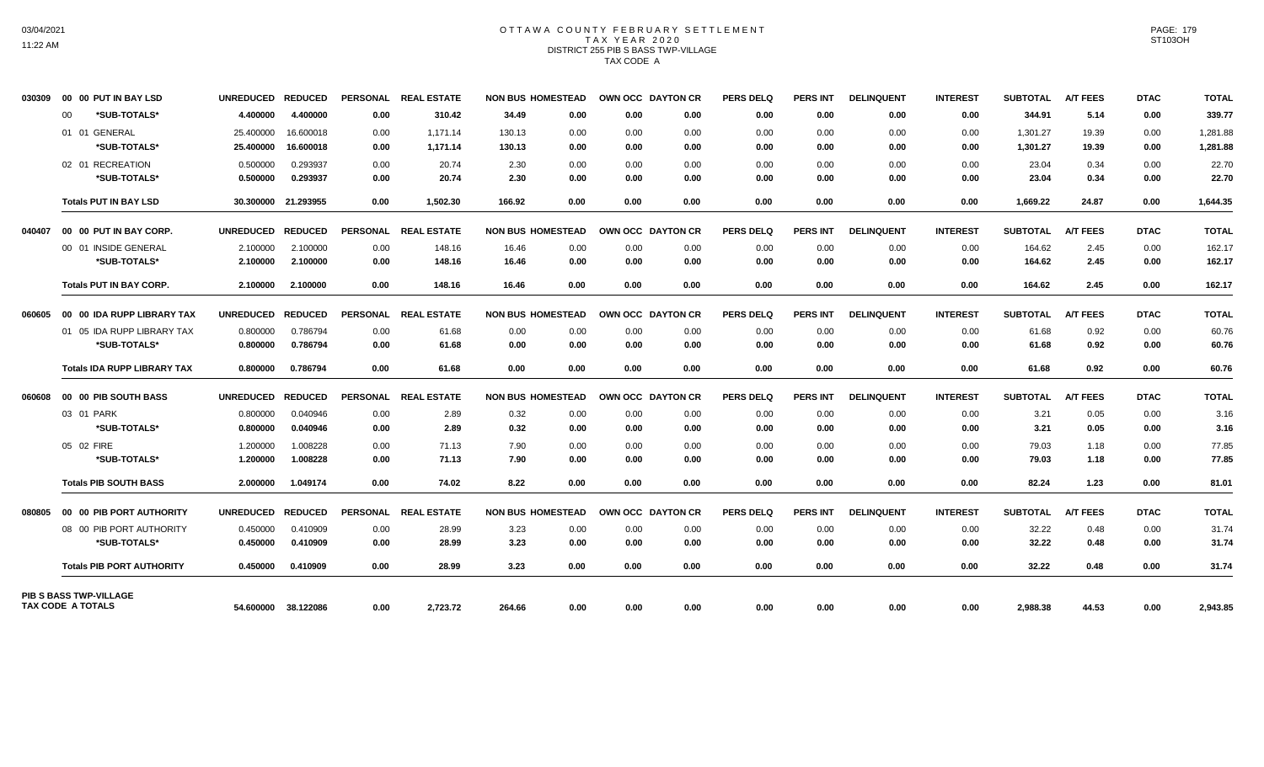## OTTAWA COUNTY FEBRUARY SETTLEMENT TAX YEAR 2020 DISTRICT 255 PIB S BASS TWP-VILLAGE TAX CODE A

| 030309                   |    | 00 00 PUT IN BAY LSD               | <b>UNREDUCED</b>  | <b>REDUCED</b>      | <b>PERSONAL</b> | <b>REAL ESTATE</b> | <b>NON BUS HOMESTEAD</b> |      |      | OWN OCC DAYTON CR | <b>PERS DELQ</b> | <b>PERS INT</b> | <b>DELINQUENT</b> | <b>INTEREST</b> | <b>SUBTOTAL</b> | <b>A/T FEES</b> | <b>DTAC</b> | <b>TOTAL</b> |
|--------------------------|----|------------------------------------|-------------------|---------------------|-----------------|--------------------|--------------------------|------|------|-------------------|------------------|-----------------|-------------------|-----------------|-----------------|-----------------|-------------|--------------|
|                          | 00 | *SUB-TOTALS*                       | 4.400000          | 4.400000            | 0.00            | 310.42             | 34.49                    | 0.00 | 0.00 | 0.00              | 0.00             | 0.00            | 0.00              | 0.00            | 344.91          | 5.14            | 0.00        | 339.77       |
|                          |    | 01 01 GENERAL                      | 25.400000         | 16.600018           | 0.00            | 1,171.14           | 130.13                   | 0.00 | 0.00 | 0.00              | 0.00             | 0.00            | 0.00              | 0.00            | 1,301.27        | 19.39           | 0.00        | 1,281.88     |
|                          |    | *SUB-TOTALS*                       | 25.400000         | 16.600018           | 0.00            | 1,171.14           | 130.13                   | 0.00 | 0.00 | 0.00              | 0.00             | 0.00            | 0.00              | 0.00            | 1,301.27        | 19.39           | 0.00        | 1,281.88     |
|                          |    | 02 01 RECREATION                   | 0.500000          | 0.293937            | 0.00            | 20.74              | 2.30                     | 0.00 | 0.00 | 0.00              | 0.00             | 0.00            | 0.00              | 0.00            | 23.04           | 0.34            | 0.00        | 22.70        |
|                          |    | *SUB-TOTALS*                       | 0.500000          | 0.293937            | 0.00            | 20.74              | 2.30                     | 0.00 | 0.00 | 0.00              | 0.00             | 0.00            | 0.00              | 0.00            | 23.04           | 0.34            | 0.00        | 22.70        |
|                          |    | <b>Totals PUT IN BAY LSD</b>       | 30.300000         | 21.293955           | 0.00            | 1,502.30           | 166.92                   | 0.00 | 0.00 | 0.00              | 0.00             | 0.00            | 0.00              | 0.00            | 1,669.22        | 24.87           | 0.00        | 1,644.35     |
| 040407                   |    | 00 00 PUT IN BAY CORP.             | <b>UNREDUCED</b>  | <b>REDUCED</b>      | <b>PERSONAL</b> | <b>REAL ESTATE</b> | <b>NON BUS HOMESTEAD</b> |      |      | OWN OCC DAYTON CR | <b>PERS DELQ</b> | <b>PERS INT</b> | <b>DELINQUENT</b> | <b>INTEREST</b> | <b>SUBTOTAL</b> | <b>A/T FEES</b> | <b>DTAC</b> | <b>TOTAL</b> |
|                          |    | 00 01 INSIDE GENERAL               | 2.100000          | 2.100000            | 0.00            | 148.16             | 16.46                    | 0.00 | 0.00 | 0.00              | 0.00             | 0.00            | 0.00              | 0.00            | 164.62          | 2.45            | 0.00        | 162.17       |
|                          |    | *SUB-TOTALS*                       | 2.100000          | 2.100000            | 0.00            | 148.16             | 16.46                    | 0.00 | 0.00 | 0.00              | 0.00             | 0.00            | 0.00              | 0.00            | 164.62          | 2.45            | 0.00        | 162.17       |
|                          |    | <b>Totals PUT IN BAY CORP.</b>     | 2.100000          | 2.100000            | 0.00            | 148.16             | 16.46                    | 0.00 | 0.00 | 0.00              | 0.00             | 0.00            | 0.00              | 0.00            | 164.62          | 2.45            | 0.00        | 162.17       |
| 060605                   |    | 00 00 IDA RUPP LIBRARY TAX         | <b>UNREDUCED</b>  | <b>REDUCED</b>      | <b>PERSONAL</b> | <b>REAL ESTATE</b> | <b>NON BUS HOMESTEAD</b> |      |      | OWN OCC DAYTON CR | <b>PERS DELO</b> | <b>PERS INT</b> | <b>DELINQUENT</b> | <b>INTEREST</b> | <b>SUBTOTAL</b> | <b>A/T FEES</b> | <b>DTAC</b> | <b>TOTAL</b> |
|                          |    | 01 05 IDA RUPP LIBRARY TAX         | 0.800000          | 0.786794            | 0.00            | 61.68              | 0.00                     | 0.00 | 0.00 | 0.00              | 0.00             | 0.00            | 0.00              | 0.00            | 61.68           | 0.92            | 0.00        | 60.76        |
|                          |    | *SUB-TOTALS*                       | 0.800000          | 0.786794            | 0.00            | 61.68              | 0.00                     | 0.00 | 0.00 | 0.00              | 0.00             | 0.00            | 0.00              | 0.00            | 61.68           | 0.92            | 0.00        | 60.76        |
|                          |    | <b>Totals IDA RUPP LIBRARY TAX</b> | 0.800000          | 0.786794            | 0.00            | 61.68              | 0.00                     | 0.00 | 0.00 | 0.00              | 0.00             | 0.00            | 0.00              | 0.00            | 61.68           | 0.92            | 0.00        | 60.76        |
| 060608                   |    | 00 00 PIB SOUTH BASS               | UNREDUCED REDUCED |                     | <b>PERSONAL</b> | <b>REAL ESTATE</b> | <b>NON BUS HOMESTEAD</b> |      |      | OWN OCC DAYTON CR | <b>PERS DELQ</b> | <b>PERS INT</b> | <b>DELINQUENT</b> | <b>INTEREST</b> | <b>SUBTOTAL</b> | <b>A/T FEES</b> | <b>DTAC</b> | <b>TOTAL</b> |
|                          |    | 03 01 PARK                         | 0.800000          | 0.040946            | 0.00            | 2.89               | 0.32                     | 0.00 | 0.00 | 0.00              | 0.00             | 0.00            | 0.00              | 0.00            | 3.21            | 0.05            | 0.00        | 3.16         |
|                          |    | *SUB-TOTALS*                       | 0.800000          | 0.040946            | 0.00            | 2.89               | 0.32                     | 0.00 | 0.00 | 0.00              | 0.00             | 0.00            | 0.00              | 0.00            | 3.21            | 0.05            | 0.00        | 3.16         |
|                          |    | 05 02 FIRE                         | 1.200000          | 1.008228            | 0.00            | 71.13              | 7.90                     | 0.00 | 0.00 | 0.00              | 0.00             | 0.00            | 0.00              | 0.00            | 79.03           | 1.18            | 0.00        | 77.85        |
|                          |    | *SUB-TOTALS*                       | 1.200000          | 1.008228            | 0.00            | 71.13              | 7.90                     | 0.00 | 0.00 | 0.00              | 0.00             | 0.00            | 0.00              | 0.00            | 79.03           | 1.18            | 0.00        | 77.85        |
|                          |    | <b>Totals PIB SOUTH BASS</b>       | 2.000000          | 1.049174            | 0.00            | 74.02              | 8.22                     | 0.00 | 0.00 | 0.00              | 0.00             | 0.00            | 0.00              | 0.00            | 82.24           | 1.23            | 0.00        | 81.01        |
| 080805                   |    | 00 00 PIB PORT AUTHORITY           | <b>UNREDUCED</b>  | <b>REDUCED</b>      | <b>PERSONAL</b> | <b>REAL ESTATE</b> | <b>NON BUS HOMESTEAD</b> |      |      | OWN OCC DAYTON CR | <b>PERS DELQ</b> | <b>PERS INT</b> | <b>DELINQUENT</b> | <b>INTEREST</b> | <b>SUBTOTAL</b> | <b>A/T FEES</b> | <b>DTAC</b> | <b>TOTAL</b> |
|                          |    | 08 00 PIB PORT AUTHORITY           | 0.450000          | 0.410909            | 0.00            | 28.99              | 3.23                     | 0.00 | 0.00 | 0.00              | 0.00             | 0.00            | 0.00              | 0.00            | 32.22           | 0.48            | 0.00        | 31.74        |
|                          |    | *SUB-TOTALS*                       | 0.450000          | 0.410909            | 0.00            | 28.99              | 3.23                     | 0.00 | 0.00 | 0.00              | 0.00             | 0.00            | 0.00              | 0.00            | 32.22           | 0.48            | 0.00        | 31.74        |
|                          |    | <b>Totals PIB PORT AUTHORITY</b>   | 0.450000          | 0.410909            | 0.00            | 28.99              | 3.23                     | 0.00 | 0.00 | 0.00              | 0.00             | 0.00            | 0.00              | 0.00            | 32.22           | 0.48            | 0.00        | 31.74        |
| <b>TAX CODE A TOTALS</b> |    | <b>PIB S BASS TWP-VILLAGE</b>      |                   | 54.600000 38.122086 | 0.00            | 2,723.72           | 264.66                   | 0.00 | 0.00 | 0.00              | 0.00             | 0.00            | 0.00              | 0.00            | 2,988.38        | 44.53           | 0.00        | 2,943.85     |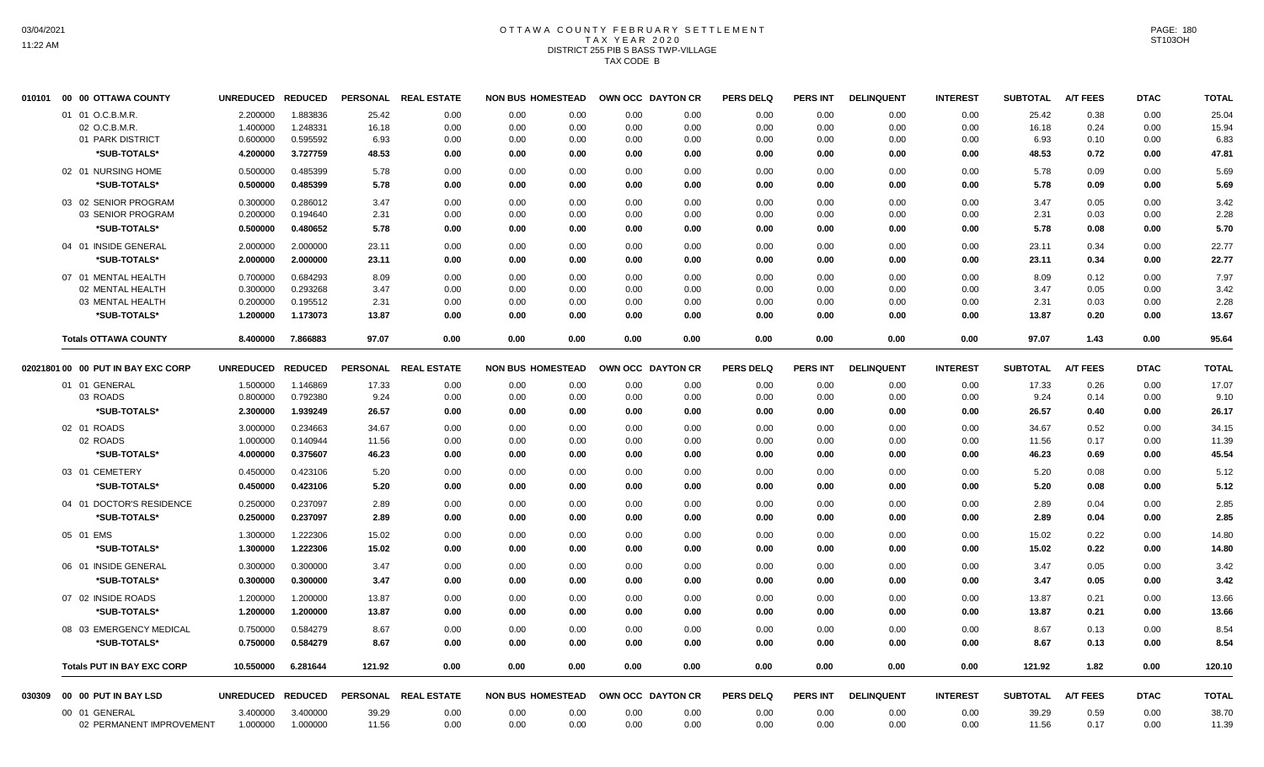# OTTAWA COUNTY FEBRUARY SETTLEMENT TAX YEAR 2020 DISTRICT 255 PIB S BASS TWP-VILLAGE TAX CODE B

| 010101 | 00<br>00 OTTAWA COUNTY             | <b>UNREDUCED</b> | <b>REDUCED</b> | <b>PERSONAL</b> | <b>REAL ESTATE</b> | <b>NON BUS HOMESTEAD</b> |      |      | OWN OCC DAYTON CR | <b>PERS DELQ</b> | <b>PERS INT</b> | <b>DELINQUENT</b> | <b>INTEREST</b> | <b>SUBTOTAL</b> | <b>A/T FEES</b> | <b>DTAC</b> | <b>TOTAL</b> |
|--------|------------------------------------|------------------|----------------|-----------------|--------------------|--------------------------|------|------|-------------------|------------------|-----------------|-------------------|-----------------|-----------------|-----------------|-------------|--------------|
|        | 01 01 O.C.B.M.R.                   | 2.200000         | 1.883836       | 25.42           | 0.00               | 0.00                     | 0.00 | 0.00 | 0.00              | 0.00             | 0.00            | 0.00              | 0.00            | 25.42           | 0.38            | 0.00        | 25.04        |
|        | 02 O.C.B.M.R.                      | 1.400000         | 1.248331       | 16.18           | 0.00               | 0.00                     | 0.00 | 0.00 | 0.00              | 0.00             | 0.00            | 0.00              | 0.00            | 16.18           | 0.24            | 0.00        | 15.94        |
|        | 01 PARK DISTRICT                   | 0.600000         | 0.595592       | 6.93            | 0.00               | 0.00                     | 0.00 | 0.00 | 0.00              | 0.00             | 0.00            | 0.00              | 0.00            | 6.93            | 0.10            | 0.00        | 6.83         |
|        | *SUB-TOTALS*                       | 4.200000         | 3.727759       | 48.53           | 0.00               | 0.00                     | 0.00 | 0.00 | 0.00              | 0.00             | 0.00            | 0.00              | 0.00            | 48.53           | 0.72            | 0.00        | 47.81        |
|        | 02 01 NURSING HOME                 | 0.500000         | 0.485399       | 5.78            | 0.00               | 0.00                     | 0.00 | 0.00 | 0.00              | 0.00             | 0.00            | 0.00              | 0.00            | 5.78            | 0.09            | 0.00        | 5.69         |
|        | *SUB-TOTALS*                       | 0.500000         | 0.485399       | 5.78            | 0.00               | 0.00                     | 0.00 | 0.00 | 0.00              | 0.00             | 0.00            | 0.00              | 0.00            | 5.78            | 0.09            | 0.00        | 5.69         |
|        | 03 02 SENIOR PROGRAM               | 0.300000         | 0.286012       | 3.47            | 0.00               | 0.00                     | 0.00 | 0.00 | 0.00              | 0.00             | 0.00            | 0.00              | 0.00            | 3.47            | 0.05            | 0.00        | 3.42         |
|        | 03 SENIOR PROGRAM                  | 0.200000         | 0.194640       | 2.31            | 0.00               | 0.00                     | 0.00 | 0.00 | 0.00              | 0.00             | 0.00            | 0.00              | 0.00            | 2.31            | 0.03            | 0.00        | 2.28         |
|        | *SUB-TOTALS*                       | 0.500000         | 0.480652       | 5.78            | 0.00               | 0.00                     | 0.00 | 0.00 | 0.00              | 0.00             | 0.00            | 0.00              | 0.00            | 5.78            | 0.08            | 0.00        | 5.70         |
|        | 04 01 INSIDE GENERAL               | 2.000000         | 2.000000       | 23.11           | 0.00               | 0.00                     | 0.00 | 0.00 | 0.00              | 0.00             | 0.00            | 0.00              | 0.00            | 23.11           | 0.34            | 0.00        | 22.77        |
|        | *SUB-TOTALS*                       | 2.000000         | 2.000000       | 23.11           | 0.00               | 0.00                     | 0.00 | 0.00 | 0.00              | 0.00             | 0.00            | 0.00              | 0.00            | 23.11           | 0.34            | 0.00        | 22.77        |
|        | 07 01 MENTAL HEALTH                | 0.700000         | 0.684293       | 8.09            | 0.00               | 0.00                     | 0.00 | 0.00 | 0.00              | 0.00             | 0.00            | 0.00              | 0.00            | 8.09            | 0.12            | 0.00        | 7.97         |
|        | 02 MENTAL HEALTH                   | 0.300000         | 0.293268       | 3.47            | 0.00               | 0.00                     | 0.00 | 0.00 | 0.00              | 0.00             | 0.00            | 0.00              | 0.00            | 3.47            | 0.05            | 0.00        | 3.42         |
|        | 03 MENTAL HEALTH                   | 0.200000         | 0.195512       | 2.31            | 0.00               | 0.00                     | 0.00 | 0.00 | 0.00              | 0.00             | 0.00            | 0.00              | 0.00            | 2.31            | 0.03            | 0.00        | 2.28         |
|        | *SUB-TOTALS*                       | 1.200000         | 1.173073       | 13.87           | 0.00               | 0.00                     | 0.00 | 0.00 | 0.00              | 0.00             | 0.00            | 0.00              | 0.00            | 13.87           | 0.20            | 0.00        | 13.67        |
|        | <b>Totals OTTAWA COUNTY</b>        | 8.400000         | 7.866883       | 97.07           | 0.00               | 0.00                     | 0.00 | 0.00 | 0.00              | 0.00             | 0.00            | 0.00              | 0.00            | 97.07           | 1.43            | 0.00        | 95.64        |
|        | 02021801 00 00 PUT IN BAY EXC CORP | <b>UNREDUCED</b> | <b>REDUCED</b> | <b>PERSONAL</b> | <b>REAL ESTATE</b> | <b>NON BUS HOMESTEAD</b> |      |      | OWN OCC DAYTON CR | <b>PERS DELQ</b> | PERS INT        | <b>DELINQUENT</b> | <b>INTEREST</b> | <b>SUBTOTAL</b> | <b>A/T FEES</b> | <b>DTAC</b> | <b>TOTAL</b> |
|        | 01 01 GENERAL                      | 1.500000         | 1.146869       | 17.33           | 0.00               | 0.00                     | 0.00 | 0.00 | 0.00              | 0.00             | 0.00            | 0.00              | 0.00            | 17.33           | 0.26            | 0.00        | 17.07        |
|        | 03 ROADS                           | 0.800000         | 0.792380       | 9.24            | 0.00               | 0.00                     | 0.00 | 0.00 | 0.00              | 0.00             | 0.00            | 0.00              | 0.00            | 9.24            | 0.14            | 0.00        | 9.10         |
|        | *SUB-TOTALS*                       | 2.300000         | 1.939249       | 26.57           | 0.00               | 0.00                     | 0.00 | 0.00 | 0.00              | 0.00             | 0.00            | 0.00              | 0.00            | 26.57           | 0.40            | 0.00        | 26.17        |
|        | 02 01 ROADS                        | 3.000000         | 0.234663       | 34.67           | 0.00               | 0.00                     | 0.00 | 0.00 | 0.00              | 0.00             | 0.00            | 0.00              | 0.00            | 34.67           | 0.52            | 0.00        | 34.15        |
|        | 02 ROADS                           | 1.000000         | 0.140944       | 11.56           | 0.00               | 0.00                     | 0.00 | 0.00 | 0.00              | 0.00             | 0.00            | 0.00              | 0.00            | 11.56           | 0.17            | 0.00        | 11.39        |
|        | *SUB-TOTALS*                       | 4.000000         | 0.375607       | 46.23           | 0.00               | 0.00                     | 0.00 | 0.00 | 0.00              | 0.00             | 0.00            | 0.00              | 0.00            | 46.23           | 0.69            | 0.00        | 45.54        |
|        | 03 01 CEMETERY                     | 0.450000         | 0.423106       | 5.20            | 0.00               | 0.00                     | 0.00 | 0.00 | 0.00              | 0.00             | 0.00            | 0.00              | 0.00            | 5.20            | 0.08            | 0.00        | 5.12         |
|        | *SUB-TOTALS*                       | 0.450000         | 0.423106       | 5.20            | 0.00               | 0.00                     | 0.00 | 0.00 | 0.00              | 0.00             | 0.00            | 0.00              | 0.00            | 5.20            | 0.08            | 0.00        | 5.12         |
|        | 04 01 DOCTOR'S RESIDENCE           | 0.250000         | 0.237097       | 2.89            | 0.00               | 0.00                     | 0.00 | 0.00 | 0.00              | 0.00             | 0.00            | 0.00              | 0.00            | 2.89            | 0.04            | 0.00        | 2.85         |
|        | *SUB-TOTALS*                       | 0.250000         | 0.237097       | 2.89            | 0.00               | 0.00                     | 0.00 | 0.00 | 0.00              | 0.00             | 0.00            | 0.00              | 0.00            | 2.89            | 0.04            | 0.00        | 2.85         |
|        | 05 01 EMS                          | 1.300000         | 1.222306       | 15.02           | 0.00               | 0.00                     | 0.00 | 0.00 | 0.00              | 0.00             | 0.00            | 0.00              | 0.00            | 15.02           | 0.22            | 0.00        | 14.80        |
|        | *SUB-TOTALS*                       | 1.300000         | 1.222306       | 15.02           | 0.00               | 0.00                     | 0.00 | 0.00 | 0.00              | 0.00             | 0.00            | 0.00              | 0.00            | 15.02           | 0.22            | 0.00        | 14.80        |
|        | 06 01 INSIDE GENERAL               | 0.300000         | 0.300000       | 3.47            | 0.00               | 0.00                     | 0.00 | 0.00 | 0.00              | 0.00             | 0.00            | 0.00              | 0.00            | 3.47            | 0.05            | 0.00        | 3.42         |
|        | *SUB-TOTALS*                       | 0.300000         | 0.300000       | 3.47            | 0.00               | 0.00                     | 0.00 | 0.00 | 0.00              | 0.00             | 0.00            | 0.00              | 0.00            | 3.47            | 0.05            | 0.00        | 3.42         |
|        | 07 02 INSIDE ROADS                 | 1.200000         | 1.200000       | 13.87           | 0.00               | 0.00                     | 0.00 | 0.00 | 0.00              | 0.00             | 0.00            | 0.00              | 0.00            | 13.87           | 0.21            | 0.00        | 13.66        |
|        | *SUB-TOTALS*                       | 1.200000         | 1.200000       | 13.87           | 0.00               | 0.00                     | 0.00 | 0.00 | 0.00              | 0.00             | 0.00            | 0.00              | 0.00            | 13.87           | 0.21            | 0.00        | 13.66        |
|        |                                    |                  |                |                 |                    |                          |      |      |                   |                  |                 |                   |                 |                 |                 |             |              |
|        | 08 03 EMERGENCY MEDICAL            | 0.750000         | 0.584279       | 8.67            | 0.00               | 0.00                     | 0.00 | 0.00 | 0.00              | 0.00             | 0.00            | 0.00              | 0.00            | 8.67            | 0.13            | 0.00        | 8.54         |
|        | *SUB-TOTALS*                       | 0.750000         | 0.584279       | 8.67            | 0.00               | 0.00                     | 0.00 | 0.00 | 0.00              | 0.00             | 0.00            | 0.00              | 0.00            | 8.67            | 0.13            | 0.00        | 8.54         |
|        | <b>Totals PUT IN BAY EXC CORP</b>  | 10.550000        | 6.281644       | 121.92          | 0.00               | 0.00                     | 0.00 | 0.00 | 0.00              | 0.00             | 0.00            | 0.00              | 0.00            | 121.92          | 1.82            | 0.00        | 120.10       |
| 030309 | 00 00 PUT IN BAY LSD               | <b>UNREDUCED</b> | <b>REDUCED</b> | <b>PERSONAL</b> | <b>REAL ESTATE</b> | <b>NON BUS HOMESTEAD</b> |      |      | OWN OCC DAYTON CR | <b>PERS DELQ</b> | <b>PERS INT</b> | <b>DELINQUENT</b> | <b>INTEREST</b> | <b>SUBTOTAL</b> | <b>A/T FEES</b> | <b>DTAC</b> | <b>TOTAL</b> |
|        | 00 01 GENERAL                      | 3.400000         | 3.400000       | 39.29           | 0.00               | 0.00                     | 0.00 | 0.00 | 0.00              | 0.00             | 0.00            | 0.00              | 0.00            | 39.29           | 0.59            | 0.00        | 38.70        |
|        | 02 PERMANENT IMPROVEMENT           | 1.000000         | 1.000000       | 11.56           | 0.00               | 0.00                     | 0.00 | 0.00 | 0.00              | 0.00             | 0.00            | 0.00              | 0.00            | 11.56           | 0.17            | 0.00        | 11.39        |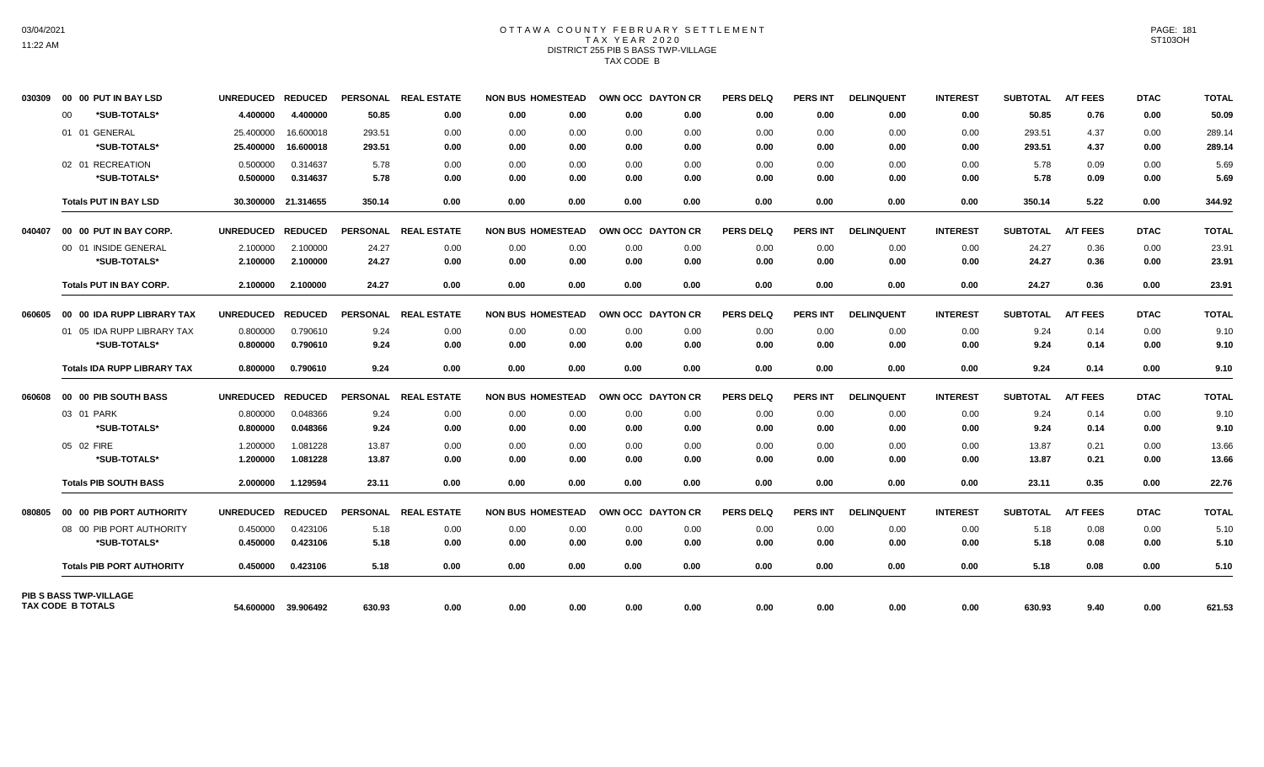# OTTAWA COUNTY FEBRUARY SETTLEMENT TAX YEAR 2020 DISTRICT 255 PIB S BASS TWP-VILLAGE TAX CODE B

| 030309 | 00 00 PUT IN BAY LSD                                      | <b>UNREDUCED</b> | <b>REDUCED</b>      | <b>PERSONAL</b> | <b>REAL ESTATE</b> | <b>NON BUS HOMESTEAD</b> |      | OWN OCC DAYTON CR |      | <b>PERS DELQ</b> | <b>PERS INT</b> | <b>DELINQUENT</b> | <b>INTEREST</b> | <b>SUBTOTAL</b> | <b>A/T FEES</b> | <b>DTAC</b> | <b>TOTAL</b> |
|--------|-----------------------------------------------------------|------------------|---------------------|-----------------|--------------------|--------------------------|------|-------------------|------|------------------|-----------------|-------------------|-----------------|-----------------|-----------------|-------------|--------------|
|        | *SUB-TOTALS*<br>00                                        | 4.400000         | 4.400000            | 50.85           | 0.00               | 0.00                     | 0.00 | 0.00              | 0.00 | 0.00             | 0.00            | 0.00              | 0.00            | 50.85           | 0.76            | 0.00        | 50.09        |
|        | 01 01 GENERAL                                             | 25.400000        | 16.600018           | 293.51          | 0.00               | 0.00                     | 0.00 | 0.00              | 0.00 | 0.00             | 0.00            | 0.00              | 0.00            | 293.51          | 4.37            | 0.00        | 289.14       |
|        | *SUB-TOTALS*                                              | 25.400000        | 16.600018           | 293.51          | 0.00               | 0.00                     | 0.00 | 0.00              | 0.00 | 0.00             | 0.00            | 0.00              | 0.00            | 293.51          | 4.37            | 0.00        | 289.14       |
|        | 02 01 RECREATION                                          | 0.500000         | 0.314637            | 5.78            | 0.00               | 0.00                     | 0.00 | 0.00              | 0.00 | 0.00             | 0.00            | 0.00              | 0.00            | 5.78            | 0.09            | 0.00        | 5.69         |
|        | *SUB-TOTALS*                                              | 0.500000         | 0.314637            | 5.78            | 0.00               | 0.00                     | 0.00 | 0.00              | 0.00 | 0.00             | 0.00            | 0.00              | 0.00            | 5.78            | 0.09            | 0.00        | 5.69         |
|        | <b>Totals PUT IN BAY LSD</b>                              |                  | 30.300000 21.314655 | 350.14          | 0.00               | 0.00                     | 0.00 | 0.00              | 0.00 | 0.00             | 0.00            | 0.00              | 0.00            | 350.14          | 5.22            | 0.00        | 344.92       |
| 040407 | 00 00 PUT IN BAY CORP.                                    | <b>UNREDUCED</b> | <b>REDUCED</b>      | <b>PERSONAL</b> | <b>REAL ESTATE</b> | <b>NON BUS HOMESTEAD</b> |      | OWN OCC DAYTON CR |      | <b>PERS DELQ</b> | <b>PERS INT</b> | <b>DELINQUENT</b> | <b>INTEREST</b> | <b>SUBTOTAL</b> | <b>A/T FEES</b> | <b>DTAC</b> | <b>TOTAL</b> |
|        | 00 01 INSIDE GENERAL                                      | 2.100000         | 2.100000            | 24.27           | 0.00               | 0.00                     | 0.00 | 0.00              | 0.00 | 0.00             | 0.00            | 0.00              | 0.00            | 24.27           | 0.36            | 0.00        | 23.91        |
|        | *SUB-TOTALS*                                              | 2.100000         | 2.100000            | 24.27           | 0.00               | 0.00                     | 0.00 | 0.00              | 0.00 | 0.00             | 0.00            | 0.00              | 0.00            | 24.27           | 0.36            | 0.00        | 23.91        |
|        | <b>Totals PUT IN BAY CORP.</b>                            | 2.100000         | 2.100000            | 24.27           | 0.00               | 0.00                     | 0.00 | 0.00              | 0.00 | 0.00             | 0.00            | 0.00              | 0.00            | 24.27           | 0.36            | 0.00        | 23.91        |
| 060605 | 00 00 IDA RUPP LIBRARY TAX                                | <b>UNREDUCED</b> | <b>REDUCED</b>      | <b>PERSONAL</b> | <b>REAL ESTATE</b> | <b>NON BUS HOMESTEAD</b> |      | OWN OCC DAYTON CR |      | <b>PERS DELO</b> | <b>PERS INT</b> | <b>DELINQUENT</b> | <b>INTEREST</b> | <b>SUBTOTAL</b> | <b>A/T FEES</b> | <b>DTAC</b> | <b>TOTAL</b> |
|        | 01 05 IDA RUPP LIBRARY TAX                                | 0.800000         | 0.790610            | 9.24            | 0.00               | 0.00                     | 0.00 | 0.00              | 0.00 | 0.00             | 0.00            | 0.00              | 0.00            | 9.24            | 0.14            | 0.00        | 9.10         |
|        | *SUB-TOTALS*                                              | 0.800000         | 0.790610            | 9.24            | 0.00               | 0.00                     | 0.00 | 0.00              | 0.00 | 0.00             | 0.00            | 0.00              | 0.00            | 9.24            | 0.14            | 0.00        | 9.10         |
|        | <b>Totals IDA RUPP LIBRARY TAX</b>                        | 0.800000         | 0.790610            | 9.24            | 0.00               | 0.00                     | 0.00 | 0.00              | 0.00 | 0.00             | 0.00            | 0.00              | 0.00            | 9.24            | 0.14            | 0.00        | 9.10         |
| 060608 | 00 00 PIB SOUTH BASS                                      | <b>UNREDUCED</b> | <b>REDUCED</b>      | <b>PERSONAL</b> | <b>REAL ESTATE</b> | <b>NON BUS HOMESTEAD</b> |      | OWN OCC DAYTON CR |      | <b>PERS DELQ</b> | <b>PERS INT</b> | <b>DELINQUENT</b> | <b>INTEREST</b> | <b>SUBTOTAL</b> | <b>A/T FEES</b> | <b>DTAC</b> | <b>TOTAL</b> |
|        | 03 01 PARK                                                | 0.800000         | 0.048366            | 9.24            | 0.00               | 0.00                     | 0.00 | 0.00              | 0.00 | 0.00             | 0.00            | 0.00              | 0.00            | 9.24            | 0.14            | 0.00        | 9.10         |
|        | *SUB-TOTALS*                                              | 0.800000         | 0.048366            | 9.24            | 0.00               | 0.00                     | 0.00 | 0.00              | 0.00 | 0.00             | 0.00            | 0.00              | 0.00            | 9.24            | 0.14            | 0.00        | 9.10         |
|        | 05 02 FIRE                                                | 1.200000         | 1.081228            | 13.87           | 0.00               | 0.00                     | 0.00 | 0.00              | 0.00 | 0.00             | 0.00            | 0.00              | 0.00            | 13.87           | 0.21            | 0.00        | 13.66        |
|        | *SUB-TOTALS*                                              | 1.200000         | 1.081228            | 13.87           | 0.00               | 0.00                     | 0.00 | 0.00              | 0.00 | 0.00             | 0.00            | 0.00              | 0.00            | 13.87           | 0.21            | 0.00        | 13.66        |
|        | <b>Totals PIB SOUTH BASS</b>                              | 2.000000         | 1.129594            | 23.11           | 0.00               | 0.00                     | 0.00 | 0.00              | 0.00 | 0.00             | 0.00            | 0.00              | 0.00            | 23.11           | 0.35            | 0.00        | 22.76        |
| 080805 | 00 00 PIB PORT AUTHORITY                                  | <b>UNREDUCED</b> | <b>REDUCED</b>      | <b>PERSONAL</b> | <b>REAL ESTATE</b> | <b>NON BUS HOMESTEAD</b> |      | OWN OCC DAYTON CR |      | <b>PERS DELO</b> | <b>PERS INT</b> | <b>DELINQUENT</b> | <b>INTEREST</b> | <b>SUBTOTAL</b> | <b>A/T FEES</b> | <b>DTAC</b> | <b>TOTAL</b> |
|        | 08 00 PIB PORT AUTHORITY                                  | 0.450000         | 0.423106            | 5.18            | 0.00               | 0.00                     | 0.00 | 0.00              | 0.00 | 0.00             | 0.00            | 0.00              | 0.00            | 5.18            | 0.08            | 0.00        | 5.10         |
|        | *SUB-TOTALS*                                              | 0.450000         | 0.423106            | 5.18            | 0.00               | 0.00                     | 0.00 | 0.00              | 0.00 | 0.00             | 0.00            | 0.00              | 0.00            | 5.18            | 0.08            | 0.00        | 5.10         |
|        | <b>Totals PIB PORT AUTHORITY</b>                          | 0.450000         | 0.423106            | 5.18            | 0.00               | 0.00                     | 0.00 | 0.00              | 0.00 | 0.00             | 0.00            | 0.00              | 0.00            | 5.18            | 0.08            | 0.00        | 5.10         |
|        | <b>PIB S BASS TWP-VILLAGE</b><br><b>TAX CODE B TOTALS</b> |                  | 54.600000 39.906492 | 630.93          | 0.00               | 0.00                     | 0.00 | 0.00              | 0.00 | 0.00             | 0.00            | 0.00              | 0.00            | 630.93          | 9.40            | 0.00        | 621.53       |
|        |                                                           |                  |                     |                 |                    |                          |      |                   |      |                  |                 |                   |                 |                 |                 |             |              |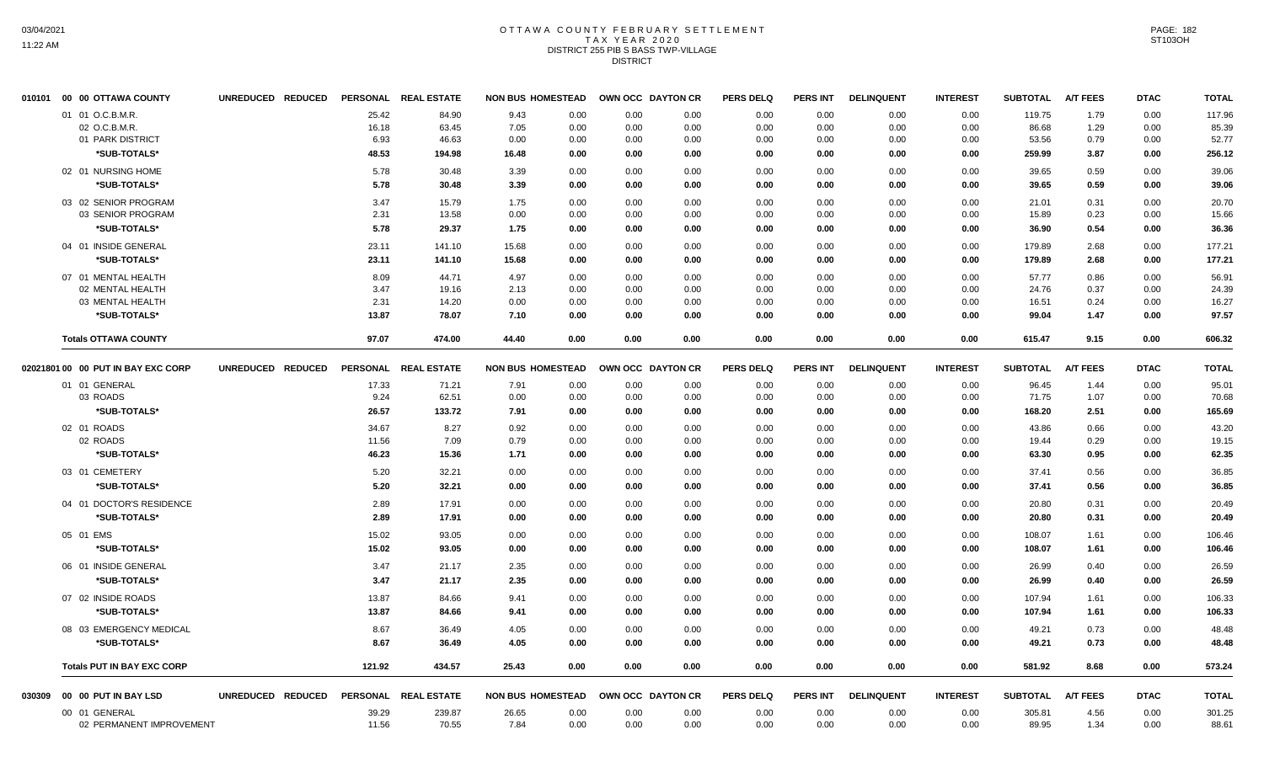# OTTAWA COUNTY FEBRUARY SETTLEMENT TAX YEAR 2020 DISTRICT 255 PIB S BASS TWP-VILLAGE DISTRICT

|        | 010101 00 00 OTTAWA COUNTY         | UNREDUCED REDUCED |                 | PERSONAL REAL ESTATE | <b>NON BUS HOMESTEAD</b> |      |      | OWN OCC DAYTON CR | <b>PERS DELQ</b> | <b>PERS INT</b> | <b>DELINQUENT</b> | <b>INTEREST</b> | <b>SUBTOTAL</b> | <b>A/T FEES</b> | <b>DTAC</b> | <b>TOTAL</b> |
|--------|------------------------------------|-------------------|-----------------|----------------------|--------------------------|------|------|-------------------|------------------|-----------------|-------------------|-----------------|-----------------|-----------------|-------------|--------------|
|        | 01 01 O.C.B.M.R.                   |                   | 25.42           | 84.90                | 9.43                     | 0.00 | 0.00 | 0.00              | 0.00             | 0.00            | 0.00              | 0.00            | 119.75          | 1.79            | 0.00        | 117.96       |
|        | 02 O.C.B.M.R.                      |                   | 16.18           | 63.45                | 7.05                     | 0.00 | 0.00 | 0.00              | 0.00             | 0.00            | 0.00              | 0.00            | 86.68           | 1.29            | 0.00        | 85.39        |
|        | 01 PARK DISTRICT                   |                   | 6.93            | 46.63                | 0.00                     | 0.00 | 0.00 | 0.00              | 0.00             | 0.00            | 0.00              | 0.00            | 53.56           | 0.79            | 0.00        | 52.77        |
|        | *SUB-TOTALS*                       |                   | 48.53           | 194.98               | 16.48                    | 0.00 | 0.00 | 0.00              | 0.00             | 0.00            | 0.00              | 0.00            | 259.99          | 3.87            | 0.00        | 256.12       |
|        | 02 01 NURSING HOME                 |                   | 5.78            | 30.48                | 3.39                     | 0.00 | 0.00 | 0.00              | 0.00             | 0.00            | 0.00              | 0.00            | 39.65           | 0.59            | 0.00        | 39.06        |
|        | *SUB-TOTALS*                       |                   | 5.78            | 30.48                | 3.39                     | 0.00 | 0.00 | 0.00              | 0.00             | 0.00            | 0.00              | 0.00            | 39.65           | 0.59            | 0.00        | 39.06        |
|        | 03 02 SENIOR PROGRAM               |                   | 3.47            | 15.79                | 1.75                     | 0.00 | 0.00 | 0.00              | 0.00             | 0.00            | 0.00              | 0.00            | 21.01           | 0.31            | 0.00        | 20.70        |
|        | 03 SENIOR PROGRAM                  |                   | 2.31            | 13.58                | 0.00                     | 0.00 | 0.00 | 0.00              | 0.00             | 0.00            | 0.00              | 0.00            | 15.89           | 0.23            | 0.00        | 15.66        |
|        | *SUB-TOTALS*                       |                   | 5.78            | 29.37                | 1.75                     | 0.00 | 0.00 | 0.00              | 0.00             | 0.00            | 0.00              | 0.00            | 36.90           | 0.54            | 0.00        | 36.36        |
|        |                                    |                   |                 |                      |                          |      |      |                   |                  |                 |                   |                 |                 |                 |             |              |
|        | 04 01 INSIDE GENERAL               |                   | 23.11           | 141.10               | 15.68                    | 0.00 | 0.00 | 0.00              | 0.00             | 0.00            | 0.00              | 0.00            | 179.89          | 2.68            | 0.00        | 177.21       |
|        | *SUB-TOTALS*                       |                   | 23.11           | 141.10               | 15.68                    | 0.00 | 0.00 | 0.00              | 0.00             | 0.00            | 0.00              | 0.00            | 179.89          | 2.68            | 0.00        | 177.21       |
|        | 07 01 MENTAL HEALTH                |                   | 8.09            | 44.71                | 4.97                     | 0.00 | 0.00 | 0.00              | 0.00             | 0.00            | 0.00              | 0.00            | 57.77           | 0.86            | 0.00        | 56.91        |
|        | 02 MENTAL HEALTH                   |                   | 3.47            | 19.16                | 2.13                     | 0.00 | 0.00 | 0.00              | 0.00             | 0.00            | 0.00              | 0.00            | 24.76           | 0.37            | 0.00        | 24.39        |
|        | 03 MENTAL HEALTH                   |                   | 2.31            | 14.20                | 0.00                     | 0.00 | 0.00 | 0.00              | 0.00             | 0.00            | 0.00              | 0.00            | 16.51           | 0.24            | 0.00        | 16.27        |
|        | *SUB-TOTALS*                       |                   | 13.87           | 78.07                | 7.10                     | 0.00 | 0.00 | 0.00              | 0.00             | 0.00            | 0.00              | 0.00            | 99.04           | 1.47            | 0.00        | 97.57        |
|        | <b>Totals OTTAWA COUNTY</b>        |                   | 97.07           | 474.00               | 44.40                    | 0.00 | 0.00 | 0.00              | 0.00             | 0.00            | 0.00              | 0.00            | 615.47          | 9.15            | 0.00        | 606.32       |
|        | 02021801 00 00 PUT IN BAY EXC CORP | UNREDUCED REDUCED | <b>PERSONAL</b> | <b>REAL ESTATE</b>   | <b>NON BUS HOMESTEAD</b> |      |      | OWN OCC DAYTON CR | <b>PERS DELQ</b> | <b>PERS INT</b> | <b>DELINQUENT</b> | <b>INTEREST</b> | <b>SUBTOTAL</b> | <b>A/T FEES</b> | <b>DTAC</b> | <b>TOTAL</b> |
|        | 01 01 GENERAL                      |                   | 17.33           | 71.21                | 7.91                     | 0.00 | 0.00 | 0.00              | 0.00             | 0.00            | 0.00              | 0.00            | 96.45           | 1.44            | 0.00        | 95.01        |
|        | 03 ROADS                           |                   | 9.24            | 62.51                | 0.00                     | 0.00 | 0.00 | 0.00              | 0.00             | 0.00            | 0.00              | 0.00            | 71.75           | 1.07            | 0.00        | 70.68        |
|        | *SUB-TOTALS*                       |                   | 26.57           | 133.72               | 7.91                     | 0.00 | 0.00 | 0.00              | 0.00             | 0.00            | 0.00              | 0.00            | 168.20          | 2.51            | 0.00        | 165.69       |
|        | 02 01 ROADS                        |                   | 34.67           | 8.27                 | 0.92                     | 0.00 | 0.00 | 0.00              | 0.00             | 0.00            | 0.00              | 0.00            | 43.86           | 0.66            | 0.00        | 43.20        |
|        | 02 ROADS                           |                   | 11.56           | 7.09                 | 0.79                     | 0.00 | 0.00 | 0.00              | 0.00             | 0.00            | 0.00              | 0.00            | 19.44           | 0.29            | 0.00        | 19.15        |
|        | *SUB-TOTALS*                       |                   | 46.23           | 15.36                | 1.71                     | 0.00 | 0.00 | 0.00              | 0.00             | 0.00            | 0.00              | 0.00            | 63.30           | 0.95            | 0.00        | 62.35        |
|        | 03 01 CEMETERY                     |                   | 5.20            | 32.21                | 0.00                     | 0.00 | 0.00 | 0.00              | 0.00             | 0.00            | 0.00              | 0.00            | 37.41           | 0.56            | 0.00        | 36.85        |
|        | *SUB-TOTALS*                       |                   | 5.20            | 32.21                | 0.00                     | 0.00 | 0.00 | 0.00              | 0.00             | 0.00            | 0.00              | 0.00            | 37.41           | 0.56            | 0.00        | 36.85        |
|        | 04 01 DOCTOR'S RESIDENCE           |                   | 2.89            | 17.91                | 0.00                     | 0.00 | 0.00 | 0.00              | 0.00             | 0.00            | 0.00              | 0.00            | 20.80           | 0.31            | 0.00        | 20.49        |
|        | *SUB-TOTALS*                       |                   | 2.89            | 17.91                | 0.00                     | 0.00 | 0.00 | 0.00              | 0.00             | 0.00            | 0.00              | 0.00            | 20.80           | 0.31            | 0.00        | 20.49        |
|        |                                    |                   |                 |                      |                          |      |      |                   |                  |                 |                   |                 |                 |                 |             |              |
|        | 05 01 EMS                          |                   | 15.02           | 93.05                | 0.00                     | 0.00 | 0.00 | 0.00              | 0.00             | 0.00            | 0.00              | 0.00            | 108.07          | 1.61            | 0.00        | 106.46       |
|        | *SUB-TOTALS*                       |                   | 15.02           | 93.05                | 0.00                     | 0.00 | 0.00 | 0.00              | 0.00             | 0.00            | 0.00              | 0.00            | 108.07          | 1.61            | 0.00        | 106.46       |
|        | 06 01 INSIDE GENERAL               |                   | 3.47            | 21.17                | 2.35                     | 0.00 | 0.00 | 0.00              | 0.00             | 0.00            | 0.00              | 0.00            | 26.99           | 0.40            | 0.00        | 26.59        |
|        | *SUB-TOTALS*                       |                   | 3.47            | 21.17                | 2.35                     | 0.00 | 0.00 | 0.00              | 0.00             | 0.00            | 0.00              | 0.00            | 26.99           | 0.40            | 0.00        | 26.59        |
|        | 07 02 INSIDE ROADS                 |                   | 13.87           | 84.66                | 9.41                     | 0.00 | 0.00 | 0.00              | 0.00             | 0.00            | 0.00              | 0.00            | 107.94          | 1.61            | 0.00        | 106.33       |
|        | *SUB-TOTALS*                       |                   | 13.87           | 84.66                | 9.41                     | 0.00 | 0.00 | 0.00              | 0.00             | 0.00            | 0.00              | 0.00            | 107.94          | 1.61            | 0.00        | 106.33       |
|        | 08 03 EMERGENCY MEDICAL            |                   | 8.67            | 36.49                | 4.05                     | 0.00 | 0.00 | 0.00              | 0.00             | 0.00            | 0.00              | 0.00            | 49.21           | 0.73            | 0.00        | 48.48        |
|        | *SUB-TOTALS*                       |                   | 8.67            | 36.49                | 4.05                     | 0.00 | 0.00 | 0.00              |                  | 0.00            | 0.00              | 0.00            | 49.21           | 0.73            | 0.00        | 48.48        |
|        |                                    |                   |                 |                      |                          |      |      |                   | 0.00             |                 |                   |                 |                 |                 |             |              |
|        | <b>Totals PUT IN BAY EXC CORP</b>  |                   | 121.92          | 434.57               | 25.43                    | 0.00 | 0.00 | 0.00              | 0.00             | 0.00            | 0.00              | 0.00            | 581.92          | 8.68            | 0.00        | 573.24       |
| 030309 | 00 00 PUT IN BAY LSD               | UNREDUCED REDUCED |                 | PERSONAL REAL ESTATE | <b>NON BUS HOMESTEAD</b> |      |      | OWN OCC DAYTON CR | <b>PERS DELQ</b> | <b>PERS INT</b> | <b>DELINQUENT</b> | <b>INTEREST</b> | <b>SUBTOTAL</b> | <b>A/T FEES</b> | <b>DTAC</b> | <b>TOTAL</b> |
|        | 00 01 GENERAL                      |                   | 39.29           | 239.87               | 26.65                    | 0.00 | 0.00 | 0.00              | 0.00             | 0.00            | 0.00              | 0.00            | 305.81          | 4.56            | 0.00        | 301.25       |
|        | 02 PERMANENT IMPROVEMENT           |                   | 11.56           | 70.55                | 7.84                     | 0.00 | 0.00 | 0.00              | 0.00             | 0.00            | 0.00              | 0.00            | 89.95           | 1.34            | 0.00        | 88.61        |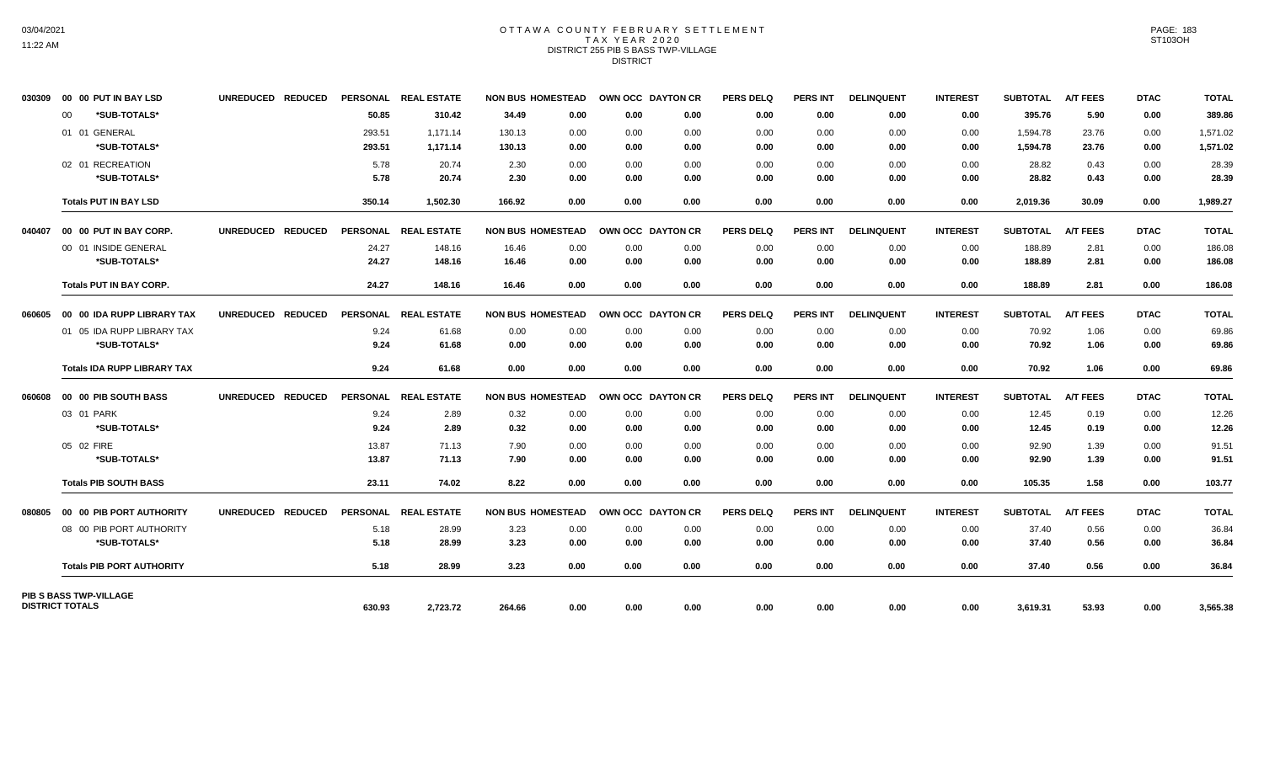# OTTAWA COUNTY FEBRUARY SETTLEMENT TAX YEAR 2020 DISTRICT 255 PIB S BASS TWP-VILLAGE DISTRICT

| 030309                 |    | 00 00 PUT IN BAY LSD               | UNREDUCED REDUCED |        | PERSONAL REAL ESTATE | <b>NON BUS HOMESTEAD</b> |      | OWN OCC DAYTON CR |      | <b>PERS DELQ</b> | <b>PERS INT</b> | <b>DELINQUENT</b> | <b>INTEREST</b> | <b>SUBTOTAL</b> | <b>A/T FEES</b> | <b>DTAC</b> | <b>TOTAL</b> |
|------------------------|----|------------------------------------|-------------------|--------|----------------------|--------------------------|------|-------------------|------|------------------|-----------------|-------------------|-----------------|-----------------|-----------------|-------------|--------------|
|                        | 00 | *SUB-TOTALS*                       |                   | 50.85  | 310.42               | 34.49                    | 0.00 | 0.00              | 0.00 | 0.00             | 0.00            | 0.00              | 0.00            | 395.76          | 5.90            | 0.00        | 389.86       |
|                        |    | 01 01 GENERAL                      |                   | 293.51 | 1,171.14             | 130.13                   | 0.00 | 0.00              | 0.00 | 0.00             | 0.00            | 0.00              | 0.00            | 1,594.78        | 23.76           | 0.00        | 1,571.02     |
|                        |    | *SUB-TOTALS*                       |                   | 293.51 | 1,171.14             | 130.13                   | 0.00 | 0.00              | 0.00 | 0.00             | 0.00            | 0.00              | 0.00            | 1,594.78        | 23.76           | 0.00        | 1,571.02     |
|                        |    | 02 01 RECREATION                   |                   | 5.78   | 20.74                | 2.30                     | 0.00 | 0.00              | 0.00 | 0.00             | 0.00            | 0.00              | 0.00            | 28.82           | 0.43            | 0.00        | 28.39        |
|                        |    | *SUB-TOTALS*                       |                   | 5.78   | 20.74                | 2.30                     | 0.00 | 0.00              | 0.00 | 0.00             | 0.00            | 0.00              | 0.00            | 28.82           | 0.43            | 0.00        | 28.39        |
|                        |    | <b>Totals PUT IN BAY LSD</b>       |                   | 350.14 | 1,502.30             | 166.92                   | 0.00 | 0.00              | 0.00 | 0.00             | 0.00            | 0.00              | 0.00            | 2,019.36        | 30.09           | 0.00        | 1,989.27     |
| 040407                 |    | 00 00 PUT IN BAY CORP.             | UNREDUCED REDUCED |        | PERSONAL REAL ESTATE | <b>NON BUS HOMESTEAD</b> |      | OWN OCC DAYTON CR |      | <b>PERS DELQ</b> | <b>PERS INT</b> | <b>DELINQUENT</b> | <b>INTEREST</b> | <b>SUBTOTAL</b> | <b>A/T FEES</b> | <b>DTAC</b> | <b>TOTAL</b> |
|                        |    | 00 01 INSIDE GENERAL               |                   | 24.27  | 148.16               | 16.46                    | 0.00 | 0.00              | 0.00 | 0.00             | 0.00            | 0.00              | 0.00            | 188.89          | 2.81            | 0.00        | 186.08       |
|                        |    | *SUB-TOTALS*                       |                   | 24.27  | 148.16               | 16.46                    | 0.00 | 0.00              | 0.00 | 0.00             | 0.00            | 0.00              | 0.00            | 188.89          | 2.81            | 0.00        | 186.08       |
|                        |    | <b>Totals PUT IN BAY CORP.</b>     |                   | 24.27  | 148.16               | 16.46                    | 0.00 | 0.00              | 0.00 | 0.00             | 0.00            | 0.00              | 0.00            | 188.89          | 2.81            | 0.00        | 186.08       |
| 060605                 |    | 00 00 IDA RUPP LIBRARY TAX         | UNREDUCED REDUCED |        | PERSONAL REAL ESTATE | <b>NON BUS HOMESTEAD</b> |      | OWN OCC DAYTON CR |      | <b>PERS DELQ</b> | <b>PERS INT</b> | <b>DELINQUENT</b> | <b>INTEREST</b> | <b>SUBTOTAL</b> | <b>A/T FEES</b> | <b>DTAC</b> | <b>TOTAL</b> |
|                        |    | 01 05 IDA RUPP LIBRARY TAX         |                   | 9.24   | 61.68                | 0.00                     | 0.00 | 0.00              | 0.00 | 0.00             | 0.00            | 0.00              | 0.00            | 70.92           | 1.06            | 0.00        | 69.86        |
|                        |    | *SUB-TOTALS*                       |                   | 9.24   | 61.68                | 0.00                     | 0.00 | 0.00              | 0.00 | 0.00             | 0.00            | 0.00              | 0.00            | 70.92           | 1.06            | 0.00        | 69.86        |
|                        |    | <b>Totals IDA RUPP LIBRARY TAX</b> |                   | 9.24   | 61.68                | 0.00                     | 0.00 | 0.00              | 0.00 | 0.00             | 0.00            | 0.00              | 0.00            | 70.92           | 1.06            | 0.00        | 69.86        |
| 060608                 |    | 00 00 PIB SOUTH BASS               | UNREDUCED REDUCED |        | PERSONAL REAL ESTATE | <b>NON BUS HOMESTEAD</b> |      | OWN OCC DAYTON CR |      | <b>PERS DELQ</b> | <b>PERS INT</b> | <b>DELINQUENT</b> | <b>INTEREST</b> | <b>SUBTOTAL</b> | <b>A/T FEES</b> | <b>DTAC</b> | <b>TOTAL</b> |
|                        |    | 03 01 PARK                         |                   | 9.24   | 2.89                 | 0.32                     | 0.00 | 0.00              | 0.00 | 0.00             | 0.00            | 0.00              | 0.00            | 12.45           | 0.19            | 0.00        | 12.26        |
|                        |    | *SUB-TOTALS*                       |                   | 9.24   | 2.89                 | 0.32                     | 0.00 | 0.00              | 0.00 | 0.00             | 0.00            | 0.00              | 0.00            | 12.45           | 0.19            | 0.00        | 12.26        |
|                        |    | 05 02 FIRE                         |                   | 13.87  | 71.13                | 7.90                     | 0.00 | 0.00              | 0.00 | 0.00             | 0.00            | 0.00              | 0.00            | 92.90           | 1.39            | 0.00        | 91.51        |
|                        |    | *SUB-TOTALS*                       |                   | 13.87  | 71.13                | 7.90                     | 0.00 | 0.00              | 0.00 | 0.00             | 0.00            | 0.00              | 0.00            | 92.90           | 1.39            | 0.00        | 91.51        |
|                        |    | <b>Totals PIB SOUTH BASS</b>       |                   | 23.11  | 74.02                | 8.22                     | 0.00 | 0.00              | 0.00 | 0.00             | 0.00            | 0.00              | 0.00            | 105.35          | 1.58            | 0.00        | 103.77       |
| 080805                 |    | 00 00 PIB PORT AUTHORITY           | UNREDUCED REDUCED |        | PERSONAL REAL ESTATE | <b>NON BUS HOMESTEAD</b> |      | OWN OCC DAYTON CR |      | <b>PERS DELQ</b> | <b>PERS INT</b> | <b>DELINQUENT</b> | <b>INTEREST</b> | <b>SUBTOTAL</b> | <b>A/T FEES</b> | <b>DTAC</b> | <b>TOTAL</b> |
|                        |    | 08 00 PIB PORT AUTHORITY           |                   | 5.18   | 28.99                | 3.23                     | 0.00 | 0.00              | 0.00 | 0.00             | 0.00            | 0.00              | 0.00            | 37.40           | 0.56            | 0.00        | 36.84        |
|                        |    | *SUB-TOTALS*                       |                   | 5.18   | 28.99                | 3.23                     | 0.00 | 0.00              | 0.00 | 0.00             | 0.00            | 0.00              | 0.00            | 37.40           | 0.56            | 0.00        | 36.84        |
|                        |    | <b>Totals PIB PORT AUTHORITY</b>   |                   | 5.18   | 28.99                | 3.23                     | 0.00 | 0.00              | 0.00 | 0.00             | 0.00            | 0.00              | 0.00            | 37.40           | 0.56            | 0.00        | 36.84        |
|                        |    | <b>PIB S BASS TWP-VILLAGE</b>      |                   |        |                      |                          |      |                   |      |                  |                 |                   |                 |                 |                 |             |              |
| <b>DISTRICT TOTALS</b> |    |                                    |                   | 630.93 | 2,723.72             | 264.66                   | 0.00 | 0.00              | 0.00 | 0.00             | 0.00            | 0.00              | 0.00            | 3,619.31        | 53.93           | 0.00        | 3,565.38     |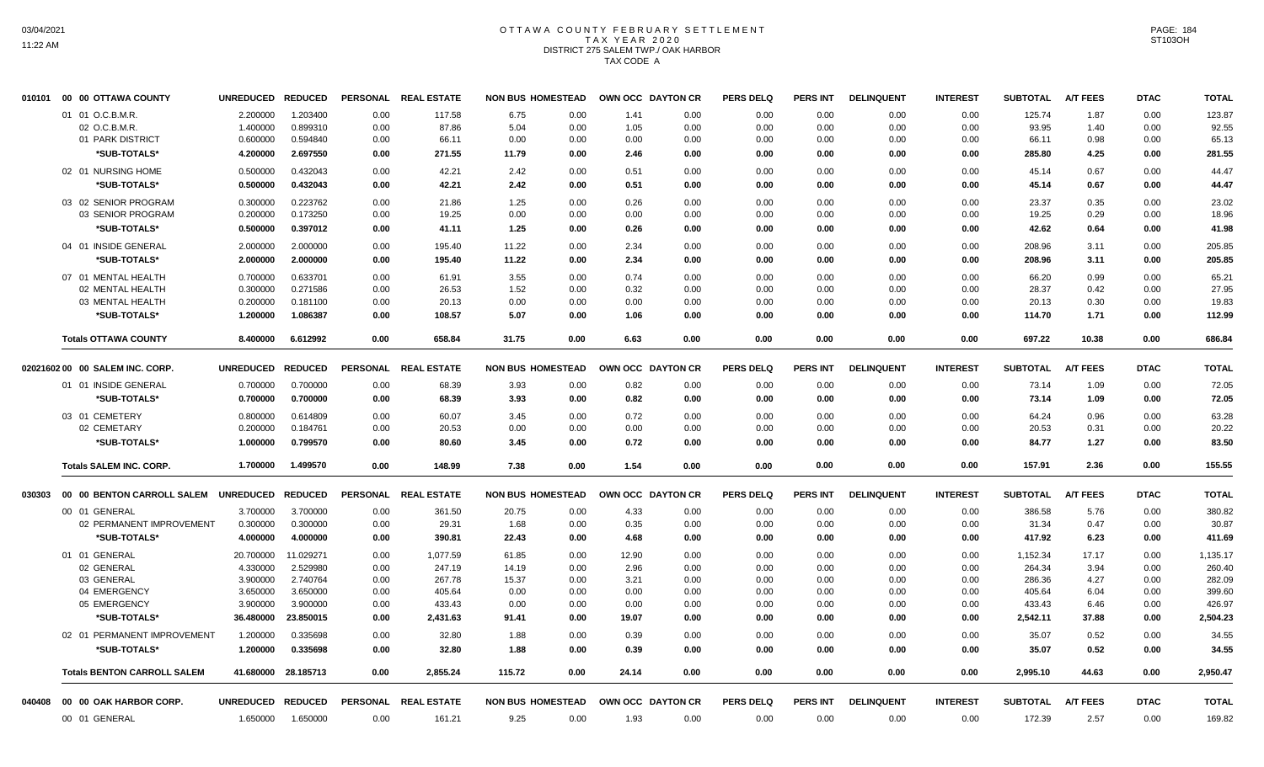# OTTAWA COUNTY FEBRUARY SETTLEMENT TAX YEAR 2020 DISTRICT 275 SALEM TWP./ OAK HARBOR TAX CODE A

|        | 010101 00 00 OTTAWA COUNTY         | <b>UNREDUCED</b>  | <b>REDUCED</b>      |      | PERSONAL REAL ESTATE | <b>NON BUS HOMESTEAD</b> |      | OWN OCC DAYTON CR |      | PERS DELQ        | <b>PERS INT</b> | <b>DELINQUENT</b> | <b>INTEREST</b> | <b>SUBTOTAL</b>   | <b>A/T FEES</b> | <b>DTAC</b> | <b>TOTAL</b> |
|--------|------------------------------------|-------------------|---------------------|------|----------------------|--------------------------|------|-------------------|------|------------------|-----------------|-------------------|-----------------|-------------------|-----------------|-------------|--------------|
|        | 01 01 O.C.B.M.R.                   | 2.200000          | 1.203400            | 0.00 | 117.58               | 6.75                     | 0.00 | 1.41              | 0.00 | 0.00             | 0.00            | 0.00              | 0.00            | 125.74            | 1.87            | 0.00        | 123.87       |
|        | 02 O.C.B.M.R.                      | 1.400000          | 0.899310            | 0.00 | 87.86                | 5.04                     | 0.00 | 1.05              | 0.00 | 0.00             | 0.00            | 0.00              | 0.00            | 93.95             | 1.40            | 0.00        | 92.55        |
|        | 01 PARK DISTRICT                   | 0.600000          | 0.594840            | 0.00 | 66.11                | 0.00                     | 0.00 | 0.00              | 0.00 | 0.00             | 0.00            | 0.00              | 0.00            | 66.11             | 0.98            | 0.00        | 65.13        |
|        | *SUB-TOTALS*                       | 4.200000          | 2.697550            | 0.00 | 271.55               | 11.79                    | 0.00 | 2.46              | 0.00 | 0.00             | 0.00            | 0.00              | 0.00            | 285.80            | 4.25            | 0.00        | 281.55       |
|        | 02 01 NURSING HOME                 | 0.500000          | 0.432043            | 0.00 | 42.21                | 2.42                     | 0.00 | 0.51              | 0.00 | 0.00             | 0.00            | 0.00              | 0.00            | 45.14             | 0.67            | 0.00        | 44.47        |
|        | *SUB-TOTALS*                       | 0.500000          | 0.432043            | 0.00 | 42.21                | 2.42                     | 0.00 | 0.51              | 0.00 | 0.00             | 0.00            | 0.00              | 0.00            | 45.14             | 0.67            | 0.00        | 44.47        |
|        | 03 02 SENIOR PROGRAM               | 0.300000          | 0.223762            | 0.00 | 21.86                | 1.25                     | 0.00 | 0.26              | 0.00 | 0.00             | 0.00            | 0.00              | 0.00            | 23.37             | 0.35            | 0.00        | 23.02        |
|        | 03 SENIOR PROGRAM                  | 0.200000          | 0.173250            | 0.00 | 19.25                | 0.00                     | 0.00 | 0.00              | 0.00 | 0.00             | 0.00            | 0.00              | 0.00            | 19.25             | 0.29            | 0.00        | 18.96        |
|        | *SUB-TOTALS*                       | 0.500000          | 0.397012            | 0.00 | 41.11                | 1.25                     | 0.00 | 0.26              | 0.00 | 0.00             | 0.00            | 0.00              | 0.00            | 42.62             | 0.64            | 0.00        | 41.98        |
|        | 04 01 INSIDE GENERAL               | 2.000000          | 2.000000            | 0.00 | 195.40               | 11.22                    | 0.00 | 2.34              | 0.00 | 0.00             | 0.00            | 0.00              | 0.00            | 208.96            | 3.11            | 0.00        | 205.85       |
|        | *SUB-TOTALS*                       | 2.000000          | 2.000000            | 0.00 | 195.40               | 11.22                    | 0.00 | 2.34              | 0.00 | 0.00             | 0.00            | 0.00              | 0.00            | 208.96            | 3.11            | 0.00        | 205.85       |
|        | 07 01 MENTAL HEALTH                | 0.700000          | 0.633701            | 0.00 | 61.91                | 3.55                     | 0.00 | 0.74              | 0.00 | 0.00             | 0.00            | 0.00              | 0.00            | 66.20             | 0.99            | 0.00        | 65.21        |
|        | 02 MENTAL HEALTH                   | 0.300000          | 0.271586            | 0.00 | 26.53                | 1.52                     | 0.00 | 0.32              | 0.00 | 0.00             | 0.00            | 0.00              | 0.00            | 28.37             | 0.42            | 0.00        | 27.95        |
|        | 03 MENTAL HEALTH                   | 0.200000          | 0.181100            | 0.00 | 20.13                | 0.00                     | 0.00 | 0.00              | 0.00 | 0.00             | 0.00            | 0.00              | 0.00            | 20.13             | 0.30            | 0.00        | 19.83        |
|        | *SUB-TOTALS*                       | 1.200000          | 1.086387            | 0.00 | 108.57               | 5.07                     | 0.00 | 1.06              | 0.00 | 0.00             | 0.00            | 0.00              | 0.00            | 114.70            | 1.71            | 0.00        | 112.99       |
|        | <b>Totals OTTAWA COUNTY</b>        | 8.400000          | 6.612992            | 0.00 | 658.84               | 31.75                    | 0.00 | 6.63              | 0.00 | 0.00             | 0.00            | 0.00              | 0.00            | 697.22            | 10.38           | 0.00        | 686.84       |
|        | 02021602 00 00 SALEM INC. CORP.    | <b>UNREDUCED</b>  | <b>REDUCED</b>      |      | PERSONAL REAL ESTATE | <b>NON BUS HOMESTEAD</b> |      | OWN OCC DAYTON CR |      | <b>PERS DELQ</b> | <b>PERS INT</b> | <b>DELINQUENT</b> | <b>INTEREST</b> | <b>SUBTOTAL</b>   | <b>A/T FEES</b> | <b>DTAC</b> | <b>TOTAL</b> |
|        | 01 01 INSIDE GENERAL               | 0.700000          | 0.700000            | 0.00 | 68.39                | 3.93                     | 0.00 | 0.82              | 0.00 | 0.00             | 0.00            |                   | 0.00            | 73.14             | 1.09            | 0.00        | 72.05        |
|        |                                    |                   |                     |      |                      |                          |      |                   |      |                  |                 | 0.00              |                 |                   |                 |             |              |
|        | *SUB-TOTALS*                       | 0.700000          | 0.700000            | 0.00 | 68.39                | 3.93                     | 0.00 | 0.82              | 0.00 | 0.00             | 0.00            | 0.00              | 0.00            | 73.14             | 1.09            | 0.00        | 72.05        |
|        | 03 01 CEMETERY                     | 0.800000          | 0.614809            | 0.00 | 60.07                | 3.45                     | 0.00 | 0.72              | 0.00 | 0.00             | 0.00            | 0.00              | 0.00            | 64.24             | 0.96            | 0.00        | 63.28        |
|        | 02 CEMETARY                        | 0.200000          | 0.184761            | 0.00 | 20.53                | 0.00                     | 0.00 | 0.00              | 0.00 | 0.00             | 0.00            | 0.00              | 0.00            | 20.53             | 0.31            | 0.00        | 20.22        |
|        | *SUB-TOTALS*                       | 1.000000          | 0.799570            | 0.00 | 80.60                | 3.45                     | 0.00 | 0.72              | 0.00 | 0.00             | 0.00            | 0.00              | 0.00            | 84.77             | 1.27            | 0.00        | 83.50        |
|        | <b>Totals SALEM INC. CORP.</b>     | 1.700000          | 1.499570            | 0.00 | 148.99               | 7.38                     | 0.00 | 1.54              | 0.00 | 0.00             | 0.00            | 0.00              | 0.00            | 157.91            | 2.36            | 0.00        | 155.55       |
| 030303 | 00 00 BENTON CARROLL SALEM         | UNREDUCED REDUCED |                     |      | PERSONAL REAL ESTATE | <b>NON BUS HOMESTEAD</b> |      | OWN OCC DAYTON CR |      | <b>PERS DELQ</b> | PERS INT        | <b>DELINQUENT</b> | <b>INTEREST</b> | SUBTOTAL A/T FEES |                 | <b>DTAC</b> | <b>TOTAL</b> |
|        | 00 01 GENERAL                      | 3.700000          | 3.700000            | 0.00 | 361.50               | 20.75                    | 0.00 | 4.33              | 0.00 | 0.00             | 0.00            | 0.00              | 0.00            | 386.58            | 5.76            | 0.00        | 380.82       |
|        | 02 PERMANENT IMPROVEMENT           | 0.300000          | 0.300000            | 0.00 | 29.31                | 1.68                     | 0.00 | 0.35              | 0.00 | 0.00             | 0.00            | 0.00              | 0.00            | 31.34             | 0.47            | 0.00        | 30.87        |
|        | *SUB-TOTALS*                       | 4.000000          | 4.000000            | 0.00 | 390.81               | 22.43                    | 0.00 | 4.68              | 0.00 | 0.00             | 0.00            | 0.00              | 0.00            | 417.92            | 6.23            | 0.00        | 411.69       |
|        | 01 01 GENERAL                      | 20.700000         | 11.029271           | 0.00 | 1,077.59             | 61.85                    | 0.00 | 12.90             | 0.00 | 0.00             | 0.00            | 0.00              | 0.00            | 1,152.34          | 17.17           | 0.00        | 1,135.17     |
|        | 02 GENERAL                         | 4.330000          | 2.529980            | 0.00 | 247.19               | 14.19                    | 0.00 | 2.96              | 0.00 | 0.00             | 0.00            | 0.00              | 0.00            | 264.34            | 3.94            | 0.00        | 260.40       |
|        | 03 GENERAL                         | 3.900000          | 2.740764            | 0.00 | 267.78               | 15.37                    | 0.00 | 3.21              | 0.00 | 0.00             | 0.00            | 0.00              | 0.00            | 286.36            | 4.27            | 0.00        | 282.09       |
|        | 04 EMERGENCY                       | 3.650000          | 3.650000            | 0.00 | 405.64               | 0.00                     | 0.00 | 0.00              | 0.00 | 0.00             | 0.00            | 0.00              | 0.00            | 405.64            | 6.04            | 0.00        | 399.60       |
|        | 05 EMERGENCY                       | 3.900000          | 3.900000            | 0.00 | 433.43               | 0.00                     | 0.00 | 0.00              | 0.00 | 0.00             | 0.00            | 0.00              | 0.00            | 433.43            | 6.46            | 0.00        | 426.97       |
|        | *SUB-TOTALS*                       | 36.480000         | 23.850015           | 0.00 | 2,431.63             | 91.41                    | 0.00 | 19.07             | 0.00 | 0.00             | 0.00            | 0.00              | 0.00            | 2,542.11          | 37.88           | 0.00        | 2,504.23     |
|        | 02 01 PERMANENT IMPROVEMENT        | 1.200000          | 0.335698            | 0.00 | 32.80                | 1.88                     | 0.00 | 0.39              | 0.00 | 0.00             | 0.00            | 0.00              | 0.00            | 35.07             | 0.52            | 0.00        | 34.55        |
|        | *SUB-TOTALS*                       | 1.200000          | 0.335698            | 0.00 | 32.80                | 1.88                     | 0.00 | 0.39              | 0.00 | 0.00             | 0.00            | 0.00              | 0.00            | 35.07             | 0.52            | 0.00        | 34.55        |
|        | <b>Totals BENTON CARROLL SALEM</b> |                   | 41.680000 28.185713 | 0.00 | 2,855.24             | 115.72                   | 0.00 | 24.14             | 0.00 | 0.00             | 0.00            | 0.00              | 0.00            | 2,995.10          | 44.63           | 0.00        | 2,950.47     |
| 040408 | 00 00 OAK HARBOR CORP.             | <b>UNREDUCED</b>  | <b>REDUCED</b>      |      | PERSONAL REAL ESTATE | <b>NON BUS HOMESTEAD</b> |      | OWN OCC DAYTON CR |      | <b>PERS DELQ</b> | <b>PERS INT</b> | <b>DELINQUENT</b> | <b>INTEREST</b> | <b>SUBTOTAL</b>   | <b>A/T FEES</b> | <b>DTAC</b> | <b>TOTAL</b> |
|        | 00 01 GENERAL                      | 1.650000          | 1.650000            | 0.00 | 161.21               | 9.25                     | 0.00 | 1.93              | 0.00 | 0.00             | 0.00            | 0.00              | 0.00            | 172.39            | 2.57            | 0.00        | 169.82       |
|        |                                    |                   |                     |      |                      |                          |      |                   |      |                  |                 |                   |                 |                   |                 |             |              |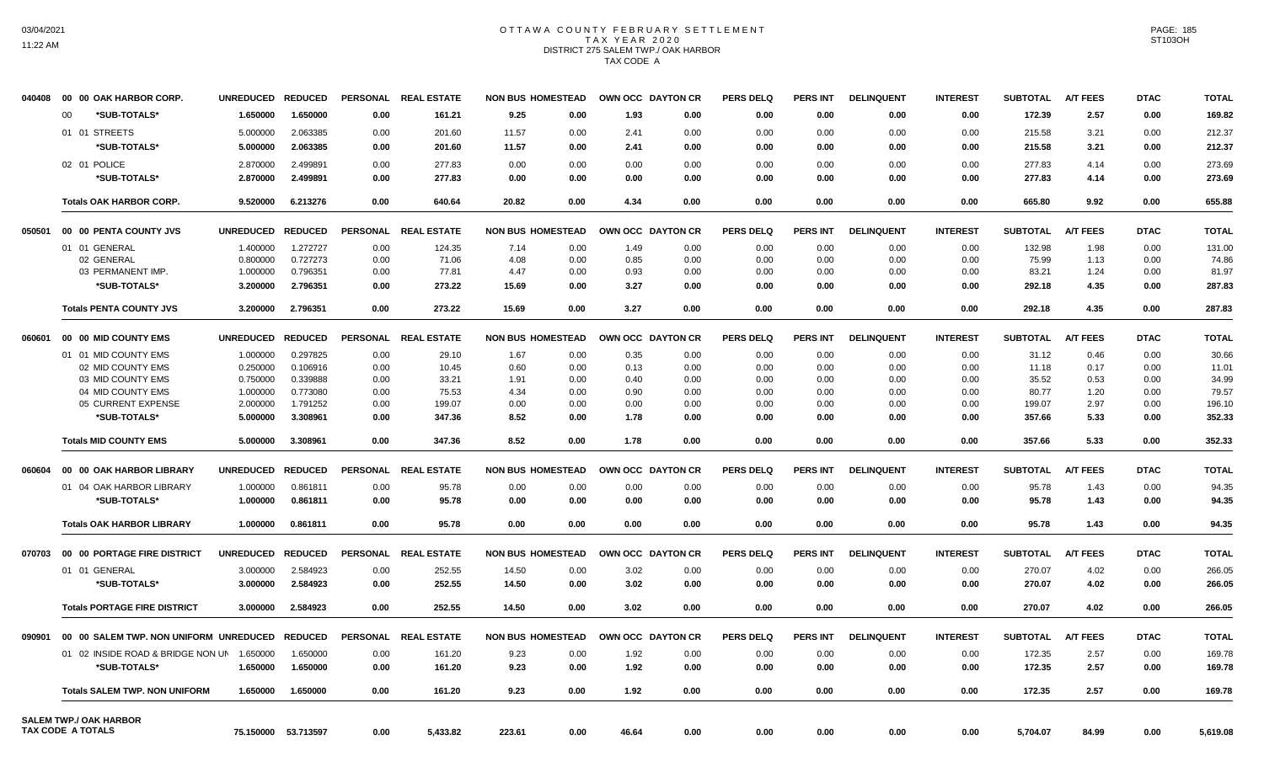# OTTAWA COUNTY FEBRUARY SETTLEMENT TAX YEAR 2020 DISTRICT 275 SALEM TWP./ OAK HARBOR TAX CODE A

| 040408 | 00 00 OAK HARBOR CORP.                                    | <b>UNREDUCED</b> | <b>REDUCED</b>      | <b>PERSONAL</b> | <b>REAL ESTATE</b> | <b>NON BUS HOMESTEAD</b> |      | OWN OCC DAYTON CR |      | <b>PERS DELQ</b> | <b>PERS INT</b> | <b>DELINQUENT</b> | <b>INTEREST</b> | <b>SUBTOTAL</b> | <b>A/T FEES</b> | <b>DTAC</b> | <b>TOTAL</b> |
|--------|-----------------------------------------------------------|------------------|---------------------|-----------------|--------------------|--------------------------|------|-------------------|------|------------------|-----------------|-------------------|-----------------|-----------------|-----------------|-------------|--------------|
|        | $00 \,$<br>*SUB-TOTALS*                                   | 1.650000         | 1.650000            | 0.00            | 161.21             | 9.25                     | 0.00 | 1.93              | 0.00 | 0.00             | 0.00            | 0.00              | 0.00            | 172.39          | 2.57            | 0.00        | 169.82       |
|        | 01 01 STREETS                                             | 5.000000         | 2.063385            | 0.00            | 201.60             | 11.57                    | 0.00 | 2.41              | 0.00 | 0.00             | 0.00            | 0.00              | 0.00            | 215.58          | 3.21            | 0.00        | 212.37       |
|        | *SUB-TOTALS*                                              | 5.000000         | 2.063385            | 0.00            | 201.60             | 11.57                    | 0.00 | 2.41              | 0.00 | 0.00             | 0.00            | 0.00              | 0.00            | 215.58          | 3.21            | 0.00        | 212.37       |
|        | 02 01 POLICE                                              | 2.870000         | 2.499891            | 0.00            | 277.83             | 0.00                     | 0.00 | 0.00              | 0.00 | 0.00             | 0.00            | 0.00              | 0.00            | 277.83          | 4.14            | 0.00        | 273.69       |
|        | *SUB-TOTALS*                                              | 2.870000         | 2.499891            | 0.00            | 277.83             | 0.00                     | 0.00 | 0.00              | 0.00 | 0.00             | 0.00            | 0.00              | 0.00            | 277.83          | 4.14            | 0.00        | 273.69       |
|        |                                                           |                  |                     |                 |                    |                          |      |                   |      |                  |                 |                   |                 |                 |                 |             |              |
|        | <b>Totals OAK HARBOR CORP.</b>                            | 9.520000         | 6.213276            | 0.00            | 640.64             | 20.82                    | 0.00 | 4.34              | 0.00 | 0.00             | 0.00            | 0.00              | 0.00            | 665.80          | 9.92            | 0.00        | 655.88       |
| 050501 | 00 00 PENTA COUNTY JVS                                    | <b>UNREDUCED</b> | <b>REDUCED</b>      | <b>PERSONAL</b> | <b>REAL ESTATE</b> | <b>NON BUS HOMESTEAD</b> |      | OWN OCC DAYTON CR |      | <b>PERS DELQ</b> | PERS INT        | <b>DELINQUENT</b> | <b>INTEREST</b> | <b>SUBTOTAL</b> | <b>A/T FEES</b> | <b>DTAC</b> | <b>TOTAL</b> |
|        | 01 01 GENERAL                                             | 1.400000         | 1.272727            | 0.00            | 124.35             | 7.14                     | 0.00 | 1.49              | 0.00 | 0.00             | 0.00            | 0.00              | 0.00            | 132.98          | 1.98            | 0.00        | 131.00       |
|        | 02 GENERAL                                                | 0.800000         | 0.727273            | 0.00            | 71.06              | 4.08                     | 0.00 | 0.85              | 0.00 | 0.00             | 0.00            | 0.00              | 0.00            | 75.99           | 1.13            | 0.00        | 74.86        |
|        | 03 PERMANENT IMP.                                         | 1.000000         | 0.796351            | 0.00            | 77.81              | 4.47                     | 0.00 | 0.93              | 0.00 | 0.00             | 0.00            | 0.00              | 0.00            | 83.21           | 1.24            | 0.00        | 81.97        |
|        | *SUB-TOTALS*                                              | 3.200000         | 2.796351            | 0.00            | 273.22             | 15.69                    | 0.00 | 3.27              | 0.00 | 0.00             | 0.00            | 0.00              | 0.00            | 292.18          | 4.35            | 0.00        | 287.83       |
|        | <b>Totals PENTA COUNTY JVS</b>                            | 3.200000         | 2.796351            | 0.00            | 273.22             | 15.69                    | 0.00 | 3.27              | 0.00 | 0.00             | 0.00            | 0.00              | 0.00            | 292.18          | 4.35            | 0.00        | 287.83       |
| 060601 | 00 00 MID COUNTY EMS                                      | <b>UNREDUCED</b> | <b>REDUCED</b>      | <b>PERSONAL</b> | <b>REAL ESTATE</b> | <b>NON BUS HOMESTEAD</b> |      | OWN OCC DAYTON CR |      | <b>PERS DELQ</b> | <b>PERS INT</b> | <b>DELINQUENT</b> | <b>INTEREST</b> | <b>SUBTOTAL</b> | <b>A/T FEES</b> | <b>DTAC</b> | <b>TOTAL</b> |
|        | 01 01 MID COUNTY EMS                                      | 1.000000         | 0.297825            | 0.00            | 29.10              | 1.67                     | 0.00 | 0.35              | 0.00 | 0.00             | 0.00            | 0.00              | 0.00            | 31.12           | 0.46            | 0.00        | 30.66        |
|        | 02 MID COUNTY EMS                                         | 0.250000         | 0.106916            | 0.00            | 10.45              | 0.60                     | 0.00 | 0.13              | 0.00 | 0.00             | 0.00            | 0.00              | 0.00            | 11.18           | 0.17            | 0.00        | 11.01        |
|        | 03 MID COUNTY EMS                                         | 0.750000         | 0.339888            | 0.00            | 33.21              | 1.91                     | 0.00 | 0.40              | 0.00 | 0.00             | 0.00            | 0.00              | 0.00            | 35.52           | 0.53            | 0.00        | 34.99        |
|        | 04 MID COUNTY EMS                                         | 1.000000         | 0.773080            | 0.00            | 75.53              | 4.34                     | 0.00 | 0.90              | 0.00 | 0.00             | 0.00            | 0.00              | 0.00            | 80.77           | 1.20            | 0.00        | 79.57        |
|        | 05 CURRENT EXPENSE                                        | 2.000000         | 1.791252            | 0.00            | 199.07             | 0.00                     | 0.00 | 0.00              | 0.00 | 0.00             | 0.00            | 0.00              | 0.00            | 199.07          | 2.97            | 0.00        | 196.10       |
|        | *SUB-TOTALS*                                              | 5.000000         | 3.308961            | 0.00            | 347.36             | 8.52                     | 0.00 | 1.78              | 0.00 | 0.00             | 0.00            | 0.00              | 0.00            | 357.66          | 5.33            | 0.00        | 352.33       |
|        | <b>Totals MID COUNTY EMS</b>                              | 5.000000         | 3.308961            | 0.00            | 347.36             | 8.52                     | 0.00 | 1.78              | 0.00 | 0.00             | 0.00            | 0.00              | 0.00            | 357.66          | 5.33            | 0.00        | 352.33       |
| 060604 | 00 00 OAK HARBOR LIBRARY                                  | <b>UNREDUCED</b> | <b>REDUCED</b>      | <b>PERSONAL</b> | <b>REAL ESTATE</b> | <b>NON BUS HOMESTEAD</b> |      | OWN OCC DAYTON CR |      | <b>PERS DELQ</b> | PERS INT        | <b>DELINQUENT</b> | <b>INTEREST</b> | <b>SUBTOTAL</b> | <b>A/T FEES</b> | <b>DTAC</b> | <b>TOTAL</b> |
|        | 01 04 OAK HARBOR LIBRARY                                  | 1.000000         | 0.861811            | 0.00            | 95.78              | 0.00                     | 0.00 | 0.00              | 0.00 | 0.00             | 0.00            | 0.00              | 0.00            | 95.78           | 1.43            | 0.00        | 94.35        |
|        | *SUB-TOTALS*                                              | 1.000000         | 0.861811            | 0.00            | 95.78              | 0.00                     | 0.00 | 0.00              | 0.00 | 0.00             | 0.00            | 0.00              | 0.00            | 95.78           | 1.43            | 0.00        | 94.35        |
|        | <b>Totals OAK HARBOR LIBRARY</b>                          | 1.000000         | 0.861811            | 0.00            | 95.78              | 0.00                     | 0.00 | 0.00              | 0.00 | 0.00             | 0.00            | 0.00              | 0.00            | 95.78           | 1.43            | 0.00        | 94.35        |
| 070703 | 00 00 PORTAGE FIRE DISTRICT                               | <b>UNREDUCED</b> | <b>REDUCED</b>      | <b>PERSONAL</b> | <b>REAL ESTATE</b> | <b>NON BUS HOMESTEAD</b> |      | OWN OCC DAYTON CR |      | <b>PERS DELQ</b> | <b>PERS INT</b> | <b>DELINQUENT</b> | <b>INTEREST</b> | <b>SUBTOTAL</b> | <b>A/T FEES</b> | <b>DTAC</b> | <b>TOTAL</b> |
|        | 01 01 GENERAL                                             | 3.000000         | 2.584923            | 0.00            | 252.55             | 14.50                    | 0.00 | 3.02              | 0.00 | 0.00             | 0.00            | 0.00              | 0.00            | 270.07          | 4.02            | 0.00        | 266.05       |
|        | *SUB-TOTALS*                                              | 3.000000         | 2.584923            | 0.00            | 252.55             | 14.50                    | 0.00 | 3.02              | 0.00 | 0.00             | 0.00            | 0.00              | 0.00            | 270.07          | 4.02            | 0.00        | 266.05       |
|        | <b>Totals PORTAGE FIRE DISTRICT</b>                       | 3.000000         | 2.584923            | 0.00            | 252.55             | 14.50                    | 0.00 | 3.02              | 0.00 | 0.00             | 0.00            | 0.00              | 0.00            | 270.07          | 4.02            | 0.00        | 266.05       |
| 090901 | 00 00 SALEM TWP. NON UNIFORM UNREDUCED                    |                  | <b>REDUCED</b>      | <b>PERSONAL</b> | <b>REAL ESTATE</b> | <b>NON BUS HOMESTEAD</b> |      | OWN OCC DAYTON CR |      | <b>PERS DELQ</b> | PERS INT        | <b>DELINQUENT</b> | <b>INTEREST</b> | <b>SUBTOTAL</b> | <b>A/T FEES</b> | <b>DTAC</b> | <b>TOTAL</b> |
|        | 01 02 INSIDE ROAD & BRIDGE NON UN                         | 1.650000         | 1.650000            | 0.00            | 161.20             | 9.23                     | 0.00 | 1.92              | 0.00 | 0.00             | 0.00            | 0.00              | 0.00            | 172.35          | 2.57            | 0.00        | 169.78       |
|        | *SUB-TOTALS*                                              | 1.650000         | 1.650000            | 0.00            | 161.20             | 9.23                     | 0.00 | 1.92              | 0.00 | 0.00             | 0.00            | 0.00              | 0.00            | 172.35          | 2.57            | 0.00        | 169.78       |
|        | <b>Totals SALEM TWP, NON UNIFORM</b>                      | 1.650000         | 1.650000            | 0.00            | 161.20             | 9.23                     | 0.00 | 1.92              | 0.00 | 0.00             | 0.00            | 0.00              | 0.00            | 172.35          | 2.57            | 0.00        | 169.78       |
|        |                                                           |                  |                     |                 |                    |                          |      |                   |      |                  |                 |                   |                 |                 |                 |             |              |
|        | <b>SALEM TWP./ OAK HARBOR</b><br><b>TAX CODE A TOTALS</b> |                  | 75.150000 53.713597 | 0.00            | 5,433.82           | 223.61                   | 0.00 | 46.64             | 0.00 | 0.00             | 0.00            | 0.00              | 0.00            | 5,704.07        | 84.99           | 0.00        | 5,619.08     |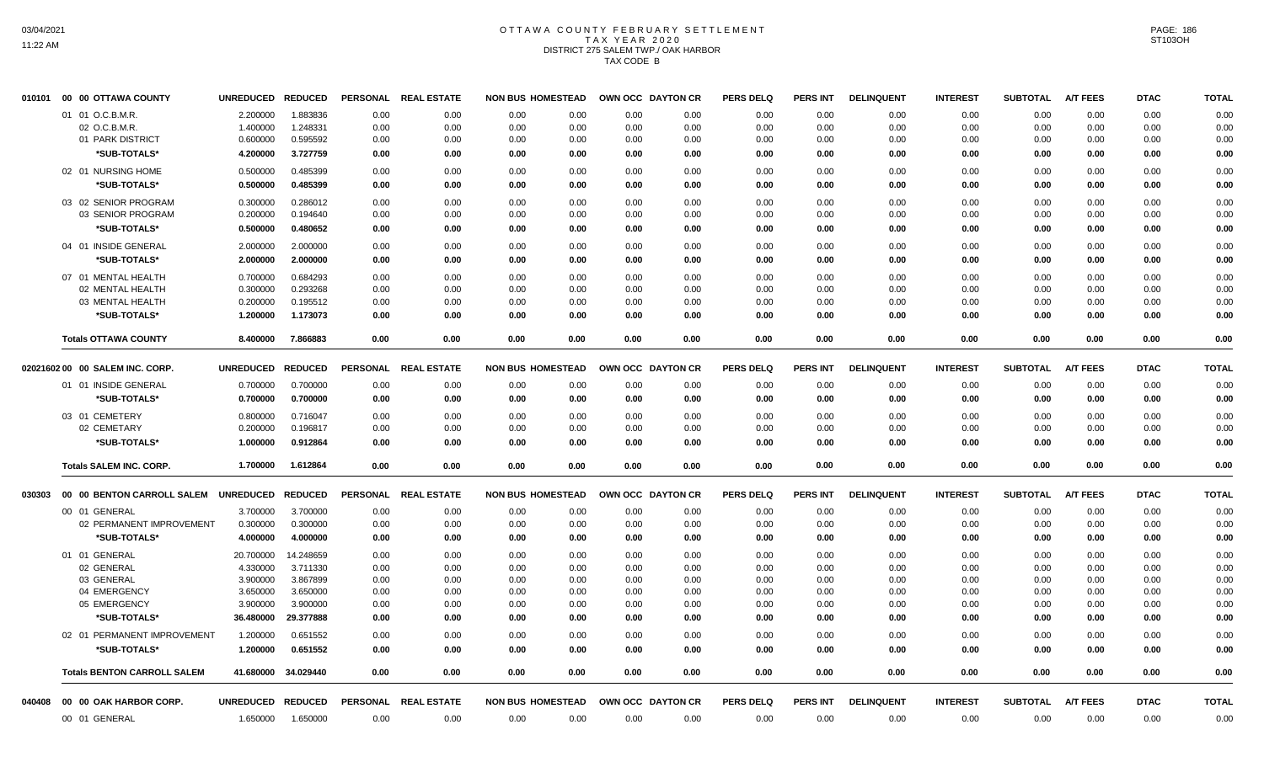# OTTAWA COUNTY FEBRUARY SETTLEMENT TAX YEAR 2020 DISTRICT 275 SALEM TWP./ OAK HARBOR TAX CODE B

| 010101 | 00 00 OTTAWA COUNTY                | UNREDUCED REDUCED |                | <b>PERSONAL</b> | <b>REAL ESTATE</b>   | <b>NON BUS HOMESTEAD</b> |      | OWN OCC DAYTON CR |      | <b>PERS DELQ</b> | <b>PERS INT</b> | <b>DELINQUENT</b> | <b>INTEREST</b> | <b>SUBTOTAL</b> | <b>A/T FEES</b> | <b>DTAC</b> | <b>TOTAL</b> |
|--------|------------------------------------|-------------------|----------------|-----------------|----------------------|--------------------------|------|-------------------|------|------------------|-----------------|-------------------|-----------------|-----------------|-----------------|-------------|--------------|
|        | 01 01 O.C.B.M.R.                   | 2.200000          | 1.883836       | 0.00            | 0.00                 | 0.00                     | 0.00 | 0.00              | 0.00 | 0.00             | 0.00            | 0.00              | 0.00            | 0.00            | 0.00            | 0.00        | 0.00         |
|        | 02 O.C.B.M.R.                      | 1.400000          | 1.248331       | 0.00            | 0.00                 | 0.00                     | 0.00 | 0.00              | 0.00 | 0.00             | 0.00            | 0.00              | 0.00            | 0.00            | 0.00            | 0.00        | 0.00         |
|        | 01 PARK DISTRICT                   | 0.600000          | 0.595592       | 0.00            | 0.00                 | 0.00                     | 0.00 | 0.00              | 0.00 | 0.00             | 0.00            | 0.00              | 0.00            | 0.00            | 0.00            | 0.00        | 0.00         |
|        | *SUB-TOTALS*                       | 4.200000          | 3.727759       | 0.00            | 0.00                 | 0.00                     | 0.00 | 0.00              | 0.00 | 0.00             | 0.00            | 0.00              | 0.00            | 0.00            | 0.00            | 0.00        | 0.00         |
|        | 02 01 NURSING HOME                 | 0.500000          | 0.485399       | 0.00            | 0.00                 | 0.00                     | 0.00 | 0.00              | 0.00 | 0.00             | 0.00            | 0.00              | 0.00            | 0.00            | 0.00            | 0.00        | 0.00         |
|        | *SUB-TOTALS*                       | 0.500000          | 0.485399       | 0.00            | 0.00                 | 0.00                     | 0.00 | 0.00              | 0.00 | 0.00             | 0.00            | 0.00              | 0.00            | 0.00            | 0.00            | 0.00        | 0.00         |
|        |                                    |                   |                |                 |                      |                          |      |                   |      |                  |                 |                   |                 |                 |                 |             |              |
|        | 03 02 SENIOR PROGRAM               | 0.300000          | 0.286012       | 0.00            | 0.00                 | 0.00                     | 0.00 | 0.00              | 0.00 | 0.00             | 0.00            | 0.00              | 0.00            | 0.00            | 0.00            | 0.00        | 0.00         |
|        | 03 SENIOR PROGRAM                  | 0.200000          | 0.194640       | 0.00            | 0.00                 | 0.00                     | 0.00 | 0.00              | 0.00 | 0.00             | 0.00            | 0.00              | 0.00            | 0.00            | 0.00            | 0.00        | 0.00         |
|        | *SUB-TOTALS*                       | 0.500000          | 0.480652       | 0.00            | 0.00                 | 0.00                     | 0.00 | 0.00              | 0.00 | 0.00             | 0.00            | 0.00              | 0.00            | 0.00            | 0.00            | 0.00        | 0.00         |
|        | 04 01 INSIDE GENERAL               | 2.000000          | 2.000000       | 0.00            | 0.00                 | 0.00                     | 0.00 | 0.00              | 0.00 | 0.00             | 0.00            | 0.00              | 0.00            | 0.00            | 0.00            | 0.00        | 0.00         |
|        | *SUB-TOTALS*                       | 2.000000          | 2.000000       | 0.00            | 0.00                 | 0.00                     | 0.00 | 0.00              | 0.00 | 0.00             | 0.00            | 0.00              | 0.00            | 0.00            | 0.00            | 0.00        | 0.00         |
|        | 07 01 MENTAL HEALTH                | 0.700000          | 0.684293       | 0.00            | 0.00                 | 0.00                     | 0.00 | 0.00              | 0.00 | 0.00             | 0.00            | 0.00              | 0.00            | 0.00            | 0.00            | 0.00        | 0.00         |
|        | 02 MENTAL HEALTH                   | 0.300000          | 0.293268       | 0.00            | 0.00                 | 0.00                     | 0.00 | 0.00              | 0.00 | 0.00             | 0.00            | 0.00              | 0.00            | 0.00            | 0.00            | 0.00        | 0.00         |
|        | 03 MENTAL HEALTH                   | 0.200000          | 0.195512       | 0.00            | 0.00                 | 0.00                     | 0.00 | 0.00              | 0.00 | 0.00             | 0.00            | 0.00              | 0.00            | 0.00            | 0.00            | 0.00        | 0.00         |
|        | *SUB-TOTALS*                       | 1.200000          | 1.173073       | 0.00            | 0.00                 | 0.00                     | 0.00 | 0.00              | 0.00 | 0.00             | 0.00            | 0.00              | 0.00            | 0.00            | 0.00            | 0.00        | 0.00         |
|        | <b>Totals OTTAWA COUNTY</b>        | 8.400000          | 7.866883       | 0.00            | 0.00                 | 0.00                     | 0.00 | 0.00              | 0.00 | 0.00             | 0.00            | 0.00              | 0.00            | 0.00            | 0.00            | 0.00        | 0.00         |
|        | 02021602 00 00 SALEM INC. CORP.    | <b>UNREDUCED</b>  | <b>REDUCED</b> | <b>PERSONAL</b> | <b>REAL ESTATE</b>   | <b>NON BUS HOMESTEAD</b> |      | OWN OCC DAYTON CR |      | <b>PERS DELQ</b> | <b>PERS INT</b> | <b>DELINQUENT</b> | <b>INTEREST</b> | <b>SUBTOTAL</b> | <b>A/T FEES</b> | <b>DTAC</b> | <b>TOTAL</b> |
|        | 01 01 INSIDE GENERAL               |                   |                |                 |                      |                          |      |                   |      |                  |                 |                   |                 |                 |                 |             |              |
|        | *SUB-TOTALS*                       | 0.700000          | 0.700000       | 0.00            | 0.00                 | 0.00                     | 0.00 | 0.00              | 0.00 | 0.00             | 0.00            | 0.00              | 0.00            | 0.00            | 0.00            | 0.00        | 0.00         |
|        |                                    | 0.700000          | 0.700000       | 0.00            | 0.00                 | 0.00                     | 0.00 | 0.00              | 0.00 | 0.00             | 0.00            | 0.00              | 0.00            | 0.00            | 0.00            | 0.00        | 0.00         |
|        | 03 01 CEMETERY                     | 0.800000          | 0.716047       | 0.00            | 0.00                 | 0.00                     | 0.00 | 0.00              | 0.00 | 0.00             | 0.00            | 0.00              | 0.00            | 0.00            | 0.00            | 0.00        | 0.00         |
|        | 02 CEMETARY                        | 0.200000          | 0.196817       | 0.00            | 0.00                 | 0.00                     | 0.00 | 0.00              | 0.00 | 0.00             | 0.00            | 0.00              | 0.00            | 0.00            | 0.00            | 0.00        | 0.00         |
|        | *SUB-TOTALS*                       | 1.000000          | 0.912864       | 0.00            | 0.00                 | 0.00                     | 0.00 | 0.00              | 0.00 | 0.00             | 0.00            | 0.00              | 0.00            | 0.00            | 0.00            | 0.00        | 0.00         |
|        | <b>Totals SALEM INC. CORP.</b>     | 1.700000          | 1.612864       | 0.00            | 0.00                 | 0.00                     | 0.00 | 0.00              | 0.00 | 0.00             | 0.00            | 0.00              | 0.00            | 0.00            | 0.00            | 0.00        | 0.00         |
| 030303 | 00 00 BENTON CARROLL SALEM         | UNREDUCED REDUCED |                | <b>PERSONAL</b> | <b>REAL ESTATE</b>   | <b>NON BUS HOMESTEAD</b> |      | OWN OCC DAYTON CR |      | <b>PERS DELQ</b> | <b>PERS INT</b> | <b>DELINQUENT</b> | <b>INTEREST</b> | <b>SUBTOTAL</b> | <b>A/T FEES</b> | <b>DTAC</b> | <b>TOTAL</b> |
|        | 00 01 GENERAL                      | 3.700000          | 3.700000       | 0.00            | 0.00                 | 0.00                     | 0.00 | 0.00              | 0.00 | 0.00             | 0.00            | 0.00              | 0.00            | 0.00            | 0.00            | 0.00        | 0.00         |
|        | 02 PERMANENT IMPROVEMENT           | 0.300000          | 0.300000       | 0.00            | 0.00                 | 0.00                     | 0.00 | 0.00              | 0.00 | 0.00             | 0.00            | 0.00              | 0.00            | 0.00            | 0.00            | 0.00        | 0.00         |
|        | *SUB-TOTALS*                       | 4.000000          | 4.000000       | 0.00            | 0.00                 | 0.00                     | 0.00 | 0.00              | 0.00 | 0.00             | 0.00            | 0.00              | 0.00            | 0.00            | 0.00            | 0.00        | 0.00         |
|        | 01 01 GENERAL                      | 20.700000         | 14.248659      | 0.00            | 0.00                 | 0.00                     | 0.00 | 0.00              | 0.00 | 0.00             | 0.00            | 0.00              | 0.00            | 0.00            | 0.00            | 0.00        | 0.00         |
|        | 02 GENERAL                         | 4.330000          | 3.711330       | 0.00            | 0.00                 | 0.00                     | 0.00 | 0.00              | 0.00 | 0.00             | 0.00            | 0.00              | 0.00            | 0.00            | 0.00            | 0.00        | 0.00         |
|        | 03 GENERAL                         | 3.900000          | 3.867899       | 0.00            | 0.00                 | 0.00                     | 0.00 | 0.00              | 0.00 | 0.00             | 0.00            | 0.00              | 0.00            | 0.00            | 0.00            | 0.00        | 0.00         |
|        | 04 EMERGENCY                       | 3.650000          | 3.650000       | 0.00            | 0.00                 | 0.00                     | 0.00 | 0.00              | 0.00 | 0.00             | 0.00            | 0.00              | 0.00            | 0.00            | 0.00            | 0.00        | 0.00         |
|        | 05 EMERGENCY                       | 3.900000          | 3.900000       | 0.00            | 0.00                 | 0.00                     | 0.00 | 0.00              | 0.00 | 0.00             | 0.00            | 0.00              | 0.00            | 0.00            | 0.00            | 0.00        | 0.00         |
|        | *SUB-TOTALS*                       | 36.480000         | 29.377888      | 0.00            | 0.00                 | 0.00                     | 0.00 | 0.00              | 0.00 | 0.00             | 0.00            | 0.00              | 0.00            | 0.00            | 0.00            | 0.00        | 0.00         |
|        | 02 01 PERMANENT IMPROVEMENT        | 1.200000          | 0.651552       | 0.00            | 0.00                 | 0.00                     | 0.00 | 0.00              | 0.00 | 0.00             | 0.00            | 0.00              | 0.00            | 0.00            | 0.00            | 0.00        | 0.00         |
|        | <b><i><b>SUB-TOTALS*</b></i></b>   | 1.200000          | 0.651552       | 0.00            | 0.00                 | 0.00                     | 0.00 | 0.00              | 0.00 | 0.00             | 0.00            | 0.00              | 0.00            | 0.00            | 0.00            | 0.00        | 0.00         |
|        | <b>Totals BENTON CARROLL SALEM</b> | 41.680000         | 34.029440      | 0.00            | 0.00                 | 0.00                     | 0.00 | 0.00              | 0.00 | 0.00             | 0.00            | 0.00              | 0.00            | 0.00            | 0.00            | 0.00        | 0.00         |
| 040408 | 00 00 OAK HARBOR CORP.             | UNREDUCED REDUCED |                |                 | PERSONAL REAL ESTATE | <b>NON BUS HOMESTEAD</b> |      | OWN OCC DAYTON CR |      | <b>PERS DELQ</b> | <b>PERS INT</b> | <b>DELINQUENT</b> | <b>INTEREST</b> | <b>SUBTOTAL</b> | <b>A/T FEES</b> | <b>DTAC</b> | <b>TOTAL</b> |
|        | 00 01 GENERAL                      | 1.650000          | 1.650000       | 0.00            | 0.00                 | 0.00                     | 0.00 | 0.00              | 0.00 | 0.00             | 0.00            | 0.00              | 0.00            | 0.00            | 0.00            | 0.00        | 0.00         |
|        |                                    |                   |                |                 |                      |                          |      |                   |      |                  |                 |                   |                 |                 |                 |             |              |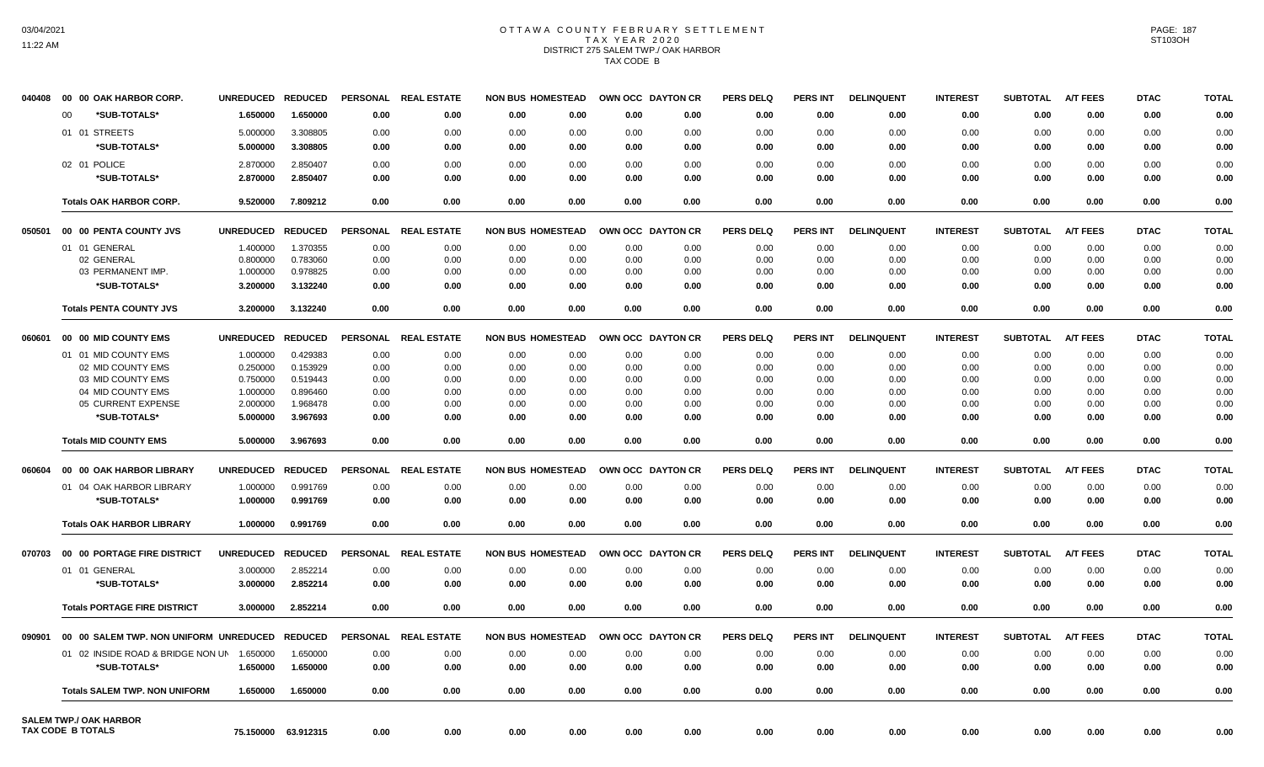# OTTAWA COUNTY FEBRUARY SETTLEMENT TAX YEAR 2020 DISTRICT 275 SALEM TWP./ OAK HARBOR TAX CODE B

| 040408 | 00 00 OAK HARBOR CORP.                             | <b>UNREDUCED</b> | <b>REDUCED</b>      | <b>PERSONAL</b> | <b>REAL ESTATE</b> | <b>NON BUS HOMESTEAD</b> |      | OWN OCC DAYTON CR |      | <b>PERS DELQ</b> | <b>PERS INT</b> | <b>DELINQUENT</b> | <b>INTEREST</b> | <b>SUBTOTAL</b> | <b>A/T FEES</b> | <b>DTAC</b> | <b>TOTAL</b> |
|--------|----------------------------------------------------|------------------|---------------------|-----------------|--------------------|--------------------------|------|-------------------|------|------------------|-----------------|-------------------|-----------------|-----------------|-----------------|-------------|--------------|
|        | *SUB-TOTALS*<br>00                                 | 1.650000         | 1.650000            | 0.00            | 0.00               | 0.00                     | 0.00 | 0.00              | 0.00 | 0.00             | 0.00            | 0.00              | 0.00            | 0.00            | 0.00            | 0.00        | 0.00         |
|        | 01 01 STREETS                                      | 5.000000         | 3.308805            | 0.00            | 0.00               | 0.00                     | 0.00 | 0.00              | 0.00 | 0.00             | 0.00            | 0.00              | 0.00            | 0.00            | 0.00            | 0.00        | 0.00         |
|        | *SUB-TOTALS*                                       | 5.000000         | 3.308805            | 0.00            | 0.00               | 0.00                     | 0.00 | 0.00              | 0.00 | 0.00             | 0.00            | 0.00              | 0.00            | 0.00            | 0.00            | 0.00        | 0.00         |
|        | 02 01 POLICE                                       | 2.870000         | 2.850407            | 0.00            | 0.00               | 0.00                     | 0.00 | 0.00              | 0.00 | 0.00             | 0.00            | 0.00              | 0.00            | 0.00            | 0.00            | 0.00        | 0.00         |
|        | *SUB-TOTALS*                                       | 2.870000         | 2.850407            | 0.00            | 0.00               | 0.00                     | 0.00 | 0.00              | 0.00 | 0.00             | 0.00            | 0.00              | 0.00            | 0.00            | 0.00            | 0.00        | 0.00         |
|        |                                                    |                  |                     |                 |                    |                          |      |                   |      |                  |                 |                   |                 |                 |                 |             |              |
|        | <b>Totals OAK HARBOR CORP.</b>                     | 9.520000         | 7.809212            | 0.00            | 0.00               | 0.00                     | 0.00 | 0.00              | 0.00 | 0.00             | 0.00            | 0.00              | 0.00            | 0.00            | 0.00            | 0.00        | 0.00         |
| 050501 | 00 00 PENTA COUNTY JVS                             | <b>UNREDUCED</b> | <b>REDUCED</b>      | <b>PERSONAL</b> | <b>REAL ESTATE</b> | <b>NON BUS HOMESTEAD</b> |      | OWN OCC DAYTON CR |      | <b>PERS DELQ</b> | <b>PERS INT</b> | <b>DELINQUENT</b> | <b>INTEREST</b> | <b>SUBTOTAL</b> | <b>A/T FEES</b> | <b>DTAC</b> | <b>TOTAL</b> |
|        | 01 01 GENERAL                                      | 1.400000         | 1.370355            | 0.00            | 0.00               | 0.00                     | 0.00 | 0.00              | 0.00 | 0.00             | 0.00            | 0.00              | 0.00            | 0.00            | 0.00            | 0.00        | 0.00         |
|        | 02 GENERAL                                         | 0.800000         | 0.783060            | 0.00            | 0.00               | 0.00                     | 0.00 | 0.00              | 0.00 | 0.00             | 0.00            | 0.00              | 0.00            | 0.00            | 0.00            | 0.00        | 0.00         |
|        | 03 PERMANENT IMP.                                  | 1.000000         | 0.978825            | 0.00            | 0.00               | 0.00                     | 0.00 | 0.00              | 0.00 | 0.00             | 0.00            | 0.00              | 0.00            | 0.00            | 0.00            | 0.00        | 0.00         |
|        | *SUB-TOTALS*                                       | 3.200000         | 3.132240            | 0.00            | 0.00               | 0.00                     | 0.00 | 0.00              | 0.00 | 0.00             | 0.00            | 0.00              | 0.00            | 0.00            | 0.00            | 0.00        | 0.00         |
|        |                                                    |                  |                     |                 |                    |                          |      |                   |      |                  |                 |                   |                 |                 |                 |             |              |
|        | <b>Totals PENTA COUNTY JVS</b>                     | 3.200000         | 3.132240            | 0.00            | 0.00               | 0.00                     | 0.00 | 0.00              | 0.00 | 0.00             | 0.00            | 0.00              | 0.00            | 0.00            | 0.00            | 0.00        | 0.00         |
| 060601 | 00 00 MID COUNTY EMS                               | <b>UNREDUCED</b> | <b>REDUCED</b>      | <b>PERSONAL</b> | <b>REAL ESTATE</b> | <b>NON BUS HOMESTEAD</b> |      | OWN OCC DAYTON CR |      | <b>PERS DELQ</b> | <b>PERS INT</b> | <b>DELINQUENT</b> | <b>INTEREST</b> | <b>SUBTOTAL</b> | <b>A/T FEES</b> | <b>DTAC</b> | <b>TOTAL</b> |
|        | 01 01 MID COUNTY EMS                               | 1.000000         | 0.429383            | 0.00            | 0.00               | 0.00                     | 0.00 | 0.00              | 0.00 | 0.00             | 0.00            | 0.00              | 0.00            | 0.00            | 0.00            | 0.00        | 0.00         |
|        | 02 MID COUNTY EMS                                  | 0.250000         | 0.153929            | 0.00            | 0.00               | 0.00                     | 0.00 | 0.00              | 0.00 | 0.00             | 0.00            | 0.00              | 0.00            | 0.00            | 0.00            | 0.00        | 0.00         |
|        | 03 MID COUNTY EMS                                  | 0.750000         | 0.519443            | 0.00            | 0.00               | 0.00                     | 0.00 | 0.00              | 0.00 | 0.00             | 0.00            | 0.00              | 0.00            | 0.00            | 0.00            | 0.00        | 0.00         |
|        | 04 MID COUNTY EMS                                  | 1.000000         | 0.896460            | 0.00            | 0.00               | 0.00                     | 0.00 | 0.00              | 0.00 | 0.00             | 0.00            | 0.00              | 0.00            | 0.00            | 0.00            | 0.00        | 0.00         |
|        | 05 CURRENT EXPENSE                                 | 2.000000         | 1.968478            | 0.00            | 0.00               | 0.00                     | 0.00 | 0.00              | 0.00 | 0.00             | 0.00            | 0.00              | 0.00            | 0.00            | 0.00            | 0.00        | 0.00         |
|        | *SUB-TOTALS*                                       | 5.000000         | 3.967693            | 0.00            | 0.00               | 0.00                     | 0.00 | 0.00              | 0.00 | 0.00             | 0.00            | 0.00              | 0.00            | 0.00            | 0.00            | 0.00        | 0.00         |
|        | <b>Totals MID COUNTY EMS</b>                       | 5.000000         | 3.967693            | 0.00            | 0.00               | 0.00                     | 0.00 | 0.00              | 0.00 | 0.00             | 0.00            | 0.00              | 0.00            | 0.00            | 0.00            | 0.00        | 0.00         |
| 060604 | 00 00 OAK HARBOR LIBRARY                           | <b>UNREDUCED</b> | <b>REDUCED</b>      | <b>PERSONAL</b> | <b>REAL ESTATE</b> | <b>NON BUS HOMESTEAD</b> |      | OWN OCC DAYTON CR |      | <b>PERS DELQ</b> | <b>PERS INT</b> | <b>DELINQUENT</b> | <b>INTEREST</b> | <b>SUBTOTAL</b> | <b>A/T FEES</b> | <b>DTAC</b> | <b>TOTAL</b> |
|        | 01 04 OAK HARBOR LIBRARY                           | 1.000000         | 0.991769            | 0.00            | 0.00               | 0.00                     | 0.00 | 0.00              | 0.00 | 0.00             | 0.00            | 0.00              | 0.00            | 0.00            | 0.00            | 0.00        | 0.00         |
|        | *SUB-TOTALS*                                       | 1.000000         | 0.991769            | 0.00            | 0.00               | 0.00                     | 0.00 | 0.00              | 0.00 | 0.00             | 0.00            | 0.00              | 0.00            | 0.00            | 0.00            | 0.00        | 0.00         |
|        | <b>Totals OAK HARBOR LIBRARY</b>                   | 1.000000         | 0.991769            | 0.00            | 0.00               | 0.00                     | 0.00 | 0.00              | 0.00 | 0.00             | 0.00            | 0.00              | 0.00            | 0.00            | 0.00            | 0.00        | 0.00         |
|        |                                                    |                  |                     |                 |                    |                          |      |                   |      |                  |                 |                   |                 |                 |                 |             |              |
| 070703 | 00 00 PORTAGE FIRE DISTRICT                        | <b>UNREDUCED</b> | <b>REDUCED</b>      | <b>PERSONAL</b> | <b>REAL ESTATE</b> | <b>NON BUS HOMESTEAD</b> |      | OWN OCC DAYTON CR |      | <b>PERS DELQ</b> | <b>PERS INT</b> | <b>DELINQUENT</b> | <b>INTEREST</b> | <b>SUBTOTAL</b> | <b>A/T FEES</b> | <b>DTAC</b> | <b>TOTAL</b> |
|        | 01 01 GENERAL                                      | 3.000000         | 2.852214            | 0.00            | 0.00               | 0.00                     | 0.00 | 0.00              | 0.00 | 0.00             | 0.00            | 0.00              | 0.00            | 0.00            | 0.00            | 0.00        | 0.00         |
|        | *SUB-TOTALS*                                       | 3.000000         | 2.852214            | 0.00            | 0.00               | 0.00                     | 0.00 | 0.00              | 0.00 | 0.00             | 0.00            | 0.00              | 0.00            | 0.00            | 0.00            | 0.00        | 0.00         |
|        | <b>Totals PORTAGE FIRE DISTRICT</b>                | 3.000000         | 2.852214            | 0.00            | 0.00               | 0.00                     | 0.00 | 0.00              | 0.00 | 0.00             | 0.00            | 0.00              | 0.00            | 0.00            | 0.00            | 0.00        | 0.00         |
| 090901 | 00 00 SALEM TWP, NON UNIFORM UNREDUCED             |                  | <b>REDUCED</b>      | <b>PERSONAL</b> | <b>REAL ESTATE</b> | <b>NON BUS HOMESTEAD</b> |      | OWN OCC DAYTON CR |      | <b>PERS DELQ</b> | <b>PERS INT</b> | <b>DELINQUENT</b> | <b>INTEREST</b> | <b>SUBTOTAL</b> | <b>A/T FEES</b> | <b>DTAC</b> | <b>TOTAL</b> |
|        | 01 02 INSIDE ROAD & BRIDGE NON UN                  | 1.650000         | 1.650000            | 0.00            | 0.00               | 0.00                     | 0.00 | 0.00              | 0.00 | 0.00             | 0.00            | 0.00              | 0.00            | 0.00            | 0.00            | 0.00        | 0.00         |
|        | *SUB-TOTALS*                                       | 1.650000         | 1.650000            | 0.00            | 0.00               | 0.00                     | 0.00 | 0.00              | 0.00 | 0.00             | 0.00            | 0.00              | 0.00            | 0.00            | 0.00            | 0.00        | 0.00         |
|        | <b>Totals SALEM TWP, NON UNIFORM</b>               | 1.650000         | 1.650000            | 0.00            | 0.00               | 0.00                     | 0.00 | 0.00              | 0.00 | 0.00             | 0.00            | 0.00              | 0.00            | 0.00            | 0.00            | 0.00        | 0.00         |
|        |                                                    |                  |                     |                 |                    |                          |      |                   |      |                  |                 |                   |                 |                 |                 |             |              |
|        | <b>SALEM TWP./ OAK HARBOR</b><br>TAX CODE B TOTALS |                  | 75.150000 63.912315 | 0.00            | 0.00               | 0.00                     | 0.00 | 0.00              | 0.00 | 0.00             | 0.00            | 0.00              | 0.00            | 0.00            | 0.00            | 0.00        | 0.00         |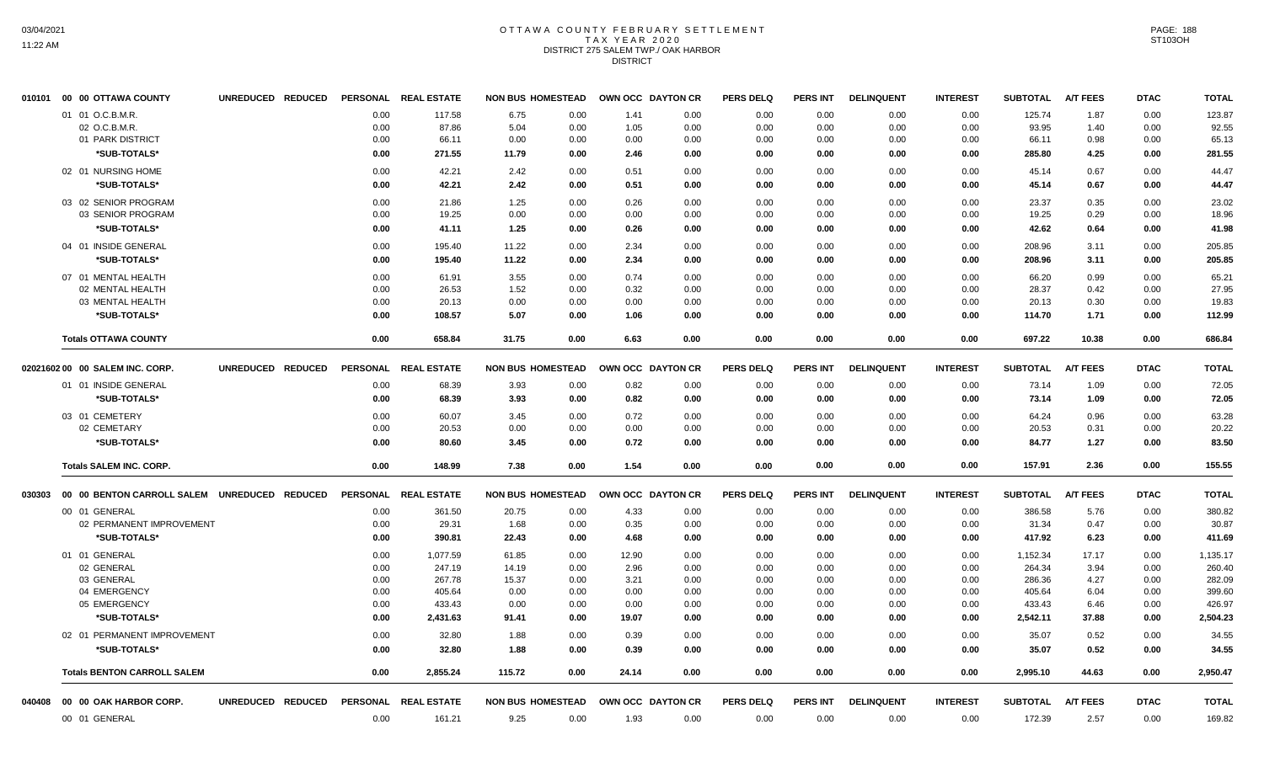# OTTAWA COUNTY FEBRUARY SETTLEMENT TAX YEAR 2020 DISTRICT 275 SALEM TWP./ OAK HARBOR DISTRICT

| 010101 | 00 00 OTTAWA COUNTY                          | UNREDUCED REDUCED |      | PERSONAL REAL ESTATE |        | <b>NON BUS HOMESTEAD</b> | OWN OCC DAYTON CR |      | <b>PERS DELQ</b> | <b>PERS INT</b> | <b>DELINQUENT</b> | <b>INTEREST</b> | <b>SUBTOTAL</b>   | <b>A/T FEES</b> | <b>DTAC</b> | <b>TOTAL</b> |
|--------|----------------------------------------------|-------------------|------|----------------------|--------|--------------------------|-------------------|------|------------------|-----------------|-------------------|-----------------|-------------------|-----------------|-------------|--------------|
|        | 01 01 O.C.B.M.R.                             |                   | 0.00 | 117.58               | 6.75   | 0.00                     | 1.41              | 0.00 | 0.00             | 0.00            | 0.00              | 0.00            | 125.74            | 1.87            | 0.00        | 123.87       |
|        | 02 O.C.B.M.R.                                |                   | 0.00 | 87.86                | 5.04   | 0.00                     | 1.05              | 0.00 | 0.00             | 0.00            | 0.00              | 0.00            | 93.95             | 1.40            | 0.00        | 92.55        |
|        | 01 PARK DISTRICT                             |                   | 0.00 | 66.11                | 0.00   | 0.00                     | 0.00              | 0.00 | 0.00             | 0.00            | 0.00              | 0.00            | 66.11             | 0.98            | 0.00        | 65.13        |
|        | *SUB-TOTALS*                                 |                   | 0.00 | 271.55               | 11.79  | 0.00                     | 2.46              | 0.00 | 0.00             | 0.00            | 0.00              | 0.00            | 285.80            | 4.25            | 0.00        | 281.55       |
|        | 02 01 NURSING HOME                           |                   | 0.00 | 42.21                | 2.42   | 0.00                     | 0.51              | 0.00 | 0.00             | 0.00            | 0.00              | 0.00            | 45.14             | 0.67            | 0.00        | 44.47        |
|        | *SUB-TOTALS*                                 |                   | 0.00 | 42.21                | 2.42   | 0.00                     | 0.51              | 0.00 | 0.00             | 0.00            | 0.00              | 0.00            | 45.14             | 0.67            | 0.00        | 44.47        |
|        | 03 02 SENIOR PROGRAM                         |                   | 0.00 | 21.86                | 1.25   | 0.00                     | 0.26              | 0.00 | 0.00             | 0.00            | 0.00              | 0.00            | 23.37             | 0.35            | 0.00        | 23.02        |
|        | 03 SENIOR PROGRAM                            |                   | 0.00 | 19.25                | 0.00   | 0.00                     | 0.00              | 0.00 | 0.00             | 0.00            | 0.00              | 0.00            | 19.25             | 0.29            | 0.00        | 18.96        |
|        | *SUB-TOTALS*                                 |                   | 0.00 | 41.11                | 1.25   | 0.00                     | 0.26              | 0.00 | 0.00             | 0.00            | 0.00              | 0.00            | 42.62             | 0.64            | 0.00        | 41.98        |
|        | 04 01 INSIDE GENERAL                         |                   | 0.00 | 195.40               | 11.22  | 0.00                     | 2.34              | 0.00 | 0.00             | 0.00            | 0.00              | 0.00            | 208.96            | 3.11            | 0.00        | 205.85       |
|        | *SUB-TOTALS*                                 |                   | 0.00 | 195.40               | 11.22  | 0.00                     | 2.34              | 0.00 | 0.00             | 0.00            | 0.00              | 0.00            | 208.96            | 3.11            | 0.00        | 205.85       |
|        | 07 01 MENTAL HEALTH                          |                   | 0.00 | 61.91                | 3.55   | 0.00                     | 0.74              | 0.00 | 0.00             | 0.00            | 0.00              | 0.00            | 66.20             | 0.99            | 0.00        | 65.21        |
|        | 02 MENTAL HEALTH                             |                   | 0.00 | 26.53                | 1.52   | 0.00                     | 0.32              | 0.00 | 0.00             | 0.00            | 0.00              | 0.00            | 28.37             | 0.42            | 0.00        | 27.95        |
|        | 03 MENTAL HEALTH                             |                   | 0.00 | 20.13                | 0.00   | 0.00                     | 0.00              | 0.00 | 0.00             | 0.00            | 0.00              | 0.00            | 20.13             | 0.30            | 0.00        | 19.83        |
|        | *SUB-TOTALS*                                 |                   | 0.00 | 108.57               | 5.07   | 0.00                     | 1.06              | 0.00 | 0.00             | 0.00            | 0.00              | 0.00            | 114.70            | 1.71            | 0.00        | 112.99       |
|        | <b>Totals OTTAWA COUNTY</b>                  |                   | 0.00 | 658.84               | 31.75  | 0.00                     | 6.63              | 0.00 | 0.00             | 0.00            | 0.00              | 0.00            | 697.22            | 10.38           | 0.00        | 686.84       |
|        | 02021602 00 00 SALEM INC. CORP.              | UNREDUCED REDUCED |      | PERSONAL REAL ESTATE |        | <b>NON BUS HOMESTEAD</b> | OWN OCC DAYTON CR |      | <b>PERS DELQ</b> | PERS INT        | <b>DELINQUENT</b> | <b>INTEREST</b> | <b>SUBTOTAL</b>   | <b>A/T FEES</b> | <b>DTAC</b> | <b>TOTAL</b> |
|        | 01 01 INSIDE GENERAL                         |                   | 0.00 | 68.39                | 3.93   | 0.00                     | 0.82              | 0.00 | 0.00             | 0.00            | 0.00              | 0.00            | 73.14             | 1.09            | 0.00        | 72.05        |
|        | *SUB-TOTALS*                                 |                   | 0.00 | 68.39                | 3.93   | 0.00                     | 0.82              | 0.00 | 0.00             | 0.00            | 0.00              | 0.00            | 73.14             | 1.09            | 0.00        | 72.05        |
|        |                                              |                   |      |                      |        |                          |                   |      |                  |                 |                   |                 |                   |                 |             |              |
|        | 03 01 CEMETERY                               |                   | 0.00 | 60.07                | 3.45   | 0.00                     | 0.72              | 0.00 | 0.00             | 0.00            | 0.00              | 0.00            | 64.24             | 0.96            | 0.00        | 63.28        |
|        | 02 CEMETARY                                  |                   | 0.00 | 20.53                | 0.00   | 0.00                     | 0.00              | 0.00 | 0.00             | 0.00            | 0.00              | 0.00            | 20.53             | 0.31            | 0.00        | 20.22        |
|        | *SUB-TOTALS*                                 |                   | 0.00 | 80.60                | 3.45   | 0.00                     | 0.72              | 0.00 | 0.00             | 0.00            | 0.00              | 0.00            | 84.77             | 1.27            | 0.00        | 83.50        |
|        | <b>Totals SALEM INC. CORP.</b>               |                   | 0.00 | 148.99               | 7.38   | 0.00                     | 1.54              | 0.00 | 0.00             | 0.00            | 0.00              | 0.00            | 157.91            | 2.36            | 0.00        | 155.55       |
| 030303 | 00 00 BENTON CARROLL SALEM UNREDUCED REDUCED |                   |      | PERSONAL REAL ESTATE |        | <b>NON BUS HOMESTEAD</b> | OWN OCC DAYTON CR |      | <b>PERS DELQ</b> | <b>PERS INT</b> | <b>DELINQUENT</b> | <b>INTEREST</b> | SUBTOTAL A/T FEES |                 | <b>DTAC</b> | <b>TOTAL</b> |
|        | 00 01 GENERAL                                |                   | 0.00 | 361.50               | 20.75  | 0.00                     | 4.33              | 0.00 | 0.00             | 0.00            | 0.00              | 0.00            | 386.58            | 5.76            | 0.00        | 380.82       |
|        | 02 PERMANENT IMPROVEMENT                     |                   | 0.00 | 29.31                | 1.68   | 0.00                     | 0.35              | 0.00 | 0.00             | 0.00            | 0.00              | 0.00            | 31.34             | 0.47            | 0.00        | 30.87        |
|        | *SUB-TOTALS*                                 |                   | 0.00 | 390.81               | 22.43  | 0.00                     | 4.68              | 0.00 | 0.00             | 0.00            | 0.00              | 0.00            | 417.92            | 6.23            | 0.00        | 411.69       |
|        | 01 01 GENERAL                                |                   | 0.00 | 1,077.59             | 61.85  | 0.00                     | 12.90             | 0.00 | 0.00             | 0.00            | 0.00              | 0.00            | 1,152.34          | 17.17           | 0.00        | 1,135.17     |
|        | 02 GENERAL                                   |                   | 0.00 | 247.19               | 14.19  | 0.00                     | 2.96              | 0.00 | 0.00             | 0.00            | 0.00              | 0.00            | 264.34            | 3.94            | 0.00        | 260.40       |
|        | 03 GENERAL                                   |                   | 0.00 | 267.78               | 15.37  | 0.00                     | 3.21              | 0.00 | 0.00             | 0.00            | 0.00              | 0.00            | 286.36            | 4.27            | 0.00        | 282.09       |
|        | 04 EMERGENCY                                 |                   | 0.00 | 405.64               | 0.00   | 0.00                     | 0.00              | 0.00 | 0.00             | 0.00            | 0.00              | 0.00            | 405.64            | 6.04            | 0.00        | 399.60       |
|        | 05 EMERGENCY                                 |                   | 0.00 | 433.43               | 0.00   | 0.00                     | 0.00              | 0.00 | 0.00             | 0.00            | 0.00              | 0.00            | 433.43            | 6.46            | 0.00        | 426.97       |
|        | *SUB-TOTALS*                                 |                   | 0.00 | 2,431.63             | 91.41  | 0.00                     | 19.07             | 0.00 | 0.00             | 0.00            | 0.00              | 0.00            | 2,542.11          | 37.88           | 0.00        | 2,504.23     |
|        | 02 01 PERMANENT IMPROVEMENT                  |                   | 0.00 | 32.80                | 1.88   | 0.00                     | 0.39              | 0.00 | 0.00             | 0.00            | 0.00              | 0.00            | 35.07             | 0.52            | 0.00        | 34.55        |
|        | *SUB-TOTALS*                                 |                   | 0.00 | 32.80                | 1.88   | 0.00                     | 0.39              | 0.00 | 0.00             | 0.00            | 0.00              | 0.00            | 35.07             | 0.52            | 0.00        | 34.55        |
|        | <b>Totals BENTON CARROLL SALEM</b>           |                   | 0.00 | 2,855.24             | 115.72 | 0.00                     | 24.14             | 0.00 | 0.00             | 0.00            | 0.00              | 0.00            | 2,995.10          | 44.63           | 0.00        | 2,950.47     |
| 040408 | 00 00 OAK HARBOR CORP.                       | UNREDUCED REDUCED |      | PERSONAL REAL ESTATE |        | <b>NON BUS HOMESTEAD</b> | OWN OCC DAYTON CR |      | <b>PERS DELQ</b> | PERS INT        | <b>DELINQUENT</b> | <b>INTEREST</b> | <b>SUBTOTAL</b>   | <b>A/T FEES</b> | <b>DTAC</b> | <b>TOTAL</b> |
|        | 00 01 GENERAL                                |                   | 0.00 | 161.21               | 9.25   | 0.00                     | 1.93              | 0.00 | 0.00             | 0.00            | 0.00              | 0.00            | 172.39            | 2.57            | 0.00        | 169.82       |
|        |                                              |                   |      |                      |        |                          |                   |      |                  |                 |                   |                 |                   |                 |             |              |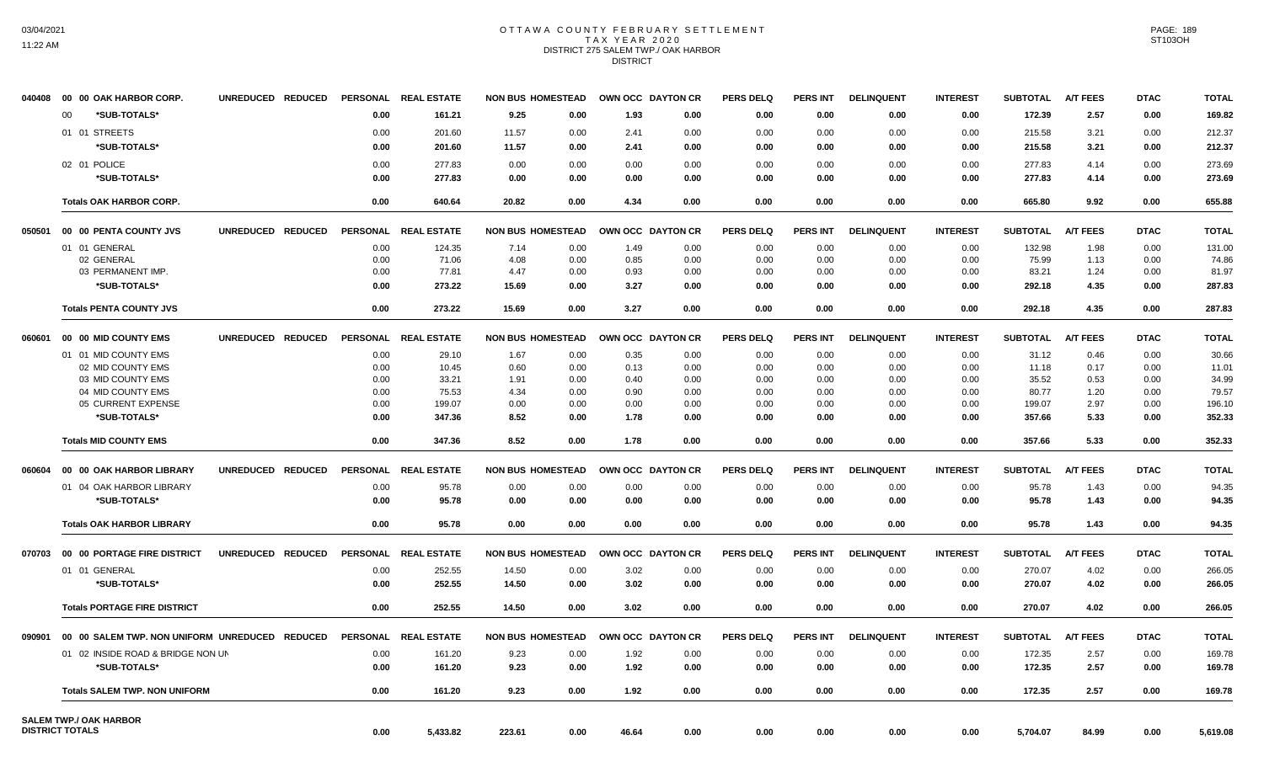# OTTAWA COUNTY FEBRUARY SETTLEMENT TAX YEAR 2020 DISTRICT 275 SALEM TWP./ OAK HARBOR DISTRICT

| 040408 | 00 00 OAK HARBOR CORP.                         | UNREDUCED REDUCED |                 | PERSONAL REAL ESTATE | <b>NON BUS HOMESTEAD</b> |      | OWN OCC DAYTON CR |      | <b>PERS DELQ</b> | <b>PERS INT</b> | <b>DELINQUENT</b> | <b>INTEREST</b> | <b>SUBTOTAL</b> | <b>A/T FEES</b> | <b>DTAC</b> | <b>TOTAL</b> |
|--------|------------------------------------------------|-------------------|-----------------|----------------------|--------------------------|------|-------------------|------|------------------|-----------------|-------------------|-----------------|-----------------|-----------------|-------------|--------------|
|        | *SUB-TOTALS*<br>$00 \,$                        |                   | 0.00            | 161.21               | 9.25                     | 0.00 | 1.93              | 0.00 | 0.00             | 0.00            | 0.00              | 0.00            | 172.39          | 2.57            | 0.00        | 169.82       |
|        | 01 01 STREETS                                  |                   | 0.00            | 201.60               | 11.57                    | 0.00 | 2.41              | 0.00 | 0.00             | 0.00            | 0.00              | 0.00            | 215.58          | 3.21            | 0.00        | 212.37       |
|        | *SUB-TOTALS*                                   |                   | 0.00            | 201.60               | 11.57                    | 0.00 | 2.41              | 0.00 | 0.00             | 0.00            | 0.00              | 0.00            | 215.58          | 3.21            | 0.00        | 212.37       |
|        |                                                |                   |                 |                      |                          |      |                   |      |                  |                 |                   |                 |                 |                 |             |              |
|        | 02 01 POLICE                                   |                   | 0.00            | 277.83               | 0.00                     | 0.00 | 0.00              | 0.00 | 0.00             | 0.00            | 0.00              | 0.00            | 277.83          | 4.14            | 0.00        | 273.69       |
|        | *SUB-TOTALS*                                   |                   | 0.00            | 277.83               | 0.00                     | 0.00 | 0.00              | 0.00 | 0.00             | 0.00            | 0.00              | 0.00            | 277.83          | 4.14            | 0.00        | 273.69       |
|        | <b>Totals OAK HARBOR CORP.</b>                 |                   | 0.00            | 640.64               | 20.82                    | 0.00 | 4.34              | 0.00 | 0.00             | 0.00            | 0.00              | 0.00            | 665.80          | 9.92            | 0.00        | 655.88       |
| 050501 | 00 00 PENTA COUNTY JVS                         | UNREDUCED REDUCED |                 | PERSONAL REAL ESTATE | <b>NON BUS HOMESTEAD</b> |      | OWN OCC DAYTON CR |      | <b>PERS DELQ</b> | <b>PERS INT</b> | <b>DELINQUENT</b> | <b>INTEREST</b> | <b>SUBTOTAL</b> | <b>A/T FEES</b> | <b>DTAC</b> | <b>TOTAL</b> |
|        | 01 01 GENERAL                                  |                   | 0.00            | 124.35               | 7.14                     | 0.00 | 1.49              | 0.00 | 0.00             | 0.00            | 0.00              | 0.00            | 132.98          | 1.98            | 0.00        | 131.00       |
|        | 02 GENERAL                                     |                   | 0.00            | 71.06                | 4.08                     | 0.00 | 0.85              | 0.00 | 0.00             | 0.00            | 0.00              | 0.00            | 75.99           | 1.13            | 0.00        | 74.86        |
|        | 03 PERMANENT IMP.                              |                   | 0.00            | 77.81                | 4.47                     | 0.00 | 0.93              | 0.00 | 0.00             | 0.00            | 0.00              | 0.00            | 83.21           | 1.24            | 0.00        | 81.97        |
|        | *SUB-TOTALS*                                   |                   | 0.00            | 273.22               | 15.69                    | 0.00 | 3.27              | 0.00 | 0.00             | 0.00            | 0.00              | 0.00            | 292.18          | 4.35            | 0.00        | 287.83       |
|        | <b>Totals PENTA COUNTY JVS</b>                 |                   | 0.00            | 273.22               | 15.69                    | 0.00 | 3.27              | 0.00 | 0.00             | 0.00            | 0.00              | 0.00            | 292.18          | 4.35            | 0.00        | 287.83       |
| 060601 | 00 00 MID COUNTY EMS                           | UNREDUCED REDUCED | <b>PERSONAL</b> | <b>REAL ESTATE</b>   | <b>NON BUS HOMESTEAD</b> |      | OWN OCC DAYTON CR |      | <b>PERS DELQ</b> | <b>PERS INT</b> | <b>DELINQUENT</b> | <b>INTEREST</b> | <b>SUBTOTAL</b> | <b>A/T FEES</b> | <b>DTAC</b> | <b>TOTAL</b> |
|        | 01 01 MID COUNTY EMS                           |                   | 0.00            | 29.10                | 1.67                     | 0.00 | 0.35              | 0.00 | 0.00             | 0.00            | 0.00              | 0.00            | 31.12           | 0.46            | 0.00        | 30.66        |
|        | 02 MID COUNTY EMS                              |                   | 0.00            | 10.45                | 0.60                     | 0.00 | 0.13              | 0.00 | 0.00             | 0.00            | 0.00              | 0.00            | 11.18           | 0.17            | 0.00        | 11.01        |
|        | 03 MID COUNTY EMS                              |                   | 0.00            | 33.21                | 1.91                     | 0.00 | 0.40              | 0.00 | 0.00             | 0.00            | 0.00              | 0.00            | 35.52           | 0.53            | 0.00        | 34.99        |
|        | 04 MID COUNTY EMS                              |                   | 0.00            | 75.53                | 4.34                     | 0.00 | 0.90              | 0.00 | 0.00             | 0.00            | 0.00              | 0.00            | 80.77           | 1.20            | 0.00        | 79.57        |
|        | 05 CURRENT EXPENSE                             |                   | 0.00            | 199.07               | 0.00                     | 0.00 | 0.00              | 0.00 | 0.00             | 0.00            | 0.00              | 0.00            | 199.07          | 2.97            | 0.00        | 196.10       |
|        | *SUB-TOTALS*                                   |                   | 0.00            | 347.36               | 8.52                     | 0.00 | 1.78              | 0.00 | 0.00             | 0.00            | 0.00              | 0.00            | 357.66          | 5.33            | 0.00        | 352.33       |
|        | <b>Totals MID COUNTY EMS</b>                   |                   | 0.00            | 347.36               | 8.52                     | 0.00 | 1.78              | 0.00 | 0.00             | 0.00            | 0.00              | 0.00            | 357.66          | 5.33            | 0.00        | 352.33       |
| 060604 | 00 00 OAK HARBOR LIBRARY                       | UNREDUCED REDUCED |                 | PERSONAL REAL ESTATE | <b>NON BUS HOMESTEAD</b> |      | OWN OCC DAYTON CR |      | <b>PERS DELQ</b> | <b>PERS INT</b> | <b>DELINQUENT</b> | <b>INTEREST</b> | <b>SUBTOTAL</b> | <b>A/T FEES</b> | <b>DTAC</b> | <b>TOTAL</b> |
|        | 01 04 OAK HARBOR LIBRARY                       |                   | 0.00            | 95.78                | 0.00                     | 0.00 | 0.00              | 0.00 | 0.00             | 0.00            | 0.00              | 0.00            | 95.78           | 1.43            | 0.00        | 94.35        |
|        | *SUB-TOTALS*                                   |                   | 0.00            | 95.78                | 0.00                     | 0.00 | 0.00              | 0.00 | 0.00             | 0.00            | 0.00              | 0.00            | 95.78           | 1.43            | 0.00        | 94.35        |
|        | <b>Totals OAK HARBOR LIBRARY</b>               |                   | 0.00            | 95.78                | 0.00                     | 0.00 | 0.00              | 0.00 | 0.00             | 0.00            | 0.00              | 0.00            | 95.78           | 1.43            | 0.00        | 94.35        |
|        |                                                |                   |                 |                      |                          |      |                   |      |                  |                 |                   |                 |                 |                 |             |              |
| 070703 | 00 00 PORTAGE FIRE DISTRICT                    | UNREDUCED REDUCED |                 | PERSONAL REAL ESTATE | <b>NON BUS HOMESTEAD</b> |      | OWN OCC DAYTON CR |      | <b>PERS DELQ</b> | <b>PERS INT</b> | <b>DELINQUENT</b> | <b>INTEREST</b> | <b>SUBTOTAL</b> | <b>A/T FEES</b> | <b>DTAC</b> | <b>TOTAL</b> |
|        | 01 01 GENERAL                                  |                   | 0.00            | 252.55               | 14.50                    | 0.00 | 3.02              | 0.00 | 0.00             | 0.00            | 0.00              | 0.00            | 270.07          | 4.02            | 0.00        | 266.05       |
|        | *SUB-TOTALS*                                   |                   | 0.00            | 252.55               | 14.50                    | 0.00 | 3.02              | 0.00 | 0.00             | 0.00            | 0.00              | 0.00            | 270.07          | 4.02            | 0.00        | 266.05       |
|        | <b>Totals PORTAGE FIRE DISTRICT</b>            |                   | 0.00            | 252.55               | 14.50                    | 0.00 | 3.02              | 0.00 | 0.00             | 0.00            | 0.00              | 0.00            | 270.07          | 4.02            | 0.00        | 266.05       |
| 090901 | 00 00 SALEM TWP. NON UNIFORM UNREDUCED REDUCED |                   |                 | PERSONAL REAL ESTATE | <b>NON BUS HOMESTEAD</b> |      | OWN OCC DAYTON CR |      | <b>PERS DELQ</b> | <b>PERS INT</b> | <b>DELINQUENT</b> | <b>INTEREST</b> | <b>SUBTOTAL</b> | <b>A/T FEES</b> | <b>DTAC</b> | <b>TOTAL</b> |
|        | 01 02 INSIDE ROAD & BRIDGE NON UN              |                   | 0.00            | 161.20               | 9.23                     | 0.00 | 1.92              | 0.00 | 0.00             | 0.00            | 0.00              | 0.00            | 172.35          | 2.57            | 0.00        | 169.78       |
|        | *SUB-TOTALS*                                   |                   | 0.00            | 161.20               | 9.23                     | 0.00 | 1.92              | 0.00 | 0.00             | 0.00            | 0.00              | 0.00            | 172.35          | 2.57            | 0.00        | 169.78       |
|        | <b>Totals SALEM TWP. NON UNIFORM</b>           |                   | 0.00            | 161.20               | 9.23                     | 0.00 | 1.92              | 0.00 | 0.00             | 0.00            | 0.00              | 0.00            | 172.35          | 2.57            | 0.00        | 169.78       |
|        | <b>SALEM TWP./ OAK HARBOR</b>                  |                   |                 |                      |                          |      |                   |      |                  |                 |                   |                 |                 |                 |             |              |
|        | <b>DISTRICT TOTALS</b>                         |                   | 0.00            | 5,433.82             | 223.61                   | 0.00 | 46.64             | 0.00 | 0.00             | 0.00            | 0.00              | 0.00            | 5,704.07        | 84.99           | 0.00        | 5,619.08     |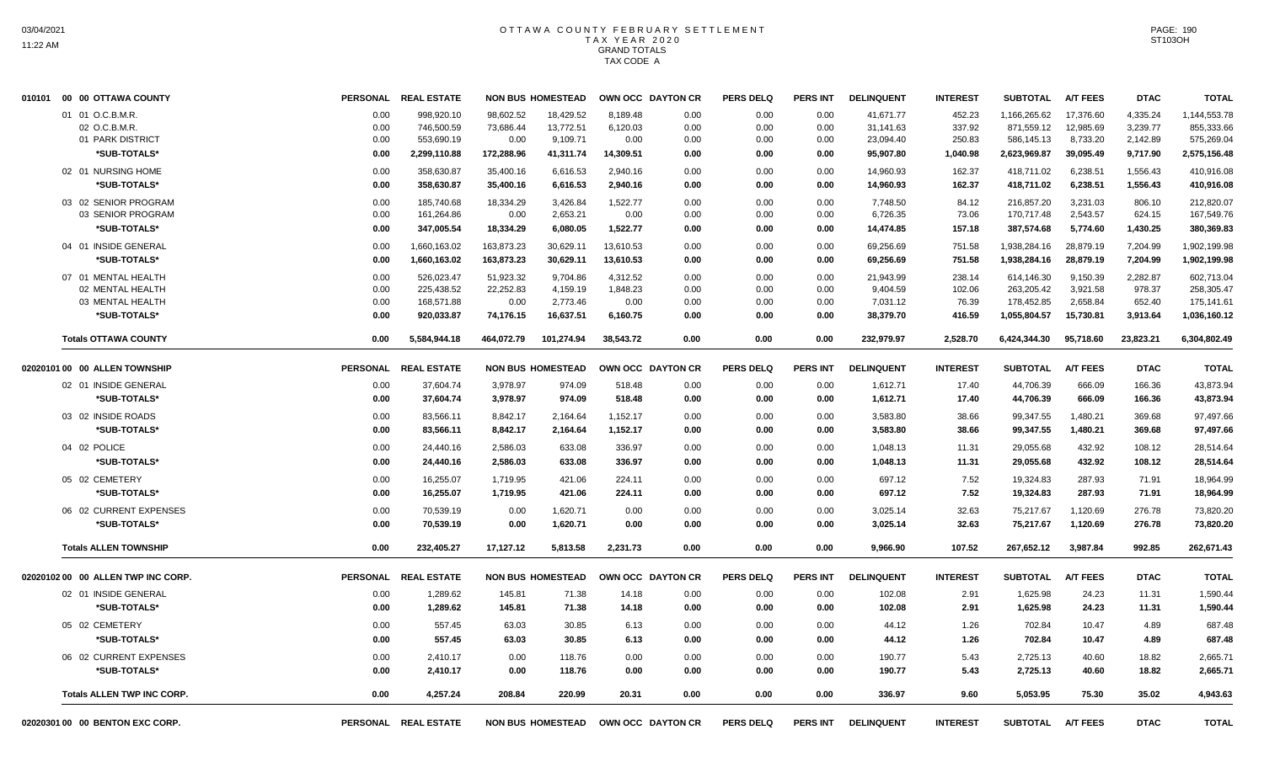| 010101 00 00 OTTAWA COUNTY                           | <b>PERSONAL</b>      | <b>REAL ESTATE</b>                     |                                | <b>NON BUS HOMESTEAD</b>           |                              | OWN OCC DAYTON CR        | <b>PERS DELQ</b>     | PERS INT             | <b>DELINQUENT</b>                   | <b>INTEREST</b>            | <b>SUBTOTAL</b>                          | <b>A/T FEES</b>                    | <b>DTAC</b>                      | <b>TOTAL</b>                             |
|------------------------------------------------------|----------------------|----------------------------------------|--------------------------------|------------------------------------|------------------------------|--------------------------|----------------------|----------------------|-------------------------------------|----------------------------|------------------------------------------|------------------------------------|----------------------------------|------------------------------------------|
| 01 01 O.C.B.M.R.<br>02 O.C.B.M.R<br>01 PARK DISTRICT | 0.00<br>0.00<br>0.00 | 998,920.10<br>746,500.59<br>553,690.19 | 98.602.52<br>73,686.44<br>0.00 | 18.429.52<br>13,772.51<br>9,109.71 | 8,189.48<br>6,120.03<br>0.00 | 0.00<br>0.00<br>0.00     | 0.00<br>0.00<br>0.00 | 0.00<br>0.00<br>0.00 | 41,671.77<br>31,141.63<br>23,094.40 | 452.23<br>337.92<br>250.83 | 1,166,265.62<br>871,559.12<br>586,145.13 | 17,376.60<br>12,985.69<br>8,733.20 | 4,335.24<br>3,239.77<br>2,142.89 | 1,144,553.78<br>855,333.66<br>575,269.04 |
| *SUB-TOTALS*                                         | 0.00                 | 2,299,110.88                           | 172,288.96                     | 41,311.74                          | 14,309.51                    | 0.00                     | 0.00                 | 0.00                 | 95,907.80                           | 1,040.98                   | 2,623,969.87                             | 39,095.49                          | 9,717.90                         | 2,575,156.48                             |
| 02 01 NURSING HOME<br>*SUB-TOTALS*                   | 0.00<br>0.00         | 358,630.87<br>358,630.87               | 35,400.16<br>35,400.16         | 6,616.53<br>6,616.53               | 2,940.16<br>2,940.16         | 0.00<br>0.00             | 0.00<br>0.00         | 0.00<br>0.00         | 14,960.93<br>14,960.93              | 162.37<br>162.37           | 418,711.02<br>418,711.02                 | 6,238.51<br>6,238.51               | 1,556.43<br>1,556.43             | 410,916.08<br>410,916.08                 |
| 03 02 SENIOR PROGRAM                                 | 0.00                 | 185.740.68                             | 18,334.29                      | 3,426.84                           | 1,522.77                     | 0.00                     | 0.00                 | 0.00                 | 7,748.50                            | 84.12                      | 216,857.20                               | 3,231.03                           | 806.10                           | 212,820.07                               |
| 03 SENIOR PROGRAM                                    | 0.00                 | 161,264.86                             | 0.00                           | 2,653.21                           | 0.00                         | 0.00                     | 0.00                 | 0.00                 | 6,726.35                            | 73.06                      | 170,717.48                               | 2,543.57                           | 624.15                           | 167,549.76                               |
| *SUB-TOTALS*                                         | 0.00                 | 347,005.54                             | 18,334.29                      | 6,080.05                           | 1,522.77                     | 0.00                     | 0.00                 | 0.00                 | 14,474.85                           | 157.18                     | 387,574.68                               | 5,774.60                           | 1,430.25                         | 380,369.83                               |
| 04 01 INSIDE GENERAL<br>*SUB-TOTALS*                 | 0.00<br>0.00         | 1,660,163.02<br>1,660,163.02           | 163,873.23<br>163,873.23       | 30,629.11<br>30,629.11             | 13,610.53<br>13,610.53       | 0.00<br>0.00             | 0.00<br>0.00         | 0.00<br>0.00         | 69,256.69<br>69,256.69              | 751.58<br>751.58           | 1,938,284.16<br>1,938,284.16             | 28,879.19<br>28,879.19             | 7,204.99<br>7,204.99             | 1,902,199.98<br>1,902,199.98             |
| 07 01 MENTAL HEALTH                                  | 0.00                 | 526,023.47                             | 51,923.32                      | 9,704.86                           | 4,312.52                     | 0.00                     | 0.00                 | 0.00                 | 21,943.99                           | 238.14                     | 614,146.30                               | 9,150.39                           | 2,282.87                         | 602,713.04                               |
| 02 MENTAL HEALTH                                     | 0.00                 | 225,438.52                             | 22,252.83                      | 4,159.19                           | 1,848.23                     | 0.00                     | 0.00                 | 0.00                 | 9,404.59                            | 102.06                     | 263,205.42                               | 3,921.58                           | 978.37                           | 258,305.47                               |
| 03 MENTAL HEALTH                                     | 0.00                 | 168.571.88                             | 0.00                           | 2.773.46                           | 0.00                         | 0.00                     | 0.00                 | 0.00                 | 7,031.12                            | 76.39                      | 178.452.85                               | 2.658.84                           | 652.40                           | 175,141.61                               |
| *SUB-TOTALS*                                         | 0.00                 | 920,033.87                             | 74,176.15                      | 16,637.51                          | 6,160.75                     | 0.00                     | 0.00                 | 0.00                 | 38,379.70                           | 416.59                     | 1,055,804.57                             | 15,730.81                          | 3,913.64                         | 1,036,160.12                             |
| <b>Totals OTTAWA COUNTY</b>                          | 0.00                 | 5,584,944.18                           | 464,072.79                     | 101,274.94                         | 38,543.72                    | 0.00                     | 0.00                 | 0.00                 | 232,979.97                          | 2,528.70                   | 6,424,344.30                             | 95,718.60                          | 23,823.21                        | 6,304,802.49                             |
| 02020101 00 00 ALLEN TOWNSHIP                        |                      | PERSONAL REAL ESTATE                   |                                | <b>NON BUS HOMESTEAD</b>           |                              | OWN OCC DAYTON CR        | <b>PERS DELQ</b>     | <b>PERS INT</b>      | <b>DELINQUENT</b>                   | <b>INTEREST</b>            | <b>SUBTOTAL</b>                          | <b>A/T FEES</b>                    | <b>DTAC</b>                      | <b>TOTAL</b>                             |
| 02 01 INSIDE GENERAL                                 | 0.00                 | 37,604.74                              | 3,978.97                       | 974.09                             | 518.48                       | 0.00                     | 0.00                 | 0.00                 | 1,612.71                            | 17.40                      | 44,706.39                                | 666.09                             | 166.36                           | 43,873.94                                |
| *SUB-TOTALS*                                         | 0.00                 | 37,604.74                              | 3,978.97                       | 974.09                             | 518.48                       | 0.00                     | 0.00                 | 0.00                 | 1,612.71                            | 17.40                      | 44,706.39                                | 666.09                             | 166.36                           | 43,873.94                                |
| 03 02 INSIDE ROADS                                   | 0.00                 | 83.566.11                              | 8,842.17                       | 2,164.64                           | 1,152.17                     | 0.00                     | 0.00                 | 0.00                 | 3,583.80                            | 38.66                      | 99,347.55                                | 1.480.21                           | 369.68                           | 97,497.66                                |
| *SUB-TOTALS*                                         | 0.00                 | 83,566.11                              | 8,842.17                       | 2,164.64                           | 1,152.17                     | 0.00                     | 0.00                 | 0.00                 | 3,583.80                            | 38.66                      | 99,347.55                                | 1,480.21                           | 369.68                           | 97,497.66                                |
| 04 02 POLICE                                         | 0.00                 | 24,440.16                              | 2,586.03                       | 633.08                             | 336.97                       | 0.00                     | 0.00                 | 0.00                 | 1,048.13                            | 11.31                      | 29,055.68                                | 432.92                             | 108.12                           | 28,514.64                                |
| *SUB-TOTALS*                                         | 0.00                 | 24,440.16                              | 2,586.03                       | 633.08                             | 336.97                       | 0.00                     | 0.00                 | 0.00                 | 1,048.13                            | 11.31                      | 29,055.68                                | 432.92                             | 108.12                           | 28,514.64                                |
| 05 02 CEMETERY                                       | 0.00                 | 16,255.07                              | 1,719.95                       | 421.06                             | 224.11                       | 0.00                     | 0.00                 | 0.00                 | 697.12                              | 7.52                       | 19,324.83                                | 287.93                             | 71.91                            | 18,964.99                                |
| *SUB-TOTALS*                                         | 0.00                 | 16.255.07                              | 1,719.95                       | 421.06                             | 224.11                       | 0.00                     | 0.00                 | 0.00                 | 697.12                              | 7.52                       | 19,324.83                                | 287.93                             | 71.91                            | 18,964.99                                |
| 06 02 CURRENT EXPENSES                               | 0.00                 | 70,539.19                              | 0.00                           | 1,620.71                           | 0.00                         | 0.00                     | 0.00                 | 0.00                 | 3,025.14                            | 32.63                      | 75,217.67                                | 1,120.69                           | 276.78                           | 73,820.20                                |
| *SUB-TOTALS*                                         | 0.00                 | 70,539.19                              | 0.00                           | 1,620.71                           | 0.00                         | 0.00                     | 0.00                 | 0.00                 | 3,025.14                            | 32.63                      | 75,217.67                                | 1,120.69                           | 276.78                           | 73,820.20                                |
| <b>Totals ALLEN TOWNSHIP</b>                         | 0.00                 | 232.405.27                             | 17.127.12                      | 5.813.58                           | 2.231.73                     | 0.00                     | 0.00                 | 0.00                 | 9.966.90                            | 107.52                     | 267.652.12                               | 3.987.84                           | 992.85                           | 262.671.43                               |
| 02020102 00 00 ALLEN TWP INC CORP.                   |                      | PERSONAL REAL ESTATE                   |                                | <b>NON BUS HOMESTEAD</b>           |                              | OWN OCC DAYTON CR        | <b>PERS DELQ</b>     | <b>PERS INT</b>      | <b>DELINQUENT</b>                   | <b>INTEREST</b>            | <b>SUBTOTAL</b>                          | <b>A/T FEES</b>                    | <b>DTAC</b>                      | <b>TOTAL</b>                             |
| 02 01 INSIDE GENERAL                                 | 0.00                 | 1,289.62                               | 145.81                         | 71.38                              | 14.18                        | 0.00                     | 0.00                 | 0.00                 | 102.08                              | 2.91                       | 1,625.98                                 | 24.23                              | 11.31                            | 1,590.44                                 |
| *SUB-TOTALS*                                         | 0.00                 | 1,289.62                               | 145.81                         | 71.38                              | 14.18                        | 0.00                     | 0.00                 | 0.00                 | 102.08                              | 2.91                       | 1,625.98                                 | 24.23                              | 11.31                            | 1,590.44                                 |
| 05 02 CEMETERY                                       | 0.00                 | 557.45                                 | 63.03                          | 30.85                              | 6.13                         | 0.00                     | 0.00                 | 0.00                 | 44.12                               | 1.26                       | 702.84                                   | 10.47                              | 4.89                             | 687.48                                   |
| *SUB-TOTALS*                                         | 0.00                 | 557.45                                 | 63.03                          | 30.85                              | 6.13                         | 0.00                     | 0.00                 | 0.00                 | 44.12                               | 1.26                       | 702.84                                   | 10.47                              | 4.89                             | 687.48                                   |
| 06 02 CURRENT EXPENSES                               | 0.00                 | 2,410.17                               | 0.00                           | 118.76                             | 0.00                         | 0.00                     | 0.00                 | 0.00                 | 190.77                              | 5.43                       | 2,725.13                                 | 40.60                              | 18.82                            | 2,665.71                                 |
| *SUB-TOTALS*                                         | 0.00                 | 2,410.17                               | 0.00                           | 118.76                             | 0.00                         | 0.00                     | 0.00                 | 0.00                 | 190.77                              | 5.43                       | 2,725.13                                 | 40.60                              | 18.82                            | 2.665.71                                 |
| <b>Totals ALLEN TWP INC CORP.</b>                    | 0.00                 | 4,257.24                               | 208.84                         | 220.99                             | 20.31                        | 0.00                     | 0.00                 | 0.00                 | 336.97                              | 9.60                       | 5,053.95                                 | 75.30                              | 35.02                            | 4,943.63                                 |
| 02020301 00 00 BENTON EXC CORP.                      |                      | PERSONAL REAL ESTATE                   |                                | <b>NON BUS HOMESTEAD</b>           |                              | <b>OWN OCC DAYTON CR</b> | <b>PERS DELQ</b>     | <b>PERS INT</b>      | <b>DELINQUENT</b>                   | <b>INTEREST</b>            | SUBTOTAL A/T FEES                        |                                    | <b>DTAC</b>                      | <b>TOTAL</b>                             |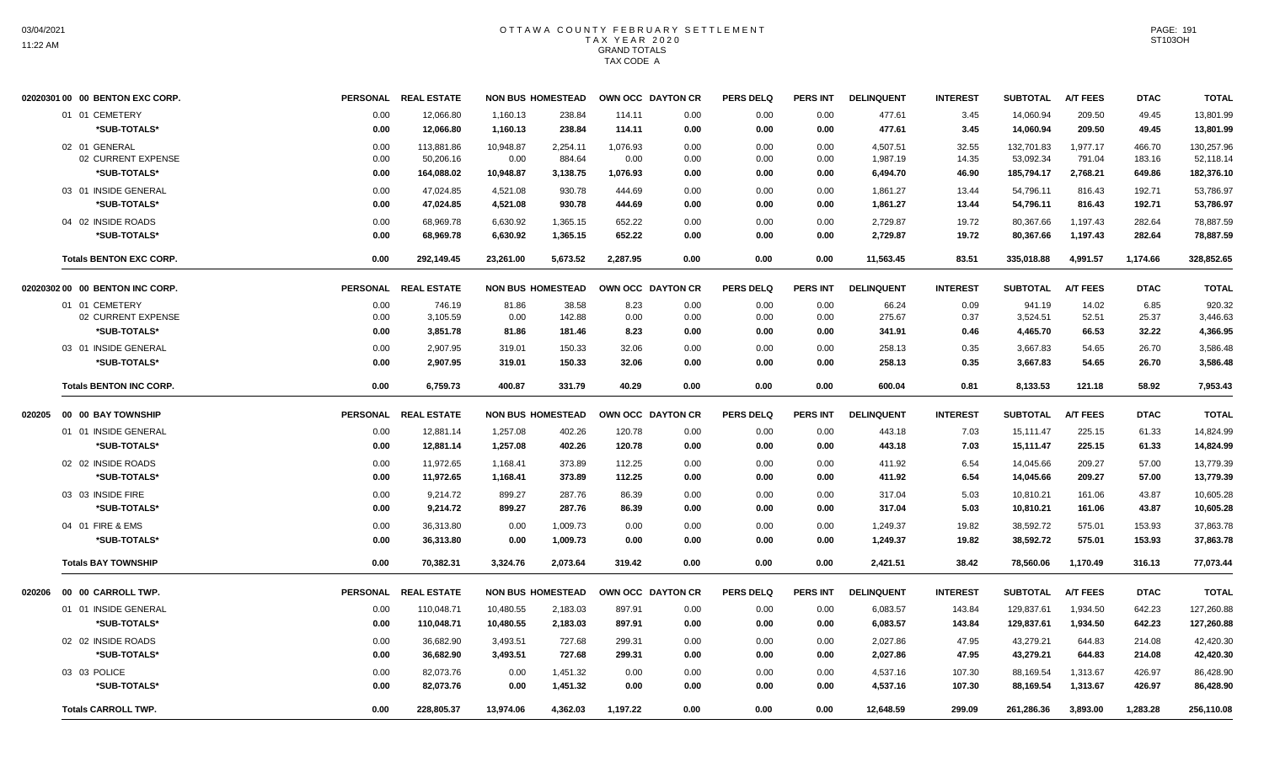|        | 02020301 00 00 BENTON EXC CORP. |      | PERSONAL REAL ESTATE | <b>NON BUS HOMESTEAD</b> |          |          | OWN OCC DAYTON CR | <b>PERS DELQ</b> | <b>PERS INT</b> | <b>DELINQUENT</b> | <b>INTEREST</b> | <b>SUBTOTAL</b> | <b>A/T FEES</b> | <b>DTAC</b> | <b>TOTAL</b> |
|--------|---------------------------------|------|----------------------|--------------------------|----------|----------|-------------------|------------------|-----------------|-------------------|-----------------|-----------------|-----------------|-------------|--------------|
|        | 01 01 CEMETERY                  | 0.00 | 12,066.80            | 1,160.13                 | 238.84   | 114.11   | 0.00              | 0.00             | 0.00            | 477.61            | 3.45            | 14,060.94       | 209.50          | 49.45       | 13,801.99    |
|        | *SUB-TOTALS*                    | 0.00 | 12,066.80            | 1,160.13                 | 238.84   | 114.11   | 0.00              | 0.00             | 0.00            | 477.61            | 3.45            | 14,060.94       | 209.50          | 49.45       | 13,801.99    |
|        | 02 01 GENERAL                   | 0.00 | 113,881.86           | 10,948.87                | 2,254.11 | 1,076.93 | 0.00              | 0.00             | 0.00            | 4,507.51          | 32.55           | 132,701.83      | 1,977.17        | 466.70      | 130,257.96   |
|        | 02 CURRENT EXPENSE              | 0.00 | 50,206.16            | 0.00                     | 884.64   | 0.00     | 0.00              | 0.00             | 0.00            | 1,987.19          | 14.35           | 53,092.34       | 791.04          | 183.16      | 52,118.14    |
|        | *SUB-TOTALS*                    | 0.00 | 164,088.02           | 10,948.87                | 3,138.75 | 1,076.93 | 0.00              | 0.00             | 0.00            | 6,494.70          | 46.90           | 185,794.17      | 2,768.21        | 649.86      | 182,376.10   |
|        | 03 01 INSIDE GENERAL            | 0.00 | 47,024.85            | 4,521.08                 | 930.78   | 444.69   | 0.00              | 0.00             | 0.00            | 1,861.27          | 13.44           | 54,796.11       | 816.43          | 192.71      | 53,786.97    |
|        | *SUB-TOTALS*                    | 0.00 | 47.024.85            | 4,521.08                 | 930.78   | 444.69   | 0.00              | 0.00             | 0.00            | 1,861.27          | 13.44           | 54,796.11       | 816.43          | 192.71      | 53,786.97    |
|        | 04 02 INSIDE ROADS              | 0.00 | 68.969.78            | 6,630.92                 | 1,365.15 | 652.22   | 0.00              | 0.00             | 0.00            | 2,729.87          | 19.72           | 80,367.66       | 1,197.43        | 282.64      | 78,887.59    |
|        | *SUB-TOTALS*                    | 0.00 | 68,969.78            | 6,630.92                 | 1,365.15 | 652.22   | 0.00              | 0.00             | 0.00            | 2,729.87          | 19.72           | 80,367.66       | 1,197.43        | 282.64      | 78,887.59    |
|        | <b>Totals BENTON EXC CORP.</b>  | 0.00 | 292,149.45           | 23,261.00                | 5,673.52 | 2,287.95 | 0.00              | 0.00             | 0.00            | 11,563.45         | 83.51           | 335,018.88      | 4,991.57        | 1.174.66    | 328,852.65   |
|        | 02020302 00 00 BENTON INC CORP. |      | PERSONAL REAL ESTATE | <b>NON BUS HOMESTEAD</b> |          |          | OWN OCC DAYTON CR | <b>PERS DELQ</b> | <b>PERS INT</b> | <b>DELINQUENT</b> | <b>INTEREST</b> | <b>SUBTOTAL</b> | <b>A/T FEES</b> | <b>DTAC</b> | <b>TOTAL</b> |
|        | 01 01 CEMETERY                  | 0.00 | 746.19               | 81.86                    | 38.58    | 8.23     | 0.00              | 0.00             | 0.00            | 66.24             | 0.09            | 941.19          | 14.02           | 6.85        | 920.32       |
|        | 02 CURRENT EXPENSE              | 0.00 | 3,105.59             | 0.00                     | 142.88   | 0.00     | 0.00              | 0.00             | 0.00            | 275.67            | 0.37            | 3,524.51        | 52.51           | 25.37       | 3,446.63     |
|        | *SUB-TOTALS*                    | 0.00 | 3,851.78             | 81.86                    | 181.46   | 8.23     | 0.00              | 0.00             | 0.00            | 341.91            | 0.46            | 4,465.70        | 66.53           | 32.22       | 4.366.95     |
|        | 03 01 INSIDE GENERAL            | 0.00 | 2,907.95             | 319.01                   | 150.33   | 32.06    | 0.00              | 0.00             | 0.00            | 258.13            | 0.35            | 3,667.83        | 54.65           | 26.70       | 3,586.48     |
|        | *SUB-TOTALS*                    | 0.00 | 2,907.95             | 319.01                   | 150.33   | 32.06    | 0.00              | 0.00             | 0.00            | 258.13            | 0.35            | 3,667.83        | 54.65           | 26.70       | 3,586.48     |
|        | <b>Totals BENTON INC CORP.</b>  | 0.00 | 6,759.73             | 400.87                   | 331.79   | 40.29    | 0.00              | 0.00             | 0.00            | 600.04            | 0.81            | 8,133.53        | 121.18          | 58.92       | 7,953.43     |
| 020205 | 00 00 BAY TOWNSHIP              |      | PERSONAL REAL ESTATE | <b>NON BUS HOMESTEAD</b> |          |          | OWN OCC DAYTON CR | <b>PERS DELQ</b> | <b>PERS INT</b> | <b>DELINQUENT</b> | <b>INTEREST</b> | <b>SUBTOTAL</b> | <b>A/T FEES</b> | <b>DTAC</b> | <b>TOTAL</b> |
|        | 01 01 INSIDE GENERAL            | 0.00 | 12,881.14            | 1,257.08                 | 402.26   | 120.78   | 0.00              | 0.00             | 0.00            | 443.18            | 7.03            | 15,111.47       | 225.15          | 61.33       | 14,824.99    |
|        | *SUB-TOTALS*                    | 0.00 | 12,881.14            | 1,257.08                 | 402.26   | 120.78   | 0.00              | 0.00             | 0.00            | 443.18            | 7.03            | 15,111.47       | 225.15          | 61.33       | 14,824.99    |
|        | 02 02 INSIDE ROADS              | 0.00 | 11,972.65            | 1,168.41                 | 373.89   | 112.25   | 0.00              | 0.00             | 0.00            | 411.92            | 6.54            | 14,045.66       | 209.27          | 57.00       | 13,779.39    |
|        | *SUB-TOTALS*                    | 0.00 | 11.972.65            | 1,168.41                 | 373.89   | 112.25   | 0.00              | 0.00             | 0.00            | 411.92            | 6.54            | 14,045.66       | 209.27          | 57.00       | 13,779.39    |
|        | 03 03 INSIDE FIRE               | 0.00 | 9,214.72             | 899.27                   | 287.76   | 86.39    | 0.00              | 0.00             | 0.00            | 317.04            | 5.03            | 10,810.21       | 161.06          | 43.87       | 10,605.28    |
|        | *SUB-TOTALS*                    | 0.00 | 9,214.72             | 899.27                   | 287.76   | 86.39    | 0.00              | 0.00             | 0.00            | 317.04            | 5.03            | 10,810.21       | 161.06          | 43.87       | 10,605.28    |
|        | 04 01 FIRE & EMS                | 0.00 | 36.313.80            | 0.00                     | 1,009.73 | 0.00     | 0.00              | 0.00             | 0.00            | 1.249.37          | 19.82           | 38.592.72       | 575.01          | 153.93      | 37,863.78    |
|        | *SUB-TOTALS*                    | 0.00 | 36,313.80            | 0.00                     | 1,009.73 | 0.00     | 0.00              | 0.00             | 0.00            | 1,249.37          | 19.82           | 38,592.72       | 575.01          | 153.93      | 37,863.78    |
|        | <b>Totals BAY TOWNSHIP</b>      | 0.00 | 70,382.31            | 3,324.76                 | 2,073.64 | 319.42   | 0.00              | 0.00             | 0.00            | 2,421.51          | 38.42           | 78,560.06       | 1,170.49        | 316.13      | 77,073.44    |
| 020206 | 00 00 CARROLL TWP.              |      | PERSONAL REAL ESTATE | <b>NON BUS HOMESTEAD</b> |          |          | OWN OCC DAYTON CR | <b>PERS DELQ</b> | <b>PERS INT</b> | <b>DELINQUENT</b> | <b>INTEREST</b> | <b>SUBTOTAL</b> | <b>A/T FEES</b> | <b>DTAC</b> | <b>TOTAL</b> |
|        | 01 01 INSIDE GENERAL            | 0.00 | 110,048.71           | 10,480.55                | 2,183.03 | 897.91   | 0.00              | 0.00             | 0.00            | 6,083.57          | 143.84          | 129,837.61      | 1,934.50        | 642.23      | 127,260.88   |
|        | *SUB-TOTALS*                    | 0.00 | 110.048.71           | 10,480.55                | 2,183.03 | 897.91   | 0.00              | 0.00             | 0.00            | 6.083.57          | 143.84          | 129,837.61      | 1,934.50        | 642.23      | 127,260.88   |
|        | 02 02 INSIDE ROADS              | 0.00 | 36,682.90            | 3,493.51                 | 727.68   | 299.31   | 0.00              | 0.00             | 0.00            | 2,027.86          | 47.95           | 43,279.21       | 644.83          | 214.08      | 42,420.30    |
|        | *SUB-TOTALS*                    | 0.00 | 36,682.90            | 3,493.51                 | 727.68   | 299.31   | 0.00              | 0.00             | 0.00            | 2,027.86          | 47.95           | 43,279.21       | 644.83          | 214.08      | 42,420.30    |
|        | 03 03 POLICE                    | 0.00 | 82,073.76            | 0.00                     | 1,451.32 | 0.00     | 0.00              | 0.00             | 0.00            | 4,537.16          | 107.30          | 88,169.54       | 1,313.67        | 426.97      | 86,428.90    |
|        | *SUB-TOTALS*                    | 0.00 | 82,073.76            | 0.00                     | 1,451.32 | 0.00     | 0.00              | 0.00             | 0.00            | 4,537.16          | 107.30          | 88,169.54       | 1,313.67        | 426.97      | 86,428.90    |
|        | <b>Totals CARROLL TWP.</b>      | 0.00 | 228,805.37           | 13,974.06                | 4,362.03 | 1,197.22 | 0.00              | 0.00             | 0.00            | 12,648.59         | 299.09          | 261,286.36      | 3,893.00        | 1,283.28    | 256,110.08   |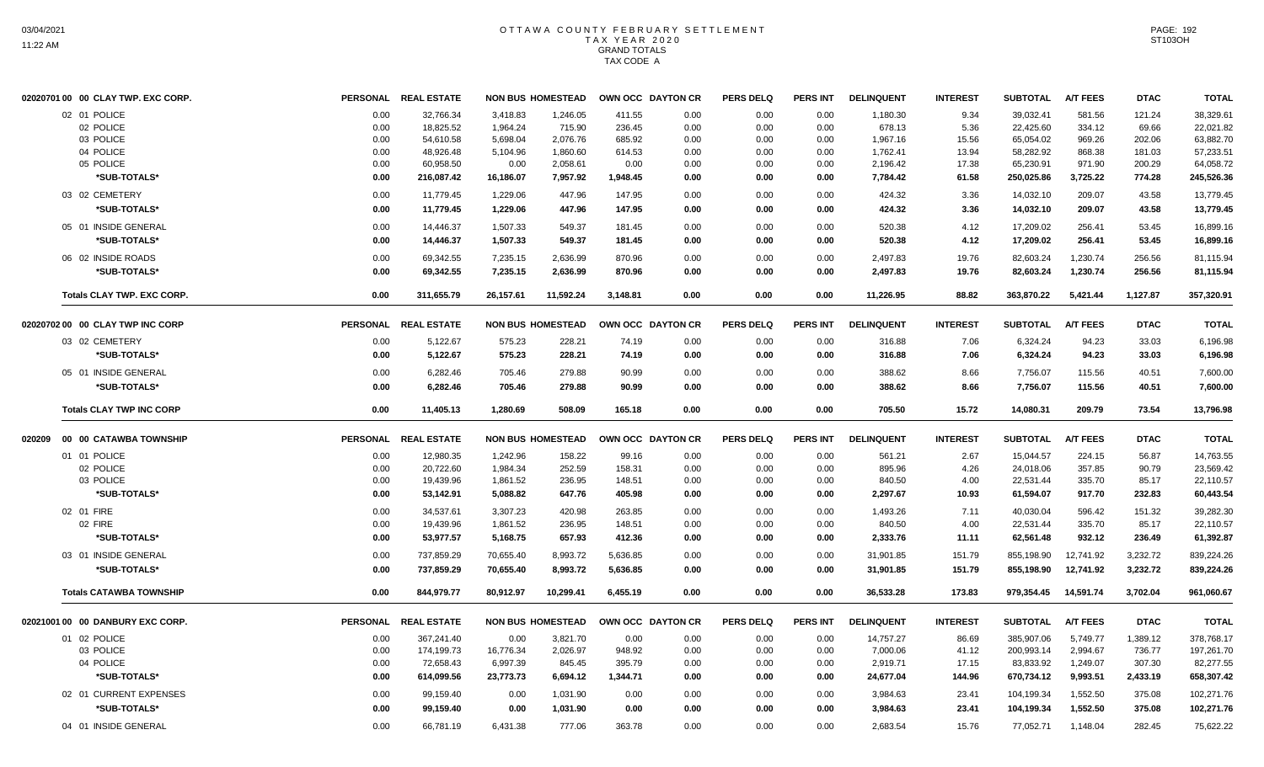|        | 02020701 00 00 CLAY TWP. EXC CORP. |                 | PERSONAL REAL ESTATE |           | <b>NON BUS HOMESTEAD</b> |          | OWN OCC DAYTON CR | <b>PERS DELQ</b> | PERS INT        | <b>DELINQUENT</b> | <b>INTEREST</b> | <b>SUBTOTAL</b> | <b>A/T FEES</b> | <b>DTAC</b> | <b>TOTAL</b> |
|--------|------------------------------------|-----------------|----------------------|-----------|--------------------------|----------|-------------------|------------------|-----------------|-------------------|-----------------|-----------------|-----------------|-------------|--------------|
|        | 02 01 POLICE                       | 0.00            | 32,766.34            | 3,418.83  | 1,246.05                 | 411.55   | 0.00              | 0.00             | 0.00            | 1,180.30          | 9.34            | 39,032.41       | 581.56          | 121.24      | 38,329.61    |
|        | 02 POLICE                          | 0.00            | 18,825.52            | 1,964.24  | 715.90                   | 236.45   | 0.00              | 0.00             | 0.00            | 678.13            | 5.36            | 22,425.60       | 334.12          | 69.66       | 22,021.82    |
|        | 03 POLICE                          | 0.00            | 54,610.58            | 5,698.04  | 2,076.76                 | 685.92   | 0.00              | 0.00             | 0.00            | 1,967.16          | 15.56           | 65,054.02       | 969.26          | 202.06      | 63,882.70    |
|        | 04 POLICE                          | 0.00            | 48,926.48            | 5,104.96  | 1,860.60                 | 614.53   | 0.00              | 0.00             | 0.00            | 1,762.41          | 13.94           | 58,282.92       | 868.38          | 181.03      | 57,233.51    |
|        | 05 POLICE                          | 0.00            | 60,958.50            | 0.00      | 2,058.61                 | 0.00     | 0.00              | 0.00             | 0.00            | 2,196.42          | 17.38           | 65,230.91       | 971.90          | 200.29      | 64,058.72    |
|        | *SUB-TOTALS*                       | 0.00            | 216,087.42           | 16,186.07 | 7,957.92                 | 1,948.45 | 0.00              | 0.00             | 0.00            | 7,784.42          | 61.58           | 250,025.86      | 3,725.22        | 774.28      | 245,526.36   |
|        | 03 02 CEMETERY                     | 0.00            | 11.779.45            | 1,229.06  | 447.96                   | 147.95   | 0.00              | 0.00             | 0.00            | 424.32            | 3.36            | 14,032.10       | 209.07          | 43.58       | 13,779.45    |
|        | *SUB-TOTALS*                       | 0.00            | 11,779.45            | 1,229.06  | 447.96                   | 147.95   | 0.00              | 0.00             | 0.00            | 424.32            | 3.36            | 14,032.10       | 209.07          | 43.58       | 13,779.45    |
|        | 05 01 INSIDE GENERAL               | 0.00            | 14.446.37            | 1,507.33  | 549.37                   | 181.45   | 0.00              | 0.00             | 0.00            | 520.38            | 4.12            | 17,209.02       | 256.41          | 53.45       | 16,899.16    |
|        | *SUB-TOTALS*                       | 0.00            | 14,446.37            | 1,507.33  | 549.37                   | 181.45   | 0.00              | 0.00             | 0.00            | 520.38            | 4.12            | 17,209.02       | 256.41          | 53.45       | 16,899.16    |
|        | 06 02 INSIDE ROADS                 | 0.00            | 69,342.55            | 7,235.15  | 2,636.99                 | 870.96   | 0.00              | 0.00             | 0.00            | 2,497.83          | 19.76           | 82,603.24       | 1,230.74        | 256.56      | 81,115.94    |
|        | *SUB-TOTALS*                       | 0.00            | 69,342.55            | 7,235.15  | 2,636.99                 | 870.96   | 0.00              | 0.00             | 0.00            | 2,497.83          | 19.76           | 82,603.24       | 1,230.74        | 256.56      | 81,115.94    |
|        | Totals CLAY TWP. EXC CORP.         | 0.00            | 311,655.79           | 26,157.61 | 11,592.24                | 3,148.81 | 0.00              | 0.00             | 0.00            | 11,226.95         | 88.82           | 363,870.22      | 5,421.44        | 1,127.87    | 357,320.91   |
|        | 02020702 00 00 CLAY TWP INC CORP   |                 | PERSONAL REAL ESTATE |           | <b>NON BUS HOMESTEAD</b> |          | OWN OCC DAYTON CR | <b>PERS DELO</b> | PERS INT        | <b>DELINQUENT</b> | <b>INTEREST</b> | <b>SUBTOTAL</b> | <b>A/T FEES</b> | <b>DTAC</b> | <b>TOTAL</b> |
|        | 03 02 CEMETERY                     | 0.00            | 5,122.67             | 575.23    | 228.21                   | 74.19    | 0.00              | 0.00             | 0.00            | 316.88            | 7.06            | 6,324.24        | 94.23           | 33.03       | 6,196.98     |
|        | *SUB-TOTALS*                       | 0.00            | 5,122.67             | 575.23    | 228.21                   | 74.19    | 0.00              | 0.00             | 0.00            | 316.88            | 7.06            | 6,324.24        | 94.23           | 33.03       | 6,196.98     |
|        | 05 01 INSIDE GENERAL               | 0.00            | 6,282.46             | 705.46    | 279.88                   | 90.99    | 0.00              | 0.00             | 0.00            | 388.62            | 8.66            | 7,756.07        | 115.56          | 40.51       | 7,600.00     |
|        | *SUB-TOTALS*                       | 0.00            | 6,282.46             | 705.46    | 279.88                   | 90.99    | 0.00              | 0.00             | 0.00            | 388.62            | 8.66            | 7,756.07        | 115.56          | 40.51       | 7,600.00     |
|        | <b>Totals CLAY TWP INC CORP</b>    | 0.00            | 11.405.13            | 1.280.69  | 508.09                   | 165.18   | 0.00              | 0.00             | 0.00            | 705.50            | 15.72           | 14,080.31       | 209.79          | 73.54       | 13,796.98    |
| 020209 | 00 00 CATAWBA TOWNSHIP             | <b>PERSONAL</b> | <b>REAL ESTATE</b>   |           | <b>NON BUS HOMESTEAD</b> |          | OWN OCC DAYTON CR | <b>PERS DELQ</b> | <b>PERS INT</b> | <b>DELINQUENT</b> | <b>INTEREST</b> | <b>SUBTOTAL</b> | <b>A/T FEES</b> | <b>DTAC</b> | <b>TOTAL</b> |
|        | 01 01 POLICE                       | 0.00            | 12,980.35            | 1,242.96  | 158.22                   | 99.16    | 0.00              | 0.00             | 0.00            | 561.21            | 2.67            | 15,044.57       | 224.15          | 56.87       | 14,763.55    |
|        | 02 POLICE                          | 0.00            | 20,722.60            | 1,984.34  | 252.59                   | 158.31   | 0.00              | 0.00             | 0.00            | 895.96            | 4.26            | 24,018.06       | 357.85          | 90.79       | 23,569.42    |
|        | 03 POLICE                          | 0.00            | 19,439.96            | 1,861.52  | 236.95                   | 148.51   | 0.00              | 0.00             | 0.00            | 840.50            | 4.00            | 22,531.44       | 335.70          | 85.17       | 22,110.57    |
|        | *SUB-TOTALS*                       | 0.00            | 53,142.91            | 5,088.82  | 647.76                   | 405.98   | 0.00              | 0.00             | 0.00            | 2,297.67          | 10.93           | 61,594.07       | 917.70          | 232.83      | 60,443.54    |
|        | 02 01 FIRE                         | 0.00            | 34,537.61            | 3,307.23  | 420.98                   | 263.85   | 0.00              | 0.00             | 0.00            | 1,493.26          | 7.11            | 40,030.04       | 596.42          | 151.32      | 39,282.30    |
|        | 02 FIRE                            | 0.00            | 19,439.96            | 1,861.52  | 236.95                   | 148.51   | 0.00              | 0.00             | 0.00            | 840.50            | 4.00            | 22,531.44       | 335.70          | 85.17       | 22,110.57    |
|        | *SUB-TOTALS*                       | 0.00            | 53,977.57            | 5,168.75  | 657.93                   | 412.36   | 0.00              | 0.00             | 0.00            | 2,333.76          | 11.11           | 62,561.48       | 932.12          | 236.49      | 61,392.87    |
|        | 03 01 INSIDE GENERAL               | 0.00            | 737,859.29           | 70,655.40 | 8,993.72                 | 5,636.85 | 0.00              | 0.00             | 0.00            | 31,901.85         | 151.79          | 855,198.90      | 12,741.92       | 3,232.72    | 839,224.26   |
|        | *SUB-TOTALS*                       | 0.00            | 737,859.29           | 70,655.40 | 8,993.72                 | 5,636.85 | 0.00              | 0.00             | 0.00            | 31,901.85         | 151.79          | 855,198.90      | 12,741.92       | 3,232.72    | 839,224.26   |
|        | <b>Totals CATAWBA TOWNSHIP</b>     | 0.00            | 844,979.77           | 80,912.97 | 10,299.41                | 6,455.19 | 0.00              | 0.00             | 0.00            | 36,533.28         | 173.83          | 979,354.45      | 14,591.74       | 3,702.04    | 961,060.67   |
|        | 02021001 00 00 DANBURY EXC CORP.   | <b>PERSONAL</b> | <b>REAL ESTATE</b>   |           | <b>NON BUS HOMESTEAD</b> |          | OWN OCC DAYTON CR | <b>PERS DELQ</b> | <b>PERS INT</b> | <b>DELINQUENT</b> | <b>INTEREST</b> | <b>SUBTOTAL</b> | <b>A/T FEES</b> | <b>DTAC</b> | <b>TOTAL</b> |
|        | 01 02 POLICE                       | 0.00            | 367,241.40           | 0.00      | 3,821.70                 | 0.00     | 0.00              | 0.00             | 0.00            | 14,757.27         | 86.69           | 385,907.06      | 5,749.77        | 1.389.12    | 378,768.17   |
|        | 03 POLICE                          | 0.00            | 174,199.73           | 16,776.34 | 2,026.97                 | 948.92   | 0.00              | 0.00             | 0.00            | 7,000.06          | 41.12           | 200,993.14      | 2,994.67        | 736.77      | 197,261.70   |
|        | 04 POLICE                          | 0.00            | 72,658.43            | 6,997.39  | 845.45                   | 395.79   | 0.00              | 0.00             | 0.00            | 2,919.71          | 17.15           | 83,833.92       | 1,249.07        | 307.30      | 82,277.55    |
|        | *SUB-TOTALS*                       | 0.00            | 614,099.56           | 23,773.73 | 6,694.12                 | 1,344.71 | 0.00              | 0.00             | 0.00            | 24,677.04         | 144.96          | 670,734.12      | 9,993.51        | 2,433.19    | 658,307.42   |
|        | 02 01 CURRENT EXPENSES             | 0.00            | 99,159.40            | 0.00      | 1,031.90                 | 0.00     | 0.00              | 0.00             | 0.00            | 3,984.63          | 23.41           | 104,199.34      | 1,552.50        | 375.08      | 102,271.76   |
|        | *SUB-TOTALS*                       | 0.00            | 99,159.40            | 0.00      | 1,031.90                 | 0.00     | 0.00              | 0.00             | 0.00            | 3,984.63          | 23.41           | 104,199.34      | 1,552.50        | 375.08      | 102,271.76   |
|        | 04 01 INSIDE GENERAL               | 0.00            | 66,781.19            | 6,431.38  | 777.06                   | 363.78   | 0.00              | 0.00             | 0.00            | 2,683.54          | 15.76           | 77,052.71       | 1,148.04        | 282.45      | 75,622.22    |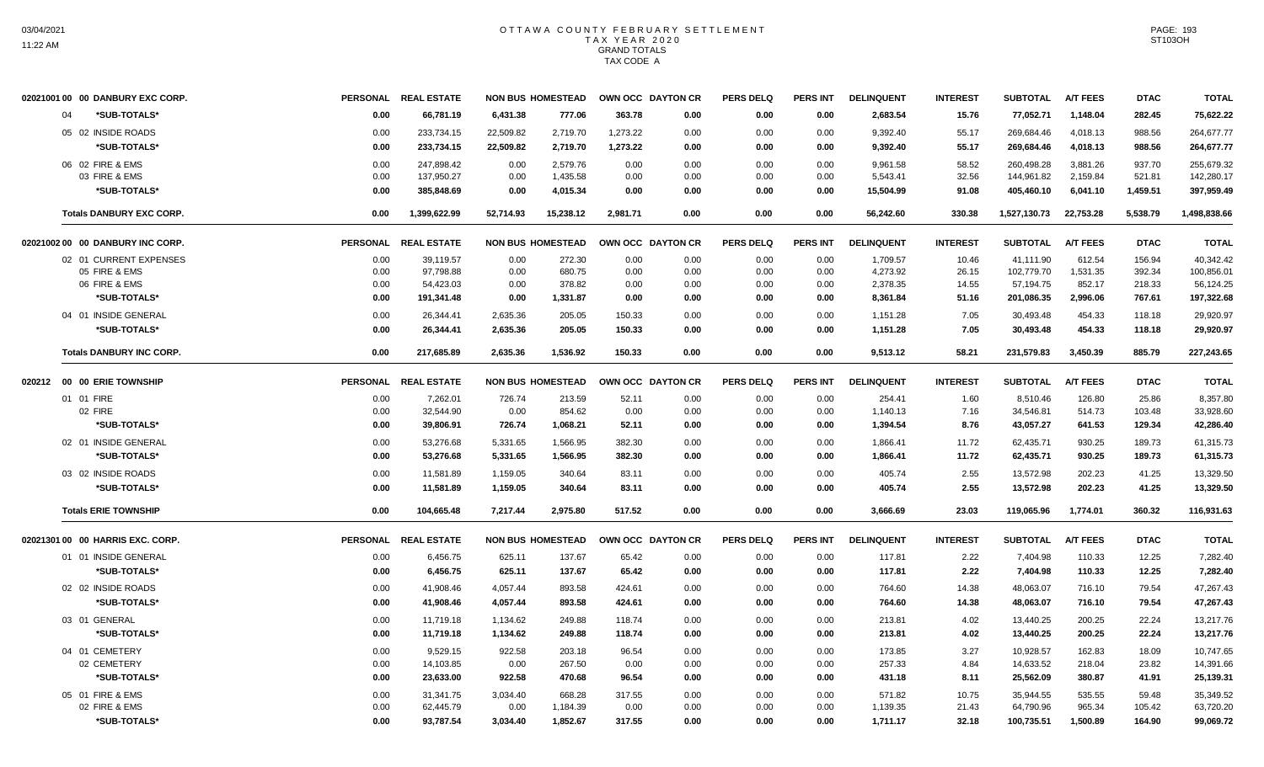| 02021001 00 00 DANBURY EXC CORP. |      | PERSONAL REAL ESTATE |           | <b>NON BUS HOMESTEAD</b> |          | OWN OCC DAYTON CR | <b>PERS DELQ</b> | <b>PERS INT</b> | <b>DELINQUENT</b> | <b>INTEREST</b> | <b>SUBTOTAL</b> | <b>A/T FEES</b> | <b>DTAC</b> | <b>TOTAL</b> |
|----------------------------------|------|----------------------|-----------|--------------------------|----------|-------------------|------------------|-----------------|-------------------|-----------------|-----------------|-----------------|-------------|--------------|
| 04<br>*SUB-TOTALS*               | 0.00 | 66,781.19            | 6,431.38  | 777.06                   | 363.78   | 0.00              | 0.00             | 0.00            | 2,683.54          | 15.76           | 77,052.71       | 1,148.04        | 282.45      | 75,622.22    |
| 05 02 INSIDE ROADS               | 0.00 | 233,734.15           | 22,509.82 | 2,719.70                 | 1,273.22 | 0.00              | 0.00             | 0.00            | 9,392.40          | 55.17           | 269,684.46      | 4,018.13        | 988.56      | 264,677.77   |
| *SUB-TOTALS*                     | 0.00 | 233,734.15           | 22,509.82 | 2,719.70                 | 1,273.22 | 0.00              | 0.00             | 0.00            | 9,392.40          | 55.17           | 269,684.46      | 4,018.13        | 988.56      | 264,677.77   |
| 06 02 FIRE & EMS                 | 0.00 | 247.898.42           | 0.00      | 2,579.76                 | 0.00     | 0.00              | 0.00             | 0.00            | 9,961.58          | 58.52           | 260,498.28      | 3,881.26        | 937.70      | 255,679.32   |
| 03 FIRE & EMS                    | 0.00 | 137.950.27           | 0.00      | 1.435.58                 | 0.00     | 0.00              | 0.00             | 0.00            | 5.543.41          | 32.56           | 144,961.82      | 2,159.84        | 521.81      | 142,280.17   |
| *SUB-TOTALS*                     | 0.00 | 385,848.69           | 0.00      | 4,015.34                 | 0.00     | 0.00              | 0.00             | 0.00            | 15,504.99         | 91.08           | 405,460.10      | 6,041.10        | 1,459.51    | 397,959.49   |
| <b>Totals DANBURY EXC CORP.</b>  | 0.00 | 1,399,622.99         | 52,714.93 | 15,238.12                | 2,981.71 | 0.00              | 0.00             | 0.00            | 56,242.60         | 330.38          | 1,527,130.73    | 22,753.28       | 5,538.79    | 1,498,838.66 |
| 02021002 00 00 DANBURY INC CORP. |      | PERSONAL REAL ESTATE |           | <b>NON BUS HOMESTEAD</b> |          | OWN OCC DAYTON CR | <b>PERS DELQ</b> | <b>PERS INT</b> | <b>DELINQUENT</b> | <b>INTEREST</b> | <b>SUBTOTAL</b> | <b>A/T FEES</b> | <b>DTAC</b> | <b>TOTAL</b> |
| 02 01 CURRENT EXPENSES           | 0.00 | 39,119.57            | 0.00      | 272.30                   | 0.00     | 0.00              | 0.00             | 0.00            | 1,709.57          | 10.46           | 41.111.90       | 612.54          | 156.94      | 40,342.42    |
| 05 FIRE & EMS                    | 0.00 | 97,798.88            | 0.00      | 680.75                   | 0.00     | 0.00              | 0.00             | 0.00            | 4,273.92          | 26.15           | 102,779.70      | 1,531.35        | 392.34      | 100,856.01   |
| 06 FIRE & EMS                    | 0.00 | 54,423.03            | 0.00      | 378.82                   | 0.00     | 0.00              | 0.00             | 0.00            | 2,378.35          | 14.55           | 57,194.75       | 852.17          | 218.33      | 56,124.25    |
| *SUB-TOTALS*                     | 0.00 | 191,341.48           | 0.00      | 1,331.87                 | 0.00     | 0.00              | 0.00             | 0.00            | 8,361.84          | 51.16           | 201,086.35      | 2,996.06        | 767.61      | 197,322.68   |
| 04 01 INSIDE GENERAL             | 0.00 | 26,344.41            | 2,635.36  | 205.05                   | 150.33   | 0.00              | 0.00             | 0.00            | 1,151.28          | 7.05            | 30,493.48       | 454.33          | 118.18      | 29,920.97    |
| *SUB-TOTALS*                     | 0.00 | 26,344.41            | 2,635.36  | 205.05                   | 150.33   | 0.00              | 0.00             | 0.00            | 1,151.28          | 7.05            | 30,493.48       | 454.33          | 118.18      | 29,920.97    |
| <b>Totals DANBURY INC CORP.</b>  | 0.00 | 217,685.89           | 2,635.36  | 1,536.92                 | 150.33   | 0.00              | 0.00             | 0.00            | 9,513.12          | 58.21           | 231,579.83      | 3,450.39        | 885.79      | 227,243.65   |
| 020212 00 00 ERIE TOWNSHIP       |      | PERSONAL REAL ESTATE |           | <b>NON BUS HOMESTEAD</b> |          | OWN OCC DAYTON CR | <b>PERS DELQ</b> | <b>PERS INT</b> | <b>DELINQUENT</b> | <b>INTEREST</b> | <b>SUBTOTAL</b> | <b>A/T FEES</b> | <b>DTAC</b> | <b>TOTAL</b> |
| 01 01 FIRE                       | 0.00 | 7,262.01             | 726.74    | 213.59                   | 52.11    | 0.00              | 0.00             | 0.00            | 254.41            | 1.60            | 8,510.46        | 126.80          | 25.86       | 8,357.80     |
| 02 FIRE                          | 0.00 | 32,544.90            | 0.00      | 854.62                   | 0.00     | 0.00              | 0.00             | 0.00            | 1,140.13          | 7.16            | 34,546.81       | 514.73          | 103.48      | 33,928.60    |
| *SUB-TOTALS*                     | 0.00 | 39,806.91            | 726.74    | 1,068.21                 | 52.11    | 0.00              | 0.00             | 0.00            | 1,394.54          | 8.76            | 43,057.27       | 641.53          | 129.34      | 42,286.40    |
| 02 01 INSIDE GENERAL             | 0.00 | 53.276.68            | 5,331.65  | 1.566.95                 | 382.30   | 0.00              | 0.00             | 0.00            | 1,866.41          | 11.72           | 62.435.71       | 930.25          | 189.73      | 61.315.73    |
| *SUB-TOTALS*                     | 0.00 | 53,276.68            | 5,331.65  | 1,566.95                 | 382.30   | 0.00              | 0.00             | 0.00            | 1,866.41          | 11.72           | 62,435.71       | 930.25          | 189.73      | 61,315.73    |
| 03 02 INSIDE ROADS               | 0.00 | 11,581.89            | 1,159.05  | 340.64                   | 83.11    | 0.00              | 0.00             | 0.00            | 405.74            | 2.55            | 13,572.98       | 202.23          | 41.25       | 13,329.50    |
| *SUB-TOTALS*                     | 0.00 | 11,581.89            | 1,159.05  | 340.64                   | 83.11    | 0.00              | 0.00             | 0.00            | 405.74            | 2.55            | 13,572.98       | 202.23          | 41.25       | 13,329.50    |
| <b>Totals ERIE TOWNSHIP</b>      | 0.00 | 104.665.48           | 7,217.44  | 2.975.80                 | 517.52   | 0.00              | 0.00             | 0.00            | 3,666.69          | 23.03           | 119.065.96      | 1,774.01        | 360.32      | 116,931.63   |
| 02021301 00 00 HARRIS EXC. CORP. |      | PERSONAL REAL ESTATE |           | <b>NON BUS HOMESTEAD</b> |          | OWN OCC DAYTON CR | <b>PERS DELQ</b> | <b>PERS INT</b> | <b>DELINQUENT</b> | <b>INTEREST</b> | <b>SUBTOTAL</b> | <b>A/T FEES</b> | <b>DTAC</b> | <b>TOTAL</b> |
| 01 01 INSIDE GENERAL             | 0.00 | 6,456.75             | 625.11    | 137.67                   | 65.42    | 0.00              | 0.00             | 0.00            | 117.81            | 2.22            | 7,404.98        | 110.33          | 12.25       | 7.282.40     |
| *SUB-TOTALS*                     | 0.00 | 6,456.75             | 625.11    | 137.67                   | 65.42    | 0.00              | 0.00             | 0.00            | 117.81            | 2.22            | 7,404.98        | 110.33          | 12.25       | 7,282.40     |
| 02 02 INSIDE ROADS               | 0.00 | 41,908.46            | 4,057.44  | 893.58                   | 424.61   | 0.00              | 0.00             | 0.00            | 764.60            | 14.38           | 48,063.07       | 716.10          | 79.54       | 47,267.43    |
| *SUB-TOTALS*                     | 0.00 | 41,908.46            | 4,057.44  | 893.58                   | 424.61   | 0.00              | 0.00             | 0.00            | 764.60            | 14.38           | 48,063.07       | 716.10          | 79.54       | 47,267.43    |
| 03 01 GENERAL                    | 0.00 | 11,719.18            | 1,134.62  | 249.88                   | 118.74   | 0.00              | 0.00             | 0.00            | 213.81            | 4.02            | 13,440.25       | 200.25          | 22.24       | 13,217.76    |
| *SUB-TOTALS*                     | 0.00 | 11,719.18            | 1,134.62  | 249.88                   | 118.74   | 0.00              | 0.00             | 0.00            | 213.81            | 4.02            | 13,440.25       | 200.25          | 22.24       | 13,217.76    |
| 04 01 CEMETERY                   | 0.00 | 9,529.15             | 922.58    | 203.18                   | 96.54    | 0.00              | 0.00             | 0.00            | 173.85            | 3.27            | 10,928.57       | 162.83          | 18.09       | 10,747.65    |
| 02 CEMETERY                      | 0.00 | 14,103.85            | 0.00      | 267.50                   | 0.00     | 0.00              | 0.00             | 0.00            | 257.33            | 4.84            | 14,633.52       | 218.04          | 23.82       | 14,391.66    |
| *SUB-TOTALS*                     | 0.00 | 23,633.00            | 922.58    | 470.68                   | 96.54    | 0.00              | 0.00             | 0.00            | 431.18            | 8.11            | 25,562.09       | 380.87          | 41.91       | 25,139.31    |
| 05 01 FIRE & EMS                 | 0.00 | 31,341.75            | 3,034.40  | 668.28                   | 317.55   | 0.00              | 0.00             | 0.00            | 571.82            | 10.75           | 35,944.55       | 535.55          | 59.48       | 35,349.52    |
| 02 FIRE & EMS                    | 0.00 | 62,445.79            | 0.00      | 1,184.39                 | 0.00     | 0.00              | 0.00             | 0.00            | 1,139.35          | 21.43           | 64,790.96       | 965.34          | 105.42      | 63,720.20    |
| *SUB-TOTALS*                     | 0.00 | 93,787.54            | 3,034.40  | 1,852.67                 | 317.55   | 0.00              | 0.00             | 0.00            | 1,711.17          | 32.18           | 100,735.51      | 1,500.89        | 164.90      | 99,069.72    |
|                                  |      |                      |           |                          |          |                   |                  |                 |                   |                 |                 |                 |             |              |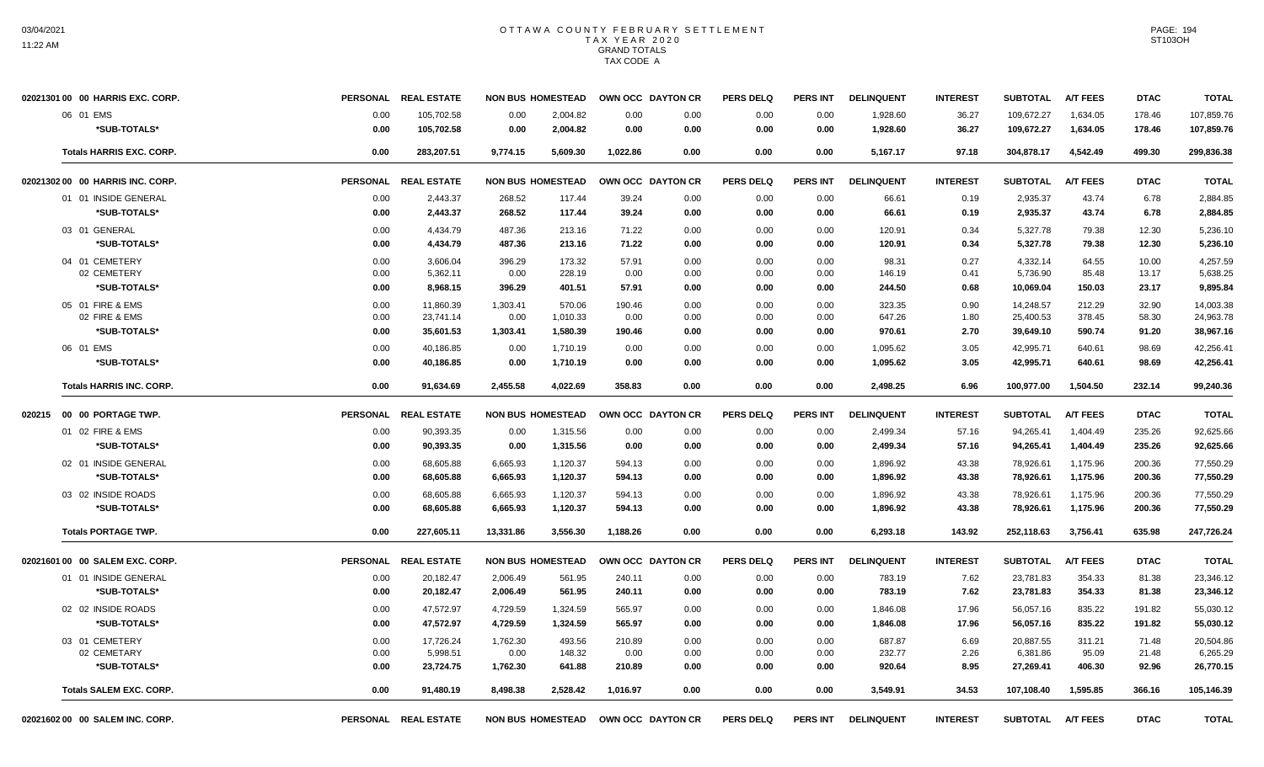| 02021301 00 00 HARRIS EXC. CORP. | <b>PERSONAL</b> | <b>REAL ESTATE</b>   | <b>NON BUS HOMESTEAD</b> |          |          | OWN OCC DAYTON CR                   | <b>PERS DELQ</b> | <b>PERS INT</b> | <b>DELINQUENT</b> | <b>INTEREST</b> | <b>SUBTOTAL</b> | <b>A/T FEES</b> | <b>DTAC</b> | <b>TOTAL</b> |
|----------------------------------|-----------------|----------------------|--------------------------|----------|----------|-------------------------------------|------------------|-----------------|-------------------|-----------------|-----------------|-----------------|-------------|--------------|
| 06 01 EMS                        | 0.00            | 105,702.58           | 0.00                     | 2,004.82 | 0.00     | 0.00                                | 0.00             | 0.00            | 1,928.60          | 36.27           | 109,672.27      | 1,634.05        | 178.46      | 107,859.76   |
| *SUB-TOTALS*                     | 0.00            | 105,702.58           | 0.00                     | 2.004.82 | 0.00     | 0.00                                | 0.00             | 0.00            | 1,928.60          | 36.27           | 109,672.27      | 1,634.05        | 178.46      | 107,859.76   |
| <b>Totals HARRIS EXC. CORP.</b>  | 0.00            | 283,207.51           | 9.774.15                 | 5,609.30 | 1,022.86 | 0.00                                | 0.00             | 0.00            | 5,167.17          | 97.18           | 304,878.17      | 4,542.49        | 499.30      | 299,836.38   |
| 02021302 00 00 HARRIS INC. CORP. | <b>PERSONAL</b> | <b>REAL ESTATE</b>   | <b>NON BUS HOMESTEAD</b> |          |          | OWN OCC DAYTON CR                   | <b>PERS DELQ</b> | <b>PERS INT</b> | <b>DELINQUENT</b> | <b>INTEREST</b> | <b>SUBTOTAL</b> | <b>A/T FEES</b> | <b>DTAC</b> | <b>TOTAL</b> |
| 01 01 INSIDE GENERAL             | 0.00            | 2,443.37             | 268.52                   | 117.44   | 39.24    | 0.00                                | 0.00             | 0.00            | 66.61             | 0.19            | 2,935.37        | 43.74           | 6.78        | 2,884.85     |
| *SUB-TOTALS*                     | 0.00            | 2,443.37             | 268.52                   | 117.44   | 39.24    | 0.00                                | 0.00             | 0.00            | 66.61             | 0.19            | 2,935.37        | 43.74           | 6.78        | 2,884.85     |
| 03 01 GENERAL                    | 0.00            | 4,434.79             | 487.36                   | 213.16   | 71.22    | 0.00                                | 0.00             | 0.00            | 120.91            | 0.34            | 5,327.78        | 79.38           | 12.30       | 5.236.10     |
| *SUB-TOTALS*                     | 0.00            | 4,434.79             | 487.36                   | 213.16   | 71.22    | 0.00                                | 0.00             | 0.00            | 120.91            | 0.34            | 5,327.78        | 79.38           | 12.30       | 5,236.10     |
| 04 01 CEMETERY                   | 0.00            | 3,606.04             | 396.29                   | 173.32   | 57.91    | 0.00                                | 0.00             | 0.00            | 98.31             | 0.27            | 4,332.14        | 64.55           | 10.00       | 4,257.59     |
| 02 CEMETERY                      | 0.00            | 5,362.11             | 0.00                     | 228.19   | 0.00     | 0.00                                | 0.00             | 0.00            | 146.19            | 0.41            | 5,736.90        | 85.48           | 13.17       | 5,638.25     |
| *SUB-TOTALS*                     | 0.00            | 8,968.15             | 396.29                   | 401.51   | 57.91    | 0.00                                | 0.00             | 0.00            | 244.50            | 0.68            | 10,069.04       | 150.03          | 23.17       | 9,895.84     |
| 05 01 FIRE & EMS                 | 0.00            | 11,860.39            | 1,303.41                 | 570.06   | 190.46   | 0.00                                | 0.00             | 0.00            | 323.35            | 0.90            | 14.248.57       | 212.29          | 32.90       | 14,003.38    |
| 02 FIRE & EMS                    | 0.00            | 23,741.14            | 0.00                     | 1,010.33 | 0.00     | 0.00                                | 0.00             | 0.00            | 647.26            | 1.80            | 25,400.53       | 378.45          | 58.30       | 24,963.78    |
| *SUB-TOTALS*                     | 0.00            | 35,601.53            | 1,303.41                 | 1,580.39 | 190.46   | 0.00                                | 0.00             | 0.00            | 970.61            | 2.70            | 39,649.10       | 590.74          | 91.20       | 38,967.16    |
| 06 01 EMS                        | 0.00            | 40.186.85            | 0.00                     | 1,710.19 | 0.00     | 0.00                                | 0.00             | 0.00            | 1.095.62          | 3.05            | 42.995.71       | 640.61          | 98.69       | 42.256.41    |
| *SUB-TOTALS*                     | 0.00            | 40,186.85            | 0.00                     | 1.710.19 | 0.00     | 0.00                                | 0.00             | 0.00            | 1.095.62          | 3.05            | 42.995.71       | 640.61          | 98.69       | 42.256.41    |
| <b>Totals HARRIS INC. CORP.</b>  | 0.00            | 91,634.69            | 2,455.58                 | 4,022.69 | 358.83   | 0.00                                | 0.00             | 0.00            | 2,498.25          | 6.96            | 100,977.00      | 1,504.50        | 232.14      | 99,240.36    |
| 020215 00 00 PORTAGE TWP.        | <b>PERSONAL</b> | <b>REAL ESTATE</b>   | <b>NON BUS HOMESTEAD</b> |          |          | OWN OCC DAYTON CR                   | <b>PERS DELO</b> | <b>PERS INT</b> | <b>DELINQUENT</b> | <b>INTEREST</b> | <b>SUBTOTAL</b> | <b>A/T FEES</b> | <b>DTAC</b> | <b>TOTAL</b> |
| 01 02 FIRE & EMS                 | 0.00            | 90.393.35            | 0.00                     | 1,315.56 | 0.00     | 0.00                                | 0.00             | 0.00            | 2,499.34          | 57.16           | 94,265.41       | 1.404.49        | 235.26      | 92,625.66    |
| *SUB-TOTALS*                     | 0.00            | 90,393.35            | 0.00                     | 1,315.56 | 0.00     | 0.00                                | 0.00             | 0.00            | 2,499.34          | 57.16           | 94,265.41       | 1,404.49        | 235.26      | 92,625.66    |
| 02 01 INSIDE GENERAL             | 0.00            | 68,605.88            | 6,665.93                 | 1,120.37 | 594.13   | 0.00                                | 0.00             | 0.00            | 1,896.92          | 43.38           | 78,926.61       | 1,175.96        | 200.36      | 77,550.29    |
| *SUB-TOTALS*                     | 0.00            | 68,605.88            | 6,665.93                 | 1,120.37 | 594.13   | 0.00                                | 0.00             | 0.00            | 1,896.92          | 43.38           | 78,926.61       | 1,175.96        | 200.36      | 77,550.29    |
| 03 02 INSIDE ROADS               | 0.00            | 68,605.88            | 6,665.93                 | 1,120.37 | 594.13   | 0.00                                | 0.00             | 0.00            | 1,896.92          | 43.38           | 78,926.61       | 1,175.96        | 200.36      | 77,550.29    |
| *SUB-TOTALS*                     | 0.00            | 68,605.88            | 6,665.93                 | 1,120.37 | 594.13   | 0.00                                | 0.00             | 0.00            | 1,896.92          | 43.38           | 78,926.61       | 1,175.96        | 200.36      | 77,550.29    |
| <b>Totals PORTAGE TWP.</b>       | 0.00            | 227.605.11           | 13.331.86                | 3.556.30 | 1.188.26 | 0.00                                | 0.00             | 0.00            | 6.293.18          | 143.92          | 252.118.63      | 3.756.41        | 635.98      | 247,726.24   |
| 02021601 00 00 SALEM EXC. CORP.  | <b>PERSONAL</b> | <b>REAL ESTATE</b>   | <b>NON BUS HOMESTEAD</b> |          |          | OWN OCC DAYTON CR                   | <b>PERS DELQ</b> | <b>PERS INT</b> | <b>DELINQUENT</b> | <b>INTEREST</b> | <b>SUBTOTAL</b> | <b>A/T FEES</b> | <b>DTAC</b> | <b>TOTAL</b> |
| 01 01 INSIDE GENERAL             | 0.00            | 20,182.47            | 2,006.49                 | 561.95   | 240.11   | 0.00                                | 0.00             | 0.00            | 783.19            | 7.62            | 23,781.83       | 354.33          | 81.38       | 23,346.12    |
| *SUB-TOTALS*                     | 0.00            | 20.182.47            | 2,006.49                 | 561.95   | 240.11   | 0.00                                | 0.00             | 0.00            | 783.19            | 7.62            | 23,781.83       | 354.33          | 81.38       | 23.346.12    |
| 02 02 INSIDE ROADS               | 0.00            | 47.572.97            | 4,729.59                 | 1,324.59 | 565.97   | 0.00                                | 0.00             | 0.00            | 1,846.08          | 17.96           | 56,057.16       | 835.22          | 191.82      | 55,030.12    |
| *SUB-TOTALS*                     | 0.00            | 47,572.97            | 4,729.59                 | 1,324.59 | 565.97   | 0.00                                | 0.00             | 0.00            | 1,846.08          | 17.96           | 56,057.16       | 835.22          | 191.82      | 55,030.12    |
| 03 01 CEMETERY                   | 0.00            | 17,726.24            | 1,762.30                 | 493.56   | 210.89   | 0.00                                | 0.00             | 0.00            | 687.87            | 6.69            | 20,887.55       | 311.21          | 71.48       | 20,504.86    |
| 02 CEMETARY                      | 0.00            | 5,998.51             | 0.00                     | 148.32   | 0.00     | 0.00                                | 0.00             | 0.00            | 232.77            | 2.26            | 6,381.86        | 95.09           | 21.48       | 6,265.29     |
| *SUB-TOTALS*                     | 0.00            | 23,724.75            | 1,762.30                 | 641.88   | 210.89   | 0.00                                | 0.00             | 0.00            | 920.64            | 8.95            | 27,269.41       | 406.30          | 92.96       | 26,770.15    |
| <b>Totals SALEM EXC. CORP.</b>   | 0.00            | 91,480.19            | 8,498.38                 | 2,528.42 | 1,016.97 | 0.00                                | 0.00             | 0.00            | 3,549.91          | 34.53           | 107,108.40      | 1,595.85        | 366.16      | 105,146.39   |
| 02021602 00 00 SALEM INC. CORP.  |                 | PERSONAL REAL ESTATE |                          |          |          | NON BUS HOMESTEAD OWN OCC DAYTON CR | <b>PERS DELQ</b> | PERS INT        | <b>DELINQUENT</b> | <b>INTEREST</b> | <b>SUBTOTAL</b> | <b>A/T FEES</b> | <b>DTAC</b> | <b>TOTAL</b> |

PAGE: 194 ST103OH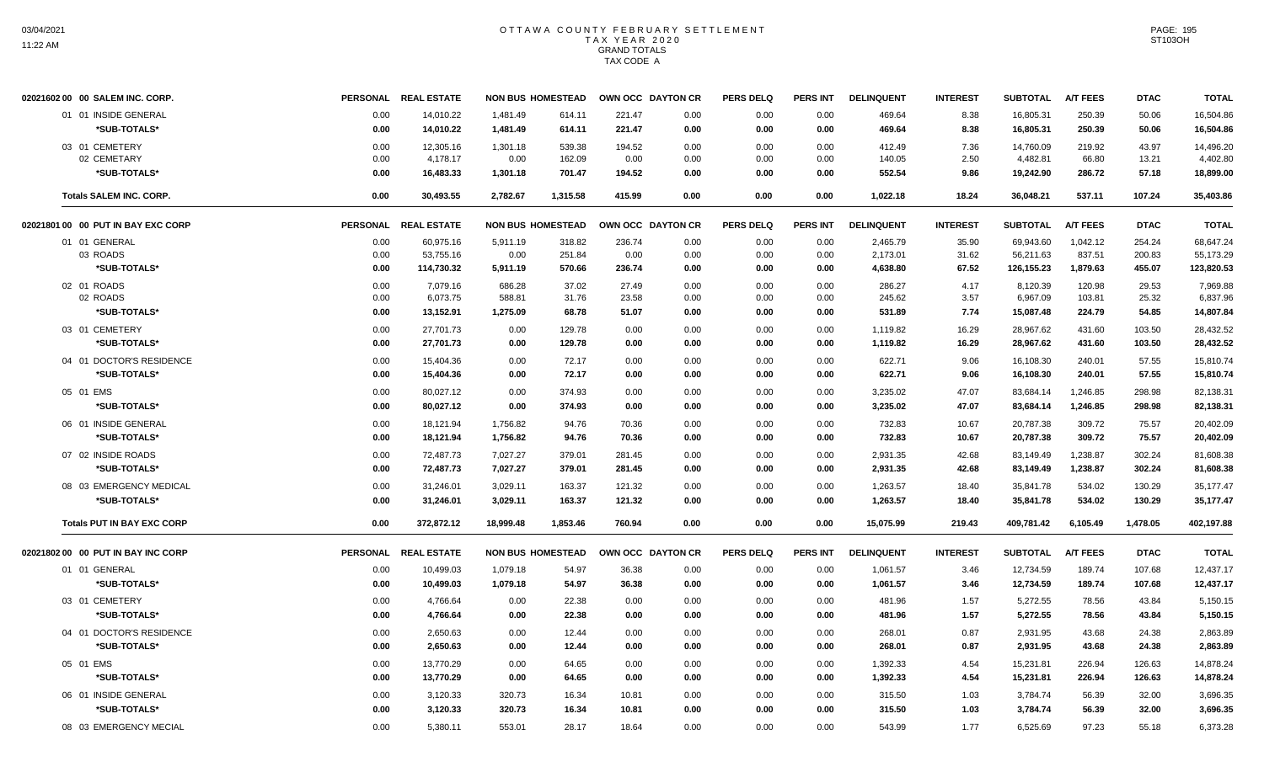| 02021602 00 00 SALEM INC. CORP.         |      | PERSONAL REAL ESTATE   | <b>NON BUS HOMESTEAD</b> |          |        | OWN OCC DAYTON CR | <b>PERS DELQ</b> | <b>PERS INT</b> | <b>DELINQUENT</b>    | <b>INTEREST</b> | <b>SUBTOTAL</b>        | <b>A/T FEES</b> | <b>DTAC</b> | <b>TOTAL</b>           |
|-----------------------------------------|------|------------------------|--------------------------|----------|--------|-------------------|------------------|-----------------|----------------------|-----------------|------------------------|-----------------|-------------|------------------------|
| 01 01 INSIDE GENERAL                    | 0.00 | 14,010.22              | 1,481.49                 | 614.11   | 221.47 | 0.00              | 0.00             | 0.00            | 469.64               | 8.38            | 16,805.31              | 250.39          | 50.06       | 16,504.86              |
| *SUB-TOTALS*                            | 0.00 | 14,010.22              | 1,481.49                 | 614.11   | 221.47 | 0.00              | 0.00             | 0.00            | 469.64               | 8.38            | 16,805.31              | 250.39          | 50.06       | 16,504.86              |
| 03 01 CEMETERY                          | 0.00 | 12,305.16              | 1,301.18                 | 539.38   | 194.52 | 0.00              | 0.00             | 0.00            | 412.49               | 7.36            | 14,760.09              | 219.92          | 43.97       | 14,496.20              |
| 02 CEMETARY                             | 0.00 | 4,178.17               | 0.00                     | 162.09   | 0.00   | 0.00              | 0.00             | 0.00            | 140.05               | 2.50            | 4,482.81               | 66.80           | 13.21       | 4,402.80               |
| *SUB-TOTALS*                            | 0.00 | 16,483.33              | 1,301.18                 | 701.47   | 194.52 | 0.00              | 0.00             | 0.00            | 552.54               | 9.86            | 19,242.90              | 286.72          | 57.18       | 18,899.00              |
| <b>Totals SALEM INC. CORP.</b>          | 0.00 | 30,493.55              | 2,782.67                 | 1,315.58 | 415.99 | 0.00              | 0.00             | 0.00            | 1,022.18             | 18.24           | 36,048.21              | 537.11          | 107.24      | 35,403.86              |
| 02021801 00 00 PUT IN BAY EXC CORP      |      | PERSONAL REAL ESTATE   | <b>NON BUS HOMESTEAD</b> |          |        | OWN OCC DAYTON CR | <b>PERS DELQ</b> | <b>PERS INT</b> | <b>DELINQUENT</b>    | <b>INTEREST</b> | <b>SUBTOTAL</b>        | <b>A/T FEES</b> | <b>DTAC</b> | <b>TOTAL</b>           |
| 01 01 GENERAL                           | 0.00 | 60.975.16              | 5.911.19                 | 318.82   | 236.74 | 0.00              | 0.00             | 0.00            | 2.465.79             | 35.90           | 69.943.60              | 1.042.12        | 254.24      | 68.647.24              |
| 03 ROADS                                | 0.00 | 53,755.16              | 0.00                     | 251.84   | 0.00   | 0.00              | 0.00             | 0.00            | 2,173.01             | 31.62           | 56,211.63              | 837.51          | 200.83      | 55,173.29              |
| *SUB-TOTALS*                            | 0.00 | 114,730.32             | 5,911.19                 | 570.66   | 236.74 | 0.00              | 0.00             | 0.00            | 4,638.80             | 67.52           | 126,155.23             | 1,879.63        | 455.07      | 123,820.53             |
| 02 01 ROADS                             | 0.00 | 7.079.16               | 686.28                   | 37.02    | 27.49  | 0.00              | 0.00             | 0.00            | 286.27               | 4.17            | 8.120.39               | 120.98          | 29.53       | 7.969.88               |
| 02 ROADS                                | 0.00 | 6,073.75               | 588.81                   | 31.76    | 23.58  | 0.00              | 0.00             | 0.00            | 245.62               | 3.57            | 6,967.09               | 103.81          | 25.32       | 6,837.96               |
| *SUB-TOTALS*                            | 0.00 | 13,152.91              | 1,275.09                 | 68.78    | 51.07  | 0.00              | 0.00             | 0.00            | 531.89               | 7.74            | 15,087.48              | 224.79          | 54.85       | 14,807.84              |
| 03 01 CEMETERY                          | 0.00 | 27,701.73              | 0.00                     | 129.78   | 0.00   | 0.00              | 0.00             | 0.00            | 1,119.82             | 16.29           | 28,967.62              | 431.60          | 103.50      | 28,432.52              |
| *SUB-TOTALS*                            | 0.00 | 27,701.73              | 0.00                     | 129.78   | 0.00   | 0.00              | 0.00             | 0.00            | 1,119.82             | 16.29           | 28,967.62              | 431.60          | 103.50      | 28,432.52              |
| 04 01 DOCTOR'S RESIDENCE                | 0.00 | 15,404.36              | 0.00                     | 72.17    | 0.00   | 0.00              | 0.00             | 0.00            | 622.71               | 9.06            | 16,108.30              | 240.01          | 57.55       | 15,810.74              |
| *SUB-TOTALS*                            | 0.00 | 15,404.36              | 0.00                     | 72.17    | 0.00   | 0.00              | 0.00             | 0.00            | 622.71               | 9.06            | 16,108.30              | 240.01          | 57.55       | 15,810.74              |
| 05 01 EMS                               | 0.00 | 80,027.12              | 0.00                     | 374.93   | 0.00   | 0.00              | 0.00             | 0.00            | 3,235.02             | 47.07           | 83,684.14              | 1,246.85        | 298.98      | 82,138.31              |
| *SUB-TOTALS*                            | 0.00 | 80,027.12              | 0.00                     | 374.93   | 0.00   | 0.00              | 0.00             | 0.00            | 3,235.02             | 47.07           | 83,684.14              | 1,246.85        | 298.98      | 82,138.31              |
| 06 01 INSIDE GENERAL                    | 0.00 | 18,121.94              | 1,756.82                 | 94.76    | 70.36  | 0.00              | 0.00             | 0.00            | 732.83               | 10.67           | 20,787.38              | 309.72          | 75.57       | 20,402.09              |
| *SUB-TOTALS*                            | 0.00 | 18,121.94              | 1,756.82                 | 94.76    | 70.36  | 0.00              | 0.00             | 0.00            | 732.83               | 10.67           | 20,787.38              | 309.72          | 75.57       | 20,402.09              |
| 07 02 INSIDE ROADS                      | 0.00 | 72,487.73              | 7,027.27                 | 379.01   | 281.45 | 0.00              | 0.00             | 0.00            | 2,931.35             | 42.68           | 83,149.49              | 1,238.87        | 302.24      | 81,608.38              |
| *SUB-TOTALS*                            | 0.00 | 72,487.73              | 7,027.27                 | 379.01   | 281.45 | 0.00              | 0.00             | 0.00            | 2,931.35             | 42.68           | 83,149.49              | 1,238.87        | 302.24      | 81,608.38              |
|                                         | 0.00 |                        | 3,029.11                 | 163.37   | 121.32 | 0.00              |                  |                 |                      |                 |                        | 534.02          | 130.29      |                        |
| 08 03 EMERGENCY MEDICAL<br>*SUB-TOTALS* | 0.00 | 31,246.01<br>31,246.01 | 3,029.11                 | 163.37   | 121.32 | 0.00              | 0.00<br>0.00     | 0.00<br>0.00    | 1,263.57<br>1,263.57 | 18.40<br>18.40  | 35,841.78<br>35,841.78 | 534.02          | 130.29      | 35,177.47<br>35,177.47 |
|                                         |      |                        |                          |          |        |                   |                  |                 |                      |                 |                        |                 |             |                        |
| <b>Totals PUT IN BAY EXC CORP</b>       | 0.00 | 372,872.12             | 18,999.48                | 1,853.46 | 760.94 | 0.00              | 0.00             | 0.00            | 15,075.99            | 219.43          | 409,781.42             | 6,105.49        | 1,478.05    | 402,197.88             |
| 02021802 00 00 PUT IN BAY INC CORP      |      | PERSONAL REAL ESTATE   | <b>NON BUS HOMESTEAD</b> |          |        | OWN OCC DAYTON CR | <b>PERS DELQ</b> | <b>PERS INT</b> | <b>DELINQUENT</b>    | <b>INTEREST</b> | <b>SUBTOTAL</b>        | <b>A/T FEES</b> | <b>DTAC</b> | <b>TOTAL</b>           |
| 01 01 GENERAL                           | 0.00 | 10,499.03              | 1,079.18                 | 54.97    | 36.38  | 0.00              | 0.00             | 0.00            | 1,061.57             | 3.46            | 12,734.59              | 189.74          | 107.68      | 12,437.17              |
| *SUB-TOTALS*                            | 0.00 | 10,499.03              | 1,079.18                 | 54.97    | 36.38  | 0.00              | 0.00             | 0.00            | 1,061.57             | 3.46            | 12,734.59              | 189.74          | 107.68      | 12,437.17              |
| 03 01 CEMETERY                          | 0.00 | 4.766.64               | 0.00                     | 22.38    | 0.00   | 0.00              | 0.00             | 0.00            | 481.96               | 1.57            | 5.272.55               | 78.56           | 43.84       | 5.150.15               |
| *SUB-TOTALS*                            | 0.00 | 4,766.64               | 0.00                     | 22.38    | 0.00   | 0.00              | 0.00             | 0.00            | 481.96               | 1.57            | 5,272.55               | 78.56           | 43.84       | 5,150.15               |
| 04 01 DOCTOR'S RESIDENCE                | 0.00 | 2,650.63               | 0.00                     | 12.44    | 0.00   | 0.00              | 0.00             | 0.00            | 268.01               | 0.87            | 2,931.95               | 43.68           | 24.38       | 2,863.89               |
| *SUB-TOTALS*                            | 0.00 | 2,650.63               | 0.00                     | 12.44    | 0.00   | 0.00              | 0.00             | 0.00            | 268.01               | 0.87            | 2,931.95               | 43.68           | 24.38       | 2,863.89               |
| 05 01 EMS                               | 0.00 | 13,770.29              | 0.00                     | 64.65    | 0.00   | 0.00              | 0.00             | 0.00            | 1,392.33             | 4.54            | 15,231.81              | 226.94          | 126.63      | 14,878.24              |
| *SUB-TOTALS*                            | 0.00 | 13,770.29              | 0.00                     | 64.65    | 0.00   | 0.00              | 0.00             | 0.00            | 1,392.33             | 4.54            | 15,231.81              | 226.94          | 126.63      | 14,878.24              |
|                                         |      |                        |                          |          |        |                   |                  |                 |                      |                 |                        |                 |             |                        |
| 06 01 INSIDE GENERAL                    | 0.00 | 3,120.33               | 320.73                   | 16.34    | 10.81  | 0.00              | 0.00             | 0.00            | 315.50               | 1.03            | 3,784.74               | 56.39           | 32.00       | 3,696.35               |
| *SUB-TOTALS*                            | 0.00 | 3,120.33               | 320.73                   | 16.34    | 10.81  | 0.00              | 0.00             | 0.00            | 315.50               | 1.03            | 3,784.74               | 56.39           | 32.00       | 3,696.35               |
| 08 03 EMERGENCY MECIAL                  | 0.00 | 5.380.11               | 553.01                   | 28.17    | 18.64  | 0.00              | 0.00             | 0.00            | 543.99               | 1.77            | 6.525.69               | 97.23           | 55.18       | 6,373.28               |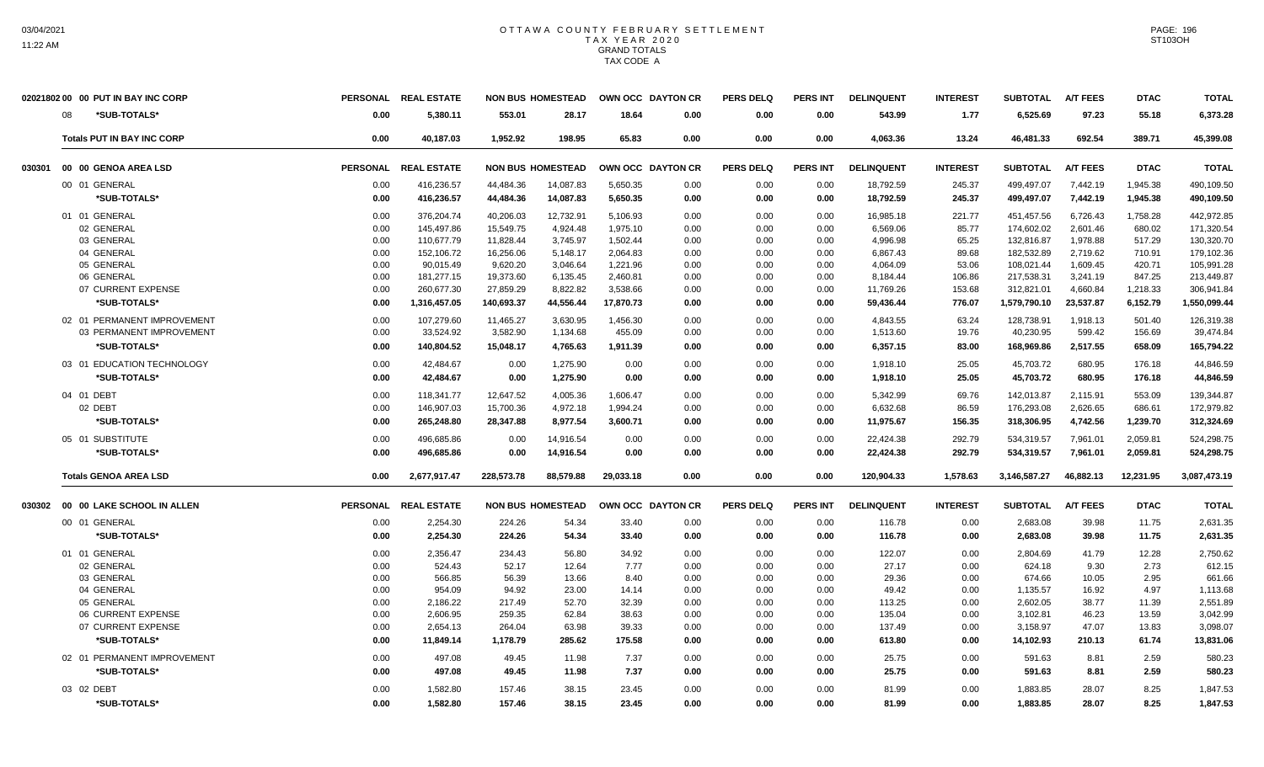|        | 02021802 00 00 PUT IN BAY INC CORP | <b>PERSONAL</b> | <b>REAL ESTATE</b> |            | <b>NON BUS HOMESTEAD</b> | OWN OCC DAYTON CR |      | <b>PERS DELQ</b> | <b>PERS INT</b> | <b>DELINQUENT</b> | <b>INTEREST</b> | <b>SUBTOTAL</b> | A/T FEES        | <b>DTAC</b> | <b>TOTAL</b> |
|--------|------------------------------------|-----------------|--------------------|------------|--------------------------|-------------------|------|------------------|-----------------|-------------------|-----------------|-----------------|-----------------|-------------|--------------|
|        | 08<br>*SUB-TOTALS*                 | 0.00            | 5,380.11           | 553.01     | 28.17                    | 18.64             | 0.00 | 0.00             | 0.00            | 543.99            | 1.77            | 6,525.69        | 97.23           | 55.18       | 6,373.28     |
|        | <b>Totals PUT IN BAY INC CORP</b>  | 0.00            | 40.187.03          | 1.952.92   | 198.95                   | 65.83             | 0.00 | 0.00             | 0.00            | 4.063.36          | 13.24           | 46,481.33       | 692.54          | 389.71      | 45,399.08    |
| 030301 | 00 00 GENOA AREA LSD               | <b>PERSONAL</b> | <b>REAL ESTATE</b> |            | <b>NON BUS HOMESTEAD</b> | OWN OCC DAYTON CR |      | <b>PERS DELQ</b> | <b>PERS INT</b> | <b>DELINQUENT</b> | <b>INTEREST</b> | <b>SUBTOTAL</b> | <b>A/T FEES</b> | <b>DTAC</b> | <b>TOTAL</b> |
|        | 00 01 GENERAL                      | 0.00            | 416.236.57         | 44.484.36  | 14,087.83                | 5,650.35          | 0.00 | 0.00             | 0.00            | 18,792.59         | 245.37          | 499.497.07      | 7.442.19        | 1,945.38    | 490,109.50   |
|        | *SUB-TOTALS*                       | 0.00            | 416,236.57         | 44,484.36  | 14,087.83                | 5,650.35          | 0.00 | 0.00             | 0.00            | 18,792.59         | 245.37          | 499,497.07      | 7,442.19        | 1,945.38    | 490,109.50   |
|        | 01 01 GENERAL                      | 0.00            | 376,204.74         | 40,206.03  | 12,732.91                | 5,106.93          | 0.00 | 0.00             | 0.00            | 16,985.18         | 221.77          | 451,457.56      | 6,726.43        | 1,758.28    | 442,972.85   |
|        | 02 GENERAL                         | 0.00            | 145,497.86         | 15,549.75  | 4,924.48                 | 1,975.10          | 0.00 | 0.00             | 0.00            | 6,569.06          | 85.77           | 174,602.02      | 2,601.46        | 680.02      | 171,320.54   |
|        | 03 GENERAL                         | 0.00            | 110.677.79         | 11,828.44  | 3.745.97                 | 1,502.44          | 0.00 | 0.00             | 0.00            | 4.996.98          | 65.25           | 132.816.87      | 1.978.88        | 517.29      | 130,320.70   |
|        | 04 GENERAL                         | 0.00            | 152,106.72         | 16,256.06  | 5,148.17                 | 2,064.83          | 0.00 | 0.00             | 0.00            | 6,867.43          | 89.68           | 182,532.89      | 2,719.62        | 710.91      | 179,102.36   |
|        | 05 GENERAL                         | 0.00            | 90,015.49          | 9,620.20   | 3,046.64                 | 1,221.96          | 0.00 | 0.00             | 0.00            | 4,064.09          | 53.06           | 108,021.44      | 1,609.45        | 420.71      | 105,991.28   |
|        | 06 GENERAL                         | 0.00            | 181,277.15         | 19,373.60  | 6,135.45                 | 2,460.81          | 0.00 | 0.00             | 0.00            | 8,184.44          | 106.86          | 217,538.31      | 3,241.19        | 847.25      | 213,449.87   |
|        | 07 CURRENT EXPENSE                 | 0.00            | 260,677.30         | 27,859.29  | 8,822.82                 | 3,538.66          | 0.00 | 0.00             | 0.00            | 11,769.26         | 153.68          | 312,821.01      | 4,660.84        | 1,218.33    | 306,941.84   |
|        | *SUB-TOTALS*                       | 0.00            | 1,316,457.05       | 140,693.37 | 44,556.44                | 17,870.73         | 0.00 | 0.00             | 0.00            | 59,436.44         | 776.07          | 1,579,790.10    | 23,537.87       | 6,152.79    | 1,550,099.44 |
|        | 02 01 PERMANENT IMPROVEMENT        | 0.00            | 107,279.60         | 11,465.27  | 3,630.95                 | 1,456.30          | 0.00 | 0.00             | 0.00            | 4,843.55          | 63.24           | 128,738.91      | 1,918.13        | 501.40      | 126,319.38   |
|        | 03 PERMANENT IMPROVEMENT           | 0.00            | 33,524.92          | 3,582.90   | 1,134.68                 | 455.09            | 0.00 | 0.00             | 0.00            | 1,513.60          | 19.76           | 40,230.95       | 599.42          | 156.69      | 39,474.84    |
|        | *SUB-TOTALS*                       | 0.00            | 140.804.52         | 15,048.17  | 4,765.63                 | 1,911.39          | 0.00 | 0.00             | 0.00            | 6,357.15          | 83.00           | 168,969.86      | 2.517.55        | 658.09      | 165,794.22   |
|        | 03 01 EDUCATION TECHNOLOGY         | 0.00            | 42,484.67          | 0.00       | 1,275.90                 | 0.00              | 0.00 | 0.00             | 0.00            | 1,918.10          | 25.05           | 45,703.72       | 680.95          | 176.18      | 44,846.59    |
|        | *SUB-TOTALS*                       | 0.00            | 42,484.67          | 0.00       | 1.275.90                 | 0.00              | 0.00 | 0.00             | 0.00            | 1,918.10          | 25.05           | 45,703.72       | 680.95          | 176.18      | 44,846.59    |
|        | 04 01 DEBT                         | 0.00            | 118,341.77         | 12,647.52  | 4,005.36                 | 1,606.47          | 0.00 | 0.00             | 0.00            | 5,342.99          | 69.76           | 142,013.87      | 2,115.91        | 553.09      | 139,344.87   |
|        | 02 DEBT                            | 0.00            | 146,907.03         | 15,700.36  | 4,972.18                 | 1,994.24          | 0.00 | 0.00             | 0.00            | 6,632.68          | 86.59           | 176,293.08      | 2,626.65        | 686.61      | 172,979.82   |
|        | *SUB-TOTALS*                       | 0.00            | 265,248.80         | 28,347.88  | 8,977.54                 | 3,600.71          | 0.00 | 0.00             | 0.00            | 11,975.67         | 156.35          | 318,306.95      | 4,742.56        | 1,239.70    | 312,324.69   |
|        | 05 01 SUBSTITUTE                   | 0.00            | 496.685.86         | 0.00       | 14,916.54                | 0.00              | 0.00 | 0.00             | 0.00            | 22,424.38         | 292.79          | 534.319.57      | 7.961.01        | 2,059.81    | 524,298.75   |
|        | *SUB-TOTALS*                       | 0.00            | 496,685.86         | 0.00       | 14,916.54                | 0.00              | 0.00 | 0.00             | 0.00            | 22,424.38         | 292.79          | 534,319.57      | 7,961.01        | 2,059.81    | 524,298.75   |
|        | <b>Totals GENOA AREA LSD</b>       | 0.00            | 2,677,917.47       | 228,573.78 | 88,579.88                | 29,033.18         | 0.00 | 0.00             | 0.00            | 120,904.33        | 1,578.63        | 3,146,587.27    | 46,882.13       | 12,231.95   | 3,087,473.19 |
| 030302 | 00 00 LAKE SCHOOL IN ALLEN         | <b>PERSONAL</b> | <b>REAL ESTATE</b> |            | <b>NON BUS HOMESTEAD</b> | OWN OCC DAYTON CR |      | <b>PERS DELQ</b> | <b>PERS INT</b> | <b>DELINQUENT</b> | <b>INTEREST</b> | <b>SUBTOTAL</b> | <b>A/T FEES</b> | <b>DTAC</b> | <b>TOTAL</b> |
|        | 00 01 GENERAL                      | 0.00            | 2,254.30           | 224.26     | 54.34                    | 33.40             | 0.00 | 0.00             | 0.00            | 116.78            | 0.00            | 2,683.08        | 39.98           | 11.75       | 2,631.35     |
|        | *SUB-TOTALS*                       | 0.00            | 2,254.30           | 224.26     | 54.34                    | 33.40             | 0.00 | 0.00             | 0.00            | 116.78            | 0.00            | 2.683.08        | 39.98           | 11.75       | 2,631.35     |
|        | 01 01 GENERAL                      | 0.00            | 2,356.47           | 234.43     | 56.80                    | 34.92             | 0.00 | 0.00             | 0.00            | 122.07            | 0.00            | 2,804.69        | 41.79           | 12.28       | 2,750.62     |
|        | 02 GENERAL                         | 0.00            | 524.43             | 52.17      | 12.64                    | 7.77              | 0.00 | 0.00             | 0.00            | 27.17             | 0.00            | 624.18          | 9.30            | 2.73        | 612.15       |
|        | 03 GENERAL                         | 0.00            | 566.85             | 56.39      | 13.66                    | 8.40              | 0.00 | 0.00             | 0.00            | 29.36             | 0.00            | 674.66          | 10.05           | 2.95        | 661.66       |
|        | 04 GENERAL                         | 0.00            | 954.09             | 94.92      | 23.00                    | 14.14             | 0.00 | 0.00             | 0.00            | 49.42             | 0.00            | 1,135.57        | 16.92           | 4.97        | 1,113.68     |
|        | 05 GENERAL                         | 0.00            | 2,186.22           | 217.49     | 52.70                    | 32.39             | 0.00 | 0.00             | 0.00            | 113.25            | 0.00            | 2,602.05        | 38.77           | 11.39       | 2,551.89     |
|        | 06 CURRENT EXPENSE                 | 0.00            | 2,606.95           | 259.35     | 62.84                    | 38.63             | 0.00 | 0.00             | 0.00            | 135.04            | 0.00            | 3,102.81        | 46.23           | 13.59       | 3,042.99     |
|        | 07 CURRENT EXPENSE                 | 0.00            | 2,654.13           | 264.04     | 63.98                    | 39.33             | 0.00 | 0.00             | 0.00            | 137.49            | 0.00            | 3,158.97        | 47.07           | 13.83       | 3,098.07     |
|        | *SUB-TOTALS*                       | 0.00            | 11,849.14          | 1,178.79   | 285.62                   | 175.58            | 0.00 | 0.00             | 0.00            | 613.80            | 0.00            | 14,102.93       | 210.13          | 61.74       | 13,831.06    |
|        | 02 01 PERMANENT IMPROVEMENT        | 0.00            | 497.08             | 49.45      | 11.98                    | 7.37              | 0.00 | 0.00             | 0.00            | 25.75             | 0.00            | 591.63          | 8.81            | 2.59        | 580.23       |
|        | *SUB-TOTALS*                       | 0.00            | 497.08             | 49.45      | 11.98                    | 7.37              | 0.00 | 0.00             | 0.00            | 25.75             | 0.00            | 591.63          | 8.81            | 2.59        | 580.23       |
|        | 03 02 DEBT                         | 0.00            | 1,582.80           | 157.46     | 38.15                    | 23.45             | 0.00 | 0.00             | 0.00            | 81.99             | 0.00            | 1,883.85        | 28.07           | 8.25        | 1,847.53     |
|        | *SUB-TOTALS*                       | 0.00            | 1,582.80           | 157.46     | 38.15                    | 23.45             | 0.00 | 0.00             | 0.00            | 81.99             | 0.00            | 1,883.85        | 28.07           | 8.25        | 1,847.53     |

PAGE: 196 ST103OH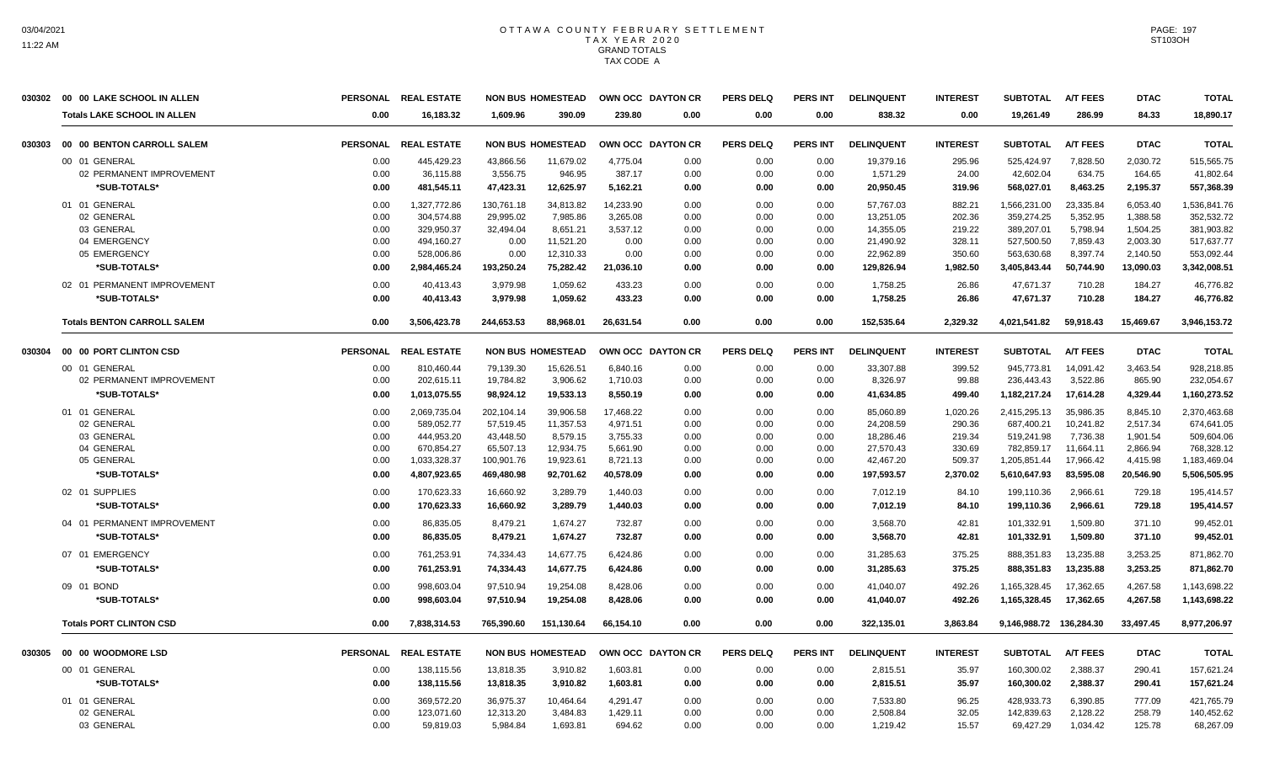|        | 030302 00 00 LAKE SCHOOL IN ALLEN  |                 | PERSONAL REAL ESTATE |            | <b>NON BUS HOMESTEAD</b> |           | OWN OCC DAYTON CR | <b>PERS DELQ</b> | <b>PERS INT</b> | <b>DELINQUENT</b> | <b>INTEREST</b> | <b>SUBTOTAL</b>         | <b>A/T FEES</b> | <b>DTAC</b> | <b>TOTAL</b> |
|--------|------------------------------------|-----------------|----------------------|------------|--------------------------|-----------|-------------------|------------------|-----------------|-------------------|-----------------|-------------------------|-----------------|-------------|--------------|
|        | <b>Totals LAKE SCHOOL IN ALLEN</b> | 0.00            | 16,183.32            | 1,609.96   | 390.09                   | 239.80    | 0.00              | 0.00             | 0.00            | 838.32            | 0.00            | 19,261.49               | 286.99          | 84.33       | 18,890.17    |
| 030303 | 00 00 BENTON CARROLL SALEM         | <b>PERSONAL</b> | <b>REAL ESTATE</b>   |            | <b>NON BUS HOMESTEAD</b> |           | OWN OCC DAYTON CR | PERS DELQ        | <b>PERS INT</b> | <b>DELINQUENT</b> | <b>INTEREST</b> | <b>SUBTOTAL</b>         | <b>A/T FEES</b> | <b>DTAC</b> | <b>TOTAL</b> |
|        | 00 01 GENERAL                      | 0.00            | 445,429.23           | 43,866.56  | 11,679.02                | 4,775.04  | 0.00              | 0.00             | 0.00            | 19,379.16         | 295.96          | 525,424.97              | 7,828.50        | 2,030.72    | 515,565.75   |
|        | 02 PERMANENT IMPROVEMENT           | 0.00            | 36,115.88            | 3,556.75   | 946.95                   | 387.17    | 0.00              | 0.00             | 0.00            | 1,571.29          | 24.00           | 42,602.04               | 634.75          | 164.65      | 41,802.64    |
|        | *SUB-TOTALS*                       | 0.00            | 481,545.11           | 47,423.31  | 12,625.97                | 5,162.21  | 0.00              | 0.00             | 0.00            | 20,950.45         | 319.96          | 568,027.01              | 8,463.25        | 2,195.37    | 557,368.39   |
|        | 01 01 GENERAL                      | 0.00            | 1,327,772.86         | 130,761.18 | 34,813.82                | 14.233.90 | 0.00              | 0.00             | 0.00            | 57,767.03         | 882.21          | 1,566,231.00            | 23,335.84       | 6,053.40    | 1,536,841.76 |
|        | 02 GENERAL                         | 0.00            | 304,574.88           | 29,995.02  | 7,985.86                 | 3,265.08  | 0.00              | 0.00             | 0.00            | 13,251.05         | 202.36          | 359,274.25              | 5,352.95        | 1,388.58    | 352,532.72   |
|        | 03 GENERAL                         | 0.00            | 329,950.37           | 32,494.04  | 8,651.21                 | 3,537.12  | 0.00              | 0.00             | 0.00            | 14,355.05         | 219.22          | 389,207.01              | 5,798.94        | 1,504.25    | 381,903.82   |
|        | 04 EMERGENCY                       | 0.00            | 494,160.27           | 0.00       | 11,521.20                | 0.00      | 0.00              | 0.00             | 0.00            | 21,490.92         | 328.11          | 527,500.50              | 7,859.43        | 2,003.30    | 517,637.77   |
|        | 05 EMERGENCY                       | 0.00            | 528,006.86           | 0.00       | 12,310.33                | 0.00      | 0.00              | 0.00             | 0.00            | 22,962.89         | 350.60          | 563,630.68              | 8,397.74        | 2,140.50    | 553,092.44   |
|        | *SUB-TOTALS*                       | 0.00            | 2,984,465.24         | 193,250.24 | 75,282.42                | 21,036.10 | 0.00              | 0.00             | 0.00            | 129,826.94        | 1,982.50        | 3,405,843.44            | 50,744.90       | 13,090.03   | 3,342,008.51 |
|        | 02 01 PERMANENT IMPROVEMENT        | 0.00            | 40.413.43            | 3.979.98   | 1.059.62                 | 433.23    | 0.00              | 0.00             | 0.00            | 1,758.25          | 26.86           | 47.671.37               | 710.28          | 184.27      | 46,776.82    |
|        | *SUB-TOTALS*                       | 0.00            | 40,413.43            | 3,979.98   | 1,059.62                 | 433.23    | 0.00              | 0.00             | 0.00            | 1,758.25          | 26.86           | 47,671.37               | 710.28          | 184.27      | 46,776.82    |
|        | <b>Totals BENTON CARROLL SALEM</b> | 0.00            | 3,506,423.78         | 244,653.53 | 88.968.01                | 26.631.54 | 0.00              | 0.00             | 0.00            | 152.535.64        | 2,329.32        | 4,021,541.82            | 59.918.43       | 15.469.67   | 3,946,153.72 |
| 030304 | 00 00 PORT CLINTON CSD             | <b>PERSONAL</b> | <b>REAL ESTATE</b>   |            | <b>NON BUS HOMESTEAD</b> |           | OWN OCC DAYTON CR | <b>PERS DELQ</b> | <b>PERS INT</b> | <b>DELINQUENT</b> | <b>INTEREST</b> | <b>SUBTOTAL</b>         | <b>A/T FEES</b> | <b>DTAC</b> | <b>TOTAL</b> |
|        | 00 01 GENERAL                      | 0.00            | 810,460.44           | 79,139.30  | 15,626.51                | 6,840.16  | 0.00              | 0.00             | 0.00            | 33,307.88         | 399.52          | 945,773.81              | 14,091.42       | 3,463.54    | 928,218.85   |
|        | 02 PERMANENT IMPROVEMENT           | 0.00            | 202,615.11           | 19,784.82  | 3,906.62                 | 1,710.03  | 0.00              | 0.00             | 0.00            | 8,326.97          | 99.88           | 236,443.43              | 3,522.86        | 865.90      | 232,054.67   |
|        | *SUB-TOTALS*                       | 0.00            | 1,013,075.55         | 98,924.12  | 19,533.13                | 8,550.19  | 0.00              | 0.00             | 0.00            | 41,634.85         | 499.40          | 1,182,217.24            | 17,614.28       | 4,329.44    | 1,160,273.52 |
|        | 01 01 GENERAL                      | 0.00            | 2,069,735.04         | 202,104.14 | 39,906.58                | 17,468.22 | 0.00              | 0.00             | 0.00            | 85,060.89         | 1,020.26        | 2,415,295.13            | 35,986.35       | 8,845.10    | 2,370,463.68 |
|        | 02 GENERAL                         | 0.00            | 589,052.77           | 57,519.45  | 11,357.53                | 4,971.51  | 0.00              | 0.00             | 0.00            | 24,208.59         | 290.36          | 687,400.21              | 10,241.82       | 2,517.34    | 674,641.05   |
|        | 03 GENERAL                         | 0.00            | 444,953.20           | 43,448.50  | 8,579.15                 | 3,755.33  | 0.00              | 0.00             | 0.00            | 18.286.46         | 219.34          | 519,241.98              | 7,736.38        | 1,901.54    | 509,604.06   |
|        | 04 GENERAL                         | 0.00            | 670,854.27           | 65,507.13  | 12,934.75                | 5,661.90  | 0.00              | 0.00             | 0.00            | 27,570.43         | 330.69          | 782,859.17              | 11,664.11       | 2,866.94    | 768,328.12   |
|        | 05 GENERAL                         | 0.00            | 1,033,328.37         | 100,901.76 | 19,923.61                | 8,721.13  | 0.00              | 0.00             | 0.00            | 42,467.20         | 509.37          | 1,205,851.44            | 17,966.42       | 4,415.98    | 1,183,469.04 |
|        | *SUB-TOTALS*                       | 0.00            | 4,807,923.65         | 469,480.98 | 92.701.62                | 40.578.09 | 0.00              | 0.00             | 0.00            | 197,593.57        | 2,370.02        | 5,610,647.93            | 83.595.08       | 20.546.90   | 5,506,505.95 |
|        | 02 01 SUPPLIES                     | 0.00            | 170,623.33           | 16,660.92  | 3,289.79                 | 1,440.03  | 0.00              | 0.00             | 0.00            | 7,012.19          | 84.10           | 199,110.36              | 2,966.61        | 729.18      | 195,414.57   |
|        | *SUB-TOTALS*                       | 0.00            | 170,623.33           | 16,660.92  | 3,289.79                 | 1,440.03  | 0.00              | 0.00             | 0.00            | 7,012.19          | 84.10           | 199,110.36              | 2,966.61        | 729.18      | 195,414.57   |
|        | 04 01 PERMANENT IMPROVEMENT        | 0.00            | 86,835.05            | 8,479.21   | 1,674.27                 | 732.87    | 0.00              | 0.00             | 0.00            | 3,568.70          | 42.81           | 101,332.91              | 1,509.80        | 371.10      | 99,452.01    |
|        | *SUB-TOTALS*                       | 0.00            | 86,835.05            | 8,479.21   | 1,674.27                 | 732.87    | 0.00              | 0.00             | 0.00            | 3,568.70          | 42.81           | 101,332.91              | 1,509.80        | 371.10      | 99,452.01    |
|        | 07 01 EMERGENCY                    | 0.00            | 761,253.91           | 74,334.43  | 14,677.75                | 6,424.86  | 0.00              | 0.00             | 0.00            | 31,285.63         | 375.25          | 888,351.83              | 13,235.88       | 3,253.25    | 871,862.70   |
|        | *SUB-TOTALS*                       | 0.00            | 761,253.91           | 74,334.43  | 14,677.75                | 6,424.86  | 0.00              | 0.00             | 0.00            | 31,285.63         | 375.25          | 888,351.83              | 13,235.88       | 3,253.25    | 871,862.70   |
|        | 09 01 BOND                         | 0.00            | 998,603.04           | 97,510.94  | 19,254.08                | 8,428.06  | 0.00              | 0.00             | 0.00            | 41,040.07         | 492.26          | 1,165,328.45            | 17,362.65       | 4,267.58    | 1,143,698.22 |
|        | *SUB-TOTALS*                       | 0.00            | 998,603.04           | 97,510.94  | 19,254.08                | 8,428.06  | 0.00              | 0.00             | 0.00            | 41,040.07         | 492.26          | 1,165,328.45            | 17,362.65       | 4,267.58    | 1,143,698.22 |
|        | <b>Totals PORT CLINTON CSD</b>     | 0.00            | 7,838,314.53         | 765,390.60 | 151,130.64               | 66.154.10 | 0.00              | 0.00             | 0.00            | 322,135.01        | 3,863.84        | 9,146,988.72 136,284.30 |                 | 33,497.45   | 8.977.206.97 |
| 030305 | 00 00 WOODMORE LSD                 |                 | PERSONAL REAL ESTATE |            | <b>NON BUS HOMESTEAD</b> |           | OWN OCC DAYTON CR | <b>PERS DELQ</b> | <b>PERS INT</b> | <b>DELINQUENT</b> | <b>INTEREST</b> | <b>SUBTOTAL</b>         | <b>A/T FEES</b> | <b>DTAC</b> | <b>TOTAL</b> |
|        | 00 01 GENERAL                      | 0.00            | 138,115.56           | 13.818.35  | 3.910.82                 | 1,603.81  | 0.00              | 0.00             | 0.00            | 2,815.51          | 35.97           | 160,300.02              | 2,388.37        | 290.41      | 157,621.24   |
|        | *SUB-TOTALS*                       | 0.00            | 138,115.56           | 13,818.35  | 3,910.82                 | 1,603.81  | 0.00              | 0.00             | 0.00            | 2,815.51          | 35.97           | 160,300.02              | 2,388.37        | 290.41      | 157,621.24   |
|        | 01 01 GENERAL                      | 0.00            | 369,572.20           | 36,975.37  | 10,464.64                | 4,291.47  | 0.00              | 0.00             | 0.00            | 7,533.80          | 96.25           | 428,933.73              | 6,390.85        | 777.09      | 421,765.79   |
|        | 02 GENERAL                         | 0.00            | 123,071.60           | 12,313.20  | 3,484.83                 | 1,429.11  | 0.00              | 0.00             | 0.00            | 2,508.84          | 32.05           | 142,839.63              | 2,128.22        | 258.79      | 140,452.62   |
|        | 03 GENERAL                         | 0.00            | 59,819.03            | 5,984.84   | 1,693.81                 | 694.62    | 0.00              | 0.00             | 0.00            | 1,219.42          | 15.57           | 69,427.29               | 1,034.42        | 125.78      | 68,267.09    |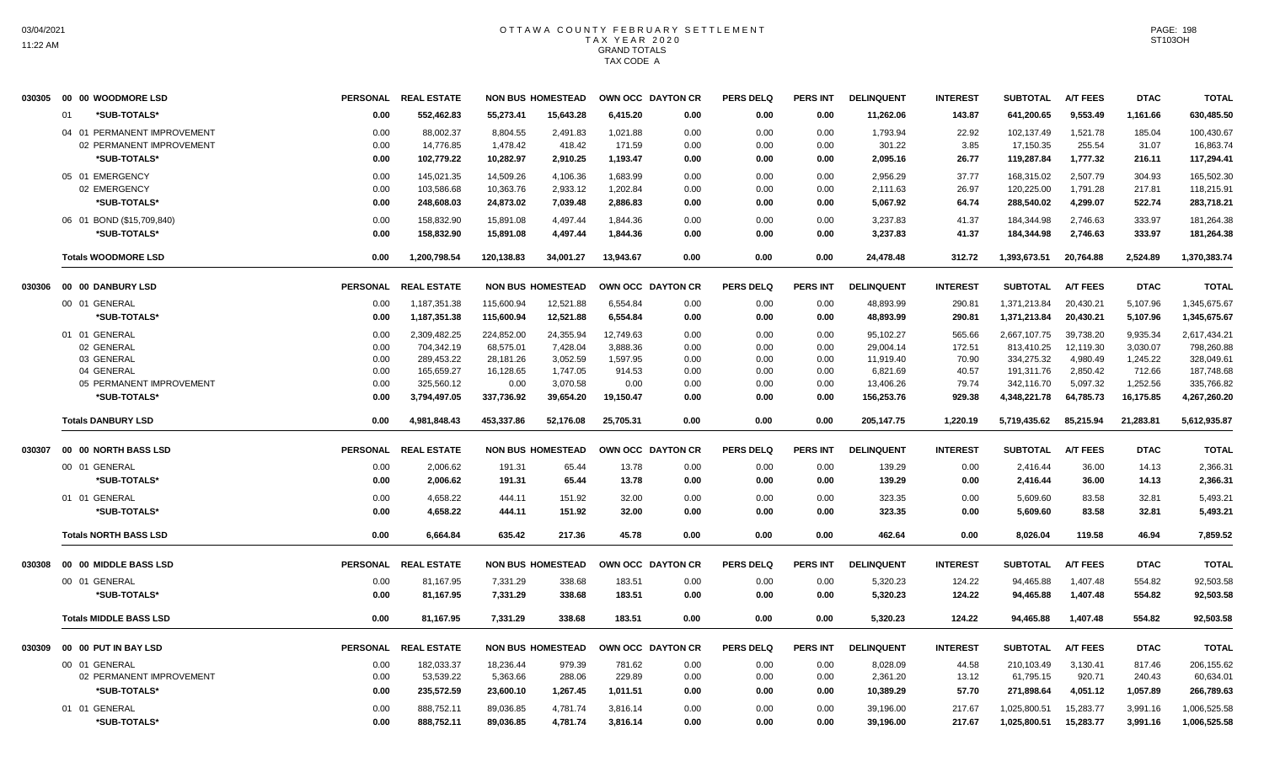|        | 030305 00 00 WOODMORE LSD     |                 | PERSONAL REAL ESTATE |            | <b>NON BUS HOMESTEAD</b> |           | OWN OCC DAYTON CR | <b>PERS DELQ</b> | <b>PERS INT</b> | <b>DELINQUENT</b> | <b>INTEREST</b> | <b>SUBTOTAL</b> | <b>A/T FEES</b> | <b>DTAC</b> | <b>TOTAL</b> |
|--------|-------------------------------|-----------------|----------------------|------------|--------------------------|-----------|-------------------|------------------|-----------------|-------------------|-----------------|-----------------|-----------------|-------------|--------------|
|        | 01<br>*SUB-TOTALS*            | 0.00            | 552,462.83           | 55,273.41  | 15,643.28                | 6,415.20  | 0.00              | 0.00             | 0.00            | 11,262.06         | 143.87          | 641,200.65      | 9,553.49        | 1,161.66    | 630,485.50   |
|        | 04 01 PERMANENT IMPROVEMENT   | 0.00            | 88.002.37            | 8,804.55   | 2,491.83                 | 1,021.88  | 0.00              | 0.00             | 0.00            | 1,793.94          | 22.92           | 102,137.49      | 1,521.78        | 185.04      | 100,430.67   |
|        | 02 PERMANENT IMPROVEMENT      | 0.00            | 14,776.85            | 1,478.42   | 418.42                   | 171.59    | 0.00              | 0.00             | 0.00            | 301.22            | 3.85            | 17,150.35       | 255.54          | 31.07       | 16,863.74    |
|        | *SUB-TOTALS*                  | 0.00            | 102,779.22           | 10,282.97  | 2,910.25                 | 1,193.47  | 0.00              | 0.00             | 0.00            | 2,095.16          | 26.77           | 119,287.84      | 1,777.32        | 216.11      | 117,294.41   |
|        | 05 01 EMERGENCY               | 0.00            | 145.021.35           | 14,509.26  | 4,106.36                 | 1,683.99  | 0.00              | 0.00             | 0.00            | 2,956.29          | 37.77           | 168,315.02      | 2,507.79        | 304.93      | 165,502.30   |
|        | 02 EMERGENCY                  | 0.00            | 103,586.68           | 10,363.76  | 2,933.12                 | 1,202.84  | 0.00              | 0.00             | 0.00            | 2,111.63          | 26.97           | 120,225.00      | 1,791.28        | 217.81      | 118,215.91   |
|        | *SUB-TOTALS*                  | 0.00            | 248,608.03           | 24,873.02  | 7,039.48                 | 2,886.83  | 0.00              | 0.00             | 0.00            | 5,067.92          | 64.74           | 288,540.02      | 4,299.07        | 522.74      | 283,718.21   |
|        | 06 01 BOND (\$15,709,840)     | 0.00            | 158,832.90           | 15,891.08  | 4,497.44                 | 1,844.36  | 0.00              | 0.00             | 0.00            | 3,237.83          | 41.37           | 184,344.98      | 2,746.63        | 333.97      | 181,264.38   |
|        | *SUB-TOTALS*                  | 0.00            | 158,832.90           | 15,891.08  | 4,497.44                 | 1,844.36  | 0.00              | 0.00             | 0.00            | 3,237.83          | 41.37           | 184,344.98      | 2,746.63        | 333.97      | 181,264.38   |
|        | <b>Totals WOODMORE LSD</b>    | 0.00            | 1.200.798.54         | 120,138.83 | 34,001.27                | 13,943.67 | 0.00              | 0.00             | 0.00            | 24,478.48         | 312.72          | 1,393,673.51    | 20,764.88       | 2,524.89    | 1,370,383.74 |
| 030306 | 00 00 DANBURY LSD             | <b>PERSONAL</b> | <b>REAL ESTATE</b>   |            | <b>NON BUS HOMESTEAD</b> |           | OWN OCC DAYTON CR | <b>PERS DELQ</b> | <b>PERS INT</b> | <b>DELINQUENT</b> | <b>INTEREST</b> | <b>SUBTOTAL</b> | <b>A/T FEES</b> | <b>DTAC</b> | <b>TOTAL</b> |
|        | 00 01 GENERAL                 | 0.00            | 1,187,351.38         | 115.600.94 | 12,521.88                | 6.554.84  | 0.00              | 0.00             | 0.00            | 48.893.99         | 290.81          | 1.371.213.84    | 20.430.21       | 5,107.96    | 1,345,675.67 |
|        | *SUB-TOTALS*                  | 0.00            | 1,187,351.38         | 115,600.94 | 12,521.88                | 6,554.84  | 0.00              | 0.00             | 0.00            | 48,893.99         | 290.81          | 1,371,213.84    | 20,430.21       | 5,107.96    | 1,345,675.67 |
|        | 01 01 GENERAL                 | 0.00            | 2,309,482.25         | 224,852.00 | 24,355.94                | 12,749.63 | 0.00              | 0.00             | 0.00            | 95,102.27         | 565.66          | 2,667,107.75    | 39,738.20       | 9,935.34    | 2,617,434.21 |
|        | 02 GENERAL                    | 0.00            | 704,342.19           | 68,575.01  | 7,428.04                 | 3,888.36  | 0.00              | 0.00             | 0.00            | 29,004.14         | 172.51          | 813,410.25      | 12,119.30       | 3,030.07    | 798,260.88   |
|        | 03 GENERAL                    | 0.00            | 289,453.22           | 28,181.26  | 3,052.59                 | 1,597.95  | 0.00              | 0.00             | 0.00            | 11,919.40         | 70.90           | 334,275.32      | 4,980.49        | 1,245.22    | 328,049.61   |
|        | 04 GENERAL                    | 0.00            | 165,659.27           | 16,128.65  | 1,747.05                 | 914.53    | 0.00              | 0.00             | 0.00            | 6,821.69          | 40.57           | 191,311.76      | 2,850.42        | 712.66      | 187,748.68   |
|        | 05 PERMANENT IMPROVEMENT      | 0.00            | 325,560.12           | 0.00       | 3,070.58                 | 0.00      | 0.00              | 0.00             | 0.00            | 13,406.26         | 79.74           | 342,116.70      | 5,097.32        | 1,252.56    | 335,766.82   |
|        | *SUB-TOTALS*                  | 0.00            | 3,794,497.05         | 337,736.92 | 39,654.20                | 19,150.47 | 0.00              | 0.00             | 0.00            | 156,253.76        | 929.38          | 4,348,221.78    | 64,785.73       | 16,175.85   | 4,267,260.20 |
|        | <b>Totals DANBURY LSD</b>     | 0.00            | 4,981,848.43         | 453,337.86 | 52,176.08                | 25,705.31 | 0.00              | 0.00             | 0.00            | 205,147.75        | 1,220.19        | 5,719,435.62    | 85,215.94       | 21,283.81   | 5,612,935.87 |
| 030307 | 00 00 NORTH BASS LSD          | <b>PERSONAL</b> | <b>REAL ESTATE</b>   |            | <b>NON BUS HOMESTEAD</b> |           | OWN OCC DAYTON CR | <b>PERS DELQ</b> | <b>PERS INT</b> | <b>DELINQUENT</b> | <b>INTEREST</b> | <b>SUBTOTAL</b> | <b>A/T FEES</b> | <b>DTAC</b> | <b>TOTAL</b> |
|        | 00 01 GENERAL                 | 0.00            | 2,006.62             | 191.31     | 65.44                    | 13.78     | 0.00              | 0.00             | 0.00            | 139.29            | 0.00            | 2,416.44        | 36.00           | 14.13       | 2,366.31     |
|        | *SUB-TOTALS*                  | 0.00            | 2,006.62             | 191.31     | 65.44                    | 13.78     | 0.00              | 0.00             | 0.00            | 139.29            | 0.00            | 2,416.44        | 36.00           | 14.13       | 2,366.31     |
|        | 01 01 GENERAL                 | 0.00            | 4,658.22             | 444.11     | 151.92                   | 32.00     | 0.00              | 0.00             | 0.00            | 323.35            | 0.00            | 5,609.60        | 83.58           | 32.81       | 5,493.21     |
|        | *SUB-TOTALS*                  | 0.00            | 4,658.22             | 444.11     | 151.92                   | 32.00     | 0.00              | 0.00             | 0.00            | 323.35            | 0.00            | 5,609.60        | 83.58           | 32.81       | 5,493.21     |
|        | <b>Totals NORTH BASS LSD</b>  | 0.00            | 6,664.84             | 635.42     | 217.36                   | 45.78     | 0.00              | 0.00             | 0.00            | 462.64            | 0.00            | 8,026.04        | 119.58          | 46.94       | 7,859.52     |
| 030308 | 00 00 MIDDLE BASS LSD         |                 | PERSONAL REAL ESTATE |            | <b>NON BUS HOMESTEAD</b> |           | OWN OCC DAYTON CR | <b>PERS DELQ</b> | <b>PERS INT</b> | <b>DELINQUENT</b> | <b>INTEREST</b> | <b>SUBTOTAL</b> | <b>A/T FEES</b> | <b>DTAC</b> | <b>TOTAL</b> |
|        | 00 01 GENERAL                 | 0.00            | 81,167.95            | 7,331.29   | 338.68                   | 183.51    | 0.00              | 0.00             | 0.00            | 5,320.23          | 124.22          | 94,465.88       | 1,407.48        | 554.82      | 92,503.58    |
|        | *SUB-TOTALS*                  | 0.00            | 81,167.95            | 7,331.29   | 338.68                   | 183.51    | 0.00              | 0.00             | 0.00            | 5,320.23          | 124.22          | 94,465.88       | 1,407.48        | 554.82      | 92,503.58    |
|        | <b>Totals MIDDLE BASS LSD</b> | 0.00            | 81,167.95            | 7,331.29   | 338.68                   | 183.51    | 0.00              | 0.00             | 0.00            | 5,320.23          | 124.22          | 94,465.88       | 1,407.48        | 554.82      | 92,503.58    |
| 030309 | 00 00 PUT IN BAY LSD          |                 | PERSONAL REAL ESTATE |            | <b>NON BUS HOMESTEAD</b> |           | OWN OCC DAYTON CR | <b>PERS DELQ</b> | <b>PERS INT</b> | <b>DELINQUENT</b> | <b>INTEREST</b> | <b>SUBTOTAL</b> | <b>A/T FEES</b> | <b>DTAC</b> | <b>TOTAL</b> |
|        | 00 01 GENERAL                 | 0.00            | 182,033.37           | 18.236.44  | 979.39                   | 781.62    | 0.00              | 0.00             | 0.00            | 8,028.09          | 44.58           | 210,103.49      | 3,130.41        | 817.46      | 206,155.62   |
|        | 02 PERMANENT IMPROVEMENT      | 0.00            | 53,539.22            | 5,363.66   | 288.06                   | 229.89    | 0.00              | 0.00             | 0.00            | 2,361.20          | 13.12           | 61,795.15       | 920.71          | 240.43      | 60,634.01    |
|        | *SUB-TOTALS*                  | 0.00            | 235,572.59           | 23,600.10  | 1,267.45                 | 1,011.51  | 0.00              | 0.00             | 0.00            | 10,389.29         | 57.70           | 271,898.64      | 4,051.12        | 1,057.89    | 266,789.63   |
|        | 01 01 GENERAL                 | 0.00            | 888,752.11           | 89,036.85  | 4,781.74                 | 3,816.14  | 0.00              | 0.00             | 0.00            | 39,196.00         | 217.67          | 1,025,800.51    | 15,283.77       | 3,991.16    | 1,006,525.58 |
|        | *SUB-TOTALS*                  | 0.00            | 888,752.11           | 89,036.85  | 4,781.74                 | 3,816.14  | 0.00              | 0.00             | 0.00            | 39,196.00         | 217.67          | 1,025,800.51    | 15,283.77       | 3,991.16    | 1,006,525.58 |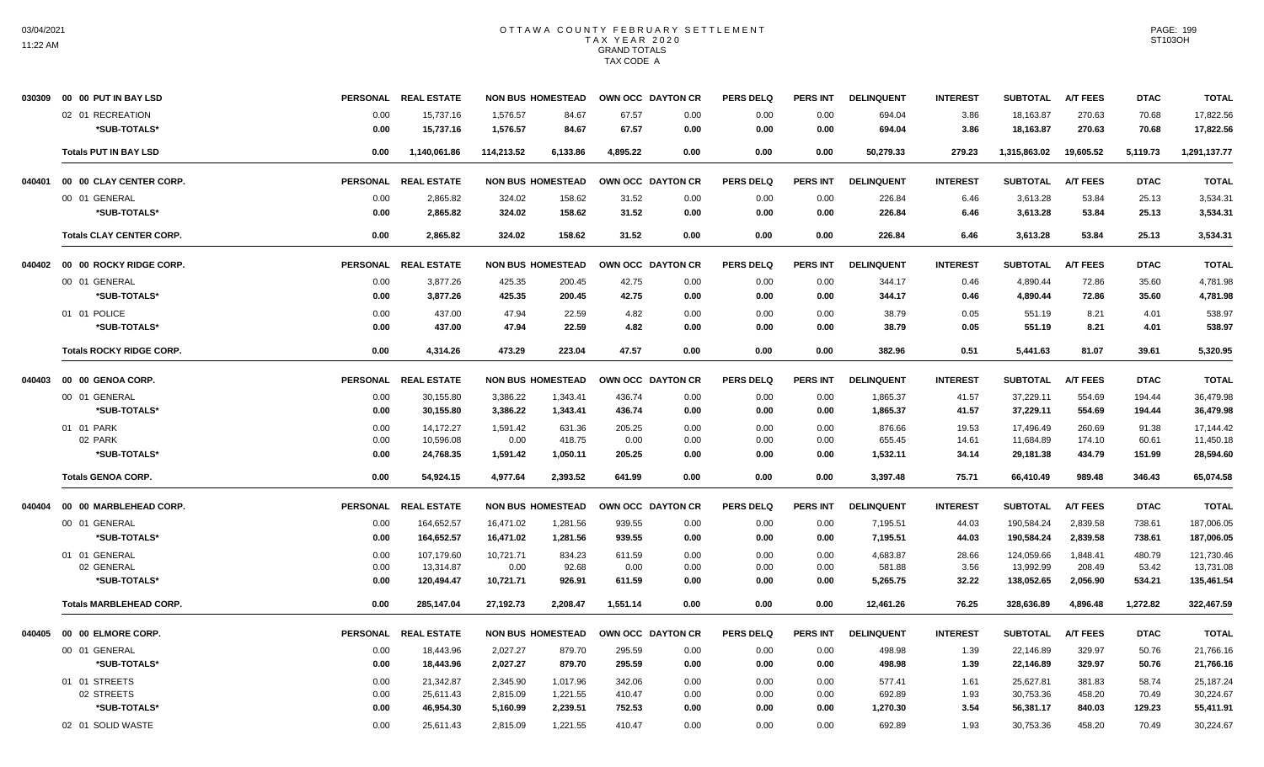|        | 030309 00 00 PUT IN BAY LSD     |                 | PERSONAL REAL ESTATE |                          | <b>NON BUS HOMESTEAD</b> | OWN OCC DAYTON CR |      | <b>PERS DELQ</b> | <b>PERS INT</b> | <b>DELINQUENT</b> | <b>INTEREST</b> | <b>SUBTOTAL</b> | <b>A/T FEES</b> | <b>DTAC</b> | <b>TOTAL</b> |
|--------|---------------------------------|-----------------|----------------------|--------------------------|--------------------------|-------------------|------|------------------|-----------------|-------------------|-----------------|-----------------|-----------------|-------------|--------------|
|        | 02 01 RECREATION                | 0.00            | 15,737.16            | 1,576.57                 | 84.67                    | 67.57             | 0.00 | 0.00             | 0.00            | 694.04            | 3.86            | 18,163.87       | 270.63          | 70.68       | 17,822.56    |
|        | *SUB-TOTALS*                    | 0.00            | 15,737.16            | 1,576.57                 | 84.67                    | 67.57             | 0.00 | 0.00             | 0.00            | 694.04            | 3.86            | 18,163.87       | 270.63          | 70.68       | 17,822.56    |
|        | <b>Totals PUT IN BAY LSD</b>    | 0.00            | 1,140,061.86         | 114,213.52               | 6,133.86                 | 4,895.22          | 0.00 | 0.00             | 0.00            | 50,279.33         | 279.23          | 1,315,863.02    | 19,605.52       | 5,119.73    | 1,291,137.77 |
| 040401 | 00 00 CLAY CENTER CORP.         | <b>PERSONAL</b> | <b>REAL ESTATE</b>   | <b>NON BUS HOMESTEAD</b> |                          | OWN OCC DAYTON CR |      | <b>PERS DELQ</b> | <b>PERS INT</b> | <b>DELINQUENT</b> | <b>INTEREST</b> | <b>SUBTOTAL</b> | <b>A/T FEES</b> | <b>DTAC</b> | <b>TOTAL</b> |
|        | 00 01 GENERAL                   | 0.00            | 2,865.82             | 324.02                   | 158.62                   | 31.52             | 0.00 | 0.00             | 0.00            | 226.84            | 6.46            | 3,613.28        | 53.84           | 25.13       | 3,534.31     |
|        | *SUB-TOTALS*                    | 0.00            | 2,865.82             | 324.02                   | 158.62                   | 31.52             | 0.00 | 0.00             | 0.00            | 226.84            | 6.46            | 3,613.28        | 53.84           | 25.13       | 3,534.31     |
|        | <b>Totals CLAY CENTER CORP.</b> | 0.00            | 2.865.82             | 324.02                   | 158.62                   | 31.52             | 0.00 | 0.00             | 0.00            | 226.84            | 6.46            | 3,613.28        | 53.84           | 25.13       | 3,534.31     |
|        | 040402 00 00 ROCKY RIDGE CORP.  | <b>PERSONAL</b> | <b>REAL ESTATE</b>   |                          | <b>NON BUS HOMESTEAD</b> | OWN OCC DAYTON CR |      | <b>PERS DELQ</b> | <b>PERS INT</b> | <b>DELINQUENT</b> | <b>INTEREST</b> | <b>SUBTOTAL</b> | <b>A/T FEES</b> | <b>DTAC</b> | <b>TOTAL</b> |
|        | 00 01 GENERAL                   | 0.00            | 3,877.26             | 425.35                   | 200.45                   | 42.75             | 0.00 | 0.00             | 0.00            | 344.17            | 0.46            | 4,890.44        | 72.86           | 35.60       | 4,781.98     |
|        | *SUB-TOTALS*                    | 0.00            | 3,877.26             | 425.35                   | 200.45                   | 42.75             | 0.00 | 0.00             | 0.00            | 344.17            | 0.46            | 4,890.44        | 72.86           | 35.60       | 4,781.98     |
|        | 01 01 POLICE                    | 0.00            | 437.00               | 47.94                    | 22.59                    | 4.82              | 0.00 | 0.00             | 0.00            | 38.79             | 0.05            | 551.19          | 8.21            | 4.01        | 538.97       |
|        | *SUB-TOTALS*                    | 0.00            | 437.00               | 47.94                    | 22.59                    | 4.82              | 0.00 | 0.00             | 0.00            | 38.79             | 0.05            | 551.19          | 8.21            | 4.01        | 538.97       |
|        |                                 |                 |                      |                          |                          |                   |      |                  |                 |                   |                 |                 |                 |             |              |
|        | <b>Totals ROCKY RIDGE CORP.</b> | 0.00            | 4,314.26             | 473.29                   | 223.04                   | 47.57             | 0.00 | 0.00             | 0.00            | 382.96            | 0.51            | 5,441.63        | 81.07           | 39.61       | 5,320.95     |
| 040403 | 00 00 GENOA CORP.               | <b>PERSONAL</b> | <b>REAL ESTATE</b>   |                          | <b>NON BUS HOMESTEAD</b> | OWN OCC DAYTON CR |      | <b>PERS DELQ</b> | <b>PERS INT</b> | <b>DELINQUENT</b> | <b>INTEREST</b> | <b>SUBTOTAL</b> | <b>A/T FEES</b> | <b>DTAC</b> | <b>TOTAL</b> |
|        | 00 01 GENERAL                   | 0.00            | 30,155.80            | 3,386.22                 | 1,343.41                 | 436.74            | 0.00 | 0.00             | 0.00            | 1,865.37          | 41.57           | 37,229.11       | 554.69          | 194.44      | 36,479.98    |
|        | *SUB-TOTALS*                    | 0.00            | 30,155.80            | 3,386.22                 | 1,343.41                 | 436.74            | 0.00 | 0.00             | 0.00            | 1,865.37          | 41.57           | 37,229.11       | 554.69          | 194.44      | 36,479.98    |
|        | 01 01 PARK                      | 0.00            | 14,172.27            | 1,591.42                 | 631.36                   | 205.25            | 0.00 | 0.00             | 0.00            | 876.66            | 19.53           | 17,496.49       | 260.69          | 91.38       | 17,144.42    |
|        | 02 PARK                         | 0.00            | 10,596.08            | 0.00                     | 418.75                   | 0.00              | 0.00 | 0.00             | 0.00            | 655.45            | 14.61           | 11,684.89       | 174.10          | 60.61       | 11,450.18    |
|        | *SUB-TOTALS*                    | 0.00            | 24,768.35            | 1,591.42                 | 1,050.11                 | 205.25            | 0.00 | 0.00             | 0.00            | 1,532.11          | 34.14           | 29,181.38       | 434.79          | 151.99      | 28,594.60    |
|        | <b>Totals GENOA CORP.</b>       | 0.00            | 54,924.15            | 4,977.64                 | 2,393.52                 | 641.99            | 0.00 | 0.00             | 0.00            | 3,397.48          | 75.71           | 66,410.49       | 989.48          | 346.43      | 65,074.58    |
| 040404 | 00 00 MARBLEHEAD CORP.          | <b>PERSONAL</b> | <b>REAL ESTATE</b>   |                          | <b>NON BUS HOMESTEAD</b> | OWN OCC DAYTON CR |      | <b>PERS DELQ</b> | <b>PERS INT</b> | <b>DELINQUENT</b> | <b>INTEREST</b> | <b>SUBTOTAL</b> | <b>A/T FEES</b> | <b>DTAC</b> | <b>TOTAL</b> |
|        | 00 01 GENERAL                   | 0.00            | 164,652.57           | 16,471.02                | 1,281.56                 | 939.55            | 0.00 | 0.00             | 0.00            | 7,195.51          | 44.03           | 190,584.24      | 2,839.58        | 738.61      | 187,006.05   |
|        | *SUB-TOTALS*                    | 0.00            | 164,652.57           | 16,471.02                | 1,281.56                 | 939.55            | 0.00 | 0.00             | 0.00            | 7,195.51          | 44.03           | 190,584.24      | 2,839.58        | 738.61      | 187,006.05   |
|        | 01 01 GENERAL                   | 0.00            | 107,179.60           | 10,721.71                | 834.23                   | 611.59            | 0.00 | 0.00             | 0.00            | 4,683.87          | 28.66           | 124,059.66      | 1.848.41        | 480.79      | 121.730.46   |
|        | 02 GENERAL                      | 0.00            | 13,314.87            | 0.00                     | 92.68                    | 0.00              | 0.00 | 0.00             | 0.00            | 581.88            | 3.56            | 13,992.99       | 208.49          | 53.42       | 13,731.08    |
|        | *SUB-TOTALS*                    | 0.00            | 120,494.47           | 10,721.71                | 926.91                   | 611.59            | 0.00 | 0.00             | 0.00            | 5,265.75          | 32.22           | 138,052.65      | 2,056.90        | 534.21      | 135,461.54   |
|        | <b>Totals MARBLEHEAD CORP.</b>  | 0.00            | 285,147.04           | 27,192.73                | 2,208.47                 | 1,551.14          | 0.00 | 0.00             | 0.00            | 12,461.26         | 76.25           | 328,636.89      | 4,896.48        | 1,272.82    | 322,467.59   |
|        | 040405 00 00 ELMORE CORP.       | <b>PERSONAL</b> | <b>REAL ESTATE</b>   | <b>NON BUS HOMESTEAD</b> |                          | OWN OCC DAYTON CR |      | <b>PERS DELQ</b> | <b>PERS INT</b> | <b>DELINQUENT</b> | <b>INTEREST</b> | <b>SUBTOTAL</b> | <b>A/T FEES</b> | <b>DTAC</b> | <b>TOTAL</b> |
|        | 00 01 GENERAL                   | 0.00            | 18,443.96            | 2,027.27                 | 879.70                   | 295.59            | 0.00 | 0.00             | 0.00            | 498.98            | 1.39            | 22,146.89       | 329.97          | 50.76       | 21,766.16    |
|        | *SUB-TOTALS*                    | 0.00            | 18,443.96            | 2,027.27                 | 879.70                   | 295.59            | 0.00 | 0.00             | 0.00            | 498.98            | 1.39            | 22,146.89       | 329.97          | 50.76       | 21,766.16    |
|        | 01 01 STREETS                   | 0.00            | 21,342.87            | 2,345.90                 | 1,017.96                 | 342.06            | 0.00 | 0.00             | 0.00            | 577.41            | 1.61            | 25,627.81       | 381.83          | 58.74       | 25,187.24    |
|        | 02 STREETS                      | 0.00            | 25,611.43            | 2,815.09                 | 1,221.55                 | 410.47            | 0.00 | 0.00             | 0.00            | 692.89            | 1.93            | 30,753.36       | 458.20          | 70.49       | 30,224.67    |
|        | *SUB-TOTALS*                    | 0.00            | 46,954.30            | 5,160.99                 | 2,239.51                 | 752.53            | 0.00 | 0.00             | 0.00            | 1,270.30          | 3.54            | 56,381.17       | 840.03          | 129.23      | 55,411.91    |
|        | 02 01 SOLID WASTE               | 0.00            | 25,611.43            | 2,815.09                 | 1,221.55                 | 410.47            | 0.00 | 0.00             | 0.00            | 692.89            | 1.93            | 30,753.36       | 458.20          | 70.49       | 30,224.67    |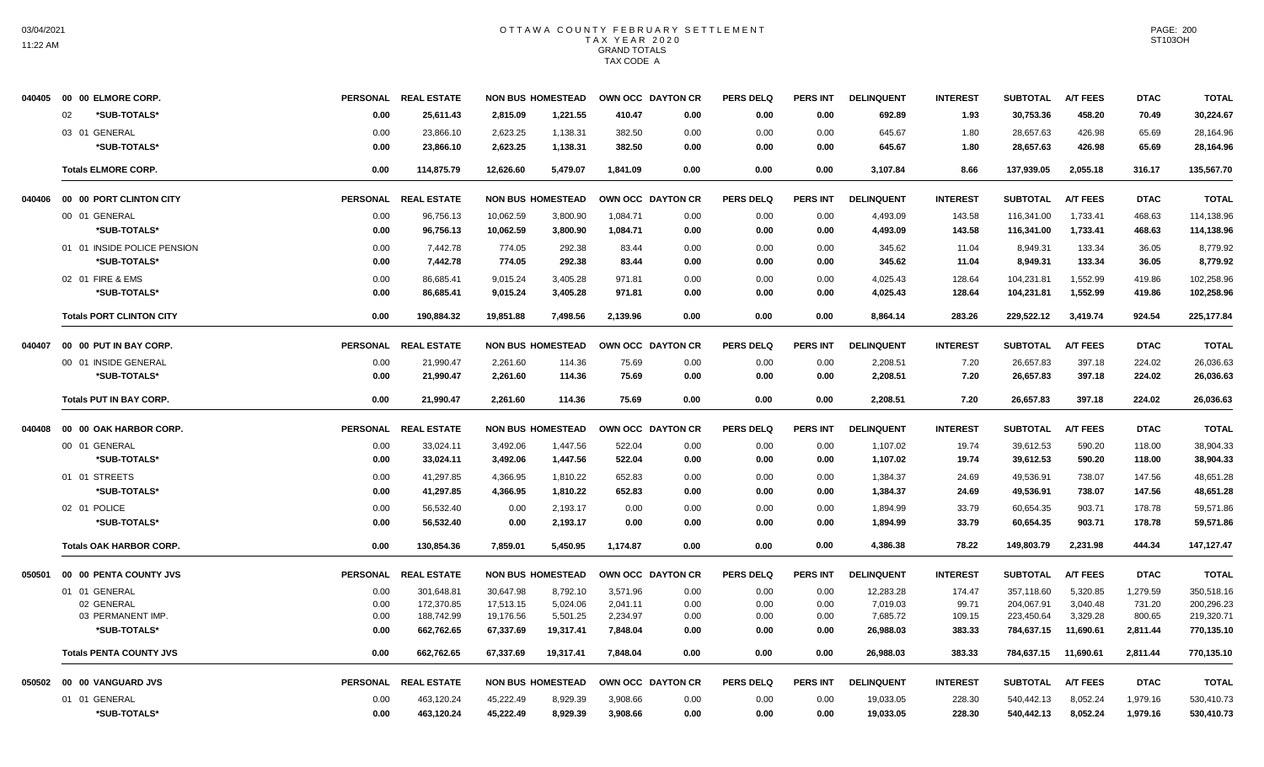| 040405 | 00 00 ELMORE CORP.              |                 | PERSONAL REAL ESTATE | <b>NON BUS HOMESTEAD</b> |           | OWN OCC DAYTON CR |      | <b>PERS DELQ</b> | <b>PERS INT</b> | <b>DELINQUENT</b> | <b>INTEREST</b> | <b>SUBTOTAL</b> | <b>A/T FEES</b> | <b>DTAC</b> | <b>TOTAL</b> |
|--------|---------------------------------|-----------------|----------------------|--------------------------|-----------|-------------------|------|------------------|-----------------|-------------------|-----------------|-----------------|-----------------|-------------|--------------|
|        | *SUB-TOTALS*<br>02              | 0.00            | 25,611.43            | 2.815.09                 | 1,221.55  | 410.47            | 0.00 | 0.00             | 0.00            | 692.89            | 1.93            | 30,753.36       | 458.20          | 70.49       | 30,224.67    |
|        | 03 01 GENERAL                   | 0.00            | 23,866.10            | 2,623.25                 | 1,138.31  | 382.50            | 0.00 | 0.00             | 0.00            | 645.67            | 1.80            | 28,657.63       | 426.98          | 65.69       | 28,164.96    |
|        | *SUB-TOTALS*                    | 0.00            | 23,866.10            | 2,623.25                 | 1,138.31  | 382.50            | 0.00 | 0.00             | 0.00            | 645.67            | 1.80            | 28,657.63       | 426.98          | 65.69       | 28,164.96    |
|        | <b>Totals ELMORE CORP.</b>      | 0.00            | 114,875.79           | 12,626.60                | 5,479.07  | 1,841.09          | 0.00 | 0.00             | 0.00            | 3,107.84          | 8.66            | 137,939.05      | 2,055.18        | 316.17      | 135,567.70   |
| 040406 | 00 00 PORT CLINTON CITY         | <b>PERSONAL</b> | <b>REAL ESTATE</b>   | <b>NON BUS HOMESTEAD</b> |           | OWN OCC DAYTON CR |      | <b>PERS DELQ</b> | <b>PERS INT</b> | <b>DELINQUENT</b> | <b>INTEREST</b> | <b>SUBTOTAL</b> | <b>A/T FEES</b> | <b>DTAC</b> | <b>TOTAL</b> |
|        | 00 01 GENERAL                   | 0.00            | 96,756.13            | 10,062.59                | 3,800.90  | 1,084.71          | 0.00 | 0.00             | 0.00            | 4,493.09          | 143.58          | 116,341.00      | 1,733.41        | 468.63      | 114,138.96   |
|        | *SUB-TOTALS*                    | 0.00            | 96,756.13            | 10,062.59                | 3,800.90  | 1,084.71          | 0.00 | 0.00             | 0.00            | 4,493.09          | 143.58          | 116,341.00      | 1,733.41        | 468.63      | 114,138.96   |
|        | 01 01 INSIDE POLICE PENSION     | 0.00            | 7,442.78             | 774.05                   | 292.38    | 83.44             | 0.00 | 0.00             | 0.00            | 345.62            | 11.04           | 8,949.31        | 133.34          | 36.05       | 8,779.92     |
|        | *SUB-TOTALS*                    | 0.00            | 7,442.78             | 774.05                   | 292.38    | 83.44             | 0.00 | 0.00             | 0.00            | 345.62            | 11.04           | 8,949.31        | 133.34          | 36.05       | 8,779.92     |
|        | 02 01 FIRE & EMS                | 0.00            | 86,685.41            | 9,015.24                 | 3,405.28  | 971.81            | 0.00 | 0.00             | 0.00            | 4,025.43          | 128.64          | 104,231.81      | 1,552.99        | 419.86      | 102,258.96   |
|        | *SUB-TOTALS*                    | 0.00            | 86,685.41            | 9,015.24                 | 3,405.28  | 971.81            | 0.00 | 0.00             | 0.00            | 4,025.43          | 128.64          | 104,231.81      | 1,552.99        | 419.86      | 102,258.96   |
|        | <b>Totals PORT CLINTON CITY</b> | 0.00            | 190,884.32           | 19,851.88                | 7,498.56  | 2,139.96          | 0.00 | 0.00             | 0.00            | 8,864.14          | 283.26          | 229,522.12      | 3,419.74        | 924.54      | 225,177.84   |
| 040407 | 00 00 PUT IN BAY CORP.          | <b>PERSONAL</b> | <b>REAL ESTATE</b>   | <b>NON BUS HOMESTEAD</b> |           | OWN OCC DAYTON CR |      | <b>PERS DELQ</b> | <b>PERS INT</b> | <b>DELINQUENT</b> | <b>INTEREST</b> | <b>SUBTOTAL</b> | <b>A/T FEES</b> | <b>DTAC</b> | <b>TOTAL</b> |
|        | 00 01 INSIDE GENERAL            | 0.00            | 21,990.47            | 2,261.60                 | 114.36    | 75.69             | 0.00 | 0.00             | 0.00            | 2,208.51          | 7.20            | 26,657.83       | 397.18          | 224.02      | 26,036.63    |
|        | *SUB-TOTALS*                    | 0.00            | 21,990.47            | 2,261.60                 | 114.36    | 75.69             | 0.00 | 0.00             | 0.00            | 2,208.51          | 7.20            | 26,657.83       | 397.18          | 224.02      | 26,036.63    |
|        | <b>Totals PUT IN BAY CORP.</b>  | 0.00            | 21,990.47            | 2,261.60                 | 114.36    | 75.69             | 0.00 | 0.00             | 0.00            | 2,208.51          | 7.20            | 26,657.83       | 397.18          | 224.02      | 26,036.63    |
| 040408 | 00 00 OAK HARBOR CORP.          | <b>PERSONAL</b> | <b>REAL ESTATE</b>   | <b>NON BUS HOMESTEAD</b> |           | OWN OCC DAYTON CR |      | <b>PERS DELQ</b> | <b>PERS INT</b> | <b>DELINQUENT</b> | <b>INTEREST</b> | <b>SUBTOTAL</b> | <b>A/T FEES</b> | <b>DTAC</b> | <b>TOTAL</b> |
|        | 00 01 GENERAL                   | 0.00            | 33,024.11            | 3,492.06                 | 1,447.56  | 522.04            | 0.00 | 0.00             | 0.00            | 1,107.02          | 19.74           | 39,612.53       | 590.20          | 118.00      | 38,904.33    |
|        | *SUB-TOTALS*                    | 0.00            | 33,024.11            | 3,492.06                 | 1,447.56  | 522.04            | 0.00 | 0.00             | 0.00            | 1,107.02          | 19.74           | 39,612.53       | 590.20          | 118.00      | 38,904.33    |
|        | 01 01 STREETS                   | 0.00            | 41,297.85            | 4,366.95                 | 1,810.22  | 652.83            | 0.00 | 0.00             | 0.00            | 1,384.37          | 24.69           | 49,536.91       | 738.07          | 147.56      | 48,651.28    |
|        | *SUB-TOTALS*                    | 0.00            | 41,297.85            | 4,366.95                 | 1,810.22  | 652.83            | 0.00 | 0.00             | 0.00            | 1,384.37          | 24.69           | 49,536.91       | 738.07          | 147.56      | 48,651.28    |
|        | 02 01 POLICE                    | 0.00            | 56.532.40            | 0.00                     | 2,193.17  | 0.00              | 0.00 | 0.00             | 0.00            | 1,894.99          | 33.79           | 60,654.35       | 903.71          | 178.78      | 59,571.86    |
|        | *SUB-TOTALS*                    | 0.00            | 56.532.40            | 0.00                     | 2,193.17  | 0.00              | 0.00 | 0.00             | 0.00            | 1.894.99          | 33.79           | 60,654.35       | 903.71          | 178.78      | 59,571.86    |
|        | <b>Totals OAK HARBOR CORP.</b>  | 0.00            | 130,854.36           | 7,859.01                 | 5,450.95  | 1,174.87          | 0.00 | 0.00             | 0.00            | 4,386.38          | 78.22           | 149,803.79      | 2,231.98        | 444.34      | 147, 127. 47 |
| 050501 | 00 00 PENTA COUNTY JVS          | <b>PERSONAL</b> | <b>REAL ESTATE</b>   | <b>NON BUS HOMESTEAD</b> |           | OWN OCC DAYTON CR |      | <b>PERS DELQ</b> | <b>PERS INT</b> | <b>DELINQUENT</b> | <b>INTEREST</b> | <b>SUBTOTAL</b> | <b>A/T FEES</b> | <b>DTAC</b> | <b>TOTAL</b> |
|        | 01 01 GENERAL                   | 0.00            | 301,648.81           | 30,647.98                | 8,792.10  | 3,571.96          | 0.00 | 0.00             | 0.00            | 12,283.28         | 174.47          | 357,118.60      | 5,320.85        | 1,279.59    | 350,518.16   |
|        | 02 GENERAL                      | 0.00            | 172,370.85           | 17,513.15                | 5,024.06  | 2,041.11          | 0.00 | 0.00             | 0.00            | 7,019.03          | 99.71           | 204,067.91      | 3,040.48        | 731.20      | 200,296.23   |
|        | 03 PERMANENT IMP.               | 0.00            | 188,742.99           | 19,176.56                | 5,501.25  | 2,234.97          | 0.00 | 0.00             | 0.00            | 7,685.72          | 109.15          | 223,450.64      | 3,329.28        | 800.65      | 219,320.71   |
|        | *SUB-TOTALS*                    | 0.00            | 662,762.65           | 67,337.69                | 19,317.41 | 7,848.04          | 0.00 | 0.00             | 0.00            | 26,988.03         | 383.33          | 784,637.15      | 11,690.61       | 2,811.44    | 770,135.10   |
|        | <b>Totals PENTA COUNTY JVS</b>  | 0.00            | 662,762.65           | 67,337.69                | 19,317.41 | 7.848.04          | 0.00 | 0.00             | 0.00            | 26,988.03         | 383.33          | 784,637.15      | 11,690.61       | 2,811.44    | 770,135.10   |
| 050502 | 00 00 VANGUARD JVS              | <b>PERSONAL</b> | <b>REAL ESTATE</b>   | <b>NON BUS HOMESTEAD</b> |           | OWN OCC DAYTON CR |      | <b>PERS DELQ</b> | <b>PERS INT</b> | <b>DELINQUENT</b> | <b>INTEREST</b> | <b>SUBTOTAL</b> | <b>A/T FEES</b> | <b>DTAC</b> | <b>TOTAL</b> |
|        | 01 01 GENERAL                   | 0.00            | 463,120.24           | 45,222.49                | 8,929.39  | 3,908.66          | 0.00 | 0.00             | 0.00            | 19,033.05         | 228.30          | 540,442.13      | 8,052.24        | 1,979.16    | 530,410.73   |
|        | *SUB-TOTALS*                    | 0.00            | 463,120.24           | 45.222.49                | 8,929.39  | 3,908.66          | 0.00 | 0.00             | 0.00            | 19,033.05         | 228.30          | 540,442.13      | 8,052.24        | 1,979.16    | 530,410.73   |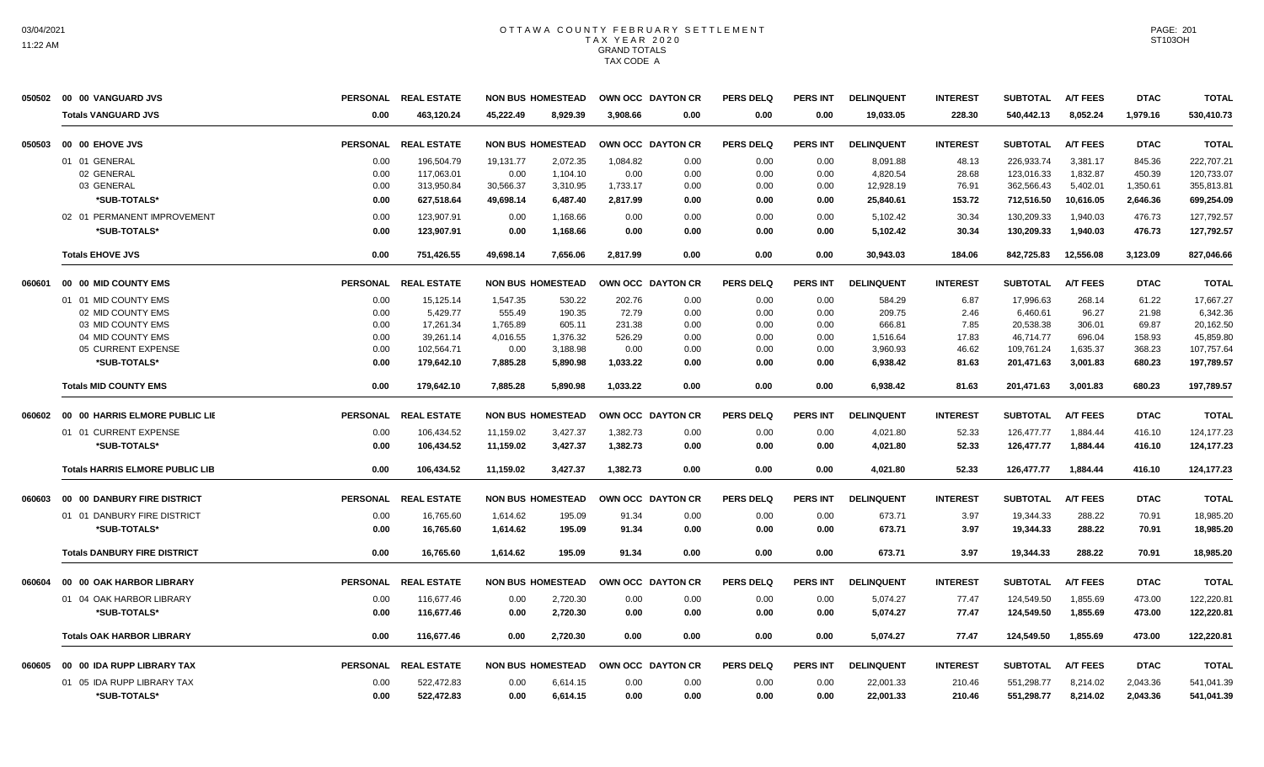| 050502 | 00 00 VANGUARD JVS                     | <b>PERSONAL</b> | <b>REAL ESTATE</b> | <b>NON BUS HOMESTEAD</b> |          | OWN OCC DAYTON CR |      | <b>PERS DELQ</b> | <b>PERS INT</b> | <b>DELINQUENT</b> | <b>INTEREST</b> | <b>SUBTOTAL</b> | <b>A/T FEES</b> | <b>DTAC</b> | TOTAL        |
|--------|----------------------------------------|-----------------|--------------------|--------------------------|----------|-------------------|------|------------------|-----------------|-------------------|-----------------|-----------------|-----------------|-------------|--------------|
|        | <b>Totals VANGUARD JVS</b>             | 0.00            | 463,120.24         | 45.222.49                | 8.929.39 | 3.908.66          | 0.00 | 0.00             | 0.00            | 19,033.05         | 228.30          | 540,442.13      | 8.052.24        | 1,979.16    | 530,410.73   |
| 050503 | 00 00 EHOVE JVS                        | <b>PERSONAL</b> | <b>REAL ESTATE</b> | <b>NON BUS HOMESTEAD</b> |          | OWN OCC DAYTON CR |      | <b>PERS DELQ</b> | <b>PERS INT</b> | <b>DELINQUENT</b> | <b>INTEREST</b> | <b>SUBTOTAL</b> | <b>A/T FEES</b> | <b>DTAC</b> | <b>TOTAL</b> |
|        | 01 01 GENERAL                          | 0.00            | 196,504.79         | 19,131.77                | 2,072.35 | 1,084.82          | 0.00 | 0.00             | 0.00            | 8,091.88          | 48.13           | 226,933.74      | 3,381.17        | 845.36      | 222,707.21   |
|        | 02 GENERAL                             | 0.00            | 117,063.01         | 0.00                     | 1,104.10 | 0.00              | 0.00 | 0.00             | 0.00            | 4,820.54          | 28.68           | 123,016.33      | 1,832.87        | 450.39      | 120,733.07   |
|        | 03 GENERAL                             | 0.00            | 313,950.84         | 30,566.37                | 3,310.95 | 1,733.17          | 0.00 | 0.00             | 0.00            | 12,928.19         | 76.91           | 362,566.43      | 5,402.01        | 1,350.61    | 355,813.81   |
|        | *SUB-TOTALS*                           | 0.00            | 627,518.64         | 49,698.14                | 6,487.40 | 2,817.99          | 0.00 | 0.00             | 0.00            | 25,840.61         | 153.72          | 712,516.50      | 10,616.05       | 2,646.36    | 699,254.09   |
|        | 02 01 PERMANENT IMPROVEMENT            | 0.00            | 123.907.91         | 0.00                     | 1.168.66 | 0.00              | 0.00 | 0.00             | 0.00            | 5,102.42          | 30.34           | 130.209.33      | 1.940.03        | 476.73      | 127.792.57   |
|        | *SUB-TOTALS*                           | 0.00            | 123,907.91         | 0.00                     | 1,168.66 | 0.00              | 0.00 | 0.00             | 0.00            | 5,102.42          | 30.34           | 130,209.33      | 1,940.03        | 476.73      | 127,792.57   |
|        | <b>Totals EHOVE JVS</b>                | 0.00            | 751.426.55         | 49,698.14                | 7.656.06 | 2.817.99          | 0.00 | 0.00             | 0.00            | 30.943.03         | 184.06          | 842.725.83      | 12.556.08       | 3,123.09    | 827,046.66   |
| 060601 | 00 00 MID COUNTY EMS                   | <b>PERSONAL</b> | <b>REAL ESTATE</b> | <b>NON BUS HOMESTEAD</b> |          | OWN OCC DAYTON CR |      | <b>PERS DELQ</b> | <b>PERS INT</b> | <b>DELINQUENT</b> | <b>INTEREST</b> | <b>SUBTOTAL</b> | <b>A/T FEES</b> | <b>DTAC</b> | <b>TOTAL</b> |
|        | 01 01 MID COUNTY EMS                   | 0.00            | 15,125.14          | 1,547.35                 | 530.22   | 202.76            | 0.00 | 0.00             | 0.00            | 584.29            | 6.87            | 17,996.63       | 268.14          | 61.22       | 17.667.27    |
|        | 02 MID COUNTY EMS                      | 0.00            | 5,429.77           | 555.49                   | 190.35   | 72.79             | 0.00 | 0.00             | 0.00            | 209.75            | 2.46            | 6,460.61        | 96.27           | 21.98       | 6,342.36     |
|        | 03 MID COUNTY EMS                      | 0.00            | 17,261.34          | 1,765.89                 | 605.11   | 231.38            | 0.00 | 0.00             | 0.00            | 666.81            | 7.85            | 20,538.38       | 306.01          | 69.87       | 20,162.50    |
|        | 04 MID COUNTY EMS                      | 0.00            | 39,261.14          | 4,016.55                 | 1,376.32 | 526.29            | 0.00 | 0.00             | 0.00            | 1,516.64          | 17.83           | 46,714.77       | 696.04          | 158.93      | 45,859.80    |
|        | 05 CURRENT EXPENSE                     | 0.00            | 102,564.71         | 0.00                     | 3,188.98 | 0.00              | 0.00 | 0.00             | 0.00            | 3,960.93          | 46.62           | 109,761.24      | 1,635.37        | 368.23      | 107,757.64   |
|        | *SUB-TOTALS*                           | 0.00            | 179.642.10         | 7,885.28                 | 5.890.98 | 1.033.22          | 0.00 | 0.00             | 0.00            | 6.938.42          | 81.63           | 201.471.63      | 3.001.83        | 680.23      | 197.789.57   |
|        | <b>Totals MID COUNTY EMS</b>           | 0.00            | 179,642.10         | 7,885.28                 | 5,890.98 | 1,033.22          | 0.00 | 0.00             | 0.00            | 6,938.42          | 81.63           | 201,471.63      | 3,001.83        | 680.23      | 197,789.57   |
| 060602 | 00 00 HARRIS ELMORE PUBLIC LIE         | <b>PERSONAL</b> | <b>REAL ESTATE</b> | <b>NON BUS HOMESTEAD</b> |          | OWN OCC DAYTON CR |      | <b>PERS DELQ</b> | <b>PERS INT</b> | <b>DELINQUENT</b> | <b>INTEREST</b> | <b>SUBTOTAL</b> | <b>A/T FEES</b> | <b>DTAC</b> | <b>TOTAL</b> |
|        | 01 01 CURRENT EXPENSE                  | 0.00            | 106,434.52         | 11,159.02                | 3,427.37 | 1,382.73          | 0.00 | 0.00             | 0.00            | 4,021.80          | 52.33           | 126,477.77      | 1,884.44        | 416.10      | 124, 177. 23 |
|        | *SUB-TOTALS*                           | 0.00            | 106,434.52         | 11,159.02                | 3,427.37 | 1,382.73          | 0.00 | 0.00             | 0.00            | 4,021.80          | 52.33           | 126,477.77      | 1,884.44        | 416.10      | 124,177.23   |
|        | <b>Totals HARRIS ELMORE PUBLIC LIB</b> | 0.00            | 106,434.52         | 11,159.02                | 3,427.37 | 1,382.73          | 0.00 | 0.00             | 0.00            | 4,021.80          | 52.33           | 126,477.77      | 1,884.44        | 416.10      | 124, 177.23  |
| 060603 | 00 00 DANBURY FIRE DISTRICT            | PERSONAL        | <b>REAL ESTATE</b> | <b>NON BUS HOMESTEAD</b> |          | OWN OCC DAYTON CR |      | <b>PERS DELQ</b> | <b>PERS INT</b> | <b>DELINQUENT</b> | <b>INTEREST</b> | <b>SUBTOTAL</b> | <b>A/T FEES</b> | <b>DTAC</b> | <b>TOTAL</b> |
|        | 01 01 DANBURY FIRE DISTRICT            | 0.00            | 16,765.60          | 1,614.62                 | 195.09   | 91.34             | 0.00 | 0.00             | 0.00            | 673.71            | 3.97            | 19,344.33       | 288.22          | 70.91       | 18,985.20    |
|        | *SUB-TOTALS*                           | 0.00            | 16,765.60          | 1.614.62                 | 195.09   | 91.34             | 0.00 | 0.00             | 0.00            | 673.71            | 3.97            | 19,344.33       | 288.22          | 70.91       | 18,985.20    |
|        | <b>Totals DANBURY FIRE DISTRICT</b>    | 0.00            | 16.765.60          | 1.614.62                 | 195.09   | 91.34             | 0.00 | 0.00             | 0.00            | 673.71            | 3.97            | 19.344.33       | 288.22          | 70.91       | 18.985.20    |
| 060604 | 00 00 OAK HARBOR LIBRARY               | <b>PERSONAL</b> | <b>REAL ESTATE</b> | <b>NON BUS HOMESTEAD</b> |          | OWN OCC DAYTON CR |      | <b>PERS DELQ</b> | <b>PERS INT</b> | <b>DELINQUENT</b> | <b>INTEREST</b> | <b>SUBTOTAL</b> | <b>A/T FEES</b> | <b>DTAC</b> | <b>TOTAL</b> |
|        | 01 04 OAK HARBOR LIBRARY               | 0.00            | 116,677.46         | 0.00                     | 2,720.30 | 0.00              | 0.00 | 0.00             | 0.00            | 5,074.27          | 77.47           | 124,549.50      | 1,855.69        | 473.00      | 122,220.81   |
|        | *SUB-TOTALS*                           | 0.00            | 116,677.46         | 0.00                     | 2,720.30 | 0.00              | 0.00 | 0.00             | 0.00            | 5,074.27          | 77.47           | 124,549.50      | 1,855.69        | 473.00      | 122,220.81   |
|        | <b>Totals OAK HARBOR LIBRARY</b>       | 0.00            | 116.677.46         | 0.00                     | 2.720.30 | 0.00              | 0.00 | 0.00             | 0.00            | 5.074.27          | 77.47           | 124.549.50      | 1.855.69        | 473.00      | 122.220.81   |
| 060605 | 00 00 IDA RUPP LIBRARY TAX             | <b>PERSONAL</b> | <b>REAL ESTATE</b> | <b>NON BUS HOMESTEAD</b> |          | OWN OCC DAYTON CR |      | <b>PERS DELQ</b> | <b>PERS INT</b> | <b>DELINQUENT</b> | <b>INTEREST</b> | <b>SUBTOTAL</b> | <b>A/T FEES</b> | <b>DTAC</b> | <b>TOTAL</b> |
|        | 01 05 IDA RUPP LIBRARY TAX             | 0.00            | 522,472.83         | 0.00                     | 6,614.15 | 0.00              | 0.00 | 0.00             | 0.00            | 22,001.33         | 210.46          | 551,298.77      | 8,214.02        | 2,043.36    | 541,041.39   |
|        | *SUB-TOTALS*                           | 0.00            | 522,472.83         | 0.00                     | 6,614.15 | 0.00              | 0.00 | 0.00             | 0.00            | 22,001.33         | 210.46          | 551,298.77      | 8,214.02        | 2,043.36    | 541,041.39   |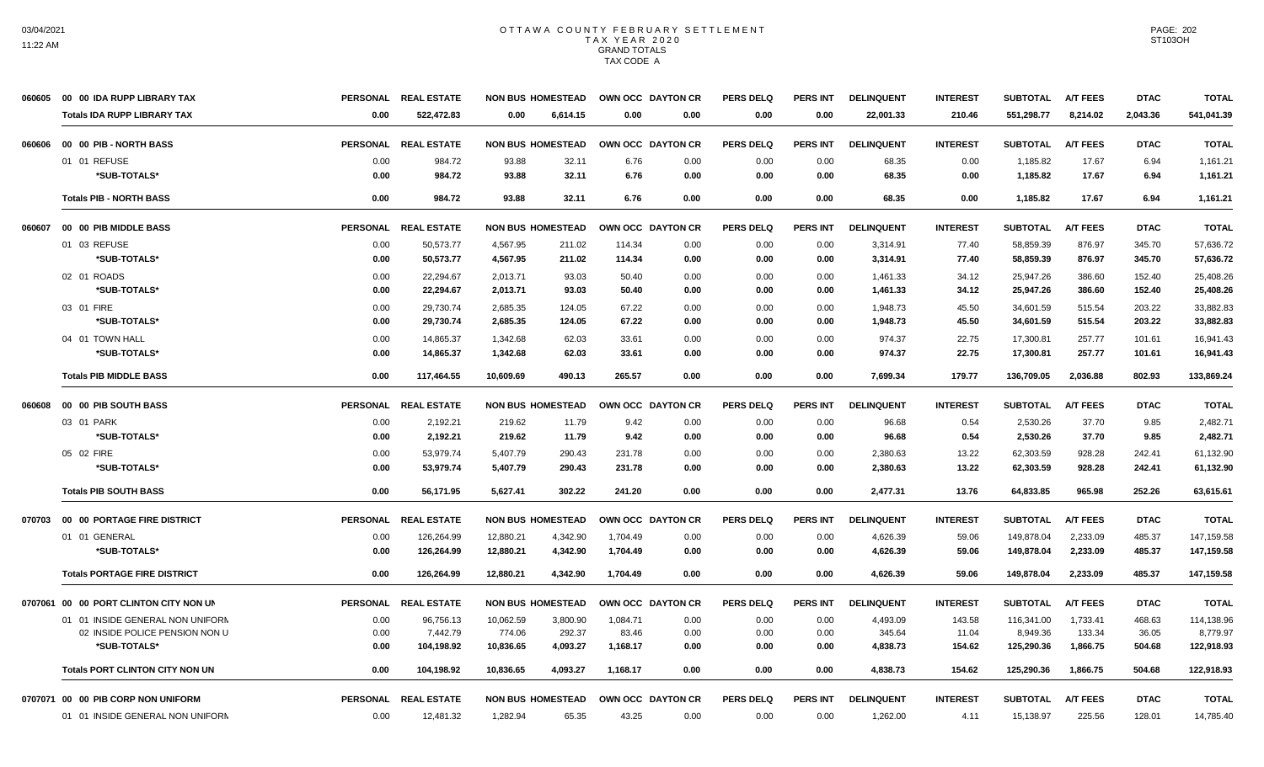|        | 060605 00 00 IDA RUPP LIBRARY TAX      | <b>PERSONAL</b> | <b>REAL ESTATE</b>   | <b>NON BUS HOMESTEAD</b> |          | OWN OCC DAYTON CR |      | <b>PERS DELQ</b> | <b>PERS INT</b> | <b>DELINQUENT</b> | <b>INTEREST</b> | <b>SUBTOTAL</b> | <b>A/T FEES</b> | <b>DTAC</b> | <b>TOTAL</b> |
|--------|----------------------------------------|-----------------|----------------------|--------------------------|----------|-------------------|------|------------------|-----------------|-------------------|-----------------|-----------------|-----------------|-------------|--------------|
|        | <b>Totals IDA RUPP LIBRARY TAX</b>     | 0.00            | 522,472.83           | 0.00                     | 6,614.15 | 0.00              | 0.00 | 0.00             | 0.00            | 22,001.33         | 210.46          | 551,298.77      | 8,214.02        | 2,043.36    | 541,041.39   |
| 060606 | 00 00 PIB - NORTH BASS                 |                 | PERSONAL REAL ESTATE | <b>NON BUS HOMESTEAD</b> |          | OWN OCC DAYTON CR |      | <b>PERS DELQ</b> | <b>PERS INT</b> | <b>DELINQUENT</b> | <b>INTEREST</b> | <b>SUBTOTAL</b> | <b>A/T FEES</b> | <b>DTAC</b> | <b>TOTAL</b> |
|        | 01 01 REFUSE                           | 0.00            | 984.72               | 93.88                    | 32.11    | 6.76              | 0.00 | 0.00             | 0.00            | 68.35             | 0.00            | 1,185.82        | 17.67           | 6.94        | 1,161.21     |
|        | *SUB-TOTALS*                           | 0.00            | 984.72               | 93.88                    | 32.11    | 6.76              | 0.00 | 0.00             | 0.00            | 68.35             | 0.00            | 1,185.82        | 17.67           | 6.94        | 1,161.21     |
|        | <b>Totals PIB - NORTH BASS</b>         | 0.00            | 984.72               | 93.88                    | 32.11    | 6.76              | 0.00 | 0.00             | 0.00            | 68.35             | 0.00            | 1,185.82        | 17.67           | 6.94        | 1,161.21     |
| 060607 | 00 00 PIB MIDDLE BASS                  | <b>PERSONAL</b> | <b>REAL ESTATE</b>   | <b>NON BUS HOMESTEAD</b> |          | OWN OCC DAYTON CR |      | <b>PERS DELQ</b> | <b>PERS INT</b> | <b>DELINQUENT</b> | <b>INTEREST</b> | <b>SUBTOTAL</b> | <b>A/T FEES</b> | <b>DTAC</b> | <b>TOTAL</b> |
|        | 01 03 REFUSE                           | 0.00            | 50,573.77            | 4,567.95                 | 211.02   | 114.34            | 0.00 | 0.00             | 0.00            | 3,314.91          | 77.40           | 58,859.39       | 876.97          | 345.70      | 57,636.72    |
|        | *SUB-TOTALS*                           | 0.00            | 50,573.77            | 4,567.95                 | 211.02   | 114.34            | 0.00 | 0.00             | 0.00            | 3,314.91          | 77.40           | 58,859.39       | 876.97          | 345.70      | 57,636.72    |
|        | 02 01 ROADS                            | 0.00            | 22,294.67            | 2,013.71                 | 93.03    | 50.40             | 0.00 | 0.00             | 0.00            | 1,461.33          | 34.12           | 25,947.26       | 386.60          | 152.40      | 25,408.26    |
|        | *SUB-TOTALS*                           | 0.00            | 22.294.67            | 2,013.71                 | 93.03    | 50.40             | 0.00 | 0.00             | 0.00            | 1,461.33          | 34.12           | 25,947.26       | 386.60          | 152.40      | 25,408.26    |
|        | 03 01 FIRE                             | 0.00            | 29,730.74            | 2,685.35                 | 124.05   | 67.22             | 0.00 | 0.00             | 0.00            | 1,948.73          | 45.50           | 34,601.59       | 515.54          | 203.22      | 33,882.83    |
|        | *SUB-TOTALS*                           | 0.00            | 29,730.74            | 2,685.35                 | 124.05   | 67.22             | 0.00 | 0.00             | 0.00            | 1,948.73          | 45.50           | 34,601.59       | 515.54          | 203.22      | 33,882.83    |
|        | 04 01 TOWN HALL                        | 0.00            | 14,865.37            | 1,342.68                 | 62.03    | 33.61             | 0.00 | 0.00             | 0.00            | 974.37            | 22.75           | 17,300.81       | 257.77          | 101.61      | 16,941.43    |
|        | *SUB-TOTALS*                           | 0.00            | 14,865.37            | 1,342.68                 | 62.03    | 33.61             | 0.00 | 0.00             | 0.00            | 974.37            | 22.75           | 17,300.81       | 257.77          | 101.61      | 16,941.43    |
|        | <b>Totals PIB MIDDLE BASS</b>          | 0.00            | 117,464.55           | 10,609.69                | 490.13   | 265.57            | 0.00 | 0.00             | 0.00            | 7,699.34          | 179.77          | 136,709.05      | 2,036.88        | 802.93      | 133,869.24   |
| 060608 | 00 00 PIB SOUTH BASS                   | <b>PERSONAL</b> | <b>REAL ESTATE</b>   | <b>NON BUS HOMESTEAD</b> |          | OWN OCC DAYTON CR |      | <b>PERS DELQ</b> | <b>PERS INT</b> | <b>DELINQUENT</b> | <b>INTEREST</b> | <b>SUBTOTAL</b> | <b>A/T FEES</b> | <b>DTAC</b> | <b>TOTAL</b> |
|        | 03 01 PARK                             | 0.00            | 2,192.21             | 219.62                   | 11.79    | 9.42              | 0.00 | 0.00             | 0.00            | 96.68             | 0.54            | 2,530.26        | 37.70           | 9.85        | 2,482.71     |
|        | *SUB-TOTALS*                           | 0.00            | 2,192.21             | 219.62                   | 11.79    | 9.42              | 0.00 | 0.00             | 0.00            | 96.68             | 0.54            | 2,530.26        | 37.70           | 9.85        | 2,482.71     |
|        | 05 02 FIRE                             | 0.00            | 53,979.74            | 5,407.79                 | 290.43   | 231.78            | 0.00 | 0.00             | 0.00            | 2,380.63          | 13.22           | 62,303.59       | 928.28          | 242.41      | 61,132.90    |
|        | *SUB-TOTALS*                           | 0.00            | 53,979.74            | 5,407.79                 | 290.43   | 231.78            | 0.00 | 0.00             | 0.00            | 2,380.63          | 13.22           | 62,303.59       | 928.28          | 242.41      | 61,132.90    |
|        | <b>Totals PIB SOUTH BASS</b>           | 0.00            | 56,171.95            | 5,627.41                 | 302.22   | 241.20            | 0.00 | 0.00             | 0.00            | 2,477.31          | 13.76           | 64,833.85       | 965.98          | 252.26      | 63,615.61    |
| 070703 | 00 00 PORTAGE FIRE DISTRICT            |                 | PERSONAL REAL ESTATE | <b>NON BUS HOMESTEAD</b> |          | OWN OCC DAYTON CR |      | <b>PERS DELQ</b> | <b>PERS INT</b> | <b>DELINQUENT</b> | <b>INTEREST</b> | <b>SUBTOTAL</b> | <b>A/T FEES</b> | <b>DTAC</b> | <b>TOTAL</b> |
|        | 01 01 GENERAL                          | 0.00            | 126,264.99           | 12,880.21                | 4,342.90 | 1,704.49          | 0.00 | 0.00             | 0.00            | 4,626.39          | 59.06           | 149,878.04      | 2,233.09        | 485.37      | 147,159.58   |
|        | *SUB-TOTALS*                           | 0.00            | 126,264.99           | 12,880.21                | 4,342.90 | 1,704.49          | 0.00 | 0.00             | 0.00            | 4,626.39          | 59.06           | 149,878.04      | 2,233.09        | 485.37      | 147,159.58   |
|        | <b>Totals PORTAGE FIRE DISTRICT</b>    | 0.00            | 126,264.99           | 12,880.21                | 4,342.90 | 1,704.49          | 0.00 | 0.00             | 0.00            | 4,626.39          | 59.06           | 149,878.04      | 2,233.09        | 485.37      | 147,159.58   |
|        | 0707061 00 00 PORT CLINTON CITY NON UN | <b>PERSONAL</b> | <b>REAL ESTATE</b>   | <b>NON BUS HOMESTEAD</b> |          | OWN OCC DAYTON CR |      | <b>PERS DELQ</b> | <b>PERS INT</b> | <b>DELINQUENT</b> | <b>INTEREST</b> | <b>SUBTOTAL</b> | <b>A/T FEES</b> | <b>DTAC</b> | <b>TOTAL</b> |
|        | 01 01 INSIDE GENERAL NON UNIFORN       | 0.00            | 96,756.13            | 10,062.59                | 3,800.90 | 1,084.71          | 0.00 | 0.00             | 0.00            | 4,493.09          | 143.58          | 116,341.00      | 1,733.41        | 468.63      | 114,138.96   |
|        | 02 INSIDE POLICE PENSION NON U         | 0.00            | 7,442.79             | 774.06                   | 292.37   | 83.46             | 0.00 | 0.00             | 0.00            | 345.64            | 11.04           | 8,949.36        | 133.34          | 36.05       | 8,779.97     |
|        | *SUB-TOTALS*                           | 0.00            | 104,198.92           | 10,836.65                | 4,093.27 | 1,168.17          | 0.00 | 0.00             | 0.00            | 4,838.73          | 154.62          | 125,290.36      | 1,866.75        | 504.68      | 122,918.93   |
|        | <b>Totals PORT CLINTON CITY NON UN</b> | 0.00            | 104,198.92           | 10,836.65                | 4,093.27 | 1,168.17          | 0.00 | 0.00             | 0.00            | 4,838.73          | 154.62          | 125,290.36      | 1,866.75        | 504.68      | 122,918.93   |
|        | 0707071 00 00 PIB CORP NON UNIFORM     |                 | PERSONAL REAL ESTATE | <b>NON BUS HOMESTEAD</b> |          | OWN OCC DAYTON CR |      | <b>PERS DELQ</b> | <b>PERS INT</b> | <b>DELINQUENT</b> | <b>INTEREST</b> | <b>SUBTOTAL</b> | <b>A/T FEES</b> | <b>DTAC</b> | <b>TOTAL</b> |
|        | 01 01 INSIDE GENERAL NON UNIFORM       | 0.00            | 12,481.32            | 1,282.94                 | 65.35    | 43.25             | 0.00 | 0.00             | 0.00            | 1,262.00          | 4.11            | 15,138.97       | 225.56          | 128.01      | 14,785.40    |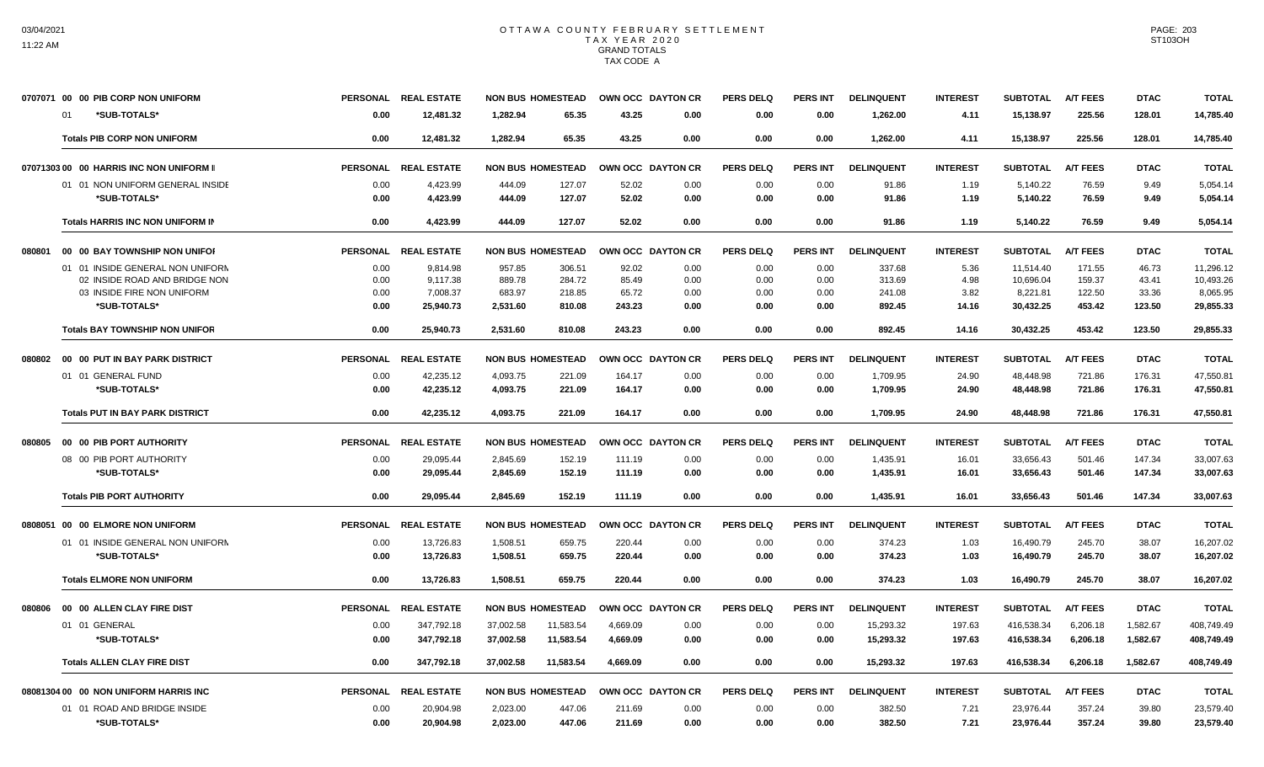|        | 0707071 00 00 PIB CORP NON UNIFORM         | <b>PERSONAL</b> | <b>REAL ESTATE</b>    |                      | <b>NON BUS HOMESTEAD</b> | OWN OCC DAYTON CR |                  | <b>PERS DELQ</b> | <b>PERS INT</b> | <b>DELINQUENT</b>    | <b>INTEREST</b> | <b>SUBTOTAL</b>       | <b>A/T FEES</b>  | <b>DTAC</b>     | <b>TOTAL</b>          |
|--------|--------------------------------------------|-----------------|-----------------------|----------------------|--------------------------|-------------------|------------------|------------------|-----------------|----------------------|-----------------|-----------------------|------------------|-----------------|-----------------------|
|        | *SUB-TOTALS*<br>01                         | 0.00            | 12,481.32             | 1,282.94             | 65.35                    | 43.25             | 0.00             | 0.00             | 0.00            | 1,262.00             | 4.11            | 15,138.97             | 225.56           | 128.01          | 14,785.40             |
|        | <b>Totals PIB CORP NON UNIFORM</b>         | 0.00            | 12,481.32             | 1.282.94             | 65.35                    | 43.25             | 0.00             | 0.00             | 0.00            | 1,262.00             | 4.11            | 15,138.97             | 225.56           | 128.01          | 14,785.40             |
|        | 07071303 00 00 HARRIS INC NON UNIFORM II   | <b>PERSONAL</b> | <b>REAL ESTATE</b>    |                      | <b>NON BUS HOMESTEAD</b> | <b>OWN OCC</b>    | <b>DAYTON CR</b> | <b>PERS DELQ</b> | <b>PERS INT</b> | <b>DELINQUENT</b>    | <b>INTEREST</b> | <b>SUBTOTAL</b>       | <b>A/T FEES</b>  | <b>DTAC</b>     | <b>TOTAL</b>          |
|        | 01 01 NON UNIFORM GENERAL INSIDE           | 0.00            | 4,423.99              | 444.09               | 127.07                   | 52.02             | 0.00             | 0.00             | 0.00            | 91.86                | 1.19            | 5,140.22              | 76.59            | 9.49            | 5,054.14              |
|        | *SUB-TOTALS*                               | 0.00            | 4,423.99              | 444.09               | 127.07                   | 52.02             | 0.00             | 0.00             | 0.00            | 91.86                | 1.19            | 5,140.22              | 76.59            | 9.49            | 5,054.14              |
|        | <b>Totals HARRIS INC NON UNIFORM IN</b>    | 0.00            | 4.423.99              | 444.09               | 127.07                   | 52.02             | 0.00             | 0.00             | 0.00            | 91.86                | 1.19            | 5.140.22              | 76.59            | 9.49            | 5.054.14              |
| 080801 | 00 00 BAY TOWNSHIP NON UNIFOR              | <b>PERSONAL</b> | <b>REAL ESTATE</b>    |                      | <b>NON BUS HOMESTEAD</b> | OWN OCC DAYTON CR |                  | PERS DELO        | <b>PERS INT</b> | <b>DELINQUENT</b>    | <b>INTEREST</b> | <b>SUBTOTAL</b>       | <b>A/T FEES</b>  | <b>DTAC</b>     | <b>TOTAL</b>          |
|        | 01 01 INSIDE GENERAL NON UNIFORM           | 0.00            | 9.814.98              | 957.85               | 306.51                   | 92.02             | 0.00             | 0.00             | 0.00            | 337.68               | 5.36            | 11.514.40             | 171.55           | 46.73           | 11,296.12             |
|        | 02 INSIDE ROAD AND BRIDGE NON              | 0.00            | 9.117.38              | 889.78               | 284.72                   | 85.49             | 0.00             | 0.00             | 0.00            | 313.69               | 4.98            | 10,696.04             | 159.37           | 43.41           | 10,493.26             |
|        | 03 INSIDE FIRE NON UNIFORM<br>*SUB-TOTALS* | 0.00<br>0.00    | 7,008.37<br>25,940.73 | 683.97<br>2,531.60   | 218.85<br>810.08         | 65.72<br>243.23   | 0.00<br>0.00     | 0.00<br>0.00     | 0.00<br>0.00    | 241.08<br>892.45     | 3.82<br>14.16   | 8,221.81<br>30,432.25 | 122.50<br>453.42 | 33.36<br>123.50 | 8,065.95<br>29.855.33 |
|        | <b>Totals BAY TOWNSHIP NON UNIFOR</b>      | 0.00            | 25,940.73             | 2,531.60             | 810.08                   | 243.23            | 0.00             | 0.00             | 0.00            | 892.45               | 14.16           | 30,432.25             | 453.42           | 123.50          | 29,855.33             |
| 080802 | 00 00 PUT IN BAY PARK DISTRICT             | <b>PERSONAL</b> | <b>REAL ESTATE</b>    |                      | <b>NON BUS HOMESTEAD</b> | OWN OCC DAYTON CR |                  | <b>PERS DELQ</b> | <b>PERS INT</b> | <b>DELINQUENT</b>    | <b>INTEREST</b> | <b>SUBTOTAL</b>       | <b>A/T FEES</b>  | <b>DTAC</b>     | <b>TOTAL</b>          |
|        | 01 01 GENERAL FUND                         | 0.00            | 42,235.12             |                      |                          | 164.17            | 0.00             |                  | 0.00            |                      |                 | 48.448.98             |                  | 176.31          | 47,550.81             |
|        | *SUB-TOTALS*                               | 0.00            | 42,235.12             | 4,093.75<br>4,093.75 | 221.09<br>221.09         | 164.17            | 0.00             | 0.00<br>0.00     | 0.00            | 1,709.95<br>1,709.95 | 24.90<br>24.90  | 48,448.98             | 721.86<br>721.86 | 176.31          | 47,550.81             |
|        |                                            |                 |                       |                      |                          |                   |                  |                  |                 |                      |                 |                       |                  |                 |                       |
|        | <b>Totals PUT IN BAY PARK DISTRICT</b>     | 0.00            | 42,235.12             | 4,093.75             | 221.09                   | 164.17            | 0.00             | 0.00             | 0.00            | 1,709.95             | 24.90           | 48,448.98             | 721.86           | 176.31          | 47,550.81             |
| 080805 | 00 00 PIB PORT AUTHORITY                   | <b>PERSONAL</b> | <b>REAL ESTATE</b>    |                      | <b>NON BUS HOMESTEAD</b> | OWN OCC DAYTON CR |                  | <b>PERS DELQ</b> | PERS INT        | <b>DELINQUENT</b>    | <b>INTEREST</b> | <b>SUBTOTAL</b>       | <b>A/T FEES</b>  | <b>DTAC</b>     | <b>TOTAL</b>          |
|        | 08 00 PIB PORT AUTHORITY                   | 0.00            | 29,095.44             | 2,845.69             | 152.19                   | 111.19            | 0.00             | 0.00             | 0.00            | 1,435.91             | 16.01           | 33,656.43             | 501.46           | 147.34          | 33,007.63             |
|        | *SUB-TOTALS*                               | 0.00            | 29,095.44             | 2,845.69             | 152.19                   | 111.19            | 0.00             | 0.00             | 0.00            | 1,435.91             | 16.01           | 33,656.43             | 501.46           | 147.34          | 33,007.63             |
|        | <b>Totals PIB PORT AUTHORITY</b>           | 0.00            | 29,095.44             | 2.845.69             | 152.19                   | 111.19            | 0.00             | 0.00             | 0.00            | 1,435.91             | 16.01           | 33,656.43             | 501.46           | 147.34          | 33,007.63             |
|        | 0808051 00 00 ELMORE NON UNIFORM           | <b>PERSONAL</b> | <b>REAL ESTATE</b>    |                      | <b>NON BUS HOMESTEAD</b> | OWN OCC DAYTON CR |                  | <b>PERS DELQ</b> | PERS INT        | <b>DELINQUENT</b>    | <b>INTEREST</b> | <b>SUBTOTAL</b>       | <b>A/T FEES</b>  | <b>DTAC</b>     | <b>TOTAL</b>          |
|        | 01 01 INSIDE GENERAL NON UNIFORM           | 0.00            | 13,726.83             | 1,508.51             | 659.75                   | 220.44            | 0.00             | 0.00             | 0.00            | 374.23               | 1.03            | 16,490.79             | 245.70           | 38.07           | 16,207.02             |
|        | *SUB-TOTALS*                               | 0.00            | 13,726.83             | 1,508.51             | 659.75                   | 220.44            | 0.00             | 0.00             | 0.00            | 374.23               | 1.03            | 16,490.79             | 245.70           | 38.07           | 16,207.02             |
|        | <b>Totals ELMORE NON UNIFORM</b>           | 0.00            | 13,726.83             | 1,508.51             | 659.75                   | 220.44            | 0.00             | 0.00             | 0.00            | 374.23               | 1.03            | 16,490.79             | 245.70           | 38.07           | 16,207.02             |
| 080806 | 00 00 ALLEN CLAY FIRE DIST                 | <b>PERSONAL</b> | <b>REAL ESTATE</b>    |                      | <b>NON BUS HOMESTEAD</b> | <b>OWN OCC</b>    | <b>DAYTON CR</b> | <b>PERS DELQ</b> | <b>PERS INT</b> | <b>DELINQUENT</b>    | <b>INTEREST</b> | <b>SUBTOTAL</b>       | <b>A/T FEES</b>  | <b>DTAC</b>     | <b>TOTAL</b>          |
|        | 01 01 GENERAL                              | 0.00            | 347,792.18            | 37.002.58            | 11,583.54                | 4.669.09          | 0.00             | 0.00             | 0.00            | 15.293.32            | 197.63          | 416.538.34            | 6.206.18         | 1.582.67        | 408.749.49            |
|        | *SUB-TOTALS*                               | 0.00            | 347,792.18            | 37,002.58            | 11,583.54                | 4.669.09          | 0.00             | 0.00             | 0.00            | 15.293.32            | 197.63          | 416,538.34            | 6,206.18         | 1,582.67        | 408,749.49            |
|        | <b>Totals ALLEN CLAY FIRE DIST</b>         | 0.00            | 347,792.18            | 37.002.58            | 11.583.54                | 4.669.09          | 0.00             | 0.00             | 0.00            | 15.293.32            | 197.63          | 416.538.34            | 6.206.18         | 1.582.67        | 408.749.49            |
|        | 08081304 00 00 NON UNIFORM HARRIS INC      | <b>PERSONAL</b> | <b>REAL ESTATE</b>    |                      | <b>NON BUS HOMESTEAD</b> | OWN OCC DAYTON CR |                  | <b>PERS DELQ</b> | <b>PERS INT</b> | <b>DELINQUENT</b>    | <b>INTEREST</b> | <b>SUBTOTAL</b>       | <b>A/T FEES</b>  | <b>DTAC</b>     | <b>TOTAL</b>          |
|        | 01 01 ROAD AND BRIDGE INSIDE               | 0.00            | 20,904.98             | 2,023.00             | 447.06                   | 211.69            | 0.00             | 0.00             | 0.00            | 382.50               | 7.21            | 23,976.44             | 357.24           | 39.80           | 23,579.40             |
|        | *SUB-TOTALS*                               | 0.00            | 20,904.98             | 2,023.00             | 447.06                   | 211.69            | 0.00             | 0.00             | 0.00            | 382.50               | 7.21            | 23,976.44             | 357.24           | 39.80           | 23,579.40             |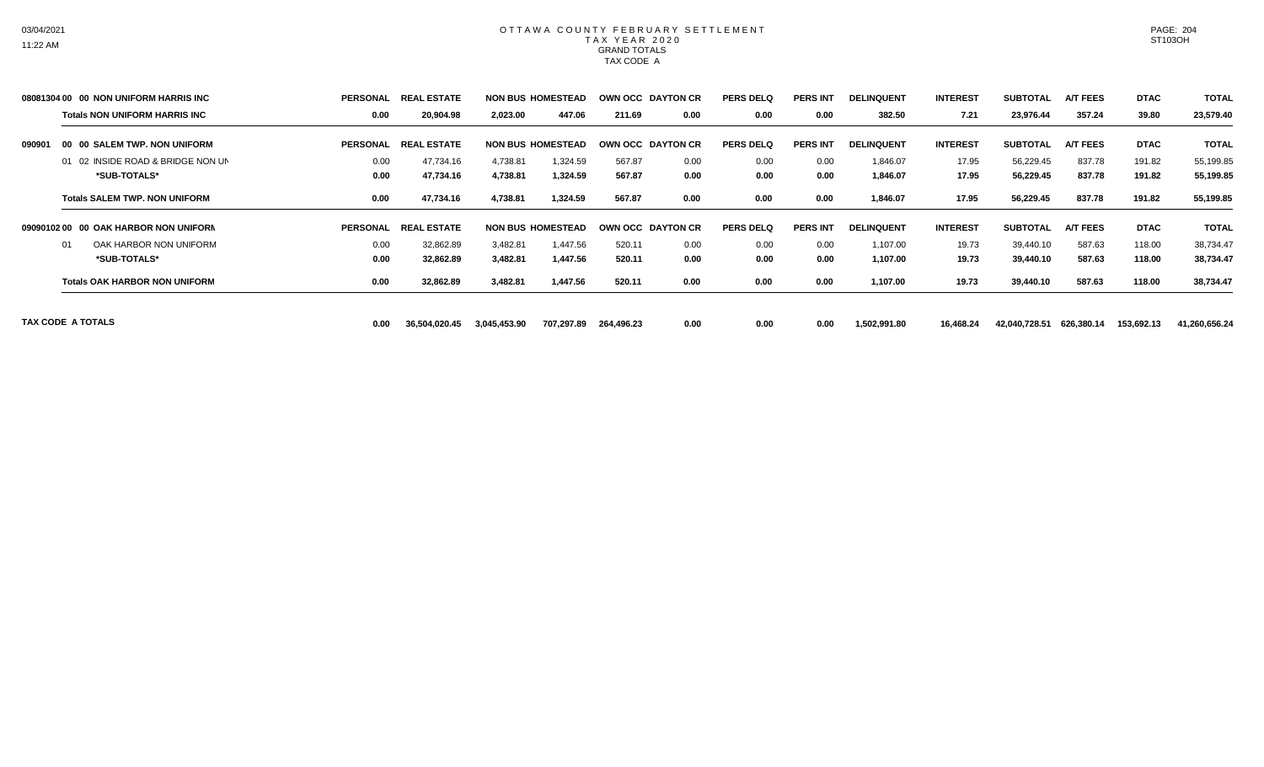|        | 08081304 00 00 NON UNIFORM HARRIS INC | <b>PERSONAL</b> | REAI<br>. ESTATE             |              | <b>NON BUS HOMESTEAD</b> |            | OWN OCC DAYTON CR | <b>PERS DELQ</b> | <b>PERS INT</b> | <b>DELINQUENT</b> | <b>INTEREST</b> | <b>SUBTOTAL</b> | <b>A/T FEES</b> | <b>DTAC</b> | <b>TOTAL</b>  |
|--------|---------------------------------------|-----------------|------------------------------|--------------|--------------------------|------------|-------------------|------------------|-----------------|-------------------|-----------------|-----------------|-----------------|-------------|---------------|
|        | <b>Totals NON UNIFORM HARRIS INC</b>  | 0.00            | 20,904.98                    | 2,023.00     | 447.06                   | 211.69     | 0.00              | 0.00             | 0.00            | 382.50            | 7.21            | 23,976.44       | 357.24          | 39.80       | 23,579.40     |
| 090901 | 00 00 SALEM TWP, NON UNIFORM          | <b>PERSONAL</b> | <b>REAL</b><br>. ESTATE      |              | <b>NON BUS HOMESTEAD</b> |            | OWN OCC DAYTON CR | <b>PERS DELQ</b> | <b>PERS INT</b> | <b>DELINQUENT</b> | <b>INTEREST</b> | <b>SUBTOTAL</b> | <b>A/T FEES</b> | <b>DTAC</b> | <b>TOTAL</b>  |
|        | 01 02 INSIDE ROAD & BRIDGE NON UN     | 0.00            | 47,734.16                    | 4,738.81     | 1,324.59                 | 567.87     | 0.00              | 0.00             | 0.00            | 1,846.07          | 17.95           | 56,229.45       | 837.78          | 191.82      | 55,199.85     |
|        | *SUB-TOTALS*                          | 0.00            | 47,734.16                    | 4,738.81     | 1,324.59                 | 567.87     | 0.00              | 0.00             | 0.00            | 1,846.07          | 17.95           | 56,229.45       | 837.78          | 191.82      | 55,199.85     |
|        | <b>Totals SALEM TWP, NON UNIFORM</b>  | 0.00            | 47,734.16                    | 4,738.81     | 1,324.59                 | 567.87     | 0.00              | 0.00             | 0.00            | 1,846.07          | 17.95           | 56,229.45       | 837.78          | 191.82      | 55,199.85     |
|        | 09090102 00 00 OAK HARBOR NON UNIFORM | <b>PERSONAL</b> | <b>ESTATE</b><br><b>REAL</b> |              | <b>NON BUS HOMESTEAD</b> |            | OWN OCC DAYTON CR | <b>PERS DELQ</b> | <b>PERS INT</b> | <b>DELINQUENT</b> | <b>INTEREST</b> | <b>SUBTOTAL</b> | <b>A/T FEES</b> | <b>DTAC</b> | <b>TOTAL</b>  |
|        | OAK HARBOR NON UNIFORM<br>01          | 0.00            | 32,862.89                    | 3,482.81     | 1,447.56                 | 520.11     | 0.00              | 0.00             | 0.00            | 1,107.00          | 19.73           | 39,440.10       | 587.63          | 118.00      | 38,734.47     |
|        | *SUB-TOTALS*                          | 0.00            | 32,862.89                    | 3,482.81     | 1,447.56                 | 520.11     | 0.00              | 0.00             | 0.00            | 1,107.00          | 19.73           | 39,440.10       | 587.63          | 118.00      | 38,734.47     |
|        | <b>Totals OAK HARBOR NON UNIFORM</b>  | 0.00            | 32,862.89                    | 3,482.81     | 1,447.56                 | 520.11     | 0.00              | 0.00             | 0.00            | 1,107.00          | 19.73           | 39,440.10       | 587.63          | 118.00      | 38,734.47     |
|        | TAX CODE A TOTALS                     | 0.00            | 36,504,020.45                | 3,045,453.90 | 707,297.89               | 264,496.23 | 0.00              | 0.00             | 0.00            | 1,502,991.80      | 16,468.24       | 42,040,728.51   | 626,380.14      | 153,692.13  | 41,260,656.24 |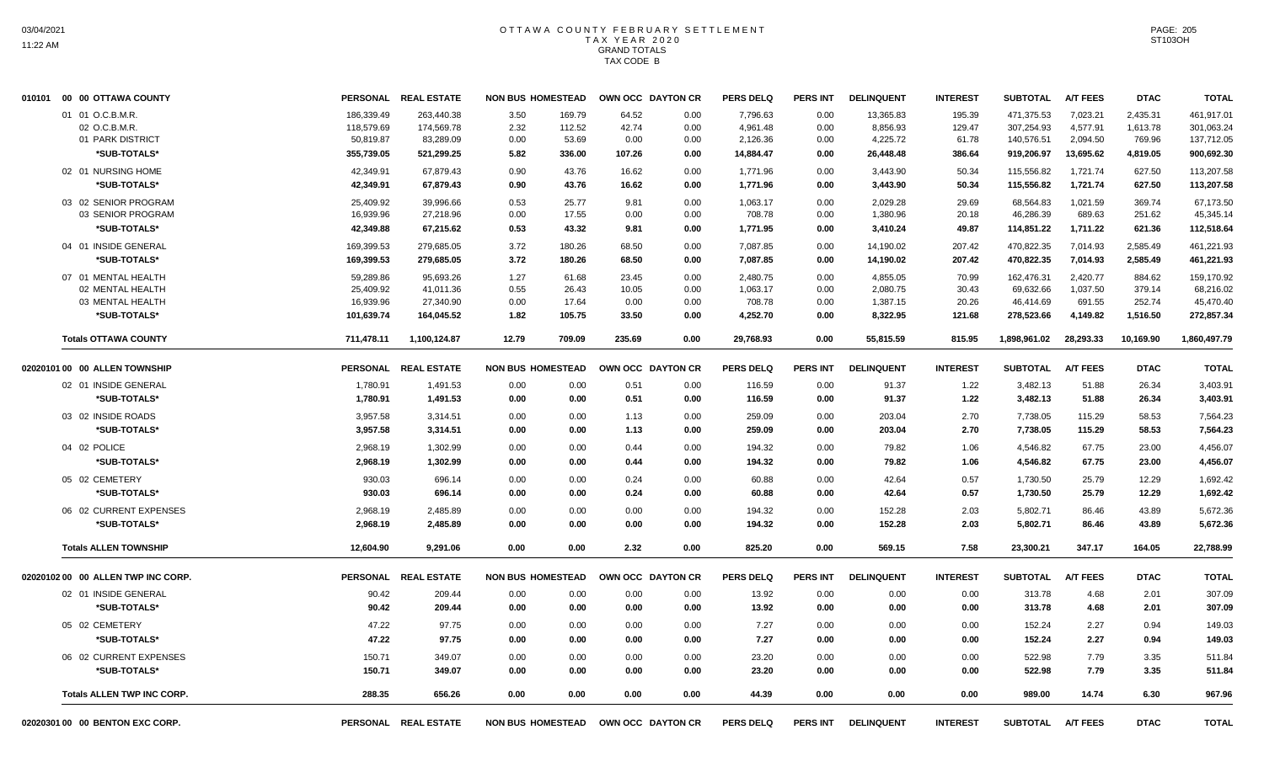| 010101 00 00 OTTAWA COUNTY         | <b>PERSONAL</b> | <b>REAL ESTATE</b>   | <b>NON BUS HOMESTEAD</b> | OWN OCC DAYTON CR |      | <b>PERS DELQ</b> | <b>PERS INT</b> | <b>DELINQUENT</b> | <b>INTEREST</b> | <b>SUBTOTAL</b> | <b>A/T FEES</b> | <b>DTAC</b> | <b>TOTAL</b> |
|------------------------------------|-----------------|----------------------|--------------------------|-------------------|------|------------------|-----------------|-------------------|-----------------|-----------------|-----------------|-------------|--------------|
| 01 01 O.C.B.M.R.                   | 186,339.49      | 263.440.38           | 3.50<br>169.79           | 64.52             | 0.00 | 7,796.63         | 0.00            | 13,365.83         | 195.39          | 471,375.53      | 7,023.21        | 2,435.31    | 461,917.01   |
| 02 O.C.B.M.R.                      | 118,579.69      | 174,569.78           | 2.32<br>112.52           | 42.74             | 0.00 | 4,961.48         | 0.00            | 8,856.93          | 129.47          | 307,254.93      | 4,577.91        | 1,613.78    | 301,063.24   |
| 01 PARK DISTRICT                   | 50,819.87       | 83,289.09            | 53.69<br>0.00            | 0.00              | 0.00 | 2,126.36         | 0.00            | 4,225.72          | 61.78           | 140,576.51      | 2,094.50        | 769.96      | 137,712.05   |
| *SUB-TOTALS*                       | 355,739.05      | 521,299.25           | 5.82<br>336.00           | 107.26            | 0.00 | 14,884.47        | 0.00            | 26,448.48         | 386.64          | 919,206.97      | 13,695.62       | 4,819.05    | 900,692.30   |
| 02 01 NURSING HOME                 | 42,349.91       | 67,879.43            | 0.90<br>43.76            | 16.62             | 0.00 | 1,771.96         | 0.00            | 3,443.90          | 50.34           | 115,556.82      | 1,721.74        | 627.50      | 113,207.58   |
| *SUB-TOTALS*                       | 42,349.91       | 67,879.43            | 0.90<br>43.76            | 16.62             | 0.00 | 1,771.96         | 0.00            | 3,443.90          | 50.34           | 115,556.82      | 1,721.74        | 627.50      | 113,207.58   |
| 03 02 SENIOR PROGRAM               | 25,409.92       | 39,996.66            | 0.53<br>25.77            | 9.81              | 0.00 | 1,063.17         | 0.00            | 2,029.28          | 29.69           | 68,564.83       | 1,021.59        | 369.74      | 67,173.50    |
| 03 SENIOR PROGRAM                  | 16,939.96       | 27,218.96            | 17.55<br>0.00            | 0.00              | 0.00 | 708.78           | 0.00            | 1,380.96          | 20.18           | 46,286.39       | 689.63          | 251.62      | 45,345.14    |
| *SUB-TOTALS*                       | 42,349.88       | 67,215.62            | 0.53<br>43.32            | 9.81              | 0.00 | 1,771.95         | 0.00            | 3,410.24          | 49.87           | 114,851.22      | 1,711.22        | 621.36      | 112,518.64   |
| 04 01 INSIDE GENERAL               | 169,399.53      | 279,685.05           | 3.72<br>180.26           | 68.50             | 0.00 | 7,087.85         | 0.00            | 14,190.02         | 207.42          | 470,822.35      | 7,014.93        | 2,585.49    | 461,221.93   |
| *SUB-TOTALS*                       | 169,399.53      | 279,685.05           | 3.72<br>180.26           | 68.50             | 0.00 | 7,087.85         | 0.00            | 14,190.02         | 207.42          | 470,822.35      | 7,014.93        | 2,585.49    | 461,221.93   |
| 07 01 MENTAL HEALTH                | 59,289.86       | 95,693.26            | 1.27<br>61.68            | 23.45             | 0.00 | 2,480.75         | 0.00            | 4,855.05          | 70.99           | 162,476.31      | 2,420.77        | 884.62      | 159,170.92   |
| 02 MENTAL HEALTH                   | 25,409.92       | 41,011.36            | 0.55<br>26.43            | 10.05             | 0.00 | 1,063.17         | 0.00            | 2,080.75          | 30.43           | 69,632.66       | 1,037.50        | 379.14      | 68,216.02    |
| 03 MENTAL HEALTH                   | 16,939.96       | 27,340.90            | 0.00<br>17.64            | 0.00              | 0.00 | 708.78           | 0.00            | 1,387.15          | 20.26           | 46,414.69       | 691.55          | 252.74      | 45,470.40    |
| *SUB-TOTALS*                       | 101,639.74      | 164,045.52           | 1.82<br>105.75           | 33.50             | 0.00 | 4,252.70         | 0.00            | 8,322.95          | 121.68          | 278,523.66      | 4,149.82        | 1,516.50    | 272,857.34   |
| <b>Totals OTTAWA COUNTY</b>        | 711,478.11      | 1,100,124.87         | 12.79<br>709.09          | 235.69            | 0.00 | 29,768.93        | 0.00            | 55,815.59         | 815.95          | 1,898,961.02    | 28,293.33       | 10,169.90   | 1,860,497.79 |
| 02020101 00 00 ALLEN TOWNSHIP      |                 | PERSONAL REAL ESTATE | <b>NON BUS HOMESTEAD</b> | OWN OCC DAYTON CR |      | <b>PERS DELQ</b> | <b>PERS INT</b> | <b>DELINQUENT</b> | <b>INTEREST</b> | <b>SUBTOTAL</b> | <b>A/T FEES</b> | <b>DTAC</b> | <b>TOTAL</b> |
| 02 01 INSIDE GENERAL               | 1,780.91        | 1,491.53             | 0.00<br>0.00             | 0.51              | 0.00 | 116.59           | 0.00            | 91.37             | 1.22            | 3,482.13        | 51.88           | 26.34       | 3,403.91     |
| *SUB-TOTALS*                       | 1,780.91        | 1,491.53             | 0.00<br>0.00             | 0.51              | 0.00 | 116.59           | 0.00            | 91.37             | 1.22            | 3,482.13        | 51.88           | 26.34       | 3,403.91     |
| 03 02 INSIDE ROADS                 | 3,957.58        | 3,314.51             | 0.00<br>0.00             | 1.13              | 0.00 | 259.09           | 0.00            | 203.04            | 2.70            | 7,738.05        | 115.29          | 58.53       | 7,564.23     |
| *SUB-TOTALS*                       | 3,957.58        | 3,314.51             | 0.00<br>0.00             | 1.13              | 0.00 | 259.09           | 0.00            | 203.04            | 2.70            | 7,738.05        | 115.29          | 58.53       | 7,564.23     |
| 04 02 POLICE                       | 2,968.19        | 1,302.99             | 0.00<br>0.00             | 0.44              | 0.00 | 194.32           | 0.00            | 79.82             | 1.06            | 4,546.82        | 67.75           | 23.00       | 4,456.07     |
| *SUB-TOTALS*                       | 2,968.19        | 1,302.99             | 0.00<br>0.00             | 0.44              | 0.00 | 194.32           | 0.00            | 79.82             | 1.06            | 4,546.82        | 67.75           | 23.00       | 4,456.07     |
| 05 02 CEMETERY                     | 930.03          | 696.14               | 0.00<br>0.00             | 0.24              | 0.00 | 60.88            | 0.00            | 42.64             | 0.57            | 1,730.50        | 25.79           | 12.29       | 1,692.42     |
| *SUB-TOTALS*                       | 930.03          | 696.14               | 0.00<br>0.00             | 0.24              | 0.00 | 60.88            | 0.00            | 42.64             | 0.57            | 1,730.50        | 25.79           | 12.29       | 1,692.42     |
| 06 02 CURRENT EXPENSES             | 2,968.19        | 2,485.89             | 0.00<br>0.00             | 0.00              | 0.00 | 194.32           | 0.00            | 152.28            | 2.03            | 5,802.71        | 86.46           | 43.89       | 5,672.36     |
| *SUB-TOTALS*                       | 2,968.19        | 2,485.89             | 0.00<br>0.00             | 0.00              | 0.00 | 194.32           | 0.00            | 152.28            | 2.03            | 5,802.71        | 86.46           | 43.89       | 5,672.36     |
| <b>Totals ALLEN TOWNSHIP</b>       | 12,604.90       | 9,291.06             | 0.00<br>0.00             | 2.32              | 0.00 | 825.20           | 0.00            | 569.15            | 7.58            | 23,300.21       | 347.17          | 164.05      | 22,788.99    |
| 02020102 00 00 ALLEN TWP INC CORP. | <b>PERSONAL</b> | <b>REAL ESTATE</b>   | <b>NON BUS HOMESTEAD</b> | OWN OCC DAYTON CR |      | <b>PERS DELQ</b> | <b>PERS INT</b> | <b>DELINQUENT</b> | <b>INTEREST</b> | <b>SUBTOTAL</b> | A/T FEES        | <b>DTAC</b> | <b>TOTAL</b> |
| 02 01 INSIDE GENERAL               | 90.42           | 209.44               | 0.00<br>0.00             | 0.00              | 0.00 | 13.92            | 0.00            | 0.00              | 0.00            | 313.78          | 4.68            | 2.01        | 307.09       |
| *SUB-TOTALS*                       | 90.42           | 209.44               | 0.00<br>0.00             | 0.00              | 0.00 | 13.92            | 0.00            | 0.00              | 0.00            | 313.78          | 4.68            | 2.01        | 307.09       |
| 05 02 CEMETERY                     | 47.22           | 97.75                | 0.00<br>0.00             | 0.00              | 0.00 | 7.27             | 0.00            | 0.00              | 0.00            | 152.24          | 2.27            | 0.94        | 149.03       |
| *SUB-TOTALS*                       | 47.22           | 97.75                | 0.00<br>0.00             | 0.00              | 0.00 | 7.27             | 0.00            | 0.00              | 0.00            | 152.24          | 2.27            | 0.94        | 149.03       |
| 06 02 CURRENT EXPENSES             | 150.71          | 349.07               | 0.00<br>0.00             | 0.00              | 0.00 | 23.20            | 0.00            | 0.00              | 0.00            | 522.98          | 7.79            | 3.35        | 511.84       |
| *SUB-TOTALS*                       | 150.71          | 349.07               | 0.00<br>0.00             | 0.00              | 0.00 | 23.20            | 0.00            | 0.00              | 0.00            | 522.98          | 7.79            | 3.35        | 511.84       |
| <b>Totals ALLEN TWP INC CORP.</b>  | 288.35          | 656.26               | 0.00<br>0.00             | 0.00              | 0.00 | 44.39            | 0.00            | 0.00              | 0.00            | 989.00          | 14.74           | 6.30        | 967.96       |
| 02020301 00 00 BENTON EXC CORP.    |                 | PERSONAL REAL ESTATE | <b>NON BUS HOMESTEAD</b> | OWN OCC DAYTON CR |      | <b>PERS DELQ</b> | <b>PERS INT</b> | <b>DELINQUENT</b> | <b>INTEREST</b> | <b>SUBTOTAL</b> | <b>A/T FEES</b> | <b>DTAC</b> | <b>TOTAL</b> |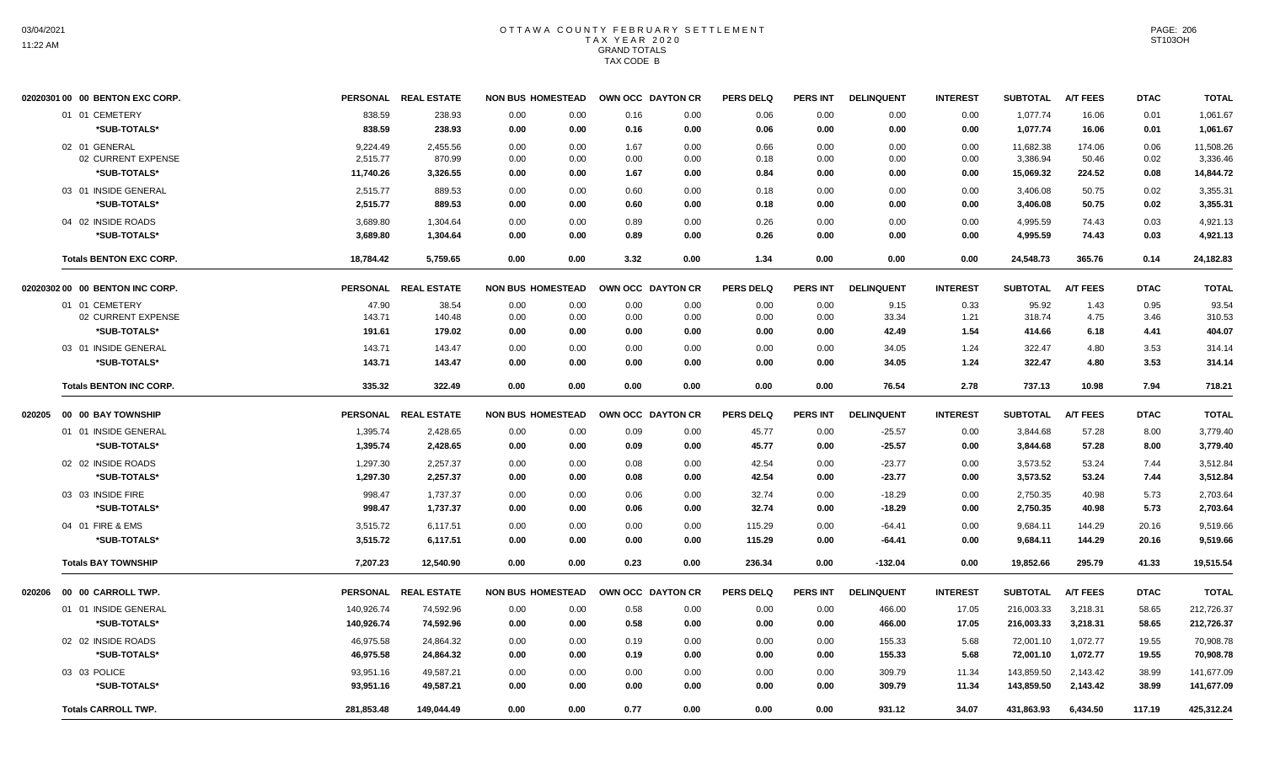|        | 02020301 00 00 BENTON EXC CORP. |            | PERSONAL REAL ESTATE | <b>NON BUS HOMESTEAD</b> |      | OWN OCC DAYTON CR | <b>PERS DELQ</b> | <b>PERS INT</b> | <b>DELINQUENT</b> | <b>INTEREST</b> | <b>SUBTOTAL</b> | <b>A/T FEES</b> | <b>DTAC</b> | <b>TOTAL</b> |
|--------|---------------------------------|------------|----------------------|--------------------------|------|-------------------|------------------|-----------------|-------------------|-----------------|-----------------|-----------------|-------------|--------------|
|        | 01 01 CEMETERY                  | 838.59     | 238.93               | 0.00<br>0.00             | 0.16 | 0.00              | 0.06             | 0.00            | 0.00              | 0.00            | 1,077.74        | 16.06           | 0.01        | 1,061.67     |
|        | *SUB-TOTALS*                    | 838.59     | 238.93               | 0.00<br>0.00             | 0.16 | 0.00              | 0.06             | 0.00            | 0.00              | 0.00            | 1,077.74        | 16.06           | 0.01        | 1,061.67     |
|        | 02 01 GENERAL                   | 9,224.49   | 2,455.56             | 0.00<br>0.00             | 1.67 | 0.00              | 0.66             | 0.00            | 0.00              | 0.00            | 11,682.38       | 174.06          | 0.06        | 11,508.26    |
|        | 02 CURRENT EXPENSE              | 2,515.77   | 870.99               | 0.00<br>0.00             | 0.00 | 0.00              | 0.18             | 0.00            | 0.00              | 0.00            | 3,386.94        | 50.46           | 0.02        | 3,336.46     |
|        | *SUB-TOTALS*                    | 11,740.26  | 3,326.55             | 0.00<br>0.00             | 1.67 | 0.00              | 0.84             | 0.00            | 0.00              | 0.00            | 15,069.32       | 224.52          | 0.08        | 14,844.72    |
|        | 03 01 INSIDE GENERAL            | 2,515.77   | 889.53               | 0.00<br>0.00             | 0.60 | 0.00              | 0.18             | 0.00            | 0.00              | 0.00            | 3,406.08        | 50.75           | 0.02        | 3,355.31     |
|        | *SUB-TOTALS*                    | 2,515.77   | 889.53               | 0.00<br>0.00             | 0.60 | 0.00              | 0.18             | 0.00            | 0.00              | 0.00            | 3,406.08        | 50.75           | 0.02        | 3,355.31     |
|        | 04 02 INSIDE ROADS              | 3,689.80   | 1,304.64             | 0.00<br>0.00             | 0.89 | 0.00              | 0.26             | 0.00            | 0.00              | 0.00            | 4,995.59        | 74.43           | 0.03        | 4,921.13     |
|        | *SUB-TOTALS*                    | 3,689.80   | 1,304.64             | 0.00<br>0.00             | 0.89 | 0.00              | 0.26             | 0.00            | 0.00              | 0.00            | 4,995.59        | 74.43           | 0.03        | 4,921.13     |
|        | <b>Totals BENTON EXC CORP.</b>  | 18,784.42  | 5,759.65             | 0.00<br>0.00             | 3.32 | 0.00              | 1.34             | 0.00            | 0.00              | 0.00            | 24,548.73       | 365.76          | 0.14        | 24,182.83    |
|        | 02020302 00 00 BENTON INC CORP. |            | PERSONAL REAL ESTATE | <b>NON BUS HOMESTEAD</b> |      | OWN OCC DAYTON CR | <b>PERS DELQ</b> | <b>PERS INT</b> | <b>DELINQUENT</b> | <b>INTEREST</b> | <b>SUBTOTAL</b> | <b>A/T FEES</b> | <b>DTAC</b> | <b>TOTAL</b> |
|        | 01 01 CEMETERY                  | 47.90      | 38.54                | 0.00<br>0.00             | 0.00 | 0.00              | 0.00             | 0.00            | 9.15              | 0.33            | 95.92           | 1.43            | 0.95        | 93.54        |
|        | 02 CURRENT EXPENSE              | 143.71     | 140.48               | 0.00<br>0.00             | 0.00 | 0.00              | 0.00             | 0.00            | 33.34             | 1.21            | 318.74          | 4.75            | 3.46        | 310.53       |
|        | *SUB-TOTALS*                    | 191.61     | 179.02               | 0.00<br>0.00             | 0.00 | 0.00              | 0.00             | 0.00            | 42.49             | 1.54            | 414.66          | 6.18            | 4.41        | 404.07       |
|        | 03 01 INSIDE GENERAL            | 143.71     | 143.47               | 0.00<br>0.00             | 0.00 | 0.00              | 0.00             | 0.00            | 34.05             | 1.24            | 322.47          | 4.80            | 3.53        | 314.14       |
|        | *SUB-TOTALS*                    | 143.71     | 143.47               | 0.00<br>0.00             | 0.00 | 0.00              | 0.00             | 0.00            | 34.05             | 1.24            | 322.47          | 4.80            | 3.53        | 314.14       |
|        | <b>Totals BENTON INC CORP.</b>  | 335.32     | 322.49               | 0.00<br>0.00             | 0.00 | 0.00              | 0.00             | 0.00            | 76.54             | 2.78            | 737.13          | 10.98           | 7.94        | 718.21       |
| 020205 | 00 00 BAY TOWNSHIP              |            | PERSONAL REAL ESTATE | <b>NON BUS HOMESTEAD</b> |      | OWN OCC DAYTON CR | <b>PERS DELQ</b> | <b>PERS INT</b> | <b>DELINQUENT</b> | <b>INTEREST</b> | <b>SUBTOTAL</b> | <b>A/T FEES</b> | <b>DTAC</b> | <b>TOTAL</b> |
|        | 01 01 INSIDE GENERAL            | 1,395.74   | 2,428.65             | 0.00<br>0.00             | 0.09 | 0.00              | 45.77            | 0.00            | $-25.57$          | 0.00            | 3,844.68        | 57.28           | 8.00        | 3,779.40     |
|        | *SUB-TOTALS*                    | 1,395.74   | 2,428.65             | 0.00<br>0.00             | 0.09 | 0.00              | 45.77            | 0.00            | $-25.57$          | 0.00            | 3,844.68        | 57.28           | 8.00        | 3,779.40     |
|        | 02 02 INSIDE ROADS              | 1,297.30   | 2,257.37             | 0.00<br>0.00             | 0.08 | 0.00              | 42.54            | 0.00            | $-23.77$          | 0.00            | 3,573.52        | 53.24           | 7.44        | 3,512.84     |
|        | *SUB-TOTALS*                    | 1,297.30   | 2,257.37             | 0.00<br>0.00             | 0.08 | 0.00              | 42.54            | 0.00            | $-23.77$          | 0.00            | 3,573.52        | 53.24           | 7.44        | 3,512.84     |
|        | 03 03 INSIDE FIRE               | 998.47     | 1,737.37             | 0.00<br>0.00             | 0.06 | 0.00              | 32.74            | 0.00            | $-18.29$          | 0.00            | 2,750.35        | 40.98           | 5.73        | 2,703.64     |
|        | *SUB-TOTALS*                    | 998.47     | 1,737.37             | 0.00<br>0.00             | 0.06 | 0.00              | 32.74            | 0.00            | $-18.29$          | 0.00            | 2,750.35        | 40.98           | 5.73        | 2,703.64     |
|        | 04 01 FIRE & EMS                | 3,515.72   | 6,117.51             | 0.00<br>0.00             | 0.00 | 0.00              | 115.29           | 0.00            | -64.41            | 0.00            | 9.684.11        | 144.29          | 20.16       | 9,519.66     |
|        | *SUB-TOTALS*                    | 3,515.72   | 6,117.51             | 0.00<br>0.00             | 0.00 | 0.00              | 115.29           | 0.00            | $-64.41$          | 0.00            | 9,684.11        | 144.29          | 20.16       | 9,519.66     |
|        | <b>Totals BAY TOWNSHIP</b>      | 7,207.23   | 12,540.90            | 0.00<br>0.00             | 0.23 | 0.00              | 236.34           | 0.00            | $-132.04$         | 0.00            | 19,852.66       | 295.79          | 41.33       | 19,515.54    |
| 020206 | 00 00 CARROLL TWP.              |            | PERSONAL REAL ESTATE | <b>NON BUS HOMESTEAD</b> |      | OWN OCC DAYTON CR | <b>PERS DELQ</b> | <b>PERS INT</b> | <b>DELINQUENT</b> | <b>INTEREST</b> | <b>SUBTOTAL</b> | <b>A/T FEES</b> | <b>DTAC</b> | <b>TOTAL</b> |
|        | 01 01 INSIDE GENERAL            | 140,926.74 | 74,592.96            | 0.00<br>0.00             | 0.58 | 0.00              | 0.00             | 0.00            | 466.00            | 17.05           | 216,003.33      | 3,218.31        | 58.65       | 212,726.37   |
|        | *SUB-TOTALS*                    | 140,926.74 | 74,592.96            | 0.00<br>0.00             | 0.58 | 0.00              | 0.00             | 0.00            | 466.00            | 17.05           | 216,003.33      | 3,218.31        | 58.65       | 212,726.37   |
|        | 02 02 INSIDE ROADS              | 46,975.58  | 24,864.32            | 0.00<br>0.00             | 0.19 | 0.00              | 0.00             | 0.00            | 155.33            | 5.68            | 72,001.10       | 1,072.77        | 19.55       | 70,908.78    |
|        | *SUB-TOTALS*                    | 46,975.58  | 24,864.32            | 0.00<br>0.00             | 0.19 | 0.00              | 0.00             | 0.00            | 155.33            | 5.68            | 72,001.10       | 1,072.77        | 19.55       | 70,908.78    |
|        | 03 03 POLICE                    | 93,951.16  | 49,587.21            | 0.00<br>0.00             | 0.00 | 0.00              | 0.00             | 0.00            | 309.79            | 11.34           | 143,859.50      | 2,143.42        | 38.99       | 141,677.09   |
|        | *SUB-TOTALS*                    | 93,951.16  | 49,587.21            | 0.00<br>0.00             | 0.00 | 0.00              | 0.00             | 0.00            | 309.79            | 11.34           | 143,859.50      | 2,143.42        | 38.99       | 141,677.09   |
|        | <b>Totals CARROLL TWP.</b>      | 281,853.48 | 149,044.49           | 0.00<br>0.00             | 0.77 | 0.00              | 0.00             | 0.00            | 931.12            | 34.07           | 431,863.93      | 6,434.50        | 117.19      | 425,312.24   |
|        |                                 |            |                      |                          |      |                   |                  |                 |                   |                 |                 |                 |             |              |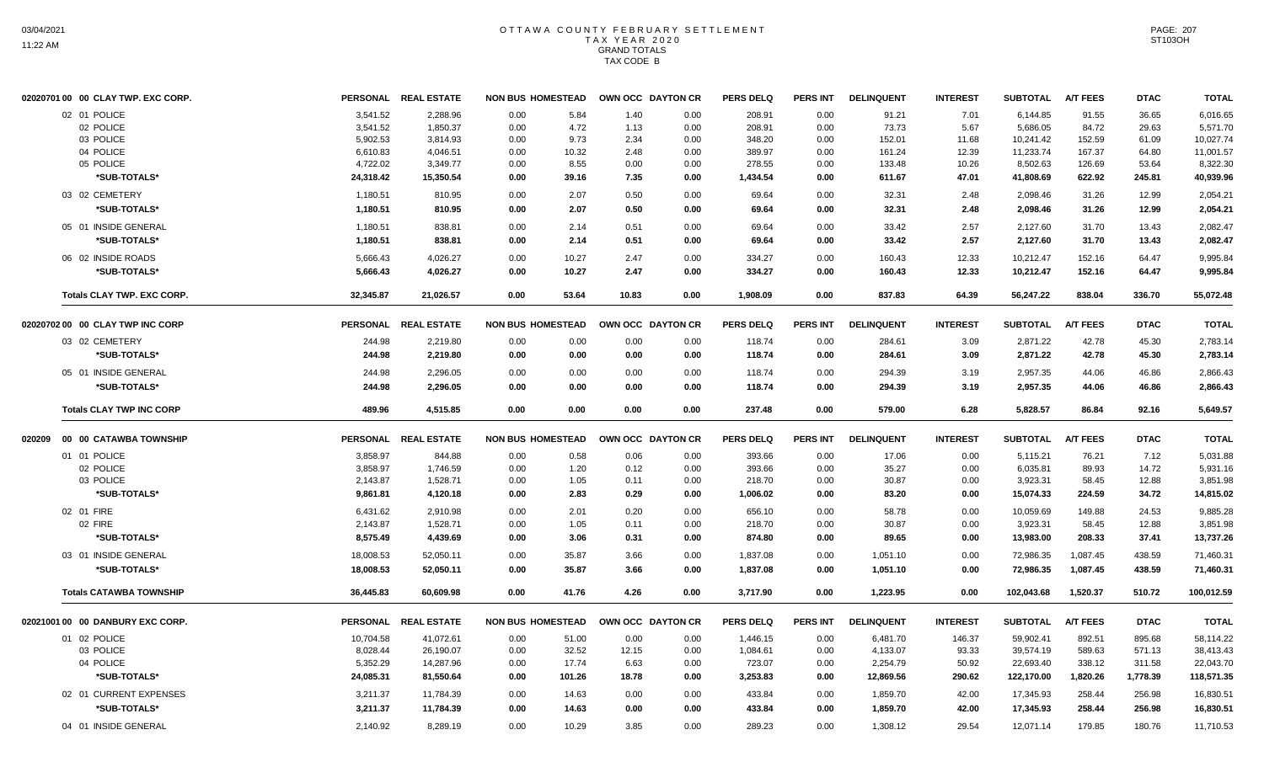| 02020701 00 00 CLAY TWP. EXC CORP. |           | PERSONAL REAL ESTATE | <b>NON BUS HOMESTEAD</b> |        | OWN OCC DAYTON CR |      | <b>PERS DELQ</b> | <b>PERS INT</b> | <b>DELINQUENT</b> | <b>INTEREST</b> | <b>SUBTOTAL</b> | <b>A/T FEES</b> | <b>DTAC</b> | <b>TOTAL</b> |
|------------------------------------|-----------|----------------------|--------------------------|--------|-------------------|------|------------------|-----------------|-------------------|-----------------|-----------------|-----------------|-------------|--------------|
| 02 01 POLICE                       | 3.541.52  | 2,288.96             | 0.00                     | 5.84   | 1.40              | 0.00 | 208.91           | 0.00            | 91.21             | 7.01            | 6.144.85        | 91.55           | 36.65       | 6,016.65     |
| 02 POLICE                          | 3,541.52  | 1,850.37             | 0.00                     | 4.72   | 1.13              | 0.00 | 208.91           | 0.00            | 73.73             | 5.67            | 5,686.05        | 84.72           | 29.63       | 5,571.70     |
| 03 POLICE                          | 5,902.53  | 3,814.93             | 0.00                     | 9.73   | 2.34              | 0.00 | 348.20           | 0.00            | 152.01            | 11.68           | 10,241.42       | 152.59          | 61.09       | 10,027.74    |
| 04 POLICE                          | 6,610.83  | 4,046.51             | 0.00                     | 10.32  | 2.48              | 0.00 | 389.97           | 0.00            | 161.24            | 12.39           | 11,233.74       | 167.37          | 64.80       | 11,001.57    |
| 05 POLICE                          | 4,722.02  | 3,349.77             | 0.00                     | 8.55   | 0.00              | 0.00 | 278.55           | 0.00            | 133.48            | 10.26           | 8,502.63        | 126.69          | 53.64       | 8,322.30     |
| *SUB-TOTALS*                       | 24,318.42 | 15,350.54            | 0.00                     | 39.16  | 7.35              | 0.00 | 1,434.54         | 0.00            | 611.67            | 47.01           | 41,808.69       | 622.92          | 245.81      | 40,939.96    |
| 03 02 CEMETERY                     | 1,180.51  | 810.95               | 0.00                     | 2.07   | 0.50              | 0.00 | 69.64            | 0.00            | 32.31             | 2.48            | 2,098.46        | 31.26           | 12.99       | 2,054.21     |
| *SUB-TOTALS*                       | 1,180.51  | 810.95               | 0.00                     | 2.07   | 0.50              | 0.00 | 69.64            | 0.00            | 32.31             | 2.48            | 2,098.46        | 31.26           | 12.99       | 2,054.21     |
| 05 01 INSIDE GENERAL               | 1,180.51  | 838.81               | 0.00                     | 2.14   | 0.51              | 0.00 | 69.64            | 0.00            | 33.42             | 2.57            | 2,127.60        | 31.70           | 13.43       | 2,082.47     |
| *SUB-TOTALS*                       | 1,180.51  | 838.81               | 0.00                     | 2.14   | 0.51              | 0.00 | 69.64            | 0.00            | 33.42             | 2.57            | 2,127.60        | 31.70           | 13.43       | 2,082.47     |
| 06 02 INSIDE ROADS                 | 5,666.43  | 4,026.27             | 0.00                     | 10.27  | 2.47              | 0.00 | 334.27           | 0.00            | 160.43            | 12.33           | 10,212.47       | 152.16          | 64.47       | 9,995.84     |
| *SUB-TOTALS*                       | 5,666.43  | 4.026.27             | 0.00                     | 10.27  | 2.47              | 0.00 | 334.27           | 0.00            | 160.43            | 12.33           | 10,212.47       | 152.16          | 64.47       | 9.995.84     |
| <b>Totals CLAY TWP, EXC CORP.</b>  | 32.345.87 | 21.026.57            | 0.00                     | 53.64  | 10.83             | 0.00 | 1,908.09         | 0.00            | 837.83            | 64.39           | 56.247.22       | 838.04          | 336.70      | 55,072.48    |
| 02020702 00 00 CLAY TWP INC CORP   |           | PERSONAL REAL ESTATE | <b>NON BUS HOMESTEAD</b> |        | OWN OCC DAYTON CR |      | <b>PERS DELQ</b> | <b>PERS INT</b> | <b>DELINQUENT</b> | <b>INTEREST</b> | <b>SUBTOTAL</b> | <b>A/T FEES</b> | <b>DTAC</b> | <b>TOTAL</b> |
| 03 02 CEMETERY                     | 244.98    | 2,219.80             | 0.00                     | 0.00   | 0.00              | 0.00 | 118.74           | 0.00            | 284.61            | 3.09            | 2,871.22        | 42.78           | 45.30       | 2,783.14     |
| *SUB-TOTALS*                       | 244.98    | 2,219.80             | 0.00                     | 0.00   | 0.00              | 0.00 | 118.74           | 0.00            | 284.61            | 3.09            | 2,871.22        | 42.78           | 45.30       | 2,783.14     |
| 05 01 INSIDE GENERAL               | 244.98    | 2,296.05             | 0.00                     | 0.00   | 0.00              | 0.00 | 118.74           | 0.00            | 294.39            | 3.19            | 2,957.35        | 44.06           | 46.86       | 2,866.43     |
| *SUB-TOTALS*                       | 244.98    | 2,296.05             | 0.00                     | 0.00   | 0.00              | 0.00 | 118.74           | 0.00            | 294.39            | 3.19            | 2,957.35        | 44.06           | 46.86       | 2,866.43     |
| <b>Totals CLAY TWP INC CORP</b>    | 489.96    | 4,515.85             | 0.00                     | 0.00   | 0.00              | 0.00 | 237.48           | 0.00            | 579.00            | 6.28            | 5,828.57        | 86.84           | 92.16       | 5,649.57     |
| 020209 00 00 CATAWBA TOWNSHIP      |           | PERSONAL REAL ESTATE | <b>NON BUS HOMESTEAD</b> |        | OWN OCC DAYTON CR |      | <b>PERS DELQ</b> | PERS INT        | <b>DELINQUENT</b> | <b>INTEREST</b> | <b>SUBTOTAL</b> | <b>A/T FEES</b> | <b>DTAC</b> | <b>TOTAL</b> |
| 01 01 POLICE                       | 3,858.97  | 844.88               | 0.00                     | 0.58   | 0.06              | 0.00 | 393.66           | 0.00            | 17.06             | 0.00            | 5,115.21        | 76.21           | 7.12        | 5,031.88     |
| 02 POLICE                          | 3,858.97  | 1,746.59             | 0.00                     | 1.20   | 0.12              | 0.00 | 393.66           | 0.00            | 35.27             | 0.00            | 6,035.81        | 89.93           | 14.72       | 5,931.16     |
| 03 POLICE                          | 2,143.87  | 1,528.71             | 0.00                     | 1.05   | 0.11              | 0.00 | 218.70           | 0.00            | 30.87             | 0.00            | 3,923.31        | 58.45           | 12.88       | 3,851.98     |
| *SUB-TOTALS*                       | 9,861.81  | 4,120.18             | 0.00                     | 2.83   | 0.29              | 0.00 | 1,006.02         | 0.00            | 83.20             | 0.00            | 15,074.33       | 224.59          | 34.72       | 14,815.02    |
| 02 01 FIRE                         | 6,431.62  | 2.910.98             | 0.00                     | 2.01   | 0.20              | 0.00 | 656.10           | 0.00            | 58.78             | 0.00            | 10,059.69       | 149.88          | 24.53       | 9.885.28     |
| 02 FIRE                            | 2,143.87  | 1,528.71             | 0.00                     | 1.05   | 0.11              | 0.00 | 218.70           | 0.00            | 30.87             | 0.00            | 3,923.31        | 58.45           | 12.88       | 3,851.98     |
| *SUB-TOTALS*                       | 8,575.49  | 4,439.69             | 0.00                     | 3.06   | 0.31              | 0.00 | 874.80           | 0.00            | 89.65             | 0.00            | 13,983.00       | 208.33          | 37.41       | 13,737.26    |
| 03 01 INSIDE GENERAL               | 18,008.53 | 52,050.11            | 0.00                     | 35.87  | 3.66              | 0.00 | 1,837.08         | 0.00            | 1,051.10          | 0.00            | 72,986.35       | 1,087.45        | 438.59      | 71,460.31    |
| *SUB-TOTALS*                       | 18,008.53 | 52,050.11            | 0.00                     | 35.87  | 3.66              | 0.00 | 1,837.08         | 0.00            | 1,051.10          | 0.00            | 72,986.35       | 1,087.45        | 438.59      | 71,460.31    |
| <b>Totals CATAWBA TOWNSHIP</b>     | 36,445.83 | 60,609.98            | 0.00                     | 41.76  | 4.26              | 0.00 | 3,717.90         | 0.00            | 1,223.95          | 0.00            | 102,043.68      | 1,520.37        | 510.72      | 100,012.59   |
| 02021001 00 00 DANBURY EXC CORP.   |           | PERSONAL REAL ESTATE | <b>NON BUS HOMESTEAD</b> |        | OWN OCC DAYTON CR |      | <b>PERS DELQ</b> | <b>PERS INT</b> | <b>DELINQUENT</b> | <b>INTEREST</b> | <b>SUBTOTAL</b> | <b>A/T FEES</b> | <b>DTAC</b> | <b>TOTAL</b> |
| 01 02 POLICE                       | 10,704.58 | 41,072.61            | 0.00                     | 51.00  | 0.00              | 0.00 | 1,446.15         | 0.00            | 6,481.70          | 146.37          | 59,902.41       | 892.51          | 895.68      | 58,114.22    |
| 03 POLICE                          | 8,028.44  | 26,190.07            | 0.00                     | 32.52  | 12.15             | 0.00 | 1,084.61         | 0.00            | 4,133.07          | 93.33           | 39,574.19       | 589.63          | 571.13      | 38,413.43    |
| 04 POLICE                          | 5,352.29  | 14,287.96            | 0.00                     | 17.74  | 6.63              | 0.00 | 723.07           | 0.00            | 2,254.79          | 50.92           | 22,693.40       | 338.12          | 311.58      | 22,043.70    |
| *SUB-TOTALS*                       | 24,085.31 | 81,550.64            | 0.00                     | 101.26 | 18.78             | 0.00 | 3,253.83         | 0.00            | 12,869.56         | 290.62          | 122,170.00      | 1,820.26        | 1,778.39    | 118,571.35   |
| 02 01 CURRENT EXPENSES             | 3,211.37  | 11,784.39            | 0.00                     | 14.63  | 0.00              | 0.00 | 433.84           | 0.00            | 1,859.70          | 42.00           | 17,345.93       | 258.44          | 256.98      | 16,830.51    |
| *SUB-TOTALS*                       | 3,211.37  | 11,784.39            | 0.00                     | 14.63  | 0.00              | 0.00 | 433.84           | 0.00            | 1,859.70          | 42.00           | 17,345.93       | 258.44          | 256.98      | 16,830.51    |
| 04 01 INSIDE GENERAL               | 2,140.92  | 8,289.19             | 0.00                     | 10.29  | 3.85              | 0.00 | 289.23           | 0.00            | 1,308.12          | 29.54           | 12,071.14       | 179.85          | 180.76      | 11,710.53    |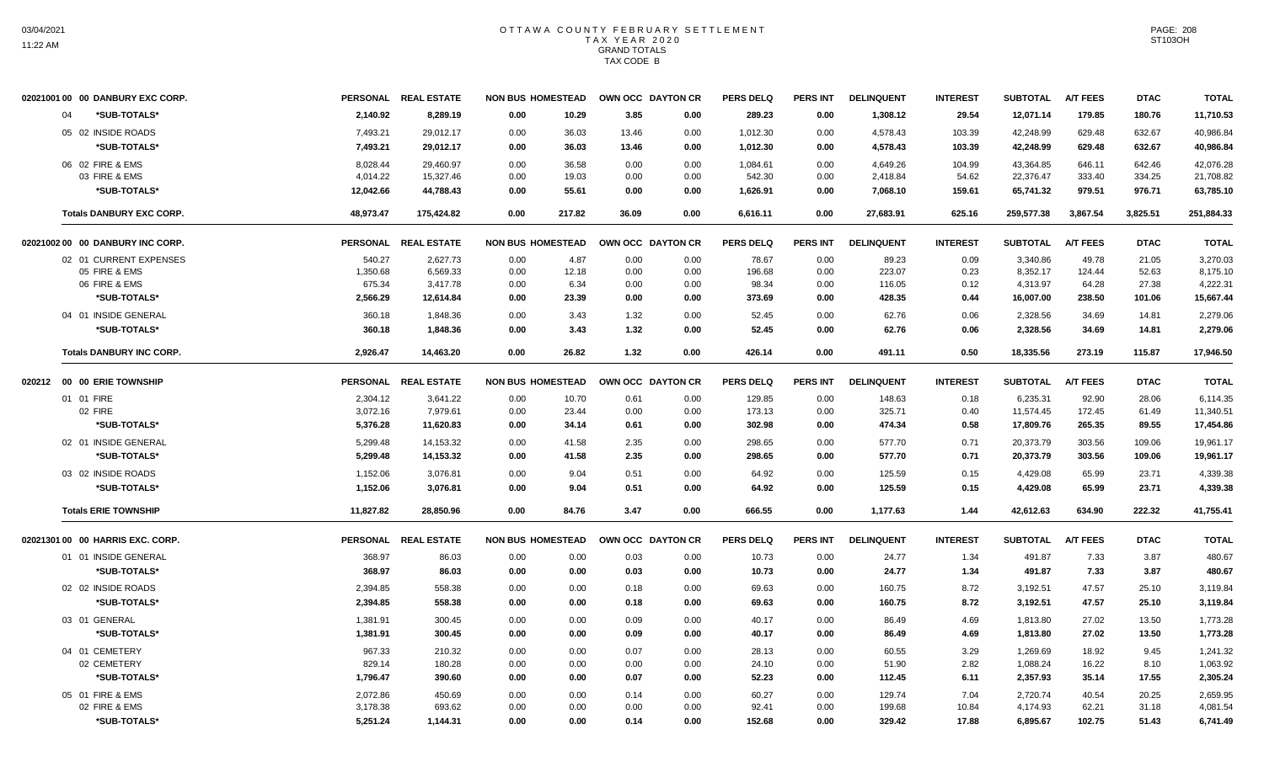|        | 02021001 00 00 DANBURY EXC CORP. |           | PERSONAL REAL ESTATE | <b>NON BUS HOMESTEAD</b> |        |       | OWN OCC DAYTON CR | <b>PERS DELQ</b> | <b>PERS INT</b> | <b>DELINQUENT</b> | <b>INTEREST</b> | <b>SUBTOTAL</b> | <b>A/T FEES</b> | <b>DTAC</b> | <b>TOTAL</b> |
|--------|----------------------------------|-----------|----------------------|--------------------------|--------|-------|-------------------|------------------|-----------------|-------------------|-----------------|-----------------|-----------------|-------------|--------------|
|        | *SUB-TOTALS*<br>04               | 2.140.92  | 8,289.19             | 0.00                     | 10.29  | 3.85  | 0.00              | 289.23           | 0.00            | 1,308.12          | 29.54           | 12,071.14       | 179.85          | 180.76      | 11,710.53    |
|        | 05 02 INSIDE ROADS               | 7,493.21  | 29,012.17            | 0.00                     | 36.03  | 13.46 | 0.00              | 1,012.30         | 0.00            | 4,578.43          | 103.39          | 42,248.99       | 629.48          | 632.67      | 40,986.84    |
|        | *SUB-TOTALS*                     | 7,493.21  | 29,012.17            | 0.00                     | 36.03  | 13.46 | 0.00              | 1,012.30         | 0.00            | 4,578.43          | 103.39          | 42,248.99       | 629.48          | 632.67      | 40,986.84    |
|        | 06 02 FIRE & EMS                 | 8,028.44  | 29,460.97            | 0.00                     | 36.58  | 0.00  | 0.00              | 1,084.61         | 0.00            | 4,649.26          | 104.99          | 43,364.85       | 646.11          | 642.46      | 42,076.28    |
|        | 03 FIRE & EMS                    | 4,014.22  | 15,327.46            | 0.00                     | 19.03  | 0.00  | 0.00              | 542.30           | 0.00            | 2,418.84          | 54.62           | 22,376.47       | 333.40          | 334.25      | 21,708.82    |
|        | *SUB-TOTALS*                     | 12,042.66 | 44,788.43            | 0.00                     | 55.61  | 0.00  | 0.00              | 1,626.91         | 0.00            | 7,068.10          | 159.61          | 65,741.32       | 979.51          | 976.71      | 63,785.10    |
|        | <b>Totals DANBURY EXC CORP.</b>  | 48,973.47 | 175,424.82           | 0.00                     | 217.82 | 36.09 | 0.00              | 6,616.11         | 0.00            | 27,683.91         | 625.16          | 259,577.38      | 3,867.54        | 3,825.51    | 251,884.33   |
|        | 02021002 00 00 DANBURY INC CORP. |           | PERSONAL REAL ESTATE | <b>NON BUS HOMESTEAD</b> |        |       | OWN OCC DAYTON CR | <b>PERS DELQ</b> | <b>PERS INT</b> | <b>DELINQUENT</b> | <b>INTEREST</b> | <b>SUBTOTAL</b> | <b>A/T FEES</b> | <b>DTAC</b> | <b>TOTAL</b> |
|        | 02 01 CURRENT EXPENSES           | 540.27    | 2,627.73             | 0.00                     | 4.87   | 0.00  | 0.00              | 78.67            | 0.00            | 89.23             | 0.09            | 3,340.86        | 49.78           | 21.05       | 3,270.03     |
|        | 05 FIRE & EMS                    | 1,350.68  | 6,569.33             | 0.00                     | 12.18  | 0.00  | 0.00              | 196.68           | 0.00            | 223.07            | 0.23            | 8,352.17        | 124.44          | 52.63       | 8,175.10     |
|        | 06 FIRE & EMS                    | 675.34    | 3,417.78             | 0.00                     | 6.34   | 0.00  | 0.00              | 98.34            | 0.00            | 116.05            | 0.12            | 4,313.97        | 64.28           | 27.38       | 4,222.31     |
|        | *SUB-TOTALS*                     | 2,566.29  | 12,614.84            | 0.00                     | 23.39  | 0.00  | 0.00              | 373.69           | 0.00            | 428.35            | 0.44            | 16,007.00       | 238.50          | 101.06      | 15,667.44    |
|        | 04 01 INSIDE GENERAL             | 360.18    | 1,848.36             | 0.00                     | 3.43   | 1.32  | 0.00              | 52.45            | 0.00            | 62.76             | 0.06            | 2,328.56        | 34.69           | 14.81       | 2,279.06     |
|        | *SUB-TOTALS*                     | 360.18    | 1,848.36             | 0.00                     | 3.43   | 1.32  | 0.00              | 52.45            | 0.00            | 62.76             | 0.06            | 2,328.56        | 34.69           | 14.81       | 2,279.06     |
|        | <b>Totals DANBURY INC CORP.</b>  | 2,926.47  | 14,463.20            | 0.00                     | 26.82  | 1.32  | 0.00              | 426.14           | 0.00            | 491.11            | 0.50            | 18,335.56       | 273.19          | 115.87      | 17,946.50    |
| 020212 | 00 00 ERIE TOWNSHIP              |           | PERSONAL REAL ESTATE | <b>NON BUS HOMESTEAD</b> |        |       | OWN OCC DAYTON CR | <b>PERS DELQ</b> | <b>PERS INT</b> | <b>DELINQUENT</b> | <b>INTEREST</b> | <b>SUBTOTAL</b> | <b>A/T FEES</b> | <b>DTAC</b> | <b>TOTAL</b> |
|        | 01 01 FIRE                       | 2,304.12  | 3,641.22             | 0.00                     | 10.70  | 0.61  | 0.00              | 129.85           | 0.00            | 148.63            | 0.18            | 6,235.31        | 92.90           | 28.06       | 6,114.35     |
|        | 02 FIRE                          | 3,072.16  | 7,979.61             | 0.00                     | 23.44  | 0.00  | 0.00              | 173.13           | 0.00            | 325.71            | 0.40            | 11,574.45       | 172.45          | 61.49       | 11,340.51    |
|        | *SUB-TOTALS*                     | 5,376.28  | 11,620.83            | 0.00                     | 34.14  | 0.61  | 0.00              | 302.98           | 0.00            | 474.34            | 0.58            | 17,809.76       | 265.35          | 89.55       | 17,454.86    |
|        | 02 01 INSIDE GENERAL             | 5,299.48  | 14,153.32            | 0.00                     | 41.58  | 2.35  | 0.00              | 298.65           | 0.00            | 577.70            | 0.71            | 20,373.79       | 303.56          | 109.06      | 19,961.17    |
|        | *SUB-TOTALS*                     | 5,299.48  | 14,153.32            | 0.00                     | 41.58  | 2.35  | 0.00              | 298.65           | 0.00            | 577.70            | 0.71            | 20,373.79       | 303.56          | 109.06      | 19,961.17    |
|        | 03 02 INSIDE ROADS               | 1,152.06  | 3,076.81             | 0.00                     | 9.04   | 0.51  | 0.00              | 64.92            | 0.00            | 125.59            | 0.15            | 4,429.08        | 65.99           | 23.71       | 4,339.38     |
|        | *SUB-TOTALS*                     | 1,152.06  | 3,076.81             | 0.00                     | 9.04   | 0.51  | 0.00              | 64.92            | 0.00            | 125.59            | 0.15            | 4,429.08        | 65.99           | 23.71       | 4,339.38     |
|        | <b>Totals ERIE TOWNSHIP</b>      | 11,827.82 | 28,850.96            | 0.00                     | 84.76  | 3.47  | 0.00              | 666.55           | 0.00            | 1,177.63          | 1.44            | 42,612.63       | 634.90          | 222.32      | 41,755.41    |
|        | 02021301 00 00 HARRIS EXC. CORP. |           | PERSONAL REAL ESTATE | <b>NON BUS HOMESTEAD</b> |        |       | OWN OCC DAYTON CR | <b>PERS DELQ</b> | <b>PERS INT</b> | <b>DELINQUENT</b> | <b>INTEREST</b> | <b>SUBTOTAL</b> | A/T FEES        | <b>DTAC</b> | <b>TOTAL</b> |
|        | 01 01 INSIDE GENERAL             | 368.97    | 86.03                | 0.00                     | 0.00   | 0.03  | 0.00              | 10.73            | 0.00            | 24.77             | 1.34            | 491.87          | 7.33            | 3.87        | 480.67       |
|        | *SUB-TOTALS*                     | 368.97    | 86.03                | 0.00                     | 0.00   | 0.03  | 0.00              | 10.73            | 0.00            | 24.77             | 1.34            | 491.87          | 7.33            | 3.87        | 480.67       |
|        | 02 02 INSIDE ROADS               | 2,394.85  | 558.38               | 0.00                     | 0.00   | 0.18  | 0.00              | 69.63            | 0.00            | 160.75            | 8.72            | 3,192.51        | 47.57           | 25.10       | 3,119.84     |
|        | *SUB-TOTALS*                     | 2.394.85  | 558.38               | 0.00                     | 0.00   | 0.18  | 0.00              | 69.63            | 0.00            | 160.75            | 8.72            | 3,192.51        | 47.57           | 25.10       | 3,119.84     |
|        | 03 01 GENERAL                    | 1,381.91  | 300.45               | 0.00                     | 0.00   | 0.09  | 0.00              | 40.17            | 0.00            | 86.49             | 4.69            | 1,813.80        | 27.02           | 13.50       | 1,773.28     |
|        | *SUB-TOTALS*                     | 1,381.91  | 300.45               | 0.00                     | 0.00   | 0.09  | 0.00              | 40.17            | 0.00            | 86.49             | 4.69            | 1,813.80        | 27.02           | 13.50       | 1,773.28     |
|        | 04 01 CEMETERY                   | 967.33    | 210.32               | 0.00                     | 0.00   | 0.07  | 0.00              | 28.13            | 0.00            | 60.55             | 3.29            | 1,269.69        | 18.92           | 9.45        | 1,241.32     |
|        | 02 CEMETERY                      | 829.14    | 180.28               | 0.00                     | 0.00   | 0.00  | 0.00              | 24.10            | 0.00            | 51.90             | 2.82            | 1,088.24        | 16.22           | 8.10        | 1,063.92     |
|        | *SUB-TOTALS*                     | 1,796.47  | 390.60               | 0.00                     | 0.00   | 0.07  | 0.00              | 52.23            | 0.00            | 112.45            | 6.11            | 2,357.93        | 35.14           | 17.55       | 2,305.24     |
|        | 05 01 FIRE & EMS                 | 2,072.86  | 450.69               | 0.00                     | 0.00   | 0.14  | 0.00              | 60.27            | 0.00            | 129.74            | 7.04            | 2,720.74        | 40.54           | 20.25       | 2,659.95     |
|        | 02 FIRE & EMS                    | 3,178.38  | 693.62               | 0.00                     | 0.00   | 0.00  | 0.00              | 92.41            | 0.00            | 199.68            | 10.84           | 4,174.93        | 62.21           | 31.18       | 4,081.54     |
|        | *SUB-TOTALS*                     | 5,251.24  | 1,144.31             | 0.00                     | 0.00   | 0.14  | 0.00              | 152.68           | 0.00            | 329.42            | 17.88           | 6,895.67        | 102.75          | 51.43       | 6,741.49     |
|        |                                  |           |                      |                          |        |       |                   |                  |                 |                   |                 |                 |                 |             |              |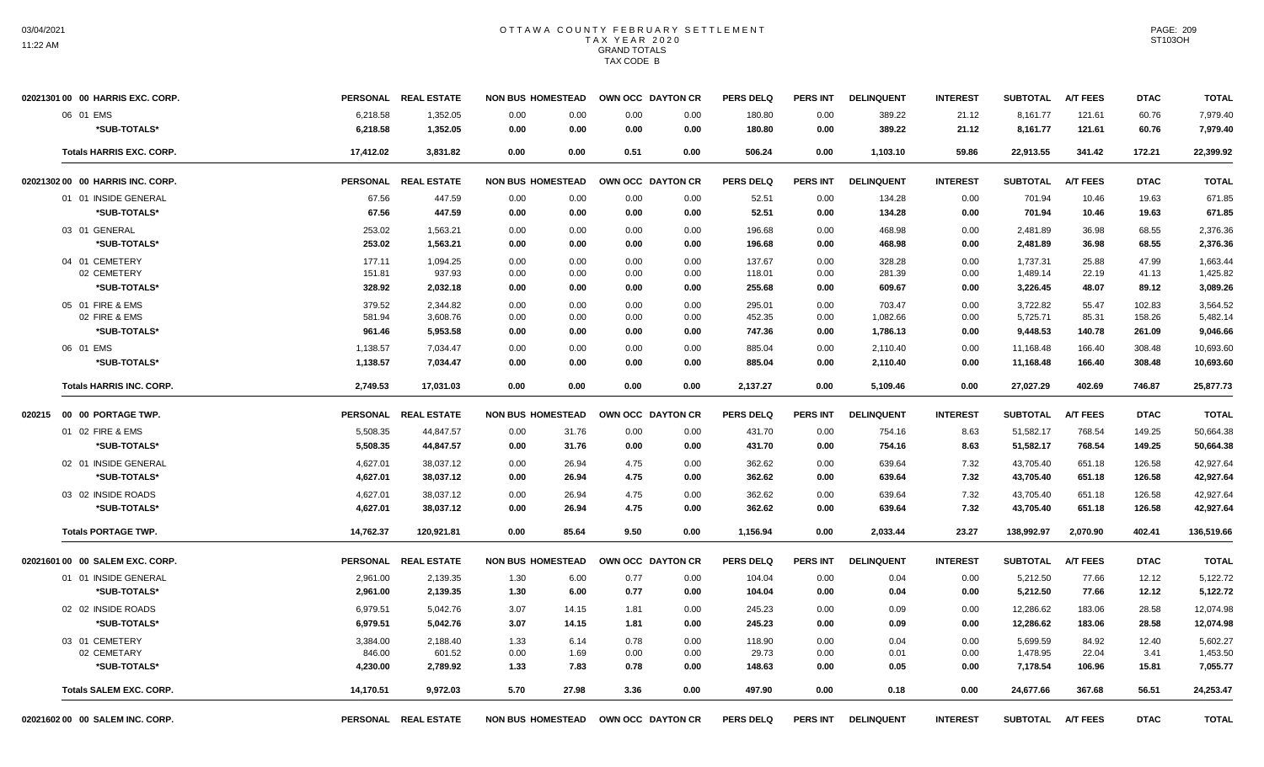| 02021301 00 00 HARRIS EXC. CORP. |           | PERSONAL REAL ESTATE | <b>NON BUS HOMESTEAD</b>            | OWN OCC DAYTON CR |      | <b>PERS DELQ</b> | <b>PERS INT</b> | <b>DELINQUENT</b> | <b>INTEREST</b> | <b>SUBTOTAL</b>   | <b>A/T FEES</b> | <b>DTAC</b> | <b>TOTAL</b> |
|----------------------------------|-----------|----------------------|-------------------------------------|-------------------|------|------------------|-----------------|-------------------|-----------------|-------------------|-----------------|-------------|--------------|
| 06 01 EMS                        | 6,218.58  | 1,352.05             | 0.00<br>0.00                        | 0.00              | 0.00 | 180.80           | 0.00            | 389.22            | 21.12           | 8,161.77          | 121.61          | 60.76       | 7,979.40     |
| *SUB-TOTALS*                     | 6,218.58  | 1,352.05             | 0.00<br>0.00                        | 0.00              | 0.00 | 180.80           | 0.00            | 389.22            | 21.12           | 8,161.77          | 121.61          | 60.76       | 7,979.40     |
| <b>Totals HARRIS EXC. CORP.</b>  | 17,412.02 | 3,831.82             | 0.00<br>0.00                        | 0.51              | 0.00 | 506.24           | 0.00            | 1,103.10          | 59.86           | 22,913.55         | 341.42          | 172.21      | 22,399.92    |
| 02021302 00 00 HARRIS INC. CORP. |           | PERSONAL REAL ESTATE | <b>NON BUS HOMESTEAD</b>            | OWN OCC DAYTON CR |      | <b>PERS DELQ</b> | <b>PERS INT</b> | <b>DELINQUENT</b> | <b>INTEREST</b> | <b>SUBTOTAL</b>   | <b>A/T FEES</b> | <b>DTAC</b> | <b>TOTAL</b> |
| 01 01 INSIDE GENERAL             | 67.56     | 447.59               | 0.00<br>0.00                        | 0.00              | 0.00 | 52.51            | 0.00            | 134.28            | 0.00            | 701.94            | 10.46           | 19.63       | 671.85       |
| *SUB-TOTALS*                     | 67.56     | 447.59               | 0.00<br>0.00                        | 0.00              | 0.00 | 52.51            | 0.00            | 134.28            | 0.00            | 701.94            | 10.46           | 19.63       | 671.85       |
| 03 01 GENERAL                    | 253.02    | 1,563.21             | 0.00<br>0.00                        | 0.00              | 0.00 | 196.68           | 0.00            | 468.98            | 0.00            | 2,481.89          | 36.98           | 68.55       | 2,376.36     |
| *SUB-TOTALS*                     | 253.02    | 1,563.21             | 0.00<br>0.00                        | 0.00              | 0.00 | 196.68           | 0.00            | 468.98            | 0.00            | 2,481.89          | 36.98           | 68.55       | 2,376.36     |
| 04 01 CEMETERY                   | 177.11    | 1.094.25             | 0.00<br>0.00                        | 0.00              | 0.00 | 137.67           | 0.00            | 328.28            | 0.00            | 1,737.31          | 25.88           | 47.99       | 1.663.44     |
| 02 CEMETERY                      | 151.81    | 937.93               | 0.00<br>0.00                        | 0.00              | 0.00 | 118.01           | 0.00            | 281.39            | 0.00            | 1,489.14          | 22.19           | 41.13       | 1,425.82     |
| *SUB-TOTALS*                     | 328.92    | 2,032.18             | 0.00<br>0.00                        | 0.00              | 0.00 | 255.68           | 0.00            | 609.67            | 0.00            | 3,226.45          | 48.07           | 89.12       | 3,089.26     |
| 05 01 FIRE & EMS                 | 379.52    | 2,344.82             | 0.00<br>0.00                        | 0.00              | 0.00 | 295.01           | 0.00            | 703.47            | 0.00            | 3,722.82          | 55.47           | 102.83      | 3,564.52     |
| 02 FIRE & EMS                    | 581.94    | 3,608.76             | 0.00<br>0.00                        | 0.00              | 0.00 | 452.35           | 0.00            | 1,082.66          | 0.00            | 5,725.71          | 85.31           | 158.26      | 5,482.14     |
| *SUB-TOTALS*                     | 961.46    | 5,953.58             | 0.00<br>0.00                        | 0.00              | 0.00 | 747.36           | 0.00            | 1,786.13          | 0.00            | 9,448.53          | 140.78          | 261.09      | 9,046.66     |
| 06 01 EMS                        | 1,138.57  | 7,034.47             | 0.00<br>0.00                        | 0.00              | 0.00 | 885.04           | 0.00            | 2,110.40          | 0.00            | 11,168.48         | 166.40          | 308.48      | 10,693.60    |
| *SUB-TOTALS*                     | 1,138.57  | 7,034.47             | 0.00<br>0.00                        | 0.00              | 0.00 | 885.04           | 0.00            | 2,110.40          | 0.00            | 11,168.48         | 166.40          | 308.48      | 10,693.60    |
| <b>Totals HARRIS INC. CORP.</b>  | 2,749.53  | 17,031.03            | 0.00<br>0.00                        | 0.00              | 0.00 | 2,137.27         | 0.00            | 5,109.46          | 0.00            | 27,027.29         | 402.69          | 746.87      | 25,877.73    |
| 020215  00  00  PORTAGE TWP.     |           | PERSONAL REAL ESTATE | <b>NON BUS HOMESTEAD</b>            | OWN OCC DAYTON CR |      | <b>PERS DELQ</b> | <b>PERS INT</b> | <b>DELINQUENT</b> | <b>INTEREST</b> | <b>SUBTOTAL</b>   | <b>A/T FEES</b> | <b>DTAC</b> | <b>TOTAL</b> |
| 01 02 FIRE & EMS                 | 5,508.35  | 44,847.57            | 0.00<br>31.76                       | 0.00              | 0.00 | 431.70           | 0.00            | 754.16            | 8.63            | 51,582.17         | 768.54          | 149.25      | 50,664.38    |
| *SUB-TOTALS*                     | 5,508.35  | 44,847.57            | 0.00<br>31.76                       | 0.00              | 0.00 | 431.70           | 0.00            | 754.16            | 8.63            | 51,582.17         | 768.54          | 149.25      | 50,664.38    |
| 02 01 INSIDE GENERAL             | 4,627.01  | 38,037.12            | 0.00<br>26.94                       | 4.75              | 0.00 | 362.62           | 0.00            | 639.64            | 7.32            | 43,705.40         | 651.18          | 126.58      | 42,927.64    |
| *SUB-TOTALS*                     | 4,627.01  | 38,037.12            | 0.00<br>26.94                       | 4.75              | 0.00 | 362.62           | 0.00            | 639.64            | 7.32            | 43,705.40         | 651.18          | 126.58      | 42,927.64    |
| 03 02 INSIDE ROADS               | 4,627.01  | 38,037.12            | 0.00<br>26.94                       | 4.75              | 0.00 | 362.62           | 0.00            | 639.64            | 7.32            | 43,705.40         | 651.18          | 126.58      | 42,927.64    |
| *SUB-TOTALS*                     | 4,627.01  | 38,037.12            | 0.00<br>26.94                       | 4.75              | 0.00 | 362.62           | 0.00            | 639.64            | 7.32            | 43,705.40         | 651.18          | 126.58      | 42,927.64    |
| <b>Totals PORTAGE TWP.</b>       | 14,762.37 | 120,921.81           | 0.00<br>85.64                       | 9.50              | 0.00 | 1,156.94         | 0.00            | 2,033.44          | 23.27           | 138,992.97        | 2,070.90        | 402.41      | 136,519.66   |
| 02021601 00 00 SALEM EXC. CORP.  |           | PERSONAL REAL ESTATE | <b>NON BUS HOMESTEAD</b>            | OWN OCC DAYTON CR |      | <b>PERS DELQ</b> | <b>PERS INT</b> | <b>DELINQUENT</b> | <b>INTEREST</b> | <b>SUBTOTAL</b>   | <b>A/T FEES</b> | <b>DTAC</b> | <b>TOTAL</b> |
| 01 01 INSIDE GENERAL             | 2,961.00  | 2,139.35             | 6.00<br>1.30                        | 0.77              | 0.00 | 104.04           | 0.00            | 0.04              | 0.00            | 5,212.50          | 77.66           | 12.12       | 5,122.72     |
| *SUB-TOTALS*                     | 2,961.00  | 2,139.35             | 6.00<br>1.30                        | 0.77              | 0.00 | 104.04           | 0.00            | 0.04              | 0.00            | 5,212.50          | 77.66           | 12.12       | 5,122.72     |
| 02 02 INSIDE ROADS               | 6,979.51  | 5,042.76             | 3.07<br>14.15                       | 1.81              | 0.00 | 245.23           | 0.00            | 0.09              | 0.00            | 12,286.62         | 183.06          | 28.58       | 12,074.98    |
| *SUB-TOTALS*                     | 6,979.51  | 5,042.76             | 3.07<br>14.15                       | 1.81              | 0.00 | 245.23           | 0.00            | 0.09              | 0.00            | 12,286.62         | 183.06          | 28.58       | 12,074.98    |
| 03 01 CEMETERY                   | 3,384.00  | 2,188.40             | 1.33<br>6.14                        | 0.78              | 0.00 | 118.90           | 0.00            | 0.04              | 0.00            | 5,699.59          | 84.92           | 12.40       | 5,602.27     |
| 02 CEMETARY                      | 846.00    | 601.52               | 1.69<br>0.00                        | 0.00              | 0.00 | 29.73            | 0.00            | 0.01              | 0.00            | 1,478.95          | 22.04           | 3.41        | 1,453.50     |
| *SUB-TOTALS*                     | 4,230.00  | 2,789.92             | 7.83<br>1.33                        | 0.78              | 0.00 | 148.63           | 0.00            | 0.05              | 0.00            | 7,178.54          | 106.96          | 15.81       | 7,055.77     |
| <b>Totals SALEM EXC. CORP.</b>   | 14,170.51 | 9.972.03             | 5.70<br>27.98                       | 3.36              | 0.00 | 497.90           | 0.00            | 0.18              | 0.00            | 24,677.66         | 367.68          | 56.51       | 24,253.47    |
| 02021602 00 00 SALEM INC. CORP.  |           | PERSONAL REAL ESTATE | NON BUS HOMESTEAD OWN OCC DAYTON CR |                   |      | <b>PERS DELQ</b> | <b>PERS INT</b> | <b>DELINQUENT</b> | <b>INTEREST</b> | SUBTOTAL A/T FEES |                 | <b>DTAC</b> | <b>TOTAL</b> |

PAGE: 209 ST103OH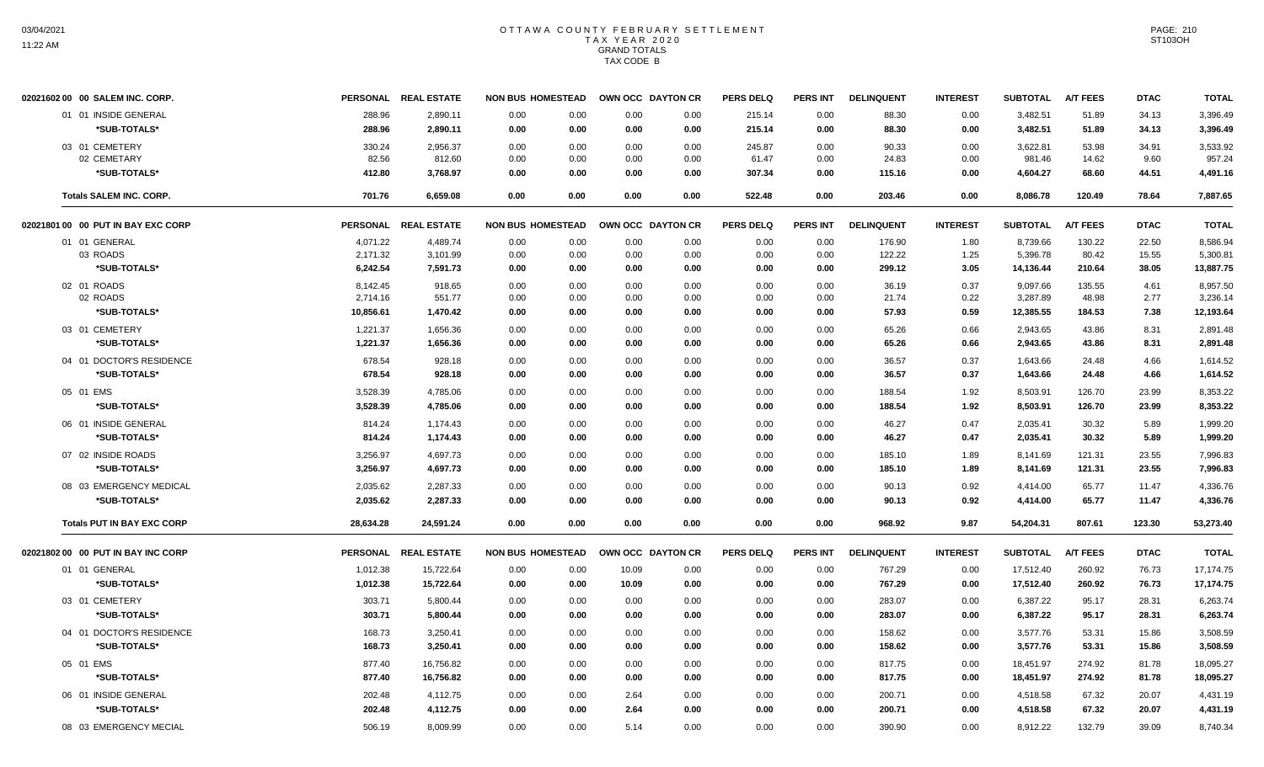| 02021602 00 00 SALEM INC. CORP.    |           | PERSONAL REAL ESTATE | <b>NON BUS HOMESTEAD</b> |      |       | OWN OCC DAYTON CR | <b>PERS DELQ</b> | <b>PERS INT</b> | <b>DELINQUENT</b> | <b>INTEREST</b> | <b>SUBTOTAL</b> | <b>A/T FEES</b> | <b>DTAC</b> | <b>TOTAL</b> |
|------------------------------------|-----------|----------------------|--------------------------|------|-------|-------------------|------------------|-----------------|-------------------|-----------------|-----------------|-----------------|-------------|--------------|
| 01 01 INSIDE GENERAL               | 288.96    | 2,890.11             | 0.00                     | 0.00 | 0.00  | 0.00              | 215.14           | 0.00            | 88.30             | 0.00            | 3,482.51        | 51.89           | 34.13       | 3,396.49     |
| *SUB-TOTALS*                       | 288.96    | 2,890.11             | 0.00                     | 0.00 | 0.00  | 0.00              | 215.14           | 0.00            | 88.30             | 0.00            | 3,482.51        | 51.89           | 34.13       | 3,396.49     |
| 03 01 CEMETERY                     | 330.24    | 2,956.37             | 0.00                     | 0.00 | 0.00  | 0.00              | 245.87           | 0.00            | 90.33             | 0.00            | 3,622.81        | 53.98           | 34.91       | 3,533.92     |
| 02 CEMETARY                        | 82.56     | 812.60               | 0.00                     | 0.00 | 0.00  | 0.00              | 61.47            | 0.00            | 24.83             | 0.00            | 981.46          | 14.62           | 9.60        | 957.24       |
| *SUB-TOTALS*                       | 412.80    | 3,768.97             | 0.00                     | 0.00 | 0.00  | 0.00              | 307.34           | 0.00            | 115.16            | 0.00            | 4,604.27        | 68.60           | 44.51       | 4,491.16     |
| <b>Totals SALEM INC. CORP.</b>     | 701.76    | 6,659.08             | 0.00                     | 0.00 | 0.00  | 0.00              | 522.48           | 0.00            | 203.46            | 0.00            | 8,086.78        | 120.49          | 78.64       | 7,887.65     |
| 02021801 00 00 PUT IN BAY EXC CORP |           | PERSONAL REAL ESTATE | <b>NON BUS HOMESTEAD</b> |      |       | OWN OCC DAYTON CR | <b>PERS DELQ</b> | <b>PERS INT</b> | <b>DELINQUENT</b> | <b>INTEREST</b> | <b>SUBTOTAL</b> | <b>A/T FEES</b> | <b>DTAC</b> | <b>TOTAL</b> |
| 01 01 GENERAL                      | 4,071.22  | 4,489.74             | 0.00                     | 0.00 | 0.00  | 0.00              | 0.00             | 0.00            | 176.90            | 1.80            | 8,739.66        | 130.22          | 22.50       | 8,586.94     |
| 03 ROADS                           | 2,171.32  | 3,101.99             | 0.00                     | 0.00 | 0.00  | 0.00              | 0.00             | 0.00            | 122.22            | 1.25            | 5,396.78        | 80.42           | 15.55       | 5,300.81     |
| *SUB-TOTALS*                       | 6,242.54  | 7,591.73             | 0.00                     | 0.00 | 0.00  | 0.00              | 0.00             | 0.00            | 299.12            | 3.05            | 14,136.44       | 210.64          | 38.05       | 13,887.75    |
| 02 01 ROADS                        | 8,142.45  | 918.65               | 0.00                     | 0.00 | 0.00  | 0.00              | 0.00             | 0.00            | 36.19             | 0.37            | 9,097.66        | 135.55          | 4.61        | 8,957.50     |
| 02 ROADS                           | 2,714.16  | 551.77               | 0.00                     | 0.00 | 0.00  | 0.00              | 0.00             | 0.00            | 21.74             | 0.22            | 3,287.89        | 48.98           | 2.77        | 3,236.14     |
| *SUB-TOTALS*                       | 10,856.61 | 1,470.42             | 0.00                     | 0.00 | 0.00  | 0.00              | 0.00             | 0.00            | 57.93             | 0.59            | 12,385.55       | 184.53          | 7.38        | 12,193.64    |
| 03 01 CEMETERY                     | 1,221.37  | 1,656.36             | 0.00                     | 0.00 | 0.00  | 0.00              | 0.00             | 0.00            | 65.26             | 0.66            | 2.943.65        | 43.86           | 8.31        | 2,891.48     |
| *SUB-TOTALS*                       | 1,221.37  | 1,656.36             | 0.00                     | 0.00 | 0.00  | 0.00              | 0.00             | 0.00            | 65.26             | 0.66            | 2,943.65        | 43.86           | 8.31        | 2,891.48     |
| 04 01 DOCTOR'S RESIDENCE           | 678.54    | 928.18               | 0.00                     | 0.00 | 0.00  | 0.00              | 0.00             | 0.00            | 36.57             | 0.37            | 1,643.66        | 24.48           | 4.66        | 1,614.52     |
| *SUB-TOTALS*                       | 678.54    | 928.18               | 0.00                     | 0.00 | 0.00  | 0.00              | 0.00             | 0.00            | 36.57             | 0.37            | 1,643.66        | 24.48           | 4.66        | 1,614.52     |
| 05 01 EMS                          | 3,528.39  | 4,785.06             | 0.00                     | 0.00 | 0.00  | 0.00              | 0.00             | 0.00            | 188.54            | 1.92            | 8,503.91        | 126.70          | 23.99       | 8,353.22     |
| *SUB-TOTALS*                       | 3,528.39  | 4,785.06             | 0.00                     | 0.00 | 0.00  | 0.00              | 0.00             | 0.00            | 188.54            | 1.92            | 8,503.91        | 126.70          | 23.99       | 8,353.22     |
| 06 01 INSIDE GENERAL               | 814.24    | 1,174.43             | 0.00                     | 0.00 | 0.00  | 0.00              | 0.00             | 0.00            | 46.27             | 0.47            | 2,035.41        | 30.32           | 5.89        | 1,999.20     |
| *SUB-TOTALS*                       | 814.24    | 1,174.43             | 0.00                     | 0.00 | 0.00  | 0.00              | 0.00             | 0.00            | 46.27             | 0.47            | 2,035.41        | 30.32           | 5.89        | 1,999.20     |
| 07 02 INSIDE ROADS                 | 3,256.97  | 4,697.73             | 0.00                     | 0.00 | 0.00  | 0.00              | 0.00             | 0.00            | 185.10            | 1.89            | 8,141.69        | 121.31          | 23.55       | 7,996.83     |
| *SUB-TOTALS*                       | 3,256.97  | 4,697.73             | 0.00                     | 0.00 | 0.00  | 0.00              | 0.00             | 0.00            | 185.10            | 1.89            | 8,141.69        | 121.31          | 23.55       | 7,996.83     |
| 08 03 EMERGENCY MEDICAL            | 2,035.62  | 2,287.33             | 0.00                     | 0.00 | 0.00  | 0.00              | 0.00             | 0.00            | 90.13             | 0.92            | 4,414.00        | 65.77           | 11.47       | 4,336.76     |
| *SUB-TOTALS*                       | 2,035.62  | 2,287.33             | 0.00                     | 0.00 | 0.00  | 0.00              | 0.00             | 0.00            | 90.13             | 0.92            | 4,414.00        | 65.77           | 11.47       | 4,336.76     |
| <b>Totals PUT IN BAY EXC CORP</b>  | 28,634.28 | 24,591.24            | 0.00                     | 0.00 | 0.00  | 0.00              | 0.00             | 0.00            | 968.92            | 9.87            | 54,204.31       | 807.61          | 123.30      | 53,273.40    |
| 02021802 00 00 PUT IN BAY INC CORP |           | PERSONAL REAL ESTATE | <b>NON BUS HOMESTEAD</b> |      |       | OWN OCC DAYTON CR | <b>PERS DELQ</b> | <b>PERS INT</b> | <b>DELINQUENT</b> | <b>INTEREST</b> | <b>SUBTOTAL</b> | <b>A/T FEES</b> | <b>DTAC</b> | <b>TOTAL</b> |
| 01 01 GENERAL                      | 1,012.38  | 15,722.64            | 0.00                     | 0.00 | 10.09 | 0.00              | 0.00             | 0.00            | 767.29            | 0.00            | 17,512.40       | 260.92          | 76.73       | 17,174.75    |
| *SUB-TOTALS*                       | 1,012.38  | 15,722.64            | 0.00                     | 0.00 | 10.09 | 0.00              | 0.00             | 0.00            | 767.29            | 0.00            | 17,512.40       | 260.92          | 76.73       | 17,174.75    |
| 03 01 CEMETERY                     | 303.71    | 5,800.44             | 0.00                     | 0.00 | 0.00  | 0.00              | 0.00             | 0.00            | 283.07            | 0.00            | 6,387.22        | 95.17           | 28.31       | 6,263.74     |
| *SUB-TOTALS*                       | 303.71    | 5,800.44             | 0.00                     | 0.00 | 0.00  | 0.00              | 0.00             | 0.00            | 283.07            | 0.00            | 6,387.22        | 95.17           | 28.31       | 6,263.74     |
| 04 01 DOCTOR'S RESIDENCE           | 168.73    | 3,250.41             | 0.00                     | 0.00 | 0.00  | 0.00              | 0.00             | 0.00            | 158.62            | 0.00            | 3,577.76        | 53.31           | 15.86       | 3,508.59     |
| *SUB-TOTALS*                       | 168.73    | 3,250.41             | 0.00                     | 0.00 | 0.00  | 0.00              | 0.00             | 0.00            | 158.62            | 0.00            | 3,577.76        | 53.31           | 15.86       | 3,508.59     |
|                                    |           |                      |                          |      |       |                   |                  |                 |                   |                 |                 |                 |             |              |
| 05 01 EMS                          | 877.40    | 16,756.82            | 0.00                     | 0.00 | 0.00  | 0.00              | 0.00             | 0.00            | 817.75            | 0.00            | 18,451.97       | 274.92          | 81.78       | 18,095.27    |
| *SUB-TOTALS*                       | 877.40    | 16,756.82            | 0.00                     | 0.00 | 0.00  | 0.00              | 0.00             | 0.00            | 817.75            | 0.00            | 18,451.97       | 274.92          | 81.78       | 18,095.27    |
| 06 01 INSIDE GENERAL               | 202.48    | 4,112.75             | 0.00                     | 0.00 | 2.64  | 0.00              | 0.00             | 0.00            | 200.71            | 0.00            | 4,518.58        | 67.32           | 20.07       | 4,431.19     |
| *SUB-TOTALS*                       | 202.48    | 4,112.75             | 0.00                     | 0.00 | 2.64  | 0.00              | 0.00             | 0.00            | 200.71            | 0.00            | 4,518.58        | 67.32           | 20.07       | 4,431.19     |
| 08 03 EMERGENCY MECIAL             | 506.19    | 8.009.99             | 0.00                     | 0.00 | 5.14  | 0.00              | 0.00             | 0.00            | 390.90            | 0.00            | 8.912.22        | 132.79          | 39.09       | 8.740.34     |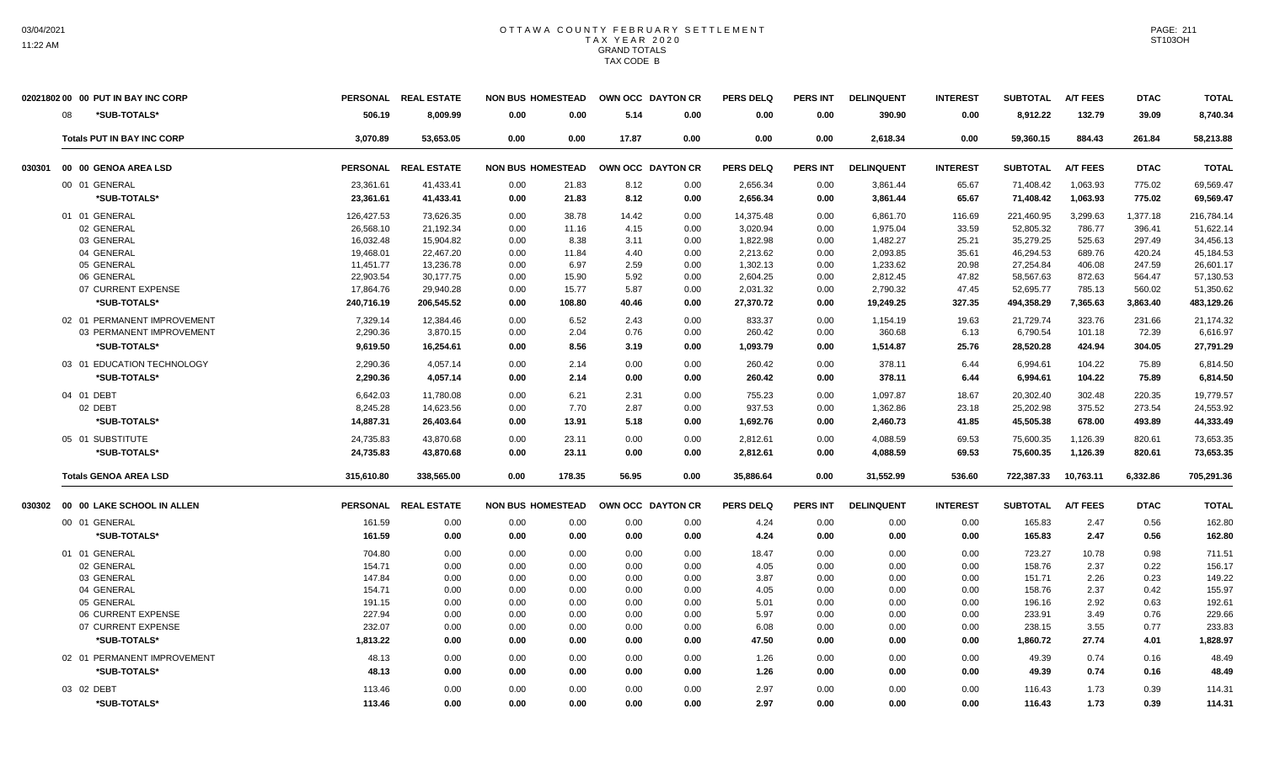| *SUB-TOTALS*<br>506.19<br>8,009.99<br>0.00<br>0.00<br>5.14<br>0.00<br>0.00<br>390.90<br>0.00<br>8,912.22<br>132.79<br>39.09<br>08<br>0.00<br>3.070.89<br>53.653.05<br>17.87<br>0.00<br>0.00<br>59.360.15<br>884.43<br>261.84<br><b>Totals PUT IN BAY INC CORP</b><br>0.00<br>0.00<br>0.00<br>0.00<br>2.618.34<br><b>REAL ESTATE</b><br><b>PERS INT</b><br><b>A/T FEES</b><br><b>PERSONAL</b><br><b>NON BUS HOMESTEAD</b><br>OWN OCC DAYTON CR<br><b>PERS DELQ</b><br><b>DELINQUENT</b><br><b>INTEREST</b><br><b>SUBTOTAL</b><br><b>DTAC</b><br>00 00 GENOA AREA LSD<br>030301<br>775.02<br>00 01 GENERAL<br>23,361.61<br>41,433.41<br>21.83<br>8.12<br>2,656.34<br>3,861.44<br>65.67<br>71,408.42<br>1,063.93<br>0.00<br>0.00<br>0.00<br>*SUB-TOTALS*<br>2,656.34<br>65.67<br>71,408.42<br>775.02<br>23,361.61<br>41,433.41<br>0.00<br>21.83<br>8.12<br>0.00<br>3,861.44<br>1,063.93<br>0.00<br>14,375.48<br>221,460.95<br>3,299.63<br>01 01 GENERAL<br>126,427.53<br>73,626.35<br>0.00<br>38.78<br>14.42<br>0.00<br>0.00<br>6,861.70<br>116.69<br>1,377.18<br>02 GENERAL<br>26,568.10<br>0.00<br>4.15<br>3,020.94<br>1,975.04<br>33.59<br>52,805.32<br>786.77<br>396.41<br>21,192.34<br>11.16<br>0.00<br>0.00<br>03 GENERAL<br>35,279.25<br>16,032.48<br>15,904.82<br>0.00<br>8.38<br>1,822.98<br>1,482.27<br>525.63<br>297.49<br>3.11<br>0.00<br>0.00<br>25.21<br>04 GENERAL<br>22,467.20<br>2,213.62<br>2,093.85<br>46,294.53<br>689.76<br>420.24<br>19,468.01<br>0.00<br>11.84<br>4.40<br>0.00<br>0.00<br>35.61<br>05 GENERAL<br>13,236.78<br>11,451.77<br>0.00<br>6.97<br>2.59<br>1,302.13<br>1,233.62<br>20.98<br>27,254.84<br>406.08<br>247.59<br>0.00<br>0.00<br>06 GENERAL<br>22,903.54<br>30,177.75<br>0.00<br>15.90<br>5.92<br>0.00<br>2,604.25<br>0.00<br>2,812.45<br>47.82<br>58,567.63<br>872.63<br>564.47<br>07 CURRENT EXPENSE<br>17,864.76<br>29,940.28<br>0.00<br>15.77<br>5.87<br>0.00<br>2,031.32<br>0.00<br>2,790.32<br>47.45<br>52,695.77<br>785.13<br>560.02<br>*SUB-TOTALS*<br>240,716.19<br>206,545.52<br>0.00<br>108.80<br>40.46<br>27,370.72<br>19,249.25<br>327.35<br>494,358.29<br>7,365.63<br>3,863.40<br>0.00<br>0.00<br>02 01 PERMANENT IMPROVEMENT<br>12,384.46<br>6.52<br>21,729.74<br>7,329.14<br>0.00<br>2.43<br>0.00<br>833.37<br>0.00<br>1,154.19<br>19.63<br>323.76<br>231.66 | 02021802 00 00 PUT IN BAY INC CORP |          | PERSONAL REAL ESTATE | <b>NON BUS HOMESTEAD</b> |      |      | OWN OCC DAYTON CR | <b>PERS DELQ</b> | <b>PERS INT</b> | <b>DELINQUENT</b> | <b>INTEREST</b> | <b>SUBTOTAL</b> | <b>A/T FEES</b> | <b>DTAC</b> | <b>TOTAL</b> |
|----------------------------------------------------------------------------------------------------------------------------------------------------------------------------------------------------------------------------------------------------------------------------------------------------------------------------------------------------------------------------------------------------------------------------------------------------------------------------------------------------------------------------------------------------------------------------------------------------------------------------------------------------------------------------------------------------------------------------------------------------------------------------------------------------------------------------------------------------------------------------------------------------------------------------------------------------------------------------------------------------------------------------------------------------------------------------------------------------------------------------------------------------------------------------------------------------------------------------------------------------------------------------------------------------------------------------------------------------------------------------------------------------------------------------------------------------------------------------------------------------------------------------------------------------------------------------------------------------------------------------------------------------------------------------------------------------------------------------------------------------------------------------------------------------------------------------------------------------------------------------------------------------------------------------------------------------------------------------------------------------------------------------------------------------------------------------------------------------------------------------------------------------------------------------------------------------------------------------------------------------------------------------------------------------------------------|------------------------------------|----------|----------------------|--------------------------|------|------|-------------------|------------------|-----------------|-------------------|-----------------|-----------------|-----------------|-------------|--------------|
|                                                                                                                                                                                                                                                                                                                                                                                                                                                                                                                                                                                                                                                                                                                                                                                                                                                                                                                                                                                                                                                                                                                                                                                                                                                                                                                                                                                                                                                                                                                                                                                                                                                                                                                                                                                                                                                                                                                                                                                                                                                                                                                                                                                                                                                                                                                      |                                    |          |                      |                          |      |      |                   |                  |                 |                   |                 |                 |                 |             | 8,740.34     |
|                                                                                                                                                                                                                                                                                                                                                                                                                                                                                                                                                                                                                                                                                                                                                                                                                                                                                                                                                                                                                                                                                                                                                                                                                                                                                                                                                                                                                                                                                                                                                                                                                                                                                                                                                                                                                                                                                                                                                                                                                                                                                                                                                                                                                                                                                                                      |                                    |          |                      |                          |      |      |                   |                  |                 |                   |                 |                 |                 |             | 58,213.88    |
|                                                                                                                                                                                                                                                                                                                                                                                                                                                                                                                                                                                                                                                                                                                                                                                                                                                                                                                                                                                                                                                                                                                                                                                                                                                                                                                                                                                                                                                                                                                                                                                                                                                                                                                                                                                                                                                                                                                                                                                                                                                                                                                                                                                                                                                                                                                      |                                    |          |                      |                          |      |      |                   |                  |                 |                   |                 |                 |                 |             | <b>TOTAL</b> |
|                                                                                                                                                                                                                                                                                                                                                                                                                                                                                                                                                                                                                                                                                                                                                                                                                                                                                                                                                                                                                                                                                                                                                                                                                                                                                                                                                                                                                                                                                                                                                                                                                                                                                                                                                                                                                                                                                                                                                                                                                                                                                                                                                                                                                                                                                                                      |                                    |          |                      |                          |      |      |                   |                  |                 |                   |                 |                 |                 |             | 69,569.47    |
|                                                                                                                                                                                                                                                                                                                                                                                                                                                                                                                                                                                                                                                                                                                                                                                                                                                                                                                                                                                                                                                                                                                                                                                                                                                                                                                                                                                                                                                                                                                                                                                                                                                                                                                                                                                                                                                                                                                                                                                                                                                                                                                                                                                                                                                                                                                      |                                    |          |                      |                          |      |      |                   |                  |                 |                   |                 |                 |                 |             | 69,569.47    |
|                                                                                                                                                                                                                                                                                                                                                                                                                                                                                                                                                                                                                                                                                                                                                                                                                                                                                                                                                                                                                                                                                                                                                                                                                                                                                                                                                                                                                                                                                                                                                                                                                                                                                                                                                                                                                                                                                                                                                                                                                                                                                                                                                                                                                                                                                                                      |                                    |          |                      |                          |      |      |                   |                  |                 |                   |                 |                 |                 |             | 216,784.14   |
|                                                                                                                                                                                                                                                                                                                                                                                                                                                                                                                                                                                                                                                                                                                                                                                                                                                                                                                                                                                                                                                                                                                                                                                                                                                                                                                                                                                                                                                                                                                                                                                                                                                                                                                                                                                                                                                                                                                                                                                                                                                                                                                                                                                                                                                                                                                      |                                    |          |                      |                          |      |      |                   |                  |                 |                   |                 |                 |                 |             | 51,622.14    |
|                                                                                                                                                                                                                                                                                                                                                                                                                                                                                                                                                                                                                                                                                                                                                                                                                                                                                                                                                                                                                                                                                                                                                                                                                                                                                                                                                                                                                                                                                                                                                                                                                                                                                                                                                                                                                                                                                                                                                                                                                                                                                                                                                                                                                                                                                                                      |                                    |          |                      |                          |      |      |                   |                  |                 |                   |                 |                 |                 |             | 34,456.13    |
|                                                                                                                                                                                                                                                                                                                                                                                                                                                                                                                                                                                                                                                                                                                                                                                                                                                                                                                                                                                                                                                                                                                                                                                                                                                                                                                                                                                                                                                                                                                                                                                                                                                                                                                                                                                                                                                                                                                                                                                                                                                                                                                                                                                                                                                                                                                      |                                    |          |                      |                          |      |      |                   |                  |                 |                   |                 |                 |                 |             | 45,184.53    |
|                                                                                                                                                                                                                                                                                                                                                                                                                                                                                                                                                                                                                                                                                                                                                                                                                                                                                                                                                                                                                                                                                                                                                                                                                                                                                                                                                                                                                                                                                                                                                                                                                                                                                                                                                                                                                                                                                                                                                                                                                                                                                                                                                                                                                                                                                                                      |                                    |          |                      |                          |      |      |                   |                  |                 |                   |                 |                 |                 |             | 26,601.17    |
|                                                                                                                                                                                                                                                                                                                                                                                                                                                                                                                                                                                                                                                                                                                                                                                                                                                                                                                                                                                                                                                                                                                                                                                                                                                                                                                                                                                                                                                                                                                                                                                                                                                                                                                                                                                                                                                                                                                                                                                                                                                                                                                                                                                                                                                                                                                      |                                    |          |                      |                          |      |      |                   |                  |                 |                   |                 |                 |                 |             | 57,130.53    |
|                                                                                                                                                                                                                                                                                                                                                                                                                                                                                                                                                                                                                                                                                                                                                                                                                                                                                                                                                                                                                                                                                                                                                                                                                                                                                                                                                                                                                                                                                                                                                                                                                                                                                                                                                                                                                                                                                                                                                                                                                                                                                                                                                                                                                                                                                                                      |                                    |          |                      |                          |      |      |                   |                  |                 |                   |                 |                 |                 |             | 51,350.62    |
|                                                                                                                                                                                                                                                                                                                                                                                                                                                                                                                                                                                                                                                                                                                                                                                                                                                                                                                                                                                                                                                                                                                                                                                                                                                                                                                                                                                                                                                                                                                                                                                                                                                                                                                                                                                                                                                                                                                                                                                                                                                                                                                                                                                                                                                                                                                      |                                    |          |                      |                          |      |      |                   |                  |                 |                   |                 |                 |                 |             | 483,129.26   |
|                                                                                                                                                                                                                                                                                                                                                                                                                                                                                                                                                                                                                                                                                                                                                                                                                                                                                                                                                                                                                                                                                                                                                                                                                                                                                                                                                                                                                                                                                                                                                                                                                                                                                                                                                                                                                                                                                                                                                                                                                                                                                                                                                                                                                                                                                                                      |                                    |          |                      |                          |      |      |                   |                  |                 |                   |                 |                 |                 |             | 21,174.32    |
|                                                                                                                                                                                                                                                                                                                                                                                                                                                                                                                                                                                                                                                                                                                                                                                                                                                                                                                                                                                                                                                                                                                                                                                                                                                                                                                                                                                                                                                                                                                                                                                                                                                                                                                                                                                                                                                                                                                                                                                                                                                                                                                                                                                                                                                                                                                      | 03 PERMANENT IMPROVEMENT           | 2,290.36 | 3,870.15             | 0.00                     | 2.04 | 0.76 | 0.00              | 260.42           | 0.00            | 360.68            | 6.13            | 6,790.54        | 101.18          | 72.39       | 6,616.97     |
| *SUB-TOTALS*<br>8.56<br>9,619.50<br>16,254.61<br>0.00<br>3.19<br>0.00<br>1,093.79<br>0.00<br>1,514.87<br>25.76<br>28,520.28<br>424.94<br>304.05                                                                                                                                                                                                                                                                                                                                                                                                                                                                                                                                                                                                                                                                                                                                                                                                                                                                                                                                                                                                                                                                                                                                                                                                                                                                                                                                                                                                                                                                                                                                                                                                                                                                                                                                                                                                                                                                                                                                                                                                                                                                                                                                                                      |                                    |          |                      |                          |      |      |                   |                  |                 |                   |                 |                 |                 |             | 27,791.29    |
|                                                                                                                                                                                                                                                                                                                                                                                                                                                                                                                                                                                                                                                                                                                                                                                                                                                                                                                                                                                                                                                                                                                                                                                                                                                                                                                                                                                                                                                                                                                                                                                                                                                                                                                                                                                                                                                                                                                                                                                                                                                                                                                                                                                                                                                                                                                      |                                    |          |                      |                          |      |      |                   |                  |                 |                   |                 |                 |                 |             |              |
| 03 01 EDUCATION TECHNOLOGY<br>2.290.36<br>4,057.14<br>0.00<br>2.14<br>0.00<br>0.00<br>260.42<br>0.00<br>378.11<br>6.44<br>6.994.61<br>104.22<br>75.89                                                                                                                                                                                                                                                                                                                                                                                                                                                                                                                                                                                                                                                                                                                                                                                                                                                                                                                                                                                                                                                                                                                                                                                                                                                                                                                                                                                                                                                                                                                                                                                                                                                                                                                                                                                                                                                                                                                                                                                                                                                                                                                                                                |                                    |          |                      |                          |      |      |                   |                  |                 |                   |                 |                 |                 |             | 6.814.50     |
| *SUB-TOTALS*<br>2,290.36<br>4,057.14<br>0.00<br>2.14<br>0.00<br>0.00<br>260.42<br>0.00<br>378.11<br>6.44<br>6,994.61<br>104.22<br>75.89                                                                                                                                                                                                                                                                                                                                                                                                                                                                                                                                                                                                                                                                                                                                                                                                                                                                                                                                                                                                                                                                                                                                                                                                                                                                                                                                                                                                                                                                                                                                                                                                                                                                                                                                                                                                                                                                                                                                                                                                                                                                                                                                                                              |                                    |          |                      |                          |      |      |                   |                  |                 |                   |                 |                 |                 |             | 6,814.50     |
| 04 01 DEBT<br>6.642.03<br>11.780.08<br>0.00<br>6.21<br>0.00<br>755.23<br>1.097.87<br>18.67<br>20.302.40<br>302.48<br>220.35<br>2.31<br>0.00                                                                                                                                                                                                                                                                                                                                                                                                                                                                                                                                                                                                                                                                                                                                                                                                                                                                                                                                                                                                                                                                                                                                                                                                                                                                                                                                                                                                                                                                                                                                                                                                                                                                                                                                                                                                                                                                                                                                                                                                                                                                                                                                                                          |                                    |          |                      |                          |      |      |                   |                  |                 |                   |                 |                 |                 |             | 19.779.57    |
| 02 DEBT<br>7.70<br>2.87<br>937.53<br>25,202.98<br>375.52<br>273.54<br>8,245.28<br>14,623.56<br>0.00<br>0.00<br>0.00<br>1,362.86<br>23.18                                                                                                                                                                                                                                                                                                                                                                                                                                                                                                                                                                                                                                                                                                                                                                                                                                                                                                                                                                                                                                                                                                                                                                                                                                                                                                                                                                                                                                                                                                                                                                                                                                                                                                                                                                                                                                                                                                                                                                                                                                                                                                                                                                             |                                    |          |                      |                          |      |      |                   |                  |                 |                   |                 |                 |                 |             | 24,553.92    |
| 45,505.38<br>*SUB-TOTALS*<br>14,887.31<br>26,403.64<br>0.00<br>13.91<br>5.18<br>0.00<br>1,692.76<br>0.00<br>2,460.73<br>41.85<br>678.00<br>493.89                                                                                                                                                                                                                                                                                                                                                                                                                                                                                                                                                                                                                                                                                                                                                                                                                                                                                                                                                                                                                                                                                                                                                                                                                                                                                                                                                                                                                                                                                                                                                                                                                                                                                                                                                                                                                                                                                                                                                                                                                                                                                                                                                                    |                                    |          |                      |                          |      |      |                   |                  |                 |                   |                 |                 |                 |             | 44,333.49    |
| 05 01 SUBSTITUTE<br>24,735.83<br>43,870.68<br>2,812.61<br>4,088.59<br>69.53<br>75,600.35<br>1,126.39<br>820.61<br>0.00<br>23.11<br>0.00<br>0.00<br>0.00                                                                                                                                                                                                                                                                                                                                                                                                                                                                                                                                                                                                                                                                                                                                                                                                                                                                                                                                                                                                                                                                                                                                                                                                                                                                                                                                                                                                                                                                                                                                                                                                                                                                                                                                                                                                                                                                                                                                                                                                                                                                                                                                                              |                                    |          |                      |                          |      |      |                   |                  |                 |                   |                 |                 |                 |             | 73,653.35    |
| *SUB-TOTALS*<br>24,735.83<br>23.11<br>69.53<br>75,600.35<br>1,126.39<br>820.61<br>43,870.68<br>0.00<br>0.00<br>0.00<br>2,812.61<br>0.00<br>4,088.59                                                                                                                                                                                                                                                                                                                                                                                                                                                                                                                                                                                                                                                                                                                                                                                                                                                                                                                                                                                                                                                                                                                                                                                                                                                                                                                                                                                                                                                                                                                                                                                                                                                                                                                                                                                                                                                                                                                                                                                                                                                                                                                                                                  |                                    |          |                      |                          |      |      |                   |                  |                 |                   |                 |                 |                 |             | 73,653.35    |
| 178.35<br>10,763.11<br>6.332.86<br><b>Totals GENOA AREA LSD</b><br>315,610.80<br>338.565.00<br>0.00<br>56.95<br>35,886.64<br>31,552.99<br>536.60<br>722,387.33<br>0.00<br>0.00                                                                                                                                                                                                                                                                                                                                                                                                                                                                                                                                                                                                                                                                                                                                                                                                                                                                                                                                                                                                                                                                                                                                                                                                                                                                                                                                                                                                                                                                                                                                                                                                                                                                                                                                                                                                                                                                                                                                                                                                                                                                                                                                       |                                    |          |                      |                          |      |      |                   |                  |                 |                   |                 |                 |                 |             | 705,291.36   |
| A/T FEES<br><b>SUBTOTAL</b><br><b>DTAC</b><br>00 00 LAKE SCHOOL IN ALLEN<br><b>PERSONAL</b><br><b>REAL ESTATE</b><br><b>NON BUS HOMESTEAD</b><br>OWN OCC DAYTON CR<br><b>PERS DELQ</b><br><b>PERS INT</b><br><b>DELINQUENT</b><br><b>INTEREST</b><br>030302                                                                                                                                                                                                                                                                                                                                                                                                                                                                                                                                                                                                                                                                                                                                                                                                                                                                                                                                                                                                                                                                                                                                                                                                                                                                                                                                                                                                                                                                                                                                                                                                                                                                                                                                                                                                                                                                                                                                                                                                                                                          |                                    |          |                      |                          |      |      |                   |                  |                 |                   |                 |                 |                 |             | <b>TOTAL</b> |
| 00 01 GENERAL<br>161.59<br>0.00<br>0.56<br>0.00<br>0.00<br>0.00<br>0.00<br>0.00<br>4.24<br>0.00<br>0.00<br>165.83<br>2.47                                                                                                                                                                                                                                                                                                                                                                                                                                                                                                                                                                                                                                                                                                                                                                                                                                                                                                                                                                                                                                                                                                                                                                                                                                                                                                                                                                                                                                                                                                                                                                                                                                                                                                                                                                                                                                                                                                                                                                                                                                                                                                                                                                                            |                                    |          |                      |                          |      |      |                   |                  |                 |                   |                 |                 |                 |             | 162.80       |
| *SUB-TOTALS*<br>161.59<br>2.47<br>0.56<br>0.00<br>0.00<br>0.00<br>0.00<br>0.00<br>4.24<br>0.00<br>0.00<br>0.00<br>165.83                                                                                                                                                                                                                                                                                                                                                                                                                                                                                                                                                                                                                                                                                                                                                                                                                                                                                                                                                                                                                                                                                                                                                                                                                                                                                                                                                                                                                                                                                                                                                                                                                                                                                                                                                                                                                                                                                                                                                                                                                                                                                                                                                                                             |                                    |          |                      |                          |      |      |                   |                  |                 |                   |                 |                 |                 |             | 162.80       |
| 01 01 GENERAL<br>704.80<br>0.00<br>0.00<br>0.00<br>0.00<br>0.00<br>18.47<br>0.00<br>0.00<br>0.00<br>723.27<br>10.78<br>0.98                                                                                                                                                                                                                                                                                                                                                                                                                                                                                                                                                                                                                                                                                                                                                                                                                                                                                                                                                                                                                                                                                                                                                                                                                                                                                                                                                                                                                                                                                                                                                                                                                                                                                                                                                                                                                                                                                                                                                                                                                                                                                                                                                                                          |                                    |          |                      |                          |      |      |                   |                  |                 |                   |                 |                 |                 |             | 711.51       |
| 02 GENERAL<br>154.71<br>0.00<br>0.00<br>0.00<br>0.00<br>0.00<br>4.05<br>0.00<br>0.00<br>0.00<br>158.76<br>2.37<br>0.22                                                                                                                                                                                                                                                                                                                                                                                                                                                                                                                                                                                                                                                                                                                                                                                                                                                                                                                                                                                                                                                                                                                                                                                                                                                                                                                                                                                                                                                                                                                                                                                                                                                                                                                                                                                                                                                                                                                                                                                                                                                                                                                                                                                               |                                    |          |                      |                          |      |      |                   |                  |                 |                   |                 |                 |                 |             | 156.17       |
| 147.84<br>0.23<br>03 GENERAL<br>0.00<br>0.00<br>0.00<br>0.00<br>0.00<br>3.87<br>0.00<br>0.00<br>0.00<br>151.71<br>2.26                                                                                                                                                                                                                                                                                                                                                                                                                                                                                                                                                                                                                                                                                                                                                                                                                                                                                                                                                                                                                                                                                                                                                                                                                                                                                                                                                                                                                                                                                                                                                                                                                                                                                                                                                                                                                                                                                                                                                                                                                                                                                                                                                                                               |                                    |          |                      |                          |      |      |                   |                  |                 |                   |                 |                 |                 |             | 149.22       |
| 04 GENERAL<br>154.71<br>0.00<br>0.00<br>0.00<br>0.00<br>4.05<br>0.00<br>158.76<br>2.37<br>0.42<br>0.00<br>0.00<br>0.00                                                                                                                                                                                                                                                                                                                                                                                                                                                                                                                                                                                                                                                                                                                                                                                                                                                                                                                                                                                                                                                                                                                                                                                                                                                                                                                                                                                                                                                                                                                                                                                                                                                                                                                                                                                                                                                                                                                                                                                                                                                                                                                                                                                               |                                    |          |                      |                          |      |      |                   |                  |                 |                   |                 |                 |                 |             | 155.97       |
| 2.92<br>05 GENERAL<br>191.15<br>0.00<br>0.00<br>0.00<br>0.00<br>0.00<br>5.01<br>0.00<br>0.00<br>196.16<br>0.63<br>0.00                                                                                                                                                                                                                                                                                                                                                                                                                                                                                                                                                                                                                                                                                                                                                                                                                                                                                                                                                                                                                                                                                                                                                                                                                                                                                                                                                                                                                                                                                                                                                                                                                                                                                                                                                                                                                                                                                                                                                                                                                                                                                                                                                                                               |                                    |          |                      |                          |      |      |                   |                  |                 |                   |                 |                 |                 |             | 192.61       |
| 06 CURRENT EXPENSE<br>227.94<br>0.00<br>0.00<br>0.00<br>233.91<br>3.49<br>0.76<br>0.00<br>0.00<br>0.00<br>5.97<br>0.00<br>0.00                                                                                                                                                                                                                                                                                                                                                                                                                                                                                                                                                                                                                                                                                                                                                                                                                                                                                                                                                                                                                                                                                                                                                                                                                                                                                                                                                                                                                                                                                                                                                                                                                                                                                                                                                                                                                                                                                                                                                                                                                                                                                                                                                                                       |                                    |          |                      |                          |      |      |                   |                  |                 |                   |                 |                 |                 |             | 229.66       |
| 07 CURRENT EXPENSE<br>232.07<br>0.00<br>0.00<br>0.00<br>0.00<br>0.00<br>6.08<br>0.00<br>0.00<br>0.00<br>238.15<br>3.55<br>0.77                                                                                                                                                                                                                                                                                                                                                                                                                                                                                                                                                                                                                                                                                                                                                                                                                                                                                                                                                                                                                                                                                                                                                                                                                                                                                                                                                                                                                                                                                                                                                                                                                                                                                                                                                                                                                                                                                                                                                                                                                                                                                                                                                                                       |                                    |          |                      |                          |      |      |                   |                  |                 |                   |                 |                 |                 |             | 233.83       |
| *SUB-TOTALS*<br>1,813.22<br>0.00<br>0.00<br>0.00<br>0.00<br>47.50<br>0.00<br>0.00<br>0.00<br>1,860.72<br>27.74<br>4.01<br>0.00                                                                                                                                                                                                                                                                                                                                                                                                                                                                                                                                                                                                                                                                                                                                                                                                                                                                                                                                                                                                                                                                                                                                                                                                                                                                                                                                                                                                                                                                                                                                                                                                                                                                                                                                                                                                                                                                                                                                                                                                                                                                                                                                                                                       |                                    |          |                      |                          |      |      |                   |                  |                 |                   |                 |                 |                 |             | 1,828.97     |
| 02 01 PERMANENT IMPROVEMENT<br>48.13<br>0.00<br>0.00<br>0.00<br>0.00<br>0.00<br>1.26<br>0.00<br>0.00<br>49.39<br>0.74<br>0.00<br>0.16                                                                                                                                                                                                                                                                                                                                                                                                                                                                                                                                                                                                                                                                                                                                                                                                                                                                                                                                                                                                                                                                                                                                                                                                                                                                                                                                                                                                                                                                                                                                                                                                                                                                                                                                                                                                                                                                                                                                                                                                                                                                                                                                                                                |                                    |          |                      |                          |      |      |                   |                  |                 |                   |                 |                 |                 |             | 48.49        |
| *SUB-TOTALS*<br>48.13<br>0.00<br>0.00<br>0.00<br>0.00<br>0.00<br>1.26<br>0.00<br>0.00<br>0.00<br>49.39<br>0.74<br>0.16                                                                                                                                                                                                                                                                                                                                                                                                                                                                                                                                                                                                                                                                                                                                                                                                                                                                                                                                                                                                                                                                                                                                                                                                                                                                                                                                                                                                                                                                                                                                                                                                                                                                                                                                                                                                                                                                                                                                                                                                                                                                                                                                                                                               |                                    |          |                      |                          |      |      |                   |                  |                 |                   |                 |                 |                 |             | 48.49        |
| 03 02 DEBT<br>1.73<br>0.39<br>113.46<br>0.00<br>0.00<br>0.00<br>0.00<br>0.00<br>2.97<br>0.00<br>0.00<br>0.00<br>116.43                                                                                                                                                                                                                                                                                                                                                                                                                                                                                                                                                                                                                                                                                                                                                                                                                                                                                                                                                                                                                                                                                                                                                                                                                                                                                                                                                                                                                                                                                                                                                                                                                                                                                                                                                                                                                                                                                                                                                                                                                                                                                                                                                                                               |                                    |          |                      |                          |      |      |                   |                  |                 |                   |                 |                 |                 |             | 114.31       |
| *SUB-TOTALS*<br>113.46<br>0.00<br>0.00<br>0.00<br>2.97<br>0.00<br>0.00<br>116.43<br>1.73<br>0.39<br>0.00<br>0.00<br>0.00                                                                                                                                                                                                                                                                                                                                                                                                                                                                                                                                                                                                                                                                                                                                                                                                                                                                                                                                                                                                                                                                                                                                                                                                                                                                                                                                                                                                                                                                                                                                                                                                                                                                                                                                                                                                                                                                                                                                                                                                                                                                                                                                                                                             |                                    |          |                      |                          |      |      |                   |                  |                 |                   |                 |                 |                 |             | 114.31       |

PAGE: 211 ST103OH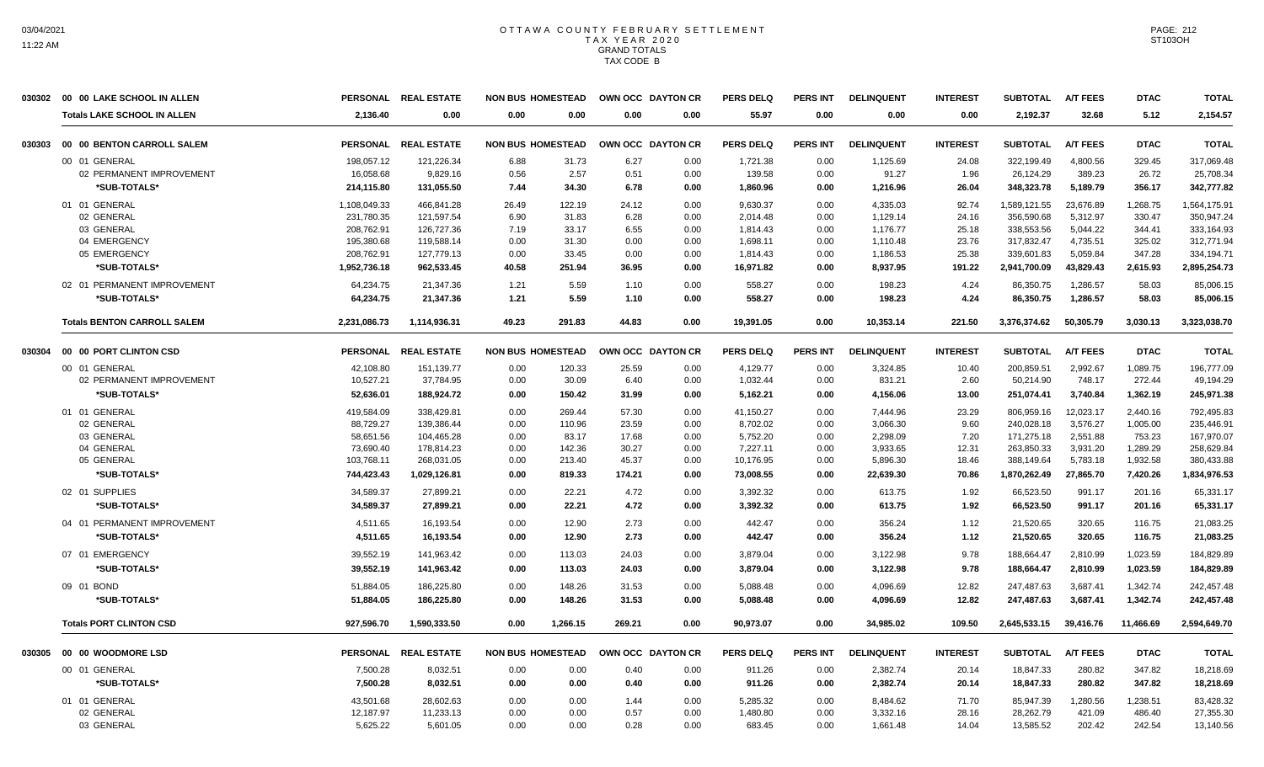|        | 030302 00 00 LAKE SCHOOL IN ALLEN  |              | PERSONAL REAL ESTATE | <b>NON BUS HOMESTEAD</b> |          | OWN OCC DAYTON CR |      | <b>PERS DELQ</b> | <b>PERS INT</b> | <b>DELINQUENT</b> | <b>INTEREST</b> | <b>SUBTOTAL</b> | <b>A/T FEES</b> | <b>DTAC</b> | <b>TOTAL</b> |
|--------|------------------------------------|--------------|----------------------|--------------------------|----------|-------------------|------|------------------|-----------------|-------------------|-----------------|-----------------|-----------------|-------------|--------------|
|        | <b>Totals LAKE SCHOOL IN ALLEN</b> | 2.136.40     | 0.00                 | 0.00                     | 0.00     | 0.00              | 0.00 | 55.97            | 0.00            | 0.00              | 0.00            | 2.192.37        | 32.68           | 5.12        | 2,154.57     |
| 030303 | 00 00 BENTON CARROLL SALEM         |              | PERSONAL REAL ESTATE | <b>NON BUS HOMESTEAD</b> |          | OWN OCC DAYTON CR |      | <b>PERS DELQ</b> | <b>PERS INT</b> | <b>DELINQUENT</b> | <b>INTEREST</b> | <b>SUBTOTAL</b> | <b>A/T FEES</b> | <b>DTAC</b> | <b>TOTAL</b> |
|        | 00 01 GENERAL                      | 198,057.12   | 121,226.34           | 6.88                     | 31.73    | 6.27              | 0.00 | 1,721.38         | 0.00            | 1,125.69          | 24.08           | 322,199.49      | 4,800.56        | 329.45      | 317,069.48   |
|        | 02 PERMANENT IMPROVEMENT           | 16,058.68    | 9,829.16             | 0.56                     | 2.57     | 0.51              | 0.00 | 139.58           | 0.00            | 91.27             | 1.96            | 26,124.29       | 389.23          | 26.72       | 25,708.34    |
|        | *SUB-TOTALS*                       | 214,115.80   | 131,055.50           | 7.44                     | 34.30    | 6.78              | 0.00 | 1,860.96         | 0.00            | 1,216.96          | 26.04           | 348,323.78      | 5,189.79        | 356.17      | 342,777.82   |
|        | 01 01 GENERAL                      | 1,108,049.33 | 466,841.28           | 26.49                    | 122.19   | 24.12             | 0.00 | 9,630.37         | 0.00            | 4,335.03          | 92.74           | 1,589,121.55    | 23,676.89       | 1,268.75    | 1,564,175.91 |
|        | 02 GENERAL                         | 231,780.35   | 121,597.54           | 6.90                     | 31.83    | 6.28              | 0.00 | 2,014.48         | 0.00            | 1,129.14          | 24.16           | 356,590.68      | 5,312.97        | 330.47      | 350,947.24   |
|        | 03 GENERAL                         | 208.762.91   | 126.727.36           | 7.19                     | 33.17    | 6.55              | 0.00 | 1.814.43         | 0.00            | 1.176.77          | 25.18           | 338.553.56      | 5.044.22        | 344.41      | 333.164.93   |
|        | 04 EMERGENCY                       | 195,380.68   | 119,588.14           | 0.00                     | 31.30    | 0.00              | 0.00 | 1,698.11         | 0.00            | 1,110.48          | 23.76           | 317,832.47      | 4,735.51        | 325.02      | 312,771.94   |
|        | 05 EMERGENCY                       | 208,762.91   | 127,779.13           | 0.00                     | 33.45    | 0.00              | 0.00 | 1,814.43         | 0.00            | 1,186.53          | 25.38           | 339,601.83      | 5,059.84        | 347.28      | 334,194.71   |
|        | *SUB-TOTALS*                       | 1,952,736.18 | 962,533.45           | 40.58                    | 251.94   | 36.95             | 0.00 | 16,971.82        | 0.00            | 8,937.95          | 191.22          | 2,941,700.09    | 43,829.43       | 2,615.93    | 2,895,254.73 |
|        | 02 01 PERMANENT IMPROVEMENT        | 64.234.75    | 21.347.36            | 1.21                     | 5.59     | 1.10              | 0.00 | 558.27           | 0.00            | 198.23            | 4.24            | 86,350.75       | 1.286.57        | 58.03       | 85,006.15    |
|        | *SUB-TOTALS*                       | 64,234.75    | 21,347.36            | 1.21                     | 5.59     | 1.10              | 0.00 | 558.27           | 0.00            | 198.23            | 4.24            | 86,350.75       | 1,286.57        | 58.03       | 85,006.15    |
|        | <b>Totals BENTON CARROLL SALEM</b> | 2,231,086.73 | 1,114,936.31         | 49.23                    | 291.83   | 44.83             | 0.00 | 19.391.05        | 0.00            | 10,353.14         | 221.50          | 3,376,374.62    | 50,305.79       | 3.030.13    | 3,323,038.70 |
| 030304 | 00 00 PORT CLINTON CSD             |              | PERSONAL REAL ESTATE | <b>NON BUS HOMESTEAD</b> |          | OWN OCC DAYTON CR |      | <b>PERS DELQ</b> | <b>PERS INT</b> | <b>DELINQUENT</b> | <b>INTEREST</b> | <b>SUBTOTAL</b> | <b>A/T FEES</b> | <b>DTAC</b> | <b>TOTAL</b> |
|        | 00 01 GENERAL                      | 42,108.80    | 151,139.77           | 0.00                     | 120.33   | 25.59             | 0.00 | 4,129.77         | 0.00            | 3,324.85          | 10.40           | 200,859.51      | 2,992.67        | 1,089.75    | 196,777.09   |
|        | 02 PERMANENT IMPROVEMENT           | 10,527.21    | 37,784.95            | 0.00                     | 30.09    | 6.40              | 0.00 | 1,032.44         | 0.00            | 831.21            | 2.60            | 50,214.90       | 748.17          | 272.44      | 49,194.29    |
|        | *SUB-TOTALS*                       | 52,636.01    | 188,924.72           | 0.00                     | 150.42   | 31.99             | 0.00 | 5,162.21         | 0.00            | 4,156.06          | 13.00           | 251,074.41      | 3,740.84        | 1,362.19    | 245,971.38   |
|        | 01 01 GENERAL                      | 419,584.09   | 338,429.81           | 0.00                     | 269.44   | 57.30             | 0.00 | 41,150.27        | 0.00            | 7,444.96          | 23.29           | 806,959.16      | 12,023.17       | 2,440.16    | 792,495.83   |
|        | 02 GENERAL                         | 88,729.27    | 139,386.44           | 0.00                     | 110.96   | 23.59             | 0.00 | 8,702.02         | 0.00            | 3,066.30          | 9.60            | 240,028.18      | 3,576.27        | 1,005.00    | 235,446.91   |
|        | 03 GENERAL                         | 58,651.56    | 104,465.28           | 0.00                     | 83.17    | 17.68             | 0.00 | 5,752.20         | 0.00            | 2,298.09          | 7.20            | 171,275.18      | 2,551.88        | 753.23      | 167,970.07   |
|        | 04 GENERAL                         | 73,690.40    | 178,814.23           | 0.00                     | 142.36   | 30.27             | 0.00 | 7,227.11         | 0.00            | 3,933.65          | 12.31           | 263,850.33      | 3,931.20        | 1,289.29    | 258,629.84   |
|        | 05 GENERAL                         | 103,768.11   | 268,031.05           | 0.00                     | 213.40   | 45.37             | 0.00 | 10,176.95        | 0.00            | 5,896.30          | 18.46           | 388,149.64      | 5,783.18        | 1,932.58    | 380,433.88   |
|        | *SUB-TOTALS*                       | 744,423.43   | 1,029,126.81         | 0.00                     | 819.33   | 174.21            | 0.00 | 73,008.55        | 0.00            | 22,639.30         | 70.86           | 1,870,262.49    | 27,865.70       | 7,420.26    | 1,834,976.53 |
|        | 02 01 SUPPLIES                     | 34,589.37    | 27,899.21            | 0.00                     | 22.21    | 4.72              | 0.00 | 3,392.32         | 0.00            | 613.75            | 1.92            | 66,523.50       | 991.17          | 201.16      | 65,331.17    |
|        | *SUB-TOTALS*                       | 34,589.37    | 27,899.21            | 0.00                     | 22.21    | 4.72              | 0.00 | 3,392.32         | 0.00            | 613.75            | 1.92            | 66,523.50       | 991.17          | 201.16      | 65,331.17    |
|        | 04 01 PERMANENT IMPROVEMENT        | 4.511.65     | 16.193.54            | 0.00                     | 12.90    | 2.73              | 0.00 | 442.47           | 0.00            | 356.24            | 1.12            | 21,520.65       | 320.65          | 116.75      | 21.083.25    |
|        | *SUB-TOTALS*                       | 4,511.65     | 16,193.54            | 0.00                     | 12.90    | 2.73              | 0.00 | 442.47           | 0.00            | 356.24            | 1.12            | 21,520.65       | 320.65          | 116.75      | 21,083.25    |
|        | 07 01 EMERGENCY                    | 39,552.19    | 141,963.42           | 0.00                     | 113.03   | 24.03             | 0.00 | 3,879.04         | 0.00            | 3,122.98          | 9.78            | 188,664.47      | 2,810.99        | 1,023.59    | 184,829.89   |
|        | *SUB-TOTALS*                       | 39,552.19    | 141.963.42           | 0.00                     | 113.03   | 24.03             | 0.00 | 3.879.04         | 0.00            | 3,122.98          | 9.78            | 188.664.47      | 2.810.99        | 1,023.59    | 184,829.89   |
|        | 09 01 BOND                         | 51,884.05    | 186.225.80           | 0.00                     | 148.26   | 31.53             | 0.00 | 5,088.48         | 0.00            | 4,096.69          | 12.82           | 247,487.63      | 3.687.41        | 1,342.74    | 242,457.48   |
|        | *SUB-TOTALS*                       | 51,884.05    | 186,225.80           | 0.00                     | 148.26   | 31.53             | 0.00 | 5,088.48         | 0.00            | 4,096.69          | 12.82           | 247,487.63      | 3,687.41        | 1,342.74    | 242,457.48   |
|        | <b>Totals PORT CLINTON CSD</b>     | 927,596.70   | 1,590,333.50         | 0.00                     | 1,266.15 | 269.21            | 0.00 | 90,973.07        | 0.00            | 34,985.02         | 109.50          | 2,645,533.15    | 39,416.76       | 11,466.69   | 2,594,649.70 |
| 030305 | 00 00 WOODMORE LSD                 |              | PERSONAL REAL ESTATE | <b>NON BUS HOMESTEAD</b> |          | OWN OCC DAYTON CR |      | <b>PERS DELQ</b> | <b>PERS INT</b> | <b>DELINQUENT</b> | <b>INTEREST</b> | <b>SUBTOTAL</b> | <b>A/T FEES</b> | <b>DTAC</b> | <b>TOTAL</b> |
|        | 00 01 GENERAL                      | 7,500.28     | 8,032.51             | 0.00                     | 0.00     | 0.40              | 0.00 | 911.26           | 0.00            | 2,382.74          | 20.14           | 18,847.33       | 280.82          | 347.82      | 18,218.69    |
|        | *SUB-TOTALS*                       | 7,500.28     | 8,032.51             | 0.00                     | 0.00     | 0.40              | 0.00 | 911.26           | 0.00            | 2,382.74          | 20.14           | 18,847.33       | 280.82          | 347.82      | 18,218.69    |
|        | 01 01 GENERAL                      | 43,501.68    | 28,602.63            | 0.00                     | 0.00     | 1.44              | 0.00 | 5,285.32         | 0.00            | 8,484.62          | 71.70           | 85,947.39       | 1,280.56        | 1,238.51    | 83,428.32    |
|        | 02 GENERAL                         | 12,187.97    | 11,233.13            | 0.00                     | 0.00     | 0.57              | 0.00 | 1,480.80         | 0.00            | 3,332.16          | 28.16           | 28,262.79       | 421.09          | 486.40      | 27,355.30    |
|        | 03 GENERAL                         | 5,625.22     | 5,601.05             | 0.00                     | 0.00     | 0.28              | 0.00 | 683.45           | 0.00            | 1,661.48          | 14.04           | 13,585.52       | 202.42          | 242.54      | 13,140.56    |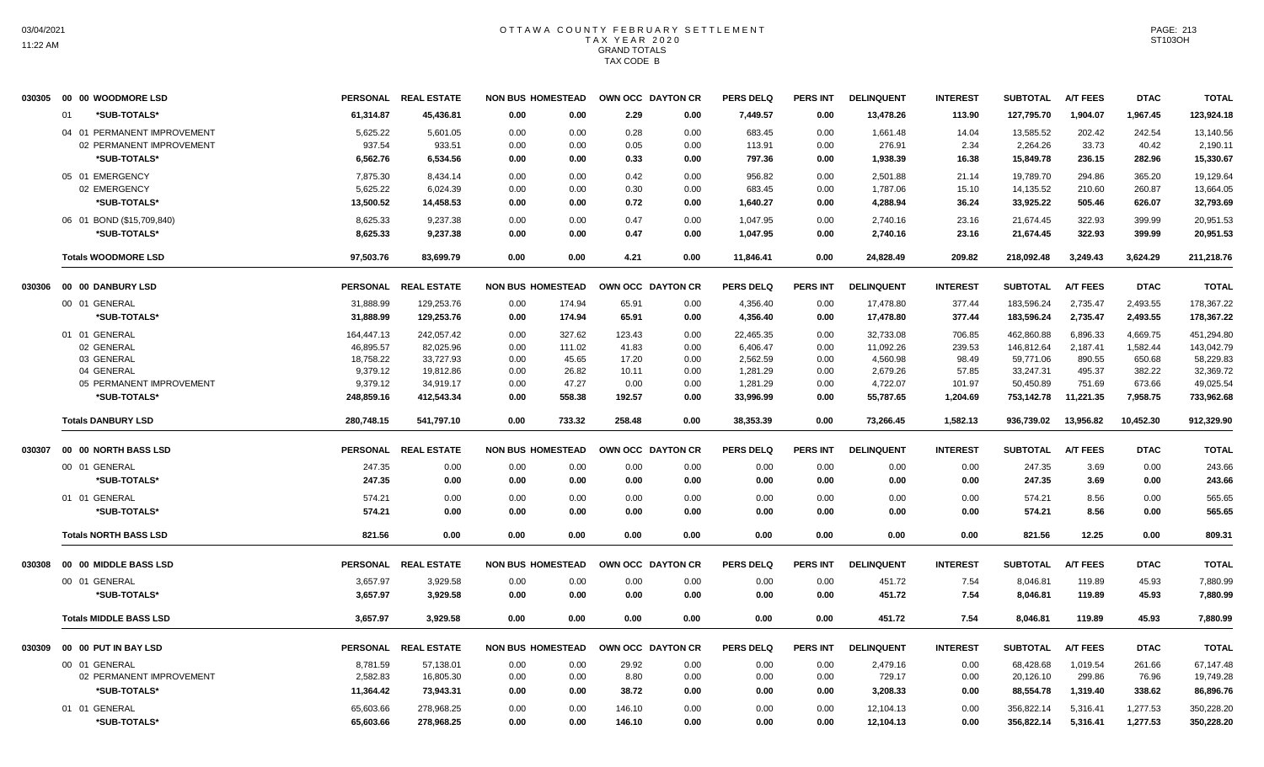| 030305 | 00 00 WOODMORE LSD            |                 | PERSONAL REAL ESTATE | <b>NON BUS HOMESTEAD</b> |       |        | OWN OCC DAYTON CR | <b>PERS DELQ</b> | <b>PERS INT</b> | <b>DELINQUENT</b> | <b>INTEREST</b> | <b>SUBTOTAL</b> | <b>A/T FEES</b> | <b>DTAC</b> | <b>TOTAL</b> |
|--------|-------------------------------|-----------------|----------------------|--------------------------|-------|--------|-------------------|------------------|-----------------|-------------------|-----------------|-----------------|-----------------|-------------|--------------|
|        | *SUB-TOTALS*<br>01            | 61,314.87       | 45,436.81            | 0.00                     | 0.00  | 2.29   | 0.00              | 7,449.57         | 0.00            | 13,478.26         | 113.90          | 127,795.70      | 1,904.07        | 1,967.45    | 123,924.18   |
|        | 04 01 PERMANENT IMPROVEMENT   | 5,625.22        | 5,601.05             | 0.00                     | 0.00  | 0.28   | 0.00              | 683.45           | 0.00            | 1,661.48          | 14.04           | 13,585.52       | 202.42          | 242.54      | 13,140.56    |
|        | 02 PERMANENT IMPROVEMENT      | 937.54          | 933.51               | 0.00                     | 0.00  | 0.05   | 0.00              | 113.91           | 0.00            | 276.91            | 2.34            | 2,264.26        | 33.73           | 40.42       | 2,190.11     |
|        | *SUB-TOTALS*                  | 6,562.76        | 6,534.56             | 0.00                     | 0.00  | 0.33   | 0.00              | 797.36           | 0.00            | 1,938.39          | 16.38           | 15,849.78       | 236.15          | 282.96      | 15,330.67    |
|        | 05 01 EMERGENCY               | 7.875.30        | 8,434.14             | 0.00                     | 0.00  | 0.42   | 0.00              | 956.82           | 0.00            | 2,501.88          | 21.14           | 19,789.70       | 294.86          | 365.20      | 19,129.64    |
|        | 02 EMERGENCY                  | 5,625.22        | 6,024.39             | 0.00                     | 0.00  | 0.30   | 0.00              | 683.45           | 0.00            | 1,787.06          | 15.10           | 14,135.52       | 210.60          | 260.87      | 13,664.05    |
|        | *SUB-TOTALS*                  | 13,500.52       | 14,458.53            | 0.00                     | 0.00  | 0.72   | 0.00              | 1,640.27         | 0.00            | 4,288.94          | 36.24           | 33,925.22       | 505.46          | 626.07      | 32,793.69    |
|        | 06 01 BOND (\$15,709,840)     | 8,625.33        | 9,237.38             | 0.00                     | 0.00  | 0.47   | 0.00              | 1,047.95         | 0.00            | 2,740.16          | 23.16           | 21,674.45       | 322.93          | 399.99      | 20,951.53    |
|        | <b>*SUB-TOTALS*</b>           | 8,625.33        | 9,237.38             | 0.00                     | 0.00  | 0.47   | 0.00              | 1,047.95         | 0.00            | 2,740.16          | 23.16           | 21,674.45       | 322.93          | 399.99      | 20,951.53    |
|        | <b>Totals WOODMORE LSD</b>    | 97.503.76       | 83.699.79            | 0.00                     | 0.00  | 4.21   | 0.00              | 11.846.41        | 0.00            | 24.828.49         | 209.82          | 218.092.48      | 3.249.43        | 3.624.29    | 211.218.76   |
| 030306 | 00 00 DANBURY LSD             | <b>PERSONAL</b> | <b>REAL ESTATE</b>   | <b>NON BUS HOMESTEAD</b> |       |        | OWN OCC DAYTON CR | <b>PERS DELQ</b> | <b>PERS INT</b> | <b>DELINQUENT</b> | <b>INTEREST</b> | <b>SUBTOTAL</b> | <b>A/T FEES</b> | <b>DTAC</b> | <b>TOTAL</b> |
|        | 00 01 GENERAL                 | 31.888.99       | 129.253.76           | 174.94<br>0.00           |       | 65.91  | 0.00              | 4.356.40         | 0.00            | 17.478.80         | 377.44          | 183.596.24      | 2.735.47        | 2.493.55    | 178,367.22   |
|        | *SUB-TOTALS*                  | 31,888.99       | 129,253.76           | 0.00<br>174.94           |       | 65.91  | 0.00              | 4,356.40         | 0.00            | 17,478.80         | 377.44          | 183,596.24      | 2,735.47        | 2,493.55    | 178,367.22   |
|        | 01 01 GENERAL                 | 164,447.13      | 242,057.42           | 0.00<br>327.62           |       | 123.43 | 0.00              | 22,465.35        | 0.00            | 32,733.08         | 706.85          | 462,860.88      | 6,896.33        | 4,669.75    | 451,294.80   |
|        | 02 GENERAL                    | 46,895.57       | 82,025.96            | 0.00<br>111.02           |       | 41.83  | 0.00              | 6,406.47         | 0.00            | 11,092.26         | 239.53          | 146,812.64      | 2,187.41        | 1,582.44    | 143,042.79   |
|        | 03 GENERAL                    | 18,758.22       | 33,727.93            | 0.00                     | 45.65 | 17.20  | 0.00              | 2,562.59         | 0.00            | 4,560.98          | 98.49           | 59,771.06       | 890.55          | 650.68      | 58,229.83    |
|        | 04 GENERAL                    | 9,379.12        | 19,812.86            | 0.00                     | 26.82 | 10.11  | 0.00              | 1,281.29         | 0.00            | 2,679.26          | 57.85           | 33,247.31       | 495.37          | 382.22      | 32,369.72    |
|        | 05 PERMANENT IMPROVEMENT      | 9,379.12        | 34,919.17            | 0.00                     | 47.27 | 0.00   | 0.00              | 1,281.29         | 0.00            | 4,722.07          | 101.97          | 50,450.89       | 751.69          | 673.66      | 49,025.54    |
|        | *SUB-TOTALS*                  | 248,859.16      | 412,543.34           | 0.00<br>558.38           |       | 192.57 | 0.00              | 33,996.99        | 0.00            | 55,787.65         | 1,204.69        | 753,142.78      | 11,221.35       | 7,958.75    | 733,962.68   |
|        | <b>Totals DANBURY LSD</b>     | 280,748.15      | 541,797.10           | 0.00<br>733.32           |       | 258.48 | 0.00              | 38,353.39        | 0.00            | 73,266.45         | 1,582.13        | 936,739.02      | 13,956.82       | 10,452.30   | 912,329.90   |
| 030307 | 00 00 NORTH BASS LSD          |                 | PERSONAL REAL ESTATE | <b>NON BUS HOMESTEAD</b> |       |        | OWN OCC DAYTON CR | PERS DELO        | <b>PERS INT</b> | <b>DELINQUENT</b> | <b>INTEREST</b> | <b>SUBTOTAL</b> | <b>A/T FEES</b> | <b>DTAC</b> | <b>TOTAL</b> |
|        | 00 01 GENERAL                 | 247.35          | 0.00                 | 0.00                     | 0.00  | 0.00   | 0.00              | 0.00             | 0.00            | 0.00              | 0.00            | 247.35          | 3.69            | 0.00        | 243.66       |
|        | *SUB-TOTALS*                  | 247.35          | 0.00                 | 0.00                     | 0.00  | 0.00   | 0.00              | 0.00             | 0.00            | 0.00              | 0.00            | 247.35          | 3.69            | 0.00        | 243.66       |
|        | 01 01 GENERAL                 | 574.21          | 0.00                 | 0.00                     | 0.00  | 0.00   | 0.00              | 0.00             | 0.00            | 0.00              | 0.00            | 574.21          | 8.56            | 0.00        | 565.65       |
|        | *SUB-TOTALS*                  | 574.21          | 0.00                 | 0.00                     | 0.00  | 0.00   | 0.00              | 0.00             | 0.00            | 0.00              | 0.00            | 574.21          | 8.56            | 0.00        | 565.65       |
|        | <b>Totals NORTH BASS LSD</b>  | 821.56          | 0.00                 | 0.00                     | 0.00  | 0.00   | 0.00              | 0.00             | 0.00            | 0.00              | 0.00            | 821.56          | 12.25           | 0.00        | 809.31       |
| 030308 | 00 00 MIDDLE BASS LSD         |                 | PERSONAL REAL ESTATE | <b>NON BUS HOMESTEAD</b> |       |        | OWN OCC DAYTON CR | <b>PERS DELQ</b> | PERS INT        | <b>DELINQUENT</b> | <b>INTEREST</b> | <b>SUBTOTAL</b> | <b>A/T FEES</b> | <b>DTAC</b> | <b>TOTAL</b> |
|        | 00 01 GENERAL                 | 3,657.97        | 3,929.58             | 0.00                     | 0.00  | 0.00   | 0.00              | 0.00             | 0.00            | 451.72            | 7.54            | 8,046.81        | 119.89          | 45.93       | 7,880.99     |
|        | *SUB-TOTALS*                  | 3.657.97        | 3,929.58             | 0.00                     | 0.00  | 0.00   | 0.00              | 0.00             | 0.00            | 451.72            | 7.54            | 8,046.81        | 119.89          | 45.93       | 7,880.99     |
|        | <b>Totals MIDDLE BASS LSD</b> | 3.657.97        | 3,929.58             | 0.00                     | 0.00  | 0.00   | 0.00              | 0.00             | 0.00            | 451.72            | 7.54            | 8,046.81        | 119.89          | 45.93       | 7,880.99     |
| 030309 | 00 00 PUT IN BAY LSD          |                 | PERSONAL REAL ESTATE | <b>NON BUS HOMESTEAD</b> |       |        | OWN OCC DAYTON CR | <b>PERS DELQ</b> | <b>PERS INT</b> | <b>DELINQUENT</b> | <b>INTEREST</b> | <b>SUBTOTAL</b> | A/T FEES        | <b>DTAC</b> | <b>TOTAL</b> |
|        | 00 01 GENERAL                 | 8,781.59        | 57,138.01            | 0.00                     | 0.00  | 29.92  | 0.00              | 0.00             | 0.00            | 2,479.16          | 0.00            | 68,428.68       | 1,019.54        | 261.66      | 67,147.48    |
|        | 02 PERMANENT IMPROVEMENT      | 2,582.83        | 16,805.30            | 0.00                     | 0.00  | 8.80   | 0.00              | 0.00             | 0.00            | 729.17            | 0.00            | 20,126.10       | 299.86          | 76.96       | 19,749.28    |
|        | *SUB-TOTALS*                  | 11,364.42       | 73,943.31            | 0.00                     | 0.00  | 38.72  | 0.00              | 0.00             | 0.00            | 3,208.33          | 0.00            | 88,554.78       | 1,319.40        | 338.62      | 86,896.76    |
|        | 01 01 GENERAL                 | 65,603.66       | 278,968.25           | 0.00                     | 0.00  | 146.10 | 0.00              | 0.00             | 0.00            | 12,104.13         | 0.00            | 356,822.14      | 5,316.41        | 1,277.53    | 350,228.20   |
|        | *SUB-TOTALS*                  | 65,603.66       | 278.968.25           | 0.00                     | 0.00  | 146.10 | 0.00              | 0.00             | 0.00            | 12,104.13         | 0.00            | 356,822.14      | 5,316.41        | 1,277.53    | 350,228.20   |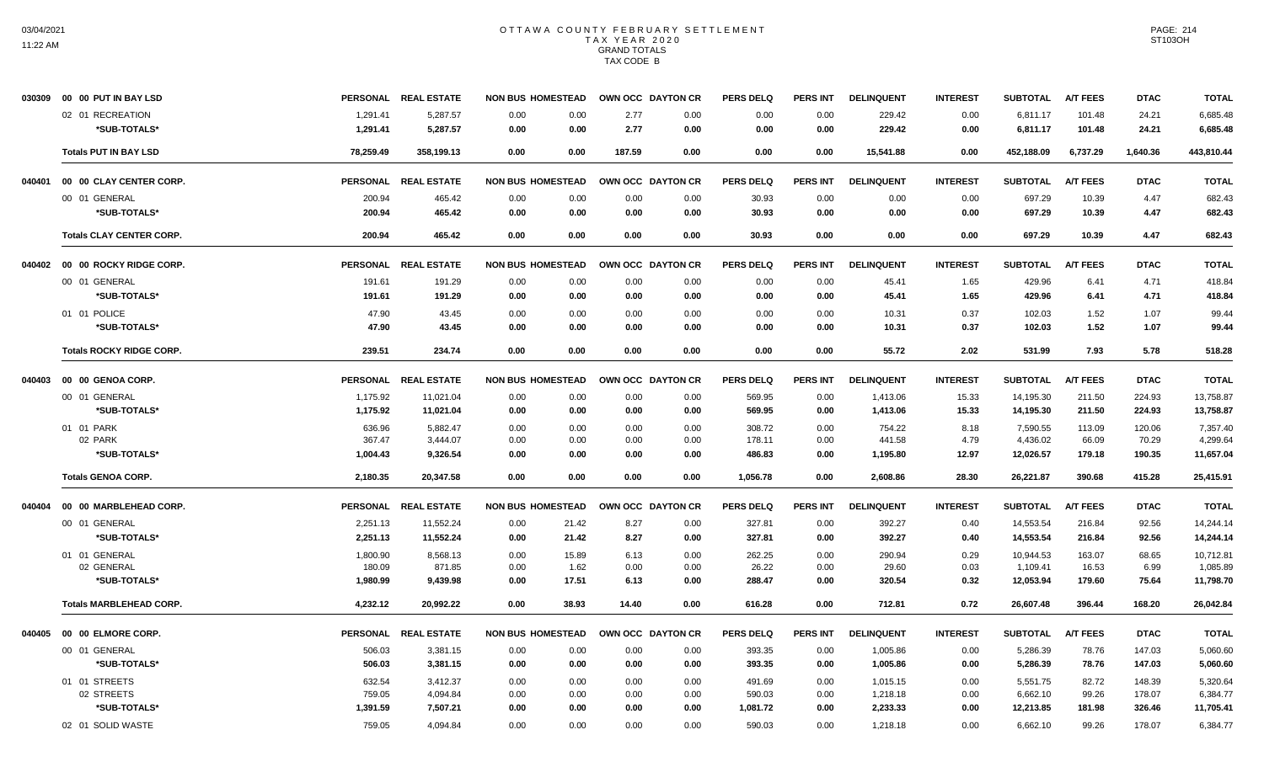|        | 030309 00 00 PUT IN BAY LSD     |           | PERSONAL REAL ESTATE | <b>NON BUS HOMESTEAD</b> |       | OWN OCC DAYTON CR |      | <b>PERS DELQ</b> | <b>PERS INT</b> | <b>DELINQUENT</b> | <b>INTEREST</b> | <b>SUBTOTAL</b> | <b>A/T FEES</b> | <b>DTAC</b> | <b>TOTAL</b> |
|--------|---------------------------------|-----------|----------------------|--------------------------|-------|-------------------|------|------------------|-----------------|-------------------|-----------------|-----------------|-----------------|-------------|--------------|
|        | 02 01 RECREATION                | 1,291.41  | 5,287.57             | 0.00                     | 0.00  | 2.77              | 0.00 | 0.00             | 0.00            | 229.42            | 0.00            | 6,811.17        | 101.48          | 24.21       | 6,685.48     |
|        | *SUB-TOTALS*                    | 1,291.41  | 5,287.57             | 0.00                     | 0.00  | 2.77              | 0.00 | 0.00             | 0.00            | 229.42            | 0.00            | 6,811.17        | 101.48          | 24.21       | 6,685.48     |
|        | <b>Totals PUT IN BAY LSD</b>    | 78,259.49 | 358,199.13           | 0.00                     | 0.00  | 187.59            | 0.00 | 0.00             | 0.00            | 15,541.88         | 0.00            | 452,188.09      | 6,737.29        | 1,640.36    | 443,810.44   |
| 040401 | 00 00 CLAY CENTER CORP.         |           | PERSONAL REAL ESTATE | <b>NON BUS HOMESTEAD</b> |       | OWN OCC DAYTON CR |      | <b>PERS DELQ</b> | <b>PERS INT</b> | <b>DELINQUENT</b> | <b>INTEREST</b> | <b>SUBTOTAL</b> | <b>A/T FEES</b> | <b>DTAC</b> | <b>TOTAL</b> |
|        | 00 01 GENERAL                   | 200.94    | 465.42               | 0.00                     | 0.00  | 0.00              | 0.00 | 30.93            | 0.00            | 0.00              | 0.00            | 697.29          | 10.39           | 4.47        | 682.43       |
|        | *SUB-TOTALS*                    | 200.94    | 465.42               | 0.00                     | 0.00  | 0.00              | 0.00 | 30.93            | 0.00            | 0.00              | 0.00            | 697.29          | 10.39           | 4.47        | 682.43       |
|        | <b>Totals CLAY CENTER CORP.</b> | 200.94    | 465.42               | 0.00                     | 0.00  | 0.00              | 0.00 | 30.93            | 0.00            | 0.00              | 0.00            | 697.29          | 10.39           | 4.47        | 682.43       |
|        | 040402 00 00 ROCKY RIDGE CORP.  |           | PERSONAL REAL ESTATE | <b>NON BUS HOMESTEAD</b> |       | OWN OCC DAYTON CR |      | <b>PERS DELQ</b> | <b>PERS INT</b> | <b>DELINQUENT</b> | <b>INTEREST</b> | <b>SUBTOTAL</b> | <b>A/T FEES</b> | <b>DTAC</b> | <b>TOTAL</b> |
|        | 00 01 GENERAL                   | 191.61    | 191.29               | 0.00                     | 0.00  | 0.00              | 0.00 | 0.00             | 0.00            | 45.41             | 1.65            | 429.96          | 6.41            | 4.71        | 418.84       |
|        | *SUB-TOTALS*                    | 191.61    | 191.29               | 0.00                     | 0.00  | 0.00              | 0.00 | 0.00             | 0.00            | 45.41             | 1.65            | 429.96          | 6.41            | 4.71        | 418.84       |
|        | 01 01 POLICE                    | 47.90     | 43.45                | 0.00                     | 0.00  | 0.00              | 0.00 | 0.00             | 0.00            | 10.31             | 0.37            | 102.03          | 1.52            | 1.07        | 99.44        |
|        | *SUB-TOTALS*                    | 47.90     | 43.45                | 0.00                     | 0.00  | 0.00              | 0.00 | 0.00             | 0.00            | 10.31             | 0.37            | 102.03          | 1.52            | 1.07        | 99.44        |
|        | <b>Totals ROCKY RIDGE CORP.</b> | 239.51    | 234.74               | 0.00                     | 0.00  | 0.00              | 0.00 | 0.00             | 0.00            | 55.72             | 2.02            | 531.99          | 7.93            | 5.78        | 518.28       |
|        | 040403 00 00 GENOA CORP.        |           | PERSONAL REAL ESTATE | <b>NON BUS HOMESTEAD</b> |       | OWN OCC DAYTON CR |      | <b>PERS DELQ</b> | <b>PERS INT</b> | <b>DELINQUENT</b> | <b>INTEREST</b> | <b>SUBTOTAL</b> | <b>A/T FEES</b> | <b>DTAC</b> | <b>TOTAL</b> |
|        | 00 01 GENERAL                   | 1,175.92  | 11,021.04            | 0.00                     | 0.00  | 0.00              | 0.00 | 569.95           | 0.00            | 1,413.06          | 15.33           | 14,195.30       | 211.50          | 224.93      | 13,758.87    |
|        | *SUB-TOTALS*                    | 1,175.92  | 11,021.04            | 0.00                     | 0.00  | 0.00              | 0.00 | 569.95           | 0.00            | 1,413.06          | 15.33           | 14,195.30       | 211.50          | 224.93      | 13,758.87    |
|        | 01 01 PARK                      | 636.96    | 5,882.47             | 0.00                     | 0.00  | 0.00              | 0.00 | 308.72           | 0.00            | 754.22            | 8.18            | 7,590.55        | 113.09          | 120.06      | 7,357.40     |
|        | 02 PARK                         | 367.47    | 3,444.07             | 0.00                     | 0.00  | 0.00              | 0.00 | 178.11           | 0.00            | 441.58            | 4.79            | 4,436.02        | 66.09           | 70.29       | 4.299.64     |
|        | *SUB-TOTALS*                    | 1,004.43  | 9,326.54             | 0.00                     | 0.00  | 0.00              | 0.00 | 486.83           | 0.00            | 1,195.80          | 12.97           | 12,026.57       | 179.18          | 190.35      | 11,657.04    |
|        | <b>Totals GENOA CORP.</b>       | 2,180.35  | 20,347.58            | 0.00                     | 0.00  | 0.00              | 0.00 | 1,056.78         | 0.00            | 2,608.86          | 28.30           | 26,221.87       | 390.68          | 415.28      | 25,415.91    |
|        | 040404 00 00 MARBLEHEAD CORP.   |           | PERSONAL REAL ESTATE | <b>NON BUS HOMESTEAD</b> |       | OWN OCC DAYTON CR |      | <b>PERS DELQ</b> | <b>PERS INT</b> | <b>DELINQUENT</b> | <b>INTEREST</b> | <b>SUBTOTAL</b> | <b>A/T FEES</b> | <b>DTAC</b> | <b>TOTAL</b> |
|        | 00 01 GENERAL                   | 2,251.13  | 11,552.24            | 0.00                     | 21.42 | 8.27              | 0.00 | 327.81           | 0.00            | 392.27            | 0.40            | 14,553.54       | 216.84          | 92.56       | 14.244.14    |
|        | *SUB-TOTALS*                    | 2,251.13  | 11,552.24            | 0.00                     | 21.42 | 8.27              | 0.00 | 327.81           | 0.00            | 392.27            | 0.40            | 14,553.54       | 216.84          | 92.56       | 14,244.14    |
|        | 01 01 GENERAL                   | 1,800.90  | 8,568.13             | 0.00                     | 15.89 | 6.13              | 0.00 | 262.25           | 0.00            | 290.94            | 0.29            | 10.944.53       | 163.07          | 68.65       | 10.712.81    |
|        | 02 GENERAL                      | 180.09    | 871.85               | 0.00                     | 1.62  | 0.00              | 0.00 | 26.22            | 0.00            | 29.60             | 0.03            | 1,109.41        | 16.53           | 6.99        | 1,085.89     |
|        | *SUB-TOTALS*                    | 1,980.99  | 9,439.98             | 0.00                     | 17.51 | 6.13              | 0.00 | 288.47           | 0.00            | 320.54            | 0.32            | 12,053.94       | 179.60          | 75.64       | 11,798.70    |
|        | <b>Totals MARBLEHEAD CORP.</b>  | 4,232.12  | 20,992.22            | 0.00                     | 38.93 | 14.40             | 0.00 | 616.28           | 0.00            | 712.81            | 0.72            | 26,607.48       | 396.44          | 168.20      | 26,042.84    |
|        | 040405 00 00 ELMORE CORP.       |           | PERSONAL REAL ESTATE | <b>NON BUS HOMESTEAD</b> |       | OWN OCC DAYTON CR |      | <b>PERS DELQ</b> | <b>PERS INT</b> | <b>DELINQUENT</b> | <b>INTEREST</b> | <b>SUBTOTAL</b> | <b>A/T FEES</b> | <b>DTAC</b> | <b>TOTAL</b> |
|        | 00 01 GENERAL                   | 506.03    | 3,381.15             | 0.00                     | 0.00  | 0.00              | 0.00 | 393.35           | 0.00            | 1,005.86          | 0.00            | 5,286.39        | 78.76           | 147.03      | 5,060.60     |
|        | *SUB-TOTALS*                    | 506.03    | 3,381.15             | 0.00                     | 0.00  | 0.00              | 0.00 | 393.35           | 0.00            | 1,005.86          | 0.00            | 5,286.39        | 78.76           | 147.03      | 5,060.60     |
|        | 01 01 STREETS                   | 632.54    | 3,412.37             | 0.00                     | 0.00  | 0.00              | 0.00 | 491.69           | 0.00            | 1,015.15          | 0.00            | 5,551.75        | 82.72           | 148.39      | 5,320.64     |
|        | 02 STREETS                      | 759.05    | 4,094.84             | 0.00                     | 0.00  | 0.00              | 0.00 | 590.03           | 0.00            | 1,218.18          | 0.00            | 6,662.10        | 99.26           | 178.07      | 6,384.77     |
|        | *SUB-TOTALS*                    | 1,391.59  | 7,507.21             | 0.00                     | 0.00  | 0.00              | 0.00 | 1,081.72         | 0.00            | 2,233.33          | 0.00            | 12,213.85       | 181.98          | 326.46      | 11,705.41    |
|        | 02 01 SOLID WASTE               | 759.05    | 4.094.84             | 0.00                     | 0.00  | 0.00              | 0.00 | 590.03           | 0.00            | 1,218.18          | 0.00            | 6,662.10        | 99.26           | 178.07      | 6.384.77     |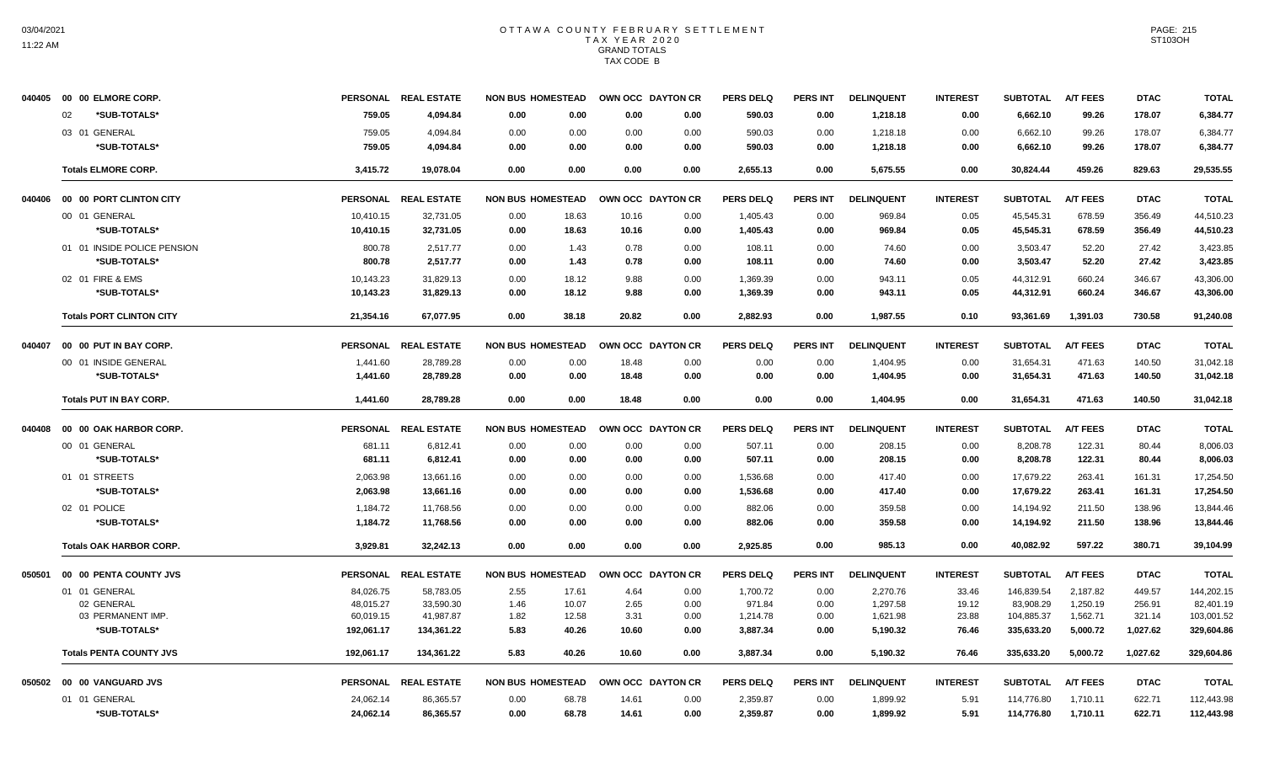11:22 AM

|        | 040405  00  00  ELMORE CORP.    |                 | PERSONAL REAL ESTATE | <b>NON BUS HOMESTEAD</b> | OWN OCC DAYTON CR |                   | <b>PERS DELQ</b> | <b>PERS INT</b> | <b>DELINQUENT</b> | <b>INTEREST</b> | <b>SUBTOTAL</b> | <b>A/T FEES</b> | <b>DTAC</b> | <b>TOTAL</b> |
|--------|---------------------------------|-----------------|----------------------|--------------------------|-------------------|-------------------|------------------|-----------------|-------------------|-----------------|-----------------|-----------------|-------------|--------------|
|        | *SUB-TOTALS*<br>02              | 759.05          | 4,094.84             | 0.00<br>0.00             | 0.00              | 0.00              | 590.03           | 0.00            | 1,218.18          | 0.00            | 6,662.10        | 99.26           | 178.07      | 6,384.77     |
|        | 03 01 GENERAL                   | 759.05          | 4,094.84             | 0.00<br>0.00             | 0.00              | 0.00              | 590.03           | 0.00            | 1,218.18          | 0.00            | 6,662.10        | 99.26           | 178.07      | 6,384.77     |
|        | *SUB-TOTALS*                    | 759.05          | 4.094.84             | 0.00<br>0.00             | 0.00              | 0.00              | 590.03           | 0.00            | 1,218.18          | 0.00            | 6,662.10        | 99.26           | 178.07      | 6.384.77     |
|        | <b>Totals ELMORE CORP.</b>      | 3,415.72        | 19.078.04            | 0.00<br>0.00             | 0.00              | 0.00              | 2,655.13         | 0.00            | 5,675.55          | 0.00            | 30,824.44       | 459.26          | 829.63      | 29,535.55    |
|        | 040406 00 00 PORT CLINTON CITY  |                 | PERSONAL REAL ESTATE | <b>NON BUS HOMESTEAD</b> |                   | OWN OCC DAYTON CR | <b>PERS DELQ</b> | <b>PERS INT</b> | <b>DELINQUENT</b> | <b>INTEREST</b> | <b>SUBTOTAL</b> | <b>A/T FEES</b> | <b>DTAC</b> | <b>TOTAL</b> |
|        | 00 01 GENERAL                   | 10,410.15       | 32.731.05            | 0.00<br>18.63            | 10.16             | 0.00              | 1,405.43         | 0.00            | 969.84            | 0.05            | 45.545.31       | 678.59          | 356.49      | 44,510.23    |
|        | *SUB-TOTALS*                    | 10,410.15       | 32,731.05            | 0.00<br>18.63            | 10.16             | 0.00              | 1,405.43         | 0.00            | 969.84            | 0.05            | 45,545.31       | 678.59          | 356.49      | 44,510.23    |
|        | 01 01 INSIDE POLICE PENSION     | 800.78          | 2,517.77             | 0.00<br>1.43             | 0.78              | 0.00              | 108.11           | 0.00            | 74.60             | 0.00            | 3,503.47        | 52.20           | 27.42       | 3,423.85     |
|        | *SUB-TOTALS*                    | 800.78          | 2,517.77             | 1.43<br>0.00             | 0.78              | 0.00              | 108.11           | 0.00            | 74.60             | 0.00            | 3,503.47        | 52.20           | 27.42       | 3,423.85     |
|        | 02 01 FIRE & EMS                | 10,143.23       | 31,829.13            | 0.00<br>18.12            | 9.88              | 0.00              | 1,369.39         | 0.00            | 943.11            | 0.05            | 44,312.91       | 660.24          | 346.67      | 43,306.00    |
|        | *SUB-TOTALS*                    | 10,143.23       | 31,829.13            | 0.00<br>18.12            | 9.88              | 0.00              | 1,369.39         | 0.00            | 943.11            | 0.05            | 44,312.91       | 660.24          | 346.67      | 43,306.00    |
|        | <b>Totals PORT CLINTON CITY</b> | 21,354.16       | 67.077.95            | 0.00<br>38.18            | 20.82             | 0.00              | 2,882.93         | 0.00            | 1,987.55          | 0.10            | 93,361.69       | 1,391.03        | 730.58      | 91,240.08    |
| 040407 | 00 00 PUT IN BAY CORP.          |                 | PERSONAL REAL ESTATE | <b>NON BUS HOMESTEAD</b> |                   | OWN OCC DAYTON CR | <b>PERS DELQ</b> | <b>PERS INT</b> | <b>DELINQUENT</b> | <b>INTEREST</b> | <b>SUBTOTAL</b> | <b>A/T FEES</b> | <b>DTAC</b> | <b>TOTAL</b> |
|        | 00 01 INSIDE GENERAL            | 1,441.60        | 28,789.28            | 0.00<br>0.00             | 18.48             | 0.00              | 0.00             | 0.00            | 1,404.95          | 0.00            | 31,654.31       | 471.63          | 140.50      | 31,042.18    |
|        | *SUB-TOTALS*                    | 1,441.60        | 28.789.28            | 0.00<br>0.00             | 18.48             | 0.00              | 0.00             | 0.00            | 1,404.95          | 0.00            | 31,654.31       | 471.63          | 140.50      | 31,042.18    |
|        | <b>Totals PUT IN BAY CORP.</b>  | 1,441.60        | 28,789.28            | 0.00<br>0.00             | 18.48             | 0.00              | 0.00             | 0.00            | 1,404.95          | 0.00            | 31,654.31       | 471.63          | 140.50      | 31,042.18    |
| 040408 | 00 00 OAK HARBOR CORP.          | <b>PERSONAL</b> | <b>REAL ESTATE</b>   | <b>NON BUS HOMESTEAD</b> |                   | OWN OCC DAYTON CR | <b>PERS DELQ</b> | <b>PERS INT</b> | <b>DELINQUENT</b> | <b>INTEREST</b> | <b>SUBTOTAL</b> | <b>A/T FEES</b> | <b>DTAC</b> | <b>TOTAL</b> |
|        | 00 01 GENERAL                   | 681.11          | 6,812.41             | 0.00<br>0.00             | 0.00              | 0.00              | 507.11           | 0.00            | 208.15            | 0.00            | 8,208.78        | 122.31          | 80.44       | 8,006.03     |
|        | *SUB-TOTALS*                    | 681.11          | 6,812.41             | 0.00<br>0.00             | 0.00              | 0.00              | 507.11           | 0.00            | 208.15            | 0.00            | 8,208.78        | 122.31          | 80.44       | 8,006.03     |
|        | 01 01 STREETS                   | 2,063.98        | 13,661.16            | 0.00<br>0.00             | 0.00              | 0.00              | 1,536.68         | 0.00            | 417.40            | 0.00            | 17,679.22       | 263.41          | 161.31      | 17,254.50    |
|        | *SUB-TOTALS*                    | 2,063.98        | 13,661.16            | 0.00<br>0.00             | 0.00              | 0.00              | 1,536.68         | 0.00            | 417.40            | 0.00            | 17,679.22       | 263.41          | 161.31      | 17,254.50    |
|        | 02 01 POLICE                    | 1,184.72        | 11,768.56            | 0.00<br>0.00             | 0.00              | 0.00              | 882.06           | 0.00            | 359.58            | 0.00            | 14,194.92       | 211.50          | 138.96      | 13.844.46    |
|        | *SUB-TOTALS*                    | 1,184.72        | 11,768.56            | 0.00<br>0.00             | 0.00              | 0.00              | 882.06           | 0.00            | 359.58            | 0.00            | 14,194.92       | 211.50          | 138.96      | 13,844.46    |
|        | <b>Totals OAK HARBOR CORP.</b>  | 3.929.81        | 32.242.13            | 0.00<br>0.00             | 0.00              | 0.00              | 2.925.85         | 0.00            | 985.13            | 0.00            | 40.082.92       | 597.22          | 380.71      | 39.104.99    |
| 050501 | 00 00 PENTA COUNTY JVS          |                 | PERSONAL REAL ESTATE | <b>NON BUS HOMESTEAD</b> |                   | OWN OCC DAYTON CR | <b>PERS DELQ</b> | <b>PERS INT</b> | <b>DELINQUENT</b> | <b>INTEREST</b> | <b>SUBTOTAL</b> | <b>A/T FEES</b> | <b>DTAC</b> | <b>TOTAL</b> |
|        | 01 01 GENERAL                   | 84,026.75       | 58,783.05            | 2.55<br>17.61            | 4.64              | 0.00              | 1,700.72         | 0.00            | 2,270.76          | 33.46           | 146,839.54      | 2,187.82        | 449.57      | 144,202.15   |
|        | 02 GENERAL                      | 48,015.27       | 33,590.30            | 1.46<br>10.07            | 2.65              | 0.00              | 971.84           | 0.00            | 1,297.58          | 19.12           | 83,908.29       | 1,250.19        | 256.91      | 82,401.19    |
|        | 03 PERMANENT IMP                | 60,019.15       | 41,987.87            | 1.82<br>12.58            | 3.31              | 0.00              | 1,214.78         | 0.00            | 1,621.98          | 23.88           | 104,885.37      | 1,562.71        | 321.14      | 103,001.52   |
|        | *SUB-TOTALS*                    | 192,061.17      | 134,361.22           | 5.83<br>40.26            | 10.60             | 0.00              | 3,887.34         | 0.00            | 5,190.32          | 76.46           | 335,633.20      | 5,000.72        | 1,027.62    | 329,604.86   |
|        | <b>Totals PENTA COUNTY JVS</b>  | 192,061.17      | 134,361.22           | 5.83<br>40.26            | 10.60             | 0.00              | 3,887.34         | 0.00            | 5,190.32          | 76.46           | 335,633.20      | 5,000.72        | 1,027.62    | 329,604.86   |
|        | 050502 00 00 VANGUARD JVS       |                 | PERSONAL REAL ESTATE | <b>NON BUS HOMESTEAD</b> |                   | OWN OCC DAYTON CR | <b>PERS DELQ</b> | <b>PERS INT</b> | <b>DELINQUENT</b> | <b>INTEREST</b> | <b>SUBTOTAL</b> | <b>A/T FEES</b> | <b>DTAC</b> | <b>TOTAL</b> |
|        | 01 01 GENERAL                   | 24,062.14       | 86,365.57            | 68.78<br>0.00            | 14.61             | 0.00              | 2,359.87         | 0.00            | 1,899.92          | 5.91            | 114,776.80      | 1,710.11        | 622.71      | 112,443.98   |
|        | *SUB-TOTALS*                    | 24,062.14       | 86,365.57            | 0.00<br>68.78            | 14.61             | 0.00              | 2,359.87         | 0.00            | 1,899.92          | 5.91            | 114,776.80      | 1,710.11        | 622.71      | 112,443.98   |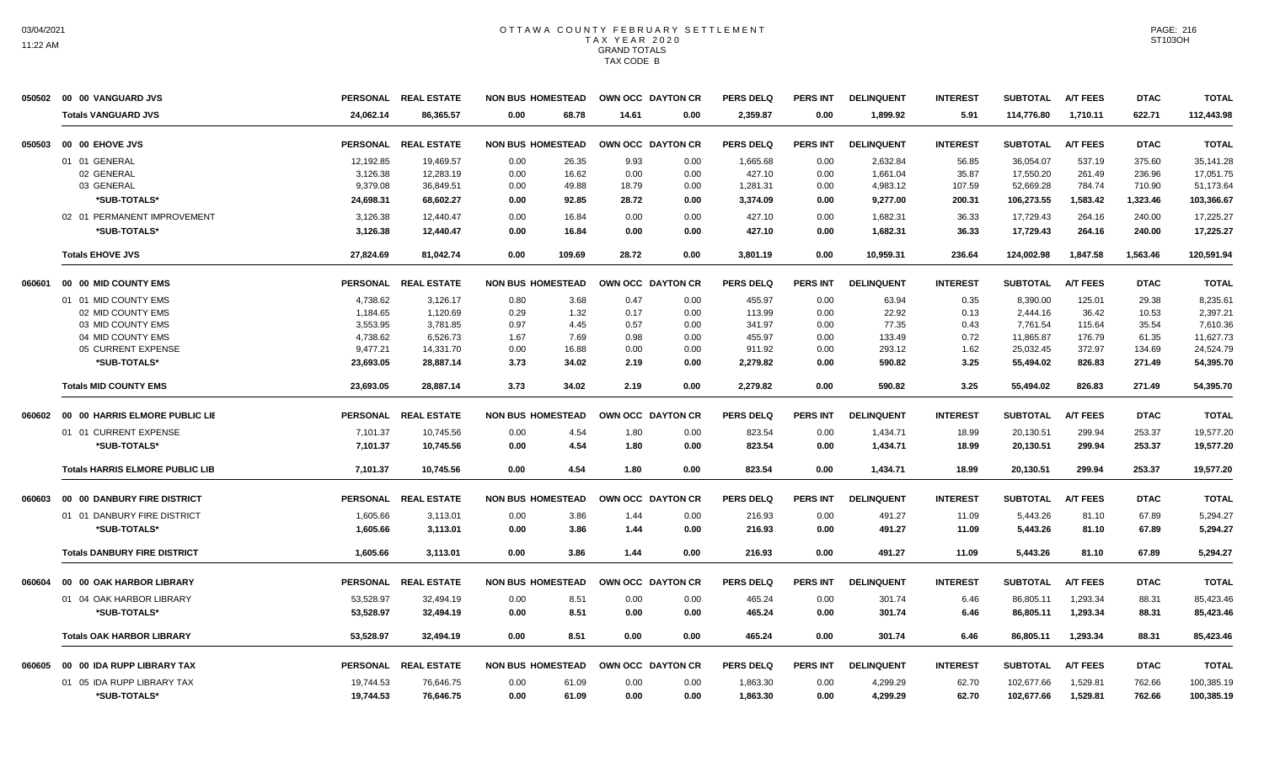| 050502 | 00 00 VANGUARD JVS                     |                 | PERSONAL REAL ESTATE | <b>NON BUS HOMESTEAD</b> | OWN OCC DAYTON CR |      | <b>PERS DELQ</b> | <b>PERS INT</b> | <b>DELINQUENT</b> | <b>INTEREST</b> | <b>SUBTOTAL</b> | <b>A/T FEES</b> | <b>DTAC</b> | <b>TOTAL</b> |
|--------|----------------------------------------|-----------------|----------------------|--------------------------|-------------------|------|------------------|-----------------|-------------------|-----------------|-----------------|-----------------|-------------|--------------|
|        | <b>Totals VANGUARD JVS</b>             | 24.062.14       | 86.365.57            | 68.78<br>0.00            | 14.61             | 0.00 | 2,359.87         | 0.00            | 1,899.92          | 5.91            | 114,776.80      | 1,710.11        | 622.71      | 112,443.98   |
| 050503 | 00 00 EHOVE JVS                        |                 | PERSONAL REAL ESTATE | <b>NON BUS HOMESTEAD</b> | OWN OCC DAYTON CR |      | <b>PERS DELQ</b> | <b>PERS INT</b> | <b>DELINQUENT</b> | <b>INTEREST</b> | <b>SUBTOTAL</b> | <b>A/T FEES</b> | <b>DTAC</b> | <b>TOTAL</b> |
|        | 01 01 GENERAL                          | 12,192.85       | 19,469.57            | 26.35<br>0.00            | 9.93              | 0.00 | 1,665.68         | 0.00            | 2,632.84          | 56.85           | 36,054.07       | 537.19          | 375.60      | 35,141.28    |
|        | 02 GENERAL                             | 3,126.38        | 12,283.19            | 16.62<br>0.00            | 0.00              | 0.00 | 427.10           | 0.00            | 1,661.04          | 35.87           | 17,550.20       | 261.49          | 236.96      | 17,051.75    |
|        | 03 GENERAL                             | 9,379.08        | 36,849.51            | 49.88<br>0.00            | 18.79             | 0.00 | 1,281.31         | 0.00            | 4,983.12          | 107.59          | 52,669.28       | 784.74          | 710.90      | 51,173.64    |
|        | *SUB-TOTALS*                           | 24,698.31       | 68,602.27            | 0.00<br>92.85            | 28.72             | 0.00 | 3,374.09         | 0.00            | 9,277.00          | 200.31          | 106,273.55      | 1,583.42        | 1,323.46    | 103,366.67   |
|        | 02 01 PERMANENT IMPROVEMENT            | 3,126.38        | 12,440.47            | 0.00<br>16.84            | 0.00              | 0.00 | 427.10           | 0.00            | 1,682.31          | 36.33           | 17,729.43       | 264.16          | 240.00      | 17,225.27    |
|        | *SUB-TOTALS*                           | 3,126.38        | 12,440.47            | 16.84<br>0.00            | 0.00              | 0.00 | 427.10           | 0.00            | 1,682.31          | 36.33           | 17,729.43       | 264.16          | 240.00      | 17,225.27    |
|        | <b>Totals EHOVE JVS</b>                | 27,824.69       | 81.042.74            | 0.00<br>109.69           | 28.72             | 0.00 | 3,801.19         | 0.00            | 10,959.31         | 236.64          | 124,002.98      | 1,847.58        | 1,563.46    | 120,591.94   |
| 060601 | 00 00 MID COUNTY EMS                   |                 | PERSONAL REAL ESTATE | <b>NON BUS HOMESTEAD</b> | OWN OCC DAYTON CR |      | <b>PERS DELQ</b> | <b>PERS INT</b> | <b>DELINQUENT</b> | <b>INTEREST</b> | <b>SUBTOTAL</b> | <b>A/T FEES</b> | <b>DTAC</b> | <b>TOTAL</b> |
|        | 01 01 MID COUNTY EMS                   | 4.738.62        | 3,126.17             | 3.68<br>0.80             | 0.47              | 0.00 | 455.97           | 0.00            | 63.94             | 0.35            | 8,390.00        | 125.01          | 29.38       | 8.235.61     |
|        | 02 MID COUNTY EMS                      | 1,184.65        | 1,120.69             | 0.29<br>1.32             | 0.17              | 0.00 | 113.99           | 0.00            | 22.92             | 0.13            | 2,444.16        | 36.42           | 10.53       | 2,397.21     |
|        | 03 MID COUNTY EMS                      | 3,553.95        | 3,781.85             | 0.97<br>4.45             | 0.57              | 0.00 | 341.97           | 0.00            | 77.35             | 0.43            | 7,761.54        | 115.64          | 35.54       | 7,610.36     |
|        | 04 MID COUNTY EMS                      | 4,738.62        | 6,526.73             | 1.67<br>7.69             | 0.98              | 0.00 | 455.97           | 0.00            | 133.49            | 0.72            | 11,865.87       | 176.79          | 61.35       | 11,627.73    |
|        | 05 CURRENT EXPENSE                     | 9,477.21        | 14,331.70            | 16.88<br>0.00            | 0.00              | 0.00 | 911.92           | 0.00            | 293.12            | 1.62            | 25,032.45       | 372.97          | 134.69      | 24,524.79    |
|        | *SUB-TOTALS*                           | 23,693.05       | 28,887.14            | 3.73<br>34.02            | 2.19              | 0.00 | 2,279.82         | 0.00            | 590.82            | 3.25            | 55,494.02       | 826.83          | 271.49      | 54,395.70    |
|        | <b>Totals MID COUNTY EMS</b>           | 23,693.05       | 28,887.14            | 3.73<br>34.02            | 2.19              | 0.00 | 2,279.82         | 0.00            | 590.82            | 3.25            | 55,494.02       | 826.83          | 271.49      | 54,395.70    |
| 060602 | 00 00 HARRIS ELMORE PUBLIC LIE         |                 | PERSONAL REAL ESTATE | <b>NON BUS HOMESTEAD</b> | OWN OCC DAYTON CR |      | <b>PERS DELQ</b> | <b>PERS INT</b> | <b>DELINQUENT</b> | <b>INTEREST</b> | <b>SUBTOTAL</b> | <b>A/T FEES</b> | <b>DTAC</b> | <b>TOTAL</b> |
|        | 01 01 CURRENT EXPENSE                  | 7,101.37        | 10,745.56            | 4.54<br>0.00             | 1.80              | 0.00 | 823.54           | 0.00            | 1,434.71          | 18.99           | 20,130.51       | 299.94          | 253.37      | 19,577.20    |
|        | *SUB-TOTALS*                           | 7.101.37        | 10.745.56            | 4.54<br>0.00             | 1.80              | 0.00 | 823.54           | 0.00            | 1,434.71          | 18.99           | 20.130.51       | 299.94          | 253.37      | 19.577.20    |
|        | <b>Totals HARRIS ELMORE PUBLIC LIB</b> | 7,101.37        | 10,745.56            | 0.00<br>4.54             | 1.80              | 0.00 | 823.54           | 0.00            | 1,434.71          | 18.99           | 20,130.51       | 299.94          | 253.37      | 19,577.20    |
| 060603 | 00 00 DANBURY FIRE DISTRICT            |                 | PERSONAL REAL ESTATE | <b>NON BUS HOMESTEAD</b> | OWN OCC DAYTON CR |      | <b>PERS DELQ</b> | <b>PERS INT</b> | <b>DELINQUENT</b> | <b>INTEREST</b> | <b>SUBTOTAL</b> | <b>A/T FEES</b> | <b>DTAC</b> | <b>TOTAL</b> |
|        | 01 01 DANBURY FIRE DISTRICT            | 1,605.66        | 3,113.01             | 3.86<br>0.00             | 1.44              | 0.00 | 216.93           | 0.00            | 491.27            | 11.09           | 5,443.26        | 81.10           | 67.89       | 5,294.27     |
|        | *SUB-TOTALS*                           | 1,605.66        | 3,113.01             | 0.00<br>3.86             | 1.44              | 0.00 | 216.93           | 0.00            | 491.27            | 11.09           | 5,443.26        | 81.10           | 67.89       | 5,294.27     |
|        | <b>Totals DANBURY FIRE DISTRICT</b>    | 1,605.66        | 3,113.01             | 3.86<br>0.00             | 1.44              | 0.00 | 216.93           | 0.00            | 491.27            | 11.09           | 5,443.26        | 81.10           | 67.89       | 5,294.27     |
| 060604 | 00 00 OAK HARBOR LIBRARY               | <b>PERSONAL</b> | <b>REAL ESTATE</b>   | <b>NON BUS HOMESTEAD</b> | OWN OCC DAYTON CR |      | <b>PERS DELQ</b> | PERS INT        | <b>DELINQUENT</b> | <b>INTEREST</b> | <b>SUBTOTAL</b> | <b>A/T FEES</b> | <b>DTAC</b> | <b>TOTAL</b> |
|        | 01 04 OAK HARBOR LIBRARY               | 53,528.97       | 32,494.19            | 0.00<br>8.51             | 0.00              | 0.00 | 465.24           | 0.00            | 301.74            | 6.46            | 86,805.11       | 1,293.34        | 88.31       | 85,423.46    |
|        | *SUB-TOTALS*                           | 53,528.97       | 32.494.19            | 8.51<br>0.00             | 0.00              | 0.00 | 465.24           | 0.00            | 301.74            | 6.46            | 86,805.11       | 1,293.34        | 88.31       | 85,423.46    |
|        | <b>Totals OAK HARBOR LIBRARY</b>       | 53,528.97       | 32.494.19            | 0.00<br>8.51             | 0.00              | 0.00 | 465.24           | 0.00            | 301.74            | 6.46            | 86,805.11       | 1.293.34        | 88.31       | 85,423.46    |
| 060605 | 00 00 IDA RUPP LIBRARY TAX             | <b>PERSONAL</b> | <b>REAL ESTATE</b>   | <b>NON BUS HOMESTEAD</b> | OWN OCC DAYTON CR |      | <b>PERS DELQ</b> | <b>PERS INT</b> | <b>DELINQUENT</b> | <b>INTEREST</b> | <b>SUBTOTAL</b> | <b>A/T FEES</b> | <b>DTAC</b> | <b>TOTAL</b> |
|        | 01 05 IDA RUPP LIBRARY TAX             | 19,744.53       | 76,646.75            | 61.09<br>0.00            | 0.00              | 0.00 | 1,863.30         | 0.00            | 4,299.29          | 62.70           | 102,677.66      | 1,529.81        | 762.66      | 100,385.19   |
|        | *SUB-TOTALS*                           | 19,744.53       | 76,646.75            | 0.00<br>61.09            | 0.00              | 0.00 | 1,863.30         | 0.00            | 4.299.29          | 62.70           | 102,677.66      | 1,529.81        | 762.66      | 100,385.19   |
|        |                                        |                 |                      |                          |                   |      |                  |                 |                   |                 |                 |                 |             |              |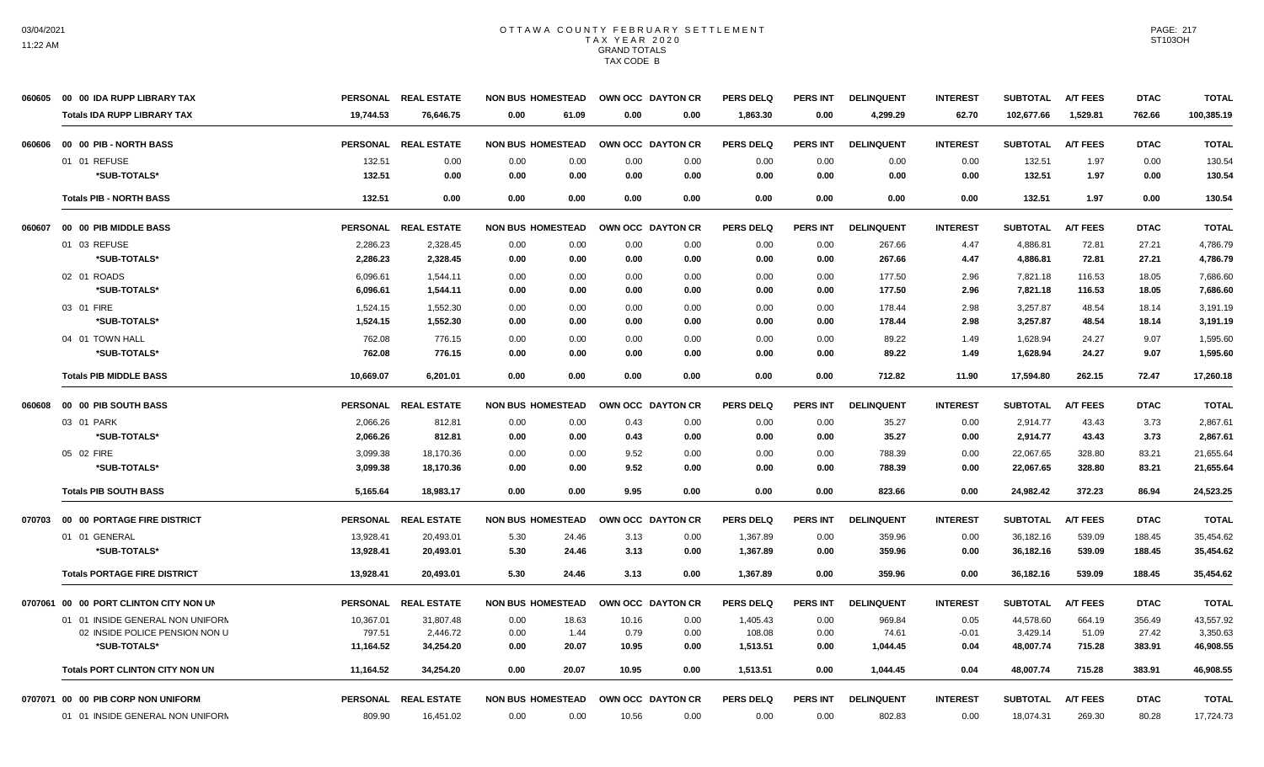| 060605 | 00 00 IDA RUPP LIBRARY TAX             |                 | PERSONAL REAL ESTATE | <b>NON BUS HOMESTEAD</b> | OWN OCC DAYTON CR |      | <b>PERS DELQ</b> | <b>PERS INT</b> | <b>DELINQUENT</b> | <b>INTEREST</b> | <b>SUBTOTAL</b> | <b>A/T FEES</b> | <b>DTAC</b> | <b>TOTAL</b> |
|--------|----------------------------------------|-----------------|----------------------|--------------------------|-------------------|------|------------------|-----------------|-------------------|-----------------|-----------------|-----------------|-------------|--------------|
|        | <b>Totals IDA RUPP LIBRARY TAX</b>     | 19,744.53       | 76,646.75            | 0.00<br>61.09            | 0.00              | 0.00 | 1,863.30         | 0.00            | 4,299.29          | 62.70           | 102,677.66      | 1,529.81        | 762.66      | 100,385.19   |
| 060606 | 00 00 PIB - NORTH BASS                 |                 | PERSONAL REAL ESTATE | <b>NON BUS HOMESTEAD</b> | OWN OCC DAYTON CR |      | <b>PERS DELQ</b> | PERS INT        | <b>DELINQUENT</b> | <b>INTEREST</b> | <b>SUBTOTAL</b> | <b>A/T FEES</b> | <b>DTAC</b> | <b>TOTAL</b> |
|        | 01 01 REFUSE                           | 132.51          | 0.00                 | 0.00<br>0.00             | 0.00              | 0.00 | 0.00             | 0.00            | 0.00              | 0.00            | 132.51          | 1.97            | 0.00        | 130.54       |
|        | *SUB-TOTALS*                           | 132.51          | 0.00                 | 0.00<br>0.00             | 0.00              | 0.00 | 0.00             | 0.00            | 0.00              | 0.00            | 132.51          | 1.97            | 0.00        | 130.54       |
|        | <b>Totals PIB - NORTH BASS</b>         | 132.51          | 0.00                 | 0.00<br>0.00             | 0.00              | 0.00 | 0.00             | 0.00            | 0.00              | 0.00            | 132.51          | 1.97            | 0.00        | 130.54       |
| 060607 | 00 00 PIB MIDDLE BASS                  |                 | PERSONAL REAL ESTATE | <b>NON BUS HOMESTEAD</b> | OWN OCC DAYTON CR |      | <b>PERS DELQ</b> | <b>PERS INT</b> | <b>DELINQUENT</b> | <b>INTEREST</b> | <b>SUBTOTAL</b> | <b>A/T FEES</b> | <b>DTAC</b> | <b>TOTAL</b> |
|        | 01 03 REFUSE                           | 2,286.23        | 2,328.45             | 0.00<br>0.00             | 0.00              | 0.00 | 0.00             | 0.00            | 267.66            | 4.47            | 4,886.81        | 72.81           | 27.21       | 4,786.79     |
|        | *SUB-TOTALS*                           | 2,286.23        | 2,328.45             | 0.00<br>0.00             | 0.00              | 0.00 | 0.00             | 0.00            | 267.66            | 4.47            | 4,886.81        | 72.81           | 27.21       | 4,786.79     |
|        | 02 01 ROADS                            | 6,096.61        | 1,544.11             | 0.00<br>0.00             | 0.00              | 0.00 | 0.00             | 0.00            | 177.50            | 2.96            | 7,821.18        | 116.53          | 18.05       | 7,686.60     |
|        | *SUB-TOTALS*                           | 6,096.61        | 1,544.11             | 0.00<br>0.00             | 0.00              | 0.00 | 0.00             | 0.00            | 177.50            | 2.96            | 7,821.18        | 116.53          | 18.05       | 7,686.60     |
|        | 03 01 FIRE                             | 1,524.15        | 1,552.30             | 0.00<br>0.00             | 0.00              | 0.00 | 0.00             | 0.00            | 178.44            | 2.98            | 3,257.87        | 48.54           | 18.14       | 3,191.19     |
|        | *SUB-TOTALS*                           | 1,524.15        | 1,552.30             | 0.00<br>0.00             | 0.00              | 0.00 | 0.00             | 0.00            | 178.44            | 2.98            | 3,257.87        | 48.54           | 18.14       | 3,191.19     |
|        | 04 01 TOWN HALL                        | 762.08          | 776.15               | 0.00<br>0.00             | 0.00              | 0.00 | 0.00             | 0.00            | 89.22             | 1.49            | 1,628.94        | 24.27           | 9.07        | 1,595.60     |
|        | *SUB-TOTALS*                           | 762.08          | 776.15               | 0.00<br>0.00             | 0.00              | 0.00 | 0.00             | 0.00            | 89.22             | 1.49            | 1,628.94        | 24.27           | 9.07        | 1,595.60     |
|        | <b>Totals PIB MIDDLE BASS</b>          | 10,669.07       | 6,201.01             | 0.00<br>0.00             | 0.00              | 0.00 | 0.00             | 0.00            | 712.82            | 11.90           | 17,594.80       | 262.15          | 72.47       | 17,260.18    |
| 060608 | 00 00 PIB SOUTH BASS                   |                 | PERSONAL REAL ESTATE | <b>NON BUS HOMESTEAD</b> | OWN OCC DAYTON CR |      | <b>PERS DELQ</b> | <b>PERS INT</b> | <b>DELINQUENT</b> | <b>INTEREST</b> | <b>SUBTOTAL</b> | <b>A/T FEES</b> | <b>DTAC</b> | <b>TOTAL</b> |
|        | 03 01 PARK                             | 2,066.26        | 812.81               | 0.00<br>0.00             | 0.43              | 0.00 | 0.00             | 0.00            | 35.27             | 0.00            | 2,914.77        | 43.43           | 3.73        | 2,867.61     |
|        | *SUB-TOTALS*                           | 2.066.26        | 812.81               | 0.00<br>0.00             | 0.43              | 0.00 | 0.00             | 0.00            | 35.27             | 0.00            | 2,914.77        | 43.43           | 3.73        | 2.867.61     |
|        | 05 02 FIRE                             | 3,099.38        | 18,170.36            | 0.00<br>0.00             | 9.52              | 0.00 | 0.00             | 0.00            | 788.39            | 0.00            | 22,067.65       | 328.80          | 83.21       | 21,655.64    |
|        | *SUB-TOTALS*                           | 3,099.38        | 18,170.36            | 0.00<br>0.00             | 9.52              | 0.00 | 0.00             | 0.00            | 788.39            | 0.00            | 22,067.65       | 328.80          | 83.21       | 21,655.64    |
|        | <b>Totals PIB SOUTH BASS</b>           | 5,165.64        | 18.983.17            | 0.00<br>0.00             | 9.95              | 0.00 | 0.00             | 0.00            | 823.66            | 0.00            | 24,982.42       | 372.23          | 86.94       | 24,523.25    |
| 070703 | 00 00 PORTAGE FIRE DISTRICT            | <b>PERSONAL</b> | <b>REAL ESTATE</b>   | <b>NON BUS HOMESTEAD</b> | OWN OCC DAYTON CR |      | <b>PERS DELQ</b> | <b>PERS INT</b> | <b>DELINQUENT</b> | <b>INTEREST</b> | <b>SUBTOTAL</b> | <b>A/T FEES</b> | <b>DTAC</b> | <b>TOTAL</b> |
|        | 01 01 GENERAL                          | 13,928.41       | 20,493.01            | 5.30<br>24.46            | 3.13              | 0.00 | 1,367.89         | 0.00            | 359.96            | 0.00            | 36,182.16       | 539.09          | 188.45      | 35,454.62    |
|        | *SUB-TOTALS*                           | 13,928.41       | 20,493.01            | 5.30<br>24.46            | 3.13              | 0.00 | 1,367.89         | 0.00            | 359.96            | 0.00            | 36,182.16       | 539.09          | 188.45      | 35.454.62    |
|        | <b>Totals PORTAGE FIRE DISTRICT</b>    | 13,928.41       | 20.493.01            | 5.30<br>24.46            | 3.13              | 0.00 | 1,367.89         | 0.00            | 359.96            | 0.00            | 36,182.16       | 539.09          | 188.45      | 35,454.62    |
|        | 0707061 00 00 PORT CLINTON CITY NON UN | <b>PERSONAL</b> | <b>REAL ESTATE</b>   | <b>NON BUS HOMESTEAD</b> | OWN OCC DAYTON CR |      | <b>PERS DELQ</b> | <b>PERS INT</b> | <b>DELINQUENT</b> | <b>INTEREST</b> | <b>SUBTOTAL</b> | <b>A/T FEES</b> | <b>DTAC</b> | <b>TOTAL</b> |
|        | 01 01 INSIDE GENERAL NON UNIFORM       | 10,367.01       | 31,807.48            | 0.00<br>18.63            | 10.16             | 0.00 | 1,405.43         | 0.00            | 969.84            | 0.05            | 44,578.60       | 664.19          | 356.49      | 43,557.92    |
|        | 02 INSIDE POLICE PENSION NON U         | 797.51          | 2,446.72             | 1.44<br>0.00             | 0.79              | 0.00 | 108.08           | 0.00            | 74.61             | $-0.01$         | 3,429.14        | 51.09           | 27.42       | 3,350.63     |
|        | *SUB-TOTALS*                           | 11,164.52       | 34,254.20            | 0.00<br>20.07            | 10.95             | 0.00 | 1,513.51         | 0.00            | 1,044.45          | 0.04            | 48,007.74       | 715.28          | 383.91      | 46,908.55    |
|        | <b>Totals PORT CLINTON CITY NON UN</b> | 11.164.52       | 34.254.20            | 0.00<br>20.07            | 10.95             | 0.00 | 1.513.51         | 0.00            | 1.044.45          | 0.04            | 48.007.74       | 715.28          | 383.91      | 46.908.55    |
|        | 0707071 00 00 PIB CORP NON UNIFORM     |                 | PERSONAL REAL ESTATE | <b>NON BUS HOMESTEAD</b> | OWN OCC DAYTON CR |      | <b>PERS DELQ</b> | PERS INT        | <b>DELINQUENT</b> | <b>INTEREST</b> | <b>SUBTOTAL</b> | <b>A/T FEES</b> | <b>DTAC</b> | <b>TOTAL</b> |
|        | 01 01 INSIDE GENERAL NON UNIFORN       | 809.90          | 16,451.02            | 0.00<br>0.00             | 10.56             | 0.00 | 0.00             | 0.00            | 802.83            | 0.00            | 18,074.31       | 269.30          | 80.28       | 17,724.73    |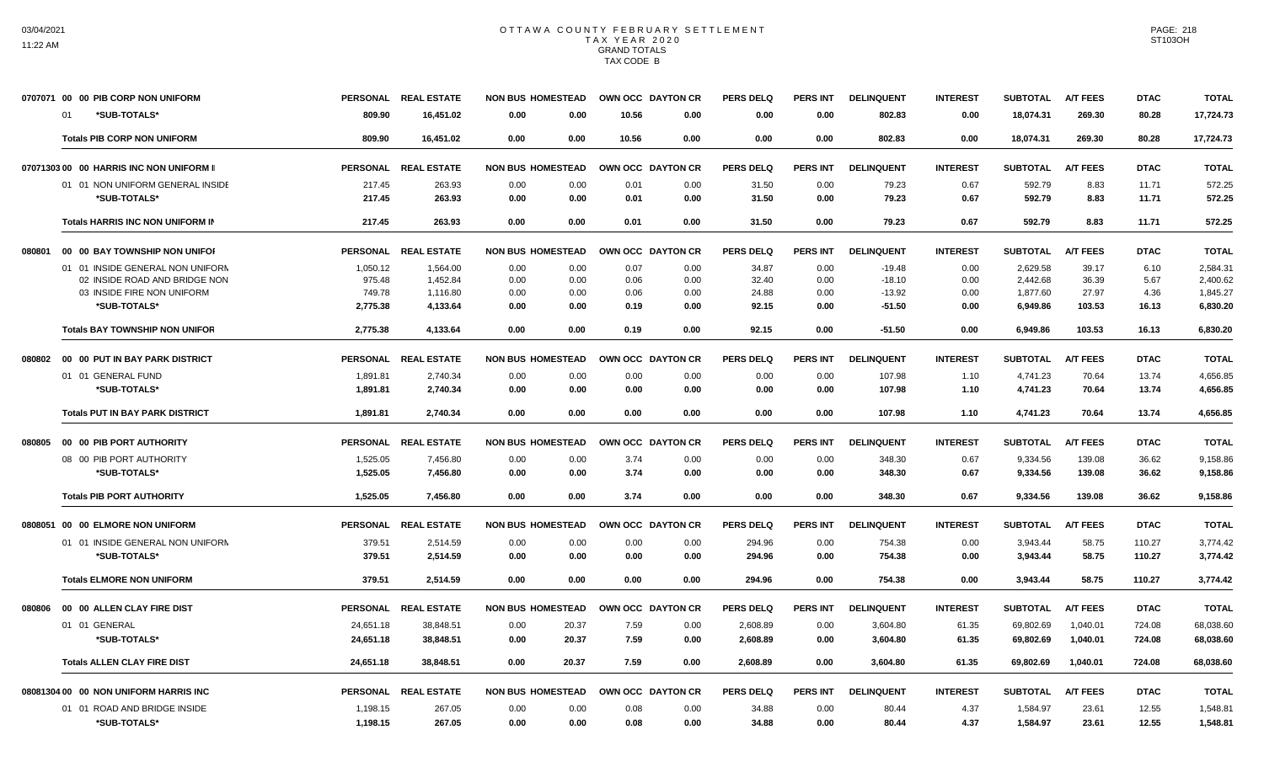|        | 0707071 00 00 PIB CORP NON UNIFORM         |                    | PERSONAL REAL ESTATE | <b>NON BUS HOMESTEAD</b>     |              | OWN OCC DAYTON CR | <b>PERS DELQ</b> | <b>PERS INT</b> | <b>DELINQUENT</b>    | <b>INTEREST</b> | <b>SUBTOTAL</b>      | <b>A/T FEES</b> | <b>DTAC</b>   | <b>TOTAL</b>         |
|--------|--------------------------------------------|--------------------|----------------------|------------------------------|--------------|-------------------|------------------|-----------------|----------------------|-----------------|----------------------|-----------------|---------------|----------------------|
|        | *SUB-TOTALS*<br>01                         | 809.90             | 16,451.02            | 0.00<br>0.00                 | 10.56        | 0.00              | 0.00             | 0.00            | 802.83               | 0.00            | 18,074.31            | 269.30          | 80.28         | 17,724.73            |
|        | <b>Totals PIB CORP NON UNIFORM</b>         | 809.90             | 16.451.02            | 0.00<br>0.00                 | 10.56        | 0.00              | 0.00             | 0.00            | 802.83               | 0.00            | 18,074.31            | 269.30          | 80.28         | 17,724.73            |
|        | 07071303 00 00 HARRIS INC NON UNIFORM II   |                    | PERSONAL REAL ESTATE | <b>NON BUS HOMESTEAD</b>     |              | OWN OCC DAYTON CR | <b>PERS DELQ</b> | <b>PERS INT</b> | <b>DELINQUENT</b>    | <b>INTEREST</b> | <b>SUBTOTAL</b>      | <b>A/T FEES</b> | <b>DTAC</b>   | <b>TOTAL</b>         |
|        | 01 01 NON UNIFORM GENERAL INSIDE           | 217.45             | 263.93               | 0.00<br>0.00                 | 0.01         | 0.00              | 31.50            | 0.00            | 79.23                | 0.67            | 592.79               | 8.83            | 11.71         | 572.25               |
|        | *SUB-TOTALS*                               | 217.45             | 263.93               | 0.00<br>0.00                 | 0.01         | 0.00              | 31.50            | 0.00            | 79.23                | 0.67            | 592.79               | 8.83            | 11.71         | 572.25               |
|        | Totals HARRIS INC NON UNIFORM IN           | 217.45             | 263.93               | 0.00<br>0.00                 | 0.01         | 0.00              | 31.50            | 0.00            | 79.23                | 0.67            | 592.79               | 8.83            | 11.71         | 572.25               |
| 080801 | 00 00 BAY TOWNSHIP NON UNIFOR              |                    | PERSONAL REAL ESTATE | <b>NON BUS HOMESTEAD</b>     |              | OWN OCC DAYTON CR | <b>PERS DELQ</b> | <b>PERS INT</b> | <b>DELINQUENT</b>    | <b>INTEREST</b> | <b>SUBTOTAL</b>      | <b>A/T FEES</b> | <b>DTAC</b>   | <b>TOTAL</b>         |
|        | 01 01 INSIDE GENERAL NON UNIFORN           | 1,050.12           | 1,564.00             | 0.00<br>0.00                 | 0.07         | 0.00              | 34.87            | 0.00            | $-19.48$             | 0.00            | 2,629.58             | 39.17           | 6.10          | 2.584.31             |
|        | 02 INSIDE ROAD AND BRIDGE NON              | 975.48             | 1,452.84             | 0.00<br>0.00                 | 0.06         | 0.00              | 32.40            | 0.00            | $-18.10$             | 0.00            | 2,442.68             | 36.39           | 5.67          | 2,400.62             |
|        | 03 INSIDE FIRE NON UNIFORM<br>*SUB-TOTALS* | 749.78<br>2,775.38 | 1,116.80<br>4,133.64 | 0.00<br>0.00<br>0.00<br>0.00 | 0.06<br>0.19 | 0.00<br>0.00      | 24.88<br>92.15   | 0.00<br>0.00    | $-13.92$<br>$-51.50$ | 0.00<br>0.00    | 1,877.60<br>6,949.86 | 27.97<br>103.53 | 4.36<br>16.13 | 1,845.27<br>6,830.20 |
|        | <b>Totals BAY TOWNSHIP NON UNIFOR</b>      | 2,775.38           | 4,133.64             | 0.00<br>0.00                 | 0.19         | 0.00              | 92.15            | 0.00            | $-51.50$             | 0.00            | 6,949.86             | 103.53          | 16.13         | 6,830.20             |
|        |                                            |                    |                      |                              |              |                   |                  |                 |                      |                 |                      |                 |               |                      |
| 080802 | 00 00 PUT IN BAY PARK DISTRICT             |                    | PERSONAL REAL ESTATE | <b>NON BUS HOMESTEAD</b>     |              | OWN OCC DAYTON CR | <b>PERS DELQ</b> | <b>PERS INT</b> | <b>DELINQUENT</b>    | <b>INTEREST</b> | <b>SUBTOTAL</b>      | <b>A/T FEES</b> | <b>DTAC</b>   | <b>TOTAL</b>         |
|        | 01 01 GENERAL FUND                         | 1,891.81           | 2,740.34             | 0.00<br>0.00                 | 0.00         | 0.00              | 0.00             | 0.00            | 107.98               | 1.10            | 4,741.23             | 70.64           | 13.74         | 4,656.85             |
|        | *SUB-TOTALS*                               | 1,891.81           | 2,740.34             | 0.00<br>0.00                 | 0.00         | 0.00              | 0.00             | 0.00            | 107.98               | 1.10            | 4,741.23             | 70.64           | 13.74         | 4,656.85             |
|        | <b>Totals PUT IN BAY PARK DISTRICT</b>     | 1,891.81           | 2,740.34             | 0.00<br>0.00                 | 0.00         | 0.00              | 0.00             | 0.00            | 107.98               | 1.10            | 4,741.23             | 70.64           | 13.74         | 4,656.85             |
|        | 080805 00 00 PIB PORT AUTHORITY            |                    | PERSONAL REAL ESTATE | <b>NON BUS HOMESTEAD</b>     |              | OWN OCC DAYTON CR | <b>PERS DELQ</b> | <b>PERS INT</b> | <b>DELINQUENT</b>    | <b>INTEREST</b> | <b>SUBTOTAL</b>      | <b>A/T FEES</b> | <b>DTAC</b>   | <b>TOTAL</b>         |
|        | 08 00 PIB PORT AUTHORITY                   | 1.525.05           | 7,456.80             | 0.00<br>0.00                 | 3.74         | 0.00              | 0.00             | 0.00            | 348.30               | 0.67            | 9.334.56             | 139.08          | 36.62         | 9.158.86             |
|        | *SUB-TOTALS*                               | 1,525.05           | 7,456.80             | 0.00<br>0.00                 | 3.74         | 0.00              | 0.00             | 0.00            | 348.30               | 0.67            | 9,334.56             | 139.08          | 36.62         | 9,158.86             |
|        | <b>Totals PIB PORT AUTHORITY</b>           | 1,525.05           | 7.456.80             | 0.00<br>0.00                 | 3.74         | 0.00              | 0.00             | 0.00            | 348.30               | 0.67            | 9.334.56             | 139.08          | 36.62         | 9.158.86             |
|        | 0808051 00 00 ELMORE NON UNIFORM           |                    | PERSONAL REAL ESTATE | <b>NON BUS HOMESTEAD</b>     |              | OWN OCC DAYTON CR | <b>PERS DELQ</b> | <b>PERS INT</b> | <b>DELINQUENT</b>    | <b>INTEREST</b> | <b>SUBTOTAL</b>      | <b>A/T FEES</b> | <b>DTAC</b>   | <b>TOTAL</b>         |
|        | 01 01 INSIDE GENERAL NON UNIFORM           | 379.51             | 2,514.59             | 0.00<br>0.00                 | 0.00         | 0.00              | 294.96           | 0.00            | 754.38               | 0.00            | 3,943.44             | 58.75           | 110.27        | 3,774.42             |
|        | *SUB-TOTALS*                               | 379.51             | 2,514.59             | 0.00<br>0.00                 | 0.00         | 0.00              | 294.96           | 0.00            | 754.38               | 0.00            | 3,943.44             | 58.75           | 110.27        | 3,774.42             |
|        | <b>Totals ELMORE NON UNIFORM</b>           | 379.51             | 2.514.59             | 0.00<br>0.00                 | 0.00         | 0.00              | 294.96           | 0.00            | 754.38               | 0.00            | 3,943.44             | 58.75           | 110.27        | 3,774.42             |
| 080806 | 00 00 ALLEN CLAY FIRE DIST                 |                    | PERSONAL REAL ESTATE | <b>NON BUS HOMESTEAD</b>     |              | OWN OCC DAYTON CR | <b>PERS DELQ</b> | <b>PERS INT</b> | <b>DELINQUENT</b>    | <b>INTEREST</b> | <b>SUBTOTAL</b>      | <b>A/T FEES</b> | <b>DTAC</b>   | <b>TOTAL</b>         |
|        | 01 01 GENERAL                              | 24,651.18          | 38,848.51            | 20.37<br>0.00                | 7.59         | 0.00              | 2,608.89         | 0.00            | 3,604.80             | 61.35           | 69,802.69            | 1,040.01        | 724.08        | 68,038.60            |
|        | *SUB-TOTALS*                               | 24,651.18          | 38.848.51            | 0.00<br>20.37                | 7.59         | 0.00              | 2,608.89         | 0.00            | 3,604.80             | 61.35           | 69,802.69            | 1,040.01        | 724.08        | 68,038.60            |
|        | <b>Totals ALLEN CLAY FIRE DIST</b>         | 24,651.18          | 38,848.51            | 0.00<br>20.37                | 7.59         | 0.00              | 2,608.89         | 0.00            | 3,604.80             | 61.35           | 69,802.69            | 1,040.01        | 724.08        | 68,038.60            |
|        | 08081304 00 00 NON UNIFORM HARRIS INC      |                    | PERSONAL REAL ESTATE | <b>NON BUS HOMESTEAD</b>     |              | OWN OCC DAYTON CR | <b>PERS DELQ</b> | <b>PERS INT</b> | <b>DELINQUENT</b>    | <b>INTEREST</b> | <b>SUBTOTAL</b>      | <b>A/T FEES</b> | <b>DTAC</b>   | <b>TOTAL</b>         |
|        | 01 01 ROAD AND BRIDGE INSIDE               | 1,198.15           | 267.05               | 0.00<br>0.00                 | 0.08         | 0.00              | 34.88            | 0.00            | 80.44                | 4.37            | 1.584.97             | 23.61           | 12.55         | 1,548.81             |
|        | *SUB-TOTALS*                               | 1,198.15           | 267.05               | 0.00<br>0.00                 | 0.08         | 0.00              | 34.88            | 0.00            | 80.44                | 4.37            | 1,584.97             | 23.61           | 12.55         | 1,548.81             |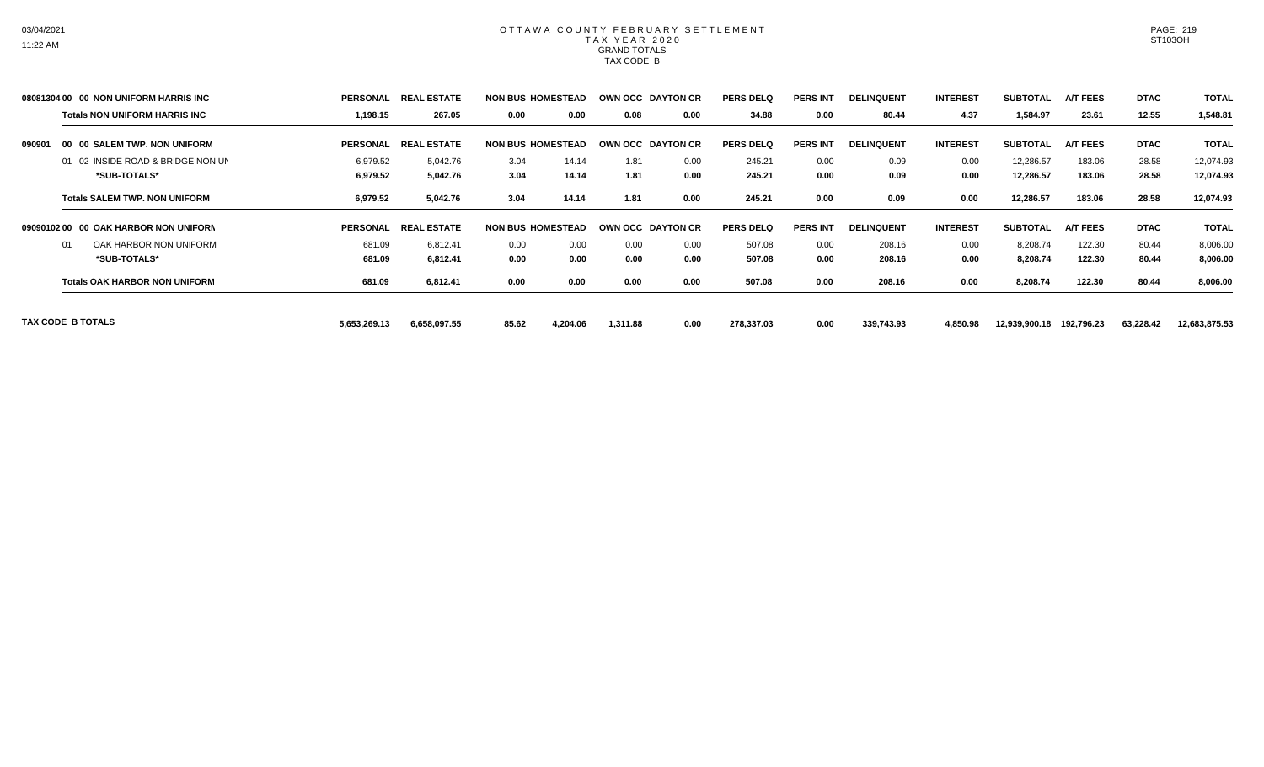|        | 08081304 00 00 NON UNIFORM HARRIS INC | <b>PERSONAL</b> | <b>REAL ESTATE</b>             | <b>NON BUS HOMESTEAD</b> |          | OWN OCC DAYTON CR        |      | <b>PERS DELQ</b> | <b>PERS INT</b> | <b>DELINQUENT</b> | <b>INTEREST</b> | <b>SUBTOTAL</b> | <b>A/T FEES</b> | <b>DTAC</b> | <b>TOTAL</b>  |
|--------|---------------------------------------|-----------------|--------------------------------|--------------------------|----------|--------------------------|------|------------------|-----------------|-------------------|-----------------|-----------------|-----------------|-------------|---------------|
|        | <b>Totals NON UNIFORM HARRIS INC</b>  | 1,198.15        | 267.05                         | 0.00                     | 0.00     | 0.08                     | 0.00 | 34.88            | 0.00            | 80.44             | 4.37            | 1,584.97        | 23.61           | 12.55       | 1,548.81      |
| 090901 | 00 00 SALEM TWP. NON UNIFORM          | <b>PERSONAL</b> | <b>L ESTATE</b><br><b>REAL</b> | <b>NON BUS HOMESTEAD</b> |          | <b>OWN OCC DAYTON CR</b> |      | <b>PERS DELQ</b> | <b>PERS INT</b> | <b>DELINQUENT</b> | <b>INTEREST</b> | <b>SUBTOTAL</b> | <b>A/T FEES</b> | <b>DTAC</b> | <b>TOTAL</b>  |
|        | 01 02 INSIDE ROAD & BRIDGE NON UN     | 6,979.52        | 5,042.76                       | 3.04                     | 14.14    | 1.81                     | 0.00 | 245.21           | 0.00            | 0.09              | 0.00            | 12,286.57       | 183.06          | 28.58       | 12,074.93     |
|        | *SUB-TOTALS*                          | 6,979.52        | 5,042.76                       | 3.04                     | 14.14    | 1.81                     | 0.00 | 245.21           | 0.00            | 0.09              | 0.00            | 12,286.57       | 183.06          | 28.58       | 12,074.93     |
|        | <b>Totals SALEM TWP, NON UNIFORM</b>  | 6,979.52        | 5,042.76                       | 3.04                     | 14.14    | 1.81                     | 0.00 | 245.21           | 0.00            | 0.09              | 0.00            | 12,286.57       | 183.06          | 28.58       | 12,074.93     |
|        | 09090102 00 00 OAK HARBOR NON UNIFORN | <b>PERSONAL</b> | <b>REAL ESTATE</b>             | <b>NON BUS HOMESTEAD</b> |          | <b>OWN OCC DAYTON CR</b> |      | <b>PERS DELQ</b> | <b>PERS INT</b> | <b>DELINQUENT</b> | <b>INTEREST</b> | <b>SUBTOTAL</b> | <b>A/T FEES</b> | <b>DTAC</b> | <b>TOTAL</b>  |
|        | OAK HARBOR NON UNIFORM<br>01          | 681.09          | 6,812.41                       | 0.00                     | 0.00     | 0.00                     | 0.00 | 507.08           | 0.00            | 208.16            | 0.00            | 8,208.74        | 122.30          | 80.44       | 8,006.00      |
|        | *SUB-TOTALS*                          | 681.09          | 6,812.41                       | 0.00                     | 0.00     | 0.00                     | 0.00 | 507.08           | 0.00            | 208.16            | 0.00            | 8,208.74        | 122.30          | 80.44       | 8,006.00      |
|        | <b>Totals OAK HARBOR NON UNIFORM</b>  | 681.09          | 6,812.41                       | 0.00                     | 0.00     | 0.00                     | 0.00 | 507.08           | 0.00            | 208.16            | 0.00            | 8,208.74        | 122.30          | 80.44       | 8,006.00      |
|        | TAX CODE B TOTALS                     | 5,653,269.13    | 6,658,097.55                   | 85.62                    | 4,204.06 | 1,311.88                 | 0.00 | 278,337.03       | 0.00            | 339,743.93        | 4,850.98        | 12,939,900.18   | 192,796.23      | 63,228.42   | 12,683,875.53 |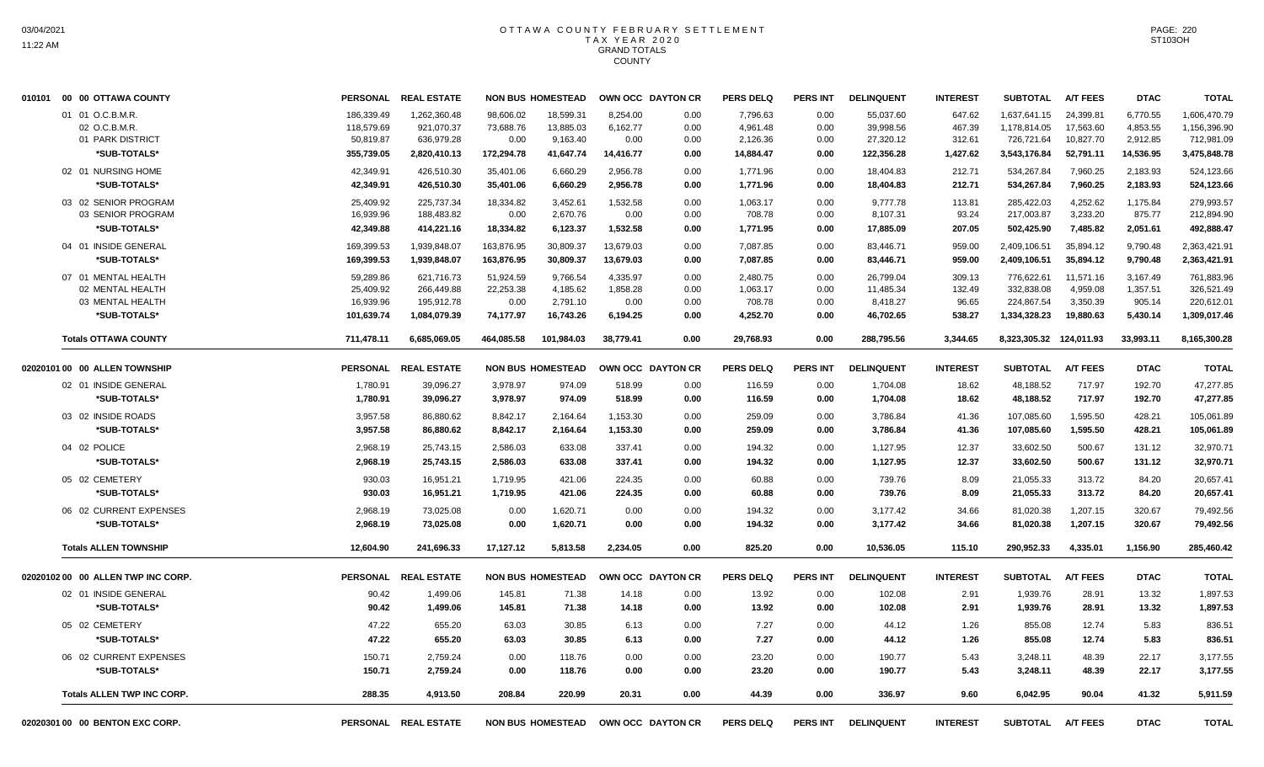| 010101 00 00 OTTAWA COUNTY         |                          | PERSONAL REAL ESTATE       |                        | <b>NON BUS HOMESTEAD</b>            |                      | OWN OCC DAYTON CR | <b>PERS DELQ</b>     | PERS INT        | <b>DELINQUENT</b>      | <b>INTEREST</b>  | <b>SUBTOTAL</b>              | <b>A/T FEES</b>        | <b>DTAC</b>          | <b>TOTAL</b>                 |
|------------------------------------|--------------------------|----------------------------|------------------------|-------------------------------------|----------------------|-------------------|----------------------|-----------------|------------------------|------------------|------------------------------|------------------------|----------------------|------------------------------|
| 01 01 O.C.B.M.R.<br>02 O.C.B.M.R.  | 186,339.49<br>118,579.69 | 1,262,360.48<br>921,070.37 | 98,606.02<br>73,688.76 | 18,599.31<br>13,885.03              | 8,254.00<br>6,162.77 | 0.00<br>0.00      | 7,796.63<br>4,961.48 | 0.00<br>0.00    | 55,037.60<br>39,998.56 | 647.62<br>467.39 | 1,637,641.15<br>1,178,814.05 | 24,399.81<br>17,563.60 | 6,770.55<br>4,853.55 | 1,606,470.79<br>1,156,396.90 |
| 01 PARK DISTRICT                   | 50,819.87                | 636,979.28                 | 0.00                   | 9,163.40                            | 0.00                 | 0.00              | 2,126.36             | 0.00            | 27,320.12              | 312.61           | 726,721.64                   | 10,827.70              | 2,912.85             | 712,981.09                   |
| *SUB-TOTALS*                       | 355,739.05               | 2,820,410.13               | 172,294.78             | 41,647.74                           | 14,416.77            | 0.00              | 14,884.47            | 0.00            | 122,356.28             | 1,427.62         | 3,543,176.84                 | 52,791.11              | 14,536.95            | 3,475,848.78                 |
| 02 01 NURSING HOME                 | 42,349.91                | 426,510.30                 | 35,401.06              | 6,660.29                            | 2,956.78             | 0.00              | 1,771.96             | 0.00            | 18,404.83              | 212.71           | 534,267.84                   | 7,960.25               | 2,183.93             | 524,123.66                   |
| *SUB-TOTALS*                       | 42,349.91                | 426,510.30                 | 35,401.06              | 6,660.29                            | 2,956.78             | 0.00              | 1,771.96             | 0.00            | 18,404.83              | 212.71           | 534,267.84                   | 7,960.25               | 2,183.93             | 524,123.66                   |
| 03 02 SENIOR PROGRAM               | 25,409.92                | 225,737.34                 | 18,334.82              | 3,452.61                            | 1,532.58             | 0.00              | 1,063.17             | 0.00            | 9,777.78               | 113.81           | 285,422.03                   | 4,252.62               | 1,175.84             | 279,993.57                   |
| 03 SENIOR PROGRAM                  | 16,939.96                | 188,483.82                 | 0.00                   | 2,670.76                            | 0.00                 | 0.00              | 708.78               | 0.00            | 8,107.31               | 93.24            | 217,003.87                   | 3,233.20               | 875.77               | 212,894.90                   |
| *SUB-TOTALS*                       | 42,349.88                | 414,221.16                 | 18,334.82              | 6,123.37                            | 1,532.58             | 0.00              | 1,771.95             | 0.00            | 17,885.09              | 207.05           | 502,425.90                   | 7,485.82               | 2,051.61             | 492,888.47                   |
| 04 01 INSIDE GENERAL               | 169,399.53               | 1,939,848.07               | 163,876.95             | 30,809.37                           | 13,679.03            | 0.00              | 7,087.85             | 0.00            | 83,446.71              | 959.00           | 2,409,106.51                 | 35,894.12              | 9,790.48             | 2,363,421.91                 |
| *SUB-TOTALS*                       | 169,399.53               | 1,939,848.07               | 163,876.95             | 30,809.37                           | 13,679.03            | 0.00              | 7,087.85             | 0.00            | 83,446.71              | 959.00           | 2,409,106.51                 | 35,894.12              | 9,790.48             | 2,363,421.91                 |
| 07 01 MENTAL HEALTH                | 59,289.86                | 621,716.73                 | 51,924.59              | 9,766.54                            | 4,335.97             | 0.00              | 2,480.75             | 0.00            | 26,799.04              | 309.13           | 776,622.61                   | 11,571.16              | 3,167.49             | 761,883.96                   |
| 02 MENTAL HEALTH                   | 25,409.92                | 266,449.88                 | 22,253.38              | 4,185.62                            | 1,858.28             | 0.00              | 1,063.17             | 0.00            | 11,485.34              | 132.49           | 332,838.08                   | 4,959.08               | 1,357.51             | 326,521.49                   |
| 03 MENTAL HEALTH                   | 16,939.96                | 195,912.78                 | 0.00                   | 2,791.10                            | 0.00                 | 0.00              | 708.78               | 0.00            | 8,418.27               | 96.65            | 224,867.54                   | 3,350.39               | 905.14               | 220,612.01                   |
| *SUB-TOTALS*                       | 101,639.74               | 1,084,079.39               | 74,177.97              | 16,743.26                           | 6,194.25             | 0.00              | 4,252.70             | 0.00            | 46,702.65              | 538.27           | 1,334,328.23                 | 19,880.63              | 5,430.14             | 1,309,017.46                 |
| <b>Totals OTTAWA COUNTY</b>        | 711,478.11               | 6,685,069.05               | 464,085.58             | 101,984.03                          | 38.779.41            | 0.00              | 29,768.93            | 0.00            | 288,795.56             | 3,344.65         | 8,323,305.32 124,011.93      |                        | 33,993.11            | 8,165,300.28                 |
| 02020101 00 00 ALLEN TOWNSHIP      |                          | PERSONAL REAL ESTATE       |                        | <b>NON BUS HOMESTEAD</b>            |                      | OWN OCC DAYTON CR | <b>PERS DELQ</b>     | <b>PERS INT</b> | <b>DELINQUENT</b>      | <b>INTEREST</b>  | <b>SUBTOTAL</b>              | <b>A/T FEES</b>        | <b>DTAC</b>          | <b>TOTAL</b>                 |
| 02 01 INSIDE GENERAL               | 1,780.91                 | 39,096.27                  | 3,978.97               | 974.09                              | 518.99               | 0.00              | 116.59               | 0.00            | 1,704.08               | 18.62            | 48,188.52                    | 717.97                 | 192.70               | 47,277.85                    |
| *SUB-TOTALS*                       | 1,780.91                 | 39,096.27                  | 3,978.97               | 974.09                              | 518.99               | 0.00              | 116.59               | 0.00            | 1,704.08               | 18.62            | 48,188.52                    | 717.97                 | 192.70               | 47,277.85                    |
| 03 02 INSIDE ROADS                 | 3,957.58                 | 86,880.62                  | 8,842.17               | 2,164.64                            | 1,153.30             | 0.00              | 259.09               | 0.00            | 3,786.84               | 41.36            | 107,085.60                   | 1,595.50               | 428.21               | 105,061.89                   |
| *SUB-TOTALS*                       | 3,957.58                 | 86,880.62                  | 8,842.17               | 2,164.64                            | 1,153.30             | 0.00              | 259.09               | 0.00            | 3,786.84               | 41.36            | 107,085.60                   | 1,595.50               | 428.21               | 105,061.89                   |
| 04 02 POLICE                       | 2,968.19                 | 25,743.15                  | 2,586.03               | 633.08                              | 337.41               | 0.00              | 194.32               | 0.00            | 1,127.95               | 12.37            | 33,602.50                    | 500.67                 | 131.12               | 32,970.71                    |
| *SUB-TOTALS*                       | 2,968.19                 | 25,743.15                  | 2,586.03               | 633.08                              | 337.41               | 0.00              | 194.32               | 0.00            | 1,127.95               | 12.37            | 33,602.50                    | 500.67                 | 131.12               | 32,970.71                    |
| 05 02 CEMETERY                     | 930.03                   | 16,951.21                  | 1,719.95               | 421.06                              | 224.35               | 0.00              | 60.88                | 0.00            | 739.76                 | 8.09             | 21,055.33                    | 313.72                 | 84.20                | 20,657.41                    |
| *SUB-TOTALS*                       | 930.03                   | 16,951.21                  | 1,719.95               | 421.06                              | 224.35               | 0.00              | 60.88                | 0.00            | 739.76                 | 8.09             | 21,055.33                    | 313.72                 | 84.20                | 20,657.41                    |
| 06 02 CURRENT EXPENSES             | 2,968.19                 | 73,025.08                  | 0.00                   | 1,620.71                            | 0.00                 | 0.00              | 194.32               | 0.00            | 3,177.42               | 34.66            | 81,020.38                    | 1,207.15               | 320.67               | 79,492.56                    |
| *SUB-TOTALS*                       | 2,968.19                 | 73,025.08                  | 0.00                   | 1,620.71                            | 0.00                 | 0.00              | 194.32               | 0.00            | 3,177.42               | 34.66            | 81,020.38                    | 1,207.15               | 320.67               | 79,492.56                    |
| <b>Totals ALLEN TOWNSHIP</b>       | 12,604.90                | 241,696.33                 | 17,127.12              | 5,813.58                            | 2,234.05             | 0.00              | 825.20               | 0.00            | 10,536.05              | 115.10           | 290,952.33                   | 4,335.01               | 1,156.90             | 285,460.42                   |
| 02020102 00 00 ALLEN TWP INC CORP. |                          | PERSONAL REAL ESTATE       |                        | <b>NON BUS HOMESTEAD</b>            |                      | OWN OCC DAYTON CR | <b>PERS DELQ</b>     | <b>PERS INT</b> | <b>DELINQUENT</b>      | <b>INTEREST</b>  | <b>SUBTOTAL</b>              | <b>A/T FEES</b>        | <b>DTAC</b>          | <b>TOTAL</b>                 |
| 02 01 INSIDE GENERAL               | 90.42                    | 1,499.06                   | 145.81                 | 71.38                               | 14.18                | 0.00              | 13.92                | 0.00            | 102.08                 | 2.91             | 1,939.76                     | 28.91                  | 13.32                | 1,897.53                     |
| *SUB-TOTALS*                       | 90.42                    | 1,499.06                   | 145.81                 | 71.38                               | 14.18                | 0.00              | 13.92                | 0.00            | 102.08                 | 2.91             | 1,939.76                     | 28.91                  | 13.32                | 1,897.53                     |
| 05 02 CEMETERY                     | 47.22                    | 655.20                     | 63.03                  | 30.85                               | 6.13                 | 0.00              | 7.27                 | 0.00            | 44.12                  | 1.26             | 855.08                       | 12.74                  | 5.83                 | 836.51                       |
| *SUB-TOTALS*                       | 47.22                    | 655.20                     | 63.03                  | 30.85                               | 6.13                 | 0.00              | 7.27                 | 0.00            | 44.12                  | 1.26             | 855.08                       | 12.74                  | 5.83                 | 836.51                       |
| 06 02 CURRENT EXPENSES             | 150.71                   | 2,759.24                   | 0.00                   | 118.76                              | 0.00                 | 0.00              | 23.20                | 0.00            | 190.77                 | 5.43             | 3,248.11                     | 48.39                  | 22.17                | 3,177.55                     |
| *SUB-TOTALS*                       | 150.71                   | 2,759.24                   | 0.00                   | 118.76                              | 0.00                 | 0.00              | 23.20                | 0.00            | 190.77                 | 5.43             | 3,248.11                     | 48.39                  | 22.17                | 3,177.55                     |
| <b>Totals ALLEN TWP INC CORP.</b>  | 288.35                   | 4,913.50                   | 208.84                 | 220.99                              | 20.31                | 0.00              | 44.39                | 0.00            | 336.97                 | 9.60             | 6,042.95                     | 90.04                  | 41.32                | 5,911.59                     |
| 02020301 00 00 BENTON EXC CORP.    |                          | PERSONAL REAL ESTATE       |                        | NON BUS HOMESTEAD OWN OCC DAYTON CR |                      |                   | <b>PERS DELQ</b>     | <b>PERS INT</b> | <b>DELINQUENT</b>      | <b>INTEREST</b>  | <b>SUBTOTAL</b>              | <b>A/T FEES</b>        | <b>DTAC</b>          | <b>TOTAL</b>                 |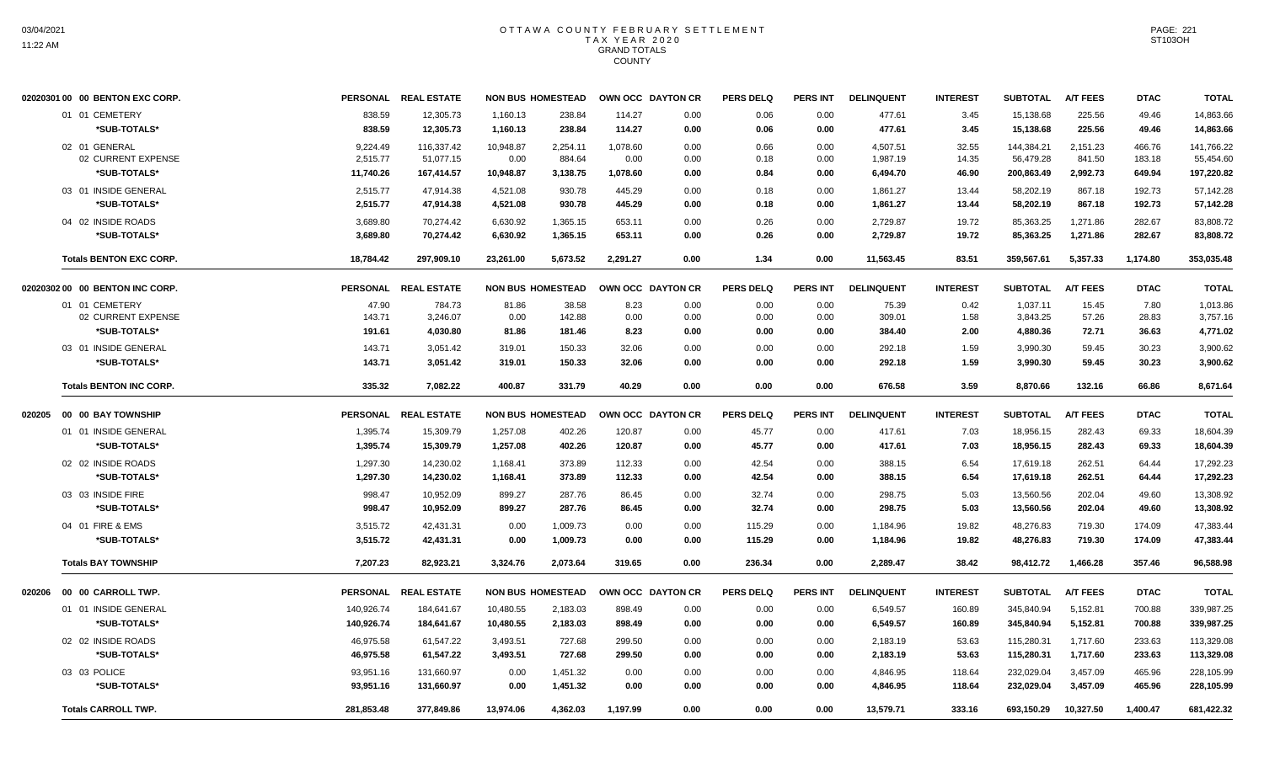| 838.59<br>12,305.73<br>15,138.68<br>225.56<br>49.46<br>01 01 CEMETERY<br>1,160.13<br>238.84<br>114.27<br>0.00<br>0.06<br>0.00<br>477.61<br>3.45<br>838.59<br>12,305.73<br>114.27<br>3.45<br>225.56<br>*SUB-TOTALS*<br>1,160.13<br>238.84<br>0.00<br>0.06<br>0.00<br>477.61<br>15,138.68<br>49.46<br>02 01 GENERAL<br>9.224.49<br>116,337.42<br>10,948.87<br>2,254.11<br>1,078.60<br>0.00<br>0.00<br>4,507.51<br>32.55<br>144,384.21<br>2,151.23<br>466.76<br>0.66<br>02 CURRENT EXPENSE<br>2,515.77<br>51,077.15<br>0.00<br>884.64<br>0.00<br>0.00<br>0.18<br>0.00<br>1,987.19<br>14.35<br>56,479.28<br>841.50<br>183.18<br>*SUB-TOTALS*<br>167,414.57<br>10,948.87<br>3,138.75<br>1,078.60<br>0.84<br>46.90<br>200,863.49<br>2,992.73<br>649.94<br>11,740.26<br>0.00<br>0.00<br>6,494.70<br>03 01 INSIDE GENERAL<br>2,515.77<br>445.29<br>58,202.19<br>867.18<br>192.73<br>47,914.38<br>4,521.08<br>930.78<br>0.00<br>0.18<br>0.00<br>1,861.27<br>13.44<br>*SUB-TOTALS*<br>2,515.77<br>47,914.38<br>13.44<br>58,202.19<br>867.18<br>192.73<br>4,521.08<br>930.78<br>445.29<br>0.00<br>0.18<br>0.00<br>1,861.27<br>04 02 INSIDE ROADS<br>282.67<br>3.689.80<br>70.274.42<br>6.630.92<br>1.365.15<br>653.11<br>0.00<br>0.26<br>0.00<br>2.729.87<br>19.72<br>85.363.25<br>1.271.86<br>*SUB-TOTALS*<br>3,689.80<br>70,274.42<br>6,630.92<br>1,365.15<br>653.11<br>0.00<br>2,729.87<br>19.72<br>85,363.25<br>1,271.86<br>282.67<br>0.26<br>0.00<br>18,784.42<br>5,673.52<br>2,291.27<br>1.34<br>11,563.45<br>83.51<br>359,567.61<br>5,357.33<br>1,174.80<br><b>Totals BENTON EXC CORP.</b><br>297,909.10<br>23,261.00<br>0.00<br>0.00 |                  |
|-----------------------------------------------------------------------------------------------------------------------------------------------------------------------------------------------------------------------------------------------------------------------------------------------------------------------------------------------------------------------------------------------------------------------------------------------------------------------------------------------------------------------------------------------------------------------------------------------------------------------------------------------------------------------------------------------------------------------------------------------------------------------------------------------------------------------------------------------------------------------------------------------------------------------------------------------------------------------------------------------------------------------------------------------------------------------------------------------------------------------------------------------------------------------------------------------------------------------------------------------------------------------------------------------------------------------------------------------------------------------------------------------------------------------------------------------------------------------------------------------------------------------------------------------------------------------------------------------------------------------------------|------------------|
|                                                                                                                                                                                                                                                                                                                                                                                                                                                                                                                                                                                                                                                                                                                                                                                                                                                                                                                                                                                                                                                                                                                                                                                                                                                                                                                                                                                                                                                                                                                                                                                                                                   | 14,863.66        |
|                                                                                                                                                                                                                                                                                                                                                                                                                                                                                                                                                                                                                                                                                                                                                                                                                                                                                                                                                                                                                                                                                                                                                                                                                                                                                                                                                                                                                                                                                                                                                                                                                                   | 14,863.66        |
|                                                                                                                                                                                                                                                                                                                                                                                                                                                                                                                                                                                                                                                                                                                                                                                                                                                                                                                                                                                                                                                                                                                                                                                                                                                                                                                                                                                                                                                                                                                                                                                                                                   | 141,766.22       |
|                                                                                                                                                                                                                                                                                                                                                                                                                                                                                                                                                                                                                                                                                                                                                                                                                                                                                                                                                                                                                                                                                                                                                                                                                                                                                                                                                                                                                                                                                                                                                                                                                                   | 55,454.60        |
|                                                                                                                                                                                                                                                                                                                                                                                                                                                                                                                                                                                                                                                                                                                                                                                                                                                                                                                                                                                                                                                                                                                                                                                                                                                                                                                                                                                                                                                                                                                                                                                                                                   | 197,220.82       |
|                                                                                                                                                                                                                                                                                                                                                                                                                                                                                                                                                                                                                                                                                                                                                                                                                                                                                                                                                                                                                                                                                                                                                                                                                                                                                                                                                                                                                                                                                                                                                                                                                                   | 57,142.28        |
|                                                                                                                                                                                                                                                                                                                                                                                                                                                                                                                                                                                                                                                                                                                                                                                                                                                                                                                                                                                                                                                                                                                                                                                                                                                                                                                                                                                                                                                                                                                                                                                                                                   | 57,142.28        |
|                                                                                                                                                                                                                                                                                                                                                                                                                                                                                                                                                                                                                                                                                                                                                                                                                                                                                                                                                                                                                                                                                                                                                                                                                                                                                                                                                                                                                                                                                                                                                                                                                                   | 83.808.72        |
|                                                                                                                                                                                                                                                                                                                                                                                                                                                                                                                                                                                                                                                                                                                                                                                                                                                                                                                                                                                                                                                                                                                                                                                                                                                                                                                                                                                                                                                                                                                                                                                                                                   | 83,808.72        |
|                                                                                                                                                                                                                                                                                                                                                                                                                                                                                                                                                                                                                                                                                                                                                                                                                                                                                                                                                                                                                                                                                                                                                                                                                                                                                                                                                                                                                                                                                                                                                                                                                                   | 353,035.48       |
| PERSONAL REAL ESTATE<br><b>NON BUS HOMESTEAD</b><br><b>PERS INT</b><br>02020302 00 00 BENTON INC CORP.<br>OWN OCC DAYTON CR<br><b>PERS DELQ</b><br><b>DELINQUENT</b><br><b>INTEREST</b><br><b>SUBTOTAL</b><br><b>A/T FEES</b><br><b>DTAC</b>                                                                                                                                                                                                                                                                                                                                                                                                                                                                                                                                                                                                                                                                                                                                                                                                                                                                                                                                                                                                                                                                                                                                                                                                                                                                                                                                                                                      | <b>TOTAL</b>     |
| 01 01 CEMETERY<br>47.90<br>38.58<br>0.42<br>1,037.11<br>15.45<br>784.73<br>81.86<br>8.23<br>0.00<br>0.00<br>0.00<br>75.39                                                                                                                                                                                                                                                                                                                                                                                                                                                                                                                                                                                                                                                                                                                                                                                                                                                                                                                                                                                                                                                                                                                                                                                                                                                                                                                                                                                                                                                                                                         | 7.80<br>1.013.86 |
| 02 CURRENT EXPENSE<br>143.71<br>3,246.07<br>0.00<br>142.88<br>0.00<br>0.00<br>0.00<br>309.01<br>1.58<br>3,843.25<br>57.26<br>28.83<br>0.00                                                                                                                                                                                                                                                                                                                                                                                                                                                                                                                                                                                                                                                                                                                                                                                                                                                                                                                                                                                                                                                                                                                                                                                                                                                                                                                                                                                                                                                                                        | 3,757.16         |
| *SUB-TOTALS*<br>191.61<br>4,030.80<br>81.86<br>8.23<br>0.00<br>0.00<br>384.40<br>2.00<br>4,880.36<br>72.71<br>36.63<br>181.46<br>0.00                                                                                                                                                                                                                                                                                                                                                                                                                                                                                                                                                                                                                                                                                                                                                                                                                                                                                                                                                                                                                                                                                                                                                                                                                                                                                                                                                                                                                                                                                             | 4,771.02         |
| 03 01 INSIDE GENERAL<br>3,051.42<br>1.59<br>3,990.30<br>59.45<br>143.71<br>319.01<br>150.33<br>32.06<br>0.00<br>0.00<br>0.00<br>292.18<br>30.23                                                                                                                                                                                                                                                                                                                                                                                                                                                                                                                                                                                                                                                                                                                                                                                                                                                                                                                                                                                                                                                                                                                                                                                                                                                                                                                                                                                                                                                                                   | 3,900.62         |
| *SUB-TOTALS*<br>143.71<br>3,051.42<br>319.01<br>150.33<br>32.06<br>0.00<br>0.00<br>0.00<br>292.18<br>1.59<br>3,990.30<br>59.45<br>30.23                                                                                                                                                                                                                                                                                                                                                                                                                                                                                                                                                                                                                                                                                                                                                                                                                                                                                                                                                                                                                                                                                                                                                                                                                                                                                                                                                                                                                                                                                           | 3,900.62         |
| <b>Totals BENTON INC CORP.</b><br>335.32<br>7,082.22<br>400.87<br>331.79<br>40.29<br>0.00<br>0.00<br>0.00<br>676.58<br>3.59<br>8,870.66<br>132.16<br>66.86                                                                                                                                                                                                                                                                                                                                                                                                                                                                                                                                                                                                                                                                                                                                                                                                                                                                                                                                                                                                                                                                                                                                                                                                                                                                                                                                                                                                                                                                        | 8,671.64         |
| <b>A/T FEES</b><br>PERSONAL REAL ESTATE<br><b>NON BUS HOMESTEAD</b><br>OWN OCC DAYTON CR<br><b>PERS DELQ</b><br>PERS INT<br><b>DELINQUENT</b><br><b>INTEREST</b><br><b>SUBTOTAL</b><br><b>DTAC</b><br>00 00 BAY TOWNSHIP<br>020205                                                                                                                                                                                                                                                                                                                                                                                                                                                                                                                                                                                                                                                                                                                                                                                                                                                                                                                                                                                                                                                                                                                                                                                                                                                                                                                                                                                                | <b>TOTAL</b>     |
| 18,956.15<br>01 01 INSIDE GENERAL<br>1,395.74<br>15,309.79<br>1,257.08<br>402.26<br>120.87<br>0.00<br>45.77<br>417.61<br>7.03<br>282.43<br>69.33<br>0.00                                                                                                                                                                                                                                                                                                                                                                                                                                                                                                                                                                                                                                                                                                                                                                                                                                                                                                                                                                                                                                                                                                                                                                                                                                                                                                                                                                                                                                                                          | 18,604.39        |
| *SUB-TOTALS*<br>1,395.74<br>15,309.79<br>1,257.08<br>402.26<br>120.87<br>0.00<br>45.77<br>0.00<br>417.61<br>7.03<br>18,956.15<br>282.43<br>69.33                                                                                                                                                                                                                                                                                                                                                                                                                                                                                                                                                                                                                                                                                                                                                                                                                                                                                                                                                                                                                                                                                                                                                                                                                                                                                                                                                                                                                                                                                  | 18,604.39        |
| 42.54<br>02 02 INSIDE ROADS<br>1,297.30<br>14,230.02<br>1,168.41<br>373.89<br>112.33<br>388.15<br>6.54<br>17,619.18<br>262.51<br>0.00<br>0.00<br>64.44                                                                                                                                                                                                                                                                                                                                                                                                                                                                                                                                                                                                                                                                                                                                                                                                                                                                                                                                                                                                                                                                                                                                                                                                                                                                                                                                                                                                                                                                            | 17,292.23        |
| *SUB-TOTALS*<br>1,297.30<br>14,230.02<br>1,168.41<br>373.89<br>112.33<br>0.00<br>42.54<br>0.00<br>388.15<br>6.54<br>17,619.18<br>262.51<br>64.44                                                                                                                                                                                                                                                                                                                                                                                                                                                                                                                                                                                                                                                                                                                                                                                                                                                                                                                                                                                                                                                                                                                                                                                                                                                                                                                                                                                                                                                                                  | 17,292.23        |
| 03 03 INSIDE FIRE<br>998.47<br>10,952.09<br>287.76<br>13,560.56<br>202.04<br>49.60<br>899.27<br>86.45<br>0.00<br>32.74<br>0.00<br>298.75<br>5.03                                                                                                                                                                                                                                                                                                                                                                                                                                                                                                                                                                                                                                                                                                                                                                                                                                                                                                                                                                                                                                                                                                                                                                                                                                                                                                                                                                                                                                                                                  | 13,308.92        |
| *SUB-TOTALS*<br>998.47<br>10,952.09<br>899.27<br>287.76<br>32.74<br>298.75<br>5.03<br>13,560.56<br>202.04<br>49.60<br>86.45<br>0.00<br>0.00                                                                                                                                                                                                                                                                                                                                                                                                                                                                                                                                                                                                                                                                                                                                                                                                                                                                                                                                                                                                                                                                                                                                                                                                                                                                                                                                                                                                                                                                                       | 13,308.92        |
| 04 01 FIRE & EMS<br>3,515.72<br>42,431.31<br>1,009.73<br>115.29<br>1,184.96<br>19.82<br>48,276.83<br>719.30<br>174.09<br>0.00<br>0.00<br>0.00<br>0.00                                                                                                                                                                                                                                                                                                                                                                                                                                                                                                                                                                                                                                                                                                                                                                                                                                                                                                                                                                                                                                                                                                                                                                                                                                                                                                                                                                                                                                                                             | 47,383.44        |
| *SUB-TOTALS*<br>3,515.72<br>42,431.31<br>0.00<br>1,009.73<br>115.29<br>1,184.96<br>19.82<br>48,276.83<br>719.30<br>174.09<br>0.00<br>0.00<br>0.00                                                                                                                                                                                                                                                                                                                                                                                                                                                                                                                                                                                                                                                                                                                                                                                                                                                                                                                                                                                                                                                                                                                                                                                                                                                                                                                                                                                                                                                                                 | 47,383.44        |
| <b>Totals BAY TOWNSHIP</b><br>7,207.23<br>82,923.21<br>2,073.64<br>0.00<br>236.34<br>2,289.47<br>98,412.72<br>1,466.28<br>357.46<br>3,324.76<br>319.65<br>0.00<br>38.42                                                                                                                                                                                                                                                                                                                                                                                                                                                                                                                                                                                                                                                                                                                                                                                                                                                                                                                                                                                                                                                                                                                                                                                                                                                                                                                                                                                                                                                           | 96,588.98        |
| PERSONAL REAL ESTATE<br><b>NON BUS HOMESTEAD</b><br>OWN OCC DAYTON CR<br><b>PERS DELQ</b><br><b>PERS INT</b><br><b>DELINQUENT</b><br><b>INTEREST</b><br><b>SUBTOTAL</b><br><b>A/T FEES</b><br><b>DTAC</b><br>00 00 CARROLL TWP.<br>020206                                                                                                                                                                                                                                                                                                                                                                                                                                                                                                                                                                                                                                                                                                                                                                                                                                                                                                                                                                                                                                                                                                                                                                                                                                                                                                                                                                                         | <b>TOTAL</b>     |
| 01 01 INSIDE GENERAL<br>140,926.74<br>10,480.55<br>2,183.03<br>898.49<br>6,549.57<br>345,840.94<br>5,152.81<br>700.88<br>184,641.67<br>0.00<br>0.00<br>0.00<br>160.89                                                                                                                                                                                                                                                                                                                                                                                                                                                                                                                                                                                                                                                                                                                                                                                                                                                                                                                                                                                                                                                                                                                                                                                                                                                                                                                                                                                                                                                             | 339,987.25       |
| *SUB-TOTALS*<br>10,480.55<br>6,549.57<br>345,840.94<br>5,152.81<br>140,926.74<br>184,641.67<br>2,183.03<br>898.49<br>0.00<br>0.00<br>0.00<br>160.89<br>700.88                                                                                                                                                                                                                                                                                                                                                                                                                                                                                                                                                                                                                                                                                                                                                                                                                                                                                                                                                                                                                                                                                                                                                                                                                                                                                                                                                                                                                                                                     |                  |
| 02 02 INSIDE ROADS<br>46,975.58<br>3,493.51<br>727.68<br>115,280.31<br>1,717.60<br>61,547.22<br>299.50<br>0.00<br>0.00<br>0.00<br>2,183.19<br>53.63<br>233.63                                                                                                                                                                                                                                                                                                                                                                                                                                                                                                                                                                                                                                                                                                                                                                                                                                                                                                                                                                                                                                                                                                                                                                                                                                                                                                                                                                                                                                                                     | 339,987.25       |
| *SUB-TOTALS*<br>46,975.58<br>61,547.22<br>3,493.51<br>727.68<br>299.50<br>0.00<br>2,183.19<br>53.63<br>115,280.31<br>1,717.60<br>233.63<br>0.00<br>0.00                                                                                                                                                                                                                                                                                                                                                                                                                                                                                                                                                                                                                                                                                                                                                                                                                                                                                                                                                                                                                                                                                                                                                                                                                                                                                                                                                                                                                                                                           | 113,329.08       |
| 03 03 POLICE<br>93,951.16<br>131,660.97<br>0.00<br>1,451.32<br>0.00<br>0.00<br>0.00<br>4,846.95<br>118.64<br>232,029.04<br>3,457.09<br>465.96<br>0.00                                                                                                                                                                                                                                                                                                                                                                                                                                                                                                                                                                                                                                                                                                                                                                                                                                                                                                                                                                                                                                                                                                                                                                                                                                                                                                                                                                                                                                                                             | 113,329.08       |
| *SUB-TOTALS*<br>93,951.16<br>131,660.97<br>0.00<br>1,451.32<br>0.00<br>4,846.95<br>118.64<br>232,029.04<br>3,457.09<br>465.96<br>0.00<br>0.00<br>0.00                                                                                                                                                                                                                                                                                                                                                                                                                                                                                                                                                                                                                                                                                                                                                                                                                                                                                                                                                                                                                                                                                                                                                                                                                                                                                                                                                                                                                                                                             | 228,105.99       |
| <b>Totals CARROLL TWP.</b><br>281,853.48<br>377,849.86<br>13.974.06<br>4,362.03<br>1,197.99<br>0.00<br>13,579.71<br>333.16<br>693,150.29<br>10,327.50<br>1,400.47<br>0.00<br>0.00                                                                                                                                                                                                                                                                                                                                                                                                                                                                                                                                                                                                                                                                                                                                                                                                                                                                                                                                                                                                                                                                                                                                                                                                                                                                                                                                                                                                                                                 | 228,105.99       |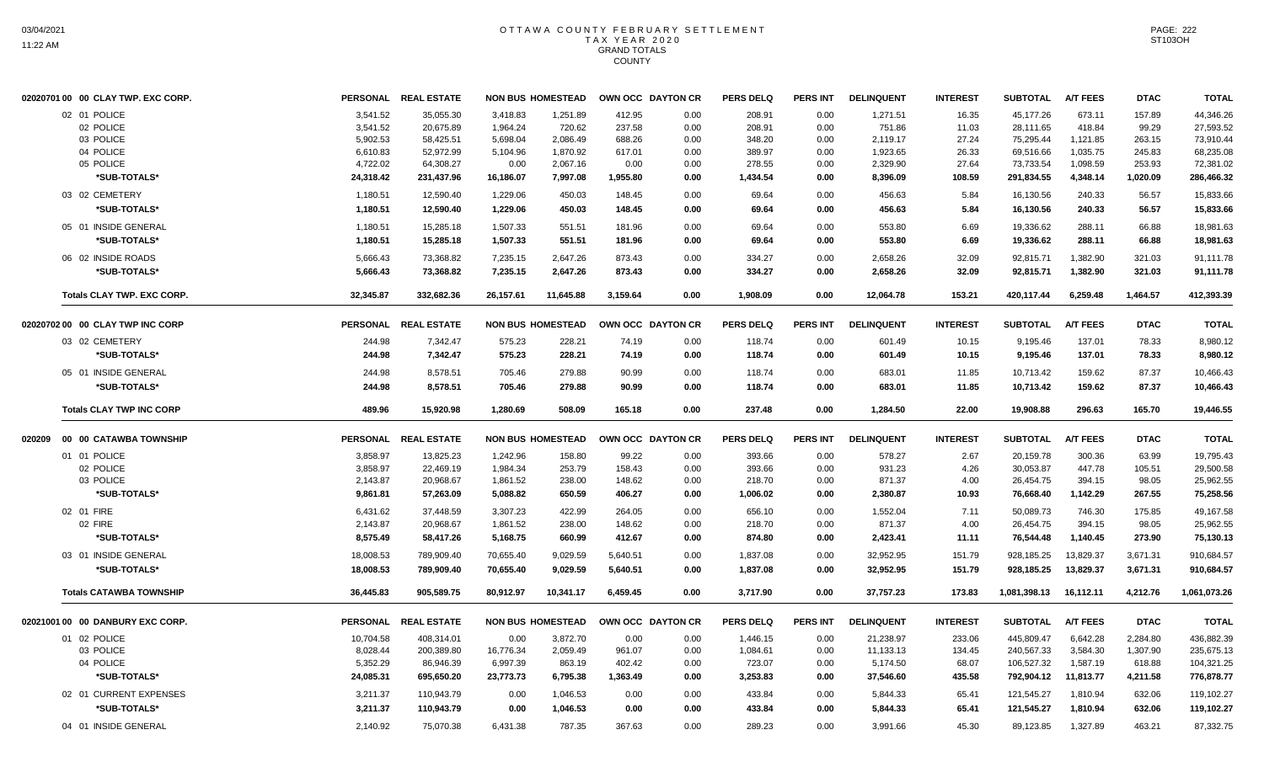| 02020701 00 00 CLAY TWP. EXC CORP. |                 | PERSONAL REAL ESTATE |           | <b>NON BUS HOMESTEAD</b> |          | OWN OCC DAYTON CR | <b>PERS DELQ</b> | <b>PERS INT</b> | <b>DELINQUENT</b> | <b>INTEREST</b> | <b>SUBTOTAL</b> | <b>A/T FEES</b> | <b>DTAC</b> | <b>TOTAL</b> |
|------------------------------------|-----------------|----------------------|-----------|--------------------------|----------|-------------------|------------------|-----------------|-------------------|-----------------|-----------------|-----------------|-------------|--------------|
| 02 01 POLICE                       | 3,541.52        | 35,055.30            | 3,418.83  | 1,251.89                 | 412.95   | 0.00              | 208.91           | 0.00            | 1,271.51          | 16.35           | 45,177.26       | 673.11          | 157.89      | 44,346.26    |
| 02 POLICE                          | 3,541.52        | 20,675.89            | 1,964.24  | 720.62                   | 237.58   | 0.00              | 208.91           | 0.00            | 751.86            | 11.03           | 28,111.65       | 418.84          | 99.29       | 27,593.52    |
| 03 POLICE                          | 5,902.53        | 58,425.51            | 5,698.04  | 2,086.49                 | 688.26   | 0.00              | 348.20           | 0.00            | 2,119.17          | 27.24           | 75,295.44       | 1,121.85        | 263.15      | 73,910.44    |
| 04 POLICE                          | 6,610.83        | 52,972.99            | 5,104.96  | 1,870.92                 | 617.01   | 0.00              | 389.97           | 0.00            | 1,923.65          | 26.33           | 69,516.66       | 1,035.75        | 245.83      | 68,235.08    |
| 05 POLICE                          | 4,722.02        | 64,308.27            | 0.00      | 2,067.16                 | 0.00     | 0.00              | 278.55           | 0.00            | 2,329.90          | 27.64           | 73,733.54       | 1,098.59        | 253.93      | 72,381.02    |
| *SUB-TOTALS*                       | 24,318.42       | 231,437.96           | 16,186.07 | 7,997.08                 | 1,955.80 | 0.00              | 1,434.54         | 0.00            | 8,396.09          | 108.59          | 291,834.55      | 4,348.14        | 1,020.09    | 286,466.32   |
| 03 02 CEMETERY                     | 1,180.51        | 12,590.40            | 1,229.06  | 450.03                   | 148.45   | 0.00              | 69.64            | 0.00            | 456.63            | 5.84            | 16,130.56       | 240.33          | 56.57       | 15,833.66    |
| *SUB-TOTALS*                       | 1,180.51        | 12,590.40            | 1,229.06  | 450.03                   | 148.45   | 0.00              | 69.64            | 0.00            | 456.63            | 5.84            | 16,130.56       | 240.33          | 56.57       | 15,833.66    |
| 05 01 INSIDE GENERAL               | 1,180.51        | 15,285.18            | 1,507.33  | 551.51                   | 181.96   | 0.00              | 69.64            | 0.00            | 553.80            | 6.69            | 19,336.62       | 288.11          | 66.88       | 18,981.63    |
| *SUB-TOTALS*                       | 1,180.51        | 15,285.18            | 1,507.33  | 551.51                   | 181.96   | 0.00              | 69.64            | 0.00            | 553.80            | 6.69            | 19,336.62       | 288.11          | 66.88       | 18,981.63    |
| 06 02 INSIDE ROADS                 | 5,666.43        | 73,368.82            | 7,235.15  | 2,647.26                 | 873.43   | 0.00              | 334.27           | 0.00            | 2,658.26          | 32.09           | 92,815.71       | 1,382.90        | 321.03      | 91,111.78    |
| *SUB-TOTALS*                       | 5,666.43        | 73,368.82            | 7,235.15  | 2,647.26                 | 873.43   | 0.00              | 334.27           | 0.00            | 2,658.26          | 32.09           | 92,815.71       | 1,382.90        | 321.03      | 91,111.78    |
| <b>Totals CLAY TWP, EXC CORP.</b>  | 32,345.87       | 332,682.36           | 26,157.61 | 11,645.88                | 3,159.64 | 0.00              | 1,908.09         | 0.00            | 12,064.78         | 153.21          | 420,117.44      | 6,259.48        | 1.464.57    | 412,393.39   |
| 02020702 00 00 CLAY TWP INC CORP   |                 | PERSONAL REAL ESTATE |           | <b>NON BUS HOMESTEAD</b> |          | OWN OCC DAYTON CR | <b>PERS DELQ</b> | <b>PERS INT</b> | <b>DELINQUENT</b> | <b>INTEREST</b> | <b>SUBTOTAL</b> | <b>A/T FEES</b> | <b>DTAC</b> | <b>TOTAL</b> |
| 03 02 CEMETERY                     | 244.98          | 7,342.47             | 575.23    | 228.21                   | 74.19    | 0.00              | 118.74           | 0.00            | 601.49            | 10.15           | 9,195.46        | 137.01          | 78.33       | 8,980.12     |
| *SUB-TOTALS*                       | 244.98          | 7,342.47             | 575.23    | 228.21                   | 74.19    | 0.00              | 118.74           | 0.00            | 601.49            | 10.15           | 9,195.46        | 137.01          | 78.33       | 8,980.12     |
| 05 01 INSIDE GENERAL               | 244.98          | 8,578.51             | 705.46    | 279.88                   | 90.99    | 0.00              | 118.74           | 0.00            | 683.01            | 11.85           | 10,713.42       | 159.62          | 87.37       | 10,466.43    |
| *SUB-TOTALS*                       | 244.98          | 8,578.51             | 705.46    | 279.88                   | 90.99    | 0.00              | 118.74           | 0.00            | 683.01            | 11.85           | 10,713.42       | 159.62          | 87.37       | 10,466.43    |
| <b>Totals CLAY TWP INC CORP</b>    | 489.96          | 15,920.98            | 1,280.69  | 508.09                   | 165.18   | 0.00              | 237.48           | 0.00            | 1,284.50          | 22.00           | 19,908.88       | 296.63          | 165.70      | 19,446.55    |
| 020209 00 00 CATAWBA TOWNSHIP      |                 | PERSONAL REAL ESTATE |           | <b>NON BUS HOMESTEAD</b> |          | OWN OCC DAYTON CR | <b>PERS DELQ</b> | <b>PERS INT</b> | <b>DELINQUENT</b> | <b>INTEREST</b> | <b>SUBTOTAL</b> | <b>A/T FEES</b> | <b>DTAC</b> | <b>TOTAL</b> |
| 01 01 POLICE                       | 3,858.97        | 13,825.23            | 1,242.96  | 158.80                   | 99.22    | 0.00              | 393.66           | 0.00            | 578.27            | 2.67            | 20,159.78       | 300.36          | 63.99       | 19,795.43    |
| 02 POLICE                          | 3,858.97        | 22,469.19            | 1,984.34  | 253.79                   | 158.43   | 0.00              | 393.66           | 0.00            | 931.23            | 4.26            | 30,053.87       | 447.78          | 105.51      | 29,500.58    |
| 03 POLICE                          | 2,143.87        | 20,968.67            | 1,861.52  | 238.00                   | 148.62   | 0.00              | 218.70           | 0.00            | 871.37            | 4.00            | 26,454.75       | 394.15          | 98.05       | 25,962.55    |
| *SUB-TOTALS*                       | 9,861.81        | 57,263.09            | 5,088.82  | 650.59                   | 406.27   | 0.00              | 1,006.02         | 0.00            | 2,380.87          | 10.93           | 76,668.40       | 1,142.29        | 267.55      | 75,258.56    |
| 02 01 FIRE                         | 6,431.62        | 37,448.59            | 3,307.23  | 422.99                   | 264.05   | 0.00              | 656.10           | 0.00            | 1,552.04          | 7.11            | 50,089.73       | 746.30          | 175.85      | 49,167.58    |
| 02 FIRE                            | 2,143.87        | 20,968.67            | 1,861.52  | 238.00                   | 148.62   | 0.00              | 218.70           | 0.00            | 871.37            | 4.00            | 26,454.75       | 394.15          | 98.05       | 25,962.55    |
| *SUB-TOTALS*                       | 8,575.49        | 58,417.26            | 5,168.75  | 660.99                   | 412.67   | 0.00              | 874.80           | 0.00            | 2,423.41          | 11.11           | 76,544.48       | 1,140.45        | 273.90      | 75,130.13    |
| 03 01 INSIDE GENERAL               | 18,008.53       | 789,909.40           | 70.655.40 | 9.029.59                 | 5,640.51 | 0.00              | 1,837.08         | 0.00            | 32,952.95         | 151.79          | 928.185.25      | 13,829.37       | 3,671.31    | 910.684.57   |
| *SUB-TOTALS*                       | 18,008.53       | 789,909.40           | 70,655.40 | 9,029.59                 | 5,640.51 | 0.00              | 1,837.08         | 0.00            | 32,952.95         | 151.79          | 928,185.25      | 13,829.37       | 3,671.31    | 910,684.57   |
| <b>Totals CATAWBA TOWNSHIP</b>     | 36,445.83       | 905,589.75           | 80.912.97 | 10,341.17                | 6,459.45 | 0.00              | 3,717.90         | 0.00            | 37,757.23         | 173.83          | 1,081,398.13    | 16,112.11       | 4,212.76    | 1,061,073.26 |
| 02021001 00 00 DANBURY EXC CORP.   | <b>PERSONAL</b> | <b>REAL ESTATE</b>   |           | <b>NON BUS HOMESTEAD</b> |          | OWN OCC DAYTON CR | <b>PERS DELQ</b> | <b>PERS INT</b> | <b>DELINQUENT</b> | <b>INTEREST</b> | <b>SUBTOTAL</b> | <b>A/T FEES</b> | <b>DTAC</b> | <b>TOTAL</b> |
| 01 02 POLICE                       | 10,704.58       | 408,314.01           | 0.00      | 3,872.70                 | 0.00     | 0.00              | 1,446.15         | 0.00            | 21,238.97         | 233.06          | 445,809.47      | 6,642.28        | 2,284.80    | 436,882.39   |
| 03 POLICE                          | 8,028.44        | 200,389.80           | 16,776.34 | 2,059.49                 | 961.07   | 0.00              | 1,084.61         | 0.00            | 11,133.13         | 134.45          | 240,567.33      | 3,584.30        | 1,307.90    | 235,675.13   |
| 04 POLICE                          | 5,352.29        | 86,946.39            | 6,997.39  | 863.19                   | 402.42   | 0.00              | 723.07           | 0.00            | 5,174.50          | 68.07           | 106,527.32      | 1,587.19        | 618.88      | 104,321.25   |
| *SUB-TOTALS*                       | 24,085.31       | 695,650.20           | 23,773.73 | 6,795.38                 | 1,363.49 | 0.00              | 3,253.83         | 0.00            | 37,546.60         | 435.58          | 792,904.12      | 11,813.77       | 4,211.58    | 776,878.77   |
| 02 01 CURRENT EXPENSES             | 3,211.37        | 110,943.79           | 0.00      | 1,046.53                 | 0.00     | 0.00              | 433.84           | 0.00            | 5,844.33          | 65.41           | 121,545.27      | 1,810.94        | 632.06      | 119,102.27   |
| *SUB-TOTALS*                       | 3,211.37        | 110,943.79           | 0.00      | 1,046.53                 | 0.00     | 0.00              | 433.84           | 0.00            | 5,844.33          | 65.41           | 121,545.27      | 1.810.94        | 632.06      | 119,102.27   |
| 04 01 INSIDE GENERAL               | 2,140.92        | 75,070.38            | 6,431.38  | 787.35                   | 367.63   | 0.00              | 289.23           | 0.00            | 3.991.66          | 45.30           | 89,123.85       | 1,327.89        | 463.21      | 87,332.75    |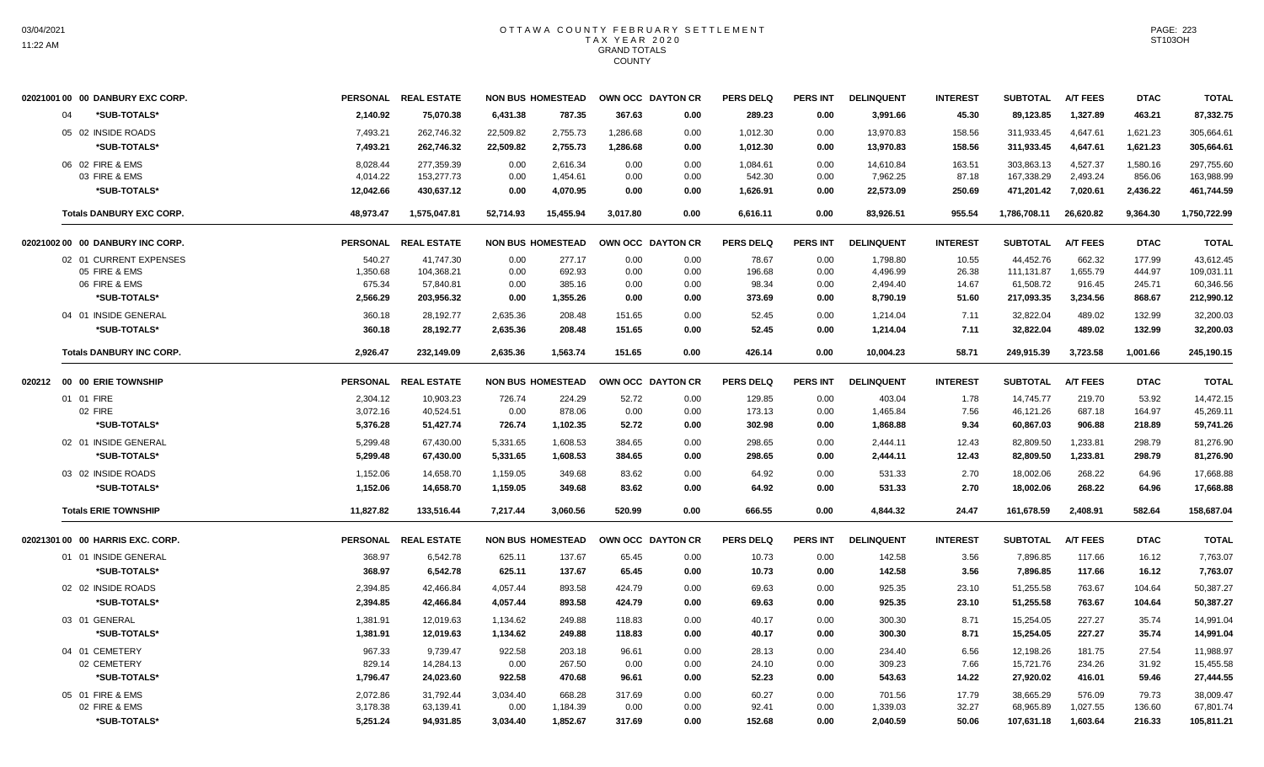| 02021001 00 00 DANBURY EXC CORP. |           | PERSONAL REAL ESTATE |           | <b>NON BUS HOMESTEAD</b> |          | OWN OCC DAYTON CR | <b>PERS DELQ</b> | <b>PERS INT</b> | <b>DELINQUENT</b> | <b>INTEREST</b> | <b>SUBTOTAL</b> | <b>A/T FEES</b> | <b>DTAC</b> | <b>TOTAL</b> |
|----------------------------------|-----------|----------------------|-----------|--------------------------|----------|-------------------|------------------|-----------------|-------------------|-----------------|-----------------|-----------------|-------------|--------------|
| *SUB-TOTALS*<br>04               | 2,140.92  | 75,070.38            | 6,431.38  | 787.35                   | 367.63   | 0.00              | 289.23           | 0.00            | 3,991.66          | 45.30           | 89,123.85       | 1,327.89        | 463.21      | 87,332.75    |
| 05 02 INSIDE ROADS               | 7,493.21  | 262,746.32           | 22,509.82 | 2,755.73                 | 1,286.68 | 0.00              | 1,012.30         | 0.00            | 13,970.83         | 158.56          | 311,933.45      | 4,647.61        | 1,621.23    | 305,664.61   |
| *SUB-TOTALS*                     | 7,493.21  | 262,746.32           | 22,509.82 | 2,755.73                 | 1,286.68 | 0.00              | 1,012.30         | 0.00            | 13,970.83         | 158.56          | 311,933.45      | 4,647.61        | 1,621.23    | 305,664.61   |
| 06 02 FIRE & EMS                 | 8,028.44  | 277,359.39           | 0.00      | 2,616.34                 | 0.00     | 0.00              | 1,084.61         | 0.00            | 14,610.84         | 163.51          | 303,863.13      | 4,527.37        | 1,580.16    | 297,755.60   |
| 03 FIRE & EMS                    | 4,014.22  | 153,277.73           | 0.00      | 1,454.61                 | 0.00     | 0.00              | 542.30           | 0.00            | 7,962.25          | 87.18           | 167,338.29      | 2,493.24        | 856.06      | 163,988.99   |
| *SUB-TOTALS*                     | 12,042.66 | 430,637.12           | 0.00      | 4.070.95                 | 0.00     | 0.00              | 1,626.91         | 0.00            | 22,573.09         | 250.69          | 471,201.42      | 7,020.61        | 2,436.22    | 461,744.59   |
| <b>Totals DANBURY EXC CORP.</b>  | 48,973.47 | 1,575,047.81         | 52,714.93 | 15,455.94                | 3,017.80 | 0.00              | 6,616.11         | 0.00            | 83,926.51         | 955.54          | 1,786,708.11    | 26,620.82       | 9,364.30    | 1,750,722.99 |
| 02021002 00 00 DANBURY INC CORP. |           | PERSONAL REAL ESTATE |           | <b>NON BUS HOMESTEAD</b> |          | OWN OCC DAYTON CR | <b>PERS DELQ</b> | <b>PERS INT</b> | <b>DELINQUENT</b> | <b>INTEREST</b> | <b>SUBTOTAL</b> | <b>A/T FEES</b> | <b>DTAC</b> | <b>TOTAL</b> |
| 02 01 CURRENT EXPENSES           | 540.27    | 41,747.30            | 0.00      | 277.17                   | 0.00     | 0.00              | 78.67            | 0.00            | 1,798.80          | 10.55           | 44,452.76       | 662.32          | 177.99      | 43,612.45    |
| 05 FIRE & EMS                    | 1,350.68  | 104,368.21           | 0.00      | 692.93                   | 0.00     | 0.00              | 196.68           | 0.00            | 4,496.99          | 26.38           | 111,131.87      | 1,655.79        | 444.97      | 109,031.11   |
| 06 FIRE & EMS                    | 675.34    | 57,840.81            | 0.00      | 385.16                   | 0.00     | 0.00              | 98.34            | 0.00            | 2,494.40          | 14.67           | 61,508.72       | 916.45          | 245.71      | 60,346.56    |
| *SUB-TOTALS*                     | 2,566.29  | 203,956.32           | 0.00      | 1,355.26                 | 0.00     | 0.00              | 373.69           | 0.00            | 8,790.19          | 51.60           | 217,093.35      | 3,234.56        | 868.67      | 212,990.12   |
| 04 01 INSIDE GENERAL             | 360.18    | 28,192.77            | 2,635.36  | 208.48                   | 151.65   | 0.00              | 52.45            | 0.00            | 1,214.04          | 7.11            | 32,822.04       | 489.02          | 132.99      | 32,200.03    |
| *SUB-TOTALS*                     | 360.18    | 28,192.77            | 2,635.36  | 208.48                   | 151.65   | 0.00              | 52.45            | 0.00            | 1,214.04          | 7.11            | 32,822.04       | 489.02          | 132.99      | 32.200.03    |
| <b>Totals DANBURY INC CORP.</b>  | 2,926.47  | 232,149.09           | 2,635.36  | 1,563.74                 | 151.65   | 0.00              | 426.14           | 0.00            | 10,004.23         | 58.71           | 249,915.39      | 3,723.58        | 1,001.66    | 245,190.15   |
| 020212 00 00 ERIE TOWNSHIP       |           | PERSONAL REAL ESTATE |           | <b>NON BUS HOMESTEAD</b> |          | OWN OCC DAYTON CR | <b>PERS DELQ</b> | <b>PERS INT</b> | <b>DELINQUENT</b> | <b>INTEREST</b> | <b>SUBTOTAL</b> | <b>A/T FEES</b> | <b>DTAC</b> | <b>TOTAL</b> |
| 01 01 FIRE                       | 2,304.12  | 10,903.23            | 726.74    | 224.29                   | 52.72    | 0.00              | 129.85           | 0.00            | 403.04            | 1.78            | 14,745.77       | 219.70          | 53.92       | 14,472.15    |
| 02 FIRE                          | 3,072.16  | 40,524.51            | 0.00      | 878.06                   | 0.00     | 0.00              | 173.13           | 0.00            | 1,465.84          | 7.56            | 46,121.26       | 687.18          | 164.97      | 45,269.11    |
| *SUB-TOTALS*                     | 5,376.28  | 51,427.74            | 726.74    | 1,102.35                 | 52.72    | 0.00              | 302.98           | 0.00            | 1,868.88          | 9.34            | 60,867.03       | 906.88          | 218.89      | 59,741.26    |
| 02 01 INSIDE GENERAL             | 5.299.48  | 67.430.00            | 5,331.65  | 1.608.53                 | 384.65   | 0.00              | 298.65           | 0.00            | 2,444.11          | 12.43           | 82.809.50       | 1.233.81        | 298.79      | 81.276.90    |
| *SUB-TOTALS*                     | 5,299.48  | 67,430.00            | 5,331.65  | 1,608.53                 | 384.65   | 0.00              | 298.65           | 0.00            | 2,444.11          | 12.43           | 82,809.50       | 1,233.81        | 298.79      | 81,276.90    |
| 03 02 INSIDE ROADS               | 1,152.06  | 14,658.70            | 1,159.05  | 349.68                   | 83.62    | 0.00              | 64.92            | 0.00            | 531.33            | 2.70            | 18,002.06       | 268.22          | 64.96       | 17,668.88    |
| *SUB-TOTALS*                     | 1,152.06  | 14,658.70            | 1,159.05  | 349.68                   | 83.62    | 0.00              | 64.92            | 0.00            | 531.33            | 2.70            | 18,002.06       | 268.22          | 64.96       | 17,668.88    |
| <b>Totals ERIE TOWNSHIP</b>      | 11,827.82 | 133,516.44           | 7,217.44  | 3,060.56                 | 520.99   | 0.00              | 666.55           | 0.00            | 4,844.32          | 24.47           | 161,678.59      | 2,408.91        | 582.64      | 158,687.04   |
| 02021301 00 00 HARRIS EXC. CORP. |           | PERSONAL REAL ESTATE |           | <b>NON BUS HOMESTEAD</b> |          | OWN OCC DAYTON CR | <b>PERS DELQ</b> | <b>PERS INT</b> | <b>DELINQUENT</b> | <b>INTEREST</b> | <b>SUBTOTAL</b> | <b>A/T FEES</b> | <b>DTAC</b> | <b>TOTAL</b> |
| 01 01 INSIDE GENERAL             | 368.97    | 6,542.78             | 625.11    | 137.67                   | 65.45    | 0.00              | 10.73            | 0.00            | 142.58            | 3.56            | 7,896.85        | 117.66          | 16.12       | 7,763.07     |
| *SUB-TOTALS*                     | 368.97    | 6,542.78             | 625.11    | 137.67                   | 65.45    | 0.00              | 10.73            | 0.00            | 142.58            | 3.56            | 7,896.85        | 117.66          | 16.12       | 7,763.07     |
| 02 02 INSIDE ROADS               | 2.394.85  | 42.466.84            | 4.057.44  | 893.58                   | 424.79   | 0.00              | 69.63            | 0.00            | 925.35            | 23.10           | 51,255.58       | 763.67          | 104.64      | 50,387.27    |
| *SUB-TOTALS*                     | 2,394.85  | 42,466.84            | 4,057.44  | 893.58                   | 424.79   | 0.00              | 69.63            | 0.00            | 925.35            | 23.10           | 51,255.58       | 763.67          | 104.64      | 50,387.27    |
| 03 01 GENERAL                    | 1,381.91  | 12,019.63            | 1,134.62  | 249.88                   | 118.83   | 0.00              | 40.17            | 0.00            | 300.30            | 8.71            | 15,254.05       | 227.27          | 35.74       | 14,991.04    |
| *SUB-TOTALS*                     | 1,381.91  | 12,019.63            | 1,134.62  | 249.88                   | 118.83   | 0.00              | 40.17            | 0.00            | 300.30            | 8.71            | 15,254.05       | 227.27          | 35.74       | 14,991.04    |
| 04 01 CEMETERY                   | 967.33    | 9,739.47             | 922.58    | 203.18                   | 96.61    | 0.00              | 28.13            | 0.00            | 234.40            | 6.56            | 12,198.26       | 181.75          | 27.54       | 11,988.97    |
| 02 CEMETERY                      | 829.14    | 14,284.13            | 0.00      | 267.50                   | 0.00     | 0.00              | 24.10            | 0.00            | 309.23            | 7.66            | 15,721.76       | 234.26          | 31.92       | 15,455.58    |
| *SUB-TOTALS*                     | 1,796.47  | 24,023.60            | 922.58    | 470.68                   | 96.61    | 0.00              | 52.23            | 0.00            | 543.63            | 14.22           | 27,920.02       | 416.01          | 59.46       | 27,444.55    |
| 05 01 FIRE & EMS                 | 2,072.86  | 31,792.44            | 3,034.40  | 668.28                   | 317.69   | 0.00              | 60.27            | 0.00            | 701.56            | 17.79           | 38,665.29       | 576.09          | 79.73       | 38.009.47    |
| 02 FIRE & EMS                    | 3,178.38  | 63,139.41            | 0.00      | 1,184.39                 | 0.00     | 0.00              | 92.41            | 0.00            | 1,339.03          | 32.27           | 68,965.89       | 1,027.55        | 136.60      | 67,801.74    |
| *SUB-TOTALS*                     | 5,251.24  | 94,931.85            | 3,034.40  | 1,852.67                 | 317.69   | 0.00              | 152.68           | 0.00            | 2.040.59          | 50.06           | 107,631.18      | 1,603.64        | 216.33      | 105,811.21   |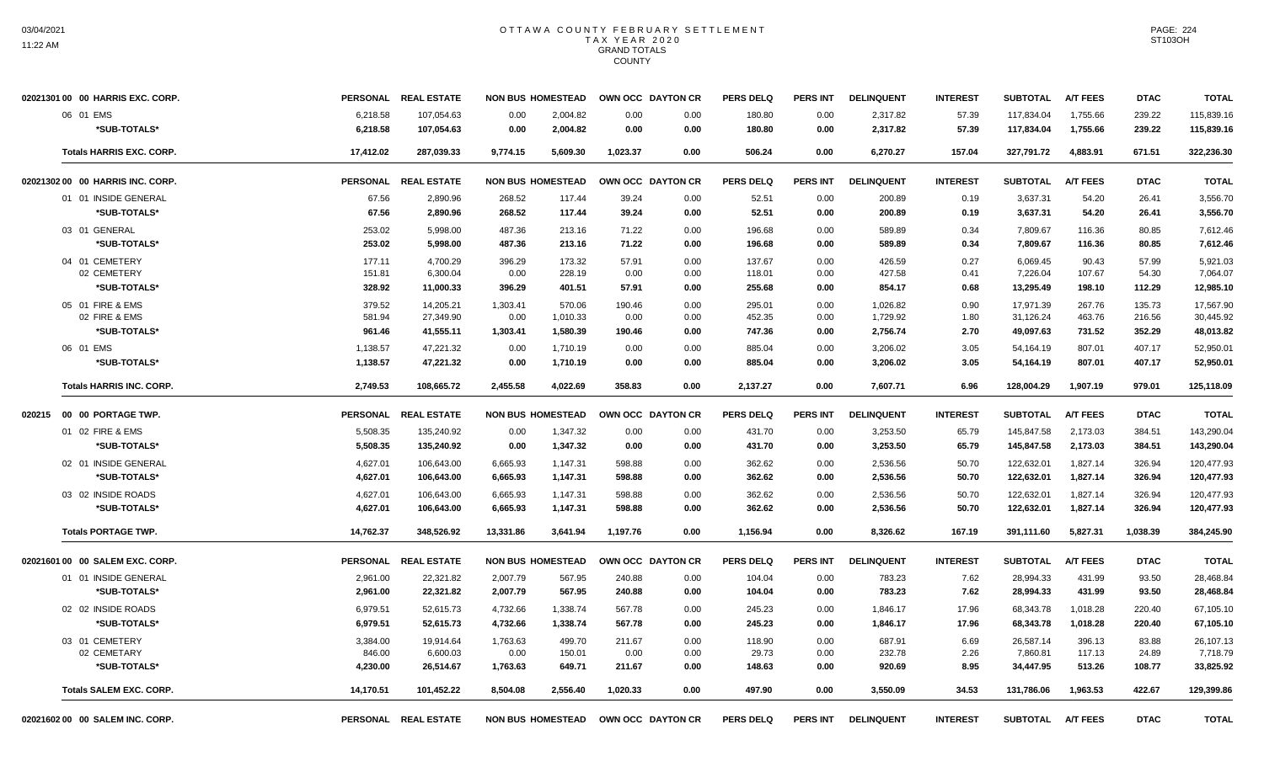| 02021301 00 00 HARRIS EXC. CORP.                                                | PERSONAL REAL ESTATE                |                              | <b>NON BUS HOMESTEAD</b>       |                          | OWN OCC DAYTON CR    | <b>PERS DELQ</b>           | <b>PERS INT</b>      | <b>DELINQUENT</b>                | <b>INTEREST</b>      | <b>SUBTOTAL</b>                     | <b>A/T FEES</b>            | <b>DTAC</b>                | <b>TOTAL</b>                        |
|---------------------------------------------------------------------------------|-------------------------------------|------------------------------|--------------------------------|--------------------------|----------------------|----------------------------|----------------------|----------------------------------|----------------------|-------------------------------------|----------------------------|----------------------------|-------------------------------------|
| 06 01 EMS<br>6,218.58<br>*SUB-TOTALS*<br>6,218.58                               | 107,054.63<br>107,054.63            | 0.00<br>0.00                 | 2,004.82<br>2,004.82           | 0.00<br>0.00             | 0.00<br>0.00         | 180.80<br>180.80           | 0.00<br>0.00         | 2,317.82<br>2,317.82             | 57.39<br>57.39       | 117,834.04<br>117,834.04            | 1,755.66<br>1,755.66       | 239.22<br>239.22           | 115,839.16<br>115,839.16            |
| <b>Totals HARRIS EXC. CORP.</b><br>17,412.02                                    | 287,039.33                          | 9,774.15                     | 5,609.30                       | 1,023.37                 | 0.00                 | 506.24                     | 0.00                 | 6,270.27                         | 157.04               | 327,791.72                          | 4,883.91                   | 671.51                     | 322,236.30                          |
| 02021302 00 00 HARRIS INC. CORP.<br><b>PERSONAL</b>                             | <b>REAL ESTATE</b>                  | <b>NON BUS HOMESTEAD</b>     |                                |                          | OWN OCC DAYTON CR    | <b>PERS DELQ</b>           | <b>PERS INT</b>      | <b>DELINQUENT</b>                | <b>INTEREST</b>      | <b>SUBTOTAL</b>                     | <b>A/T FEES</b>            | <b>DTAC</b>                | <b>TOTAL</b>                        |
| 01 01 INSIDE GENERAL<br>67.56<br>*SUB-TOTALS*<br>67.56                          | 2,890.96<br>2,890.96                | 268.52<br>268.52             | 117.44<br>117.44               | 39.24<br>39.24           | 0.00<br>0.00         | 52.51<br>52.51             | 0.00<br>0.00         | 200.89<br>200.89                 | 0.19<br>0.19         | 3,637.31<br>3,637.31                | 54.20<br>54.20             | 26.41<br>26.41             | 3,556.70<br>3,556.70                |
| 03 01 GENERAL<br>253.02<br>*SUB-TOTALS*<br>253.02                               | 5,998.00<br>5,998.00                | 487.36<br>487.36             | 213.16<br>213.16               | 71.22<br>71.22           | 0.00<br>0.00         | 196.68<br>196.68           | 0.00<br>0.00         | 589.89<br>589.89                 | 0.34<br>0.34         | 7,809.67<br>7,809.67                | 116.36<br>116.36           | 80.85<br>80.85             | 7,612.46<br>7,612.46                |
| 04 01 CEMETERY<br>177.11<br>02 CEMETERY<br>151.81                               | 4.700.29<br>6,300.04                | 396.29<br>0.00               | 173.32<br>228.19               | 57.91<br>0.00            | 0.00<br>0.00         | 137.67<br>118.01           | 0.00<br>0.00         | 426.59<br>427.58                 | 0.27<br>0.41         | 6.069.45<br>7,226.04                | 90.43<br>107.67            | 57.99<br>54.30             | 5,921.03<br>7,064.07                |
| *SUB-TOTALS*<br>328.92                                                          | 11,000.33                           | 396.29                       | 401.51                         | 57.91                    | 0.00                 | 255.68                     | 0.00                 | 854.17                           | 0.68                 | 13,295.49                           | 198.10                     | 112.29                     | 12,985.10                           |
| 05 01 FIRE & EMS<br>379.52<br>02 FIRE & EMS<br>581.94<br>*SUB-TOTALS*<br>961.46 | 14,205.21<br>27,349.90<br>41,555.11 | 1,303.41<br>0.00<br>1,303.41 | 570.06<br>1,010.33<br>1,580.39 | 190.46<br>0.00<br>190.46 | 0.00<br>0.00<br>0.00 | 295.01<br>452.35<br>747.36 | 0.00<br>0.00<br>0.00 | 1,026.82<br>1,729.92<br>2,756.74 | 0.90<br>1.80<br>2.70 | 17,971.39<br>31,126.24<br>49,097.63 | 267.76<br>463.76<br>731.52 | 135.73<br>216.56<br>352.29 | 17,567.90<br>30,445.92<br>48,013.82 |
| 06 01 EMS<br>1,138.57<br>*SUB-TOTALS*<br>1,138.57                               | 47,221.32<br>47,221.32              | 0.00<br>0.00                 | 1,710.19<br>1.710.19           | 0.00<br>0.00             | 0.00<br>0.00         | 885.04<br>885.04           | 0.00<br>0.00         | 3,206.02<br>3,206.02             | 3.05<br>3.05         | 54,164.19<br>54,164.19              | 807.01<br>807.01           | 407.17<br>407.17           | 52,950.01<br>52.950.01              |
| <b>Totals HARRIS INC. CORP.</b><br>2,749.53                                     | 108,665.72                          | 2,455.58                     | 4,022.69                       | 358.83                   | 0.00                 | 2,137.27                   | 0.00                 | 7,607.71                         | 6.96                 | 128,004.29                          | 1,907.19                   | 979.01                     | 125,118.09                          |
| <b>PERSONAL</b><br>020215 00 00 PORTAGE TWP.                                    | <b>REAL ESTATE</b>                  |                              | <b>NON BUS HOMESTEAD</b>       |                          | OWN OCC DAYTON CR    | <b>PERS DELQ</b>           | PERS INT             | <b>DELINQUENT</b>                | <b>INTEREST</b>      | <b>SUBTOTAL</b>                     | <b>A/T FEES</b>            | <b>DTAC</b>                | <b>TOTAL</b>                        |
| 01 02 FIRE & EMS<br>5,508.35<br>*SUB-TOTALS*<br>5,508.35                        | 135,240.92<br>135,240.92            | 0.00<br>0.00                 | 1,347.32<br>1,347.32           | 0.00<br>0.00             | 0.00<br>0.00         | 431.70<br>431.70           | 0.00<br>0.00         | 3,253.50<br>3,253.50             | 65.79<br>65.79       | 145,847.58<br>145,847.58            | 2,173.03<br>2,173.03       | 384.51<br>384.51           | 143,290.04<br>143,290.04            |
| 02 01 INSIDE GENERAL<br>4,627.01<br>*SUB-TOTALS*<br>4,627.01                    | 106,643.00<br>106,643.00            | 6,665.93<br>6,665.93         | 1,147.31<br>1,147.31           | 598.88<br>598.88         | 0.00<br>0.00         | 362.62<br>362.62           | 0.00<br>0.00         | 2,536.56<br>2,536.56             | 50.70<br>50.70       | 122,632.01<br>122,632.01            | 1,827.14<br>1,827.14       | 326.94<br>326.94           | 120,477.93<br>120,477.93            |
| 03 02 INSIDE ROADS<br>4,627.01<br>4,627.01<br>*SUB-TOTALS*                      | 106,643.00<br>106,643.00            | 6,665.93<br>6,665.93         | 1,147.31<br>1,147.31           | 598.88<br>598.88         | 0.00<br>0.00         | 362.62<br>362.62           | 0.00<br>0.00         | 2,536.56<br>2,536.56             | 50.70<br>50.70       | 122,632.01<br>122,632.01            | 1,827.14<br>1,827.14       | 326.94<br>326.94           | 120,477.93<br>120,477.93            |
| <b>Totals PORTAGE TWP.</b><br>14,762.37                                         | 348,526.92                          | 13,331.86                    | 3,641.94                       | 1,197.76                 | 0.00                 | 1,156.94                   | 0.00                 | 8,326.62                         | 167.19               | 391,111.60                          | 5,827.31                   | 1,038.39                   | 384,245.90                          |
| 02021601 00 00 SALEM EXC, CORP.<br><b>PERSONAL</b>                              | <b>REAL ESTATE</b>                  |                              | <b>NON BUS HOMESTEAD</b>       |                          | OWN OCC DAYTON CR    | <b>PERS DELQ</b>           | <b>PERS INT</b>      | <b>DELINQUENT</b>                | <b>INTEREST</b>      | <b>SUBTOTAL</b>                     | <b>A/T FEES</b>            | <b>DTAC</b>                | <b>TOTAL</b>                        |
| 01 01 INSIDE GENERAL<br>2,961.00<br>*SUB-TOTALS*<br>2,961.00                    | 22,321.82<br>22,321.82              | 2,007.79<br>2,007.79         | 567.95<br>567.95               | 240.88<br>240.88         | 0.00<br>0.00         | 104.04<br>104.04           | 0.00<br>0.00         | 783.23<br>783.23                 | 7.62<br>7.62         | 28,994.33<br>28,994.33              | 431.99<br>431.99           | 93.50<br>93.50             | 28,468.84<br>28,468.84              |
| 02 02 INSIDE ROADS<br>6,979.51<br>*SUB-TOTALS*<br>6,979.51                      | 52,615.73<br>52,615.73              | 4,732.66<br>4,732.66         | 1,338.74<br>1,338.74           | 567.78<br>567.78         | 0.00<br>0.00         | 245.23<br>245.23           | 0.00<br>0.00         | 1,846.17<br>1,846.17             | 17.96<br>17.96       | 68,343.78<br>68,343.78              | 1,018.28<br>1,018.28       | 220.40<br>220.40           | 67,105.10<br>67,105.10              |
| 03 01 CEMETERY<br>3.384.00<br>02 CEMETARY<br>846.00<br>*SUB-TOTALS*<br>4,230.00 | 19.914.64<br>6,600.03<br>26,514.67  | 1,763.63<br>0.00<br>1,763.63 | 499.70<br>150.01<br>649.71     | 211.67<br>0.00<br>211.67 | 0.00<br>0.00<br>0.00 | 118.90<br>29.73<br>148.63  | 0.00<br>0.00<br>0.00 | 687.91<br>232.78<br>920.69       | 6.69<br>2.26<br>8.95 | 26.587.14<br>7,860.81<br>34,447.95  | 396.13<br>117.13<br>513.26 | 83.88<br>24.89<br>108.77   | 26,107.13<br>7,718.79<br>33,825.92  |
| <b>Totals SALEM EXC. CORP.</b><br>14,170.51                                     | 101,452.22                          | 8.504.08                     | 2.556.40                       | 1.020.33                 | 0.00                 | 497.90                     | 0.00                 | 3,550.09                         | 34.53                | 131,786.06                          | 1.963.53                   | 422.67                     | 129,399.86                          |
| 0202160200 00 SALEM INC. CORP.                                                  | PERSONAL REAL ESTATE                |                              | <b>NON BUS HOMESTEAD</b>       |                          | OWN OCC DAYTON CR    | <b>PERS DELQ</b>           | <b>PERS INT</b>      | <b>DELINQUENT</b>                | <b>INTEREST</b>      | <b>SUBTOTAL</b>                     | <b>A/T FEES</b>            | <b>DTAC</b>                | <b>TOTAL</b>                        |

PAGE: 224 ST103OH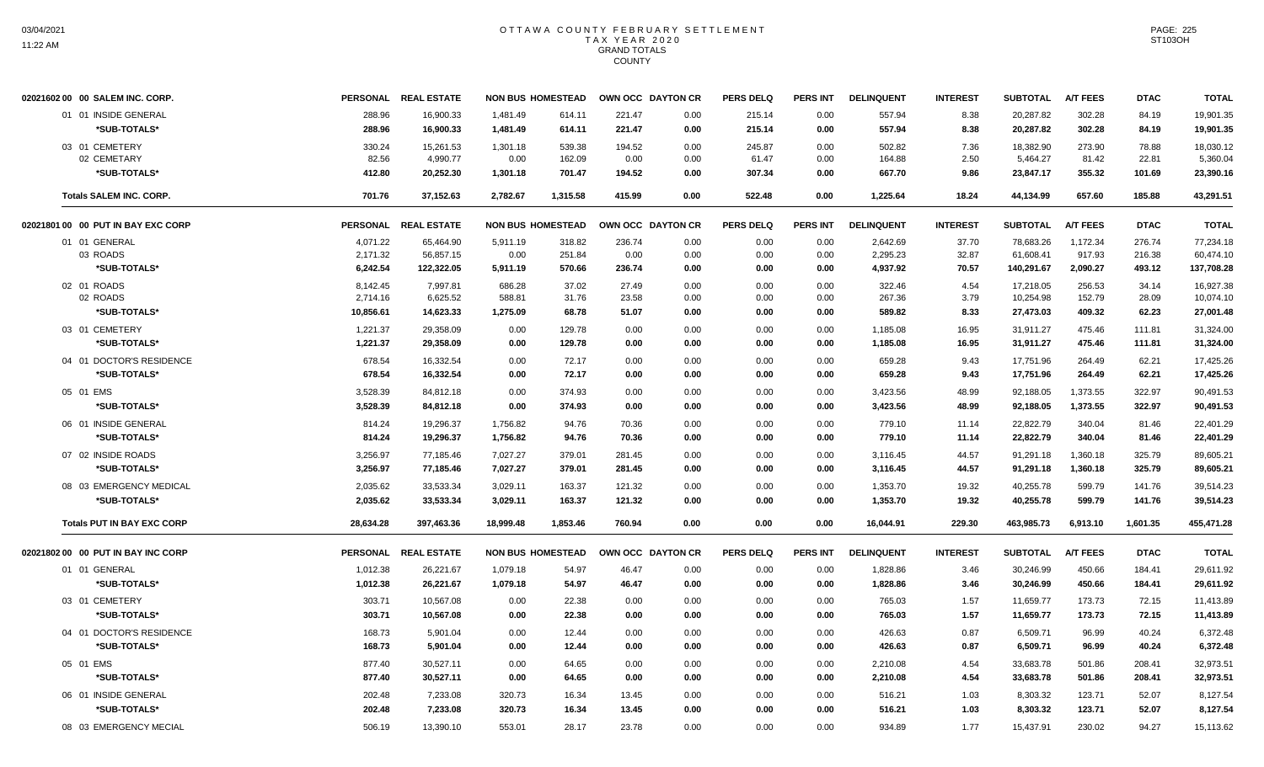| 02021602 00 00 SALEM INC. CORP.    |           | PERSONAL REAL ESTATE | <b>NON BUS HOMESTEAD</b> |          | OWN OCC DAYTON CR |      | <b>PERS DELQ</b> | PERS INT | <b>DELINQUENT</b> | <b>INTEREST</b> | <b>SUBTOTAL</b> | <b>A/T FEES</b> | <b>DTAC</b> | <b>TOTAL</b> |
|------------------------------------|-----------|----------------------|--------------------------|----------|-------------------|------|------------------|----------|-------------------|-----------------|-----------------|-----------------|-------------|--------------|
| 01 01 INSIDE GENERAL               | 288.96    | 16,900.33            | 1,481.49                 | 614.11   | 221.47            | 0.00 | 215.14           | 0.00     | 557.94            | 8.38            | 20,287.82       | 302.28          | 84.19       | 19,901.35    |
| *SUB-TOTALS*                       | 288.96    | 16,900.33            | 1,481.49                 | 614.11   | 221.47            | 0.00 | 215.14           | 0.00     | 557.94            | 8.38            | 20,287.82       | 302.28          | 84.19       | 19,901.35    |
| 03 01 CEMETERY                     | 330.24    | 15,261.53            | 1,301.18                 | 539.38   | 194.52            | 0.00 | 245.87           | 0.00     | 502.82            | 7.36            | 18,382.90       | 273.90          | 78.88       | 18,030.12    |
| 02 CEMETARY                        | 82.56     | 4,990.77             | 0.00                     | 162.09   | 0.00              | 0.00 | 61.47            | 0.00     | 164.88            | 2.50            | 5,464.27        | 81.42           | 22.81       | 5,360.04     |
| *SUB-TOTALS*                       | 412.80    | 20.252.30            | 1,301.18                 | 701.47   | 194.52            | 0.00 | 307.34           | 0.00     | 667.70            | 9.86            | 23,847.17       | 355.32          | 101.69      | 23,390.16    |
| <b>Totals SALEM INC. CORP.</b>     | 701.76    | 37,152.63            | 2,782.67                 | 1,315.58 | 415.99            | 0.00 | 522.48           | 0.00     | 1,225.64          | 18.24           | 44,134.99       | 657.60          | 185.88      | 43,291.51    |
| 02021801 00 00 PUT IN BAY EXC CORP |           | PERSONAL REAL ESTATE | <b>NON BUS HOMESTEAD</b> |          | OWN OCC DAYTON CR |      | <b>PERS DELQ</b> | PERS INT | <b>DELINQUENT</b> | <b>INTEREST</b> | <b>SUBTOTAL</b> | <b>A/T FEES</b> | <b>DTAC</b> | <b>TOTAL</b> |
| 01 01 GENERAL                      | 4,071.22  | 65,464.90            | 5,911.19                 | 318.82   | 236.74            | 0.00 | 0.00             | 0.00     | 2,642.69          | 37.70           | 78,683.26       | 1,172.34        | 276.74      | 77,234.18    |
| 03 ROADS                           | 2,171.32  | 56,857.15            | 0.00                     | 251.84   | 0.00              | 0.00 | 0.00             | 0.00     | 2,295.23          | 32.87           | 61,608.41       | 917.93          | 216.38      | 60,474.10    |
| *SUB-TOTALS*                       | 6,242.54  | 122,322.05           | 5,911.19                 | 570.66   | 236.74            | 0.00 | 0.00             | 0.00     | 4,937.92          | 70.57           | 140,291.67      | 2,090.27        | 493.12      | 137,708.28   |
| 02 01 ROADS                        | 8.142.45  | 7.997.81             | 686.28                   | 37.02    | 27.49             | 0.00 | 0.00             | 0.00     | 322.46            | 4.54            | 17,218.05       | 256.53          | 34.14       | 16,927.38    |
| 02 ROADS                           | 2,714.16  | 6,625.52             | 588.81                   | 31.76    | 23.58             | 0.00 | 0.00             | 0.00     | 267.36            | 3.79            | 10,254.98       | 152.79          | 28.09       | 10,074.10    |
| *SUB-TOTALS*                       | 10,856.61 | 14,623.33            | 1,275.09                 | 68.78    | 51.07             | 0.00 | 0.00             | 0.00     | 589.82            | 8.33            | 27,473.03       | 409.32          | 62.23       | 27,001.48    |
| 03 01 CEMETERY                     | 1,221.37  | 29,358.09            | 0.00                     | 129.78   | 0.00              | 0.00 | 0.00             | 0.00     | 1,185.08          | 16.95           | 31,911.27       | 475.46          | 111.81      | 31,324.00    |
| *SUB-TOTALS*                       | 1,221.37  | 29,358.09            | 0.00                     | 129.78   | 0.00              | 0.00 | 0.00             | 0.00     | 1,185.08          | 16.95           | 31,911.27       | 475.46          | 111.81      | 31,324.00    |
| 04 01 DOCTOR'S RESIDENCE           | 678.54    | 16,332.54            | 0.00                     | 72.17    | 0.00              | 0.00 | 0.00             | 0.00     | 659.28            | 9.43            | 17,751.96       | 264.49          | 62.21       | 17,425.26    |
| *SUB-TOTALS*                       | 678.54    | 16,332.54            | 0.00                     | 72.17    | 0.00              | 0.00 | 0.00             | 0.00     | 659.28            | 9.43            | 17,751.96       | 264.49          | 62.21       | 17,425.26    |
| 05 01 EMS                          | 3,528.39  | 84,812.18            | 0.00                     | 374.93   | 0.00              | 0.00 | 0.00             | 0.00     | 3,423.56          | 48.99           | 92,188.05       | 1,373.55        | 322.97      | 90,491.53    |
| *SUB-TOTALS*                       | 3,528.39  | 84,812.18            | 0.00                     | 374.93   | 0.00              | 0.00 | 0.00             | 0.00     | 3,423.56          | 48.99           | 92,188.05       | 1,373.55        | 322.97      | 90,491.53    |
| 06 01 INSIDE GENERAL               | 814.24    | 19.296.37            | 1,756.82                 | 94.76    | 70.36             | 0.00 | 0.00             | 0.00     | 779.10            | 11.14           | 22,822.79       | 340.04          | 81.46       | 22,401.29    |
| *SUB-TOTALS*                       | 814.24    | 19,296.37            | 1,756.82                 | 94.76    | 70.36             | 0.00 | 0.00             | 0.00     | 779.10            | 11.14           | 22,822.79       | 340.04          | 81.46       | 22,401.29    |
| 07 02 INSIDE ROADS                 | 3,256.97  | 77,185.46            | 7,027.27                 | 379.01   | 281.45            | 0.00 | 0.00             | 0.00     | 3,116.45          | 44.57           | 91,291.18       | 1,360.18        | 325.79      | 89,605.21    |
| *SUB-TOTALS*                       | 3,256.97  | 77,185.46            | 7,027.27                 | 379.01   | 281.45            | 0.00 | 0.00             | 0.00     | 3,116.45          | 44.57           | 91,291.18       | 1,360.18        | 325.79      | 89,605.21    |
| 08 03 EMERGENCY MEDICAL            | 2,035.62  | 33,533.34            | 3,029.11                 | 163.37   | 121.32            | 0.00 | 0.00             | 0.00     | 1,353.70          | 19.32           | 40,255.78       | 599.79          | 141.76      | 39,514.23    |
| *SUB-TOTALS*                       | 2,035.62  | 33,533.34            | 3,029.11                 | 163.37   | 121.32            | 0.00 | 0.00             | 0.00     | 1,353.70          | 19.32           | 40,255.78       | 599.79          | 141.76      | 39,514.23    |
| <b>Totals PUT IN BAY EXC CORP</b>  | 28,634.28 | 397,463.36           | 18,999.48                | 1,853.46 | 760.94            | 0.00 | 0.00             | 0.00     | 16,044.91         | 229.30          | 463,985.73      | 6,913.10        | 1,601.35    | 455,471.28   |
| 02021802 00 00 PUT IN BAY INC CORP |           | PERSONAL REAL ESTATE | <b>NON BUS HOMESTEAD</b> |          | OWN OCC DAYTON CR |      | <b>PERS DELQ</b> | PERS INT | <b>DELINQUENT</b> | <b>INTEREST</b> | <b>SUBTOTAL</b> | <b>A/T FEES</b> | <b>DTAC</b> | <b>TOTAL</b> |
| 01 01 GENERAL                      | 1,012.38  | 26,221.67            | 1,079.18                 | 54.97    | 46.47             | 0.00 | 0.00             | 0.00     | 1,828.86          | 3.46            | 30,246.99       | 450.66          | 184.41      | 29,611.92    |
| *SUB-TOTALS*                       | 1,012.38  | 26,221.67            | 1,079.18                 | 54.97    | 46.47             | 0.00 | 0.00             | 0.00     | 1,828.86          | 3.46            | 30,246.99       | 450.66          | 184.41      | 29,611.92    |
| 03 01 CEMETERY                     | 303.71    | 10,567.08            | 0.00                     | 22.38    | 0.00              | 0.00 | 0.00             | 0.00     | 765.03            | 1.57            | 11,659.77       | 173.73          | 72.15       | 11,413.89    |
| *SUB-TOTALS*                       | 303.71    | 10,567.08            | 0.00                     | 22.38    | 0.00              | 0.00 | 0.00             | 0.00     | 765.03            | 1.57            | 11,659.77       | 173.73          | 72.15       | 11,413.89    |
|                                    |           |                      |                          |          |                   |      |                  |          |                   |                 |                 |                 |             |              |
| 04 01 DOCTOR'S RESIDENCE           | 168.73    | 5,901.04             | 0.00                     | 12.44    | 0.00              | 0.00 | 0.00             | 0.00     | 426.63            | 0.87            | 6,509.71        | 96.99           | 40.24       | 6,372.48     |
| *SUB-TOTALS*                       | 168.73    | 5,901.04             | 0.00                     | 12.44    | 0.00              | 0.00 | 0.00             | 0.00     | 426.63            | 0.87            | 6,509.71        | 96.99           | 40.24       | 6,372.48     |
| 05 01 EMS                          | 877.40    | 30,527.11            | 0.00                     | 64.65    | 0.00              | 0.00 | 0.00             | 0.00     | 2,210.08          | 4.54            | 33,683.78       | 501.86          | 208.41      | 32,973.51    |
| *SUB-TOTALS*                       | 877.40    | 30,527.11            | 0.00                     | 64.65    | 0.00              | 0.00 | 0.00             | 0.00     | 2,210.08          | 4.54            | 33,683.78       | 501.86          | 208.41      | 32,973.51    |
| 06 01 INSIDE GENERAL               | 202.48    | 7,233.08             | 320.73                   | 16.34    | 13.45             | 0.00 | 0.00             | 0.00     | 516.21            | 1.03            | 8,303.32        | 123.71          | 52.07       | 8,127.54     |
| *SUB-TOTALS*                       | 202.48    | 7,233.08             | 320.73                   | 16.34    | 13.45             | 0.00 | 0.00             | 0.00     | 516.21            | 1.03            | 8.303.32        | 123.71          | 52.07       | 8,127.54     |
| 08 03 EMERGENCY MECIAL             | 506.19    | 13.390.10            | 553.01                   | 28.17    | 23.78             | 0.00 | 0.00             | 0.00     | 934.89            | 1.77            | 15.437.91       | 230.02          | 94.27       | 15,113.62    |
|                                    |           |                      |                          |          |                   |      |                  |          |                   |                 |                 |                 |             |              |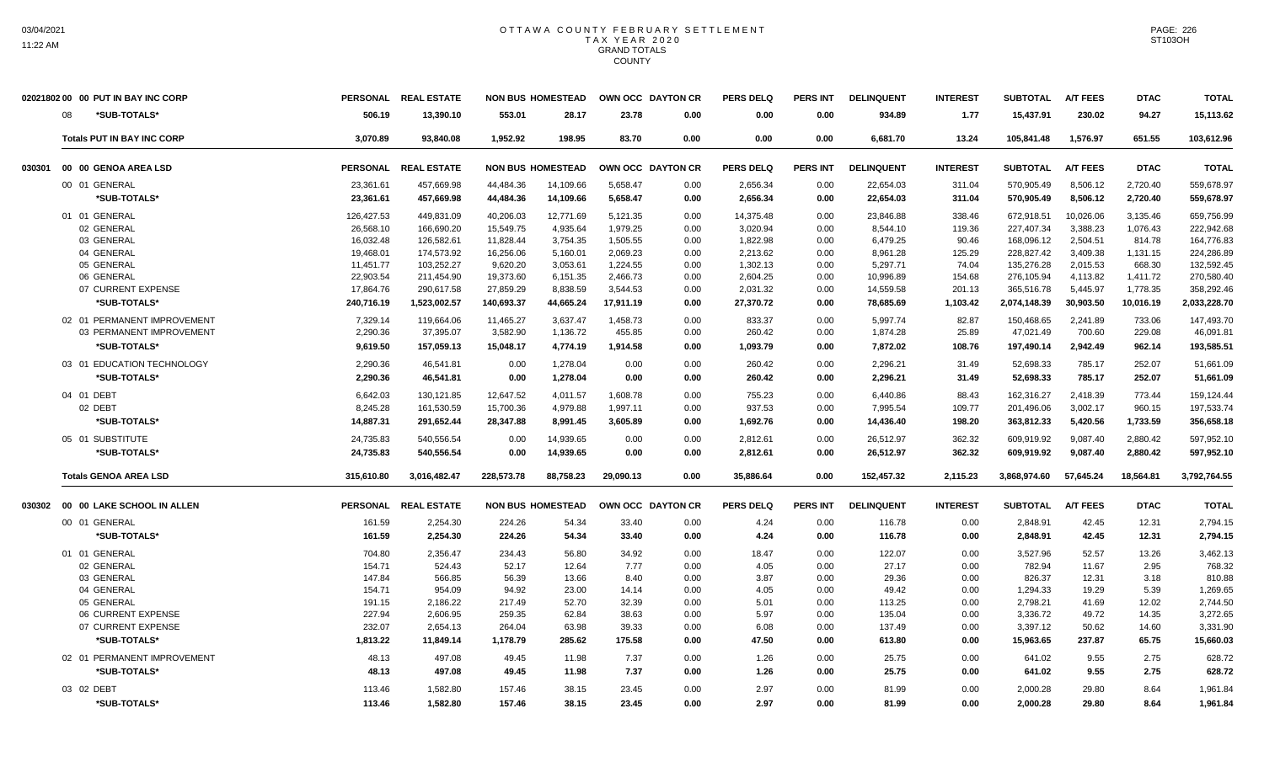|        | 02021802 00 00 PUT IN BAY INC CORP | <b>PERSONAL</b> | <b>REAL ESTATE</b> |            | <b>NON BUS HOMESTEAD</b> |           | OWN OCC DAYTON CR | <b>PERS DELQ</b> | <b>PERS INT</b> | <b>DELINQUENT</b> | <b>INTEREST</b> | <b>SUBTOTAL</b> | <b>A/T FEES</b> | <b>DTAC</b> | <b>TOTAL</b> |
|--------|------------------------------------|-----------------|--------------------|------------|--------------------------|-----------|-------------------|------------------|-----------------|-------------------|-----------------|-----------------|-----------------|-------------|--------------|
|        | *SUB-TOTALS*<br>08                 | 506.19          | 13,390.10          | 553.01     | 28.17                    | 23.78     | 0.00              | 0.00             | 0.00            | 934.89            | 1.77            | 15,437.91       | 230.02          | 94.27       | 15,113.62    |
|        | <b>Totals PUT IN BAY INC CORP</b>  | 3,070.89        | 93,840.08          | 1,952.92   | 198.95                   | 83.70     | 0.00              | 0.00             | 0.00            | 6,681.70          | 13.24           | 105,841.48      | 1,576.97        | 651.55      | 103,612.96   |
| 030301 | 00 00 GENOA AREA LSD               | <b>PERSONAL</b> | <b>REAL ESTATE</b> |            | <b>NON BUS HOMESTEAD</b> |           | OWN OCC DAYTON CR | <b>PERS DELQ</b> | <b>PERS INT</b> | <b>DELINQUENT</b> | <b>INTEREST</b> | <b>SUBTOTAL</b> | <b>A/T FEES</b> | <b>DTAC</b> | <b>TOTAL</b> |
|        | 00 01 GENERAL                      | 23,361.61       | 457,669.98         | 44,484.36  | 14,109.66                | 5,658.47  | 0.00              | 2,656.34         | 0.00            | 22,654.03         | 311.04          | 570,905.49      | 8,506.12        | 2,720.40    | 559,678.97   |
|        | *SUB-TOTALS*                       | 23,361.61       | 457,669.98         | 44,484.36  | 14,109.66                | 5,658.47  | 0.00              | 2,656.34         | 0.00            | 22,654.03         | 311.04          | 570,905.49      | 8,506.12        | 2,720.40    | 559,678.97   |
|        | 01 01 GENERAL                      | 126,427.53      | 449,831.09         | 40,206.03  | 12,771.69                | 5,121.35  | 0.00              | 14,375.48        | 0.00            | 23,846.88         | 338.46          | 672,918.51      | 10,026.06       | 3,135.46    | 659,756.99   |
|        | 02 GENERAL                         | 26,568.10       | 166,690.20         | 15,549.75  | 4,935.64                 | 1,979.25  | 0.00              | 3,020.94         | 0.00            | 8.544.10          | 119.36          | 227,407.34      | 3,388.23        | 1,076.43    | 222,942.68   |
|        | 03 GENERAL                         | 16,032.48       | 126,582.61         | 11,828.44  | 3,754.35                 | 1,505.55  | 0.00              | 1,822.98         | 0.00            | 6,479.25          | 90.46           | 168,096.12      | 2,504.51        | 814.78      | 164,776.83   |
|        | 04 GENERAL                         | 19,468.01       | 174,573.92         | 16,256.06  | 5,160.01                 | 2,069.23  | 0.00              | 2,213.62         | 0.00            | 8,961.28          | 125.29          | 228,827.42      | 3,409.38        | 1,131.15    | 224,286.89   |
|        | 05 GENERAL                         | 11,451.77       | 103,252.27         | 9,620.20   | 3,053.61                 | 1,224.55  | 0.00              | 1,302.13         | 0.00            | 5,297.71          | 74.04           | 135,276.28      | 2,015.53        | 668.30      | 132,592.45   |
|        | 06 GENERAL                         | 22,903.54       | 211,454.90         | 19,373.60  | 6,151.35                 | 2,466.73  | 0.00              | 2,604.25         | 0.00            | 10,996.89         | 154.68          | 276,105.94      | 4,113.82        | 1,411.72    | 270,580.40   |
|        | 07 CURRENT EXPENSE                 | 17,864.76       | 290,617.58         | 27,859.29  | 8,838.59                 | 3,544.53  | 0.00              | 2,031.32         | 0.00            | 14,559.58         | 201.13          | 365,516.78      | 5,445.97        | 1,778.35    | 358,292.46   |
|        | *SUB-TOTALS*                       | 240,716.19      | 1,523,002.57       | 140,693.37 | 44,665.24                | 17,911.19 | 0.00              | 27,370.72        | 0.00            | 78,685.69         | 1,103.42        | 2,074,148.39    | 30,903.50       | 10,016.19   | 2,033,228.70 |
|        | 02 01 PERMANENT IMPROVEMENT        | 7.329.14        | 119.664.06         | 11.465.27  | 3.637.47                 | 1.458.73  | 0.00              | 833.37           | 0.00            | 5.997.74          | 82.87           | 150.468.65      | 2.241.89        | 733.06      | 147,493.70   |
|        | 03 PERMANENT IMPROVEMENT           | 2,290.36        | 37,395.07          | 3,582.90   | 1,136.72                 | 455.85    | 0.00              | 260.42           | 0.00            | 1,874.28          | 25.89           | 47,021.49       | 700.60          | 229.08      | 46,091.81    |
|        | *SUB-TOTALS*                       | 9,619.50        | 157,059.13         | 15,048.17  | 4,774.19                 | 1,914.58  | 0.00              | 1,093.79         | 0.00            | 7,872.02          | 108.76          | 197,490.14      | 2,942.49        | 962.14      | 193,585.51   |
|        | 03 01 EDUCATION TECHNOLOGY         | 2.290.36        | 46.541.81          | 0.00       | 1.278.04                 | 0.00      | 0.00              | 260.42           | 0.00            | 2,296.21          | 31.49           | 52.698.33       | 785.17          | 252.07      | 51,661.09    |
|        | *SUB-TOTALS*                       | 2,290.36        | 46,541.81          | 0.00       | 1,278.04                 | 0.00      | 0.00              | 260.42           | 0.00            | 2,296.21          | 31.49           | 52,698.33       | 785.17          | 252.07      | 51,661.09    |
|        | 04 01 DEBT                         | 6.642.03        | 130.121.85         | 12.647.52  | 4.011.57                 | 1.608.78  | 0.00              | 755.23           | 0.00            | 6.440.86          | 88.43           | 162.316.27      | 2.418.39        | 773.44      | 159.124.44   |
|        | 02 DEBT                            | 8.245.28        | 161,530.59         | 15,700.36  | 4,979.88                 | 1,997.11  | 0.00              | 937.53           | 0.00            | 7,995.54          | 109.77          | 201,496.06      | 3,002.17        | 960.15      | 197,533.74   |
|        | *SUB-TOTALS*                       | 14,887.31       | 291,652.44         | 28,347.88  | 8,991.45                 | 3,605.89  | 0.00              | 1,692.76         | 0.00            | 14,436.40         | 198.20          | 363,812.33      | 5,420.56        | 1,733.59    | 356,658.18   |
|        | 05 01 SUBSTITUTE                   | 24.735.83       | 540.556.54         | 0.00       | 14.939.65                | 0.00      | 0.00              | 2,812.61         | 0.00            | 26.512.97         | 362.32          | 609.919.92      | 9.087.40        | 2,880.42    | 597,952.10   |
|        | *SUB-TOTALS*                       | 24,735.83       | 540,556.54         | 0.00       | 14,939.65                | 0.00      | 0.00              | 2,812.61         | 0.00            | 26,512.97         | 362.32          | 609,919.92      | 9,087.40        | 2,880.42    | 597,952.10   |
|        | <b>Totals GENOA AREA LSD</b>       | 315,610.80      | 3,016,482.47       | 228,573.78 | 88,758.23                | 29,090.13 | 0.00              | 35,886.64        | 0.00            | 152,457.32        | 2,115.23        | 3,868,974.60    | 57,645.24       | 18,564.81   | 3,792,764.55 |
| 030302 | 00 00 LAKE SCHOOL IN ALLEN         | <b>PERSONAL</b> | <b>REAL ESTATE</b> |            | <b>NON BUS HOMESTEAD</b> |           | OWN OCC DAYTON CR | <b>PERS DELQ</b> | <b>PERS INT</b> | <b>DELINQUENT</b> | <b>INTEREST</b> | <b>SUBTOTAL</b> | <b>A/T FEES</b> | <b>DTAC</b> | <b>TOTAL</b> |
|        | 00 01 GENERAL                      | 161.59          | 2,254.30           | 224.26     | 54.34                    | 33.40     | 0.00              | 4.24             | 0.00            | 116.78            | 0.00            | 2.848.91        | 42.45           | 12.31       | 2,794.15     |
|        | *SUB-TOTALS*                       | 161.59          | 2,254.30           | 224.26     | 54.34                    | 33.40     | 0.00              | 4.24             | 0.00            | 116.78            | 0.00            | 2,848.91        | 42.45           | 12.31       | 2,794.15     |
|        | 01 01 GENERAL                      | 704.80          | 2,356.47           | 234.43     | 56.80                    | 34.92     | 0.00              | 18.47            | 0.00            | 122.07            | 0.00            | 3,527.96        | 52.57           | 13.26       | 3,462.13     |
|        | 02 GENERAL                         | 154.71          | 524.43             | 52.17      | 12.64                    | 7.77      | 0.00              | 4.05             | 0.00            | 27.17             | 0.00            | 782.94          | 11.67           | 2.95        | 768.32       |
|        | 03 GENERAL                         | 147.84          | 566.85             | 56.39      | 13.66                    | 8.40      | 0.00              | 3.87             | 0.00            | 29.36             | 0.00            | 826.37          | 12.31           | 3.18        | 810.88       |
|        | 04 GENERAL                         | 154.71          | 954.09             | 94.92      | 23.00                    | 14.14     | 0.00              | 4.05             | 0.00            | 49.42             | 0.00            | 1,294.33        | 19.29           | 5.39        | 1,269.65     |
|        | 05 GENERAL                         | 191.15          | 2,186.22           | 217.49     | 52.70                    | 32.39     | 0.00              | 5.01             | 0.00            | 113.25            | 0.00            | 2,798.21        | 41.69           | 12.02       | 2,744.50     |
|        | 06 CURRENT EXPENSE                 | 227.94          | 2,606.95           | 259.35     | 62.84                    | 38.63     | 0.00              | 5.97             | 0.00            | 135.04            | 0.00            | 3,336.72        | 49.72           | 14.35       | 3,272.65     |
|        | 07 CURRENT EXPENSE                 | 232.07          | 2,654.13           | 264.04     | 63.98                    | 39.33     | 0.00              | 6.08             | 0.00            | 137.49            | 0.00            | 3,397.12        | 50.62           | 14.60       | 3,331.90     |
|        | *SUB-TOTALS*                       | 1,813.22        | 11.849.14          | 1.178.79   | 285.62                   | 175.58    | 0.00              | 47.50            | 0.00            | 613.80            | 0.00            | 15.963.65       | 237.87          | 65.75       | 15,660.03    |
|        | 02 01 PERMANENT IMPROVEMENT        | 48.13           | 497.08             | 49.45      | 11.98                    | 7.37      | 0.00              | 1.26             | 0.00            | 25.75             | 0.00            | 641.02          | 9.55            | 2.75        | 628.72       |
|        | *SUB-TOTALS*                       | 48.13           | 497.08             | 49.45      | 11.98                    | 7.37      | 0.00              | 1.26             | 0.00            | 25.75             | 0.00            | 641.02          | 9.55            | 2.75        | 628.72       |
|        | 03 02 DEBT                         | 113.46          | 1,582.80           | 157.46     | 38.15                    | 23.45     | 0.00              | 2.97             | 0.00            | 81.99             | 0.00            | 2,000.28        | 29.80           | 8.64        | 1,961.84     |
|        | *SUB-TOTALS*                       | 113.46          | 1,582.80           | 157.46     | 38.15                    | 23.45     | 0.00              | 2.97             | 0.00            | 81.99             | 0.00            | 2.000.28        | 29.80           | 8.64        | 1,961.84     |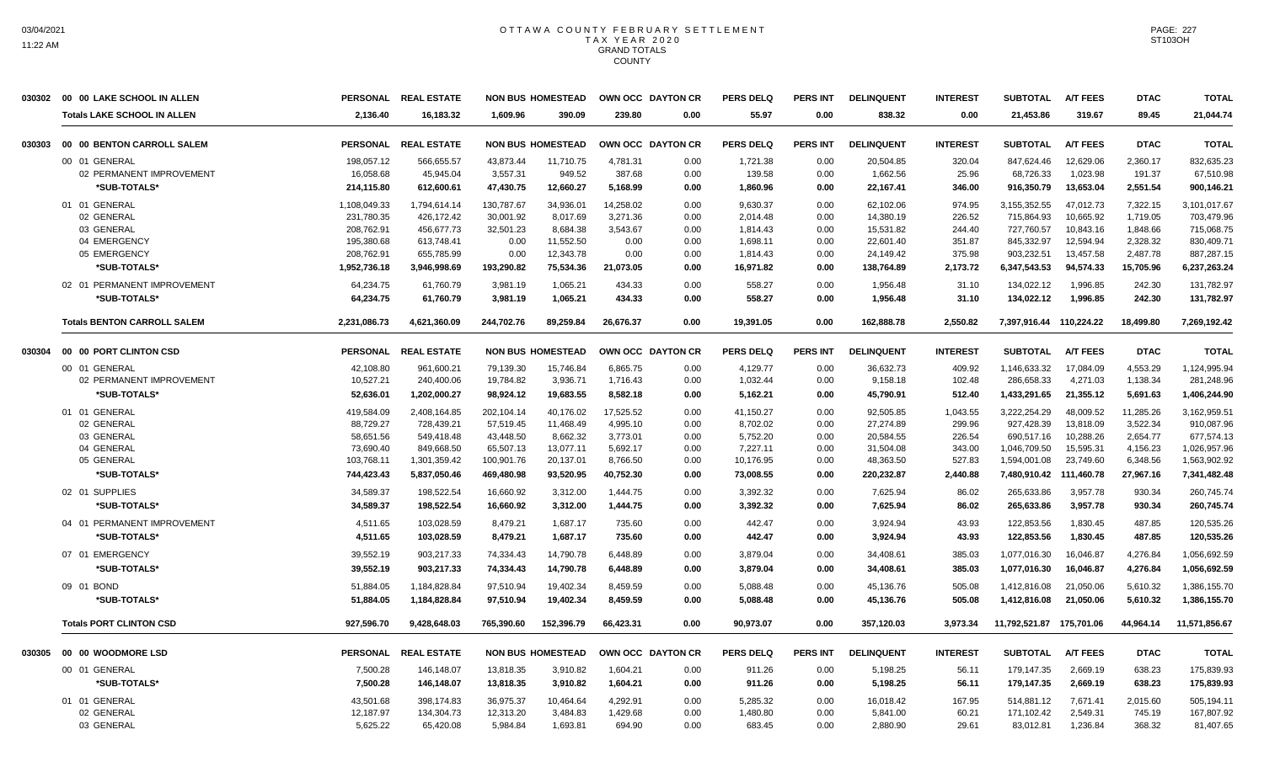|        | 030302 00 00 LAKE SCHOOL IN ALLEN  | <b>PERSONAL</b> | <b>REAL ESTATE</b>   |            | <b>NON BUS HOMESTEAD</b> |           | OWN OCC DAYTON CR | <b>PERS DELQ</b> | <b>PERS INT</b> | <b>DELINQUENT</b> | <b>INTEREST</b> | <b>SUBTOTAL</b>          | <b>A/T FEES</b> | <b>DTAC</b> | <b>TOTAL</b>  |
|--------|------------------------------------|-----------------|----------------------|------------|--------------------------|-----------|-------------------|------------------|-----------------|-------------------|-----------------|--------------------------|-----------------|-------------|---------------|
|        | <b>Totals LAKE SCHOOL IN ALLEN</b> | 2.136.40        | 16.183.32            | 1.609.96   | 390.09                   | 239.80    | 0.00              | 55.97            | 0.00            | 838.32            | 0.00            | 21,453.86                | 319.67          | 89.45       | 21,044.74     |
| 030303 | 00 00 BENTON CARROLL SALEM         |                 | PERSONAL REAL ESTATE |            | <b>NON BUS HOMESTEAD</b> |           | OWN OCC DAYTON CR | <b>PERS DELQ</b> | PERS INT        | <b>DELINQUENT</b> | <b>INTEREST</b> | <b>SUBTOTAL</b>          | <b>A/T FEES</b> | <b>DTAC</b> | <b>TOTAL</b>  |
|        | 00 01 GENERAL                      | 198,057.12      | 566,655.57           | 43,873.44  | 11,710.75                | 4,781.31  | 0.00              | 1,721.38         | 0.00            | 20,504.85         | 320.04          | 847,624.46               | 12,629.06       | 2,360.17    | 832,635.23    |
|        | 02 PERMANENT IMPROVEMENT           | 16,058.68       | 45,945.04            | 3,557.31   | 949.52                   | 387.68    | 0.00              | 139.58           | 0.00            | 1,662.56          | 25.96           | 68,726.33                | 1,023.98        | 191.37      | 67,510.98     |
|        | *SUB-TOTALS*                       | 214,115.80      | 612,600.61           | 47,430.75  | 12,660.27                | 5,168.99  | 0.00              | 1,860.96         | 0.00            | 22,167.41         | 346.00          | 916,350.79               | 13,653.04       | 2,551.54    | 900,146.21    |
|        | 01 01 GENERAL                      | 1,108,049.33    | 1,794,614.14         | 130,787.67 | 34,936.01                | 14,258.02 | 0.00              | 9,630.37         | 0.00            | 62,102.06         | 974.95          | 3,155,352.55             | 47,012.73       | 7,322.15    | 3,101,017.67  |
|        | 02 GENERAL                         | 231,780.35      | 426,172.42           | 30,001.92  | 8,017.69                 | 3.271.36  | 0.00              | 2,014.48         | 0.00            | 14,380.19         | 226.52          | 715,864.93               | 10,665.92       | 1,719.05    | 703,479.96    |
|        | 03 GENERAL                         | 208.762.91      | 456.677.73           | 32.501.23  | 8.684.38                 | 3.543.67  | 0.00              | 1.814.43         | 0.00            | 15.531.82         | 244.40          | 727.760.57               | 10.843.16       | 1.848.66    | 715.068.75    |
|        | 04 EMERGENCY                       | 195,380.68      | 613,748.41           | 0.00       | 11,552.50                | 0.00      | 0.00              | 1,698.11         | 0.00            | 22,601.40         | 351.87          | 845,332.97               | 12,594.94       | 2,328.32    | 830,409.71    |
|        | 05 EMERGENCY                       | 208,762.91      | 655,785.99           | 0.00       | 12,343.78                | 0.00      | 0.00              | 1,814.43         | 0.00            | 24,149.42         | 375.98          | 903,232.51               | 13,457.58       | 2,487.78    | 887,287.15    |
|        | *SUB-TOTALS*                       | 1,952,736.18    | 3,946,998.69         | 193,290.82 | 75,534.36                | 21,073.05 | 0.00              | 16,971.82        | 0.00            | 138,764.89        | 2,173.72        | 6,347,543.53             | 94,574.33       | 15,705.96   | 6,237,263.24  |
|        | 02 01 PERMANENT IMPROVEMENT        | 64.234.75       | 61.760.79            | 3,981.19   | 1.065.21                 | 434.33    | 0.00              | 558.27           | 0.00            | 1.956.48          | 31.10           | 134.022.12               | 1.996.85        | 242.30      | 131.782.97    |
|        | *SUB-TOTALS*                       | 64,234.75       | 61,760.79            | 3,981.19   | 1,065.21                 | 434.33    | 0.00              | 558.27           | 0.00            | 1,956.48          | 31.10           | 134,022.12               | 1,996.85        | 242.30      | 131,782.97    |
|        | <b>Totals BENTON CARROLL SALEM</b> | 2,231,086.73    | 4.621.360.09         | 244.702.76 | 89.259.84                | 26.676.37 | 0.00              | 19.391.05        | 0.00            | 162.888.78        | 2,550.82        | 7,397,916.44 110,224.22  |                 | 18,499.80   | 7,269,192.42  |
| 030304 | 00 00 PORT CLINTON CSD             |                 | PERSONAL REAL ESTATE |            | <b>NON BUS HOMESTEAD</b> |           | OWN OCC DAYTON CR | <b>PERS DELQ</b> | <b>PERS INT</b> | <b>DELINQUENT</b> | <b>INTEREST</b> | <b>SUBTOTAL</b>          | <b>A/T FEES</b> | <b>DTAC</b> | <b>TOTAL</b>  |
|        | 00 01 GENERAL                      | 42,108.80       | 961,600.21           | 79,139.30  | 15,746.84                | 6,865.75  | 0.00              | 4,129.77         | 0.00            | 36,632.73         | 409.92          | 1,146,633.32             | 17,084.09       | 4,553.29    | 1,124,995.94  |
|        | 02 PERMANENT IMPROVEMENT           | 10,527.21       | 240,400.06           | 19,784.82  | 3,936.71                 | 1,716.43  | 0.00              | 1,032.44         | 0.00            | 9,158.18          | 102.48          | 286,658.33               | 4,271.03        | 1,138.34    | 281,248.96    |
|        | *SUB-TOTALS*                       | 52,636.01       | 1,202,000.27         | 98,924.12  | 19,683.55                | 8,582.18  | 0.00              | 5,162.21         | 0.00            | 45,790.91         | 512.40          | 1,433,291.65             | 21,355.12       | 5,691.63    | 1,406,244.90  |
|        | 01 01 GENERAL                      | 419,584.09      | 2,408,164.85         | 202,104.14 | 40,176.02                | 17,525.52 | 0.00              | 41,150.27        | 0.00            | 92,505.85         | 1,043.55        | 3,222,254.29             | 48,009.52       | 11,285.26   | 3,162,959.51  |
|        | 02 GENERAL                         | 88,729.27       | 728,439.21           | 57,519.45  | 11,468.49                | 4,995.10  | 0.00              | 8,702.02         | 0.00            | 27,274.89         | 299.96          | 927,428.39               | 13,818.09       | 3,522.34    | 910,087.96    |
|        | 03 GENERAL                         | 58,651.56       | 549,418.48           | 43,448.50  | 8,662.32                 | 3,773.01  | 0.00              | 5,752.20         | 0.00            | 20,584.55         | 226.54          | 690,517.16               | 10,288.26       | 2,654.77    | 677,574.13    |
|        | 04 GENERAL                         | 73,690.40       | 849,668.50           | 65,507.13  | 13,077.11                | 5,692.17  | 0.00              | 7,227.11         | 0.00            | 31,504.08         | 343.00          | 1,046,709.50             | 15,595.31       | 4,156.23    | 1,026,957.96  |
|        | 05 GENERAL                         | 103,768.11      | 1,301,359.42         | 100,901.76 | 20,137.01                | 8,766.50  | 0.00              | 10,176.95        | 0.00            | 48,363.50         | 527.83          | 1,594,001.08             | 23,749.60       | 6,348.56    | 1,563,902.92  |
|        | *SUB-TOTALS*                       | 744,423.43      | 5,837,050.46         | 469,480.98 | 93,520.95                | 40,752.30 | 0.00              | 73,008.55        | 0.00            | 220,232.87        | 2,440.88        | 7,480,910.42             | 111,460.78      | 27,967.16   | 7,341,482.48  |
|        | 02 01 SUPPLIES                     | 34,589.37       | 198.522.54           | 16,660.92  | 3,312.00                 | 1.444.75  | 0.00              | 3,392.32         | 0.00            | 7,625.94          | 86.02           | 265,633.86               | 3,957.78        | 930.34      | 260,745.74    |
|        | *SUB-TOTALS*                       | 34,589.37       | 198,522.54           | 16,660.92  | 3,312.00                 | 1,444.75  | 0.00              | 3,392.32         | 0.00            | 7,625.94          | 86.02           | 265,633.86               | 3,957.78        | 930.34      | 260,745.74    |
|        | 04 01 PERMANENT IMPROVEMENT        | 4.511.65        | 103.028.59           | 8.479.21   | 1.687.17                 | 735.60    | 0.00              | 442.47           | 0.00            | 3.924.94          | 43.93           | 122.853.56               | 1.830.45        | 487.85      | 120.535.26    |
|        | *SUB-TOTALS*                       | 4,511.65        | 103,028.59           | 8,479.21   | 1,687.17                 | 735.60    | 0.00              | 442.47           | 0.00            | 3,924.94          | 43.93           | 122,853.56               | 1,830.45        | 487.85      | 120,535.26    |
|        | 07 01 EMERGENCY                    | 39,552.19       | 903,217.33           | 74,334.43  | 14,790.78                | 6,448.89  | 0.00              | 3,879.04         | 0.00            | 34,408.61         | 385.03          | 1,077,016.30             | 16,046.87       | 4,276.84    | 1,056,692.59  |
|        | *SUB-TOTALS*                       | 39.552.19       | 903.217.33           | 74.334.43  | 14.790.78                | 6.448.89  | 0.00              | 3.879.04         | 0.00            | 34,408.61         | 385.03          | 1.077.016.30             | 16.046.87       | 4,276.84    | 1.056,692.59  |
|        | 09 01 BOND                         | 51,884.05       | 1,184,828.84         | 97.510.94  | 19.402.34                | 8,459.59  | 0.00              | 5,088.48         | 0.00            | 45,136.76         | 505.08          | 1,412,816.08             | 21.050.06       | 5,610.32    | 1,386,155.70  |
|        | *SUB-TOTALS*                       | 51,884.05       | 1,184,828.84         | 97,510.94  | 19,402.34                | 8,459.59  | 0.00              | 5,088.48         | 0.00            | 45,136.76         | 505.08          | 1,412,816.08             | 21,050.06       | 5,610.32    | 1,386,155.70  |
|        | <b>Totals PORT CLINTON CSD</b>     | 927,596.70      | 9,428,648.03         | 765,390.60 | 152,396.79               | 66,423.31 | 0.00              | 90,973.07        | 0.00            | 357,120.03        | 3,973.34        | 11,792,521.87 175,701.06 |                 | 44,964.14   | 11,571,856.67 |
| 030305 | 00 00 WOODMORE LSD                 | <b>PERSONAL</b> | <b>REAL ESTATE</b>   |            | <b>NON BUS HOMESTEAD</b> |           | OWN OCC DAYTON CR | <b>PERS DELQ</b> | <b>PERS INT</b> | <b>DELINQUENT</b> | <b>INTEREST</b> | <b>SUBTOTAL</b>          | <b>A/T FEES</b> | <b>DTAC</b> | <b>TOTAL</b>  |
|        | 00 01 GENERAL                      | 7,500.28        | 146,148.07           | 13,818.35  | 3,910.82                 | 1,604.21  | 0.00              | 911.26           | 0.00            | 5,198.25          | 56.11           | 179.147.35               | 2.669.19        | 638.23      | 175,839.93    |
|        | *SUB-TOTALS*                       | 7,500.28        | 146,148.07           | 13,818.35  | 3,910.82                 | 1,604.21  | 0.00              | 911.26           | 0.00            | 5,198.25          | 56.11           | 179,147.35               | 2,669.19        | 638.23      | 175,839.93    |
|        | 01 01 GENERAL                      | 43,501.68       | 398,174.83           | 36,975.37  | 10,464.64                | 4,292.91  | 0.00              | 5,285.32         | 0.00            | 16,018.42         | 167.95          | 514,881.12               | 7,671.41        | 2,015.60    | 505,194.11    |
|        | 02 GENERAL                         | 12,187.97       | 134,304.73           | 12,313.20  | 3,484.83                 | 1,429.68  | 0.00              | 1,480.80         | 0.00            | 5,841.00          | 60.21           | 171,102.42               | 2,549.31        | 745.19      | 167,807.92    |
|        | 03 GENERAL                         | 5,625.22        | 65,420.08            | 5,984.84   | 1,693.81                 | 694.90    | 0.00              | 683.45           | 0.00            | 2,880.90          | 29.61           | 83,012.81                | 1,236.84        | 368.32      | 81,407.65     |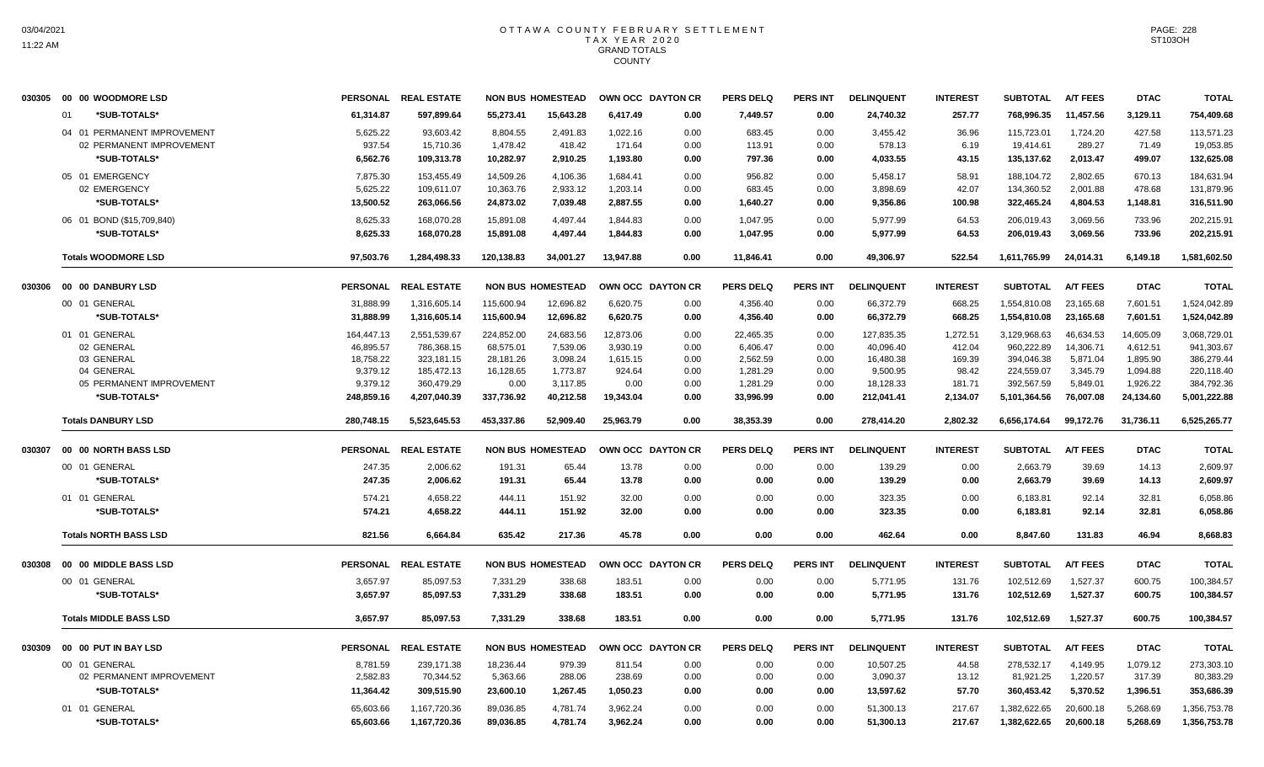| 030305 | 00 00 WOODMORE LSD            | <b>PERSONAL</b> | <b>REAL ESTATE</b> |            | <b>NON BUS HOMESTEAD</b> |           | OWN OCC DAYTON CR | <b>PERS DELQ</b> | <b>PERS INT</b> | <b>DELINQUENT</b> | <b>INTEREST</b> | <b>SUBTOTAL</b> | <b>A/T FEES</b> | <b>DTAC</b> | <b>TOTAL</b> |
|--------|-------------------------------|-----------------|--------------------|------------|--------------------------|-----------|-------------------|------------------|-----------------|-------------------|-----------------|-----------------|-----------------|-------------|--------------|
|        | *SUB-TOTALS*<br>01            | 61,314.87       | 597,899.64         | 55,273.41  | 15,643.28                | 6,417.49  | 0.00              | 7,449.57         | 0.00            | 24,740.32         | 257.77          | 768,996.35      | 11,457.56       | 3,129.11    | 754,409.68   |
|        | 04 01 PERMANENT IMPROVEMENT   | 5,625.22        | 93,603.42          | 8,804.55   | 2,491.83                 | 1,022.16  | 0.00              | 683.45           | 0.00            | 3,455.42          | 36.96           | 115,723.01      | 1,724.20        | 427.58      | 113,571.23   |
|        | 02 PERMANENT IMPROVEMENT      | 937.54          | 15,710.36          | 1,478.42   | 418.42                   | 171.64    | 0.00              | 113.91           | 0.00            | 578.13            | 6.19            | 19,414.61       | 289.27          | 71.49       | 19,053.85    |
|        | *SUB-TOTALS*                  | 6,562.76        | 109,313.78         | 10,282.97  | 2,910.25                 | 1,193.80  | 0.00              | 797.36           | 0.00            | 4,033.55          | 43.15           | 135,137.62      | 2,013.47        | 499.07      | 132,625.08   |
|        | 05 01 EMERGENCY               | 7,875.30        | 153,455.49         | 14,509.26  | 4,106.36                 | 1,684.41  | 0.00              | 956.82           | 0.00            | 5,458.17          | 58.91           | 188,104.72      | 2,802.65        | 670.13      | 184,631.94   |
|        | 02 EMERGENCY                  | 5,625.22        | 109,611.07         | 10,363.76  | 2,933.12                 | 1,203.14  | 0.00              | 683.45           | 0.00            | 3,898.69          | 42.07           | 134,360.52      | 2,001.88        | 478.68      | 131,879.96   |
|        | *SUB-TOTALS*                  | 13,500.52       | 263,066.56         | 24,873.02  | 7,039.48                 | 2,887.55  | 0.00              | 1,640.27         | 0.00            | 9,356.86          | 100.98          | 322,465.24      | 4,804.53        | 1,148.81    | 316,511.90   |
|        | 06 01 BOND (\$15,709,840)     | 8,625.33        | 168,070.28         | 15,891.08  | 4,497.44                 | 1.844.83  | 0.00              | 1,047.95         | 0.00            | 5,977.99          | 64.53           | 206,019.43      | 3,069.56        | 733.96      | 202,215.91   |
|        | *SUB-TOTALS*                  | 8,625.33        | 168,070.28         | 15,891.08  | 4,497.44                 | 1,844.83  | 0.00              | 1,047.95         | 0.00            | 5,977.99          | 64.53           | 206,019.43      | 3,069.56        | 733.96      | 202,215.91   |
|        | <b>Totals WOODMORE LSD</b>    | 97,503.76       | 1,284,498.33       | 120,138.83 | 34,001.27                | 13.947.88 | 0.00              | 11,846.41        | 0.00            | 49,306.97         | 522.54          | 1,611,765.99    | 24,014.31       | 6,149.18    | 1,581,602.50 |
| 030306 | 00 00 DANBURY LSD             | <b>PERSONAL</b> | <b>REAL ESTATE</b> |            | <b>NON BUS HOMESTEAD</b> |           | OWN OCC DAYTON CR | <b>PERS DELQ</b> | <b>PERS INT</b> | <b>DELINQUENT</b> | <b>INTEREST</b> | <b>SUBTOTAL</b> | <b>A/T FEES</b> | <b>DTAC</b> | <b>TOTAL</b> |
|        | 00 01 GENERAL                 | 31,888.99       | 1,316,605.14       | 115,600.94 | 12,696.82                | 6,620.75  | 0.00              | 4,356.40         | 0.00            | 66,372.79         | 668.25          | 1,554,810.08    | 23,165.68       | 7,601.51    | 1,524,042.89 |
|        | *SUB-TOTALS*                  | 31,888.99       | 1,316,605.14       | 115,600.94 | 12,696.82                | 6,620.75  | 0.00              | 4,356.40         | 0.00            | 66,372.79         | 668.25          | 1,554,810.08    | 23,165.68       | 7.601.51    | 1,524,042.89 |
|        | 01 01 GENERAL                 | 164,447.13      | 2,551,539.67       | 224,852.00 | 24,683.56                | 12,873.06 | 0.00              | 22,465.35        | 0.00            | 127,835.35        | 1,272.51        | 3,129,968.63    | 46,634.53       | 14,605.09   | 3,068,729.01 |
|        | 02 GENERAL                    | 46,895.57       | 786,368.15         | 68,575.01  | 7,539.06                 | 3,930.19  | 0.00              | 6,406.47         | 0.00            | 40,096.40         | 412.04          | 960,222.89      | 14,306.71       | 4,612.51    | 941,303.67   |
|        | 03 GENERAL                    | 18,758.22       | 323,181.15         | 28,181.26  | 3,098.24                 | 1,615.15  | 0.00              | 2,562.59         | 0.00            | 16,480.38         | 169.39          | 394,046.38      | 5,871.04        | 1,895.90    | 386,279.44   |
|        | 04 GENERAL                    | 9,379.12        | 185,472.13         | 16,128.65  | 1,773.87                 | 924.64    | 0.00              | 1,281.29         | 0.00            | 9,500.95          | 98.42           | 224,559.07      | 3,345.79        | 1,094.88    | 220,118.40   |
|        | 05 PERMANENT IMPROVEMENT      | 9,379.12        | 360,479.29         | 0.00       | 3,117.85                 | 0.00      | 0.00              | 1,281.29         | 0.00            | 18,128.33         | 181.71          | 392,567.59      | 5,849.01        | 1,926.22    | 384,792.36   |
|        | *SUB-TOTALS*                  | 248,859.16      | 4,207,040.39       | 337,736.92 | 40,212.58                | 19,343.04 | 0.00              | 33.996.99        | 0.00            | 212,041.41        | 2,134.07        | 5,101,364.56    | 76,007.08       | 24,134.60   | 5,001,222.88 |
|        | <b>Totals DANBURY LSD</b>     | 280.748.15      | 5.523.645.53       | 453.337.86 | 52.909.40                | 25.963.79 | 0.00              | 38.353.39        | 0.00            | 278.414.20        | 2.802.32        | 6,656,174.64    | 99.172.76       | 31.736.11   | 6,525,265.77 |
| 030307 | 00 00 NORTH BASS LSD          | <b>PERSONAL</b> | <b>REAL ESTATE</b> |            | <b>NON BUS HOMESTEAD</b> |           | OWN OCC DAYTON CR | <b>PERS DELQ</b> | <b>PERS INT</b> | <b>DELINQUENT</b> | <b>INTEREST</b> | <b>SUBTOTAL</b> | <b>A/T FEES</b> | <b>DTAC</b> | <b>TOTAL</b> |
|        | 00 01 GENERAL                 | 247.35          | 2,006.62           | 191.31     | 65.44                    | 13.78     | 0.00              | 0.00             | 0.00            | 139.29            | 0.00            | 2,663.79        | 39.69           | 14.13       | 2,609.97     |
|        | *SUB-TOTALS*                  | 247.35          | 2,006.62           | 191.31     | 65.44                    | 13.78     | 0.00              | 0.00             | 0.00            | 139.29            | 0.00            | 2,663.79        | 39.69           | 14.13       | 2,609.97     |
|        | 01 01 GENERAL                 | 574.21          | 4,658.22           | 444.11     | 151.92                   | 32.00     | 0.00              | 0.00             | 0.00            | 323.35            | 0.00            | 6,183.81        | 92.14           | 32.81       | 6,058.86     |
|        | *SUB-TOTALS*                  | 574.21          | 4,658.22           | 444.11     | 151.92                   | 32.00     | 0.00              | 0.00             | 0.00            | 323.35            | 0.00            | 6,183.81        | 92.14           | 32.81       | 6,058.86     |
|        |                               |                 |                    |            |                          |           |                   |                  |                 |                   |                 |                 |                 |             |              |
|        | <b>Totals NORTH BASS LSD</b>  | 821.56          | 6,664.84           | 635.42     | 217.36                   | 45.78     | 0.00              | 0.00             | 0.00            | 462.64            | 0.00            | 8,847.60        | 131.83          | 46.94       | 8,668.83     |
| 030308 | 00 00 MIDDLE BASS LSD         | <b>PERSONAL</b> | <b>REAL ESTATE</b> |            | <b>NON BUS HOMESTEAD</b> |           | OWN OCC DAYTON CR | <b>PERS DELQ</b> | <b>PERS INT</b> | <b>DELINQUENT</b> | <b>INTEREST</b> | <b>SUBTOTAL</b> | <b>A/T FEES</b> | <b>DTAC</b> | <b>TOTAL</b> |
|        | 00 01 GENERAL                 | 3,657.97        | 85,097.53          | 7,331.29   | 338.68                   | 183.51    | 0.00              | 0.00             | 0.00            | 5,771.95          | 131.76          | 102,512.69      | 1,527.37        | 600.75      | 100,384.57   |
|        | *SUB-TOTALS*                  | 3,657.97        | 85,097.53          | 7,331.29   | 338.68                   | 183.51    | 0.00              | 0.00             | 0.00            | 5,771.95          | 131.76          | 102,512.69      | 1,527.37        | 600.75      | 100,384.57   |
|        | <b>Totals MIDDLE BASS LSD</b> | 3,657.97        | 85,097.53          | 7,331.29   | 338.68                   | 183.51    | 0.00              | 0.00             | 0.00            | 5,771.95          | 131.76          | 102,512.69      | 1,527.37        | 600.75      | 100,384.57   |
| 030309 | 00 00 PUT IN BAY LSD          | <b>PERSONAL</b> | <b>REAL ESTATE</b> |            | <b>NON BUS HOMESTEAD</b> |           | OWN OCC DAYTON CR | <b>PERS DELQ</b> | <b>PERS INT</b> | <b>DELINQUENT</b> | <b>INTEREST</b> | <b>SUBTOTAL</b> | <b>A/T FEES</b> | <b>DTAC</b> | <b>TOTAL</b> |
|        | 00 01 GENERAL                 | 8,781.59        | 239,171.38         | 18,236.44  | 979.39                   | 811.54    | 0.00              | 0.00             | 0.00            | 10,507.25         | 44.58           | 278,532.17      | 4,149.95        | 1,079.12    | 273,303.10   |
|        | 02 PERMANENT IMPROVEMENT      | 2,582.83        | 70,344.52          | 5,363.66   | 288.06                   | 238.69    | 0.00              | 0.00             | 0.00            | 3,090.37          | 13.12           | 81,921.25       | 1,220.57        | 317.39      | 80,383.29    |
|        | *SUB-TOTALS*                  | 11,364.42       | 309,515.90         | 23,600.10  | 1,267.45                 | 1,050.23  | 0.00              | 0.00             | 0.00            | 13,597.62         | 57.70           | 360,453.42      | 5,370.52        | 1,396.51    | 353,686.39   |
|        |                               |                 |                    |            |                          |           |                   |                  |                 |                   |                 |                 |                 |             |              |
|        | 01 01 GENERAL                 | 65,603.66       | 1,167,720.36       | 89,036.85  | 4,781.74                 | 3,962.24  | 0.00              | 0.00             | 0.00            | 51,300.13         | 217.67          | 1,382,622.65    | 20,600.18       | 5,268.69    | 1,356,753.78 |
|        | *SUB-TOTALS*                  | 65,603.66       | 1,167,720.36       | 89,036.85  | 4,781.74                 | 3,962.24  | 0.00              | 0.00             | 0.00            | 51,300.13         | 217.67          | 1,382,622.65    | 20,600.18       | 5,268.69    | 1,356,753.78 |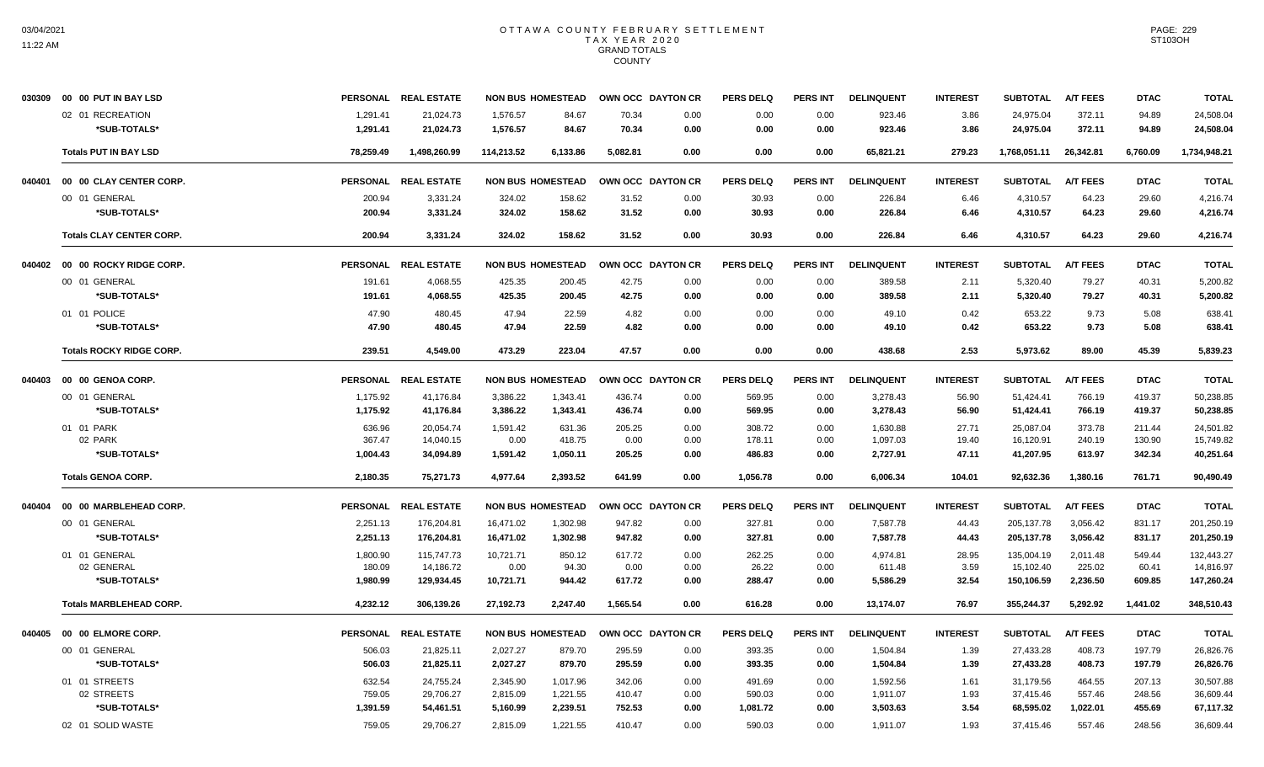|        | 030309 00 00 PUT IN BAY LSD     |           | PERSONAL REAL ESTATE |            | <b>NON BUS HOMESTEAD</b> | OWN OCC DAYTON CR |                   | <b>PERS DELQ</b> | <b>PERS INT</b> | <b>DELINQUENT</b> | <b>INTEREST</b> | <b>SUBTOTAL</b> | <b>A/T FEES</b> | <b>DTAC</b> | TOTAL        |
|--------|---------------------------------|-----------|----------------------|------------|--------------------------|-------------------|-------------------|------------------|-----------------|-------------------|-----------------|-----------------|-----------------|-------------|--------------|
|        | 02 01 RECREATION                | 1,291.41  | 21,024.73            | 1,576.57   | 84.67                    | 70.34             | 0.00              | 0.00             | 0.00            | 923.46            | 3.86            | 24,975.04       | 372.11          | 94.89       | 24,508.04    |
|        | *SUB-TOTALS*                    | 1,291.41  | 21,024.73            | 1,576.57   | 84.67                    | 70.34             | 0.00              | 0.00             | 0.00            | 923.46            | 3.86            | 24,975.04       | 372.11          | 94.89       | 24,508.04    |
|        | <b>Totals PUT IN BAY LSD</b>    | 78,259.49 | 1,498,260.99         | 114,213.52 | 6,133.86                 | 5,082.81          | 0.00              | 0.00             | 0.00            | 65,821.21         | 279.23          | 1,768,051.11    | 26,342.81       | 6,760.09    | 1,734,948.21 |
| 040401 | 00 00 CLAY CENTER CORP.         |           | PERSONAL REAL ESTATE |            | <b>NON BUS HOMESTEAD</b> |                   | OWN OCC DAYTON CR | <b>PERS DELQ</b> | <b>PERS INT</b> | <b>DELINQUENT</b> | <b>INTEREST</b> | <b>SUBTOTAL</b> | <b>A/T FEES</b> | <b>DTAC</b> | <b>TOTAL</b> |
|        | 00 01 GENERAL                   | 200.94    | 3,331.24             | 324.02     | 158.62                   | 31.52             | 0.00              | 30.93            | 0.00            | 226.84            | 6.46            | 4,310.57        | 64.23           | 29.60       | 4,216.74     |
|        | *SUB-TOTALS*                    | 200.94    | 3,331.24             | 324.02     | 158.62                   | 31.52             | 0.00              | 30.93            | 0.00            | 226.84            | 6.46            | 4,310.57        | 64.23           | 29.60       | 4,216.74     |
|        | <b>Totals CLAY CENTER CORP.</b> | 200.94    | 3,331.24             | 324.02     | 158.62                   | 31.52             | 0.00              | 30.93            | 0.00            | 226.84            | 6.46            | 4,310.57        | 64.23           | 29.60       | 4,216.74     |
|        | 040402 00 00 ROCKY RIDGE CORP.  |           | PERSONAL REAL ESTATE |            | <b>NON BUS HOMESTEAD</b> |                   | OWN OCC DAYTON CR | <b>PERS DELQ</b> | <b>PERS INT</b> | <b>DELINQUENT</b> | <b>INTEREST</b> | <b>SUBTOTAL</b> | <b>A/T FEES</b> | <b>DTAC</b> | <b>TOTAL</b> |
|        | 00 01 GENERAL                   | 191.61    | 4,068.55             | 425.35     | 200.45                   | 42.75             | 0.00              | 0.00             | 0.00            | 389.58            | 2.11            | 5,320.40        | 79.27           | 40.31       | 5,200.82     |
|        | *SUB-TOTALS*                    | 191.61    | 4,068.55             | 425.35     | 200.45                   | 42.75             | 0.00              | 0.00             | 0.00            | 389.58            | 2.11            | 5,320.40        | 79.27           | 40.31       | 5,200.82     |
|        | 01 01 POLICE                    | 47.90     | 480.45               | 47.94      | 22.59                    | 4.82              | 0.00              | 0.00             | 0.00            | 49.10             | 0.42            | 653.22          | 9.73            | 5.08        | 638.41       |
|        | *SUB-TOTALS*                    | 47.90     | 480.45               | 47.94      | 22.59                    | 4.82              | 0.00              | 0.00             | 0.00            | 49.10             | 0.42            | 653.22          | 9.73            | 5.08        | 638.41       |
|        | <b>Totals ROCKY RIDGE CORP.</b> | 239.51    | 4,549.00             | 473.29     | 223.04                   | 47.57             | 0.00              | 0.00             | 0.00            | 438.68            | 2.53            | 5,973.62        | 89.00           | 45.39       | 5,839.23     |
| 040403 | 00 00 GENOA CORP.               |           | PERSONAL REAL ESTATE |            | <b>NON BUS HOMESTEAD</b> |                   | OWN OCC DAYTON CR | <b>PERS DELQ</b> | <b>PERS INT</b> | <b>DELINQUENT</b> | <b>INTEREST</b> | <b>SUBTOTAL</b> | <b>A/T FEES</b> | <b>DTAC</b> | <b>TOTAL</b> |
|        | 00 01 GENERAL                   | 1,175.92  | 41,176.84            | 3,386.22   | 1,343.41                 | 436.74            | 0.00              | 569.95           | 0.00            | 3,278.43          | 56.90           | 51,424.41       | 766.19          | 419.37      | 50,238.85    |
|        | *SUB-TOTALS*                    | 1,175.92  | 41,176.84            | 3,386.22   | 1,343.41                 | 436.74            | 0.00              | 569.95           | 0.00            | 3,278.43          | 56.90           | 51,424.41       | 766.19          | 419.37      | 50,238.85    |
|        | 01 01 PARK                      | 636.96    | 20,054.74            | 1,591.42   | 631.36                   | 205.25            | 0.00              | 308.72           | 0.00            | 1,630.88          | 27.71           | 25,087.04       | 373.78          | 211.44      | 24,501.82    |
|        | 02 PARK                         | 367.47    | 14,040.15            | 0.00       | 418.75                   | 0.00              | 0.00              | 178.11           | 0.00            | 1,097.03          | 19.40           | 16,120.91       | 240.19          | 130.90      | 15,749.82    |
|        | *SUB-TOTALS*                    | 1,004.43  | 34,094.89            | 1,591.42   | 1,050.11                 | 205.25            | 0.00              | 486.83           | 0.00            | 2,727.91          | 47.11           | 41,207.95       | 613.97          | 342.34      | 40,251.64    |
|        | <b>Totals GENOA CORP.</b>       | 2,180.35  | 75.271.73            | 4.977.64   | 2.393.52                 | 641.99            | 0.00              | 1,056.78         | 0.00            | 6.006.34          | 104.01          | 92,632.36       | 1.380.16        | 761.71      | 90.490.49    |
| 040404 | 00 00 MARBLEHEAD CORP.          |           | PERSONAL REAL ESTATE |            | <b>NON BUS HOMESTEAD</b> |                   | OWN OCC DAYTON CR | <b>PERS DELQ</b> | <b>PERS INT</b> | <b>DELINQUENT</b> | <b>INTEREST</b> | <b>SUBTOTAL</b> | <b>A/T FEES</b> | <b>DTAC</b> | <b>TOTAL</b> |
|        | 00 01 GENERAL                   | 2,251.13  | 176,204.81           | 16,471.02  | 1,302.98                 | 947.82            | 0.00              | 327.81           | 0.00            | 7,587.78          | 44.43           | 205, 137.78     | 3,056.42        | 831.17      | 201,250.19   |
|        | *SUB-TOTALS*                    | 2,251.13  | 176,204.81           | 16,471.02  | 1,302.98                 | 947.82            | 0.00              | 327.81           | 0.00            | 7,587.78          | 44.43           | 205, 137. 78    | 3,056.42        | 831.17      | 201,250.19   |
|        | 01 01 GENERAL                   | 1,800.90  | 115,747.73           | 10,721.71  | 850.12                   | 617.72            | 0.00              | 262.25           | 0.00            | 4.974.81          | 28.95           | 135,004.19      | 2,011.48        | 549.44      | 132.443.27   |
|        | 02 GENERAL                      | 180.09    | 14,186.72            | 0.00       | 94.30                    | 0.00              | 0.00              | 26.22            | 0.00            | 611.48            | 3.59            | 15,102.40       | 225.02          | 60.41       | 14,816.97    |
|        | *SUB-TOTALS*                    | 1,980.99  | 129,934.45           | 10,721.71  | 944.42                   | 617.72            | 0.00              | 288.47           | 0.00            | 5,586.29          | 32.54           | 150,106.59      | 2,236.50        | 609.85      | 147,260.24   |
|        | <b>Totals MARBLEHEAD CORP.</b>  | 4,232.12  | 306,139.26           | 27,192.73  | 2,247.40                 | 1,565.54          | 0.00              | 616.28           | 0.00            | 13,174.07         | 76.97           | 355,244.37      | 5,292.92        | 1,441.02    | 348,510.43   |
| 040405 | 00 00 ELMORE CORP.              |           | PERSONAL REAL ESTATE |            | <b>NON BUS HOMESTEAD</b> |                   | OWN OCC DAYTON CR | <b>PERS DELQ</b> | <b>PERS INT</b> | <b>DELINQUENT</b> | <b>INTEREST</b> | <b>SUBTOTAL</b> | <b>A/T FEES</b> | <b>DTAC</b> | <b>TOTAL</b> |
|        | 00 01 GENERAL                   | 506.03    | 21,825.11            | 2,027.27   | 879.70                   | 295.59            | 0.00              | 393.35           | 0.00            | 1,504.84          | 1.39            | 27,433.28       | 408.73          | 197.79      | 26,826.76    |
|        | *SUB-TOTALS*                    | 506.03    | 21.825.11            | 2.027.27   | 879.70                   | 295.59            | 0.00              | 393.35           | 0.00            | 1,504.84          | 1.39            | 27,433.28       | 408.73          | 197.79      | 26,826.76    |
|        | 01 01 STREETS                   | 632.54    | 24.755.24            | 2,345.90   | 1.017.96                 | 342.06            | 0.00              | 491.69           | 0.00            | 1,592.56          | 1.61            | 31.179.56       | 464.55          | 207.13      | 30,507.88    |
|        | 02 STREETS                      | 759.05    | 29,706.27            | 2,815.09   | 1,221.55                 | 410.47            | 0.00              | 590.03           | 0.00            | 1,911.07          | 1.93            | 37,415.46       | 557.46          | 248.56      | 36,609.44    |
|        | *SUB-TOTALS*                    | 1,391.59  | 54,461.51            | 5,160.99   | 2,239.51                 | 752.53            | 0.00              | 1,081.72         | 0.00            | 3,503.63          | 3.54            | 68,595.02       | 1,022.01        | 455.69      | 67,117.32    |
|        | 02 01 SOLID WASTE               | 759.05    | 29,706.27            | 2,815.09   | 1,221.55                 | 410.47            | 0.00              | 590.03           | 0.00            | 1,911.07          | 1.93            | 37,415.46       | 557.46          | 248.56      | 36,609.44    |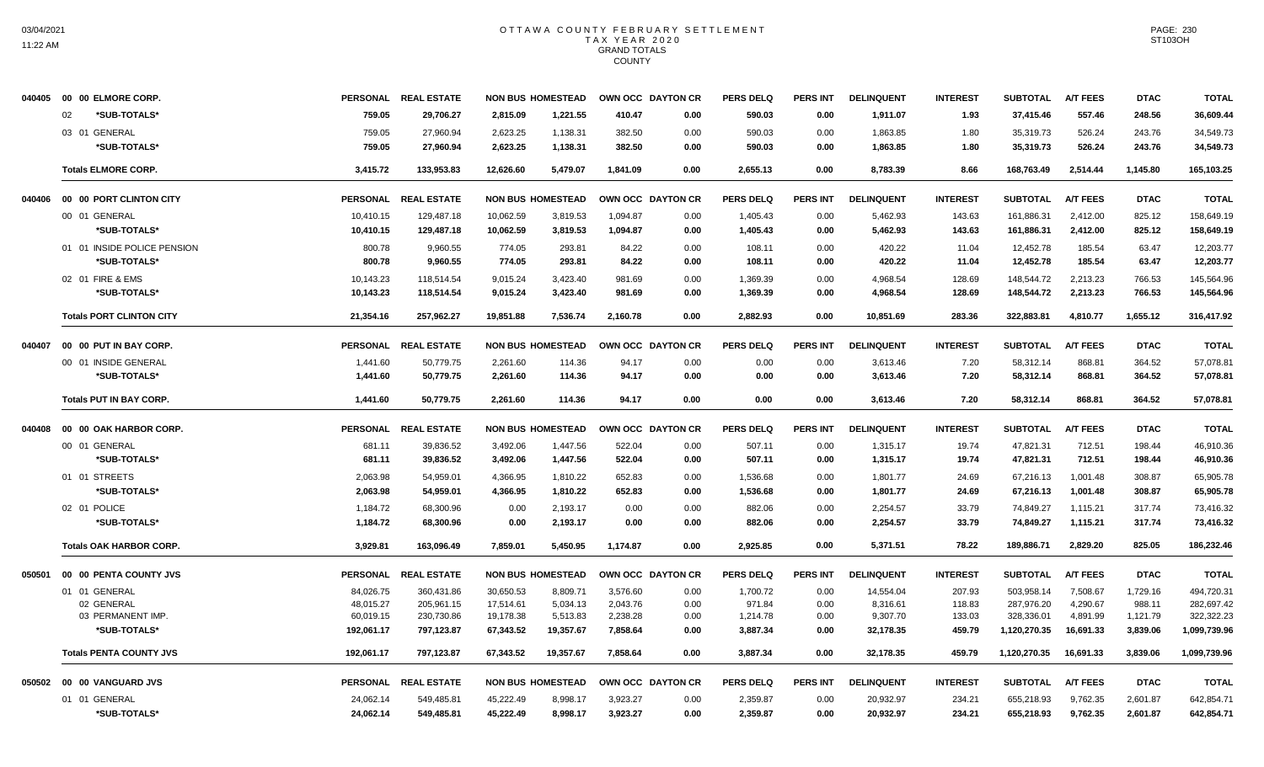|        | 040405  00  00  ELMORE CORP.    |                 | PERSONAL REAL ESTATE |           | <b>NON BUS HOMESTEAD</b> | OWN OCC DAYTON CR |      | <b>PERS DELQ</b> | <b>PERS INT</b> | <b>DELINQUENT</b> | <b>INTEREST</b> | <b>SUBTOTAL</b> | <b>A/T FEES</b> | <b>DTAC</b> | <b>TOTAL</b> |
|--------|---------------------------------|-----------------|----------------------|-----------|--------------------------|-------------------|------|------------------|-----------------|-------------------|-----------------|-----------------|-----------------|-------------|--------------|
|        | *SUB-TOTALS*<br>02              | 759.05          | 29,706.27            | 2,815.09  | 1,221.55                 | 410.47            | 0.00 | 590.03           | 0.00            | 1,911.07          | 1.93            | 37,415.46       | 557.46          | 248.56      | 36,609.44    |
|        | 03 01 GENERAL                   | 759.05          | 27,960.94            | 2,623.25  | 1,138.31                 | 382.50            | 0.00 | 590.03           | 0.00            | 1,863.85          | 1.80            | 35,319.73       | 526.24          | 243.76      | 34,549.73    |
|        | *SUB-TOTALS*                    | 759.05          | 27.960.94            | 2.623.25  | 1,138.31                 | 382.50            | 0.00 | 590.03           | 0.00            | 1.863.85          | 1.80            | 35.319.73       | 526.24          | 243.76      | 34.549.73    |
|        | <b>Totals ELMORE CORP.</b>      | 3,415.72        | 133.953.83           | 12.626.60 | 5.479.07                 | 1.841.09          | 0.00 | 2,655.13         | 0.00            | 8,783.39          | 8.66            | 168,763.49      | 2,514.44        | 1.145.80    | 165,103.25   |
| 040406 | 00 00 PORT CLINTON CITY         | <b>PERSONAL</b> | <b>REAL ESTATE</b>   |           | <b>NON BUS HOMESTEAD</b> | OWN OCC DAYTON CR |      | <b>PERS DELQ</b> | <b>PERS INT</b> | <b>DELINQUENT</b> | <b>INTEREST</b> | <b>SUBTOTAL</b> | <b>A/T FEES</b> | <b>DTAC</b> | <b>TOTAL</b> |
|        | 00 01 GENERAL                   | 10.410.15       | 129.487.18           | 10.062.59 | 3.819.53                 | 1.094.87          | 0.00 | 1,405.43         | 0.00            | 5,462.93          | 143.63          | 161.886.31      | 2.412.00        | 825.12      | 158.649.19   |
|        | *SUB-TOTALS*                    | 10,410.15       | 129,487.18           | 10,062.59 | 3,819.53                 | 1,094.87          | 0.00 | 1,405.43         | 0.00            | 5,462.93          | 143.63          | 161,886.31      | 2,412.00        | 825.12      | 158,649.19   |
|        | 01 01 INSIDE POLICE PENSION     | 800.78          | 9,960.55             | 774.05    | 293.81                   | 84.22             | 0.00 | 108.11           | 0.00            | 420.22            | 11.04           | 12,452.78       | 185.54          | 63.47       | 12,203.77    |
|        | *SUB-TOTALS*                    | 800.78          | 9,960.55             | 774.05    | 293.81                   | 84.22             | 0.00 | 108.11           | 0.00            | 420.22            | 11.04           | 12,452.78       | 185.54          | 63.47       | 12,203.77    |
|        | 02 01 FIRE & EMS                | 10,143.23       | 118,514.54           | 9,015.24  | 3,423.40                 | 981.69            | 0.00 | 1,369.39         | 0.00            | 4,968.54          | 128.69          | 148,544.72      | 2,213.23        | 766.53      | 145,564.96   |
|        | *SUB-TOTALS*                    | 10,143.23       | 118.514.54           | 9,015.24  | 3,423.40                 | 981.69            | 0.00 | 1,369.39         | 0.00            | 4,968.54          | 128.69          | 148,544.72      | 2,213.23        | 766.53      | 145.564.96   |
|        | <b>Totals PORT CLINTON CITY</b> | 21,354.16       | 257,962.27           | 19,851.88 | 7,536.74                 | 2,160.78          | 0.00 | 2,882.93         | 0.00            | 10,851.69         | 283.36          | 322,883.81      | 4,810.77        | 1,655.12    | 316,417.92   |
| 040407 | 00 00 PUT IN BAY CORP.          |                 | PERSONAL REAL ESTATE |           | <b>NON BUS HOMESTEAD</b> | OWN OCC DAYTON CR |      | <b>PERS DELQ</b> | <b>PERS INT</b> | <b>DELINQUENT</b> | <b>INTEREST</b> | <b>SUBTOTAL</b> | <b>A/T FEES</b> | <b>DTAC</b> | <b>TOTAL</b> |
|        | 00 01 INSIDE GENERAL            | 1,441.60        | 50,779.75            | 2,261.60  | 114.36                   | 94.17             | 0.00 | 0.00             | 0.00            | 3,613.46          | 7.20            | 58,312.14       | 868.81          | 364.52      | 57,078.81    |
|        | *SUB-TOTALS*                    | 1,441.60        | 50,779.75            | 2,261.60  | 114.36                   | 94.17             | 0.00 | 0.00             | 0.00            | 3,613.46          | 7.20            | 58,312.14       | 868.81          | 364.52      | 57,078.81    |
|        | <b>Totals PUT IN BAY CORP.</b>  | 1.441.60        | 50.779.75            | 2.261.60  | 114.36                   | 94.17             | 0.00 | 0.00             | 0.00            | 3.613.46          | 7.20            | 58.312.14       | 868.81          | 364.52      | 57.078.81    |
| 040408 | 00 00 OAK HARBOR CORP.          | <b>PERSONAL</b> | <b>REAL ESTATE</b>   |           | <b>NON BUS HOMESTEAD</b> | OWN OCC DAYTON CR |      | PERS DELO        | <b>PERS INT</b> | <b>DELINQUENT</b> | <b>INTEREST</b> | <b>SUBTOTAL</b> | <b>A/T FEES</b> | <b>DTAC</b> | <b>TOTAL</b> |
|        | 00 01 GENERAL                   | 681.11          | 39,836.52            | 3,492.06  | 1,447.56                 | 522.04            | 0.00 | 507.11           | 0.00            | 1,315.17          | 19.74           | 47,821.31       | 712.51          | 198.44      | 46,910.36    |
|        | *SUB-TOTALS*                    | 681.11          | 39,836.52            | 3,492.06  | 1,447.56                 | 522.04            | 0.00 | 507.11           | 0.00            | 1,315.17          | 19.74           | 47,821.31       | 712.51          | 198.44      | 46,910.36    |
|        | 01 01 STREETS                   | 2.063.98        | 54.959.01            | 4.366.95  | 1.810.22                 | 652.83            | 0.00 | 1.536.68         | 0.00            | 1.801.77          | 24.69           | 67.216.13       | 1.001.48        | 308.87      | 65.905.78    |
|        | *SUB-TOTALS*                    | 2,063.98        | 54,959.01            | 4,366.95  | 1,810.22                 | 652.83            | 0.00 | 1,536.68         | 0.00            | 1,801.77          | 24.69           | 67,216.13       | 1,001.48        | 308.87      | 65,905.78    |
|        | 02 01 POLICE                    | 1,184.72        | 68,300.96            | 0.00      | 2,193.17                 | 0.00              | 0.00 | 882.06           | 0.00            | 2,254.57          | 33.79           | 74,849.27       | 1,115.21        | 317.74      | 73,416.32    |
|        | *SUB-TOTALS*                    | 1,184.72        | 68.300.96            | 0.00      | 2.193.17                 | 0.00              | 0.00 | 882.06           | 0.00            | 2.254.57          | 33.79           | 74.849.27       | 1,115.21        | 317.74      | 73.416.32    |
|        | <b>Totals OAK HARBOR CORP.</b>  | 3,929.81        | 163.096.49           | 7,859.01  | 5,450.95                 | 1,174.87          | 0.00 | 2,925.85         | 0.00            | 5,371.51          | 78.22           | 189,886.71      | 2,829.20        | 825.05      | 186,232.46   |
| 050501 | 00 00 PENTA COUNTY JVS          |                 | PERSONAL REAL ESTATE |           | <b>NON BUS HOMESTEAD</b> | OWN OCC DAYTON CR |      | <b>PERS DELQ</b> | PERS INT        | <b>DELINQUENT</b> | <b>INTEREST</b> | <b>SUBTOTAL</b> | <b>A/T FEES</b> | <b>DTAC</b> | <b>TOTAL</b> |
|        | 01 01 GENERAL                   | 84,026.75       | 360,431.86           | 30,650.53 | 8,809.71                 | 3,576.60          | 0.00 | 1,700.72         | 0.00            | 14,554.04         | 207.93          | 503,958.14      | 7,508.67        | 1,729.16    | 494,720.31   |
|        | 02 GENERAL                      | 48,015.27       | 205,961.15           | 17,514.61 | 5,034.13                 | 2,043.76          | 0.00 | 971.84           | 0.00            | 8,316.61          | 118.83          | 287,976.20      | 4,290.67        | 988.11      | 282,697.42   |
|        | 03 PERMANENT IMP.               | 60,019.15       | 230,730.86           | 19,178.38 | 5,513.83                 | 2,238.28          | 0.00 | 1,214.78         | 0.00            | 9,307.70          | 133.03          | 328,336.01      | 4,891.99        | 1,121.79    | 322,322.23   |
|        | *SUB-TOTALS*                    | 192,061.17      | 797,123.87           | 67,343.52 | 19,357.67                | 7,858.64          | 0.00 | 3,887.34         | 0.00            | 32,178.35         | 459.79          | 1,120,270.35    | 16,691.33       | 3,839.06    | 1,099,739.96 |
|        | <b>Totals PENTA COUNTY JVS</b>  | 192,061.17      | 797,123.87           | 67.343.52 | 19,357.67                | 7.858.64          | 0.00 | 3,887.34         | 0.00            | 32,178.35         | 459.79          | 1,120,270.35    | 16,691.33       | 3.839.06    | 1,099,739.96 |
|        | 050502 00 00 VANGUARD JVS       |                 | PERSONAL REAL ESTATE |           | <b>NON BUS HOMESTEAD</b> | OWN OCC DAYTON CR |      | <b>PERS DELQ</b> | <b>PERS INT</b> | <b>DELINQUENT</b> | <b>INTEREST</b> | <b>SUBTOTAL</b> | <b>A/T FEES</b> | <b>DTAC</b> | <b>TOTAL</b> |
|        | 01 01 GENERAL                   | 24,062.14       | 549,485.81           | 45,222.49 | 8,998.17                 | 3,923.27          | 0.00 | 2,359.87         | 0.00            | 20,932.97         | 234.21          | 655,218.93      | 9,762.35        | 2,601.87    | 642,854.71   |
|        | *SUB-TOTALS*                    | 24,062.14       | 549,485.81           | 45,222.49 | 8,998.17                 | 3,923.27          | 0.00 | 2,359.87         | 0.00            | 20,932.97         | 234.21          | 655,218.93      | 9,762.35        | 2,601.87    | 642,854.71   |

PAGE: 230 ST103OH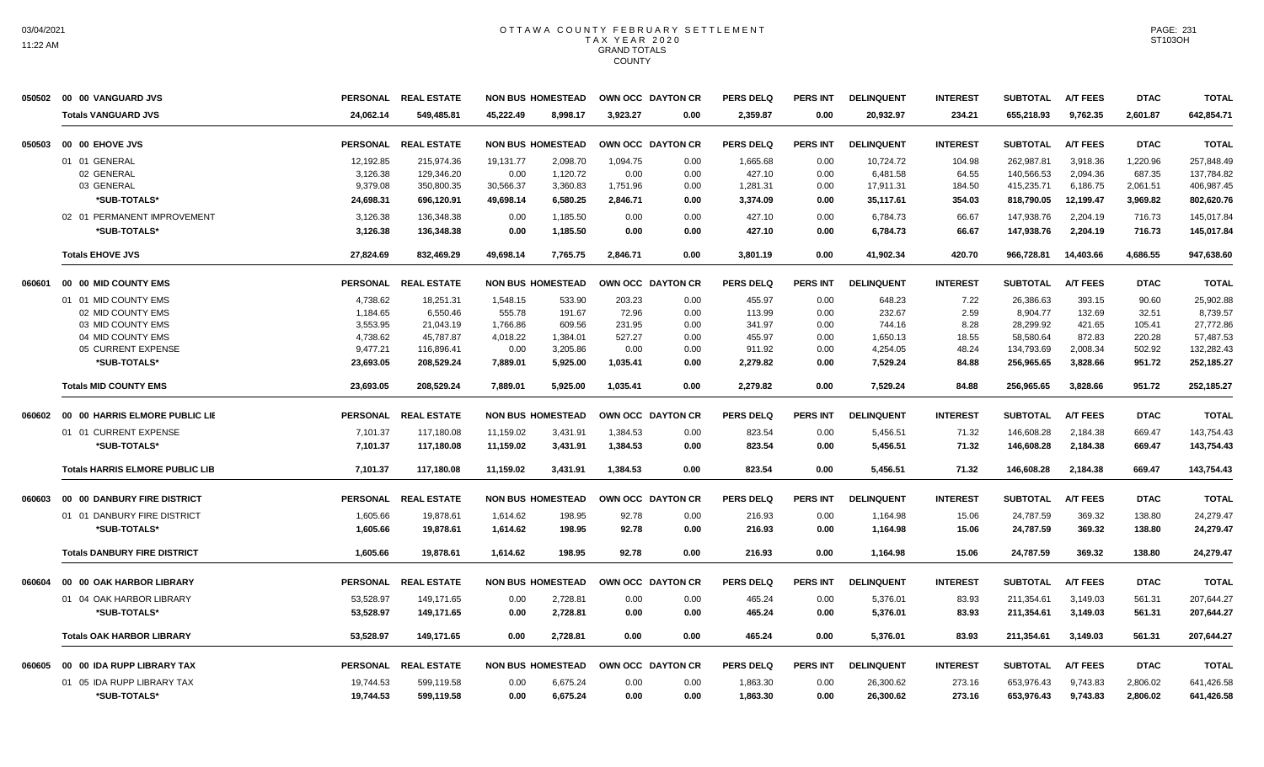| 050502 | 00 00 VANGUARD JVS                     |                 | PERSONAL REAL ESTATE | <b>NON BUS HOMESTEAD</b> |          | OWN OCC DAYTON CR |      | <b>PERS DELQ</b> | <b>PERS INT</b> | <b>DELINQUENT</b> | <b>INTEREST</b> | <b>SUBTOTAL</b> | <b>A/T FEES</b> | <b>DTAC</b> | <b>TOTAL</b> |
|--------|----------------------------------------|-----------------|----------------------|--------------------------|----------|-------------------|------|------------------|-----------------|-------------------|-----------------|-----------------|-----------------|-------------|--------------|
|        | <b>Totals VANGUARD JVS</b>             | 24,062.14       | 549,485.81           | 45,222.49                | 8,998.17 | 3,923.27          | 0.00 | 2,359.87         | 0.00            | 20,932.97         | 234.21          | 655,218.93      | 9,762.35        | 2,601.87    | 642,854.71   |
| 050503 | 00 00 EHOVE JVS                        | <b>PERSONAL</b> | <b>REAL ESTATE</b>   | <b>NON BUS HOMESTEAD</b> |          | OWN OCC DAYTON CR |      | <b>PERS DELQ</b> | <b>PERS INT</b> | <b>DELINQUENT</b> | <b>INTEREST</b> | <b>SUBTOTAL</b> | <b>A/T FEES</b> | <b>DTAC</b> | <b>TOTAL</b> |
|        | 01 01 GENERAL                          | 12,192.85       | 215,974.36           | 19,131.77                | 2,098.70 | 1,094.75          | 0.00 | 1,665.68         | 0.00            | 10,724.72         | 104.98          | 262,987.81      | 3,918.36        | 1,220.96    | 257,848.49   |
|        | 02 GENERAL                             | 3,126.38        | 129,346.20           | 0.00                     | 1,120.72 | 0.00              | 0.00 | 427.10           | 0.00            | 6,481.58          | 64.55           | 140,566.53      | 2,094.36        | 687.35      | 137,784.82   |
|        | 03 GENERAL                             | 9,379.08        | 350,800.35           | 30,566.37                | 3,360.83 | 1,751.96          | 0.00 | 1,281.31         | 0.00            | 17,911.31         | 184.50          | 415,235.71      | 6,186.75        | 2,061.51    | 406,987.45   |
|        | *SUB-TOTALS*                           | 24,698.31       | 696,120.91           | 49,698.14                | 6,580.25 | 2,846.71          | 0.00 | 3,374.09         | 0.00            | 35,117.61         | 354.03          | 818,790.05      | 12,199.47       | 3,969.82    | 802,620.76   |
|        | 02 01 PERMANENT IMPROVEMENT            | 3,126.38        | 136,348.38           | 0.00                     | 1,185.50 | 0.00              | 0.00 | 427.10           | 0.00            | 6,784.73          | 66.67           | 147,938.76      | 2,204.19        | 716.73      | 145,017.84   |
|        | *SUB-TOTALS*                           | 3,126.38        | 136,348.38           | 0.00                     | 1,185.50 | 0.00              | 0.00 | 427.10           | 0.00            | 6,784.73          | 66.67           | 147,938.76      | 2,204.19        | 716.73      | 145,017.84   |
|        | <b>Totals EHOVE JVS</b>                | 27,824.69       | 832,469.29           | 49,698.14                | 7,765.75 | 2,846.71          | 0.00 | 3,801.19         | 0.00            | 41,902.34         | 420.70          | 966,728.81      | 14,403.66       | 4,686.55    | 947,638.60   |
| 060601 | 00 00 MID COUNTY EMS                   |                 | PERSONAL REAL ESTATE | <b>NON BUS HOMESTEAD</b> |          | OWN OCC DAYTON CR |      | <b>PERS DELQ</b> | <b>PERS INT</b> | <b>DELINQUENT</b> | <b>INTEREST</b> | <b>SUBTOTAL</b> | <b>A/T FEES</b> | <b>DTAC</b> | <b>TOTAL</b> |
|        | 01 01 MID COUNTY EMS                   | 4,738.62        | 18,251.31            | 1,548.15                 | 533.90   | 203.23            | 0.00 | 455.97           | 0.00            | 648.23            | 7.22            | 26,386.63       | 393.15          | 90.60       | 25.902.88    |
|        | 02 MID COUNTY EMS                      | 1.184.65        | 6.550.46             | 555.78                   | 191.67   | 72.96             | 0.00 | 113.99           | 0.00            | 232.67            | 2.59            | 8.904.77        | 132.69          | 32.51       | 8.739.57     |
|        | 03 MID COUNTY EMS                      | 3,553.95        | 21,043.19            | 1,766.86                 | 609.56   | 231.95            | 0.00 | 341.97           | 0.00            | 744.16            | 8.28            | 28,299.92       | 421.65          | 105.41      | 27,772.86    |
|        | 04 MID COUNTY EMS                      | 4,738.62        | 45,787.87            | 4,018.22                 | 1,384.01 | 527.27            | 0.00 | 455.97           | 0.00            | 1,650.13          | 18.55           | 58,580.64       | 872.83          | 220.28      | 57,487.53    |
|        | 05 CURRENT EXPENSE                     | 9,477.21        | 116,896.41           | 0.00                     | 3,205.86 | 0.00              | 0.00 | 911.92           | 0.00            | 4,254.05          | 48.24           | 134,793.69      | 2,008.34        | 502.92      | 132,282.43   |
|        | *SUB-TOTALS*                           | 23,693.05       | 208.529.24           | 7,889.01                 | 5.925.00 | 1.035.41          | 0.00 | 2,279.82         | 0.00            | 7.529.24          | 84.88           | 256.965.65      | 3.828.66        | 951.72      | 252,185.27   |
|        | <b>Totals MID COUNTY EMS</b>           | 23,693.05       | 208,529.24           | 7,889.01                 | 5,925.00 | 1,035.41          | 0.00 | 2,279.82         | 0.00            | 7,529.24          | 84.88           | 256,965.65      | 3,828.66        | 951.72      | 252,185.27   |
| 060602 | 00 00 HARRIS ELMORE PUBLIC LIE         |                 | PERSONAL REAL ESTATE | <b>NON BUS HOMESTEAD</b> |          | OWN OCC DAYTON CR |      | <b>PERS DELQ</b> | <b>PERS INT</b> | <b>DELINQUENT</b> | <b>INTEREST</b> | <b>SUBTOTAL</b> | <b>A/T FEES</b> | <b>DTAC</b> | <b>TOTAL</b> |
|        | 01 01 CURRENT EXPENSE                  | 7,101.37        | 117,180.08           | 11,159.02                | 3,431.91 | 1,384.53          | 0.00 | 823.54           | 0.00            | 5,456.51          | 71.32           | 146,608.28      | 2,184.38        | 669.47      | 143,754.43   |
|        | *SUB-TOTALS*                           | 7,101.37        | 117,180.08           | 11,159.02                | 3,431.91 | 1,384.53          | 0.00 | 823.54           | 0.00            | 5,456.51          | 71.32           | 146,608.28      | 2,184.38        | 669.47      | 143,754.43   |
|        | <b>Totals HARRIS ELMORE PUBLIC LIB</b> | 7,101.37        | 117,180.08           | 11,159.02                | 3,431.91 | 1.384.53          | 0.00 | 823.54           | 0.00            | 5,456.51          | 71.32           | 146,608.28      | 2,184.38        | 669.47      | 143,754.43   |
| 060603 | 00 00 DANBURY FIRE DISTRICT            |                 | PERSONAL REAL ESTATE | <b>NON BUS HOMESTEAD</b> |          | OWN OCC DAYTON CR |      | <b>PERS DELQ</b> | <b>PERS INT</b> | <b>DELINQUENT</b> | <b>INTEREST</b> | <b>SUBTOTAL</b> | <b>A/T FEES</b> | <b>DTAC</b> | <b>TOTAL</b> |
|        | 01 01 DANBURY FIRE DISTRICT            | 1,605.66        | 19,878.61            | 1,614.62                 | 198.95   | 92.78             | 0.00 | 216.93           | 0.00            | 1,164.98          | 15.06           | 24,787.59       | 369.32          | 138.80      | 24,279.47    |
|        | *SUB-TOTALS*                           | 1,605.66        | 19,878.61            | 1,614.62                 | 198.95   | 92.78             | 0.00 | 216.93           | 0.00            | 1,164.98          | 15.06           | 24,787.59       | 369.32          | 138.80      | 24,279.47    |
|        | <b>Totals DANBURY FIRE DISTRICT</b>    | 1,605.66        | 19,878.61            | 1,614.62                 | 198.95   | 92.78             | 0.00 | 216.93           | 0.00            | 1,164.98          | 15.06           | 24,787.59       | 369.32          | 138.80      | 24,279.47    |
| 060604 | 00 00 OAK HARBOR LIBRARY               | <b>PERSONAL</b> | <b>REAL ESTATE</b>   | <b>NON BUS HOMESTEAD</b> |          | OWN OCC DAYTON CR |      | <b>PERS DELQ</b> | <b>PERS INT</b> | <b>DELINQUENT</b> | <b>INTEREST</b> | <b>SUBTOTAL</b> | <b>A/T FEES</b> | <b>DTAC</b> | <b>TOTAL</b> |
|        | 01 04 OAK HARBOR LIBRARY               | 53,528.97       | 149.171.65           | 0.00                     | 2,728.81 | 0.00              | 0.00 | 465.24           | 0.00            | 5,376.01          | 83.93           | 211,354.61      | 3,149.03        | 561.31      | 207,644.27   |
|        | *SUB-TOTALS*                           | 53,528.97       | 149,171.65           | 0.00                     | 2,728.81 | 0.00              | 0.00 | 465.24           | 0.00            | 5,376.01          | 83.93           | 211,354.61      | 3,149.03        | 561.31      | 207,644.27   |
|        | <b>Totals OAK HARBOR LIBRARY</b>       | 53,528.97       | 149.171.65           | 0.00                     | 2,728.81 | 0.00              | 0.00 | 465.24           | 0.00            | 5.376.01          | 83.93           | 211,354.61      | 3.149.03        | 561.31      | 207,644.27   |
| 060605 | 00 00 IDA RUPP LIBRARY TAX             | <b>PERSONAL</b> | <b>REAL ESTATE</b>   | <b>NON BUS HOMESTEAD</b> |          | OWN OCC DAYTON CR |      | <b>PERS DELQ</b> | <b>PERS INT</b> | <b>DELINQUENT</b> | <b>INTEREST</b> | <b>SUBTOTAL</b> | <b>A/T FEES</b> | <b>DTAC</b> | <b>TOTAL</b> |
|        | 01 05 IDA RUPP LIBRARY TAX             | 19.744.53       | 599,119.58           | 0.00                     | 6.675.24 | 0.00              | 0.00 | 1,863.30         | 0.00            | 26,300.62         | 273.16          | 653.976.43      | 9.743.83        | 2,806.02    | 641,426.58   |
|        | *SUB-TOTALS*                           | 19,744.53       | 599,119.58           | 0.00                     | 6,675.24 | 0.00              | 0.00 | 1,863.30         | 0.00            | 26,300.62         | 273.16          | 653,976.43      | 9,743.83        | 2,806.02    | 641,426.58   |
|        |                                        |                 |                      |                          |          |                   |      |                  |                 |                   |                 |                 |                 |             |              |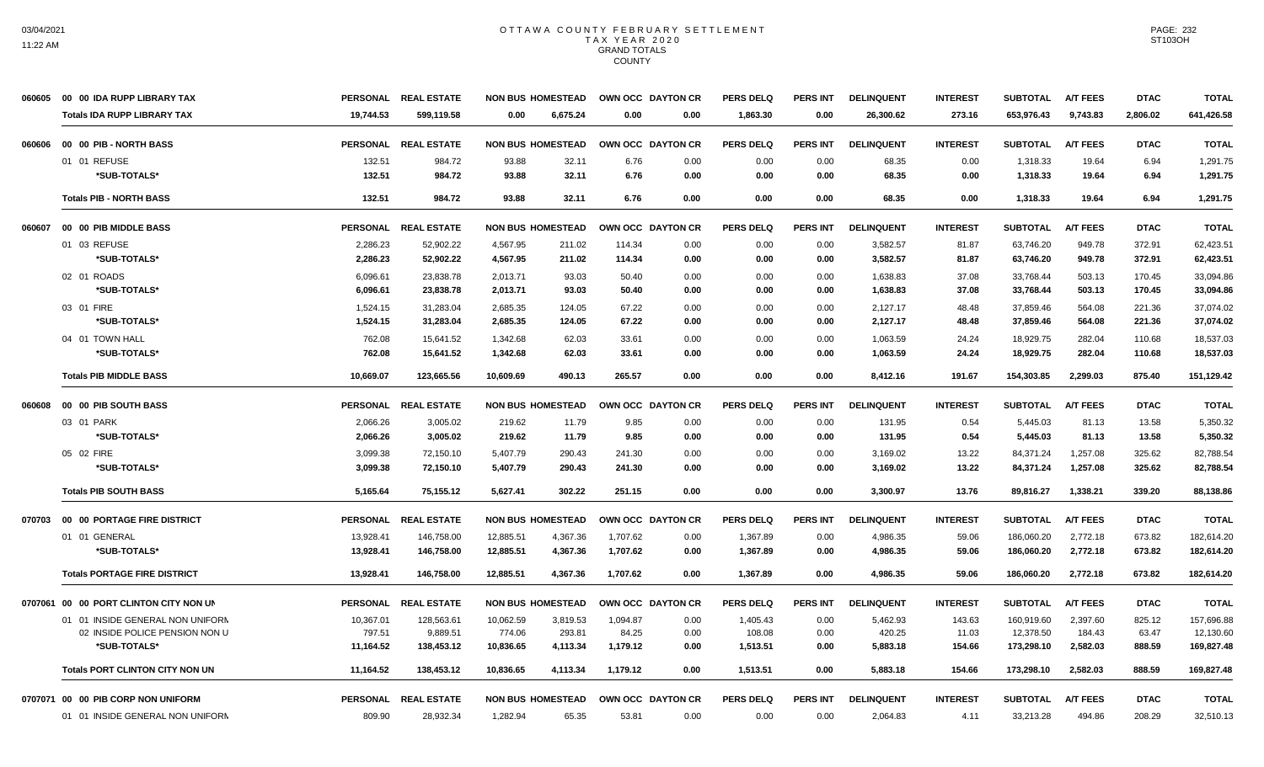|        | 060605 00 00 IDA RUPP LIBRARY TAX      |                 | PERSONAL REAL ESTATE |           | <b>NON BUS HOMESTEAD</b> | OWN OCC DAYTON CR |      | <b>PERS DELQ</b> | <b>PERS INT</b> | <b>DELINQUENT</b> | <b>INTEREST</b> | <b>SUBTOTAL</b> | <b>A/T FEES</b> | <b>DTAC</b> | <b>TOTAL</b> |
|--------|----------------------------------------|-----------------|----------------------|-----------|--------------------------|-------------------|------|------------------|-----------------|-------------------|-----------------|-----------------|-----------------|-------------|--------------|
|        | <b>Totals IDA RUPP LIBRARY TAX</b>     | 19.744.53       | 599,119.58           | 0.00      | 6,675.24                 | 0.00              | 0.00 | 1,863.30         | 0.00            | 26,300.62         | 273.16          | 653,976.43      | 9,743.83        | 2,806.02    | 641,426.58   |
| 060606 | 00 00 PIB - NORTH BASS                 |                 | PERSONAL REAL ESTATE |           | <b>NON BUS HOMESTEAD</b> | OWN OCC DAYTON CR |      | <b>PERS DELQ</b> | <b>PERS INT</b> | <b>DELINQUENT</b> | <b>INTEREST</b> | <b>SUBTOTAL</b> | <b>A/T FEES</b> | <b>DTAC</b> | <b>TOTAL</b> |
|        | 01 01 REFUSE                           | 132.51          | 984.72               | 93.88     | 32.11                    | 6.76              | 0.00 | 0.00             | 0.00            | 68.35             | 0.00            | 1,318.33        | 19.64           | 6.94        | 1,291.75     |
|        | *SUB-TOTALS*                           | 132.51          | 984.72               | 93.88     | 32.11                    | 6.76              | 0.00 | 0.00             | 0.00            | 68.35             | 0.00            | 1,318.33        | 19.64           | 6.94        | 1,291.75     |
|        | <b>Totals PIB - NORTH BASS</b>         | 132.51          | 984.72               | 93.88     | 32.11                    | 6.76              | 0.00 | 0.00             | 0.00            | 68.35             | 0.00            | 1,318.33        | 19.64           | 6.94        | 1,291.75     |
| 060607 | 00 00 PIB MIDDLE BASS                  |                 | PERSONAL REAL ESTATE |           | <b>NON BUS HOMESTEAD</b> | OWN OCC DAYTON CR |      | <b>PERS DELQ</b> | <b>PERS INT</b> | <b>DELINQUENT</b> | <b>INTEREST</b> | <b>SUBTOTAL</b> | <b>A/T FEES</b> | <b>DTAC</b> | <b>TOTAL</b> |
|        | 01 03 REFUSE                           | 2,286.23        | 52,902.22            | 4,567.95  | 211.02                   | 114.34            | 0.00 | 0.00             | 0.00            | 3,582.57          | 81.87           | 63,746.20       | 949.78          | 372.91      | 62,423.51    |
|        | *SUB-TOTALS*                           | 2,286.23        | 52,902.22            | 4,567.95  | 211.02                   | 114.34            | 0.00 | 0.00             | 0.00            | 3,582.57          | 81.87           | 63,746.20       | 949.78          | 372.91      | 62,423.51    |
|        | 02 01 ROADS                            | 6,096.61        | 23,838.78            | 2,013.71  | 93.03                    | 50.40             | 0.00 | 0.00             | 0.00            | 1,638.83          | 37.08           | 33,768.44       | 503.13          | 170.45      | 33,094.86    |
|        | *SUB-TOTALS*                           | 6,096.61        | 23,838,78            | 2,013.71  | 93.03                    | 50.40             | 0.00 | 0.00             | 0.00            | 1,638.83          | 37.08           | 33,768.44       | 503.13          | 170.45      | 33,094.86    |
|        | 03 01 FIRE                             | 1,524.15        | 31,283.04            | 2,685.35  | 124.05                   | 67.22             | 0.00 | 0.00             | 0.00            | 2,127.17          | 48.48           | 37,859.46       | 564.08          | 221.36      | 37,074.02    |
|        | *SUB-TOTALS*                           | 1,524.15        | 31,283.04            | 2.685.35  | 124.05                   | 67.22             | 0.00 | 0.00             | 0.00            | 2,127.17          | 48.48           | 37,859.46       | 564.08          | 221.36      | 37.074.02    |
|        | 04 01 TOWN HALL                        | 762.08          | 15,641.52            | 1,342.68  | 62.03                    | 33.61             | 0.00 | 0.00             | 0.00            | 1,063.59          | 24.24           | 18,929.75       | 282.04          | 110.68      | 18,537.03    |
|        | *SUB-TOTALS*                           | 762.08          | 15,641.52            | 1,342.68  | 62.03                    | 33.61             | 0.00 | 0.00             | 0.00            | 1,063.59          | 24.24           | 18,929.75       | 282.04          | 110.68      | 18,537.03    |
|        | <b>Totals PIB MIDDLE BASS</b>          | 10,669.07       | 123,665.56           | 10,609.69 | 490.13                   | 265.57            | 0.00 | 0.00             | 0.00            | 8,412.16          | 191.67          | 154,303.85      | 2,299.03        | 875.40      | 151,129.42   |
| 060608 | 00 00 PIB SOUTH BASS                   |                 | PERSONAL REAL ESTATE |           | <b>NON BUS HOMESTEAD</b> | OWN OCC DAYTON CR |      | <b>PERS DELQ</b> | <b>PERS INT</b> | <b>DELINQUENT</b> | <b>INTEREST</b> | <b>SUBTOTAL</b> | <b>A/T FEES</b> | <b>DTAC</b> | <b>TOTAL</b> |
|        | 03 01 PARK                             | 2,066.26        | 3,005.02             | 219.62    | 11.79                    | 9.85              | 0.00 | 0.00             | 0.00            | 131.95            | 0.54            | 5,445.03        | 81.13           | 13.58       | 5,350.32     |
|        | *SUB-TOTALS*                           | 2,066.26        | 3,005.02             | 219.62    | 11.79                    | 9.85              | 0.00 | 0.00             | 0.00            | 131.95            | 0.54            | 5,445.03        | 81.13           | 13.58       | 5,350.32     |
|        | 05 02 FIRE                             | 3,099.38        | 72,150.10            | 5,407.79  | 290.43                   | 241.30            | 0.00 | 0.00             | 0.00            | 3,169.02          | 13.22           | 84,371.24       | 1,257.08        | 325.62      | 82,788.54    |
|        | *SUB-TOTALS*                           | 3,099.38        | 72,150.10            | 5,407.79  | 290.43                   | 241.30            | 0.00 | 0.00             | 0.00            | 3,169.02          | 13.22           | 84,371.24       | 1,257.08        | 325.62      | 82,788.54    |
|        | <b>Totals PIB SOUTH BASS</b>           | 5,165.64        | 75,155.12            | 5,627.41  | 302.22                   | 251.15            | 0.00 | 0.00             | 0.00            | 3,300.97          | 13.76           | 89,816.27       | 1,338.21        | 339.20      | 88,138.86    |
| 070703 | 00 00 PORTAGE FIRE DISTRICT            |                 | PERSONAL REAL ESTATE |           | <b>NON BUS HOMESTEAD</b> | OWN OCC DAYTON CR |      | <b>PERS DELQ</b> | PERS INT        | <b>DELINQUENT</b> | <b>INTEREST</b> | <b>SUBTOTAL</b> | <b>A/T FEES</b> | <b>DTAC</b> | <b>TOTAL</b> |
|        | 01 01 GENERAL                          | 13,928.41       | 146,758.00           | 12,885.51 | 4,367.36                 | 1,707.62          | 0.00 | 1,367.89         | 0.00            | 4,986.35          | 59.06           | 186,060.20      | 2,772.18        | 673.82      | 182,614.20   |
|        | *SUB-TOTALS*                           | 13,928.41       | 146,758.00           | 12,885.51 | 4,367.36                 | 1,707.62          | 0.00 | 1,367.89         | 0.00            | 4,986.35          | 59.06           | 186,060.20      | 2,772.18        | 673.82      | 182,614.20   |
|        | <b>Totals PORTAGE FIRE DISTRICT</b>    | 13,928.41       | 146,758.00           | 12,885.51 | 4,367.36                 | 1,707.62          | 0.00 | 1,367.89         | 0.00            | 4,986.35          | 59.06           | 186,060.20      | 2,772.18        | 673.82      | 182,614.20   |
|        | 0707061 00 00 PORT CLINTON CITY NON UN | <b>PERSONAL</b> | <b>REAL ESTATE</b>   |           | <b>NON BUS HOMESTEAD</b> | OWN OCC DAYTON CR |      | <b>PERS DELQ</b> | <b>PERS INT</b> | <b>DELINQUENT</b> | <b>INTEREST</b> | <b>SUBTOTAL</b> | <b>A/T FEES</b> | <b>DTAC</b> | <b>TOTAL</b> |
|        | 01 01 INSIDE GENERAL NON UNIFORN       | 10,367.01       | 128,563.61           | 10,062.59 | 3,819.53                 | 1,094.87          | 0.00 | 1,405.43         | 0.00            | 5,462.93          | 143.63          | 160,919.60      | 2,397.60        | 825.12      | 157,696.88   |
|        | 02 INSIDE POLICE PENSION NON U         | 797.51          | 9,889.51             | 774.06    | 293.81                   | 84.25             | 0.00 | 108.08           | 0.00            | 420.25            | 11.03           | 12,378.50       | 184.43          | 63.47       | 12,130.60    |
|        | *SUB-TOTALS*                           | 11,164.52       | 138,453.12           | 10,836.65 | 4,113.34                 | 1,179.12          | 0.00 | 1,513.51         | 0.00            | 5,883.18          | 154.66          | 173,298.10      | 2,582.03        | 888.59      | 169,827.48   |
|        | <b>Totals PORT CLINTON CITY NON UN</b> | 11,164.52       | 138,453.12           | 10,836.65 | 4,113.34                 | 1,179.12          | 0.00 | 1,513.51         | 0.00            | 5,883.18          | 154.66          | 173,298.10      | 2,582.03        | 888.59      | 169,827.48   |
|        | 0707071 00 00 PIB CORP NON UNIFORM     |                 | PERSONAL REAL ESTATE |           | <b>NON BUS HOMESTEAD</b> | OWN OCC DAYTON CR |      | <b>PERS DELQ</b> | <b>PERS INT</b> | <b>DELINQUENT</b> | <b>INTEREST</b> | <b>SUBTOTAL</b> | <b>A/T FEES</b> | <b>DTAC</b> | <b>TOTAL</b> |
|        | 01 01 INSIDE GENERAL NON UNIFORN       | 809.90          | 28,932.34            | 1,282.94  | 65.35                    | 53.81             | 0.00 | 0.00             | 0.00            | 2,064.83          | 4.11            | 33,213.28       | 494.86          | 208.29      | 32,510.13    |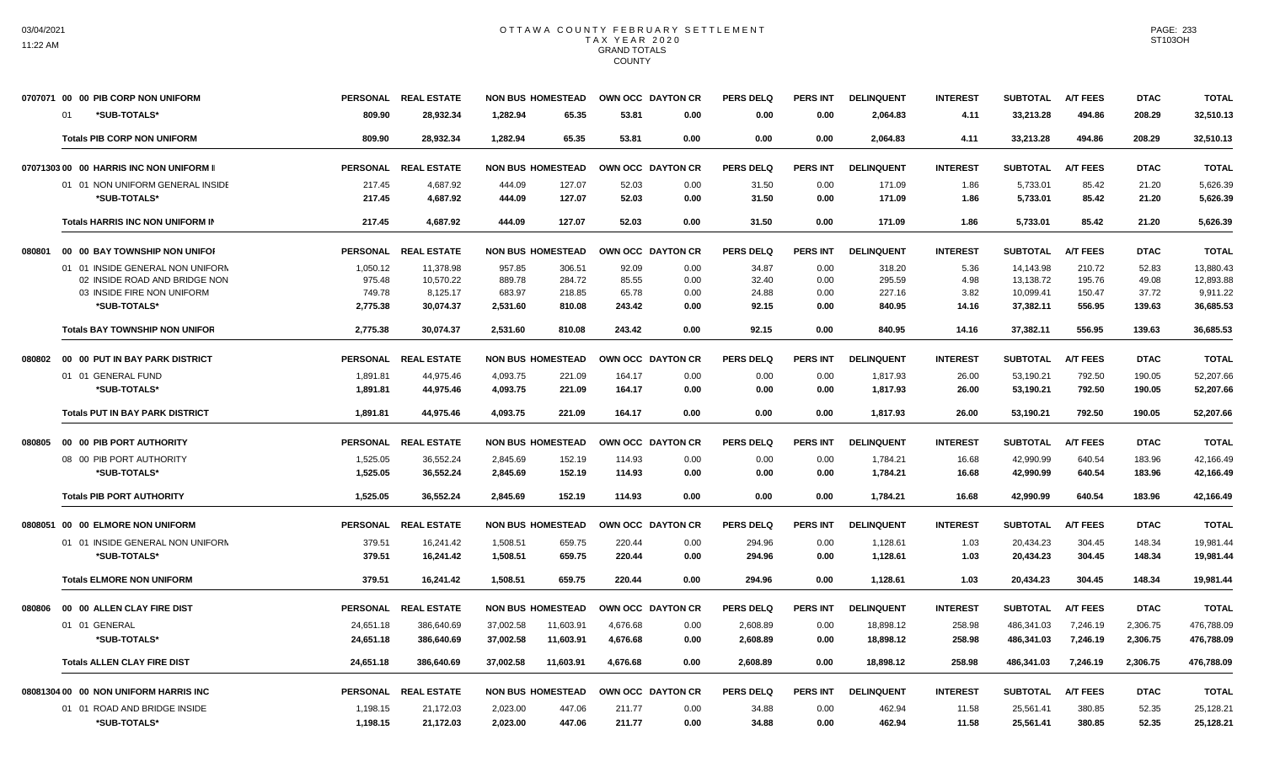|                                          | 0707071 00 00 PIB CORP NON UNIFORM         |                    | PERSONAL REAL ESTATE  | <b>NON BUS HOMESTEAD</b> |                  |                 | OWN OCC DAYTON CR | <b>PERS DELQ</b> | <b>PERS INT</b> | <b>DELINQUENT</b> | <b>INTEREST</b> | <b>SUBTOTAL</b>        | <b>A/T FEES</b>  | <b>DTAC</b>     | <b>TOTAL</b>          |
|------------------------------------------|--------------------------------------------|--------------------|-----------------------|--------------------------|------------------|-----------------|-------------------|------------------|-----------------|-------------------|-----------------|------------------------|------------------|-----------------|-----------------------|
|                                          | *SUB-TOTALS*<br>01                         | 809.90             | 28,932.34             | 1.282.94                 | 65.35            | 53.81           | 0.00              | 0.00             | 0.00            | 2,064.83          | 4.11            | 33,213.28              | 494.86           | 208.29          | 32,510.13             |
|                                          | <b>Totals PIB CORP NON UNIFORM</b>         | 809.90             | 28.932.34             | 1.282.94                 | 65.35            | 53.81           | 0.00              | 0.00             | 0.00            | 2.064.83          | 4.11            | 33,213.28              | 494.86           | 208.29          | 32.510.13             |
| 07071303 00 00 HARRIS INC NON UNIFORM II |                                            |                    | PERSONAL REAL ESTATE  | <b>NON BUS HOMESTEAD</b> |                  |                 | OWN OCC DAYTON CR | <b>PERS DELQ</b> | <b>PERS INT</b> | <b>DELINQUENT</b> | <b>INTEREST</b> | <b>SUBTOTAL</b>        | <b>A/T FEES</b>  | <b>DTAC</b>     | <b>TOTAL</b>          |
|                                          | 01 01 NON UNIFORM GENERAL INSIDE           | 217.45             | 4,687.92              | 444.09                   | 127.07           | 52.03           | 0.00              | 31.50            | 0.00            | 171.09            | 1.86            | 5,733.01               | 85.42            | 21.20           | 5,626.39              |
|                                          | *SUB-TOTALS*                               | 217.45             | 4,687.92              | 444.09                   | 127.07           | 52.03           | 0.00              | 31.50            | 0.00            | 171.09            | 1.86            | 5,733.01               | 85.42            | 21.20           | 5,626.39              |
|                                          | Totals HARRIS INC NON UNIFORM IN           | 217.45             | 4.687.92              | 444.09                   | 127.07           | 52.03           | 0.00              | 31.50            | 0.00            | 171.09            | 1.86            | 5,733.01               | 85.42            | 21.20           | 5,626.39              |
| 080801                                   | 00 00 BAY TOWNSHIP NON UNIFOR              |                    | PERSONAL REAL ESTATE  | <b>NON BUS HOMESTEAD</b> |                  |                 | OWN OCC DAYTON CR | <b>PERS DELQ</b> | <b>PERS INT</b> | <b>DELINQUENT</b> | <b>INTEREST</b> | <b>SUBTOTAL</b>        | <b>A/T FEES</b>  | <b>DTAC</b>     | <b>TOTAL</b>          |
|                                          | 01 01 INSIDE GENERAL NON UNIFORN           | 1,050.12           | 11,378.98             | 957.85                   | 306.51           | 92.09           | 0.00              | 34.87            | 0.00            | 318.20            | 5.36            | 14,143.98              | 210.72           | 52.83           | 13,880.43             |
|                                          | 02 INSIDE ROAD AND BRIDGE NON              | 975.48             | 10.570.22             | 889.78                   | 284.72           | 85.55           | 0.00              | 32.40            | 0.00            | 295.59            | 4.98            | 13,138.72              | 195.76           | 49.08           | 12.893.88             |
|                                          | 03 INSIDE FIRE NON UNIFORM<br>*SUB-TOTALS* | 749.78<br>2.775.38 | 8,125.17<br>30.074.37 | 683.97<br>2.531.60       | 218.85<br>810.08 | 65.78<br>243.42 | 0.00<br>0.00      | 24.88<br>92.15   | 0.00<br>0.00    | 227.16<br>840.95  | 3.82<br>14.16   | 10,099.41<br>37,382.11 | 150.47<br>556.95 | 37.72<br>139.63 | 9,911.22<br>36.685.53 |
|                                          | <b>Totals BAY TOWNSHIP NON UNIFOR</b>      | 2,775.38           | 30,074.37             | 2,531.60                 | 810.08           | 243.42          | 0.00              | 92.15            | 0.00            | 840.95            | 14.16           | 37,382.11              | 556.95           | 139.63          | 36,685.53             |
| 080802                                   | 00 00 PUT IN BAY PARK DISTRICT             |                    | PERSONAL REAL ESTATE  | <b>NON BUS HOMESTEAD</b> |                  |                 | OWN OCC DAYTON CR | <b>PERS DELQ</b> | <b>PERS INT</b> | <b>DELINQUENT</b> | <b>INTEREST</b> | <b>SUBTOTAL</b>        | <b>A/T FEES</b>  | <b>DTAC</b>     | <b>TOTAL</b>          |
|                                          | 01 01 GENERAL FUND                         | 1,891.81           | 44,975.46             | 4.093.75                 | 221.09           | 164.17          | 0.00              | 0.00             | 0.00            | 1,817.93          | 26.00           | 53,190.21              | 792.50           | 190.05          | 52.207.66             |
|                                          | *SUB-TOTALS*                               | 1,891.81           | 44,975.46             | 4,093.75                 | 221.09           | 164.17          | 0.00              | 0.00             | 0.00            | 1,817.93          | 26.00           | 53,190.21              | 792.50           | 190.05          | 52,207.66             |
|                                          | <b>Totals PUT IN BAY PARK DISTRICT</b>     | 1,891.81           | 44,975.46             | 4,093.75                 | 221.09           | 164.17          | 0.00              | 0.00             | 0.00            | 1,817.93          | 26.00           | 53,190.21              | 792.50           | 190.05          | 52,207.66             |
| 080805                                   | 00 00 PIB PORT AUTHORITY                   |                    | PERSONAL REAL ESTATE  | <b>NON BUS HOMESTEAD</b> |                  |                 | OWN OCC DAYTON CR | <b>PERS DELQ</b> | <b>PERS INT</b> | <b>DELINQUENT</b> | <b>INTEREST</b> | <b>SUBTOTAL</b>        | <b>A/T FEES</b>  | <b>DTAC</b>     | <b>TOTAL</b>          |
|                                          | 08 00 PIB PORT AUTHORITY                   | 1,525.05           | 36,552.24             | 2,845.69                 | 152.19           | 114.93          | 0.00              | 0.00             | 0.00            | 1,784.21          | 16.68           | 42,990.99              | 640.54           | 183.96          | 42,166.49             |
|                                          | *SUB-TOTALS*                               | 1,525.05           | 36,552.24             | 2,845.69                 | 152.19           | 114.93          | 0.00              | 0.00             | 0.00            | 1,784.21          | 16.68           | 42,990.99              | 640.54           | 183.96          | 42,166.49             |
|                                          | <b>Totals PIB PORT AUTHORITY</b>           | 1,525.05           | 36,552.24             | 2,845.69                 | 152.19           | 114.93          | 0.00              | 0.00             | 0.00            | 1,784.21          | 16.68           | 42,990.99              | 640.54           | 183.96          | 42,166.49             |
|                                          | 0808051 00 00 ELMORE NON UNIFORM           |                    | PERSONAL REAL ESTATE  | <b>NON BUS HOMESTEAD</b> |                  |                 | OWN OCC DAYTON CR | PERS DELO        | <b>PERS INT</b> | <b>DELINQUENT</b> | <b>INTEREST</b> | <b>SUBTOTAL</b>        | <b>A/T FEES</b>  | <b>DTAC</b>     | <b>TOTAL</b>          |
|                                          | 01 01 INSIDE GENERAL NON UNIFORM           | 379.51             | 16,241.42             | 1,508.51                 | 659.75           | 220.44          | 0.00              | 294.96           | 0.00            | 1,128.61          | 1.03            | 20,434.23              | 304.45           | 148.34          | 19,981.44             |
|                                          | *SUB-TOTALS*                               | 379.51             | 16,241.42             | 1,508.51                 | 659.75           | 220.44          | 0.00              | 294.96           | 0.00            | 1,128.61          | 1.03            | 20,434.23              | 304.45           | 148.34          | 19,981.44             |
|                                          | <b>Totals ELMORE NON UNIFORM</b>           | 379.51             | 16.241.42             | 1.508.51                 | 659.75           | 220.44          | 0.00              | 294.96           | 0.00            | 1,128.61          | 1.03            | 20,434.23              | 304.45           | 148.34          | 19.981.44             |
| 080806                                   | 00 00 ALLEN CLAY FIRE DIST                 | <b>PERSONAL</b>    | <b>REAL ESTATE</b>    | <b>NON BUS HOMESTEAD</b> |                  |                 | OWN OCC DAYTON CR | <b>PERS DELQ</b> | <b>PERS INT</b> | <b>DELINQUENT</b> | <b>INTEREST</b> | <b>SUBTOTAL</b>        | <b>A/T FEES</b>  | <b>DTAC</b>     | <b>TOTAL</b>          |
|                                          | 01 01 GENERAL                              | 24,651.18          | 386,640.69            | 37,002.58                | 11,603.91        | 4,676.68        | 0.00              | 2,608.89         | 0.00            | 18,898.12         | 258.98          | 486,341.03             | 7,246.19         | 2,306.75        | 476,788.09            |
|                                          | *SUB-TOTALS*                               | 24,651.18          | 386,640.69            | 37,002.58                | 11,603.91        | 4,676.68        | 0.00              | 2,608.89         | 0.00            | 18,898.12         | 258.98          | 486,341.03             | 7,246.19         | 2,306.75        | 476,788.09            |
|                                          | <b>Totals ALLEN CLAY FIRE DIST</b>         | 24,651.18          | 386,640.69            | 37,002.58                | 11,603.91        | 4.676.68        | 0.00              | 2,608.89         | 0.00            | 18,898.12         | 258.98          | 486.341.03             | 7.246.19         | 2,306.75        | 476,788.09            |
|                                          | 08081304 00 00 NON UNIFORM HARRIS INC      |                    | PERSONAL REAL ESTATE  | <b>NON BUS HOMESTEAD</b> |                  |                 | OWN OCC DAYTON CR | <b>PERS DELQ</b> | <b>PERS INT</b> | <b>DELINQUENT</b> | <b>INTEREST</b> | <b>SUBTOTAL</b>        | <b>A/T FEES</b>  | <b>DTAC</b>     | <b>TOTAL</b>          |
|                                          | 01 01 ROAD AND BRIDGE INSIDE               | 1,198.15           | 21,172.03             | 2,023.00                 | 447.06           | 211.77          | 0.00              | 34.88            | 0.00            | 462.94            | 11.58           | 25,561.41              | 380.85           | 52.35           | 25,128.21             |
|                                          | *SUB-TOTALS*                               | 1,198.15           | 21,172.03             | 2,023.00                 | 447.06           | 211.77          | 0.00              | 34.88            | 0.00            | 462.94            | 11.58           | 25,561.41              | 380.85           | 52.35           | 25,128.21             |